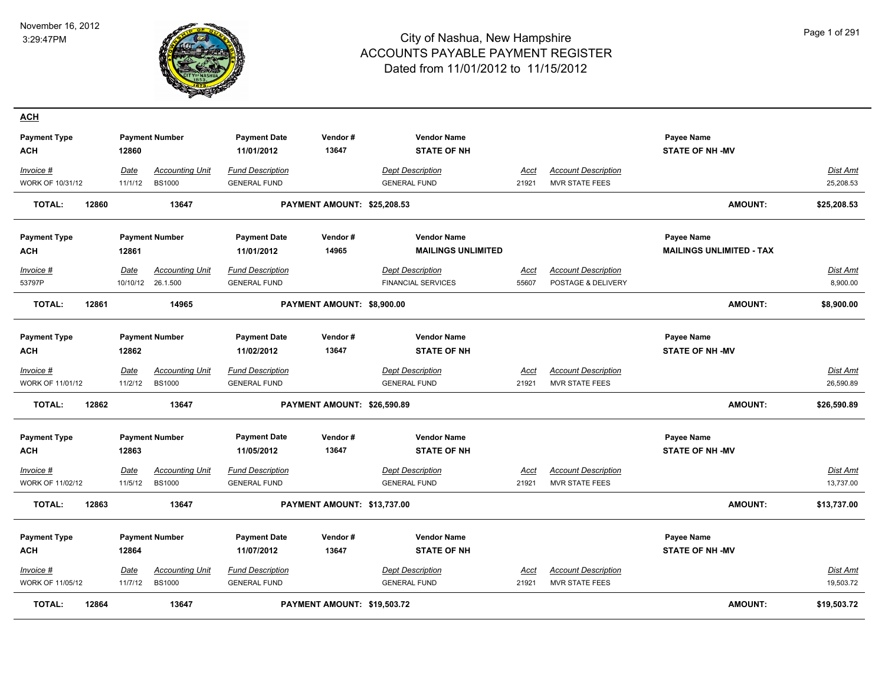

| <u>ACH</u>                      |       |                        |                                         |                                                |                             |                                                |                      |                                                     |                                     |                              |
|---------------------------------|-------|------------------------|-----------------------------------------|------------------------------------------------|-----------------------------|------------------------------------------------|----------------------|-----------------------------------------------------|-------------------------------------|------------------------------|
| <b>Payment Type</b><br>ACH      |       | 12860                  | <b>Payment Number</b>                   | <b>Payment Date</b><br>11/01/2012              | Vendor#<br>13647            | <b>Vendor Name</b><br><b>STATE OF NH</b>       |                      |                                                     | Payee Name<br><b>STATE OF NH-MV</b> |                              |
| Invoice #                       |       | Date                   | <b>Accounting Unit</b>                  | Fund Description                               |                             | <b>Dept Description</b>                        | Acct                 | <b>Account Description</b>                          |                                     | <b>Dist Amt</b>              |
| WORK OF 10/31/12                |       | 11/1/12                | <b>BS1000</b>                           | <b>GENERAL FUND</b>                            |                             | <b>GENERAL FUND</b>                            | 21921                | <b>MVR STATE FEES</b>                               |                                     | 25,208.53                    |
| <b>TOTAL:</b>                   | 12860 |                        | 13647                                   |                                                | PAYMENT AMOUNT: \$25,208.53 |                                                |                      |                                                     | <b>AMOUNT:</b>                      | \$25,208.53                  |
| <b>Payment Type</b>             |       |                        | <b>Payment Number</b>                   | <b>Payment Date</b>                            | Vendor#                     | <b>Vendor Name</b>                             |                      |                                                     | <b>Payee Name</b>                   |                              |
| <b>ACH</b>                      |       | 12861                  |                                         | 11/01/2012                                     | 14965                       | <b>MAILINGS UNLIMITED</b>                      |                      |                                                     | <b>MAILINGS UNLIMITED - TAX</b>     |                              |
| Invoice #                       |       | Date                   | <b>Accounting Unit</b>                  | <b>Fund Description</b>                        |                             | <b>Dept Description</b>                        | Acct                 | <b>Account Description</b>                          |                                     | <b>Dist Amt</b>              |
| 53797P                          |       | 10/10/12               | 26.1.500                                | <b>GENERAL FUND</b>                            |                             | <b>FINANCIAL SERVICES</b>                      | 55607                | POSTAGE & DELIVERY                                  |                                     | 8,900.00                     |
| <b>TOTAL:</b>                   | 12861 |                        | 14965                                   |                                                | PAYMENT AMOUNT: \$8,900.00  |                                                |                      |                                                     | <b>AMOUNT:</b>                      | \$8,900.00                   |
| <b>Payment Type</b>             |       |                        | <b>Payment Number</b>                   | <b>Payment Date</b>                            | Vendor#                     | <b>Vendor Name</b>                             |                      |                                                     | <b>Payee Name</b>                   |                              |
| <b>ACH</b>                      |       | 12862                  |                                         | 11/02/2012                                     | 13647                       | <b>STATE OF NH</b>                             |                      |                                                     | <b>STATE OF NH-MV</b>               |                              |
| Invoice #<br>WORK OF 11/01/12   |       | Date<br>11/2/12        | <b>Accounting Unit</b><br><b>BS1000</b> | <b>Fund Description</b><br><b>GENERAL FUND</b> |                             | <b>Dept Description</b><br><b>GENERAL FUND</b> | Acct<br>21921        | <b>Account Description</b><br><b>MVR STATE FEES</b> |                                     | Dist Amt<br>26,590.89        |
| <b>TOTAL:</b>                   | 12862 |                        | 13647                                   |                                                | PAYMENT AMOUNT: \$26,590.89 |                                                |                      |                                                     | <b>AMOUNT:</b>                      | \$26,590.89                  |
| <b>Payment Type</b>             |       |                        | <b>Payment Number</b>                   | <b>Payment Date</b>                            | Vendor#                     | <b>Vendor Name</b>                             |                      |                                                     | <b>Payee Name</b>                   |                              |
| ACH                             |       | 12863                  |                                         | 11/05/2012                                     | 13647                       | <b>STATE OF NH</b>                             |                      |                                                     | <b>STATE OF NH -MV</b>              |                              |
| $Invoice$ #<br>WORK OF 11/02/12 |       | <u>Date</u><br>11/5/12 | <b>Accounting Unit</b><br><b>BS1000</b> | <b>Fund Description</b><br><b>GENERAL FUND</b> |                             | <b>Dept Description</b><br><b>GENERAL FUND</b> | <u>Acct</u><br>21921 | <b>Account Description</b><br>MVR STATE FEES        |                                     | <b>Dist Amt</b><br>13,737.00 |
| <b>TOTAL:</b>                   | 12863 |                        | 13647                                   |                                                | PAYMENT AMOUNT: \$13,737.00 |                                                |                      |                                                     | <b>AMOUNT:</b>                      | \$13,737.00                  |
| <b>Payment Type</b>             |       |                        | <b>Payment Number</b>                   | <b>Payment Date</b>                            | Vendor#                     | <b>Vendor Name</b>                             |                      |                                                     | Payee Name                          |                              |
| <b>ACH</b>                      |       | 12864                  |                                         | 11/07/2012                                     | 13647                       | <b>STATE OF NH</b>                             |                      |                                                     | <b>STATE OF NH-MV</b>               |                              |
| Invoice #                       |       | Date                   | <b>Accounting Unit</b>                  | <b>Fund Description</b>                        |                             | <b>Dept Description</b>                        | Acct                 | <b>Account Description</b>                          |                                     | Dist Amt                     |
| WORK OF 11/05/12                |       | 11/7/12                | <b>BS1000</b>                           | <b>GENERAL FUND</b>                            |                             | <b>GENERAL FUND</b>                            | 21921                | <b>MVR STATE FEES</b>                               |                                     | 19,503.72                    |
| <b>TOTAL:</b>                   | 12864 |                        | 13647                                   |                                                | PAYMENT AMOUNT: \$19,503.72 |                                                |                      |                                                     | <b>AMOUNT:</b>                      | \$19,503.72                  |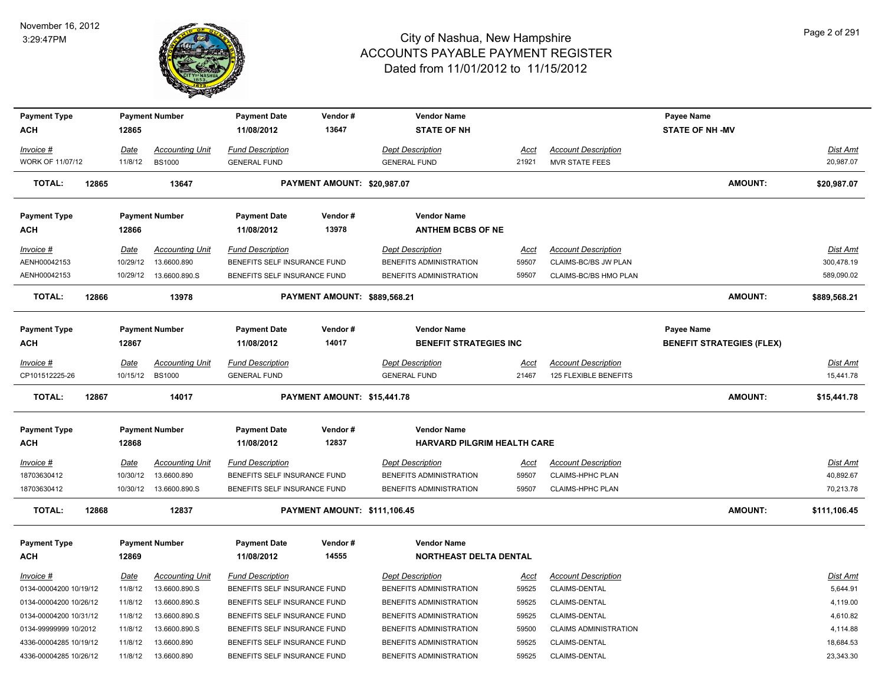

| <b>Payment Type</b>    |       |                 | <b>Payment Number</b>   | <b>Payment Date</b>          | Vendor#                      | <b>Vendor Name</b>                 |             |                              | Payee Name                       |                 |
|------------------------|-------|-----------------|-------------------------|------------------------------|------------------------------|------------------------------------|-------------|------------------------------|----------------------------------|-----------------|
| <b>ACH</b>             |       | 12865           |                         | 11/08/2012                   | 13647                        | <b>STATE OF NH</b>                 |             |                              | <b>STATE OF NH -MV</b>           |                 |
| Invoice #              |       | Date            | <b>Accounting Unit</b>  | <b>Fund Description</b>      |                              | <b>Dept Description</b>            | <b>Acct</b> | <b>Account Description</b>   |                                  | <b>Dist Amt</b> |
| WORK OF 11/07/12       |       | 11/8/12         | <b>BS1000</b>           | <b>GENERAL FUND</b>          |                              | <b>GENERAL FUND</b>                | 21921       | <b>MVR STATE FEES</b>        |                                  | 20,987.07       |
| <b>TOTAL:</b>          | 12865 |                 | 13647                   |                              | PAYMENT AMOUNT: \$20,987.07  |                                    |             |                              | AMOUNT:                          | \$20,987.07     |
| <b>Payment Type</b>    |       |                 | <b>Payment Number</b>   | <b>Payment Date</b>          | Vendor#                      | <b>Vendor Name</b>                 |             |                              |                                  |                 |
| <b>ACH</b>             |       | 12866           |                         | 11/08/2012                   | 13978                        | <b>ANTHEM BCBS OF NE</b>           |             |                              |                                  |                 |
| Invoice #              |       | Date            | <b>Accounting Unit</b>  | <b>Fund Description</b>      |                              | <b>Dept Description</b>            | Acct        | <b>Account Description</b>   |                                  | Dist Amt        |
| AENH00042153           |       | 10/29/12        | 13.6600.890             | BENEFITS SELF INSURANCE FUND |                              | BENEFITS ADMINISTRATION            | 59507       | CLAIMS-BC/BS JW PLAN         |                                  | 300,478.19      |
| AENH00042153           |       |                 | 10/29/12  13.6600.890.S | BENEFITS SELF INSURANCE FUND |                              | BENEFITS ADMINISTRATION            | 59507       | CLAIMS-BC/BS HMO PLAN        |                                  | 589,090.02      |
| <b>TOTAL:</b>          | 12866 |                 | 13978                   |                              | PAYMENT AMOUNT: \$889,568.21 |                                    |             |                              | AMOUNT:                          | \$889,568.21    |
| <b>Payment Type</b>    |       |                 | <b>Payment Number</b>   | <b>Payment Date</b>          | Vendor#                      | <b>Vendor Name</b>                 |             |                              | Payee Name                       |                 |
| ACH                    |       | 12867           |                         | 11/08/2012                   | 14017                        | <b>BENEFIT STRATEGIES INC.</b>     |             |                              | <b>BENEFIT STRATEGIES (FLEX)</b> |                 |
|                        |       |                 |                         |                              |                              |                                    |             |                              |                                  |                 |
| Invoice #              |       | Date            | <b>Accounting Unit</b>  | <b>Fund Description</b>      |                              | <b>Dept Description</b>            | <u>Acct</u> | <b>Account Description</b>   |                                  | Dist Amt        |
| CP101512225-26         |       | 10/15/12 BS1000 |                         | <b>GENERAL FUND</b>          |                              | <b>GENERAL FUND</b>                | 21467       | 125 FLEXIBLE BENEFITS        |                                  | 15,441.78       |
| <b>TOTAL:</b>          | 12867 |                 | 14017                   |                              | PAYMENT AMOUNT: \$15,441.78  |                                    |             |                              | AMOUNT:                          | \$15,441.78     |
| <b>Payment Type</b>    |       |                 | <b>Payment Number</b>   | <b>Payment Date</b>          | Vendor#                      | <b>Vendor Name</b>                 |             |                              |                                  |                 |
| <b>ACH</b>             |       | 12868           |                         | 11/08/2012                   | 12837                        | <b>HARVARD PILGRIM HEALTH CARE</b> |             |                              |                                  |                 |
| <u>Invoice #</u>       |       | <b>Date</b>     | <b>Accounting Unit</b>  | <b>Fund Description</b>      |                              | <b>Dept Description</b>            | <u>Acct</u> | <b>Account Description</b>   |                                  | Dist Amt        |
| 18703630412            |       | 10/30/12        | 13.6600.890             | BENEFITS SELF INSURANCE FUND |                              | BENEFITS ADMINISTRATION            | 59507       | <b>CLAIMS-HPHC PLAN</b>      |                                  | 40,892.67       |
| 18703630412            |       | 10/30/12        | 13.6600.890.S           | BENEFITS SELF INSURANCE FUND |                              | BENEFITS ADMINISTRATION            | 59507       | <b>CLAIMS-HPHC PLAN</b>      |                                  | 70,213.78       |
| TOTAL:                 | 12868 |                 | 12837                   |                              | PAYMENT AMOUNT: \$111,106.45 |                                    |             |                              | <b>AMOUNT:</b>                   | \$111,106.45    |
| <b>Payment Type</b>    |       |                 | <b>Payment Number</b>   | <b>Payment Date</b>          | Vendor#                      | <b>Vendor Name</b>                 |             |                              |                                  |                 |
| <b>ACH</b>             |       | 12869           |                         | 11/08/2012                   | 14555                        | NORTHEAST DELTA DENTAL             |             |                              |                                  |                 |
| <u>Invoice #</u>       |       | Date            | <b>Accounting Unit</b>  | <b>Fund Description</b>      |                              | <b>Dept Description</b>            | <u>Acct</u> | <b>Account Description</b>   |                                  | Dist Amt        |
| 0134-00004200 10/19/12 |       | 11/8/12         | 13.6600.890.S           | BENEFITS SELF INSURANCE FUND |                              | BENEFITS ADMINISTRATION            | 59525       | CLAIMS-DENTAL                |                                  | 5,644.91        |
| 0134-00004200 10/26/12 |       | 11/8/12         | 13.6600.890.S           | BENEFITS SELF INSURANCE FUND |                              | BENEFITS ADMINISTRATION            | 59525       | <b>CLAIMS-DENTAL</b>         |                                  | 4,119.00        |
| 0134-00004200 10/31/12 |       | 11/8/12         | 13.6600.890.S           | BENEFITS SELF INSURANCE FUND |                              | BENEFITS ADMINISTRATION            | 59525       | CLAIMS-DENTAL                |                                  | 4,610.82        |
| 0134-99999999 10/2012  |       | 11/8/12         | 13.6600.890.S           | BENEFITS SELF INSURANCE FUND |                              | BENEFITS ADMINISTRATION            | 59500       | <b>CLAIMS ADMINISTRATION</b> |                                  | 4,114.88        |
| 4336-00004285 10/19/12 |       | 11/8/12         | 13.6600.890             | BENEFITS SELF INSURANCE FUND |                              | BENEFITS ADMINISTRATION            | 59525       | CLAIMS-DENTAL                |                                  | 18,684.53       |
| 4336-00004285 10/26/12 |       | 11/8/12         | 13.6600.890             | BENEFITS SELF INSURANCE FUND |                              | BENEFITS ADMINISTRATION            | 59525       | <b>CLAIMS-DENTAL</b>         |                                  | 23,343.30       |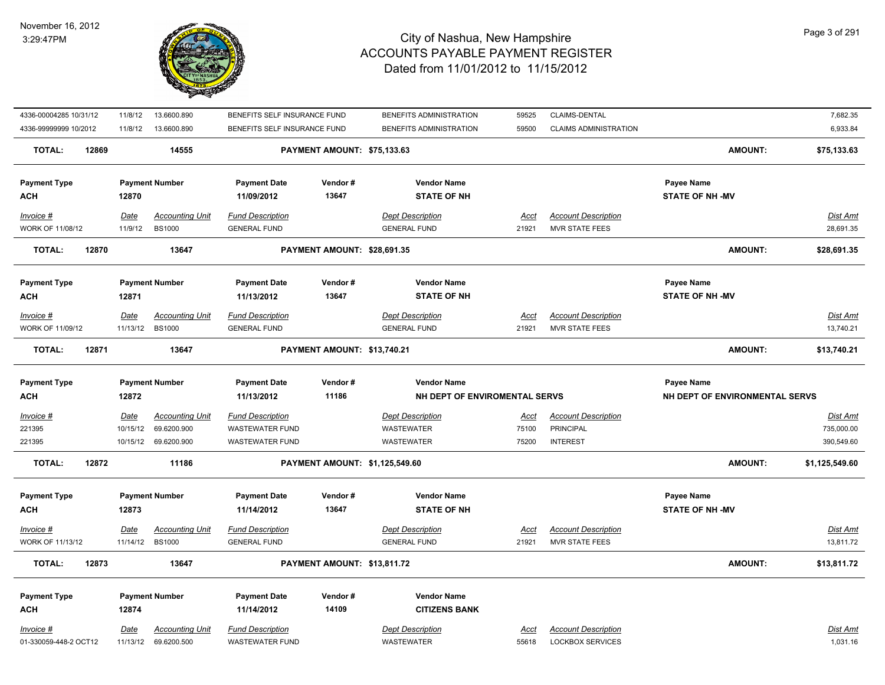#### November 16, 2012 3:29:47PM



| 4336-00004285 10/31/12  | 11/8/12     | 13.6600.890            | BENEFITS SELF INSURANCE FUND |                                | BENEFITS ADMINISTRATION       | 59525       | CLAIMS-DENTAL                |                                | 7,682.35        |
|-------------------------|-------------|------------------------|------------------------------|--------------------------------|-------------------------------|-------------|------------------------------|--------------------------------|-----------------|
| 4336-99999999 10/2012   |             | 11/8/12  13.6600.890   | BENEFITS SELF INSURANCE FUND |                                | BENEFITS ADMINISTRATION       | 59500       | <b>CLAIMS ADMINISTRATION</b> |                                | 6,933.84        |
| <b>TOTAL:</b><br>12869  |             | 14555                  |                              | PAYMENT AMOUNT: \$75,133.63    |                               |             |                              | <b>AMOUNT:</b>                 | \$75,133.63     |
| <b>Payment Type</b>     |             | <b>Payment Number</b>  | <b>Payment Date</b>          | Vendor#                        | <b>Vendor Name</b>            |             |                              | <b>Payee Name</b>              |                 |
| ACH                     | 12870       |                        | 11/09/2012                   | 13647                          | <b>STATE OF NH</b>            |             |                              | <b>STATE OF NH -MV</b>         |                 |
| Invoice #               | Date        | <b>Accounting Unit</b> | <b>Fund Description</b>      |                                | <b>Dept Description</b>       | Acct        | <b>Account Description</b>   |                                | Dist Amt        |
| WORK OF 11/08/12        | 11/9/12     | <b>BS1000</b>          | <b>GENERAL FUND</b>          |                                | <b>GENERAL FUND</b>           | 21921       | MVR STATE FEES               |                                | 28,691.35       |
| 12870<br><b>TOTAL:</b>  |             | 13647                  |                              | PAYMENT AMOUNT: \$28,691.35    |                               |             |                              | <b>AMOUNT:</b>                 | \$28,691.35     |
| <b>Payment Type</b>     |             | <b>Payment Number</b>  | <b>Payment Date</b>          | Vendor#                        | <b>Vendor Name</b>            |             |                              | Payee Name                     |                 |
| ACH                     | 12871       |                        | 11/13/2012                   | 13647                          | <b>STATE OF NH</b>            |             |                              | <b>STATE OF NH-MV</b>          |                 |
| Invoice #               | Date        | <b>Accounting Unit</b> | <b>Fund Description</b>      |                                | <b>Dept Description</b>       | <u>Acct</u> | <b>Account Description</b>   |                                | Dist Amt        |
| WORK OF 11/09/12        |             | 11/13/12 BS1000        | <b>GENERAL FUND</b>          |                                | <b>GENERAL FUND</b>           | 21921       | <b>MVR STATE FEES</b>        |                                | 13,740.21       |
| <b>TOTAL:</b><br>12871  |             | 13647                  |                              | PAYMENT AMOUNT: \$13,740.21    |                               |             |                              | <b>AMOUNT:</b>                 | \$13,740.21     |
| <b>Payment Type</b>     |             | <b>Payment Number</b>  | <b>Payment Date</b>          | Vendor#                        | <b>Vendor Name</b>            |             |                              | <b>Payee Name</b>              |                 |
| ACH                     | 12872       |                        | 11/13/2012                   | 11186                          | NH DEPT OF ENVIROMENTAL SERVS |             |                              | NH DEPT OF ENVIRONMENTAL SERVS |                 |
| <u>Invoice #</u>        | <u>Date</u> | <b>Accounting Unit</b> | <b>Fund Description</b>      |                                | <b>Dept Description</b>       | <u>Acct</u> | <b>Account Description</b>   |                                | <u>Dist Amt</u> |
| 221395                  | 10/15/12    | 69.6200.900            | <b>WASTEWATER FUND</b>       |                                | WASTEWATER                    | 75100       | PRINCIPAL                    |                                | 735,000.00      |
| 221395                  |             | 10/15/12 69.6200.900   | <b>WASTEWATER FUND</b>       |                                | WASTEWATER                    | 75200       | <b>INTEREST</b>              |                                | 390,549.60      |
| <b>TOTAL:</b><br>12872  |             | 11186                  |                              | PAYMENT AMOUNT: \$1,125,549.60 |                               |             |                              | <b>AMOUNT:</b>                 | \$1,125,549.60  |
| <b>Payment Type</b>     |             | <b>Payment Number</b>  | <b>Payment Date</b>          | Vendor#                        | <b>Vendor Name</b>            |             |                              | <b>Payee Name</b>              |                 |
| <b>ACH</b>              | 12873       |                        | 11/14/2012                   | 13647                          | <b>STATE OF NH</b>            |             |                              | <b>STATE OF NH -MV</b>         |                 |
| Invoice #               | Date        | <b>Accounting Unit</b> | <b>Fund Description</b>      |                                | <b>Dept Description</b>       | <u>Acct</u> | <b>Account Description</b>   |                                | <b>Dist Amt</b> |
| <b>WORK OF 11/13/12</b> |             | 11/14/12 BS1000        | <b>GENERAL FUND</b>          |                                | <b>GENERAL FUND</b>           | 21921       | <b>MVR STATE FEES</b>        |                                | 13,811.72       |
| <b>TOTAL:</b><br>12873  |             | 13647                  |                              | PAYMENT AMOUNT: \$13,811.72    |                               |             |                              | <b>AMOUNT:</b>                 | \$13,811.72     |
| <b>Payment Type</b>     |             | <b>Payment Number</b>  | <b>Payment Date</b>          | Vendor#                        | <b>Vendor Name</b>            |             |                              |                                |                 |
| <b>ACH</b>              | 12874       |                        | 11/14/2012                   | 14109                          | <b>CITIZENS BANK</b>          |             |                              |                                |                 |
| Invoice #               | Date        | <b>Accounting Unit</b> | <b>Fund Description</b>      |                                | <b>Dept Description</b>       | Acct        | <b>Account Description</b>   |                                | Dist Amt        |
| 01-330059-448-2 OCT12   | 11/13/12    | 69.6200.500            | <b>WASTEWATER FUND</b>       |                                | <b>WASTEWATER</b>             | 55618       | <b>LOCKBOX SERVICES</b>      |                                | 1,031.16        |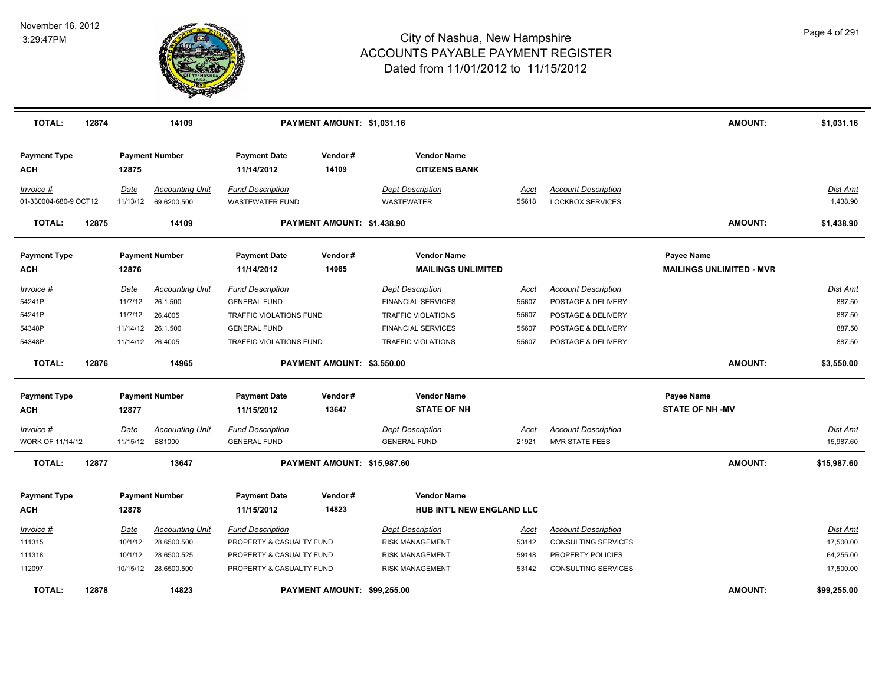

| <b>TOTAL:</b>                     | 12874 |          | 14109                  | PAYMENT AMOUNT: \$1,031.16        |                             |                                            |       |                            |                                 | <b>AMOUNT:</b> | \$1,031.16  |
|-----------------------------------|-------|----------|------------------------|-----------------------------------|-----------------------------|--------------------------------------------|-------|----------------------------|---------------------------------|----------------|-------------|
| <b>Payment Type</b><br><b>ACH</b> |       | 12875    | <b>Payment Number</b>  | <b>Payment Date</b><br>11/14/2012 | Vendor#<br>14109            | <b>Vendor Name</b><br><b>CITIZENS BANK</b> |       |                            |                                 |                |             |
| Invoice #                         |       | Date     | <b>Accounting Unit</b> | <b>Fund Description</b>           |                             | <b>Dept Description</b>                    | Acct  | <b>Account Description</b> |                                 |                | Dist Amt    |
| 01-330004-680-9 OCT12             |       | 11/13/12 | 69.6200.500            | <b>WASTEWATER FUND</b>            |                             | <b>WASTEWATER</b>                          | 55618 | <b>LOCKBOX SERVICES</b>    |                                 |                | 1,438.90    |
| <b>TOTAL:</b>                     | 12875 |          | 14109                  |                                   | PAYMENT AMOUNT: \$1,438.90  |                                            |       |                            |                                 | <b>AMOUNT:</b> | \$1,438.90  |
| <b>Payment Type</b>               |       |          | <b>Payment Number</b>  | <b>Payment Date</b>               | Vendor#                     | <b>Vendor Name</b>                         |       |                            | Payee Name                      |                |             |
| <b>ACH</b>                        |       | 12876    |                        | 11/14/2012                        | 14965                       | <b>MAILINGS UNLIMITED</b>                  |       |                            | <b>MAILINGS UNLIMITED - MVR</b> |                |             |
| Invoice #                         |       | Date     | <b>Accounting Unit</b> | <b>Fund Description</b>           |                             | <b>Dept Description</b>                    | Acct  | <b>Account Description</b> |                                 |                | Dist Amt    |
| 54241P                            |       | 11/7/12  | 26.1.500               | <b>GENERAL FUND</b>               |                             | <b>FINANCIAL SERVICES</b>                  | 55607 | POSTAGE & DELIVERY         |                                 |                | 887.50      |
| 54241P                            |       | 11/7/12  | 26.4005                | TRAFFIC VIOLATIONS FUND           |                             | <b>TRAFFIC VIOLATIONS</b>                  | 55607 | POSTAGE & DELIVERY         |                                 |                | 887.50      |
| 54348P                            |       | 11/14/12 | 26.1.500               | <b>GENERAL FUND</b>               |                             | <b>FINANCIAL SERVICES</b>                  | 55607 | POSTAGE & DELIVERY         |                                 |                | 887.50      |
| 54348P                            |       |          | 11/14/12 26.4005       | TRAFFIC VIOLATIONS FUND           |                             | <b>TRAFFIC VIOLATIONS</b>                  | 55607 | POSTAGE & DELIVERY         |                                 |                | 887.50      |
| <b>TOTAL:</b>                     | 12876 |          | 14965                  |                                   | PAYMENT AMOUNT: \$3,550.00  |                                            |       |                            |                                 | <b>AMOUNT:</b> | \$3,550.00  |
| <b>Payment Type</b>               |       |          | <b>Payment Number</b>  | <b>Payment Date</b>               | Vendor#                     | <b>Vendor Name</b>                         |       |                            | Payee Name                      |                |             |
| <b>ACH</b>                        |       | 12877    |                        | 11/15/2012                        | 13647                       | <b>STATE OF NH</b>                         |       |                            | <b>STATE OF NH -MV</b>          |                |             |
| $Invoice$ #                       |       | Date     | <b>Accounting Unit</b> | <b>Fund Description</b>           |                             | <b>Dept Description</b>                    | Acct  | <b>Account Description</b> |                                 |                | Dist Amt    |
| WORK OF 11/14/12                  |       | 11/15/12 | <b>BS1000</b>          | <b>GENERAL FUND</b>               |                             | <b>GENERAL FUND</b>                        | 21921 | <b>MVR STATE FEES</b>      |                                 |                | 15,987.60   |
| TOTAL:                            | 12877 |          | 13647                  |                                   | PAYMENT AMOUNT: \$15,987.60 |                                            |       |                            |                                 | <b>AMOUNT:</b> | \$15,987.60 |
| <b>Payment Type</b>               |       |          | <b>Payment Number</b>  | <b>Payment Date</b>               | Vendor#                     | <b>Vendor Name</b>                         |       |                            |                                 |                |             |
| ACH                               |       | 12878    |                        | 11/15/2012                        | 14823                       | HUB INT'L NEW ENGLAND LLC                  |       |                            |                                 |                |             |
| Invoice #                         |       | Date     | <b>Accounting Unit</b> | <b>Fund Description</b>           |                             | <b>Dept Description</b>                    | Acct  | <b>Account Description</b> |                                 |                | Dist Amt    |
| 111315                            |       | 10/1/12  | 28.6500.500            | PROPERTY & CASUALTY FUND          |                             | <b>RISK MANAGEMENT</b>                     | 53142 | <b>CONSULTING SERVICES</b> |                                 |                | 17,500.00   |
| 111318                            |       | 10/1/12  | 28.6500.525            | PROPERTY & CASUALTY FUND          |                             | <b>RISK MANAGEMENT</b>                     | 59148 | PROPERTY POLICIES          |                                 |                | 64,255.00   |
| 112097                            |       | 10/15/12 | 28.6500.500            | PROPERTY & CASUALTY FUND          |                             | <b>RISK MANAGEMENT</b>                     | 53142 | CONSULTING SERVICES        |                                 |                | 17,500.00   |
| <b>TOTAL:</b>                     | 12878 |          | 14823                  |                                   | PAYMENT AMOUNT: \$99,255.00 |                                            |       |                            |                                 | <b>AMOUNT:</b> | \$99,255.00 |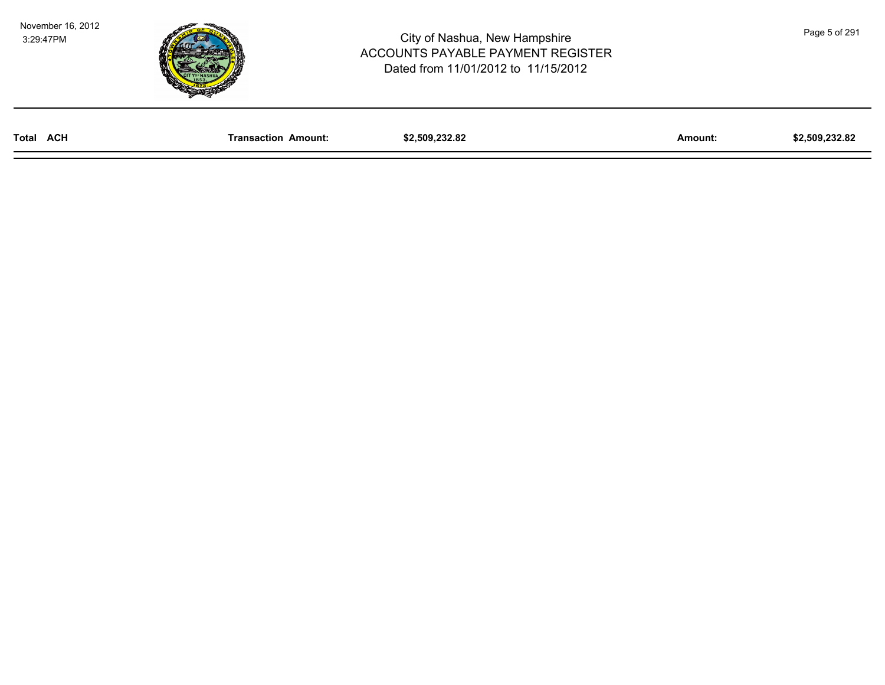November 16, 2012 3:29:47PM



| Total<br><b>ACH</b> | Amount:<br>saction | 00<br>.<br>ە . | Amount: | ົ<br>, 509 (<br>32.O |
|---------------------|--------------------|----------------|---------|----------------------|
|                     |                    |                |         |                      |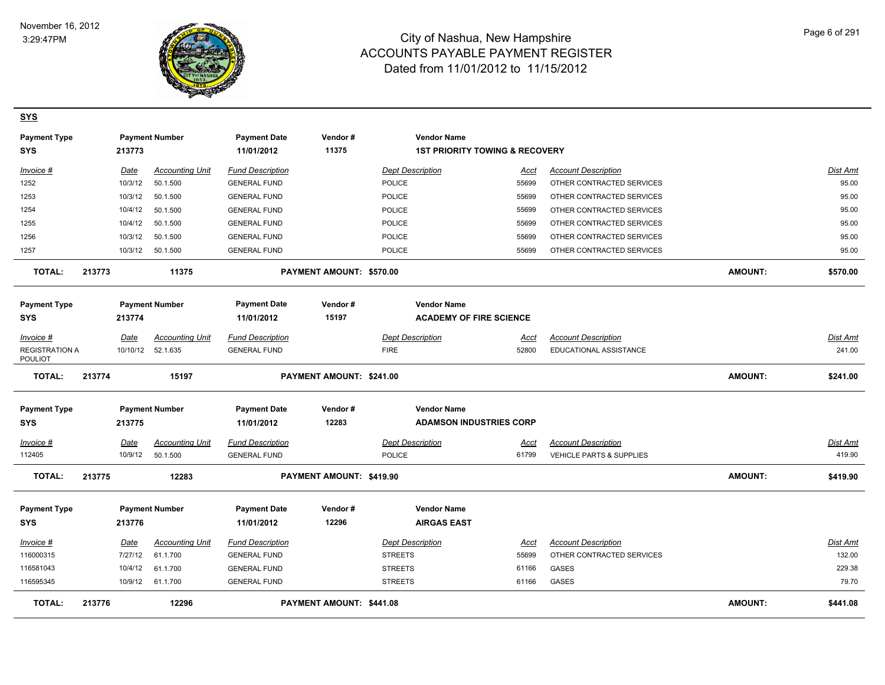

**SYS**

| <b>Payment Type</b><br><b>SYS</b>       |        | 213773      | <b>Payment Number</b>  | <b>Payment Date</b><br>11/01/2012 | Vendor#<br>11375         | <b>Vendor Name</b>             | <b>1ST PRIORITY TOWING &amp; RECOVERY</b> |                            |                |                 |
|-----------------------------------------|--------|-------------|------------------------|-----------------------------------|--------------------------|--------------------------------|-------------------------------------------|----------------------------|----------------|-----------------|
| Invoice #                               |        | <b>Date</b> | <b>Accounting Unit</b> | <b>Fund Description</b>           |                          | <b>Dept Description</b>        | Acct                                      | <b>Account Description</b> |                | Dist Amt        |
| 1252                                    |        | 10/3/12     | 50.1.500               | <b>GENERAL FUND</b>               |                          | POLICE                         | 55699                                     | OTHER CONTRACTED SERVICES  |                | 95.00           |
| 1253                                    |        | 10/3/12     | 50.1.500               | <b>GENERAL FUND</b>               |                          | POLICE                         | 55699                                     | OTHER CONTRACTED SERVICES  |                | 95.00           |
| 1254                                    |        | 10/4/12     | 50.1.500               | <b>GENERAL FUND</b>               |                          | <b>POLICE</b>                  | 55699                                     | OTHER CONTRACTED SERVICES  |                | 95.00           |
| 1255                                    |        | 10/4/12     | 50.1.500               | <b>GENERAL FUND</b>               |                          | <b>POLICE</b>                  | 55699                                     | OTHER CONTRACTED SERVICES  |                | 95.00           |
| 1256                                    |        | 10/3/12     | 50.1.500               | <b>GENERAL FUND</b>               |                          | POLICE                         | 55699                                     | OTHER CONTRACTED SERVICES  |                | 95.00           |
| 1257                                    |        | 10/3/12     | 50.1.500               | <b>GENERAL FUND</b>               |                          | POLICE                         | 55699                                     | OTHER CONTRACTED SERVICES  |                | 95.00           |
| TOTAL:                                  | 213773 |             | 11375                  |                                   | PAYMENT AMOUNT: \$570.00 |                                |                                           |                            | AMOUNT:        | \$570.00        |
| <b>Payment Type</b>                     |        |             | <b>Payment Number</b>  | <b>Payment Date</b>               | Vendor#                  | <b>Vendor Name</b>             |                                           |                            |                |                 |
| <b>SYS</b>                              |        | 213774      |                        | 11/01/2012                        | 15197                    | <b>ACADEMY OF FIRE SCIENCE</b> |                                           |                            |                |                 |
| Invoice #                               |        | Date        | <b>Accounting Unit</b> | <b>Fund Description</b>           |                          | <b>Dept Description</b>        | Acct                                      | <b>Account Description</b> |                | <b>Dist Amt</b> |
| <b>REGISTRATION A</b><br><b>POULIOT</b> |        | 10/10/12    | 52.1.635               | <b>GENERAL FUND</b>               |                          | <b>FIRE</b>                    | 52800                                     | EDUCATIONAL ASSISTANCE     |                | 241.00          |
| <b>TOTAL:</b>                           | 213774 |             | 15197                  |                                   | PAYMENT AMOUNT: \$241.00 |                                |                                           |                            | <b>AMOUNT:</b> | \$241.00        |
| <b>Payment Type</b>                     |        |             | <b>Payment Number</b>  | <b>Payment Date</b>               | Vendor#                  | <b>Vendor Name</b>             |                                           |                            |                |                 |
| <b>SYS</b>                              |        | 213775      |                        | 11/01/2012                        | 12283                    | <b>ADAMSON INDUSTRIES CORP</b> |                                           |                            |                |                 |
| $Invoice$ #                             |        | Date        | <b>Accounting Unit</b> | <b>Fund Description</b>           |                          | <b>Dept Description</b>        | <u>Acct</u>                               | <b>Account Description</b> |                | <b>Dist Amt</b> |
| 112405                                  |        | 10/9/12     | 50.1.500               | <b>GENERAL FUND</b>               |                          | <b>POLICE</b>                  | 61799                                     | VEHICLE PARTS & SUPPLIES   |                | 419.90          |
| <b>TOTAL:</b>                           | 213775 |             | 12283                  |                                   | PAYMENT AMOUNT: \$419.90 |                                |                                           |                            | <b>AMOUNT:</b> | \$419.90        |
| <b>Payment Type</b>                     |        |             | <b>Payment Number</b>  | <b>Payment Date</b>               | Vendor#                  | <b>Vendor Name</b>             |                                           |                            |                |                 |
| <b>SYS</b>                              |        | 213776      |                        | 11/01/2012                        | 12296                    | <b>AIRGAS EAST</b>             |                                           |                            |                |                 |
| Invoice #                               |        | <b>Date</b> | <b>Accounting Unit</b> | <b>Fund Description</b>           |                          | <b>Dept Description</b>        | Acct                                      | <b>Account Description</b> |                | Dist Amt        |
| 116000315                               |        | 7/27/12     | 61.1.700               | <b>GENERAL FUND</b>               |                          | <b>STREETS</b>                 | 55699                                     | OTHER CONTRACTED SERVICES  |                | 132.00          |
| 116581043                               |        | 10/4/12     | 61.1.700               | <b>GENERAL FUND</b>               |                          | <b>STREETS</b>                 | 61166                                     | <b>GASES</b>               |                | 229.38          |
| 116595345                               |        | 10/9/12     | 61.1.700               | <b>GENERAL FUND</b>               |                          | <b>STREETS</b>                 | 61166                                     | GASES                      |                | 79.70           |
| <b>TOTAL:</b>                           | 213776 |             | 12296                  |                                   | PAYMENT AMOUNT: \$441.08 |                                |                                           |                            | <b>AMOUNT:</b> | \$441.08        |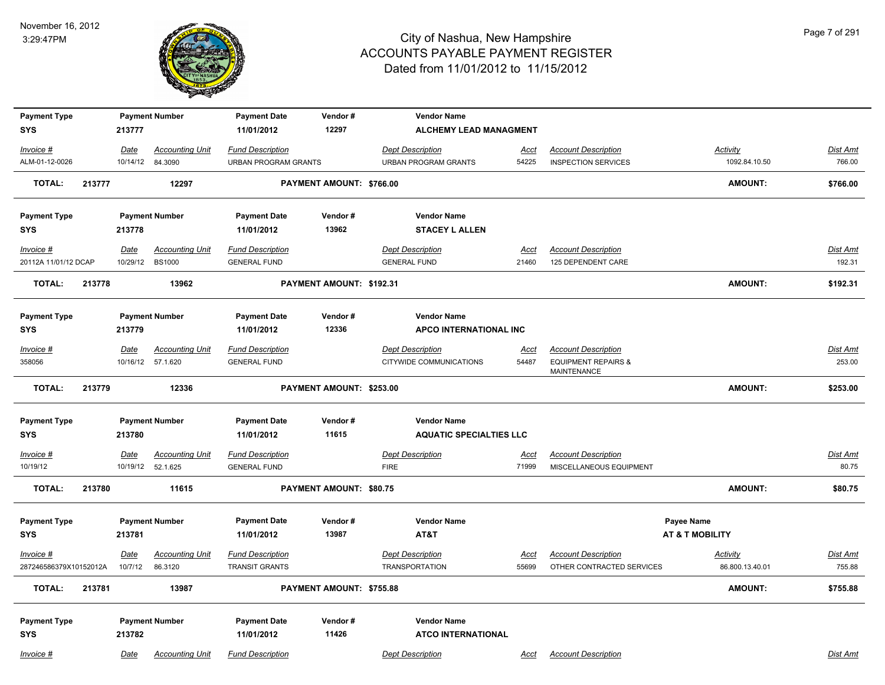

| <b>Payment Type</b><br><b>SYS</b>     |        | 213777          | <b>Payment Number</b>                       | <b>Payment Date</b><br>11/01/2012                | Vendor#<br>12297         | <b>Vendor Name</b><br><b>ALCHEMY LEAD MANAGMENT</b> |                      |                                                         |                             |                           |
|---------------------------------------|--------|-----------------|---------------------------------------------|--------------------------------------------------|--------------------------|-----------------------------------------------------|----------------------|---------------------------------------------------------|-----------------------------|---------------------------|
| Invoice #                             |        | Date            | <b>Accounting Unit</b>                      | <b>Fund Description</b>                          |                          | <b>Dept Description</b>                             | Acct                 | <b>Account Description</b>                              | <b>Activity</b>             | Dist Amt                  |
| ALM-01-12-0026                        |        |                 | 10/14/12 84.3090                            | <b>URBAN PROGRAM GRANTS</b>                      |                          | <b>URBAN PROGRAM GRANTS</b>                         | 54225                | <b>INSPECTION SERVICES</b>                              | 1092.84.10.50               | 766.00                    |
| <b>TOTAL:</b>                         | 213777 |                 | 12297                                       |                                                  | PAYMENT AMOUNT: \$766.00 |                                                     |                      |                                                         | AMOUNT:                     | \$766.00                  |
| <b>Payment Type</b>                   |        |                 | <b>Payment Number</b>                       | <b>Payment Date</b>                              | Vendor#                  | <b>Vendor Name</b>                                  |                      |                                                         |                             |                           |
| <b>SYS</b>                            |        | 213778          |                                             | 11/01/2012                                       | 13962                    | <b>STACEY L ALLEN</b>                               |                      |                                                         |                             |                           |
| Invoice #<br>20112A 11/01/12 DCAP     |        | Date            | <b>Accounting Unit</b><br>10/29/12 BS1000   | <b>Fund Description</b><br><b>GENERAL FUND</b>   |                          | <b>Dept Description</b><br><b>GENERAL FUND</b>      | Acct<br>21460        | <b>Account Description</b><br>125 DEPENDENT CARE        |                             | Dist Amt<br>192.31        |
| <b>TOTAL:</b>                         | 213778 |                 | 13962                                       |                                                  | PAYMENT AMOUNT: \$192.31 |                                                     |                      |                                                         | AMOUNT:                     | \$192.31                  |
|                                       |        |                 |                                             |                                                  |                          |                                                     |                      |                                                         |                             |                           |
| <b>Payment Type</b>                   |        |                 | <b>Payment Number</b>                       | <b>Payment Date</b>                              | Vendor#                  | <b>Vendor Name</b>                                  |                      |                                                         |                             |                           |
| <b>SYS</b>                            |        | 213779          |                                             | 11/01/2012                                       | 12336                    | APCO INTERNATIONAL INC                              |                      |                                                         |                             |                           |
| Invoice #                             |        | Date            | <b>Accounting Unit</b>                      | <b>Fund Description</b>                          |                          | <b>Dept Description</b>                             | Acct                 | <b>Account Description</b>                              |                             | <b>Dist Amt</b>           |
| 358056                                |        |                 | 10/16/12  57.1.620                          | <b>GENERAL FUND</b>                              |                          | CITYWIDE COMMUNICATIONS                             | 54487                | <b>EQUIPMENT REPAIRS &amp;</b><br>MAINTENANCE           |                             | 253.00                    |
| <b>TOTAL:</b>                         | 213779 |                 | 12336                                       |                                                  | PAYMENT AMOUNT: \$253.00 |                                                     |                      |                                                         | AMOUNT:                     | \$253.00                  |
| <b>Payment Type</b>                   |        |                 | <b>Payment Number</b>                       | <b>Payment Date</b>                              | Vendor#                  | <b>Vendor Name</b>                                  |                      |                                                         |                             |                           |
| <b>SYS</b>                            |        | 213780          |                                             | 11/01/2012                                       | 11615                    | <b>AQUATIC SPECIALTIES LLC</b>                      |                      |                                                         |                             |                           |
| Invoice #<br>10/19/12                 |        | Date            | <b>Accounting Unit</b><br>10/19/12 52.1.625 | <b>Fund Description</b><br><b>GENERAL FUND</b>   |                          | <b>Dept Description</b><br><b>FIRE</b>              | <u>Acct</u><br>71999 | <b>Account Description</b><br>MISCELLANEOUS EQUIPMENT   |                             | Dist Amt<br>80.75         |
| <b>TOTAL:</b>                         | 213780 |                 | 11615                                       |                                                  | PAYMENT AMOUNT: \$80.75  |                                                     |                      |                                                         | AMOUNT:                     | \$80.75                   |
| <b>Payment Type</b>                   |        |                 | <b>Payment Number</b>                       | <b>Payment Date</b>                              | Vendor#                  | <b>Vendor Name</b>                                  |                      |                                                         | Payee Name                  |                           |
| <b>SYS</b>                            |        | 213781          |                                             | 11/01/2012                                       | 13987                    | AT&T                                                |                      |                                                         | AT & T MOBILITY             |                           |
| $Invoice$ #<br>287246586379X10152012A |        | Date<br>10/7/12 | <b>Accounting Unit</b><br>86.3120           | <b>Fund Description</b><br><b>TRANSIT GRANTS</b> |                          | <b>Dept Description</b><br><b>TRANSPORTATION</b>    | Acct<br>55699        | <b>Account Description</b><br>OTHER CONTRACTED SERVICES | Activity<br>86.800.13.40.01 | <b>Dist Amt</b><br>755.88 |
| <b>TOTAL:</b>                         | 213781 |                 | 13987                                       |                                                  | PAYMENT AMOUNT: \$755.88 |                                                     |                      |                                                         | AMOUNT:                     | \$755.88                  |
| <b>Payment Type</b>                   |        |                 | <b>Payment Number</b>                       | <b>Payment Date</b>                              | Vendor#                  | <b>Vendor Name</b>                                  |                      |                                                         |                             |                           |
| <b>SYS</b>                            |        | 213782          |                                             | 11/01/2012                                       | 11426                    | <b>ATCO INTERNATIONAL</b>                           |                      |                                                         |                             |                           |
| Invoice #                             |        | Date            | <b>Accounting Unit</b>                      | <b>Fund Description</b>                          |                          | <b>Dept Description</b>                             | Acct                 | <b>Account Description</b>                              |                             | Dist Amt                  |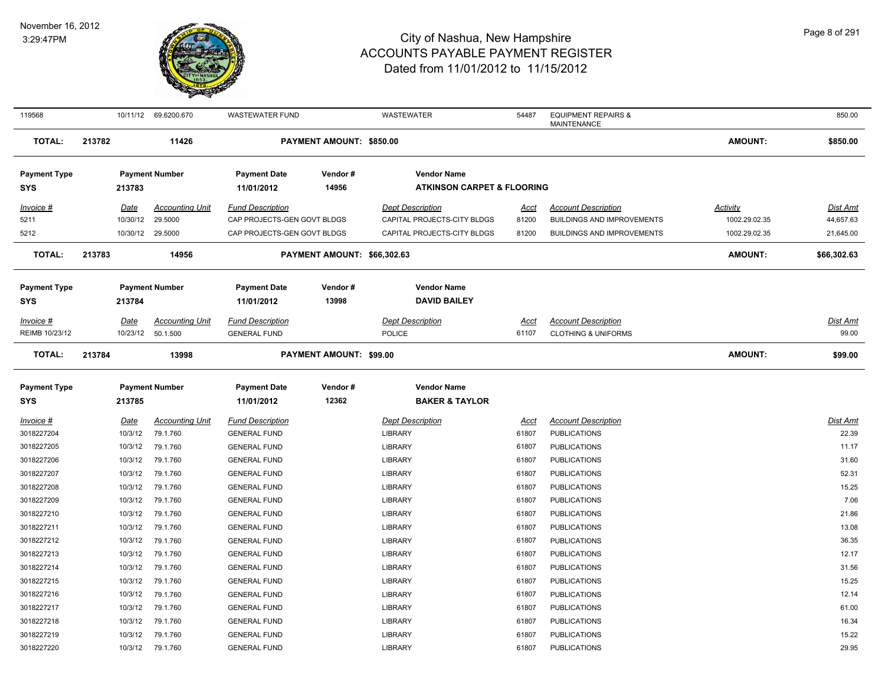

| 119568                            |        |                  | 10/11/12 69.6200.670   | WASTEWATER FUND                   |                                | WASTEWATER                                | 54487       | <b>EQUIPMENT REPAIRS &amp;</b><br><b>MAINTENANCE</b> |                | 850.00          |
|-----------------------------------|--------|------------------|------------------------|-----------------------------------|--------------------------------|-------------------------------------------|-------------|------------------------------------------------------|----------------|-----------------|
| <b>TOTAL:</b>                     | 213782 |                  | 11426                  |                                   | PAYMENT AMOUNT: \$850.00       |                                           |             |                                                      | AMOUNT:        | \$850.00        |
| <b>Payment Type</b>               |        |                  | <b>Payment Number</b>  | <b>Payment Date</b>               | Vendor#                        | <b>Vendor Name</b>                        |             |                                                      |                |                 |
| <b>SYS</b>                        |        | 213783           |                        | 11/01/2012                        | 14956                          | <b>ATKINSON CARPET &amp; FLOORING</b>     |             |                                                      |                |                 |
| Invoice #                         |        | Date             | <b>Accounting Unit</b> | <b>Fund Description</b>           |                                | <b>Dept Description</b>                   | <u>Acct</u> | <b>Account Description</b>                           | Activity       | <b>Dist Amt</b> |
| 5211                              |        | 10/30/12         | 29.5000                | CAP PROJECTS-GEN GOVT BLDGS       |                                | CAPITAL PROJECTS-CITY BLDGS               | 81200       | <b>BUILDINGS AND IMPROVEMENTS</b>                    | 1002.29.02.35  | 44,657.63       |
| 5212                              |        | 10/30/12 29.5000 |                        | CAP PROJECTS-GEN GOVT BLDGS       |                                | CAPITAL PROJECTS-CITY BLDGS               | 81200       | <b>BUILDINGS AND IMPROVEMENTS</b>                    | 1002.29.02.35  | 21,645.00       |
| <b>TOTAL:</b>                     | 213783 |                  | 14956                  |                                   | PAYMENT AMOUNT: \$66,302.63    |                                           |             |                                                      | AMOUNT:        | \$66,302.63     |
| <b>Payment Type</b><br><b>SYS</b> |        | 213784           | <b>Payment Number</b>  | <b>Payment Date</b><br>11/01/2012 | Vendor#<br>13998               | <b>Vendor Name</b><br><b>DAVID BAILEY</b> |             |                                                      |                |                 |
| $Invoice$ #                       |        | Date             | <b>Accounting Unit</b> | <b>Fund Description</b>           |                                | <b>Dept Description</b>                   | <u>Acct</u> | <b>Account Description</b>                           |                | Dist Amt        |
| REIMB 10/23/12                    |        | 10/23/12         | 50.1.500               | <b>GENERAL FUND</b>               |                                | POLICE                                    | 61107       | <b>CLOTHING &amp; UNIFORMS</b>                       |                | 99.00           |
| <b>TOTAL:</b>                     | 213784 |                  | 13998                  |                                   | <b>PAYMENT AMOUNT: \$99.00</b> |                                           |             |                                                      | <b>AMOUNT:</b> | \$99.00         |
| <b>Payment Type</b>               |        |                  | <b>Payment Number</b>  | <b>Payment Date</b>               | Vendor#                        | <b>Vendor Name</b>                        |             |                                                      |                |                 |
| <b>SYS</b>                        |        | 213785           |                        | 11/01/2012                        | 12362                          | <b>BAKER &amp; TAYLOR</b>                 |             |                                                      |                |                 |
| Invoice #                         |        | Date             | <b>Accounting Unit</b> | <b>Fund Description</b>           |                                | <b>Dept Description</b>                   | Acct        | <b>Account Description</b>                           |                | Dist Amt        |
| 3018227204                        |        | 10/3/12          | 79.1.760               | <b>GENERAL FUND</b>               |                                | <b>LIBRARY</b>                            | 61807       | <b>PUBLICATIONS</b>                                  |                | 22.39           |
| 3018227205                        |        | 10/3/12          | 79.1.760               | <b>GENERAL FUND</b>               |                                | <b>LIBRARY</b>                            | 61807       | <b>PUBLICATIONS</b>                                  |                | 11.17           |
| 3018227206                        |        | 10/3/12          | 79.1.760               | <b>GENERAL FUND</b>               |                                | <b>LIBRARY</b>                            | 61807       | <b>PUBLICATIONS</b>                                  |                | 31.60           |
| 3018227207                        |        | 10/3/12          | 79.1.760               | <b>GENERAL FUND</b>               |                                | <b>LIBRARY</b>                            | 61807       | <b>PUBLICATIONS</b>                                  |                | 52.31           |
| 3018227208                        |        | 10/3/12          | 79.1.760               | <b>GENERAL FUND</b>               |                                | <b>LIBRARY</b>                            | 61807       | <b>PUBLICATIONS</b>                                  |                | 15.25           |
| 3018227209                        |        | 10/3/12          | 79.1.760               | <b>GENERAL FUND</b>               |                                | <b>LIBRARY</b>                            | 61807       | <b>PUBLICATIONS</b>                                  |                | 7.06            |
| 3018227210                        |        | 10/3/12          | 79.1.760               | <b>GENERAL FUND</b>               |                                | <b>LIBRARY</b>                            | 61807       | <b>PUBLICATIONS</b>                                  |                | 21.86           |
| 3018227211                        |        | 10/3/12          | 79.1.760               | <b>GENERAL FUND</b>               |                                | <b>LIBRARY</b>                            | 61807       | <b>PUBLICATIONS</b>                                  |                | 13.08           |
| 3018227212                        |        | 10/3/12          | 79.1.760               | <b>GENERAL FUND</b>               |                                | <b>LIBRARY</b>                            | 61807       | <b>PUBLICATIONS</b>                                  |                | 36.35           |
| 3018227213                        |        | 10/3/12          | 79.1.760               | <b>GENERAL FUND</b>               |                                | <b>LIBRARY</b>                            | 61807       | <b>PUBLICATIONS</b>                                  |                | 12.17           |
| 3018227214                        |        | 10/3/12          | 79.1.760               | <b>GENERAL FUND</b>               |                                | <b>LIBRARY</b>                            | 61807       | <b>PUBLICATIONS</b>                                  |                | 31.56           |
| 3018227215                        |        | 10/3/12          | 79.1.760               | <b>GENERAL FUND</b>               |                                | <b>LIBRARY</b>                            | 61807       | <b>PUBLICATIONS</b>                                  |                | 15.25           |
| 3018227216                        |        | 10/3/12          | 79.1.760               | <b>GENERAL FUND</b>               |                                | <b>LIBRARY</b>                            | 61807       | <b>PUBLICATIONS</b>                                  |                | 12.14           |
| 3018227217                        |        | 10/3/12          | 79.1.760               | <b>GENERAL FUND</b>               |                                | <b>LIBRARY</b>                            | 61807       | <b>PUBLICATIONS</b>                                  |                | 61.00           |
| 3018227218                        |        | 10/3/12          | 79.1.760               | <b>GENERAL FUND</b>               |                                | <b>LIBRARY</b>                            | 61807       | <b>PUBLICATIONS</b>                                  |                | 16.34           |
| 3018227219                        |        | 10/3/12          | 79.1.760               | <b>GENERAL FUND</b>               |                                | <b>LIBRARY</b>                            | 61807       | <b>PUBLICATIONS</b>                                  |                | 15.22           |
| 3018227220                        |        | 10/3/12          | 79.1.760               | <b>GENERAL FUND</b>               |                                | <b>LIBRARY</b>                            | 61807       | <b>PUBLICATIONS</b>                                  |                | 29.95           |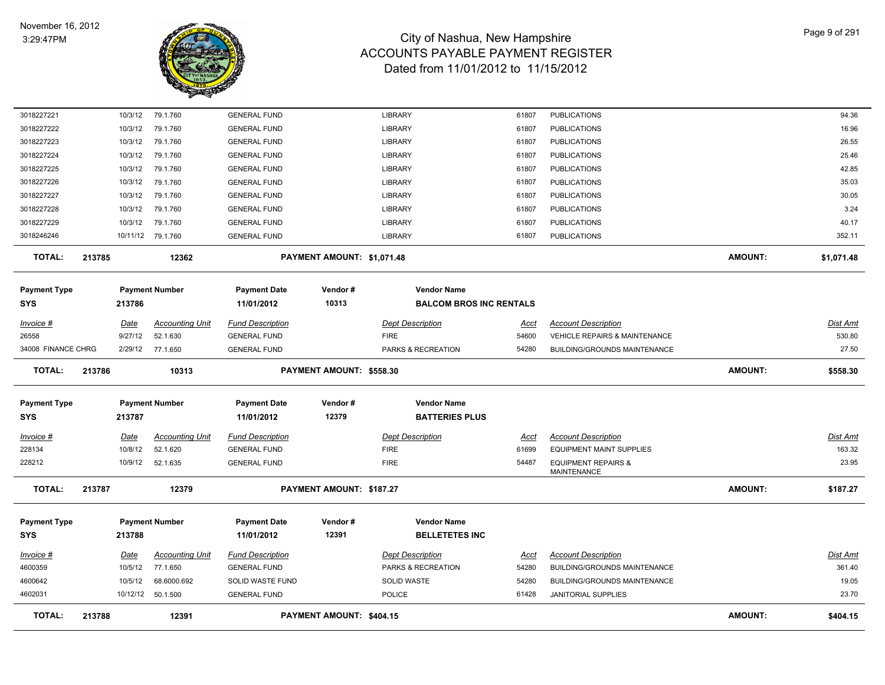

| <b>TOTAL:</b>       | 213788  |         | 12391                  |                         | PAYMENT AMOUNT: \$404.15   |                                |             |                                                      | <b>AMOUNT:</b> | \$404.15        |
|---------------------|---------|---------|------------------------|-------------------------|----------------------------|--------------------------------|-------------|------------------------------------------------------|----------------|-----------------|
| 4602031             |         |         | 10/12/12  50.1.500     | <b>GENERAL FUND</b>     |                            | POLICE                         | 61428       | JANITORIAL SUPPLIES                                  |                | 23.70           |
| 4600642             | 10/5/12 |         | 68.6000.692            | SOLID WASTE FUND        |                            | SOLID WASTE                    | 54280       | BUILDING/GROUNDS MAINTENANCE                         |                | 19.05           |
| 4600359             | 10/5/12 |         | 77.1.650               | <b>GENERAL FUND</b>     |                            | PARKS & RECREATION             | 54280       | BUILDING/GROUNDS MAINTENANCE                         |                | 361.40          |
| <u> Invoice #</u>   | Date    |         | <b>Accounting Unit</b> | <b>Fund Description</b> |                            | <b>Dept Description</b>        | <u>Acct</u> | <b>Account Description</b>                           |                | <b>Dist Amt</b> |
| SYS                 | 213788  |         |                        | 11/01/2012              | 12391                      | <b>BELLETETES INC</b>          |             |                                                      |                |                 |
| Payment Type        |         |         | <b>Payment Number</b>  | <b>Payment Date</b>     | Vendor#                    | <b>Vendor Name</b>             |             |                                                      |                |                 |
|                     |         |         |                        |                         |                            |                                |             |                                                      |                |                 |
| <b>TOTAL:</b>       | 213787  |         | 12379                  |                         | PAYMENT AMOUNT: \$187.27   |                                |             |                                                      | <b>AMOUNT:</b> | \$187.27        |
| 228212              |         | 10/9/12 | 52.1.635               | <b>GENERAL FUND</b>     |                            | <b>FIRE</b>                    | 54487       | <b>EQUIPMENT REPAIRS &amp;</b><br><b>MAINTENANCE</b> |                | 23.95           |
| 228134              | 10/8/12 |         | 52.1.620               | <b>GENERAL FUND</b>     |                            | <b>FIRE</b>                    | 61699       | <b>EQUIPMENT MAINT SUPPLIES</b>                      |                | 163.32          |
| Invoice #           | Date    |         | <b>Accounting Unit</b> | <b>Fund Description</b> |                            | <b>Dept Description</b>        | Acct        | <b>Account Description</b>                           |                | Dist Amt        |
| SYS                 | 213787  |         |                        | 11/01/2012              | 12379                      | <b>BATTERIES PLUS</b>          |             |                                                      |                |                 |
| <b>Payment Type</b> |         |         | <b>Payment Number</b>  | <b>Payment Date</b>     | Vendor#                    | <b>Vendor Name</b>             |             |                                                      |                |                 |
|                     |         |         |                        |                         |                            |                                |             |                                                      |                |                 |
| <b>TOTAL:</b>       | 213786  |         | 10313                  |                         | PAYMENT AMOUNT: \$558.30   |                                |             |                                                      | <b>AMOUNT:</b> | \$558.30        |
| 34008 FINANCE CHRG  |         | 2/29/12 | 77.1.650               | <b>GENERAL FUND</b>     |                            | PARKS & RECREATION             | 54280       | <b>BUILDING/GROUNDS MAINTENANCE</b>                  |                | 27.50           |
| 26558               | 9/27/12 |         | 52.1.630               | <b>GENERAL FUND</b>     |                            | <b>FIRE</b>                    | 54600       | VEHICLE REPAIRS & MAINTENANCE                        |                | 530.80          |
| <u> Invoice #</u>   | Date    |         | <b>Accounting Unit</b> | <b>Fund Description</b> |                            | <b>Dept Description</b>        | <u>Acct</u> | <b>Account Description</b>                           |                | Dist Amt        |
| SYS                 | 213786  |         |                        | 11/01/2012              | 10313                      | <b>BALCOM BROS INC RENTALS</b> |             |                                                      |                |                 |
| Payment Type        |         |         | <b>Payment Number</b>  | <b>Payment Date</b>     | Vendor#                    | <b>Vendor Name</b>             |             |                                                      |                |                 |
| <b>TOTAL:</b>       | 213785  |         | 12362                  |                         | PAYMENT AMOUNT: \$1,071.48 |                                |             |                                                      | <b>AMOUNT:</b> | \$1,071.48      |
| 3018246246          |         |         | 10/11/12 79.1.760      | <b>GENERAL FUND</b>     |                            | <b>LIBRARY</b>                 | 61807       | <b>PUBLICATIONS</b>                                  |                | 352.11          |
| 3018227229          | 10/3/12 |         | 79.1.760               | <b>GENERAL FUND</b>     |                            | <b>LIBRARY</b>                 | 61807       | <b>PUBLICATIONS</b>                                  |                | 40.17           |
| 3018227228          | 10/3/12 |         | 79.1.760               | <b>GENERAL FUND</b>     |                            | <b>LIBRARY</b>                 | 61807       | <b>PUBLICATIONS</b>                                  |                | 3.24            |
| 3018227227          | 10/3/12 |         | 79.1.760               | <b>GENERAL FUND</b>     |                            | <b>LIBRARY</b>                 | 61807       | <b>PUBLICATIONS</b>                                  |                | 30.05           |
| 3018227226          | 10/3/12 |         | 79.1.760               | <b>GENERAL FUND</b>     |                            | <b>LIBRARY</b>                 | 61807       | <b>PUBLICATIONS</b>                                  |                | 35.03           |
| 3018227225          | 10/3/12 |         | 79.1.760               | <b>GENERAL FUND</b>     |                            | <b>LIBRARY</b>                 | 61807       | <b>PUBLICATIONS</b>                                  |                | 42.85           |
| 3018227224          | 10/3/12 |         | 79.1.760               | <b>GENERAL FUND</b>     |                            | <b>LIBRARY</b>                 | 61807       | <b>PUBLICATIONS</b>                                  |                | 25.46           |
| 3018227223          | 10/3/12 |         | 79.1.760               | <b>GENERAL FUND</b>     |                            | <b>LIBRARY</b>                 | 61807       | <b>PUBLICATIONS</b>                                  |                | 26.55           |
| 3018227222          | 10/3/12 |         | 79.1.760               | <b>GENERAL FUND</b>     |                            | <b>LIBRARY</b>                 | 61807       | <b>PUBLICATIONS</b>                                  |                | 16.96           |
| 3018227221          |         | 10/3/12 | 79.1.760               | <b>GENERAL FUND</b>     |                            | <b>LIBRARY</b>                 | 61807       | <b>PUBLICATIONS</b>                                  |                | 94.36           |
|                     |         |         |                        |                         |                            |                                |             |                                                      |                |                 |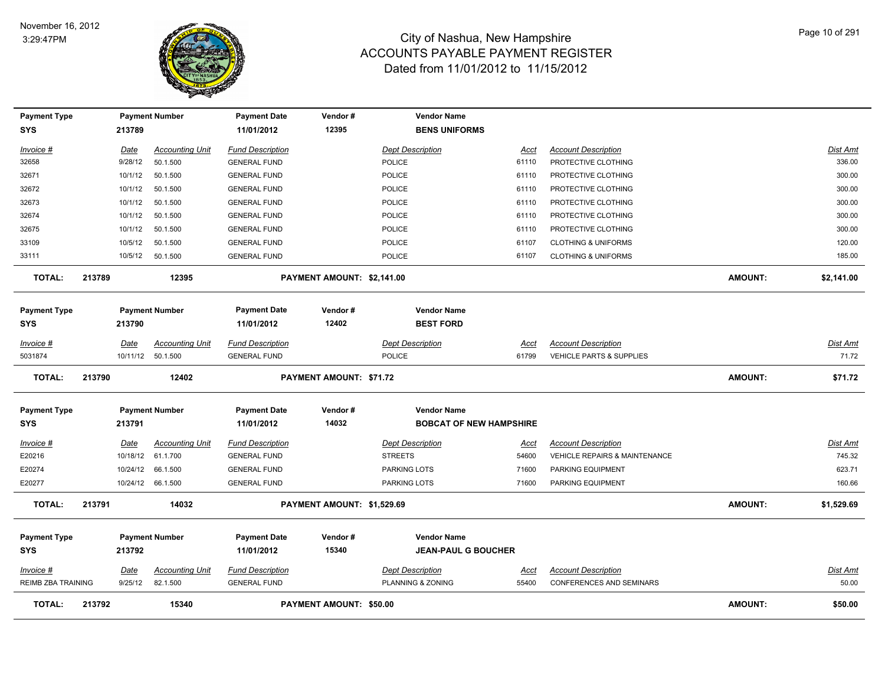

| <b>Payment Type</b><br><b>SYS</b> |        | 213789      | <b>Payment Number</b>  | <b>Payment Date</b><br>11/01/2012 | Vendor#<br>12395               |                | <b>Vendor Name</b><br><b>BENS UNIFORMS</b> |             |                                 |                |                 |
|-----------------------------------|--------|-------------|------------------------|-----------------------------------|--------------------------------|----------------|--------------------------------------------|-------------|---------------------------------|----------------|-----------------|
|                                   |        |             |                        |                                   |                                |                |                                            |             |                                 |                |                 |
| Invoice #                         |        | <u>Date</u> | <b>Accounting Unit</b> | <b>Fund Description</b>           |                                |                | <b>Dept Description</b>                    | Acct        | <b>Account Description</b>      |                | Dist Amt        |
| 32658                             |        | 9/28/12     | 50.1.500               | <b>GENERAL FUND</b>               |                                | <b>POLICE</b>  |                                            | 61110       | PROTECTIVE CLOTHING             |                | 336.00          |
| 32671                             |        | 10/1/12     | 50.1.500               | <b>GENERAL FUND</b>               |                                | POLICE         |                                            | 61110       | PROTECTIVE CLOTHING             |                | 300.00          |
| 32672                             |        | 10/1/12     | 50.1.500               | <b>GENERAL FUND</b>               |                                | POLICE         |                                            | 61110       | PROTECTIVE CLOTHING             |                | 300.00          |
| 32673                             |        | 10/1/12     | 50.1.500               | <b>GENERAL FUND</b>               |                                | POLICE         |                                            | 61110       | PROTECTIVE CLOTHING             |                | 300.00          |
| 32674                             |        | 10/1/12     | 50.1.500               | <b>GENERAL FUND</b>               |                                | POLICE         |                                            | 61110       | PROTECTIVE CLOTHING             |                | 300.00          |
| 32675                             |        | 10/1/12     | 50.1.500               | <b>GENERAL FUND</b>               |                                | POLICE         |                                            | 61110       | PROTECTIVE CLOTHING             |                | 300.00          |
| 33109                             |        | 10/5/12     | 50.1.500               | <b>GENERAL FUND</b>               |                                | <b>POLICE</b>  |                                            | 61107       | <b>CLOTHING &amp; UNIFORMS</b>  |                | 120.00          |
| 33111                             |        | 10/5/12     | 50.1.500               | <b>GENERAL FUND</b>               |                                | <b>POLICE</b>  |                                            | 61107       | <b>CLOTHING &amp; UNIFORMS</b>  |                | 185.00          |
| <b>TOTAL:</b>                     | 213789 |             | 12395                  |                                   | PAYMENT AMOUNT: \$2,141.00     |                |                                            |             |                                 | <b>AMOUNT:</b> | \$2,141.00      |
| <b>Payment Type</b>               |        |             | <b>Payment Number</b>  | <b>Payment Date</b>               | Vendor#                        |                | <b>Vendor Name</b>                         |             |                                 |                |                 |
| SYS                               |        | 213790      |                        | 11/01/2012                        | 12402                          |                | <b>BEST FORD</b>                           |             |                                 |                |                 |
| <u>Invoice #</u>                  |        | <b>Date</b> | <b>Accounting Unit</b> | <b>Fund Description</b>           |                                |                | <b>Dept Description</b>                    | <u>Acct</u> | <b>Account Description</b>      |                | Dist Amt        |
| 5031874                           |        |             | 10/11/12 50.1.500      | <b>GENERAL FUND</b>               |                                | <b>POLICE</b>  |                                            | 61799       | VEHICLE PARTS & SUPPLIES        |                | 71.72           |
|                                   |        |             |                        |                                   |                                |                |                                            |             |                                 |                |                 |
| <b>TOTAL:</b>                     | 213790 |             | 12402                  |                                   | PAYMENT AMOUNT: \$71.72        |                |                                            |             |                                 | <b>AMOUNT:</b> | \$71.72         |
| <b>Payment Type</b>               |        |             | <b>Payment Number</b>  | <b>Payment Date</b>               | Vendor#                        |                | <b>Vendor Name</b>                         |             |                                 |                |                 |
| SYS                               |        | 213791      |                        | 11/01/2012                        | 14032                          |                | <b>BOBCAT OF NEW HAMPSHIRE</b>             |             |                                 |                |                 |
| Invoice #                         |        | <b>Date</b> | <b>Accounting Unit</b> | <b>Fund Description</b>           |                                |                | <b>Dept Description</b>                    | Acct        | <b>Account Description</b>      |                | Dist Amt        |
| E20216                            |        | 10/18/12    | 61.1.700               | <b>GENERAL FUND</b>               |                                | <b>STREETS</b> |                                            | 54600       | VEHICLE REPAIRS & MAINTENANCE   |                | 745.32          |
| E20274                            |        | 10/24/12    | 66.1.500               | <b>GENERAL FUND</b>               |                                | PARKING LOTS   |                                            | 71600       | PARKING EQUIPMENT               |                | 623.71          |
| E20277                            |        |             | 10/24/12 66.1.500      | <b>GENERAL FUND</b>               |                                | PARKING LOTS   |                                            | 71600       | PARKING EQUIPMENT               |                | 160.66          |
| <b>TOTAL:</b>                     | 213791 |             | 14032                  |                                   | PAYMENT AMOUNT: \$1,529.69     |                |                                            |             |                                 | <b>AMOUNT:</b> | \$1,529.69      |
| <b>Payment Type</b>               |        |             | <b>Payment Number</b>  | <b>Payment Date</b>               | Vendor#                        |                | <b>Vendor Name</b>                         |             |                                 |                |                 |
| <b>SYS</b>                        |        | 213792      |                        | 11/01/2012                        | 15340                          |                | <b>JEAN-PAUL G BOUCHER</b>                 |             |                                 |                |                 |
| Invoice #                         |        | <u>Date</u> | <b>Accounting Unit</b> | <b>Fund Description</b>           |                                |                | <b>Dept Description</b>                    | <u>Acct</u> | <b>Account Description</b>      |                | <u>Dist Amt</u> |
| REIMB ZBA TRAINING                |        | 9/25/12     | 82.1.500               | <b>GENERAL FUND</b>               |                                |                | PLANNING & ZONING                          | 55400       | <b>CONFERENCES AND SEMINARS</b> |                | 50.00           |
| TOTAL:                            | 213792 |             | 15340                  |                                   | <b>PAYMENT AMOUNT: \$50.00</b> |                |                                            |             |                                 | <b>AMOUNT:</b> | \$50.00         |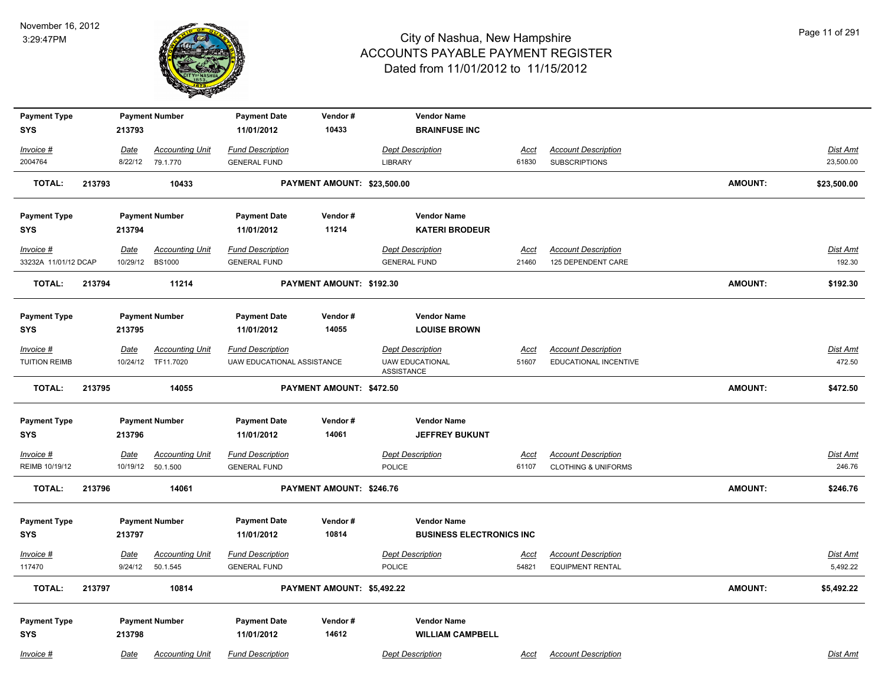

| <b>Payment Type</b>               |        |                         | <b>Payment Number</b>              | <b>Payment Date</b>                            | Vendor#                     | <b>Vendor Name</b>                                    |                      |                                                              |                |                             |
|-----------------------------------|--------|-------------------------|------------------------------------|------------------------------------------------|-----------------------------|-------------------------------------------------------|----------------------|--------------------------------------------------------------|----------------|-----------------------------|
| <b>SYS</b>                        |        | 213793                  |                                    | 11/01/2012                                     | 10433                       | <b>BRAINFUSE INC</b>                                  |                      |                                                              |                |                             |
| Invoice #                         |        | Date                    | <b>Accounting Unit</b>             | <b>Fund Description</b>                        |                             | <b>Dept Description</b>                               | Acct                 | <b>Account Description</b>                                   |                | Dist Amt                    |
| 2004764                           |        | 8/22/12                 | 79.1.770                           | <b>GENERAL FUND</b>                            |                             | <b>LIBRARY</b>                                        | 61830                | <b>SUBSCRIPTIONS</b>                                         |                | 23,500.00                   |
| <b>TOTAL:</b>                     | 213793 |                         | 10433                              |                                                | PAYMENT AMOUNT: \$23,500.00 |                                                       |                      |                                                              | <b>AMOUNT:</b> | \$23,500.00                 |
| <b>Payment Type</b>               |        |                         | <b>Payment Number</b>              | <b>Payment Date</b>                            | Vendor#                     | <b>Vendor Name</b>                                    |                      |                                                              |                |                             |
| <b>SYS</b>                        |        | 213794                  |                                    | 11/01/2012                                     | 11214                       | <b>KATERI BRODEUR</b>                                 |                      |                                                              |                |                             |
| Invoice #                         |        | <b>Date</b>             | <b>Accounting Unit</b>             | <b>Fund Description</b>                        |                             | <b>Dept Description</b>                               | <u>Acct</u>          | <b>Account Description</b>                                   |                | <u>Dist Amt</u>             |
| 33232A 11/01/12 DCAP              |        | 10/29/12                | <b>BS1000</b>                      | <b>GENERAL FUND</b>                            |                             | <b>GENERAL FUND</b>                                   | 21460                | 125 DEPENDENT CARE                                           |                | 192.30                      |
| <b>TOTAL:</b>                     | 213794 |                         | 11214                              |                                                | PAYMENT AMOUNT: \$192.30    |                                                       |                      |                                                              | <b>AMOUNT:</b> | \$192.30                    |
| <b>Payment Type</b>               |        |                         | <b>Payment Number</b>              | <b>Payment Date</b>                            | Vendor#                     | <b>Vendor Name</b>                                    |                      |                                                              |                |                             |
| <b>SYS</b>                        |        | 213795                  |                                    | 11/01/2012                                     | 14055                       | <b>LOUISE BROWN</b>                                   |                      |                                                              |                |                             |
| Invoice #                         |        | Date                    | <b>Accounting Unit</b>             | <b>Fund Description</b>                        |                             | <b>Dept Description</b>                               | <u>Acct</u>          | <b>Account Description</b>                                   |                | Dist Amt                    |
| <b>TUITION REIMB</b>              |        |                         | 10/24/12 TF11.7020                 | UAW EDUCATIONAL ASSISTANCE                     |                             | <b>UAW EDUCATIONAL</b><br>ASSISTANCE                  | 51607                | EDUCATIONAL INCENTIVE                                        |                | 472.50                      |
| <b>TOTAL:</b>                     | 213795 |                         | 14055                              |                                                | PAYMENT AMOUNT: \$472.50    |                                                       |                      |                                                              | AMOUNT:        | \$472.50                    |
| <b>Payment Type</b>               |        |                         | <b>Payment Number</b>              | <b>Payment Date</b>                            | Vendor#                     | <b>Vendor Name</b>                                    |                      |                                                              |                |                             |
| <b>SYS</b>                        |        | 213796                  |                                    | 11/01/2012                                     | 14061                       | <b>JEFFREY BUKUNT</b>                                 |                      |                                                              |                |                             |
| $Invoice$ #<br>REIMB 10/19/12     |        | <b>Date</b><br>10/19/12 | <b>Accounting Unit</b><br>50.1.500 | <b>Fund Description</b><br><b>GENERAL FUND</b> |                             | <b>Dept Description</b><br><b>POLICE</b>              | Acct<br>61107        | <b>Account Description</b><br><b>CLOTHING &amp; UNIFORMS</b> |                | <u>Dist Amt</u><br>246.76   |
| <b>TOTAL:</b>                     | 213796 |                         | 14061                              |                                                | PAYMENT AMOUNT: \$246.76    |                                                       |                      |                                                              | <b>AMOUNT:</b> | \$246.76                    |
| <b>Payment Type</b><br><b>SYS</b> |        | 213797                  | <b>Payment Number</b>              | <b>Payment Date</b><br>11/01/2012              | Vendor#<br>10814            | <b>Vendor Name</b><br><b>BUSINESS ELECTRONICS INC</b> |                      |                                                              |                |                             |
| $Invoice$ #<br>117470             |        | <u>Date</u><br>9/24/12  | <b>Accounting Unit</b><br>50.1.545 | <b>Fund Description</b><br><b>GENERAL FUND</b> |                             | <b>Dept Description</b><br><b>POLICE</b>              | <u>Acct</u><br>54821 | <b>Account Description</b><br><b>EQUIPMENT RENTAL</b>        |                | <u>Dist Amt</u><br>5,492.22 |
| <b>TOTAL:</b>                     | 213797 |                         | 10814                              |                                                | PAYMENT AMOUNT: \$5,492.22  |                                                       |                      |                                                              | <b>AMOUNT:</b> | \$5,492.22                  |
| <b>Payment Type</b><br><b>SYS</b> |        | 213798                  | <b>Payment Number</b>              | <b>Payment Date</b><br>11/01/2012              | Vendor#<br>14612            | <b>Vendor Name</b><br><b>WILLIAM CAMPBELL</b>         |                      |                                                              |                |                             |
| Invoice #                         |        | Date                    | <b>Accounting Unit</b>             | <b>Fund Description</b>                        |                             | <b>Dept Description</b>                               | Acct                 | <b>Account Description</b>                                   |                | Dist Amt                    |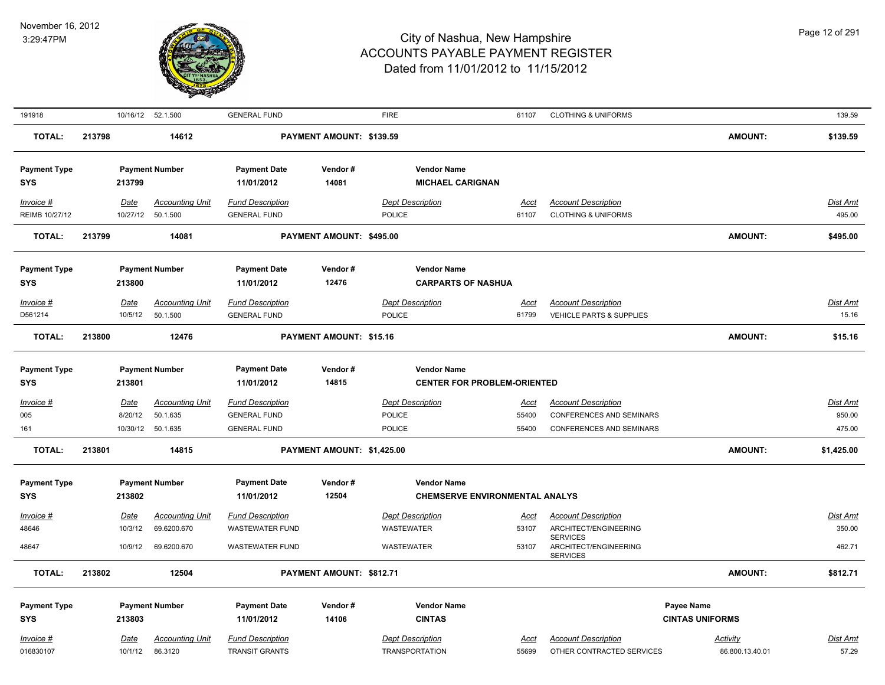

| 191918              |        |             | 10/16/12 52.1.500      | <b>GENERAL FUND</b>     |                            | <b>FIRE</b>             |                                       | 61107       | <b>CLOTHING &amp; UNIFORMS</b>                              |                        | 139.59          |
|---------------------|--------|-------------|------------------------|-------------------------|----------------------------|-------------------------|---------------------------------------|-------------|-------------------------------------------------------------|------------------------|-----------------|
| <b>TOTAL:</b>       | 213798 |             | 14612                  |                         | PAYMENT AMOUNT: \$139.59   |                         |                                       |             |                                                             | <b>AMOUNT:</b>         | \$139.59        |
| <b>Payment Type</b> |        |             | <b>Payment Number</b>  | <b>Payment Date</b>     | Vendor#                    |                         | <b>Vendor Name</b>                    |             |                                                             |                        |                 |
| <b>SYS</b>          |        | 213799      |                        | 11/01/2012              | 14081                      |                         | <b>MICHAEL CARIGNAN</b>               |             |                                                             |                        |                 |
| Invoice #           |        | <u>Date</u> | <b>Accounting Unit</b> | <b>Fund Description</b> |                            | <b>Dept Description</b> |                                       | <u>Acct</u> | <b>Account Description</b>                                  |                        | Dist Amt        |
| REIMB 10/27/12      |        |             | 10/27/12 50.1.500      | <b>GENERAL FUND</b>     |                            | POLICE                  |                                       | 61107       | <b>CLOTHING &amp; UNIFORMS</b>                              |                        | 495.00          |
| <b>TOTAL:</b>       | 213799 |             | 14081                  |                         | PAYMENT AMOUNT: \$495.00   |                         |                                       |             |                                                             | <b>AMOUNT:</b>         | \$495.00        |
| <b>Payment Type</b> |        |             | <b>Payment Number</b>  | <b>Payment Date</b>     | Vendor#                    |                         | <b>Vendor Name</b>                    |             |                                                             |                        |                 |
| SYS                 |        | 213800      |                        | 11/01/2012              | 12476                      |                         | <b>CARPARTS OF NASHUA</b>             |             |                                                             |                        |                 |
| Invoice #           |        | <b>Date</b> | <b>Accounting Unit</b> | <b>Fund Description</b> |                            | <b>Dept Description</b> |                                       | <u>Acct</u> | <b>Account Description</b>                                  |                        | Dist Amt        |
| D561214             |        | 10/5/12     | 50.1.500               | <b>GENERAL FUND</b>     |                            | <b>POLICE</b>           |                                       | 61799       | <b>VEHICLE PARTS &amp; SUPPLIES</b>                         |                        | 15.16           |
| <b>TOTAL:</b>       | 213800 |             | 12476                  |                         | PAYMENT AMOUNT: \$15.16    |                         |                                       |             |                                                             | <b>AMOUNT:</b>         | \$15.16         |
| <b>Payment Type</b> |        |             | <b>Payment Number</b>  | <b>Payment Date</b>     | Vendor#                    |                         | <b>Vendor Name</b>                    |             |                                                             |                        |                 |
| <b>SYS</b>          |        | 213801      |                        | 11/01/2012              | 14815                      |                         | <b>CENTER FOR PROBLEM-ORIENTED</b>    |             |                                                             |                        |                 |
| Invoice #           |        | Date        | <b>Accounting Unit</b> | <b>Fund Description</b> |                            | <b>Dept Description</b> |                                       | <u>Acct</u> | <b>Account Description</b>                                  |                        | Dist Amt        |
| 005                 |        | 8/20/12     | 50.1.635               | <b>GENERAL FUND</b>     |                            | <b>POLICE</b>           |                                       | 55400       | <b>CONFERENCES AND SEMINARS</b>                             |                        | 950.00          |
| 161                 |        | 10/30/12    | 50.1.635               | <b>GENERAL FUND</b>     |                            | <b>POLICE</b>           |                                       | 55400       | <b>CONFERENCES AND SEMINARS</b>                             |                        | 475.00          |
| <b>TOTAL:</b>       | 213801 |             | 14815                  |                         | PAYMENT AMOUNT: \$1,425.00 |                         |                                       |             |                                                             | <b>AMOUNT:</b>         | \$1,425.00      |
| <b>Payment Type</b> |        |             | <b>Payment Number</b>  | <b>Payment Date</b>     | Vendor#                    |                         | <b>Vendor Name</b>                    |             |                                                             |                        |                 |
| <b>SYS</b>          |        | 213802      |                        | 11/01/2012              | 12504                      |                         | <b>CHEMSERVE ENVIRONMENTAL ANALYS</b> |             |                                                             |                        |                 |
| Invoice #           |        | Date        | <b>Accounting Unit</b> | <b>Fund Description</b> |                            | <b>Dept Description</b> |                                       | Acct        | <b>Account Description</b>                                  |                        | Dist Amt        |
| 48646               |        | 10/3/12     | 69.6200.670            | <b>WASTEWATER FUND</b>  |                            | <b>WASTEWATER</b>       |                                       | 53107       | ARCHITECT/ENGINEERING                                       |                        | 350.00          |
| 48647               |        | 10/9/12     | 69.6200.670            | <b>WASTEWATER FUND</b>  |                            | <b>WASTEWATER</b>       |                                       | 53107       | <b>SERVICES</b><br>ARCHITECT/ENGINEERING<br><b>SERVICES</b> |                        | 462.71          |
| <b>TOTAL:</b>       | 213802 |             | 12504                  |                         | PAYMENT AMOUNT: \$812.71   |                         |                                       |             |                                                             | <b>AMOUNT:</b>         | \$812.71        |
| <b>Payment Type</b> |        |             | <b>Payment Number</b>  | <b>Payment Date</b>     | Vendor#                    |                         | <b>Vendor Name</b>                    |             |                                                             | Payee Name             |                 |
| <b>SYS</b>          |        | 213803      |                        | 11/01/2012              | 14106                      |                         | <b>CINTAS</b>                         |             |                                                             | <b>CINTAS UNIFORMS</b> |                 |
| Invoice #           |        | Date        | <b>Accounting Unit</b> | <b>Fund Description</b> |                            | <b>Dept Description</b> |                                       | Acct        | <b>Account Description</b>                                  | <b>Activity</b>        | <b>Dist Amt</b> |
| 016830107           |        | 10/1/12     | 86.3120                | <b>TRANSIT GRANTS</b>   |                            | <b>TRANSPORTATION</b>   |                                       | 55699       | OTHER CONTRACTED SERVICES                                   | 86.800.13.40.01        | 57.29           |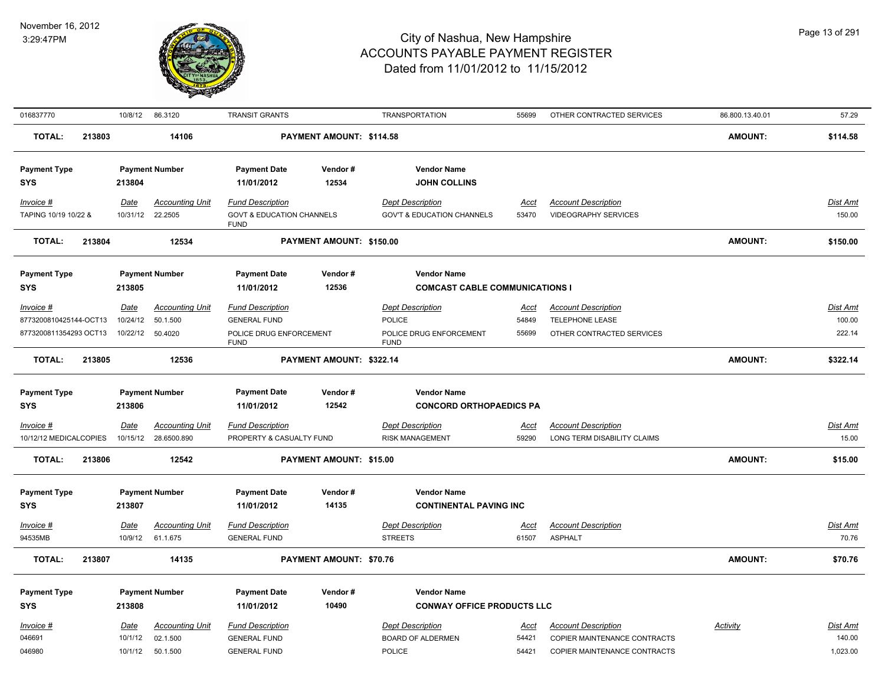

| 016837770               | 10/8/12     | 86.3120                | <b>TRANSIT GRANTS</b>                               |                          | <b>TRANSPORTATION</b>                  | 55699       | OTHER CONTRACTED SERVICES    | 86.800.13.40.01 | 57.29           |
|-------------------------|-------------|------------------------|-----------------------------------------------------|--------------------------|----------------------------------------|-------------|------------------------------|-----------------|-----------------|
| <b>TOTAL:</b><br>213803 |             | 14106                  |                                                     | PAYMENT AMOUNT: \$114.58 |                                        |             |                              | AMOUNT:         | \$114.58        |
| <b>Payment Type</b>     |             | <b>Payment Number</b>  | <b>Payment Date</b>                                 | Vendor#                  | <b>Vendor Name</b>                     |             |                              |                 |                 |
| <b>SYS</b>              | 213804      |                        | 11/01/2012                                          | 12534                    | <b>JOHN COLLINS</b>                    |             |                              |                 |                 |
| Invoice #               | Date        | <b>Accounting Unit</b> | <b>Fund Description</b>                             |                          | <b>Dept Description</b>                | <u>Acct</u> | <b>Account Description</b>   |                 | <b>Dist Amt</b> |
| TAPING 10/19 10/22 &    | 10/31/12    | 22.2505                | <b>GOVT &amp; EDUCATION CHANNELS</b><br><b>FUND</b> |                          | <b>GOV'T &amp; EDUCATION CHANNELS</b>  | 53470       | <b>VIDEOGRAPHY SERVICES</b>  |                 | 150.00          |
| <b>TOTAL:</b><br>213804 |             | 12534                  |                                                     | PAYMENT AMOUNT: \$150.00 |                                        |             |                              | AMOUNT:         | \$150.00        |
| <b>Payment Type</b>     |             | <b>Payment Number</b>  | <b>Payment Date</b>                                 | Vendor#                  | <b>Vendor Name</b>                     |             |                              |                 |                 |
| <b>SYS</b>              | 213805      |                        | 11/01/2012                                          | 12536                    | <b>COMCAST CABLE COMMUNICATIONS I</b>  |             |                              |                 |                 |
| Invoice #               | <u>Date</u> | <b>Accounting Unit</b> | <b>Fund Description</b>                             |                          | <b>Dept Description</b>                | <u>Acct</u> | <b>Account Description</b>   |                 | <b>Dist Amt</b> |
| 8773200810425144-OCT13  | 10/24/12    | 50.1.500               | <b>GENERAL FUND</b>                                 |                          | POLICE                                 | 54849       | TELEPHONE LEASE              |                 | 100.00          |
| 8773200811354293 OCT13  | 10/22/12    | 50.4020                | POLICE DRUG ENFORCEMENT<br><b>FUND</b>              |                          | POLICE DRUG ENFORCEMENT<br><b>FUND</b> | 55699       | OTHER CONTRACTED SERVICES    |                 | 222.14          |
| TOTAL:<br>213805        |             | 12536                  |                                                     | PAYMENT AMOUNT: \$322.14 |                                        |             |                              | <b>AMOUNT:</b>  | \$322.14        |
| <b>Payment Type</b>     |             | <b>Payment Number</b>  | <b>Payment Date</b>                                 | Vendor#                  | <b>Vendor Name</b>                     |             |                              |                 |                 |
| <b>SYS</b>              | 213806      |                        | 11/01/2012                                          | 12542                    | <b>CONCORD ORTHOPAEDICS PA</b>         |             |                              |                 |                 |
| Invoice #               | <b>Date</b> | <b>Accounting Unit</b> | <b>Fund Description</b>                             |                          | <b>Dept Description</b>                | <u>Acct</u> | <b>Account Description</b>   |                 | <b>Dist Amt</b> |
| 10/12/12 MEDICALCOPIES  | 10/15/12    | 28.6500.890            | PROPERTY & CASUALTY FUND                            |                          | <b>RISK MANAGEMENT</b>                 | 59290       | LONG TERM DISABILITY CLAIMS  |                 | 15.00           |
| <b>TOTAL:</b><br>213806 |             | 12542                  |                                                     | PAYMENT AMOUNT: \$15.00  |                                        |             |                              | AMOUNT:         | \$15.00         |
| <b>Payment Type</b>     |             | <b>Payment Number</b>  | <b>Payment Date</b>                                 | Vendor#                  | <b>Vendor Name</b>                     |             |                              |                 |                 |
| <b>SYS</b>              | 213807      |                        | 11/01/2012                                          | 14135                    | <b>CONTINENTAL PAVING INC</b>          |             |                              |                 |                 |
| <b>Invoice #</b>        | Date        | <b>Accounting Unit</b> | <b>Fund Description</b>                             |                          | <b>Dept Description</b>                | <u>Acct</u> | <b>Account Description</b>   |                 | <u>Dist Amt</u> |
| 94535MB                 | 10/9/12     | 61.1.675               | <b>GENERAL FUND</b>                                 |                          | <b>STREETS</b>                         | 61507       | <b>ASPHALT</b>               |                 | 70.76           |
| <b>TOTAL:</b><br>213807 |             | 14135                  |                                                     | PAYMENT AMOUNT: \$70.76  |                                        |             |                              | AMOUNT:         | \$70.76         |
| <b>Payment Type</b>     |             | <b>Payment Number</b>  | <b>Payment Date</b>                                 | Vendor#                  | <b>Vendor Name</b>                     |             |                              |                 |                 |
| <b>SYS</b>              | 213808      |                        | 11/01/2012                                          | 10490                    | <b>CONWAY OFFICE PRODUCTS LLC</b>      |             |                              |                 |                 |
| Invoice #               | Date        | <b>Accounting Unit</b> | <b>Fund Description</b>                             |                          | <b>Dept Description</b>                | Acct        | <b>Account Description</b>   | <b>Activity</b> | Dist Amt        |
| 046691                  | 10/1/12     | 02.1.500               | <b>GENERAL FUND</b>                                 |                          | <b>BOARD OF ALDERMEN</b>               | 54421       | COPIER MAINTENANCE CONTRACTS |                 | 140.00          |
| 046980                  | 10/1/12     | 50.1.500               | <b>GENERAL FUND</b>                                 |                          | POLICE                                 | 54421       | COPIER MAINTENANCE CONTRACTS |                 | 1,023.00        |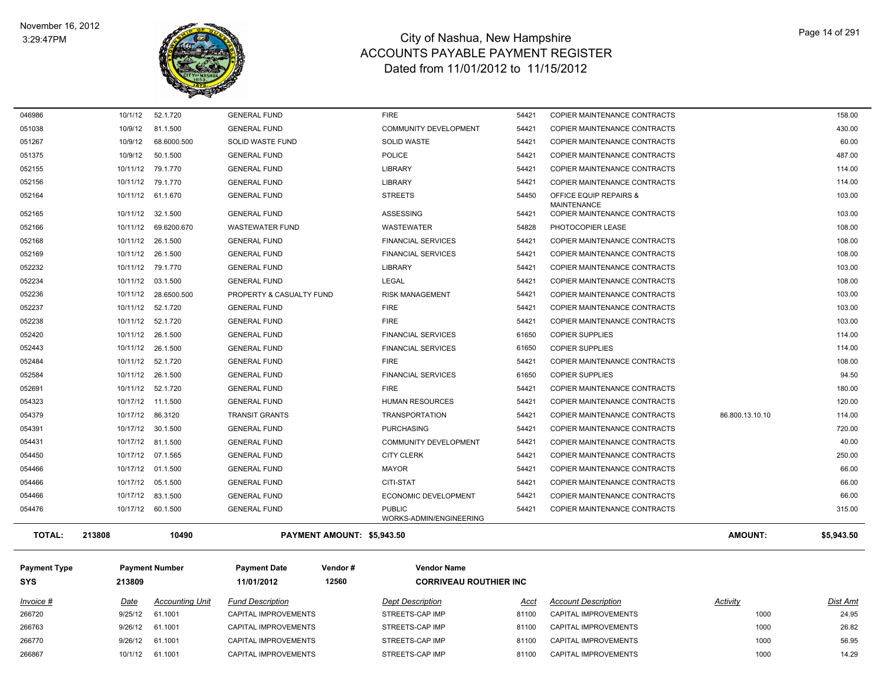

| 052236        | 10/11/12 | 28.6500.500       | PROPERTY & CASUALTY FUND |                            | <b>RISK MANAGEMENT</b>                   | 54421 | COPIER MAINTENANCE CONTRACTS |                 | 103.00     |
|---------------|----------|-------------------|--------------------------|----------------------------|------------------------------------------|-------|------------------------------|-----------------|------------|
|               | 10/11/12 | 79.1.770          | <b>GENERAL FUND</b>      |                            | <b>LIBRARY</b>                           | 54421 | COPIER MAINTENANCE CONTRACTS |                 | 103.00     |
| 052234        | 10/11/12 | 03.1.500          | <b>GENERAL FUND</b>      |                            | <b>LEGAL</b>                             | 54421 | COPIER MAINTENANCE CONTRACTS |                 | 108.00     |
|               |          |                   |                          |                            |                                          |       |                              |                 |            |
| 052237        | 10/11/12 | 52.1.720          | <b>GENERAL FUND</b>      |                            | <b>FIRE</b>                              | 54421 | COPIER MAINTENANCE CONTRACTS |                 | 103.00     |
| 052238        |          | 10/11/12 52.1.720 | <b>GENERAL FUND</b>      |                            | <b>FIRE</b>                              | 54421 | COPIER MAINTENANCE CONTRACTS |                 | 103.00     |
| 052420        |          | 10/11/12 26.1.500 | <b>GENERAL FUND</b>      |                            | <b>FINANCIAL SERVICES</b>                | 61650 | <b>COPIER SUPPLIES</b>       |                 | 114.00     |
| 052443        | 10/11/12 | 26.1.500          | <b>GENERAL FUND</b>      |                            | <b>FINANCIAL SERVICES</b>                | 61650 | <b>COPIER SUPPLIES</b>       |                 | 114.00     |
| 052484        | 10/11/12 | 52.1.720          | <b>GENERAL FUND</b>      |                            | <b>FIRE</b>                              | 54421 | COPIER MAINTENANCE CONTRACTS |                 | 108.00     |
| 052584        | 10/11/12 | 26.1.500          | <b>GENERAL FUND</b>      |                            | <b>FINANCIAL SERVICES</b>                | 61650 | <b>COPIER SUPPLIES</b>       |                 | 94.50      |
| 052691        | 10/11/12 | 52.1.720          | <b>GENERAL FUND</b>      |                            | <b>FIRE</b>                              | 54421 | COPIER MAINTENANCE CONTRACTS |                 | 180.00     |
| 054323        | 10/17/12 | 11.1.500          | <b>GENERAL FUND</b>      |                            | <b>HUMAN RESOURCES</b>                   | 54421 | COPIER MAINTENANCE CONTRACTS |                 | 120.00     |
| 054379        | 10/17/12 | 86.3120           | <b>TRANSIT GRANTS</b>    |                            | <b>TRANSPORTATION</b>                    | 54421 | COPIER MAINTENANCE CONTRACTS | 86.800.13.10.10 | 114.00     |
| 054391        | 10/17/12 | 30.1.500          | <b>GENERAL FUND</b>      |                            | <b>PURCHASING</b>                        | 54421 | COPIER MAINTENANCE CONTRACTS |                 | 720.00     |
| 054431        | 10/17/12 | 81.1.500          | <b>GENERAL FUND</b>      |                            | <b>COMMUNITY DEVELOPMENT</b>             | 54421 | COPIER MAINTENANCE CONTRACTS |                 | 40.00      |
| 054450        | 10/17/12 | 07.1.565          | <b>GENERAL FUND</b>      |                            | <b>CITY CLERK</b>                        | 54421 | COPIER MAINTENANCE CONTRACTS |                 | 250.00     |
| 054466        | 10/17/12 | 01.1.500          | <b>GENERAL FUND</b>      |                            | <b>MAYOR</b>                             | 54421 | COPIER MAINTENANCE CONTRACTS |                 | 66.00      |
| 054466        | 10/17/12 | 05.1.500          | <b>GENERAL FUND</b>      |                            | <b>CITI-STAT</b>                         | 54421 | COPIER MAINTENANCE CONTRACTS |                 | 66.00      |
| 054466        | 10/17/12 | 83.1.500          | <b>GENERAL FUND</b>      |                            | ECONOMIC DEVELOPMENT                     | 54421 | COPIER MAINTENANCE CONTRACTS |                 | 66.00      |
| 054476        | 10/17/12 | 60.1.500          | <b>GENERAL FUND</b>      |                            | <b>PUBLIC</b><br>WORKS-ADMIN/ENGINEERING | 54421 | COPIER MAINTENANCE CONTRACTS |                 | 315.00     |
| <b>TOTAL:</b> | 213808   | 10490             |                          | PAYMENT AMOUNT: \$5,943.50 |                                          |       |                              | <b>AMOUNT:</b>  | \$5,943.50 |

| <u> Invoice #</u> | Date    | <b>Accounting Unit</b> | <b>Fund Description</b>     | <b>Dept Description</b> | Acci  | <b>Account Description</b> | <u>Activity</u> | Dist Amt |
|-------------------|---------|------------------------|-----------------------------|-------------------------|-------|----------------------------|-----------------|----------|
| 266720            | 9/25/12 | 61.1001                | CAPITAL IMPROVEMENTS        | STREETS-CAP IMP         | 81100 | CAPITAL IMPROVEMENTS       | 1000            | 24.95    |
| 266763            | 9/26/12 | 61.1001                | <b>CAPITAL IMPROVEMENTS</b> | STREETS-CAP IMP         | 81100 | CAPITAL IMPROVEMENTS       | 1000            | 26.82    |
| 266770            |         | 9/26/12 61.1001        | CAPITAL IMPROVEMENTS        | STREETS-CAP IMP         | 81100 | CAPITAL IMPROVEMENTS       | 1000            | 56.95    |
| 266867            | 10/1/12 | 61.1001                | CAPITAL IMPROVEMENTS        | STREETS-CAP IMP         | 81100 | CAPITAL IMPROVEMENTS       | 1000            | 14.29    |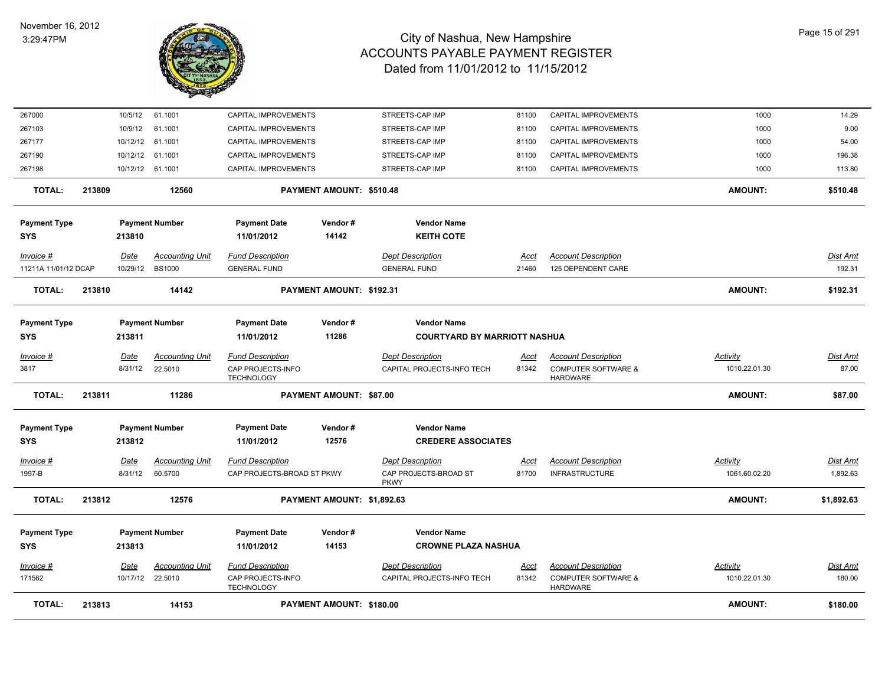

| <b>TOTAL:</b>        | 213813 |          | 14153                  |                                        | PAYMENT AMOUNT: \$180.00   |                                      |       |                                                   | <b>AMOUNT:</b> | \$180.00        |
|----------------------|--------|----------|------------------------|----------------------------------------|----------------------------|--------------------------------------|-------|---------------------------------------------------|----------------|-----------------|
| 171562               |        | 10/17/12 | 22.5010                | CAP PROJECTS-INFO<br><b>TECHNOLOGY</b> |                            | CAPITAL PROJECTS-INFO TECH           | 81342 | <b>COMPUTER SOFTWARE &amp;</b><br><b>HARDWARE</b> | 1010.22.01.30  | 180.00          |
| Invoice #            |        | Date     | <b>Accounting Unit</b> | <b>Fund Description</b>                |                            | <b>Dept Description</b>              | Acct  | <b>Account Description</b>                        | Activity       | Dist Amt        |
| <b>SYS</b>           |        | 213813   |                        | 11/01/2012                             | 14153                      | <b>CROWNE PLAZA NASHUA</b>           |       |                                                   |                |                 |
| <b>Payment Type</b>  |        |          | <b>Payment Number</b>  | <b>Payment Date</b>                    | Vendor#                    | <b>Vendor Name</b>                   |       |                                                   |                |                 |
| <b>TOTAL:</b>        | 213812 |          | 12576                  |                                        | PAYMENT AMOUNT: \$1,892.63 |                                      |       |                                                   | <b>AMOUNT:</b> | \$1,892.63      |
| 1997-B               |        | 8/31/12  | 60.5700                | CAP PROJECTS-BROAD ST PKWY             |                            | CAP PROJECTS-BROAD ST<br><b>PKWY</b> | 81700 | <b>INFRASTRUCTURE</b>                             | 1061.60.02.20  | 1,892.63        |
| Invoice #            |        | Date     | <b>Accounting Unit</b> | <b>Fund Description</b>                |                            | <b>Dept Description</b>              | Acct  | <b>Account Description</b>                        | Activity       | Dist Amt        |
| <b>SYS</b>           |        | 213812   |                        | 11/01/2012                             | 12576                      | <b>CREDERE ASSOCIATES</b>            |       |                                                   |                |                 |
| <b>Payment Type</b>  |        |          | <b>Payment Number</b>  | <b>Payment Date</b>                    | Vendor#                    | <b>Vendor Name</b>                   |       |                                                   |                |                 |
| <b>TOTAL:</b>        | 213811 |          | 11286                  |                                        | PAYMENT AMOUNT: \$87.00    |                                      |       |                                                   | <b>AMOUNT:</b> | \$87.00         |
| 3817                 |        | 8/31/12  | 22.5010                | CAP PROJECTS-INFO<br><b>TECHNOLOGY</b> |                            | CAPITAL PROJECTS-INFO TECH           | 81342 | <b>COMPUTER SOFTWARE &amp;</b><br><b>HARDWARE</b> | 1010.22.01.30  | 87.00           |
| Invoice #            |        | Date     | <b>Accounting Unit</b> | <b>Fund Description</b>                |                            | <b>Dept Description</b>              | Acct  | <b>Account Description</b>                        | Activity       | <u>Dist Amt</u> |
| SYS                  |        | 213811   |                        | 11/01/2012                             | 11286                      | <b>COURTYARD BY MARRIOTT NASHUA</b>  |       |                                                   |                |                 |
| <b>Payment Type</b>  |        |          | <b>Payment Number</b>  | <b>Payment Date</b>                    | Vendor#                    | <b>Vendor Name</b>                   |       |                                                   |                |                 |
| <b>TOTAL:</b>        | 213810 |          | 14142                  |                                        | PAYMENT AMOUNT: \$192.31   |                                      |       |                                                   | <b>AMOUNT:</b> | \$192.31        |
| 11211A 11/01/12 DCAP |        | 10/29/12 | <b>BS1000</b>          | <b>GENERAL FUND</b>                    |                            | <b>GENERAL FUND</b>                  | 21460 | 125 DEPENDENT CARE                                |                | 192.31          |
| Invoice #            |        | Date     | <b>Accounting Unit</b> | <b>Fund Description</b>                |                            | <b>Dept Description</b>              | Acct  | <b>Account Description</b>                        |                | <b>Dist Amt</b> |
| <b>SYS</b>           |        | 213810   |                        | 11/01/2012                             | 14142                      | <b>KEITH COTE</b>                    |       |                                                   |                |                 |
| <b>Payment Type</b>  |        |          | <b>Payment Number</b>  | <b>Payment Date</b>                    | Vendor#                    | <b>Vendor Name</b>                   |       |                                                   |                |                 |
| <b>TOTAL:</b>        | 213809 |          | 12560                  |                                        | PAYMENT AMOUNT: \$510.48   |                                      |       |                                                   | <b>AMOUNT:</b> | \$510.48        |
| 267198               |        | 10/12/12 | 61.1001                | CAPITAL IMPROVEMENTS                   |                            | STREETS-CAP IMP                      | 81100 | CAPITAL IMPROVEMENTS                              | 1000           | 113.80          |
| 267190               |        | 10/12/12 | 61.1001                | CAPITAL IMPROVEMENTS                   |                            | STREETS-CAP IMP                      | 81100 | CAPITAL IMPROVEMENTS                              | 1000           | 196.38          |
| 267177               |        | 10/12/12 | 61.1001                | CAPITAL IMPROVEMENTS                   |                            | STREETS-CAP IMP                      | 81100 | CAPITAL IMPROVEMENTS                              | 1000           | 54.00           |
| 267103               |        | 10/9/12  | 61.1001                | CAPITAL IMPROVEMENTS                   |                            | STREETS-CAP IMP                      | 81100 | CAPITAL IMPROVEMENTS                              | 1000           | 9.00            |
| 267000               |        | 10/5/12  | 61.1001                | CAPITAL IMPROVEMENTS                   |                            | STREETS-CAP IMP                      | 81100 | CAPITAL IMPROVEMENTS                              | 1000           | 14.29           |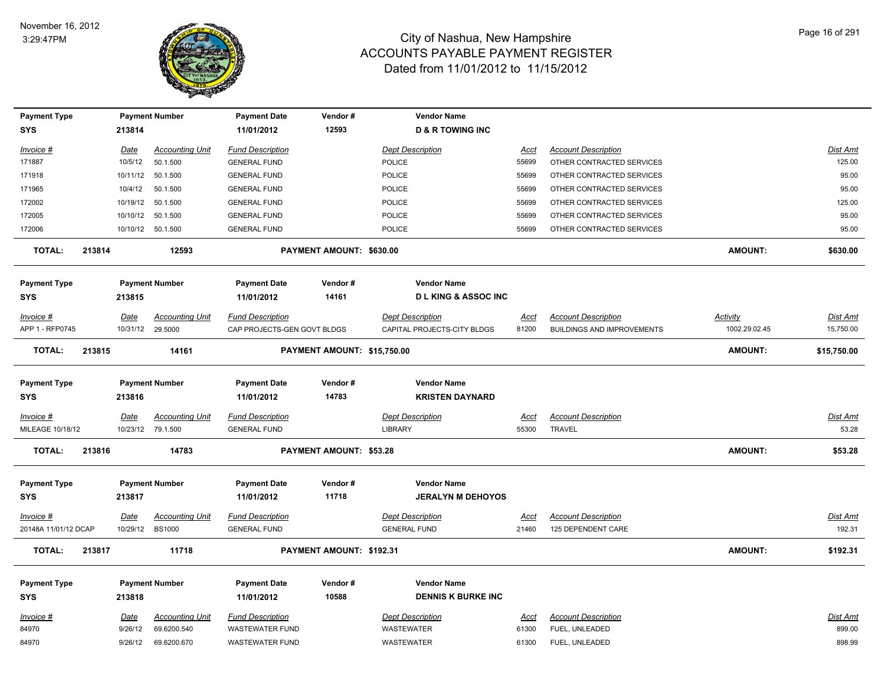

| <b>Payment Type</b>               |             | <b>Payment Number</b>  | <b>Payment Date</b>               | Vendor#                     | <b>Vendor Name</b>                             |             |                                   |                 |                 |
|-----------------------------------|-------------|------------------------|-----------------------------------|-----------------------------|------------------------------------------------|-------------|-----------------------------------|-----------------|-----------------|
| <b>SYS</b>                        | 213814      |                        | 11/01/2012                        | 12593                       | <b>D &amp; R TOWING INC</b>                    |             |                                   |                 |                 |
| Invoice #                         | Date        | <b>Accounting Unit</b> | <b>Fund Description</b>           |                             | <b>Dept Description</b>                        | Acct        | <b>Account Description</b>        |                 | Dist Amt        |
| 171887                            | 10/5/12     | 50.1.500               | <b>GENERAL FUND</b>               |                             | POLICE                                         | 55699       | OTHER CONTRACTED SERVICES         |                 | 125.00          |
| 171918                            | 10/11/12    | 50.1.500               | <b>GENERAL FUND</b>               |                             | <b>POLICE</b>                                  | 55699       | OTHER CONTRACTED SERVICES         |                 | 95.00           |
| 171965                            | 10/4/12     | 50.1.500               | <b>GENERAL FUND</b>               |                             | <b>POLICE</b>                                  | 55699       | OTHER CONTRACTED SERVICES         |                 | 95.00           |
| 172002                            |             | 10/19/12  50.1.500     | <b>GENERAL FUND</b>               |                             | <b>POLICE</b>                                  | 55699       | OTHER CONTRACTED SERVICES         |                 | 125.00          |
| 172005                            |             | 10/10/12  50.1.500     | <b>GENERAL FUND</b>               |                             | <b>POLICE</b>                                  | 55699       | OTHER CONTRACTED SERVICES         |                 | 95.00           |
| 172006                            |             | 10/10/12 50.1.500      | <b>GENERAL FUND</b>               |                             | <b>POLICE</b>                                  | 55699       | OTHER CONTRACTED SERVICES         |                 | 95.00           |
| <b>TOTAL:</b><br>213814           |             | 12593                  |                                   | PAYMENT AMOUNT: \$630.00    |                                                |             |                                   | <b>AMOUNT:</b>  | \$630.00        |
| <b>Payment Type</b>               |             | <b>Payment Number</b>  | <b>Payment Date</b>               | Vendor#                     | <b>Vendor Name</b>                             |             |                                   |                 |                 |
| <b>SYS</b>                        | 213815      |                        | 11/01/2012                        | 14161                       | <b>DLKING &amp; ASSOC INC</b>                  |             |                                   |                 |                 |
| Invoice #                         | Date        | <b>Accounting Unit</b> | <b>Fund Description</b>           |                             | <b>Dept Description</b>                        | Acct        | <b>Account Description</b>        | <b>Activity</b> | <b>Dist Amt</b> |
| APP 1 - RFP0745                   |             | 10/31/12 29.5000       | CAP PROJECTS-GEN GOVT BLDGS       |                             | CAPITAL PROJECTS-CITY BLDGS                    | 81200       | <b>BUILDINGS AND IMPROVEMENTS</b> | 1002.29.02.45   | 15,750.00       |
| <b>TOTAL:</b><br>213815           |             | 14161                  |                                   | PAYMENT AMOUNT: \$15,750.00 |                                                |             |                                   | AMOUNT:         | \$15,750.00     |
|                                   |             |                        |                                   |                             |                                                |             |                                   |                 |                 |
| <b>Payment Type</b>               |             | <b>Payment Number</b>  | <b>Payment Date</b>               | Vendor#                     | <b>Vendor Name</b>                             |             |                                   |                 |                 |
| <b>SYS</b>                        | 213816      |                        | 11/01/2012                        | 14783                       | <b>KRISTEN DAYNARD</b>                         |             |                                   |                 |                 |
| Invoice #                         | Date        | <b>Accounting Unit</b> | <b>Fund Description</b>           |                             | <b>Dept Description</b>                        | Acct        | <b>Account Description</b>        |                 | Dist Amt        |
| MILEAGE 10/18/12                  |             | 10/23/12 79.1.500      | <b>GENERAL FUND</b>               |                             | <b>LIBRARY</b>                                 | 55300       | TRAVEL                            |                 | 53.28           |
| 213816<br><b>TOTAL:</b>           |             | 14783                  |                                   | PAYMENT AMOUNT: \$53.28     |                                                |             |                                   | <b>AMOUNT:</b>  | \$53.28         |
|                                   |             |                        |                                   |                             |                                                |             |                                   |                 |                 |
| <b>Payment Type</b><br><b>SYS</b> | 213817      | <b>Payment Number</b>  | <b>Payment Date</b><br>11/01/2012 | Vendor#<br>11718            | <b>Vendor Name</b><br><b>JERALYN M DEHOYOS</b> |             |                                   |                 |                 |
|                                   |             |                        |                                   |                             |                                                |             |                                   |                 |                 |
| <u>Invoice #</u>                  | <b>Date</b> | <b>Accounting Unit</b> | <b>Fund Description</b>           |                             | <b>Dept Description</b>                        | <u>Acct</u> | <b>Account Description</b>        |                 | <u>Dist Amt</u> |
| 20148A 11/01/12 DCAP              | 10/29/12    | <b>BS1000</b>          | <b>GENERAL FUND</b>               |                             | <b>GENERAL FUND</b>                            | 21460       | 125 DEPENDENT CARE                |                 | 192.31          |
| 213817<br><b>TOTAL:</b>           |             | 11718                  |                                   | PAYMENT AMOUNT: \$192.31    |                                                |             |                                   | <b>AMOUNT:</b>  | \$192.31        |
| <b>Payment Type</b>               |             | <b>Payment Number</b>  | <b>Payment Date</b>               | Vendor#                     | <b>Vendor Name</b>                             |             |                                   |                 |                 |
| <b>SYS</b>                        | 213818      |                        | 11/01/2012                        | 10588                       | <b>DENNIS K BURKE INC</b>                      |             |                                   |                 |                 |
|                                   |             |                        |                                   |                             |                                                |             |                                   |                 |                 |
| Invoice #                         | Date        | <b>Accounting Unit</b> | <b>Fund Description</b>           |                             | <b>Dept Description</b>                        | <u>Acct</u> | <b>Account Description</b>        |                 | Dist Amt        |
| 84970                             | 9/26/12     | 69.6200.540            | <b>WASTEWATER FUND</b>            |                             | <b>WASTEWATER</b>                              | 61300       | FUEL, UNLEADED                    |                 | 899.00          |
| 84970                             | 9/26/12     | 69.6200.670            | <b>WASTEWATER FUND</b>            |                             | WASTEWATER                                     | 61300       | FUEL, UNLEADED                    |                 | 898.99          |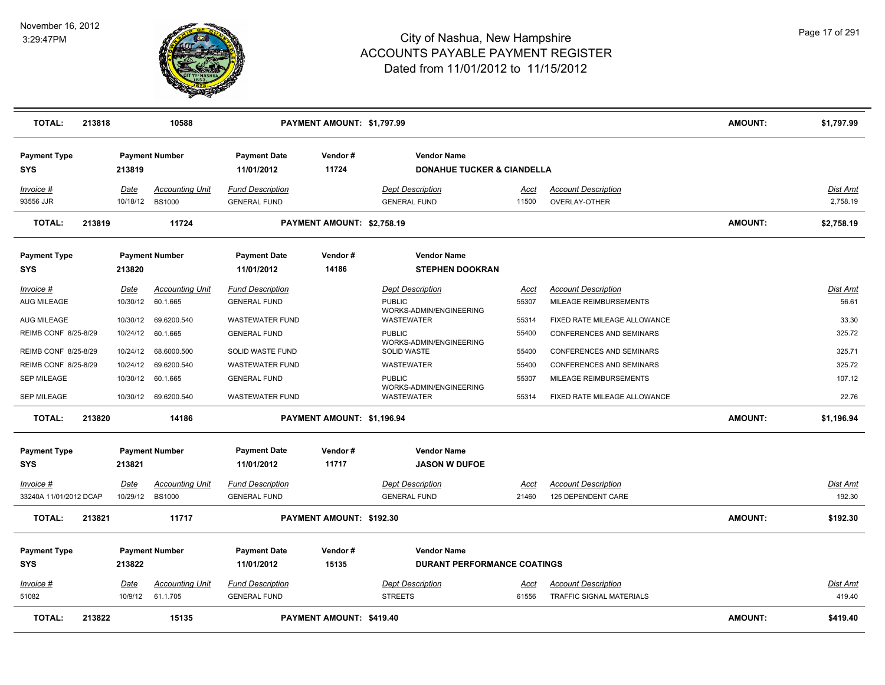

| <b>TOTAL:</b>                     | 213818 |             | 10588                  |                                   | PAYMENT AMOUNT: \$1,797.99      |                                                             |             |                                 | <b>AMOUNT:</b> | \$1,797.99      |
|-----------------------------------|--------|-------------|------------------------|-----------------------------------|---------------------------------|-------------------------------------------------------------|-------------|---------------------------------|----------------|-----------------|
| <b>Payment Type</b><br><b>SYS</b> |        | 213819      | <b>Payment Number</b>  | <b>Payment Date</b><br>11/01/2012 | Vendor#<br>11724                | <b>Vendor Name</b><br><b>DONAHUE TUCKER &amp; CIANDELLA</b> |             |                                 |                |                 |
| Invoice #                         |        | Date        | <b>Accounting Unit</b> | <b>Fund Description</b>           |                                 | <b>Dept Description</b>                                     | Acct        | <b>Account Description</b>      |                | Dist Amt        |
| 93556 JJR                         |        | 10/18/12    | <b>BS1000</b>          | <b>GENERAL FUND</b>               |                                 | <b>GENERAL FUND</b>                                         | 11500       | OVERLAY-OTHER                   |                | 2,758.19        |
| <b>TOTAL:</b>                     | 213819 |             | 11724                  |                                   | PAYMENT AMOUNT: \$2,758.19      |                                                             |             |                                 | <b>AMOUNT:</b> | \$2,758.19      |
| <b>Payment Type</b>               |        |             | <b>Payment Number</b>  | <b>Payment Date</b>               | Vendor#                         | <b>Vendor Name</b>                                          |             |                                 |                |                 |
| <b>SYS</b>                        |        | 213820      |                        | 11/01/2012                        | 14186                           | <b>STEPHEN DOOKRAN</b>                                      |             |                                 |                |                 |
| Invoice #                         |        | <u>Date</u> | <b>Accounting Unit</b> | <b>Fund Description</b>           |                                 | <b>Dept Description</b>                                     | <u>Acct</u> | <b>Account Description</b>      |                | Dist Amt        |
| <b>AUG MILEAGE</b>                |        | 10/30/12    | 60.1.665               | <b>GENERAL FUND</b>               |                                 | <b>PUBLIC</b>                                               | 55307       | MILEAGE REIMBURSEMENTS          |                | 56.61           |
| <b>AUG MILEAGE</b>                |        | 10/30/12    | 69.6200.540            | <b>WASTEWATER FUND</b>            |                                 | WORKS-ADMIN/ENGINEERING<br><b>WASTEWATER</b>                | 55314       | FIXED RATE MILEAGE ALLOWANCE    |                | 33.30           |
| REIMB CONF 8/25-8/29              |        | 10/24/12    | 60.1.665               | <b>GENERAL FUND</b>               |                                 | <b>PUBLIC</b>                                               | 55400       | CONFERENCES AND SEMINARS        |                | 325.72          |
| REIMB CONF 8/25-8/29              |        | 10/24/12    | 68.6000.500            | SOLID WASTE FUND                  |                                 | WORKS-ADMIN/ENGINEERING<br>SOLID WASTE                      | 55400       | <b>CONFERENCES AND SEMINARS</b> |                | 325.71          |
| REIMB CONF 8/25-8/29              |        | 10/24/12    | 69.6200.540            | <b>WASTEWATER FUND</b>            |                                 | WASTEWATER                                                  | 55400       | <b>CONFERENCES AND SEMINARS</b> |                | 325.72          |
| <b>SEP MILEAGE</b>                |        | 10/30/12    | 60.1.665               | <b>GENERAL FUND</b>               |                                 | <b>PUBLIC</b>                                               | 55307       | MILEAGE REIMBURSEMENTS          |                | 107.12          |
| SEP MILEAGE                       |        |             | 10/30/12 69.6200.540   | <b>WASTEWATER FUND</b>            |                                 | WORKS-ADMIN/ENGINEERING<br><b>WASTEWATER</b>                | 55314       | FIXED RATE MILEAGE ALLOWANCE    |                | 22.76           |
| <b>TOTAL:</b>                     | 213820 |             | 14186                  |                                   | PAYMENT AMOUNT: \$1,196.94      |                                                             |             |                                 | <b>AMOUNT:</b> | \$1,196.94      |
| <b>Payment Type</b>               |        |             | <b>Payment Number</b>  | <b>Payment Date</b>               | Vendor#                         | <b>Vendor Name</b>                                          |             |                                 |                |                 |
| <b>SYS</b>                        |        | 213821      |                        | 11/01/2012                        | 11717                           | <b>JASON W DUFOE</b>                                        |             |                                 |                |                 |
| Invoice #                         |        | Date        | Accounting Unit        | <b>Fund Description</b>           |                                 | <b>Dept Description</b>                                     | Acct        | <b>Account Description</b>      |                | Dist Amt        |
| 33240A 11/01/2012 DCAP            |        |             | 10/29/12 BS1000        | <b>GENERAL FUND</b>               |                                 | <b>GENERAL FUND</b>                                         | 21460       | 125 DEPENDENT CARE              |                | 192.30          |
| <b>TOTAL:</b>                     | 213821 |             | 11717                  |                                   | PAYMENT AMOUNT: \$192.30        |                                                             |             |                                 | <b>AMOUNT:</b> | \$192.30        |
| <b>Payment Type</b>               |        |             | <b>Payment Number</b>  | <b>Payment Date</b>               | Vendor#                         | <b>Vendor Name</b>                                          |             |                                 |                |                 |
| <b>SYS</b>                        |        | 213822      |                        | 11/01/2012                        | 15135                           | <b>DURANT PERFORMANCE COATINGS</b>                          |             |                                 |                |                 |
| Invoice #                         |        | <u>Date</u> | <b>Accounting Unit</b> | <b>Fund Description</b>           |                                 | <b>Dept Description</b>                                     | <u>Acct</u> | <b>Account Description</b>      |                | <b>Dist Amt</b> |
| 51082                             |        | 10/9/12     | 61.1.705               | <b>GENERAL FUND</b>               |                                 | <b>STREETS</b>                                              | 61556       | <b>TRAFFIC SIGNAL MATERIALS</b> |                | 419.40          |
| <b>TOTAL:</b>                     | 213822 |             | 15135                  |                                   | <b>PAYMENT AMOUNT: \$419.40</b> |                                                             |             |                                 | <b>AMOUNT:</b> | \$419.40        |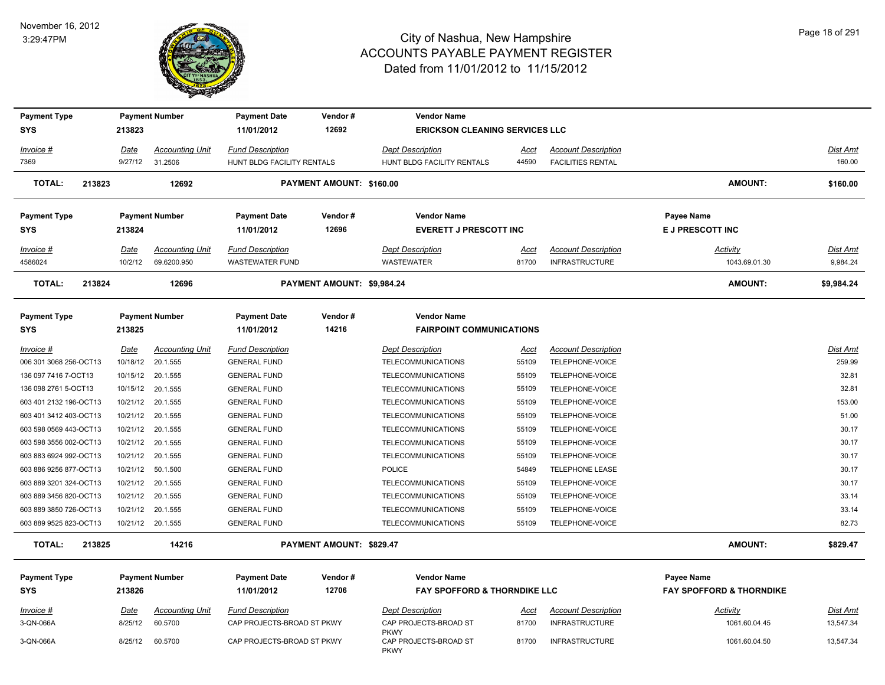

3-QN-066A 8/25/12 60.5700 CAP PROJECTS-BROAD ST PKWY CAP PROJECTS-BROAD ST

3-QN-066A 8/25/12 60.5700 CAP PROJECTS-BROAD ST PKWY CAP PROJECTS-BROAD ST

## City of Nashua, New Hampshire ACCOUNTS PAYABLE PAYMENT REGISTER Dated from 11/01/2012 to 11/15/2012

| <b>Payment Type</b>    |        |                 | <b>Payment Number</b>             | <b>Payment Date</b>                                   | Vendor#                    | <b>Vendor Name</b>                                    |               |                                                        |                                     |                    |
|------------------------|--------|-----------------|-----------------------------------|-------------------------------------------------------|----------------------------|-------------------------------------------------------|---------------|--------------------------------------------------------|-------------------------------------|--------------------|
| <b>SYS</b>             |        | 213823          |                                   | 11/01/2012                                            | 12692                      | <b>ERICKSON CLEANING SERVICES LLC</b>                 |               |                                                        |                                     |                    |
| Invoice #<br>7369      |        | Date<br>9/27/12 | <b>Accounting Unit</b><br>31.2506 | <b>Fund Description</b><br>HUNT BLDG FACILITY RENTALS |                            | <b>Dept Description</b><br>HUNT BLDG FACILITY RENTALS | Acct<br>44590 | <b>Account Description</b><br><b>FACILITIES RENTAL</b> |                                     | Dist Amt<br>160.00 |
| <b>TOTAL:</b>          | 213823 |                 | 12692                             |                                                       | PAYMENT AMOUNT: \$160.00   |                                                       |               |                                                        | <b>AMOUNT:</b>                      | \$160.00           |
| <b>Payment Type</b>    |        |                 | <b>Payment Number</b>             | <b>Payment Date</b>                                   | Vendor#                    | <b>Vendor Name</b>                                    |               |                                                        | Payee Name                          |                    |
| <b>SYS</b>             |        | 213824          |                                   | 11/01/2012                                            | 12696                      | <b>EVERETT J PRESCOTT INC</b>                         |               |                                                        | E J PRESCOTT INC                    |                    |
| Invoice #              |        | Date            | <b>Accounting Unit</b>            | <b>Fund Description</b>                               |                            | <b>Dept Description</b>                               | Acct          | <b>Account Description</b>                             | Activity                            | Dist Amt           |
| 4586024                |        | 10/2/12         | 69.6200.950                       | <b>WASTEWATER FUND</b>                                |                            | WASTEWATER                                            | 81700         | <b>INFRASTRUCTURE</b>                                  | 1043.69.01.30                       | 9,984.24           |
| <b>TOTAL:</b>          | 213824 |                 | 12696                             |                                                       | PAYMENT AMOUNT: \$9,984.24 |                                                       |               |                                                        | <b>AMOUNT:</b>                      | \$9,984.24         |
| <b>Payment Type</b>    |        |                 | <b>Payment Number</b>             | <b>Payment Date</b>                                   | Vendor#                    | <b>Vendor Name</b>                                    |               |                                                        |                                     |                    |
| <b>SYS</b>             |        | 213825          |                                   | 11/01/2012                                            | 14216                      | <b>FAIRPOINT COMMUNICATIONS</b>                       |               |                                                        |                                     |                    |
| Invoice #              |        | Date            | <b>Accounting Unit</b>            | <b>Fund Description</b>                               |                            | <b>Dept Description</b>                               | Acct          | <b>Account Description</b>                             |                                     | <b>Dist Amt</b>    |
| 006 301 3068 256-OCT13 |        | 10/18/12        | 20.1.555                          | <b>GENERAL FUND</b>                                   |                            | TELECOMMUNICATIONS                                    | 55109         | TELEPHONE-VOICE                                        |                                     | 259.99             |
| 136 097 7416 7-OCT13   |        |                 | 10/15/12 20.1.555                 | <b>GENERAL FUND</b>                                   |                            | <b>TELECOMMUNICATIONS</b>                             | 55109         | TELEPHONE-VOICE                                        |                                     | 32.81              |
| 136 098 2761 5-OCT13   |        |                 | 10/15/12 20.1.555                 | <b>GENERAL FUND</b>                                   |                            | <b>TELECOMMUNICATIONS</b>                             | 55109         | TELEPHONE-VOICE                                        |                                     | 32.81              |
| 603 401 2132 196-OCT13 |        |                 | 10/21/12 20.1.555                 | <b>GENERAL FUND</b>                                   |                            | <b>TELECOMMUNICATIONS</b>                             | 55109         | TELEPHONE-VOICE                                        |                                     | 153.00             |
| 603 401 3412 403-OCT13 |        |                 | 10/21/12 20.1.555                 | <b>GENERAL FUND</b>                                   |                            | <b>TELECOMMUNICATIONS</b>                             | 55109         | TELEPHONE-VOICE                                        |                                     | 51.00              |
| 603 598 0569 443-OCT13 |        | 10/21/12        | 20.1.555                          | <b>GENERAL FUND</b>                                   |                            | <b>TELECOMMUNICATIONS</b>                             | 55109         | TELEPHONE-VOICE                                        |                                     | 30.17              |
| 603 598 3556 002-OCT13 |        | 10/21/12        | 20.1.555                          | <b>GENERAL FUND</b>                                   |                            | <b>TELECOMMUNICATIONS</b>                             | 55109         | TELEPHONE-VOICE                                        |                                     | 30.17              |
| 603 883 6924 992-OCT13 |        | 10/21/12        | 20.1.555                          | <b>GENERAL FUND</b>                                   |                            | TELECOMMUNICATIONS                                    | 55109         | TELEPHONE-VOICE                                        |                                     | 30.17              |
| 603 886 9256 877-OCT13 |        | 10/21/12        | 50.1.500                          | <b>GENERAL FUND</b>                                   |                            | <b>POLICE</b>                                         | 54849         | TELEPHONE LEASE                                        |                                     | 30.17              |
| 603 889 3201 324-OCT13 |        | 10/21/12        | 20.1.555                          | <b>GENERAL FUND</b>                                   |                            | <b>TELECOMMUNICATIONS</b>                             | 55109         | TELEPHONE-VOICE                                        |                                     | 30.17              |
| 603 889 3456 820-OCT13 |        | 10/21/12        | 20.1.555                          | <b>GENERAL FUND</b>                                   |                            | <b>TELECOMMUNICATIONS</b>                             | 55109         | TELEPHONE-VOICE                                        |                                     | 33.14              |
| 603 889 3850 726-OCT13 |        | 10/21/12        | 20.1.555                          | <b>GENERAL FUND</b>                                   |                            | <b>TELECOMMUNICATIONS</b>                             | 55109         | TELEPHONE-VOICE                                        |                                     | 33.14              |
| 603 889 9525 823-OCT13 |        |                 | 10/21/12 20.1.555                 | <b>GENERAL FUND</b>                                   |                            | <b>TELECOMMUNICATIONS</b>                             | 55109         | TELEPHONE-VOICE                                        |                                     | 82.73              |
| <b>TOTAL:</b>          | 213825 |                 | 14216                             |                                                       | PAYMENT AMOUNT: \$829.47   |                                                       |               |                                                        | <b>AMOUNT:</b>                      | \$829.47           |
| <b>Payment Type</b>    |        |                 | <b>Payment Number</b>             | <b>Payment Date</b>                                   | Vendor#                    | <b>Vendor Name</b>                                    |               |                                                        | Payee Name                          |                    |
| <b>SYS</b>             |        | 213826          |                                   | 11/01/2012                                            | 12706                      | <b>FAY SPOFFORD &amp; THORNDIKE LLC</b>               |               |                                                        | <b>FAY SPOFFORD &amp; THORNDIKE</b> |                    |

*Invoice # Date Accounting Unit Fund Description Dept Description Acct Account Description Dist Amt*

PKWY

PKWY

*Activity*

81700 INFRASTRUCTURE 1061.60.04.45 13,547.34

81700 INFRASTRUCTURE 1061.60.04.50 13,547.34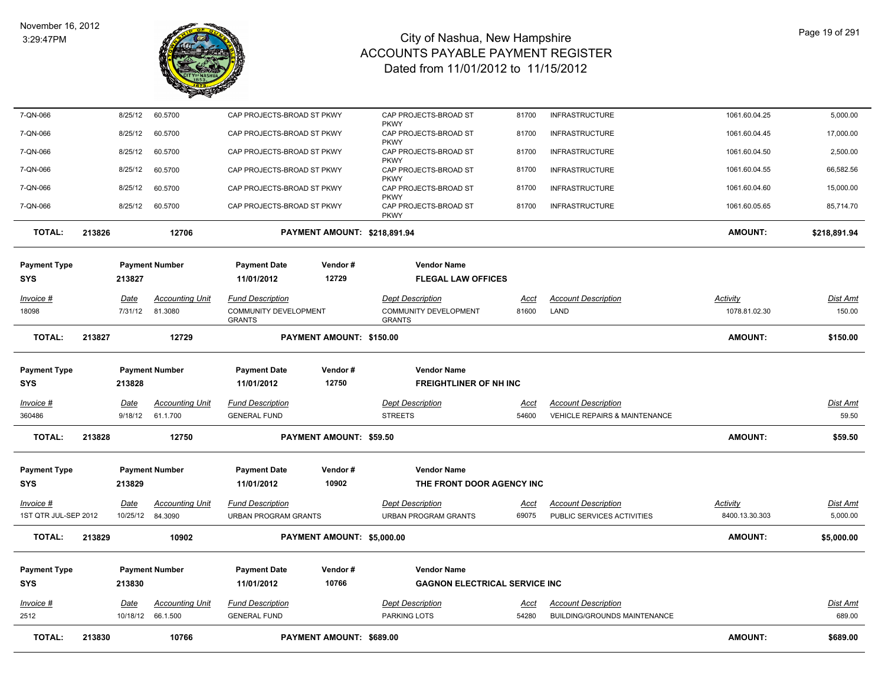

| <b>TOTAL:</b>                     | 213830 |                                    | 10766                  |                                                                   | PAYMENT AMOUNT: \$689.00     |                                                                   |                      |                                                                        | <b>AMOUNT:</b>                   | \$689.00                  |
|-----------------------------------|--------|------------------------------------|------------------------|-------------------------------------------------------------------|------------------------------|-------------------------------------------------------------------|----------------------|------------------------------------------------------------------------|----------------------------------|---------------------------|
| 2512                              |        | 10/18/12<br>66.1.500               |                        | <b>GENERAL FUND</b>                                               |                              | PARKING LOTS                                                      | <u>Acct</u><br>54280 | BUILDING/GROUNDS MAINTENANCE                                           |                                  | 689.00                    |
| <b>SYS</b><br>Invoice #           |        | 213830<br><b>Date</b>              | <b>Accounting Unit</b> | 11/01/2012<br><b>Fund Description</b>                             | 10766                        | <b>GAGNON ELECTRICAL SERVICE INC</b><br><b>Dept Description</b>   |                      | <b>Account Description</b>                                             |                                  | Dist Amt                  |
| <b>Payment Type</b>               |        | <b>Payment Number</b>              |                        | <b>Payment Date</b>                                               | Vendor#                      | <b>Vendor Name</b>                                                |                      |                                                                        |                                  |                           |
| TOTAL:                            | 213829 |                                    | 10902                  |                                                                   | PAYMENT AMOUNT: \$5,000.00   |                                                                   |                      |                                                                        | <b>AMOUNT:</b>                   | \$5,000.00                |
| Invoice #<br>1ST QTR JUL-SEP 2012 |        | Date<br>10/25/12<br>84.3090        | <b>Accounting Unit</b> | <b>Fund Description</b><br><b>URBAN PROGRAM GRANTS</b>            |                              | <b>Dept Description</b><br><b>URBAN PROGRAM GRANTS</b>            | <u>Acct</u><br>69075 | <b>Account Description</b><br>PUBLIC SERVICES ACTIVITIES               | Activity<br>8400.13.30.303       | Dist Amt<br>5,000.00      |
| <b>Payment Type</b><br><b>SYS</b> |        | <b>Payment Number</b><br>213829    |                        | <b>Payment Date</b><br>11/01/2012                                 | Vendor#<br>10902             | <b>Vendor Name</b><br>THE FRONT DOOR AGENCY INC                   |                      |                                                                        |                                  |                           |
|                                   |        |                                    |                        |                                                                   |                              |                                                                   |                      |                                                                        |                                  |                           |
| <b>TOTAL:</b>                     | 213828 |                                    | 12750                  |                                                                   | PAYMENT AMOUNT: \$59.50      |                                                                   |                      |                                                                        | <b>AMOUNT:</b>                   | \$59.50                   |
| <u>Invoice #</u><br>360486        |        | <u>Date</u><br>9/18/12<br>61.1.700 | <b>Accounting Unit</b> | <b>Fund Description</b><br><b>GENERAL FUND</b>                    |                              | <b>Dept Description</b><br><b>STREETS</b>                         | <u>Acct</u><br>54600 | <b>Account Description</b><br><b>VEHICLE REPAIRS &amp; MAINTENANCE</b> |                                  | <u>Dist Amt</u><br>59.50  |
| <b>SYS</b>                        |        | 213828                             |                        | 11/01/2012                                                        | 12750                        | <b>FREIGHTLINER OF NH INC</b>                                     |                      |                                                                        |                                  |                           |
| <b>Payment Type</b>               |        | <b>Payment Number</b>              |                        | <b>Payment Date</b>                                               | Vendor#                      | <b>Vendor Name</b>                                                |                      |                                                                        |                                  |                           |
| <b>TOTAL:</b>                     | 213827 |                                    | 12729                  |                                                                   | PAYMENT AMOUNT: \$150.00     |                                                                   |                      |                                                                        | <b>AMOUNT:</b>                   | \$150.00                  |
| Invoice #<br>18098                |        | <u>Date</u><br>7/31/12<br>81.3080  | <b>Accounting Unit</b> | <b>Fund Description</b><br>COMMUNITY DEVELOPMENT<br><b>GRANTS</b> |                              | <b>Dept Description</b><br>COMMUNITY DEVELOPMENT<br><b>GRANTS</b> | <u>Acct</u><br>81600 | <b>Account Description</b><br>LAND                                     | <b>Activity</b><br>1078.81.02.30 | <u>Dist Amt</u><br>150.00 |
| <b>SYS</b>                        |        | 213827                             |                        | 11/01/2012                                                        | 12729                        | <b>FLEGAL LAW OFFICES</b>                                         |                      |                                                                        |                                  |                           |
| <b>Payment Type</b>               |        | <b>Payment Number</b>              |                        | <b>Payment Date</b>                                               | Vendor#                      | <b>Vendor Name</b>                                                |                      |                                                                        |                                  |                           |
| <b>TOTAL:</b>                     | 213826 |                                    | 12706                  |                                                                   | PAYMENT AMOUNT: \$218,891.94 |                                                                   |                      |                                                                        | <b>AMOUNT:</b>                   | \$218,891.94              |
| 7-QN-066                          |        | 8/25/12<br>60.5700                 |                        | CAP PROJECTS-BROAD ST PKWY                                        |                              | CAP PROJECTS-BROAD ST<br><b>PKWY</b>                              | 81700                | <b>INFRASTRUCTURE</b>                                                  | 1061.60.05.65                    | 85,714.70                 |
| 7-QN-066                          |        | 8/25/12<br>60.5700                 |                        | CAP PROJECTS-BROAD ST PKWY                                        |                              | <b>PKWY</b><br>CAP PROJECTS-BROAD ST<br><b>PKWY</b>               | 81700                | <b>INFRASTRUCTURE</b>                                                  | 1061.60.04.60                    | 15,000.00                 |
| 7-QN-066                          |        | 8/25/12<br>60.5700                 |                        | CAP PROJECTS-BROAD ST PKWY                                        |                              | <b>PKWY</b><br>CAP PROJECTS-BROAD ST                              | 81700                | <b>INFRASTRUCTURE</b>                                                  | 1061.60.04.55                    | 66,582.56                 |
| 7-QN-066                          |        | 8/25/12<br>60.5700                 |                        | CAP PROJECTS-BROAD ST PKWY                                        |                              | <b>PKWY</b><br>CAP PROJECTS-BROAD ST                              | 81700                | <b>INFRASTRUCTURE</b>                                                  | 1061.60.04.50                    | 2,500.00                  |
| 7-QN-066                          |        | 60.5700<br>8/25/12                 |                        | CAP PROJECTS-BROAD ST PKWY                                        |                              | <b>PKWY</b><br>CAP PROJECTS-BROAD ST                              | 81700                | <b>INFRASTRUCTURE</b>                                                  | 1061.60.04.45                    | 17,000.00                 |
| 7-QN-066                          |        | 8/25/12<br>60.5700                 |                        | CAP PROJECTS-BROAD ST PKWY                                        |                              | CAP PROJECTS-BROAD ST                                             | 81700                | <b>INFRASTRUCTURE</b>                                                  | 1061.60.04.25                    | 5,000.00                  |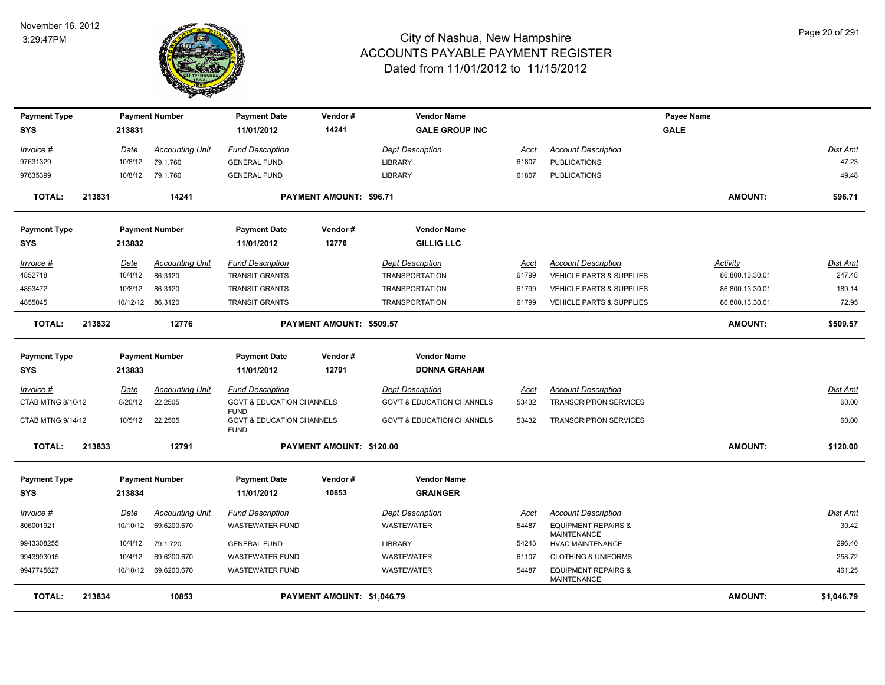

| <b>Payment Type</b> |        |             | <b>Payment Number</b>  | <b>Payment Date</b>                                 | Vendor#                    | <b>Vendor Name</b>                    |             |                                                      | Payee Name      |                 |
|---------------------|--------|-------------|------------------------|-----------------------------------------------------|----------------------------|---------------------------------------|-------------|------------------------------------------------------|-----------------|-----------------|
| <b>SYS</b>          |        | 213831      |                        | 11/01/2012                                          | 14241                      | <b>GALE GROUP INC</b>                 |             |                                                      | <b>GALE</b>     |                 |
| Invoice #           |        | <b>Date</b> | <b>Accounting Unit</b> | <b>Fund Description</b>                             |                            | <b>Dept Description</b>               | Acct        | <b>Account Description</b>                           |                 | <b>Dist Amt</b> |
| 97631329            |        | 10/8/12     | 79.1.760               | <b>GENERAL FUND</b>                                 |                            | <b>LIBRARY</b>                        | 61807       | <b>PUBLICATIONS</b>                                  |                 | 47.23           |
| 97635399            |        | 10/8/12     | 79.1.760               | <b>GENERAL FUND</b>                                 |                            | <b>LIBRARY</b>                        | 61807       | <b>PUBLICATIONS</b>                                  |                 | 49.48           |
| <b>TOTAL:</b>       | 213831 |             | 14241                  |                                                     | PAYMENT AMOUNT: \$96.71    |                                       |             |                                                      | <b>AMOUNT:</b>  | \$96.71         |
| <b>Payment Type</b> |        |             | <b>Payment Number</b>  | <b>Payment Date</b>                                 | Vendor#                    | <b>Vendor Name</b>                    |             |                                                      |                 |                 |
| <b>SYS</b>          |        | 213832      |                        | 11/01/2012                                          | 12776                      | <b>GILLIG LLC</b>                     |             |                                                      |                 |                 |
| Invoice #           |        | <b>Date</b> | <b>Accounting Unit</b> | <b>Fund Description</b>                             |                            | <b>Dept Description</b>               | Acct        | <b>Account Description</b>                           | Activity        | Dist Amt        |
| 4852718             |        | 10/4/12     | 86.3120                | <b>TRANSIT GRANTS</b>                               |                            | <b>TRANSPORTATION</b>                 | 61799       | VEHICLE PARTS & SUPPLIES                             | 86.800.13.30.01 | 247.48          |
| 4853472             |        | 10/8/12     | 86.3120                | <b>TRANSIT GRANTS</b>                               |                            | <b>TRANSPORTATION</b>                 | 61799       | VEHICLE PARTS & SUPPLIES                             | 86.800.13.30.01 | 189.14          |
| 4855045             |        |             | 10/12/12 86.3120       | TRANSIT GRANTS                                      |                            | <b>TRANSPORTATION</b>                 | 61799       | VEHICLE PARTS & SUPPLIES                             | 86.800.13.30.01 | 72.95           |
| <b>TOTAL:</b>       | 213832 |             | 12776                  |                                                     | PAYMENT AMOUNT: \$509.57   |                                       |             |                                                      | <b>AMOUNT:</b>  | \$509.57        |
| <b>Payment Type</b> |        |             | <b>Payment Number</b>  | <b>Payment Date</b>                                 | Vendor#                    | <b>Vendor Name</b>                    |             |                                                      |                 |                 |
| <b>SYS</b>          |        | 213833      |                        | 11/01/2012                                          | 12791                      | <b>DONNA GRAHAM</b>                   |             |                                                      |                 |                 |
| Invoice #           |        | <b>Date</b> | <b>Accounting Unit</b> | <b>Fund Description</b>                             |                            | <b>Dept Description</b>               | Acct        | <b>Account Description</b>                           |                 | Dist Amt        |
| CTAB MTNG 8/10/12   |        | 8/20/12     | 22.2505                | <b>GOVT &amp; EDUCATION CHANNELS</b><br><b>FUND</b> |                            | <b>GOV'T &amp; EDUCATION CHANNELS</b> | 53432       | <b>TRANSCRIPTION SERVICES</b>                        |                 | 60.00           |
| CTAB MTNG 9/14/12   |        | 10/5/12     | 22.2505                | <b>GOVT &amp; EDUCATION CHANNELS</b><br><b>FUND</b> |                            | <b>GOV'T &amp; EDUCATION CHANNELS</b> | 53432       | <b>TRANSCRIPTION SERVICES</b>                        |                 | 60.00           |
| <b>TOTAL:</b>       | 213833 |             | 12791                  |                                                     | PAYMENT AMOUNT: \$120.00   |                                       |             |                                                      | <b>AMOUNT:</b>  | \$120.00        |
| <b>Payment Type</b> |        |             | <b>Payment Number</b>  | <b>Payment Date</b>                                 | Vendor#                    | <b>Vendor Name</b>                    |             |                                                      |                 |                 |
| <b>SYS</b>          |        | 213834      |                        | 11/01/2012                                          | 10853                      | <b>GRAINGER</b>                       |             |                                                      |                 |                 |
| $Invoice$ #         |        | <u>Date</u> | <b>Accounting Unit</b> | <b>Fund Description</b>                             |                            | <b>Dept Description</b>               | <u>Acct</u> | <b>Account Description</b>                           |                 | Dist Amt        |
| 806001921           |        | 10/10/12    | 69.6200.670            | <b>WASTEWATER FUND</b>                              |                            | WASTEWATER                            | 54487       | <b>EQUIPMENT REPAIRS &amp;</b><br><b>MAINTENANCE</b> |                 | 30.42           |
| 9943308255          |        | 10/4/12     | 79.1.720               | <b>GENERAL FUND</b>                                 |                            | <b>LIBRARY</b>                        | 54243       | <b>HVAC MAINTENANCE</b>                              |                 | 296.40          |
| 9943993015          |        | 10/4/12     | 69.6200.670            | <b>WASTEWATER FUND</b>                              |                            | <b>WASTEWATER</b>                     | 61107       | <b>CLOTHING &amp; UNIFORMS</b>                       |                 | 258.72          |
| 9947745627          |        | 10/10/12    | 69.6200.670            | <b>WASTEWATER FUND</b>                              |                            | WASTEWATER                            | 54487       | <b>EQUIPMENT REPAIRS &amp;</b><br>MAINTENANCE        |                 | 461.25          |
| <b>TOTAL:</b>       | 213834 |             | 10853                  |                                                     | PAYMENT AMOUNT: \$1,046.79 |                                       |             |                                                      | <b>AMOUNT:</b>  | \$1,046.79      |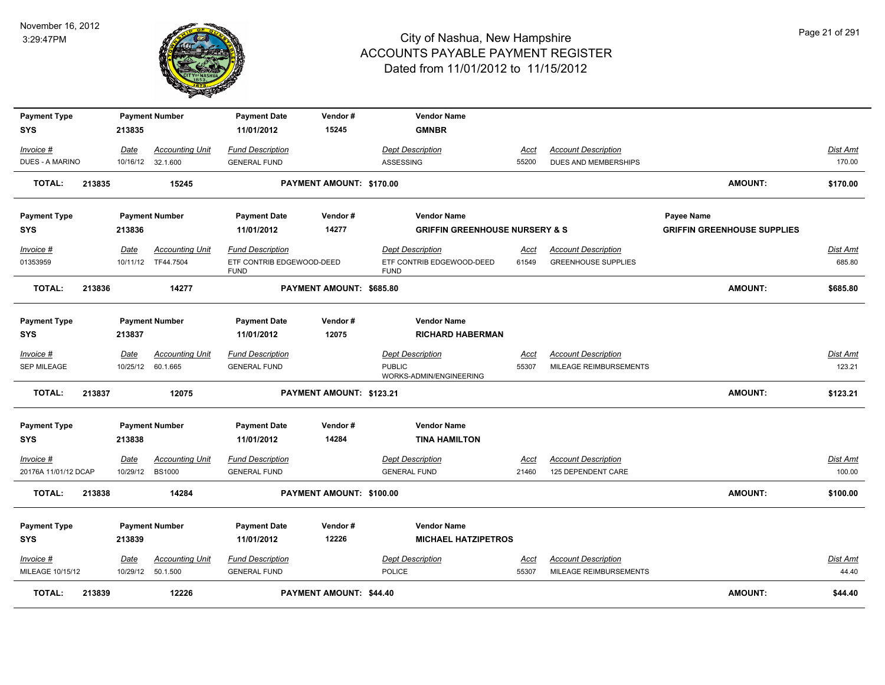

| <b>Payment Type</b>                      |        |                         | <b>Payment Number</b>                   | <b>Payment Date</b>                            | Vendor#                  | <b>Vendor Name</b>                             |                      |                                                  |                                    |                           |
|------------------------------------------|--------|-------------------------|-----------------------------------------|------------------------------------------------|--------------------------|------------------------------------------------|----------------------|--------------------------------------------------|------------------------------------|---------------------------|
| <b>SYS</b>                               |        | 213835                  |                                         | 11/01/2012                                     | 15245                    | <b>GMNBR</b>                                   |                      |                                                  |                                    |                           |
| Invoice #                                |        | Date                    | <b>Accounting Unit</b>                  | <b>Fund Description</b>                        |                          | <b>Dept Description</b>                        | Acct                 | <b>Account Description</b>                       |                                    | <b>Dist Amt</b>           |
| DUES - A MARINO                          |        |                         | 10/16/12 32.1.600                       | <b>GENERAL FUND</b>                            |                          | ASSESSING                                      | 55200                | DUES AND MEMBERSHIPS                             |                                    | 170.00                    |
| <b>TOTAL:</b>                            | 213835 |                         | 15245                                   |                                                | PAYMENT AMOUNT: \$170.00 |                                                |                      |                                                  | AMOUNT:                            | \$170.00                  |
| <b>Payment Type</b>                      |        |                         | <b>Payment Number</b>                   | <b>Payment Date</b>                            | Vendor#                  | <b>Vendor Name</b>                             |                      |                                                  | Payee Name                         |                           |
| <b>SYS</b>                               |        | 213836                  |                                         | 11/01/2012                                     | 14277                    | <b>GRIFFIN GREENHOUSE NURSERY &amp; S</b>      |                      |                                                  | <b>GRIFFIN GREENHOUSE SUPPLIES</b> |                           |
| Invoice #                                |        | Date                    | <b>Accounting Unit</b>                  | <b>Fund Description</b>                        |                          | <b>Dept Description</b>                        | Acct                 | <b>Account Description</b>                       |                                    | Dist Amt                  |
| 01353959                                 |        |                         | 10/11/12 TF44.7504                      | ETF CONTRIB EDGEWOOD-DEED<br><b>FUND</b>       |                          | ETF CONTRIB EDGEWOOD-DEED<br><b>FUND</b>       | 61549                | <b>GREENHOUSE SUPPLIES</b>                       |                                    | 685.80                    |
| <b>TOTAL:</b>                            | 213836 |                         | 14277                                   |                                                | PAYMENT AMOUNT: \$685.80 |                                                |                      |                                                  | <b>AMOUNT:</b>                     | \$685.80                  |
| <b>Payment Type</b>                      |        |                         | <b>Payment Number</b>                   | <b>Payment Date</b>                            | Vendor#                  | <b>Vendor Name</b>                             |                      |                                                  |                                    |                           |
| <b>SYS</b>                               |        | 213837                  |                                         | 11/01/2012                                     | 12075                    | <b>RICHARD HABERMAN</b>                        |                      |                                                  |                                    |                           |
| <u>Invoice #</u>                         |        | <u>Date</u>             | <b>Accounting Unit</b>                  | <b>Fund Description</b>                        |                          | <b>Dept Description</b>                        | <u>Acct</u>          | <b>Account Description</b>                       |                                    | <b>Dist Amt</b>           |
| SEP MILEAGE                              |        | 10/25/12                | 60.1.665                                | <b>GENERAL FUND</b>                            |                          | <b>PUBLIC</b><br>WORKS-ADMIN/ENGINEERING       | 55307                | MILEAGE REIMBURSEMENTS                           |                                    | 123.21                    |
| <b>TOTAL:</b>                            | 213837 |                         | 12075                                   |                                                | PAYMENT AMOUNT: \$123.21 |                                                |                      |                                                  | <b>AMOUNT:</b>                     | \$123.21                  |
|                                          |        |                         |                                         |                                                |                          |                                                |                      |                                                  |                                    |                           |
| <b>Payment Type</b>                      |        |                         | <b>Payment Number</b>                   | <b>Payment Date</b>                            | Vendor#                  | <b>Vendor Name</b>                             |                      |                                                  |                                    |                           |
| <b>SYS</b>                               |        | 213838                  |                                         | 11/01/2012                                     | 14284                    | <b>TINA HAMILTON</b>                           |                      |                                                  |                                    |                           |
| <u>Invoice #</u><br>20176A 11/01/12 DCAP |        | <b>Date</b><br>10/29/12 | <b>Accounting Unit</b><br><b>BS1000</b> | <b>Fund Description</b><br><b>GENERAL FUND</b> |                          | <b>Dept Description</b><br><b>GENERAL FUND</b> | <u>Acct</u><br>21460 | <b>Account Description</b><br>125 DEPENDENT CARE |                                    | <b>Dist Amt</b><br>100.00 |
|                                          |        |                         |                                         |                                                |                          |                                                |                      |                                                  |                                    |                           |
| <b>TOTAL:</b>                            | 213838 |                         | 14284                                   |                                                | PAYMENT AMOUNT: \$100.00 |                                                |                      |                                                  | <b>AMOUNT:</b>                     | \$100.00                  |
| <b>Payment Type</b>                      |        |                         | <b>Payment Number</b>                   | <b>Payment Date</b>                            | Vendor#                  | <b>Vendor Name</b>                             |                      |                                                  |                                    |                           |
| <b>SYS</b>                               |        | 213839                  |                                         | 11/01/2012                                     | 12226                    | <b>MICHAEL HATZIPETROS</b>                     |                      |                                                  |                                    |                           |
| Invoice #                                |        | Date                    | <b>Accounting Unit</b>                  | <b>Fund Description</b>                        |                          | <b>Dept Description</b>                        | Acct                 | <b>Account Description</b>                       |                                    | <b>Dist Amt</b>           |
| MILEAGE 10/15/12                         |        |                         | 10/29/12  50.1.500                      | <b>GENERAL FUND</b>                            |                          | <b>POLICE</b>                                  | 55307                | MILEAGE REIMBURSEMENTS                           |                                    | 44.40                     |
| <b>TOTAL:</b>                            | 213839 |                         | 12226                                   |                                                | PAYMENT AMOUNT: \$44.40  |                                                |                      |                                                  | <b>AMOUNT:</b>                     | \$44.40                   |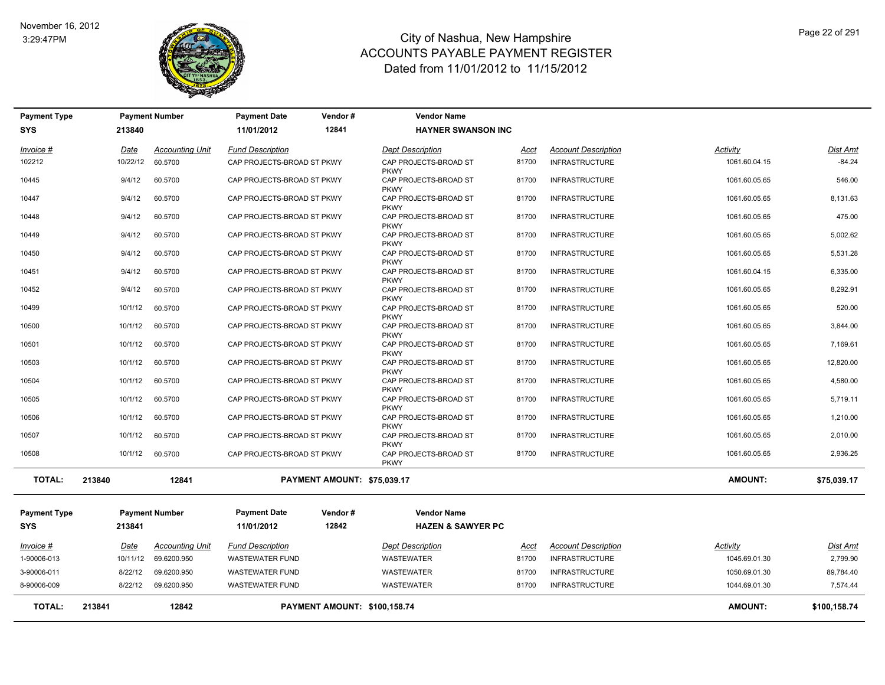

| <b>Payment Type</b> |             | <b>Payment Number</b>  | <b>Payment Date</b>        | Vendor#                             | <b>Vendor Name</b>                                  |       |                            |                |                 |
|---------------------|-------------|------------------------|----------------------------|-------------------------------------|-----------------------------------------------------|-------|----------------------------|----------------|-----------------|
| <b>SYS</b>          | 213840      |                        | 11/01/2012                 | 12841                               | <b>HAYNER SWANSON INC</b>                           |       |                            |                |                 |
| Invoice #           | Date        | <b>Accounting Unit</b> | <b>Fund Description</b>    |                                     | <b>Dept Description</b>                             | Acct  | <b>Account Description</b> | Activity       | Dist Amt        |
| 102212              | 10/22/12    | 60.5700                | CAP PROJECTS-BROAD ST PKWY |                                     | CAP PROJECTS-BROAD ST<br><b>PKWY</b>                | 81700 | <b>INFRASTRUCTURE</b>      | 1061.60.04.15  | $-84.24$        |
| 10445               | 9/4/12      | 60.5700                | CAP PROJECTS-BROAD ST PKWY |                                     | CAP PROJECTS-BROAD ST<br><b>PKWY</b>                | 81700 | <b>INFRASTRUCTURE</b>      | 1061.60.05.65  | 546.00          |
| 10447               | 9/4/12      | 60.5700                | CAP PROJECTS-BROAD ST PKWY |                                     | CAP PROJECTS-BROAD ST                               | 81700 | <b>INFRASTRUCTURE</b>      | 1061.60.05.65  | 8,131.63        |
| 10448               | 9/4/12      | 60.5700                | CAP PROJECTS-BROAD ST PKWY |                                     | <b>PKWY</b><br>CAP PROJECTS-BROAD ST                | 81700 | <b>INFRASTRUCTURE</b>      | 1061.60.05.65  | 475.00          |
| 10449               | 9/4/12      | 60.5700                | CAP PROJECTS-BROAD ST PKWY |                                     | <b>PKWY</b><br>CAP PROJECTS-BROAD ST                | 81700 | <b>INFRASTRUCTURE</b>      | 1061.60.05.65  | 5,002.62        |
| 10450               | 9/4/12      | 60.5700                | CAP PROJECTS-BROAD ST PKWY |                                     | <b>PKWY</b><br>CAP PROJECTS-BROAD ST                | 81700 | <b>INFRASTRUCTURE</b>      | 1061.60.05.65  | 5,531.28        |
| 10451               | 9/4/12      | 60.5700                | CAP PROJECTS-BROAD ST PKWY |                                     | <b>PKWY</b><br>CAP PROJECTS-BROAD ST                | 81700 | <b>INFRASTRUCTURE</b>      | 1061.60.04.15  | 6,335.00        |
| 10452               | 9/4/12      | 60.5700                | CAP PROJECTS-BROAD ST PKWY |                                     | <b>PKWY</b><br>CAP PROJECTS-BROAD ST                | 81700 | <b>INFRASTRUCTURE</b>      | 1061.60.05.65  | 8,292.91        |
| 10499               | 10/1/12     | 60.5700                | CAP PROJECTS-BROAD ST PKWY |                                     | <b>PKWY</b><br>CAP PROJECTS-BROAD ST                | 81700 | <b>INFRASTRUCTURE</b>      | 1061.60.05.65  | 520.00          |
| 10500               | 10/1/12     | 60.5700                | CAP PROJECTS-BROAD ST PKWY |                                     | <b>PKWY</b><br>CAP PROJECTS-BROAD ST                | 81700 | <b>INFRASTRUCTURE</b>      | 1061.60.05.65  | 3,844.00        |
| 10501               | 10/1/12     | 60.5700                | CAP PROJECTS-BROAD ST PKWY |                                     | <b>PKWY</b><br>CAP PROJECTS-BROAD ST                | 81700 | <b>INFRASTRUCTURE</b>      | 1061.60.05.65  | 7,169.61        |
| 10503               | 10/1/12     | 60.5700                | CAP PROJECTS-BROAD ST PKWY |                                     | <b>PKWY</b><br>CAP PROJECTS-BROAD ST                | 81700 | <b>INFRASTRUCTURE</b>      | 1061.60.05.65  | 12,820.00       |
|                     |             |                        |                            |                                     | <b>PKWY</b>                                         |       |                            |                |                 |
| 10504               | 10/1/12     | 60.5700                | CAP PROJECTS-BROAD ST PKWY |                                     | CAP PROJECTS-BROAD ST<br><b>PKWY</b>                | 81700 | <b>INFRASTRUCTURE</b>      | 1061.60.05.65  | 4,580.00        |
| 10505               | 10/1/12     | 60.5700                | CAP PROJECTS-BROAD ST PKWY |                                     | CAP PROJECTS-BROAD ST<br><b>PKWY</b>                | 81700 | <b>INFRASTRUCTURE</b>      | 1061.60.05.65  | 5,719.11        |
| 10506               | 10/1/12     | 60.5700                | CAP PROJECTS-BROAD ST PKWY |                                     | CAP PROJECTS-BROAD ST<br><b>PKWY</b>                | 81700 | <b>INFRASTRUCTURE</b>      | 1061.60.05.65  | 1,210.00        |
| 10507               | 10/1/12     | 60.5700                | CAP PROJECTS-BROAD ST PKWY |                                     | CAP PROJECTS-BROAD ST                               | 81700 | <b>INFRASTRUCTURE</b>      | 1061.60.05.65  | 2,010.00        |
| 10508               | 10/1/12     | 60.5700                | CAP PROJECTS-BROAD ST PKWY |                                     | <b>PKWY</b><br>CAP PROJECTS-BROAD ST<br><b>PKWY</b> | 81700 | <b>INFRASTRUCTURE</b>      | 1061.60.05.65  | 2,936.25        |
|                     |             |                        |                            |                                     |                                                     |       |                            |                |                 |
| <b>TOTAL:</b>       | 213840      | 12841                  |                            | PAYMENT AMOUNT: \$75,039.17         |                                                     |       |                            | <b>AMOUNT:</b> | \$75,039.17     |
| <b>Payment Type</b> |             | <b>Payment Number</b>  | <b>Payment Date</b>        | Vendor#                             | <b>Vendor Name</b>                                  |       |                            |                |                 |
| <b>SYS</b>          | 213841      |                        | 11/01/2012                 | 12842                               | <b>HAZEN &amp; SAWYER PC</b>                        |       |                            |                |                 |
| Invoice #           | <u>Date</u> | <b>Accounting Unit</b> | <b>Fund Description</b>    |                                     | <b>Dept Description</b>                             | Acct  | <b>Account Description</b> | Activity       | <u>Dist Amt</u> |
| 1-90006-013         | 10/11/12    | 69.6200.950            | <b>WASTEWATER FUND</b>     |                                     | <b>WASTEWATER</b>                                   | 81700 | <b>INFRASTRUCTURE</b>      | 1045.69.01.30  | 2,799.90        |
| 3-90006-011         | 8/22/12     | 69.6200.950            | <b>WASTEWATER FUND</b>     |                                     | WASTEWATER                                          | 81700 | <b>INFRASTRUCTURE</b>      | 1050.69.01.30  | 89,784.40       |
| 8-90006-009         | 8/22/12     | 69.6200.950            | <b>WASTEWATER FUND</b>     |                                     | WASTEWATER                                          | 81700 | <b>INFRASTRUCTURE</b>      | 1044.69.01.30  | 7,574.44        |
| <b>TOTAL:</b>       | 213841      | 12842                  |                            | <b>PAYMENT AMOUNT: \$100,158.74</b> |                                                     |       |                            | <b>AMOUNT:</b> | \$100,158.74    |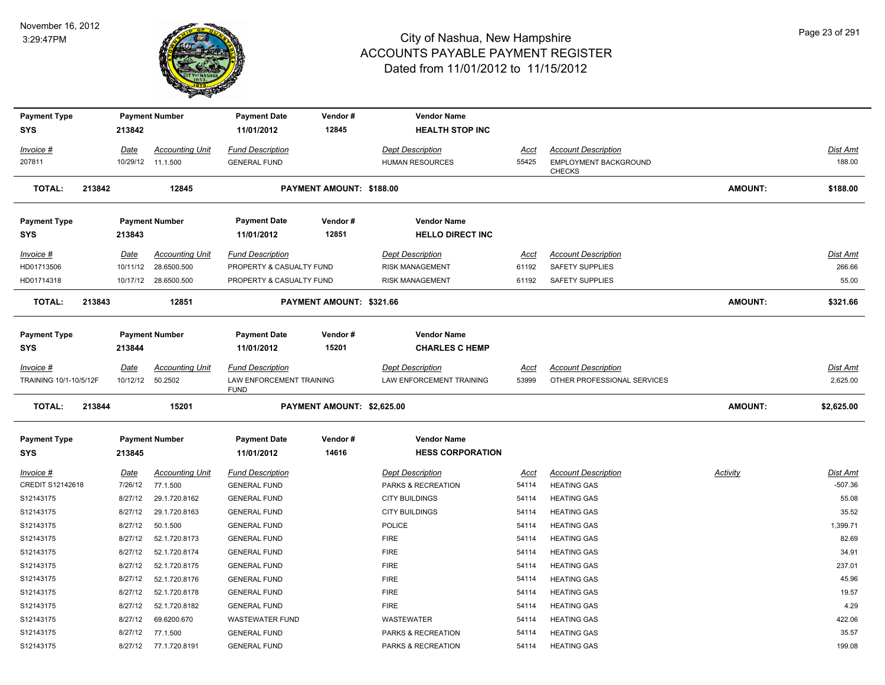

| <b>Payment Type</b>                 |        |             | <b>Payment Number</b>                      | <b>Payment Date</b>                                 | Vendor#                    | <b>Vendor Name</b>                                  |                      |                                                           |                 |                      |
|-------------------------------------|--------|-------------|--------------------------------------------|-----------------------------------------------------|----------------------------|-----------------------------------------------------|----------------------|-----------------------------------------------------------|-----------------|----------------------|
| <b>SYS</b>                          |        | 213842      |                                            | 11/01/2012                                          | 12845                      | <b>HEALTH STOP INC</b>                              |                      |                                                           |                 |                      |
| Invoice #                           |        | Date        | <b>Accounting Unit</b>                     | <b>Fund Description</b>                             |                            | <b>Dept Description</b>                             | <u>Acct</u>          | <b>Account Description</b>                                |                 | Dist Amt             |
| 207811                              |        |             | 10/29/12 11.1.500                          | <b>GENERAL FUND</b>                                 |                            | <b>HUMAN RESOURCES</b>                              | 55425                | EMPLOYMENT BACKGROUND                                     |                 | 188.00               |
|                                     |        |             |                                            |                                                     |                            |                                                     |                      | <b>CHECKS</b>                                             |                 |                      |
| <b>TOTAL:</b>                       | 213842 |             | 12845                                      |                                                     | PAYMENT AMOUNT: \$188.00   |                                                     |                      |                                                           | AMOUNT:         | \$188.00             |
| <b>Payment Type</b>                 |        |             | <b>Payment Number</b>                      | <b>Payment Date</b>                                 | Vendor#                    | <b>Vendor Name</b>                                  |                      |                                                           |                 |                      |
| <b>SYS</b>                          |        | 213843      |                                            | 11/01/2012                                          | 12851                      | <b>HELLO DIRECT INC</b>                             |                      |                                                           |                 |                      |
| Invoice #                           |        | Date        | <b>Accounting Unit</b>                     | <b>Fund Description</b>                             |                            | <b>Dept Description</b>                             | Acct                 | <b>Account Description</b>                                |                 | <b>Dist Amt</b>      |
| HD01713506                          |        |             | 10/11/12 28.6500.500                       | PROPERTY & CASUALTY FUND                            |                            | <b>RISK MANAGEMENT</b>                              | 61192                | <b>SAFETY SUPPLIES</b>                                    |                 | 266.66               |
| HD01714318                          |        |             | 10/17/12 28.6500.500                       | PROPERTY & CASUALTY FUND                            |                            | <b>RISK MANAGEMENT</b>                              | 61192                | SAFETY SUPPLIES                                           |                 | 55.00                |
| TOTAL:                              | 213843 |             | 12851                                      |                                                     | PAYMENT AMOUNT: \$321.66   |                                                     |                      |                                                           | <b>AMOUNT:</b>  | \$321.66             |
|                                     |        |             |                                            |                                                     |                            |                                                     |                      |                                                           |                 |                      |
| <b>Payment Type</b>                 |        |             | <b>Payment Number</b>                      | <b>Payment Date</b>                                 | Vendor#                    | <b>Vendor Name</b>                                  |                      |                                                           |                 |                      |
| <b>SYS</b>                          |        | 213844      |                                            | 11/01/2012                                          | 15201                      | <b>CHARLES C HEMP</b>                               |                      |                                                           |                 |                      |
|                                     |        |             |                                            |                                                     |                            |                                                     |                      |                                                           |                 |                      |
| Invoice #<br>TRAINING 10/1-10/5/12F |        | <u>Date</u> | <b>Accounting Unit</b><br>10/12/12 50.2502 | <b>Fund Description</b><br>LAW ENFORCEMENT TRAINING |                            | <b>Dept Description</b><br>LAW ENFORCEMENT TRAINING | <u>Acct</u><br>53999 | <b>Account Description</b><br>OTHER PROFESSIONAL SERVICES |                 | Dist Amt<br>2,625.00 |
|                                     |        |             |                                            | <b>FUND</b>                                         |                            |                                                     |                      |                                                           |                 |                      |
| <b>TOTAL:</b>                       | 213844 |             | 15201                                      |                                                     | PAYMENT AMOUNT: \$2,625.00 |                                                     |                      |                                                           | <b>AMOUNT:</b>  | \$2,625.00           |
| <b>Payment Type</b>                 |        |             | <b>Payment Number</b>                      | <b>Payment Date</b>                                 | Vendor#                    | <b>Vendor Name</b>                                  |                      |                                                           |                 |                      |
| <b>SYS</b>                          |        | 213845      |                                            | 11/01/2012                                          | 14616                      | <b>HESS CORPORATION</b>                             |                      |                                                           |                 |                      |
| Invoice #                           |        | <u>Date</u> | <b>Accounting Unit</b>                     | <b>Fund Description</b>                             |                            | <b>Dept Description</b>                             | <u>Acct</u>          | <b>Account Description</b>                                | <b>Activity</b> | Dist Amt             |
| CREDIT S12142618                    |        | 7/26/12     | 77.1.500                                   | <b>GENERAL FUND</b>                                 |                            | PARKS & RECREATION                                  | 54114                | <b>HEATING GAS</b>                                        |                 | $-507.36$            |
| S12143175                           |        | 8/27/12     | 29.1.720.8162                              | <b>GENERAL FUND</b>                                 |                            | <b>CITY BUILDINGS</b>                               | 54114                | <b>HEATING GAS</b>                                        |                 | 55.08                |
| S12143175                           |        | 8/27/12     | 29.1.720.8163                              | <b>GENERAL FUND</b>                                 |                            | <b>CITY BUILDINGS</b>                               | 54114                | <b>HEATING GAS</b>                                        |                 | 35.52                |
| S12143175                           |        | 8/27/12     | 50.1.500                                   | <b>GENERAL FUND</b>                                 |                            | POLICE                                              | 54114                | <b>HEATING GAS</b>                                        |                 | 1,399.71             |
| S12143175                           |        | 8/27/12     | 52.1.720.8173                              | <b>GENERAL FUND</b>                                 |                            | <b>FIRE</b>                                         | 54114                | <b>HEATING GAS</b>                                        |                 | 82.69                |
| S12143175                           |        | 8/27/12     | 52.1.720.8174                              | <b>GENERAL FUND</b>                                 |                            | <b>FIRE</b>                                         | 54114                | <b>HEATING GAS</b>                                        |                 | 34.91                |
| S12143175                           |        | 8/27/12     | 52.1.720.8175                              | <b>GENERAL FUND</b>                                 |                            | <b>FIRE</b>                                         | 54114                | <b>HEATING GAS</b>                                        |                 | 237.01               |
| S12143175                           |        | 8/27/12     | 52.1.720.8176                              | <b>GENERAL FUND</b>                                 |                            | <b>FIRE</b>                                         | 54114                | <b>HEATING GAS</b>                                        |                 | 45.96                |
| S12143175                           |        | 8/27/12     | 52.1.720.8178                              | <b>GENERAL FUND</b>                                 |                            | <b>FIRE</b>                                         | 54114                | <b>HEATING GAS</b>                                        |                 | 19.57                |
| S12143175                           |        | 8/27/12     | 52.1.720.8182                              | <b>GENERAL FUND</b>                                 |                            | <b>FIRE</b>                                         | 54114                | <b>HEATING GAS</b>                                        |                 | 4.29                 |
| S12143175                           |        | 8/27/12     | 69.6200.670                                | <b>WASTEWATER FUND</b>                              |                            | WASTEWATER                                          | 54114                | <b>HEATING GAS</b>                                        |                 | 422.06               |
| S12143175                           |        | 8/27/12     | 77.1.500                                   | <b>GENERAL FUND</b>                                 |                            | PARKS & RECREATION                                  | 54114                | <b>HEATING GAS</b>                                        |                 | 35.57                |
| S12143175                           |        |             | 8/27/12 77.1.720.8191                      | <b>GENERAL FUND</b>                                 |                            | PARKS & RECREATION                                  | 54114                | <b>HEATING GAS</b>                                        |                 | 199.08               |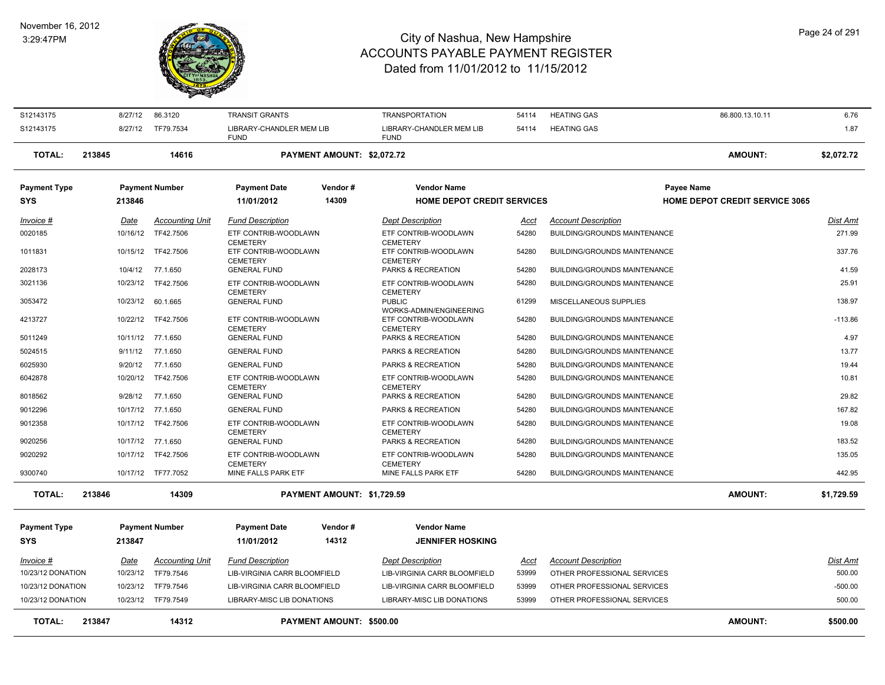#### November 16, 2012 3:29:47PM



| <b>HEATING GAS</b><br>1.87<br>S12143175<br>8/27/12<br>TF79.7534<br>LIBRARY-CHANDLER MEM LIB<br>LIBRARY-CHANDLER MEM LIB<br>54114<br><b>FUND</b><br><b>FUND</b><br>AMOUNT:<br><b>TOTAL:</b><br>PAYMENT AMOUNT: \$2,072.72<br>213845<br>14616<br>\$2,072.72<br><b>Payment Number</b><br>Vendor#<br><b>Vendor Name</b><br><b>Payment Type</b><br><b>Payment Date</b><br>Payee Name<br>14309<br><b>HOME DEPOT CREDIT SERVICES</b><br><b>HOME DEPOT CREDIT SERVICE 3065</b><br>SYS<br>213846<br>11/01/2012<br><b>Dist Amt</b><br><b>Accounting Unit</b><br><b>Fund Description</b><br><b>Dept Description</b><br><b>Account Description</b><br>Invoice #<br>Date<br>Acct<br>271.99<br>TF42.7506<br>ETF CONTRIB-WOODLAWN<br>ETF CONTRIB-WOODLAWN<br>54280<br><b>BUILDING/GROUNDS MAINTENANCE</b><br>0020185<br>10/16/12<br><b>CEMETERY</b><br><b>CEMETERY</b><br>337.76<br>1011831<br>10/15/12<br>TF42.7506<br>ETF CONTRIB-WOODLAWN<br>ETF CONTRIB-WOODLAWN<br>54280<br><b>BUILDING/GROUNDS MAINTENANCE</b><br><b>CEMETERY</b><br><b>CEMETERY</b><br>10/4/12<br>54280<br>41.59<br>2028173<br>77.1.650<br><b>GENERAL FUND</b><br>PARKS & RECREATION<br>BUILDING/GROUNDS MAINTENANCE<br>25.91<br>10/23/12<br>ETF CONTRIB-WOODLAWN<br>54280<br>3021136<br>TF42.7506<br>ETF CONTRIB-WOODLAWN<br><b>BUILDING/GROUNDS MAINTENANCE</b><br><b>CEMETERY</b><br><b>CEMETERY</b><br>MISCELLANEOUS SUPPLIES<br>138.97<br>3053472<br>10/23/12<br>60.1.665<br><b>GENERAL FUND</b><br><b>PUBLIC</b><br>61299<br>WORKS-ADMIN/ENGINEERING<br>4213727<br>10/22/12 TF42.7506<br>54280<br>$-113.86$<br>ETF CONTRIB-WOODLAWN<br>ETF CONTRIB-WOODLAWN<br><b>BUILDING/GROUNDS MAINTENANCE</b><br><b>CEMETERY</b><br><b>CEMETERY</b><br>4.97<br>10/11/12 77.1.650<br><b>GENERAL FUND</b><br>PARKS & RECREATION<br>54280<br><b>BUILDING/GROUNDS MAINTENANCE</b><br>5011249<br>13.77<br>77.1.650<br><b>GENERAL FUND</b><br>PARKS & RECREATION<br>54280<br>5024515<br>9/11/12<br><b>BUILDING/GROUNDS MAINTENANCE</b><br>9/20/12<br>77.1.650<br><b>GENERAL FUND</b><br>PARKS & RECREATION<br>54280<br>BUILDING/GROUNDS MAINTENANCE<br>19.44<br>6025930<br>ETF CONTRIB-WOODLAWN<br>ETF CONTRIB-WOODLAWN<br>54280<br><b>BUILDING/GROUNDS MAINTENANCE</b><br>10.81<br>6042878<br>10/20/12<br>TF42.7506<br><b>CEMETERY</b><br><b>CEMETERY</b><br>9/28/12<br>77.1.650<br>54280<br>29.82<br>8018562<br><b>GENERAL FUND</b><br>PARKS & RECREATION<br>BUILDING/GROUNDS MAINTENANCE<br>54280<br>167.82<br>9012296<br>10/17/12 77.1.650<br><b>GENERAL FUND</b><br>PARKS & RECREATION<br><b>BUILDING/GROUNDS MAINTENANCE</b><br>19.08<br>9012358<br>10/17/12 TF42.7506<br>ETF CONTRIB-WOODLAWN<br>ETF CONTRIB-WOODLAWN<br>54280<br><b>BUILDING/GROUNDS MAINTENANCE</b><br><b>CEMETERY</b><br><b>CEMETERY</b><br>9020256<br>10/17/12 77.1.650<br><b>GENERAL FUND</b><br>PARKS & RECREATION<br>54280<br><b>BUILDING/GROUNDS MAINTENANCE</b><br>183.52<br>9020292<br>10/17/12 TF42.7506<br>ETF CONTRIB-WOODLAWN<br>ETF CONTRIB-WOODLAWN<br>54280<br><b>BUILDING/GROUNDS MAINTENANCE</b><br>135.05<br><b>CEMETERY</b><br><b>CEMETERY</b><br>442.95<br>9300740<br>10/17/12 TF77.7052<br>MINE FALLS PARK ETF<br>MINE FALLS PARK ETF<br>54280<br><b>BUILDING/GROUNDS MAINTENANCE</b><br><b>AMOUNT:</b><br><b>TOTAL:</b><br>PAYMENT AMOUNT: \$1,729.59<br>213846<br>14309<br>\$1,729.59<br><b>Payment Type</b><br><b>Payment Number</b><br><b>Payment Date</b><br>Vendor#<br><b>Vendor Name</b><br>14312<br><b>JENNIFER HOSKING</b><br><b>SYS</b><br>213847<br>11/01/2012<br>Invoice #<br>Date<br><b>Accounting Unit</b><br><b>Fund Description</b><br><b>Dept Description</b><br>Acct<br><b>Account Description</b><br>Dist Amt<br>500.00<br>10/23/12 DONATION<br>10/23/12<br>TF79.7546<br>LIB-VIRGINIA CARR BLOOMFIELD<br>LIB-VIRGINIA CARR BLOOMFIELD<br>53999<br>OTHER PROFESSIONAL SERVICES<br>OTHER PROFESSIONAL SERVICES<br>$-500.00$<br>10/23/12 DONATION<br>10/23/12<br>TF79.7546<br>LIB-VIRGINIA CARR BLOOMFIELD<br>LIB-VIRGINIA CARR BLOOMFIELD<br>53999<br>10/23/12 DONATION<br>10/23/12 TF79.7549<br>LIBRARY-MISC LIB DONATIONS<br>LIBRARY-MISC LIB DONATIONS<br>53999<br>OTHER PROFESSIONAL SERVICES<br>500.00<br><b>AMOUNT:</b><br>213847<br>14312<br>PAYMENT AMOUNT: \$500.00<br><b>TOTAL:</b><br>\$500.00 | S12143175 | 8/27/12 | 86.3120 | <b>TRANSIT GRANTS</b> | <b>TRANSPORTATION</b> | 54114 | <b>HEATING GAS</b> | 86.800.13.10.11 | 6.76 |
|-----------------------------------------------------------------------------------------------------------------------------------------------------------------------------------------------------------------------------------------------------------------------------------------------------------------------------------------------------------------------------------------------------------------------------------------------------------------------------------------------------------------------------------------------------------------------------------------------------------------------------------------------------------------------------------------------------------------------------------------------------------------------------------------------------------------------------------------------------------------------------------------------------------------------------------------------------------------------------------------------------------------------------------------------------------------------------------------------------------------------------------------------------------------------------------------------------------------------------------------------------------------------------------------------------------------------------------------------------------------------------------------------------------------------------------------------------------------------------------------------------------------------------------------------------------------------------------------------------------------------------------------------------------------------------------------------------------------------------------------------------------------------------------------------------------------------------------------------------------------------------------------------------------------------------------------------------------------------------------------------------------------------------------------------------------------------------------------------------------------------------------------------------------------------------------------------------------------------------------------------------------------------------------------------------------------------------------------------------------------------------------------------------------------------------------------------------------------------------------------------------------------------------------------------------------------------------------------------------------------------------------------------------------------------------------------------------------------------------------------------------------------------------------------------------------------------------------------------------------------------------------------------------------------------------------------------------------------------------------------------------------------------------------------------------------------------------------------------------------------------------------------------------------------------------------------------------------------------------------------------------------------------------------------------------------------------------------------------------------------------------------------------------------------------------------------------------------------------------------------------------------------------------------------------------------------------------------------------------------------------------------------------------------------------------------------------------------------------------------------------------------------------------------------------------------------------------------------------------------------------------------------------------------------------------------------------------------------------------------------------------------------------------------------------------------------------------------------------------------------------------------------------------------------------------------------------------------------------------------------------------------------------|-----------|---------|---------|-----------------------|-----------------------|-------|--------------------|-----------------|------|
|                                                                                                                                                                                                                                                                                                                                                                                                                                                                                                                                                                                                                                                                                                                                                                                                                                                                                                                                                                                                                                                                                                                                                                                                                                                                                                                                                                                                                                                                                                                                                                                                                                                                                                                                                                                                                                                                                                                                                                                                                                                                                                                                                                                                                                                                                                                                                                                                                                                                                                                                                                                                                                                                                                                                                                                                                                                                                                                                                                                                                                                                                                                                                                                                                                                                                                                                                                                                                                                                                                                                                                                                                                                                                                                                                                                                                                                                                                                                                                                                                                                                                                                                                                                                                                                                       |           |         |         |                       |                       |       |                    |                 |      |
|                                                                                                                                                                                                                                                                                                                                                                                                                                                                                                                                                                                                                                                                                                                                                                                                                                                                                                                                                                                                                                                                                                                                                                                                                                                                                                                                                                                                                                                                                                                                                                                                                                                                                                                                                                                                                                                                                                                                                                                                                                                                                                                                                                                                                                                                                                                                                                                                                                                                                                                                                                                                                                                                                                                                                                                                                                                                                                                                                                                                                                                                                                                                                                                                                                                                                                                                                                                                                                                                                                                                                                                                                                                                                                                                                                                                                                                                                                                                                                                                                                                                                                                                                                                                                                                                       |           |         |         |                       |                       |       |                    |                 |      |
|                                                                                                                                                                                                                                                                                                                                                                                                                                                                                                                                                                                                                                                                                                                                                                                                                                                                                                                                                                                                                                                                                                                                                                                                                                                                                                                                                                                                                                                                                                                                                                                                                                                                                                                                                                                                                                                                                                                                                                                                                                                                                                                                                                                                                                                                                                                                                                                                                                                                                                                                                                                                                                                                                                                                                                                                                                                                                                                                                                                                                                                                                                                                                                                                                                                                                                                                                                                                                                                                                                                                                                                                                                                                                                                                                                                                                                                                                                                                                                                                                                                                                                                                                                                                                                                                       |           |         |         |                       |                       |       |                    |                 |      |
|                                                                                                                                                                                                                                                                                                                                                                                                                                                                                                                                                                                                                                                                                                                                                                                                                                                                                                                                                                                                                                                                                                                                                                                                                                                                                                                                                                                                                                                                                                                                                                                                                                                                                                                                                                                                                                                                                                                                                                                                                                                                                                                                                                                                                                                                                                                                                                                                                                                                                                                                                                                                                                                                                                                                                                                                                                                                                                                                                                                                                                                                                                                                                                                                                                                                                                                                                                                                                                                                                                                                                                                                                                                                                                                                                                                                                                                                                                                                                                                                                                                                                                                                                                                                                                                                       |           |         |         |                       |                       |       |                    |                 |      |
|                                                                                                                                                                                                                                                                                                                                                                                                                                                                                                                                                                                                                                                                                                                                                                                                                                                                                                                                                                                                                                                                                                                                                                                                                                                                                                                                                                                                                                                                                                                                                                                                                                                                                                                                                                                                                                                                                                                                                                                                                                                                                                                                                                                                                                                                                                                                                                                                                                                                                                                                                                                                                                                                                                                                                                                                                                                                                                                                                                                                                                                                                                                                                                                                                                                                                                                                                                                                                                                                                                                                                                                                                                                                                                                                                                                                                                                                                                                                                                                                                                                                                                                                                                                                                                                                       |           |         |         |                       |                       |       |                    |                 |      |
|                                                                                                                                                                                                                                                                                                                                                                                                                                                                                                                                                                                                                                                                                                                                                                                                                                                                                                                                                                                                                                                                                                                                                                                                                                                                                                                                                                                                                                                                                                                                                                                                                                                                                                                                                                                                                                                                                                                                                                                                                                                                                                                                                                                                                                                                                                                                                                                                                                                                                                                                                                                                                                                                                                                                                                                                                                                                                                                                                                                                                                                                                                                                                                                                                                                                                                                                                                                                                                                                                                                                                                                                                                                                                                                                                                                                                                                                                                                                                                                                                                                                                                                                                                                                                                                                       |           |         |         |                       |                       |       |                    |                 |      |
|                                                                                                                                                                                                                                                                                                                                                                                                                                                                                                                                                                                                                                                                                                                                                                                                                                                                                                                                                                                                                                                                                                                                                                                                                                                                                                                                                                                                                                                                                                                                                                                                                                                                                                                                                                                                                                                                                                                                                                                                                                                                                                                                                                                                                                                                                                                                                                                                                                                                                                                                                                                                                                                                                                                                                                                                                                                                                                                                                                                                                                                                                                                                                                                                                                                                                                                                                                                                                                                                                                                                                                                                                                                                                                                                                                                                                                                                                                                                                                                                                                                                                                                                                                                                                                                                       |           |         |         |                       |                       |       |                    |                 |      |
|                                                                                                                                                                                                                                                                                                                                                                                                                                                                                                                                                                                                                                                                                                                                                                                                                                                                                                                                                                                                                                                                                                                                                                                                                                                                                                                                                                                                                                                                                                                                                                                                                                                                                                                                                                                                                                                                                                                                                                                                                                                                                                                                                                                                                                                                                                                                                                                                                                                                                                                                                                                                                                                                                                                                                                                                                                                                                                                                                                                                                                                                                                                                                                                                                                                                                                                                                                                                                                                                                                                                                                                                                                                                                                                                                                                                                                                                                                                                                                                                                                                                                                                                                                                                                                                                       |           |         |         |                       |                       |       |                    |                 |      |
|                                                                                                                                                                                                                                                                                                                                                                                                                                                                                                                                                                                                                                                                                                                                                                                                                                                                                                                                                                                                                                                                                                                                                                                                                                                                                                                                                                                                                                                                                                                                                                                                                                                                                                                                                                                                                                                                                                                                                                                                                                                                                                                                                                                                                                                                                                                                                                                                                                                                                                                                                                                                                                                                                                                                                                                                                                                                                                                                                                                                                                                                                                                                                                                                                                                                                                                                                                                                                                                                                                                                                                                                                                                                                                                                                                                                                                                                                                                                                                                                                                                                                                                                                                                                                                                                       |           |         |         |                       |                       |       |                    |                 |      |
|                                                                                                                                                                                                                                                                                                                                                                                                                                                                                                                                                                                                                                                                                                                                                                                                                                                                                                                                                                                                                                                                                                                                                                                                                                                                                                                                                                                                                                                                                                                                                                                                                                                                                                                                                                                                                                                                                                                                                                                                                                                                                                                                                                                                                                                                                                                                                                                                                                                                                                                                                                                                                                                                                                                                                                                                                                                                                                                                                                                                                                                                                                                                                                                                                                                                                                                                                                                                                                                                                                                                                                                                                                                                                                                                                                                                                                                                                                                                                                                                                                                                                                                                                                                                                                                                       |           |         |         |                       |                       |       |                    |                 |      |
|                                                                                                                                                                                                                                                                                                                                                                                                                                                                                                                                                                                                                                                                                                                                                                                                                                                                                                                                                                                                                                                                                                                                                                                                                                                                                                                                                                                                                                                                                                                                                                                                                                                                                                                                                                                                                                                                                                                                                                                                                                                                                                                                                                                                                                                                                                                                                                                                                                                                                                                                                                                                                                                                                                                                                                                                                                                                                                                                                                                                                                                                                                                                                                                                                                                                                                                                                                                                                                                                                                                                                                                                                                                                                                                                                                                                                                                                                                                                                                                                                                                                                                                                                                                                                                                                       |           |         |         |                       |                       |       |                    |                 |      |
|                                                                                                                                                                                                                                                                                                                                                                                                                                                                                                                                                                                                                                                                                                                                                                                                                                                                                                                                                                                                                                                                                                                                                                                                                                                                                                                                                                                                                                                                                                                                                                                                                                                                                                                                                                                                                                                                                                                                                                                                                                                                                                                                                                                                                                                                                                                                                                                                                                                                                                                                                                                                                                                                                                                                                                                                                                                                                                                                                                                                                                                                                                                                                                                                                                                                                                                                                                                                                                                                                                                                                                                                                                                                                                                                                                                                                                                                                                                                                                                                                                                                                                                                                                                                                                                                       |           |         |         |                       |                       |       |                    |                 |      |
|                                                                                                                                                                                                                                                                                                                                                                                                                                                                                                                                                                                                                                                                                                                                                                                                                                                                                                                                                                                                                                                                                                                                                                                                                                                                                                                                                                                                                                                                                                                                                                                                                                                                                                                                                                                                                                                                                                                                                                                                                                                                                                                                                                                                                                                                                                                                                                                                                                                                                                                                                                                                                                                                                                                                                                                                                                                                                                                                                                                                                                                                                                                                                                                                                                                                                                                                                                                                                                                                                                                                                                                                                                                                                                                                                                                                                                                                                                                                                                                                                                                                                                                                                                                                                                                                       |           |         |         |                       |                       |       |                    |                 |      |
|                                                                                                                                                                                                                                                                                                                                                                                                                                                                                                                                                                                                                                                                                                                                                                                                                                                                                                                                                                                                                                                                                                                                                                                                                                                                                                                                                                                                                                                                                                                                                                                                                                                                                                                                                                                                                                                                                                                                                                                                                                                                                                                                                                                                                                                                                                                                                                                                                                                                                                                                                                                                                                                                                                                                                                                                                                                                                                                                                                                                                                                                                                                                                                                                                                                                                                                                                                                                                                                                                                                                                                                                                                                                                                                                                                                                                                                                                                                                                                                                                                                                                                                                                                                                                                                                       |           |         |         |                       |                       |       |                    |                 |      |
|                                                                                                                                                                                                                                                                                                                                                                                                                                                                                                                                                                                                                                                                                                                                                                                                                                                                                                                                                                                                                                                                                                                                                                                                                                                                                                                                                                                                                                                                                                                                                                                                                                                                                                                                                                                                                                                                                                                                                                                                                                                                                                                                                                                                                                                                                                                                                                                                                                                                                                                                                                                                                                                                                                                                                                                                                                                                                                                                                                                                                                                                                                                                                                                                                                                                                                                                                                                                                                                                                                                                                                                                                                                                                                                                                                                                                                                                                                                                                                                                                                                                                                                                                                                                                                                                       |           |         |         |                       |                       |       |                    |                 |      |
|                                                                                                                                                                                                                                                                                                                                                                                                                                                                                                                                                                                                                                                                                                                                                                                                                                                                                                                                                                                                                                                                                                                                                                                                                                                                                                                                                                                                                                                                                                                                                                                                                                                                                                                                                                                                                                                                                                                                                                                                                                                                                                                                                                                                                                                                                                                                                                                                                                                                                                                                                                                                                                                                                                                                                                                                                                                                                                                                                                                                                                                                                                                                                                                                                                                                                                                                                                                                                                                                                                                                                                                                                                                                                                                                                                                                                                                                                                                                                                                                                                                                                                                                                                                                                                                                       |           |         |         |                       |                       |       |                    |                 |      |
|                                                                                                                                                                                                                                                                                                                                                                                                                                                                                                                                                                                                                                                                                                                                                                                                                                                                                                                                                                                                                                                                                                                                                                                                                                                                                                                                                                                                                                                                                                                                                                                                                                                                                                                                                                                                                                                                                                                                                                                                                                                                                                                                                                                                                                                                                                                                                                                                                                                                                                                                                                                                                                                                                                                                                                                                                                                                                                                                                                                                                                                                                                                                                                                                                                                                                                                                                                                                                                                                                                                                                                                                                                                                                                                                                                                                                                                                                                                                                                                                                                                                                                                                                                                                                                                                       |           |         |         |                       |                       |       |                    |                 |      |
|                                                                                                                                                                                                                                                                                                                                                                                                                                                                                                                                                                                                                                                                                                                                                                                                                                                                                                                                                                                                                                                                                                                                                                                                                                                                                                                                                                                                                                                                                                                                                                                                                                                                                                                                                                                                                                                                                                                                                                                                                                                                                                                                                                                                                                                                                                                                                                                                                                                                                                                                                                                                                                                                                                                                                                                                                                                                                                                                                                                                                                                                                                                                                                                                                                                                                                                                                                                                                                                                                                                                                                                                                                                                                                                                                                                                                                                                                                                                                                                                                                                                                                                                                                                                                                                                       |           |         |         |                       |                       |       |                    |                 |      |
|                                                                                                                                                                                                                                                                                                                                                                                                                                                                                                                                                                                                                                                                                                                                                                                                                                                                                                                                                                                                                                                                                                                                                                                                                                                                                                                                                                                                                                                                                                                                                                                                                                                                                                                                                                                                                                                                                                                                                                                                                                                                                                                                                                                                                                                                                                                                                                                                                                                                                                                                                                                                                                                                                                                                                                                                                                                                                                                                                                                                                                                                                                                                                                                                                                                                                                                                                                                                                                                                                                                                                                                                                                                                                                                                                                                                                                                                                                                                                                                                                                                                                                                                                                                                                                                                       |           |         |         |                       |                       |       |                    |                 |      |
|                                                                                                                                                                                                                                                                                                                                                                                                                                                                                                                                                                                                                                                                                                                                                                                                                                                                                                                                                                                                                                                                                                                                                                                                                                                                                                                                                                                                                                                                                                                                                                                                                                                                                                                                                                                                                                                                                                                                                                                                                                                                                                                                                                                                                                                                                                                                                                                                                                                                                                                                                                                                                                                                                                                                                                                                                                                                                                                                                                                                                                                                                                                                                                                                                                                                                                                                                                                                                                                                                                                                                                                                                                                                                                                                                                                                                                                                                                                                                                                                                                                                                                                                                                                                                                                                       |           |         |         |                       |                       |       |                    |                 |      |
|                                                                                                                                                                                                                                                                                                                                                                                                                                                                                                                                                                                                                                                                                                                                                                                                                                                                                                                                                                                                                                                                                                                                                                                                                                                                                                                                                                                                                                                                                                                                                                                                                                                                                                                                                                                                                                                                                                                                                                                                                                                                                                                                                                                                                                                                                                                                                                                                                                                                                                                                                                                                                                                                                                                                                                                                                                                                                                                                                                                                                                                                                                                                                                                                                                                                                                                                                                                                                                                                                                                                                                                                                                                                                                                                                                                                                                                                                                                                                                                                                                                                                                                                                                                                                                                                       |           |         |         |                       |                       |       |                    |                 |      |
|                                                                                                                                                                                                                                                                                                                                                                                                                                                                                                                                                                                                                                                                                                                                                                                                                                                                                                                                                                                                                                                                                                                                                                                                                                                                                                                                                                                                                                                                                                                                                                                                                                                                                                                                                                                                                                                                                                                                                                                                                                                                                                                                                                                                                                                                                                                                                                                                                                                                                                                                                                                                                                                                                                                                                                                                                                                                                                                                                                                                                                                                                                                                                                                                                                                                                                                                                                                                                                                                                                                                                                                                                                                                                                                                                                                                                                                                                                                                                                                                                                                                                                                                                                                                                                                                       |           |         |         |                       |                       |       |                    |                 |      |
|                                                                                                                                                                                                                                                                                                                                                                                                                                                                                                                                                                                                                                                                                                                                                                                                                                                                                                                                                                                                                                                                                                                                                                                                                                                                                                                                                                                                                                                                                                                                                                                                                                                                                                                                                                                                                                                                                                                                                                                                                                                                                                                                                                                                                                                                                                                                                                                                                                                                                                                                                                                                                                                                                                                                                                                                                                                                                                                                                                                                                                                                                                                                                                                                                                                                                                                                                                                                                                                                                                                                                                                                                                                                                                                                                                                                                                                                                                                                                                                                                                                                                                                                                                                                                                                                       |           |         |         |                       |                       |       |                    |                 |      |
|                                                                                                                                                                                                                                                                                                                                                                                                                                                                                                                                                                                                                                                                                                                                                                                                                                                                                                                                                                                                                                                                                                                                                                                                                                                                                                                                                                                                                                                                                                                                                                                                                                                                                                                                                                                                                                                                                                                                                                                                                                                                                                                                                                                                                                                                                                                                                                                                                                                                                                                                                                                                                                                                                                                                                                                                                                                                                                                                                                                                                                                                                                                                                                                                                                                                                                                                                                                                                                                                                                                                                                                                                                                                                                                                                                                                                                                                                                                                                                                                                                                                                                                                                                                                                                                                       |           |         |         |                       |                       |       |                    |                 |      |
|                                                                                                                                                                                                                                                                                                                                                                                                                                                                                                                                                                                                                                                                                                                                                                                                                                                                                                                                                                                                                                                                                                                                                                                                                                                                                                                                                                                                                                                                                                                                                                                                                                                                                                                                                                                                                                                                                                                                                                                                                                                                                                                                                                                                                                                                                                                                                                                                                                                                                                                                                                                                                                                                                                                                                                                                                                                                                                                                                                                                                                                                                                                                                                                                                                                                                                                                                                                                                                                                                                                                                                                                                                                                                                                                                                                                                                                                                                                                                                                                                                                                                                                                                                                                                                                                       |           |         |         |                       |                       |       |                    |                 |      |
|                                                                                                                                                                                                                                                                                                                                                                                                                                                                                                                                                                                                                                                                                                                                                                                                                                                                                                                                                                                                                                                                                                                                                                                                                                                                                                                                                                                                                                                                                                                                                                                                                                                                                                                                                                                                                                                                                                                                                                                                                                                                                                                                                                                                                                                                                                                                                                                                                                                                                                                                                                                                                                                                                                                                                                                                                                                                                                                                                                                                                                                                                                                                                                                                                                                                                                                                                                                                                                                                                                                                                                                                                                                                                                                                                                                                                                                                                                                                                                                                                                                                                                                                                                                                                                                                       |           |         |         |                       |                       |       |                    |                 |      |
|                                                                                                                                                                                                                                                                                                                                                                                                                                                                                                                                                                                                                                                                                                                                                                                                                                                                                                                                                                                                                                                                                                                                                                                                                                                                                                                                                                                                                                                                                                                                                                                                                                                                                                                                                                                                                                                                                                                                                                                                                                                                                                                                                                                                                                                                                                                                                                                                                                                                                                                                                                                                                                                                                                                                                                                                                                                                                                                                                                                                                                                                                                                                                                                                                                                                                                                                                                                                                                                                                                                                                                                                                                                                                                                                                                                                                                                                                                                                                                                                                                                                                                                                                                                                                                                                       |           |         |         |                       |                       |       |                    |                 |      |
|                                                                                                                                                                                                                                                                                                                                                                                                                                                                                                                                                                                                                                                                                                                                                                                                                                                                                                                                                                                                                                                                                                                                                                                                                                                                                                                                                                                                                                                                                                                                                                                                                                                                                                                                                                                                                                                                                                                                                                                                                                                                                                                                                                                                                                                                                                                                                                                                                                                                                                                                                                                                                                                                                                                                                                                                                                                                                                                                                                                                                                                                                                                                                                                                                                                                                                                                                                                                                                                                                                                                                                                                                                                                                                                                                                                                                                                                                                                                                                                                                                                                                                                                                                                                                                                                       |           |         |         |                       |                       |       |                    |                 |      |
|                                                                                                                                                                                                                                                                                                                                                                                                                                                                                                                                                                                                                                                                                                                                                                                                                                                                                                                                                                                                                                                                                                                                                                                                                                                                                                                                                                                                                                                                                                                                                                                                                                                                                                                                                                                                                                                                                                                                                                                                                                                                                                                                                                                                                                                                                                                                                                                                                                                                                                                                                                                                                                                                                                                                                                                                                                                                                                                                                                                                                                                                                                                                                                                                                                                                                                                                                                                                                                                                                                                                                                                                                                                                                                                                                                                                                                                                                                                                                                                                                                                                                                                                                                                                                                                                       |           |         |         |                       |                       |       |                    |                 |      |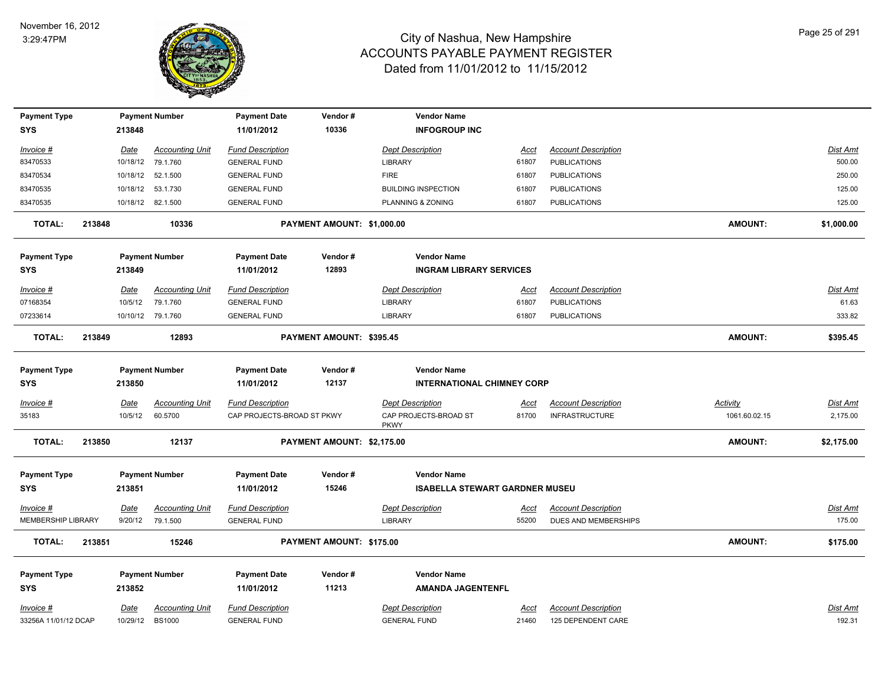

| <b>Payment Type</b><br><b>SYS</b> |        | 213848      | <b>Payment Number</b>  | <b>Payment Date</b><br>11/01/2012 | Vendor#<br>10336           | <b>Vendor Name</b><br><b>INFOGROUP INC</b> |             |                            |                |                 |
|-----------------------------------|--------|-------------|------------------------|-----------------------------------|----------------------------|--------------------------------------------|-------------|----------------------------|----------------|-----------------|
|                                   |        |             |                        |                                   |                            |                                            |             |                            |                |                 |
| Invoice #                         |        | <u>Date</u> | <b>Accounting Unit</b> | <b>Fund Description</b>           |                            | <b>Dept Description</b>                    | <u>Acct</u> | <b>Account Description</b> |                | <b>Dist Amt</b> |
| 83470533                          |        |             | 10/18/12 79.1.760      | <b>GENERAL FUND</b>               |                            | LIBRARY                                    | 61807       | <b>PUBLICATIONS</b>        |                | 500.00          |
| 83470534                          |        | 10/18/12    | 52.1.500               | <b>GENERAL FUND</b>               |                            | <b>FIRE</b>                                | 61807       | <b>PUBLICATIONS</b>        |                | 250.00          |
| 83470535                          |        |             | 10/18/12  53.1.730     | <b>GENERAL FUND</b>               |                            | <b>BUILDING INSPECTION</b>                 | 61807       | <b>PUBLICATIONS</b>        |                | 125.00          |
| 83470535                          |        |             | 10/18/12 82.1.500      | <b>GENERAL FUND</b>               |                            | PLANNING & ZONING                          | 61807       | <b>PUBLICATIONS</b>        |                | 125.00          |
| <b>TOTAL:</b>                     | 213848 |             | 10336                  |                                   | PAYMENT AMOUNT: \$1,000.00 |                                            |             |                            | <b>AMOUNT:</b> | \$1,000.00      |
| <b>Payment Type</b>               |        |             | <b>Payment Number</b>  | <b>Payment Date</b>               | Vendor#                    | <b>Vendor Name</b>                         |             |                            |                |                 |
| <b>SYS</b>                        |        | 213849      |                        | 11/01/2012                        | 12893                      | <b>INGRAM LIBRARY SERVICES</b>             |             |                            |                |                 |
| <u>Invoice #</u>                  |        | <u>Date</u> | <b>Accounting Unit</b> | <b>Fund Description</b>           |                            | <b>Dept Description</b>                    | <u>Acct</u> | <b>Account Description</b> |                | <u>Dist Amt</u> |
| 07168354                          |        | 10/5/12     | 79.1.760               | <b>GENERAL FUND</b>               |                            | LIBRARY                                    | 61807       | <b>PUBLICATIONS</b>        |                | 61.63           |
| 07233614                          |        |             | 10/10/12 79.1.760      | <b>GENERAL FUND</b>               |                            | LIBRARY                                    | 61807       | <b>PUBLICATIONS</b>        |                | 333.82          |
| <b>TOTAL:</b>                     | 213849 |             | 12893                  |                                   | PAYMENT AMOUNT: \$395.45   |                                            |             |                            | <b>AMOUNT:</b> | \$395.45        |
|                                   |        |             |                        |                                   |                            |                                            |             |                            |                |                 |
| <b>Payment Type</b>               |        |             | <b>Payment Number</b>  | <b>Payment Date</b>               | Vendor#                    | <b>Vendor Name</b>                         |             |                            |                |                 |
| <b>SYS</b>                        |        | 213850      |                        | 11/01/2012                        | 12137                      | <b>INTERNATIONAL CHIMNEY CORP</b>          |             |                            |                |                 |
| Invoice #                         |        | Date        | <b>Accounting Unit</b> | <b>Fund Description</b>           |                            | <b>Dept Description</b>                    | Acct        | <b>Account Description</b> | Activity       | Dist Amt        |
| 35183                             |        | 10/5/12     | 60.5700                | CAP PROJECTS-BROAD ST PKWY        |                            | CAP PROJECTS-BROAD ST<br><b>PKWY</b>       | 81700       | <b>INFRASTRUCTURE</b>      | 1061.60.02.15  | 2,175.00        |
| <b>TOTAL:</b>                     | 213850 |             | 12137                  |                                   | PAYMENT AMOUNT: \$2,175.00 |                                            |             |                            | <b>AMOUNT:</b> | \$2,175.00      |
| <b>Payment Type</b>               |        |             | <b>Payment Number</b>  | <b>Payment Date</b>               | Vendor#                    | <b>Vendor Name</b>                         |             |                            |                |                 |
| <b>SYS</b>                        |        | 213851      |                        | 11/01/2012                        | 15246                      | <b>ISABELLA STEWART GARDNER MUSEU</b>      |             |                            |                |                 |
| Invoice #                         |        | Date        | <b>Accounting Unit</b> | <b>Fund Description</b>           |                            | <b>Dept Description</b>                    | Acct        | <b>Account Description</b> |                | Dist Amt        |
| MEMBERSHIP LIBRARY                |        | 9/20/12     | 79.1.500               | <b>GENERAL FUND</b>               |                            | <b>LIBRARY</b>                             | 55200       | DUES AND MEMBERSHIPS       |                | 175.00          |
| TOTAL:                            | 213851 |             | 15246                  |                                   | PAYMENT AMOUNT: \$175.00   |                                            |             |                            | <b>AMOUNT:</b> | \$175.00        |
| <b>Payment Type</b>               |        |             | <b>Payment Number</b>  | <b>Payment Date</b>               | Vendor#                    | <b>Vendor Name</b>                         |             |                            |                |                 |
| <b>SYS</b>                        |        | 213852      |                        | 11/01/2012                        | 11213                      | <b>AMANDA JAGENTENFL</b>                   |             |                            |                |                 |
|                                   |        |             |                        |                                   |                            |                                            |             |                            |                |                 |
| Invoice #                         |        | Date        | <b>Accounting Unit</b> | <b>Fund Description</b>           |                            | <b>Dept Description</b>                    | <u>Acct</u> | <b>Account Description</b> |                | <b>Dist Amt</b> |
| 33256A 11/01/12 DCAP              |        | 10/29/12    | <b>BS1000</b>          | <b>GENERAL FUND</b>               |                            | <b>GENERAL FUND</b>                        | 21460       | 125 DEPENDENT CARE         |                | 192.31          |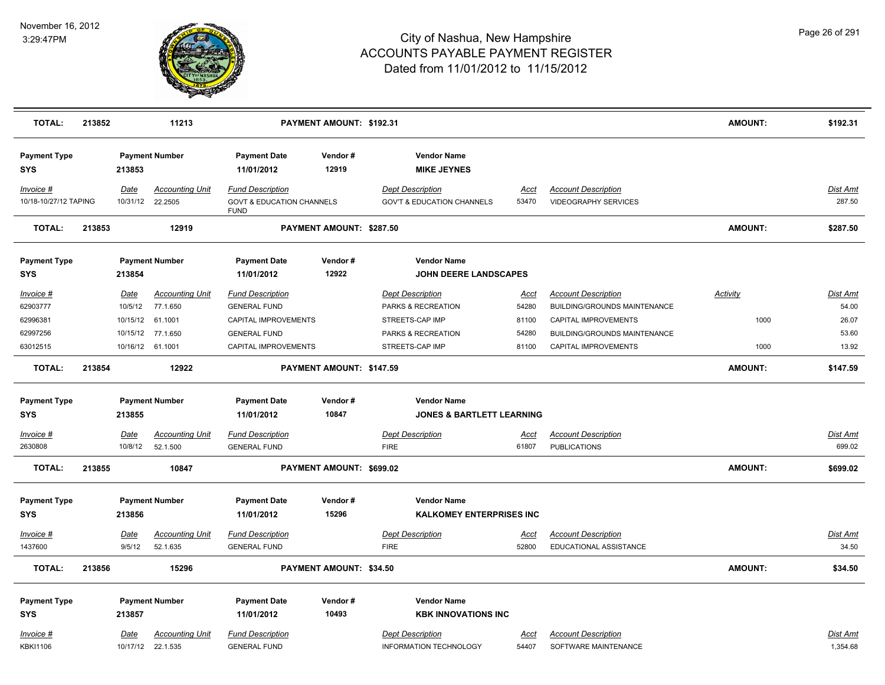

| <b>TOTAL:</b>                                             | 213852 |                                                | 11213                                                                         |                                                                                                                       | PAYMENT AMOUNT: \$192.31 |                                                                                                                      |                                                 |                                                                                                                                                                 | <b>AMOUNT:</b>                  | \$192.31                                            |
|-----------------------------------------------------------|--------|------------------------------------------------|-------------------------------------------------------------------------------|-----------------------------------------------------------------------------------------------------------------------|--------------------------|----------------------------------------------------------------------------------------------------------------------|-------------------------------------------------|-----------------------------------------------------------------------------------------------------------------------------------------------------------------|---------------------------------|-----------------------------------------------------|
| <b>Payment Type</b><br><b>SYS</b>                         |        | 213853                                         | <b>Payment Number</b>                                                         | <b>Payment Date</b><br>11/01/2012                                                                                     | Vendor#<br>12919         | <b>Vendor Name</b><br><b>MIKE JEYNES</b>                                                                             |                                                 |                                                                                                                                                                 |                                 |                                                     |
| Invoice #<br>10/18-10/27/12 TAPING                        |        | Date                                           | <b>Accounting Unit</b><br>10/31/12 22.2505                                    | <b>Fund Description</b><br><b>GOVT &amp; EDUCATION CHANNELS</b><br><b>FUND</b>                                        |                          | <b>Dept Description</b><br><b>GOV'T &amp; EDUCATION CHANNELS</b>                                                     | Acct<br>53470                                   | <b>Account Description</b><br><b>VIDEOGRAPHY SERVICES</b>                                                                                                       |                                 | <b>Dist Amt</b><br>287.50                           |
| <b>TOTAL:</b>                                             | 213853 |                                                | 12919                                                                         |                                                                                                                       | PAYMENT AMOUNT: \$287.50 |                                                                                                                      |                                                 |                                                                                                                                                                 | <b>AMOUNT:</b>                  | \$287.50                                            |
| <b>Payment Type</b><br>SYS                                |        | 213854                                         | <b>Payment Number</b>                                                         | <b>Payment Date</b><br>11/01/2012                                                                                     | Vendor#<br>12922         | <b>Vendor Name</b><br><b>JOHN DEERE LANDSCAPES</b>                                                                   |                                                 |                                                                                                                                                                 |                                 |                                                     |
| Invoice #<br>62903777<br>62996381<br>62997256<br>63012515 |        | <u>Date</u><br>10/5/12<br>10/15/12<br>10/15/12 | <b>Accounting Unit</b><br>77.1.650<br>61.1001<br>77.1.650<br>10/16/12 61.1001 | <b>Fund Description</b><br><b>GENERAL FUND</b><br>CAPITAL IMPROVEMENTS<br><b>GENERAL FUND</b><br>CAPITAL IMPROVEMENTS |                          | <b>Dept Description</b><br>PARKS & RECREATION<br>STREETS-CAP IMP<br><b>PARKS &amp; RECREATION</b><br>STREETS-CAP IMP | <u>Acct</u><br>54280<br>81100<br>54280<br>81100 | <b>Account Description</b><br>BUILDING/GROUNDS MAINTENANCE<br><b>CAPITAL IMPROVEMENTS</b><br><b>BUILDING/GROUNDS MAINTENANCE</b><br><b>CAPITAL IMPROVEMENTS</b> | <b>Activity</b><br>1000<br>1000 | <b>Dist Amt</b><br>54.00<br>26.07<br>53.60<br>13.92 |
| <b>TOTAL:</b>                                             | 213854 |                                                | 12922                                                                         |                                                                                                                       | PAYMENT AMOUNT: \$147.59 |                                                                                                                      |                                                 |                                                                                                                                                                 | <b>AMOUNT:</b>                  | \$147.59                                            |
| <b>Payment Type</b><br><b>SYS</b><br>Invoice #<br>2630808 |        | 213855<br>Date<br>10/8/12                      | <b>Payment Number</b><br><b>Accounting Unit</b><br>52.1.500                   | <b>Payment Date</b><br>11/01/2012<br><b>Fund Description</b><br><b>GENERAL FUND</b>                                   | Vendor#<br>10847         | <b>Vendor Name</b><br><b>JONES &amp; BARTLETT LEARNING</b><br><b>Dept Description</b><br><b>FIRE</b>                 | Acct<br>61807                                   | <b>Account Description</b><br><b>PUBLICATIONS</b>                                                                                                               |                                 | Dist Amt<br>699.02                                  |
| <b>TOTAL:</b>                                             | 213855 |                                                | 10847                                                                         |                                                                                                                       | PAYMENT AMOUNT: \$699.02 |                                                                                                                      |                                                 |                                                                                                                                                                 | <b>AMOUNT:</b>                  | \$699.02                                            |
| <b>Payment Type</b><br><b>SYS</b><br>$Invoice$ #          |        | 213856<br><b>Date</b>                          | <b>Payment Number</b><br><u>Accounting Unit</u>                               | <b>Payment Date</b><br>11/01/2012<br><b>Fund Description</b>                                                          | Vendor#<br>15296         | <b>Vendor Name</b><br><b>KALKOMEY ENTERPRISES INC</b><br><b>Dept Description</b>                                     | <u>Acct</u>                                     | <b>Account Description</b>                                                                                                                                      |                                 | <b>Dist Amt</b>                                     |
| 1437600                                                   |        | 9/5/12                                         | 52.1.635                                                                      | <b>GENERAL FUND</b>                                                                                                   |                          | <b>FIRE</b>                                                                                                          | 52800                                           | EDUCATIONAL ASSISTANCE                                                                                                                                          |                                 | 34.50                                               |
| <b>TOTAL:</b>                                             | 213856 |                                                | 15296                                                                         |                                                                                                                       | PAYMENT AMOUNT: \$34.50  |                                                                                                                      |                                                 |                                                                                                                                                                 | <b>AMOUNT:</b>                  | \$34.50                                             |
| <b>Payment Type</b><br><b>SYS</b><br>Invoice #            |        | 213857<br><u>Date</u>                          | <b>Payment Number</b><br><b>Accounting Unit</b>                               | <b>Payment Date</b><br>11/01/2012<br><b>Fund Description</b>                                                          | Vendor#<br>10493         | <b>Vendor Name</b><br><b>KBK INNOVATIONS INC</b><br><b>Dept Description</b>                                          | <u>Acct</u>                                     | <b>Account Description</b>                                                                                                                                      |                                 | Dist Amt<br>1,354.68                                |
| <b>KBKI1106</b>                                           |        |                                                | 10/17/12 22.1.535                                                             | <b>GENERAL FUND</b>                                                                                                   |                          | <b>INFORMATION TECHNOLOGY</b>                                                                                        | 54407                                           | SOFTWARE MAINTENANCE                                                                                                                                            |                                 |                                                     |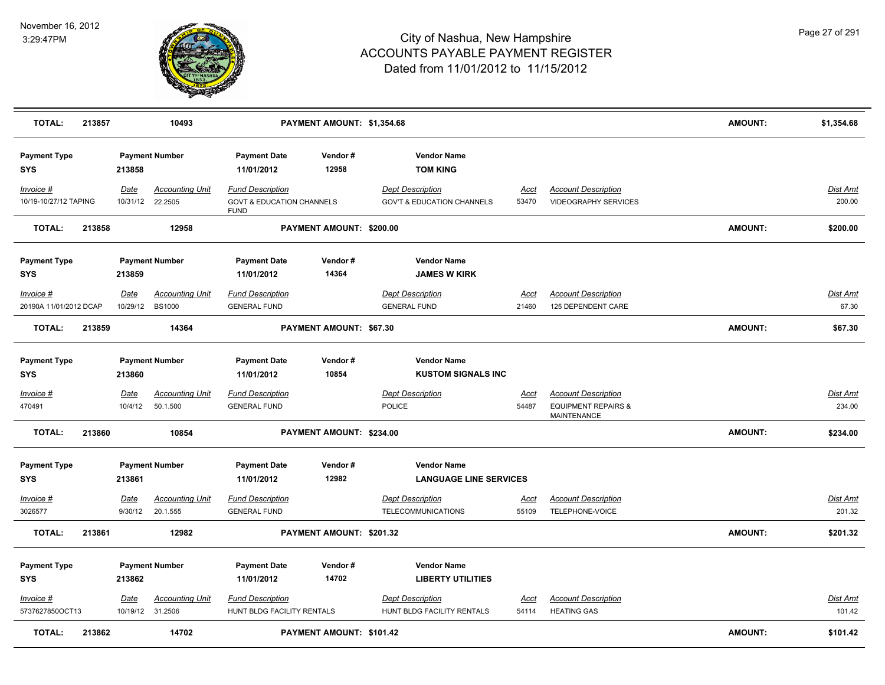

| <b>TOTAL:</b>                       | 213857 |                                | 10493                              |                                                                                | PAYMENT AMOUNT: \$1,354.68 |                                                                  |                      |                                                              | <b>AMOUNT:</b> | \$1,354.68               |
|-------------------------------------|--------|--------------------------------|------------------------------------|--------------------------------------------------------------------------------|----------------------------|------------------------------------------------------------------|----------------------|--------------------------------------------------------------|----------------|--------------------------|
| <b>Payment Type</b><br><b>SYS</b>   |        | 213858                         | <b>Payment Number</b>              | <b>Payment Date</b><br>11/01/2012                                              | Vendor#<br>12958           | <b>Vendor Name</b><br><b>TOM KING</b>                            |                      |                                                              |                |                          |
| Invoice #<br>10/19-10/27/12 TAPING  |        | Date<br>10/31/12               | <b>Accounting Unit</b><br>22.2505  | <b>Fund Description</b><br><b>GOVT &amp; EDUCATION CHANNELS</b><br><b>FUND</b> |                            | <b>Dept Description</b><br><b>GOV'T &amp; EDUCATION CHANNELS</b> | Acct<br>53470        | <b>Account Description</b><br><b>VIDEOGRAPHY SERVICES</b>    |                | Dist Amt<br>200.00       |
| <b>TOTAL:</b>                       | 213858 |                                | 12958                              |                                                                                | PAYMENT AMOUNT: \$200.00   |                                                                  |                      |                                                              | <b>AMOUNT:</b> | \$200.00                 |
| <b>Payment Type</b><br><b>SYS</b>   |        | 213859                         | <b>Payment Number</b>              | <b>Payment Date</b><br>11/01/2012                                              | Vendor#<br>14364           | <b>Vendor Name</b><br><b>JAMES W KIRK</b>                        |                      |                                                              |                |                          |
| Invoice #<br>20190A 11/01/2012 DCAP |        | <b>Date</b><br>10/29/12 BS1000 | <b>Accounting Unit</b>             | <b>Fund Description</b><br><b>GENERAL FUND</b>                                 |                            | <b>Dept Description</b><br><b>GENERAL FUND</b>                   | <u>Acct</u><br>21460 | <b>Account Description</b><br>125 DEPENDENT CARE             |                | <b>Dist Amt</b><br>67.30 |
| <b>TOTAL:</b>                       | 213859 |                                | 14364                              |                                                                                | PAYMENT AMOUNT: \$67.30    |                                                                  |                      |                                                              | <b>AMOUNT:</b> | \$67.30                  |
| <b>Payment Type</b><br><b>SYS</b>   |        | 213860                         | <b>Payment Number</b>              | <b>Payment Date</b><br>11/01/2012                                              | Vendor#<br>10854           | <b>Vendor Name</b><br><b>KUSTOM SIGNALS INC</b>                  |                      |                                                              |                |                          |
| $Invoice$ #<br>470491               |        | <u>Date</u><br>10/4/12         | <b>Accounting Unit</b><br>50.1.500 | <b>Fund Description</b><br><b>GENERAL FUND</b>                                 |                            | <b>Dept Description</b><br><b>POLICE</b>                         | <u>Acct</u><br>54487 | <b>Account Description</b><br><b>EQUIPMENT REPAIRS &amp;</b> |                | Dist Amt<br>234.00       |
|                                     |        |                                |                                    |                                                                                |                            |                                                                  |                      | <b>MAINTENANCE</b>                                           |                |                          |
| <b>TOTAL:</b>                       | 213860 |                                | 10854                              |                                                                                | PAYMENT AMOUNT: \$234.00   |                                                                  |                      |                                                              | <b>AMOUNT:</b> | \$234.00                 |
| <b>Payment Type</b><br><b>SYS</b>   |        | 213861                         | <b>Payment Number</b>              | <b>Payment Date</b><br>11/01/2012                                              | Vendor#<br>12982           | <b>Vendor Name</b><br><b>LANGUAGE LINE SERVICES</b>              |                      |                                                              |                |                          |
| Invoice #<br>3026577                |        | <b>Date</b><br>9/30/12         | <b>Accounting Unit</b><br>20.1.555 | <b>Fund Description</b><br><b>GENERAL FUND</b>                                 |                            | <b>Dept Description</b><br><b>TELECOMMUNICATIONS</b>             | Acct<br>55109        | <b>Account Description</b><br>TELEPHONE-VOICE                |                | Dist Amt<br>201.32       |
| <b>TOTAL:</b>                       | 213861 |                                | 12982                              |                                                                                | PAYMENT AMOUNT: \$201.32   |                                                                  |                      |                                                              | <b>AMOUNT:</b> | \$201.32                 |
| <b>Payment Type</b><br><b>SYS</b>   |        | 213862                         | <b>Payment Number</b>              | <b>Payment Date</b><br>11/01/2012                                              | Vendor#<br>14702           | <b>Vendor Name</b><br><b>LIBERTY UTILITIES</b>                   |                      |                                                              |                |                          |
| Invoice #<br>5737627850OCT13        |        | Date<br>10/19/12 31.2506       | <b>Accounting Unit</b>             | <b>Fund Description</b><br>HUNT BLDG FACILITY RENTALS                          |                            | <b>Dept Description</b><br>HUNT BLDG FACILITY RENTALS            | Acct<br>54114        | <b>Account Description</b><br><b>HEATING GAS</b>             |                | Dist Amt<br>101.42       |
| <b>TOTAL:</b>                       | 213862 |                                | 14702                              |                                                                                | PAYMENT AMOUNT: \$101.42   |                                                                  |                      |                                                              | <b>AMOUNT:</b> | \$101.42                 |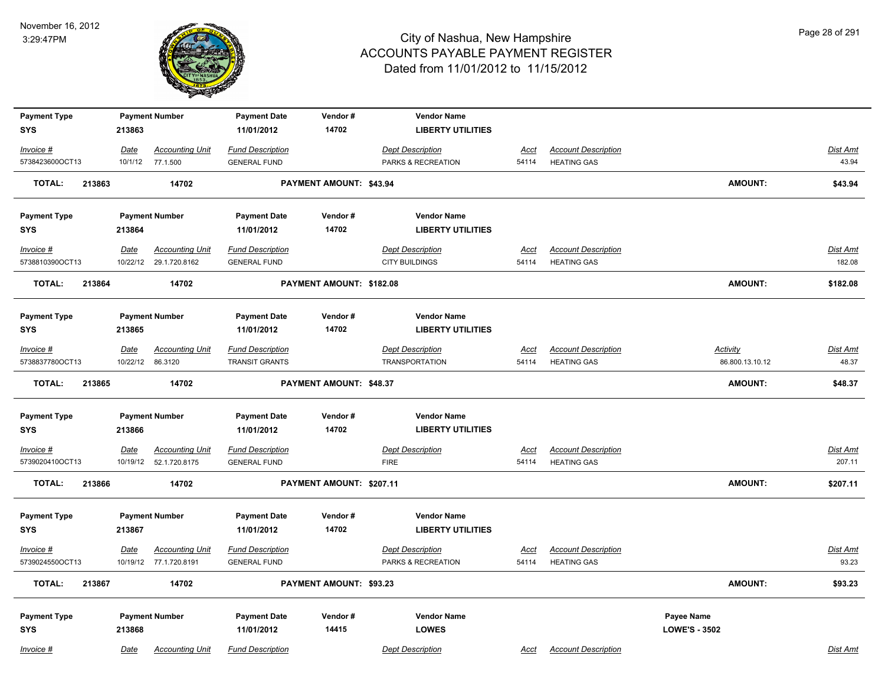

| <b>Payment Type</b>     |          | <b>Payment Number</b>   | <b>Payment Date</b>     | Vendor#                  | <b>Vendor Name</b>       |             |                            |                      |                 |
|-------------------------|----------|-------------------------|-------------------------|--------------------------|--------------------------|-------------|----------------------------|----------------------|-----------------|
| <b>SYS</b>              | 213863   |                         | 11/01/2012              | 14702                    | <b>LIBERTY UTILITIES</b> |             |                            |                      |                 |
| Invoice #               | Date     | <b>Accounting Unit</b>  | <b>Fund Description</b> |                          | <b>Dept Description</b>  | <b>Acct</b> | <b>Account Description</b> |                      | <b>Dist Amt</b> |
| 5738423600OCT13         |          | 10/1/12 77.1.500        | <b>GENERAL FUND</b>     |                          | PARKS & RECREATION       | 54114       | <b>HEATING GAS</b>         |                      | 43.94           |
| <b>TOTAL:</b><br>213863 |          | 14702                   |                         | PAYMENT AMOUNT: \$43.94  |                          |             |                            | <b>AMOUNT:</b>       | \$43.94         |
| <b>Payment Type</b>     |          | <b>Payment Number</b>   | <b>Payment Date</b>     | Vendor#                  | <b>Vendor Name</b>       |             |                            |                      |                 |
| <b>SYS</b>              | 213864   |                         | 11/01/2012              | 14702                    | <b>LIBERTY UTILITIES</b> |             |                            |                      |                 |
| Invoice #               | Date     | <b>Accounting Unit</b>  | <b>Fund Description</b> |                          | <b>Dept Description</b>  | Acct        | <b>Account Description</b> |                      | <b>Dist Amt</b> |
| 5738810390OCT13         |          | 10/22/12 29.1.720.8162  | <b>GENERAL FUND</b>     |                          | <b>CITY BUILDINGS</b>    | 54114       | <b>HEATING GAS</b>         |                      | 182.08          |
| 213864<br><b>TOTAL:</b> |          | 14702                   |                         | PAYMENT AMOUNT: \$182.08 |                          |             |                            | <b>AMOUNT:</b>       | \$182.08        |
| <b>Payment Type</b>     |          | <b>Payment Number</b>   | <b>Payment Date</b>     | Vendor#                  | <b>Vendor Name</b>       |             |                            |                      |                 |
| <b>SYS</b>              | 213865   |                         | 11/01/2012              | 14702                    | <b>LIBERTY UTILITIES</b> |             |                            |                      |                 |
| Invoice #               | Date     | <b>Accounting Unit</b>  | <b>Fund Description</b> |                          | <b>Dept Description</b>  | Acct        | <b>Account Description</b> | Activity             | Dist Amt        |
| 5738837780OCT13         | 10/22/12 | 86.3120                 | <b>TRANSIT GRANTS</b>   |                          | <b>TRANSPORTATION</b>    | 54114       | <b>HEATING GAS</b>         | 86.800.13.10.12      | 48.37           |
| <b>TOTAL:</b><br>213865 |          | 14702                   |                         | PAYMENT AMOUNT: \$48.37  |                          |             |                            | <b>AMOUNT:</b>       | \$48.37         |
| <b>Payment Type</b>     |          | <b>Payment Number</b>   | <b>Payment Date</b>     | Vendor#                  | <b>Vendor Name</b>       |             |                            |                      |                 |
| <b>SYS</b>              | 213866   |                         | 11/01/2012              | 14702                    | <b>LIBERTY UTILITIES</b> |             |                            |                      |                 |
| $Invoice$ #             | Date     | <b>Accounting Unit</b>  | <b>Fund Description</b> |                          | <b>Dept Description</b>  | <u>Acct</u> | <b>Account Description</b> |                      | <b>Dist Amt</b> |
| 5739020410OCT13         |          | 10/19/12  52.1.720.8175 | <b>GENERAL FUND</b>     |                          | <b>FIRE</b>              | 54114       | <b>HEATING GAS</b>         |                      | 207.11          |
| <b>TOTAL:</b><br>213866 |          | 14702                   |                         | PAYMENT AMOUNT: \$207.11 |                          |             |                            | <b>AMOUNT:</b>       | \$207.11        |
| <b>Payment Type</b>     |          | <b>Payment Number</b>   | <b>Payment Date</b>     | Vendor#                  | <b>Vendor Name</b>       |             |                            |                      |                 |
| <b>SYS</b>              | 213867   |                         | 11/01/2012              | 14702                    | <b>LIBERTY UTILITIES</b> |             |                            |                      |                 |
| Invoice #               | Date     | <b>Accounting Unit</b>  | <b>Fund Description</b> |                          | <b>Dept Description</b>  | <u>Acct</u> | <b>Account Description</b> |                      | Dist Amt        |
| 5739024550OCT13         |          | 10/19/12 77.1.720.8191  | <b>GENERAL FUND</b>     |                          | PARKS & RECREATION       | 54114       | <b>HEATING GAS</b>         |                      | 93.23           |
| <b>TOTAL:</b><br>213867 |          | 14702                   |                         | PAYMENT AMOUNT: \$93.23  |                          |             |                            | <b>AMOUNT:</b>       | \$93.23         |
| <b>Payment Type</b>     |          | <b>Payment Number</b>   | <b>Payment Date</b>     | Vendor#                  | <b>Vendor Name</b>       |             |                            | Payee Name           |                 |
| <b>SYS</b>              | 213868   |                         | 11/01/2012              | 14415                    | <b>LOWES</b>             |             |                            | <b>LOWE'S - 3502</b> |                 |
| Invoice #               | Date     | <b>Accounting Unit</b>  | <b>Fund Description</b> |                          | <b>Dept Description</b>  | Acct        | <b>Account Description</b> |                      | Dist Amt        |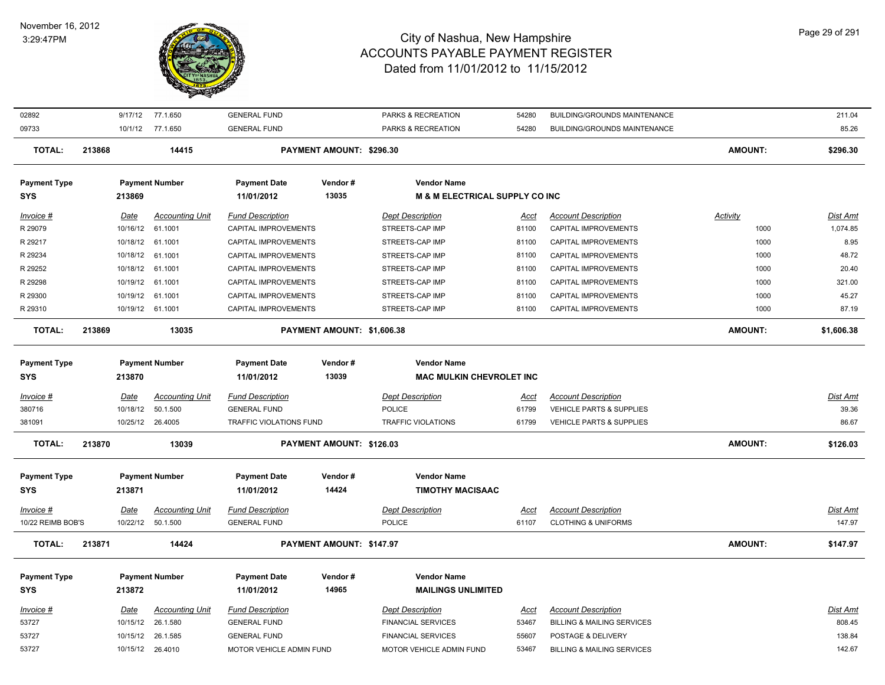

| 02892               |        | 9/17/12     | 77.1.650               | <b>GENERAL FUND</b>      |                            | PARKS & RECREATION                        | 54280       | <b>BUILDING/GROUNDS MAINTENANCE</b>   |                | 211.04          |
|---------------------|--------|-------------|------------------------|--------------------------|----------------------------|-------------------------------------------|-------------|---------------------------------------|----------------|-----------------|
| 09733               |        | 10/1/12     | 77.1.650               | <b>GENERAL FUND</b>      |                            | PARKS & RECREATION                        | 54280       | <b>BUILDING/GROUNDS MAINTENANCE</b>   |                | 85.26           |
| <b>TOTAL:</b>       | 213868 |             | 14415                  |                          | PAYMENT AMOUNT: \$296.30   |                                           |             |                                       | <b>AMOUNT:</b> | \$296.30        |
| <b>Payment Type</b> |        |             | <b>Payment Number</b>  | <b>Payment Date</b>      | Vendor#                    | <b>Vendor Name</b>                        |             |                                       |                |                 |
| <b>SYS</b>          |        | 213869      |                        | 11/01/2012               | 13035                      | <b>M &amp; M ELECTRICAL SUPPLY CO INC</b> |             |                                       |                |                 |
| Invoice #           |        | Date        | <b>Accounting Unit</b> | <b>Fund Description</b>  |                            | <b>Dept Description</b>                   | Acct        | <b>Account Description</b>            | Activity       | Dist Amt        |
| R 29079             |        | 10/16/12    | 61.1001                | CAPITAL IMPROVEMENTS     |                            | STREETS-CAP IMP                           | 81100       | CAPITAL IMPROVEMENTS                  | 1000           | 1,074.85        |
| R 29217             |        | 10/18/12    | 61.1001                | CAPITAL IMPROVEMENTS     |                            | STREETS-CAP IMP                           | 81100       | CAPITAL IMPROVEMENTS                  | 1000           | 8.95            |
| R 29234             |        | 10/18/12    | 61.1001                | CAPITAL IMPROVEMENTS     |                            | STREETS-CAP IMP                           | 81100       | CAPITAL IMPROVEMENTS                  | 1000           | 48.72           |
| R 29252             |        | 10/18/12    | 61.1001                | CAPITAL IMPROVEMENTS     |                            | STREETS-CAP IMP                           | 81100       | CAPITAL IMPROVEMENTS                  | 1000           | 20.40           |
| R 29298             |        |             | 10/19/12 61.1001       | CAPITAL IMPROVEMENTS     |                            | STREETS-CAP IMP                           | 81100       | CAPITAL IMPROVEMENTS                  | 1000           | 321.00          |
| R 29300             |        | 10/19/12    | 61.1001                | CAPITAL IMPROVEMENTS     |                            | STREETS-CAP IMP                           | 81100       | CAPITAL IMPROVEMENTS                  | 1000           | 45.27           |
| R 29310             |        |             | 10/19/12 61.1001       | CAPITAL IMPROVEMENTS     |                            | STREETS-CAP IMP                           | 81100       | CAPITAL IMPROVEMENTS                  | 1000           | 87.19           |
| <b>TOTAL:</b>       | 213869 |             | 13035                  |                          | PAYMENT AMOUNT: \$1,606.38 |                                           |             |                                       | <b>AMOUNT:</b> | \$1,606.38      |
| <b>Payment Type</b> |        |             | <b>Payment Number</b>  | <b>Payment Date</b>      | Vendor#                    | <b>Vendor Name</b>                        |             |                                       |                |                 |
| <b>SYS</b>          |        | 213870      |                        | 11/01/2012               | 13039                      | <b>MAC MULKIN CHEVROLET INC</b>           |             |                                       |                |                 |
| Invoice #           |        | Date        | <b>Accounting Unit</b> | <b>Fund Description</b>  |                            | <b>Dept Description</b>                   | Acct        | <b>Account Description</b>            |                | <b>Dist Amt</b> |
| 380716              |        | 10/18/12    | 50.1.500               | <b>GENERAL FUND</b>      |                            | <b>POLICE</b>                             | 61799       | <b>VEHICLE PARTS &amp; SUPPLIES</b>   |                | 39.36           |
| 381091              |        |             | 10/25/12 26.4005       | TRAFFIC VIOLATIONS FUND  |                            | <b>TRAFFIC VIOLATIONS</b>                 | 61799       | VEHICLE PARTS & SUPPLIES              |                | 86.67           |
|                     |        |             |                        |                          |                            |                                           |             |                                       |                |                 |
| <b>TOTAL:</b>       | 213870 |             | 13039                  |                          | PAYMENT AMOUNT: \$126.03   |                                           |             |                                       | <b>AMOUNT:</b> | \$126.03        |
| <b>Payment Type</b> |        |             | <b>Payment Number</b>  | <b>Payment Date</b>      | Vendor#                    | <b>Vendor Name</b>                        |             |                                       |                |                 |
| <b>SYS</b>          |        | 213871      |                        | 11/01/2012               | 14424                      | <b>TIMOTHY MACISAAC</b>                   |             |                                       |                |                 |
| $Invoice$ #         |        | <u>Date</u> | <b>Accounting Unit</b> | <b>Fund Description</b>  |                            | <b>Dept Description</b>                   | <u>Acct</u> | <b>Account Description</b>            |                | <b>Dist Amt</b> |
| 10/22 REIMB BOB'S   |        | 10/22/12    | 50.1.500               | <b>GENERAL FUND</b>      |                            | <b>POLICE</b>                             | 61107       | <b>CLOTHING &amp; UNIFORMS</b>        |                | 147.97          |
| <b>TOTAL:</b>       | 213871 |             | 14424                  |                          | PAYMENT AMOUNT: \$147.97   |                                           |             |                                       | <b>AMOUNT:</b> | \$147.97        |
| <b>Payment Type</b> |        |             | <b>Payment Number</b>  | <b>Payment Date</b>      | Vendor#                    | <b>Vendor Name</b>                        |             |                                       |                |                 |
| <b>SYS</b>          |        | 213872      |                        | 11/01/2012               | 14965                      | <b>MAILINGS UNLIMITED</b>                 |             |                                       |                |                 |
|                     |        |             |                        |                          |                            |                                           |             |                                       |                |                 |
| Invoice #           |        | Date        | <b>Accounting Unit</b> | <b>Fund Description</b>  |                            | <b>Dept Description</b>                   | Acct        | <b>Account Description</b>            |                | <b>Dist Amt</b> |
| 53727               |        | 10/15/12    | 26.1.580               | <b>GENERAL FUND</b>      |                            | <b>FINANCIAL SERVICES</b>                 | 53467       | <b>BILLING &amp; MAILING SERVICES</b> |                | 808.45          |
| 53727               |        |             | 10/15/12 26.1.585      | <b>GENERAL FUND</b>      |                            | <b>FINANCIAL SERVICES</b>                 | 55607       | POSTAGE & DELIVERY                    |                | 138.84          |
| 53727               |        |             | 10/15/12 26.4010       | MOTOR VEHICLE ADMIN FUND |                            | MOTOR VEHICLE ADMIN FUND                  | 53467       | <b>BILLING &amp; MAILING SERVICES</b> |                | 142.67          |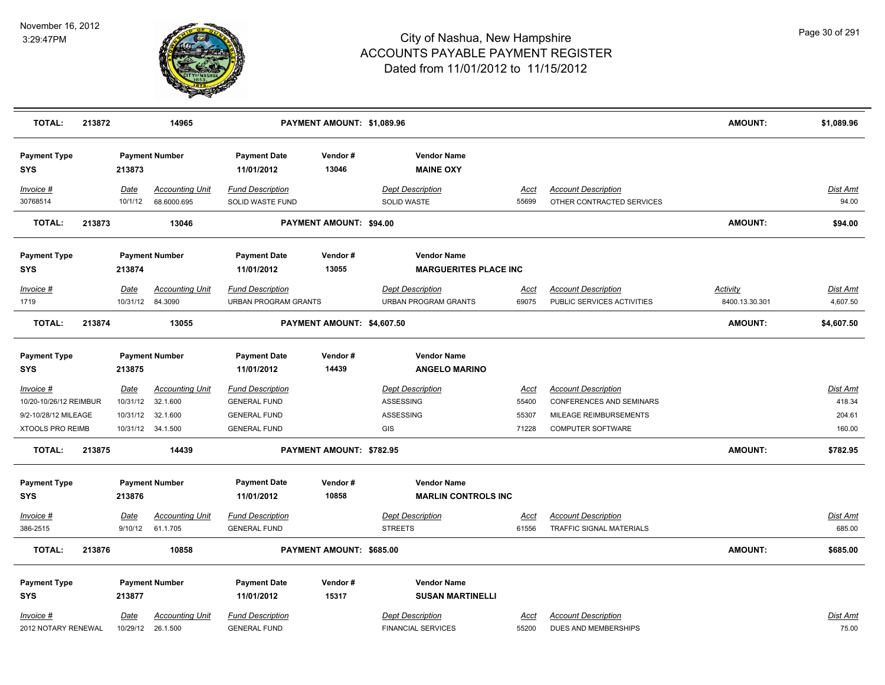

| <b>TOTAL:</b>                     | 213872 |                  | 14965                                 |                                                        | PAYMENT AMOUNT: \$1,089.96     |                                                        |               |                                                          | <b>AMOUNT:</b>             | \$1,089.96           |
|-----------------------------------|--------|------------------|---------------------------------------|--------------------------------------------------------|--------------------------------|--------------------------------------------------------|---------------|----------------------------------------------------------|----------------------------|----------------------|
| <b>Payment Type</b><br><b>SYS</b> |        | 213873           | <b>Payment Number</b>                 | <b>Payment Date</b><br>11/01/2012                      | Vendor#<br>13046               | <b>Vendor Name</b><br><b>MAINE OXY</b>                 |               |                                                          |                            |                      |
| <u>Invoice #</u><br>30768514      |        | Date<br>10/1/12  | <b>Accounting Unit</b><br>68.6000.695 | <b>Fund Description</b><br>SOLID WASTE FUND            |                                | <b>Dept Description</b><br>SOLID WASTE                 | Acct<br>55699 | <b>Account Description</b><br>OTHER CONTRACTED SERVICES  |                            | Dist Amt<br>94.00    |
| <b>TOTAL:</b>                     | 213873 |                  | 13046                                 |                                                        | <b>PAYMENT AMOUNT: \$94.00</b> |                                                        |               |                                                          | <b>AMOUNT:</b>             | \$94.00              |
| <b>Payment Type</b>               |        |                  | <b>Payment Number</b>                 | <b>Payment Date</b>                                    | Vendor#                        | <b>Vendor Name</b>                                     |               |                                                          |                            |                      |
| SYS                               |        | 213874           |                                       | 11/01/2012                                             | 13055                          | <b>MARGUERITES PLACE INC</b>                           |               |                                                          |                            |                      |
| Invoice #<br>1719                 |        | Date<br>10/31/12 | <b>Accounting Unit</b><br>84.3090     | <b>Fund Description</b><br><b>URBAN PROGRAM GRANTS</b> |                                | <b>Dept Description</b><br><b>URBAN PROGRAM GRANTS</b> | Acct<br>69075 | <b>Account Description</b><br>PUBLIC SERVICES ACTIVITIES | Activity<br>8400.13.30.301 | Dist Amt<br>4,607.50 |
| <b>TOTAL:</b>                     | 213874 |                  | 13055                                 |                                                        | PAYMENT AMOUNT: \$4,607.50     |                                                        |               |                                                          | <b>AMOUNT:</b>             | \$4,607.50           |
| <b>Payment Type</b><br>SYS        |        | 213875           | <b>Payment Number</b>                 | <b>Payment Date</b><br>11/01/2012                      | Vendor#<br>14439               | <b>Vendor Name</b><br><b>ANGELO MARINO</b>             |               |                                                          |                            |                      |
| Invoice #                         |        | Date             | <b>Accounting Unit</b>                | <b>Fund Description</b>                                |                                | <b>Dept Description</b>                                | <u>Acct</u>   | <b>Account Description</b>                               |                            | <b>Dist Amt</b>      |
| 10/20-10/26/12 REIMBUR            |        | 10/31/12         | 32.1.600                              | <b>GENERAL FUND</b>                                    |                                | ASSESSING                                              | 55400         | <b>CONFERENCES AND SEMINARS</b>                          |                            | 418.34               |
| 9/2-10/28/12 MILEAGE              |        | 10/31/12         | 32.1.600                              | <b>GENERAL FUND</b>                                    |                                | ASSESSING                                              | 55307         | MILEAGE REIMBURSEMENTS                                   |                            | 204.61               |
| XTOOLS PRO REIMB                  |        |                  | 10/31/12 34.1.500                     | <b>GENERAL FUND</b>                                    |                                | GIS                                                    | 71228         | <b>COMPUTER SOFTWARE</b>                                 |                            | 160.00               |
| <b>TOTAL:</b>                     | 213875 |                  | 14439                                 |                                                        | PAYMENT AMOUNT: \$782.95       |                                                        |               |                                                          | <b>AMOUNT:</b>             | \$782.95             |
| <b>Payment Type</b>               |        |                  | <b>Payment Number</b>                 | <b>Payment Date</b>                                    | Vendor#                        | <b>Vendor Name</b>                                     |               |                                                          |                            |                      |
| <b>SYS</b>                        |        | 213876           |                                       | 11/01/2012                                             | 10858                          | <b>MARLIN CONTROLS INC</b>                             |               |                                                          |                            |                      |
| <b>Invoice #</b>                  |        | Date             | <b>Accounting Unit</b>                | <b>Fund Description</b>                                |                                | <b>Dept Description</b>                                | <u>Acct</u>   | <b>Account Description</b>                               |                            | Dist Amt             |
| 386-2515                          |        | 9/10/12          | 61.1.705                              | <b>GENERAL FUND</b>                                    |                                | <b>STREETS</b>                                         | 61556         | TRAFFIC SIGNAL MATERIALS                                 |                            | 685.00               |
| <b>TOTAL:</b>                     | 213876 |                  | 10858                                 |                                                        | PAYMENT AMOUNT: \$685.00       |                                                        |               |                                                          | <b>AMOUNT:</b>             | \$685.00             |
| <b>Payment Type</b>               |        |                  | <b>Payment Number</b>                 | <b>Payment Date</b>                                    | Vendor#                        | <b>Vendor Name</b>                                     |               |                                                          |                            |                      |
| <b>SYS</b>                        |        | 213877           |                                       | 11/01/2012                                             | 15317                          | <b>SUSAN MARTINELLI</b>                                |               |                                                          |                            |                      |
| Invoice #                         |        | Date             | <b>Accounting Unit</b>                | <b>Fund Description</b>                                |                                | <b>Dept Description</b>                                | <b>Acct</b>   | <b>Account Description</b>                               |                            | <b>Dist Amt</b>      |
| 2012 NOTARY RENEWAL               |        | 10/29/12         | 26.1.500                              | <b>GENERAL FUND</b>                                    |                                | <b>FINANCIAL SERVICES</b>                              | 55200         | DUES AND MEMBERSHIPS                                     |                            | 75.00                |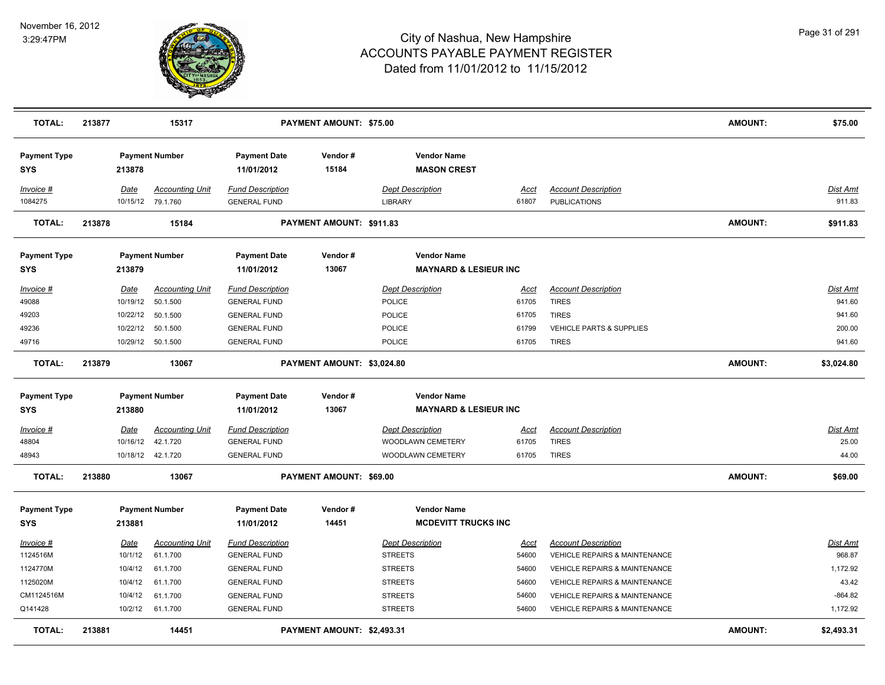

| <b>TOTAL:</b>                     | 213877<br>15317<br><b>PAYMENT AMOUNT: \$75.00</b> |             |                                             |                                                |                            |                                                        |               | <b>AMOUNT:</b>                                    | \$75.00        |                    |
|-----------------------------------|---------------------------------------------------|-------------|---------------------------------------------|------------------------------------------------|----------------------------|--------------------------------------------------------|---------------|---------------------------------------------------|----------------|--------------------|
| <b>Payment Type</b><br><b>SYS</b> |                                                   | 213878      | <b>Payment Number</b>                       | <b>Payment Date</b><br>11/01/2012              | Vendor#<br>15184           | <b>Vendor Name</b><br><b>MASON CREST</b>               |               |                                                   |                |                    |
| Invoice #<br>1084275              |                                                   | Date        | <b>Accounting Unit</b><br>10/15/12 79.1.760 | <b>Fund Description</b><br><b>GENERAL FUND</b> |                            | <b>Dept Description</b><br><b>LIBRARY</b>              | Acct<br>61807 | <b>Account Description</b><br><b>PUBLICATIONS</b> |                | Dist Amt<br>911.83 |
| <b>TOTAL:</b>                     | 213878                                            |             | 15184                                       |                                                | PAYMENT AMOUNT: \$911.83   |                                                        |               |                                                   | <b>AMOUNT:</b> | \$911.83           |
| <b>Payment Type</b><br><b>SYS</b> |                                                   | 213879      | <b>Payment Number</b>                       | <b>Payment Date</b><br>11/01/2012              | Vendor#<br>13067           | <b>Vendor Name</b><br><b>MAYNARD &amp; LESIEUR INC</b> |               |                                                   |                |                    |
| Invoice #                         |                                                   | Date        | <b>Accounting Unit</b>                      | <b>Fund Description</b>                        |                            | <b>Dept Description</b>                                | Acct          | <b>Account Description</b>                        |                | Dist Amt           |
| 49088                             |                                                   | 10/19/12    | 50.1.500                                    | <b>GENERAL FUND</b>                            |                            | <b>POLICE</b>                                          | 61705         | <b>TIRES</b>                                      |                | 941.60             |
| 49203                             |                                                   | 10/22/12    | 50.1.500                                    | <b>GENERAL FUND</b>                            |                            | POLICE                                                 | 61705         | <b>TIRES</b>                                      |                | 941.60             |
| 49236                             |                                                   | 10/22/12    | 50.1.500                                    | <b>GENERAL FUND</b>                            |                            | POLICE                                                 | 61799         | VEHICLE PARTS & SUPPLIES                          |                | 200.00             |
| 49716                             |                                                   |             | 10/29/12 50.1.500                           | <b>GENERAL FUND</b>                            |                            | <b>POLICE</b>                                          | 61705         | <b>TIRES</b>                                      |                | 941.60             |
| <b>TOTAL:</b>                     | 213879                                            |             | 13067                                       |                                                | PAYMENT AMOUNT: \$3,024.80 |                                                        |               |                                                   | <b>AMOUNT:</b> | \$3,024.80         |
| <b>Payment Type</b>               |                                                   |             | <b>Payment Number</b>                       | <b>Payment Date</b>                            | Vendor#                    | <b>Vendor Name</b>                                     |               |                                                   |                |                    |
| <b>SYS</b>                        |                                                   | 213880      |                                             | 11/01/2012                                     | 13067                      | <b>MAYNARD &amp; LESIEUR INC</b>                       |               |                                                   |                |                    |
| $Invoice$ #                       |                                                   | Date        | <b>Accounting Unit</b>                      | <b>Fund Description</b>                        |                            | <b>Dept Description</b>                                | Acct          | <b>Account Description</b>                        |                | Dist Amt           |
| 48804                             |                                                   | 10/16/12    | 42.1.720                                    | <b>GENERAL FUND</b>                            |                            | WOODLAWN CEMETERY                                      | 61705         | <b>TIRES</b>                                      |                | 25.00              |
| 48943                             |                                                   |             | 10/18/12  42.1.720                          | <b>GENERAL FUND</b>                            |                            | WOODLAWN CEMETERY                                      | 61705         | <b>TIRES</b>                                      |                | 44.00              |
| <b>TOTAL:</b>                     | 213880                                            |             | 13067                                       |                                                | PAYMENT AMOUNT: \$69.00    |                                                        |               |                                                   | <b>AMOUNT:</b> | \$69.00            |
| <b>Payment Type</b>               |                                                   |             | <b>Payment Number</b>                       | <b>Payment Date</b>                            | Vendor#                    | <b>Vendor Name</b>                                     |               |                                                   |                |                    |
| <b>SYS</b>                        |                                                   | 213881      |                                             | 11/01/2012                                     | 14451                      | <b>MCDEVITT TRUCKS INC</b>                             |               |                                                   |                |                    |
| Invoice #                         |                                                   | <b>Date</b> | <b>Accounting Unit</b>                      | <b>Fund Description</b>                        |                            | <b>Dept Description</b>                                | <u>Acct</u>   | <b>Account Description</b>                        |                | <b>Dist Amt</b>    |
| 1124516M                          |                                                   | 10/1/12     | 61.1.700                                    | <b>GENERAL FUND</b>                            |                            | <b>STREETS</b>                                         | 54600         | <b>VEHICLE REPAIRS &amp; MAINTENANCE</b>          |                | 968.87             |
| 1124770M                          |                                                   | 10/4/12     | 61.1.700                                    | <b>GENERAL FUND</b>                            |                            | <b>STREETS</b>                                         | 54600         | <b>VEHICLE REPAIRS &amp; MAINTENANCE</b>          |                | 1,172.92           |
| 1125020M                          |                                                   | 10/4/12     | 61.1.700                                    | <b>GENERAL FUND</b>                            |                            | <b>STREETS</b>                                         | 54600         | <b>VEHICLE REPAIRS &amp; MAINTENANCE</b>          |                | 43.42              |
| CM1124516M                        |                                                   | 10/4/12     | 61.1.700                                    | <b>GENERAL FUND</b>                            |                            | <b>STREETS</b>                                         | 54600         | <b>VEHICLE REPAIRS &amp; MAINTENANCE</b>          |                | $-864.82$          |
| Q141428                           |                                                   |             | 10/2/12 61.1.700                            | <b>GENERAL FUND</b>                            |                            | <b>STREETS</b>                                         | 54600         | VEHICLE REPAIRS & MAINTENANCE                     |                | 1,172.92           |
| <b>TOTAL:</b>                     | 213881                                            |             | 14451                                       |                                                | PAYMENT AMOUNT: \$2,493.31 |                                                        |               |                                                   | <b>AMOUNT:</b> | \$2,493.31         |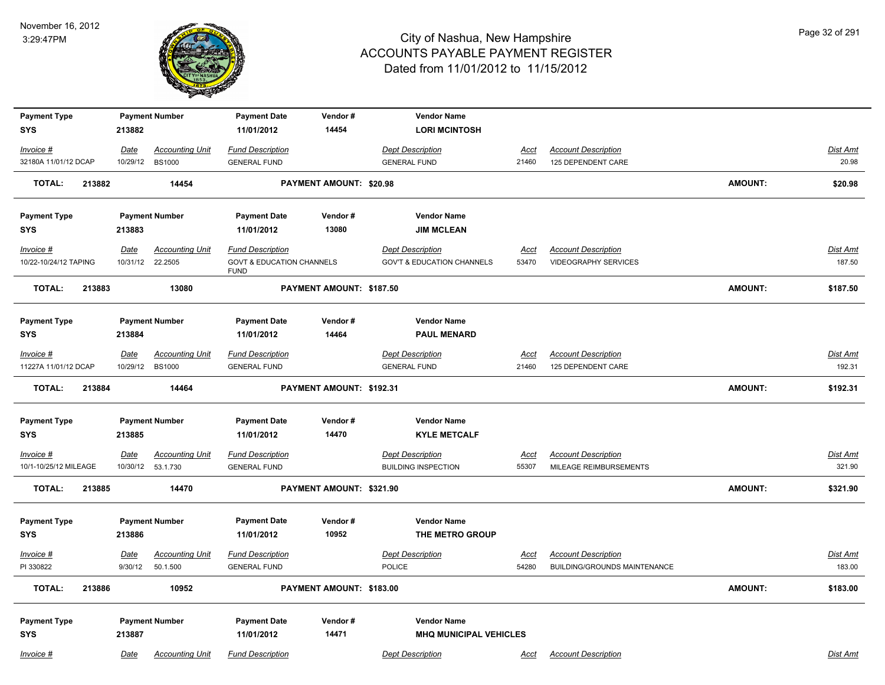

| <b>Payment Type</b>                  |                        | <b>Payment Number</b>                        | <b>Payment Date</b>                                 | Vendor#                  | <b>Vendor Name</b>                                    |                      |                                                                   |                |                    |
|--------------------------------------|------------------------|----------------------------------------------|-----------------------------------------------------|--------------------------|-------------------------------------------------------|----------------------|-------------------------------------------------------------------|----------------|--------------------|
| <b>SYS</b>                           | 213882                 |                                              | 11/01/2012                                          | 14454                    | <b>LORI MCINTOSH</b>                                  |                      |                                                                   |                |                    |
| Invoice #                            | Date                   | <b>Accounting Unit</b>                       | <b>Fund Description</b>                             |                          | <b>Dept Description</b>                               | Acct                 | <b>Account Description</b>                                        |                | Dist Amt           |
| 32180A 11/01/12 DCAP                 | 10/29/12               | <b>BS1000</b>                                | <b>GENERAL FUND</b>                                 |                          | <b>GENERAL FUND</b>                                   | 21460                | 125 DEPENDENT CARE                                                |                | 20.98              |
| <b>TOTAL:</b><br>213882              |                        | 14454                                        |                                                     | PAYMENT AMOUNT: \$20.98  |                                                       |                      |                                                                   | <b>AMOUNT:</b> | \$20.98            |
| <b>Payment Type</b>                  |                        | <b>Payment Number</b>                        | <b>Payment Date</b>                                 | Vendor#                  | <b>Vendor Name</b>                                    |                      |                                                                   |                |                    |
| <b>SYS</b>                           | 213883                 |                                              | 11/01/2012                                          | 13080                    | <b>JIM MCLEAN</b>                                     |                      |                                                                   |                |                    |
| Invoice #                            | Date                   | <b>Accounting Unit</b>                       | <b>Fund Description</b>                             |                          | <b>Dept Description</b>                               | <u>Acct</u>          | <b>Account Description</b>                                        |                | Dist Amt           |
| 10/22-10/24/12 TAPING                | 10/31/12               | 22.2505                                      | <b>GOVT &amp; EDUCATION CHANNELS</b><br><b>FUND</b> |                          | <b>GOV'T &amp; EDUCATION CHANNELS</b>                 | 53470                | <b>VIDEOGRAPHY SERVICES</b>                                       |                | 187.50             |
| <b>TOTAL:</b><br>213883              |                        | 13080                                        |                                                     | PAYMENT AMOUNT: \$187.50 |                                                       |                      |                                                                   | <b>AMOUNT:</b> | \$187.50           |
| <b>Payment Type</b>                  |                        | <b>Payment Number</b>                        | <b>Payment Date</b>                                 | Vendor#                  | <b>Vendor Name</b>                                    |                      |                                                                   |                |                    |
| <b>SYS</b>                           | 213884                 |                                              | 11/01/2012                                          | 14464                    | <b>PAUL MENARD</b>                                    |                      |                                                                   |                |                    |
| $Invoice$ #                          | Date                   | <b>Accounting Unit</b>                       | <b>Fund Description</b>                             |                          | <b>Dept Description</b>                               | <u>Acct</u>          | <b>Account Description</b>                                        |                | Dist Amt           |
| 11227A 11/01/12 DCAP                 | 10/29/12               | <b>BS1000</b>                                | <b>GENERAL FUND</b>                                 |                          | <b>GENERAL FUND</b>                                   | 21460                | 125 DEPENDENT CARE                                                |                | 192.31             |
| <b>TOTAL:</b><br>213884              |                        | 14464                                        |                                                     | PAYMENT AMOUNT: \$192.31 |                                                       |                      |                                                                   | <b>AMOUNT:</b> | \$192.31           |
| <b>Payment Type</b>                  |                        | <b>Payment Number</b>                        | <b>Payment Date</b>                                 | Vendor#                  | <b>Vendor Name</b>                                    |                      |                                                                   |                |                    |
| <b>SYS</b>                           | 213885                 |                                              | 11/01/2012                                          | 14470                    | <b>KYLE METCALF</b>                                   |                      |                                                                   |                |                    |
| $Invoice$ #<br>10/1-10/25/12 MILEAGE | Date                   | <b>Accounting Unit</b><br>10/30/12  53.1.730 | <b>Fund Description</b><br><b>GENERAL FUND</b>      |                          | <b>Dept Description</b><br><b>BUILDING INSPECTION</b> | <u>Acct</u><br>55307 | <b>Account Description</b><br>MILEAGE REIMBURSEMENTS              |                | Dist Amt<br>321.90 |
| <b>TOTAL:</b><br>213885              |                        | 14470                                        |                                                     | PAYMENT AMOUNT: \$321.90 |                                                       |                      |                                                                   | <b>AMOUNT:</b> | \$321.90           |
| <b>Payment Type</b><br><b>SYS</b>    | 213886                 | <b>Payment Number</b>                        | <b>Payment Date</b><br>11/01/2012                   | Vendor#<br>10952         | <b>Vendor Name</b><br>THE METRO GROUP                 |                      |                                                                   |                |                    |
| Invoice #<br>PI 330822               | <b>Date</b><br>9/30/12 | <b>Accounting Unit</b><br>50.1.500           | <b>Fund Description</b><br><b>GENERAL FUND</b>      |                          | <b>Dept Description</b><br><b>POLICE</b>              | <u>Acct</u><br>54280 | <b>Account Description</b><br><b>BUILDING/GROUNDS MAINTENANCE</b> |                | Dist Amt<br>183.00 |
| <b>TOTAL:</b><br>213886              |                        | 10952                                        |                                                     | PAYMENT AMOUNT: \$183.00 |                                                       |                      |                                                                   | <b>AMOUNT:</b> | \$183.00           |
| <b>Payment Type</b><br><b>SYS</b>    | 213887                 | <b>Payment Number</b>                        | <b>Payment Date</b><br>11/01/2012                   | Vendor#<br>14471         | <b>Vendor Name</b><br><b>MHQ MUNICIPAL VEHICLES</b>   |                      |                                                                   |                |                    |
| Invoice #                            | Date                   | <b>Accounting Unit</b>                       | <b>Fund Description</b>                             |                          | <b>Dept Description</b>                               | <u>Acct</u>          | <b>Account Description</b>                                        |                | Dist Amt           |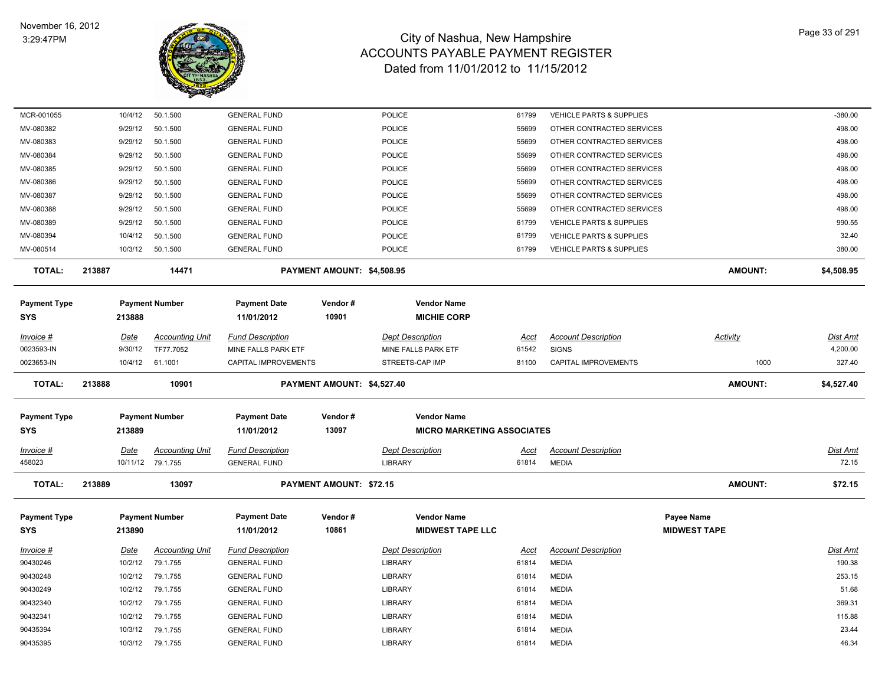

| MCR-001055           | 10/4/12     | 50.1.500               | <b>GENERAL FUND</b>                        |                            | <b>POLICE</b>                     | 61799       | VEHICLE PARTS & SUPPLIES            |                     | $-380.00$       |
|----------------------|-------------|------------------------|--------------------------------------------|----------------------------|-----------------------------------|-------------|-------------------------------------|---------------------|-----------------|
| MV-080382            | 9/29/12     | 50.1.500               | <b>GENERAL FUND</b>                        |                            | POLICE                            | 55699       | OTHER CONTRACTED SERVICES           |                     | 498.00          |
| MV-080383            | 9/29/12     | 50.1.500               | <b>GENERAL FUND</b>                        |                            | <b>POLICE</b>                     | 55699       | OTHER CONTRACTED SERVICES           |                     | 498.00          |
| MV-080384            | 9/29/12     | 50.1.500               | <b>GENERAL FUND</b>                        |                            | <b>POLICE</b>                     | 55699       | OTHER CONTRACTED SERVICES           |                     | 498.00          |
| MV-080385            | 9/29/12     | 50.1.500               | <b>GENERAL FUND</b>                        |                            | POLICE                            | 55699       | OTHER CONTRACTED SERVICES           |                     | 498.00          |
| MV-080386            | 9/29/12     | 50.1.500               | <b>GENERAL FUND</b>                        |                            | <b>POLICE</b>                     | 55699       | OTHER CONTRACTED SERVICES           |                     | 498.00          |
| MV-080387            | 9/29/12     | 50.1.500               | <b>GENERAL FUND</b>                        |                            | <b>POLICE</b>                     | 55699       | OTHER CONTRACTED SERVICES           |                     | 498.00          |
| MV-080388            | 9/29/12     | 50.1.500               | <b>GENERAL FUND</b>                        |                            | <b>POLICE</b>                     | 55699       | OTHER CONTRACTED SERVICES           |                     | 498.00          |
| MV-080389            | 9/29/12     | 50.1.500               | <b>GENERAL FUND</b>                        |                            | <b>POLICE</b>                     | 61799       | VEHICLE PARTS & SUPPLIES            |                     | 990.55          |
| MV-080394            | 10/4/12     | 50.1.500               | <b>GENERAL FUND</b>                        |                            | <b>POLICE</b>                     | 61799       | <b>VEHICLE PARTS &amp; SUPPLIES</b> |                     | 32.40           |
| MV-080514            |             | 10/3/12  50.1.500      | <b>GENERAL FUND</b>                        |                            | <b>POLICE</b>                     | 61799       | <b>VEHICLE PARTS &amp; SUPPLIES</b> |                     | 380.00          |
| <b>TOTAL:</b>        | 213887      | 14471                  |                                            | PAYMENT AMOUNT: \$4,508.95 |                                   |             |                                     | <b>AMOUNT:</b>      | \$4,508.95      |
| <b>Payment Type</b>  |             | <b>Payment Number</b>  | <b>Payment Date</b>                        | Vendor#                    | <b>Vendor Name</b>                |             |                                     |                     |                 |
| <b>SYS</b>           | 213888      |                        | 11/01/2012                                 | 10901                      | <b>MICHIE CORP</b>                |             |                                     |                     |                 |
| Invoice #            | <u>Date</u> | <b>Accounting Unit</b> | <b>Fund Description</b>                    |                            | <b>Dept Description</b>           | Acct        | <b>Account Description</b>          | <b>Activity</b>     | Dist Amt        |
| 0023593-IN           | 9/30/12     | TF77.7052              | MINE FALLS PARK ETF                        |                            | MINE FALLS PARK ETF               | 61542       | <b>SIGNS</b>                        |                     | 4,200.00        |
| 0023653-IN           | 10/4/12     | 61.1001                | CAPITAL IMPROVEMENTS                       |                            | STREETS-CAP IMP                   | 81100       | <b>CAPITAL IMPROVEMENTS</b>         | 1000                | 327.40          |
| <b>TOTAL:</b>        | 213888      | 10901                  |                                            | PAYMENT AMOUNT: \$4,527.40 |                                   |             |                                     | <b>AMOUNT:</b>      | \$4,527.40      |
| <b>Payment Type</b>  |             | <b>Payment Number</b>  | <b>Payment Date</b>                        | Vendor#                    | <b>Vendor Name</b>                |             |                                     |                     |                 |
| <b>SYS</b>           | 213889      |                        | 11/01/2012                                 | 13097                      | <b>MICRO MARKETING ASSOCIATES</b> |             |                                     |                     |                 |
| Invoice #            | Date        | <b>Accounting Unit</b> | <b>Fund Description</b>                    |                            | <b>Dept Description</b>           | Acct        | <b>Account Description</b>          |                     | Dist Amt        |
| 458023               |             | 10/11/12 79.1.755      | <b>GENERAL FUND</b>                        |                            | <b>LIBRARY</b>                    | 61814       | <b>MEDIA</b>                        |                     | 72.15           |
| <b>TOTAL:</b>        | 213889      | 13097                  |                                            | PAYMENT AMOUNT: \$72.15    |                                   |             |                                     | <b>AMOUNT:</b>      | \$72.15         |
| <b>Payment Type</b>  |             | <b>Payment Number</b>  | <b>Payment Date</b>                        | Vendor#                    | <b>Vendor Name</b>                |             |                                     | Payee Name          |                 |
| <b>SYS</b>           | 213890      |                        | 11/01/2012                                 | 10861                      | <b>MIDWEST TAPE LLC</b>           |             |                                     | <b>MIDWEST TAPE</b> |                 |
| <b>Invoice #</b>     | <u>Date</u> | <b>Accounting Unit</b> | <b>Fund Description</b>                    |                            | <b>Dept Description</b>           | <b>Acct</b> | <b>Account Description</b>          |                     | <b>Dist Amt</b> |
| 90430246             | 10/2/12     | 79.1.755               | <b>GENERAL FUND</b>                        |                            | LIBRARY                           | 61814       | <b>MEDIA</b>                        |                     | 190.38          |
| 90430248             | 10/2/12     | 79.1.755               | <b>GENERAL FUND</b>                        |                            | LIBRARY                           | 61814       | <b>MEDIA</b>                        |                     | 253.15          |
| 90430249             | 10/2/12     | 79.1.755               | <b>GENERAL FUND</b>                        |                            | <b>LIBRARY</b>                    | 61814       | <b>MEDIA</b>                        |                     | 51.68           |
| 90432340             | 10/2/12     | 79.1.755               | <b>GENERAL FUND</b>                        |                            | LIBRARY                           | 61814       | <b>MEDIA</b>                        |                     | 369.31          |
|                      |             |                        |                                            |                            |                                   |             |                                     |                     |                 |
| 90432341             | 10/2/12     | 79.1.755               | <b>GENERAL FUND</b>                        |                            | LIBRARY                           | 61814       | <b>MEDIA</b>                        |                     | 115.88          |
| 90435394<br>90435395 | 10/3/12     | 79.1.755<br>79.1.755   | <b>GENERAL FUND</b><br><b>GENERAL FUND</b> |                            | <b>LIBRARY</b><br><b>LIBRARY</b>  | 61814       | <b>MEDIA</b><br><b>MEDIA</b>        |                     | 23.44<br>46.34  |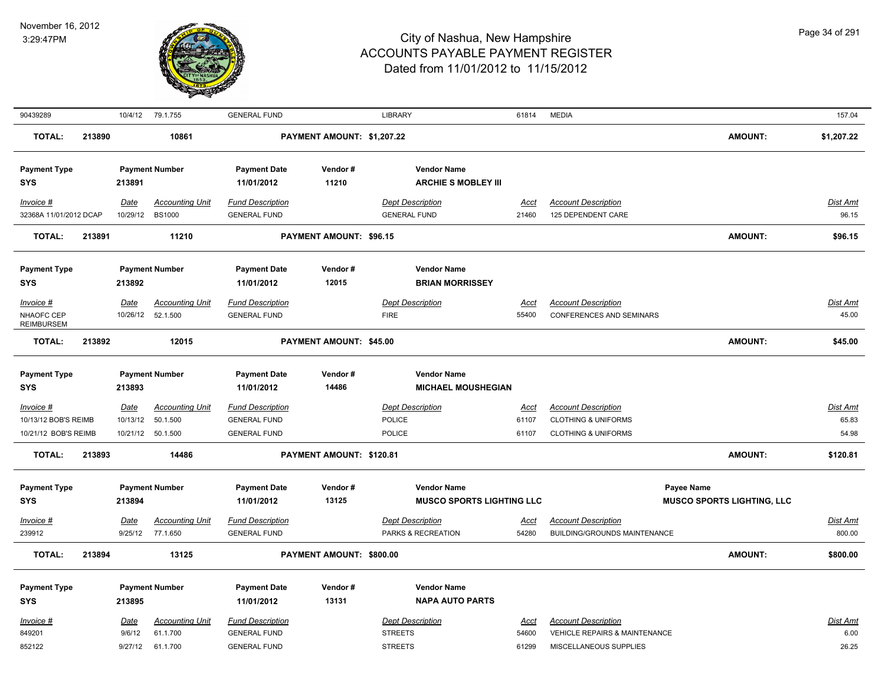

| 90439289                                                    |        | 10/4/12                          | 79.1.755                                                    | <b>GENERAL FUND</b>                                                                 |                                | <b>LIBRARY</b>                                                                                          | 61814                  | <b>MEDIA</b>                                                                                   |                                   | 157.04                     |
|-------------------------------------------------------------|--------|----------------------------------|-------------------------------------------------------------|-------------------------------------------------------------------------------------|--------------------------------|---------------------------------------------------------------------------------------------------------|------------------------|------------------------------------------------------------------------------------------------|-----------------------------------|----------------------------|
| <b>TOTAL:</b>                                               | 213890 |                                  | 10861                                                       |                                                                                     | PAYMENT AMOUNT: \$1,207.22     |                                                                                                         |                        |                                                                                                | <b>AMOUNT:</b>                    | \$1,207.22                 |
| <b>Payment Type</b><br>SYS                                  |        | 213891                           | <b>Payment Number</b>                                       | <b>Payment Date</b><br>11/01/2012                                                   | Vendor#<br>11210               | <b>Vendor Name</b><br><b>ARCHIE S MOBLEY III</b>                                                        |                        |                                                                                                |                                   |                            |
| Invoice #<br>32368A 11/01/2012 DCAP                         |        | Date<br>10/29/12                 | <b>Accounting Unit</b><br><b>BS1000</b>                     | <b>Fund Description</b><br><b>GENERAL FUND</b>                                      |                                | <b>Dept Description</b><br><b>GENERAL FUND</b>                                                          | <u>Acct</u><br>21460   | <b>Account Description</b><br>125 DEPENDENT CARE                                               |                                   | Dist Amt<br>96.15          |
| <b>TOTAL:</b>                                               | 213891 |                                  | 11210                                                       |                                                                                     | <b>PAYMENT AMOUNT: \$96.15</b> |                                                                                                         |                        |                                                                                                | <b>AMOUNT:</b>                    | \$96.15                    |
| <b>Payment Type</b><br>SYS<br>Invoice #                     |        | 213892<br><b>Date</b>            | <b>Payment Number</b><br><b>Accounting Unit</b>             | <b>Payment Date</b><br>11/01/2012<br><b>Fund Description</b>                        | Vendor#<br>12015               | <b>Vendor Name</b><br><b>BRIAN MORRISSEY</b><br><b>Dept Description</b>                                 | <u>Acct</u>            | <b>Account Description</b>                                                                     |                                   | Dist Amt                   |
| NHAOFC CEP<br><b>REIMBURSEM</b>                             |        | 10/26/12                         | 52.1.500                                                    | <b>GENERAL FUND</b>                                                                 |                                | <b>FIRE</b>                                                                                             | 55400                  | <b>CONFERENCES AND SEMINARS</b>                                                                |                                   | 45.00                      |
| <b>TOTAL:</b>                                               | 213892 |                                  | 12015                                                       |                                                                                     | PAYMENT AMOUNT: \$45.00        |                                                                                                         |                        |                                                                                                | <b>AMOUNT:</b>                    | \$45.00                    |
| <b>Payment Type</b><br><b>SYS</b>                           |        | 213893                           | <b>Payment Number</b>                                       | <b>Payment Date</b><br>11/01/2012                                                   | Vendor#<br>14486               | <b>Vendor Name</b><br><b>MICHAEL MOUSHEGIAN</b>                                                         |                        |                                                                                                |                                   |                            |
| $Invoice$ #<br>10/13/12 BOB'S REIMB<br>10/21/12 BOB'S REIMB |        | Date<br>10/13/12<br>10/21/12     | <b>Accounting Unit</b><br>50.1.500<br>50.1.500              | <b>Fund Description</b><br><b>GENERAL FUND</b><br><b>GENERAL FUND</b>               |                                | <b>Dept Description</b><br>POLICE<br><b>POLICE</b>                                                      | Acct<br>61107<br>61107 | <b>Account Description</b><br><b>CLOTHING &amp; UNIFORMS</b><br><b>CLOTHING &amp; UNIFORMS</b> |                                   | Dist Amt<br>65.83<br>54.98 |
| <b>TOTAL:</b>                                               | 213893 |                                  | 14486                                                       |                                                                                     | PAYMENT AMOUNT: \$120.81       |                                                                                                         |                        |                                                                                                | <b>AMOUNT:</b>                    | \$120.81                   |
| <b>Payment Type</b><br><b>SYS</b><br>$Invoice$ #<br>239912  |        | 213894<br><b>Date</b><br>9/25/12 | <b>Payment Number</b><br><b>Accounting Unit</b><br>77.1.650 | <b>Payment Date</b><br>11/01/2012<br><b>Fund Description</b><br><b>GENERAL FUND</b> | Vendor#<br>13125               | <b>Vendor Name</b><br><b>MUSCO SPORTS LIGHTING LLC</b><br><b>Dept Description</b><br>PARKS & RECREATION | <u>Acct</u><br>54280   | Payee Name<br><b>Account Description</b><br>BUILDING/GROUNDS MAINTENANCE                       | <b>MUSCO SPORTS LIGHTING, LLC</b> | Dist Amt<br>800.00         |
| <b>TOTAL:</b>                                               | 213894 |                                  | 13125                                                       |                                                                                     | PAYMENT AMOUNT: \$800.00       |                                                                                                         |                        |                                                                                                | <b>AMOUNT:</b>                    | \$800.00                   |
| <b>Payment Type</b><br><b>SYS</b><br>Invoice #<br>849201    |        | 213895<br>Date<br>9/6/12         | <b>Payment Number</b><br><b>Accounting Unit</b><br>61.1.700 | <b>Payment Date</b><br>11/01/2012<br><b>Fund Description</b><br><b>GENERAL FUND</b> | Vendor#<br>13131               | <b>Vendor Name</b><br><b>NAPA AUTO PARTS</b><br><b>Dept Description</b><br><b>STREETS</b>               | Acct<br>54600          | <b>Account Description</b><br><b>VEHICLE REPAIRS &amp; MAINTENANCE</b>                         |                                   | Dist Amt<br>6.00           |
| 852122                                                      |        | 9/27/12                          | 61.1.700                                                    | <b>GENERAL FUND</b>                                                                 |                                | <b>STREETS</b>                                                                                          | 61299                  | MISCELLANEOUS SUPPLIES                                                                         |                                   | 26.25                      |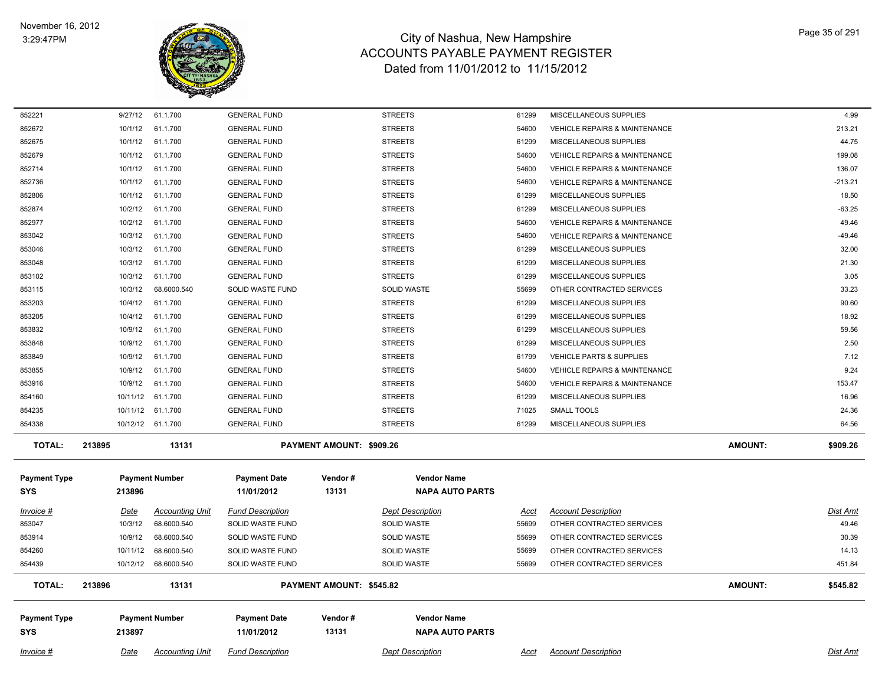

| 852221              | 9/27/12     | 61.1.700               | <b>GENERAL FUND</b>     |                          | <b>STREETS</b>          | 61299       | MISCELLANEOUS SUPPLIES                   |                | 4.99      |
|---------------------|-------------|------------------------|-------------------------|--------------------------|-------------------------|-------------|------------------------------------------|----------------|-----------|
| 852672              | 10/1/12     | 61.1.700               | <b>GENERAL FUND</b>     |                          | <b>STREETS</b>          | 54600       | <b>VEHICLE REPAIRS &amp; MAINTENANCE</b> |                | 213.21    |
| 852675              | 10/1/12     | 61.1.700               | <b>GENERAL FUND</b>     |                          | <b>STREETS</b>          | 61299       | MISCELLANEOUS SUPPLIES                   |                | 44.75     |
| 852679              | 10/1/12     | 61.1.700               | <b>GENERAL FUND</b>     |                          | <b>STREETS</b>          | 54600       | <b>VEHICLE REPAIRS &amp; MAINTENANCE</b> |                | 199.08    |
| 852714              | 10/1/12     | 61.1.700               | <b>GENERAL FUND</b>     |                          | <b>STREETS</b>          | 54600       | <b>VEHICLE REPAIRS &amp; MAINTENANCE</b> |                | 136.07    |
| 852736              | 10/1/12     | 61.1.700               | <b>GENERAL FUND</b>     |                          | <b>STREETS</b>          | 54600       | VEHICLE REPAIRS & MAINTENANCE            |                | $-213.21$ |
| 852806              | 10/1/12     | 61.1.700               | <b>GENERAL FUND</b>     |                          | <b>STREETS</b>          | 61299       | MISCELLANEOUS SUPPLIES                   |                | 18.50     |
| 852874              | 10/2/12     | 61.1.700               | <b>GENERAL FUND</b>     |                          | <b>STREETS</b>          | 61299       | MISCELLANEOUS SUPPLIES                   |                | $-63.25$  |
| 852977              | 10/2/12     | 61.1.700               | <b>GENERAL FUND</b>     |                          | <b>STREETS</b>          | 54600       | <b>VEHICLE REPAIRS &amp; MAINTENANCE</b> |                | 49.46     |
| 853042              | 10/3/12     | 61.1.700               | <b>GENERAL FUND</b>     |                          | <b>STREETS</b>          | 54600       | <b>VEHICLE REPAIRS &amp; MAINTENANCE</b> |                | $-49.46$  |
| 853046              | 10/3/12     | 61.1.700               | <b>GENERAL FUND</b>     |                          | <b>STREETS</b>          | 61299       | MISCELLANEOUS SUPPLIES                   |                | 32.00     |
| 853048              | 10/3/12     | 61.1.700               | <b>GENERAL FUND</b>     |                          | <b>STREETS</b>          | 61299       | MISCELLANEOUS SUPPLIES                   |                | 21.30     |
| 853102              | 10/3/12     | 61.1.700               | <b>GENERAL FUND</b>     |                          | <b>STREETS</b>          | 61299       | MISCELLANEOUS SUPPLIES                   |                | 3.05      |
| 853115              | 10/3/12     | 68.6000.540            | <b>SOLID WASTE FUND</b> |                          | <b>SOLID WASTE</b>      | 55699       | OTHER CONTRACTED SERVICES                |                | 33.23     |
| 853203              | 10/4/12     | 61.1.700               | <b>GENERAL FUND</b>     |                          | <b>STREETS</b>          | 61299       | MISCELLANEOUS SUPPLIES                   |                | 90.60     |
| 853205              | 10/4/12     | 61.1.700               | <b>GENERAL FUND</b>     |                          | <b>STREETS</b>          | 61299       | MISCELLANEOUS SUPPLIES                   |                | 18.92     |
| 853832              | 10/9/12     | 61.1.700               | <b>GENERAL FUND</b>     |                          | <b>STREETS</b>          | 61299       | MISCELLANEOUS SUPPLIES                   |                | 59.56     |
| 853848              | 10/9/12     | 61.1.700               | <b>GENERAL FUND</b>     |                          | <b>STREETS</b>          | 61299       | MISCELLANEOUS SUPPLIES                   |                | 2.50      |
| 853849              | 10/9/12     | 61.1.700               | <b>GENERAL FUND</b>     |                          | <b>STREETS</b>          | 61799       | VEHICLE PARTS & SUPPLIES                 |                | 7.12      |
| 853855              | 10/9/12     | 61.1.700               | <b>GENERAL FUND</b>     |                          | <b>STREETS</b>          | 54600       | <b>VEHICLE REPAIRS &amp; MAINTENANCE</b> |                | 9.24      |
| 853916              | 10/9/12     | 61.1.700               | <b>GENERAL FUND</b>     |                          | <b>STREETS</b>          | 54600       | <b>VEHICLE REPAIRS &amp; MAINTENANCE</b> |                | 153.47    |
| 854160              | 10/11/12    | 61.1.700               | <b>GENERAL FUND</b>     |                          | <b>STREETS</b>          | 61299       | MISCELLANEOUS SUPPLIES                   |                | 16.96     |
| 854235              |             | 10/11/12 61.1.700      | <b>GENERAL FUND</b>     |                          | <b>STREETS</b>          | 71025       | <b>SMALL TOOLS</b>                       |                | 24.36     |
| 854338              |             | 10/12/12 61.1.700      | <b>GENERAL FUND</b>     |                          | <b>STREETS</b>          | 61299       | MISCELLANEOUS SUPPLIES                   |                | 64.56     |
|                     |             |                        |                         |                          |                         |             |                                          |                |           |
| <b>TOTAL:</b>       | 213895      | 13131                  |                         | PAYMENT AMOUNT: \$909.26 |                         |             |                                          | <b>AMOUNT:</b> | \$909.26  |
|                     |             |                        |                         |                          |                         |             |                                          |                |           |
| <b>Payment Type</b> |             | <b>Payment Number</b>  | <b>Payment Date</b>     | Vendor#                  | <b>Vendor Name</b>      |             |                                          |                |           |
| <b>SYS</b>          | 213896      |                        | 11/01/2012              | 13131                    | <b>NAPA AUTO PARTS</b>  |             |                                          |                |           |
| Invoice #           | Date        | <b>Accounting Unit</b> | <b>Fund Description</b> |                          | <b>Dept Description</b> | Acct        | <b>Account Description</b>               |                | Dist Amt  |
| 853047              | 10/3/12     | 68.6000.540            | <b>SOLID WASTE FUND</b> |                          | <b>SOLID WASTE</b>      | 55699       | OTHER CONTRACTED SERVICES                |                | 49.46     |
| 853914              | 10/9/12     | 68.6000.540            | SOLID WASTE FUND        |                          | <b>SOLID WASTE</b>      | 55699       | OTHER CONTRACTED SERVICES                |                | 30.39     |
| 854260              | 10/11/12    | 68.6000.540            | <b>SOLID WASTE FUND</b> |                          | <b>SOLID WASTE</b>      | 55699       | OTHER CONTRACTED SERVICES                |                | 14.13     |
| 854439              | 10/12/12    | 68.6000.540            | <b>SOLID WASTE FUND</b> |                          | <b>SOLID WASTE</b>      | 55699       | OTHER CONTRACTED SERVICES                |                | 451.84    |
| <b>TOTAL:</b>       | 213896      | 13131                  |                         | PAYMENT AMOUNT: \$545.82 |                         |             |                                          | AMOUNT:        | \$545.82  |
|                     |             |                        |                         |                          |                         |             |                                          |                |           |
|                     |             |                        |                         | Vendor#                  | <b>Vendor Name</b>      |             |                                          |                |           |
| <b>Payment Type</b> |             | <b>Payment Number</b>  | <b>Payment Date</b>     |                          |                         |             |                                          |                |           |
| <b>SYS</b>          | 213897      |                        | 11/01/2012              | 13131                    | <b>NAPA AUTO PARTS</b>  |             |                                          |                |           |
| Invoice #           | <u>Date</u> | <b>Accounting Unit</b> | <b>Fund Description</b> |                          | <b>Dept Description</b> | <u>Acct</u> | <b>Account Description</b>               |                | Dist Amt  |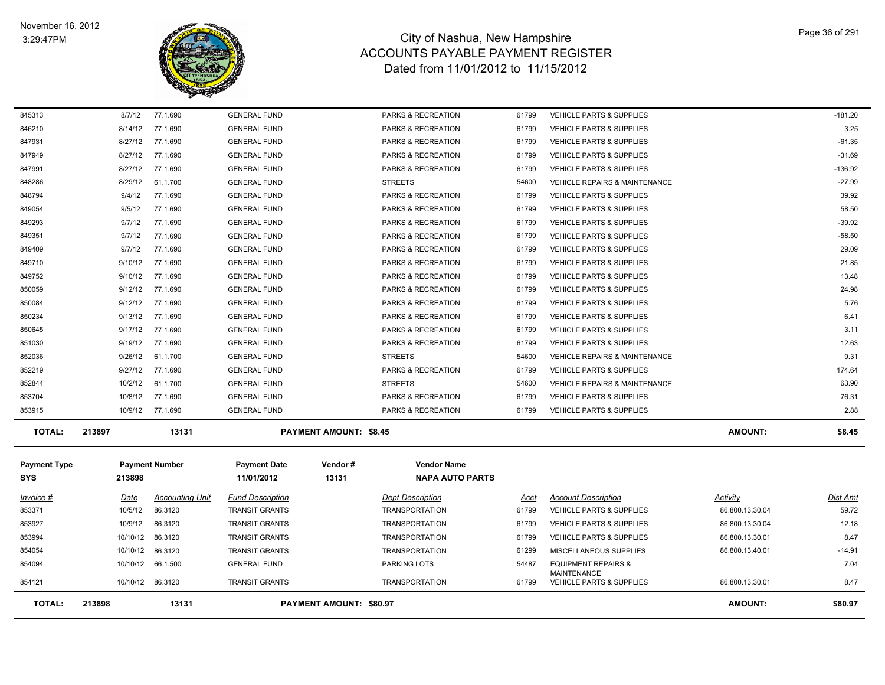

| 845313              | 8/7/12                                     | 77.1.690               | <b>GENERAL FUND</b>     |                               | PARKS & RECREATION            | 61799 | VEHICLE PARTS & SUPPLIES                             |                 | $-181.20$ |
|---------------------|--------------------------------------------|------------------------|-------------------------|-------------------------------|-------------------------------|-------|------------------------------------------------------|-----------------|-----------|
| 846210              | 8/14/12                                    | 77.1.690               | <b>GENERAL FUND</b>     |                               | PARKS & RECREATION            | 61799 | <b>VEHICLE PARTS &amp; SUPPLIES</b>                  |                 | 3.25      |
| 847931              | 8/27/12                                    | 77.1.690               | <b>GENERAL FUND</b>     |                               | PARKS & RECREATION            | 61799 | <b>VEHICLE PARTS &amp; SUPPLIES</b>                  |                 | $-61.35$  |
| 847949              | 8/27/12                                    | 77.1.690               | <b>GENERAL FUND</b>     |                               | PARKS & RECREATION            | 61799 | VEHICLE PARTS & SUPPLIES                             |                 | $-31.69$  |
| 847991              | 8/27/12                                    | 77.1.690               | <b>GENERAL FUND</b>     |                               | PARKS & RECREATION            | 61799 | <b>VEHICLE PARTS &amp; SUPPLIES</b>                  |                 | $-136.92$ |
| 848286              | 8/29/12                                    | 61.1.700               | <b>GENERAL FUND</b>     |                               | <b>STREETS</b>                | 54600 | <b>VEHICLE REPAIRS &amp; MAINTENANCE</b>             |                 | $-27.99$  |
| 848794              | 9/4/12                                     | 77.1.690               | <b>GENERAL FUND</b>     |                               | PARKS & RECREATION            | 61799 | <b>VEHICLE PARTS &amp; SUPPLIES</b>                  |                 | 39.92     |
| 849054              | 9/5/12                                     | 77.1.690               | <b>GENERAL FUND</b>     |                               | PARKS & RECREATION            | 61799 | <b>VEHICLE PARTS &amp; SUPPLIES</b>                  |                 | 58.50     |
| 849293              | 9/7/12                                     | 77.1.690               | <b>GENERAL FUND</b>     |                               | PARKS & RECREATION            | 61799 | <b>VEHICLE PARTS &amp; SUPPLIES</b>                  |                 | $-39.92$  |
| 849351              | 9/7/12                                     | 77.1.690               | <b>GENERAL FUND</b>     |                               | PARKS & RECREATION            | 61799 | <b>VEHICLE PARTS &amp; SUPPLIES</b>                  |                 | $-58.50$  |
| 849409              | 9/7/12                                     | 77.1.690               | <b>GENERAL FUND</b>     |                               | PARKS & RECREATION            | 61799 | <b>VEHICLE PARTS &amp; SUPPLIES</b>                  |                 | 29.09     |
| 849710              | 9/10/12                                    | 77.1.690               | <b>GENERAL FUND</b>     |                               | PARKS & RECREATION            | 61799 | <b>VEHICLE PARTS &amp; SUPPLIES</b>                  |                 | 21.85     |
| 849752              | 9/10/12                                    | 77.1.690               | <b>GENERAL FUND</b>     |                               | PARKS & RECREATION            | 61799 | <b>VEHICLE PARTS &amp; SUPPLIES</b>                  |                 | 13.48     |
| 850059              | 9/12/12                                    | 77.1.690               | <b>GENERAL FUND</b>     |                               | PARKS & RECREATION            | 61799 | VEHICLE PARTS & SUPPLIES                             |                 | 24.98     |
| 850084              | 9/12/12                                    | 77.1.690               | <b>GENERAL FUND</b>     |                               | PARKS & RECREATION            | 61799 | VEHICLE PARTS & SUPPLIES                             |                 | 5.76      |
| 850234              | 9/13/12                                    | 77.1.690               | <b>GENERAL FUND</b>     |                               | PARKS & RECREATION            | 61799 | <b>VEHICLE PARTS &amp; SUPPLIES</b>                  |                 | 6.41      |
| 850645              | 9/17/12                                    | 77.1.690               | <b>GENERAL FUND</b>     |                               | PARKS & RECREATION            | 61799 | <b>VEHICLE PARTS &amp; SUPPLIES</b>                  |                 | 3.11      |
| 851030              | 9/19/12                                    | 77.1.690               | <b>GENERAL FUND</b>     |                               | PARKS & RECREATION            | 61799 | VEHICLE PARTS & SUPPLIES                             |                 | 12.63     |
| 852036              | 9/26/12                                    | 61.1.700               | <b>GENERAL FUND</b>     |                               | <b>STREETS</b>                | 54600 | <b>VEHICLE REPAIRS &amp; MAINTENANCE</b>             |                 | 9.31      |
| 852219              | 9/27/12                                    | 77.1.690               | <b>GENERAL FUND</b>     |                               | PARKS & RECREATION            | 61799 | VEHICLE PARTS & SUPPLIES                             |                 | 174.64    |
| 852844              | 10/2/12                                    | 61.1.700               | <b>GENERAL FUND</b>     |                               | <b>STREETS</b>                | 54600 | <b>VEHICLE REPAIRS &amp; MAINTENANCE</b>             |                 | 63.90     |
| 853704              | 10/8/12                                    | 77.1.690               | <b>GENERAL FUND</b>     |                               | PARKS & RECREATION            | 61799 | <b>VEHICLE PARTS &amp; SUPPLIES</b>                  |                 | 76.31     |
| 853915              | 10/9/12                                    | 77.1.690               | <b>GENERAL FUND</b>     |                               | <b>PARKS &amp; RECREATION</b> | 61799 | <b>VEHICLE PARTS &amp; SUPPLIES</b>                  |                 | 2.88      |
| <b>TOTAL:</b>       | 213897                                     | 13131                  |                         | <b>PAYMENT AMOUNT: \$8.45</b> |                               |       |                                                      | <b>AMOUNT:</b>  | \$8.45    |
| <b>Payment Type</b> |                                            | <b>Payment Number</b>  | <b>Payment Date</b>     | Vendor#                       | <b>Vendor Name</b>            |       |                                                      |                 |           |
| <b>SYS</b>          | 213898                                     |                        | 11/01/2012              | 13131                         | <b>NAPA AUTO PARTS</b>        |       |                                                      |                 |           |
|                     |                                            |                        |                         |                               |                               |       |                                                      |                 |           |
| Invoice #           | Date                                       | <b>Accounting Unit</b> | <b>Fund Description</b> |                               | <b>Dept Description</b>       | Acct  | <b>Account Description</b>                           | Activity        | Dist Amt  |
| 853371              | 10/5/12                                    | 86.3120                | <b>TRANSIT GRANTS</b>   |                               | <b>TRANSPORTATION</b>         | 61799 | <b>VEHICLE PARTS &amp; SUPPLIES</b>                  | 86.800.13.30.04 | 59.72     |
| 853927              | 10/9/12                                    | 86.3120                | <b>TRANSIT GRANTS</b>   |                               | <b>TRANSPORTATION</b>         | 61799 | VEHICLE PARTS & SUPPLIES                             | 86.800.13.30.04 | 12.18     |
| 853994              | 10/10/12                                   | 86.3120                | <b>TRANSIT GRANTS</b>   |                               | <b>TRANSPORTATION</b>         | 61799 | <b>VEHICLE PARTS &amp; SUPPLIES</b>                  | 86.800.13.30.01 | 8.47      |
| 854054              | 10/10/12                                   | 86.3120                | <b>TRANSIT GRANTS</b>   |                               | <b>TRANSPORTATION</b>         | 61299 | MISCELLANEOUS SUPPLIES                               | 86.800.13.40.01 | $-14.91$  |
| 854094              |                                            | 10/10/12 66.1.500      | <b>GENERAL FUND</b>     |                               | PARKING LOTS                  | 54487 | <b>EQUIPMENT REPAIRS &amp;</b><br><b>MAINTENANCE</b> |                 | 7.04      |
| 854121              |                                            | 10/10/12 86.3120       | <b>TRANSIT GRANTS</b>   |                               | <b>TRANSPORTATION</b>         | 61799 | <b>VEHICLE PARTS &amp; SUPPLIES</b>                  | 86.800.13.30.01 | 8.47      |
| <b>TOTAL:</b>       | 13131<br>PAYMENT AMOUNT: \$80.97<br>213898 |                        |                         |                               |                               |       | <b>AMOUNT:</b>                                       | \$80.97         |           |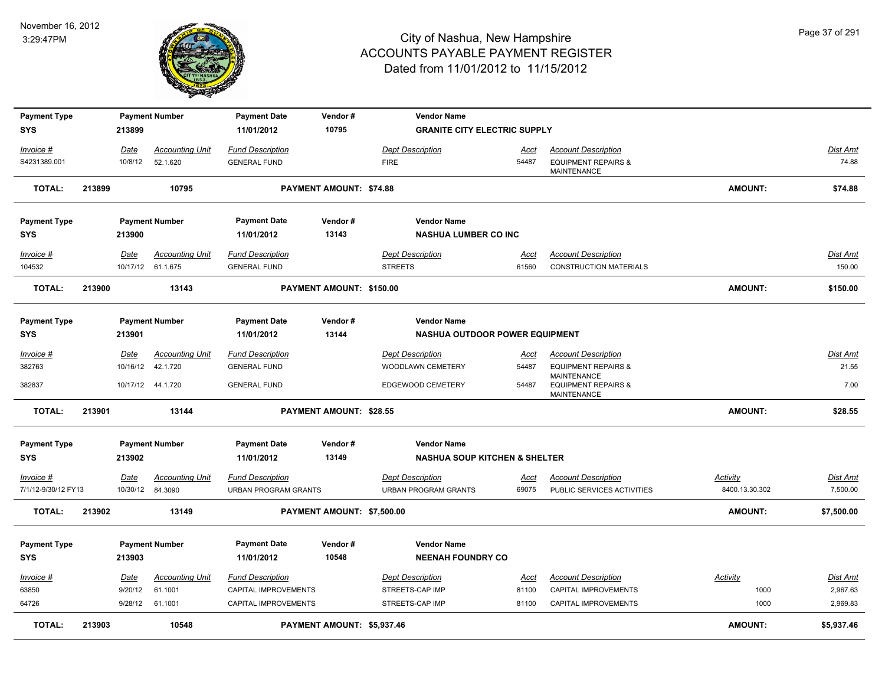

| <b>Payment Type</b> |        |          | <b>Payment Number</b>  | <b>Payment Date</b>         | Vendor#                        | <b>Vendor Name</b>                       |             |                                                      |                 |                 |
|---------------------|--------|----------|------------------------|-----------------------------|--------------------------------|------------------------------------------|-------------|------------------------------------------------------|-----------------|-----------------|
| <b>SYS</b>          |        | 213899   |                        | 11/01/2012                  | 10795                          | <b>GRANITE CITY ELECTRIC SUPPLY</b>      |             |                                                      |                 |                 |
| Invoice #           |        | Date     | <b>Accounting Unit</b> | <b>Fund Description</b>     |                                | <b>Dept Description</b>                  | Acct        | <b>Account Description</b>                           |                 | <b>Dist Amt</b> |
| S4231389.001        |        | 10/8/12  | 52.1.620               | <b>GENERAL FUND</b>         |                                | <b>FIRE</b>                              | 54487       | <b>EQUIPMENT REPAIRS &amp;</b><br><b>MAINTENANCE</b> |                 | 74.88           |
| <b>TOTAL:</b>       | 213899 |          | 10795                  |                             | PAYMENT AMOUNT: \$74.88        |                                          |             |                                                      | AMOUNT:         | \$74.88         |
| <b>Payment Type</b> |        |          | <b>Payment Number</b>  | <b>Payment Date</b>         | Vendor#                        | <b>Vendor Name</b>                       |             |                                                      |                 |                 |
| <b>SYS</b>          |        | 213900   |                        | 11/01/2012                  | 13143                          | <b>NASHUA LUMBER CO INC</b>              |             |                                                      |                 |                 |
| Invoice #           |        | Date     | <b>Accounting Unit</b> | <b>Fund Description</b>     |                                | <b>Dept Description</b>                  | Acct        | <b>Account Description</b>                           |                 | Dist Amt        |
| 104532              |        |          | 10/17/12 61.1.675      | <b>GENERAL FUND</b>         |                                | <b>STREETS</b>                           | 61560       | <b>CONSTRUCTION MATERIALS</b>                        |                 | 150.00          |
| <b>TOTAL:</b>       | 213900 |          | 13143                  |                             | PAYMENT AMOUNT: \$150.00       |                                          |             |                                                      | <b>AMOUNT:</b>  | \$150.00        |
| <b>Payment Type</b> |        |          | <b>Payment Number</b>  | <b>Payment Date</b>         | Vendor#                        | <b>Vendor Name</b>                       |             |                                                      |                 |                 |
| <b>SYS</b>          |        | 213901   |                        | 11/01/2012                  | 13144                          | <b>NASHUA OUTDOOR POWER EQUIPMENT</b>    |             |                                                      |                 |                 |
| $Invoice$ #         |        | Date     | <b>Accounting Unit</b> | <b>Fund Description</b>     |                                | <b>Dept Description</b>                  | <u>Acct</u> | <b>Account Description</b>                           |                 | <b>Dist Amt</b> |
| 382763              |        | 10/16/12 | 42.1.720               | <b>GENERAL FUND</b>         |                                | WOODLAWN CEMETERY                        | 54487       | <b>EQUIPMENT REPAIRS &amp;</b>                       |                 | 21.55           |
| 382837              |        |          | 10/17/12  44.1.720     | <b>GENERAL FUND</b>         |                                | EDGEWOOD CEMETERY                        | 54487       | <b>MAINTENANCE</b><br><b>EQUIPMENT REPAIRS &amp;</b> |                 | 7.00            |
|                     |        |          |                        |                             |                                |                                          |             | <b>MAINTENANCE</b>                                   |                 |                 |
| <b>TOTAL:</b>       | 213901 |          | 13144                  |                             | <b>PAYMENT AMOUNT: \$28.55</b> |                                          |             |                                                      | AMOUNT:         | \$28.55         |
| <b>Payment Type</b> |        |          | <b>Payment Number</b>  | <b>Payment Date</b>         | Vendor#                        | <b>Vendor Name</b>                       |             |                                                      |                 |                 |
| <b>SYS</b>          |        | 213902   |                        | 11/01/2012                  | 13149                          | <b>NASHUA SOUP KITCHEN &amp; SHELTER</b> |             |                                                      |                 |                 |
| Invoice #           |        | Date     | <b>Accounting Unit</b> | <b>Fund Description</b>     |                                | <b>Dept Description</b>                  | <u>Acct</u> | <b>Account Description</b>                           | Activity        | <b>Dist Amt</b> |
| 7/1/12-9/30/12 FY13 |        | 10/30/12 | 84.3090                | <b>URBAN PROGRAM GRANTS</b> |                                | <b>URBAN PROGRAM GRANTS</b>              | 69075       | PUBLIC SERVICES ACTIVITIES                           | 8400.13.30.302  | 7,500.00        |
| <b>TOTAL:</b>       | 213902 |          | 13149                  |                             | PAYMENT AMOUNT: \$7,500.00     |                                          |             |                                                      | <b>AMOUNT:</b>  | \$7,500.00      |
| <b>Payment Type</b> |        |          | <b>Payment Number</b>  | <b>Payment Date</b>         | Vendor#                        | <b>Vendor Name</b>                       |             |                                                      |                 |                 |
| <b>SYS</b>          |        | 213903   |                        | 11/01/2012                  | 10548                          | <b>NEENAH FOUNDRY CO</b>                 |             |                                                      |                 |                 |
| Invoice #           |        | Date     | <b>Accounting Unit</b> | <b>Fund Description</b>     |                                | <b>Dept Description</b>                  | <u>Acct</u> | <b>Account Description</b>                           | <b>Activity</b> | <b>Dist Amt</b> |
| 63850               |        | 9/20/12  | 61.1001                | CAPITAL IMPROVEMENTS        |                                | STREETS-CAP IMP                          | 81100       | CAPITAL IMPROVEMENTS                                 | 1000            | 2,967.63        |
| 64726               |        | 9/28/12  | 61.1001                | CAPITAL IMPROVEMENTS        |                                | STREETS-CAP IMP                          | 81100       | <b>CAPITAL IMPROVEMENTS</b>                          | 1000            | 2,969.83        |
| <b>TOTAL:</b>       | 213903 |          | 10548                  |                             | PAYMENT AMOUNT: \$5,937.46     |                                          |             |                                                      | <b>AMOUNT:</b>  | \$5,937.46      |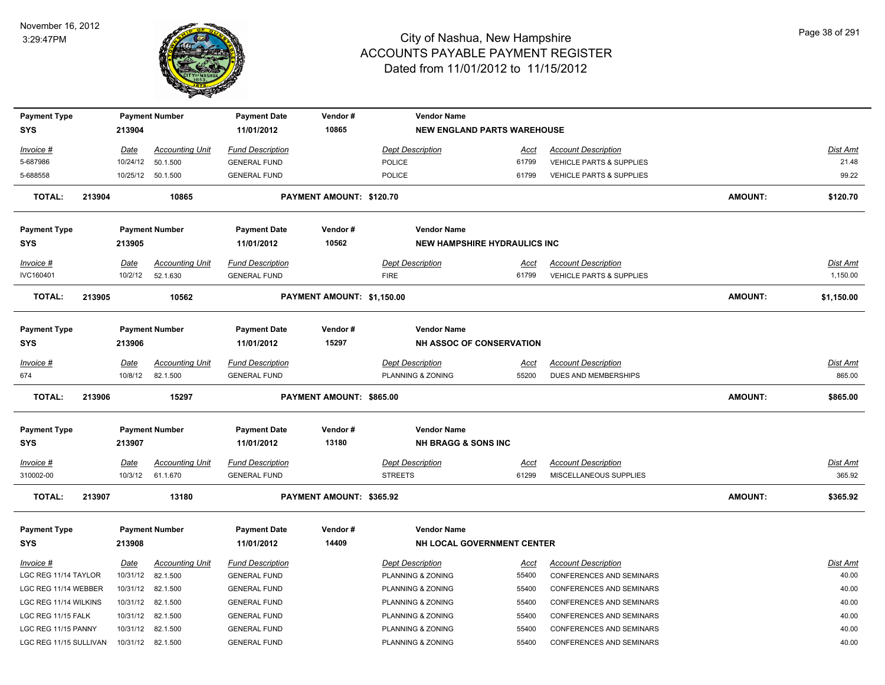

| <b>Payment Type</b>    |        |             | <b>Payment Number</b>  | <b>Payment Date</b>     | Vendor#                    | <b>Vendor Name</b>                  |             |                                     |                |                 |
|------------------------|--------|-------------|------------------------|-------------------------|----------------------------|-------------------------------------|-------------|-------------------------------------|----------------|-----------------|
| <b>SYS</b>             |        | 213904      |                        | 11/01/2012              | 10865                      | <b>NEW ENGLAND PARTS WAREHOUSE</b>  |             |                                     |                |                 |
| Invoice #              |        | Date        | <b>Accounting Unit</b> | <b>Fund Description</b> |                            | <b>Dept Description</b>             | Acct        | <b>Account Description</b>          |                | Dist Amt        |
| 5-687986               |        | 10/24/12    | 50.1.500               | <b>GENERAL FUND</b>     |                            | <b>POLICE</b>                       | 61799       | <b>VEHICLE PARTS &amp; SUPPLIES</b> |                | 21.48           |
| 5-688558               |        |             | 10/25/12 50.1.500      | <b>GENERAL FUND</b>     |                            | <b>POLICE</b>                       | 61799       | VEHICLE PARTS & SUPPLIES            |                | 99.22           |
| <b>TOTAL:</b>          | 213904 |             | 10865                  |                         | PAYMENT AMOUNT: \$120.70   |                                     |             |                                     | <b>AMOUNT:</b> | \$120.70        |
| <b>Payment Type</b>    |        |             | <b>Payment Number</b>  | <b>Payment Date</b>     | Vendor#                    | <b>Vendor Name</b>                  |             |                                     |                |                 |
| <b>SYS</b>             |        | 213905      |                        | 11/01/2012              | 10562                      | <b>NEW HAMPSHIRE HYDRAULICS INC</b> |             |                                     |                |                 |
| Invoice #              |        | Date        | <b>Accounting Unit</b> | <b>Fund Description</b> |                            | <b>Dept Description</b>             | Acct        | <b>Account Description</b>          |                | Dist Amt        |
| IVC160401              |        | 10/2/12     | 52.1.630               | <b>GENERAL FUND</b>     |                            | <b>FIRE</b>                         | 61799       | <b>VEHICLE PARTS &amp; SUPPLIES</b> |                | 1,150.00        |
| <b>TOTAL:</b>          | 213905 |             | 10562                  |                         | PAYMENT AMOUNT: \$1,150.00 |                                     |             |                                     | <b>AMOUNT:</b> | \$1,150.00      |
| <b>Payment Type</b>    |        |             | <b>Payment Number</b>  | <b>Payment Date</b>     | Vendor#                    | <b>Vendor Name</b>                  |             |                                     |                |                 |
| <b>SYS</b>             |        | 213906      |                        | 11/01/2012              | 15297                      | NH ASSOC OF CONSERVATION            |             |                                     |                |                 |
| Invoice #              |        | <b>Date</b> | <b>Accounting Unit</b> | <b>Fund Description</b> |                            | <b>Dept Description</b>             | <u>Acct</u> | <b>Account Description</b>          |                | Dist Amt        |
| 674                    |        | 10/8/12     | 82.1.500               | <b>GENERAL FUND</b>     |                            | PLANNING & ZONING                   | 55200       | DUES AND MEMBERSHIPS                |                | 865.00          |
| <b>TOTAL:</b>          | 213906 |             | 15297                  |                         | PAYMENT AMOUNT: \$865.00   |                                     |             |                                     | <b>AMOUNT:</b> | \$865.00        |
| <b>Payment Type</b>    |        |             | <b>Payment Number</b>  | <b>Payment Date</b>     | Vendor#                    | <b>Vendor Name</b>                  |             |                                     |                |                 |
| <b>SYS</b>             |        | 213907      |                        | 11/01/2012              | 13180                      | <b>NH BRAGG &amp; SONS INC</b>      |             |                                     |                |                 |
| Invoice #              |        | <u>Date</u> | <b>Accounting Unit</b> | <b>Fund Description</b> |                            | <b>Dept Description</b>             | <u>Acct</u> | <b>Account Description</b>          |                | <u>Dist Amt</u> |
| 310002-00              |        | 10/3/12     | 61.1.670               | <b>GENERAL FUND</b>     |                            | <b>STREETS</b>                      | 61299       | MISCELLANEOUS SUPPLIES              |                | 365.92          |
| <b>TOTAL:</b>          | 213907 |             | 13180                  |                         | PAYMENT AMOUNT: \$365.92   |                                     |             |                                     | <b>AMOUNT:</b> | \$365.92        |
| <b>Payment Type</b>    |        |             | <b>Payment Number</b>  | <b>Payment Date</b>     | Vendor#                    | <b>Vendor Name</b>                  |             |                                     |                |                 |
| <b>SYS</b>             |        | 213908      |                        | 11/01/2012              | 14409                      | NH LOCAL GOVERNMENT CENTER          |             |                                     |                |                 |
| Invoice #              |        | Date        | <b>Accounting Unit</b> | <b>Fund Description</b> |                            | <b>Dept Description</b>             | Acct        | <b>Account Description</b>          |                | Dist Amt        |
| LGC REG 11/14 TAYLOR   |        | 10/31/12    | 82.1.500               | <b>GENERAL FUND</b>     |                            | PLANNING & ZONING                   | 55400       | <b>CONFERENCES AND SEMINARS</b>     |                | 40.00           |
| LGC REG 11/14 WEBBER   |        | 10/31/12    | 82.1.500               | <b>GENERAL FUND</b>     |                            | PLANNING & ZONING                   | 55400       | CONFERENCES AND SEMINARS            |                | 40.00           |
| LGC REG 11/14 WILKINS  |        | 10/31/12    | 82.1.500               | <b>GENERAL FUND</b>     |                            | PLANNING & ZONING                   | 55400       | <b>CONFERENCES AND SEMINARS</b>     |                | 40.00           |
| LGC REG 11/15 FALK     |        | 10/31/12    | 82.1.500               | <b>GENERAL FUND</b>     |                            | PLANNING & ZONING                   | 55400       | CONFERENCES AND SEMINARS            |                | 40.00           |
| LGC REG 11/15 PANNY    |        | 10/31/12    | 82.1.500               | <b>GENERAL FUND</b>     |                            | PLANNING & ZONING                   | 55400       | CONFERENCES AND SEMINARS            |                | 40.00           |
| LGC REG 11/15 SULLIVAN |        | 10/31/12    | 82.1.500               | <b>GENERAL FUND</b>     |                            | PLANNING & ZONING                   | 55400       | <b>CONFERENCES AND SEMINARS</b>     |                | 40.00           |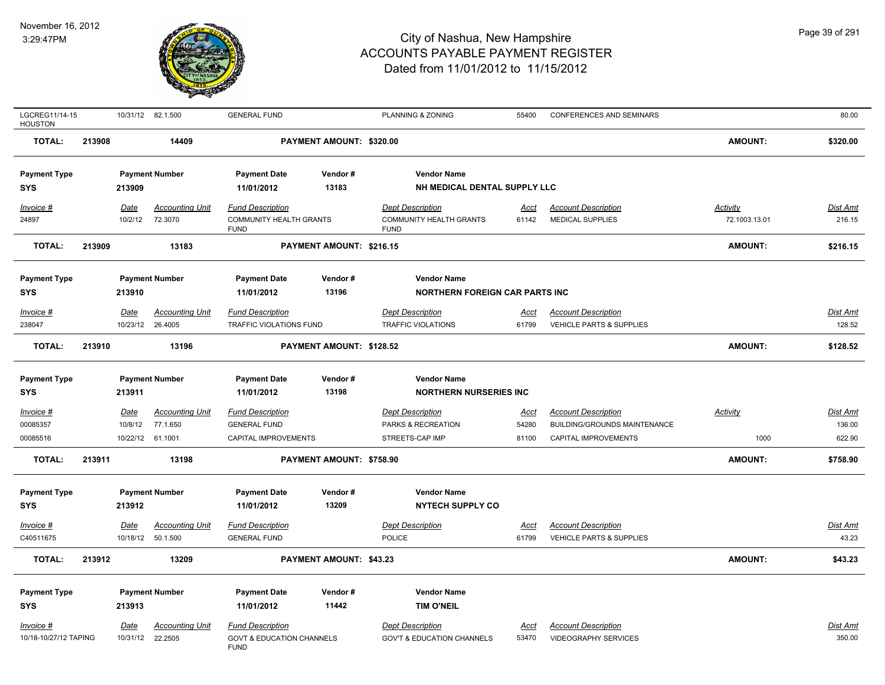

| LGCREG11/14-15<br><b>HOUSTON</b> |        |                  | 10/31/12 82.1.500      | <b>GENERAL FUND</b>                                 |                          | PLANNING & ZONING                             | 55400       | <b>CONFERENCES AND SEMINARS</b> |                 | 80.00    |
|----------------------------------|--------|------------------|------------------------|-----------------------------------------------------|--------------------------|-----------------------------------------------|-------------|---------------------------------|-----------------|----------|
| <b>TOTAL:</b>                    | 213908 |                  | 14409                  |                                                     | PAYMENT AMOUNT: \$320.00 |                                               |             |                                 | <b>AMOUNT:</b>  | \$320.00 |
| <b>Payment Type</b>              |        |                  | <b>Payment Number</b>  | <b>Payment Date</b>                                 | Vendor#                  | <b>Vendor Name</b>                            |             |                                 |                 |          |
| <b>SYS</b>                       |        | 213909           |                        | 11/01/2012                                          | 13183                    | NH MEDICAL DENTAL SUPPLY LLC                  |             |                                 |                 |          |
| Invoice #                        |        | Date             | <b>Accounting Unit</b> | <b>Fund Description</b>                             |                          | <b>Dept Description</b>                       | Acct        | <b>Account Description</b>      | <b>Activity</b> | Dist Amt |
| 24897                            |        | 10/2/12          | 72.3070                | <b>COMMUNITY HEALTH GRANTS</b><br><b>FUND</b>       |                          | <b>COMMUNITY HEALTH GRANTS</b><br><b>FUND</b> | 61142       | <b>MEDICAL SUPPLIES</b>         | 72.1003.13.01   | 216.15   |
| <b>TOTAL:</b>                    | 213909 |                  | 13183                  |                                                     | PAYMENT AMOUNT: \$216.15 |                                               |             |                                 | AMOUNT:         | \$216.15 |
| <b>Payment Type</b>              |        |                  | <b>Payment Number</b>  | <b>Payment Date</b>                                 | Vendor#                  | <b>Vendor Name</b>                            |             |                                 |                 |          |
| <b>SYS</b>                       |        | 213910           |                        | 11/01/2012                                          | 13196                    | <b>NORTHERN FOREIGN CAR PARTS INC</b>         |             |                                 |                 |          |
| Invoice #                        |        | Date             | <b>Accounting Unit</b> | <b>Fund Description</b>                             |                          | <b>Dept Description</b>                       | <u>Acct</u> | <b>Account Description</b>      |                 | Dist Amt |
| 238047                           |        | 10/23/12 26.4005 |                        | TRAFFIC VIOLATIONS FUND                             |                          | <b>TRAFFIC VIOLATIONS</b>                     | 61799       | VEHICLE PARTS & SUPPLIES        |                 | 128.52   |
| <b>TOTAL:</b>                    | 213910 |                  | 13196                  |                                                     | PAYMENT AMOUNT: \$128.52 |                                               |             |                                 | <b>AMOUNT:</b>  | \$128.52 |
| <b>Payment Type</b>              |        |                  | <b>Payment Number</b>  | <b>Payment Date</b>                                 | Vendor#                  | <b>Vendor Name</b>                            |             |                                 |                 |          |
| <b>SYS</b>                       |        | 213911           |                        | 11/01/2012                                          | 13198                    | <b>NORTHERN NURSERIES INC</b>                 |             |                                 |                 |          |
| Invoice #                        |        | <u>Date</u>      | <b>Accounting Unit</b> | <b>Fund Description</b>                             |                          | <b>Dept Description</b>                       | <u>Acct</u> | <b>Account Description</b>      | <b>Activity</b> | Dist Amt |
| 00085357                         |        | 10/8/12          | 77.1.650               | <b>GENERAL FUND</b>                                 |                          | PARKS & RECREATION                            | 54280       | BUILDING/GROUNDS MAINTENANCE    |                 | 136.00   |
| 00085516                         |        | 10/22/12 61.1001 |                        | CAPITAL IMPROVEMENTS                                |                          | STREETS-CAP IMP                               | 81100       | CAPITAL IMPROVEMENTS            | 1000            | 622.90   |
| <b>TOTAL:</b>                    | 213911 |                  | 13198                  |                                                     | PAYMENT AMOUNT: \$758.90 |                                               |             |                                 | <b>AMOUNT:</b>  | \$758.90 |
| <b>Payment Type</b>              |        |                  | <b>Payment Number</b>  | <b>Payment Date</b>                                 | Vendor#                  | <b>Vendor Name</b>                            |             |                                 |                 |          |
| <b>SYS</b>                       |        | 213912           |                        | 11/01/2012                                          | 13209                    | <b>NYTECH SUPPLY CO</b>                       |             |                                 |                 |          |
| Invoice #                        |        | Date             | <b>Accounting Unit</b> | <b>Fund Description</b>                             |                          | <b>Dept Description</b>                       | Acct        | <b>Account Description</b>      |                 | Dist Amt |
| C40511675                        |        |                  | 10/18/12 50.1.500      | <b>GENERAL FUND</b>                                 |                          | POLICE                                        | 61799       | VEHICLE PARTS & SUPPLIES        |                 | 43.23    |
| <b>TOTAL:</b>                    | 213912 |                  | 13209                  |                                                     | PAYMENT AMOUNT: \$43.23  |                                               |             |                                 | <b>AMOUNT:</b>  | \$43.23  |
| <b>Payment Type</b>              |        |                  | <b>Payment Number</b>  | <b>Payment Date</b>                                 | Vendor#                  | <b>Vendor Name</b>                            |             |                                 |                 |          |
| <b>SYS</b>                       |        | 213913           |                        | 11/01/2012                                          | 11442                    | <b>TIM O'NEIL</b>                             |             |                                 |                 |          |
| <u>Invoice #</u>                 |        | Date             | <b>Accounting Unit</b> | <b>Fund Description</b>                             |                          | <b>Dept Description</b>                       | Acct        | <b>Account Description</b>      |                 | Dist Amt |
| 10/18-10/27/12 TAPING            |        |                  | 10/31/12 22.2505       | <b>GOVT &amp; EDUCATION CHANNELS</b><br><b>FUND</b> |                          | <b>GOV'T &amp; EDUCATION CHANNELS</b>         | 53470       | <b>VIDEOGRAPHY SERVICES</b>     |                 | 350.00   |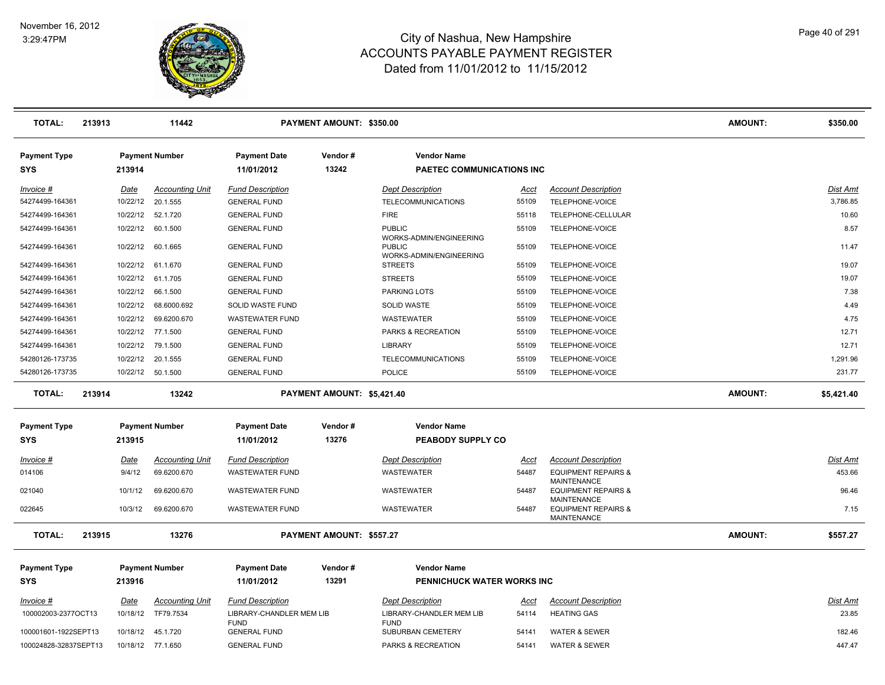

| <b>TOTAL:</b>                                 | 213913 |                                 | 11442                                 |                                                     | PAYMENT AMOUNT: \$350.00   |                                                     |                |                                                                            | <b>AMOUNT:</b> | \$350.00           |
|-----------------------------------------------|--------|---------------------------------|---------------------------------------|-----------------------------------------------------|----------------------------|-----------------------------------------------------|----------------|----------------------------------------------------------------------------|----------------|--------------------|
| <b>Payment Type</b><br>SYS                    |        | <b>Payment Number</b><br>213914 |                                       | <b>Payment Date</b><br>11/01/2012                   | Vendor#<br>13242           | <b>Vendor Name</b><br>PAETEC COMMUNICATIONS INC     |                |                                                                            |                |                    |
| Invoice #                                     |        | Date                            | <b>Accounting Unit</b>                | <b>Fund Description</b>                             |                            | <b>Dept Description</b>                             | Acct           | <b>Account Description</b>                                                 |                | Dist Amt           |
| 54274499-164361                               |        | 10/22/12                        | 20.1.555                              | <b>GENERAL FUND</b>                                 |                            | TELECOMMUNICATIONS                                  | 55109          | TELEPHONE-VOICE                                                            |                | 3,786.85           |
| 54274499-164361                               |        | 10/22/12                        | 52.1.720                              | <b>GENERAL FUND</b>                                 |                            | <b>FIRE</b>                                         | 55118          | TELEPHONE-CELLULAR                                                         |                | 10.60              |
| 54274499-164361                               |        | 10/22/12                        | 60.1.500                              | <b>GENERAL FUND</b>                                 |                            | <b>PUBLIC</b><br>WORKS-ADMIN/ENGINEERING            | 55109          | TELEPHONE-VOICE                                                            |                | 8.57               |
| 54274499-164361                               |        | 10/22/12                        | 60.1.665                              | <b>GENERAL FUND</b>                                 |                            | <b>PUBLIC</b>                                       | 55109          | TELEPHONE-VOICE                                                            |                | 11.47              |
| 54274499-164361                               |        | 10/22/12                        | 61.1.670                              | <b>GENERAL FUND</b>                                 |                            | WORKS-ADMIN/ENGINEERING<br><b>STREETS</b>           | 55109          | TELEPHONE-VOICE                                                            |                | 19.07              |
| 54274499-164361                               |        | 10/22/12 61.1.705               |                                       | <b>GENERAL FUND</b>                                 |                            | <b>STREETS</b>                                      | 55109          | TELEPHONE-VOICE                                                            |                | 19.07              |
| 54274499-164361                               |        | 10/22/12                        | 66.1.500                              | <b>GENERAL FUND</b>                                 |                            | PARKING LOTS                                        | 55109          | TELEPHONE-VOICE                                                            |                | 7.38               |
| 54274499-164361                               |        | 10/22/12                        | 68.6000.692                           | SOLID WASTE FUND                                    |                            | SOLID WASTE                                         | 55109          | TELEPHONE-VOICE                                                            |                | 4.49               |
| 54274499-164361                               |        | 10/22/12                        | 69.6200.670                           | <b>WASTEWATER FUND</b>                              |                            | <b>WASTEWATER</b>                                   | 55109          | TELEPHONE-VOICE                                                            |                | 4.75               |
| 54274499-164361                               |        | 10/22/12                        | 77.1.500                              | <b>GENERAL FUND</b>                                 |                            | <b>PARKS &amp; RECREATION</b>                       | 55109          | TELEPHONE-VOICE                                                            |                | 12.71              |
| 54274499-164361                               |        | 10/22/12                        | 79.1.500                              | <b>GENERAL FUND</b>                                 |                            | LIBRARY                                             | 55109          | TELEPHONE-VOICE                                                            |                | 12.71              |
| 54280126-173735                               |        | 10/22/12                        | 20.1.555                              | <b>GENERAL FUND</b>                                 |                            | TELECOMMUNICATIONS                                  | 55109          | TELEPHONE-VOICE                                                            |                | 1,291.96           |
| 54280126-173735                               |        | 10/22/12 50.1.500               |                                       | <b>GENERAL FUND</b>                                 |                            | <b>POLICE</b>                                       | 55109          | TELEPHONE-VOICE                                                            |                | 231.77             |
| <b>TOTAL:</b>                                 | 213914 |                                 | 13242                                 |                                                     | PAYMENT AMOUNT: \$5,421.40 |                                                     |                |                                                                            | <b>AMOUNT:</b> | \$5,421.40         |
| <b>Payment Type</b><br><b>SYS</b>             |        | <b>Payment Number</b>           |                                       | <b>Payment Date</b>                                 | Vendor#                    | <b>Vendor Name</b>                                  |                |                                                                            |                |                    |
|                                               |        | 213915                          |                                       | 11/01/2012                                          | 13276                      | PEABODY SUPPLY CO                                   |                |                                                                            |                |                    |
|                                               |        |                                 |                                       |                                                     |                            |                                                     |                |                                                                            |                |                    |
| Invoice #<br>014106                           |        | Date<br>9/4/12                  | <b>Accounting Unit</b><br>69.6200.670 | <b>Fund Description</b><br><b>WASTEWATER FUND</b>   |                            | <b>Dept Description</b><br><b>WASTEWATER</b>        | Acct<br>54487  | <b>Account Description</b><br><b>EQUIPMENT REPAIRS &amp;</b>               |                | Dist Amt<br>453.66 |
| 021040                                        |        | 10/1/12                         | 69.6200.670                           | <b>WASTEWATER FUND</b>                              |                            | <b>WASTEWATER</b>                                   | 54487          | <b>MAINTENANCE</b><br><b>EQUIPMENT REPAIRS &amp;</b>                       |                | 96.46              |
| 022645                                        |        | 10/3/12                         | 69.6200.670                           | <b>WASTEWATER FUND</b>                              |                            | <b>WASTEWATER</b>                                   | 54487          | <b>MAINTENANCE</b><br><b>EQUIPMENT REPAIRS &amp;</b><br><b>MAINTENANCE</b> |                | 7.15               |
| <b>TOTAL:</b>                                 | 213915 |                                 | 13276                                 |                                                     | PAYMENT AMOUNT: \$557.27   |                                                     |                |                                                                            | AMOUNT:        | \$557.27           |
| <b>Payment Type</b>                           |        | <b>Payment Number</b>           |                                       | <b>Payment Date</b>                                 | Vendor#                    | <b>Vendor Name</b>                                  |                |                                                                            |                |                    |
| SYS                                           |        | 213916                          |                                       | 11/01/2012                                          | 13291                      | PENNICHUCK WATER WORKS INC                          |                |                                                                            |                |                    |
|                                               |        |                                 |                                       |                                                     |                            |                                                     |                |                                                                            |                |                    |
| Invoice #<br>100002003-2377OCT13              |        | Date<br>10/18/12                | <b>Accounting Unit</b><br>TF79.7534   | <b>Fund Description</b><br>LIBRARY-CHANDLER MEM LIB |                            | <b>Dept Description</b><br>LIBRARY-CHANDLER MEM LIB | Acct<br>54114  | <b>Account Description</b><br><b>HEATING GAS</b>                           |                | Dist Amt<br>23.85  |
|                                               |        |                                 |                                       | <b>FUND</b>                                         |                            | <b>FUND</b>                                         |                |                                                                            |                |                    |
| 100001601-1922SEPT13<br>100024828-32837SEPT13 |        | 10/18/12<br>10/18/12 77.1.650   | 45.1.720                              | <b>GENERAL FUND</b><br><b>GENERAL FUND</b>          |                            | SUBURBAN CEMETERY<br>PARKS & RECREATION             | 54141<br>54141 | <b>WATER &amp; SEWER</b><br><b>WATER &amp; SEWER</b>                       |                | 182.46<br>447.47   |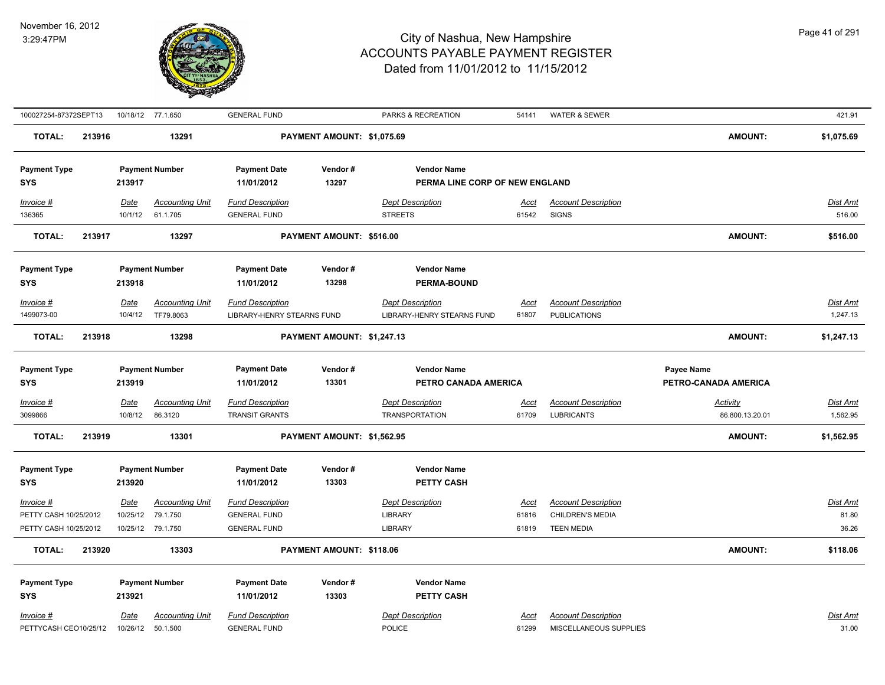

| 100027254-87372SEPT13 |        |             | 10/18/12 77.1.650      | <b>GENERAL FUND</b>        |                            | PARKS & RECREATION             | 54141       | WATER & SEWER              |                      | 421.91     |
|-----------------------|--------|-------------|------------------------|----------------------------|----------------------------|--------------------------------|-------------|----------------------------|----------------------|------------|
| <b>TOTAL:</b>         | 213916 |             | 13291                  |                            | PAYMENT AMOUNT: \$1,075.69 |                                |             |                            | <b>AMOUNT:</b>       | \$1,075.69 |
| <b>Payment Type</b>   |        |             | <b>Payment Number</b>  | <b>Payment Date</b>        | Vendor#                    | <b>Vendor Name</b>             |             |                            |                      |            |
| <b>SYS</b>            |        | 213917      |                        | 11/01/2012                 | 13297                      | PERMA LINE CORP OF NEW ENGLAND |             |                            |                      |            |
| <b>Invoice #</b>      |        | Date        | <b>Accounting Unit</b> | <b>Fund Description</b>    |                            | <b>Dept Description</b>        | Acct        | <b>Account Description</b> |                      | Dist Amt   |
| 136365                |        | 10/1/12     | 61.1.705               | <b>GENERAL FUND</b>        |                            | <b>STREETS</b>                 | 61542       | <b>SIGNS</b>               |                      | 516.00     |
| <b>TOTAL:</b>         | 213917 |             | 13297                  |                            | PAYMENT AMOUNT: \$516.00   |                                |             |                            | <b>AMOUNT:</b>       | \$516.00   |
| <b>Payment Type</b>   |        |             | <b>Payment Number</b>  | <b>Payment Date</b>        | Vendor#                    | <b>Vendor Name</b>             |             |                            |                      |            |
| <b>SYS</b>            |        | 213918      |                        | 11/01/2012                 | 13298                      | <b>PERMA-BOUND</b>             |             |                            |                      |            |
| Invoice #             |        | Date        | <b>Accounting Unit</b> | <b>Fund Description</b>    |                            | <b>Dept Description</b>        | Acct        | <b>Account Description</b> |                      | Dist Amt   |
| 1499073-00            |        | 10/4/12     | TF79.8063              | LIBRARY-HENRY STEARNS FUND |                            | LIBRARY-HENRY STEARNS FUND     | 61807       | <b>PUBLICATIONS</b>        |                      | 1,247.13   |
| <b>TOTAL:</b>         | 213918 |             | 13298                  |                            | PAYMENT AMOUNT: \$1,247.13 |                                |             |                            | AMOUNT:              | \$1,247.13 |
| <b>Payment Type</b>   |        |             | <b>Payment Number</b>  | <b>Payment Date</b>        | Vendor#                    | <b>Vendor Name</b>             |             |                            | Payee Name           |            |
| <b>SYS</b>            |        | 213919      |                        | 11/01/2012                 | 13301                      | PETRO CANADA AMERICA           |             |                            | PETRO-CANADA AMERICA |            |
| Invoice #             |        | Date        | <b>Accounting Unit</b> | <b>Fund Description</b>    |                            | <b>Dept Description</b>        | <u>Acct</u> | <b>Account Description</b> | <b>Activity</b>      | Dist Amt   |
| 3099866               |        | 10/8/12     | 86.3120                | <b>TRANSIT GRANTS</b>      |                            | <b>TRANSPORTATION</b>          | 61709       | <b>LUBRICANTS</b>          | 86.800.13.20.01      | 1,562.95   |
| <b>TOTAL:</b>         | 213919 |             | 13301                  |                            | PAYMENT AMOUNT: \$1,562.95 |                                |             |                            | <b>AMOUNT:</b>       | \$1,562.95 |
| <b>Payment Type</b>   |        |             | <b>Payment Number</b>  | <b>Payment Date</b>        | Vendor#                    | <b>Vendor Name</b>             |             |                            |                      |            |
| <b>SYS</b>            |        | 213920      |                        | 11/01/2012                 | 13303                      | PETTY CASH                     |             |                            |                      |            |
| Invoice #             |        | Date        | <b>Accounting Unit</b> | <b>Fund Description</b>    |                            | <b>Dept Description</b>        | Acct        | <b>Account Description</b> |                      | Dist Amt   |
| PETTY CASH 10/25/2012 |        | 10/25/12    | 79.1.750               | <b>GENERAL FUND</b>        |                            | LIBRARY                        | 61816       | CHILDREN'S MEDIA           |                      | 81.80      |
| PETTY CASH 10/25/2012 |        |             | 10/25/12 79.1.750      | <b>GENERAL FUND</b>        |                            | <b>LIBRARY</b>                 | 61819       | <b>TEEN MEDIA</b>          |                      | 36.26      |
| <b>TOTAL:</b>         | 213920 |             | 13303                  |                            | PAYMENT AMOUNT: \$118.06   |                                |             |                            | <b>AMOUNT:</b>       | \$118.06   |
| <b>Payment Type</b>   |        |             | <b>Payment Number</b>  | <b>Payment Date</b>        | Vendor#                    | <b>Vendor Name</b>             |             |                            |                      |            |
| <b>SYS</b>            |        | 213921      |                        | 11/01/2012                 | 13303                      | PETTY CASH                     |             |                            |                      |            |
| Invoice #             |        | <b>Date</b> | <b>Accounting Unit</b> | <b>Fund Description</b>    |                            | <b>Dept Description</b>        | Acct        | <b>Account Description</b> |                      | Dist Amt   |
| PETTYCASH CEO10/25/12 |        | 10/26/12    | 50.1.500               | <b>GENERAL FUND</b>        |                            | <b>POLICE</b>                  | 61299       | MISCELLANEOUS SUPPLIES     |                      | 31.00      |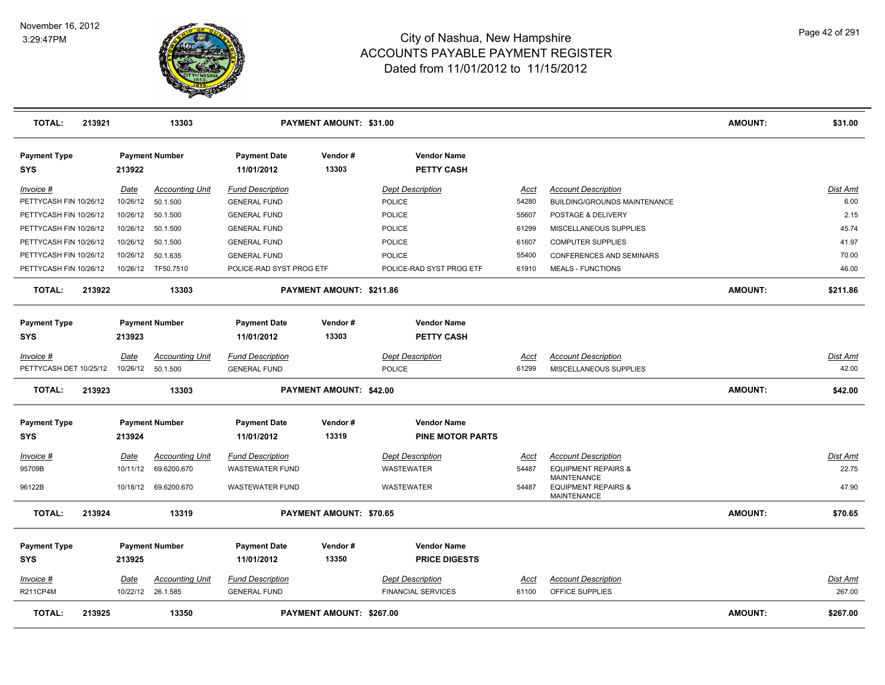

| <b>TOTAL:</b>                     | 213921 |             | 13303                  |                                   | <b>PAYMENT AMOUNT: \$31.00</b> |                                            |             |                                                      | <b>AMOUNT:</b> | \$31.00         |
|-----------------------------------|--------|-------------|------------------------|-----------------------------------|--------------------------------|--------------------------------------------|-------------|------------------------------------------------------|----------------|-----------------|
| <b>Payment Type</b><br><b>SYS</b> |        | 213922      | <b>Payment Number</b>  | <b>Payment Date</b><br>11/01/2012 | Vendor#<br>13303               | <b>Vendor Name</b><br>PETTY CASH           |             |                                                      |                |                 |
| $Invoice$ #                       |        | Date        | <b>Accounting Unit</b> | <b>Fund Description</b>           |                                | <b>Dept Description</b>                    | <u>Acct</u> | <b>Account Description</b>                           |                | Dist Amt        |
| PETTYCASH FIN 10/26/12            |        | 10/26/12    | 50.1.500               | <b>GENERAL FUND</b>               |                                | POLICE                                     | 54280       | <b>BUILDING/GROUNDS MAINTENANCE</b>                  |                | 6.00            |
| PETTYCASH FIN 10/26/12            |        | 10/26/12    | 50.1.500               | <b>GENERAL FUND</b>               |                                | POLICE                                     | 55607       | POSTAGE & DELIVERY                                   |                | 2.15            |
| PETTYCASH FIN 10/26/12            |        | 10/26/12    | 50.1.500               | <b>GENERAL FUND</b>               |                                | POLICE                                     | 61299       | MISCELLANEOUS SUPPLIES                               |                | 45.74           |
| PETTYCASH FIN 10/26/12            |        | 10/26/12    | 50.1.500               | <b>GENERAL FUND</b>               |                                | <b>POLICE</b>                              | 61607       | <b>COMPUTER SUPPLIES</b>                             |                | 41.97           |
| PETTYCASH FIN 10/26/12            |        | 10/26/12    | 50.1.635               | <b>GENERAL FUND</b>               |                                | <b>POLICE</b>                              | 55400       | CONFERENCES AND SEMINARS                             |                | 70.00           |
| PETTYCASH FIN 10/26/12            |        | 10/26/12    | TF50.7510              | POLICE-RAD SYST PROG ETF          |                                | POLICE-RAD SYST PROG ETF                   | 61910       | <b>MEALS - FUNCTIONS</b>                             |                | 46.00           |
| <b>TOTAL:</b>                     | 213922 |             | 13303                  |                                   | PAYMENT AMOUNT: \$211.86       |                                            |             |                                                      | <b>AMOUNT:</b> | \$211.86        |
| <b>Payment Type</b><br><b>SYS</b> |        | 213923      | <b>Payment Number</b>  | <b>Payment Date</b><br>11/01/2012 | Vendor#<br>13303               | <b>Vendor Name</b><br><b>PETTY CASH</b>    |             |                                                      |                |                 |
| Invoice #                         |        | <u>Date</u> | <b>Accounting Unit</b> | <b>Fund Description</b>           |                                | <b>Dept Description</b>                    | Acct        | <b>Account Description</b>                           |                | Dist Amt        |
| PETTYCASH DET 10/25/12            |        | 10/26/12    | 50.1.500               | <b>GENERAL FUND</b>               |                                | <b>POLICE</b>                              | 61299       | MISCELLANEOUS SUPPLIES                               |                | 42.00           |
|                                   |        |             |                        |                                   |                                |                                            |             |                                                      |                |                 |
| <b>TOTAL:</b>                     | 213923 |             | 13303                  |                                   | PAYMENT AMOUNT: \$42.00        |                                            |             |                                                      | <b>AMOUNT:</b> | \$42.00         |
| <b>Payment Type</b>               |        |             | <b>Payment Number</b>  | <b>Payment Date</b>               | Vendor#                        | <b>Vendor Name</b>                         |             |                                                      |                |                 |
| <b>SYS</b>                        |        | 213924      |                        | 11/01/2012                        | 13319                          | <b>PINE MOTOR PARTS</b>                    |             |                                                      |                |                 |
| Invoice #                         |        | Date        | <b>Accounting Unit</b> | <b>Fund Description</b>           |                                | <b>Dept Description</b>                    | <u>Acct</u> | <b>Account Description</b>                           |                | Dist Amt        |
| 95709B                            |        | 10/11/12    | 69.6200.670            | <b>WASTEWATER FUND</b>            |                                | WASTEWATER                                 | 54487       | <b>EQUIPMENT REPAIRS &amp;</b><br><b>MAINTENANCE</b> |                | 22.75           |
| 96122B                            |        | 10/18/12    | 69.6200.670            | <b>WASTEWATER FUND</b>            |                                | WASTEWATER                                 | 54487       | <b>EQUIPMENT REPAIRS &amp;</b><br><b>MAINTENANCE</b> |                | 47.90           |
| <b>TOTAL:</b>                     | 213924 |             | 13319                  |                                   | <b>PAYMENT AMOUNT: \$70.65</b> |                                            |             |                                                      | <b>AMOUNT:</b> | \$70.65         |
| <b>Payment Type</b><br><b>SYS</b> |        | 213925      | <b>Payment Number</b>  | <b>Payment Date</b><br>11/01/2012 | Vendor#<br>13350               | <b>Vendor Name</b><br><b>PRICE DIGESTS</b> |             |                                                      |                |                 |
| Invoice #                         |        | Date        | <b>Accounting Unit</b> | <b>Fund Description</b>           |                                | <b>Dept Description</b>                    | <u>Acct</u> | <b>Account Description</b>                           |                | <b>Dist Amt</b> |
| <b>R211CP4M</b>                   |        |             | 10/22/12 26.1.585      | <b>GENERAL FUND</b>               |                                | <b>FINANCIAL SERVICES</b>                  | 61100       | OFFICE SUPPLIES                                      |                | 267.00          |
| <b>TOTAL:</b>                     | 213925 |             | 13350                  |                                   | PAYMENT AMOUNT: \$267.00       |                                            |             |                                                      | <b>AMOUNT:</b> | \$267.00        |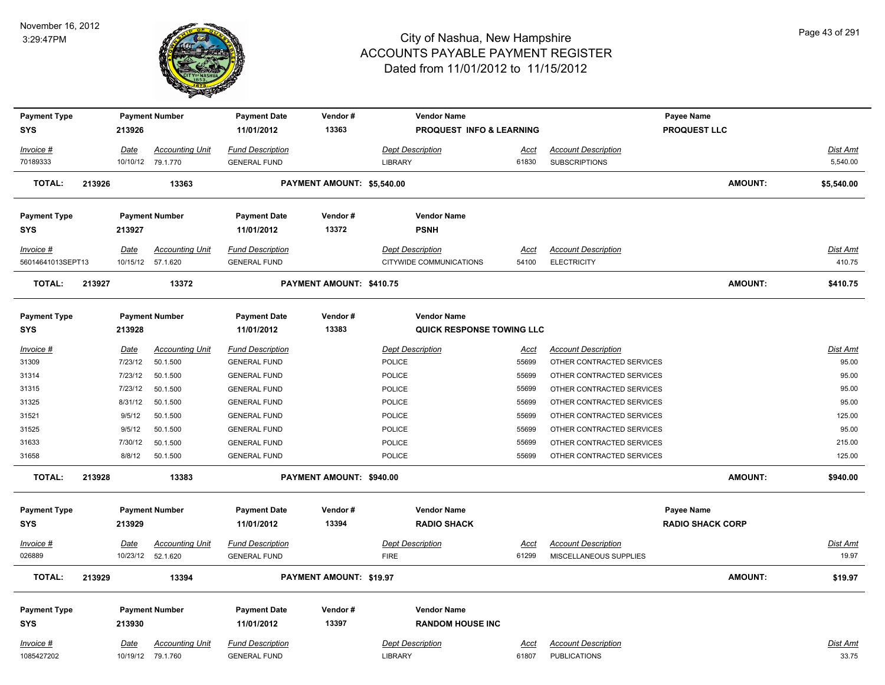

| <b>Payment Type</b> |        |             | <b>Payment Number</b>  | <b>Payment Date</b>     | Vendor#                        |                         | <b>Vendor Name</b>                  |             |                            | Payee Name              |                |                 |
|---------------------|--------|-------------|------------------------|-------------------------|--------------------------------|-------------------------|-------------------------------------|-------------|----------------------------|-------------------------|----------------|-----------------|
| <b>SYS</b>          |        | 213926      |                        | 11/01/2012              | 13363                          |                         | <b>PROQUEST INFO &amp; LEARNING</b> |             |                            | <b>PROQUEST LLC</b>     |                |                 |
| Invoice #           |        | Date        | <b>Accounting Unit</b> | <b>Fund Description</b> |                                | <b>Dept Description</b> |                                     | <u>Acct</u> | <b>Account Description</b> |                         |                | <b>Dist Amt</b> |
| 70189333            |        |             | 10/10/12 79.1.770      | <b>GENERAL FUND</b>     |                                | <b>LIBRARY</b>          |                                     | 61830       | <b>SUBSCRIPTIONS</b>       |                         |                | 5,540.00        |
| <b>TOTAL:</b>       | 213926 |             | 13363                  |                         | PAYMENT AMOUNT: \$5,540.00     |                         |                                     |             |                            |                         | <b>AMOUNT:</b> | \$5,540.00      |
| <b>Payment Type</b> |        |             | <b>Payment Number</b>  | <b>Payment Date</b>     | Vendor#                        |                         | <b>Vendor Name</b>                  |             |                            |                         |                |                 |
| <b>SYS</b>          |        | 213927      |                        | 11/01/2012              | 13372                          |                         | <b>PSNH</b>                         |             |                            |                         |                |                 |
| Invoice #           |        | Date        | <b>Accounting Unit</b> | <b>Fund Description</b> |                                | <b>Dept Description</b> |                                     | Acct        | <b>Account Description</b> |                         |                | <b>Dist Amt</b> |
| 56014641013SEPT13   |        |             | 10/15/12 57.1.620      | <b>GENERAL FUND</b>     |                                |                         | CITYWIDE COMMUNICATIONS             | 54100       | <b>ELECTRICITY</b>         |                         |                | 410.75          |
| <b>TOTAL:</b>       | 213927 |             | 13372                  |                         | PAYMENT AMOUNT: \$410.75       |                         |                                     |             |                            |                         | <b>AMOUNT:</b> | \$410.75        |
| <b>Payment Type</b> |        |             | <b>Payment Number</b>  | <b>Payment Date</b>     | Vendor#                        |                         | <b>Vendor Name</b>                  |             |                            |                         |                |                 |
| <b>SYS</b>          |        | 213928      |                        | 11/01/2012              | 13383                          |                         | QUICK RESPONSE TOWING LLC           |             |                            |                         |                |                 |
| Invoice #           |        | Date        | <b>Accounting Unit</b> | <b>Fund Description</b> |                                | <b>Dept Description</b> |                                     | Acct        | <b>Account Description</b> |                         |                | <b>Dist Amt</b> |
| 31309               |        | 7/23/12     | 50.1.500               | <b>GENERAL FUND</b>     |                                | POLICE                  |                                     | 55699       | OTHER CONTRACTED SERVICES  |                         |                | 95.00           |
| 31314               |        | 7/23/12     | 50.1.500               | <b>GENERAL FUND</b>     |                                | POLICE                  |                                     | 55699       | OTHER CONTRACTED SERVICES  |                         |                | 95.00           |
| 31315               |        | 7/23/12     | 50.1.500               | <b>GENERAL FUND</b>     |                                | POLICE                  |                                     | 55699       | OTHER CONTRACTED SERVICES  |                         |                | 95.00           |
| 31325               |        | 8/31/12     | 50.1.500               | <b>GENERAL FUND</b>     |                                | POLICE                  |                                     | 55699       | OTHER CONTRACTED SERVICES  |                         |                | 95.00           |
| 31521               |        | 9/5/12      | 50.1.500               | <b>GENERAL FUND</b>     |                                | POLICE                  |                                     | 55699       | OTHER CONTRACTED SERVICES  |                         |                | 125.00          |
| 31525               |        | 9/5/12      | 50.1.500               | <b>GENERAL FUND</b>     |                                | POLICE                  |                                     | 55699       | OTHER CONTRACTED SERVICES  |                         |                | 95.00           |
| 31633               |        | 7/30/12     | 50.1.500               | <b>GENERAL FUND</b>     |                                | POLICE                  |                                     | 55699       | OTHER CONTRACTED SERVICES  |                         |                | 215.00          |
| 31658               |        | 8/8/12      | 50.1.500               | <b>GENERAL FUND</b>     |                                | POLICE                  |                                     | 55699       | OTHER CONTRACTED SERVICES  |                         |                | 125.00          |
| <b>TOTAL:</b>       | 213928 |             | 13383                  |                         | PAYMENT AMOUNT: \$940.00       |                         |                                     |             |                            |                         | <b>AMOUNT:</b> | \$940.00        |
| <b>Payment Type</b> |        |             | <b>Payment Number</b>  | <b>Payment Date</b>     | Vendor#                        |                         | <b>Vendor Name</b>                  |             |                            | Payee Name              |                |                 |
| <b>SYS</b>          |        | 213929      |                        | 11/01/2012              | 13394                          |                         | <b>RADIO SHACK</b>                  |             |                            | <b>RADIO SHACK CORP</b> |                |                 |
| <u>Invoice #</u>    |        | <b>Date</b> | <b>Accounting Unit</b> | <b>Fund Description</b> |                                | <b>Dept Description</b> |                                     | <u>Acct</u> | <b>Account Description</b> |                         |                | Dist Amt        |
| 026889              |        | 10/23/12    | 52.1.620               | <b>GENERAL FUND</b>     |                                | <b>FIRE</b>             |                                     | 61299       | MISCELLANEOUS SUPPLIES     |                         |                | 19.97           |
| <b>TOTAL:</b>       | 213929 |             | 13394                  |                         | <b>PAYMENT AMOUNT: \$19.97</b> |                         |                                     |             |                            |                         | <b>AMOUNT:</b> | \$19.97         |
| <b>Payment Type</b> |        |             | <b>Payment Number</b>  | <b>Payment Date</b>     | Vendor#                        |                         | <b>Vendor Name</b>                  |             |                            |                         |                |                 |
| <b>SYS</b>          |        | 213930      |                        | 11/01/2012              | 13397                          |                         | <b>RANDOM HOUSE INC</b>             |             |                            |                         |                |                 |
| Invoice #           |        | Date        | <b>Accounting Unit</b> | <b>Fund Description</b> |                                | <b>Dept Description</b> |                                     | <u>Acct</u> | <b>Account Description</b> |                         |                | <b>Dist Amt</b> |
| 1085427202          |        |             | 10/19/12 79.1.760      | <b>GENERAL FUND</b>     |                                | LIBRARY                 |                                     | 61807       | <b>PUBLICATIONS</b>        |                         |                | 33.75           |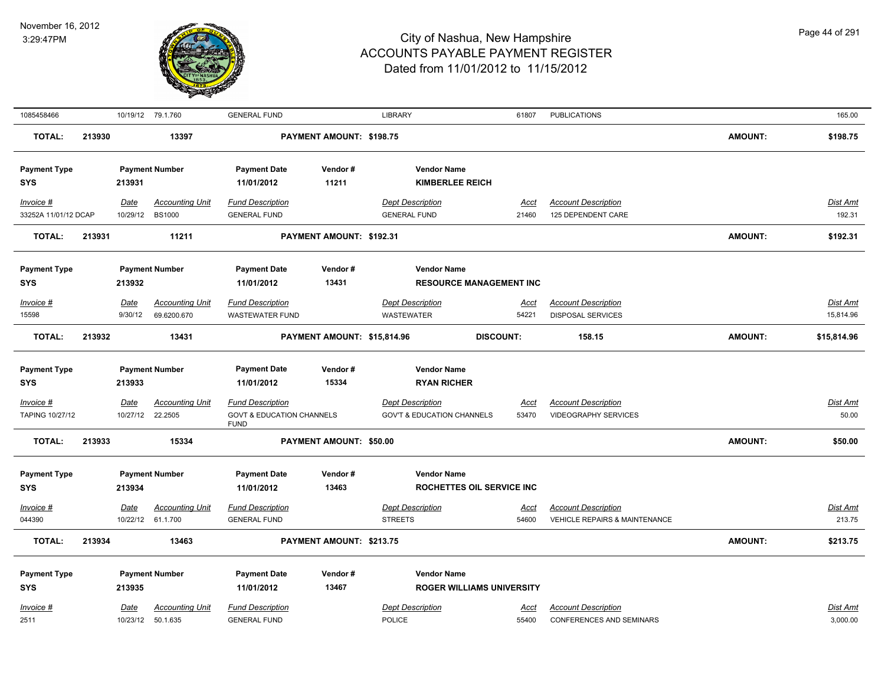

| 1085458466           |        |                  | 10/19/12 79.1.760                  | <b>GENERAL FUND</b>                                 |                             | <b>LIBRARY</b>                           | 61807                            | <b>PUBLICATIONS</b>                                           |                | 165.00               |
|----------------------|--------|------------------|------------------------------------|-----------------------------------------------------|-----------------------------|------------------------------------------|----------------------------------|---------------------------------------------------------------|----------------|----------------------|
| <b>TOTAL:</b>        | 213930 |                  | 13397                              |                                                     | PAYMENT AMOUNT: \$198.75    |                                          |                                  |                                                               | <b>AMOUNT:</b> | \$198.75             |
| <b>Payment Type</b>  |        |                  | <b>Payment Number</b>              | <b>Payment Date</b>                                 | Vendor#                     | <b>Vendor Name</b>                       |                                  |                                                               |                |                      |
| <b>SYS</b>           |        | 213931           |                                    | 11/01/2012                                          | 11211                       | <b>KIMBERLEE REICH</b>                   |                                  |                                                               |                |                      |
| Invoice #            |        | Date             | <b>Accounting Unit</b>             | <b>Fund Description</b>                             |                             | <b>Dept Description</b>                  | Acct                             | <b>Account Description</b>                                    |                | Dist Amt             |
| 33252A 11/01/12 DCAP |        | 10/29/12         | <b>BS1000</b>                      | <b>GENERAL FUND</b>                                 |                             | <b>GENERAL FUND</b>                      | 21460                            | 125 DEPENDENT CARE                                            |                | 192.31               |
| <b>TOTAL:</b>        | 213931 |                  | 11211                              |                                                     | PAYMENT AMOUNT: \$192.31    |                                          |                                  |                                                               | <b>AMOUNT:</b> | \$192.31             |
| <b>Payment Type</b>  |        |                  | <b>Payment Number</b>              | <b>Payment Date</b>                                 | Vendor#                     | <b>Vendor Name</b>                       |                                  |                                                               |                |                      |
| <b>SYS</b>           |        | 213932           |                                    | 11/01/2012                                          | 13431                       |                                          | <b>RESOURCE MANAGEMENT INC</b>   |                                                               |                |                      |
| Invoice #            |        | Date             | <b>Accounting Unit</b>             | <b>Fund Description</b>                             |                             | <b>Dept Description</b>                  | <u>Acct</u>                      | <b>Account Description</b>                                    |                | Dist Amt             |
| 15598                |        | 9/30/12          | 69.6200.670                        | <b>WASTEWATER FUND</b>                              |                             | <b>WASTEWATER</b>                        | 54221                            | <b>DISPOSAL SERVICES</b>                                      |                | 15,814.96            |
| <b>TOTAL:</b>        | 213932 |                  | 13431                              |                                                     | PAYMENT AMOUNT: \$15,814.96 |                                          | <b>DISCOUNT:</b>                 | 158.15                                                        | <b>AMOUNT:</b> | \$15,814.96          |
|                      |        |                  |                                    |                                                     |                             |                                          |                                  |                                                               |                |                      |
| <b>Payment Type</b>  |        |                  | <b>Payment Number</b>              | <b>Payment Date</b>                                 | Vendor#                     | <b>Vendor Name</b>                       |                                  |                                                               |                |                      |
| <b>SYS</b>           |        | 213933           |                                    | 11/01/2012                                          | 15334                       | <b>RYAN RICHER</b>                       |                                  |                                                               |                |                      |
| Invoice #            |        | Date             | <b>Accounting Unit</b>             | <b>Fund Description</b>                             |                             | <b>Dept Description</b>                  | <u>Acct</u>                      | <b>Account Description</b>                                    |                | Dist Amt             |
| TAPING 10/27/12      |        | 10/27/12         | 22.2505                            | <b>GOVT &amp; EDUCATION CHANNELS</b><br><b>FUND</b> |                             | <b>GOV'T &amp; EDUCATION CHANNELS</b>    | 53470                            | <b>VIDEOGRAPHY SERVICES</b>                                   |                | 50.00                |
| <b>TOTAL:</b>        | 213933 |                  | 15334                              |                                                     | PAYMENT AMOUNT: \$50.00     |                                          |                                  |                                                               | <b>AMOUNT:</b> | \$50.00              |
| <b>Payment Type</b>  |        |                  | <b>Payment Number</b>              | <b>Payment Date</b>                                 | Vendor#                     | <b>Vendor Name</b>                       |                                  |                                                               |                |                      |
| <b>SYS</b>           |        | 213934           |                                    | 11/01/2012                                          | 13463                       |                                          | ROCHETTES OIL SERVICE INC        |                                                               |                |                      |
| Invoice #            |        | <b>Date</b>      | <b>Accounting Unit</b>             | <b>Fund Description</b>                             |                             | <b>Dept Description</b>                  | <u>Acct</u>                      | <b>Account Description</b>                                    |                | <b>Dist Amt</b>      |
| 044390               |        | 10/22/12         | 61.1.700                           | <b>GENERAL FUND</b>                                 |                             | <b>STREETS</b>                           | 54600                            | VEHICLE REPAIRS & MAINTENANCE                                 |                | 213.75               |
| <b>TOTAL:</b>        | 213934 |                  | 13463                              |                                                     | PAYMENT AMOUNT: \$213.75    |                                          |                                  |                                                               | <b>AMOUNT:</b> | \$213.75             |
| <b>Payment Type</b>  |        |                  | <b>Payment Number</b>              | <b>Payment Date</b>                                 | Vendor#                     | <b>Vendor Name</b>                       |                                  |                                                               |                |                      |
| <b>SYS</b>           |        | 213935           |                                    | 11/01/2012                                          | 13467                       |                                          | <b>ROGER WILLIAMS UNIVERSITY</b> |                                                               |                |                      |
|                      |        |                  |                                    |                                                     |                             |                                          |                                  |                                                               |                |                      |
| Invoice #<br>2511    |        | Date<br>10/23/12 | <b>Accounting Unit</b><br>50.1.635 | <b>Fund Description</b><br><b>GENERAL FUND</b>      |                             | <b>Dept Description</b><br><b>POLICE</b> | <u>Acct</u><br>55400             | <b>Account Description</b><br><b>CONFERENCES AND SEMINARS</b> |                | Dist Amt<br>3,000.00 |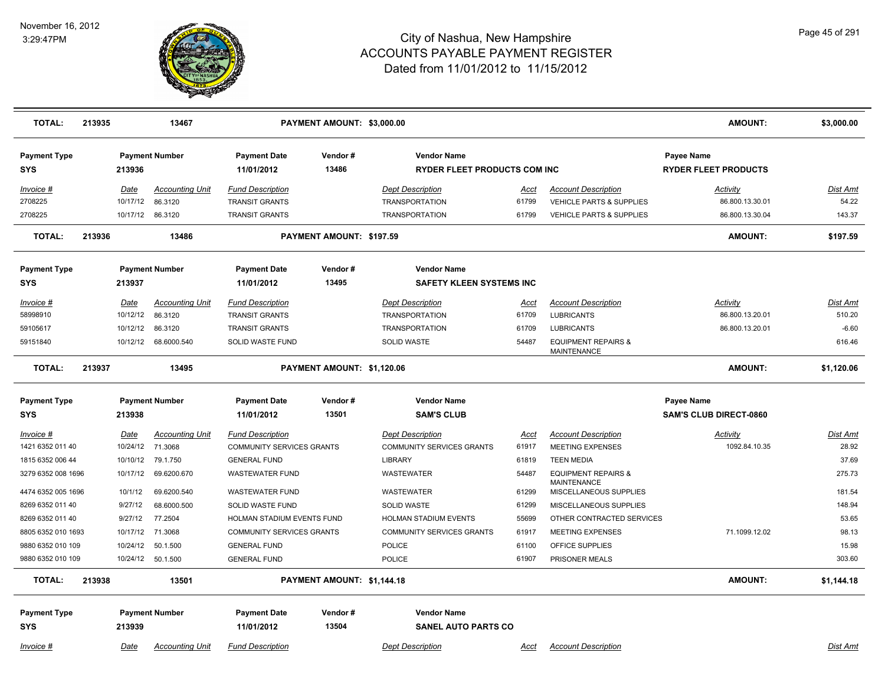

| <b>TOTAL:</b>                     | 213935 |             | 13467                  |                                   | PAYMENT AMOUNT: \$3,000.00 |                                                           |             |                                                      | AMOUNT:                                   | \$3,000.00 |
|-----------------------------------|--------|-------------|------------------------|-----------------------------------|----------------------------|-----------------------------------------------------------|-------------|------------------------------------------------------|-------------------------------------------|------------|
| <b>Payment Type</b><br><b>SYS</b> |        | 213936      | <b>Payment Number</b>  | <b>Payment Date</b><br>11/01/2012 | Vendor#<br>13486           | <b>Vendor Name</b><br><b>RYDER FLEET PRODUCTS COM INC</b> |             |                                                      | Payee Name<br><b>RYDER FLEET PRODUCTS</b> |            |
| Invoice #                         |        | Date        | Accounting Unit        | <b>Fund Description</b>           |                            | <b>Dept Description</b>                                   | Acct        | <b>Account Description</b>                           | Activity                                  | Dist Amt   |
| 2708225                           |        | 10/17/12    | 86.3120                | <b>TRANSIT GRANTS</b>             |                            | <b>TRANSPORTATION</b>                                     | 61799       | <b>VEHICLE PARTS &amp; SUPPLIES</b>                  | 86.800.13.30.01                           | 54.22      |
| 2708225                           |        |             | 10/17/12 86.3120       | <b>TRANSIT GRANTS</b>             |                            | <b>TRANSPORTATION</b>                                     | 61799       | <b>VEHICLE PARTS &amp; SUPPLIES</b>                  | 86.800.13.30.04                           | 143.37     |
| <b>TOTAL:</b>                     | 213936 |             | 13486                  |                                   | PAYMENT AMOUNT: \$197.59   |                                                           |             |                                                      | <b>AMOUNT:</b>                            | \$197.59   |
| <b>Payment Type</b>               |        |             | <b>Payment Number</b>  | <b>Payment Date</b>               | Vendor#                    | <b>Vendor Name</b>                                        |             |                                                      |                                           |            |
| <b>SYS</b>                        |        | 213937      |                        | 11/01/2012                        | 13495                      | <b>SAFETY KLEEN SYSTEMS INC</b>                           |             |                                                      |                                           |            |
| $Invoice$ #                       |        | <u>Date</u> | Accounting Unit        | <b>Fund Description</b>           |                            | <b>Dept Description</b>                                   | <u>Acct</u> | <b>Account Description</b>                           | <b>Activity</b>                           | Dist Amt   |
| 58998910                          |        | 10/12/12    | 86.3120                | <b>TRANSIT GRANTS</b>             |                            | <b>TRANSPORTATION</b>                                     | 61709       | <b>LUBRICANTS</b>                                    | 86.800.13.20.01                           | 510.20     |
| 59105617                          |        | 10/12/12    | 86.3120                | <b>TRANSIT GRANTS</b>             |                            | <b>TRANSPORTATION</b>                                     | 61709       | <b>LUBRICANTS</b>                                    | 86.800.13.20.01                           | $-6.60$    |
| 59151840                          |        | 10/12/12    | 68.6000.540            | SOLID WASTE FUND                  |                            | <b>SOLID WASTE</b>                                        | 54487       | <b>EQUIPMENT REPAIRS &amp;</b><br>MAINTENANCE        |                                           | 616.46     |
| <b>TOTAL:</b>                     | 213937 |             | 13495                  |                                   | PAYMENT AMOUNT: \$1,120.06 |                                                           |             |                                                      | <b>AMOUNT:</b>                            | \$1,120.06 |
| <b>Payment Type</b>               |        |             | <b>Payment Number</b>  | <b>Payment Date</b>               | Vendor#                    | <b>Vendor Name</b>                                        |             |                                                      | <b>Payee Name</b>                         |            |
| <b>SYS</b>                        |        | 213938      |                        | 11/01/2012                        | 13501                      | <b>SAM'S CLUB</b>                                         |             |                                                      | <b>SAM'S CLUB DIRECT-0860</b>             |            |
| Invoice #                         |        | Date        | <b>Accounting Unit</b> | <b>Fund Description</b>           |                            | <b>Dept Description</b>                                   | Acct        | <b>Account Description</b>                           | <b>Activity</b>                           | Dist Amt   |
| 1421 6352 011 40                  |        | 10/24/12    | 71.3068                | <b>COMMUNITY SERVICES GRANTS</b>  |                            | <b>COMMUNITY SERVICES GRANTS</b>                          | 61917       | MEETING EXPENSES                                     | 1092.84.10.35                             | 28.92      |
| 1815 6352 006 44                  |        | 10/10/12    | 79.1.750               | <b>GENERAL FUND</b>               |                            | <b>LIBRARY</b>                                            | 61819       | <b>TEEN MEDIA</b>                                    |                                           | 37.69      |
| 3279 6352 008 1696                |        | 10/17/12    | 69.6200.670            | <b>WASTEWATER FUND</b>            |                            | WASTEWATER                                                | 54487       | <b>EQUIPMENT REPAIRS &amp;</b><br><b>MAINTENANCE</b> |                                           | 275.73     |
| 4474 6352 005 1696                |        | 10/1/12     | 69.6200.540            | <b>WASTEWATER FUND</b>            |                            | WASTEWATER                                                | 61299       | MISCELLANEOUS SUPPLIES                               |                                           | 181.54     |
| 8269 6352 011 40                  |        | 9/27/12     | 68.6000.500            | <b>SOLID WASTE FUND</b>           |                            | <b>SOLID WASTE</b>                                        | 61299       | MISCELLANEOUS SUPPLIES                               |                                           | 148.94     |
| 8269 6352 011 40                  |        | 9/27/12     | 77.2504                | HOLMAN STADIUM EVENTS FUND        |                            | <b>HOLMAN STADIUM EVENTS</b>                              | 55699       | OTHER CONTRACTED SERVICES                            |                                           | 53.65      |
| 8805 6352 010 1693                |        | 10/17/12    | 71.3068                | <b>COMMUNITY SERVICES GRANTS</b>  |                            | <b>COMMUNITY SERVICES GRANTS</b>                          | 61917       | <b>MEETING EXPENSES</b>                              | 71.1099.12.02                             | 98.13      |
| 9880 6352 010 109                 |        | 10/24/12    | 50.1.500               | <b>GENERAL FUND</b>               |                            | <b>POLICE</b>                                             | 61100       | OFFICE SUPPLIES                                      |                                           | 15.98      |
| 9880 6352 010 109                 |        |             | 10/24/12  50.1.500     | <b>GENERAL FUND</b>               |                            | POLICE                                                    | 61907       | PRISONER MEALS                                       |                                           | 303.60     |
| <b>TOTAL:</b>                     | 213938 |             | 13501                  |                                   | PAYMENT AMOUNT: \$1,144.18 |                                                           |             |                                                      | <b>AMOUNT:</b>                            | \$1,144.18 |
| <b>Payment Type</b><br>SYS        |        | 213939      | <b>Payment Number</b>  | <b>Payment Date</b><br>11/01/2012 | Vendor#<br>13504           | <b>Vendor Name</b><br><b>SANEL AUTO PARTS CO</b>          |             |                                                      |                                           |            |
| Invoice #                         |        | Date        | <b>Accounting Unit</b> | <b>Fund Description</b>           |                            | <b>Dept Description</b>                                   | Acct        | <b>Account Description</b>                           |                                           | Dist Amt   |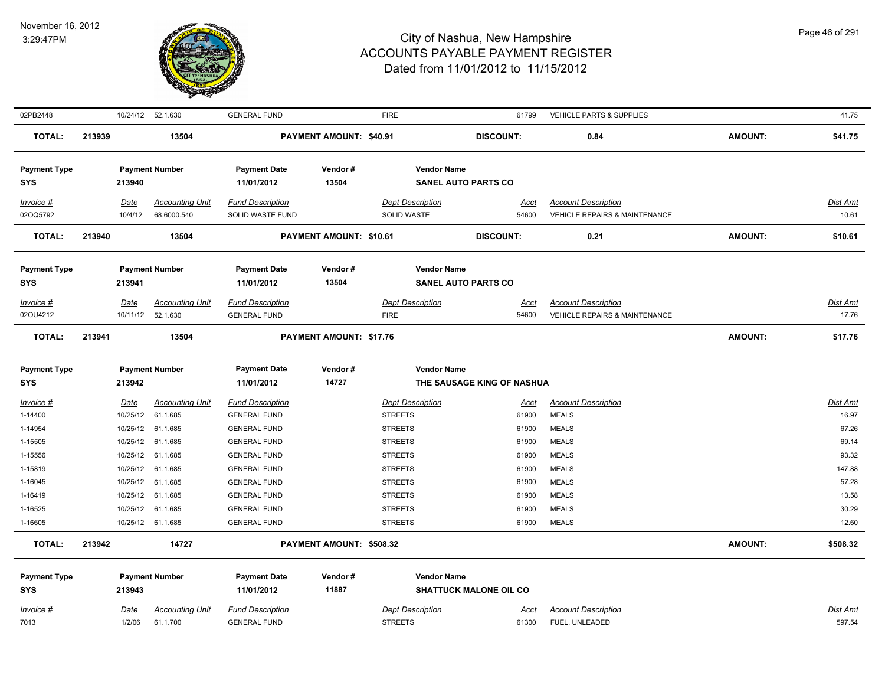

| 02PB2448            |        |             | 10/24/12  52.1.630     | <b>GENERAL FUND</b>     |                          | <b>FIRE</b>             | 61799                         | <b>VEHICLE PARTS &amp; SUPPLIES</b>      |                | 41.75    |
|---------------------|--------|-------------|------------------------|-------------------------|--------------------------|-------------------------|-------------------------------|------------------------------------------|----------------|----------|
| <b>TOTAL:</b>       | 213939 |             | 13504                  |                         | PAYMENT AMOUNT: \$40.91  |                         | <b>DISCOUNT:</b>              | 0.84                                     | <b>AMOUNT:</b> | \$41.75  |
| <b>Payment Type</b> |        |             | <b>Payment Number</b>  | <b>Payment Date</b>     | Vendor#                  | <b>Vendor Name</b>      |                               |                                          |                |          |
| SYS                 |        | 213940      |                        | 11/01/2012              | 13504                    |                         | <b>SANEL AUTO PARTS CO</b>    |                                          |                |          |
| Invoice #           |        | Date        | <b>Accounting Unit</b> | <b>Fund Description</b> |                          | <b>Dept Description</b> | Acct                          | <b>Account Description</b>               |                | Dist Amt |
| 02OQ5792            |        | 10/4/12     | 68.6000.540            | SOLID WASTE FUND        |                          | SOLID WASTE             | 54600                         | <b>VEHICLE REPAIRS &amp; MAINTENANCE</b> |                | 10.61    |
| <b>TOTAL:</b>       | 213940 |             | 13504                  |                         | PAYMENT AMOUNT: \$10.61  |                         | <b>DISCOUNT:</b>              | 0.21                                     | <b>AMOUNT:</b> | \$10.61  |
| <b>Payment Type</b> |        |             | <b>Payment Number</b>  | <b>Payment Date</b>     | Vendor#                  | <b>Vendor Name</b>      |                               |                                          |                |          |
| SYS                 |        | 213941      |                        | 11/01/2012              | 13504                    |                         | <b>SANEL AUTO PARTS CO</b>    |                                          |                |          |
| Invoice #           |        | Date        | <b>Accounting Unit</b> | <b>Fund Description</b> |                          | <b>Dept Description</b> | Acct                          | <b>Account Description</b>               |                | Dist Amt |
| 02OU4212            |        |             | 10/11/12 52.1.630      | <b>GENERAL FUND</b>     |                          | <b>FIRE</b>             | 54600                         | <b>VEHICLE REPAIRS &amp; MAINTENANCE</b> |                | 17.76    |
| <b>TOTAL:</b>       | 213941 |             | 13504                  |                         | PAYMENT AMOUNT: \$17.76  |                         |                               |                                          | <b>AMOUNT:</b> | \$17.76  |
| <b>Payment Type</b> |        |             | <b>Payment Number</b>  | <b>Payment Date</b>     | Vendor#                  | <b>Vendor Name</b>      |                               |                                          |                |          |
| <b>SYS</b>          |        | 213942      |                        | 11/01/2012              | 14727                    |                         | THE SAUSAGE KING OF NASHUA    |                                          |                |          |
| Invoice #           |        | <b>Date</b> | <b>Accounting Unit</b> | <b>Fund Description</b> |                          | <b>Dept Description</b> | <u>Acct</u>                   | <b>Account Description</b>               |                | Dist Amt |
| 1-14400             |        | 10/25/12    | 61.1.685               | <b>GENERAL FUND</b>     |                          | <b>STREETS</b>          | 61900                         | <b>MEALS</b>                             |                | 16.97    |
| 1-14954             |        |             | 10/25/12 61.1.685      | <b>GENERAL FUND</b>     |                          | <b>STREETS</b>          | 61900                         | <b>MEALS</b>                             |                | 67.26    |
| 1-15505             |        |             | 10/25/12 61.1.685      | <b>GENERAL FUND</b>     |                          | <b>STREETS</b>          | 61900                         | <b>MEALS</b>                             |                | 69.14    |
| 1-15556             |        |             | 10/25/12 61.1.685      | <b>GENERAL FUND</b>     |                          | <b>STREETS</b>          | 61900                         | <b>MEALS</b>                             |                | 93.32    |
| 1-15819             |        |             | 10/25/12 61.1.685      | <b>GENERAL FUND</b>     |                          | <b>STREETS</b>          | 61900                         | <b>MEALS</b>                             |                | 147.88   |
| 1-16045             |        |             | 10/25/12 61.1.685      | <b>GENERAL FUND</b>     |                          | <b>STREETS</b>          | 61900                         | <b>MEALS</b>                             |                | 57.28    |
| 1-16419             |        |             | 10/25/12 61.1.685      | <b>GENERAL FUND</b>     |                          | <b>STREETS</b>          | 61900                         | <b>MEALS</b>                             |                | 13.58    |
| 1-16525             |        | 10/25/12    | 61.1.685               | <b>GENERAL FUND</b>     |                          | <b>STREETS</b>          | 61900                         | <b>MEALS</b>                             |                | 30.29    |
| 1-16605             |        |             | 10/25/12 61.1.685      | <b>GENERAL FUND</b>     |                          | <b>STREETS</b>          | 61900                         | <b>MEALS</b>                             |                | 12.60    |
| <b>TOTAL:</b>       | 213942 |             | 14727                  |                         | PAYMENT AMOUNT: \$508.32 |                         |                               |                                          | <b>AMOUNT:</b> | \$508.32 |
| <b>Payment Type</b> |        |             | <b>Payment Number</b>  | <b>Payment Date</b>     | Vendor#                  | <b>Vendor Name</b>      |                               |                                          |                |          |
| SYS                 |        | 213943      |                        | 11/01/2012              | 11887                    |                         | <b>SHATTUCK MALONE OIL CO</b> |                                          |                |          |
| Invoice #           |        | Date        | <b>Accounting Unit</b> | <b>Fund Description</b> |                          | <b>Dept Description</b> | <u>Acct</u>                   | <b>Account Description</b>               |                | Dist Amt |
| 7013                |        | 1/2/06      | 61.1.700               | <b>GENERAL FUND</b>     |                          | <b>STREETS</b>          | 61300                         | FUEL, UNLEADED                           |                | 597.54   |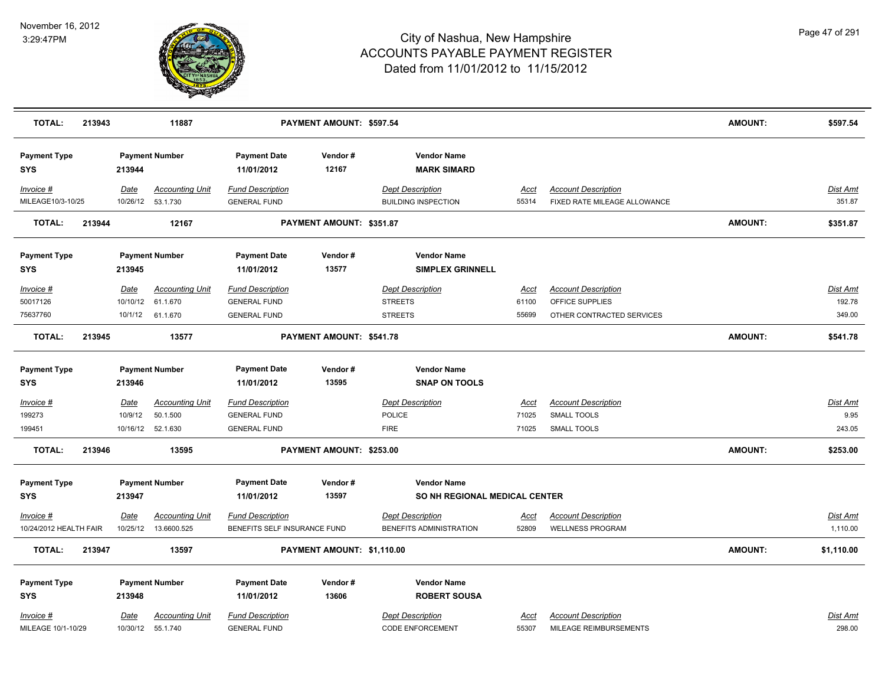

| <b>TOTAL:</b>                        | 213943 |                        | 11887                                                   |                                                                       | PAYMENT AMOUNT: \$597.54   |                                                             |                               |                                                                            | <b>AMOUNT:</b> | \$597.54                     |
|--------------------------------------|--------|------------------------|---------------------------------------------------------|-----------------------------------------------------------------------|----------------------------|-------------------------------------------------------------|-------------------------------|----------------------------------------------------------------------------|----------------|------------------------------|
| <b>Payment Type</b><br><b>SYS</b>    |        | 213944                 | <b>Payment Number</b>                                   | <b>Payment Date</b><br>11/01/2012                                     | Vendor#<br>12167           | <b>Vendor Name</b><br><b>MARK SIMARD</b>                    |                               |                                                                            |                |                              |
| Invoice #<br>MILEAGE10/3-10/25       |        | Date                   | <b>Accounting Unit</b><br>10/26/12  53.1.730            | <b>Fund Description</b><br><b>GENERAL FUND</b>                        |                            | <b>Dept Description</b><br><b>BUILDING INSPECTION</b>       | <u>Acct</u><br>55314          | <b>Account Description</b><br>FIXED RATE MILEAGE ALLOWANCE                 |                | Dist Amt<br>351.87           |
| <b>TOTAL:</b>                        | 213944 |                        | 12167                                                   |                                                                       | PAYMENT AMOUNT: \$351.87   |                                                             |                               |                                                                            | <b>AMOUNT:</b> | \$351.87                     |
| <b>Payment Type</b><br>SYS           |        | 213945                 | <b>Payment Number</b>                                   | <b>Payment Date</b><br>11/01/2012                                     | Vendor#<br>13577           | <b>Vendor Name</b><br><b>SIMPLEX GRINNELL</b>               |                               |                                                                            |                |                              |
| Invoice #<br>50017126<br>75637760    |        | Date<br>10/10/12       | <b>Accounting Unit</b><br>61.1.670<br>10/1/12 61.1.670  | <b>Fund Description</b><br><b>GENERAL FUND</b><br><b>GENERAL FUND</b> |                            | <b>Dept Description</b><br><b>STREETS</b><br><b>STREETS</b> | Acct<br>61100<br>55699        | <b>Account Description</b><br>OFFICE SUPPLIES<br>OTHER CONTRACTED SERVICES |                | Dist Amt<br>192.78<br>349.00 |
| <b>TOTAL:</b>                        | 213945 |                        | 13577                                                   |                                                                       | PAYMENT AMOUNT: \$541.78   |                                                             |                               |                                                                            | <b>AMOUNT:</b> | \$541.78                     |
| <b>Payment Type</b><br><b>SYS</b>    |        | 213946                 | <b>Payment Number</b>                                   | <b>Payment Date</b><br>11/01/2012                                     | Vendor#<br>13595           | <b>Vendor Name</b><br><b>SNAP ON TOOLS</b>                  |                               |                                                                            |                |                              |
| <u>Invoice #</u><br>199273<br>199451 |        | <u>Date</u><br>10/9/12 | <b>Accounting Unit</b><br>50.1.500<br>10/16/12 52.1.630 | <b>Fund Description</b><br><b>GENERAL FUND</b><br><b>GENERAL FUND</b> |                            | <b>Dept Description</b><br><b>POLICE</b><br><b>FIRE</b>     | <u>Acct</u><br>71025<br>71025 | <b>Account Description</b><br><b>SMALL TOOLS</b><br><b>SMALL TOOLS</b>     |                | Dist Amt<br>9.95<br>243.05   |
| <b>TOTAL:</b>                        | 213946 |                        | 13595                                                   |                                                                       | PAYMENT AMOUNT: \$253.00   |                                                             |                               |                                                                            | <b>AMOUNT:</b> | \$253.00                     |
| <b>Payment Type</b><br><b>SYS</b>    |        | 213947                 | <b>Payment Number</b>                                   | <b>Payment Date</b><br>11/01/2012                                     | Vendor#<br>13597           | <b>Vendor Name</b><br>SO NH REGIONAL MEDICAL CENTER         |                               |                                                                            |                |                              |
| Invoice #<br>10/24/2012 HEALTH FAIR  |        | Date                   | <b>Accounting Unit</b><br>10/25/12  13.6600.525         | <b>Fund Description</b><br>BENEFITS SELF INSURANCE FUND               |                            | <b>Dept Description</b><br>BENEFITS ADMINISTRATION          | <u>Acct</u><br>52809          | <b>Account Description</b><br><b>WELLNESS PROGRAM</b>                      |                | <u>Dist Amt</u><br>1,110.00  |
| <b>TOTAL:</b>                        | 213947 |                        | 13597                                                   |                                                                       | PAYMENT AMOUNT: \$1,110.00 |                                                             |                               |                                                                            | <b>AMOUNT:</b> | \$1,110.00                   |
| <b>Payment Type</b><br><b>SYS</b>    |        | 213948                 | <b>Payment Number</b>                                   | <b>Payment Date</b><br>11/01/2012                                     | Vendor#<br>13606           | <b>Vendor Name</b><br><b>ROBERT SOUSA</b>                   |                               |                                                                            |                |                              |
| Invoice #<br>MILEAGE 10/1-10/29      |        | Date                   | <b>Accounting Unit</b><br>10/30/12  55.1.740            | <b>Fund Description</b><br><b>GENERAL FUND</b>                        |                            | <b>Dept Description</b><br><b>CODE ENFORCEMENT</b>          | Acct<br>55307                 | <b>Account Description</b><br>MILEAGE REIMBURSEMENTS                       |                | Dist Amt<br>298.00           |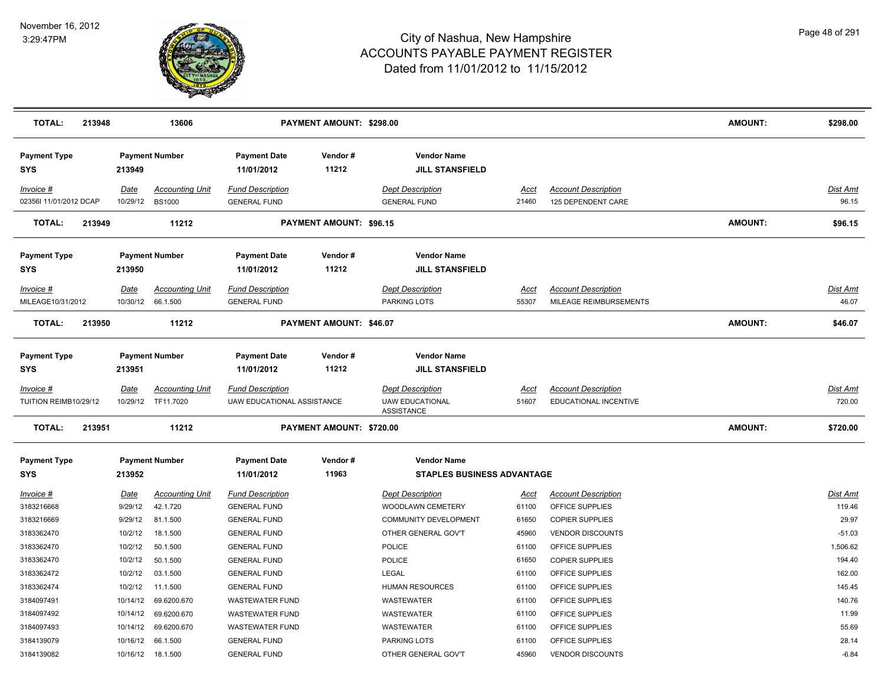

| <b>TOTAL:</b>                        | 213948 |                         | 13606                                   |                                                       | PAYMENT AMOUNT: \$298.00       |                                                                        |                      |                                                     | <b>AMOUNT:</b> | \$298.00                  |
|--------------------------------------|--------|-------------------------|-----------------------------------------|-------------------------------------------------------|--------------------------------|------------------------------------------------------------------------|----------------------|-----------------------------------------------------|----------------|---------------------------|
| <b>Payment Type</b><br><b>SYS</b>    |        | 213949                  | <b>Payment Number</b>                   | <b>Payment Date</b><br>11/01/2012                     | Vendor#<br>11212               | <b>Vendor Name</b><br><b>JILL STANSFIELD</b>                           |                      |                                                     |                |                           |
| Invoice #<br>02356l 11/01/2012 DCAP  |        | <b>Date</b><br>10/29/12 | <b>Accounting Unit</b><br><b>BS1000</b> | <b>Fund Description</b><br><b>GENERAL FUND</b>        |                                | <b>Dept Description</b><br><b>GENERAL FUND</b>                         | Acct<br>21460        | <b>Account Description</b><br>125 DEPENDENT CARE    |                | Dist Amt<br>96.15         |
| <b>TOTAL:</b>                        | 213949 |                         | 11212                                   |                                                       | PAYMENT AMOUNT: \$96.15        |                                                                        |                      |                                                     | <b>AMOUNT:</b> | \$96.15                   |
| <b>Payment Type</b><br><b>SYS</b>    |        | 213950                  | <b>Payment Number</b>                   | <b>Payment Date</b><br>11/01/2012                     | Vendor#<br>11212               | <b>Vendor Name</b><br><b>JILL STANSFIELD</b>                           |                      |                                                     |                |                           |
| Invoice #<br>MILEAGE10/31/2012       |        | Date                    | <b>Accounting Unit</b>                  | <b>Fund Description</b>                               |                                | <b>Dept Description</b>                                                | Acct<br>55307        | <b>Account Description</b>                          |                | Dist Amt<br>46.07         |
|                                      |        | 10/30/12                | 66.1.500                                | <b>GENERAL FUND</b>                                   |                                | PARKING LOTS                                                           |                      | MILEAGE REIMBURSEMENTS                              |                |                           |
| <b>TOTAL:</b>                        | 213950 |                         | 11212                                   |                                                       | <b>PAYMENT AMOUNT: \$46.07</b> |                                                                        |                      |                                                     | <b>AMOUNT:</b> | \$46.07                   |
| <b>Payment Type</b><br><b>SYS</b>    |        | 213951                  | <b>Payment Number</b>                   | <b>Payment Date</b><br>11/01/2012                     | Vendor#<br>11212               | <b>Vendor Name</b><br><b>JILL STANSFIELD</b>                           |                      |                                                     |                |                           |
| $Invoice$ #<br>TUITION REIMB10/29/12 |        | <u>Date</u><br>10/29/12 | <b>Accounting Unit</b><br>TF11.7020     | <b>Fund Description</b><br>UAW EDUCATIONAL ASSISTANCE |                                | <b>Dept Description</b><br><b>UAW EDUCATIONAL</b><br><b>ASSISTANCE</b> | <u>Acct</u><br>51607 | <b>Account Description</b><br>EDUCATIONAL INCENTIVE |                | <b>Dist Amt</b><br>720.00 |
| <b>TOTAL:</b>                        | 213951 |                         | 11212                                   |                                                       | PAYMENT AMOUNT: \$720.00       |                                                                        |                      |                                                     | <b>AMOUNT:</b> | \$720.00                  |
| <b>Payment Type</b><br><b>SYS</b>    |        | 213952                  | <b>Payment Number</b>                   | <b>Payment Date</b><br>11/01/2012                     | Vendor#<br>11963               | <b>Vendor Name</b><br><b>STAPLES BUSINESS ADVANTAGE</b>                |                      |                                                     |                |                           |
| Invoice #                            |        | <u>Date</u>             | <u>Accounting Unit</u>                  | <b>Fund Description</b>                               |                                | <b>Dept Description</b>                                                | <u>Acct</u>          | <b>Account Description</b>                          |                | Dist Amt                  |
| 3183216668                           |        | 9/29/12                 | 42.1.720                                | <b>GENERAL FUND</b>                                   |                                | WOODLAWN CEMETERY                                                      | 61100                | OFFICE SUPPLIES                                     |                | 119.46                    |
| 3183216669                           |        | 9/29/12                 | 81.1.500                                | <b>GENERAL FUND</b>                                   |                                | COMMUNITY DEVELOPMENT                                                  | 61650                | <b>COPIER SUPPLIES</b>                              |                | 29.97                     |
| 3183362470                           |        | 10/2/12                 | 18.1.500                                | <b>GENERAL FUND</b>                                   |                                | OTHER GENERAL GOV'T                                                    | 45960                | <b>VENDOR DISCOUNTS</b>                             |                | $-51.03$                  |
| 3183362470                           |        | 10/2/12                 | 50.1.500                                | <b>GENERAL FUND</b>                                   |                                | POLICE                                                                 | 61100                | OFFICE SUPPLIES                                     |                | 1,506.62                  |
| 3183362470                           |        | 10/2/12                 | 50.1.500                                | <b>GENERAL FUND</b>                                   |                                | <b>POLICE</b>                                                          | 61650                | <b>COPIER SUPPLIES</b>                              |                | 194.40                    |
| 3183362472                           |        | 10/2/12                 | 03.1.500                                | <b>GENERAL FUND</b>                                   |                                | LEGAL                                                                  | 61100                | OFFICE SUPPLIES                                     |                | 162.00                    |
| 3183362474                           |        | 10/2/12                 | 11.1.500                                | <b>GENERAL FUND</b>                                   |                                | <b>HUMAN RESOURCES</b>                                                 | 61100                | OFFICE SUPPLIES                                     |                | 145.45                    |
| 3184097491                           |        | 10/14/12                | 69.6200.670                             | <b>WASTEWATER FUND</b>                                |                                | WASTEWATER                                                             | 61100                | OFFICE SUPPLIES                                     |                | 140.76                    |
| 3184097492                           |        | 10/14/12                | 69.6200.670                             | WASTEWATER FUND                                       |                                | WASTEWATER                                                             | 61100                | OFFICE SUPPLIES                                     |                | 11.99                     |
| 3184097493                           |        | 10/14/12                | 69.6200.670                             | <b>WASTEWATER FUND</b>                                |                                | WASTEWATER                                                             | 61100                | OFFICE SUPPLIES                                     |                | 55.69                     |
| 3184139079                           |        | 10/16/12                | 66.1.500                                | <b>GENERAL FUND</b>                                   |                                | PARKING LOTS                                                           | 61100                | OFFICE SUPPLIES                                     |                | 28.14                     |
| 3184139082                           |        |                         | 10/16/12  18.1.500                      | <b>GENERAL FUND</b>                                   |                                | OTHER GENERAL GOV'T                                                    | 45960                | <b>VENDOR DISCOUNTS</b>                             |                | $-6.84$                   |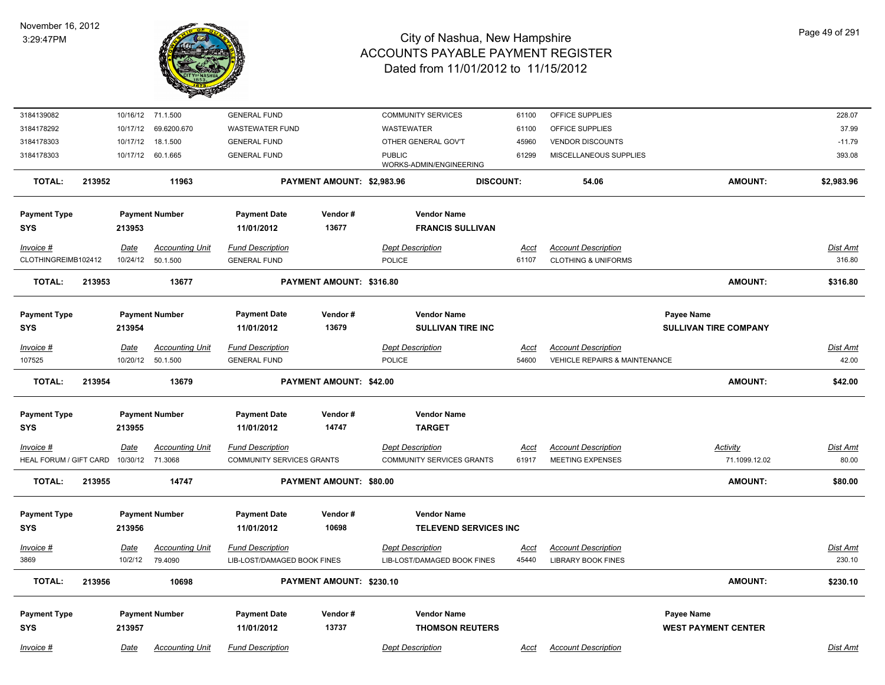

| 3184139082             |             | 10/16/12 71.1.500      | <b>GENERAL FUND</b>         |                                | <b>COMMUNITY SERVICES</b>                | 61100                        | OFFICE SUPPLIES                          |                              | 228.07          |
|------------------------|-------------|------------------------|-----------------------------|--------------------------------|------------------------------------------|------------------------------|------------------------------------------|------------------------------|-----------------|
| 3184178292             | 10/17/12    | 69.6200.670            | <b>WASTEWATER FUND</b>      |                                | <b>WASTEWATER</b>                        | 61100                        | OFFICE SUPPLIES                          |                              | 37.99           |
| 3184178303             | 10/17/12    | 18.1.500               | <b>GENERAL FUND</b>         |                                | OTHER GENERAL GOV'T                      | 45960                        | <b>VENDOR DISCOUNTS</b>                  |                              | $-11.79$        |
| 3184178303             | 10/17/12    | 60.1.665               | <b>GENERAL FUND</b>         |                                | <b>PUBLIC</b><br>WORKS-ADMIN/ENGINEERING | 61299                        | MISCELLANEOUS SUPPLIES                   |                              | 393.08          |
| <b>TOTAL:</b>          | 213952      | 11963                  |                             | PAYMENT AMOUNT: \$2,983.96     |                                          | <b>DISCOUNT:</b>             | 54.06                                    | <b>AMOUNT:</b>               | \$2,983.96      |
| <b>Payment Type</b>    |             | <b>Payment Number</b>  | <b>Payment Date</b>         | Vendor#                        | <b>Vendor Name</b>                       |                              |                                          |                              |                 |
| <b>SYS</b>             | 213953      |                        | 11/01/2012                  | 13677                          | <b>FRANCIS SULLIVAN</b>                  |                              |                                          |                              |                 |
| Invoice #              | Date        | <b>Accounting Unit</b> | <b>Fund Description</b>     |                                | <b>Dept Description</b>                  | Acct                         | <b>Account Description</b>               |                              | Dist Amt        |
| CLOTHINGREIMB102412    | 10/24/12    | 50.1.500               | <b>GENERAL FUND</b>         |                                | POLICE                                   | 61107                        | <b>CLOTHING &amp; UNIFORMS</b>           |                              | 316.80          |
| <b>TOTAL:</b>          | 213953      | 13677                  |                             | PAYMENT AMOUNT: \$316.80       |                                          |                              |                                          | <b>AMOUNT:</b>               | \$316.80        |
| <b>Payment Type</b>    |             | <b>Payment Number</b>  | <b>Payment Date</b>         | Vendor#                        | <b>Vendor Name</b>                       |                              |                                          | <b>Payee Name</b>            |                 |
| <b>SYS</b>             | 213954      |                        | 11/01/2012                  | 13679                          | <b>SULLIVAN TIRE INC</b>                 |                              |                                          | <b>SULLIVAN TIRE COMPANY</b> |                 |
| Invoice #              | <u>Date</u> | <b>Accounting Unit</b> | <b>Fund Description</b>     |                                | <b>Dept Description</b>                  | <u>Acct</u>                  | <b>Account Description</b>               |                              | Dist Amt        |
| 107525                 |             | 10/20/12 50.1.500      | <b>GENERAL FUND</b>         |                                | POLICE                                   | 54600                        | <b>VEHICLE REPAIRS &amp; MAINTENANCE</b> |                              | 42.00           |
|                        |             |                        |                             |                                |                                          |                              |                                          |                              |                 |
| <b>TOTAL:</b>          | 213954      | 13679                  |                             | <b>PAYMENT AMOUNT: \$42.00</b> |                                          |                              |                                          | <b>AMOUNT:</b>               | \$42.00         |
| <b>Payment Type</b>    |             | <b>Payment Number</b>  | <b>Payment Date</b>         | Vendor#                        | <b>Vendor Name</b>                       |                              |                                          |                              |                 |
| <b>SYS</b>             | 213955      |                        | 11/01/2012                  | 14747                          | <b>TARGET</b>                            |                              |                                          |                              |                 |
| Invoice #              | Date        | <b>Accounting Unit</b> | <b>Fund Description</b>     |                                | <b>Dept Description</b>                  | Acct                         | <b>Account Description</b>               | Activity                     | Dist Amt        |
| HEAL FORUM / GIFT CARD |             | 10/30/12 71.3068       | COMMUNITY SERVICES GRANTS   |                                | <b>COMMUNITY SERVICES GRANTS</b>         | 61917                        | <b>MEETING EXPENSES</b>                  | 71.1099.12.02                | 80.00           |
|                        |             |                        |                             |                                |                                          |                              |                                          |                              |                 |
| <b>TOTAL:</b>          | 213955      | 14747                  |                             | PAYMENT AMOUNT: \$80.00        |                                          |                              |                                          | <b>AMOUNT:</b>               | \$80.00         |
| <b>Payment Type</b>    |             | <b>Payment Number</b>  | <b>Payment Date</b>         | Vendor#                        | <b>Vendor Name</b>                       |                              |                                          |                              |                 |
| <b>SYS</b>             | 213956      |                        | 11/01/2012                  | 10698                          |                                          | <b>TELEVEND SERVICES INC</b> |                                          |                              |                 |
|                        |             |                        |                             |                                |                                          |                              |                                          |                              |                 |
| $Invoice$ #            | <u>Date</u> | <u>Accounting Unit</u> | <b>Fund Description</b>     |                                | <b>Dept Description</b>                  | <u>Acct</u>                  | <b>Account Description</b>               |                              | <b>Dist Amt</b> |
| 3869                   | 10/2/12     | 79.4090                | LIB-LOST/DAMAGED BOOK FINES |                                | LIB-LOST/DAMAGED BOOK FINES              | 45440                        | <b>LIBRARY BOOK FINES</b>                |                              | 230.10          |
| <b>TOTAL:</b>          | 213956      | 10698                  |                             | PAYMENT AMOUNT: \$230.10       |                                          |                              |                                          | <b>AMOUNT:</b>               | \$230.10        |
| <b>Payment Type</b>    |             | <b>Payment Number</b>  | <b>Payment Date</b>         | Vendor#                        | <b>Vendor Name</b>                       |                              |                                          | Payee Name                   |                 |
| <b>SYS</b>             | 213957      |                        | 11/01/2012                  | 13737                          | <b>THOMSON REUTERS</b>                   |                              |                                          | <b>WEST PAYMENT CENTER</b>   |                 |
| Invoice #              | Date        | <b>Accounting Unit</b> | <b>Fund Description</b>     |                                | <b>Dept Description</b>                  | Acct                         | <b>Account Description</b>               |                              | Dist Amt        |
|                        |             |                        |                             |                                |                                          |                              |                                          |                              |                 |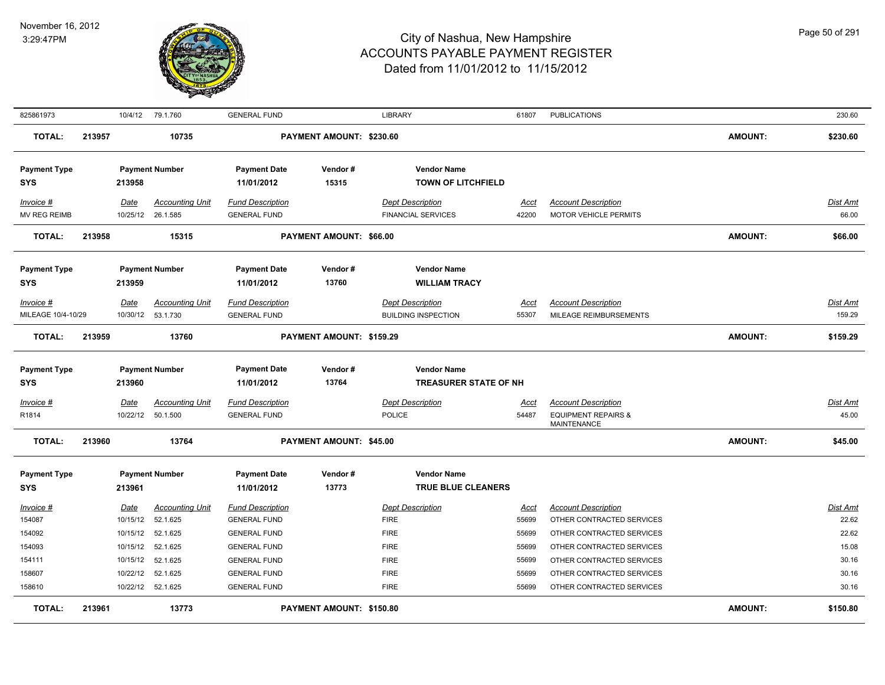

| 825861973                         |        |                    | 10/4/12 79.1.760            | <b>GENERAL FUND</b>                            |                                 | <b>LIBRARY</b>                                       | 61807         | <b>PUBLICATIONS</b>                                        |                | 230.60            |
|-----------------------------------|--------|--------------------|-----------------------------|------------------------------------------------|---------------------------------|------------------------------------------------------|---------------|------------------------------------------------------------|----------------|-------------------|
| <b>TOTAL:</b>                     | 213957 |                    | 10735                       |                                                | PAYMENT AMOUNT: \$230.60        |                                                      |               |                                                            | <b>AMOUNT:</b> | \$230.60          |
| <b>Payment Type</b><br><b>SYS</b> |        | 213958             | <b>Payment Number</b>       | <b>Payment Date</b><br>11/01/2012              | Vendor#<br>15315                | <b>Vendor Name</b><br><b>TOWN OF LITCHFIELD</b>      |               |                                                            |                |                   |
| Invoice #<br>MV REG REIMB         |        | Date<br>10/25/12   | Accounting Unit<br>26.1.585 | <b>Fund Description</b><br><b>GENERAL FUND</b> |                                 | <b>Dept Description</b><br><b>FINANCIAL SERVICES</b> | Acct<br>42200 | <b>Account Description</b><br><b>MOTOR VEHICLE PERMITS</b> |                | Dist Amt<br>66.00 |
| <b>TOTAL:</b>                     | 213958 |                    | 15315                       |                                                | PAYMENT AMOUNT: \$66.00         |                                                      |               |                                                            | <b>AMOUNT:</b> | \$66.00           |
| <b>Payment Type</b>               |        |                    | <b>Payment Number</b>       | <b>Payment Date</b>                            | Vendor#                         | <b>Vendor Name</b>                                   |               |                                                            |                |                   |
| <b>SYS</b>                        |        | 213959             |                             | 11/01/2012                                     | 13760                           | <b>WILLIAM TRACY</b>                                 |               |                                                            |                |                   |
| Invoice #                         |        | Date               | <b>Accounting Unit</b>      | <b>Fund Description</b>                        |                                 | <b>Dept Description</b>                              | Acct          | <b>Account Description</b>                                 |                | Dist Amt          |
| MILEAGE 10/4-10/29                |        | 10/30/12  53.1.730 |                             | <b>GENERAL FUND</b>                            |                                 | <b>BUILDING INSPECTION</b>                           | 55307         | MILEAGE REIMBURSEMENTS                                     |                | 159.29            |
| <b>TOTAL:</b>                     | 213959 |                    | 13760                       |                                                | PAYMENT AMOUNT: \$159.29        |                                                      |               |                                                            | <b>AMOUNT:</b> | \$159.29          |
| <b>Payment Type</b>               |        |                    | <b>Payment Number</b>       | <b>Payment Date</b>                            | Vendor#                         | <b>Vendor Name</b>                                   |               |                                                            |                |                   |
| <b>SYS</b>                        |        | 213960             |                             | 11/01/2012                                     | 13764                           | <b>TREASURER STATE OF NH</b>                         |               |                                                            |                |                   |
| Invoice #                         |        | <b>Date</b>        | <u>Accounting Unit</u>      | <b>Fund Description</b>                        |                                 | <b>Dept Description</b>                              | <u>Acct</u>   | <b>Account Description</b>                                 |                | <b>Dist Amt</b>   |
| R1814                             |        |                    | 10/22/12  50.1.500          | <b>GENERAL FUND</b>                            |                                 | POLICE                                               | 54487         | <b>EQUIPMENT REPAIRS &amp;</b><br><b>MAINTENANCE</b>       |                | 45.00             |
| <b>TOTAL:</b>                     | 213960 |                    | 13764                       |                                                | <b>PAYMENT AMOUNT: \$45.00</b>  |                                                      |               |                                                            | <b>AMOUNT:</b> | \$45.00           |
| <b>Payment Type</b>               |        |                    | <b>Payment Number</b>       | <b>Payment Date</b>                            | Vendor#                         | <b>Vendor Name</b>                                   |               |                                                            |                |                   |
| <b>SYS</b>                        |        | 213961             |                             | 11/01/2012                                     | 13773                           | <b>TRUE BLUE CLEANERS</b>                            |               |                                                            |                |                   |
| $Invoice$ #                       |        | <b>Date</b>        | <b>Accounting Unit</b>      | <b>Fund Description</b>                        |                                 | <b>Dept Description</b>                              | <b>Acct</b>   | <b>Account Description</b>                                 |                | <b>Dist Amt</b>   |
| 154087                            |        | 10/15/12           | 52.1.625                    | <b>GENERAL FUND</b>                            |                                 | <b>FIRE</b>                                          | 55699         | OTHER CONTRACTED SERVICES                                  |                | 22.62             |
| 154092                            |        | 10/15/12           | 52.1.625                    | <b>GENERAL FUND</b>                            |                                 | <b>FIRE</b>                                          | 55699         | OTHER CONTRACTED SERVICES                                  |                | 22.62             |
| 154093                            |        | 10/15/12           | 52.1.625                    | <b>GENERAL FUND</b>                            |                                 | <b>FIRE</b>                                          | 55699         | OTHER CONTRACTED SERVICES                                  |                | 15.08             |
| 154111                            |        | 10/15/12           | 52.1.625                    | <b>GENERAL FUND</b>                            |                                 | <b>FIRE</b>                                          | 55699         | OTHER CONTRACTED SERVICES                                  |                | 30.16             |
| 158607                            |        | 10/22/12           | 52.1.625                    | <b>GENERAL FUND</b>                            |                                 | <b>FIRE</b>                                          | 55699         | OTHER CONTRACTED SERVICES                                  |                | 30.16             |
| 158610                            |        | 10/22/12 52.1.625  |                             | <b>GENERAL FUND</b>                            |                                 | <b>FIRE</b>                                          | 55699         | OTHER CONTRACTED SERVICES                                  |                | 30.16             |
| <b>TOTAL:</b>                     | 213961 |                    | 13773                       |                                                | <b>PAYMENT AMOUNT: \$150.80</b> |                                                      |               |                                                            | <b>AMOUNT:</b> | \$150.80          |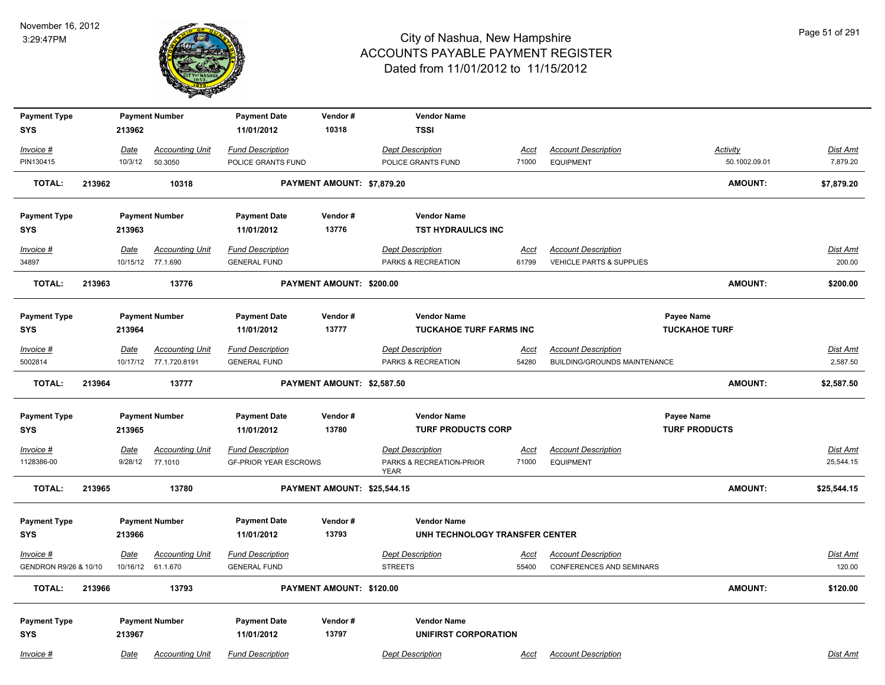

| <b>Payment Type</b>                |        |         | <b>Payment Number</b>                       | <b>Payment Date</b>                            | Vendor#                     | <b>Vendor Name</b>                        |                      |                                                               |                      |                |                    |
|------------------------------------|--------|---------|---------------------------------------------|------------------------------------------------|-----------------------------|-------------------------------------------|----------------------|---------------------------------------------------------------|----------------------|----------------|--------------------|
| <b>SYS</b>                         |        | 213962  |                                             | 11/01/2012                                     | 10318                       | <b>TSSI</b>                               |                      |                                                               |                      |                |                    |
| Invoice #                          |        | Date    | <b>Accounting Unit</b>                      | <b>Fund Description</b>                        |                             | <b>Dept Description</b>                   | <u>Acct</u>          | <b>Account Description</b>                                    |                      | Activity       | Dist Amt           |
| PIN130415                          |        | 10/3/12 | 50.3050                                     | POLICE GRANTS FUND                             |                             | POLICE GRANTS FUND                        | 71000                | <b>EQUIPMENT</b>                                              |                      | 50.1002.09.01  | 7,879.20           |
| <b>TOTAL:</b>                      | 213962 |         | 10318                                       |                                                | PAYMENT AMOUNT: \$7,879.20  |                                           |                      |                                                               |                      | <b>AMOUNT:</b> | \$7,879.20         |
| <b>Payment Type</b>                |        |         | <b>Payment Number</b>                       | <b>Payment Date</b>                            | Vendor#                     | <b>Vendor Name</b>                        |                      |                                                               |                      |                |                    |
| <b>SYS</b>                         |        | 213963  |                                             | 11/01/2012                                     | 13776                       | <b>TST HYDRAULICS INC</b>                 |                      |                                                               |                      |                |                    |
| Invoice #                          |        | Date    | <b>Accounting Unit</b>                      | <b>Fund Description</b>                        |                             | <b>Dept Description</b>                   | <u>Acct</u>          | <b>Account Description</b>                                    |                      |                | Dist Amt           |
| 34897                              |        |         | 10/15/12 77.1.690                           | <b>GENERAL FUND</b>                            |                             | PARKS & RECREATION                        | 61799                | VEHICLE PARTS & SUPPLIES                                      |                      |                | 200.00             |
| <b>TOTAL:</b>                      | 213963 |         | 13776                                       |                                                | PAYMENT AMOUNT: \$200.00    |                                           |                      |                                                               |                      | <b>AMOUNT:</b> | \$200.00           |
| <b>Payment Type</b>                |        |         | <b>Payment Number</b>                       | <b>Payment Date</b>                            | Vendor#                     | <b>Vendor Name</b>                        |                      |                                                               | Payee Name           |                |                    |
| SYS                                |        | 213964  |                                             | 11/01/2012                                     | 13777                       | TUCKAHOE TURF FARMS INC                   |                      |                                                               | <b>TUCKAHOE TURF</b> |                |                    |
| Invoice #                          |        | Date    | <b>Accounting Unit</b>                      | <b>Fund Description</b>                        |                             | <b>Dept Description</b>                   | <u>Acct</u>          | <b>Account Description</b>                                    |                      |                | Dist Amt           |
| 5002814                            |        |         | 10/17/12 77.1.720.8191                      | <b>GENERAL FUND</b>                            |                             | PARKS & RECREATION                        | 54280                | BUILDING/GROUNDS MAINTENANCE                                  |                      |                | 2,587.50           |
| <b>TOTAL:</b>                      | 213964 |         | 13777                                       |                                                | PAYMENT AMOUNT: \$2,587.50  |                                           |                      |                                                               |                      | <b>AMOUNT:</b> | \$2,587.50         |
| <b>Payment Type</b>                |        |         | <b>Payment Number</b>                       | <b>Payment Date</b>                            | Vendor#                     | <b>Vendor Name</b>                        |                      |                                                               | Payee Name           |                |                    |
| SYS                                |        | 213965  |                                             | 11/01/2012                                     | 13780                       | <b>TURF PRODUCTS CORP</b>                 |                      |                                                               | <b>TURF PRODUCTS</b> |                |                    |
| Invoice #                          |        | Date    | <b>Accounting Unit</b>                      | <b>Fund Description</b>                        |                             | <b>Dept Description</b>                   | <u>Acct</u>          | <b>Account Description</b>                                    |                      |                | <b>Dist Amt</b>    |
| 1128386-00                         |        | 9/28/12 | 77.1010                                     | <b>GF-PRIOR YEAR ESCROWS</b>                   |                             | PARKS & RECREATION-PRIOR<br><b>YEAR</b>   | 71000                | <b>EQUIPMENT</b>                                              |                      |                | 25,544.15          |
| <b>TOTAL:</b>                      | 213965 |         | 13780                                       |                                                | PAYMENT AMOUNT: \$25,544.15 |                                           |                      |                                                               |                      | <b>AMOUNT:</b> | \$25,544.15        |
| <b>Payment Type</b>                |        |         | <b>Payment Number</b>                       | <b>Payment Date</b>                            | Vendor#                     | <b>Vendor Name</b>                        |                      |                                                               |                      |                |                    |
| <b>SYS</b>                         |        | 213966  |                                             | 11/01/2012                                     | 13793                       | UNH TECHNOLOGY TRANSFER CENTER            |                      |                                                               |                      |                |                    |
| Invoice #<br>GENDRON R9/26 & 10/10 |        | Date    | <b>Accounting Unit</b><br>10/16/12 61.1.670 | <b>Fund Description</b><br><b>GENERAL FUND</b> |                             | <b>Dept Description</b><br><b>STREETS</b> | <u>Acct</u><br>55400 | <b>Account Description</b><br><b>CONFERENCES AND SEMINARS</b> |                      |                | Dist Amt<br>120.00 |
| <b>TOTAL:</b>                      | 213966 |         | 13793                                       |                                                | PAYMENT AMOUNT: \$120.00    |                                           |                      |                                                               |                      | AMOUNT:        | \$120.00           |
|                                    |        |         |                                             |                                                |                             |                                           |                      |                                                               |                      |                |                    |
| <b>Payment Type</b>                |        |         | <b>Payment Number</b>                       | <b>Payment Date</b>                            | Vendor#                     | <b>Vendor Name</b>                        |                      |                                                               |                      |                |                    |
| <b>SYS</b>                         |        | 213967  |                                             | 11/01/2012                                     | 13797                       | <b>UNIFIRST CORPORATION</b>               |                      |                                                               |                      |                |                    |
| Invoice #                          |        | Date    | <b>Accounting Unit</b>                      | <b>Fund Description</b>                        |                             | <b>Dept Description</b>                   | Acct                 | <b>Account Description</b>                                    |                      |                | Dist Amt           |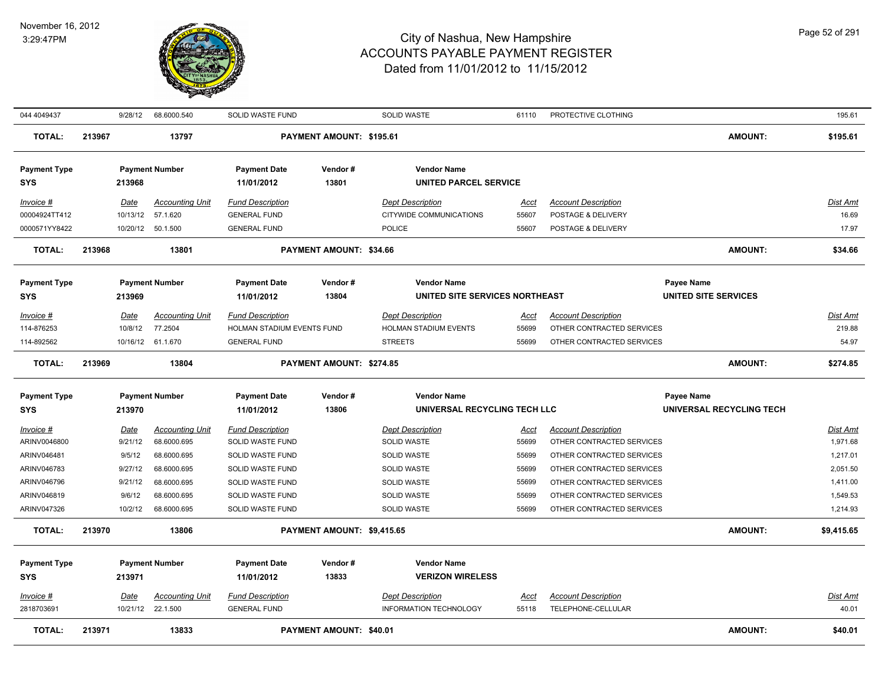

| 044 4049437                               |        | 9/28/12                          | 68.6000.540                                            | SOLID WASTE FUND                                                             |                            | SOLID WASTE                                                        | 61110                         | PROTECTIVE CLOTHING                                                                  |                                    | 195.61                                  |
|-------------------------------------------|--------|----------------------------------|--------------------------------------------------------|------------------------------------------------------------------------------|----------------------------|--------------------------------------------------------------------|-------------------------------|--------------------------------------------------------------------------------------|------------------------------------|-----------------------------------------|
| <b>TOTAL:</b>                             | 213967 |                                  | 13797                                                  |                                                                              | PAYMENT AMOUNT: \$195.61   |                                                                    |                               |                                                                                      | <b>AMOUNT:</b>                     | \$195.61                                |
| <b>Payment Type</b><br><b>SYS</b>         |        | 213968                           | <b>Payment Number</b>                                  | <b>Payment Date</b><br>11/01/2012                                            | Vendor#<br>13801           | <b>Vendor Name</b><br><b>UNITED PARCEL SERVICE</b>                 |                               |                                                                                      |                                    |                                         |
| Invoice #<br>00004924TT412                |        | Date<br>10/13/12                 | <b>Accounting Unit</b><br>57.1.620                     | <b>Fund Description</b><br><b>GENERAL FUND</b>                               |                            | <b>Dept Description</b><br>CITYWIDE COMMUNICATIONS                 | Acct<br>55607                 | <b>Account Description</b><br>POSTAGE & DELIVERY                                     |                                    | Dist Amt<br>16.69                       |
| 0000571YY8422                             |        |                                  | 10/20/12  50.1.500                                     | <b>GENERAL FUND</b>                                                          |                            | <b>POLICE</b>                                                      | 55607                         | POSTAGE & DELIVERY                                                                   |                                    | 17.97                                   |
| <b>TOTAL:</b>                             | 213968 |                                  | 13801                                                  |                                                                              | PAYMENT AMOUNT: \$34.66    |                                                                    |                               |                                                                                      | <b>AMOUNT:</b>                     | \$34.66                                 |
| <b>Payment Type</b><br><b>SYS</b>         |        | 213969                           | <b>Payment Number</b>                                  | <b>Payment Date</b><br>11/01/2012                                            | Vendor#<br>13804           | <b>Vendor Name</b><br>UNITED SITE SERVICES NORTHEAST               |                               |                                                                                      | Payee Name<br>UNITED SITE SERVICES |                                         |
| Invoice #<br>114-876253<br>114-892562     |        | Date<br>10/8/12                  | <b>Accounting Unit</b><br>77.2504<br>10/16/12 61.1.670 | <b>Fund Description</b><br>HOLMAN STADIUM EVENTS FUND<br><b>GENERAL FUND</b> |                            | <b>Dept Description</b><br>HOLMAN STADIUM EVENTS<br><b>STREETS</b> | <u>Acct</u><br>55699<br>55699 | <b>Account Description</b><br>OTHER CONTRACTED SERVICES<br>OTHER CONTRACTED SERVICES |                                    | Dist Amt<br>219.88<br>54.97             |
| <b>TOTAL:</b>                             | 213969 |                                  | 13804                                                  |                                                                              | PAYMENT AMOUNT: \$274.85   |                                                                    |                               |                                                                                      | <b>AMOUNT:</b>                     | \$274.85                                |
| <b>Payment Type</b>                       |        |                                  | <b>Payment Number</b>                                  | <b>Payment Date</b>                                                          | Vendor#                    | <b>Vendor Name</b>                                                 |                               |                                                                                      | Payee Name                         |                                         |
| <b>SYS</b>                                |        | 213970                           |                                                        | 11/01/2012                                                                   | 13806                      | UNIVERSAL RECYCLING TECH LLC                                       |                               |                                                                                      | UNIVERSAL RECYCLING TECH           |                                         |
| Invoice #<br>ARINV0046800                 |        | <b>Date</b><br>9/21/12<br>9/5/12 | <b>Accounting Unit</b><br>68.6000.695<br>68.6000.695   | <b>Fund Description</b><br><b>SOLID WASTE FUND</b>                           |                            | <b>Dept Description</b><br>SOLID WASTE                             | <u>Acct</u><br>55699          | <b>Account Description</b><br>OTHER CONTRACTED SERVICES                              |                                    | <u>Dist Amt</u><br>1,971.68<br>1,217.01 |
| ARINV046481<br>ARINV046783<br>ARINV046796 |        | 9/27/12<br>9/21/12               | 68.6000.695<br>68.6000.695                             | SOLID WASTE FUND<br>SOLID WASTE FUND<br>SOLID WASTE FUND                     |                            | SOLID WASTE<br>SOLID WASTE<br>SOLID WASTE                          | 55699<br>55699<br>55699       | OTHER CONTRACTED SERVICES<br>OTHER CONTRACTED SERVICES<br>OTHER CONTRACTED SERVICES  |                                    | 2,051.50<br>1,411.00                    |
| ARINV046819<br>ARINV047326                |        | 9/6/12<br>10/2/12                | 68.6000.695<br>68.6000.695                             | SOLID WASTE FUND<br>SOLID WASTE FUND                                         |                            | SOLID WASTE<br>SOLID WASTE                                         | 55699<br>55699                | OTHER CONTRACTED SERVICES<br>OTHER CONTRACTED SERVICES                               |                                    | 1,549.53<br>1,214.93                    |
| <b>TOTAL:</b>                             | 213970 |                                  | 13806                                                  |                                                                              | PAYMENT AMOUNT: \$9,415.65 |                                                                    |                               |                                                                                      | <b>AMOUNT:</b>                     | \$9,415.65                              |
| <b>Payment Type</b><br><b>SYS</b>         |        | 213971                           | <b>Payment Number</b>                                  | <b>Payment Date</b><br>11/01/2012                                            | Vendor#<br>13833           | <b>Vendor Name</b><br><b>VERIZON WIRELESS</b>                      |                               |                                                                                      |                                    |                                         |
| Invoice #<br>2818703691                   |        | Date                             | <b>Accounting Unit</b><br>10/21/12 22.1.500            | <b>Fund Description</b><br><b>GENERAL FUND</b>                               |                            | <b>Dept Description</b><br><b>INFORMATION TECHNOLOGY</b>           | <u>Acct</u><br>55118          | <b>Account Description</b><br>TELEPHONE-CELLULAR                                     |                                    | <u>Dist Amt</u><br>40.01                |
| TOTAL:                                    | 213971 |                                  | 13833                                                  |                                                                              | PAYMENT AMOUNT: \$40.01    |                                                                    |                               |                                                                                      | <b>AMOUNT:</b>                     | \$40.01                                 |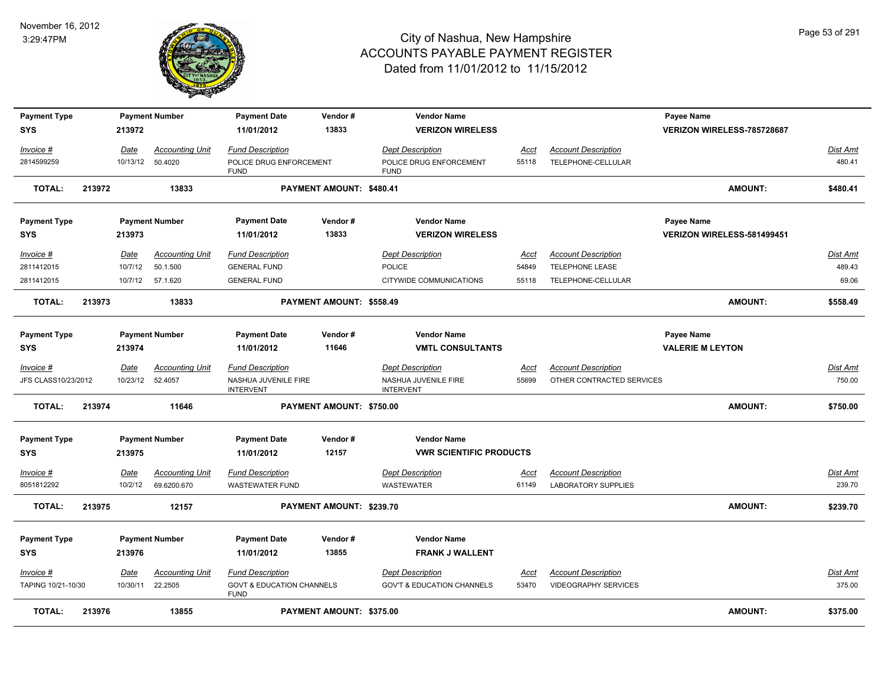

| <b>Payment Type</b>                |        |                         | <b>Payment Number</b>             | <b>Payment Date</b>                                                 | Vendor#                  | <b>Vendor Name</b>                                                  |                      |                                                         | <b>Payee Name</b>          |                           |
|------------------------------------|--------|-------------------------|-----------------------------------|---------------------------------------------------------------------|--------------------------|---------------------------------------------------------------------|----------------------|---------------------------------------------------------|----------------------------|---------------------------|
| <b>SYS</b>                         |        | 213972                  |                                   | 11/01/2012                                                          | 13833                    | <b>VERIZON WIRELESS</b>                                             |                      |                                                         | VERIZON WIRELESS-785728687 |                           |
| Invoice #<br>2814599259            |        | Date<br>10/13/12        | <b>Accounting Unit</b><br>50.4020 | <b>Fund Description</b><br>POLICE DRUG ENFORCEMENT                  |                          | <b>Dept Description</b><br>POLICE DRUG ENFORCEMENT                  | Acct<br>55118        | <b>Account Description</b><br>TELEPHONE-CELLULAR        |                            | <b>Dist Amt</b><br>480.41 |
|                                    |        |                         |                                   | <b>FUND</b>                                                         |                          | <b>FUND</b>                                                         |                      |                                                         |                            |                           |
| <b>TOTAL:</b>                      | 213972 |                         | 13833                             |                                                                     | PAYMENT AMOUNT: \$480.41 |                                                                     |                      |                                                         | <b>AMOUNT:</b>             | \$480.41                  |
| <b>Payment Type</b>                |        |                         | <b>Payment Number</b>             | <b>Payment Date</b>                                                 | Vendor#                  | <b>Vendor Name</b>                                                  |                      |                                                         | <b>Payee Name</b>          |                           |
| <b>SYS</b>                         |        | 213973                  |                                   | 11/01/2012                                                          | 13833                    | <b>VERIZON WIRELESS</b>                                             |                      |                                                         | VERIZON WIRELESS-581499451 |                           |
| Invoice #                          |        | Date                    | <b>Accounting Unit</b>            | <b>Fund Description</b>                                             |                          | <b>Dept Description</b>                                             | Acct                 | <b>Account Description</b>                              |                            | Dist Amt                  |
| 2811412015                         |        | 10/7/12                 | 50.1.500                          | <b>GENERAL FUND</b>                                                 |                          | <b>POLICE</b>                                                       | 54849                | TELEPHONE LEASE                                         |                            | 489.43                    |
| 2811412015                         |        |                         | 10/7/12 57.1.620                  | <b>GENERAL FUND</b>                                                 |                          | CITYWIDE COMMUNICATIONS                                             | 55118                | TELEPHONE-CELLULAR                                      |                            | 69.06                     |
| <b>TOTAL:</b>                      | 213973 |                         | 13833                             |                                                                     | PAYMENT AMOUNT: \$558.49 |                                                                     |                      |                                                         | <b>AMOUNT:</b>             | \$558.49                  |
| <b>Payment Type</b>                |        |                         | <b>Payment Number</b>             | <b>Payment Date</b>                                                 | Vendor#                  | <b>Vendor Name</b>                                                  |                      |                                                         | <b>Payee Name</b>          |                           |
| <b>SYS</b>                         |        | 213974                  |                                   | 11/01/2012                                                          | 11646                    | <b>VMTL CONSULTANTS</b>                                             |                      |                                                         | <b>VALERIE M LEYTON</b>    |                           |
|                                    |        |                         |                                   |                                                                     |                          |                                                                     |                      |                                                         |                            |                           |
| $Invoice$ #<br>JFS CLASS10/23/2012 |        | <b>Date</b><br>10/23/12 | <b>Accounting Unit</b><br>52.4057 | <b>Fund Description</b><br>NASHUA JUVENILE FIRE<br><b>INTERVENT</b> |                          | <b>Dept Description</b><br>NASHUA JUVENILE FIRE<br><b>INTERVENT</b> | <u>Acct</u><br>55699 | <b>Account Description</b><br>OTHER CONTRACTED SERVICES |                            | Dist Amt<br>750.00        |
| <b>TOTAL:</b>                      | 213974 |                         | 11646                             |                                                                     | PAYMENT AMOUNT: \$750.00 |                                                                     |                      |                                                         | <b>AMOUNT:</b>             | \$750.00                  |
| <b>Payment Type</b>                |        |                         | <b>Payment Number</b>             | <b>Payment Date</b>                                                 | Vendor#                  | <b>Vendor Name</b>                                                  |                      |                                                         |                            |                           |
| <b>SYS</b>                         |        | 213975                  |                                   | 11/01/2012                                                          | 12157                    | <b>VWR SCIENTIFIC PRODUCTS</b>                                      |                      |                                                         |                            |                           |
| $Invoice$ #                        |        | <b>Date</b>             | <b>Accounting Unit</b>            | <b>Fund Description</b>                                             |                          | <b>Dept Description</b>                                             | <u>Acct</u>          | <b>Account Description</b>                              |                            | Dist Amt                  |
| 8051812292                         |        | 10/2/12                 | 69.6200.670                       | <b>WASTEWATER FUND</b>                                              |                          | <b>WASTEWATER</b>                                                   | 61149                | <b>LABORATORY SUPPLIES</b>                              |                            | 239.70                    |
| <b>TOTAL:</b>                      | 213975 |                         | 12157                             |                                                                     | PAYMENT AMOUNT: \$239.70 |                                                                     |                      |                                                         | <b>AMOUNT:</b>             | \$239.70                  |
|                                    |        |                         |                                   |                                                                     |                          |                                                                     |                      |                                                         |                            |                           |
| <b>Payment Type</b>                |        |                         | <b>Payment Number</b>             | <b>Payment Date</b>                                                 | Vendor#                  | <b>Vendor Name</b>                                                  |                      |                                                         |                            |                           |
| <b>SYS</b>                         |        | 213976                  |                                   | 11/01/2012                                                          | 13855                    | <b>FRANK J WALLENT</b>                                              |                      |                                                         |                            |                           |
| Invoice #                          |        | Date                    | <b>Accounting Unit</b>            | <b>Fund Description</b>                                             |                          | Dept Description                                                    | Acct                 | <b>Account Description</b>                              |                            | Dist Amt                  |
| TAPING 10/21-10/30                 |        | 10/30/11                | 22.2505                           | <b>GOVT &amp; EDUCATION CHANNELS</b><br><b>FUND</b>                 |                          | <b>GOV'T &amp; EDUCATION CHANNELS</b>                               | 53470                | VIDEOGRAPHY SERVICES                                    |                            | 375.00                    |
| <b>TOTAL:</b>                      | 213976 |                         | 13855                             |                                                                     | PAYMENT AMOUNT: \$375.00 |                                                                     |                      |                                                         | <b>AMOUNT:</b>             | \$375.00                  |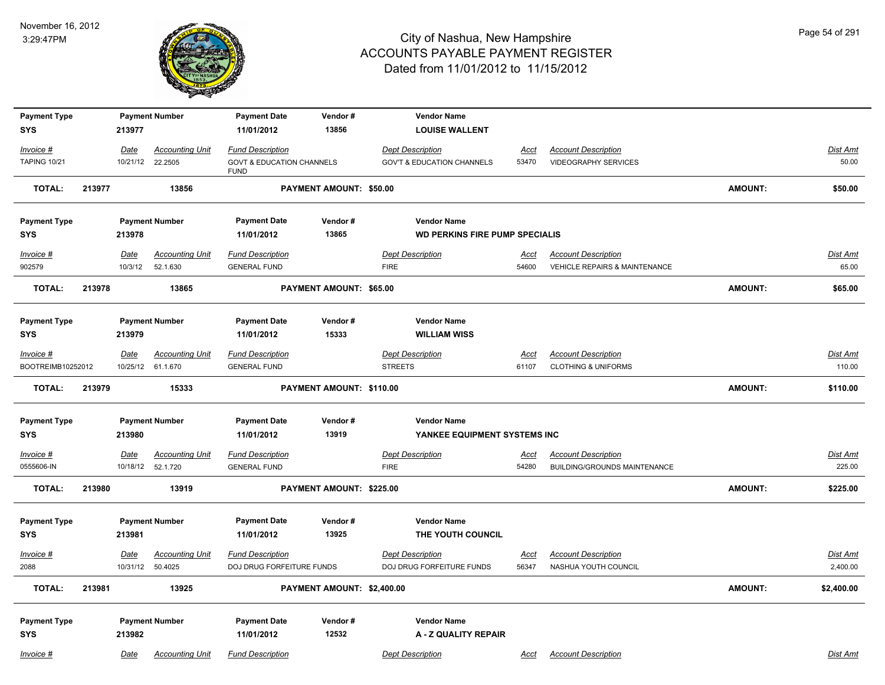

| <b>Payment Type</b>               |        |             | <b>Payment Number</b>                        | <b>Payment Date</b>                                  | Vendor#                    | <b>Vendor Name</b>                                   |                      |                                                            |                |                             |
|-----------------------------------|--------|-------------|----------------------------------------------|------------------------------------------------------|----------------------------|------------------------------------------------------|----------------------|------------------------------------------------------------|----------------|-----------------------------|
| <b>SYS</b>                        |        | 213977      |                                              | 11/01/2012                                           | 13856                      | <b>LOUISE WALLENT</b>                                |                      |                                                            |                |                             |
| Invoice #                         |        | Date        | <b>Accounting Unit</b>                       | <b>Fund Description</b>                              |                            | <b>Dept Description</b>                              | Acct                 | <b>Account Description</b>                                 |                | Dist Amt                    |
| <b>TAPING 10/21</b>               |        | 10/21/12    | 22.2505                                      | <b>GOVT &amp; EDUCATION CHANNELS</b><br><b>FUND</b>  |                            | <b>GOV'T &amp; EDUCATION CHANNELS</b>                | 53470                | <b>VIDEOGRAPHY SERVICES</b>                                |                | 50.00                       |
| <b>TOTAL:</b>                     | 213977 |             | 13856                                        |                                                      | PAYMENT AMOUNT: \$50.00    |                                                      |                      |                                                            | <b>AMOUNT:</b> | \$50.00                     |
| <b>Payment Type</b>               |        |             | <b>Payment Number</b>                        | <b>Payment Date</b>                                  | Vendor#                    | <b>Vendor Name</b>                                   |                      |                                                            |                |                             |
| <b>SYS</b>                        |        | 213978      |                                              | 11/01/2012                                           | 13865                      | <b>WD PERKINS FIRE PUMP SPECIALIS</b>                |                      |                                                            |                |                             |
| Invoice #                         |        | Date        | <b>Accounting Unit</b>                       | <b>Fund Description</b>                              |                            | <b>Dept Description</b>                              | Acct                 | <b>Account Description</b>                                 |                | Dist Amt                    |
| 902579                            |        | 10/3/12     | 52.1.630                                     | <b>GENERAL FUND</b>                                  |                            | <b>FIRE</b>                                          | 54600                | <b>VEHICLE REPAIRS &amp; MAINTENANCE</b>                   |                | 65.00                       |
| <b>TOTAL:</b>                     | 213978 |             | 13865                                        |                                                      | PAYMENT AMOUNT: \$65.00    |                                                      |                      |                                                            | <b>AMOUNT:</b> | \$65.00                     |
|                                   |        |             |                                              |                                                      |                            |                                                      |                      |                                                            |                |                             |
| <b>Payment Type</b><br>SYS        |        | 213979      | <b>Payment Number</b>                        | <b>Payment Date</b><br>11/01/2012                    | Vendor#<br>15333           | <b>Vendor Name</b><br><b>WILLIAM WISS</b>            |                      |                                                            |                |                             |
|                                   |        |             |                                              |                                                      |                            |                                                      |                      |                                                            |                |                             |
| $Invoice$ #                       |        | Date        | <b>Accounting Unit</b>                       | <b>Fund Description</b>                              |                            | <b>Dept Description</b>                              | <u>Acct</u>          | <b>Account Description</b>                                 |                | <b>Dist Amt</b>             |
| BOOTREIMB10252012                 |        |             | 10/25/12 61.1.670                            | <b>GENERAL FUND</b>                                  |                            | <b>STREETS</b>                                       | 61107                | <b>CLOTHING &amp; UNIFORMS</b>                             |                | 110.00                      |
| <b>TOTAL:</b>                     | 213979 |             | 15333                                        |                                                      | PAYMENT AMOUNT: \$110.00   |                                                      |                      |                                                            | AMOUNT:        | \$110.00                    |
| <b>Payment Type</b>               |        |             | <b>Payment Number</b>                        | <b>Payment Date</b>                                  | Vendor#                    | <b>Vendor Name</b>                                   |                      |                                                            |                |                             |
| SYS                               |        | 213980      |                                              | 11/01/2012                                           | 13919                      | YANKEE EQUIPMENT SYSTEMS INC                         |                      |                                                            |                |                             |
| Invoice #<br>0555606-IN           |        | <b>Date</b> | <b>Accounting Unit</b><br>10/18/12  52.1.720 | <b>Fund Description</b><br><b>GENERAL FUND</b>       |                            | <b>Dept Description</b><br><b>FIRE</b>               | <u>Acct</u><br>54280 | <b>Account Description</b><br>BUILDING/GROUNDS MAINTENANCE |                | Dist Amt<br>225.00          |
| <b>TOTAL:</b>                     | 213980 |             | 13919                                        |                                                      | PAYMENT AMOUNT: \$225.00   |                                                      |                      |                                                            | AMOUNT:        | \$225.00                    |
|                                   |        |             |                                              |                                                      |                            |                                                      |                      |                                                            |                |                             |
| <b>Payment Type</b><br><b>SYS</b> |        | 213981      | <b>Payment Number</b>                        | <b>Payment Date</b><br>11/01/2012                    | Vendor#<br>13925           | <b>Vendor Name</b><br>THE YOUTH COUNCIL              |                      |                                                            |                |                             |
| $Invoice$ #<br>2088               |        | Date        | <b>Accounting Unit</b><br>10/31/12 50.4025   | <b>Fund Description</b><br>DOJ DRUG FORFEITURE FUNDS |                            | <b>Dept Description</b><br>DOJ DRUG FORFEITURE FUNDS | <u>Acct</u><br>56347 | <b>Account Description</b><br>NASHUA YOUTH COUNCIL         |                | <b>Dist Amt</b><br>2,400.00 |
| <b>TOTAL:</b>                     | 213981 |             | 13925                                        |                                                      | PAYMENT AMOUNT: \$2,400.00 |                                                      |                      |                                                            | AMOUNT:        | \$2,400.00                  |
|                                   |        |             |                                              |                                                      |                            |                                                      |                      |                                                            |                |                             |
|                                   |        |             |                                              |                                                      |                            |                                                      |                      |                                                            |                |                             |
| <b>Payment Type</b><br><b>SYS</b> |        | 213982      | <b>Payment Number</b>                        | <b>Payment Date</b><br>11/01/2012                    | Vendor#<br>12532           | <b>Vendor Name</b><br>A - Z QUALITY REPAIR           |                      |                                                            |                |                             |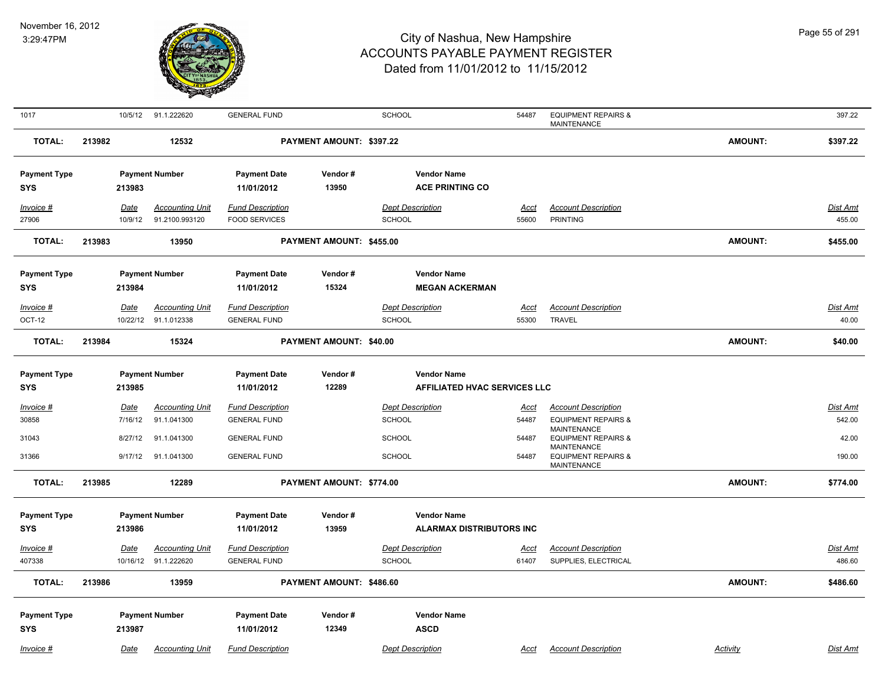

| 1017                |        |             | 10/5/12 91.1.222620    | <b>GENERAL FUND</b>     |                          | <b>SCHOOL</b>                   | 54487       | <b>EQUIPMENT REPAIRS &amp;</b><br>MAINTENANCE                |                | 397.22          |
|---------------------|--------|-------------|------------------------|-------------------------|--------------------------|---------------------------------|-------------|--------------------------------------------------------------|----------------|-----------------|
| <b>TOTAL:</b>       | 213982 |             | 12532                  |                         | PAYMENT AMOUNT: \$397.22 |                                 |             |                                                              | <b>AMOUNT:</b> | \$397.22        |
| <b>Payment Type</b> |        |             | <b>Payment Number</b>  | <b>Payment Date</b>     | Vendor#                  | <b>Vendor Name</b>              |             |                                                              |                |                 |
| <b>SYS</b>          |        | 213983      |                        | 11/01/2012              | 13950                    | <b>ACE PRINTING CO</b>          |             |                                                              |                |                 |
| Invoice #           |        | Date        | <b>Accounting Unit</b> | <b>Fund Description</b> |                          | <b>Dept Description</b>         | <u>Acct</u> | <b>Account Description</b>                                   |                | <b>Dist Amt</b> |
| 27906               |        | 10/9/12     | 91.2100.993120         | <b>FOOD SERVICES</b>    |                          | <b>SCHOOL</b>                   | 55600       | <b>PRINTING</b>                                              |                | 455.00          |
| <b>TOTAL:</b>       | 213983 |             | 13950                  |                         | PAYMENT AMOUNT: \$455.00 |                                 |             |                                                              | <b>AMOUNT:</b> | \$455.00        |
| <b>Payment Type</b> |        |             | <b>Payment Number</b>  | <b>Payment Date</b>     | Vendor#                  | <b>Vendor Name</b>              |             |                                                              |                |                 |
| <b>SYS</b>          |        | 213984      |                        | 11/01/2012              | 15324                    | <b>MEGAN ACKERMAN</b>           |             |                                                              |                |                 |
| Invoice #           |        | Date        | <b>Accounting Unit</b> | <b>Fund Description</b> |                          | <b>Dept Description</b>         | <b>Acct</b> | <b>Account Description</b>                                   |                | <b>Dist Amt</b> |
| OCT-12              |        |             | 10/22/12 91.1.012338   | <b>GENERAL FUND</b>     |                          | <b>SCHOOL</b>                   | 55300       | <b>TRAVEL</b>                                                |                | 40.00           |
| <b>TOTAL:</b>       | 213984 |             | 15324                  |                         | PAYMENT AMOUNT: \$40.00  |                                 |             |                                                              | <b>AMOUNT:</b> | \$40.00         |
| <b>Payment Type</b> |        |             | <b>Payment Number</b>  | <b>Payment Date</b>     | Vendor#                  | <b>Vendor Name</b>              |             |                                                              |                |                 |
| <b>SYS</b>          |        | 213985      |                        | 11/01/2012              | 12289                    | AFFILIATED HVAC SERVICES LLC    |             |                                                              |                |                 |
| Invoice #           |        | Date        | <b>Accounting Unit</b> | <b>Fund Description</b> |                          | <b>Dept Description</b>         | <u>Acct</u> | <b>Account Description</b>                                   |                | <b>Dist Amt</b> |
| 30858               |        | 7/16/12     | 91.1.041300            | <b>GENERAL FUND</b>     |                          | SCHOOL                          | 54487       | <b>EQUIPMENT REPAIRS &amp;</b>                               |                | 542.00          |
| 31043               |        | 8/27/12     | 91.1.041300            | <b>GENERAL FUND</b>     |                          | SCHOOL                          | 54487       | <b>MAINTENANCE</b><br><b>EQUIPMENT REPAIRS &amp;</b>         |                | 42.00           |
| 31366               |        | 9/17/12     | 91.1.041300            | <b>GENERAL FUND</b>     |                          | <b>SCHOOL</b>                   | 54487       | MAINTENANCE<br><b>EQUIPMENT REPAIRS &amp;</b><br>MAINTENANCE |                | 190.00          |
| TOTAL:              | 213985 |             | 12289                  |                         | PAYMENT AMOUNT: \$774.00 |                                 |             |                                                              | <b>AMOUNT:</b> | \$774.00        |
| <b>Payment Type</b> |        |             | <b>Payment Number</b>  | <b>Payment Date</b>     | Vendor#                  | <b>Vendor Name</b>              |             |                                                              |                |                 |
| <b>SYS</b>          |        | 213986      |                        | 11/01/2012              | 13959                    | <b>ALARMAX DISTRIBUTORS INC</b> |             |                                                              |                |                 |
| Invoice #           |        | <u>Date</u> | <b>Accounting Unit</b> | <b>Fund Description</b> |                          | <b>Dept Description</b>         | <u>Acct</u> | <b>Account Description</b>                                   |                | <b>Dist Amt</b> |
| 407338              |        |             | 10/16/12 91.1.222620   | <b>GENERAL FUND</b>     |                          | <b>SCHOOL</b>                   | 61407       | SUPPLIES, ELECTRICAL                                         |                | 486.60          |
| <b>TOTAL:</b>       | 213986 |             | 13959                  |                         | PAYMENT AMOUNT: \$486.60 |                                 |             |                                                              | <b>AMOUNT:</b> | \$486.60        |
| <b>Payment Type</b> |        |             | <b>Payment Number</b>  | <b>Payment Date</b>     | Vendor#                  | <b>Vendor Name</b>              |             |                                                              |                |                 |
| <b>SYS</b>          |        | 213987      |                        | 11/01/2012              | 12349                    | <b>ASCD</b>                     |             |                                                              |                |                 |
| Invoice #           |        | Date        | <b>Accounting Unit</b> | <b>Fund Description</b> |                          | <b>Dept Description</b>         | Acct        | <b>Account Description</b>                                   | Activity       | <b>Dist Amt</b> |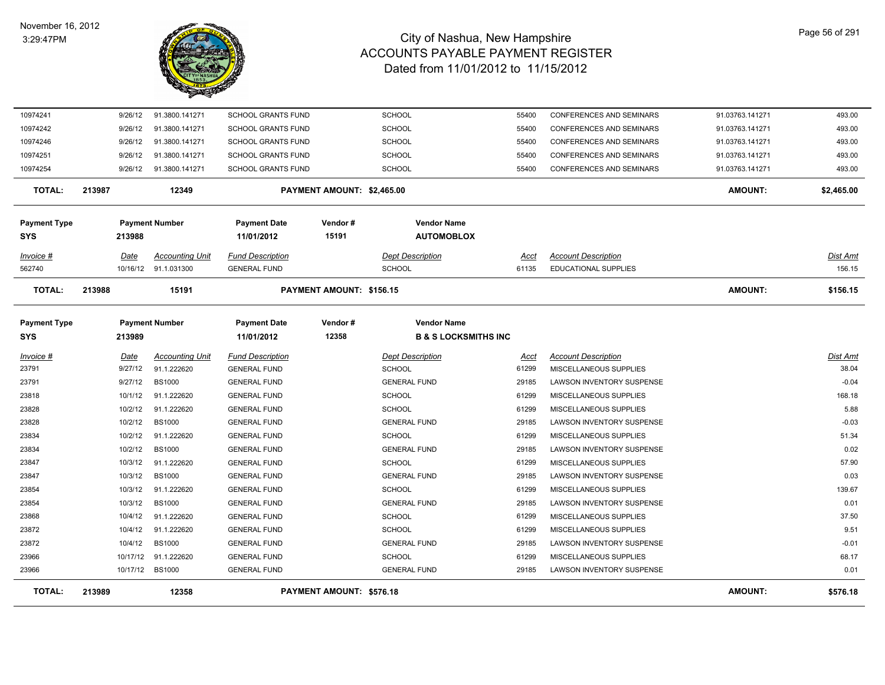

| 10974241            |        | 9/26/12  | 91.3800.141271         | <b>SCHOOL GRANTS FUND</b> |                                 | <b>SCHOOL</b>                   | 55400 | <b>CONFERENCES AND SEMINARS</b> | 91.03763.141271 | 493.00     |
|---------------------|--------|----------|------------------------|---------------------------|---------------------------------|---------------------------------|-------|---------------------------------|-----------------|------------|
| 10974242            |        | 9/26/12  | 91.3800.141271         | <b>SCHOOL GRANTS FUND</b> |                                 | <b>SCHOOL</b>                   | 55400 | CONFERENCES AND SEMINARS        | 91.03763.141271 | 493.00     |
| 10974246            |        | 9/26/12  | 91.3800.141271         | <b>SCHOOL GRANTS FUND</b> |                                 | <b>SCHOOL</b>                   | 55400 | CONFERENCES AND SEMINARS        | 91.03763.141271 | 493.00     |
| 10974251            |        | 9/26/12  | 91.3800.141271         | <b>SCHOOL GRANTS FUND</b> |                                 | <b>SCHOOL</b>                   | 55400 | CONFERENCES AND SEMINARS        | 91.03763.141271 | 493.00     |
| 10974254            |        | 9/26/12  | 91.3800.141271         | <b>SCHOOL GRANTS FUND</b> |                                 | <b>SCHOOL</b>                   | 55400 | CONFERENCES AND SEMINARS        | 91.03763.141271 | 493.00     |
| <b>TOTAL:</b>       | 213987 |          | 12349                  |                           | PAYMENT AMOUNT: \$2,465.00      |                                 |       |                                 | <b>AMOUNT:</b>  | \$2,465.00 |
| <b>Payment Type</b> |        |          | <b>Payment Number</b>  | <b>Payment Date</b>       | Vendor#                         | <b>Vendor Name</b>              |       |                                 |                 |            |
| <b>SYS</b>          |        | 213988   |                        | 11/01/2012                | 15191                           | <b>AUTOMOBLOX</b>               |       |                                 |                 |            |
| Invoice #           |        | Date     | <b>Accounting Unit</b> | <b>Fund Description</b>   |                                 | <b>Dept Description</b>         | Acct  | <b>Account Description</b>      |                 | Dist Amt   |
| 562740              |        | 10/16/12 | 91.1.031300            | <b>GENERAL FUND</b>       |                                 | <b>SCHOOL</b>                   | 61135 | <b>EDUCATIONAL SUPPLIES</b>     |                 | 156.15     |
| <b>TOTAL:</b>       | 213988 |          | 15191                  |                           | PAYMENT AMOUNT: \$156.15        |                                 |       |                                 | <b>AMOUNT:</b>  | \$156.15   |
| <b>Payment Type</b> |        |          | <b>Payment Number</b>  | <b>Payment Date</b>       | Vendor#                         | <b>Vendor Name</b>              |       |                                 |                 |            |
| <b>SYS</b>          |        | 213989   |                        | 11/01/2012                | 12358                           | <b>B &amp; S LOCKSMITHS INC</b> |       |                                 |                 |            |
| Invoice #           |        | Date     | <b>Accounting Unit</b> | <b>Fund Description</b>   |                                 | <b>Dept Description</b>         | Acct  | <b>Account Description</b>      |                 | Dist Amt   |
| 23791               |        | 9/27/12  | 91.1.222620            | <b>GENERAL FUND</b>       |                                 | <b>SCHOOL</b>                   | 61299 | MISCELLANEOUS SUPPLIES          |                 | 38.04      |
| 23791               |        | 9/27/12  | <b>BS1000</b>          | <b>GENERAL FUND</b>       |                                 | <b>GENERAL FUND</b>             | 29185 | LAWSON INVENTORY SUSPENSE       |                 | $-0.04$    |
| 23818               |        | 10/1/12  | 91.1.222620            | <b>GENERAL FUND</b>       |                                 | <b>SCHOOL</b>                   | 61299 | MISCELLANEOUS SUPPLIES          |                 | 168.18     |
| 23828               |        | 10/2/12  | 91.1.222620            | <b>GENERAL FUND</b>       |                                 | <b>SCHOOL</b>                   | 61299 | MISCELLANEOUS SUPPLIES          |                 | 5.88       |
| 23828               |        | 10/2/12  | <b>BS1000</b>          | <b>GENERAL FUND</b>       |                                 | <b>GENERAL FUND</b>             | 29185 | LAWSON INVENTORY SUSPENSE       |                 | $-0.03$    |
| 23834               |        | 10/2/12  | 91.1.222620            | <b>GENERAL FUND</b>       |                                 | <b>SCHOOL</b>                   | 61299 | MISCELLANEOUS SUPPLIES          |                 | 51.34      |
| 23834               |        | 10/2/12  | <b>BS1000</b>          | <b>GENERAL FUND</b>       |                                 | <b>GENERAL FUND</b>             | 29185 | LAWSON INVENTORY SUSPENSE       |                 | 0.02       |
| 23847               |        | 10/3/12  | 91.1.222620            | <b>GENERAL FUND</b>       |                                 | <b>SCHOOL</b>                   | 61299 | MISCELLANEOUS SUPPLIES          |                 | 57.90      |
| 23847               |        | 10/3/12  | <b>BS1000</b>          | <b>GENERAL FUND</b>       |                                 | <b>GENERAL FUND</b>             | 29185 | LAWSON INVENTORY SUSPENSE       |                 | 0.03       |
| 23854               |        | 10/3/12  | 91.1.222620            | <b>GENERAL FUND</b>       |                                 | <b>SCHOOL</b>                   | 61299 | MISCELLANEOUS SUPPLIES          |                 | 139.67     |
| 23854               |        | 10/3/12  | <b>BS1000</b>          | <b>GENERAL FUND</b>       |                                 | <b>GENERAL FUND</b>             | 29185 | LAWSON INVENTORY SUSPENSE       |                 | 0.01       |
| 23868               |        | 10/4/12  | 91.1.222620            | <b>GENERAL FUND</b>       |                                 | <b>SCHOOL</b>                   | 61299 | MISCELLANEOUS SUPPLIES          |                 | 37.50      |
| 23872               |        | 10/4/12  | 91.1.222620            | <b>GENERAL FUND</b>       |                                 | <b>SCHOOL</b>                   | 61299 | MISCELLANEOUS SUPPLIES          |                 | 9.51       |
| 23872               |        | 10/4/12  | <b>BS1000</b>          | <b>GENERAL FUND</b>       |                                 | <b>GENERAL FUND</b>             | 29185 | LAWSON INVENTORY SUSPENSE       |                 | $-0.01$    |
| 23966               |        | 10/17/12 | 91.1.222620            | <b>GENERAL FUND</b>       |                                 | <b>SCHOOL</b>                   | 61299 | MISCELLANEOUS SUPPLIES          |                 | 68.17      |
| 23966               |        |          | 10/17/12 BS1000        | <b>GENERAL FUND</b>       |                                 | <b>GENERAL FUND</b>             | 29185 | LAWSON INVENTORY SUSPENSE       |                 | 0.01       |
| <b>TOTAL:</b>       | 213989 |          | 12358                  |                           | <b>PAYMENT AMOUNT: \$576.18</b> |                                 |       |                                 | <b>AMOUNT:</b>  | \$576.18   |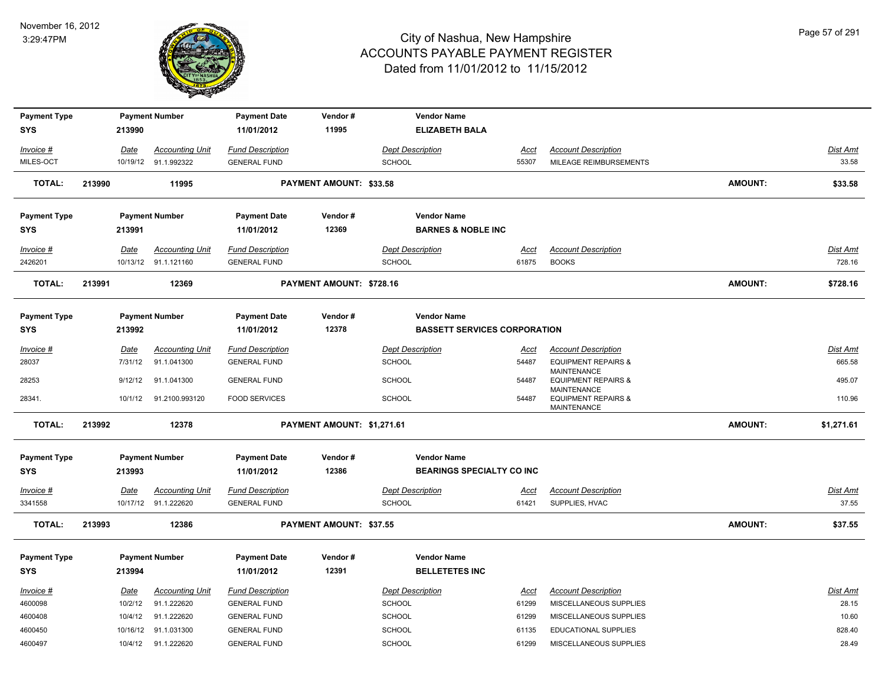

| <b>Payment Type</b> |        |             | <b>Payment Number</b>   | <b>Payment Date</b>     | Vendor#                    | <b>Vendor Name</b>      |                                     |             |                                                                            |                |                 |
|---------------------|--------|-------------|-------------------------|-------------------------|----------------------------|-------------------------|-------------------------------------|-------------|----------------------------------------------------------------------------|----------------|-----------------|
| <b>SYS</b>          |        | 213990      |                         | 11/01/2012              | 11995                      |                         | <b>ELIZABETH BALA</b>               |             |                                                                            |                |                 |
| Invoice #           |        | <u>Date</u> | <b>Accounting Unit</b>  | <b>Fund Description</b> |                            | <b>Dept Description</b> |                                     | <u>Acct</u> | <b>Account Description</b>                                                 |                | <b>Dist Amt</b> |
| MILES-OCT           |        |             | 10/19/12 91.1.992322    | <b>GENERAL FUND</b>     |                            | <b>SCHOOL</b>           | 55307                               |             | MILEAGE REIMBURSEMENTS                                                     |                | 33.58           |
| <b>TOTAL:</b>       | 213990 |             | 11995                   |                         | PAYMENT AMOUNT: \$33.58    |                         |                                     |             |                                                                            | <b>AMOUNT:</b> | \$33.58         |
| <b>Payment Type</b> |        |             | <b>Payment Number</b>   | <b>Payment Date</b>     | Vendor#                    | <b>Vendor Name</b>      |                                     |             |                                                                            |                |                 |
| <b>SYS</b>          |        | 213991      |                         | 11/01/2012              | 12369                      |                         | <b>BARNES &amp; NOBLE INC</b>       |             |                                                                            |                |                 |
| Invoice #           |        | Date        | <b>Accounting Unit</b>  | <b>Fund Description</b> |                            | <b>Dept Description</b> |                                     | <u>Acct</u> | <b>Account Description</b>                                                 |                | Dist Amt        |
| 2426201             |        |             | 10/13/12 91.1.121160    | <b>GENERAL FUND</b>     |                            | <b>SCHOOL</b>           | 61875                               |             | <b>BOOKS</b>                                                               |                | 728.16          |
| <b>TOTAL:</b>       | 213991 |             | 12369                   |                         | PAYMENT AMOUNT: \$728.16   |                         |                                     |             |                                                                            | <b>AMOUNT:</b> | \$728.16        |
| <b>Payment Type</b> |        |             | <b>Payment Number</b>   | <b>Payment Date</b>     | Vendor#                    | <b>Vendor Name</b>      |                                     |             |                                                                            |                |                 |
| <b>SYS</b>          |        | 213992      |                         | 11/01/2012              | 12378                      |                         | <b>BASSETT SERVICES CORPORATION</b> |             |                                                                            |                |                 |
| Invoice #           |        | <u>Date</u> | <b>Accounting Unit</b>  | <b>Fund Description</b> |                            | <b>Dept Description</b> |                                     | <u>Acct</u> | <b>Account Description</b>                                                 |                | Dist Amt        |
| 28037               |        | 7/31/12     | 91.1.041300             | <b>GENERAL FUND</b>     |                            | <b>SCHOOL</b>           | 54487                               |             | <b>EQUIPMENT REPAIRS &amp;</b><br><b>MAINTENANCE</b>                       |                | 665.58          |
| 28253               |        | 9/12/12     | 91.1.041300             | <b>GENERAL FUND</b>     |                            | <b>SCHOOL</b>           | 54487                               |             | <b>EQUIPMENT REPAIRS &amp;</b>                                             |                | 495.07          |
| 28341.              |        |             | 10/1/12  91.2100.993120 | <b>FOOD SERVICES</b>    |                            | <b>SCHOOL</b>           | 54487                               |             | <b>MAINTENANCE</b><br><b>EQUIPMENT REPAIRS &amp;</b><br><b>MAINTENANCE</b> |                | 110.96          |
| <b>TOTAL:</b>       | 213992 |             | 12378                   |                         | PAYMENT AMOUNT: \$1,271.61 |                         |                                     |             |                                                                            | <b>AMOUNT:</b> | \$1,271.61      |
| <b>Payment Type</b> |        |             | <b>Payment Number</b>   | <b>Payment Date</b>     | Vendor#                    | <b>Vendor Name</b>      |                                     |             |                                                                            |                |                 |
| <b>SYS</b>          |        | 213993      |                         | 11/01/2012              | 12386                      |                         | <b>BEARINGS SPECIALTY CO INC</b>    |             |                                                                            |                |                 |
| Invoice #           |        | Date        | <b>Accounting Unit</b>  | <b>Fund Description</b> |                            | <b>Dept Description</b> |                                     | <u>Acct</u> | <b>Account Description</b>                                                 |                | <b>Dist Amt</b> |
| 3341558             |        |             | 10/17/12 91.1.222620    | <b>GENERAL FUND</b>     |                            | <b>SCHOOL</b>           | 61421                               |             | SUPPLIES, HVAC                                                             |                | 37.55           |
| <b>TOTAL:</b>       | 213993 |             | 12386                   |                         | PAYMENT AMOUNT: \$37.55    |                         |                                     |             |                                                                            | <b>AMOUNT:</b> | \$37.55         |
| <b>Payment Type</b> |        |             | <b>Payment Number</b>   | <b>Payment Date</b>     | Vendor#                    | <b>Vendor Name</b>      |                                     |             |                                                                            |                |                 |
| <b>SYS</b>          |        | 213994      |                         | 11/01/2012              | 12391                      |                         | <b>BELLETETES INC</b>               |             |                                                                            |                |                 |
| Invoice #           |        | Date        | <b>Accounting Unit</b>  | <b>Fund Description</b> |                            | <b>Dept Description</b> |                                     | Acct        | <b>Account Description</b>                                                 |                | Dist Amt        |
| 4600098             |        | 10/2/12     | 91.1.222620             | <b>GENERAL FUND</b>     |                            | <b>SCHOOL</b>           | 61299                               |             | MISCELLANEOUS SUPPLIES                                                     |                | 28.15           |
| 4600408             |        | 10/4/12     | 91.1.222620             | <b>GENERAL FUND</b>     |                            | <b>SCHOOL</b>           | 61299                               |             | MISCELLANEOUS SUPPLIES                                                     |                | 10.60           |
| 4600450             |        |             | 10/16/12 91.1.031300    | <b>GENERAL FUND</b>     |                            | <b>SCHOOL</b>           | 61135                               |             | <b>EDUCATIONAL SUPPLIES</b>                                                |                | 828.40          |
| 4600497             |        |             | 10/4/12 91.1.222620     | <b>GENERAL FUND</b>     |                            | <b>SCHOOL</b>           | 61299                               |             | MISCELLANEOUS SUPPLIES                                                     |                | 28.49           |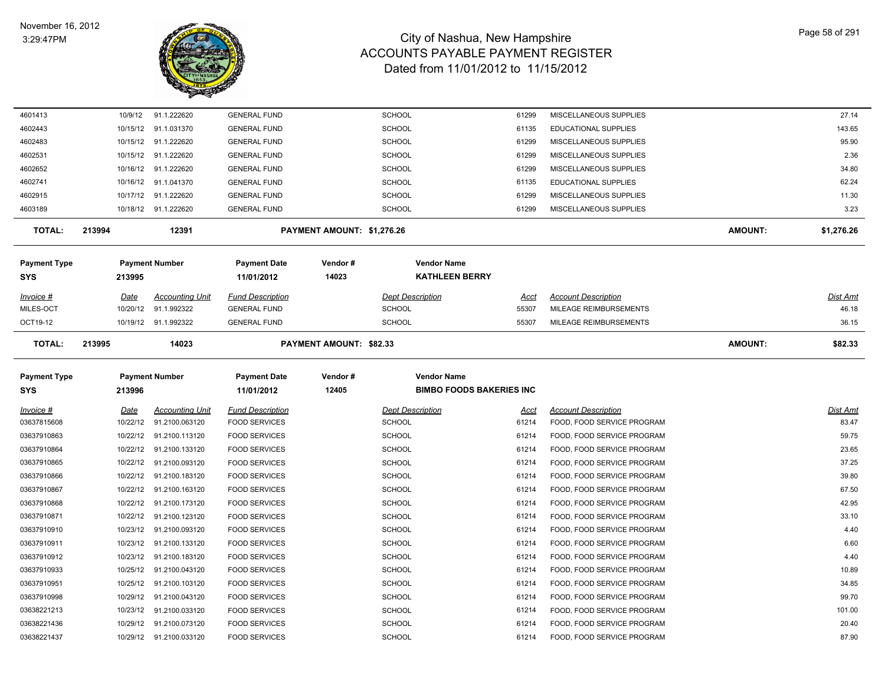

| 4601413             |        | 10/9/12  | 91.1.222620            | <b>GENERAL FUND</b>     |                            | <b>SCHOOL</b>                   | 61299       | MISCELLANEOUS SUPPLIES        |                | 27.14      |
|---------------------|--------|----------|------------------------|-------------------------|----------------------------|---------------------------------|-------------|-------------------------------|----------------|------------|
| 4602443             |        | 10/15/12 | 91.1.031370            | <b>GENERAL FUND</b>     |                            | <b>SCHOOL</b>                   | 61135       | <b>EDUCATIONAL SUPPLIES</b>   |                | 143.65     |
| 4602483             |        | 10/15/12 | 91.1.222620            | <b>GENERAL FUND</b>     |                            | SCHOOL                          | 61299       | MISCELLANEOUS SUPPLIES        |                | 95.90      |
| 4602531             |        | 10/15/12 | 91.1.222620            | <b>GENERAL FUND</b>     |                            | <b>SCHOOL</b>                   | 61299       | MISCELLANEOUS SUPPLIES        |                | 2.36       |
| 4602652             |        | 10/16/12 | 91.1.222620            | <b>GENERAL FUND</b>     |                            | <b>SCHOOL</b>                   | 61299       | MISCELLANEOUS SUPPLIES        |                | 34.80      |
| 4602741             |        | 10/16/12 | 91.1.041370            | <b>GENERAL FUND</b>     |                            | <b>SCHOOL</b>                   | 61135       | EDUCATIONAL SUPPLIES          |                | 62.24      |
| 4602915             |        | 10/17/12 | 91.1.222620            | <b>GENERAL FUND</b>     |                            | SCHOOL                          | 61299       | MISCELLANEOUS SUPPLIES        |                | 11.30      |
| 4603189             |        |          | 10/18/12 91.1.222620   | <b>GENERAL FUND</b>     |                            | <b>SCHOOL</b>                   | 61299       | MISCELLANEOUS SUPPLIES        |                | 3.23       |
| <b>TOTAL:</b>       | 213994 |          | 12391                  |                         | PAYMENT AMOUNT: \$1,276.26 |                                 |             |                               | <b>AMOUNT:</b> | \$1,276.26 |
| <b>Payment Type</b> |        |          | <b>Payment Number</b>  | <b>Payment Date</b>     | Vendor#                    | <b>Vendor Name</b>              |             |                               |                |            |
| SYS                 |        | 213995   |                        | 11/01/2012              | 14023                      | <b>KATHLEEN BERRY</b>           |             |                               |                |            |
| Invoice #           |        | Date     | <b>Accounting Unit</b> | <b>Fund Description</b> |                            | <b>Dept Description</b>         | Acct        | <b>Account Description</b>    |                | Dist Amt   |
| MILES-OCT           |        | 10/20/12 | 91.1.992322            | <b>GENERAL FUND</b>     |                            | <b>SCHOOL</b>                   | 55307       | <b>MILEAGE REIMBURSEMENTS</b> |                | 46.18      |
| OCT19-12            |        |          | 10/19/12 91.1.992322   | <b>GENERAL FUND</b>     |                            | <b>SCHOOL</b>                   | 55307       | MILEAGE REIMBURSEMENTS        |                | 36.15      |
| <b>TOTAL:</b>       | 213995 |          | 14023                  |                         | PAYMENT AMOUNT: \$82.33    |                                 |             |                               | AMOUNT:        | \$82.33    |
| <b>Payment Type</b> |        |          | <b>Payment Number</b>  | <b>Payment Date</b>     | Vendor#                    | <b>Vendor Name</b>              |             |                               |                |            |
| <b>SYS</b>          |        | 213996   |                        | 11/01/2012              | 12405                      | <b>BIMBO FOODS BAKERIES INC</b> |             |                               |                |            |
| Invoice #           |        | Date     | <b>Accounting Unit</b> | <b>Fund Description</b> |                            | <b>Dept Description</b>         | <u>Acct</u> | <b>Account Description</b>    |                | Dist Amt   |
| 03637815608         |        | 10/22/12 | 91.2100.063120         | <b>FOOD SERVICES</b>    |                            | <b>SCHOOL</b>                   | 61214       | FOOD, FOOD SERVICE PROGRAM    |                | 83.47      |
| 03637910863         |        | 10/22/12 | 91.2100.113120         | <b>FOOD SERVICES</b>    |                            | SCHOOL                          | 61214       | FOOD, FOOD SERVICE PROGRAM    |                | 59.75      |
| 03637910864         |        | 10/22/12 | 91.2100.133120         | <b>FOOD SERVICES</b>    |                            | <b>SCHOOL</b>                   | 61214       | FOOD, FOOD SERVICE PROGRAM    |                | 23.65      |
| 03637910865         |        | 10/22/12 | 91.2100.093120         | <b>FOOD SERVICES</b>    |                            | <b>SCHOOL</b>                   | 61214       | FOOD, FOOD SERVICE PROGRAM    |                | 37.25      |
| 03637910866         |        | 10/22/12 | 91.2100.183120         | <b>FOOD SERVICES</b>    |                            | <b>SCHOOL</b>                   | 61214       | FOOD, FOOD SERVICE PROGRAM    |                | 39.80      |
| 03637910867         |        | 10/22/12 | 91.2100.163120         | <b>FOOD SERVICES</b>    |                            | <b>SCHOOL</b>                   | 61214       | FOOD, FOOD SERVICE PROGRAM    |                | 67.50      |
| 03637910868         |        | 10/22/12 | 91.2100.173120         | <b>FOOD SERVICES</b>    |                            | <b>SCHOOL</b>                   | 61214       | FOOD, FOOD SERVICE PROGRAM    |                | 42.95      |
| 03637910871         |        | 10/22/12 | 91.2100.123120         | <b>FOOD SERVICES</b>    |                            | SCHOOL                          | 61214       | FOOD, FOOD SERVICE PROGRAM    |                | 33.10      |
| 03637910910         |        | 10/23/12 | 91.2100.093120         | <b>FOOD SERVICES</b>    |                            | SCHOOL                          | 61214       | FOOD, FOOD SERVICE PROGRAM    |                | 4.40       |
| 03637910911         |        | 10/23/12 | 91.2100.133120         | <b>FOOD SERVICES</b>    |                            | SCHOOL                          | 61214       | FOOD, FOOD SERVICE PROGRAM    |                | 6.60       |
| 03637910912         |        | 10/23/12 | 91.2100.183120         | <b>FOOD SERVICES</b>    |                            | SCHOOL                          | 61214       | FOOD, FOOD SERVICE PROGRAM    |                | 4.40       |
| 03637910933         |        | 10/25/12 | 91.2100.043120         | <b>FOOD SERVICES</b>    |                            | SCHOOL                          | 61214       | FOOD, FOOD SERVICE PROGRAM    |                | 10.89      |
| 03637910951         |        | 10/25/12 | 91.2100.103120         | <b>FOOD SERVICES</b>    |                            | SCHOOL                          | 61214       | FOOD, FOOD SERVICE PROGRAM    |                | 34.85      |
| 03637910998         |        | 10/29/12 | 91.2100.043120         | <b>FOOD SERVICES</b>    |                            | SCHOOL                          | 61214       | FOOD, FOOD SERVICE PROGRAM    |                | 99.70      |
| 03638221213         |        | 10/23/12 | 91.2100.033120         | <b>FOOD SERVICES</b>    |                            | SCHOOL                          | 61214       | FOOD, FOOD SERVICE PROGRAM    |                | 101.00     |
| 03638221436         |        | 10/29/12 | 91.2100.073120         | <b>FOOD SERVICES</b>    |                            | <b>SCHOOL</b>                   | 61214       | FOOD, FOOD SERVICE PROGRAM    |                | 20.40      |
| 03638221437         |        | 10/29/12 | 91.2100.033120         | <b>FOOD SERVICES</b>    |                            | <b>SCHOOL</b>                   | 61214       | FOOD, FOOD SERVICE PROGRAM    |                | 87.90      |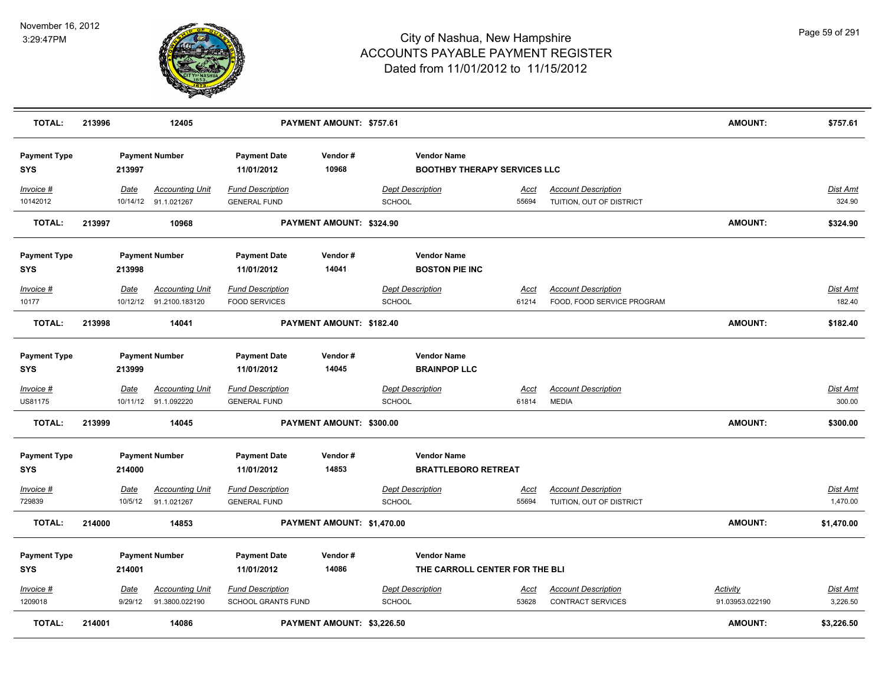

| <b>TOTAL:</b>                     | 213996 |                        | 12405                                             |                                                 | PAYMENT AMOUNT: \$757.61   |               |                                                           |                      |                                                          | <b>AMOUNT:</b>              | \$757.61                    |
|-----------------------------------|--------|------------------------|---------------------------------------------------|-------------------------------------------------|----------------------------|---------------|-----------------------------------------------------------|----------------------|----------------------------------------------------------|-----------------------------|-----------------------------|
| <b>Payment Type</b><br><b>SYS</b> |        | 213997                 | <b>Payment Number</b>                             | <b>Payment Date</b><br>11/01/2012               | Vendor#<br>10968           |               | <b>Vendor Name</b><br><b>BOOTHBY THERAPY SERVICES LLC</b> |                      |                                                          |                             |                             |
| Invoice #<br>10142012             |        | Date                   | <b>Accounting Unit</b><br>10/14/12 91.1.021267    | <b>Fund Description</b><br><b>GENERAL FUND</b>  |                            | <b>SCHOOL</b> | <b>Dept Description</b>                                   | <u>Acct</u><br>55694 | <b>Account Description</b><br>TUITION, OUT OF DISTRICT   |                             | Dist Amt<br>324.90          |
| <b>TOTAL:</b>                     | 213997 |                        | 10968                                             |                                                 | PAYMENT AMOUNT: \$324.90   |               |                                                           |                      |                                                          | <b>AMOUNT:</b>              | \$324.90                    |
| <b>Payment Type</b><br><b>SYS</b> |        | 213998                 | <b>Payment Number</b>                             | <b>Payment Date</b><br>11/01/2012               | Vendor#<br>14041           |               | <b>Vendor Name</b><br><b>BOSTON PIE INC</b>               |                      |                                                          |                             |                             |
| Invoice #<br>10177                |        | Date                   | <b>Accounting Unit</b><br>10/12/12 91.2100.183120 | <b>Fund Description</b><br><b>FOOD SERVICES</b> |                            | <b>SCHOOL</b> | <b>Dept Description</b>                                   | Acct<br>61214        | <b>Account Description</b><br>FOOD, FOOD SERVICE PROGRAM |                             | Dist Amt<br>182.40          |
| <b>TOTAL:</b>                     | 213998 |                        | 14041                                             |                                                 | PAYMENT AMOUNT: \$182.40   |               |                                                           |                      |                                                          | <b>AMOUNT:</b>              | \$182.40                    |
| <b>Payment Type</b><br><b>SYS</b> |        | 213999                 | <b>Payment Number</b>                             | <b>Payment Date</b><br>11/01/2012               | Vendor#<br>14045           |               | <b>Vendor Name</b><br><b>BRAINPOP LLC</b>                 |                      |                                                          |                             |                             |
| Invoice #<br>US81175              |        | <b>Date</b>            | <b>Accounting Unit</b><br>10/11/12 91.1.092220    | <b>Fund Description</b><br><b>GENERAL FUND</b>  |                            | SCHOOL        | <b>Dept Description</b>                                   | <u>Acct</u><br>61814 | <b>Account Description</b><br><b>MEDIA</b>               |                             | <b>Dist Amt</b><br>300.00   |
| <b>TOTAL:</b>                     | 213999 |                        | 14045                                             |                                                 | PAYMENT AMOUNT: \$300.00   |               |                                                           |                      |                                                          | <b>AMOUNT:</b>              | \$300.00                    |
| <b>Payment Type</b><br><b>SYS</b> |        | 214000                 | <b>Payment Number</b>                             | <b>Payment Date</b><br>11/01/2012               | Vendor#<br>14853           |               | <b>Vendor Name</b><br><b>BRATTLEBORO RETREAT</b>          |                      |                                                          |                             |                             |
| Invoice #<br>729839               |        | Date<br>10/5/12        | <b>Accounting Unit</b><br>91.1.021267             | <b>Fund Description</b><br><b>GENERAL FUND</b>  |                            | SCHOOL        | <b>Dept Description</b>                                   | Acct<br>55694        | <b>Account Description</b><br>TUITION, OUT OF DISTRICT   |                             | Dist Amt<br>1,470.00        |
| <b>TOTAL:</b>                     | 214000 |                        | 14853                                             |                                                 | PAYMENT AMOUNT: \$1,470.00 |               |                                                           |                      |                                                          | <b>AMOUNT:</b>              | \$1,470.00                  |
| <b>Payment Type</b><br><b>SYS</b> |        | 214001                 | <b>Payment Number</b>                             | <b>Payment Date</b><br>11/01/2012               | Vendor#<br>14086           |               | <b>Vendor Name</b><br>THE CARROLL CENTER FOR THE BLI      |                      |                                                          |                             |                             |
| $Invoice$ #<br>1209018            |        | <u>Date</u><br>9/29/12 | <b>Accounting Unit</b><br>91.3800.022190          | <b>Fund Description</b><br>SCHOOL GRANTS FUND   |                            | SCHOOL        | <b>Dept Description</b>                                   | Acct<br>53628        | <b>Account Description</b><br><b>CONTRACT SERVICES</b>   | Activity<br>91.03953.022190 | <b>Dist Amt</b><br>3,226.50 |
| <b>TOTAL:</b>                     | 214001 |                        | 14086                                             |                                                 | PAYMENT AMOUNT: \$3,226.50 |               |                                                           |                      |                                                          | <b>AMOUNT:</b>              | \$3,226.50                  |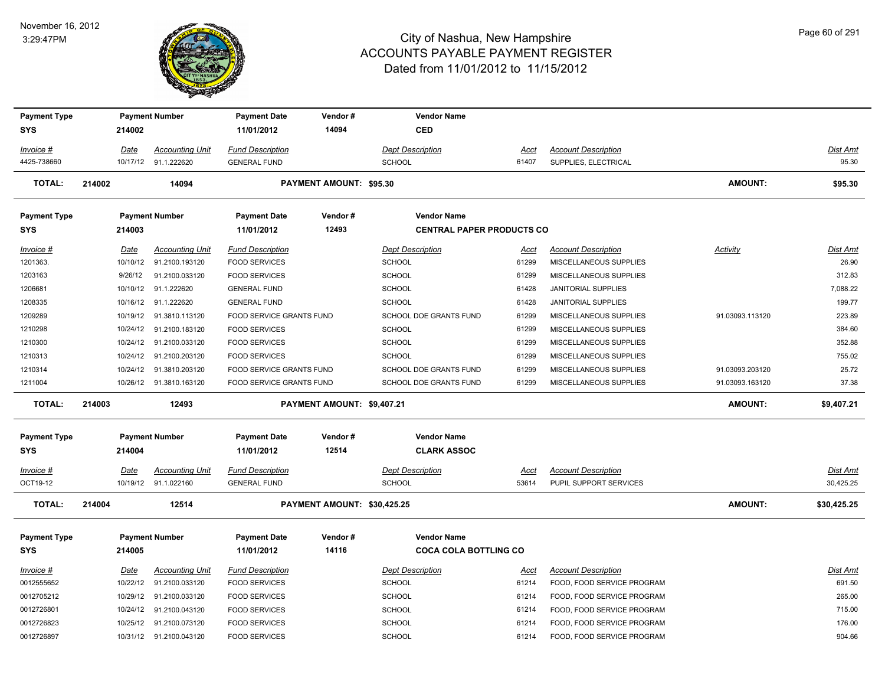#### November 16, 2012 3:29:47PM



| <b>Payment Type</b> |        |             | <b>Payment Number</b>                     | <b>Payment Date</b>                          | Vendor#                     | <b>Vendor Name</b>               |                |                                                      |                 |                   |
|---------------------|--------|-------------|-------------------------------------------|----------------------------------------------|-----------------------------|----------------------------------|----------------|------------------------------------------------------|-----------------|-------------------|
| <b>SYS</b>          |        | 214002      |                                           | 11/01/2012                                   | 14094                       | <b>CED</b>                       |                |                                                      |                 |                   |
|                     |        |             |                                           |                                              |                             |                                  |                |                                                      |                 |                   |
| Invoice #           |        | Date        | <b>Accounting Unit</b>                    | <b>Fund Description</b>                      |                             | <b>Dept Description</b>          | Acct           | <b>Account Description</b><br>SUPPLIES, ELECTRICAL   |                 | Dist Amt<br>95.30 |
| 4425-738660         |        |             | 10/17/12 91.1.222620                      | <b>GENERAL FUND</b>                          |                             | <b>SCHOOL</b>                    | 61407          |                                                      |                 |                   |
| <b>TOTAL:</b>       | 214002 |             | 14094                                     |                                              | PAYMENT AMOUNT: \$95.30     |                                  |                |                                                      | AMOUNT:         | \$95.30           |
| <b>Payment Type</b> |        |             | <b>Payment Number</b>                     | <b>Payment Date</b>                          | Vendor#                     | <b>Vendor Name</b>               |                |                                                      |                 |                   |
| SYS                 |        | 214003      |                                           | 11/01/2012                                   | 12493                       | <b>CENTRAL PAPER PRODUCTS CO</b> |                |                                                      |                 |                   |
| Invoice #           |        | Date        | <b>Accounting Unit</b>                    | <b>Fund Description</b>                      |                             | <b>Dept Description</b>          | Acct           | <b>Account Description</b><br>MISCELLANEOUS SUPPLIES | Activity        | Dist Amt<br>26.90 |
| 1201363.<br>1203163 |        | 9/26/12     | 10/10/12 91.2100.193120<br>91.2100.033120 | <b>FOOD SERVICES</b><br><b>FOOD SERVICES</b> |                             | <b>SCHOOL</b><br><b>SCHOOL</b>   | 61299<br>61299 | MISCELLANEOUS SUPPLIES                               |                 | 312.83            |
| 1206681             |        |             | 10/10/12 91.1.222620                      | <b>GENERAL FUND</b>                          |                             | <b>SCHOOL</b>                    | 61428          | <b>JANITORIAL SUPPLIES</b>                           |                 | 7,088.22          |
| 1208335             |        |             | 10/16/12 91.1.222620                      | <b>GENERAL FUND</b>                          |                             | <b>SCHOOL</b>                    | 61428          | <b>JANITORIAL SUPPLIES</b>                           |                 | 199.77            |
| 1209289             |        |             | 10/19/12 91.3810.113120                   | FOOD SERVICE GRANTS FUND                     |                             | SCHOOL DOE GRANTS FUND           | 61299          | MISCELLANEOUS SUPPLIES                               | 91.03093.113120 | 223.89            |
| 1210298             |        |             | 10/24/12 91.2100.183120                   | <b>FOOD SERVICES</b>                         |                             | <b>SCHOOL</b>                    | 61299          | MISCELLANEOUS SUPPLIES                               |                 | 384.60            |
| 1210300             |        |             | 10/24/12 91.2100.033120                   | <b>FOOD SERVICES</b>                         |                             | <b>SCHOOL</b>                    | 61299          | MISCELLANEOUS SUPPLIES                               |                 | 352.88            |
| 1210313             |        |             | 10/24/12 91.2100.203120                   | <b>FOOD SERVICES</b>                         |                             | <b>SCHOOL</b>                    | 61299          | MISCELLANEOUS SUPPLIES                               |                 | 755.02            |
| 1210314             |        | 10/24/12    | 91.3810.203120                            | FOOD SERVICE GRANTS FUND                     |                             | SCHOOL DOE GRANTS FUND           | 61299          | MISCELLANEOUS SUPPLIES                               | 91.03093.203120 | 25.72             |
| 1211004             |        |             | 10/26/12 91.3810.163120                   | FOOD SERVICE GRANTS FUND                     |                             | <b>SCHOOL DOE GRANTS FUND</b>    | 61299          | MISCELLANEOUS SUPPLIES                               | 91.03093.163120 | 37.38             |
|                     |        |             |                                           |                                              |                             |                                  |                |                                                      |                 |                   |
| <b>TOTAL:</b>       | 214003 |             | 12493                                     |                                              | PAYMENT AMOUNT: \$9,407.21  |                                  |                |                                                      | <b>AMOUNT:</b>  | \$9,407.21        |
| <b>Payment Type</b> |        |             | <b>Payment Number</b>                     | <b>Payment Date</b>                          | Vendor#                     | <b>Vendor Name</b>               |                |                                                      |                 |                   |
| <b>SYS</b>          |        | 214004      |                                           | 11/01/2012                                   | 12514                       | <b>CLARK ASSOC</b>               |                |                                                      |                 |                   |
| Invoice #           |        | Date        | <b>Accounting Unit</b>                    | <b>Fund Description</b>                      |                             | <b>Dept Description</b>          | Acct           | <b>Account Description</b>                           |                 | Dist Amt          |
| OCT19-12            |        |             | 10/19/12 91.1.022160                      | <b>GENERAL FUND</b>                          |                             | <b>SCHOOL</b>                    | 53614          | PUPIL SUPPORT SERVICES                               |                 | 30,425.25         |
|                     |        |             |                                           |                                              |                             |                                  |                |                                                      |                 |                   |
| <b>TOTAL:</b>       | 214004 |             | 12514                                     |                                              | PAYMENT AMOUNT: \$30,425.25 |                                  |                |                                                      | <b>AMOUNT:</b>  | \$30,425.25       |
| <b>Payment Type</b> |        |             | <b>Payment Number</b>                     | <b>Payment Date</b>                          | Vendor#                     | <b>Vendor Name</b>               |                |                                                      |                 |                   |
| <b>SYS</b>          |        | 214005      |                                           | 11/01/2012                                   | 14116                       | <b>COCA COLA BOTTLING CO</b>     |                |                                                      |                 |                   |
| <u>Invoice #</u>    |        | <u>Date</u> | <b>Accounting Unit</b>                    | <b>Fund Description</b>                      |                             | <b>Dept Description</b>          | <u>Acct</u>    | <b>Account Description</b>                           |                 | Dist Amt          |
| 0012555652          |        | 10/22/12    | 91.2100.033120                            | <b>FOOD SERVICES</b>                         |                             | <b>SCHOOL</b>                    | 61214          | FOOD, FOOD SERVICE PROGRAM                           |                 | 691.50            |
| 0012705212          |        |             | 10/29/12 91.2100.033120                   | <b>FOOD SERVICES</b>                         |                             | <b>SCHOOL</b>                    | 61214          | FOOD, FOOD SERVICE PROGRAM                           |                 | 265.00            |
| 0012726801          |        | 10/24/12    | 91.2100.043120                            | <b>FOOD SERVICES</b>                         |                             | SCHOOL                           | 61214          | FOOD, FOOD SERVICE PROGRAM                           |                 | 715.00            |
| 0012726823          |        |             | 10/25/12 91.2100.073120                   | <b>FOOD SERVICES</b>                         |                             | SCHOOL                           | 61214          | FOOD, FOOD SERVICE PROGRAM                           |                 | 176.00            |
| 0012726897          |        |             | 10/31/12 91.2100.043120                   | <b>FOOD SERVICES</b>                         |                             | SCHOOL                           | 61214          | FOOD, FOOD SERVICE PROGRAM                           |                 | 904.66            |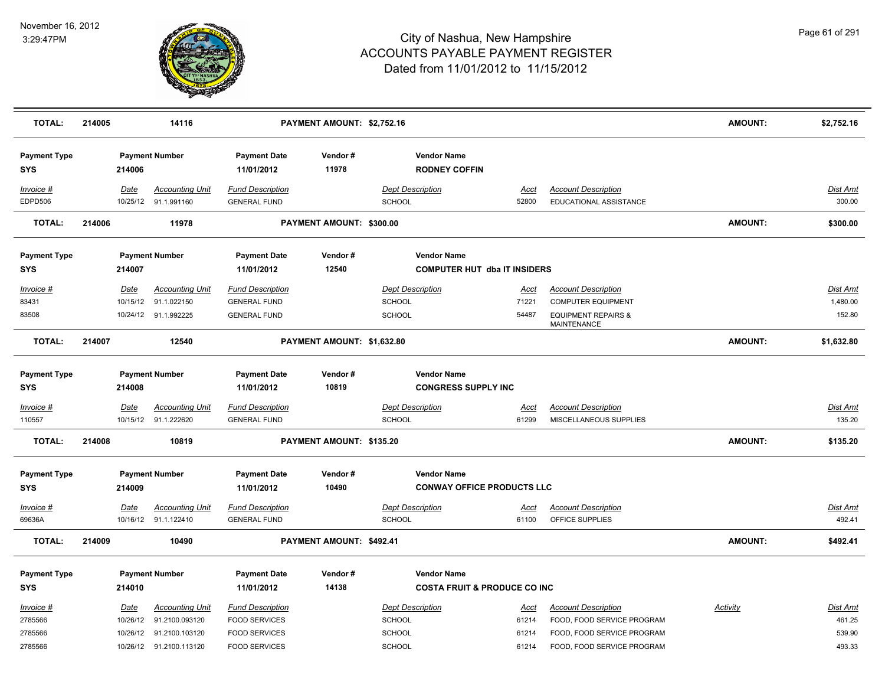

| <b>TOTAL:</b>                     | 214005 |                  | 14116                                          |                                                 | PAYMENT AMOUNT: \$2,752.16 |                                            |                                         |                                                          | <b>AMOUNT:</b> | \$2,752.16                |
|-----------------------------------|--------|------------------|------------------------------------------------|-------------------------------------------------|----------------------------|--------------------------------------------|-----------------------------------------|----------------------------------------------------------|----------------|---------------------------|
| <b>Payment Type</b><br><b>SYS</b> |        | 214006           | <b>Payment Number</b>                          | <b>Payment Date</b><br>11/01/2012               | Vendor#<br>11978           | <b>Vendor Name</b><br><b>RODNEY COFFIN</b> |                                         |                                                          |                |                           |
| Invoice #<br>EDPD506              |        | <u>Date</u>      | <b>Accounting Unit</b><br>10/25/12 91.1.991160 | <b>Fund Description</b><br><b>GENERAL FUND</b>  |                            | <b>Dept Description</b><br><b>SCHOOL</b>   | <u>Acct</u><br>52800                    | <b>Account Description</b><br>EDUCATIONAL ASSISTANCE     |                | <u>Dist Amt</u><br>300.00 |
| <b>TOTAL:</b>                     | 214006 |                  | 11978                                          |                                                 | PAYMENT AMOUNT: \$300.00   |                                            |                                         |                                                          | <b>AMOUNT:</b> | \$300.00                  |
| <b>Payment Type</b><br><b>SYS</b> |        | 214007           | <b>Payment Number</b>                          | <b>Payment Date</b><br>11/01/2012               | Vendor#<br>12540           | <b>Vendor Name</b>                         | <b>COMPUTER HUT dba IT INSIDERS</b>     |                                                          |                |                           |
| Invoice #                         |        | <u>Date</u>      | <b>Accounting Unit</b>                         | <b>Fund Description</b>                         |                            | <b>Dept Description</b>                    | <u>Acct</u>                             | <b>Account Description</b>                               |                | Dist Amt                  |
| 83431                             |        | 10/15/12         | 91.1.022150                                    | <b>GENERAL FUND</b>                             |                            | <b>SCHOOL</b>                              | 71221                                   | <b>COMPUTER EQUIPMENT</b>                                |                | 1,480.00                  |
| 83508                             |        |                  | 10/24/12 91.1.992225                           | <b>GENERAL FUND</b>                             |                            | <b>SCHOOL</b>                              | 54487                                   | <b>EQUIPMENT REPAIRS &amp;</b><br>MAINTENANCE            |                | 152.80                    |
| <b>TOTAL:</b>                     | 214007 |                  | 12540                                          |                                                 | PAYMENT AMOUNT: \$1,632.80 |                                            |                                         |                                                          | <b>AMOUNT:</b> | \$1,632.80                |
| <b>Payment Type</b>               |        |                  | <b>Payment Number</b>                          | <b>Payment Date</b>                             | Vendor#                    | <b>Vendor Name</b>                         |                                         |                                                          |                |                           |
| SYS                               |        | 214008           |                                                | 11/01/2012                                      | 10819                      | <b>CONGRESS SUPPLY INC</b>                 |                                         |                                                          |                |                           |
| Invoice #                         |        | Date             | <b>Accounting Unit</b>                         | <b>Fund Description</b>                         |                            | <b>Dept Description</b>                    | Acct                                    | <b>Account Description</b>                               |                | <b>Dist Amt</b>           |
| 110557                            |        |                  | 10/15/12 91.1.222620                           | <b>GENERAL FUND</b>                             |                            | SCHOOL                                     | 61299                                   | MISCELLANEOUS SUPPLIES                                   |                | 135.20                    |
| <b>TOTAL:</b>                     | 214008 |                  | 10819                                          |                                                 | PAYMENT AMOUNT: \$135.20   |                                            |                                         |                                                          | AMOUNT:        | \$135.20                  |
| <b>Payment Type</b><br><b>SYS</b> |        | 214009           | <b>Payment Number</b>                          | <b>Payment Date</b><br>11/01/2012               | Vendor#<br>10490           | <b>Vendor Name</b>                         | <b>CONWAY OFFICE PRODUCTS LLC</b>       |                                                          |                |                           |
| Invoice #                         |        | <b>Date</b>      | <b>Accounting Unit</b>                         | <b>Fund Description</b>                         |                            | <b>Dept Description</b>                    | <u>Acct</u>                             | <b>Account Description</b>                               |                | Dist Amt                  |
| 69636A                            |        |                  | 10/16/12 91.1.122410                           | <b>GENERAL FUND</b>                             |                            | <b>SCHOOL</b>                              | 61100                                   | OFFICE SUPPLIES                                          |                | 492.41                    |
| <b>TOTAL:</b>                     | 214009 |                  | 10490                                          |                                                 | PAYMENT AMOUNT: \$492.41   |                                            |                                         |                                                          | AMOUNT:        | \$492.41                  |
| <b>Payment Type</b>               |        |                  | <b>Payment Number</b>                          | <b>Payment Date</b>                             | Vendor#                    | <b>Vendor Name</b>                         |                                         |                                                          |                |                           |
| <b>SYS</b>                        |        | 214010           |                                                | 11/01/2012                                      | 14138                      |                                            | <b>COSTA FRUIT &amp; PRODUCE CO INC</b> |                                                          |                |                           |
| Invoice #<br>2785566              |        | Date<br>10/26/12 | <b>Accounting Unit</b><br>91.2100.093120       | <b>Fund Description</b><br><b>FOOD SERVICES</b> |                            | <b>Dept Description</b><br>SCHOOL          | Acct<br>61214                           | <b>Account Description</b><br>FOOD, FOOD SERVICE PROGRAM | Activity       | Dist Amt<br>461.25        |
| 2785566                           |        | 10/26/12         | 91.2100.103120                                 | <b>FOOD SERVICES</b>                            |                            | <b>SCHOOL</b>                              | 61214                                   | FOOD, FOOD SERVICE PROGRAM                               |                | 539.90                    |
| 2785566                           |        |                  | 10/26/12 91.2100.113120                        | <b>FOOD SERVICES</b>                            |                            | SCHOOL                                     | 61214                                   | FOOD, FOOD SERVICE PROGRAM                               |                | 493.33                    |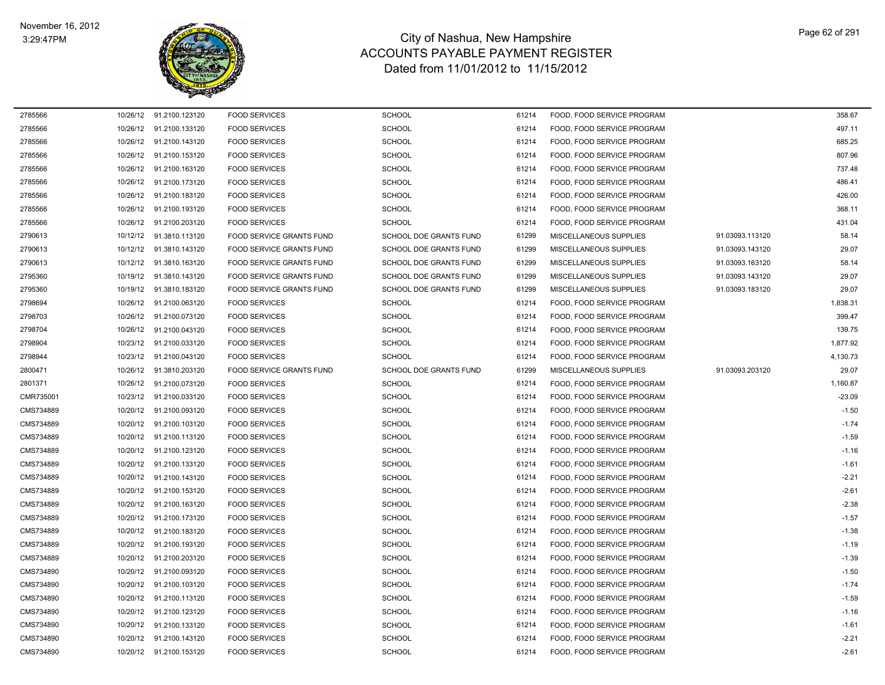

| 2785566   |          | 10/26/12 91.2100.123120  | <b>FOOD SERVICES</b>     | <b>SCHOOL</b>                 | 61214 | FOOD, FOOD SERVICE PROGRAM |                 | 358.67   |
|-----------|----------|--------------------------|--------------------------|-------------------------------|-------|----------------------------|-----------------|----------|
| 2785566   |          | 10/26/12 91.2100.133120  | <b>FOOD SERVICES</b>     | <b>SCHOOL</b>                 | 61214 | FOOD, FOOD SERVICE PROGRAM |                 | 497.11   |
| 2785566   |          | 10/26/12 91.2100.143120  | <b>FOOD SERVICES</b>     | <b>SCHOOL</b>                 | 61214 | FOOD, FOOD SERVICE PROGRAM |                 | 685.25   |
| 2785566   |          | 10/26/12 91.2100.153120  | <b>FOOD SERVICES</b>     | <b>SCHOOL</b>                 | 61214 | FOOD, FOOD SERVICE PROGRAM |                 | 807.96   |
| 2785566   | 10/26/12 | 91.2100.163120           | <b>FOOD SERVICES</b>     | <b>SCHOOL</b>                 | 61214 | FOOD. FOOD SERVICE PROGRAM |                 | 737.48   |
| 2785566   |          | 10/26/12 91.2100.173120  | <b>FOOD SERVICES</b>     | <b>SCHOOL</b>                 | 61214 | FOOD, FOOD SERVICE PROGRAM |                 | 486.41   |
| 2785566   | 10/26/12 | 91.2100.183120           | <b>FOOD SERVICES</b>     | <b>SCHOOL</b>                 | 61214 | FOOD, FOOD SERVICE PROGRAM |                 | 426.00   |
| 2785566   | 10/26/12 | 91.2100.193120           | <b>FOOD SERVICES</b>     | <b>SCHOOL</b>                 | 61214 | FOOD, FOOD SERVICE PROGRAM |                 | 368.11   |
| 2785566   |          | 10/26/12 91.2100.203120  | <b>FOOD SERVICES</b>     | <b>SCHOOL</b>                 | 61214 | FOOD. FOOD SERVICE PROGRAM |                 | 431.04   |
| 2790613   | 10/12/12 | 91.3810.113120           | FOOD SERVICE GRANTS FUND | SCHOOL DOE GRANTS FUND        | 61299 | MISCELLANEOUS SUPPLIES     | 91.03093.113120 | 58.14    |
| 2790613   | 10/12/12 | 91.3810.143120           | FOOD SERVICE GRANTS FUND | SCHOOL DOE GRANTS FUND        | 61299 | MISCELLANEOUS SUPPLIES     | 91.03093.143120 | 29.07    |
| 2790613   | 10/12/12 | 91.3810.163120           | FOOD SERVICE GRANTS FUND | <b>SCHOOL DOE GRANTS FUND</b> | 61299 | MISCELLANEOUS SUPPLIES     | 91.03093.163120 | 58.14    |
| 2795360   | 10/19/12 | 91.3810.143120           | FOOD SERVICE GRANTS FUND | SCHOOL DOE GRANTS FUND        | 61299 | MISCELLANEOUS SUPPLIES     | 91.03093.143120 | 29.07    |
| 2795360   |          | 10/19/12  91.3810.183120 | FOOD SERVICE GRANTS FUND | SCHOOL DOE GRANTS FUND        | 61299 | MISCELLANEOUS SUPPLIES     | 91.03093.183120 | 29.07    |
| 2798694   | 10/26/12 | 91.2100.063120           | <b>FOOD SERVICES</b>     | <b>SCHOOL</b>                 | 61214 | FOOD, FOOD SERVICE PROGRAM |                 | 1,838.31 |
| 2798703   | 10/26/12 | 91.2100.073120           | <b>FOOD SERVICES</b>     | <b>SCHOOL</b>                 | 61214 | FOOD, FOOD SERVICE PROGRAM |                 | 399.47   |
| 2798704   |          | 10/26/12 91.2100.043120  | <b>FOOD SERVICES</b>     | SCHOOL                        | 61214 | FOOD, FOOD SERVICE PROGRAM |                 | 139.75   |
| 2798904   | 10/23/12 | 91.2100.033120           | <b>FOOD SERVICES</b>     | <b>SCHOOL</b>                 | 61214 | FOOD, FOOD SERVICE PROGRAM |                 | 1,877.92 |
| 2798944   | 10/23/12 | 91.2100.043120           | <b>FOOD SERVICES</b>     | <b>SCHOOL</b>                 | 61214 | FOOD, FOOD SERVICE PROGRAM |                 | 4,130.73 |
| 2800471   |          | 10/26/12 91.3810.203120  | FOOD SERVICE GRANTS FUND | SCHOOL DOE GRANTS FUND        | 61299 | MISCELLANEOUS SUPPLIES     | 91.03093.203120 | 29.07    |
| 2801371   | 10/26/12 | 91.2100.073120           | <b>FOOD SERVICES</b>     | <b>SCHOOL</b>                 | 61214 | FOOD, FOOD SERVICE PROGRAM |                 | 1,160.87 |
| CMR735001 | 10/23/12 | 91.2100.033120           | <b>FOOD SERVICES</b>     | <b>SCHOOL</b>                 | 61214 | FOOD, FOOD SERVICE PROGRAM |                 | $-23.09$ |
| CMS734889 | 10/20/12 | 91.2100.093120           | <b>FOOD SERVICES</b>     | <b>SCHOOL</b>                 | 61214 | FOOD, FOOD SERVICE PROGRAM |                 | $-1.50$  |
| CMS734889 | 10/20/12 | 91.2100.103120           | <b>FOOD SERVICES</b>     | <b>SCHOOL</b>                 | 61214 | FOOD, FOOD SERVICE PROGRAM |                 | $-1.74$  |
| CMS734889 |          | 10/20/12 91.2100.113120  | <b>FOOD SERVICES</b>     | <b>SCHOOL</b>                 | 61214 | FOOD, FOOD SERVICE PROGRAM |                 | $-1.59$  |
| CMS734889 | 10/20/12 | 91.2100.123120           | <b>FOOD SERVICES</b>     | <b>SCHOOL</b>                 | 61214 | FOOD, FOOD SERVICE PROGRAM |                 | $-1.16$  |
| CMS734889 | 10/20/12 | 91.2100.133120           | <b>FOOD SERVICES</b>     | <b>SCHOOL</b>                 | 61214 | FOOD, FOOD SERVICE PROGRAM |                 | $-1.61$  |
| CMS734889 |          | 10/20/12 91.2100.143120  | <b>FOOD SERVICES</b>     | <b>SCHOOL</b>                 | 61214 | FOOD. FOOD SERVICE PROGRAM |                 | $-2.21$  |
| CMS734889 | 10/20/12 | 91.2100.153120           | <b>FOOD SERVICES</b>     | <b>SCHOOL</b>                 | 61214 | FOOD, FOOD SERVICE PROGRAM |                 | $-2.61$  |
| CMS734889 |          | 10/20/12 91.2100.163120  | <b>FOOD SERVICES</b>     | <b>SCHOOL</b>                 | 61214 | FOOD, FOOD SERVICE PROGRAM |                 | $-2.38$  |
| CMS734889 | 10/20/12 | 91.2100.173120           | <b>FOOD SERVICES</b>     | <b>SCHOOL</b>                 | 61214 | FOOD, FOOD SERVICE PROGRAM |                 | $-1.57$  |
| CMS734889 | 10/20/12 | 91.2100.183120           | <b>FOOD SERVICES</b>     | <b>SCHOOL</b>                 | 61214 | FOOD, FOOD SERVICE PROGRAM |                 | $-1.38$  |
| CMS734889 |          | 10/20/12 91.2100.193120  | <b>FOOD SERVICES</b>     | <b>SCHOOL</b>                 | 61214 | FOOD, FOOD SERVICE PROGRAM |                 | $-1.19$  |
| CMS734889 | 10/20/12 | 91.2100.203120           | <b>FOOD SERVICES</b>     | <b>SCHOOL</b>                 | 61214 | FOOD, FOOD SERVICE PROGRAM |                 | $-1.39$  |
| CMS734890 | 10/20/12 | 91.2100.093120           | <b>FOOD SERVICES</b>     | <b>SCHOOL</b>                 | 61214 | FOOD, FOOD SERVICE PROGRAM |                 | $-1.50$  |
| CMS734890 |          | 10/20/12 91.2100.103120  | <b>FOOD SERVICES</b>     | <b>SCHOOL</b>                 | 61214 | FOOD, FOOD SERVICE PROGRAM |                 | $-1.74$  |
| CMS734890 | 10/20/12 | 91.2100.113120           | <b>FOOD SERVICES</b>     | <b>SCHOOL</b>                 | 61214 | FOOD, FOOD SERVICE PROGRAM |                 | $-1.59$  |
| CMS734890 | 10/20/12 | 91.2100.123120           | <b>FOOD SERVICES</b>     | <b>SCHOOL</b>                 | 61214 | FOOD, FOOD SERVICE PROGRAM |                 | $-1.16$  |
| CMS734890 |          | 10/20/12 91.2100.133120  | <b>FOOD SERVICES</b>     | <b>SCHOOL</b>                 | 61214 | FOOD, FOOD SERVICE PROGRAM |                 | $-1.61$  |
| CMS734890 | 10/20/12 | 91.2100.143120           | <b>FOOD SERVICES</b>     | <b>SCHOOL</b>                 | 61214 | FOOD, FOOD SERVICE PROGRAM |                 | $-2.21$  |
| CMS734890 |          | 10/20/12 91.2100.153120  | <b>FOOD SERVICES</b>     | SCHOOL                        | 61214 | FOOD, FOOD SERVICE PROGRAM |                 | $-2.61$  |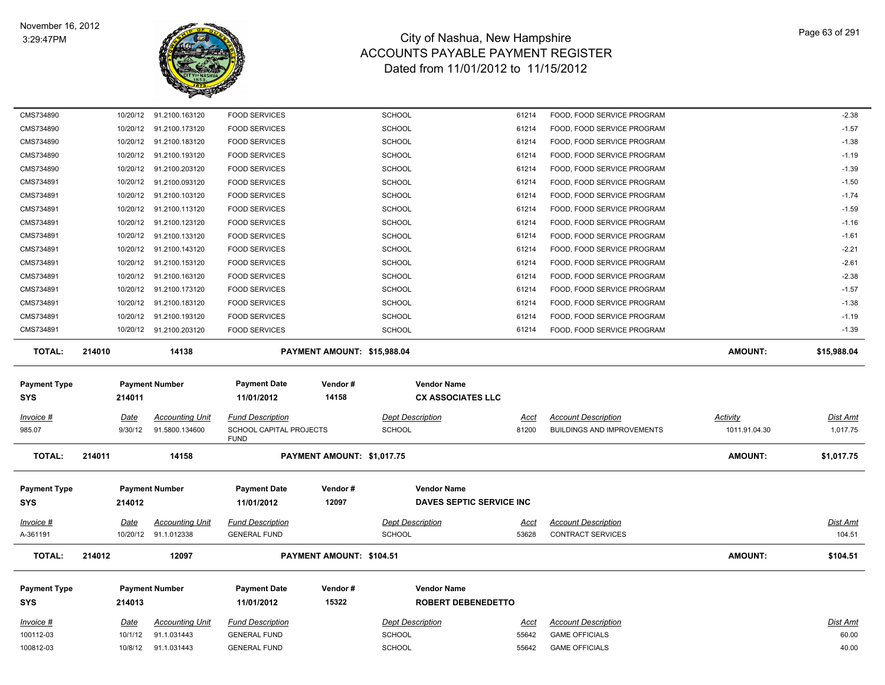

| CMS734890                |                        | 10/20/12 91.2100.163120                        | <b>FOOD SERVICES</b>                               |                                 | <b>SCHOOL</b>                            | 61214                    | FOOD, FOOD SERVICE PROGRAM                                      |                           | $-2.38$                   |
|--------------------------|------------------------|------------------------------------------------|----------------------------------------------------|---------------------------------|------------------------------------------|--------------------------|-----------------------------------------------------------------|---------------------------|---------------------------|
| CMS734890                |                        | 10/20/12 91.2100.173120                        | <b>FOOD SERVICES</b>                               |                                 | <b>SCHOOL</b>                            | 61214                    | FOOD, FOOD SERVICE PROGRAM                                      |                           | $-1.57$                   |
| CMS734890                |                        | 10/20/12 91.2100.183120                        | <b>FOOD SERVICES</b>                               |                                 | <b>SCHOOL</b>                            | 61214                    | FOOD, FOOD SERVICE PROGRAM                                      |                           | $-1.38$                   |
| CMS734890                | 10/20/12               | 91.2100.193120                                 | <b>FOOD SERVICES</b>                               |                                 | <b>SCHOOL</b>                            | 61214                    | FOOD, FOOD SERVICE PROGRAM                                      |                           | $-1.19$                   |
| CMS734890                |                        | 10/20/12 91.2100.203120                        | <b>FOOD SERVICES</b>                               |                                 | <b>SCHOOL</b>                            | 61214                    | FOOD, FOOD SERVICE PROGRAM                                      |                           | $-1.39$                   |
| CMS734891                |                        | 10/20/12 91.2100.093120                        | <b>FOOD SERVICES</b>                               |                                 | SCHOOL                                   | 61214                    | FOOD, FOOD SERVICE PROGRAM                                      |                           | $-1.50$                   |
| CMS734891                | 10/20/12               | 91.2100.103120                                 | <b>FOOD SERVICES</b>                               |                                 | <b>SCHOOL</b>                            | 61214                    | FOOD, FOOD SERVICE PROGRAM                                      |                           | $-1.74$                   |
| CMS734891                |                        | 10/20/12 91.2100.113120                        | <b>FOOD SERVICES</b>                               |                                 | <b>SCHOOL</b>                            | 61214                    | FOOD, FOOD SERVICE PROGRAM                                      |                           | $-1.59$                   |
| CMS734891                |                        | 10/20/12 91.2100.123120                        | <b>FOOD SERVICES</b>                               |                                 | <b>SCHOOL</b>                            | 61214                    | FOOD, FOOD SERVICE PROGRAM                                      |                           | $-1.16$                   |
| CMS734891                |                        | 10/20/12 91.2100.133120                        | <b>FOOD SERVICES</b>                               |                                 | SCHOOL                                   | 61214                    | FOOD, FOOD SERVICE PROGRAM                                      |                           | $-1.61$                   |
| CMS734891                | 10/20/12               | 91.2100.143120                                 | <b>FOOD SERVICES</b>                               |                                 | SCHOOL                                   | 61214                    | FOOD, FOOD SERVICE PROGRAM                                      |                           | $-2.21$                   |
| CMS734891                |                        | 10/20/12 91.2100.153120                        | <b>FOOD SERVICES</b>                               |                                 | <b>SCHOOL</b>                            | 61214                    | FOOD, FOOD SERVICE PROGRAM                                      |                           | $-2.61$                   |
| CMS734891                |                        | 10/20/12 91.2100.163120                        | <b>FOOD SERVICES</b>                               |                                 | <b>SCHOOL</b>                            | 61214                    | FOOD, FOOD SERVICE PROGRAM                                      |                           | $-2.38$                   |
| CMS734891                |                        | 10/20/12 91.2100.173120                        | <b>FOOD SERVICES</b>                               |                                 | <b>SCHOOL</b>                            | 61214                    | FOOD, FOOD SERVICE PROGRAM                                      |                           | $-1.57$                   |
| CMS734891                |                        | 10/20/12 91.2100.183120                        | <b>FOOD SERVICES</b>                               |                                 | <b>SCHOOL</b>                            | 61214                    | FOOD, FOOD SERVICE PROGRAM                                      |                           | $-1.38$                   |
| CMS734891                | 10/20/12               | 91.2100.193120                                 | <b>FOOD SERVICES</b>                               |                                 | SCHOOL                                   | 61214                    | FOOD, FOOD SERVICE PROGRAM                                      |                           | $-1.19$                   |
| CMS734891                |                        | 10/20/12 91.2100.203120                        | <b>FOOD SERVICES</b>                               |                                 | SCHOOL                                   | 61214                    | FOOD, FOOD SERVICE PROGRAM                                      |                           | $-1.39$                   |
| <b>TOTAL:</b>            | 214010                 | 14138                                          |                                                    | PAYMENT AMOUNT: \$15,988.04     |                                          |                          |                                                                 | <b>AMOUNT:</b>            | \$15,988.04               |
| <b>Payment Type</b>      |                        | <b>Payment Number</b>                          | <b>Payment Date</b>                                | Vendor#                         | <b>Vendor Name</b>                       |                          |                                                                 |                           |                           |
| <b>SYS</b>               | 214011                 |                                                | 11/01/2012                                         | 14158                           | <b>CX ASSOCIATES LLC</b>                 |                          |                                                                 |                           |                           |
|                          |                        |                                                |                                                    |                                 |                                          |                          |                                                                 |                           |                           |
| Invoice #<br>985.07      | Date<br>9/30/12        | <b>Accounting Unit</b><br>91.5800.134600       | <b>Fund Description</b><br>SCHOOL CAPITAL PROJECTS |                                 | <b>Dept Description</b><br><b>SCHOOL</b> | Acct<br>81200            | <b>Account Description</b><br><b>BUILDINGS AND IMPROVEMENTS</b> | Activity<br>1011.91.04.30 | Dist Amt<br>1,017.75      |
|                          |                        |                                                | <b>FUND</b>                                        |                                 |                                          |                          |                                                                 |                           |                           |
| <b>TOTAL:</b>            | 214011                 | 14158                                          |                                                    | PAYMENT AMOUNT: \$1,017.75      |                                          |                          |                                                                 | <b>AMOUNT:</b>            | \$1,017.75                |
| <b>Payment Type</b>      |                        | <b>Payment Number</b>                          | <b>Payment Date</b>                                | Vendor#                         | <b>Vendor Name</b>                       |                          |                                                                 |                           |                           |
| SYS                      | 214012                 |                                                | 11/01/2012                                         | 12097                           |                                          | DAVES SEPTIC SERVICE INC |                                                                 |                           |                           |
|                          |                        |                                                |                                                    |                                 |                                          |                          |                                                                 |                           |                           |
| Invoice #<br>A-361191    | <u>Date</u>            | <b>Accounting Unit</b><br>10/20/12 91.1.012338 | <b>Fund Description</b><br><b>GENERAL FUND</b>     |                                 | <b>Dept Description</b><br><b>SCHOOL</b> | <u>Acct</u><br>53628     | <b>Account Description</b><br><b>CONTRACT SERVICES</b>          |                           | <u>Dist Amt</u><br>104.51 |
|                          |                        |                                                |                                                    |                                 |                                          |                          |                                                                 |                           |                           |
| <b>TOTAL:</b>            | 214012                 | 12097                                          |                                                    | <b>PAYMENT AMOUNT: \$104.51</b> |                                          |                          |                                                                 | <b>AMOUNT:</b>            | \$104.51                  |
| <b>Payment Type</b>      |                        | <b>Payment Number</b>                          | <b>Payment Date</b>                                | Vendor#                         | <b>Vendor Name</b>                       |                          |                                                                 |                           |                           |
| <b>SYS</b>               |                        |                                                |                                                    |                                 |                                          |                          |                                                                 |                           |                           |
|                          | 214013                 |                                                | 11/01/2012                                         | 15322                           | <b>ROBERT DEBENEDETTO</b>                |                          |                                                                 |                           |                           |
|                          |                        |                                                |                                                    |                                 |                                          |                          |                                                                 |                           |                           |
| $Invoice$ #<br>100112-03 | <b>Date</b><br>10/1/12 | Accounting Unit<br>91.1.031443                 | <b>Fund Description</b><br><b>GENERAL FUND</b>     |                                 | <b>Dept Description</b>                  | <u>Acct</u><br>55642     | <b>Account Description</b><br><b>GAME OFFICIALS</b>             |                           | Dist Amt<br>60.00         |
| 100812-03                | 10/8/12                | 91.1.031443                                    | <b>GENERAL FUND</b>                                |                                 | <b>SCHOOL</b><br>SCHOOL                  | 55642                    | <b>GAME OFFICIALS</b>                                           |                           | 40.00                     |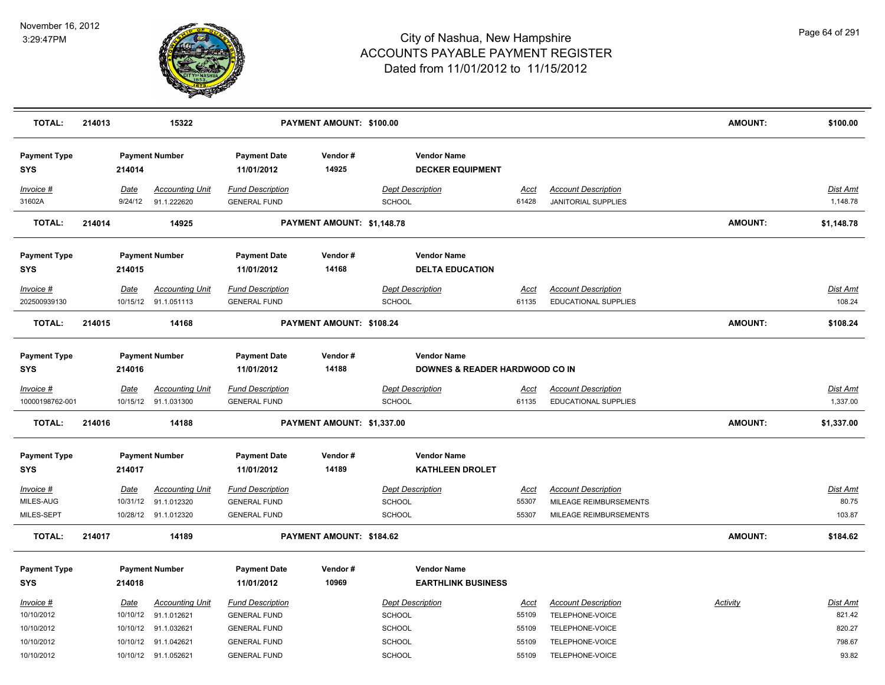

| <b>TOTAL:</b>                        | 214013 |                 | 15322                                                                  |                                                                       | PAYMENT AMOUNT: \$100.00   |                                                           |                               |                                                                                | AMOUNT:         | \$100.00                    |
|--------------------------------------|--------|-----------------|------------------------------------------------------------------------|-----------------------------------------------------------------------|----------------------------|-----------------------------------------------------------|-------------------------------|--------------------------------------------------------------------------------|-----------------|-----------------------------|
| <b>Payment Type</b><br><b>SYS</b>    |        | 214014          | <b>Payment Number</b>                                                  | <b>Payment Date</b><br>11/01/2012                                     | Vendor#<br>14925           | <b>Vendor Name</b><br><b>DECKER EQUIPMENT</b>             |                               |                                                                                |                 |                             |
| Invoice #<br>31602A                  |        | Date<br>9/24/12 | <b>Accounting Unit</b><br>91.1.222620                                  | <b>Fund Description</b><br><b>GENERAL FUND</b>                        |                            | <b>Dept Description</b><br><b>SCHOOL</b>                  | Acct<br>61428                 | <b>Account Description</b><br>JANITORIAL SUPPLIES                              |                 | Dist Amt<br>1,148.78        |
| <b>TOTAL:</b>                        | 214014 |                 | 14925                                                                  |                                                                       | PAYMENT AMOUNT: \$1,148.78 |                                                           |                               |                                                                                | AMOUNT:         | \$1,148.78                  |
| <b>Payment Type</b><br><b>SYS</b>    |        | 214015          | <b>Payment Number</b>                                                  | <b>Payment Date</b><br>11/01/2012                                     | Vendor#<br>14168           | <b>Vendor Name</b><br><b>DELTA EDUCATION</b>              |                               |                                                                                |                 |                             |
| Invoice #                            |        | Date            | <b>Accounting Unit</b>                                                 | <b>Fund Description</b>                                               |                            | <b>Dept Description</b>                                   | Acct                          | <b>Account Description</b>                                                     |                 | Dist Amt                    |
| 202500939130                         |        |                 | 10/15/12 91.1.051113                                                   | <b>GENERAL FUND</b>                                                   |                            | <b>SCHOOL</b>                                             | 61135                         | EDUCATIONAL SUPPLIES                                                           |                 | 108.24                      |
| <b>TOTAL:</b>                        | 214015 |                 | 14168                                                                  |                                                                       | PAYMENT AMOUNT: \$108.24   |                                                           |                               |                                                                                | <b>AMOUNT:</b>  | \$108.24                    |
| <b>Payment Type</b><br><b>SYS</b>    |        | 214016          | <b>Payment Number</b>                                                  | <b>Payment Date</b><br>11/01/2012                                     | Vendor#<br>14188           | <b>Vendor Name</b><br>DOWNES & READER HARDWOOD CO IN      |                               |                                                                                |                 |                             |
| Invoice #<br>10000198762-001         |        | <u>Date</u>     | <b>Accounting Unit</b><br>10/15/12 91.1.031300                         | <b>Fund Description</b><br><b>GENERAL FUND</b>                        |                            | <b>Dept Description</b><br><b>SCHOOL</b>                  | <u>Acct</u><br>61135          | <b>Account Description</b><br>EDUCATIONAL SUPPLIES                             |                 | Dist Amt<br>1,337.00        |
| <b>TOTAL:</b>                        | 214016 |                 | 14188                                                                  |                                                                       | PAYMENT AMOUNT: \$1,337.00 |                                                           |                               |                                                                                | AMOUNT:         | \$1,337.00                  |
| <b>Payment Type</b><br><b>SYS</b>    |        | 214017          | <b>Payment Number</b>                                                  | <b>Payment Date</b><br>11/01/2012                                     | Vendor#<br>14189           | <b>Vendor Name</b><br><b>KATHLEEN DROLET</b>              |                               |                                                                                |                 |                             |
| Invoice #<br>MILES-AUG<br>MILES-SEPT |        | Date            | <b>Accounting Unit</b><br>10/31/12 91.1.012320<br>10/28/12 91.1.012320 | <b>Fund Description</b><br><b>GENERAL FUND</b><br><b>GENERAL FUND</b> |                            | <b>Dept Description</b><br><b>SCHOOL</b><br><b>SCHOOL</b> | <u>Acct</u><br>55307<br>55307 | <b>Account Description</b><br>MILEAGE REIMBURSEMENTS<br>MILEAGE REIMBURSEMENTS |                 | Dist Amt<br>80.75<br>103.87 |
| <b>TOTAL:</b>                        | 214017 |                 | 14189                                                                  |                                                                       | PAYMENT AMOUNT: \$184.62   |                                                           |                               |                                                                                | <b>AMOUNT:</b>  | \$184.62                    |
| <b>Payment Type</b><br><b>SYS</b>    |        | 214018          | <b>Payment Number</b>                                                  | <b>Payment Date</b><br>11/01/2012                                     | Vendor#<br>10969           | <b>Vendor Name</b><br><b>EARTHLINK BUSINESS</b>           |                               |                                                                                |                 |                             |
| Invoice #<br>10/10/2012              |        | Date            | <b>Accounting Unit</b><br>10/10/12 91.1.012621                         | <b>Fund Description</b><br><b>GENERAL FUND</b>                        |                            | <b>Dept Description</b><br><b>SCHOOL</b>                  | <u>Acct</u><br>55109          | <b>Account Description</b><br>TELEPHONE-VOICE                                  | <b>Activity</b> | Dist Amt<br>821.42          |
| 10/10/2012                           |        |                 | 10/10/12 91.1.032621                                                   | <b>GENERAL FUND</b>                                                   |                            | <b>SCHOOL</b>                                             | 55109                         | TELEPHONE-VOICE                                                                |                 | 820.27                      |
| 10/10/2012                           |        |                 | 10/10/12 91.1.042621                                                   | <b>GENERAL FUND</b>                                                   |                            | <b>SCHOOL</b>                                             | 55109                         | TELEPHONE-VOICE                                                                |                 | 798.67                      |
| 10/10/2012                           |        |                 | 10/10/12 91.1.052621                                                   | <b>GENERAL FUND</b>                                                   |                            | <b>SCHOOL</b>                                             | 55109                         | TELEPHONE-VOICE                                                                |                 | 93.82                       |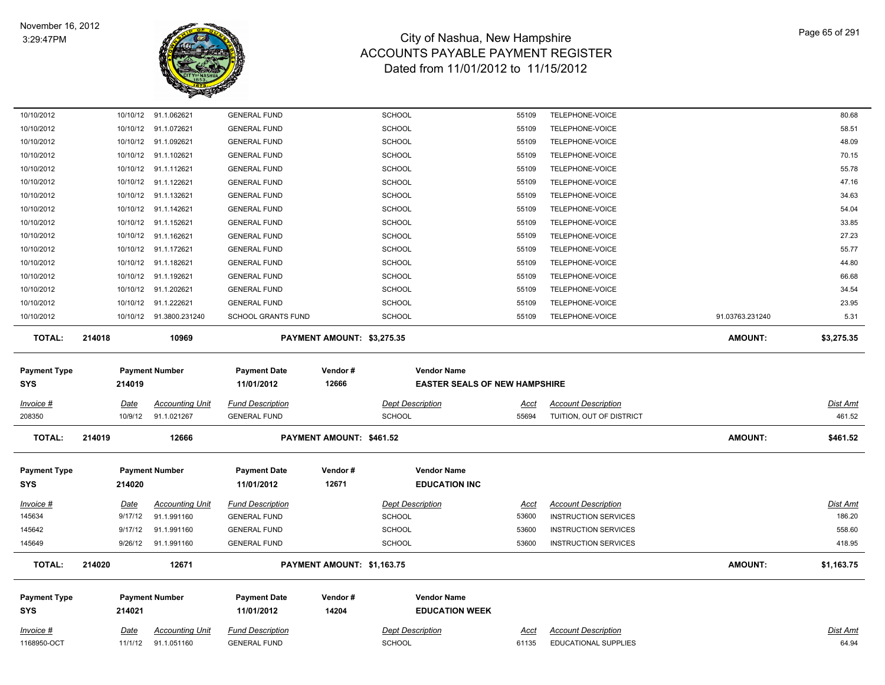

| 10/10/2012          |                        | 10/10/12 91.1.062621                  | <b>GENERAL FUND</b>                            |                            | <b>SCHOOL</b>                        | 55109                | TELEPHONE-VOICE                                           |                 | 80.68                    |
|---------------------|------------------------|---------------------------------------|------------------------------------------------|----------------------------|--------------------------------------|----------------------|-----------------------------------------------------------|-----------------|--------------------------|
| 10/10/2012          |                        | 10/10/12 91.1.072621                  | <b>GENERAL FUND</b>                            |                            | <b>SCHOOL</b>                        | 55109                | TELEPHONE-VOICE                                           |                 | 58.51                    |
| 10/10/2012          |                        | 10/10/12 91.1.092621                  | <b>GENERAL FUND</b>                            |                            | <b>SCHOOL</b>                        | 55109                | TELEPHONE-VOICE                                           |                 | 48.09                    |
| 10/10/2012          |                        | 10/10/12 91.1.102621                  | <b>GENERAL FUND</b>                            |                            | SCHOOL                               | 55109                | TELEPHONE-VOICE                                           |                 | 70.15                    |
| 10/10/2012          | 10/10/12               | 91.1.112621                           | <b>GENERAL FUND</b>                            |                            | <b>SCHOOL</b>                        | 55109                | TELEPHONE-VOICE                                           |                 | 55.78                    |
| 10/10/2012          | 10/10/12               | 91.1.122621                           | <b>GENERAL FUND</b>                            |                            | SCHOOL                               | 55109                | TELEPHONE-VOICE                                           |                 | 47.16                    |
| 10/10/2012          |                        | 10/10/12 91.1.132621                  | <b>GENERAL FUND</b>                            |                            | SCHOOL                               | 55109                | TELEPHONE-VOICE                                           |                 | 34.63                    |
| 10/10/2012          |                        | 10/10/12 91.1.142621                  | <b>GENERAL FUND</b>                            |                            | SCHOOL                               | 55109                | TELEPHONE-VOICE                                           |                 | 54.04                    |
| 10/10/2012          |                        | 10/10/12 91.1.152621                  | <b>GENERAL FUND</b>                            |                            | SCHOOL                               | 55109                | TELEPHONE-VOICE                                           |                 | 33.85                    |
| 10/10/2012          |                        | 10/10/12 91.1.162621                  | <b>GENERAL FUND</b>                            |                            | SCHOOL                               | 55109                | TELEPHONE-VOICE                                           |                 | 27.23                    |
| 10/10/2012          |                        | 10/10/12 91.1.172621                  | <b>GENERAL FUND</b>                            |                            | <b>SCHOOL</b>                        | 55109                | TELEPHONE-VOICE                                           |                 | 55.77                    |
| 10/10/2012          | 10/10/12               | 91.1.182621                           | <b>GENERAL FUND</b>                            |                            | SCHOOL                               | 55109                | TELEPHONE-VOICE                                           |                 | 44.80                    |
| 10/10/2012          | 10/10/12               | 91.1.192621                           | <b>GENERAL FUND</b>                            |                            | <b>SCHOOL</b>                        | 55109                | TELEPHONE-VOICE                                           |                 | 66.68                    |
| 10/10/2012          |                        | 10/10/12 91.1.202621                  | <b>GENERAL FUND</b>                            |                            | SCHOOL                               | 55109                | TELEPHONE-VOICE                                           |                 | 34.54                    |
| 10/10/2012          | 10/10/12               | 91.1.222621                           | <b>GENERAL FUND</b>                            |                            | <b>SCHOOL</b>                        | 55109                | TELEPHONE-VOICE                                           |                 | 23.95                    |
| 10/10/2012          |                        | 10/10/12 91.3800.231240               | <b>SCHOOL GRANTS FUND</b>                      |                            | <b>SCHOOL</b>                        | 55109                | TELEPHONE-VOICE                                           | 91.03763.231240 | 5.31                     |
| <b>TOTAL:</b>       | 214018                 | 10969                                 |                                                | PAYMENT AMOUNT: \$3,275.35 |                                      |                      |                                                           | <b>AMOUNT:</b>  | \$3,275.35               |
| <b>Payment Type</b> |                        | <b>Payment Number</b>                 | <b>Payment Date</b>                            | Vendor#                    | <b>Vendor Name</b>                   |                      |                                                           |                 |                          |
| <b>SYS</b>          | 214019                 |                                       | 11/01/2012                                     | 12666                      | <b>EASTER SEALS OF NEW HAMPSHIRE</b> |                      |                                                           |                 |                          |
| Invoice #           | <b>Date</b>            | <b>Accounting Unit</b>                | <b>Fund Description</b>                        |                            | <b>Dept Description</b>              | <u>Acct</u>          | <b>Account Description</b>                                |                 | <b>Dist Amt</b>          |
| 208350              | 10/9/12                | 91.1.021267                           | <b>GENERAL FUND</b>                            |                            | <b>SCHOOL</b>                        | 55694                | TUITION, OUT OF DISTRICT                                  |                 | 461.52                   |
| <b>TOTAL:</b>       | 214019                 | 12666                                 |                                                | PAYMENT AMOUNT: \$461.52   |                                      |                      |                                                           | <b>AMOUNT:</b>  | \$461.52                 |
| <b>Payment Type</b> |                        | <b>Payment Number</b>                 | <b>Payment Date</b>                            | Vendor#                    | <b>Vendor Name</b>                   |                      |                                                           |                 |                          |
| SYS                 | 214020                 |                                       | 11/01/2012                                     | 12671                      | <b>EDUCATION INC</b>                 |                      |                                                           |                 |                          |
| <u> Invoice #</u>   | <b>Date</b>            | <b>Accounting Unit</b>                | <b>Fund Description</b>                        |                            | <b>Dept Description</b>              | <u>Acct</u>          | <b>Account Description</b>                                |                 | <b>Dist Amt</b>          |
| 145634              | 9/17/12                | 91.1.991160                           | <b>GENERAL FUND</b>                            |                            | <b>SCHOOL</b>                        | 53600                | <b>INSTRUCTION SERVICES</b>                               |                 | 186.20                   |
| 145642              | 9/17/12                | 91.1.991160                           | <b>GENERAL FUND</b>                            |                            | SCHOOL                               | 53600                | <b>INSTRUCTION SERVICES</b>                               |                 | 558.60                   |
| 145649              |                        | 9/26/12 91.1.991160                   | <b>GENERAL FUND</b>                            |                            | <b>SCHOOL</b>                        | 53600                | <b>INSTRUCTION SERVICES</b>                               |                 | 418.95                   |
| <b>TOTAL:</b>       | 214020                 | 12671                                 |                                                | PAYMENT AMOUNT: \$1,163.75 |                                      |                      |                                                           | <b>AMOUNT:</b>  | \$1,163.75               |
| <b>Payment Type</b> |                        | <b>Payment Number</b>                 | <b>Payment Date</b>                            | Vendor#                    | <b>Vendor Name</b>                   |                      |                                                           |                 |                          |
| <b>SYS</b>          | 214021                 |                                       | 11/01/2012                                     | 14204                      | <b>EDUCATION WEEK</b>                |                      |                                                           |                 |                          |
|                     |                        |                                       |                                                |                            |                                      |                      |                                                           |                 |                          |
| <u>Invoice #</u>    | <u>Date</u><br>11/1/12 | <b>Accounting Unit</b><br>91.1.051160 | <b>Fund Description</b><br><b>GENERAL FUND</b> |                            | <b>Dept Description</b><br>SCHOOL    | <u>Acct</u><br>61135 | <b>Account Description</b><br><b>EDUCATIONAL SUPPLIES</b> |                 | <u>Dist Amt</u><br>64.94 |
| 1168950-OCT         |                        |                                       |                                                |                            |                                      |                      |                                                           |                 |                          |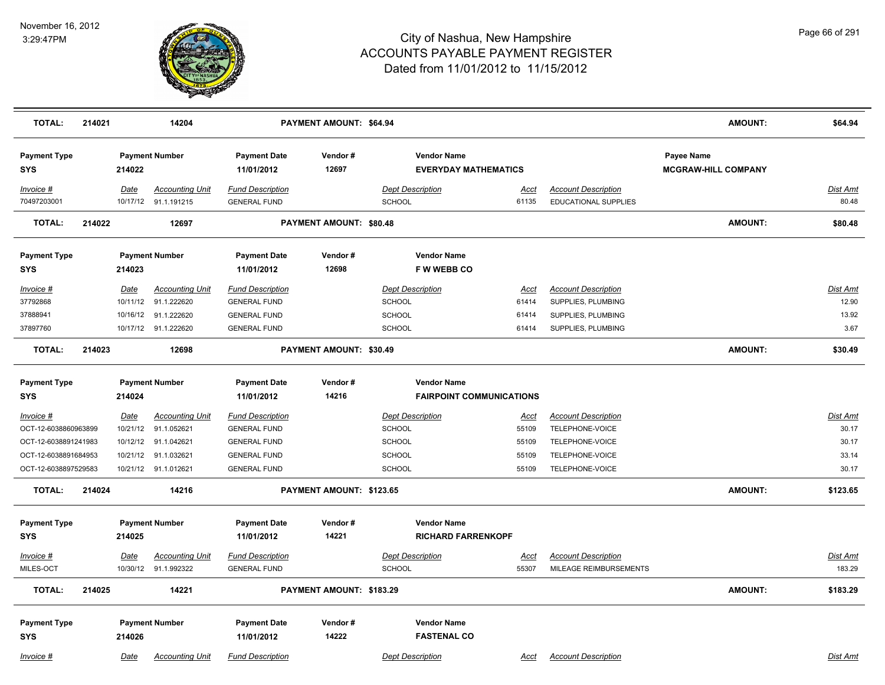

| <b>TOTAL:</b>                     | 214021 |             | 14204                                          |                                                | PAYMENT AMOUNT: \$64.94  |                                                   |               |                                                    | <b>AMOUNT:</b>                           | \$64.94                  |
|-----------------------------------|--------|-------------|------------------------------------------------|------------------------------------------------|--------------------------|---------------------------------------------------|---------------|----------------------------------------------------|------------------------------------------|--------------------------|
| <b>Payment Type</b><br><b>SYS</b> |        | 214022      | <b>Payment Number</b>                          | <b>Payment Date</b><br>11/01/2012              | Vendor#<br>12697         | <b>Vendor Name</b><br><b>EVERYDAY MATHEMATICS</b> |               |                                                    | Payee Name<br><b>MCGRAW-HILL COMPANY</b> |                          |
| Invoice #<br>70497203001          |        | Date        | <b>Accounting Unit</b><br>10/17/12 91.1.191215 | <b>Fund Description</b><br><b>GENERAL FUND</b> |                          | <b>Dept Description</b><br>SCHOOL                 | Acct<br>61135 | <b>Account Description</b><br>EDUCATIONAL SUPPLIES |                                          | <b>Dist Amt</b><br>80.48 |
| <b>TOTAL:</b>                     | 214022 |             | 12697                                          |                                                | PAYMENT AMOUNT: \$80.48  |                                                   |               |                                                    | <b>AMOUNT:</b>                           | \$80.48                  |
| <b>Payment Type</b><br><b>SYS</b> |        | 214023      | <b>Payment Number</b>                          | <b>Payment Date</b><br>11/01/2012              | Vendor#<br>12698         | <b>Vendor Name</b><br><b>FWWEBBCO</b>             |               |                                                    |                                          |                          |
| Invoice #                         |        | Date        | <b>Accounting Unit</b>                         | <b>Fund Description</b>                        |                          | <b>Dept Description</b>                           | <b>Acct</b>   | <b>Account Description</b>                         |                                          | <b>Dist Amt</b>          |
| 37792868                          |        | 10/11/12    | 91.1.222620                                    | <b>GENERAL FUND</b>                            |                          | <b>SCHOOL</b>                                     | 61414         | SUPPLIES, PLUMBING                                 |                                          | 12.90                    |
| 37888941                          |        | 10/16/12    | 91.1.222620                                    | <b>GENERAL FUND</b>                            |                          | <b>SCHOOL</b>                                     | 61414         | SUPPLIES, PLUMBING                                 |                                          | 13.92                    |
| 37897760                          |        |             | 10/17/12 91.1.222620                           | <b>GENERAL FUND</b>                            |                          | <b>SCHOOL</b>                                     | 61414         | SUPPLIES, PLUMBING                                 |                                          | 3.67                     |
| <b>TOTAL:</b>                     | 214023 |             | 12698                                          |                                                | PAYMENT AMOUNT: \$30.49  |                                                   |               |                                                    | <b>AMOUNT:</b>                           | \$30.49                  |
| <b>Payment Type</b>               |        |             | <b>Payment Number</b>                          | <b>Payment Date</b>                            | Vendor#                  | <b>Vendor Name</b>                                |               |                                                    |                                          |                          |
| SYS                               |        | 214024      |                                                | 11/01/2012                                     | 14216                    | <b>FAIRPOINT COMMUNICATIONS</b>                   |               |                                                    |                                          |                          |
| Invoice #                         |        | <b>Date</b> | <b>Accounting Unit</b>                         | <b>Fund Description</b>                        |                          | <b>Dept Description</b>                           | <u>Acct</u>   | <b>Account Description</b>                         |                                          | <b>Dist Amt</b>          |
| OCT-12-6038860963899              |        | 10/21/12    | 91.1.052621                                    | <b>GENERAL FUND</b>                            |                          | <b>SCHOOL</b>                                     | 55109         | TELEPHONE-VOICE                                    |                                          | 30.17                    |
| OCT-12-6038891241983              |        |             | 10/12/12 91.1.042621                           | <b>GENERAL FUND</b>                            |                          | <b>SCHOOL</b>                                     | 55109         | TELEPHONE-VOICE                                    |                                          | 30.17                    |
| OCT-12-6038891684953              |        | 10/21/12    | 91.1.032621                                    | <b>GENERAL FUND</b>                            |                          | <b>SCHOOL</b>                                     | 55109         | TELEPHONE-VOICE                                    |                                          | 33.14                    |
| OCT-12-6038897529583              |        |             | 10/21/12 91.1.012621                           | <b>GENERAL FUND</b>                            |                          | <b>SCHOOL</b>                                     | 55109         | TELEPHONE-VOICE                                    |                                          | 30.17                    |
| <b>TOTAL:</b>                     | 214024 |             | 14216                                          |                                                | PAYMENT AMOUNT: \$123.65 |                                                   |               |                                                    | <b>AMOUNT:</b>                           | \$123.65                 |
| <b>Payment Type</b>               |        |             | <b>Payment Number</b>                          | <b>Payment Date</b>                            | Vendor#                  | <b>Vendor Name</b>                                |               |                                                    |                                          |                          |
| <b>SYS</b>                        |        | 214025      |                                                | 11/01/2012                                     | 14221                    | <b>RICHARD FARRENKOPF</b>                         |               |                                                    |                                          |                          |
| Invoice #                         |        | Date        | <b>Accounting Unit</b>                         | <b>Fund Description</b>                        |                          | <b>Dept Description</b>                           | Acct          | <b>Account Description</b>                         |                                          | Dist Amt                 |
| MILES-OCT                         |        |             | 10/30/12 91.1.992322                           | <b>GENERAL FUND</b>                            |                          | SCHOOL                                            | 55307         | MILEAGE REIMBURSEMENTS                             |                                          | 183.29                   |
| <b>TOTAL:</b>                     | 214025 |             | 14221                                          |                                                | PAYMENT AMOUNT: \$183.29 |                                                   |               |                                                    | <b>AMOUNT:</b>                           | \$183.29                 |
| <b>Payment Type</b>               |        |             | <b>Payment Number</b>                          | <b>Payment Date</b>                            | Vendor#                  | <b>Vendor Name</b>                                |               |                                                    |                                          |                          |
| SYS                               |        | 214026      |                                                | 11/01/2012                                     | 14222                    | <b>FASTENAL CO</b>                                |               |                                                    |                                          |                          |
| Invoice #                         |        | Date        | <b>Accounting Unit</b>                         | <b>Fund Description</b>                        |                          | <b>Dept Description</b>                           | Acct          | <b>Account Description</b>                         |                                          | Dist Amt                 |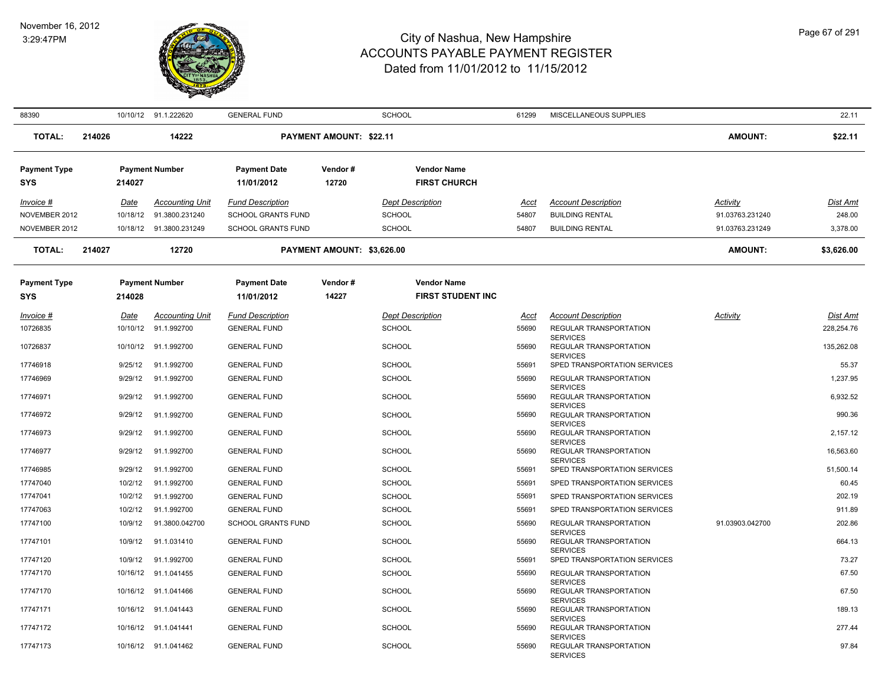

| 88390               |        |          | 10/10/12 91.1.222620    | <b>GENERAL FUND</b>       |                                | <b>SCHOOL</b>            | 61299       | MISCELLANEOUS SUPPLIES                                       |                 | 22.11           |
|---------------------|--------|----------|-------------------------|---------------------------|--------------------------------|--------------------------|-------------|--------------------------------------------------------------|-----------------|-----------------|
| <b>TOTAL:</b>       | 214026 |          | 14222                   |                           | <b>PAYMENT AMOUNT: \$22.11</b> |                          |             |                                                              | <b>AMOUNT:</b>  | \$22.11         |
| <b>Payment Type</b> |        |          | <b>Payment Number</b>   | <b>Payment Date</b>       | Vendor#                        | <b>Vendor Name</b>       |             |                                                              |                 |                 |
| SYS                 |        | 214027   |                         | 11/01/2012                | 12720                          | <b>FIRST CHURCH</b>      |             |                                                              |                 |                 |
| Invoice #           |        | Date     | <b>Accounting Unit</b>  | <b>Fund Description</b>   |                                | <b>Dept Description</b>  | Acct        | <b>Account Description</b>                                   | Activity        | Dist Amt        |
| NOVEMBER 2012       |        | 10/18/12 | 91.3800.231240          | SCHOOL GRANTS FUND        |                                | SCHOOL                   | 54807       | <b>BUILDING RENTAL</b>                                       | 91.03763.231240 | 248.00          |
| NOVEMBER 2012       |        |          | 10/18/12 91.3800.231249 | <b>SCHOOL GRANTS FUND</b> |                                | <b>SCHOOL</b>            | 54807       | <b>BUILDING RENTAL</b>                                       | 91.03763.231249 | 3,378.00        |
| <b>TOTAL:</b>       | 214027 |          | 12720                   |                           | PAYMENT AMOUNT: \$3,626.00     |                          |             |                                                              | <b>AMOUNT:</b>  | \$3,626.00      |
| <b>Payment Type</b> |        |          | <b>Payment Number</b>   | <b>Payment Date</b>       | Vendor#                        | <b>Vendor Name</b>       |             |                                                              |                 |                 |
| <b>SYS</b>          |        | 214028   |                         | 11/01/2012                | 14227                          | <b>FIRST STUDENT INC</b> |             |                                                              |                 |                 |
| Invoice #           |        | Date     | <b>Accounting Unit</b>  | <b>Fund Description</b>   |                                | <b>Dept Description</b>  | <u>Acct</u> | <b>Account Description</b>                                   | Activity        | <b>Dist Amt</b> |
| 10726835            |        |          | 10/10/12 91.1.992700    | <b>GENERAL FUND</b>       |                                | <b>SCHOOL</b>            | 55690       | REGULAR TRANSPORTATION                                       |                 | 228,254.76      |
| 10726837            |        | 10/10/12 | 91.1.992700             | <b>GENERAL FUND</b>       |                                | <b>SCHOOL</b>            | 55690       | <b>SERVICES</b><br>REGULAR TRANSPORTATION<br><b>SERVICES</b> |                 | 135,262.08      |
| 17746918            |        | 9/25/12  | 91.1.992700             | <b>GENERAL FUND</b>       |                                | <b>SCHOOL</b>            | 55691       | SPED TRANSPORTATION SERVICES                                 |                 | 55.37           |
| 17746969            |        | 9/29/12  | 91.1.992700             | <b>GENERAL FUND</b>       |                                | <b>SCHOOL</b>            | 55690       | REGULAR TRANSPORTATION<br><b>SERVICES</b>                    |                 | 1,237.95        |
| 17746971            |        | 9/29/12  | 91.1.992700             | <b>GENERAL FUND</b>       |                                | <b>SCHOOL</b>            | 55690       | REGULAR TRANSPORTATION<br><b>SERVICES</b>                    |                 | 6,932.52        |
| 17746972            |        | 9/29/12  | 91.1.992700             | <b>GENERAL FUND</b>       |                                | <b>SCHOOL</b>            | 55690       | REGULAR TRANSPORTATION<br><b>SERVICES</b>                    |                 | 990.36          |
| 17746973            |        | 9/29/12  | 91.1.992700             | <b>GENERAL FUND</b>       |                                | <b>SCHOOL</b>            | 55690       | REGULAR TRANSPORTATION                                       |                 | 2,157.12        |
| 17746977            |        | 9/29/12  | 91.1.992700             | <b>GENERAL FUND</b>       |                                | <b>SCHOOL</b>            | 55690       | <b>SERVICES</b><br>REGULAR TRANSPORTATION<br><b>SERVICES</b> |                 | 16,563.60       |
| 17746985            |        | 9/29/12  | 91.1.992700             | <b>GENERAL FUND</b>       |                                | <b>SCHOOL</b>            | 55691       | SPED TRANSPORTATION SERVICES                                 |                 | 51,500.14       |
| 17747040            |        | 10/2/12  | 91.1.992700             | <b>GENERAL FUND</b>       |                                | <b>SCHOOL</b>            | 55691       | SPED TRANSPORTATION SERVICES                                 |                 | 60.45           |
| 17747041            |        | 10/2/12  | 91.1.992700             | <b>GENERAL FUND</b>       |                                | <b>SCHOOL</b>            | 55691       | SPED TRANSPORTATION SERVICES                                 |                 | 202.19          |
| 17747063            |        | 10/2/12  | 91.1.992700             | <b>GENERAL FUND</b>       |                                | <b>SCHOOL</b>            | 55691       | SPED TRANSPORTATION SERVICES                                 |                 | 911.89          |
| 17747100            |        | 10/9/12  | 91.3800.042700          | <b>SCHOOL GRANTS FUND</b> |                                | <b>SCHOOL</b>            | 55690       | REGULAR TRANSPORTATION<br><b>SERVICES</b>                    | 91.03903.042700 | 202.86          |
| 17747101            |        | 10/9/12  | 91.1.031410             | <b>GENERAL FUND</b>       |                                | <b>SCHOOL</b>            | 55690       | REGULAR TRANSPORTATION<br><b>SERVICES</b>                    |                 | 664.13          |
| 17747120            |        | 10/9/12  | 91.1.992700             | <b>GENERAL FUND</b>       |                                | <b>SCHOOL</b>            | 55691       | SPED TRANSPORTATION SERVICES                                 |                 | 73.27           |
| 17747170            |        |          | 10/16/12 91.1.041455    | <b>GENERAL FUND</b>       |                                | <b>SCHOOL</b>            | 55690       | REGULAR TRANSPORTATION                                       |                 | 67.50           |
| 17747170            |        | 10/16/12 | 91.1.041466             | <b>GENERAL FUND</b>       |                                | <b>SCHOOL</b>            | 55690       | <b>SERVICES</b><br>REGULAR TRANSPORTATION<br><b>SERVICES</b> |                 | 67.50           |
| 17747171            |        |          | 10/16/12 91.1.041443    | <b>GENERAL FUND</b>       |                                | <b>SCHOOL</b>            | 55690       | REGULAR TRANSPORTATION<br><b>SERVICES</b>                    |                 | 189.13          |
| 17747172            |        |          | 10/16/12 91.1.041441    | <b>GENERAL FUND</b>       |                                | <b>SCHOOL</b>            | 55690       | REGULAR TRANSPORTATION<br><b>SERVICES</b>                    |                 | 277.44          |
| 17747173            |        |          | 10/16/12 91.1.041462    | <b>GENERAL FUND</b>       |                                | <b>SCHOOL</b>            | 55690       | REGULAR TRANSPORTATION<br><b>SERVICES</b>                    |                 | 97.84           |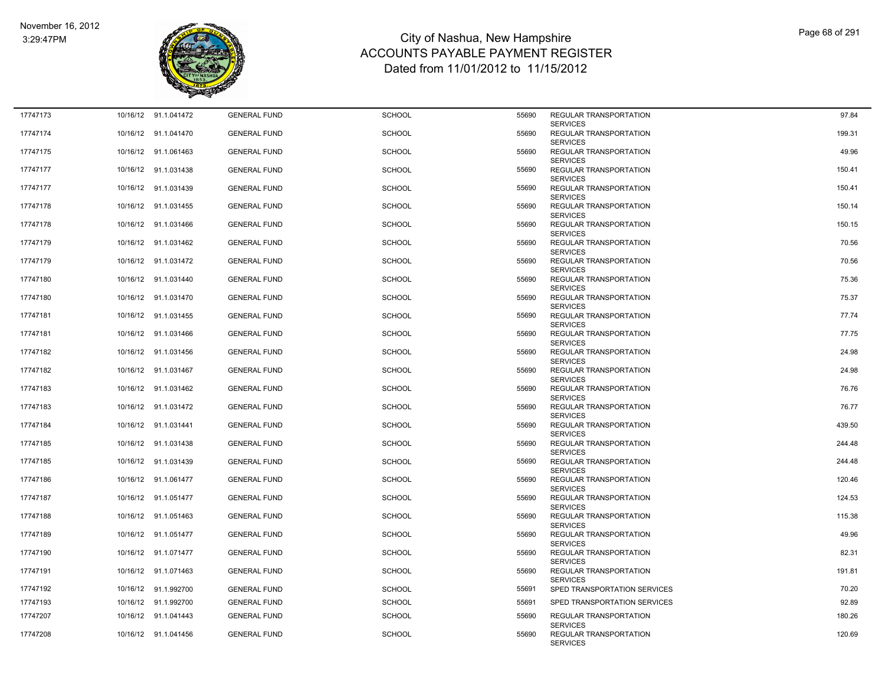

| 17747173 |          | 10/16/12 91.1.041472 | <b>GENERAL FUND</b> | <b>SCHOOL</b> | 55690 | REGULAR TRANSPORTATION                                              | 97.84  |
|----------|----------|----------------------|---------------------|---------------|-------|---------------------------------------------------------------------|--------|
| 17747174 |          | 10/16/12 91.1.041470 | <b>GENERAL FUND</b> | <b>SCHOOL</b> | 55690 | <b>SERVICES</b><br><b>REGULAR TRANSPORTATION</b><br><b>SERVICES</b> | 199.31 |
| 17747175 |          | 10/16/12 91.1.061463 | <b>GENERAL FUND</b> | <b>SCHOOL</b> | 55690 | REGULAR TRANSPORTATION                                              | 49.96  |
| 17747177 |          | 10/16/12 91.1.031438 | <b>GENERAL FUND</b> | <b>SCHOOL</b> | 55690 | <b>SERVICES</b><br>REGULAR TRANSPORTATION<br><b>SERVICES</b>        | 150.41 |
| 17747177 |          | 10/16/12 91.1.031439 | <b>GENERAL FUND</b> | <b>SCHOOL</b> | 55690 | <b>REGULAR TRANSPORTATION</b>                                       | 150.41 |
| 17747178 |          | 10/16/12 91.1.031455 | <b>GENERAL FUND</b> | <b>SCHOOL</b> | 55690 | <b>SERVICES</b><br>REGULAR TRANSPORTATION<br><b>SERVICES</b>        | 150.14 |
| 17747178 |          | 10/16/12 91.1.031466 | <b>GENERAL FUND</b> | <b>SCHOOL</b> | 55690 | <b>REGULAR TRANSPORTATION</b><br><b>SERVICES</b>                    | 150.15 |
| 17747179 |          | 10/16/12 91.1.031462 | <b>GENERAL FUND</b> | <b>SCHOOL</b> | 55690 | REGULAR TRANSPORTATION<br><b>SERVICES</b>                           | 70.56  |
| 17747179 |          | 10/16/12 91.1.031472 | <b>GENERAL FUND</b> | <b>SCHOOL</b> | 55690 | <b>REGULAR TRANSPORTATION</b><br><b>SERVICES</b>                    | 70.56  |
| 17747180 |          | 10/16/12 91.1.031440 | <b>GENERAL FUND</b> | SCHOOL        | 55690 | REGULAR TRANSPORTATION<br><b>SERVICES</b>                           | 75.36  |
| 17747180 |          | 10/16/12 91.1.031470 | <b>GENERAL FUND</b> | <b>SCHOOL</b> | 55690 | REGULAR TRANSPORTATION<br><b>SERVICES</b>                           | 75.37  |
| 17747181 |          | 10/16/12 91.1.031455 | <b>GENERAL FUND</b> | <b>SCHOOL</b> | 55690 | <b>REGULAR TRANSPORTATION</b><br><b>SERVICES</b>                    | 77.74  |
| 17747181 |          | 10/16/12 91.1.031466 | <b>GENERAL FUND</b> | <b>SCHOOL</b> | 55690 | <b>REGULAR TRANSPORTATION</b><br><b>SERVICES</b>                    | 77.75  |
| 17747182 |          | 10/16/12 91.1.031456 | <b>GENERAL FUND</b> | <b>SCHOOL</b> | 55690 | REGULAR TRANSPORTATION<br><b>SERVICES</b>                           | 24.98  |
| 17747182 |          | 10/16/12 91.1.031467 | <b>GENERAL FUND</b> | <b>SCHOOL</b> | 55690 | REGULAR TRANSPORTATION<br><b>SERVICES</b>                           | 24.98  |
| 17747183 |          | 10/16/12 91.1.031462 | <b>GENERAL FUND</b> | <b>SCHOOL</b> | 55690 | REGULAR TRANSPORTATION<br><b>SERVICES</b>                           | 76.76  |
| 17747183 |          | 10/16/12 91.1.031472 | <b>GENERAL FUND</b> | <b>SCHOOL</b> | 55690 | REGULAR TRANSPORTATION<br><b>SERVICES</b>                           | 76.77  |
| 17747184 |          | 10/16/12 91.1.031441 | <b>GENERAL FUND</b> | <b>SCHOOL</b> | 55690 | REGULAR TRANSPORTATION<br><b>SERVICES</b>                           | 439.50 |
| 17747185 |          | 10/16/12 91.1.031438 | <b>GENERAL FUND</b> | <b>SCHOOL</b> | 55690 | REGULAR TRANSPORTATION<br><b>SERVICES</b>                           | 244.48 |
| 17747185 |          | 10/16/12 91.1.031439 | <b>GENERAL FUND</b> | <b>SCHOOL</b> | 55690 | REGULAR TRANSPORTATION                                              | 244.48 |
| 17747186 |          | 10/16/12 91.1.061477 | <b>GENERAL FUND</b> | <b>SCHOOL</b> | 55690 | <b>SERVICES</b><br>REGULAR TRANSPORTATION<br><b>SERVICES</b>        | 120.46 |
| 17747187 |          | 10/16/12 91.1.051477 | <b>GENERAL FUND</b> | <b>SCHOOL</b> | 55690 | REGULAR TRANSPORTATION<br><b>SERVICES</b>                           | 124.53 |
| 17747188 |          | 10/16/12 91.1.051463 | <b>GENERAL FUND</b> | <b>SCHOOL</b> | 55690 | <b>REGULAR TRANSPORTATION</b><br><b>SERVICES</b>                    | 115.38 |
| 17747189 |          | 10/16/12 91.1.051477 | <b>GENERAL FUND</b> | <b>SCHOOL</b> | 55690 | REGULAR TRANSPORTATION<br><b>SERVICES</b>                           | 49.96  |
| 17747190 |          | 10/16/12 91.1.071477 | <b>GENERAL FUND</b> | <b>SCHOOL</b> | 55690 | REGULAR TRANSPORTATION<br><b>SERVICES</b>                           | 82.31  |
| 17747191 |          | 10/16/12 91.1.071463 | <b>GENERAL FUND</b> | <b>SCHOOL</b> | 55690 | <b>REGULAR TRANSPORTATION</b><br><b>SERVICES</b>                    | 191.81 |
| 17747192 | 10/16/12 | 91.1.992700          | <b>GENERAL FUND</b> | <b>SCHOOL</b> | 55691 | SPED TRANSPORTATION SERVICES                                        | 70.20  |
| 17747193 |          | 10/16/12 91.1.992700 | <b>GENERAL FUND</b> | <b>SCHOOL</b> | 55691 | SPED TRANSPORTATION SERVICES                                        | 92.89  |
| 17747207 |          | 10/16/12 91.1.041443 | <b>GENERAL FUND</b> | <b>SCHOOL</b> | 55690 | REGULAR TRANSPORTATION<br><b>SERVICES</b>                           | 180.26 |
| 17747208 |          | 10/16/12 91.1.041456 | <b>GENERAL FUND</b> | SCHOOL        | 55690 | REGULAR TRANSPORTATION<br><b>SERVICES</b>                           | 120.69 |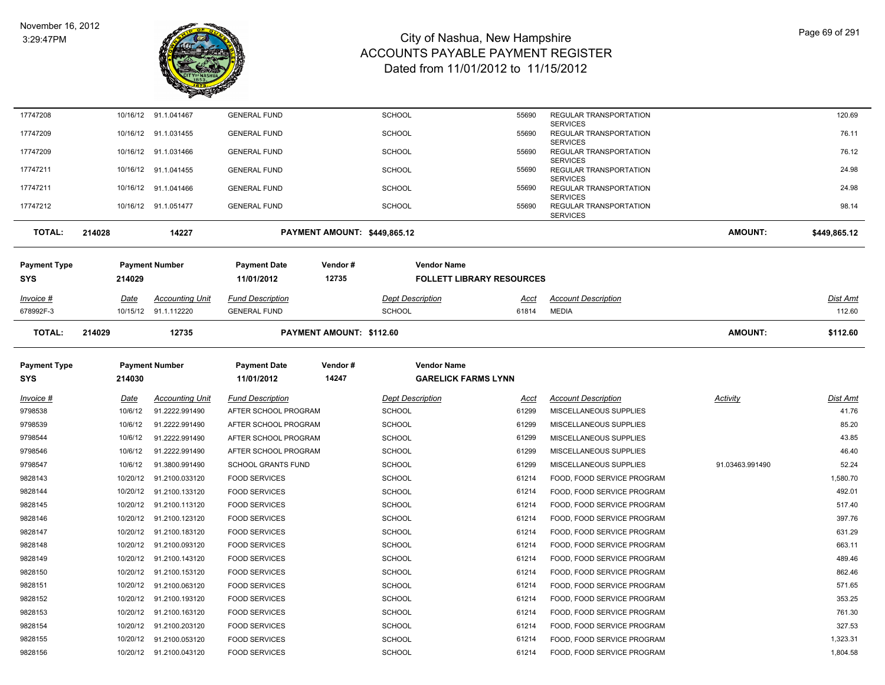

| 17747208         |        |             | 10/16/12 91.1.041467    | <b>GENERAL FUND</b>       |                              | <b>SCHOOL</b> |                                  | 55690       | REGULAR TRANSPORTATION                    |                 | 120.69          |
|------------------|--------|-------------|-------------------------|---------------------------|------------------------------|---------------|----------------------------------|-------------|-------------------------------------------|-----------------|-----------------|
| 17747209         |        |             | 10/16/12 91.1.031455    | <b>GENERAL FUND</b>       |                              | <b>SCHOOL</b> |                                  | 55690       | <b>SERVICES</b><br>REGULAR TRANSPORTATION |                 | 76.11           |
| 17747209         |        |             | 10/16/12 91.1.031466    | <b>GENERAL FUND</b>       |                              | <b>SCHOOL</b> |                                  | 55690       | <b>SERVICES</b><br>REGULAR TRANSPORTATION |                 | 76.12           |
| 17747211         |        |             | 10/16/12 91.1.041455    | <b>GENERAL FUND</b>       |                              | <b>SCHOOL</b> |                                  | 55690       | <b>SERVICES</b><br>REGULAR TRANSPORTATION |                 | 24.98           |
|                  |        |             |                         | <b>GENERAL FUND</b>       |                              |               |                                  | 55690       | <b>SERVICES</b>                           |                 | 24.98           |
| 17747211         |        |             | 10/16/12 91.1.041466    |                           |                              | <b>SCHOOL</b> |                                  |             | REGULAR TRANSPORTATION<br><b>SERVICES</b> |                 |                 |
| 17747212         |        |             | 10/16/12 91.1.051477    | <b>GENERAL FUND</b>       |                              | <b>SCHOOL</b> |                                  | 55690       | REGULAR TRANSPORTATION<br><b>SERVICES</b> |                 | 98.14           |
| <b>TOTAL:</b>    | 214028 |             | 14227                   |                           | PAYMENT AMOUNT: \$449,865.12 |               |                                  |             |                                           | <b>AMOUNT:</b>  | \$449,865.12    |
| Payment Type     |        |             | <b>Payment Number</b>   | <b>Payment Date</b>       | Vendor#                      |               | <b>Vendor Name</b>               |             |                                           |                 |                 |
| SYS              |        | 214029      |                         | 11/01/2012                | 12735                        |               | <b>FOLLETT LIBRARY RESOURCES</b> |             |                                           |                 |                 |
| <u>Invoice #</u> |        | <u>Date</u> | <b>Accounting Unit</b>  | <b>Fund Description</b>   |                              |               | <b>Dept Description</b>          | <u>Acct</u> | <b>Account Description</b>                |                 | <u>Dist Amt</u> |
| 678992F-3        |        |             | 10/15/12 91.1.112220    | <b>GENERAL FUND</b>       |                              | <b>SCHOOL</b> |                                  | 61814       | <b>MEDIA</b>                              |                 | 112.60          |
|                  |        |             |                         |                           |                              |               |                                  |             |                                           |                 |                 |
| <b>TOTAL:</b>    | 214029 |             | 12735                   |                           | PAYMENT AMOUNT: \$112.60     |               |                                  |             |                                           | <b>AMOUNT:</b>  | \$112.60        |
| Payment Type     |        |             | <b>Payment Number</b>   | <b>Payment Date</b>       | Vendor#                      |               | <b>Vendor Name</b>               |             |                                           |                 |                 |
| SYS              |        | 214030      |                         | 11/01/2012                | 14247                        |               | <b>GARELICK FARMS LYNN</b>       |             |                                           |                 |                 |
| Invoice #        |        | Date        | <b>Accounting Unit</b>  | <b>Fund Description</b>   |                              |               | <b>Dept Description</b>          | Acct        | <b>Account Description</b>                | Activity        | Dist Amt        |
| 9798538          |        | 10/6/12     | 91.2222.991490          | AFTER SCHOOL PROGRAM      |                              | <b>SCHOOL</b> |                                  | 61299       | MISCELLANEOUS SUPPLIES                    |                 | 41.76           |
| 9798539          |        | 10/6/12     | 91.2222.991490          | AFTER SCHOOL PROGRAM      |                              | <b>SCHOOL</b> |                                  | 61299       | MISCELLANEOUS SUPPLIES                    |                 | 85.20           |
| 9798544          |        | 10/6/12     | 91.2222.991490          | AFTER SCHOOL PROGRAM      |                              | <b>SCHOOL</b> |                                  | 61299       | MISCELLANEOUS SUPPLIES                    |                 | 43.85           |
| 9798546          |        | 10/6/12     | 91.2222.991490          | AFTER SCHOOL PROGRAM      |                              | <b>SCHOOL</b> |                                  | 61299       | MISCELLANEOUS SUPPLIES                    |                 | 46.40           |
| 9798547          |        | 10/6/12     | 91.3800.991490          | <b>SCHOOL GRANTS FUND</b> |                              | <b>SCHOOL</b> |                                  | 61299       | MISCELLANEOUS SUPPLIES                    | 91.03463.991490 | 52.24           |
| 9828143          |        | 10/20/12    | 91.2100.033120          | <b>FOOD SERVICES</b>      |                              | <b>SCHOOL</b> |                                  | 61214       | FOOD, FOOD SERVICE PROGRAM                |                 | 1,580.70        |
| 9828144          |        | 10/20/12    | 91.2100.133120          | <b>FOOD SERVICES</b>      |                              | <b>SCHOOL</b> |                                  | 61214       | FOOD, FOOD SERVICE PROGRAM                |                 | 492.01          |
| 9828145          |        | 10/20/12    | 91.2100.113120          | <b>FOOD SERVICES</b>      |                              | <b>SCHOOL</b> |                                  | 61214       | FOOD, FOOD SERVICE PROGRAM                |                 | 517.40          |
| 9828146          |        | 10/20/12    | 91.2100.123120          | <b>FOOD SERVICES</b>      |                              | <b>SCHOOL</b> |                                  | 61214       | FOOD, FOOD SERVICE PROGRAM                |                 | 397.76          |
| 9828147          |        | 10/20/12    | 91.2100.183120          | <b>FOOD SERVICES</b>      |                              | <b>SCHOOL</b> |                                  | 61214       | FOOD, FOOD SERVICE PROGRAM                |                 | 631.29          |
| 9828148          |        | 10/20/12    | 91.2100.093120          | <b>FOOD SERVICES</b>      |                              | <b>SCHOOL</b> |                                  | 61214       | FOOD, FOOD SERVICE PROGRAM                |                 | 663.11          |
| 9828149          |        | 10/20/12    | 91.2100.143120          | <b>FOOD SERVICES</b>      |                              | <b>SCHOOL</b> |                                  | 61214       | FOOD, FOOD SERVICE PROGRAM                |                 | 489.46          |
| 9828150          |        | 10/20/12    | 91.2100.153120          | <b>FOOD SERVICES</b>      |                              | <b>SCHOOL</b> |                                  | 61214       | FOOD, FOOD SERVICE PROGRAM                |                 | 862.46          |
| 9828151          |        | 10/20/12    | 91.2100.063120          | <b>FOOD SERVICES</b>      |                              | <b>SCHOOL</b> |                                  | 61214       | FOOD, FOOD SERVICE PROGRAM                |                 | 571.65          |
| 9828152          |        | 10/20/12    | 91.2100.193120          | <b>FOOD SERVICES</b>      |                              | <b>SCHOOL</b> |                                  | 61214       | FOOD, FOOD SERVICE PROGRAM                |                 | 353.25          |
| 9828153          |        | 10/20/12    | 91.2100.163120          | <b>FOOD SERVICES</b>      |                              | <b>SCHOOL</b> |                                  | 61214       | FOOD, FOOD SERVICE PROGRAM                |                 | 761.30          |
| 9828154          |        | 10/20/12    | 91.2100.203120          | <b>FOOD SERVICES</b>      |                              | <b>SCHOOL</b> |                                  | 61214       | FOOD, FOOD SERVICE PROGRAM                |                 | 327.53          |
| 9828155          |        | 10/20/12    | 91.2100.053120          | <b>FOOD SERVICES</b>      |                              | SCHOOL        |                                  | 61214       | FOOD, FOOD SERVICE PROGRAM                |                 | 1,323.31        |
| 9828156          |        |             | 10/20/12 91.2100.043120 | <b>FOOD SERVICES</b>      |                              | SCHOOL        |                                  | 61214       | FOOD, FOOD SERVICE PROGRAM                |                 | 1,804.58        |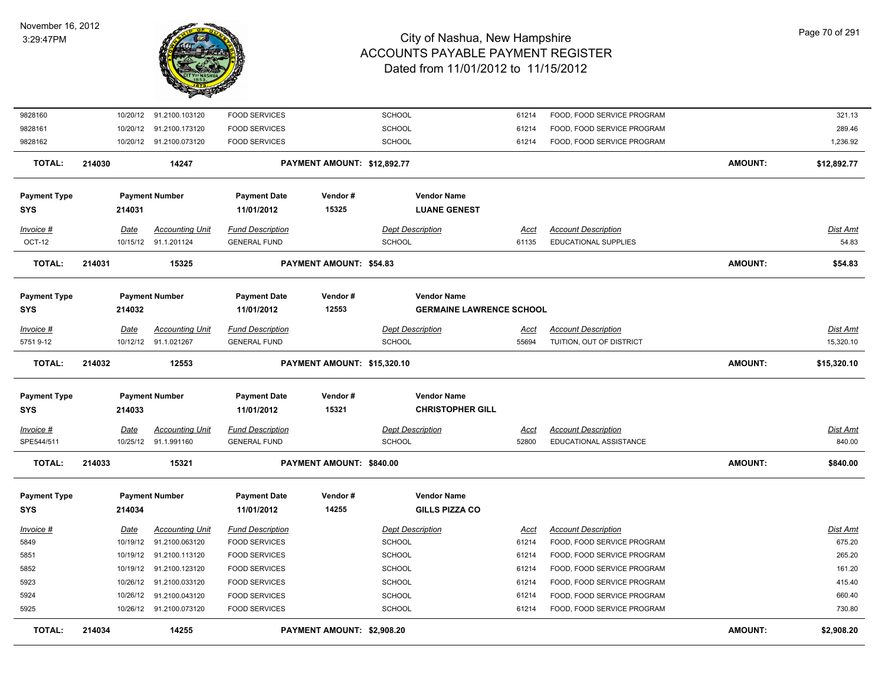

| 9828160                           |             | 10/20/12 91.2100.103120                        | <b>FOOD SERVICES</b>                           |                                | <b>SCHOOL</b>                                         | 61214         | FOOD, FOOD SERVICE PROGRAM                         |                | 321.13                   |
|-----------------------------------|-------------|------------------------------------------------|------------------------------------------------|--------------------------------|-------------------------------------------------------|---------------|----------------------------------------------------|----------------|--------------------------|
| 9828161                           | 10/20/12    | 91.2100.173120                                 | <b>FOOD SERVICES</b>                           |                                | SCHOOL                                                | 61214         | FOOD, FOOD SERVICE PROGRAM                         |                | 289.46                   |
| 9828162                           |             | 10/20/12 91.2100.073120                        | <b>FOOD SERVICES</b>                           |                                | <b>SCHOOL</b>                                         | 61214         | FOOD, FOOD SERVICE PROGRAM                         |                | 1,236.92                 |
| <b>TOTAL:</b>                     | 214030      | 14247                                          |                                                | PAYMENT AMOUNT: \$12,892.77    |                                                       |               |                                                    | <b>AMOUNT:</b> | \$12,892.77              |
| <b>Payment Type</b><br>SYS        | 214031      | <b>Payment Number</b>                          | <b>Payment Date</b><br>11/01/2012              | Vendor#<br>15325               | <b>Vendor Name</b><br><b>LUANE GENEST</b>             |               |                                                    |                |                          |
| Invoice #<br>OCT-12               | Date        | <b>Accounting Unit</b><br>10/15/12 91.1.201124 | <b>Fund Description</b><br><b>GENERAL FUND</b> |                                | <b>Dept Description</b><br><b>SCHOOL</b>              | Acct<br>61135 | <b>Account Description</b><br>EDUCATIONAL SUPPLIES |                | <u>Dist Amt</u><br>54.83 |
| <b>TOTAL:</b>                     | 214031      | 15325                                          |                                                | <b>PAYMENT AMOUNT: \$54.83</b> |                                                       |               |                                                    | <b>AMOUNT:</b> | \$54.83                  |
| <b>Payment Type</b><br><b>SYS</b> | 214032      | <b>Payment Number</b>                          | <b>Payment Date</b><br>11/01/2012              | Vendor#<br>12553               | <b>Vendor Name</b><br><b>GERMAINE LAWRENCE SCHOOL</b> |               |                                                    |                |                          |
| Invoice #                         | Date        | <b>Accounting Unit</b>                         | <b>Fund Description</b>                        |                                | <b>Dept Description</b>                               | <u>Acct</u>   | <b>Account Description</b>                         |                | Dist Amt                 |
| 5751 9-12                         | 10/12/12    | 91.1.021267                                    | <b>GENERAL FUND</b>                            |                                | <b>SCHOOL</b>                                         | 55694         | TUITION, OUT OF DISTRICT                           |                | 15,320.10                |
| <b>TOTAL:</b>                     | 214032      | 12553                                          |                                                | PAYMENT AMOUNT: \$15,320.10    |                                                       |               |                                                    | <b>AMOUNT:</b> | \$15,320.10              |
| <b>Payment Type</b><br><b>SYS</b> | 214033      | <b>Payment Number</b>                          | <b>Payment Date</b><br>11/01/2012              | Vendor#<br>15321               | <b>Vendor Name</b><br><b>CHRISTOPHER GILL</b>         |               |                                                    |                |                          |
| Invoice #                         | <u>Date</u> |                                                |                                                |                                |                                                       |               | <b>Account Description</b>                         |                | <u>Dist Amt</u>          |
| SPE544/511                        |             | <b>Accounting Unit</b>                         | <b>Fund Description</b>                        |                                | <b>Dept Description</b>                               | <u>Acct</u>   |                                                    |                |                          |
|                                   |             | 10/25/12 91.1.991160                           | <b>GENERAL FUND</b>                            |                                | <b>SCHOOL</b>                                         | 52800         | EDUCATIONAL ASSISTANCE                             |                | 840.00                   |
| <b>TOTAL:</b>                     | 214033      | 15321                                          |                                                | PAYMENT AMOUNT: \$840.00       |                                                       |               |                                                    | <b>AMOUNT:</b> | \$840.00                 |
| <b>Payment Type</b><br><b>SYS</b> | 214034      | <b>Payment Number</b>                          | <b>Payment Date</b><br>11/01/2012              | Vendor#<br>14255               | <b>Vendor Name</b><br><b>GILLS PIZZA CO</b>           |               |                                                    |                |                          |
| Invoice #                         | <b>Date</b> | <b>Accounting Unit</b>                         | <b>Fund Description</b>                        |                                | <b>Dept Description</b>                               | <b>Acct</b>   | <b>Account Description</b>                         |                | <b>Dist Amt</b>          |
| 5849                              | 10/19/12    | 91.2100.063120                                 | <b>FOOD SERVICES</b>                           |                                | <b>SCHOOL</b>                                         | 61214         | FOOD, FOOD SERVICE PROGRAM                         |                | 675.20                   |
| 5851                              | 10/19/12    | 91.2100.113120                                 | <b>FOOD SERVICES</b>                           |                                | <b>SCHOOL</b>                                         | 61214         | FOOD, FOOD SERVICE PROGRAM                         |                | 265.20                   |
| 5852                              | 10/19/12    | 91.2100.123120                                 | <b>FOOD SERVICES</b>                           |                                | <b>SCHOOL</b>                                         | 61214         | FOOD, FOOD SERVICE PROGRAM                         |                | 161.20                   |
| 5923                              | 10/26/12    | 91.2100.033120                                 | <b>FOOD SERVICES</b>                           |                                | SCHOOL                                                | 61214         | FOOD, FOOD SERVICE PROGRAM                         |                | 415.40                   |
| 5924                              | 10/26/12    | 91.2100.043120                                 | <b>FOOD SERVICES</b>                           |                                | <b>SCHOOL</b>                                         | 61214         | FOOD, FOOD SERVICE PROGRAM                         |                | 660.40                   |
| 5925                              | 10/26/12    | 91.2100.073120                                 | <b>FOOD SERVICES</b>                           |                                | <b>SCHOOL</b>                                         | 61214         | FOOD, FOOD SERVICE PROGRAM                         |                | 730.80                   |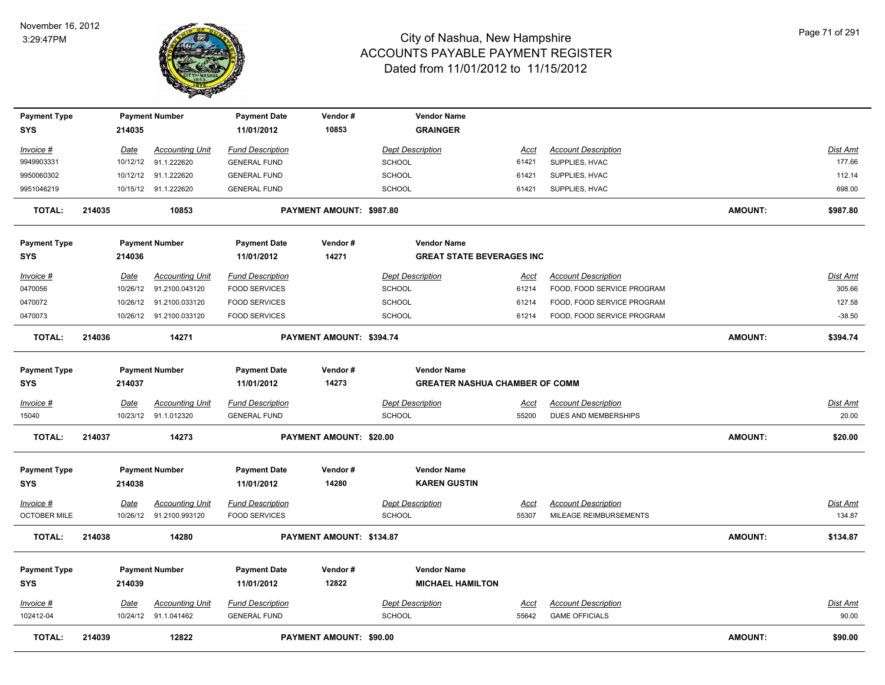

| <b>Payment Type</b><br><b>SYS</b> | 214035      | <b>Payment Number</b>   | <b>Payment Date</b><br>11/01/2012 | Vendor#<br>10853         |                         | <b>Vendor Name</b><br><b>GRAINGER</b> |             |                            |                |                 |
|-----------------------------------|-------------|-------------------------|-----------------------------------|--------------------------|-------------------------|---------------------------------------|-------------|----------------------------|----------------|-----------------|
| Invoice #                         | <u>Date</u> | <b>Accounting Unit</b>  | <b>Fund Description</b>           |                          | <b>Dept Description</b> |                                       | <u>Acct</u> | <b>Account Description</b> |                | <b>Dist Amt</b> |
| 9949903331                        | 10/12/12    | 91.1.222620             | <b>GENERAL FUND</b>               |                          | SCHOOL                  |                                       | 61421       | SUPPLIES, HVAC             |                | 177.66          |
| 9950060302                        | 10/12/12    | 91.1.222620             | <b>GENERAL FUND</b>               |                          | <b>SCHOOL</b>           |                                       | 61421       | SUPPLIES, HVAC             |                | 112.14          |
| 9951046219                        |             | 10/15/12 91.1.222620    | <b>GENERAL FUND</b>               |                          | <b>SCHOOL</b>           |                                       | 61421       | SUPPLIES, HVAC             |                | 698.00          |
| <b>TOTAL:</b>                     | 214035      | 10853                   |                                   | PAYMENT AMOUNT: \$987.80 |                         |                                       |             |                            | <b>AMOUNT:</b> | \$987.80        |
| <b>Payment Type</b>               |             | <b>Payment Number</b>   | <b>Payment Date</b>               | Vendor#                  |                         | <b>Vendor Name</b>                    |             |                            |                |                 |
| <b>SYS</b>                        | 214036      |                         | 11/01/2012                        | 14271                    |                         | <b>GREAT STATE BEVERAGES INC</b>      |             |                            |                |                 |
| Invoice #                         | Date        | <b>Accounting Unit</b>  | <b>Fund Description</b>           |                          | <b>Dept Description</b> |                                       | Acct        | <b>Account Description</b> |                | Dist Amt        |
| 0470056                           | 10/26/12    | 91.2100.043120          | <b>FOOD SERVICES</b>              |                          | <b>SCHOOL</b>           |                                       | 61214       | FOOD, FOOD SERVICE PROGRAM |                | 305.66          |
| 0470072                           |             | 10/26/12 91.2100.033120 | <b>FOOD SERVICES</b>              |                          | <b>SCHOOL</b>           |                                       | 61214       | FOOD, FOOD SERVICE PROGRAM |                | 127.58          |
| 0470073                           |             | 10/26/12 91.2100.033120 | <b>FOOD SERVICES</b>              |                          | <b>SCHOOL</b>           |                                       | 61214       | FOOD, FOOD SERVICE PROGRAM |                | $-38.50$        |
| <b>TOTAL:</b>                     | 214036      | 14271                   |                                   | PAYMENT AMOUNT: \$394.74 |                         |                                       |             |                            | <b>AMOUNT:</b> | \$394.74        |
| <b>Payment Type</b>               |             | <b>Payment Number</b>   | <b>Payment Date</b>               | Vendor#                  |                         | <b>Vendor Name</b>                    |             |                            |                |                 |
| <b>SYS</b>                        | 214037      |                         | 11/01/2012                        | 14273                    |                         | <b>GREATER NASHUA CHAMBER OF COMM</b> |             |                            |                |                 |
| Invoice #                         | Date        | <b>Accounting Unit</b>  | <b>Fund Description</b>           |                          | <b>Dept Description</b> |                                       | Acct        | <b>Account Description</b> |                | <b>Dist Amt</b> |
| 15040                             |             | 10/23/12 91.1.012320    | <b>GENERAL FUND</b>               |                          | <b>SCHOOL</b>           |                                       | 55200       | DUES AND MEMBERSHIPS       |                | 20.00           |
| <b>TOTAL:</b>                     | 214037      | 14273                   |                                   | PAYMENT AMOUNT: \$20.00  |                         |                                       |             |                            | <b>AMOUNT:</b> | \$20.00         |
| <b>Payment Type</b>               |             | <b>Payment Number</b>   | <b>Payment Date</b>               | Vendor#                  |                         | <b>Vendor Name</b>                    |             |                            |                |                 |
| <b>SYS</b>                        | 214038      |                         | 11/01/2012                        | 14280                    |                         | <b>KAREN GUSTIN</b>                   |             |                            |                |                 |
| Invoice #                         | <b>Date</b> | <b>Accounting Unit</b>  | <b>Fund Description</b>           |                          | <b>Dept Description</b> |                                       | <u>Acci</u> | <b>Account Description</b> |                | <u>Dist Amt</u> |
| <b>OCTOBER MILE</b>               |             | 10/26/12 91.2100.993120 | <b>FOOD SERVICES</b>              |                          | <b>SCHOOL</b>           |                                       | 55307       | MILEAGE REIMBURSEMENTS     |                | 134.87          |
| <b>TOTAL:</b>                     | 214038      | 14280                   |                                   | PAYMENT AMOUNT: \$134.87 |                         |                                       |             |                            | <b>AMOUNT:</b> | \$134.87        |
| <b>Payment Type</b>               |             | <b>Payment Number</b>   | <b>Payment Date</b>               | Vendor#                  |                         | <b>Vendor Name</b>                    |             |                            |                |                 |
| <b>SYS</b>                        | 214039      |                         | 11/01/2012                        | 12822                    |                         | <b>MICHAEL HAMILTON</b>               |             |                            |                |                 |
| Invoice #                         | Date        | <b>Accounting Unit</b>  | <b>Fund Description</b>           |                          | <b>Dept Description</b> |                                       | <u>Acct</u> | <b>Account Description</b> |                | <u>Dist Amt</u> |
| 102412-04                         |             | 10/24/12 91.1.041462    | <b>GENERAL FUND</b>               |                          | <b>SCHOOL</b>           |                                       | 55642       | <b>GAME OFFICIALS</b>      |                | 90.00           |
| <b>TOTAL:</b>                     | 214039      | 12822                   |                                   | PAYMENT AMOUNT: \$90.00  |                         |                                       |             |                            | <b>AMOUNT:</b> | \$90.00         |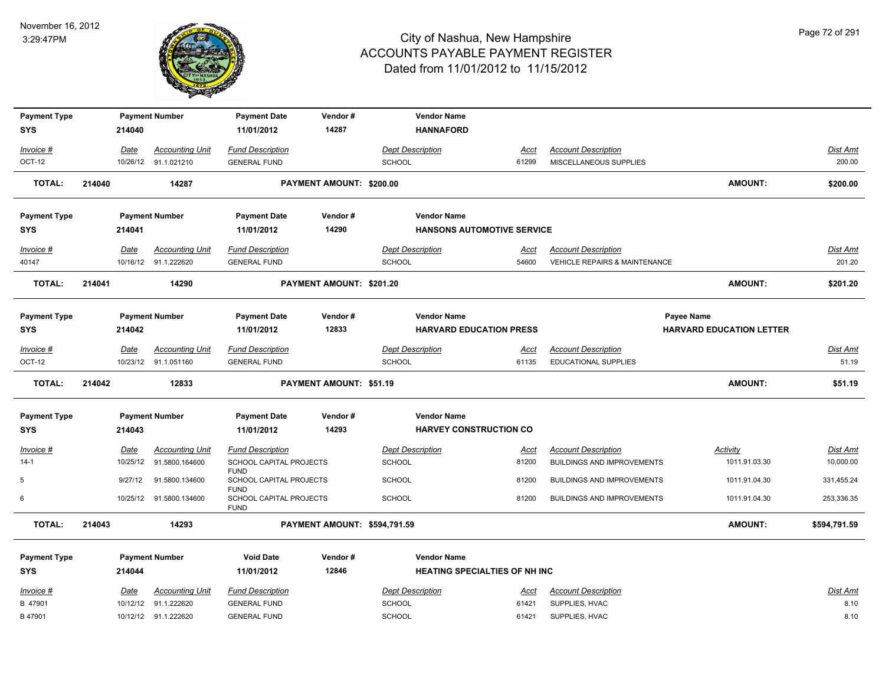

| <b>Payment Type</b>               |        |         | <b>Payment Number</b>   | <b>Payment Date</b>                                   | Vendor#                         |                         | <b>Vendor Name</b>                   |             |                                          |                                 |                 |
|-----------------------------------|--------|---------|-------------------------|-------------------------------------------------------|---------------------------------|-------------------------|--------------------------------------|-------------|------------------------------------------|---------------------------------|-----------------|
| <b>SYS</b>                        |        | 214040  |                         | 11/01/2012                                            | 14287                           |                         | <b>HANNAFORD</b>                     |             |                                          |                                 |                 |
| Invoice #                         |        | Date    | <b>Accounting Unit</b>  | <b>Fund Description</b>                               |                                 | <b>Dept Description</b> |                                      | Acct        | <b>Account Description</b>               |                                 | <b>Dist Amt</b> |
| OCT-12                            |        |         | 10/26/12 91.1.021210    | <b>GENERAL FUND</b>                                   |                                 | <b>SCHOOL</b>           |                                      | 61299       | MISCELLANEOUS SUPPLIES                   |                                 | 200.00          |
| <b>TOTAL:</b>                     | 214040 |         | 14287                   |                                                       | <b>PAYMENT AMOUNT: \$200.00</b> |                         |                                      |             |                                          | <b>AMOUNT:</b>                  |                 |
|                                   |        |         |                         |                                                       |                                 |                         |                                      |             |                                          |                                 | \$200.00        |
|                                   |        |         | <b>Payment Number</b>   | <b>Payment Date</b>                                   | Vendor#                         |                         | <b>Vendor Name</b>                   |             |                                          |                                 |                 |
| <b>Payment Type</b><br><b>SYS</b> |        | 214041  |                         | 11/01/2012                                            | 14290                           |                         | <b>HANSONS AUTOMOTIVE SERVICE</b>    |             |                                          |                                 |                 |
|                                   |        |         |                         |                                                       |                                 |                         |                                      |             |                                          |                                 |                 |
| Invoice #                         |        | Date    | <b>Accounting Unit</b>  | <b>Fund Description</b>                               |                                 | <b>Dept Description</b> |                                      | Acct        | <b>Account Description</b>               |                                 | <b>Dist Amt</b> |
| 40147                             |        |         | 10/16/12 91.1.222620    | <b>GENERAL FUND</b>                                   |                                 | <b>SCHOOL</b>           |                                      | 54600       | <b>VEHICLE REPAIRS &amp; MAINTENANCE</b> |                                 | 201.20          |
| <b>TOTAL:</b>                     | 214041 |         | 14290                   |                                                       | PAYMENT AMOUNT: \$201.20        |                         |                                      |             |                                          | <b>AMOUNT:</b>                  | \$201.20        |
|                                   |        |         |                         |                                                       |                                 |                         |                                      |             |                                          |                                 |                 |
| <b>Payment Type</b>               |        |         | <b>Payment Number</b>   | <b>Payment Date</b>                                   | Vendor#                         |                         | <b>Vendor Name</b>                   |             |                                          | Payee Name                      |                 |
| <b>SYS</b>                        |        | 214042  |                         | 11/01/2012                                            | 12833                           |                         | <b>HARVARD EDUCATION PRESS</b>       |             |                                          | <b>HARVARD EDUCATION LETTER</b> |                 |
| Invoice #                         |        | Date    | <b>Accounting Unit</b>  | <b>Fund Description</b>                               |                                 | <b>Dept Description</b> |                                      | <u>Acct</u> | <b>Account Description</b>               |                                 | Dist Amt        |
| OCT-12                            |        |         | 10/23/12 91.1.051160    | <b>GENERAL FUND</b>                                   |                                 | <b>SCHOOL</b>           |                                      | 61135       | <b>EDUCATIONAL SUPPLIES</b>              |                                 | 51.19           |
| <b>TOTAL:</b>                     | 214042 |         | 12833                   |                                                       | PAYMENT AMOUNT: \$51.19         |                         |                                      |             |                                          | <b>AMOUNT:</b>                  | \$51.19         |
| <b>Payment Type</b>               |        |         | <b>Payment Number</b>   | <b>Payment Date</b>                                   | Vendor#                         |                         | <b>Vendor Name</b>                   |             |                                          |                                 |                 |
| <b>SYS</b>                        |        | 214043  |                         | 11/01/2012                                            | 14293                           |                         | <b>HARVEY CONSTRUCTION CO.</b>       |             |                                          |                                 |                 |
| Invoice #                         |        | Date    | <b>Accounting Unit</b>  | <b>Fund Description</b>                               |                                 | <b>Dept Description</b> |                                      | <u>Acct</u> | <b>Account Description</b>               | Activity                        | <b>Dist Amt</b> |
| $14-1$                            |        |         | 10/25/12 91.5800.164600 | SCHOOL CAPITAL PROJECTS                               |                                 | <b>SCHOOL</b>           |                                      | 81200       | <b>BUILDINGS AND IMPROVEMENTS</b>        | 1011.91.03.30                   | 10,000.00       |
| 5                                 |        | 9/27/12 | 91.5800.134600          | <b>FUND</b><br>SCHOOL CAPITAL PROJECTS<br><b>FUND</b> |                                 | SCHOOL                  |                                      | 81200       | <b>BUILDINGS AND IMPROVEMENTS</b>        | 1011.91.04.30                   | 331,455.24      |
| 6                                 |        |         | 10/25/12 91.5800.134600 | SCHOOL CAPITAL PROJECTS<br><b>FUND</b>                |                                 | <b>SCHOOL</b>           |                                      | 81200       | <b>BUILDINGS AND IMPROVEMENTS</b>        | 1011.91.04.30                   | 253,336.35      |
| <b>TOTAL:</b>                     | 214043 |         | 14293                   |                                                       | PAYMENT AMOUNT: \$594,791.59    |                         |                                      |             |                                          | <b>AMOUNT:</b>                  | \$594,791.59    |
|                                   |        |         |                         |                                                       |                                 |                         | <b>Vendor Name</b>                   |             |                                          |                                 |                 |
| <b>Payment Type</b><br><b>SYS</b> |        | 214044  | <b>Payment Number</b>   | <b>Void Date</b><br>11/01/2012                        | Vendor#<br>12846                |                         | <b>HEATING SPECIALTIES OF NH INC</b> |             |                                          |                                 |                 |
|                                   |        |         |                         |                                                       |                                 |                         |                                      |             |                                          |                                 |                 |
| Invoice #                         |        | Date    | <b>Accounting Unit</b>  | <b>Fund Description</b>                               |                                 | <b>Dept Description</b> |                                      | Acct        | <b>Account Description</b>               |                                 | <b>Dist Amt</b> |
| B 47901                           |        |         | 10/12/12 91.1.222620    | <b>GENERAL FUND</b>                                   |                                 | SCHOOL                  |                                      | 61421       | SUPPLIES, HVAC                           |                                 | 8.10            |
| B 47901                           |        |         | 10/12/12 91.1.222620    | <b>GENERAL FUND</b>                                   |                                 | <b>SCHOOL</b>           |                                      | 61421       | SUPPLIES, HVAC                           |                                 | 8.10            |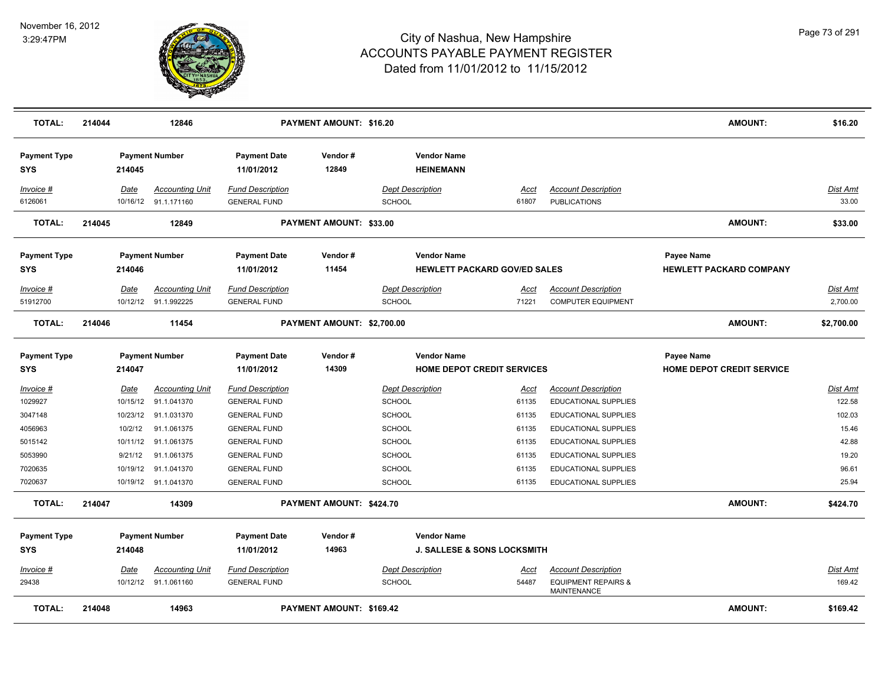

| <b>TOTAL:</b>                     | 214044 |             | 12846                                          |                                                | <b>PAYMENT AMOUNT: \$16.20</b>  |                                        |                                        |                                                         | <b>AMOUNT:</b>                   | \$16.20              |
|-----------------------------------|--------|-------------|------------------------------------------------|------------------------------------------------|---------------------------------|----------------------------------------|----------------------------------------|---------------------------------------------------------|----------------------------------|----------------------|
| <b>Payment Type</b><br><b>SYS</b> |        | 214045      | <b>Payment Number</b>                          | <b>Payment Date</b><br>11/01/2012              | Vendor#<br>12849                | <b>Vendor Name</b><br><b>HEINEMANN</b> |                                        |                                                         |                                  |                      |
| Invoice #                         |        | Date        | <b>Accounting Unit</b>                         | <b>Fund Description</b>                        |                                 | <b>Dept Description</b>                | Acct                                   | <b>Account Description</b>                              |                                  | Dist Amt             |
| 6126061                           |        |             | 10/16/12 91.1.171160                           | <b>GENERAL FUND</b>                            |                                 | SCHOOL                                 | 61807                                  | <b>PUBLICATIONS</b>                                     |                                  | 33.00                |
| <b>TOTAL:</b>                     | 214045 |             | 12849                                          |                                                | <b>PAYMENT AMOUNT: \$33.00</b>  |                                        |                                        |                                                         | <b>AMOUNT:</b>                   | \$33.00              |
| <b>Payment Type</b>               |        |             | <b>Payment Number</b>                          | <b>Payment Date</b>                            | Vendor #                        | <b>Vendor Name</b>                     |                                        |                                                         | Payee Name                       |                      |
| <b>SYS</b>                        |        | 214046      |                                                | 11/01/2012                                     | 11454                           |                                        | <b>HEWLETT PACKARD GOV/ED SALES</b>    |                                                         | <b>HEWLETT PACKARD COMPANY</b>   |                      |
| Invoice #<br>51912700             |        | Date        | <b>Accounting Unit</b><br>10/12/12 91.1.992225 | <b>Fund Description</b><br><b>GENERAL FUND</b> |                                 | <b>Dept Description</b><br>SCHOOL      | Acct<br>71221                          | <b>Account Description</b><br><b>COMPUTER EQUIPMENT</b> |                                  | Dist Amt<br>2,700.00 |
| <b>TOTAL:</b>                     | 214046 |             | 11454                                          |                                                | PAYMENT AMOUNT: \$2,700.00      |                                        |                                        |                                                         | <b>AMOUNT:</b>                   | \$2,700.00           |
| <b>Payment Type</b>               |        |             | <b>Payment Number</b>                          | <b>Payment Date</b>                            | Vendor #                        | <b>Vendor Name</b>                     |                                        |                                                         | Payee Name                       |                      |
| <b>SYS</b>                        |        | 214047      |                                                | 11/01/2012                                     | 14309                           |                                        | HOME DEPOT CREDIT SERVICES             |                                                         | <b>HOME DEPOT CREDIT SERVICE</b> |                      |
| Invoice #                         |        | <u>Date</u> | <b>Accounting Unit</b>                         | <b>Fund Description</b>                        |                                 | <b>Dept Description</b>                | <u>Acct</u>                            | <b>Account Description</b>                              |                                  | <b>Dist Amt</b>      |
| 1029927                           |        | 10/15/12    | 91.1.041370                                    | <b>GENERAL FUND</b>                            |                                 | <b>SCHOOL</b>                          | 61135                                  | <b>EDUCATIONAL SUPPLIES</b>                             |                                  | 122.58               |
| 3047148                           |        | 10/23/12    | 91.1.031370                                    | <b>GENERAL FUND</b>                            |                                 | <b>SCHOOL</b>                          | 61135                                  | EDUCATIONAL SUPPLIES                                    |                                  | 102.03               |
| 4056963                           |        | 10/2/12     | 91.1.061375                                    | <b>GENERAL FUND</b>                            |                                 | <b>SCHOOL</b>                          | 61135                                  | EDUCATIONAL SUPPLIES                                    |                                  | 15.46                |
| 5015142                           |        | 10/11/12    | 91.1.061375                                    | <b>GENERAL FUND</b>                            |                                 | <b>SCHOOL</b>                          | 61135                                  | EDUCATIONAL SUPPLIES                                    |                                  | 42.88                |
| 5053990                           |        | 9/21/12     | 91.1.061375                                    | <b>GENERAL FUND</b>                            |                                 | SCHOOL                                 | 61135                                  | <b>EDUCATIONAL SUPPLIES</b>                             |                                  | 19.20                |
| 7020635                           |        | 10/19/12    | 91.1.041370                                    | <b>GENERAL FUND</b>                            |                                 | SCHOOL                                 | 61135                                  | <b>EDUCATIONAL SUPPLIES</b>                             |                                  | 96.61                |
| 7020637                           |        |             | 10/19/12 91.1.041370                           | <b>GENERAL FUND</b>                            |                                 | SCHOOL                                 | 61135                                  | <b>EDUCATIONAL SUPPLIES</b>                             |                                  | 25.94                |
| <b>TOTAL:</b>                     | 214047 |             | 14309                                          |                                                | PAYMENT AMOUNT: \$424.70        |                                        |                                        |                                                         | <b>AMOUNT:</b>                   | \$424.70             |
| <b>Payment Type</b>               |        |             | <b>Payment Number</b>                          | <b>Payment Date</b>                            | Vendor#                         | <b>Vendor Name</b>                     |                                        |                                                         |                                  |                      |
| <b>SYS</b>                        |        | 214048      |                                                | 11/01/2012                                     | 14963                           |                                        | <b>J. SALLESE &amp; SONS LOCKSMITH</b> |                                                         |                                  |                      |
| Invoice #                         |        | Date        | Accounting Unit                                | <b>Fund Description</b>                        |                                 | <b>Dept Description</b>                | Acct                                   | <b>Account Description</b>                              |                                  | Dist Amt             |
| 29438                             |        |             | 10/12/12 91.1.061160                           | <b>GENERAL FUND</b>                            |                                 | <b>SCHOOL</b>                          | 54487                                  | <b>EQUIPMENT REPAIRS &amp;</b><br><b>MAINTENANCE</b>    |                                  | 169.42               |
| <b>TOTAL:</b>                     | 214048 |             | 14963                                          |                                                | <b>PAYMENT AMOUNT: \$169.42</b> |                                        |                                        |                                                         | <b>AMOUNT:</b>                   | \$169.42             |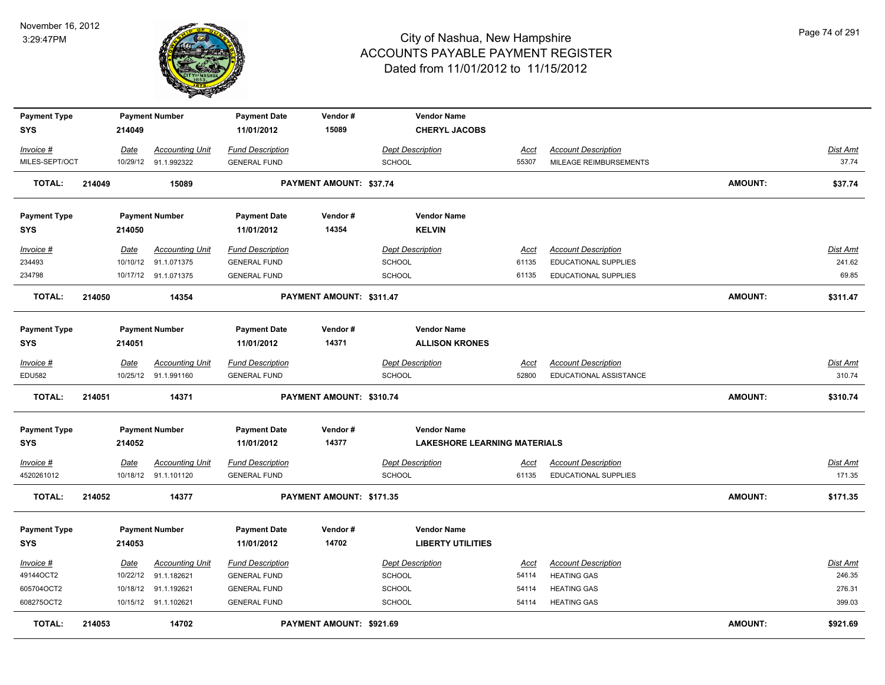

| <b>Payment Type</b> |        |        | <b>Payment Number</b>  | <b>Payment Date</b>     | Vendor#                        |                         | <b>Vendor Name</b>                  |             |                             |                |                 |
|---------------------|--------|--------|------------------------|-------------------------|--------------------------------|-------------------------|-------------------------------------|-------------|-----------------------------|----------------|-----------------|
| <b>SYS</b>          |        | 214049 |                        | 11/01/2012              | 15089                          |                         | <b>CHERYL JACOBS</b>                |             |                             |                |                 |
| Invoice #           |        | Date   | <b>Accounting Unit</b> | <b>Fund Description</b> |                                | <b>Dept Description</b> |                                     | Acct        | <b>Account Description</b>  |                | Dist Amt        |
| MILES-SEPT/OCT      |        |        | 10/29/12 91.1.992322   | <b>GENERAL FUND</b>     |                                | <b>SCHOOL</b>           |                                     | 55307       | MILEAGE REIMBURSEMENTS      |                | 37.74           |
| TOTAL:              | 214049 |        | 15089                  |                         | <b>PAYMENT AMOUNT: \$37.74</b> |                         |                                     |             |                             | <b>AMOUNT:</b> | \$37.74         |
| <b>Payment Type</b> |        |        | <b>Payment Number</b>  | <b>Payment Date</b>     | Vendor#                        |                         | <b>Vendor Name</b>                  |             |                             |                |                 |
| <b>SYS</b>          |        | 214050 |                        | 11/01/2012              | 14354                          |                         | <b>KELVIN</b>                       |             |                             |                |                 |
| Invoice #           |        | Date   | <b>Accounting Unit</b> | <b>Fund Description</b> |                                | <b>Dept Description</b> |                                     | <u>Acct</u> | <b>Account Description</b>  |                | <b>Dist Amt</b> |
| 234493              |        |        | 10/10/12 91.1.071375   | <b>GENERAL FUND</b>     |                                | <b>SCHOOL</b>           |                                     | 61135       | EDUCATIONAL SUPPLIES        |                | 241.62          |
| 234798              |        |        | 10/17/12 91.1.071375   | <b>GENERAL FUND</b>     |                                | <b>SCHOOL</b>           |                                     | 61135       | <b>EDUCATIONAL SUPPLIES</b> |                | 69.85           |
| TOTAL:              | 214050 |        | 14354                  |                         | PAYMENT AMOUNT: \$311.47       |                         |                                     |             |                             | <b>AMOUNT:</b> | \$311.47        |
| <b>Payment Type</b> |        |        | <b>Payment Number</b>  | <b>Payment Date</b>     | Vendor#                        |                         | <b>Vendor Name</b>                  |             |                             |                |                 |
| <b>SYS</b>          |        | 214051 |                        | 11/01/2012              | 14371                          |                         | <b>ALLISON KRONES</b>               |             |                             |                |                 |
| Invoice #           |        | Date   | <b>Accounting Unit</b> | <b>Fund Description</b> |                                | <b>Dept Description</b> |                                     | <b>Acct</b> | <b>Account Description</b>  |                | Dist Amt        |
| EDU582              |        |        | 10/25/12 91.1.991160   | <b>GENERAL FUND</b>     |                                | <b>SCHOOL</b>           |                                     | 52800       | EDUCATIONAL ASSISTANCE      |                | 310.74          |
| <b>TOTAL:</b>       | 214051 |        | 14371                  |                         | PAYMENT AMOUNT: \$310.74       |                         |                                     |             |                             | <b>AMOUNT:</b> | \$310.74        |
| <b>Payment Type</b> |        |        | <b>Payment Number</b>  | <b>Payment Date</b>     | Vendor#                        |                         | <b>Vendor Name</b>                  |             |                             |                |                 |
| <b>SYS</b>          |        | 214052 |                        | 11/01/2012              | 14377                          |                         | <b>LAKESHORE LEARNING MATERIALS</b> |             |                             |                |                 |
| Invoice #           |        | Date   | <b>Accounting Unit</b> | <b>Fund Description</b> |                                | <b>Dept Description</b> |                                     | <u>Acct</u> | <b>Account Description</b>  |                | Dist Amt        |
| 4520261012          |        |        | 10/18/12 91.1.101120   | <b>GENERAL FUND</b>     |                                | <b>SCHOOL</b>           |                                     | 61135       | EDUCATIONAL SUPPLIES        |                | 171.35          |
| <b>TOTAL:</b>       | 214052 |        | 14377                  |                         | PAYMENT AMOUNT: \$171.35       |                         |                                     |             |                             | <b>AMOUNT:</b> | \$171.35        |
| <b>Payment Type</b> |        |        | <b>Payment Number</b>  | <b>Payment Date</b>     | Vendor#                        |                         | <b>Vendor Name</b>                  |             |                             |                |                 |
| <b>SYS</b>          |        | 214053 |                        | 11/01/2012              | 14702                          |                         | <b>LIBERTY UTILITIES</b>            |             |                             |                |                 |
| Invoice #           |        | Date   | <b>Accounting Unit</b> | <b>Fund Description</b> |                                | <b>Dept Description</b> |                                     | Acct        | <b>Account Description</b>  |                | Dist Amt        |
| 49144OCT2           |        |        | 10/22/12 91.1.182621   | <b>GENERAL FUND</b>     |                                | <b>SCHOOL</b>           |                                     | 54114       | <b>HEATING GAS</b>          |                | 246.35          |
| 605704OCT2          |        |        | 10/18/12 91.1.192621   | <b>GENERAL FUND</b>     |                                | <b>SCHOOL</b>           |                                     | 54114       | <b>HEATING GAS</b>          |                | 276.31          |
| 608275OCT2          |        |        | 10/15/12 91.1.102621   | <b>GENERAL FUND</b>     |                                | <b>SCHOOL</b>           |                                     | 54114       | <b>HEATING GAS</b>          |                | 399.03          |
| <b>TOTAL:</b>       | 214053 |        | 14702                  |                         | PAYMENT AMOUNT: \$921.69       |                         |                                     |             |                             | <b>AMOUNT:</b> | \$921.69        |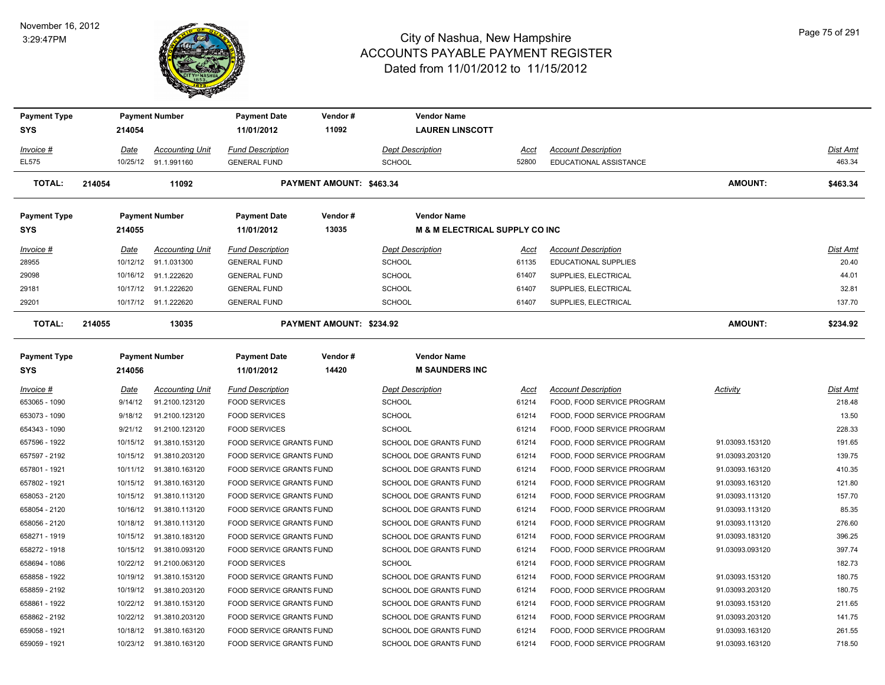

| <b>Payment Type</b> |          | <b>Payment Number</b>    | <b>Payment Date</b>      | Vendor#                         | <b>Vendor Name</b>                        |       |                             |                 |          |
|---------------------|----------|--------------------------|--------------------------|---------------------------------|-------------------------------------------|-------|-----------------------------|-----------------|----------|
| <b>SYS</b>          | 214054   |                          | 11/01/2012               | 11092                           | <b>LAUREN LINSCOTT</b>                    |       |                             |                 |          |
| Invoice #           | Date     | <b>Accounting Unit</b>   | <b>Fund Description</b>  |                                 | <b>Dept Description</b>                   | Acct  | <b>Account Description</b>  |                 | Dist Amt |
| EL575               |          | 10/25/12 91.1.991160     | <b>GENERAL FUND</b>      |                                 | <b>SCHOOL</b>                             | 52800 | EDUCATIONAL ASSISTANCE      |                 | 463.34   |
| <b>TOTAL:</b>       | 214054   | 11092                    |                          | PAYMENT AMOUNT: \$463.34        |                                           |       |                             | <b>AMOUNT:</b>  | \$463.34 |
| <b>Payment Type</b> |          | <b>Payment Number</b>    | <b>Payment Date</b>      | Vendor#                         | <b>Vendor Name</b>                        |       |                             |                 |          |
| <b>SYS</b>          | 214055   |                          | 11/01/2012               | 13035                           | <b>M &amp; M ELECTRICAL SUPPLY CO INC</b> |       |                             |                 |          |
| Invoice #           | Date     | <b>Accounting Unit</b>   | <b>Fund Description</b>  |                                 | <b>Dept Description</b>                   | Acct  | <b>Account Description</b>  |                 | Dist Amt |
| 28955               | 10/12/12 | 91.1.031300              | <b>GENERAL FUND</b>      |                                 | <b>SCHOOL</b>                             | 61135 | <b>EDUCATIONAL SUPPLIES</b> |                 | 20.40    |
| 29098               |          | 10/16/12 91.1.222620     | <b>GENERAL FUND</b>      |                                 | <b>SCHOOL</b>                             | 61407 | SUPPLIES, ELECTRICAL        |                 | 44.01    |
| 29181               | 10/17/12 | 91.1.222620              | <b>GENERAL FUND</b>      |                                 | <b>SCHOOL</b>                             | 61407 | SUPPLIES, ELECTRICAL        |                 | 32.81    |
| 29201               |          | 10/17/12 91.1.222620     | <b>GENERAL FUND</b>      |                                 | SCHOOL                                    | 61407 | SUPPLIES, ELECTRICAL        |                 | 137.70   |
| TOTAL:              | 214055   | 13035                    |                          | <b>PAYMENT AMOUNT: \$234.92</b> |                                           |       |                             | <b>AMOUNT:</b>  | \$234.92 |
| <b>Payment Type</b> |          | <b>Payment Number</b>    | <b>Payment Date</b>      | Vendor#                         | <b>Vendor Name</b>                        |       |                             |                 |          |
| <b>SYS</b>          | 214056   |                          | 11/01/2012               | 14420                           | <b>M SAUNDERS INC</b>                     |       |                             |                 |          |
| Invoice #           | Date     | <b>Accounting Unit</b>   | <b>Fund Description</b>  |                                 | <b>Dept Description</b>                   | Acct  | <b>Account Description</b>  | <b>Activity</b> | Dist Amt |
| 653065 - 1090       | 9/14/12  | 91.2100.123120           | <b>FOOD SERVICES</b>     |                                 | <b>SCHOOL</b>                             | 61214 | FOOD, FOOD SERVICE PROGRAM  |                 | 218.48   |
| 653073 - 1090       | 9/18/12  | 91.2100.123120           | <b>FOOD SERVICES</b>     |                                 | <b>SCHOOL</b>                             | 61214 | FOOD, FOOD SERVICE PROGRAM  |                 | 13.50    |
| 654343 - 1090       | 9/21/12  | 91.2100.123120           | <b>FOOD SERVICES</b>     |                                 | <b>SCHOOL</b>                             | 61214 | FOOD, FOOD SERVICE PROGRAM  |                 | 228.33   |
| 657596 - 1922       | 10/15/12 | 91.3810.153120           | FOOD SERVICE GRANTS FUND |                                 | SCHOOL DOE GRANTS FUND                    | 61214 | FOOD, FOOD SERVICE PROGRAM  | 91.03093.153120 | 191.65   |
| 657597 - 2192       | 10/15/12 | 91.3810.203120           | FOOD SERVICE GRANTS FUND |                                 | SCHOOL DOE GRANTS FUND                    | 61214 | FOOD, FOOD SERVICE PROGRAM  | 91.03093.203120 | 139.75   |
| 657801 - 1921       |          | 10/11/12  91.3810.163120 | FOOD SERVICE GRANTS FUND |                                 | SCHOOL DOE GRANTS FUND                    | 61214 | FOOD, FOOD SERVICE PROGRAM  | 91.03093.163120 | 410.35   |
| 657802 - 1921       | 10/15/12 | 91.3810.163120           | FOOD SERVICE GRANTS FUND |                                 | SCHOOL DOE GRANTS FUND                    | 61214 | FOOD, FOOD SERVICE PROGRAM  | 91.03093.163120 | 121.80   |
| 658053 - 2120       | 10/15/12 | 91.3810.113120           | FOOD SERVICE GRANTS FUND |                                 | SCHOOL DOE GRANTS FUND                    | 61214 | FOOD, FOOD SERVICE PROGRAM  | 91.03093.113120 | 157.70   |
| 658054 - 2120       | 10/16/12 | 91.3810.113120           | FOOD SERVICE GRANTS FUND |                                 | SCHOOL DOE GRANTS FUND                    | 61214 | FOOD, FOOD SERVICE PROGRAM  | 91.03093.113120 | 85.35    |
| 658056 - 2120       |          | 10/18/12 91.3810.113120  | FOOD SERVICE GRANTS FUND |                                 | SCHOOL DOE GRANTS FUND                    | 61214 | FOOD, FOOD SERVICE PROGRAM  | 91.03093.113120 | 276.60   |
| 658271 - 1919       |          | 10/15/12 91.3810.183120  | FOOD SERVICE GRANTS FUND |                                 | SCHOOL DOE GRANTS FUND                    | 61214 | FOOD, FOOD SERVICE PROGRAM  | 91.03093.183120 | 396.25   |
| 658272 - 1918       |          | 10/15/12  91.3810.093120 | FOOD SERVICE GRANTS FUND |                                 | SCHOOL DOE GRANTS FUND                    | 61214 | FOOD, FOOD SERVICE PROGRAM  | 91.03093.093120 | 397.74   |
| 658694 - 1086       |          | 10/22/12 91.2100.063120  | <b>FOOD SERVICES</b>     |                                 | <b>SCHOOL</b>                             | 61214 | FOOD, FOOD SERVICE PROGRAM  |                 | 182.73   |
| 658858 - 1922       |          | 10/19/12 91.3810.153120  | FOOD SERVICE GRANTS FUND |                                 | SCHOOL DOE GRANTS FUND                    | 61214 | FOOD, FOOD SERVICE PROGRAM  | 91.03093.153120 | 180.75   |
| 658859 - 2192       | 10/19/12 | 91.3810.203120           | FOOD SERVICE GRANTS FUND |                                 | <b>SCHOOL DOE GRANTS FUND</b>             | 61214 | FOOD, FOOD SERVICE PROGRAM  | 91.03093.203120 | 180.75   |
| 658861 - 1922       | 10/22/12 | 91.3810.153120           | FOOD SERVICE GRANTS FUND |                                 | SCHOOL DOE GRANTS FUND                    | 61214 | FOOD, FOOD SERVICE PROGRAM  | 91.03093.153120 | 211.65   |
| 658862 - 2192       | 10/22/12 | 91.3810.203120           | FOOD SERVICE GRANTS FUND |                                 | SCHOOL DOE GRANTS FUND                    | 61214 | FOOD, FOOD SERVICE PROGRAM  | 91.03093.203120 | 141.75   |
| 659058 - 1921       |          | 10/18/12  91.3810.163120 | FOOD SERVICE GRANTS FUND |                                 | <b>SCHOOL DOE GRANTS FUND</b>             | 61214 | FOOD, FOOD SERVICE PROGRAM  | 91.03093.163120 | 261.55   |
| 659059 - 1921       |          | 10/23/12 91.3810.163120  | FOOD SERVICE GRANTS FUND |                                 | SCHOOL DOE GRANTS FUND                    | 61214 | FOOD, FOOD SERVICE PROGRAM  | 91.03093.163120 | 718.50   |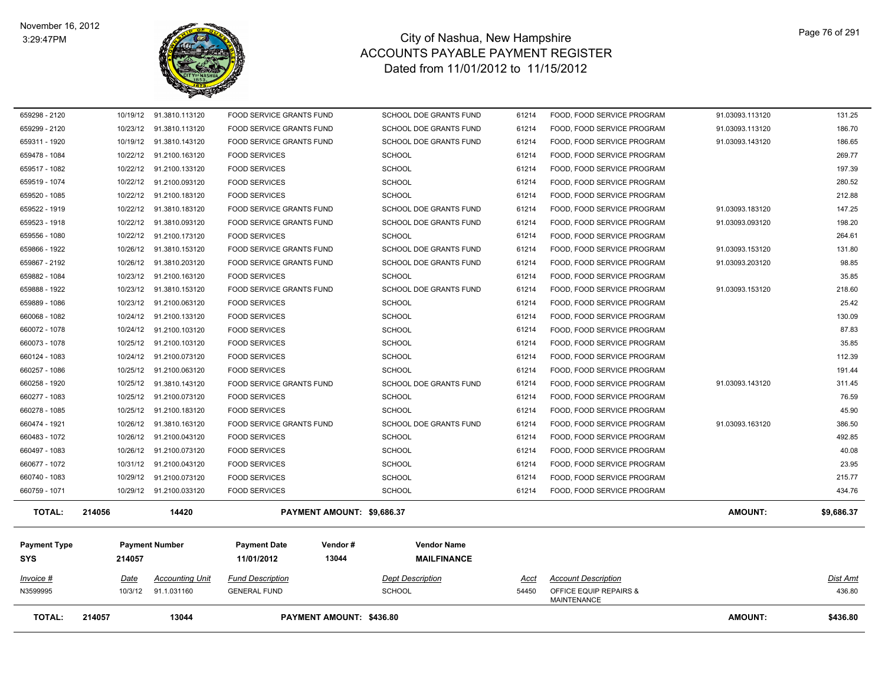

| 659299 - 2120<br>659311 - 1920 |          | 10/23/12 91.3810.113120<br>10/19/12  91.3810.143120 | FOOD SERVICE GRANTS FUND<br>FOOD SERVICE GRANTS FUND |                            | SCHOOL DOE GRANTS FUND<br>SCHOOL DOE GRANTS FUND | 61214<br>61214 | FOOD, FOOD SERVICE PROGRAM<br>FOOD, FOOD SERVICE PROGRAM | 91.03093.113120<br>91.03093.143120 | 186.70<br>186.65 |
|--------------------------------|----------|-----------------------------------------------------|------------------------------------------------------|----------------------------|--------------------------------------------------|----------------|----------------------------------------------------------|------------------------------------|------------------|
| 659478 - 1084                  |          | 10/22/12 91.2100.163120                             | <b>FOOD SERVICES</b>                                 |                            | <b>SCHOOL</b>                                    | 61214          | FOOD, FOOD SERVICE PROGRAM                               |                                    | 269.77           |
| 659517 - 1082                  |          | 10/22/12 91.2100.133120                             | <b>FOOD SERVICES</b>                                 |                            | <b>SCHOOL</b>                                    | 61214          | FOOD, FOOD SERVICE PROGRAM                               |                                    | 197.39           |
| 659519 - 1074                  |          | 10/22/12 91.2100.093120                             | <b>FOOD SERVICES</b>                                 |                            | <b>SCHOOL</b>                                    | 61214          | FOOD, FOOD SERVICE PROGRAM                               |                                    | 280.52           |
| 659520 - 1085                  |          | 10/22/12 91.2100.183120                             | <b>FOOD SERVICES</b>                                 |                            | <b>SCHOOL</b>                                    | 61214          | FOOD, FOOD SERVICE PROGRAM                               |                                    | 212.88           |
| 659522 - 1919                  | 10/22/12 | 91.3810.183120                                      | FOOD SERVICE GRANTS FUND                             |                            | SCHOOL DOE GRANTS FUND                           | 61214          | FOOD, FOOD SERVICE PROGRAM                               | 91.03093.183120                    | 147.25           |
| 659523 - 1918                  | 10/22/12 | 91.3810.093120                                      | FOOD SERVICE GRANTS FUND                             |                            | SCHOOL DOE GRANTS FUND                           | 61214          | FOOD, FOOD SERVICE PROGRAM                               | 91.03093.093120                    | 198.20           |
| 659556 - 1080                  | 10/22/12 | 91.2100.173120                                      | <b>FOOD SERVICES</b>                                 |                            | <b>SCHOOL</b>                                    | 61214          | FOOD, FOOD SERVICE PROGRAM                               |                                    | 264.61           |
| 659866 - 1922                  |          | 10/26/12 91.3810.153120                             | FOOD SERVICE GRANTS FUND                             |                            | SCHOOL DOE GRANTS FUND                           | 61214          | FOOD, FOOD SERVICE PROGRAM                               | 91.03093.153120                    | 131.80           |
| 659867 - 2192                  |          | 10/26/12 91.3810.203120                             | FOOD SERVICE GRANTS FUND                             |                            | SCHOOL DOE GRANTS FUND                           | 61214          | FOOD, FOOD SERVICE PROGRAM                               | 91.03093.203120                    | 98.85            |
| 659882 - 1084                  |          | 10/23/12 91.2100.163120                             | <b>FOOD SERVICES</b>                                 |                            | <b>SCHOOL</b>                                    | 61214          | FOOD, FOOD SERVICE PROGRAM                               |                                    | 35.85            |
| 659888 - 1922                  | 10/23/12 | 91.3810.153120                                      | FOOD SERVICE GRANTS FUND                             |                            | SCHOOL DOE GRANTS FUND                           | 61214          | FOOD, FOOD SERVICE PROGRAM                               | 91.03093.153120                    | 218.60           |
| 659889 - 1086                  | 10/23/12 | 91.2100.063120                                      | <b>FOOD SERVICES</b>                                 |                            | <b>SCHOOL</b>                                    | 61214          | FOOD, FOOD SERVICE PROGRAM                               |                                    | 25.42            |
| 660068 - 1082                  |          | 10/24/12 91.2100.133120                             | <b>FOOD SERVICES</b>                                 |                            | <b>SCHOOL</b>                                    | 61214          | FOOD, FOOD SERVICE PROGRAM                               |                                    | 130.09           |
| 660072 - 1078                  |          | 10/24/12 91.2100.103120                             | <b>FOOD SERVICES</b>                                 |                            | <b>SCHOOL</b>                                    | 61214          | FOOD, FOOD SERVICE PROGRAM                               |                                    | 87.83            |
| 660073 - 1078                  |          | 10/25/12 91.2100.103120                             | <b>FOOD SERVICES</b>                                 |                            | <b>SCHOOL</b>                                    | 61214          | FOOD, FOOD SERVICE PROGRAM                               |                                    | 35.85            |
| 660124 - 1083                  | 10/24/12 | 91.2100.073120                                      | <b>FOOD SERVICES</b>                                 |                            | <b>SCHOOL</b>                                    | 61214          | FOOD, FOOD SERVICE PROGRAM                               |                                    | 112.39           |
| 660257 - 1086                  | 10/25/12 | 91.2100.063120                                      | <b>FOOD SERVICES</b>                                 |                            | <b>SCHOOL</b>                                    | 61214          | FOOD, FOOD SERVICE PROGRAM                               |                                    | 191.44           |
| 660258 - 1920                  | 10/25/12 | 91.3810.143120                                      | FOOD SERVICE GRANTS FUND                             |                            | SCHOOL DOE GRANTS FUND                           | 61214          | FOOD, FOOD SERVICE PROGRAM                               | 91.03093.143120                    | 311.45           |
| 660277 - 1083                  |          | 10/25/12 91.2100.073120                             | <b>FOOD SERVICES</b>                                 |                            | <b>SCHOOL</b>                                    | 61214          | FOOD, FOOD SERVICE PROGRAM                               |                                    | 76.59            |
| 660278 - 1085                  |          | 10/25/12 91.2100.183120                             | <b>FOOD SERVICES</b>                                 |                            | <b>SCHOOL</b>                                    | 61214          | FOOD, FOOD SERVICE PROGRAM                               |                                    | 45.90            |
| 660474 - 1921                  |          | 10/26/12 91.3810.163120                             | FOOD SERVICE GRANTS FUND                             |                            | SCHOOL DOE GRANTS FUND                           | 61214          | FOOD, FOOD SERVICE PROGRAM                               | 91.03093.163120                    | 386.50           |
| 660483 - 1072                  |          | 10/26/12 91.2100.043120                             | <b>FOOD SERVICES</b>                                 |                            | <b>SCHOOL</b>                                    | 61214          | FOOD, FOOD SERVICE PROGRAM                               |                                    | 492.85           |
| 660497 - 1083                  |          | 10/26/12 91.2100.073120                             | <b>FOOD SERVICES</b>                                 |                            | <b>SCHOOL</b>                                    | 61214          | FOOD, FOOD SERVICE PROGRAM                               |                                    | 40.08            |
| 660677 - 1072                  |          | 10/31/12 91.2100.043120                             | <b>FOOD SERVICES</b>                                 |                            | <b>SCHOOL</b>                                    | 61214          | FOOD, FOOD SERVICE PROGRAM                               |                                    | 23.95            |
| 660740 - 1083                  |          | 10/29/12 91.2100.073120                             | <b>FOOD SERVICES</b>                                 |                            | <b>SCHOOL</b>                                    | 61214          | FOOD, FOOD SERVICE PROGRAM                               |                                    | 215.77           |
| 660759 - 1071                  |          | 10/29/12 91.2100.033120                             | <b>FOOD SERVICES</b>                                 |                            | SCHOOL                                           | 61214          | FOOD, FOOD SERVICE PROGRAM                               |                                    | 434.76           |
| <b>TOTAL:</b>                  | 214056   | 14420                                               |                                                      | PAYMENT AMOUNT: \$9,686.37 |                                                  |                |                                                          | <b>AMOUNT:</b>                     | \$9,686.37       |
| <b>Payment Type</b>            |          | <b>Payment Number</b>                               | <b>Payment Date</b>                                  | Vendor#                    | <b>Vendor Name</b>                               |                |                                                          |                                    |                  |
| <b>SYS</b>                     | 214057   |                                                     | 11/01/2012                                           | 13044                      | <b>MAILFINANCE</b>                               |                |                                                          |                                    |                  |
|                                |          |                                                     |                                                      |                            |                                                  |                |                                                          |                                    |                  |
| Invoice #                      | Date     | Accounting Unit                                     | <b>Fund Description</b>                              |                            | <b>Dept Description</b>                          | Acct           | <b>Account Description</b>                               |                                    | Dist Amt         |
| N3599995                       | 10/3/12  | 91.1.031160                                         | <b>GENERAL FUND</b>                                  |                            | SCHOOL                                           | 54450          | OFFICE EQUIP REPAIRS &<br><b>MAINTENANCE</b>             |                                    | 436.80           |
| <b>TOTAL:</b>                  | 214057   | 13044                                               |                                                      | PAYMENT AMOUNT: \$436.80   |                                                  |                |                                                          | <b>AMOUNT:</b>                     | \$436.80         |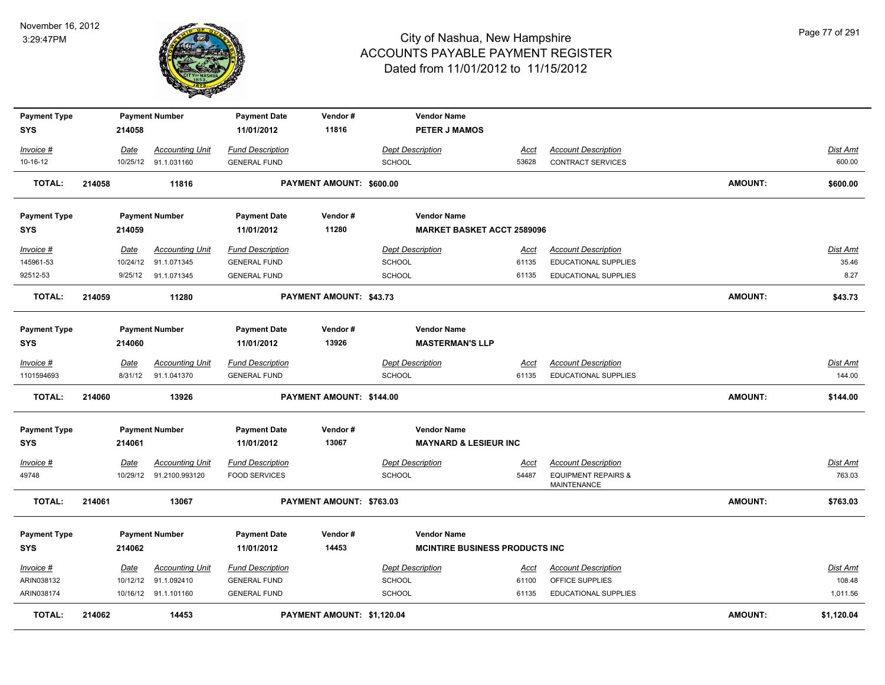

| <b>Payment Type</b>               |        |             | <b>Payment Number</b>   | <b>Payment Date</b>               | Vendor#                    | <b>Vendor Name</b>                           |             |                                                      |                |                 |
|-----------------------------------|--------|-------------|-------------------------|-----------------------------------|----------------------------|----------------------------------------------|-------------|------------------------------------------------------|----------------|-----------------|
| <b>SYS</b>                        |        | 214058      |                         | 11/01/2012                        | 11816                      | <b>PETER J MAMOS</b>                         |             |                                                      |                |                 |
| Invoice #                         |        | Date        | <b>Accounting Unit</b>  | <b>Fund Description</b>           |                            | <b>Dept Description</b>                      | Acct        | <b>Account Description</b>                           |                | Dist Amt        |
| 10-16-12                          |        | 10/25/12    | 91.1.031160             | <b>GENERAL FUND</b>               |                            | <b>SCHOOL</b>                                | 53628       | CONTRACT SERVICES                                    |                | 600.00          |
| <b>TOTAL:</b>                     | 214058 |             | 11816                   |                                   | PAYMENT AMOUNT: \$600.00   |                                              |             |                                                      | AMOUNT:        | \$600.00        |
| <b>Payment Type</b>               |        |             | <b>Payment Number</b>   | <b>Payment Date</b>               | Vendor#                    | <b>Vendor Name</b>                           |             |                                                      |                |                 |
| <b>SYS</b>                        |        | 214059      |                         | 11/01/2012                        | 11280                      | <b>MARKET BASKET ACCT 2589096</b>            |             |                                                      |                |                 |
| Invoice #                         |        | Date        | <b>Accounting Unit</b>  | <b>Fund Description</b>           |                            | <b>Dept Description</b>                      | Acct        | <b>Account Description</b>                           |                | Dist Amt        |
| 145961-53                         |        | 10/24/12    | 91.1.071345             | <b>GENERAL FUND</b>               |                            | <b>SCHOOL</b>                                | 61135       | <b>EDUCATIONAL SUPPLIES</b>                          |                | 35.46           |
| 92512-53                          |        | 9/25/12     | 91.1.071345             | <b>GENERAL FUND</b>               |                            | <b>SCHOOL</b>                                | 61135       | <b>EDUCATIONAL SUPPLIES</b>                          |                | 8.27            |
| TOTAL:                            | 214059 |             | 11280                   |                                   | PAYMENT AMOUNT: \$43.73    |                                              |             |                                                      | AMOUNT:        | \$43.73         |
| <b>Payment Type</b><br><b>SYS</b> |        | 214060      | <b>Payment Number</b>   | <b>Payment Date</b><br>11/01/2012 | Vendor#<br>13926           | <b>Vendor Name</b><br><b>MASTERMAN'S LLP</b> |             |                                                      |                |                 |
| Invoice #                         |        | Date        | <b>Accounting Unit</b>  | <b>Fund Description</b>           |                            | <b>Dept Description</b>                      | <b>Acct</b> | <b>Account Description</b>                           |                | <b>Dist Amt</b> |
| 1101594693                        |        | 8/31/12     | 91.1.041370             | <b>GENERAL FUND</b>               |                            | <b>SCHOOL</b>                                | 61135       | <b>EDUCATIONAL SUPPLIES</b>                          |                | 144.00          |
| <b>TOTAL:</b>                     | 214060 |             | 13926                   |                                   | PAYMENT AMOUNT: \$144.00   |                                              |             |                                                      | <b>AMOUNT:</b> | \$144.00        |
| <b>Payment Type</b>               |        |             | <b>Payment Number</b>   | <b>Payment Date</b>               | Vendor#                    | <b>Vendor Name</b>                           |             |                                                      |                |                 |
| <b>SYS</b>                        |        | 214061      |                         | 11/01/2012                        | 13067                      | <b>MAYNARD &amp; LESIEUR INC</b>             |             |                                                      |                |                 |
| $Invoice$ #                       |        | <u>Date</u> | <b>Accounting Unit</b>  | <b>Fund Description</b>           |                            | <b>Dept Description</b>                      | <u>Acct</u> | <b>Account Description</b>                           |                | <b>Dist Amt</b> |
| 49748                             |        |             | 10/29/12 91.2100.993120 | <b>FOOD SERVICES</b>              |                            | SCHOOL                                       | 54487       | <b>EQUIPMENT REPAIRS &amp;</b><br><b>MAINTENANCE</b> |                | 763.03          |
| <b>TOTAL:</b>                     | 214061 |             | 13067                   |                                   | PAYMENT AMOUNT: \$763.03   |                                              |             |                                                      | <b>AMOUNT:</b> | \$763.03        |
| <b>Payment Type</b>               |        |             | <b>Payment Number</b>   | <b>Payment Date</b>               | Vendor#                    | <b>Vendor Name</b>                           |             |                                                      |                |                 |
| <b>SYS</b>                        |        | 214062      |                         | 11/01/2012                        | 14453                      | <b>MCINTIRE BUSINESS PRODUCTS INC.</b>       |             |                                                      |                |                 |
| $Invoice$ #                       |        | Date        | <b>Accounting Unit</b>  | <b>Fund Description</b>           |                            | <b>Dept Description</b>                      | <u>Acct</u> | <b>Account Description</b>                           |                | <b>Dist Amt</b> |
| ARIN038132                        |        |             | 10/12/12 91.1.092410    | <b>GENERAL FUND</b>               |                            | <b>SCHOOL</b>                                | 61100       | OFFICE SUPPLIES                                      |                | 108.48          |
| ARIN038174                        |        |             | 10/16/12 91.1.101160    | <b>GENERAL FUND</b>               |                            | <b>SCHOOL</b>                                | 61135       | <b>EDUCATIONAL SUPPLIES</b>                          |                | 1,011.56        |
| <b>TOTAL:</b>                     | 214062 |             | 14453                   |                                   | PAYMENT AMOUNT: \$1,120.04 |                                              |             |                                                      | <b>AMOUNT:</b> | \$1,120.04      |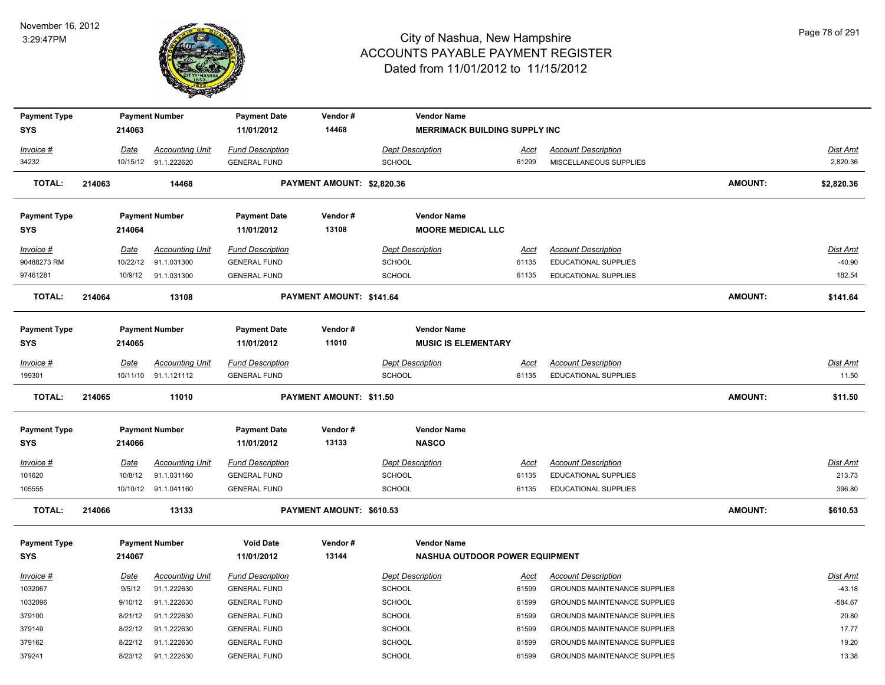

| <b>Payment Type</b> |             | <b>Payment Number</b>  | <b>Payment Date</b>     | Vendor#                    | <b>Vendor Name</b>                    |             |                                     |         |                 |
|---------------------|-------------|------------------------|-------------------------|----------------------------|---------------------------------------|-------------|-------------------------------------|---------|-----------------|
| <b>SYS</b>          | 214063      |                        | 11/01/2012              | 14468                      | <b>MERRIMACK BUILDING SUPPLY INC.</b> |             |                                     |         |                 |
| Invoice #           | Date        | <b>Accounting Unit</b> | <b>Fund Description</b> |                            | <b>Dept Description</b>               | Acct        | <b>Account Description</b>          |         | Dist Amt        |
| 34232               |             | 10/15/12 91.1.222620   | <b>GENERAL FUND</b>     |                            | SCHOOL                                | 61299       | MISCELLANEOUS SUPPLIES              |         | 2,820.36        |
| <b>TOTAL:</b>       | 214063      | 14468                  |                         | PAYMENT AMOUNT: \$2,820.36 |                                       |             |                                     | AMOUNT: | \$2,820.36      |
| <b>Payment Type</b> |             | <b>Payment Number</b>  | <b>Payment Date</b>     | Vendor#                    | <b>Vendor Name</b>                    |             |                                     |         |                 |
| <b>SYS</b>          | 214064      |                        | 11/01/2012              | 13108                      | <b>MOORE MEDICAL LLC</b>              |             |                                     |         |                 |
| Invoice #           | Date        | <b>Accounting Unit</b> | <b>Fund Description</b> |                            | <b>Dept Description</b>               | <u>Acct</u> | <b>Account Description</b>          |         | <b>Dist Amt</b> |
| 90488273 RM         | 10/22/12    | 91.1.031300            | <b>GENERAL FUND</b>     |                            | SCHOOL                                | 61135       | EDUCATIONAL SUPPLIES                |         | $-40.90$        |
| 97461281            | 10/9/12     | 91.1.031300            | <b>GENERAL FUND</b>     |                            | <b>SCHOOL</b>                         | 61135       | <b>EDUCATIONAL SUPPLIES</b>         |         | 182.54          |
| <b>TOTAL:</b>       | 214064      | 13108                  |                         | PAYMENT AMOUNT: \$141.64   |                                       |             |                                     | AMOUNT: | \$141.64        |
| <b>Payment Type</b> |             | <b>Payment Number</b>  | <b>Payment Date</b>     | Vendor#                    | <b>Vendor Name</b>                    |             |                                     |         |                 |
| <b>SYS</b>          | 214065      |                        | 11/01/2012              | 11010                      | <b>MUSIC IS ELEMENTARY</b>            |             |                                     |         |                 |
| Invoice #           | Date        | <b>Accounting Unit</b> | <b>Fund Description</b> |                            | <b>Dept Description</b>               | Acct        | <b>Account Description</b>          |         | Dist Amt        |
| 199301              |             | 10/11/10 91.1.121112   | <b>GENERAL FUND</b>     |                            | <b>SCHOOL</b>                         | 61135       | <b>EDUCATIONAL SUPPLIES</b>         |         | 11.50           |
| <b>TOTAL:</b>       | 214065      | 11010                  |                         | PAYMENT AMOUNT: \$11.50    |                                       |             |                                     | AMOUNT: | \$11.50         |
| <b>Payment Type</b> |             | <b>Payment Number</b>  | <b>Payment Date</b>     | Vendor#                    | <b>Vendor Name</b>                    |             |                                     |         |                 |
| <b>SYS</b>          | 214066      |                        | 11/01/2012              | 13133                      | <b>NASCO</b>                          |             |                                     |         |                 |
| $Invoice$ #         | <b>Date</b> | <b>Accounting Unit</b> | <b>Fund Description</b> |                            | <b>Dept Description</b>               | <u>Acct</u> | <b>Account Description</b>          |         | Dist Amt        |
| 101620              | 10/8/12     | 91.1.031160            | <b>GENERAL FUND</b>     |                            | <b>SCHOOL</b>                         | 61135       | EDUCATIONAL SUPPLIES                |         | 213.73          |
| 105555              |             | 10/10/12 91.1.041160   | <b>GENERAL FUND</b>     |                            | <b>SCHOOL</b>                         | 61135       | EDUCATIONAL SUPPLIES                |         | 396.80          |
| <b>TOTAL:</b>       | 214066      | 13133                  |                         | PAYMENT AMOUNT: \$610.53   |                                       |             |                                     | AMOUNT: | \$610.53        |
| <b>Payment Type</b> |             | <b>Payment Number</b>  | <b>Void Date</b>        | Vendor#                    | <b>Vendor Name</b>                    |             |                                     |         |                 |
| <b>SYS</b>          | 214067      |                        | 11/01/2012              | 13144                      | NASHUA OUTDOOR POWER EQUIPMENT        |             |                                     |         |                 |
| Invoice #           | Date        | <b>Accounting Unit</b> | <b>Fund Description</b> |                            | <b>Dept Description</b>               | Acct        | <b>Account Description</b>          |         | Dist Amt        |
| 1032067             | 9/5/12      | 91.1.222630            | <b>GENERAL FUND</b>     |                            | SCHOOL                                | 61599       | GROUNDS MAINTENANCE SUPPLIES        |         | $-43.18$        |
| 1032096             | 9/10/12     | 91.1.222630            | <b>GENERAL FUND</b>     |                            | <b>SCHOOL</b>                         | 61599       | GROUNDS MAINTENANCE SUPPLIES        |         | $-584.67$       |
| 379100              | 8/21/12     | 91.1.222630            | <b>GENERAL FUND</b>     |                            | <b>SCHOOL</b>                         | 61599       | GROUNDS MAINTENANCE SUPPLIES        |         | 20.80           |
| 379149              | 8/22/12     | 91.1.222630            | <b>GENERAL FUND</b>     |                            | <b>SCHOOL</b>                         | 61599       | <b>GROUNDS MAINTENANCE SUPPLIES</b> |         | 17.77           |
| 379162              | 8/22/12     | 91.1.222630            | <b>GENERAL FUND</b>     |                            | SCHOOL                                | 61599       | <b>GROUNDS MAINTENANCE SUPPLIES</b> |         | 19.20           |
| 379241              | 8/23/12     | 91.1.222630            | <b>GENERAL FUND</b>     |                            | SCHOOL                                | 61599       | <b>GROUNDS MAINTENANCE SUPPLIES</b> |         | 13.38           |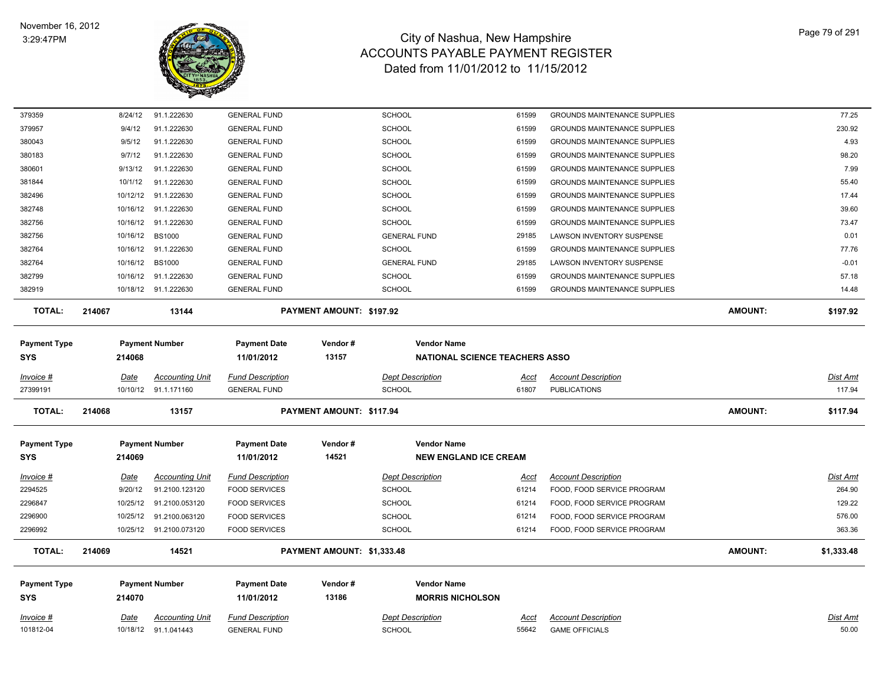

| 379359              |        | 8/24/12     | 91.1.222630             | <b>GENERAL FUND</b>     |                            | <b>SCHOOL</b>                         | 61599       | <b>GROUNDS MAINTENANCE SUPPLIES</b> |                | 77.25           |
|---------------------|--------|-------------|-------------------------|-------------------------|----------------------------|---------------------------------------|-------------|-------------------------------------|----------------|-----------------|
| 379957              |        | 9/4/12      | 91.1.222630             | <b>GENERAL FUND</b>     |                            | SCHOOL                                | 61599       | <b>GROUNDS MAINTENANCE SUPPLIES</b> |                | 230.92          |
| 380043              |        | 9/5/12      | 91.1.222630             | <b>GENERAL FUND</b>     |                            | <b>SCHOOL</b>                         | 61599       | <b>GROUNDS MAINTENANCE SUPPLIES</b> |                | 4.93            |
| 380183              |        | 9/7/12      | 91.1.222630             | <b>GENERAL FUND</b>     |                            | <b>SCHOOL</b>                         | 61599       | <b>GROUNDS MAINTENANCE SUPPLIES</b> |                | 98.20           |
| 380601              |        | 9/13/12     | 91.1.222630             | <b>GENERAL FUND</b>     |                            | <b>SCHOOL</b>                         | 61599       | <b>GROUNDS MAINTENANCE SUPPLIES</b> |                | 7.99            |
| 381844              |        | 10/1/12     | 91.1.222630             | <b>GENERAL FUND</b>     |                            | <b>SCHOOL</b>                         | 61599       | <b>GROUNDS MAINTENANCE SUPPLIES</b> |                | 55.40           |
| 382496              |        | 10/12/12    | 91.1.222630             | <b>GENERAL FUND</b>     |                            | <b>SCHOOL</b>                         | 61599       | <b>GROUNDS MAINTENANCE SUPPLIES</b> |                | 17.44           |
| 382748              |        |             | 10/16/12 91.1.222630    | <b>GENERAL FUND</b>     |                            | <b>SCHOOL</b>                         | 61599       | <b>GROUNDS MAINTENANCE SUPPLIES</b> |                | 39.60           |
| 382756              |        |             | 10/16/12 91.1.222630    | <b>GENERAL FUND</b>     |                            | <b>SCHOOL</b>                         | 61599       | <b>GROUNDS MAINTENANCE SUPPLIES</b> |                | 73.47           |
| 382756              |        | 10/16/12    | <b>BS1000</b>           | <b>GENERAL FUND</b>     |                            | <b>GENERAL FUND</b>                   | 29185       | LAWSON INVENTORY SUSPENSE           |                | 0.01            |
| 382764              |        | 10/16/12    | 91.1.222630             | <b>GENERAL FUND</b>     |                            | <b>SCHOOL</b>                         | 61599       | <b>GROUNDS MAINTENANCE SUPPLIES</b> |                | 77.76           |
| 382764              |        | 10/16/12    | <b>BS1000</b>           | <b>GENERAL FUND</b>     |                            | <b>GENERAL FUND</b>                   | 29185       | LAWSON INVENTORY SUSPENSE           |                | $-0.01$         |
| 382799              |        |             | 10/16/12 91.1.222630    | <b>GENERAL FUND</b>     |                            | <b>SCHOOL</b>                         | 61599       | <b>GROUNDS MAINTENANCE SUPPLIES</b> |                | 57.18           |
| 382919              |        |             | 10/18/12 91.1.222630    | <b>GENERAL FUND</b>     |                            | <b>SCHOOL</b>                         | 61599       | <b>GROUNDS MAINTENANCE SUPPLIES</b> |                | 14.48           |
| <b>TOTAL:</b>       | 214067 |             | 13144                   |                         | PAYMENT AMOUNT: \$197.92   |                                       |             |                                     | <b>AMOUNT:</b> | \$197.92        |
| <b>Payment Type</b> |        |             | <b>Payment Number</b>   | <b>Payment Date</b>     | Vendor#                    | <b>Vendor Name</b>                    |             |                                     |                |                 |
| <b>SYS</b>          |        | 214068      |                         | 11/01/2012              | 13157                      | <b>NATIONAL SCIENCE TEACHERS ASSO</b> |             |                                     |                |                 |
| Invoice #           |        | Date        | <b>Accounting Unit</b>  | <b>Fund Description</b> |                            | <b>Dept Description</b>               | Acct        | <b>Account Description</b>          |                | Dist Amt        |
| 27399191            |        |             | 10/10/12 91.1.171160    | <b>GENERAL FUND</b>     |                            | SCHOOL                                | 61807       | <b>PUBLICATIONS</b>                 |                | 117.94          |
| <b>TOTAL:</b>       | 214068 |             | 13157                   |                         | PAYMENT AMOUNT: \$117.94   |                                       |             |                                     | <b>AMOUNT:</b> | \$117.94        |
| <b>Payment Type</b> |        |             | <b>Payment Number</b>   | <b>Payment Date</b>     | Vendor#                    | <b>Vendor Name</b>                    |             |                                     |                |                 |
| <b>SYS</b>          |        | 214069      |                         | 11/01/2012              | 14521                      | <b>NEW ENGLAND ICE CREAM</b>          |             |                                     |                |                 |
| Invoice #           |        | <b>Date</b> | <b>Accounting Unit</b>  | <b>Fund Description</b> |                            | <b>Dept Description</b>               | Acct        | <b>Account Description</b>          |                | <b>Dist Amt</b> |
| 2294525             |        | 9/20/12     | 91.2100.123120          | <b>FOOD SERVICES</b>    |                            | <b>SCHOOL</b>                         | 61214       | FOOD, FOOD SERVICE PROGRAM          |                | 264.90          |
| 2296847             |        | 10/25/12    | 91.2100.053120          | <b>FOOD SERVICES</b>    |                            | <b>SCHOOL</b>                         | 61214       | FOOD, FOOD SERVICE PROGRAM          |                | 129.22          |
| 2296900             |        | 10/25/12    | 91.2100.063120          | <b>FOOD SERVICES</b>    |                            | SCHOOL                                | 61214       | FOOD, FOOD SERVICE PROGRAM          |                | 576.00          |
| 2296992             |        |             | 10/25/12 91.2100.073120 | <b>FOOD SERVICES</b>    |                            | <b>SCHOOL</b>                         | 61214       | FOOD, FOOD SERVICE PROGRAM          |                | 363.36          |
| TOTAL:              | 214069 |             | 14521                   |                         | PAYMENT AMOUNT: \$1,333.48 |                                       |             |                                     | <b>AMOUNT:</b> | \$1,333.48      |
| <b>Payment Type</b> |        |             | <b>Payment Number</b>   | <b>Payment Date</b>     | Vendor#                    | <b>Vendor Name</b>                    |             |                                     |                |                 |
| <b>SYS</b>          |        | 214070      |                         | 11/01/2012              | 13186                      | <b>MORRIS NICHOLSON</b>               |             |                                     |                |                 |
| Invoice #           |        | <u>Date</u> | <b>Accounting Unit</b>  | <b>Fund Description</b> |                            | <b>Dept Description</b>               | <u>Acct</u> | <b>Account Description</b>          |                | <b>Dist Amt</b> |
| 101812-04           |        | 10/18/12    | 91.1.041443             | <b>GENERAL FUND</b>     |                            | <b>SCHOOL</b>                         | 55642       | <b>GAME OFFICIALS</b>               |                | 50.00           |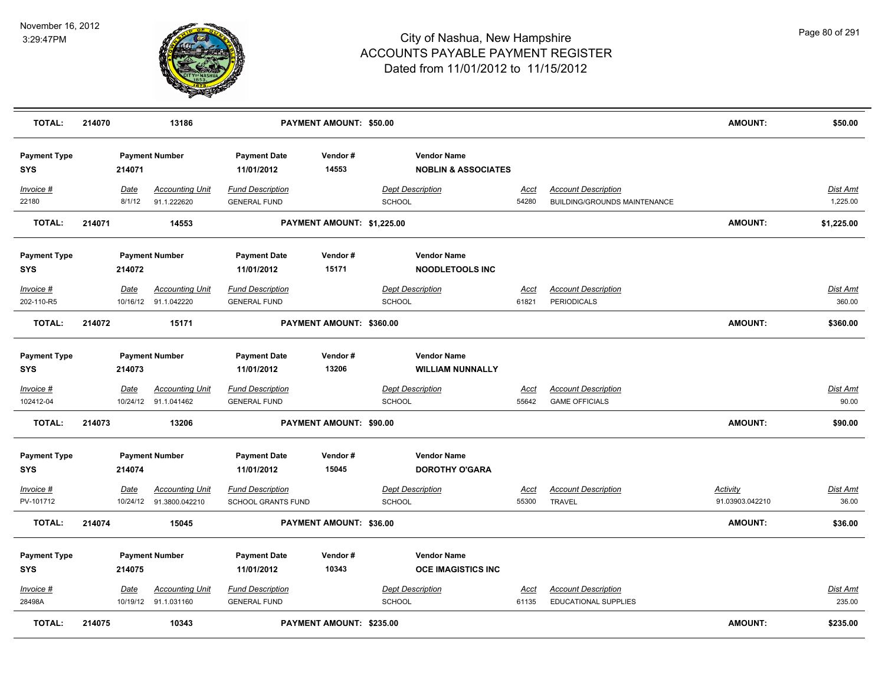

| <b>TOTAL:</b>                     | 214070 |                       | 13186                                             |                                                      | PAYMENT AMOUNT: \$50.00    |               |                                                      |                      |                                                                   | <b>AMOUNT:</b>                     | \$50.00                     |
|-----------------------------------|--------|-----------------------|---------------------------------------------------|------------------------------------------------------|----------------------------|---------------|------------------------------------------------------|----------------------|-------------------------------------------------------------------|------------------------------------|-----------------------------|
| <b>Payment Type</b><br><b>SYS</b> |        | 214071                | <b>Payment Number</b>                             | <b>Payment Date</b><br>11/01/2012                    | Vendor#<br>14553           |               | <b>Vendor Name</b><br><b>NOBLIN &amp; ASSOCIATES</b> |                      |                                                                   |                                    |                             |
| Invoice #<br>22180                |        | <b>Date</b><br>8/1/12 | <b>Accounting Unit</b><br>91.1.222620             | <b>Fund Description</b><br><b>GENERAL FUND</b>       |                            | <b>SCHOOL</b> | <b>Dept Description</b>                              | <u>Acct</u><br>54280 | <b>Account Description</b><br><b>BUILDING/GROUNDS MAINTENANCE</b> |                                    | <u>Dist Amt</u><br>1,225.00 |
| <b>TOTAL:</b>                     | 214071 |                       | 14553                                             |                                                      | PAYMENT AMOUNT: \$1,225.00 |               |                                                      |                      |                                                                   | <b>AMOUNT:</b>                     | \$1,225.00                  |
| <b>Payment Type</b><br><b>SYS</b> |        | 214072                | <b>Payment Number</b>                             | <b>Payment Date</b><br>11/01/2012                    | Vendor#<br>15171           |               | <b>Vendor Name</b><br><b>NOODLETOOLS INC</b>         |                      |                                                                   |                                    |                             |
| Invoice #<br>202-110-R5           |        | Date                  | <b>Accounting Unit</b><br>10/16/12 91.1.042220    | <b>Fund Description</b><br><b>GENERAL FUND</b>       |                            | SCHOOL        | <b>Dept Description</b>                              | <u>Acct</u><br>61821 | <b>Account Description</b><br>PERIODICALS                         |                                    | Dist Amt<br>360.00          |
| <b>TOTAL:</b>                     | 214072 |                       | 15171                                             |                                                      | PAYMENT AMOUNT: \$360.00   |               |                                                      |                      |                                                                   | <b>AMOUNT:</b>                     | \$360.00                    |
| <b>Payment Type</b><br><b>SYS</b> |        | 214073                | <b>Payment Number</b>                             | <b>Payment Date</b><br>11/01/2012                    | Vendor#<br>13206           |               | <b>Vendor Name</b><br><b>WILLIAM NUNNALLY</b>        |                      |                                                                   |                                    |                             |
| Invoice #<br>102412-04            |        | Date                  | <b>Accounting Unit</b><br>10/24/12 91.1.041462    | <b>Fund Description</b><br><b>GENERAL FUND</b>       |                            | <b>SCHOOL</b> | <b>Dept Description</b>                              | <u>Acct</u><br>55642 | <b>Account Description</b><br><b>GAME OFFICIALS</b>               |                                    | <u>Dist Amt</u><br>90.00    |
| <b>TOTAL:</b>                     | 214073 |                       | 13206                                             |                                                      | PAYMENT AMOUNT: \$90.00    |               |                                                      |                      |                                                                   | <b>AMOUNT:</b>                     | \$90.00                     |
| <b>Payment Type</b><br><b>SYS</b> |        | 214074                | <b>Payment Number</b>                             | <b>Payment Date</b><br>11/01/2012                    | Vendor#<br>15045           |               | <b>Vendor Name</b><br><b>DOROTHY O'GARA</b>          |                      |                                                                   |                                    |                             |
| Invoice #<br>PV-101712            |        | Date                  | <b>Accounting Unit</b><br>10/24/12 91.3800.042210 | <b>Fund Description</b><br><b>SCHOOL GRANTS FUND</b> |                            | SCHOOL        | <b>Dept Description</b>                              | Acct<br>55300        | <b>Account Description</b><br><b>TRAVEL</b>                       | <b>Activity</b><br>91.03903.042210 | <u>Dist Amt</u><br>36.00    |
| <b>TOTAL:</b>                     | 214074 |                       | 15045                                             |                                                      | PAYMENT AMOUNT: \$36.00    |               |                                                      |                      |                                                                   | <b>AMOUNT:</b>                     | \$36.00                     |
| <b>Payment Type</b><br><b>SYS</b> |        | 214075                | <b>Payment Number</b>                             | <b>Payment Date</b><br>11/01/2012                    | Vendor#<br>10343           |               | <b>Vendor Name</b><br><b>OCE IMAGISTICS INC</b>      |                      |                                                                   |                                    |                             |
| Invoice #<br>28498A               |        | <b>Date</b>           | <b>Accounting Unit</b><br>10/19/12 91.1.031160    | <b>Fund Description</b><br><b>GENERAL FUND</b>       |                            | <b>SCHOOL</b> | <b>Dept Description</b>                              | Acct<br>61135        | <b>Account Description</b><br><b>EDUCATIONAL SUPPLIES</b>         |                                    | <u>Dist Amt</u><br>235.00   |
| <b>TOTAL:</b>                     | 214075 |                       | 10343                                             |                                                      | PAYMENT AMOUNT: \$235.00   |               |                                                      |                      |                                                                   | <b>AMOUNT:</b>                     | \$235.00                    |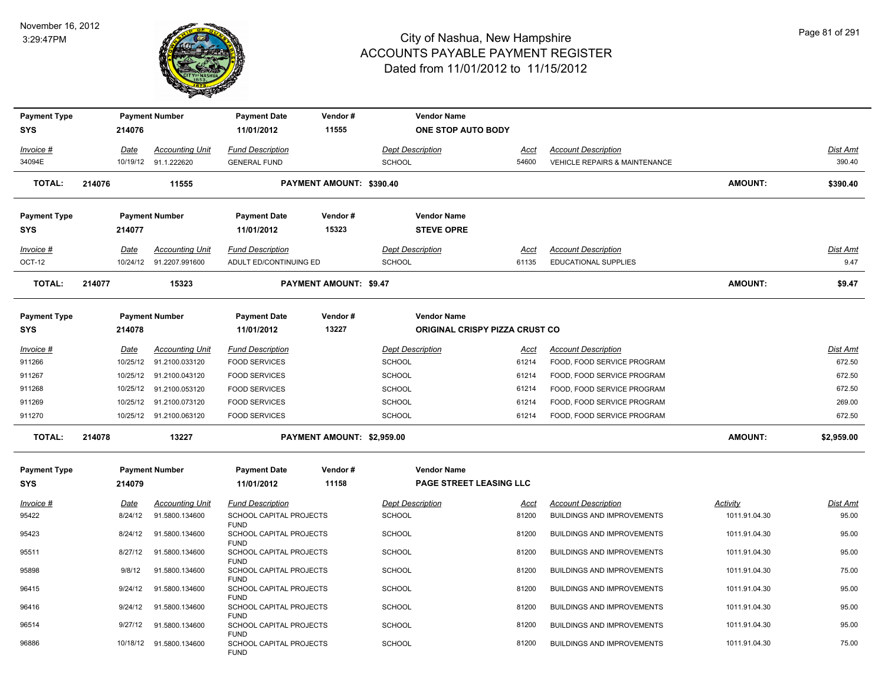

| <b>Payment Type</b> |             |          | <b>Payment Number</b>    | <b>Payment Date</b>                                   | Vendor#                       | <b>Vendor Name</b>                    |             |                                          |                 |                 |
|---------------------|-------------|----------|--------------------------|-------------------------------------------------------|-------------------------------|---------------------------------------|-------------|------------------------------------------|-----------------|-----------------|
| <b>SYS</b>          | 214076      |          |                          | 11/01/2012                                            | 11555                         | <b>ONE STOP AUTO BODY</b>             |             |                                          |                 |                 |
| Invoice #           | <b>Date</b> |          | <b>Accounting Unit</b>   | <b>Fund Description</b>                               |                               | <b>Dept Description</b>               | <u>Acct</u> | <b>Account Description</b>               |                 | Dist Amt        |
| 34094E              |             |          | 10/19/12 91.1.222620     | <b>GENERAL FUND</b>                                   |                               | <b>SCHOOL</b>                         | 54600       | <b>VEHICLE REPAIRS &amp; MAINTENANCE</b> |                 | 390.40          |
| <b>TOTAL:</b>       | 214076      |          | 11555                    |                                                       | PAYMENT AMOUNT: \$390.40      |                                       |             |                                          | <b>AMOUNT:</b>  | \$390.40        |
| <b>Payment Type</b> |             |          | <b>Payment Number</b>    | <b>Payment Date</b>                                   | Vendor#                       | <b>Vendor Name</b>                    |             |                                          |                 |                 |
| <b>SYS</b>          | 214077      |          |                          | 11/01/2012                                            | 15323                         | <b>STEVE OPRE</b>                     |             |                                          |                 |                 |
| Invoice #           | <b>Date</b> |          | <b>Accounting Unit</b>   | <b>Fund Description</b>                               |                               | <b>Dept Description</b>               | Acct        | <b>Account Description</b>               |                 | Dist Amt        |
| OCT-12              |             |          | 10/24/12 91.2207.991600  | ADULT ED/CONTINUING ED                                |                               | <b>SCHOOL</b>                         | 61135       | <b>EDUCATIONAL SUPPLIES</b>              |                 | 9.47            |
| <b>TOTAL:</b>       | 214077      |          | 15323                    |                                                       | <b>PAYMENT AMOUNT: \$9.47</b> |                                       |             |                                          | <b>AMOUNT:</b>  | \$9.47          |
| <b>Payment Type</b> |             |          | <b>Payment Number</b>    | <b>Payment Date</b>                                   | Vendor#                       | <b>Vendor Name</b>                    |             |                                          |                 |                 |
| <b>SYS</b>          | 214078      |          |                          | 11/01/2012                                            | 13227                         | <b>ORIGINAL CRISPY PIZZA CRUST CO</b> |             |                                          |                 |                 |
| Invoice #           | Date        |          | <b>Accounting Unit</b>   | <b>Fund Description</b>                               |                               | <b>Dept Description</b>               | Acct        | <b>Account Description</b>               |                 | Dist Amt        |
| 911266              |             | 10/25/12 | 91.2100.033120           | <b>FOOD SERVICES</b>                                  |                               | <b>SCHOOL</b>                         | 61214       | FOOD, FOOD SERVICE PROGRAM               |                 | 672.50          |
| 911267              |             | 10/25/12 | 91.2100.043120           | <b>FOOD SERVICES</b>                                  |                               | SCHOOL                                | 61214       | FOOD, FOOD SERVICE PROGRAM               |                 | 672.50          |
| 911268              |             | 10/25/12 | 91.2100.053120           | <b>FOOD SERVICES</b>                                  |                               | SCHOOL                                | 61214       | FOOD, FOOD SERVICE PROGRAM               |                 | 672.50          |
| 911269              |             | 10/25/12 | 91.2100.073120           | <b>FOOD SERVICES</b>                                  |                               | SCHOOL                                | 61214       | FOOD, FOOD SERVICE PROGRAM               |                 | 269.00          |
| 911270              |             |          | 10/25/12 91.2100.063120  | <b>FOOD SERVICES</b>                                  |                               | <b>SCHOOL</b>                         | 61214       | FOOD, FOOD SERVICE PROGRAM               |                 | 672.50          |
| <b>TOTAL:</b>       | 214078      |          | 13227                    |                                                       | PAYMENT AMOUNT: \$2,959.00    |                                       |             |                                          | <b>AMOUNT:</b>  | \$2,959.00      |
| <b>Payment Type</b> |             |          | <b>Payment Number</b>    | <b>Payment Date</b>                                   | Vendor#                       | <b>Vendor Name</b>                    |             |                                          |                 |                 |
| <b>SYS</b>          | 214079      |          |                          | 11/01/2012                                            | 11158                         | <b>PAGE STREET LEASING LLC</b>        |             |                                          |                 |                 |
| Invoice #           | <u>Date</u> |          | <b>Accounting Unit</b>   | <b>Fund Description</b>                               |                               | <b>Dept Description</b>               | <u>Acct</u> | <b>Account Description</b>               | <b>Activity</b> | <u>Dist Amt</u> |
| 95422               |             | 8/24/12  | 91.5800.134600           | SCHOOL CAPITAL PROJECTS<br><b>FUND</b>                |                               | <b>SCHOOL</b>                         | 81200       | <b>BUILDINGS AND IMPROVEMENTS</b>        | 1011.91.04.30   | 95.00           |
| 95423               |             | 8/24/12  | 91.5800.134600           | SCHOOL CAPITAL PROJECTS                               |                               | <b>SCHOOL</b>                         | 81200       | <b>BUILDINGS AND IMPROVEMENTS</b>        | 1011.91.04.30   | 95.00           |
| 95511               |             | 8/27/12  | 91.5800.134600           | <b>FUND</b><br>SCHOOL CAPITAL PROJECTS                |                               | <b>SCHOOL</b>                         | 81200       | <b>BUILDINGS AND IMPROVEMENTS</b>        | 1011.91.04.30   | 95.00           |
| 95898               |             | 9/8/12   | 91.5800.134600           | <b>FUND</b><br>SCHOOL CAPITAL PROJECTS                |                               | <b>SCHOOL</b>                         | 81200       | <b>BUILDINGS AND IMPROVEMENTS</b>        | 1011.91.04.30   | 75.00           |
| 96415               |             | 9/24/12  | 91.5800.134600           | <b>FUND</b><br>SCHOOL CAPITAL PROJECTS                |                               | <b>SCHOOL</b>                         | 81200       | <b>BUILDINGS AND IMPROVEMENTS</b>        | 1011.91.04.30   | 95.00           |
| 96416               |             | 9/24/12  | 91.5800.134600           | <b>FUND</b><br>SCHOOL CAPITAL PROJECTS                |                               | <b>SCHOOL</b>                         | 81200       | <b>BUILDINGS AND IMPROVEMENTS</b>        | 1011.91.04.30   | 95.00           |
| 96514               |             | 9/27/12  | 91.5800.134600           | <b>FUND</b><br>SCHOOL CAPITAL PROJECTS                |                               | <b>SCHOOL</b>                         | 81200       | <b>BUILDINGS AND IMPROVEMENTS</b>        | 1011.91.04.30   | 95.00           |
| 96886               |             |          | 10/18/12  91.5800.134600 | <b>FUND</b><br>SCHOOL CAPITAL PROJECTS<br><b>FUND</b> |                               | <b>SCHOOL</b>                         | 81200       | <b>BUILDINGS AND IMPROVEMENTS</b>        | 1011.91.04.30   | 75.00           |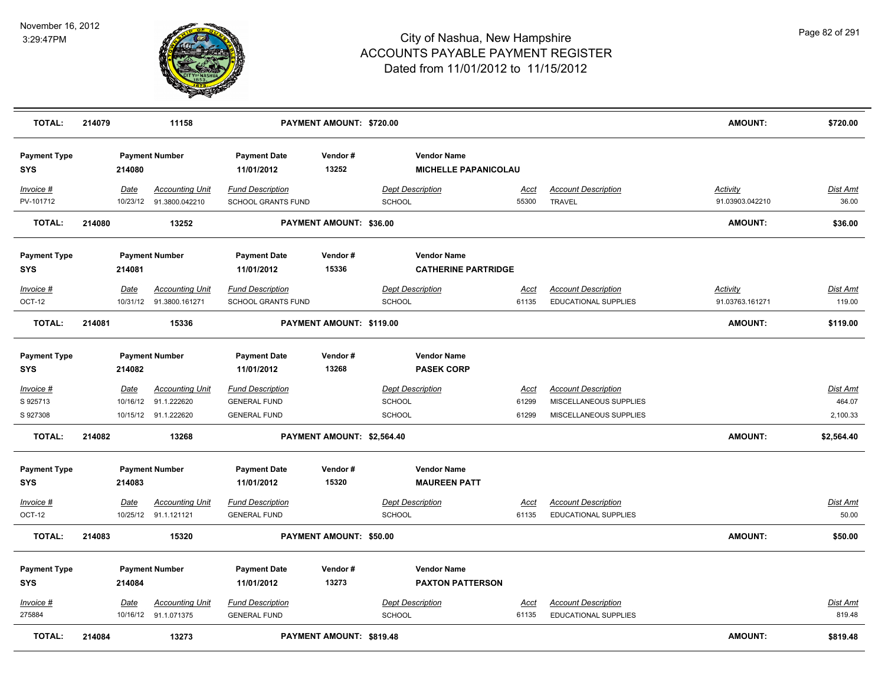

| <b>TOTAL:</b>                     | 214079 |             | 11158                                             | PAYMENT AMOUNT: \$720.00                             |                                                                       |                                                  |               |                                      | <b>AMOUNT:</b>                     | \$720.00          |
|-----------------------------------|--------|-------------|---------------------------------------------------|------------------------------------------------------|-----------------------------------------------------------------------|--------------------------------------------------|---------------|--------------------------------------|------------------------------------|-------------------|
| <b>Payment Type</b><br><b>SYS</b> |        | 214080      | <b>Payment Number</b>                             | <b>Payment Date</b><br>11/01/2012                    | Vendor#<br><b>Vendor Name</b><br>13252<br><b>MICHELLE PAPANICOLAU</b> |                                                  |               |                                      |                                    |                   |
| Invoice #<br>PV-101712            |        | Date        | <b>Accounting Unit</b><br>10/23/12 91.3800.042210 | <b>Fund Description</b><br><b>SCHOOL GRANTS FUND</b> |                                                                       | <b>Dept Description</b><br>SCHOOL                | Acct<br>55300 | <b>Account Description</b><br>TRAVEL | <b>Activity</b><br>91.03903.042210 | Dist Amt<br>36.00 |
| <b>TOTAL:</b>                     | 214080 |             | 13252                                             |                                                      | PAYMENT AMOUNT: \$36.00                                               |                                                  |               |                                      | AMOUNT:                            | \$36.00           |
| <b>Payment Type</b><br><b>SYS</b> |        | 214081      | <b>Payment Number</b>                             | <b>Payment Date</b><br>11/01/2012                    | Vendor#<br>15336                                                      | <b>Vendor Name</b><br><b>CATHERINE PARTRIDGE</b> |               |                                      |                                    |                   |
| Invoice #                         |        | Date        | <b>Accounting Unit</b>                            | <b>Fund Description</b>                              |                                                                       | <b>Dept Description</b>                          | <u>Acct</u>   | <b>Account Description</b>           | <b>Activity</b>                    | Dist Amt          |
| OCT-12                            |        |             | 10/31/12 91.3800.161271                           | <b>SCHOOL GRANTS FUND</b>                            |                                                                       | SCHOOL                                           | 61135         | <b>EDUCATIONAL SUPPLIES</b>          | 91.03763.161271                    | 119.00            |
| <b>TOTAL:</b>                     | 214081 |             | 15336                                             |                                                      | PAYMENT AMOUNT: \$119.00                                              |                                                  |               |                                      | <b>AMOUNT:</b>                     | \$119.00          |
| <b>Payment Type</b><br><b>SYS</b> |        | 214082      | <b>Payment Number</b>                             | <b>Payment Date</b><br>11/01/2012                    | Vendor#<br>13268                                                      | <b>Vendor Name</b><br><b>PASEK CORP</b>          |               |                                      |                                    |                   |
| <b>Invoice #</b>                  |        | <u>Date</u> | <b>Accounting Unit</b>                            | <b>Fund Description</b>                              |                                                                       | <b>Dept Description</b>                          | <u>Acct</u>   | <b>Account Description</b>           |                                    | <u>Dist Amt</u>   |
| S 925713                          |        | 10/16/12    | 91.1.222620                                       | <b>GENERAL FUND</b>                                  |                                                                       | SCHOOL                                           | 61299         | MISCELLANEOUS SUPPLIES               |                                    | 464.07            |
| S 927308                          |        |             | 10/15/12 91.1.222620                              | <b>GENERAL FUND</b>                                  |                                                                       | SCHOOL                                           | 61299         | MISCELLANEOUS SUPPLIES               |                                    | 2,100.33          |
| <b>TOTAL:</b>                     | 214082 |             | 13268                                             |                                                      | PAYMENT AMOUNT: \$2,564.40                                            |                                                  |               |                                      | <b>AMOUNT:</b>                     | \$2,564.40        |
| <b>Payment Type</b><br><b>SYS</b> |        | 214083      | <b>Payment Number</b>                             | <b>Payment Date</b><br>11/01/2012                    | Vendor#<br>15320                                                      | <b>Vendor Name</b><br><b>MAUREEN PATT</b>        |               |                                      |                                    |                   |
| Invoice #                         |        | <u>Date</u> | <b>Accounting Unit</b>                            | <b>Fund Description</b>                              |                                                                       | <b>Dept Description</b>                          | <u>Acct</u>   | <b>Account Description</b>           |                                    | <u>Dist Amt</u>   |
| OCT-12                            |        |             | 10/25/12 91.1.121121                              | <b>GENERAL FUND</b>                                  |                                                                       | SCHOOL                                           | 61135         | <b>EDUCATIONAL SUPPLIES</b>          |                                    | 50.00             |
| <b>TOTAL:</b>                     | 214083 |             | 15320                                             |                                                      | PAYMENT AMOUNT: \$50.00                                               |                                                  |               |                                      | <b>AMOUNT:</b>                     | \$50.00           |
| <b>Payment Type</b><br><b>SYS</b> |        | 214084      | <b>Payment Number</b>                             | <b>Payment Date</b><br>11/01/2012                    | Vendor#<br>13273                                                      | <b>Vendor Name</b><br><b>PAXTON PATTERSON</b>    |               |                                      |                                    |                   |
| $Invoice$ #                       |        | Date        | <b>Accounting Unit</b>                            | <b>Fund Description</b>                              |                                                                       | <b>Dept Description</b>                          | <u>Acct</u>   | <b>Account Description</b>           |                                    | <u>Dist Amt</u>   |
| 275884                            |        |             | 10/16/12 91.1.071375                              | <b>GENERAL FUND</b>                                  |                                                                       | <b>SCHOOL</b>                                    | 61135         | EDUCATIONAL SUPPLIES                 |                                    | 819.48            |
| <b>TOTAL:</b>                     | 214084 |             | 13273                                             |                                                      | PAYMENT AMOUNT: \$819.48                                              |                                                  |               |                                      | <b>AMOUNT:</b>                     | \$819.48          |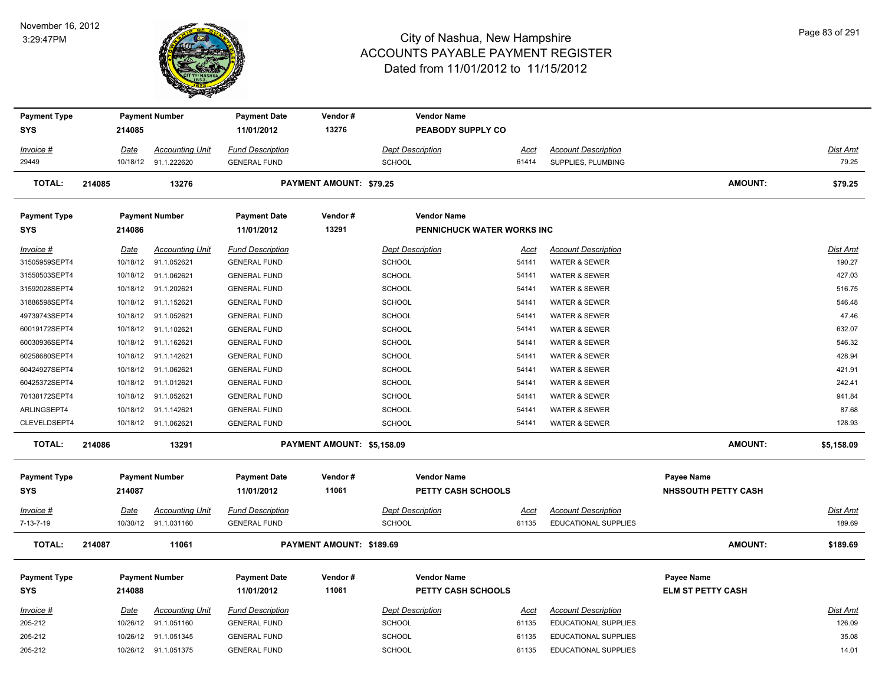#### November 16, 2012 3:29:47PM



| <b>Payment Type</b>               |             | <b>Payment Number</b>  | <b>Payment Date</b>     | Vendor#                    | <b>Vendor Name</b>         |               |                             |                            |                 |
|-----------------------------------|-------------|------------------------|-------------------------|----------------------------|----------------------------|---------------|-----------------------------|----------------------------|-----------------|
| <b>SYS</b>                        | 214085      |                        | 11/01/2012              | 13276                      | PEABODY SUPPLY CO          |               |                             |                            |                 |
| Invoice #                         | <b>Date</b> | <b>Accounting Unit</b> | <b>Fund Description</b> |                            | <b>Dept Description</b>    | <u>Acct</u>   | <b>Account Description</b>  |                            | <b>Dist Amt</b> |
| 29449                             |             | 10/18/12 91.1.222620   | <b>GENERAL FUND</b>     |                            | <b>SCHOOL</b>              | 61414         | SUPPLIES, PLUMBING          |                            | 79.25           |
|                                   |             |                        |                         |                            |                            |               |                             |                            |                 |
| <b>TOTAL:</b>                     | 214085      | 13276                  |                         | PAYMENT AMOUNT: \$79.25    |                            |               |                             | <b>AMOUNT:</b>             | \$79.25         |
| <b>Payment Type</b>               |             | <b>Payment Number</b>  | <b>Payment Date</b>     | Vendor#                    | <b>Vendor Name</b>         |               |                             |                            |                 |
| <b>SYS</b>                        | 214086      |                        | 11/01/2012              | 13291                      | PENNICHUCK WATER WORKS INC |               |                             |                            |                 |
|                                   |             | <b>Accounting Unit</b> | <b>Fund Description</b> |                            | <b>Dept Description</b>    |               | <b>Account Description</b>  |                            | <b>Dist Amt</b> |
| <u>Invoice #</u><br>31505959SEPT4 | Date        | 10/18/12 91.1.052621   | <b>GENERAL FUND</b>     |                            | <b>SCHOOL</b>              | Acct<br>54141 | <b>WATER &amp; SEWER</b>    |                            | 190.27          |
| 31550503SEPT4                     |             | 10/18/12 91.1.062621   | <b>GENERAL FUND</b>     |                            | <b>SCHOOL</b>              | 54141         | <b>WATER &amp; SEWER</b>    |                            | 427.03          |
| 31592028SEPT4                     |             | 10/18/12 91.1.202621   | <b>GENERAL FUND</b>     |                            | SCHOOL                     | 54141         | <b>WATER &amp; SEWER</b>    |                            | 516.75          |
| 31886598SEPT4                     |             | 10/18/12 91.1.152621   | <b>GENERAL FUND</b>     |                            | <b>SCHOOL</b>              | 54141         | <b>WATER &amp; SEWER</b>    |                            | 546.48          |
| 49739743SEPT4                     |             | 10/18/12 91.1.052621   | <b>GENERAL FUND</b>     |                            | <b>SCHOOL</b>              | 54141         | <b>WATER &amp; SEWER</b>    |                            | 47.46           |
| 60019172SEPT4                     |             | 10/18/12 91.1.102621   | <b>GENERAL FUND</b>     |                            | <b>SCHOOL</b>              | 54141         | <b>WATER &amp; SEWER</b>    |                            | 632.07          |
| 60030936SEPT4                     |             | 10/18/12 91.1.162621   | <b>GENERAL FUND</b>     |                            | <b>SCHOOL</b>              | 54141         | <b>WATER &amp; SEWER</b>    |                            | 546.32          |
| 60258680SEPT4                     |             | 10/18/12 91.1.142621   | <b>GENERAL FUND</b>     |                            | SCHOOL                     | 54141         | <b>WATER &amp; SEWER</b>    |                            | 428.94          |
| 60424927SEPT4                     |             | 10/18/12 91.1.062621   | <b>GENERAL FUND</b>     |                            | <b>SCHOOL</b>              | 54141         | <b>WATER &amp; SEWER</b>    |                            | 421.91          |
| 60425372SEPT4                     |             | 10/18/12 91.1.012621   | <b>GENERAL FUND</b>     |                            | <b>SCHOOL</b>              | 54141         | <b>WATER &amp; SEWER</b>    |                            | 242.41          |
| 70138172SEPT4                     |             | 10/18/12 91.1.052621   | <b>GENERAL FUND</b>     |                            | <b>SCHOOL</b>              | 54141         | <b>WATER &amp; SEWER</b>    |                            | 941.84          |
| ARLINGSEPT4                       |             | 10/18/12 91.1.142621   | <b>GENERAL FUND</b>     |                            | <b>SCHOOL</b>              | 54141         | <b>WATER &amp; SEWER</b>    |                            | 87.68           |
| CLEVELDSEPT4                      |             | 10/18/12 91.1.062621   | <b>GENERAL FUND</b>     |                            | <b>SCHOOL</b>              | 54141         | <b>WATER &amp; SEWER</b>    |                            | 128.93          |
| TOTAL:                            | 214086      | 13291                  |                         | PAYMENT AMOUNT: \$5,158.09 |                            |               |                             | <b>AMOUNT:</b>             | \$5,158.09      |
|                                   |             |                        |                         |                            |                            |               |                             |                            |                 |
| <b>Payment Type</b>               |             | <b>Payment Number</b>  | <b>Payment Date</b>     | Vendor#                    | <b>Vendor Name</b>         |               |                             | <b>Payee Name</b>          |                 |
| <b>SYS</b>                        | 214087      |                        | 11/01/2012              | 11061                      | PETTY CASH SCHOOLS         |               |                             | <b>NHSSOUTH PETTY CASH</b> |                 |
| <u>Invoice #</u>                  | <u>Date</u> | <b>Accounting Unit</b> | <b>Fund Description</b> |                            | <b>Dept Description</b>    | <u>Acct</u>   | <b>Account Description</b>  |                            | Dist Amt        |
| $7 - 13 - 7 - 19$                 |             | 10/30/12 91.1.031160   | <b>GENERAL FUND</b>     |                            | SCHOOL                     | 61135         | EDUCATIONAL SUPPLIES        |                            | 189.69          |
| <b>TOTAL:</b>                     | 214087      | 11061                  |                         | PAYMENT AMOUNT: \$189.69   |                            |               |                             | <b>AMOUNT:</b>             | \$189.69        |
|                                   |             |                        |                         |                            |                            |               |                             |                            |                 |
| <b>Payment Type</b>               |             | <b>Payment Number</b>  | <b>Payment Date</b>     | Vendor#                    | <b>Vendor Name</b>         |               |                             | Payee Name                 |                 |
| <b>SYS</b>                        | 214088      |                        | 11/01/2012              | 11061                      | PETTY CASH SCHOOLS         |               |                             | <b>ELM ST PETTY CASH</b>   |                 |
| Invoice #                         | Date        | <b>Accounting Unit</b> | <b>Fund Description</b> |                            | <b>Dept Description</b>    | <u>Acct</u>   | <b>Account Description</b>  |                            | <b>Dist Amt</b> |
| 205-212                           |             | 10/26/12 91.1.051160   | <b>GENERAL FUND</b>     |                            | <b>SCHOOL</b>              | 61135         | <b>EDUCATIONAL SUPPLIES</b> |                            | 126.09          |
| 205-212                           |             | 10/26/12 91.1.051345   | <b>GENERAL FUND</b>     |                            | <b>SCHOOL</b>              | 61135         | EDUCATIONAL SUPPLIES        |                            | 35.08           |
| 205-212                           |             | 10/26/12 91.1.051375   | <b>GENERAL FUND</b>     |                            | <b>SCHOOL</b>              | 61135         | EDUCATIONAL SUPPLIES        |                            | 14.01           |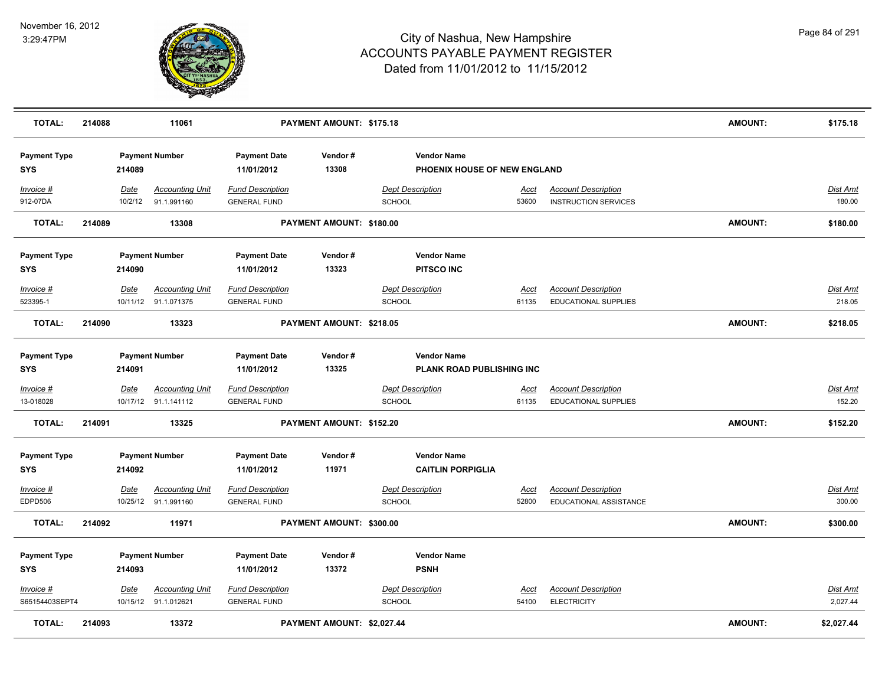

| <b>TOTAL:</b>                     | 214088 |                 | 11061                                          |                                                | PAYMENT AMOUNT: \$175.18   |                                                    |                      |                                                           | AMOUNT:        | \$175.18                  |
|-----------------------------------|--------|-----------------|------------------------------------------------|------------------------------------------------|----------------------------|----------------------------------------------------|----------------------|-----------------------------------------------------------|----------------|---------------------------|
| <b>Payment Type</b><br><b>SYS</b> |        | 214089          | <b>Payment Number</b>                          | <b>Payment Date</b><br>11/01/2012              | Vendor#<br>13308           | <b>Vendor Name</b><br>PHOENIX HOUSE OF NEW ENGLAND |                      |                                                           |                |                           |
| Invoice #<br>912-07DA             |        | Date<br>10/2/12 | <b>Accounting Unit</b><br>91.1.991160          | <b>Fund Description</b><br><b>GENERAL FUND</b> |                            | <b>Dept Description</b><br><b>SCHOOL</b>           | <u>Acct</u><br>53600 | <b>Account Description</b><br><b>INSTRUCTION SERVICES</b> |                | <b>Dist Amt</b><br>180.00 |
| <b>TOTAL:</b>                     | 214089 |                 | 13308                                          |                                                | PAYMENT AMOUNT: \$180.00   |                                                    |                      |                                                           | <b>AMOUNT:</b> | \$180.00                  |
| <b>Payment Type</b>               |        |                 | <b>Payment Number</b>                          | <b>Payment Date</b>                            | Vendor#                    | <b>Vendor Name</b>                                 |                      |                                                           |                |                           |
| <b>SYS</b>                        |        | 214090          |                                                | 11/01/2012                                     | 13323                      | <b>PITSCO INC</b>                                  |                      |                                                           |                |                           |
| Invoice #                         |        | Date            | <b>Accounting Unit</b>                         | <b>Fund Description</b>                        |                            | <b>Dept Description</b>                            | <u>Acct</u>          | <b>Account Description</b>                                |                | Dist Amt                  |
| 523395-1                          |        |                 | 10/11/12 91.1.071375                           | <b>GENERAL FUND</b>                            |                            | <b>SCHOOL</b>                                      | 61135                | EDUCATIONAL SUPPLIES                                      |                | 218.05                    |
| <b>TOTAL:</b>                     | 214090 |                 | 13323                                          |                                                | PAYMENT AMOUNT: \$218.05   |                                                    |                      |                                                           | <b>AMOUNT:</b> | \$218.05                  |
| <b>Payment Type</b>               |        |                 | <b>Payment Number</b>                          | <b>Payment Date</b>                            | Vendor#                    | <b>Vendor Name</b>                                 |                      |                                                           |                |                           |
| <b>SYS</b>                        |        | 214091          |                                                | 11/01/2012                                     | 13325                      | PLANK ROAD PUBLISHING INC                          |                      |                                                           |                |                           |
| Invoice #                         |        | <b>Date</b>     | <b>Accounting Unit</b>                         | <b>Fund Description</b>                        |                            | <b>Dept Description</b>                            | <u>Acct</u>          | <b>Account Description</b>                                |                | <u>Dist Amt</u>           |
| 13-018028                         |        |                 | 10/17/12 91.1.141112                           | <b>GENERAL FUND</b>                            |                            | <b>SCHOOL</b>                                      | 61135                | <b>EDUCATIONAL SUPPLIES</b>                               |                | 152.20                    |
| <b>TOTAL:</b>                     | 214091 |                 | 13325                                          |                                                | PAYMENT AMOUNT: \$152.20   |                                                    |                      |                                                           | <b>AMOUNT:</b> | \$152.20                  |
| <b>Payment Type</b><br><b>SYS</b> |        | 214092          | <b>Payment Number</b>                          | <b>Payment Date</b><br>11/01/2012              | Vendor#<br>11971           | <b>Vendor Name</b><br><b>CAITLIN PORPIGLIA</b>     |                      |                                                           |                |                           |
|                                   |        |                 |                                                |                                                |                            |                                                    |                      |                                                           |                |                           |
| Invoice #                         |        | Date            | <b>Accounting Unit</b>                         | <b>Fund Description</b>                        |                            | <b>Dept Description</b>                            | Acct                 | <b>Account Description</b>                                |                | Dist Amt                  |
| EDPD506                           |        |                 | 10/25/12 91.1.991160                           | <b>GENERAL FUND</b>                            |                            | SCHOOL                                             | 52800                | EDUCATIONAL ASSISTANCE                                    |                | 300.00                    |
| <b>TOTAL:</b>                     | 214092 |                 | 11971                                          |                                                | PAYMENT AMOUNT: \$300.00   |                                                    |                      |                                                           | <b>AMOUNT:</b> | \$300.00                  |
| <b>Payment Type</b>               |        |                 | <b>Payment Number</b>                          | <b>Payment Date</b>                            | Vendor#                    | <b>Vendor Name</b>                                 |                      |                                                           |                |                           |
| <b>SYS</b>                        |        | 214093          |                                                | 11/01/2012                                     | 13372                      | <b>PSNH</b>                                        |                      |                                                           |                |                           |
| $Invoice$ #<br>S65154403SEPT4     |        | Date            | <b>Accounting Unit</b><br>10/15/12 91.1.012621 | <b>Fund Description</b><br><b>GENERAL FUND</b> |                            | <b>Dept Description</b><br>SCHOOL                  | <b>Acct</b><br>54100 | <b>Account Description</b><br><b>ELECTRICITY</b>          |                | Dist Amt<br>2,027.44      |
| <b>TOTAL:</b>                     | 214093 |                 | 13372                                          |                                                | PAYMENT AMOUNT: \$2,027.44 |                                                    |                      |                                                           | <b>AMOUNT:</b> | \$2,027.44                |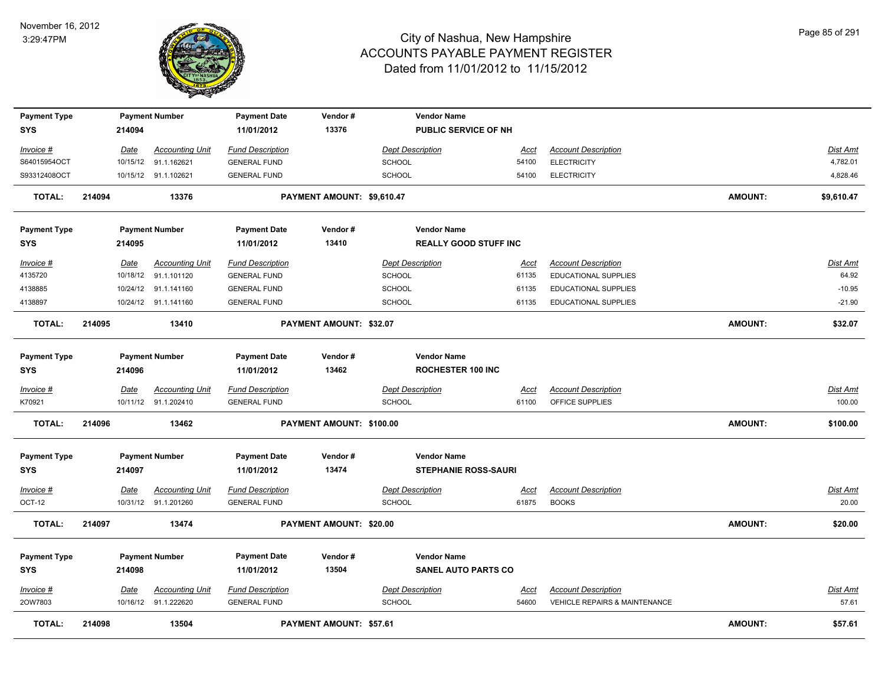

| <b>Payment Type</b><br><b>SYS</b> |        | 214094   | <b>Payment Number</b>  | <b>Payment Date</b><br>11/01/2012 | Vendor#<br>13376           | <b>Vendor Name</b><br>PUBLIC SERVICE OF NH        |             |                               |                |                 |
|-----------------------------------|--------|----------|------------------------|-----------------------------------|----------------------------|---------------------------------------------------|-------------|-------------------------------|----------------|-----------------|
| Invoice #                         |        | Date     | <b>Accounting Unit</b> | <b>Fund Description</b>           |                            | <b>Dept Description</b>                           | <u>Acct</u> | <b>Account Description</b>    |                | <b>Dist Amt</b> |
| S64015954OCT                      |        | 10/15/12 | 91.1.162621            | <b>GENERAL FUND</b>               |                            | SCHOOL                                            | 54100       | <b>ELECTRICITY</b>            |                | 4,782.01        |
| S93312408OCT                      |        |          | 10/15/12 91.1.102621   | <b>GENERAL FUND</b>               |                            | SCHOOL                                            | 54100       | <b>ELECTRICITY</b>            |                | 4,828.46        |
| TOTAL:                            | 214094 |          | 13376                  |                                   | PAYMENT AMOUNT: \$9,610.47 |                                                   |             |                               | AMOUNT:        | \$9,610.47      |
| <b>Payment Type</b>               |        |          | <b>Payment Number</b>  | <b>Payment Date</b>               | Vendor#                    | <b>Vendor Name</b>                                |             |                               |                |                 |
| <b>SYS</b>                        |        | 214095   |                        | 11/01/2012                        | 13410                      | <b>REALLY GOOD STUFF INC</b>                      |             |                               |                |                 |
| Invoice #                         |        | Date     | <b>Accounting Unit</b> | <b>Fund Description</b>           |                            | <b>Dept Description</b>                           | Acct        | <b>Account Description</b>    |                | <b>Dist Amt</b> |
| 4135720                           |        |          | 10/18/12 91.1.101120   | <b>GENERAL FUND</b>               |                            | <b>SCHOOL</b>                                     | 61135       | <b>EDUCATIONAL SUPPLIES</b>   |                | 64.92           |
| 4138885                           |        |          | 10/24/12 91.1.141160   | <b>GENERAL FUND</b>               |                            | <b>SCHOOL</b>                                     | 61135       | <b>EDUCATIONAL SUPPLIES</b>   |                | $-10.95$        |
| 4138897                           |        |          | 10/24/12 91.1.141160   | <b>GENERAL FUND</b>               |                            | <b>SCHOOL</b>                                     | 61135       | <b>EDUCATIONAL SUPPLIES</b>   |                | $-21.90$        |
| <b>TOTAL:</b>                     | 214095 |          | 13410                  |                                   | PAYMENT AMOUNT: \$32.07    |                                                   |             |                               | AMOUNT:        | \$32.07         |
| <b>Payment Type</b><br><b>SYS</b> |        | 214096   | <b>Payment Number</b>  | <b>Payment Date</b><br>11/01/2012 | Vendor#<br>13462           | <b>Vendor Name</b><br><b>ROCHESTER 100 INC</b>    |             |                               |                |                 |
| Invoice #                         |        | Date     | <b>Accounting Unit</b> | <b>Fund Description</b>           |                            | <b>Dept Description</b>                           | Acct        | <b>Account Description</b>    |                | Dist Amt        |
| K70921                            |        |          | 10/11/12 91.1.202410   | <b>GENERAL FUND</b>               |                            | <b>SCHOOL</b>                                     | 61100       | OFFICE SUPPLIES               |                | 100.00          |
| <b>TOTAL:</b>                     | 214096 |          | 13462                  |                                   | PAYMENT AMOUNT: \$100.00   |                                                   |             |                               | <b>AMOUNT:</b> | \$100.00        |
| <b>Payment Type</b><br><b>SYS</b> |        | 214097   | <b>Payment Number</b>  | <b>Payment Date</b><br>11/01/2012 | Vendor#<br>13474           | <b>Vendor Name</b><br><b>STEPHANIE ROSS-SAURI</b> |             |                               |                |                 |
| $Invoice$ #                       |        | Date     | <b>Accounting Unit</b> | <b>Fund Description</b>           |                            | <b>Dept Description</b>                           | <u>Acct</u> | <b>Account Description</b>    |                | <b>Dist Amt</b> |
| OCT-12                            |        |          | 10/31/12 91.1.201260   | <b>GENERAL FUND</b>               |                            | <b>SCHOOL</b>                                     | 61875       | <b>BOOKS</b>                  |                | 20.00           |
| <b>TOTAL:</b>                     | 214097 |          | 13474                  |                                   | PAYMENT AMOUNT: \$20.00    |                                                   |             |                               | <b>AMOUNT:</b> | \$20.00         |
| <b>Payment Type</b>               |        |          | <b>Payment Number</b>  | <b>Payment Date</b>               | Vendor#                    | <b>Vendor Name</b>                                |             |                               |                |                 |
| <b>SYS</b>                        |        | 214098   |                        | 11/01/2012                        | 13504                      | <b>SANEL AUTO PARTS CO</b>                        |             |                               |                |                 |
| Invoice #                         |        | Date     | <b>Accounting Unit</b> | <b>Fund Description</b>           |                            | <b>Dept Description</b>                           | Acct        | <b>Account Description</b>    |                | <b>Dist Amt</b> |
| 20W7803                           |        |          | 10/16/12 91.1.222620   | <b>GENERAL FUND</b>               |                            | SCHOOL                                            | 54600       | VEHICLE REPAIRS & MAINTENANCE |                | 57.61           |
| <b>TOTAL:</b>                     | 214098 |          | 13504                  |                                   | PAYMENT AMOUNT: \$57.61    |                                                   |             |                               | <b>AMOUNT:</b> | \$57.61         |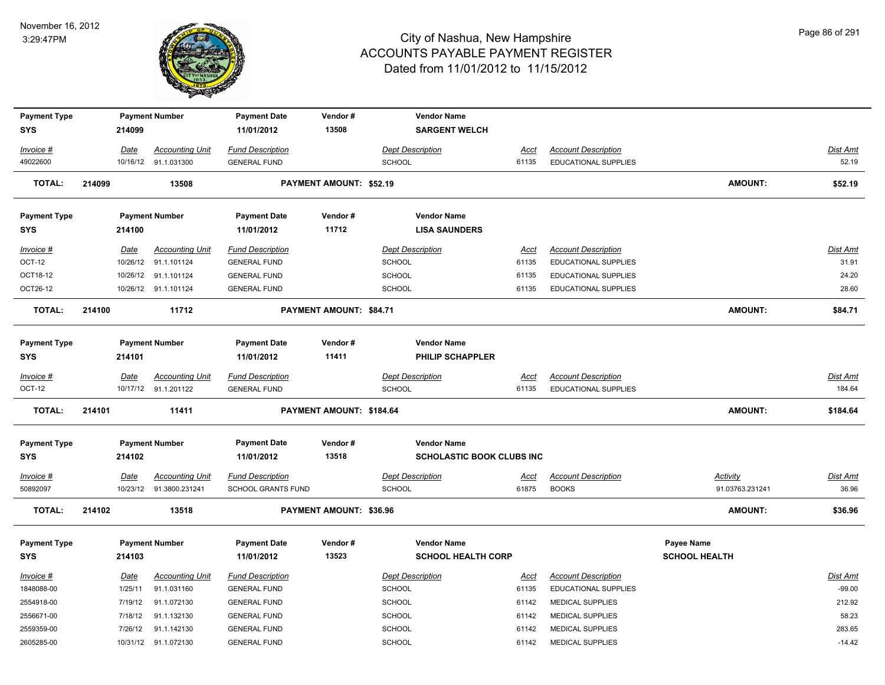

| <b>Payment Type</b>               |        |                  | <b>Payment Number</b>                             | <b>Payment Date</b>                            | Vendor#                        | <b>Vendor Name</b>                                     |                      |                                                           |                                           |                          |
|-----------------------------------|--------|------------------|---------------------------------------------------|------------------------------------------------|--------------------------------|--------------------------------------------------------|----------------------|-----------------------------------------------------------|-------------------------------------------|--------------------------|
| <b>SYS</b>                        |        | 214099           |                                                   | 11/01/2012                                     | 13508                          | <b>SARGENT WELCH</b>                                   |                      |                                                           |                                           |                          |
| Invoice #                         |        | Date             | <b>Accounting Unit</b>                            | <b>Fund Description</b>                        |                                | <b>Dept Description</b>                                | Acct                 | <b>Account Description</b>                                |                                           | Dist Amt                 |
| 49022600                          |        |                  | 10/16/12 91.1.031300                              | <b>GENERAL FUND</b>                            |                                | <b>SCHOOL</b>                                          | 61135                | <b>EDUCATIONAL SUPPLIES</b>                               |                                           | 52.19                    |
| <b>TOTAL:</b>                     | 214099 |                  | 13508                                             |                                                | PAYMENT AMOUNT: \$52.19        |                                                        |                      |                                                           | <b>AMOUNT:</b>                            | \$52.19                  |
| <b>Payment Type</b>               |        |                  | <b>Payment Number</b>                             | <b>Payment Date</b>                            | Vendor#                        | <b>Vendor Name</b>                                     |                      |                                                           |                                           |                          |
| <b>SYS</b>                        |        | 214100           |                                                   | 11/01/2012                                     | 11712                          | <b>LISA SAUNDERS</b>                                   |                      |                                                           |                                           |                          |
| Invoice #<br>OCT-12               |        | Date<br>10/26/12 | <b>Accounting Unit</b><br>91.1.101124             | <b>Fund Description</b><br><b>GENERAL FUND</b> |                                | <b>Dept Description</b><br><b>SCHOOL</b>               | Acct<br>61135        | <b>Account Description</b><br><b>EDUCATIONAL SUPPLIES</b> |                                           | Dist Amt<br>31.91        |
| OCT18-12                          |        | 10/26/12         | 91.1.101124                                       | <b>GENERAL FUND</b>                            |                                | <b>SCHOOL</b>                                          | 61135                | EDUCATIONAL SUPPLIES                                      |                                           | 24.20                    |
| OCT26-12                          |        |                  | 10/26/12 91.1.101124                              | <b>GENERAL FUND</b>                            |                                | <b>SCHOOL</b>                                          | 61135                | EDUCATIONAL SUPPLIES                                      |                                           | 28.60                    |
| <b>TOTAL:</b>                     | 214100 |                  | 11712                                             |                                                | <b>PAYMENT AMOUNT: \$84.71</b> |                                                        |                      |                                                           | <b>AMOUNT:</b>                            | \$84.71                  |
| <b>Payment Type</b><br><b>SYS</b> |        | 214101           | <b>Payment Number</b>                             | <b>Payment Date</b><br>11/01/2012              | Vendor#<br>11411               | <b>Vendor Name</b><br><b>PHILIP SCHAPPLER</b>          |                      |                                                           |                                           |                          |
| Invoice #                         |        | Date             | <b>Accounting Unit</b>                            | <b>Fund Description</b>                        |                                | <b>Dept Description</b>                                | Acct                 | <b>Account Description</b>                                |                                           | Dist Amt                 |
| OCT-12                            |        |                  | 10/17/12 91.1.201122                              | <b>GENERAL FUND</b>                            |                                | <b>SCHOOL</b>                                          | 61135                | EDUCATIONAL SUPPLIES                                      |                                           | 184.64                   |
| <b>TOTAL:</b>                     | 214101 |                  | 11411                                             |                                                | PAYMENT AMOUNT: \$184.64       |                                                        |                      |                                                           | <b>AMOUNT:</b>                            | \$184.64                 |
| <b>Payment Type</b><br><b>SYS</b> |        | 214102           | <b>Payment Number</b>                             | <b>Payment Date</b><br>11/01/2012              | Vendor#<br>13518               | <b>Vendor Name</b><br><b>SCHOLASTIC BOOK CLUBS INC</b> |                      |                                                           |                                           |                          |
|                                   |        |                  |                                                   |                                                |                                |                                                        |                      |                                                           |                                           |                          |
| Invoice #<br>50892097             |        | <b>Date</b>      | <b>Accounting Unit</b><br>10/23/12 91.3800.231241 | <b>Fund Description</b><br>SCHOOL GRANTS FUND  |                                | <b>Dept Description</b><br><b>SCHOOL</b>               | <u>Acct</u><br>61875 | <b>Account Description</b><br><b>BOOKS</b>                | <b>Activity</b><br>91.03763.231241        | <u>Dist Amt</u><br>36.96 |
| <b>TOTAL:</b>                     | 214102 |                  | 13518                                             |                                                | PAYMENT AMOUNT: \$36.96        |                                                        |                      |                                                           | <b>AMOUNT:</b>                            | \$36.96                  |
|                                   |        |                  |                                                   |                                                |                                |                                                        |                      |                                                           |                                           |                          |
| <b>Payment Type</b><br><b>SYS</b> |        | 214103           | <b>Payment Number</b>                             | <b>Payment Date</b><br>11/01/2012              | Vendor#<br>13523               | <b>Vendor Name</b><br><b>SCHOOL HEALTH CORP</b>        |                      |                                                           | <b>Payee Name</b><br><b>SCHOOL HEALTH</b> |                          |
| Invoice #                         |        | Date             | <b>Accounting Unit</b>                            | <b>Fund Description</b>                        |                                | <b>Dept Description</b>                                | Acct                 | <b>Account Description</b>                                |                                           | Dist Amt                 |
| 1848088-00                        |        | 1/25/11          | 91.1.031160                                       | <b>GENERAL FUND</b>                            |                                | <b>SCHOOL</b>                                          | 61135                | EDUCATIONAL SUPPLIES                                      |                                           | $-99.00$                 |
| 2554918-00                        |        | 7/19/12          | 91.1.072130                                       | <b>GENERAL FUND</b>                            |                                | <b>SCHOOL</b>                                          | 61142                | <b>MEDICAL SUPPLIES</b>                                   |                                           | 212.92                   |
| 2556671-00                        |        | 7/18/12          | 91.1.132130                                       | <b>GENERAL FUND</b>                            |                                | <b>SCHOOL</b>                                          | 61142                | <b>MEDICAL SUPPLIES</b>                                   |                                           | 58.23                    |
| 2559359-00                        |        | 7/26/12          | 91.1.142130                                       | <b>GENERAL FUND</b>                            |                                | <b>SCHOOL</b>                                          | 61142                | <b>MEDICAL SUPPLIES</b>                                   |                                           | 283.65                   |
| 2605285-00                        |        |                  | 10/31/12 91.1.072130                              | <b>GENERAL FUND</b>                            |                                | SCHOOL                                                 | 61142                | <b>MEDICAL SUPPLIES</b>                                   |                                           | $-14.42$                 |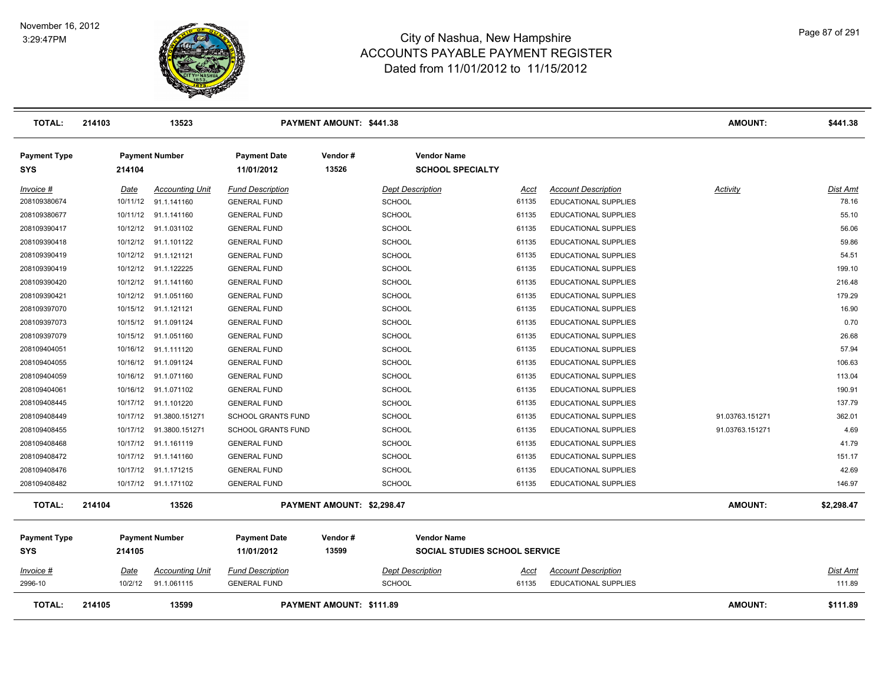

| <b>TOTAL:</b>                     | 214103   | 13523                  |                                   | PAYMENT AMOUNT: \$441.38   |                                               |       |                             | AMOUNT:         | \$441.38   |
|-----------------------------------|----------|------------------------|-----------------------------------|----------------------------|-----------------------------------------------|-------|-----------------------------|-----------------|------------|
| <b>Payment Type</b><br><b>SYS</b> | 214104   | <b>Payment Number</b>  | <b>Payment Date</b><br>11/01/2012 | Vendor#<br>13526           | <b>Vendor Name</b><br><b>SCHOOL SPECIALTY</b> |       |                             |                 |            |
| Invoice #                         | Date     | <b>Accounting Unit</b> | <b>Fund Description</b>           |                            | <b>Dept Description</b>                       | Acct  | <b>Account Description</b>  | Activity        | Dist Amt   |
| 208109380674                      | 10/11/12 | 91.1.141160            | <b>GENERAL FUND</b>               | <b>SCHOOL</b>              |                                               | 61135 | EDUCATIONAL SUPPLIES        |                 | 78.16      |
| 208109380677                      | 10/11/12 | 91.1.141160            | <b>GENERAL FUND</b>               | <b>SCHOOL</b>              |                                               | 61135 | EDUCATIONAL SUPPLIES        |                 | 55.10      |
| 208109390417                      | 10/12/12 | 91.1.031102            | <b>GENERAL FUND</b>               | <b>SCHOOL</b>              |                                               | 61135 | EDUCATIONAL SUPPLIES        |                 | 56.06      |
| 208109390418                      | 10/12/12 | 91.1.101122            | <b>GENERAL FUND</b>               | <b>SCHOOL</b>              |                                               | 61135 | EDUCATIONAL SUPPLIES        |                 | 59.86      |
| 208109390419                      | 10/12/12 | 91.1.121121            | <b>GENERAL FUND</b>               | <b>SCHOOL</b>              |                                               | 61135 | EDUCATIONAL SUPPLIES        |                 | 54.51      |
| 208109390419                      | 10/12/12 | 91.1.122225            | <b>GENERAL FUND</b>               | <b>SCHOOL</b>              |                                               | 61135 | EDUCATIONAL SUPPLIES        |                 | 199.10     |
| 208109390420                      | 10/12/12 | 91.1.141160            | <b>GENERAL FUND</b>               | <b>SCHOOL</b>              |                                               | 61135 | <b>EDUCATIONAL SUPPLIES</b> |                 | 216.48     |
| 208109390421                      | 10/12/12 | 91.1.051160            | <b>GENERAL FUND</b>               | SCHOOL                     |                                               | 61135 | <b>EDUCATIONAL SUPPLIES</b> |                 | 179.29     |
| 208109397070                      | 10/15/12 | 91.1.121121            | <b>GENERAL FUND</b>               | SCHOOL                     |                                               | 61135 | EDUCATIONAL SUPPLIES        |                 | 16.90      |
| 208109397073                      | 10/15/12 | 91.1.091124            | <b>GENERAL FUND</b>               | <b>SCHOOL</b>              |                                               | 61135 | EDUCATIONAL SUPPLIES        |                 | 0.70       |
| 208109397079                      | 10/15/12 | 91.1.051160            | <b>GENERAL FUND</b>               | <b>SCHOOL</b>              |                                               | 61135 | EDUCATIONAL SUPPLIES        |                 | 26.68      |
| 208109404051                      | 10/16/12 | 91.1.111120            | <b>GENERAL FUND</b>               | <b>SCHOOL</b>              |                                               | 61135 | EDUCATIONAL SUPPLIES        |                 | 57.94      |
| 208109404055                      | 10/16/12 | 91.1.091124            | <b>GENERAL FUND</b>               | <b>SCHOOL</b>              |                                               | 61135 | EDUCATIONAL SUPPLIES        |                 | 106.63     |
| 208109404059                      | 10/16/12 | 91.1.071160            | <b>GENERAL FUND</b>               | <b>SCHOOL</b>              |                                               | 61135 | EDUCATIONAL SUPPLIES        |                 | 113.04     |
| 208109404061                      | 10/16/12 | 91.1.071102            | <b>GENERAL FUND</b>               | <b>SCHOOL</b>              |                                               | 61135 | <b>EDUCATIONAL SUPPLIES</b> |                 | 190.91     |
| 208109408445                      | 10/17/12 | 91.1.101220            | <b>GENERAL FUND</b>               | <b>SCHOOL</b>              |                                               | 61135 | EDUCATIONAL SUPPLIES        |                 | 137.79     |
| 208109408449                      | 10/17/12 | 91.3800.151271         | <b>SCHOOL GRANTS FUND</b>         | <b>SCHOOL</b>              |                                               | 61135 | <b>EDUCATIONAL SUPPLIES</b> | 91.03763.151271 | 362.01     |
| 208109408455                      | 10/17/12 | 91.3800.151271         | <b>SCHOOL GRANTS FUND</b>         | <b>SCHOOL</b>              |                                               | 61135 | <b>EDUCATIONAL SUPPLIES</b> | 91.03763.151271 | 4.69       |
| 208109408468                      | 10/17/12 | 91.1.161119            | <b>GENERAL FUND</b>               | <b>SCHOOL</b>              |                                               | 61135 | EDUCATIONAL SUPPLIES        |                 | 41.79      |
| 208109408472                      | 10/17/12 | 91.1.141160            | <b>GENERAL FUND</b>               | <b>SCHOOL</b>              |                                               | 61135 | <b>EDUCATIONAL SUPPLIES</b> |                 | 151.17     |
| 208109408476                      | 10/17/12 | 91.1.171215            | <b>GENERAL FUND</b>               | <b>SCHOOL</b>              |                                               | 61135 | EDUCATIONAL SUPPLIES        |                 | 42.69      |
| 208109408482                      |          | 10/17/12 91.1.171102   | <b>GENERAL FUND</b>               | <b>SCHOOL</b>              |                                               | 61135 | EDUCATIONAL SUPPLIES        |                 | 146.97     |
| <b>TOTAL:</b>                     | 214104   | 13526                  |                                   | PAYMENT AMOUNT: \$2,298.47 |                                               |       |                             | AMOUNT:         | \$2,298.47 |
| <b>Payment Type</b>               |          | <b>Payment Number</b>  | <b>Payment Date</b>               | Vendor#                    | <b>Vendor Name</b>                            |       |                             |                 |            |
| <b>SYS</b>                        | 214105   |                        | 11/01/2012                        | 13599                      | SOCIAL STUDIES SCHOOL SERVICE                 |       |                             |                 |            |
| <i>Invoice</i> #                  | Date     | <b>Accounting Unit</b> | <b>Fund Description</b>           |                            | <b>Dept Description</b>                       | Acct  | <b>Account Description</b>  |                 | Dist Amt   |
| 2996-10                           | 10/2/12  | 91.1.061115            | <b>GENERAL FUND</b>               | SCHOOL                     |                                               | 61135 | EDUCATIONAL SUPPLIES        |                 | 111.89     |
| <b>TOTAL:</b>                     | 214105   | 13599                  |                                   | PAYMENT AMOUNT: \$111.89   |                                               |       |                             | <b>AMOUNT:</b>  | \$111.89   |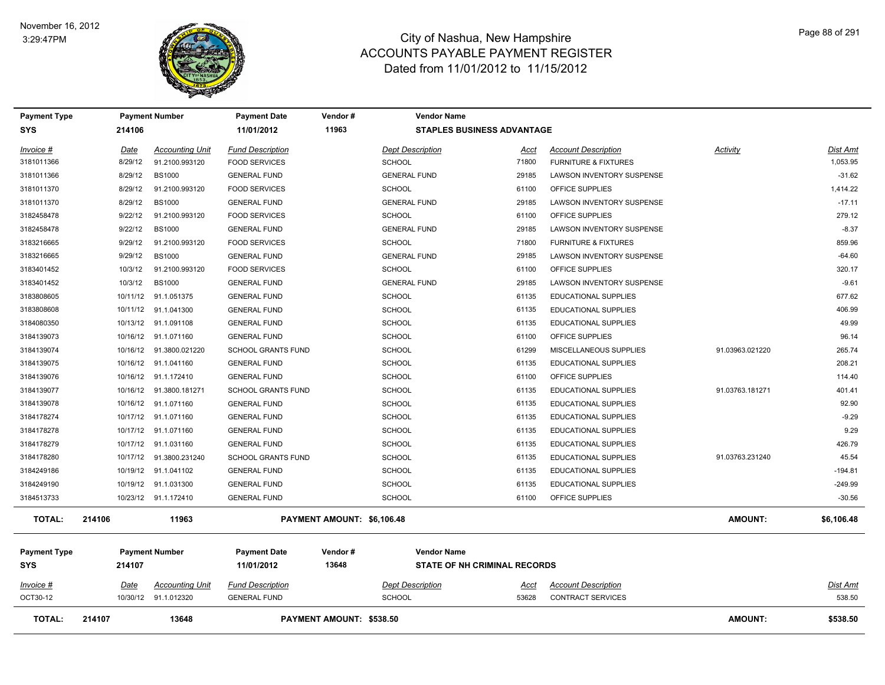

| Payment Type        |          | <b>Payment Number</b>    | <b>Payment Date</b>       | Vendor #                        | <b>Vendor Name</b>      |                                     |                                 |                 |                 |
|---------------------|----------|--------------------------|---------------------------|---------------------------------|-------------------------|-------------------------------------|---------------------------------|-----------------|-----------------|
| <b>SYS</b>          | 214106   |                          | 11/01/2012                | 11963                           |                         | <b>STAPLES BUSINESS ADVANTAGE</b>   |                                 |                 |                 |
| Invoice #           | Date     | <b>Accounting Unit</b>   | <b>Fund Description</b>   |                                 | <b>Dept Description</b> | <u>Acct</u>                         | <b>Account Description</b>      | Activity        | <b>Dist Amt</b> |
| 3181011366          | 8/29/12  | 91.2100.993120           | <b>FOOD SERVICES</b>      |                                 | <b>SCHOOL</b>           | 71800                               | <b>FURNITURE &amp; FIXTURES</b> |                 | 1,053.95        |
| 3181011366          | 8/29/12  | <b>BS1000</b>            | <b>GENERAL FUND</b>       |                                 | <b>GENERAL FUND</b>     | 29185                               | LAWSON INVENTORY SUSPENSE       |                 | $-31.62$        |
| 3181011370          | 8/29/12  | 91.2100.993120           | <b>FOOD SERVICES</b>      |                                 | <b>SCHOOL</b>           | 61100                               | OFFICE SUPPLIES                 |                 | 1,414.22        |
| 3181011370          | 8/29/12  | <b>BS1000</b>            | <b>GENERAL FUND</b>       |                                 | <b>GENERAL FUND</b>     | 29185                               | LAWSON INVENTORY SUSPENSE       |                 | $-17.11$        |
| 3182458478          | 9/22/12  | 91.2100.993120           | <b>FOOD SERVICES</b>      |                                 | <b>SCHOOL</b>           | 61100                               | OFFICE SUPPLIES                 |                 | 279.12          |
| 3182458478          | 9/22/12  | <b>BS1000</b>            | <b>GENERAL FUND</b>       |                                 | <b>GENERAL FUND</b>     | 29185                               | LAWSON INVENTORY SUSPENSE       |                 | $-8.37$         |
| 3183216665          | 9/29/12  | 91.2100.993120           | <b>FOOD SERVICES</b>      |                                 | <b>SCHOOL</b>           | 71800                               | <b>FURNITURE &amp; FIXTURES</b> |                 | 859.96          |
| 3183216665          | 9/29/12  | <b>BS1000</b>            | <b>GENERAL FUND</b>       |                                 | <b>GENERAL FUND</b>     | 29185                               | LAWSON INVENTORY SUSPENSE       |                 | $-64.60$        |
| 3183401452          | 10/3/12  | 91.2100.993120           | <b>FOOD SERVICES</b>      |                                 | <b>SCHOOL</b>           | 61100                               | OFFICE SUPPLIES                 |                 | 320.17          |
| 3183401452          | 10/3/12  | <b>BS1000</b>            | <b>GENERAL FUND</b>       |                                 | <b>GENERAL FUND</b>     | 29185                               | LAWSON INVENTORY SUSPENSE       |                 | $-9.61$         |
| 3183808605          | 10/11/12 | 91.1.051375              | <b>GENERAL FUND</b>       |                                 | <b>SCHOOL</b>           | 61135                               | <b>EDUCATIONAL SUPPLIES</b>     |                 | 677.62          |
| 3183808608          |          | 10/11/12 91.1.041300     | <b>GENERAL FUND</b>       |                                 | <b>SCHOOL</b>           | 61135                               | <b>EDUCATIONAL SUPPLIES</b>     |                 | 406.99          |
| 3184080350          |          | 10/13/12 91.1.091108     | <b>GENERAL FUND</b>       |                                 | <b>SCHOOL</b>           | 61135                               | <b>EDUCATIONAL SUPPLIES</b>     |                 | 49.99           |
| 3184139073          |          | 10/16/12 91.1.071160     | <b>GENERAL FUND</b>       |                                 | <b>SCHOOL</b>           | 61100                               | OFFICE SUPPLIES                 |                 | 96.14           |
| 3184139074          |          | 10/16/12  91.3800.021220 | <b>SCHOOL GRANTS FUND</b> |                                 | <b>SCHOOL</b>           | 61299                               | MISCELLANEOUS SUPPLIES          | 91.03963.021220 | 265.74          |
| 3184139075          |          | 10/16/12 91.1.041160     | <b>GENERAL FUND</b>       |                                 | <b>SCHOOL</b>           | 61135                               | <b>EDUCATIONAL SUPPLIES</b>     |                 | 208.21          |
| 3184139076          |          | 10/16/12 91.1.172410     | <b>GENERAL FUND</b>       |                                 | <b>SCHOOL</b>           | 61100                               | OFFICE SUPPLIES                 |                 | 114.40          |
| 3184139077          |          | 10/16/12 91.3800.181271  | <b>SCHOOL GRANTS FUND</b> |                                 | <b>SCHOOL</b>           | 61135                               | <b>EDUCATIONAL SUPPLIES</b>     | 91.03763.181271 | 401.41          |
| 3184139078          |          | 10/16/12 91.1.071160     | <b>GENERAL FUND</b>       |                                 | <b>SCHOOL</b>           | 61135                               | EDUCATIONAL SUPPLIES            |                 | 92.90           |
| 3184178274          |          | 10/17/12 91.1.071160     | <b>GENERAL FUND</b>       |                                 | <b>SCHOOL</b>           | 61135                               | <b>EDUCATIONAL SUPPLIES</b>     |                 | $-9.29$         |
| 3184178278          |          | 10/17/12 91.1.071160     | <b>GENERAL FUND</b>       |                                 | <b>SCHOOL</b>           | 61135                               | EDUCATIONAL SUPPLIES            |                 | 9.29            |
| 3184178279          |          | 10/17/12 91.1.031160     | <b>GENERAL FUND</b>       |                                 | <b>SCHOOL</b>           | 61135                               | EDUCATIONAL SUPPLIES            |                 | 426.79          |
| 3184178280          |          | 10/17/12 91.3800.231240  | <b>SCHOOL GRANTS FUND</b> |                                 | <b>SCHOOL</b>           | 61135                               | <b>EDUCATIONAL SUPPLIES</b>     | 91.03763.231240 | 45.54           |
| 3184249186          |          | 10/19/12 91.1.041102     | <b>GENERAL FUND</b>       |                                 | <b>SCHOOL</b>           | 61135                               | <b>EDUCATIONAL SUPPLIES</b>     |                 | $-194.81$       |
| 3184249190          |          | 10/19/12 91.1.031300     | <b>GENERAL FUND</b>       |                                 | <b>SCHOOL</b>           | 61135                               | EDUCATIONAL SUPPLIES            |                 | $-249.99$       |
| 3184513733          |          | 10/23/12 91.1.172410     | <b>GENERAL FUND</b>       |                                 | <b>SCHOOL</b>           | 61100                               | OFFICE SUPPLIES                 |                 | $-30.56$        |
| <b>TOTAL:</b>       | 214106   | 11963                    |                           | PAYMENT AMOUNT: \$6,106.48      |                         |                                     |                                 | <b>AMOUNT:</b>  | \$6,106.48      |
| <b>Payment Type</b> |          | <b>Payment Number</b>    | <b>Payment Date</b>       | Vendor#                         | <b>Vendor Name</b>      |                                     |                                 |                 |                 |
| <b>SYS</b>          | 214107   |                          | 11/01/2012                | 13648                           |                         | <b>STATE OF NH CRIMINAL RECORDS</b> |                                 |                 |                 |
| Invoice #           | Date     | <b>Accounting Unit</b>   | <b>Fund Description</b>   |                                 | <b>Dept Description</b> | Acct                                | <b>Account Description</b>      |                 | <b>Dist Amt</b> |
| OCT30-12            |          | 10/30/12 91.1.012320     | <b>GENERAL FUND</b>       |                                 | <b>SCHOOL</b>           | 53628                               | <b>CONTRACT SERVICES</b>        |                 | 538.50          |
| TOTAL:              | 214107   | 13648                    |                           | <b>PAYMENT AMOUNT: \$538.50</b> |                         |                                     |                                 | <b>AMOUNT:</b>  | \$538.50        |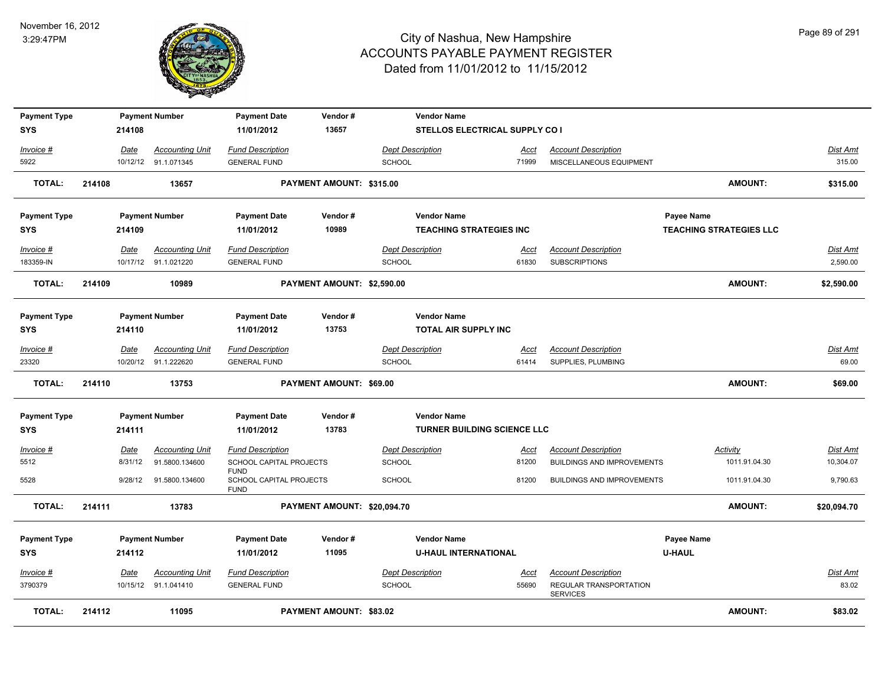

| <b>Payment Type</b>    |        |         | <b>Payment Number</b>                          | <b>Payment Date</b>                            | Vendor#                        |                                          | <b>Vendor Name</b>                 |               |                                                    |                   |                                |                             |
|------------------------|--------|---------|------------------------------------------------|------------------------------------------------|--------------------------------|------------------------------------------|------------------------------------|---------------|----------------------------------------------------|-------------------|--------------------------------|-----------------------------|
| SYS                    |        | 214108  |                                                | 11/01/2012                                     | 13657                          |                                          | STELLOS ELECTRICAL SUPPLY CO I     |               |                                                    |                   |                                |                             |
| Invoice #              |        | Date    | <b>Accounting Unit</b>                         | <b>Fund Description</b>                        |                                | <b>Dept Description</b>                  |                                    | Acct          | <b>Account Description</b>                         |                   |                                | Dist Amt                    |
| 5922                   |        |         | 10/12/12 91.1.071345                           | <b>GENERAL FUND</b>                            |                                | <b>SCHOOL</b>                            |                                    | 71999         | MISCELLANEOUS EQUIPMENT                            |                   |                                | 315.00                      |
| <b>TOTAL:</b>          | 214108 |         | 13657                                          |                                                | PAYMENT AMOUNT: \$315.00       |                                          |                                    |               |                                                    |                   | <b>AMOUNT:</b>                 | \$315.00                    |
| <b>Payment Type</b>    |        |         | <b>Payment Number</b>                          | <b>Payment Date</b>                            | Vendor#                        |                                          | <b>Vendor Name</b>                 |               |                                                    | <b>Payee Name</b> |                                |                             |
| <b>SYS</b>             |        | 214109  |                                                | 11/01/2012                                     | 10989                          |                                          | <b>TEACHING STRATEGIES INC</b>     |               |                                                    |                   | <b>TEACHING STRATEGIES LLC</b> |                             |
| Invoice #<br>183359-IN |        | Date    | <b>Accounting Unit</b><br>10/17/12 91.1.021220 | <b>Fund Description</b><br><b>GENERAL FUND</b> |                                | <b>Dept Description</b><br><b>SCHOOL</b> |                                    | Acct<br>61830 | <b>Account Description</b><br><b>SUBSCRIPTIONS</b> |                   |                                | <b>Dist Amt</b><br>2,590.00 |
| <b>TOTAL:</b>          | 214109 |         | 10989                                          |                                                | PAYMENT AMOUNT: \$2,590.00     |                                          |                                    |               |                                                    |                   | <b>AMOUNT:</b>                 | \$2,590.00                  |
| <b>Payment Type</b>    |        |         | <b>Payment Number</b>                          | <b>Payment Date</b>                            | Vendor#                        |                                          | <b>Vendor Name</b>                 |               |                                                    |                   |                                |                             |
| <b>SYS</b>             |        | 214110  |                                                | 11/01/2012                                     | 13753                          |                                          | TOTAL AIR SUPPLY INC               |               |                                                    |                   |                                |                             |
| Invoice #              |        | Date    | <b>Accounting Unit</b>                         | <b>Fund Description</b>                        |                                | <b>Dept Description</b>                  |                                    | Acct          | <b>Account Description</b>                         |                   |                                | Dist Amt                    |
| 23320                  |        |         | 10/20/12 91.1.222620                           | <b>GENERAL FUND</b>                            |                                | <b>SCHOOL</b>                            |                                    | 61414         | SUPPLIES, PLUMBING                                 |                   |                                | 69.00                       |
| <b>TOTAL:</b>          | 214110 |         | 13753                                          |                                                | PAYMENT AMOUNT: \$69.00        |                                          |                                    |               |                                                    |                   | <b>AMOUNT:</b>                 | \$69.00                     |
| <b>Payment Type</b>    |        |         | <b>Payment Number</b>                          | <b>Payment Date</b>                            | Vendor#                        |                                          | <b>Vendor Name</b>                 |               |                                                    |                   |                                |                             |
| SYS                    |        | 214111  |                                                | 11/01/2012                                     | 13783                          |                                          | <b>TURNER BUILDING SCIENCE LLC</b> |               |                                                    |                   |                                |                             |
| $Invoice$ #            |        | Date    | <b>Accounting Unit</b>                         | <b>Fund Description</b>                        |                                | <b>Dept Description</b>                  |                                    | <b>Acct</b>   | <b>Account Description</b>                         |                   | <b>Activity</b>                | <b>Dist Amt</b>             |
| 5512                   |        | 8/31/12 | 91.5800.134600                                 | SCHOOL CAPITAL PROJECTS<br><b>FUND</b>         |                                | <b>SCHOOL</b>                            |                                    | 81200         | BUILDINGS AND IMPROVEMENTS                         |                   | 1011.91.04.30                  | 10,304.07                   |
| 5528                   |        | 9/28/12 | 91.5800.134600                                 | SCHOOL CAPITAL PROJECTS<br><b>FUND</b>         |                                | <b>SCHOOL</b>                            |                                    | 81200         | <b>BUILDINGS AND IMPROVEMENTS</b>                  |                   | 1011.91.04.30                  | 9,790.63                    |
| <b>TOTAL:</b>          | 214111 |         | 13783                                          |                                                | PAYMENT AMOUNT: \$20,094.70    |                                          |                                    |               |                                                    |                   | <b>AMOUNT:</b>                 | \$20,094.70                 |
| <b>Payment Type</b>    |        |         | <b>Payment Number</b>                          | <b>Payment Date</b>                            | Vendor#                        |                                          | <b>Vendor Name</b>                 |               |                                                    | <b>Payee Name</b> |                                |                             |
| <b>SYS</b>             |        | 214112  |                                                | 11/01/2012                                     | 11095                          |                                          | <b>U-HAUL INTERNATIONAL</b>        |               |                                                    | <b>U-HAUL</b>     |                                |                             |
| Invoice #              |        | Date    | <b>Accounting Unit</b>                         | <b>Fund Description</b>                        |                                | <b>Dept Description</b>                  |                                    | Acct          | <b>Account Description</b>                         |                   |                                | Dist Amt                    |
| 3790379                |        |         | 10/15/12 91.1.041410                           | <b>GENERAL FUND</b>                            |                                | <b>SCHOOL</b>                            |                                    | 55690         | REGULAR TRANSPORTATION<br><b>SERVICES</b>          |                   |                                | 83.02                       |
| <b>TOTAL:</b>          | 214112 |         | 11095                                          |                                                | <b>PAYMENT AMOUNT: \$83.02</b> |                                          |                                    |               |                                                    |                   | <b>AMOUNT:</b>                 | \$83.02                     |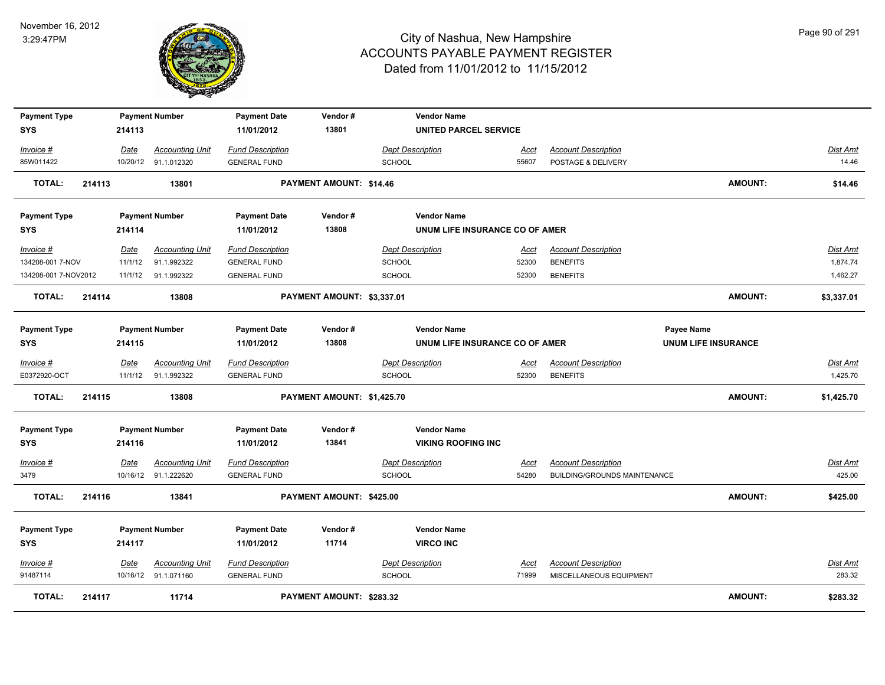

| <b>Payment Type</b>  |        |         | <b>Payment Number</b>  | <b>Payment Date</b>     | Vendor#                        | <b>Vendor Name</b>             |             |                                     |                            |                 |
|----------------------|--------|---------|------------------------|-------------------------|--------------------------------|--------------------------------|-------------|-------------------------------------|----------------------------|-----------------|
| <b>SYS</b>           |        | 214113  |                        | 11/01/2012              | 13801                          | <b>UNITED PARCEL SERVICE</b>   |             |                                     |                            |                 |
| Invoice #            |        | Date    | <b>Accounting Unit</b> | <b>Fund Description</b> |                                | <b>Dept Description</b>        | Acct        | <b>Account Description</b>          |                            | Dist Amt        |
| 85W011422            |        |         | 10/20/12 91.1.012320   | <b>GENERAL FUND</b>     |                                | <b>SCHOOL</b>                  | 55607       | POSTAGE & DELIVERY                  |                            | 14.46           |
| <b>TOTAL:</b>        | 214113 |         | 13801                  |                         | <b>PAYMENT AMOUNT: \$14.46</b> |                                |             |                                     | <b>AMOUNT:</b>             | \$14.46         |
| <b>Payment Type</b>  |        |         | <b>Payment Number</b>  | <b>Payment Date</b>     | Vendor#                        | <b>Vendor Name</b>             |             |                                     |                            |                 |
| <b>SYS</b>           |        | 214114  |                        | 11/01/2012              | 13808                          | UNUM LIFE INSURANCE CO OF AMER |             |                                     |                            |                 |
| Invoice #            |        | Date    | <b>Accounting Unit</b> | <b>Fund Description</b> |                                | <b>Dept Description</b>        | <u>Acct</u> | <b>Account Description</b>          |                            | <b>Dist Amt</b> |
| 134208-001 7-NOV     |        | 11/1/12 | 91.1.992322            | <b>GENERAL FUND</b>     |                                | <b>SCHOOL</b>                  | 52300       | <b>BENEFITS</b>                     |                            | 1,874.74        |
| 134208-001 7-NOV2012 |        |         | 11/1/12 91.1.992322    | <b>GENERAL FUND</b>     |                                | <b>SCHOOL</b>                  | 52300       | <b>BENEFITS</b>                     |                            | 1,462.27        |
| <b>TOTAL:</b>        | 214114 |         | 13808                  |                         | PAYMENT AMOUNT: \$3,337.01     |                                |             |                                     | <b>AMOUNT:</b>             | \$3,337.01      |
| <b>Payment Type</b>  |        |         | <b>Payment Number</b>  | <b>Payment Date</b>     | Vendor#                        | <b>Vendor Name</b>             |             |                                     | Payee Name                 |                 |
| <b>SYS</b>           |        | 214115  |                        | 11/01/2012              | 13808                          | UNUM LIFE INSURANCE CO OF AMER |             |                                     | <b>UNUM LIFE INSURANCE</b> |                 |
| Invoice #            |        | Date    | <b>Accounting Unit</b> | <b>Fund Description</b> |                                | <b>Dept Description</b>        | Acct        | <b>Account Description</b>          |                            | <b>Dist Amt</b> |
| E0372920-OCT         |        | 11/1/12 | 91.1.992322            | <b>GENERAL FUND</b>     |                                | <b>SCHOOL</b>                  | 52300       | <b>BENEFITS</b>                     |                            | 1,425.70        |
| TOTAL:               | 214115 |         | 13808                  |                         | PAYMENT AMOUNT: \$1,425.70     |                                |             |                                     | <b>AMOUNT:</b>             | \$1,425.70      |
| <b>Payment Type</b>  |        |         | <b>Payment Number</b>  | <b>Payment Date</b>     | Vendor#                        | <b>Vendor Name</b>             |             |                                     |                            |                 |
| <b>SYS</b>           |        | 214116  |                        | 11/01/2012              | 13841                          | <b>VIKING ROOFING INC</b>      |             |                                     |                            |                 |
| Invoice #            |        | Date    | <b>Accounting Unit</b> | <b>Fund Description</b> |                                | <b>Dept Description</b>        | <u>Acct</u> | <b>Account Description</b>          |                            | Dist Amt        |
| 3479                 |        |         | 10/16/12 91.1.222620   | <b>GENERAL FUND</b>     |                                | <b>SCHOOL</b>                  | 54280       | <b>BUILDING/GROUNDS MAINTENANCE</b> |                            | 425.00          |
| <b>TOTAL:</b>        | 214116 |         | 13841                  |                         | PAYMENT AMOUNT: \$425.00       |                                |             |                                     | <b>AMOUNT:</b>             | \$425.00        |
| <b>Payment Type</b>  |        |         | <b>Payment Number</b>  | <b>Payment Date</b>     | Vendor#                        | <b>Vendor Name</b>             |             |                                     |                            |                 |
| <b>SYS</b>           |        | 214117  |                        | 11/01/2012              | 11714                          | <b>VIRCO INC</b>               |             |                                     |                            |                 |
| Invoice #            |        | Date    | <b>Accounting Unit</b> | <b>Fund Description</b> |                                | <b>Dept Description</b>        | <u>Acct</u> | <b>Account Description</b>          |                            | Dist Amt        |
| 91487114             |        |         | 10/16/12 91.1.071160   | <b>GENERAL FUND</b>     |                                | <b>SCHOOL</b>                  | 71999       | MISCELLANEOUS EQUIPMENT             |                            | 283.32          |
| <b>TOTAL:</b>        | 214117 |         | 11714                  |                         | PAYMENT AMOUNT: \$283.32       |                                |             |                                     | <b>AMOUNT:</b>             | \$283.32        |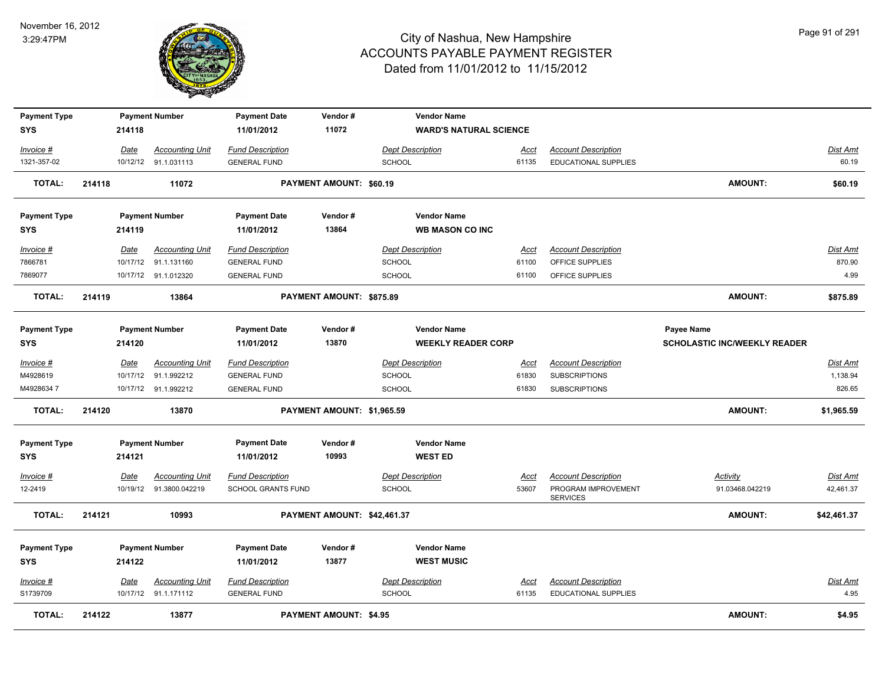

| <b>Payment Type</b> |        |             | <b>Payment Number</b>    | <b>Payment Date</b>       | Vendor#                       | <b>Vendor Name</b>        |                               |                                        |                                     |             |
|---------------------|--------|-------------|--------------------------|---------------------------|-------------------------------|---------------------------|-------------------------------|----------------------------------------|-------------------------------------|-------------|
| SYS                 |        | 214118      |                          | 11/01/2012                | 11072                         |                           | <b>WARD'S NATURAL SCIENCE</b> |                                        |                                     |             |
| Invoice #           |        | Date        | <b>Accounting Unit</b>   | <b>Fund Description</b>   |                               | <b>Dept Description</b>   | Acct                          | <b>Account Description</b>             |                                     | Dist Amt    |
| 1321-357-02         |        |             | 10/12/12 91.1.031113     | <b>GENERAL FUND</b>       |                               | <b>SCHOOL</b>             | 61135                         | EDUCATIONAL SUPPLIES                   |                                     | 60.19       |
| <b>TOTAL:</b>       | 214118 |             | 11072                    |                           | PAYMENT AMOUNT: \$60.19       |                           |                               |                                        | <b>AMOUNT:</b>                      | \$60.19     |
| <b>Payment Type</b> |        |             | <b>Payment Number</b>    | <b>Payment Date</b>       | Vendor#                       | <b>Vendor Name</b>        |                               |                                        |                                     |             |
| <b>SYS</b>          |        | 214119      |                          | 11/01/2012                | 13864                         | <b>WB MASON CO INC</b>    |                               |                                        |                                     |             |
| Invoice #           |        | Date        | <b>Accounting Unit</b>   | <b>Fund Description</b>   |                               | <b>Dept Description</b>   | Acct                          | <b>Account Description</b>             |                                     | Dist Amt    |
| 7866781             |        |             | 10/17/12 91.1.131160     | <b>GENERAL FUND</b>       |                               | SCHOOL                    | 61100                         | OFFICE SUPPLIES                        |                                     | 870.90      |
| 7869077             |        |             | 10/17/12 91.1.012320     | <b>GENERAL FUND</b>       |                               | SCHOOL                    | 61100                         | OFFICE SUPPLIES                        |                                     | 4.99        |
| <b>TOTAL:</b>       | 214119 |             | 13864                    |                           | PAYMENT AMOUNT: \$875.89      |                           |                               |                                        | <b>AMOUNT:</b>                      | \$875.89    |
| <b>Payment Type</b> |        |             | <b>Payment Number</b>    | <b>Payment Date</b>       | Vendor#                       | <b>Vendor Name</b>        |                               |                                        | Payee Name                          |             |
| <b>SYS</b>          |        | 214120      |                          | 11/01/2012                | 13870                         | <b>WEEKLY READER CORP</b> |                               |                                        | <b>SCHOLASTIC INC/WEEKLY READER</b> |             |
| Invoice #           |        | Date        | <b>Accounting Unit</b>   | <b>Fund Description</b>   |                               | <b>Dept Description</b>   | Acct                          | <b>Account Description</b>             |                                     | Dist Amt    |
| M4928619            |        |             | 10/17/12 91.1.992212     | <b>GENERAL FUND</b>       |                               | SCHOOL                    | 61830                         | <b>SUBSCRIPTIONS</b>                   |                                     | 1,138.94    |
| M49286347           |        |             | 10/17/12 91.1.992212     | <b>GENERAL FUND</b>       |                               | <b>SCHOOL</b>             | 61830                         | <b>SUBSCRIPTIONS</b>                   |                                     | 826.65      |
| <b>TOTAL:</b>       | 214120 |             | 13870                    |                           | PAYMENT AMOUNT: \$1,965.59    |                           |                               |                                        | <b>AMOUNT:</b>                      | \$1,965.59  |
| <b>Payment Type</b> |        |             | <b>Payment Number</b>    | <b>Payment Date</b>       | Vendor#                       | <b>Vendor Name</b>        |                               |                                        |                                     |             |
| <b>SYS</b>          |        | 214121      |                          | 11/01/2012                | 10993                         | <b>WEST ED</b>            |                               |                                        |                                     |             |
| Invoice #           |        | Date        | <b>Accounting Unit</b>   | <b>Fund Description</b>   |                               | <b>Dept Description</b>   | <u>Acct</u>                   | <b>Account Description</b>             | <b>Activity</b>                     | Dist Amt    |
| 12-2419             |        |             | 10/19/12  91.3800.042219 | <b>SCHOOL GRANTS FUND</b> |                               | SCHOOL                    | 53607                         | PROGRAM IMPROVEMENT<br><b>SERVICES</b> | 91.03468.042219                     | 42,461.37   |
| <b>TOTAL:</b>       | 214121 |             | 10993                    |                           | PAYMENT AMOUNT: \$42,461.37   |                           |                               |                                        | <b>AMOUNT:</b>                      | \$42,461.37 |
| <b>Payment Type</b> |        |             | <b>Payment Number</b>    | <b>Payment Date</b>       | Vendor#                       | <b>Vendor Name</b>        |                               |                                        |                                     |             |
| <b>SYS</b>          |        | 214122      |                          | 11/01/2012                | 13877                         | <b>WEST MUSIC</b>         |                               |                                        |                                     |             |
| Invoice #           |        | <u>Date</u> | <b>Accounting Unit</b>   | <b>Fund Description</b>   |                               | <b>Dept Description</b>   | <u>Acct</u>                   | <b>Account Description</b>             |                                     | Dist Amt    |
| S1739709            |        |             | 10/17/12 91.1.171112     | <b>GENERAL FUND</b>       |                               | <b>SCHOOL</b>             | 61135                         | <b>EDUCATIONAL SUPPLIES</b>            |                                     | 4.95        |
| <b>TOTAL:</b>       | 214122 |             | 13877                    |                           | <b>PAYMENT AMOUNT: \$4.95</b> |                           |                               |                                        | <b>AMOUNT:</b>                      | \$4.95      |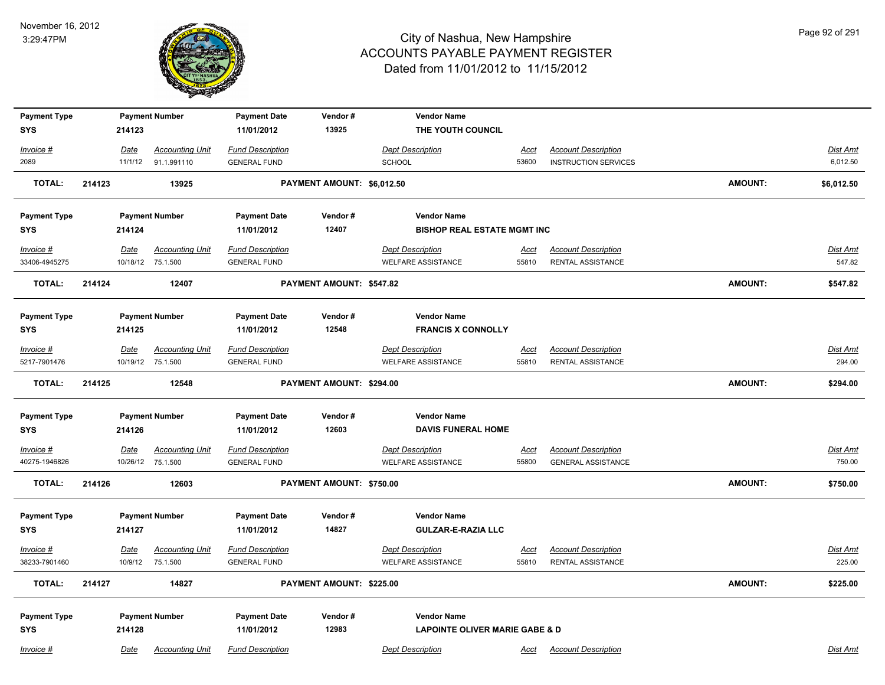

| <b>Payment Type</b><br><b>SYS</b> |        | 214123      | <b>Payment Number</b>                       | <b>Payment Date</b><br>11/01/2012              | Vendor#<br>13925           | <b>Vendor Name</b><br>THE YOUTH COUNCIL              |                      |                                                         |                |                           |
|-----------------------------------|--------|-------------|---------------------------------------------|------------------------------------------------|----------------------------|------------------------------------------------------|----------------------|---------------------------------------------------------|----------------|---------------------------|
|                                   |        |             |                                             |                                                |                            |                                                      |                      |                                                         |                |                           |
| Invoice #                         |        | Date        | <b>Accounting Unit</b>                      | <b>Fund Description</b>                        |                            | <b>Dept Description</b>                              | <u>Acct</u>          | <b>Account Description</b>                              |                | Dist Amt                  |
| 2089                              |        | 11/1/12     | 91.1.991110                                 | <b>GENERAL FUND</b>                            |                            | <b>SCHOOL</b>                                        | 53600                | <b>INSTRUCTION SERVICES</b>                             |                | 6,012.50                  |
| <b>TOTAL:</b>                     | 214123 |             | 13925                                       |                                                | PAYMENT AMOUNT: \$6,012.50 |                                                      |                      |                                                         | <b>AMOUNT:</b> | \$6,012.50                |
| <b>Payment Type</b>               |        |             | <b>Payment Number</b>                       | <b>Payment Date</b>                            | Vendor#                    | <b>Vendor Name</b>                                   |                      |                                                         |                |                           |
| <b>SYS</b>                        |        | 214124      |                                             | 11/01/2012                                     | 12407                      | <b>BISHOP REAL ESTATE MGMT INC</b>                   |                      |                                                         |                |                           |
| Invoice #                         |        | <u>Date</u> | <b>Accounting Unit</b>                      | <b>Fund Description</b>                        |                            | <b>Dept Description</b>                              | <u>Acct</u>          | <b>Account Description</b>                              |                | <b>Dist Amt</b>           |
| 33406-4945275                     |        |             | 10/18/12 75.1.500                           | <b>GENERAL FUND</b>                            |                            | <b>WELFARE ASSISTANCE</b>                            | 55810                | RENTAL ASSISTANCE                                       |                | 547.82                    |
| <b>TOTAL:</b>                     | 214124 |             | 12407                                       |                                                | PAYMENT AMOUNT: \$547.82   |                                                      |                      |                                                         | <b>AMOUNT:</b> | \$547.82                  |
| <b>Payment Type</b>               |        |             | <b>Payment Number</b>                       | <b>Payment Date</b>                            | Vendor#                    | <b>Vendor Name</b>                                   |                      |                                                         |                |                           |
| <b>SYS</b>                        |        | 214125      |                                             | 11/01/2012                                     | 12548                      | <b>FRANCIS X CONNOLLY</b>                            |                      |                                                         |                |                           |
| Invoice #                         |        | Date        | <b>Accounting Unit</b>                      | <b>Fund Description</b>                        |                            | <b>Dept Description</b>                              | <u>Acct</u>          | <b>Account Description</b>                              |                | <u>Dist Amt</u>           |
| 5217-7901476                      |        |             | 10/19/12 75.1.500                           | <b>GENERAL FUND</b>                            |                            | <b>WELFARE ASSISTANCE</b>                            | 55810                | RENTAL ASSISTANCE                                       |                | 294.00                    |
| <b>TOTAL:</b>                     | 214125 |             | 12548                                       |                                                | PAYMENT AMOUNT: \$294.00   |                                                      |                      |                                                         | <b>AMOUNT:</b> | \$294.00                  |
| <b>Payment Type</b>               |        |             | <b>Payment Number</b>                       | <b>Payment Date</b>                            | Vendor#                    | <b>Vendor Name</b>                                   |                      |                                                         |                |                           |
| <b>SYS</b>                        |        | 214126      |                                             | 11/01/2012                                     | 12603                      | <b>DAVIS FUNERAL HOME</b>                            |                      |                                                         |                |                           |
|                                   |        |             |                                             |                                                |                            |                                                      |                      |                                                         |                |                           |
| $Invoice$ #<br>40275-1946826      |        | <u>Date</u> | <b>Accounting Unit</b><br>10/26/12 75.1.500 | <b>Fund Description</b><br><b>GENERAL FUND</b> |                            | <b>Dept Description</b><br><b>WELFARE ASSISTANCE</b> | <u>Acct</u><br>55800 | <b>Account Description</b><br><b>GENERAL ASSISTANCE</b> |                | <u>Dist Amt</u><br>750.00 |
|                                   |        |             |                                             |                                                |                            |                                                      |                      |                                                         |                |                           |
| <b>TOTAL:</b>                     | 214126 |             | 12603                                       |                                                | PAYMENT AMOUNT: \$750.00   |                                                      |                      |                                                         | <b>AMOUNT:</b> | \$750.00                  |
|                                   |        |             | <b>Payment Number</b>                       | <b>Payment Date</b>                            | Vendor#                    | <b>Vendor Name</b>                                   |                      |                                                         |                |                           |
| <b>Payment Type</b><br><b>SYS</b> |        | 214127      |                                             | 11/01/2012                                     | 14827                      | <b>GULZAR-E-RAZIA LLC</b>                            |                      |                                                         |                |                           |
|                                   |        |             |                                             |                                                |                            |                                                      |                      |                                                         |                |                           |
| Invoice #                         |        | <u>Date</u> | <b>Accounting Unit</b>                      | <b>Fund Description</b>                        |                            | <b>Dept Description</b>                              | <u>Acct</u>          | <b>Account Description</b>                              |                | Dist Amt                  |
| 38233-7901460                     |        | 10/9/12     | 75.1.500                                    | <b>GENERAL FUND</b>                            |                            | <b>WELFARE ASSISTANCE</b>                            | 55810                | RENTAL ASSISTANCE                                       |                | 225.00                    |
| TOTAL:                            | 214127 |             | 14827                                       |                                                | PAYMENT AMOUNT: \$225.00   |                                                      |                      |                                                         | AMOUNT:        | \$225.00                  |
| <b>Payment Type</b>               |        |             | <b>Payment Number</b>                       | <b>Payment Date</b>                            | Vendor#                    | <b>Vendor Name</b>                                   |                      |                                                         |                |                           |
| <b>SYS</b>                        |        | 214128      |                                             | 11/01/2012                                     | 12983                      | <b>LAPOINTE OLIVER MARIE GABE &amp; D</b>            |                      |                                                         |                |                           |
| Invoice #                         |        | Date        | <b>Accounting Unit</b>                      | <b>Fund Description</b>                        |                            | <b>Dept Description</b>                              | Acct                 | <b>Account Description</b>                              |                | Dist Amt                  |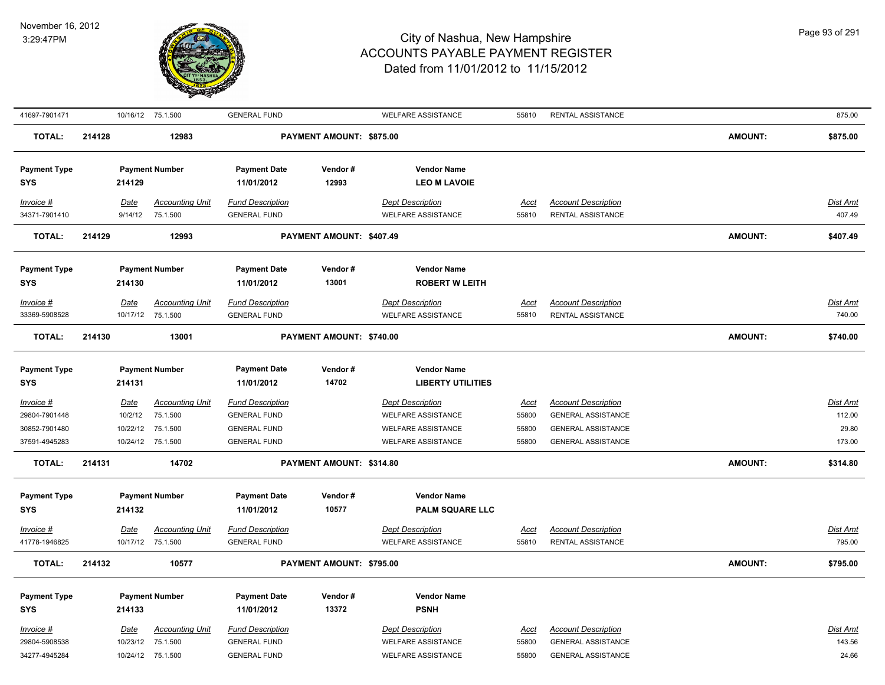

| 41697-7901471                               |        |                        | 10/16/12 75.1.500                                                | <b>GENERAL FUND</b>                                                   |                          | <b>WELFARE ASSISTANCE</b>                                                         | 55810                         | <b>RENTAL ASSISTANCE</b>                                                             |                | 875.00                      |
|---------------------------------------------|--------|------------------------|------------------------------------------------------------------|-----------------------------------------------------------------------|--------------------------|-----------------------------------------------------------------------------------|-------------------------------|--------------------------------------------------------------------------------------|----------------|-----------------------------|
| <b>TOTAL:</b>                               | 214128 |                        | 12983                                                            |                                                                       | PAYMENT AMOUNT: \$875.00 |                                                                                   |                               |                                                                                      | <b>AMOUNT:</b> | \$875.00                    |
| <b>Payment Type</b><br><b>SYS</b>           |        | 214129                 | <b>Payment Number</b>                                            | <b>Payment Date</b><br>11/01/2012                                     | Vendor#<br>12993         | <b>Vendor Name</b><br><b>LEO M LAVOIE</b>                                         |                               |                                                                                      |                |                             |
| $Invoice$ #<br>34371-7901410                |        | <u>Date</u><br>9/14/12 | <b>Accounting Unit</b><br>75.1.500                               | <b>Fund Description</b><br><b>GENERAL FUND</b>                        |                          | <b>Dept Description</b><br><b>WELFARE ASSISTANCE</b>                              | Acct<br>55810                 | <b>Account Description</b><br>RENTAL ASSISTANCE                                      |                | Dist Amt<br>407.49          |
| <b>TOTAL:</b>                               | 214129 |                        | 12993                                                            |                                                                       | PAYMENT AMOUNT: \$407.49 |                                                                                   |                               |                                                                                      | <b>AMOUNT:</b> | \$407.49                    |
| <b>Payment Type</b><br><b>SYS</b>           |        | 214130                 | <b>Payment Number</b>                                            | <b>Payment Date</b><br>11/01/2012                                     | Vendor#<br>13001         | <b>Vendor Name</b><br><b>ROBERT W LEITH</b>                                       |                               |                                                                                      |                |                             |
| Invoice #<br>33369-5908528                  |        | <b>Date</b>            | <b>Accounting Unit</b><br>10/17/12 75.1.500                      | <b>Fund Description</b><br><b>GENERAL FUND</b>                        |                          | <b>Dept Description</b><br><b>WELFARE ASSISTANCE</b>                              | <b>Acct</b><br>55810          | <b>Account Description</b><br>RENTAL ASSISTANCE                                      |                | Dist Amt<br>740.00          |
| <b>TOTAL:</b>                               | 214130 |                        | 13001                                                            |                                                                       | PAYMENT AMOUNT: \$740.00 |                                                                                   |                               |                                                                                      | <b>AMOUNT:</b> | \$740.00                    |
| <b>Payment Type</b><br><b>SYS</b>           |        | 214131                 | <b>Payment Number</b>                                            | <b>Payment Date</b><br>11/01/2012                                     | Vendor#<br>14702         | <b>Vendor Name</b><br><b>LIBERTY UTILITIES</b>                                    |                               |                                                                                      |                |                             |
| Invoice #<br>29804-7901448                  |        | Date<br>10/2/12        | <b>Accounting Unit</b><br>75.1.500                               | <b>Fund Description</b><br><b>GENERAL FUND</b>                        |                          | <b>Dept Description</b><br><b>WELFARE ASSISTANCE</b>                              | <u>Acct</u><br>55800          | <b>Account Description</b><br><b>GENERAL ASSISTANCE</b>                              |                | Dist Amt<br>112.00          |
| 30852-7901480<br>37591-4945283              |        | 10/22/12               | 75.1.500<br>10/24/12 75.1.500                                    | <b>GENERAL FUND</b><br><b>GENERAL FUND</b>                            |                          | <b>WELFARE ASSISTANCE</b><br><b>WELFARE ASSISTANCE</b>                            | 55800<br>55800                | <b>GENERAL ASSISTANCE</b><br><b>GENERAL ASSISTANCE</b>                               |                | 29.80<br>173.00             |
| <b>TOTAL:</b>                               | 214131 |                        | 14702                                                            |                                                                       | PAYMENT AMOUNT: \$314.80 |                                                                                   |                               |                                                                                      | <b>AMOUNT:</b> | \$314.80                    |
| <b>Payment Type</b><br><b>SYS</b>           |        | 214132                 | <b>Payment Number</b>                                            | <b>Payment Date</b><br>11/01/2012                                     | Vendor#<br>10577         | <b>Vendor Name</b><br><b>PALM SQUARE LLC</b>                                      |                               |                                                                                      |                |                             |
| $Invoice$ #<br>41778-1946825                |        | <b>Date</b>            | <b>Accounting Unit</b><br>10/17/12 75.1.500                      | <b>Fund Description</b><br><b>GENERAL FUND</b>                        |                          | <b>Dept Description</b><br><b>WELFARE ASSISTANCE</b>                              | <u>Acct</u><br>55810          | <b>Account Description</b><br>RENTAL ASSISTANCE                                      |                | Dist Amt<br>795.00          |
| TOTAL:                                      | 214132 |                        | 10577                                                            |                                                                       | PAYMENT AMOUNT: \$795.00 |                                                                                   |                               |                                                                                      | <b>AMOUNT:</b> | \$795.00                    |
| <b>Payment Type</b><br><b>SYS</b>           |        | 214133                 | <b>Payment Number</b>                                            | <b>Payment Date</b><br>11/01/2012                                     | Vendor#<br>13372         | <b>Vendor Name</b><br><b>PSNH</b>                                                 |                               |                                                                                      |                |                             |
| Invoice #<br>29804-5908538<br>34277-4945284 |        | <u>Date</u>            | <b>Accounting Unit</b><br>10/23/12 75.1.500<br>10/24/12 75.1.500 | <b>Fund Description</b><br><b>GENERAL FUND</b><br><b>GENERAL FUND</b> |                          | <b>Dept Description</b><br><b>WELFARE ASSISTANCE</b><br><b>WELFARE ASSISTANCE</b> | <u>Acct</u><br>55800<br>55800 | <b>Account Description</b><br><b>GENERAL ASSISTANCE</b><br><b>GENERAL ASSISTANCE</b> |                | Dist Amt<br>143.56<br>24.66 |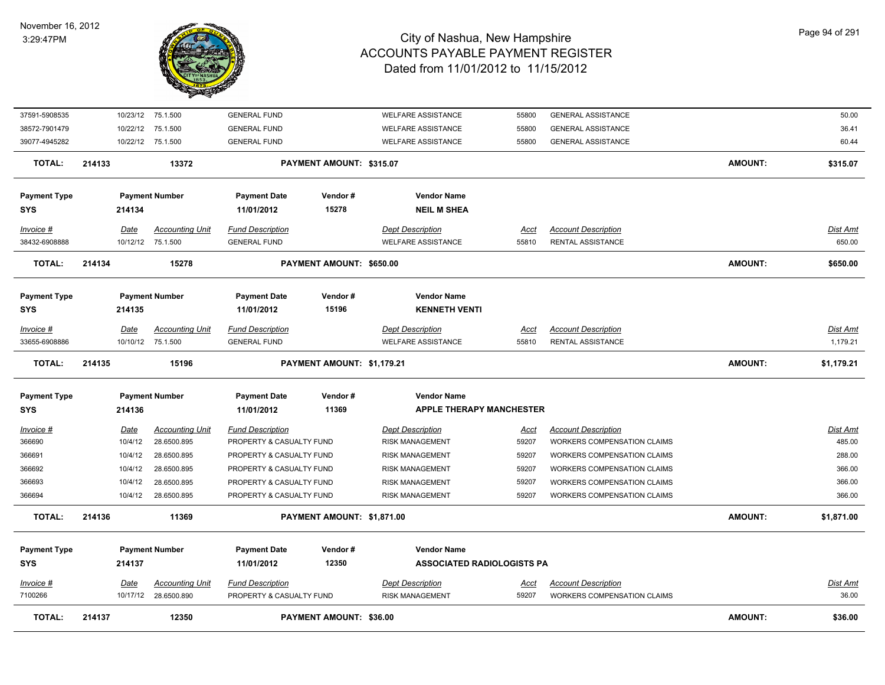

| 37591-5908535        |             | 10/23/12 75.1.500                              | <b>GENERAL FUND</b>                                 |                                 | <b>WELFARE ASSISTANCE</b>                         | 55800         | <b>GENERAL ASSISTANCE</b>                                        |                | 50.00             |
|----------------------|-------------|------------------------------------------------|-----------------------------------------------------|---------------------------------|---------------------------------------------------|---------------|------------------------------------------------------------------|----------------|-------------------|
| 38572-7901479        |             | 10/22/12 75.1.500                              | <b>GENERAL FUND</b>                                 |                                 | <b>WELFARE ASSISTANCE</b>                         | 55800         | <b>GENERAL ASSISTANCE</b>                                        |                | 36.41             |
| 39077-4945282        |             | 10/22/12 75.1.500                              | <b>GENERAL FUND</b>                                 |                                 | <b>WELFARE ASSISTANCE</b>                         | 55800         | <b>GENERAL ASSISTANCE</b>                                        |                | 60.44             |
| <b>TOTAL:</b>        | 214133      | 13372                                          |                                                     | <b>PAYMENT AMOUNT: \$315.07</b> |                                                   |               |                                                                  | <b>AMOUNT:</b> | \$315.07          |
| <b>Payment Type</b>  |             | <b>Payment Number</b>                          | <b>Payment Date</b>                                 | Vendor#                         | <b>Vendor Name</b>                                |               |                                                                  |                |                   |
| <b>SYS</b>           | 214134      |                                                | 11/01/2012                                          | 15278                           | <b>NEIL M SHEA</b>                                |               |                                                                  |                |                   |
| Invoice #            | <u>Date</u> | <b>Accounting Unit</b>                         | <b>Fund Description</b>                             |                                 | <b>Dept Description</b>                           | <u>Acct</u>   | <b>Account Description</b>                                       |                | <u>Dist Amt</u>   |
| 38432-6908888        |             | 10/12/12 75.1.500                              | <b>GENERAL FUND</b>                                 |                                 | <b>WELFARE ASSISTANCE</b>                         | 55810         | RENTAL ASSISTANCE                                                |                | 650.00            |
| TOTAL:               | 214134      | 15278                                          |                                                     | PAYMENT AMOUNT: \$650.00        |                                                   |               |                                                                  | <b>AMOUNT:</b> | \$650.00          |
|                      |             |                                                |                                                     |                                 |                                                   |               |                                                                  |                |                   |
| <b>Payment Type</b>  |             | <b>Payment Number</b>                          | <b>Payment Date</b>                                 | Vendor#                         | <b>Vendor Name</b>                                |               |                                                                  |                |                   |
| <b>SYS</b>           | 214135      |                                                | 11/01/2012                                          | 15196                           | <b>KENNETH VENTI</b>                              |               |                                                                  |                |                   |
| Invoice #            | Date        | <b>Accounting Unit</b>                         | <b>Fund Description</b>                             |                                 | <b>Dept Description</b>                           | Acct          | <b>Account Description</b>                                       |                | Dist Amt          |
| 33655-6908886        |             | 10/10/12 75.1.500                              | <b>GENERAL FUND</b>                                 |                                 | <b>WELFARE ASSISTANCE</b>                         | 55810         | RENTAL ASSISTANCE                                                |                | 1,179.21          |
| TOTAL:               | 214135      | 15196                                          |                                                     | PAYMENT AMOUNT: \$1,179.21      |                                                   |               |                                                                  | <b>AMOUNT:</b> | \$1,179.21        |
| <b>Payment Type</b>  |             | <b>Payment Number</b>                          | <b>Payment Date</b>                                 | Vendor#                         | <b>Vendor Name</b>                                |               |                                                                  |                |                   |
| <b>SYS</b>           | 214136      |                                                | 11/01/2012                                          | 11369                           | <b>APPLE THERAPY MANCHESTER</b>                   |               |                                                                  |                |                   |
| $Invoice$ #          | <u>Date</u> | <b>Accounting Unit</b>                         | <b>Fund Description</b>                             |                                 | <b>Dept Description</b>                           | <u>Acct</u>   | <b>Account Description</b>                                       |                | <u>Dist Amt</u>   |
| 366690               | 10/4/12     | 28.6500.895                                    | PROPERTY & CASUALTY FUND                            |                                 | <b>RISK MANAGEMENT</b>                            | 59207         | WORKERS COMPENSATION CLAIMS                                      |                | 485.00            |
| 366691               | 10/4/12     | 28.6500.895                                    | PROPERTY & CASUALTY FUND                            |                                 | <b>RISK MANAGEMENT</b>                            | 59207         | WORKERS COMPENSATION CLAIMS                                      |                | 288.00            |
| 366692               | 10/4/12     | 28.6500.895                                    | PROPERTY & CASUALTY FUND                            |                                 | <b>RISK MANAGEMENT</b>                            | 59207         | <b>WORKERS COMPENSATION CLAIMS</b>                               |                | 366.00            |
| 366693               | 10/4/12     | 28.6500.895                                    | PROPERTY & CASUALTY FUND                            |                                 | <b>RISK MANAGEMENT</b>                            | 59207         | <b>WORKERS COMPENSATION CLAIMS</b>                               |                | 366.00            |
| 366694               | 10/4/12     | 28.6500.895                                    | PROPERTY & CASUALTY FUND                            |                                 | <b>RISK MANAGEMENT</b>                            | 59207         | <b>WORKERS COMPENSATION CLAIMS</b>                               |                | 366.00            |
| <b>TOTAL:</b>        | 214136      | 11369                                          |                                                     | PAYMENT AMOUNT: \$1,871.00      |                                                   |               |                                                                  | <b>AMOUNT:</b> | \$1,871.00        |
| <b>Payment Type</b>  |             | <b>Payment Number</b>                          | <b>Payment Date</b>                                 | Vendor#                         | <b>Vendor Name</b>                                |               |                                                                  |                |                   |
| <b>SYS</b>           | 214137      |                                                | 11/01/2012                                          | 12350                           | <b>ASSOCIATED RADIOLOGISTS PA</b>                 |               |                                                                  |                |                   |
|                      |             |                                                |                                                     |                                 |                                                   |               |                                                                  |                |                   |
| Invoice #<br>7100266 | Date        | <b>Accounting Unit</b><br>10/17/12 28.6500.890 | <b>Fund Description</b><br>PROPERTY & CASUALTY FUND |                                 | <b>Dept Description</b><br><b>RISK MANAGEMENT</b> | Acct<br>59207 | <b>Account Description</b><br><b>WORKERS COMPENSATION CLAIMS</b> |                | Dist Amt<br>36.00 |
|                      |             |                                                |                                                     |                                 |                                                   |               |                                                                  |                |                   |
| TOTAL:               | 214137      | 12350                                          |                                                     | <b>PAYMENT AMOUNT: \$36.00</b>  |                                                   |               |                                                                  | <b>AMOUNT:</b> | \$36.00           |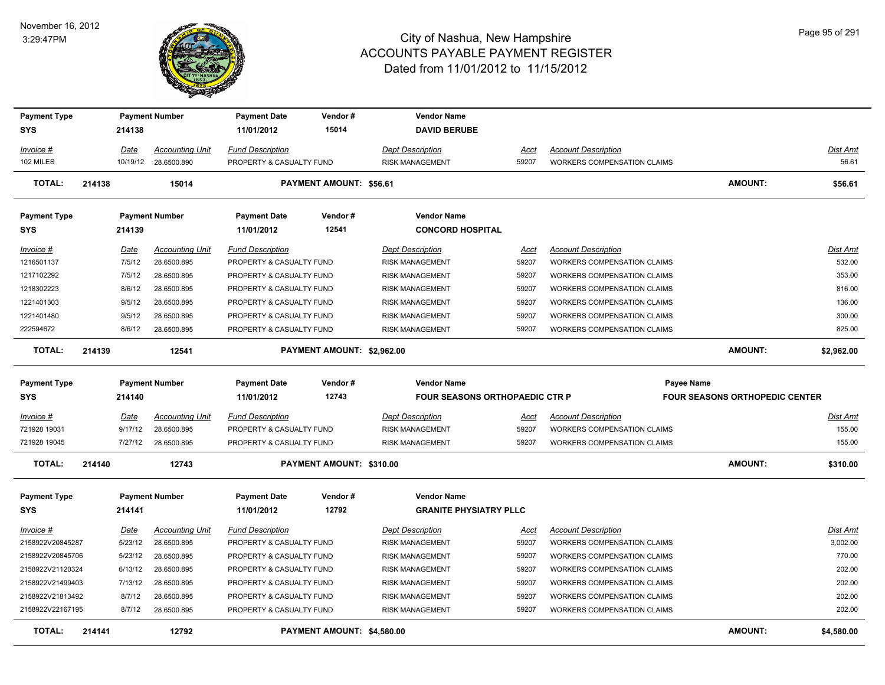#### November 16, 2012 3:29:47PM



| <b>Payment Type</b>     |        |                | <b>Payment Number</b>                 | <b>Payment Date</b>                                 | Vendor#                        | <b>Vendor Name</b>                                |               |                                                                  |                                       |                    |
|-------------------------|--------|----------------|---------------------------------------|-----------------------------------------------------|--------------------------------|---------------------------------------------------|---------------|------------------------------------------------------------------|---------------------------------------|--------------------|
| <b>SYS</b>              |        | 214138         |                                       | 11/01/2012                                          | 15014                          | <b>DAVID BERUBE</b>                               |               |                                                                  |                                       |                    |
| Invoice #               |        | Date           | <b>Accounting Unit</b>                | <b>Fund Description</b>                             |                                | <b>Dept Description</b>                           | Acct          | <b>Account Description</b>                                       |                                       | Dist Amt           |
| 102 MILES               |        | 10/19/12       | 28.6500.890                           | PROPERTY & CASUALTY FUND                            |                                | <b>RISK MANAGEMENT</b>                            | 59207         | <b>WORKERS COMPENSATION CLAIMS</b>                               |                                       | 56.61              |
| <b>TOTAL:</b>           | 214138 |                | 15014                                 |                                                     | <b>PAYMENT AMOUNT: \$56.61</b> |                                                   |               |                                                                  | <b>AMOUNT:</b>                        | \$56.61            |
| <b>Payment Type</b>     |        |                | <b>Payment Number</b>                 | <b>Payment Date</b>                                 | Vendor#                        | <b>Vendor Name</b>                                |               |                                                                  |                                       |                    |
| SYS                     |        | 214139         |                                       | 11/01/2012                                          | 12541                          | <b>CONCORD HOSPITAL</b>                           |               |                                                                  |                                       |                    |
| Invoice #<br>1216501137 |        | Date<br>7/5/12 | <b>Accounting Unit</b><br>28.6500.895 | <b>Fund Description</b><br>PROPERTY & CASUALTY FUND |                                | <b>Dept Description</b><br><b>RISK MANAGEMENT</b> | Acct<br>59207 | <b>Account Description</b><br><b>WORKERS COMPENSATION CLAIMS</b> |                                       | Dist Amt<br>532.00 |
| 1217102292              |        | 7/5/12         | 28.6500.895                           | PROPERTY & CASUALTY FUND                            |                                | <b>RISK MANAGEMENT</b>                            | 59207         | WORKERS COMPENSATION CLAIMS                                      |                                       | 353.00             |
| 1218302223              |        | 8/6/12         | 28.6500.895                           | PROPERTY & CASUALTY FUND                            |                                | <b>RISK MANAGEMENT</b>                            | 59207         | WORKERS COMPENSATION CLAIMS                                      |                                       | 816.00             |
| 1221401303              |        | 9/5/12         | 28.6500.895                           | PROPERTY & CASUALTY FUND                            |                                | RISK MANAGEMENT                                   | 59207         | WORKERS COMPENSATION CLAIMS                                      |                                       | 136.00             |
| 1221401480              |        | 9/5/12         | 28.6500.895                           | PROPERTY & CASUALTY FUND                            |                                | <b>RISK MANAGEMENT</b>                            | 59207         | <b>WORKERS COMPENSATION CLAIMS</b>                               |                                       | 300.00             |
| 222594672               |        | 8/6/12         | 28.6500.895                           | PROPERTY & CASUALTY FUND                            |                                | <b>RISK MANAGEMENT</b>                            | 59207         | <b>WORKERS COMPENSATION CLAIMS</b>                               |                                       | 825.00             |
| <b>TOTAL:</b>           | 214139 |                | 12541                                 |                                                     | PAYMENT AMOUNT: \$2,962.00     |                                                   |               |                                                                  | <b>AMOUNT:</b>                        | \$2,962.00         |
| <b>Payment Type</b>     |        |                | <b>Payment Number</b>                 | <b>Payment Date</b>                                 | Vendor#                        | <b>Vendor Name</b>                                |               | <b>Payee Name</b>                                                |                                       |                    |
| SYS                     |        | 214140         |                                       | 11/01/2012                                          | 12743                          | <b>FOUR SEASONS ORTHOPAEDIC CTR P</b>             |               |                                                                  | <b>FOUR SEASONS ORTHOPEDIC CENTER</b> |                    |
| Invoice #               |        | Date           | <b>Accounting Unit</b>                | <b>Fund Description</b>                             |                                | <b>Dept Description</b>                           | Acct          | <b>Account Description</b>                                       |                                       | Dist Amt           |
| 721928 19031            |        | 9/17/12        | 28.6500.895                           | PROPERTY & CASUALTY FUND                            |                                | <b>RISK MANAGEMENT</b>                            | 59207         | <b>WORKERS COMPENSATION CLAIMS</b>                               |                                       | 155.00             |
| 721928 19045            |        | 7/27/12        | 28.6500.895                           | PROPERTY & CASUALTY FUND                            |                                | <b>RISK MANAGEMENT</b>                            | 59207         | <b>WORKERS COMPENSATION CLAIMS</b>                               |                                       | 155.00             |
| <b>TOTAL:</b>           | 214140 |                |                                       |                                                     |                                |                                                   |               |                                                                  |                                       |                    |
|                         |        |                | 12743                                 |                                                     | PAYMENT AMOUNT: \$310.00       |                                                   |               |                                                                  | <b>AMOUNT:</b>                        | \$310.00           |
| <b>Payment Type</b>     |        |                | <b>Payment Number</b>                 | <b>Payment Date</b>                                 | Vendor#                        | <b>Vendor Name</b>                                |               |                                                                  |                                       |                    |
| SYS                     |        | 214141         |                                       | 11/01/2012                                          | 12792                          | <b>GRANITE PHYSIATRY PLLC</b>                     |               |                                                                  |                                       |                    |
| <u>Invoice #</u>        |        | Date           | <b>Accounting Unit</b>                | <b>Fund Description</b>                             |                                | <b>Dept Description</b>                           | <u>Acct</u>   | <b>Account Description</b>                                       |                                       | <b>Dist Amt</b>    |
| 2158922V20845287        |        | 5/23/12        | 28.6500.895                           | PROPERTY & CASUALTY FUND                            |                                | <b>RISK MANAGEMENT</b>                            | 59207         | <b>WORKERS COMPENSATION CLAIMS</b>                               |                                       | 3,002.00           |
| 2158922V20845706        |        | 5/23/12        | 28.6500.895                           | PROPERTY & CASUALTY FUND                            |                                | <b>RISK MANAGEMENT</b>                            | 59207         | <b>WORKERS COMPENSATION CLAIMS</b>                               |                                       | 770.00             |
| 2158922V21120324        |        | 6/13/12        | 28.6500.895                           | PROPERTY & CASUALTY FUND                            |                                | <b>RISK MANAGEMENT</b>                            | 59207         | WORKERS COMPENSATION CLAIMS                                      |                                       | 202.00             |
| 2158922V21499403        |        | 7/13/12        | 28.6500.895                           | PROPERTY & CASUALTY FUND                            |                                | <b>RISK MANAGEMENT</b>                            | 59207         | <b>WORKERS COMPENSATION CLAIMS</b>                               |                                       | 202.00             |
| 2158922V21813492        |        | 8/7/12         | 28.6500.895                           | PROPERTY & CASUALTY FUND                            |                                | RISK MANAGEMENT                                   | 59207         | WORKERS COMPENSATION CLAIMS                                      |                                       | 202.00             |
| 2158922V22167195        |        | 8/7/12         | 28.6500.895                           | PROPERTY & CASUALTY FUND                            |                                | <b>RISK MANAGEMENT</b>                            | 59207         | <b>WORKERS COMPENSATION CLAIMS</b>                               |                                       | 202.00             |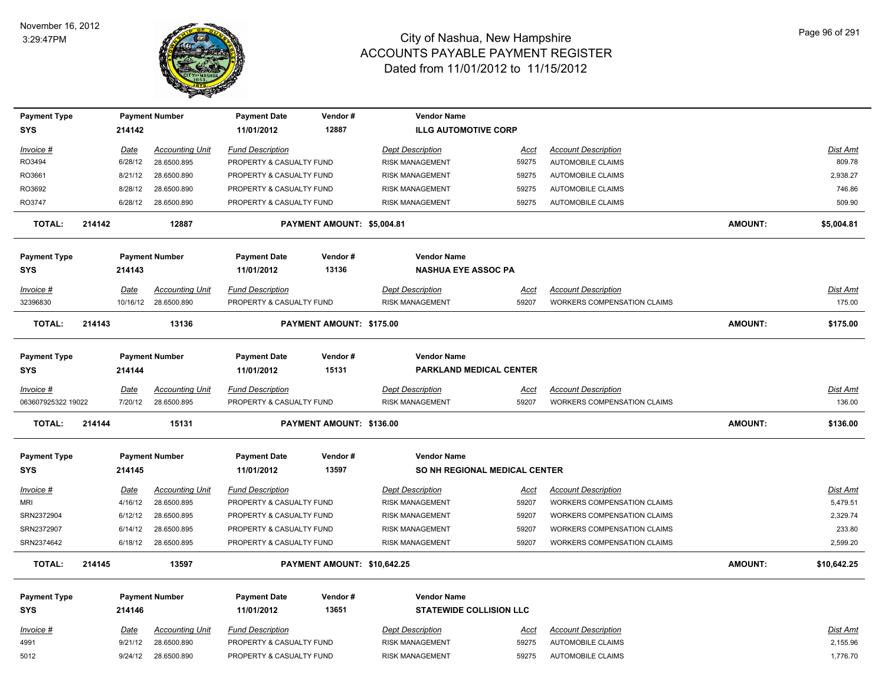

| <b>Payment Type</b> |        |             | <b>Payment Number</b>  | <b>Payment Date</b>      | Vendor#                     | <b>Vendor Name</b>             |             |                                    |                |                 |
|---------------------|--------|-------------|------------------------|--------------------------|-----------------------------|--------------------------------|-------------|------------------------------------|----------------|-----------------|
| <b>SYS</b>          |        | 214142      |                        | 11/01/2012               | 12887                       | <b>ILLG AUTOMOTIVE CORP</b>    |             |                                    |                |                 |
| Invoice #           |        | Date        | <b>Accounting Unit</b> | <b>Fund Description</b>  |                             | <b>Dept Description</b>        | Acct        | <b>Account Description</b>         |                | Dist Amt        |
| RO3494              |        | 6/28/12     | 28.6500.895            | PROPERTY & CASUALTY FUND |                             | <b>RISK MANAGEMENT</b>         | 59275       | <b>AUTOMOBILE CLAIMS</b>           |                | 809.78          |
| RO3661              |        | 8/21/12     | 28.6500.890            | PROPERTY & CASUALTY FUND |                             | <b>RISK MANAGEMENT</b>         | 59275       | AUTOMOBILE CLAIMS                  |                | 2,938.27        |
| RO3692              |        | 8/28/12     | 28.6500.890            | PROPERTY & CASUALTY FUND |                             | <b>RISK MANAGEMENT</b>         | 59275       | AUTOMOBILE CLAIMS                  |                | 746.86          |
| RO3747              |        | 6/28/12     | 28.6500.890            | PROPERTY & CASUALTY FUND |                             | <b>RISK MANAGEMENT</b>         | 59275       | <b>AUTOMOBILE CLAIMS</b>           |                | 509.90          |
| <b>TOTAL:</b>       | 214142 |             | 12887                  |                          | PAYMENT AMOUNT: \$5,004.81  |                                |             |                                    | <b>AMOUNT:</b> | \$5,004.81      |
| <b>Payment Type</b> |        |             | <b>Payment Number</b>  | <b>Payment Date</b>      | Vendor#                     | <b>Vendor Name</b>             |             |                                    |                |                 |
| <b>SYS</b>          |        | 214143      |                        | 11/01/2012               | 13136                       | <b>NASHUA EYE ASSOC PA</b>     |             |                                    |                |                 |
| Invoice #           |        | Date        | <b>Accounting Unit</b> | <b>Fund Description</b>  |                             | <b>Dept Description</b>        | Acct        | <b>Account Description</b>         |                | Dist Amt        |
| 32396830            |        |             | 10/16/12 28.6500.890   | PROPERTY & CASUALTY FUND |                             | <b>RISK MANAGEMENT</b>         | 59207       | <b>WORKERS COMPENSATION CLAIMS</b> |                | 175.00          |
| <b>TOTAL:</b>       | 214143 |             | 13136                  |                          | PAYMENT AMOUNT: \$175.00    |                                |             |                                    | AMOUNT:        | \$175.00        |
| <b>Payment Type</b> |        |             | <b>Payment Number</b>  | <b>Payment Date</b>      | Vendor#                     | <b>Vendor Name</b>             |             |                                    |                |                 |
| <b>SYS</b>          |        | 214144      |                        | 11/01/2012               | 15131                       | PARKLAND MEDICAL CENTER        |             |                                    |                |                 |
| Invoice #           |        | Date        | <b>Accounting Unit</b> | <b>Fund Description</b>  |                             | <b>Dept Description</b>        | Acct        | <b>Account Description</b>         |                | Dist Amt        |
| 063607925322 19022  |        | 7/20/12     | 28.6500.895            | PROPERTY & CASUALTY FUND |                             | <b>RISK MANAGEMENT</b>         | 59207       | <b>WORKERS COMPENSATION CLAIMS</b> |                | 136.00          |
| <b>TOTAL:</b>       | 214144 |             | 15131                  |                          | PAYMENT AMOUNT: \$136.00    |                                |             |                                    | AMOUNT:        | \$136.00        |
| <b>Payment Type</b> |        |             | <b>Payment Number</b>  | <b>Payment Date</b>      | Vendor#                     | <b>Vendor Name</b>             |             |                                    |                |                 |
| <b>SYS</b>          |        | 214145      |                        | 11/01/2012               | 13597                       | SO NH REGIONAL MEDICAL CENTER  |             |                                    |                |                 |
| $Invoice$ #         |        | <u>Date</u> | <b>Accounting Unit</b> | <b>Fund Description</b>  |                             | <b>Dept Description</b>        | <u>Acct</u> | <b>Account Description</b>         |                | <b>Dist Amt</b> |
| mri                 |        | 4/16/12     | 28.6500.895            | PROPERTY & CASUALTY FUND |                             | RISK MANAGEMENT                | 59207       | WORKERS COMPENSATION CLAIMS        |                | 5,479.51        |
| SRN2372904          |        | 6/12/12     | 28.6500.895            | PROPERTY & CASUALTY FUND |                             | <b>RISK MANAGEMENT</b>         | 59207       | WORKERS COMPENSATION CLAIMS        |                | 2,329.74        |
| SRN2372907          |        | 6/14/12     | 28.6500.895            | PROPERTY & CASUALTY FUND |                             | <b>RISK MANAGEMENT</b>         | 59207       | <b>WORKERS COMPENSATION CLAIMS</b> |                | 233.80          |
| SRN2374642          |        | 6/18/12     | 28.6500.895            | PROPERTY & CASUALTY FUND |                             | <b>RISK MANAGEMENT</b>         | 59207       | WORKERS COMPENSATION CLAIMS        |                | 2,599.20        |
| <b>TOTAL:</b>       | 214145 |             | 13597                  |                          | PAYMENT AMOUNT: \$10,642.25 |                                |             |                                    | AMOUNT:        | \$10,642.25     |
| <b>Payment Type</b> |        |             | <b>Payment Number</b>  | <b>Payment Date</b>      | Vendor#                     | <b>Vendor Name</b>             |             |                                    |                |                 |
| <b>SYS</b>          |        | 214146      |                        | 11/01/2012               | 13651                       | <b>STATEWIDE COLLISION LLC</b> |             |                                    |                |                 |
| Invoice #           |        | Date        | <b>Accounting Unit</b> | <b>Fund Description</b>  |                             | <b>Dept Description</b>        | <u>Acct</u> | <b>Account Description</b>         |                | Dist Amt        |
| 4991                |        | 9/21/12     | 28.6500.890            | PROPERTY & CASUALTY FUND |                             | <b>RISK MANAGEMENT</b>         | 59275       | <b>AUTOMOBILE CLAIMS</b>           |                | 2,155.96        |
| 5012                |        | 9/24/12     | 28.6500.890            | PROPERTY & CASUALTY FUND |                             | <b>RISK MANAGEMENT</b>         | 59275       | <b>AUTOMOBILE CLAIMS</b>           |                | 1,776.70        |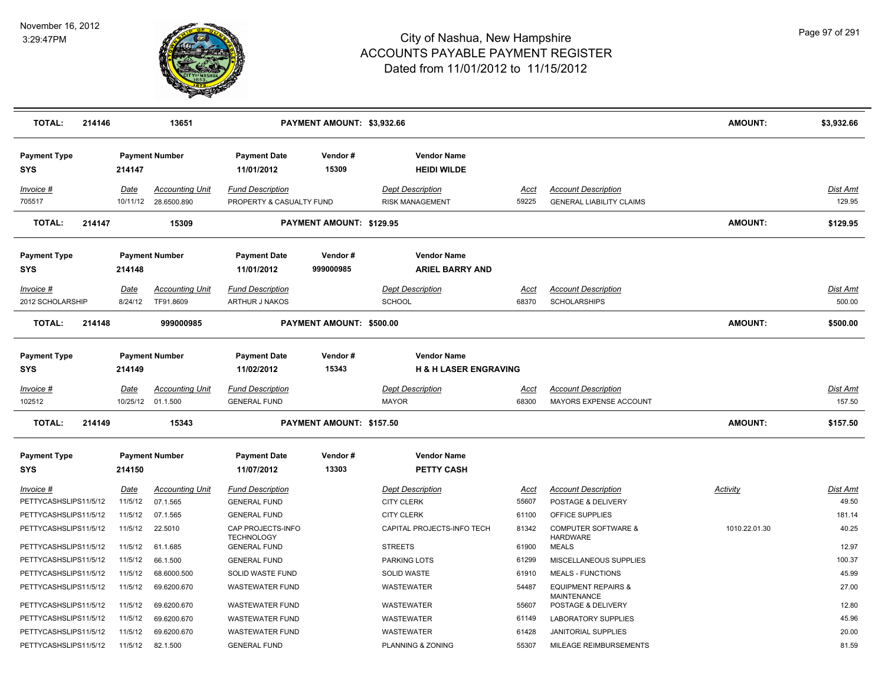

| <b>TOTAL:</b>                     | 214146 |                  | 13651                                          |                                                     | PAYMENT AMOUNT: \$3,932.66 |                                                        |               |                                                               | <b>AMOUNT:</b> | \$3,932.66                |
|-----------------------------------|--------|------------------|------------------------------------------------|-----------------------------------------------------|----------------------------|--------------------------------------------------------|---------------|---------------------------------------------------------------|----------------|---------------------------|
| <b>Payment Type</b><br><b>SYS</b> |        | 214147           | <b>Payment Number</b>                          | <b>Payment Date</b><br>11/01/2012                   | Vendor#<br>15309           | <b>Vendor Name</b><br><b>HEIDI WILDE</b>               |               |                                                               |                |                           |
| Invoice #<br>705517               |        | Date             | <b>Accounting Unit</b><br>10/11/12 28.6500.890 | <b>Fund Description</b><br>PROPERTY & CASUALTY FUND |                            | <b>Dept Description</b><br><b>RISK MANAGEMENT</b>      | Acct<br>59225 | <b>Account Description</b><br><b>GENERAL LIABILITY CLAIMS</b> |                | Dist Amt<br>129.95        |
| <b>TOTAL:</b>                     | 214147 |                  | 15309                                          |                                                     | PAYMENT AMOUNT: \$129.95   |                                                        |               |                                                               | <b>AMOUNT:</b> | \$129.95                  |
| <b>Payment Type</b><br><b>SYS</b> |        | 214148           | <b>Payment Number</b>                          | <b>Payment Date</b><br>11/01/2012                   | Vendor#<br>999000985       | <b>Vendor Name</b><br><b>ARIEL BARRY AND</b>           |               |                                                               |                |                           |
| Invoice #                         |        | Date             | <b>Accounting Unit</b>                         | <b>Fund Description</b>                             |                            | <b>Dept Description</b>                                | Acct          | <b>Account Description</b>                                    |                | Dist Amt                  |
| 2012 SCHOLARSHIP                  |        | 8/24/12          | TF91.8609                                      | ARTHUR J NAKOS                                      |                            | <b>SCHOOL</b>                                          | 68370         | <b>SCHOLARSHIPS</b>                                           |                | 500.00                    |
| <b>TOTAL:</b>                     | 214148 |                  | 999000985                                      |                                                     | PAYMENT AMOUNT: \$500.00   |                                                        |               |                                                               | <b>AMOUNT:</b> | \$500.00                  |
| <b>Payment Type</b><br><b>SYS</b> |        | 214149           | <b>Payment Number</b>                          | <b>Payment Date</b><br>11/02/2012                   | Vendor#<br>15343           | <b>Vendor Name</b><br><b>H &amp; H LASER ENGRAVING</b> |               |                                                               |                |                           |
| Invoice #<br>102512               |        | Date<br>10/25/12 | <b>Accounting Unit</b><br>01.1.500             | <b>Fund Description</b><br><b>GENERAL FUND</b>      |                            | <b>Dept Description</b><br><b>MAYOR</b>                | Acct<br>68300 | <b>Account Description</b><br><b>MAYORS EXPENSE ACCOUNT</b>   |                | <b>Dist Amt</b><br>157.50 |
| <b>TOTAL:</b>                     | 214149 |                  | 15343                                          |                                                     | PAYMENT AMOUNT: \$157.50   |                                                        |               |                                                               | <b>AMOUNT:</b> | \$157.50                  |
| <b>Payment Type</b><br><b>SYS</b> |        | 214150           | <b>Payment Number</b>                          | <b>Payment Date</b><br>11/07/2012                   | Vendor#<br>13303           | <b>Vendor Name</b><br>PETTY CASH                       |               |                                                               |                |                           |
| Invoice #                         |        | Date             | <b>Accounting Unit</b>                         | <b>Fund Description</b>                             |                            | <b>Dept Description</b>                                | Acct          | <b>Account Description</b>                                    | Activity       | Dist Amt                  |
| PETTYCASHSLIPS11/5/12             |        | 11/5/12          | 07.1.565                                       | <b>GENERAL FUND</b>                                 |                            | <b>CITY CLERK</b>                                      | 55607         | POSTAGE & DELIVERY                                            |                | 49.50                     |
| PETTYCASHSLIPS11/5/12             |        | 11/5/12          | 07.1.565                                       | <b>GENERAL FUND</b>                                 |                            | <b>CITY CLERK</b>                                      | 61100         | OFFICE SUPPLIES                                               |                | 181.14                    |
| PETTYCASHSLIPS11/5/12             |        | 11/5/12          | 22.5010                                        | CAP PROJECTS-INFO<br><b>TECHNOLOGY</b>              |                            | CAPITAL PROJECTS-INFO TECH                             | 81342         | <b>COMPUTER SOFTWARE &amp;</b><br><b>HARDWARE</b>             | 1010.22.01.30  | 40.25                     |
| PETTYCASHSLIPS11/5/12             |        | 11/5/12          | 61.1.685                                       | <b>GENERAL FUND</b>                                 |                            | <b>STREETS</b>                                         | 61900         | <b>MEALS</b>                                                  |                | 12.97                     |
| PETTYCASHSLIPS11/5/12             |        | 11/5/12          | 66.1.500                                       | <b>GENERAL FUND</b>                                 |                            | <b>PARKING LOTS</b>                                    | 61299         | MISCELLANEOUS SUPPLIES                                        |                | 100.37                    |
| PETTYCASHSLIPS11/5/12             |        | 11/5/12          | 68.6000.500                                    | SOLID WASTE FUND                                    |                            | SOLID WASTE                                            | 61910         | <b>MEALS - FUNCTIONS</b>                                      |                | 45.99                     |
| PETTYCASHSLIPS11/5/12             |        | 11/5/12          | 69.6200.670                                    | <b>WASTEWATER FUND</b>                              |                            | WASTEWATER                                             | 54487         | <b>EQUIPMENT REPAIRS &amp;</b><br><b>MAINTENANCE</b>          |                | 27.00                     |
| PETTYCASHSLIPS11/5/12             |        | 11/5/12          | 69.6200.670                                    | WASTEWATER FUND                                     |                            | WASTEWATER                                             | 55607         | POSTAGE & DELIVERY                                            |                | 12.80                     |
| PETTYCASHSLIPS11/5/12             |        | 11/5/12          | 69.6200.670                                    | <b>WASTEWATER FUND</b>                              |                            | WASTEWATER                                             | 61149         | <b>LABORATORY SUPPLIES</b>                                    |                | 45.96                     |
| PETTYCASHSLIPS11/5/12             |        | 11/5/12          | 69.6200.670                                    | <b>WASTEWATER FUND</b>                              |                            | WASTEWATER                                             | 61428         | <b>JANITORIAL SUPPLIES</b>                                    |                | 20.00                     |
| PETTYCASHSLIPS11/5/12             |        | 11/5/12          | 82.1.500                                       | <b>GENERAL FUND</b>                                 |                            | PLANNING & ZONING                                      | 55307         | MILEAGE REIMBURSEMENTS                                        |                | 81.59                     |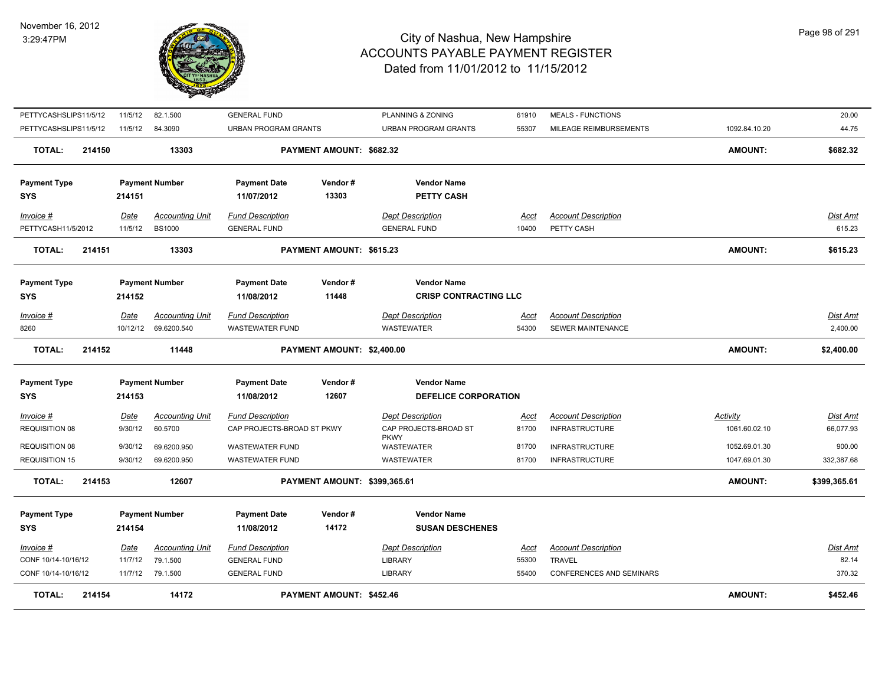

| TOTAL:                                  | 214154 |                        | 14172                                          |                                                       | PAYMENT AMOUNT: \$452.46     |                                                  |                      |                                                     | <b>AMOUNT:</b>            | \$452.46                 |
|-----------------------------------------|--------|------------------------|------------------------------------------------|-------------------------------------------------------|------------------------------|--------------------------------------------------|----------------------|-----------------------------------------------------|---------------------------|--------------------------|
| CONF 10/14-10/16/12                     |        |                        | 11/7/12 79.1.500                               | <b>GENERAL FUND</b>                                   |                              | <b>LIBRARY</b>                                   | 55400                | <b>CONFERENCES AND SEMINARS</b>                     |                           | 370.32                   |
| <u>Invoice #</u><br>CONF 10/14-10/16/12 |        | <u>Date</u><br>11/7/12 | <b>Accounting Unit</b><br>79.1.500             | <b>Fund Description</b><br><b>GENERAL FUND</b>        |                              | <b>Dept Description</b><br><b>LIBRARY</b>        | <u>Acct</u><br>55300 | <b>Account Description</b><br><b>TRAVEL</b>         |                           | <u>Dist Amt</u><br>82.14 |
| <b>Payment Type</b><br><b>SYS</b>       |        | 214154                 | <b>Payment Number</b>                          | <b>Payment Date</b><br>11/08/2012                     | Vendor#<br>14172             | <b>Vendor Name</b><br><b>SUSAN DESCHENES</b>     |                      |                                                     |                           |                          |
| TOTAL:                                  | 214153 |                        | 12607                                          |                                                       | PAYMENT AMOUNT: \$399,365.61 |                                                  |                      |                                                     | <b>AMOUNT:</b>            | \$399,365.61             |
| <b>REQUISITION 15</b>                   |        | 9/30/12                | 69.6200.950                                    | <b>WASTEWATER FUND</b>                                |                              | <b>WASTEWATER</b>                                | 81700                | <b>INFRASTRUCTURE</b>                               | 1047.69.01.30             | 332,387.68               |
| <b>REQUISITION 08</b>                   |        | 9/30/12                | 69.6200.950                                    | <b>WASTEWATER FUND</b>                                |                              | <b>PKWY</b><br><b>WASTEWATER</b>                 | 81700                | <b>INFRASTRUCTURE</b>                               | 1052.69.01.30             | 900.00                   |
| $Invoice$ #<br><b>REQUISITION 08</b>    |        | Date<br>9/30/12        | <b>Accounting Unit</b><br>60.5700              | <b>Fund Description</b><br>CAP PROJECTS-BROAD ST PKWY |                              | <b>Dept Description</b><br>CAP PROJECTS-BROAD ST | <b>Acct</b><br>81700 | <b>Account Description</b><br><b>INFRASTRUCTURE</b> | Activity<br>1061.60.02.10 | Dist Amt<br>66,077.93    |
| <b>SYS</b>                              |        | 214153                 |                                                | 11/08/2012                                            | 12607                        | DEFELICE CORPORATION                             |                      |                                                     |                           |                          |
| <b>Payment Type</b>                     |        |                        | <b>Payment Number</b>                          | <b>Payment Date</b>                                   | Vendor#                      | <b>Vendor Name</b>                               |                      |                                                     |                           |                          |
| <b>TOTAL:</b>                           | 214152 |                        | 11448                                          |                                                       | PAYMENT AMOUNT: \$2,400.00   |                                                  |                      |                                                     | <b>AMOUNT:</b>            | \$2,400.00               |
| Invoice #<br>8260                       |        | Date                   | <b>Accounting Unit</b><br>10/12/12 69.6200.540 | <b>Fund Description</b><br><b>WASTEWATER FUND</b>     |                              | <b>Dept Description</b><br><b>WASTEWATER</b>     | Acct<br>54300        | <b>Account Description</b><br>SEWER MAINTENANCE     |                           | Dist Amt<br>2,400.00     |
|                                         |        |                        |                                                |                                                       |                              |                                                  |                      |                                                     |                           |                          |
| <b>Payment Type</b><br><b>SYS</b>       |        | 214152                 | <b>Payment Number</b>                          | <b>Payment Date</b><br>11/08/2012                     | Vendor#<br>11448             | <b>CRISP CONTRACTING LLC</b>                     |                      |                                                     |                           |                          |
|                                         |        |                        |                                                |                                                       |                              | <b>Vendor Name</b>                               |                      |                                                     |                           |                          |
| TOTAL:                                  | 214151 |                        | 13303                                          |                                                       | PAYMENT AMOUNT: \$615.23     |                                                  |                      |                                                     | <b>AMOUNT:</b>            | \$615.23                 |
| PETTYCASH11/5/2012                      |        | 11/5/12                | <b>BS1000</b>                                  | <b>GENERAL FUND</b>                                   |                              | <b>GENERAL FUND</b>                              | 10400                | PETTY CASH                                          |                           | 615.23                   |
| Invoice #                               |        | Date                   | <b>Accounting Unit</b>                         | <b>Fund Description</b>                               |                              | <b>Dept Description</b>                          | Acct                 | <b>Account Description</b>                          |                           | Dist Amt                 |
| <b>Payment Type</b><br><b>SYS</b>       |        | 214151                 | <b>Payment Number</b>                          | <b>Payment Date</b><br>11/07/2012                     | Vendor#<br>13303             | <b>Vendor Name</b><br><b>PETTY CASH</b>          |                      |                                                     |                           |                          |
|                                         |        |                        |                                                |                                                       |                              |                                                  |                      |                                                     |                           |                          |
| <b>TOTAL:</b>                           | 214150 |                        | 13303                                          |                                                       | PAYMENT AMOUNT: \$682.32     |                                                  |                      |                                                     | <b>AMOUNT:</b>            | \$682.32                 |
| PETTYCASHSLIPS11/5/12                   |        | 11/5/12                | 84.3090                                        | URBAN PROGRAM GRANTS                                  |                              | URBAN PROGRAM GRANTS                             | 55307                | MILEAGE REIMBURSEMENTS                              | 1092.84.10.20             | 44.75                    |
| PETTYCASHSLIPS11/5/12                   |        | 11/5/12                | 82.1.500                                       | <b>GENERAL FUND</b>                                   |                              | PLANNING & ZONING                                | 61910                | <b>MEALS - FUNCTIONS</b>                            |                           | 20.00                    |
|                                         |        |                        |                                                |                                                       |                              |                                                  |                      |                                                     |                           |                          |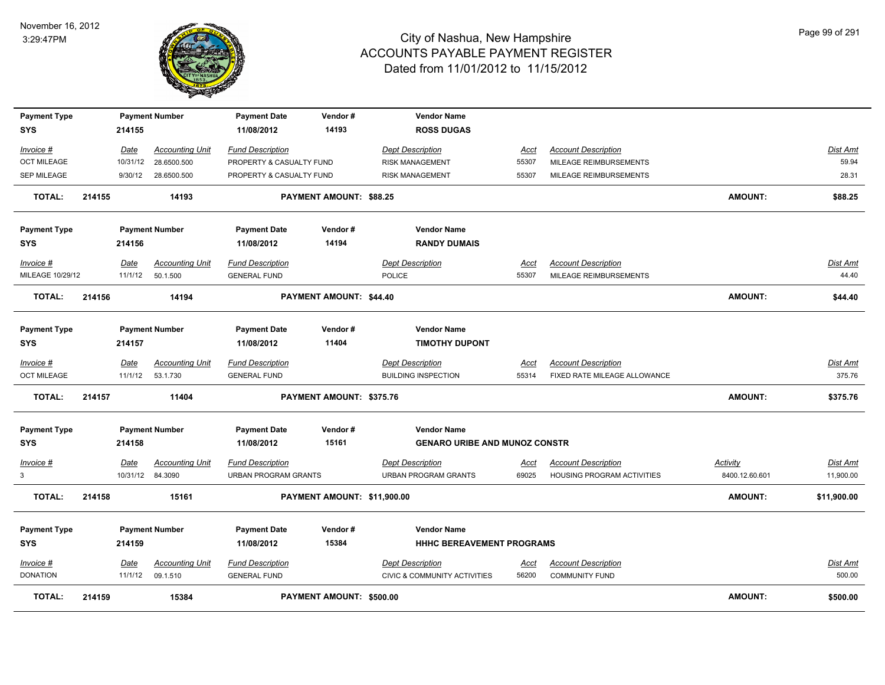

| <b>Payment Type</b><br><b>SYS</b> |        | 214155   | <b>Payment Number</b>  | <b>Payment Date</b><br>11/08/2012 | Vendor#<br>14193            | <b>Vendor Name</b><br><b>ROSS DUGAS</b> |             |                              |                 |                 |
|-----------------------------------|--------|----------|------------------------|-----------------------------------|-----------------------------|-----------------------------------------|-------------|------------------------------|-----------------|-----------------|
| Invoice #                         |        | Date     | <b>Accounting Unit</b> | <b>Fund Description</b>           |                             | <b>Dept Description</b>                 | Acct        | <b>Account Description</b>   |                 | Dist Amt        |
| <b>OCT MILEAGE</b>                |        | 10/31/12 | 28.6500.500            | PROPERTY & CASUALTY FUND          |                             | <b>RISK MANAGEMENT</b>                  | 55307       | MILEAGE REIMBURSEMENTS       |                 | 59.94           |
| <b>SEP MILEAGE</b>                |        | 9/30/12  | 28.6500.500            | PROPERTY & CASUALTY FUND          |                             | <b>RISK MANAGEMENT</b>                  | 55307       | MILEAGE REIMBURSEMENTS       |                 | 28.31           |
| <b>TOTAL:</b>                     | 214155 |          | 14193                  |                                   | PAYMENT AMOUNT: \$88.25     |                                         |             |                              | <b>AMOUNT:</b>  | \$88.25         |
| <b>Payment Type</b>               |        |          | <b>Payment Number</b>  | <b>Payment Date</b>               | Vendor#                     | <b>Vendor Name</b>                      |             |                              |                 |                 |
| <b>SYS</b>                        |        | 214156   |                        | 11/08/2012                        | 14194                       | <b>RANDY DUMAIS</b>                     |             |                              |                 |                 |
| Invoice #                         |        | Date     | <b>Accounting Unit</b> | <b>Fund Description</b>           |                             | <b>Dept Description</b>                 | Acct        | <b>Account Description</b>   |                 | Dist Amt        |
| MILEAGE 10/29/12                  |        | 11/1/12  | 50.1.500               | <b>GENERAL FUND</b>               |                             | <b>POLICE</b>                           | 55307       | MILEAGE REIMBURSEMENTS       |                 | 44.40           |
| <b>TOTAL:</b>                     | 214156 |          | 14194                  |                                   | PAYMENT AMOUNT: \$44.40     |                                         |             |                              | <b>AMOUNT:</b>  | \$44.40         |
| <b>Payment Type</b>               |        |          | <b>Payment Number</b>  | <b>Payment Date</b>               | Vendor#                     | <b>Vendor Name</b>                      |             |                              |                 |                 |
| <b>SYS</b>                        |        | 214157   |                        | 11/08/2012                        | 11404                       | <b>TIMOTHY DUPONT</b>                   |             |                              |                 |                 |
| Invoice #                         |        | Date     | <b>Accounting Unit</b> | <b>Fund Description</b>           |                             | <b>Dept Description</b>                 | Acct        | <b>Account Description</b>   |                 | Dist Amt        |
| <b>OCT MILEAGE</b>                |        | 11/1/12  | 53.1.730               | <b>GENERAL FUND</b>               |                             | <b>BUILDING INSPECTION</b>              | 55314       | FIXED RATE MILEAGE ALLOWANCE |                 | 375.76          |
| <b>TOTAL:</b>                     | 214157 |          | 11404                  |                                   | PAYMENT AMOUNT: \$375.76    |                                         |             |                              | <b>AMOUNT:</b>  | \$375.76        |
| <b>Payment Type</b>               |        |          | <b>Payment Number</b>  | <b>Payment Date</b>               | Vendor#                     | <b>Vendor Name</b>                      |             |                              |                 |                 |
| <b>SYS</b>                        |        | 214158   |                        | 11/08/2012                        | 15161                       | <b>GENARO URIBE AND MUNOZ CONSTR</b>    |             |                              |                 |                 |
| $Invoice$ #                       |        | Date     | <b>Accounting Unit</b> | <b>Fund Description</b>           |                             | <b>Dept Description</b>                 | <u>Acct</u> | <b>Account Description</b>   | <b>Activity</b> | <b>Dist Amt</b> |
| 3                                 |        |          | 10/31/12 84.3090       | <b>URBAN PROGRAM GRANTS</b>       |                             | <b>URBAN PROGRAM GRANTS</b>             | 69025       | HOUSING PROGRAM ACTIVITIES   | 8400.12.60.601  | 11,900.00       |
| <b>TOTAL:</b>                     | 214158 |          | 15161                  |                                   | PAYMENT AMOUNT: \$11,900.00 |                                         |             |                              | <b>AMOUNT:</b>  | \$11,900.00     |
| <b>Payment Type</b>               |        |          | <b>Payment Number</b>  | <b>Payment Date</b>               | Vendor#                     | <b>Vendor Name</b>                      |             |                              |                 |                 |
| <b>SYS</b>                        |        | 214159   |                        | 11/08/2012                        | 15384                       | HHHC BEREAVEMENT PROGRAMS               |             |                              |                 |                 |
| Invoice #                         |        | Date     | <b>Accounting Unit</b> | <b>Fund Description</b>           |                             | <b>Dept Description</b>                 | <u>Acct</u> | <b>Account Description</b>   |                 | Dist Amt        |
| <b>DONATION</b>                   |        | 11/1/12  | 09.1.510               | <b>GENERAL FUND</b>               |                             | <b>CIVIC &amp; COMMUNITY ACTIVITIES</b> | 56200       | <b>COMMUNITY FUND</b>        |                 | 500.00          |
| <b>TOTAL:</b>                     | 214159 |          | 15384                  |                                   | PAYMENT AMOUNT: \$500.00    |                                         |             |                              | <b>AMOUNT:</b>  | \$500.00        |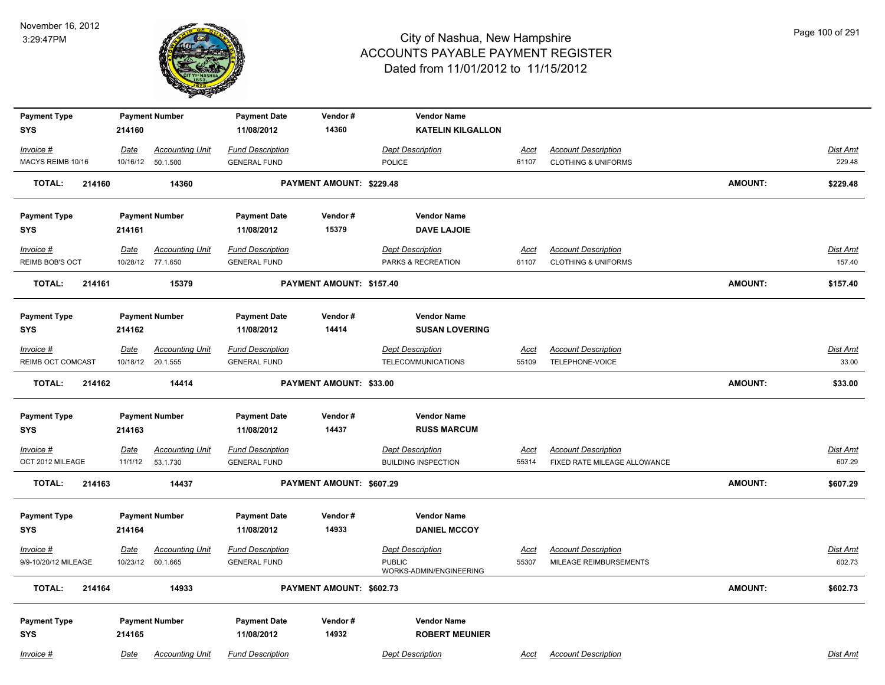

| <b>Payment Type</b>     |          | <b>Payment Number</b>  | <b>Payment Date</b>     | Vendor#                        | <b>Vendor Name</b>         |             |                                |                |                 |
|-------------------------|----------|------------------------|-------------------------|--------------------------------|----------------------------|-------------|--------------------------------|----------------|-----------------|
| <b>SYS</b>              | 214160   |                        | 11/08/2012              | 14360                          | <b>KATELIN KILGALLON</b>   |             |                                |                |                 |
| Invoice #               | Date     | <b>Accounting Unit</b> | <b>Fund Description</b> |                                | <b>Dept Description</b>    | Acct        | <b>Account Description</b>     |                | Dist Amt        |
| MACYS REIMB 10/16       |          | 10/16/12 50.1.500      | <b>GENERAL FUND</b>     |                                | POLICE                     | 61107       | <b>CLOTHING &amp; UNIFORMS</b> |                | 229.48          |
| <b>TOTAL:</b><br>214160 |          | 14360                  |                         | PAYMENT AMOUNT: \$229.48       |                            |             |                                | <b>AMOUNT:</b> | \$229.48        |
| <b>Payment Type</b>     |          | <b>Payment Number</b>  | <b>Payment Date</b>     | Vendor#                        | <b>Vendor Name</b>         |             |                                |                |                 |
| <b>SYS</b>              | 214161   |                        | 11/08/2012              | 15379                          | <b>DAVE LAJOIE</b>         |             |                                |                |                 |
| $Invoice$ #             | Date     | <b>Accounting Unit</b> | <b>Fund Description</b> |                                | <b>Dept Description</b>    | <u>Acct</u> | <b>Account Description</b>     |                | <b>Dist Amt</b> |
| REIMB BOB'S OCT         |          | 10/28/12 77.1.650      | <b>GENERAL FUND</b>     |                                | PARKS & RECREATION         | 61107       | <b>CLOTHING &amp; UNIFORMS</b> |                | 157.40          |
| <b>TOTAL:</b><br>214161 |          | 15379                  |                         | PAYMENT AMOUNT: \$157.40       |                            |             |                                | <b>AMOUNT:</b> | \$157.40        |
| <b>Payment Type</b>     |          | <b>Payment Number</b>  | <b>Payment Date</b>     | Vendor#                        | <b>Vendor Name</b>         |             |                                |                |                 |
| <b>SYS</b>              | 214162   |                        | 11/08/2012              | 14414                          | <b>SUSAN LOVERING</b>      |             |                                |                |                 |
| Invoice #               | Date     | <b>Accounting Unit</b> | <b>Fund Description</b> |                                | <b>Dept Description</b>    | <b>Acct</b> | <b>Account Description</b>     |                | <b>Dist Amt</b> |
| REIMB OCT COMCAST       |          | 10/18/12 20.1.555      | <b>GENERAL FUND</b>     |                                | <b>TELECOMMUNICATIONS</b>  | 55109       | <b>TELEPHONE-VOICE</b>         |                | 33.00           |
| <b>TOTAL:</b><br>214162 |          | 14414                  |                         | <b>PAYMENT AMOUNT: \$33.00</b> |                            |             |                                | <b>AMOUNT:</b> | \$33.00         |
| <b>Payment Type</b>     |          | <b>Payment Number</b>  | <b>Payment Date</b>     | Vendor#                        | <b>Vendor Name</b>         |             |                                |                |                 |
| <b>SYS</b>              | 214163   |                        | 11/08/2012              | 14437                          | <b>RUSS MARCUM</b>         |             |                                |                |                 |
| $Invoice$ #             | Date     | <b>Accounting Unit</b> | <b>Fund Description</b> |                                | <b>Dept Description</b>    | Acct        | <b>Account Description</b>     |                | Dist Amt        |
| OCT 2012 MILEAGE        | 11/1/12  | 53.1.730               | <b>GENERAL FUND</b>     |                                | <b>BUILDING INSPECTION</b> | 55314       | FIXED RATE MILEAGE ALLOWANCE   |                | 607.29          |
| <b>TOTAL:</b><br>214163 |          | 14437                  |                         | PAYMENT AMOUNT: \$607.29       |                            |             |                                | <b>AMOUNT:</b> | \$607.29        |
| <b>Payment Type</b>     |          | <b>Payment Number</b>  | <b>Payment Date</b>     | Vendor#                        | <b>Vendor Name</b>         |             |                                |                |                 |
| <b>SYS</b>              | 214164   |                        | 11/08/2012              | 14933                          | <b>DANIEL MCCOY</b>        |             |                                |                |                 |
| Invoice #               | Date     | <b>Accounting Unit</b> | <b>Fund Description</b> |                                | <b>Dept Description</b>    | Acct        | <b>Account Description</b>     |                | Dist Amt        |
| 9/9-10/20/12 MILEAGE    | 10/23/12 | 60.1.665               | <b>GENERAL FUND</b>     |                                | <b>PUBLIC</b>              | 55307       | MILEAGE REIMBURSEMENTS         |                | 602.73          |
| <b>TOTAL:</b><br>214164 |          | 14933                  |                         | PAYMENT AMOUNT: \$602.73       | WORKS-ADMIN/ENGINEERING    |             |                                | <b>AMOUNT:</b> | \$602.73        |
|                         |          |                        |                         |                                |                            |             |                                |                |                 |
| <b>Payment Type</b>     |          | <b>Payment Number</b>  | <b>Payment Date</b>     | Vendor#                        | <b>Vendor Name</b>         |             |                                |                |                 |
| <b>SYS</b>              | 214165   |                        | 11/08/2012              | 14932                          | <b>ROBERT MEUNIER</b>      |             |                                |                |                 |
| Invoice #               | Date     | <b>Accounting Unit</b> | <b>Fund Description</b> |                                | <b>Dept Description</b>    | Acct        | <b>Account Description</b>     |                | Dist Amt        |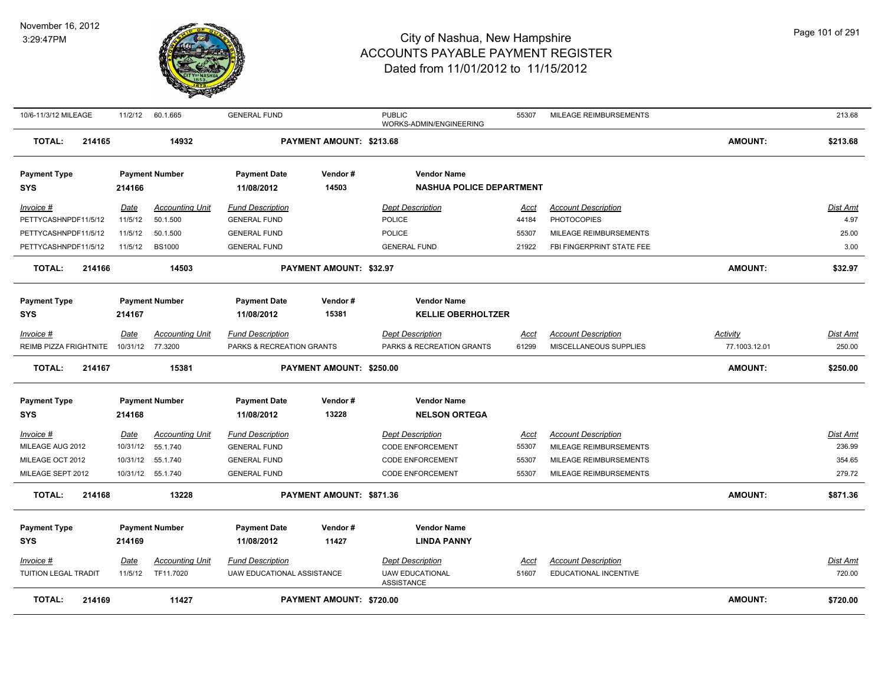#### November 16, 2012 3:29:47PM



| <b>TOTAL:</b><br>214169                  |                        | 11427                               |                                                       | PAYMENT AMOUNT: \$720.00       |                                                                        |                      |                                                     | <b>AMOUNT:</b>  | \$720.00                  |
|------------------------------------------|------------------------|-------------------------------------|-------------------------------------------------------|--------------------------------|------------------------------------------------------------------------|----------------------|-----------------------------------------------------|-----------------|---------------------------|
| <u>Invoice #</u><br>TUITION LEGAL TRADIT | <b>Date</b><br>11/5/12 | <b>Accounting Unit</b><br>TF11.7020 | <b>Fund Description</b><br>UAW EDUCATIONAL ASSISTANCE |                                | <b>Dept Description</b><br><b>UAW EDUCATIONAL</b><br><b>ASSISTANCE</b> | <u>Acct</u><br>51607 | <b>Account Description</b><br>EDUCATIONAL INCENTIVE |                 | <u>Dist Amt</u><br>720.00 |
| <b>SYS</b>                               | 214169                 |                                     | 11/08/2012                                            | 11427                          | <b>LINDA PANNY</b>                                                     |                      |                                                     |                 |                           |
| <b>Payment Type</b>                      |                        | <b>Payment Number</b>               | <b>Payment Date</b>                                   | Vendor#                        | <b>Vendor Name</b>                                                     |                      |                                                     |                 |                           |
| <b>TOTAL:</b><br>214168                  |                        | 13228                               |                                                       | PAYMENT AMOUNT: \$871.36       |                                                                        |                      |                                                     | <b>AMOUNT:</b>  | \$871.36                  |
| MILEAGE SEPT 2012                        |                        | 10/31/12  55.1.740                  | <b>GENERAL FUND</b>                                   |                                | <b>CODE ENFORCEMENT</b>                                                | 55307                | MILEAGE REIMBURSEMENTS                              |                 | 279.72                    |
| MILEAGE OCT 2012                         |                        | 10/31/12  55.1.740                  | <b>GENERAL FUND</b>                                   |                                | <b>CODE ENFORCEMENT</b>                                                | 55307                | MILEAGE REIMBURSEMENTS                              |                 | 354.65                    |
| MILEAGE AUG 2012                         |                        | 10/31/12  55.1.740                  | <b>GENERAL FUND</b>                                   |                                | <b>CODE ENFORCEMENT</b>                                                | 55307                | MILEAGE REIMBURSEMENTS                              |                 | 236.99                    |
| Invoice #                                | <u>Date</u>            | <b>Accounting Unit</b>              | <b>Fund Description</b>                               |                                | <b>Dept Description</b>                                                | Acct                 | <b>Account Description</b>                          |                 | Dist Amt                  |
| <b>SYS</b>                               | 214168                 |                                     | 11/08/2012                                            | 13228                          | <b>NELSON ORTEGA</b>                                                   |                      |                                                     |                 |                           |
| <b>Payment Type</b>                      |                        | <b>Payment Number</b>               | <b>Payment Date</b>                                   | Vendor#                        | <b>Vendor Name</b>                                                     |                      |                                                     |                 |                           |
| <b>TOTAL:</b><br>214167                  |                        | 15381                               |                                                       | PAYMENT AMOUNT: \$250.00       |                                                                        |                      |                                                     | <b>AMOUNT:</b>  | \$250.00                  |
| REIMB PIZZA FRIGHTNITE                   | 10/31/12 77.3200       |                                     | PARKS & RECREATION GRANTS                             |                                | PARKS & RECREATION GRANTS                                              | 61299                | MISCELLANEOUS SUPPLIES                              | 77.1003.12.01   | 250.00                    |
| <u>Invoice #</u>                         | Date                   | <b>Accounting Unit</b>              | <b>Fund Description</b>                               |                                | <b>Dept Description</b>                                                | <u>Acct</u>          | <b>Account Description</b>                          | <b>Activity</b> | <u>Dist Amt</u>           |
| <b>Payment Type</b><br><b>SYS</b>        | 214167                 | <b>Payment Number</b>               | <b>Payment Date</b><br>11/08/2012                     | Vendor#<br>15381               | <b>KELLIE OBERHOLTZER</b>                                              |                      |                                                     |                 |                           |
|                                          |                        |                                     |                                                       |                                | <b>Vendor Name</b>                                                     |                      |                                                     |                 |                           |
| 214166<br><b>TOTAL:</b>                  |                        | 14503                               |                                                       | <b>PAYMENT AMOUNT: \$32.97</b> |                                                                        |                      |                                                     | AMOUNT:         | \$32.97                   |
| PETTYCASHNPDF11/5/12                     | 11/5/12                | <b>BS1000</b>                       | <b>GENERAL FUND</b>                                   |                                | <b>GENERAL FUND</b>                                                    | 21922                | FBI FINGERPRINT STATE FEE                           |                 | 3.00                      |
| PETTYCASHNPDF11/5/12                     | 11/5/12                | 50.1.500                            | <b>GENERAL FUND</b>                                   |                                | <b>POLICE</b>                                                          | 55307                | MILEAGE REIMBURSEMENTS                              |                 | 25.00                     |
| PETTYCASHNPDF11/5/12                     | 11/5/12                | 50.1.500                            | <b>GENERAL FUND</b>                                   |                                | POLICE                                                                 | 44184                | <b>PHOTOCOPIES</b>                                  |                 | 4.97                      |
| Invoice #                                | <u>Date</u>            | <b>Accounting Unit</b>              | <b>Fund Description</b>                               |                                | <b>Dept Description</b>                                                | <u>Acct</u>          | <b>Account Description</b>                          |                 | Dist Amt                  |
| <b>Payment Type</b><br>SYS               | 214166                 | <b>Payment Number</b>               | <b>Payment Date</b><br>11/08/2012                     | Vendor#<br>14503               | <b>Vendor Name</b><br><b>NASHUA POLICE DEPARTMENT</b>                  |                      |                                                     |                 |                           |
| <b>TOTAL:</b><br>214165                  |                        | 14932                               |                                                       | PAYMENT AMOUNT: \$213.68       |                                                                        |                      |                                                     | AMOUNT:         | \$213.68                  |
|                                          |                        |                                     |                                                       |                                | WORKS-ADMIN/ENGINEERING                                                |                      |                                                     |                 |                           |
| 10/6-11/3/12 MILEAGE                     | 11/2/12                | 60.1.665                            | <b>GENERAL FUND</b>                                   |                                | <b>PUBLIC</b>                                                          | 55307                | MILEAGE REIMBURSEMENTS                              |                 | 213.68                    |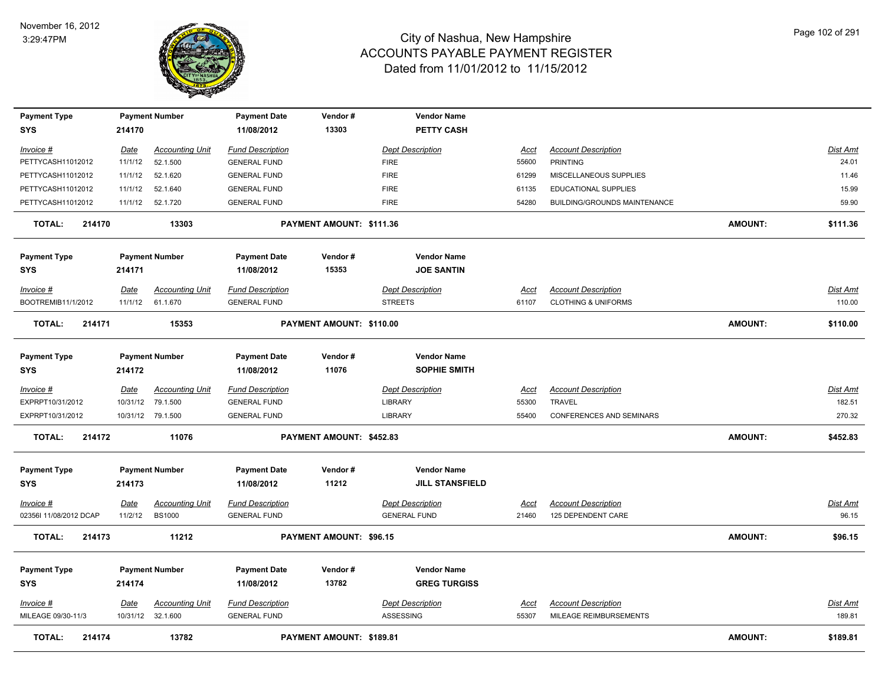

| <b>Payment Type</b>     |             | <b>Payment Number</b>  | <b>Payment Date</b>     | Vendor#                  | <b>Vendor Name</b>      |             |                                 |                |                 |
|-------------------------|-------------|------------------------|-------------------------|--------------------------|-------------------------|-------------|---------------------------------|----------------|-----------------|
| <b>SYS</b>              | 214170      |                        | 11/08/2012              | 13303                    | <b>PETTY CASH</b>       |             |                                 |                |                 |
| Invoice #               | Date        | <b>Accounting Unit</b> | <b>Fund Description</b> |                          | <b>Dept Description</b> | Acct        | <b>Account Description</b>      |                | <b>Dist Amt</b> |
| PETTYCASH11012012       | 11/1/12     | 52.1.500               | <b>GENERAL FUND</b>     |                          | <b>FIRE</b>             | 55600       | <b>PRINTING</b>                 |                | 24.01           |
| PETTYCASH11012012       | 11/1/12     | 52.1.620               | <b>GENERAL FUND</b>     |                          | <b>FIRE</b>             | 61299       | MISCELLANEOUS SUPPLIES          |                | 11.46           |
| PETTYCASH11012012       | 11/1/12     | 52.1.640               | <b>GENERAL FUND</b>     |                          | <b>FIRE</b>             | 61135       | EDUCATIONAL SUPPLIES            |                | 15.99           |
| PETTYCASH11012012       | 11/1/12     | 52.1.720               | <b>GENERAL FUND</b>     |                          | <b>FIRE</b>             | 54280       | BUILDING/GROUNDS MAINTENANCE    |                | 59.90           |
| <b>TOTAL:</b><br>214170 |             | 13303                  |                         | PAYMENT AMOUNT: \$111.36 |                         |             |                                 | <b>AMOUNT:</b> | \$111.36        |
| <b>Payment Type</b>     |             | <b>Payment Number</b>  | <b>Payment Date</b>     | Vendor#                  | <b>Vendor Name</b>      |             |                                 |                |                 |
| <b>SYS</b>              | 214171      |                        | 11/08/2012              | 15353                    | <b>JOE SANTIN</b>       |             |                                 |                |                 |
| Invoice #               | Date        | <b>Accounting Unit</b> | <b>Fund Description</b> |                          | <b>Dept Description</b> | <u>Acct</u> | <b>Account Description</b>      |                | Dist Amt        |
| BOOTREMIB11/1/2012      | 11/1/12     | 61.1.670               | <b>GENERAL FUND</b>     |                          | <b>STREETS</b>          | 61107       | <b>CLOTHING &amp; UNIFORMS</b>  |                | 110.00          |
| <b>TOTAL:</b><br>214171 |             | 15353                  |                         | PAYMENT AMOUNT: \$110.00 |                         |             |                                 | <b>AMOUNT:</b> | \$110.00        |
| <b>Payment Type</b>     |             | <b>Payment Number</b>  | <b>Payment Date</b>     | Vendor#                  | <b>Vendor Name</b>      |             |                                 |                |                 |
| <b>SYS</b>              | 214172      |                        | 11/08/2012              | 11076                    | <b>SOPHIE SMITH</b>     |             |                                 |                |                 |
| Invoice #               | Date        | <b>Accounting Unit</b> | <b>Fund Description</b> |                          | <b>Dept Description</b> | Acct        | <b>Account Description</b>      |                | <b>Dist Amt</b> |
| EXPRPT10/31/2012        | 10/31/12    | 79.1.500               | <b>GENERAL FUND</b>     |                          | <b>LIBRARY</b>          | 55300       | <b>TRAVEL</b>                   |                | 182.51          |
| EXPRPT10/31/2012        |             | 10/31/12 79.1.500      | <b>GENERAL FUND</b>     |                          | <b>LIBRARY</b>          | 55400       | <b>CONFERENCES AND SEMINARS</b> |                | 270.32          |
| 214172<br>TOTAL:        |             | 11076                  |                         | PAYMENT AMOUNT: \$452.83 |                         |             |                                 | <b>AMOUNT:</b> | \$452.83        |
| <b>Payment Type</b>     |             | <b>Payment Number</b>  | <b>Payment Date</b>     | Vendor#                  | <b>Vendor Name</b>      |             |                                 |                |                 |
| <b>SYS</b>              | 214173      |                        | 11/08/2012              | 11212                    | <b>JILL STANSFIELD</b>  |             |                                 |                |                 |
| <u>Invoice #</u>        | <u>Date</u> | <b>Accounting Unit</b> | <b>Fund Description</b> |                          | <b>Dept Description</b> | <u>Acct</u> | <b>Account Description</b>      |                | <u>Dist Amt</u> |
| 02356I 11/08/2012 DCAP  | 11/2/12     | <b>BS1000</b>          | <b>GENERAL FUND</b>     |                          | <b>GENERAL FUND</b>     | 21460       | 125 DEPENDENT CARE              |                | 96.15           |
| 214173<br>TOTAL:        |             | 11212                  |                         | PAYMENT AMOUNT: \$96.15  |                         |             |                                 | <b>AMOUNT:</b> | \$96.15         |
| <b>Payment Type</b>     |             | <b>Payment Number</b>  | <b>Payment Date</b>     | Vendor#                  | <b>Vendor Name</b>      |             |                                 |                |                 |
| <b>SYS</b>              | 214174      |                        | 11/08/2012              | 13782                    | <b>GREG TURGISS</b>     |             |                                 |                |                 |
| Invoice #               | Date        | <b>Accounting Unit</b> | <b>Fund Description</b> |                          | <b>Dept Description</b> | <u>Acct</u> | <b>Account Description</b>      |                | Dist Amt        |
| MILEAGE 09/30-11/3      |             | 10/31/12 32.1.600      | <b>GENERAL FUND</b>     |                          | ASSESSING               | 55307       | MILEAGE REIMBURSEMENTS          |                | 189.81          |
| <b>TOTAL:</b><br>214174 |             | 13782                  |                         | PAYMENT AMOUNT: \$189.81 |                         |             |                                 | <b>AMOUNT:</b> | \$189.81        |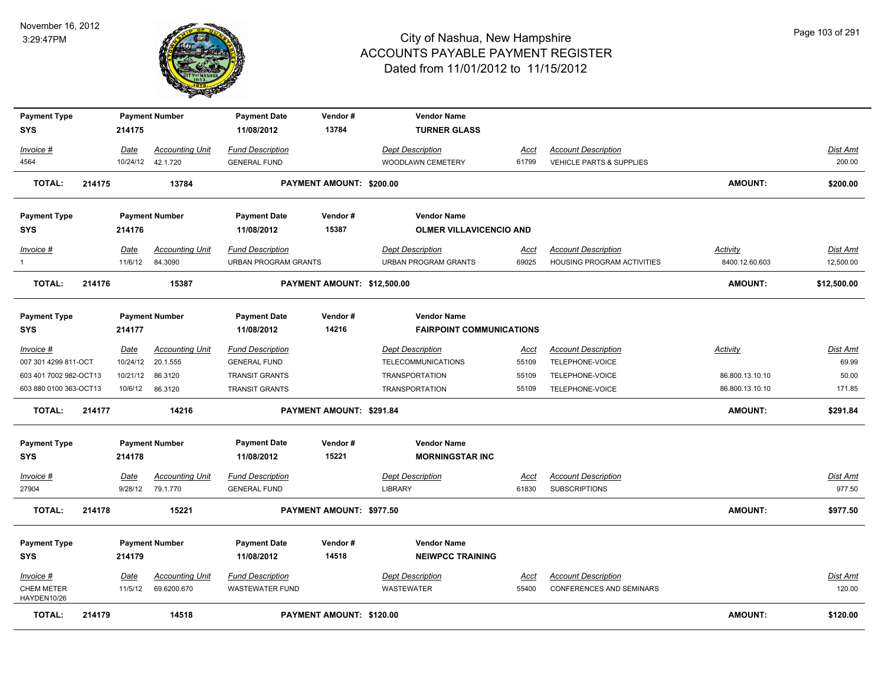

| <b>Payment Type</b><br><b>SYS</b> |        | 214175          | <b>Payment Number</b>             | <b>Payment Date</b><br>11/08/2012                      | Vendor#<br>13784            | <b>Vendor Name</b><br><b>TURNER GLASS</b>              |               |                                                          |                            |                       |
|-----------------------------------|--------|-----------------|-----------------------------------|--------------------------------------------------------|-----------------------------|--------------------------------------------------------|---------------|----------------------------------------------------------|----------------------------|-----------------------|
|                                   |        |                 |                                   |                                                        |                             |                                                        |               |                                                          |                            |                       |
| Invoice #                         |        | Date            | <b>Accounting Unit</b>            | <b>Fund Description</b>                                |                             | <b>Dept Description</b>                                | Acct          | <b>Account Description</b>                               |                            | Dist Amt              |
| 4564                              |        | 10/24/12        | 42.1.720                          | <b>GENERAL FUND</b>                                    |                             | WOODLAWN CEMETERY                                      | 61799         | <b>VEHICLE PARTS &amp; SUPPLIES</b>                      |                            | 200.00                |
| <b>TOTAL:</b>                     | 214175 |                 | 13784                             |                                                        | PAYMENT AMOUNT: \$200.00    |                                                        |               |                                                          | <b>AMOUNT:</b>             | \$200.00              |
| <b>Payment Type</b>               |        |                 | <b>Payment Number</b>             | <b>Payment Date</b>                                    | Vendor#                     | <b>Vendor Name</b>                                     |               |                                                          |                            |                       |
| <b>SYS</b>                        |        | 214176          |                                   | 11/08/2012                                             | 15387                       | <b>OLMER VILLAVICENCIO AND</b>                         |               |                                                          |                            |                       |
| Invoice #<br>$\mathbf{1}$         |        | Date<br>11/6/12 | <b>Accounting Unit</b><br>84.3090 | <b>Fund Description</b><br><b>URBAN PROGRAM GRANTS</b> |                             | <b>Dept Description</b><br><b>URBAN PROGRAM GRANTS</b> | Acct<br>69025 | <b>Account Description</b><br>HOUSING PROGRAM ACTIVITIES | Activity<br>8400.12.60.603 | Dist Amt<br>12,500.00 |
| <b>TOTAL:</b>                     | 214176 |                 | 15387                             |                                                        | PAYMENT AMOUNT: \$12,500.00 |                                                        |               |                                                          | <b>AMOUNT:</b>             | \$12,500.00           |
| <b>Payment Type</b>               |        |                 | <b>Payment Number</b>             | <b>Payment Date</b>                                    | Vendor#                     | <b>Vendor Name</b>                                     |               |                                                          |                            |                       |
| <b>SYS</b>                        |        | 214177          |                                   | 11/08/2012                                             | 14216                       | <b>FAIRPOINT COMMUNICATIONS</b>                        |               |                                                          |                            |                       |
| Invoice #                         |        | <u>Date</u>     | <b>Accounting Unit</b>            | <b>Fund Description</b>                                |                             | <b>Dept Description</b>                                | <u>Acct</u>   | <b>Account Description</b>                               | Activity                   | <b>Dist Amt</b>       |
| 007 301 4299 811-OCT              |        | 10/24/12        | 20.1.555                          | <b>GENERAL FUND</b>                                    |                             | <b>TELECOMMUNICATIONS</b>                              | 55109         | TELEPHONE-VOICE                                          |                            | 69.99                 |
| 603 401 7002 982-OCT13            |        | 10/21/12        | 86.3120                           | <b>TRANSIT GRANTS</b>                                  |                             | <b>TRANSPORTATION</b>                                  | 55109         | TELEPHONE-VOICE                                          | 86.800.13.10.10            | 50.00                 |
| 603 880 0100 363-OCT13            |        | 10/6/12         | 86.3120                           | <b>TRANSIT GRANTS</b>                                  |                             | <b>TRANSPORTATION</b>                                  | 55109         | TELEPHONE-VOICE                                          | 86.800.13.10.10            | 171.85                |
| <b>TOTAL:</b>                     | 214177 |                 | 14216                             |                                                        | PAYMENT AMOUNT: \$291.84    |                                                        |               |                                                          | <b>AMOUNT:</b>             | \$291.84              |
| <b>Payment Type</b>               |        |                 | <b>Payment Number</b>             | <b>Payment Date</b>                                    | Vendor#                     | <b>Vendor Name</b>                                     |               |                                                          |                            |                       |
| <b>SYS</b>                        |        | 214178          |                                   | 11/08/2012                                             | 15221                       | <b>MORNINGSTAR INC</b>                                 |               |                                                          |                            |                       |
| $Invoice$ #                       |        | Date            | <b>Accounting Unit</b>            | <b>Fund Description</b>                                |                             | <b>Dept Description</b>                                | <b>Acct</b>   | <b>Account Description</b>                               |                            | <b>Dist Amt</b>       |
| 27904                             |        | 9/28/12         | 79.1.770                          | <b>GENERAL FUND</b>                                    |                             | <b>LIBRARY</b>                                         | 61830         | <b>SUBSCRIPTIONS</b>                                     |                            | 977.50                |
| <b>TOTAL:</b>                     | 214178 |                 | 15221                             |                                                        | PAYMENT AMOUNT: \$977.50    |                                                        |               |                                                          | <b>AMOUNT:</b>             | \$977.50              |
| <b>Payment Type</b>               |        |                 | <b>Payment Number</b>             | <b>Payment Date</b>                                    | Vendor#                     | <b>Vendor Name</b>                                     |               |                                                          |                            |                       |
| <b>SYS</b>                        |        | 214179          |                                   | 11/08/2012                                             | 14518                       | <b>NEIWPCC TRAINING</b>                                |               |                                                          |                            |                       |
| $Invoice$ #                       |        | Date            | <b>Accounting Unit</b>            | <b>Fund Description</b>                                |                             | <b>Dept Description</b>                                | <u>Acct</u>   | <b>Account Description</b>                               |                            | <b>Dist Amt</b>       |
| <b>CHEM METER</b><br>HAYDEN10/26  |        | 11/5/12         | 69.6200.670                       | <b>WASTEWATER FUND</b>                                 |                             | <b>WASTEWATER</b>                                      | 55400         | CONFERENCES AND SEMINARS                                 |                            | 120.00                |
| <b>TOTAL:</b>                     | 214179 |                 | 14518                             |                                                        | PAYMENT AMOUNT: \$120.00    |                                                        |               |                                                          | <b>AMOUNT:</b>             | \$120.00              |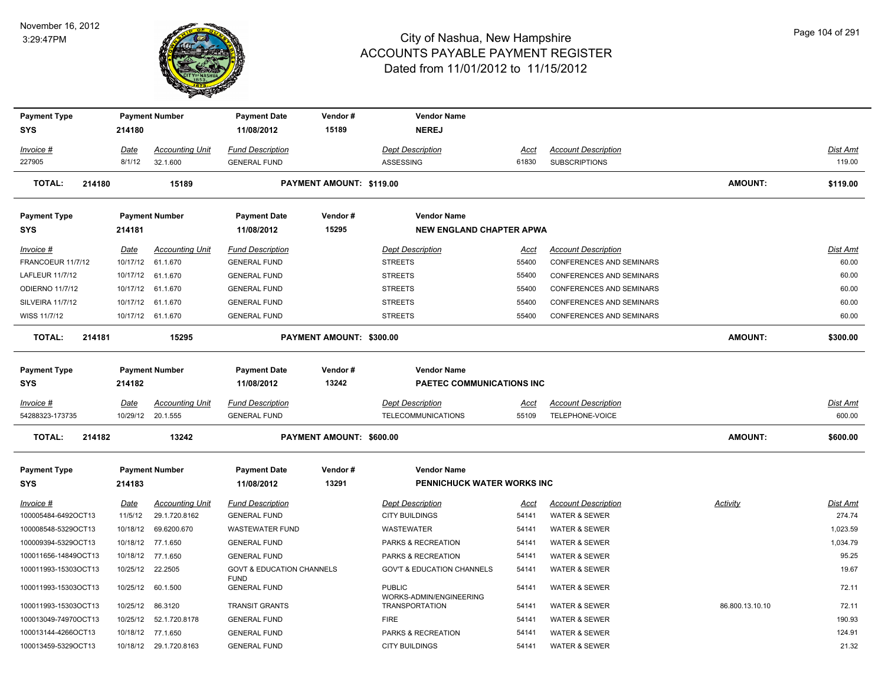

| <b>Payment Type</b>     |             | <b>Payment Number</b>  | <b>Payment Date</b>                  | Vendor#                  | <b>Vendor Name</b>                               |             |                                 |                 |                 |
|-------------------------|-------------|------------------------|--------------------------------------|--------------------------|--------------------------------------------------|-------------|---------------------------------|-----------------|-----------------|
| <b>SYS</b>              | 214180      |                        | 11/08/2012                           | 15189                    | <b>NEREJ</b>                                     |             |                                 |                 |                 |
| Invoice #               | Date        | <b>Accounting Unit</b> | <b>Fund Description</b>              |                          | <b>Dept Description</b>                          | Acct        | <b>Account Description</b>      |                 | <u>Dist Amt</u> |
| 227905                  | 8/1/12      | 32.1.600               | <b>GENERAL FUND</b>                  |                          | ASSESSING                                        | 61830       | <b>SUBSCRIPTIONS</b>            |                 | 119.00          |
| <b>TOTAL:</b><br>214180 |             | 15189                  |                                      | PAYMENT AMOUNT: \$119.00 |                                                  |             |                                 | <b>AMOUNT:</b>  | \$119.00        |
| <b>Payment Type</b>     |             | <b>Payment Number</b>  | <b>Payment Date</b>                  | Vendor#                  | <b>Vendor Name</b>                               |             |                                 |                 |                 |
| <b>SYS</b>              | 214181      |                        | 11/08/2012                           | 15295                    | <b>NEW ENGLAND CHAPTER APWA</b>                  |             |                                 |                 |                 |
| Invoice #               | Date        | <b>Accounting Unit</b> | <b>Fund Description</b>              |                          | <b>Dept Description</b>                          | Acct        | <b>Account Description</b>      |                 | Dist Amt        |
| FRANCOEUR 11/7/12       | 10/17/12    | 61.1.670               | <b>GENERAL FUND</b>                  |                          | <b>STREETS</b>                                   | 55400       | <b>CONFERENCES AND SEMINARS</b> |                 | 60.00           |
| LAFLEUR 11/7/12         |             | 10/17/12 61.1.670      | <b>GENERAL FUND</b>                  |                          | <b>STREETS</b>                                   | 55400       | <b>CONFERENCES AND SEMINARS</b> |                 | 60.00           |
| <b>ODIERNO 11/7/12</b>  |             | 10/17/12 61.1.670      | <b>GENERAL FUND</b>                  |                          | <b>STREETS</b>                                   | 55400       | <b>CONFERENCES AND SEMINARS</b> |                 | 60.00           |
| <b>SILVEIRA 11/7/12</b> | 10/17/12    | 61.1.670               | <b>GENERAL FUND</b>                  |                          | <b>STREETS</b>                                   | 55400       | CONFERENCES AND SEMINARS        |                 | 60.00           |
| WISS 11/7/12            |             | 10/17/12 61.1.670      | <b>GENERAL FUND</b>                  |                          | <b>STREETS</b>                                   | 55400       | <b>CONFERENCES AND SEMINARS</b> |                 | 60.00           |
| <b>TOTAL:</b><br>214181 |             | 15295                  |                                      | PAYMENT AMOUNT: \$300.00 |                                                  |             |                                 | <b>AMOUNT:</b>  | \$300.00        |
| <b>Payment Type</b>     |             | <b>Payment Number</b>  | <b>Payment Date</b>                  | Vendor#                  | <b>Vendor Name</b>                               |             |                                 |                 |                 |
| <b>SYS</b>              | 214182      |                        | 11/08/2012                           | 13242                    | PAETEC COMMUNICATIONS INC                        |             |                                 |                 |                 |
| Invoice #               | Date        | <b>Accounting Unit</b> | <b>Fund Description</b>              |                          | <b>Dept Description</b>                          | Acct        | <b>Account Description</b>      |                 | Dist Amt        |
| 54288323-173735         |             | 10/29/12 20.1.555      | <b>GENERAL FUND</b>                  |                          | <b>TELECOMMUNICATIONS</b>                        | 55109       | TELEPHONE-VOICE                 |                 | 600.00          |
| <b>TOTAL:</b><br>214182 |             | 13242                  |                                      | PAYMENT AMOUNT: \$600.00 |                                                  |             |                                 | <b>AMOUNT:</b>  | \$600.00        |
| <b>Payment Type</b>     |             | <b>Payment Number</b>  | <b>Payment Date</b>                  | Vendor#                  | <b>Vendor Name</b>                               |             |                                 |                 |                 |
| <b>SYS</b>              | 214183      |                        | 11/08/2012                           | 13291                    | <b>PENNICHUCK WATER WORKS INC</b>                |             |                                 |                 |                 |
| $Invoice$ #             | <u>Date</u> | <b>Accounting Unit</b> | <b>Fund Description</b>              |                          | <b>Dept Description</b>                          | <u>Acct</u> | <b>Account Description</b>      | <u>Activity</u> | <u>Dist Amt</u> |
| 100005484-6492OCT13     | 11/5/12     | 29.1.720.8162          | <b>GENERAL FUND</b>                  |                          | <b>CITY BUILDINGS</b>                            | 54141       | <b>WATER &amp; SEWER</b>        |                 | 274.74          |
| 100008548-5329OCT13     | 10/18/12    | 69.6200.670            | <b>WASTEWATER FUND</b>               |                          | WASTEWATER                                       | 54141       | WATER & SEWER                   |                 | 1,023.59        |
| 100009394-5329OCT13     |             | 10/18/12 77.1.650      | <b>GENERAL FUND</b>                  |                          | PARKS & RECREATION                               | 54141       | WATER & SEWER                   |                 | 1,034.79        |
| 100011656-14849OCT13    | 10/18/12    | 77.1.650               | <b>GENERAL FUND</b>                  |                          | PARKS & RECREATION                               | 54141       | <b>WATER &amp; SEWER</b>        |                 | 95.25           |
| 100011993-15303OCT13    | 10/25/12    | 22.2505                | <b>GOVT &amp; EDUCATION CHANNELS</b> |                          | <b>GOV'T &amp; EDUCATION CHANNELS</b>            | 54141       | <b>WATER &amp; SEWER</b>        |                 | 19.67           |
| 100011993-15303OCT13    | 10/25/12    | 60.1.500               | <b>FUND</b><br><b>GENERAL FUND</b>   |                          | <b>PUBLIC</b>                                    | 54141       | WATER & SEWER                   |                 | 72.11           |
| 100011993-15303OCT13    | 10/25/12    | 86.3120                | <b>TRANSIT GRANTS</b>                |                          | WORKS-ADMIN/ENGINEERING<br><b>TRANSPORTATION</b> | 54141       | WATER & SEWER                   | 86.800.13.10.10 | 72.11           |
| 100013049-74970OCT13    | 10/25/12    | 52.1.720.8178          | <b>GENERAL FUND</b>                  |                          | <b>FIRE</b>                                      | 54141       | <b>WATER &amp; SEWER</b>        |                 | 190.93          |
| 100013144-4266OCT13     |             | 10/18/12 77.1.650      | <b>GENERAL FUND</b>                  |                          | PARKS & RECREATION                               | 54141       | <b>WATER &amp; SEWER</b>        |                 | 124.91          |
| 100013459-5329OCT13     |             | 10/18/12 29.1.720.8163 | <b>GENERAL FUND</b>                  |                          | <b>CITY BUILDINGS</b>                            | 54141       | <b>WATER &amp; SEWER</b>        |                 | 21.32           |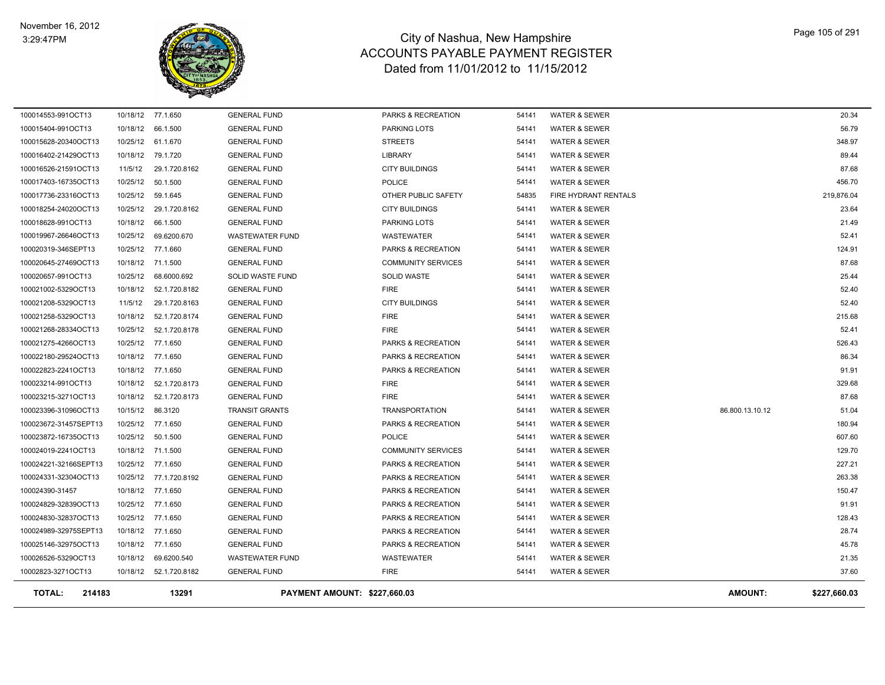#### November 16, 2012 3:29:47PM



| 10/25/12 52.1.720.8178<br><b>GENERAL FUND</b><br>10/25/12 77.1.650<br><b>GENERAL FUND</b><br>10/18/12 77.1.650<br><b>GENERAL FUND</b><br>10/18/12 77.1.650<br><b>GENERAL FUND</b><br>10/18/12  52.1.720.8173<br><b>GENERAL FUND</b><br>10/18/12  52.1.720.8173<br><b>GENERAL FUND</b><br>10/15/12 86.3120<br><b>TRANSIT GRANTS</b><br>10/25/12 77.1.650<br><b>GENERAL FUND</b><br>10/25/12 50.1.500<br><b>GENERAL FUND</b><br>10/18/12 71.1.500<br><b>GENERAL FUND</b><br>10/25/12 77.1.650<br><b>GENERAL FUND</b><br>10/25/12 77.1.720.8192<br><b>GENERAL FUND</b><br>10/18/12 77.1.650<br><b>GENERAL FUND</b><br>10/25/12 77.1.650<br><b>GENERAL FUND</b><br>10/25/12 77.1.650<br><b>GENERAL FUND</b><br>10/18/12 77.1.650<br><b>GENERAL FUND</b><br>10/18/12 77.1.650<br><b>GENERAL FUND</b><br>10/18/12 69.6200.540<br><b>WASTEWATER FUND</b><br>10/18/12  52.1.720.8182<br><b>GENERAL FUND</b> | <b>FIRE</b><br>PARKS & RECREATION<br>PARKS & RECREATION<br>PARKS & RECREATION<br><b>FIRE</b><br><b>FIRE</b><br><b>TRANSPORTATION</b><br>PARKS & RECREATION<br><b>POLICE</b><br><b>COMMUNITY SERVICES</b><br>PARKS & RECREATION<br>PARKS & RECREATION<br>PARKS & RECREATION<br>PARKS & RECREATION<br>PARKS & RECREATION<br>PARKS & RECREATION<br>PARKS & RECREATION<br>WASTEWATER<br><b>FIRE</b> | 54141<br>54141<br>54141<br>54141<br>54141<br>54141<br>54141<br>54141<br>54141<br>54141<br>54141<br>54141<br>54141<br>54141<br>54141<br>54141<br>54141<br>54141<br>54141 | <b>WATER &amp; SEWER</b><br><b>WATER &amp; SEWER</b><br><b>WATER &amp; SEWER</b><br><b>WATER &amp; SEWER</b><br><b>WATER &amp; SEWER</b><br><b>WATER &amp; SEWER</b><br><b>WATER &amp; SEWER</b><br><b>WATER &amp; SEWER</b><br><b>WATER &amp; SEWER</b><br><b>WATER &amp; SEWER</b><br><b>WATER &amp; SEWER</b><br><b>WATER &amp; SEWER</b><br><b>WATER &amp; SEWER</b><br><b>WATER &amp; SEWER</b><br><b>WATER &amp; SEWER</b><br><b>WATER &amp; SEWER</b><br><b>WATER &amp; SEWER</b><br><b>WATER &amp; SEWER</b><br><b>WATER &amp; SEWER</b> | 86.800.13.10.12 | 52.41<br>526.43<br>86.34<br>91.91<br>329.68<br>87.68<br>51.04<br>180.94<br>607.60<br>129.70<br>227.21<br>263.38<br>150.47<br>91.91<br>128.43<br>28.74<br>45.78<br>21.35<br>37.60 |
|-----------------------------------------------------------------------------------------------------------------------------------------------------------------------------------------------------------------------------------------------------------------------------------------------------------------------------------------------------------------------------------------------------------------------------------------------------------------------------------------------------------------------------------------------------------------------------------------------------------------------------------------------------------------------------------------------------------------------------------------------------------------------------------------------------------------------------------------------------------------------------------------------------|-------------------------------------------------------------------------------------------------------------------------------------------------------------------------------------------------------------------------------------------------------------------------------------------------------------------------------------------------------------------------------------------------|-------------------------------------------------------------------------------------------------------------------------------------------------------------------------|--------------------------------------------------------------------------------------------------------------------------------------------------------------------------------------------------------------------------------------------------------------------------------------------------------------------------------------------------------------------------------------------------------------------------------------------------------------------------------------------------------------------------------------------------|-----------------|----------------------------------------------------------------------------------------------------------------------------------------------------------------------------------|
|                                                                                                                                                                                                                                                                                                                                                                                                                                                                                                                                                                                                                                                                                                                                                                                                                                                                                                     |                                                                                                                                                                                                                                                                                                                                                                                                 |                                                                                                                                                                         |                                                                                                                                                                                                                                                                                                                                                                                                                                                                                                                                                  |                 |                                                                                                                                                                                  |
|                                                                                                                                                                                                                                                                                                                                                                                                                                                                                                                                                                                                                                                                                                                                                                                                                                                                                                     |                                                                                                                                                                                                                                                                                                                                                                                                 |                                                                                                                                                                         |                                                                                                                                                                                                                                                                                                                                                                                                                                                                                                                                                  |                 |                                                                                                                                                                                  |
|                                                                                                                                                                                                                                                                                                                                                                                                                                                                                                                                                                                                                                                                                                                                                                                                                                                                                                     |                                                                                                                                                                                                                                                                                                                                                                                                 |                                                                                                                                                                         |                                                                                                                                                                                                                                                                                                                                                                                                                                                                                                                                                  |                 |                                                                                                                                                                                  |
|                                                                                                                                                                                                                                                                                                                                                                                                                                                                                                                                                                                                                                                                                                                                                                                                                                                                                                     |                                                                                                                                                                                                                                                                                                                                                                                                 |                                                                                                                                                                         |                                                                                                                                                                                                                                                                                                                                                                                                                                                                                                                                                  |                 |                                                                                                                                                                                  |
|                                                                                                                                                                                                                                                                                                                                                                                                                                                                                                                                                                                                                                                                                                                                                                                                                                                                                                     |                                                                                                                                                                                                                                                                                                                                                                                                 |                                                                                                                                                                         |                                                                                                                                                                                                                                                                                                                                                                                                                                                                                                                                                  |                 |                                                                                                                                                                                  |
|                                                                                                                                                                                                                                                                                                                                                                                                                                                                                                                                                                                                                                                                                                                                                                                                                                                                                                     |                                                                                                                                                                                                                                                                                                                                                                                                 |                                                                                                                                                                         |                                                                                                                                                                                                                                                                                                                                                                                                                                                                                                                                                  |                 |                                                                                                                                                                                  |
|                                                                                                                                                                                                                                                                                                                                                                                                                                                                                                                                                                                                                                                                                                                                                                                                                                                                                                     |                                                                                                                                                                                                                                                                                                                                                                                                 |                                                                                                                                                                         |                                                                                                                                                                                                                                                                                                                                                                                                                                                                                                                                                  |                 |                                                                                                                                                                                  |
|                                                                                                                                                                                                                                                                                                                                                                                                                                                                                                                                                                                                                                                                                                                                                                                                                                                                                                     |                                                                                                                                                                                                                                                                                                                                                                                                 |                                                                                                                                                                         |                                                                                                                                                                                                                                                                                                                                                                                                                                                                                                                                                  |                 |                                                                                                                                                                                  |
|                                                                                                                                                                                                                                                                                                                                                                                                                                                                                                                                                                                                                                                                                                                                                                                                                                                                                                     |                                                                                                                                                                                                                                                                                                                                                                                                 |                                                                                                                                                                         |                                                                                                                                                                                                                                                                                                                                                                                                                                                                                                                                                  |                 |                                                                                                                                                                                  |
|                                                                                                                                                                                                                                                                                                                                                                                                                                                                                                                                                                                                                                                                                                                                                                                                                                                                                                     |                                                                                                                                                                                                                                                                                                                                                                                                 |                                                                                                                                                                         |                                                                                                                                                                                                                                                                                                                                                                                                                                                                                                                                                  |                 |                                                                                                                                                                                  |
|                                                                                                                                                                                                                                                                                                                                                                                                                                                                                                                                                                                                                                                                                                                                                                                                                                                                                                     |                                                                                                                                                                                                                                                                                                                                                                                                 |                                                                                                                                                                         |                                                                                                                                                                                                                                                                                                                                                                                                                                                                                                                                                  |                 |                                                                                                                                                                                  |
|                                                                                                                                                                                                                                                                                                                                                                                                                                                                                                                                                                                                                                                                                                                                                                                                                                                                                                     |                                                                                                                                                                                                                                                                                                                                                                                                 |                                                                                                                                                                         |                                                                                                                                                                                                                                                                                                                                                                                                                                                                                                                                                  |                 |                                                                                                                                                                                  |
|                                                                                                                                                                                                                                                                                                                                                                                                                                                                                                                                                                                                                                                                                                                                                                                                                                                                                                     |                                                                                                                                                                                                                                                                                                                                                                                                 |                                                                                                                                                                         |                                                                                                                                                                                                                                                                                                                                                                                                                                                                                                                                                  |                 |                                                                                                                                                                                  |
|                                                                                                                                                                                                                                                                                                                                                                                                                                                                                                                                                                                                                                                                                                                                                                                                                                                                                                     |                                                                                                                                                                                                                                                                                                                                                                                                 |                                                                                                                                                                         |                                                                                                                                                                                                                                                                                                                                                                                                                                                                                                                                                  |                 |                                                                                                                                                                                  |
|                                                                                                                                                                                                                                                                                                                                                                                                                                                                                                                                                                                                                                                                                                                                                                                                                                                                                                     |                                                                                                                                                                                                                                                                                                                                                                                                 |                                                                                                                                                                         |                                                                                                                                                                                                                                                                                                                                                                                                                                                                                                                                                  |                 |                                                                                                                                                                                  |
|                                                                                                                                                                                                                                                                                                                                                                                                                                                                                                                                                                                                                                                                                                                                                                                                                                                                                                     |                                                                                                                                                                                                                                                                                                                                                                                                 |                                                                                                                                                                         |                                                                                                                                                                                                                                                                                                                                                                                                                                                                                                                                                  |                 |                                                                                                                                                                                  |
|                                                                                                                                                                                                                                                                                                                                                                                                                                                                                                                                                                                                                                                                                                                                                                                                                                                                                                     |                                                                                                                                                                                                                                                                                                                                                                                                 |                                                                                                                                                                         |                                                                                                                                                                                                                                                                                                                                                                                                                                                                                                                                                  |                 |                                                                                                                                                                                  |
|                                                                                                                                                                                                                                                                                                                                                                                                                                                                                                                                                                                                                                                                                                                                                                                                                                                                                                     |                                                                                                                                                                                                                                                                                                                                                                                                 |                                                                                                                                                                         |                                                                                                                                                                                                                                                                                                                                                                                                                                                                                                                                                  |                 |                                                                                                                                                                                  |
|                                                                                                                                                                                                                                                                                                                                                                                                                                                                                                                                                                                                                                                                                                                                                                                                                                                                                                     |                                                                                                                                                                                                                                                                                                                                                                                                 |                                                                                                                                                                         |                                                                                                                                                                                                                                                                                                                                                                                                                                                                                                                                                  |                 |                                                                                                                                                                                  |
| 10/18/12  52.1.720.8174<br><b>GENERAL FUND</b>                                                                                                                                                                                                                                                                                                                                                                                                                                                                                                                                                                                                                                                                                                                                                                                                                                                      | <b>FIRE</b>                                                                                                                                                                                                                                                                                                                                                                                     | 54141                                                                                                                                                                   | <b>WATER &amp; SEWER</b>                                                                                                                                                                                                                                                                                                                                                                                                                                                                                                                         |                 | 215.68                                                                                                                                                                           |
| 29.1.720.8163<br><b>GENERAL FUND</b>                                                                                                                                                                                                                                                                                                                                                                                                                                                                                                                                                                                                                                                                                                                                                                                                                                                                | <b>CITY BUILDINGS</b>                                                                                                                                                                                                                                                                                                                                                                           | 54141                                                                                                                                                                   | <b>WATER &amp; SEWER</b>                                                                                                                                                                                                                                                                                                                                                                                                                                                                                                                         |                 | 52.40                                                                                                                                                                            |
| 10/18/12  52.1.720.8182<br><b>GENERAL FUND</b>                                                                                                                                                                                                                                                                                                                                                                                                                                                                                                                                                                                                                                                                                                                                                                                                                                                      | <b>FIRE</b>                                                                                                                                                                                                                                                                                                                                                                                     | 54141                                                                                                                                                                   | <b>WATER &amp; SEWER</b>                                                                                                                                                                                                                                                                                                                                                                                                                                                                                                                         |                 | 52.40                                                                                                                                                                            |
| 68.6000.692<br>SOLID WASTE FUND                                                                                                                                                                                                                                                                                                                                                                                                                                                                                                                                                                                                                                                                                                                                                                                                                                                                     | <b>SOLID WASTE</b>                                                                                                                                                                                                                                                                                                                                                                              | 54141                                                                                                                                                                   | <b>WATER &amp; SEWER</b>                                                                                                                                                                                                                                                                                                                                                                                                                                                                                                                         |                 | 25.44                                                                                                                                                                            |
| 10/18/12 71.1.500<br><b>GENERAL FUND</b>                                                                                                                                                                                                                                                                                                                                                                                                                                                                                                                                                                                                                                                                                                                                                                                                                                                            | <b>COMMUNITY SERVICES</b>                                                                                                                                                                                                                                                                                                                                                                       | 54141                                                                                                                                                                   | <b>WATER &amp; SEWER</b>                                                                                                                                                                                                                                                                                                                                                                                                                                                                                                                         |                 | 87.68                                                                                                                                                                            |
| <b>GENERAL FUND</b>                                                                                                                                                                                                                                                                                                                                                                                                                                                                                                                                                                                                                                                                                                                                                                                                                                                                                 | PARKS & RECREATION                                                                                                                                                                                                                                                                                                                                                                              | 54141                                                                                                                                                                   | <b>WATER &amp; SEWER</b>                                                                                                                                                                                                                                                                                                                                                                                                                                                                                                                         |                 | 124.91                                                                                                                                                                           |
| <b>WASTEWATER FUND</b>                                                                                                                                                                                                                                                                                                                                                                                                                                                                                                                                                                                                                                                                                                                                                                                                                                                                              | <b>WASTEWATER</b>                                                                                                                                                                                                                                                                                                                                                                               | 54141                                                                                                                                                                   | <b>WATER &amp; SEWER</b>                                                                                                                                                                                                                                                                                                                                                                                                                                                                                                                         |                 | 52.41                                                                                                                                                                            |
| <b>GENERAL FUND</b>                                                                                                                                                                                                                                                                                                                                                                                                                                                                                                                                                                                                                                                                                                                                                                                                                                                                                 | PARKING LOTS                                                                                                                                                                                                                                                                                                                                                                                    | 54141                                                                                                                                                                   | <b>WATER &amp; SEWER</b>                                                                                                                                                                                                                                                                                                                                                                                                                                                                                                                         |                 | 21.49                                                                                                                                                                            |
| <b>GENERAL FUND</b>                                                                                                                                                                                                                                                                                                                                                                                                                                                                                                                                                                                                                                                                                                                                                                                                                                                                                 | <b>CITY BUILDINGS</b>                                                                                                                                                                                                                                                                                                                                                                           | 54141                                                                                                                                                                   | <b>WATER &amp; SEWER</b>                                                                                                                                                                                                                                                                                                                                                                                                                                                                                                                         |                 | 23.64                                                                                                                                                                            |
| <b>GENERAL FUND</b>                                                                                                                                                                                                                                                                                                                                                                                                                                                                                                                                                                                                                                                                                                                                                                                                                                                                                 | OTHER PUBLIC SAFETY                                                                                                                                                                                                                                                                                                                                                                             | 54835                                                                                                                                                                   | FIRE HYDRANT RENTALS                                                                                                                                                                                                                                                                                                                                                                                                                                                                                                                             |                 | 219,876.04                                                                                                                                                                       |
| <b>GENERAL FUND</b>                                                                                                                                                                                                                                                                                                                                                                                                                                                                                                                                                                                                                                                                                                                                                                                                                                                                                 | <b>POLICE</b>                                                                                                                                                                                                                                                                                                                                                                                   | 54141                                                                                                                                                                   | <b>WATER &amp; SEWER</b>                                                                                                                                                                                                                                                                                                                                                                                                                                                                                                                         |                 | 456.70                                                                                                                                                                           |
| <b>GENERAL FUND</b>                                                                                                                                                                                                                                                                                                                                                                                                                                                                                                                                                                                                                                                                                                                                                                                                                                                                                 | <b>CITY BUILDINGS</b>                                                                                                                                                                                                                                                                                                                                                                           | 54141                                                                                                                                                                   | <b>WATER &amp; SEWER</b>                                                                                                                                                                                                                                                                                                                                                                                                                                                                                                                         |                 | 87.68                                                                                                                                                                            |
| <b>GENERAL FUND</b>                                                                                                                                                                                                                                                                                                                                                                                                                                                                                                                                                                                                                                                                                                                                                                                                                                                                                 | <b>LIBRARY</b>                                                                                                                                                                                                                                                                                                                                                                                  | 54141                                                                                                                                                                   | <b>WATER &amp; SEWER</b>                                                                                                                                                                                                                                                                                                                                                                                                                                                                                                                         |                 | 89.44                                                                                                                                                                            |
| <b>GENERAL FUND</b>                                                                                                                                                                                                                                                                                                                                                                                                                                                                                                                                                                                                                                                                                                                                                                                                                                                                                 | <b>STREETS</b>                                                                                                                                                                                                                                                                                                                                                                                  | 54141                                                                                                                                                                   | <b>WATER &amp; SEWER</b>                                                                                                                                                                                                                                                                                                                                                                                                                                                                                                                         |                 | 348.97                                                                                                                                                                           |
| <b>GENERAL FUND</b>                                                                                                                                                                                                                                                                                                                                                                                                                                                                                                                                                                                                                                                                                                                                                                                                                                                                                 | <b>PARKING LOTS</b>                                                                                                                                                                                                                                                                                                                                                                             | 54141                                                                                                                                                                   | <b>WATER &amp; SEWER</b>                                                                                                                                                                                                                                                                                                                                                                                                                                                                                                                         |                 | 56.79                                                                                                                                                                            |
| <b>GENERAL FUND</b>                                                                                                                                                                                                                                                                                                                                                                                                                                                                                                                                                                                                                                                                                                                                                                                                                                                                                 | PARKS & RECREATION                                                                                                                                                                                                                                                                                                                                                                              | 54141                                                                                                                                                                   | <b>WATER &amp; SEWER</b>                                                                                                                                                                                                                                                                                                                                                                                                                                                                                                                         |                 | 20.34                                                                                                                                                                            |
|                                                                                                                                                                                                                                                                                                                                                                                                                                                                                                                                                                                                                                                                                                                                                                                                                                                                                                     | 10/18/12 77.1.650<br>10/18/12 66.1.500<br>10/25/12 61.1.670<br>10/18/12 79.1.720<br>29.1.720.8162<br>50.1.500<br>10/25/12 59.1.645<br>29.1.720.8162<br>66.1.500<br>69.6200.670<br>10/25/12 77.1.660                                                                                                                                                                                             |                                                                                                                                                                         |                                                                                                                                                                                                                                                                                                                                                                                                                                                                                                                                                  |                 |                                                                                                                                                                                  |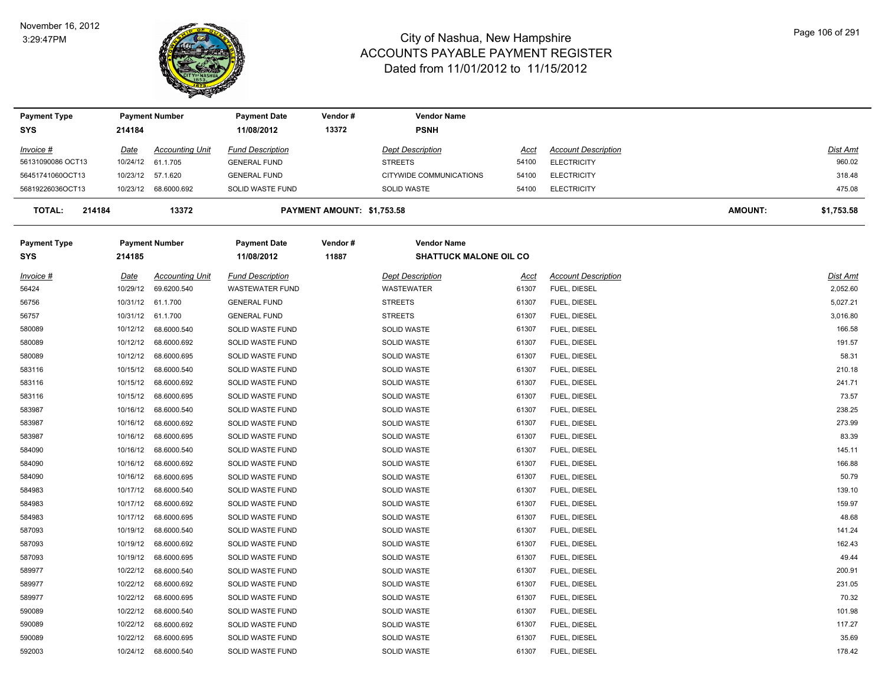

| <b>Payment Type</b>     |          | <b>Payment Number</b>  | <b>Payment Date</b>     | Vendor#                    | <b>Vendor Name</b>            |       |                            |         |                 |
|-------------------------|----------|------------------------|-------------------------|----------------------------|-------------------------------|-------|----------------------------|---------|-----------------|
| <b>SYS</b>              | 214184   |                        | 11/08/2012              | 13372                      | <b>PSNH</b>                   |       |                            |         |                 |
| Invoice #               | Date     | <b>Accounting Unit</b> | <b>Fund Description</b> |                            | <b>Dept Description</b>       | Acct  | <b>Account Description</b> |         | <b>Dist Amt</b> |
| 56131090086 OCT13       | 10/24/12 | 61.1.705               | <b>GENERAL FUND</b>     |                            | <b>STREETS</b>                | 54100 | <b>ELECTRICITY</b>         |         | 960.02          |
| 56451741060OCT13        | 10/23/12 | 57.1.620               | <b>GENERAL FUND</b>     |                            | CITYWIDE COMMUNICATIONS       | 54100 | <b>ELECTRICITY</b>         |         | 318.48          |
| 56819226036OCT13        |          | 10/23/12 68.6000.692   | SOLID WASTE FUND        |                            | <b>SOLID WASTE</b>            | 54100 | <b>ELECTRICITY</b>         |         | 475.08          |
| <b>TOTAL:</b><br>214184 |          | 13372                  |                         | PAYMENT AMOUNT: \$1,753.58 |                               |       |                            | AMOUNT: | \$1,753.58      |
| <b>Payment Type</b>     |          | <b>Payment Number</b>  | <b>Payment Date</b>     | Vendor#                    | <b>Vendor Name</b>            |       |                            |         |                 |
| <b>SYS</b>              | 214185   |                        | 11/08/2012              | 11887                      | <b>SHATTUCK MALONE OIL CO</b> |       |                            |         |                 |
| Invoice #               | Date     | <b>Accounting Unit</b> | <b>Fund Description</b> |                            | <b>Dept Description</b>       | Acct  | <b>Account Description</b> |         | <b>Dist Amt</b> |
| 56424                   | 10/29/12 | 69.6200.540            | <b>WASTEWATER FUND</b>  |                            | WASTEWATER                    | 61307 | FUEL, DIESEL               |         | 2,052.60        |
| 56756                   | 10/31/12 | 61.1.700               | <b>GENERAL FUND</b>     |                            | <b>STREETS</b>                | 61307 | FUEL, DIESEL               |         | 5,027.21        |
| 56757                   | 10/31/12 | 61.1.700               | <b>GENERAL FUND</b>     |                            | <b>STREETS</b>                | 61307 | FUEL, DIESEL               |         | 3,016.80        |
| 580089                  | 10/12/12 | 68.6000.540            | SOLID WASTE FUND        |                            | <b>SOLID WASTE</b>            | 61307 | FUEL, DIESEL               |         | 166.58          |
| 580089                  | 10/12/12 | 68.6000.692            | SOLID WASTE FUND        |                            | SOLID WASTE                   | 61307 | FUEL, DIESEL               |         | 191.57          |
| 580089                  | 10/12/12 | 68.6000.695            | SOLID WASTE FUND        |                            | SOLID WASTE                   | 61307 | FUEL, DIESEL               |         | 58.31           |
| 583116                  | 10/15/12 | 68.6000.540            | SOLID WASTE FUND        |                            | <b>SOLID WASTE</b>            | 61307 | FUEL, DIESEL               |         | 210.18          |
| 583116                  | 10/15/12 | 68.6000.692            | SOLID WASTE FUND        |                            | SOLID WASTE                   | 61307 | FUEL, DIESEL               |         | 241.71          |
| 583116                  | 10/15/12 | 68.6000.695            | SOLID WASTE FUND        |                            | <b>SOLID WASTE</b>            | 61307 | FUEL, DIESEL               |         | 73.57           |
| 583987                  | 10/16/12 | 68.6000.540            | SOLID WASTE FUND        |                            | SOLID WASTE                   | 61307 | FUEL, DIESEL               |         | 238.25          |
| 583987                  | 10/16/12 | 68.6000.692            | SOLID WASTE FUND        |                            | SOLID WASTE                   | 61307 | FUEL, DIESEL               |         | 273.99          |
| 583987                  | 10/16/12 | 68.6000.695            | SOLID WASTE FUND        |                            | SOLID WASTE                   | 61307 | FUEL, DIESEL               |         | 83.39           |
| 584090                  | 10/16/12 | 68.6000.540            | SOLID WASTE FUND        |                            | SOLID WASTE                   | 61307 | FUEL, DIESEL               |         | 145.11          |
| 584090                  | 10/16/12 | 68.6000.692            | SOLID WASTE FUND        |                            | <b>SOLID WASTE</b>            | 61307 | FUEL, DIESEL               |         | 166.88          |
| 584090                  | 10/16/12 | 68.6000.695            | SOLID WASTE FUND        |                            | <b>SOLID WASTE</b>            | 61307 | FUEL, DIESEL               |         | 50.79           |
| 584983                  | 10/17/12 | 68.6000.540            | SOLID WASTE FUND        |                            | SOLID WASTE                   | 61307 | FUEL, DIESEL               |         | 139.10          |
| 584983                  | 10/17/12 | 68.6000.692            | SOLID WASTE FUND        |                            | <b>SOLID WASTE</b>            | 61307 | FUEL, DIESEL               |         | 159.97          |
| 584983                  | 10/17/12 | 68.6000.695            | SOLID WASTE FUND        |                            | SOLID WASTE                   | 61307 | FUEL, DIESEL               |         | 48.68           |
| 587093                  | 10/19/12 | 68.6000.540            | SOLID WASTE FUND        |                            | <b>SOLID WASTE</b>            | 61307 | FUEL, DIESEL               |         | 141.24          |
| 587093                  | 10/19/12 | 68.6000.692            | SOLID WASTE FUND        |                            | <b>SOLID WASTE</b>            | 61307 | FUEL, DIESEL               |         | 162.43          |
| 587093                  | 10/19/12 | 68.6000.695            | SOLID WASTE FUND        |                            | SOLID WASTE                   | 61307 | FUEL, DIESEL               |         | 49.44           |
| 589977                  | 10/22/12 | 68.6000.540            | SOLID WASTE FUND        |                            | <b>SOLID WASTE</b>            | 61307 | FUEL, DIESEL               |         | 200.91          |
| 589977                  | 10/22/12 | 68.6000.692            | SOLID WASTE FUND        |                            | SOLID WASTE                   | 61307 | FUEL, DIESEL               |         | 231.05          |
| 589977                  | 10/22/12 | 68.6000.695            | SOLID WASTE FUND        |                            | <b>SOLID WASTE</b>            | 61307 | FUEL, DIESEL               |         | 70.32           |
| 590089                  | 10/22/12 | 68.6000.540            | SOLID WASTE FUND        |                            | <b>SOLID WASTE</b>            | 61307 | FUEL, DIESEL               |         | 101.98          |
| 590089                  | 10/22/12 | 68.6000.692            | SOLID WASTE FUND        |                            | SOLID WASTE                   | 61307 | FUEL, DIESEL               |         | 117.27          |
| 590089                  | 10/22/12 | 68.6000.695            | SOLID WASTE FUND        |                            | <b>SOLID WASTE</b>            | 61307 | FUEL, DIESEL               |         | 35.69           |
| 592003                  | 10/24/12 | 68.6000.540            | SOLID WASTE FUND        |                            | SOLID WASTE                   | 61307 | FUEL, DIESEL               |         | 178.42          |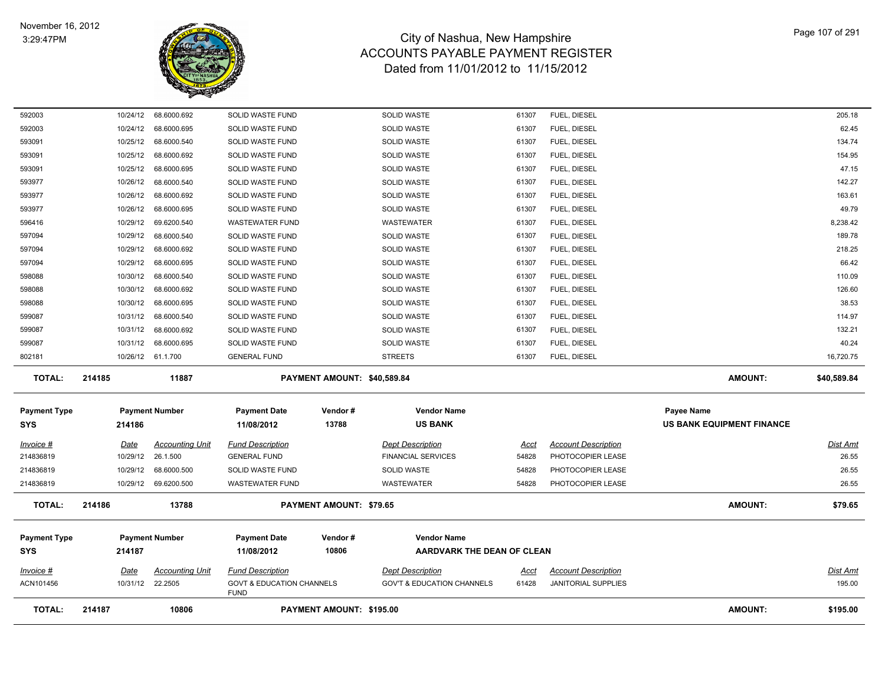

| <b>TOTAL:</b>                     | 214187               | 10806                      |                                                     | PAYMENT AMOUNT: \$195.00       |                                                  |                |                              | <b>AMOUNT:</b>                                        | \$195.00        |
|-----------------------------------|----------------------|----------------------------|-----------------------------------------------------|--------------------------------|--------------------------------------------------|----------------|------------------------------|-------------------------------------------------------|-----------------|
| ACN101456                         |                      | 10/31/12 22.2505           | <b>GOVT &amp; EDUCATION CHANNELS</b><br><b>FUND</b> |                                | <b>GOV'T &amp; EDUCATION CHANNELS</b>            | 61428          | <b>JANITORIAL SUPPLIES</b>   |                                                       | 195.00          |
| $Invoice$ #                       | <u>Date</u>          | <b>Accounting Unit</b>     | <b>Fund Description</b>                             |                                | <b>Dept Description</b>                          | <u>Acct</u>    | <b>Account Description</b>   |                                                       | <u>Dist Amt</u> |
| <b>Payment Type</b><br><b>SYS</b> | 214187               | <b>Payment Number</b>      | <b>Payment Date</b><br>11/08/2012                   | Vendor#<br>10806               | <b>Vendor Name</b><br>AARDVARK THE DEAN OF CLEAN |                |                              |                                                       |                 |
| <b>TOTAL:</b>                     | 214186               | 13788                      |                                                     | <b>PAYMENT AMOUNT: \$79.65</b> |                                                  |                |                              | <b>AMOUNT:</b>                                        | \$79.65         |
| 214836819                         |                      | 10/29/12 69.6200.500       | <b>WASTEWATER FUND</b>                              |                                | <b>WASTEWATER</b>                                | 54828          | PHOTOCOPIER LEASE            |                                                       | 26.55           |
| 214836819                         | 10/29/12             | 68.6000.500                | SOLID WASTE FUND                                    |                                | SOLID WASTE                                      | 54828          | PHOTOCOPIER LEASE            |                                                       | 26.55           |
| 214836819                         | 10/29/12             | 26.1.500                   | <b>GENERAL FUND</b>                                 |                                | <b>FINANCIAL SERVICES</b>                        | 54828          | PHOTOCOPIER LEASE            |                                                       | 26.55           |
| $Invoice$ #                       | <u>Date</u>          | <b>Accounting Unit</b>     | <b>Fund Description</b>                             |                                | <b>Dept Description</b>                          | Acct           | <b>Account Description</b>   |                                                       | <b>Dist Amt</b> |
| <b>Payment Type</b><br><b>SYS</b> | 214186               | <b>Payment Number</b>      | <b>Payment Date</b><br>11/08/2012                   | Vendor#<br>13788               | <b>Vendor Name</b><br><b>US BANK</b>             |                |                              | <b>Payee Name</b><br><b>US BANK EQUIPMENT FINANCE</b> |                 |
| <b>TOTAL:</b>                     | 214185               | 11887                      |                                                     | PAYMENT AMOUNT: \$40,589.84    |                                                  |                |                              | AMOUNT:                                               | \$40,589.84     |
| 802181                            |                      | 10/26/12 61.1.700          | <b>GENERAL FUND</b>                                 |                                | <b>STREETS</b>                                   | 61307          | FUEL, DIESEL                 |                                                       | 16,720.75       |
| 599087                            | 10/31/12             | 68.6000.695                | SOLID WASTE FUND                                    |                                | <b>SOLID WASTE</b>                               | 61307          | FUEL, DIESEL                 |                                                       | 40.24           |
| 599087                            | 10/31/12             | 68.6000.692                | SOLID WASTE FUND                                    |                                | <b>SOLID WASTE</b>                               | 61307          | FUEL, DIESEL                 |                                                       | 132.21          |
| 599087                            | 10/31/12             | 68.6000.540                | SOLID WASTE FUND                                    |                                | SOLID WASTE                                      | 61307          | FUEL, DIESEL                 |                                                       | 114.97          |
| 598088                            | 10/30/12             | 68.6000.695                | SOLID WASTE FUND                                    |                                | <b>SOLID WASTE</b>                               | 61307          | FUEL, DIESEL                 |                                                       | 38.53           |
| 598088                            | 10/30/12             | 68.6000.692                | SOLID WASTE FUND                                    |                                | <b>SOLID WASTE</b>                               | 61307          | FUEL, DIESEL                 |                                                       | 126.60          |
| 597094<br>598088                  | 10/29/12<br>10/30/12 | 68.6000.695<br>68.6000.540 | SOLID WASTE FUND<br>SOLID WASTE FUND                |                                | <b>SOLID WASTE</b><br>SOLID WASTE                | 61307<br>61307 | FUEL, DIESEL<br>FUEL, DIESEL |                                                       | 110.09          |
| 597094                            | 10/29/12             | 68.6000.692                | SOLID WASTE FUND                                    |                                | <b>SOLID WASTE</b>                               | 61307          | FUEL, DIESEL                 |                                                       | 218.25<br>66.42 |
| 597094                            | 10/29/12             | 68.6000.540                | SOLID WASTE FUND                                    |                                | <b>SOLID WASTE</b>                               | 61307          | FUEL, DIESEL                 |                                                       | 189.78          |
| 596416                            | 10/29/12             | 69.6200.540                | <b>WASTEWATER FUND</b>                              |                                | WASTEWATER                                       | 61307          | FUEL, DIESEL                 |                                                       | 8,238.42        |
| 593977                            | 10/26/12             | 68.6000.695                | SOLID WASTE FUND                                    |                                | SOLID WASTE                                      | 61307          | FUEL, DIESEL                 |                                                       | 49.79           |
| 593977                            | 10/26/12             | 68.6000.692                | SOLID WASTE FUND                                    |                                | <b>SOLID WASTE</b>                               | 61307          | FUEL, DIESEL                 |                                                       | 163.61          |
| 593977                            | 10/26/12             | 68.6000.540                | SOLID WASTE FUND                                    |                                | <b>SOLID WASTE</b>                               | 61307          | FUEL, DIESEL                 |                                                       | 142.27          |
| 593091                            | 10/25/12             | 68.6000.695                | SOLID WASTE FUND                                    |                                | SOLID WASTE                                      | 61307          | FUEL, DIESEL                 |                                                       | 47.15           |
| 593091                            | 10/25/12             | 68.6000.692                | SOLID WASTE FUND                                    |                                | <b>SOLID WASTE</b>                               | 61307          | FUEL, DIESEL                 |                                                       | 154.95          |
| 593091                            | 10/25/12             | 68.6000.540                | SOLID WASTE FUND                                    |                                | <b>SOLID WASTE</b>                               | 61307          | FUEL, DIESEL                 |                                                       | 134.74          |
| 592003                            | 10/24/12             | 68.6000.695                | SOLID WASTE FUND                                    |                                | <b>SOLID WASTE</b>                               | 61307          | FUEL, DIESEL                 |                                                       | 62.45           |
| 592003                            | 10/24/12             | 68.6000.692                | SOLID WASTE FUND                                    |                                | SOLID WASTE                                      | 61307          | FUEL, DIESEL                 |                                                       | 205.18          |
|                                   |                      |                            |                                                     |                                |                                                  |                |                              |                                                       |                 |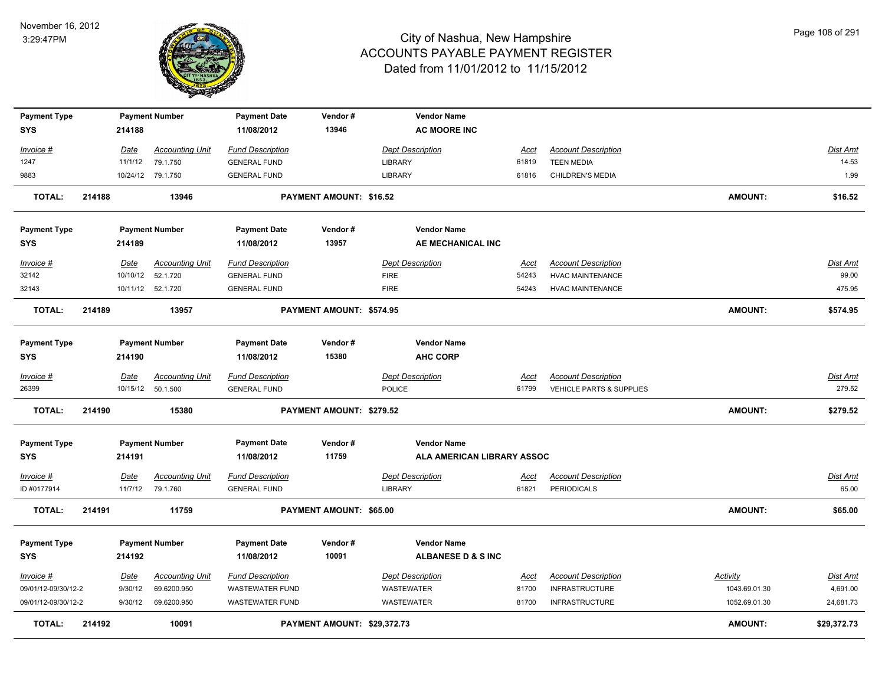

| <b>TOTAL:</b>                     | 214192 |             | 10091                  |                                   | PAYMENT AMOUNT: \$29.372.73 |                                                  |             |                            | <b>AMOUNT:</b> | \$29,372.73     |
|-----------------------------------|--------|-------------|------------------------|-----------------------------------|-----------------------------|--------------------------------------------------|-------------|----------------------------|----------------|-----------------|
| 09/01/12-09/30/12-2               |        | 9/30/12     | 69.6200.950            | <b>WASTEWATER FUND</b>            |                             | WASTEWATER                                       | 81700       | <b>INFRASTRUCTURE</b>      | 1052.69.01.30  | 24,681.73       |
| 09/01/12-09/30/12-2               |        | 9/30/12     | 69.6200.950            | <b>WASTEWATER FUND</b>            |                             | WASTEWATER                                       | 81700       | <b>INFRASTRUCTURE</b>      | 1043.69.01.30  | 4,691.00        |
| Invoice #                         |        | <u>Date</u> | <b>Accounting Unit</b> | <b>Fund Description</b>           |                             | <b>Dept Description</b>                          | Acct        | <b>Account Description</b> | Activity       | Dist Amt        |
| <b>SYS</b>                        |        | 214192      |                        | 11/08/2012                        | 10091                       | ALBANESE D & S INC                               |             |                            |                |                 |
| <b>Payment Type</b>               |        |             | <b>Payment Number</b>  | <b>Payment Date</b>               | Vendor#                     | <b>Vendor Name</b>                               |             |                            |                |                 |
| <b>TOTAL:</b>                     | 214191 |             | 11759                  |                                   | PAYMENT AMOUNT: \$65.00     |                                                  |             |                            | <b>AMOUNT:</b> | \$65.00         |
| ID #0177914                       |        | 11/7/12     | 79.1.760               | <b>GENERAL FUND</b>               |                             | <b>LIBRARY</b>                                   | 61821       | <b>PERIODICALS</b>         |                | 65.00           |
| Invoice #                         |        | <b>Date</b> | <b>Accounting Unit</b> | <b>Fund Description</b>           |                             | <b>Dept Description</b>                          | <u>Acct</u> | <b>Account Description</b> |                | <u>Dist Amt</u> |
| <b>Payment Type</b><br><b>SYS</b> |        | 214191      | <b>Payment Number</b>  | <b>Payment Date</b><br>11/08/2012 | Vendor#<br>11759            | <b>Vendor Name</b><br>ALA AMERICAN LIBRARY ASSOC |             |                            |                |                 |
| <b>TOTAL:</b>                     | 214190 |             | 15380                  |                                   | PAYMENT AMOUNT: \$279.52    |                                                  |             |                            | AMOUNT:        | \$279.52        |
| 26399                             |        |             | 10/15/12 50.1.500      | <b>GENERAL FUND</b>               |                             | <b>POLICE</b>                                    | 61799       | VEHICLE PARTS & SUPPLIES   |                | 279.52          |
| Invoice #                         |        | Date        | <b>Accounting Unit</b> | <b>Fund Description</b>           |                             | <b>Dept Description</b>                          | <u>Acct</u> | <b>Account Description</b> |                | Dist Amt        |
| <b>SYS</b>                        |        | 214190      |                        | 11/08/2012                        | 15380                       | <b>AHC CORP</b>                                  |             |                            |                |                 |
| <b>Payment Type</b>               |        |             | <b>Payment Number</b>  | <b>Payment Date</b>               | Vendor#                     | <b>Vendor Name</b>                               |             |                            |                |                 |
| <b>TOTAL:</b>                     | 214189 |             | 13957                  |                                   | PAYMENT AMOUNT: \$574.95    |                                                  |             |                            | <b>AMOUNT:</b> | \$574.95        |
| 32143                             |        |             | 10/11/12 52.1.720      | <b>GENERAL FUND</b>               |                             | <b>FIRE</b>                                      | 54243       | <b>HVAC MAINTENANCE</b>    |                | 475.95          |
| 32142                             |        | 10/10/12    | 52.1.720               | <b>GENERAL FUND</b>               |                             | <b>FIRE</b>                                      | 54243       | <b>HVAC MAINTENANCE</b>    |                | 99.00           |
| Invoice #                         |        | Date        | <b>Accounting Unit</b> | <b>Fund Description</b>           |                             | <b>Dept Description</b>                          | Acct        | <b>Account Description</b> |                | Dist Amt        |
| <b>SYS</b>                        |        | 214189      |                        | 11/08/2012                        | 13957                       | AE MECHANICAL INC                                |             |                            |                |                 |
| <b>Payment Type</b>               |        |             | <b>Payment Number</b>  | <b>Payment Date</b>               | Vendor#                     | <b>Vendor Name</b>                               |             |                            |                |                 |
| <b>TOTAL:</b>                     | 214188 |             | 13946                  |                                   | PAYMENT AMOUNT: \$16.52     |                                                  |             |                            | <b>AMOUNT:</b> | \$16.52         |
| 9883                              |        |             | 10/24/12 79.1.750      | <b>GENERAL FUND</b>               |                             | <b>LIBRARY</b>                                   | 61816       | CHILDREN'S MEDIA           |                | 1.99            |
| 1247                              |        | 11/1/12     | 79.1.750               | <b>GENERAL FUND</b>               |                             | <b>LIBRARY</b>                                   | 61819       | <b>TEEN MEDIA</b>          |                | 14.53           |
| Invoice #                         |        | Date        | <b>Accounting Unit</b> | <b>Fund Description</b>           |                             | <b>Dept Description</b>                          | Acct        | <b>Account Description</b> |                | Dist Amt        |
| <b>Payment Type</b><br><b>SYS</b> |        | 214188      | <b>Payment Number</b>  | <b>Payment Date</b><br>11/08/2012 | Vendor#<br>13946            | <b>Vendor Name</b><br><b>AC MOORE INC</b>        |             |                            |                |                 |
|                                   |        |             |                        |                                   |                             |                                                  |             |                            |                |                 |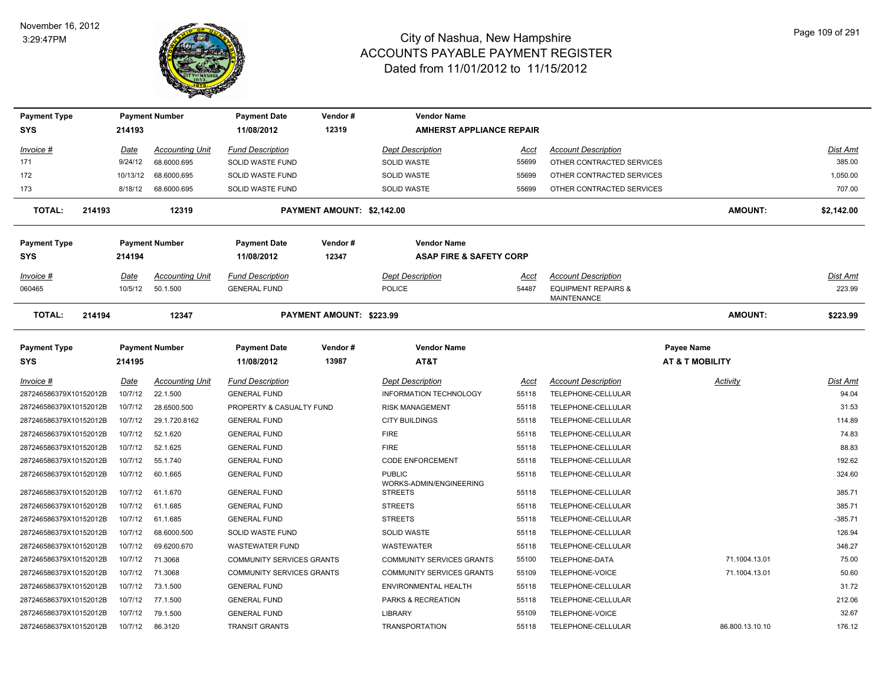

| <b>Payment Type</b>     |             | <b>Payment Number</b>  | <b>Payment Date</b>              | Vendor #                   | <b>Vendor Name</b>                        |             |                                                      |                            |            |
|-------------------------|-------------|------------------------|----------------------------------|----------------------------|-------------------------------------------|-------------|------------------------------------------------------|----------------------------|------------|
| <b>SYS</b>              | 214193      |                        | 11/08/2012                       | 12319                      | <b>AMHERST APPLIANCE REPAIR</b>           |             |                                                      |                            |            |
| Invoice #               | Date        | <b>Accounting Unit</b> | <b>Fund Description</b>          |                            | <b>Dept Description</b>                   | Acct        | <b>Account Description</b>                           |                            | Dist Amt   |
| 171                     | 9/24/12     | 68.6000.695            | SOLID WASTE FUND                 |                            | <b>SOLID WASTE</b>                        | 55699       | OTHER CONTRACTED SERVICES                            |                            | 385.00     |
| 172                     | 10/13/12    | 68.6000.695            | SOLID WASTE FUND                 |                            | <b>SOLID WASTE</b>                        | 55699       | OTHER CONTRACTED SERVICES                            |                            | 1.050.00   |
| 173                     | 8/18/12     | 68.6000.695            | SOLID WASTE FUND                 |                            | SOLID WASTE                               | 55699       | OTHER CONTRACTED SERVICES                            |                            | 707.00     |
| <b>TOTAL:</b><br>214193 |             | 12319                  |                                  | PAYMENT AMOUNT: \$2,142.00 |                                           |             |                                                      | <b>AMOUNT:</b>             | \$2,142.00 |
| <b>Payment Type</b>     |             | <b>Payment Number</b>  | <b>Payment Date</b>              | Vendor#                    | <b>Vendor Name</b>                        |             |                                                      |                            |            |
| <b>SYS</b>              | 214194      |                        | 11/08/2012                       | 12347                      | <b>ASAP FIRE &amp; SAFETY CORP</b>        |             |                                                      |                            |            |
| Invoice #               | Date        | <b>Accounting Unit</b> | <b>Fund Description</b>          |                            | <b>Dept Description</b>                   | Acct        | <b>Account Description</b>                           |                            | Dist Amt   |
| 060465                  | 10/5/12     | 50.1.500               | <b>GENERAL FUND</b>              |                            | <b>POLICE</b>                             | 54487       | <b>EQUIPMENT REPAIRS &amp;</b><br><b>MAINTENANCE</b> |                            | 223.99     |
| <b>TOTAL:</b><br>214194 |             | 12347                  |                                  | PAYMENT AMOUNT: \$223.99   |                                           |             |                                                      | AMOUNT:                    | \$223.99   |
| <b>Payment Type</b>     |             | <b>Payment Number</b>  | <b>Payment Date</b>              | Vendor#                    | <b>Vendor Name</b>                        |             |                                                      | Payee Name                 |            |
| <b>SYS</b>              | 214195      |                        | 11/08/2012                       | 13987                      | AT&T                                      |             |                                                      | <b>AT &amp; T MOBILITY</b> |            |
| <u>Invoice #</u>        | <u>Date</u> | <b>Accounting Unit</b> | <b>Fund Description</b>          |                            | <b>Dept Description</b>                   | <u>Acct</u> | <b>Account Description</b>                           | <u>Activity</u>            | Dist Amt   |
| 287246586379X10152012B  | 10/7/12     | 22.1.500               | <b>GENERAL FUND</b>              |                            | <b>INFORMATION TECHNOLOGY</b>             | 55118       | TELEPHONE-CELLULAR                                   |                            | 94.04      |
| 287246586379X10152012B  | 10/7/12     | 28.6500.500            | PROPERTY & CASUALTY FUND         |                            | <b>RISK MANAGEMENT</b>                    | 55118       | TELEPHONE-CELLULAR                                   |                            | 31.53      |
| 287246586379X10152012B  | 10/7/12     | 29.1.720.8162          | <b>GENERAL FUND</b>              |                            | <b>CITY BUILDINGS</b>                     | 55118       | TELEPHONE-CELLULAR                                   |                            | 114.89     |
| 287246586379X10152012B  | 10/7/12     | 52.1.620               | <b>GENERAL FUND</b>              |                            | <b>FIRE</b>                               | 55118       | TELEPHONE-CELLULAR                                   |                            | 74.83      |
| 287246586379X10152012B  | 10/7/12     | 52.1.625               | <b>GENERAL FUND</b>              |                            | <b>FIRE</b>                               | 55118       | TELEPHONE-CELLULAR                                   |                            | 88.83      |
| 287246586379X10152012B  | 10/7/12     | 55.1.740               | <b>GENERAL FUND</b>              |                            | <b>CODE ENFORCEMENT</b>                   | 55118       | TELEPHONE-CELLULAR                                   |                            | 192.62     |
| 287246586379X10152012B  | 10/7/12     | 60.1.665               | <b>GENERAL FUND</b>              |                            | <b>PUBLIC</b>                             | 55118       | TELEPHONE-CELLULAR                                   |                            | 324.60     |
| 287246586379X10152012B  | 10/7/12     | 61.1.670               | <b>GENERAL FUND</b>              |                            | WORKS-ADMIN/ENGINEERING<br><b>STREETS</b> | 55118       | TELEPHONE-CELLULAR                                   |                            | 385.71     |
| 287246586379X10152012B  | 10/7/12     | 61.1.685               | <b>GENERAL FUND</b>              |                            | <b>STREETS</b>                            | 55118       | TELEPHONE-CELLULAR                                   |                            | 385.71     |
| 287246586379X10152012B  | 10/7/12     | 61.1.685               | <b>GENERAL FUND</b>              |                            | <b>STREETS</b>                            | 55118       | TELEPHONE-CELLULAR                                   |                            | $-385.71$  |
| 287246586379X10152012B  | 10/7/12     | 68.6000.500            | SOLID WASTE FUND                 |                            | SOLID WASTE                               | 55118       | TELEPHONE-CELLULAR                                   |                            | 126.94     |
| 287246586379X10152012B  | 10/7/12     | 69.6200.670            | <b>WASTEWATER FUND</b>           |                            | <b>WASTEWATER</b>                         | 55118       | TELEPHONE-CELLULAR                                   |                            | 348.27     |
| 287246586379X10152012B  | 10/7/12     | 71.3068                | <b>COMMUNITY SERVICES GRANTS</b> |                            | <b>COMMUNITY SERVICES GRANTS</b>          | 55100       | TELEPHONE-DATA                                       | 71.1004.13.01              | 75.00      |
| 287246586379X10152012B  | 10/7/12     | 71.3068                | <b>COMMUNITY SERVICES GRANTS</b> |                            | <b>COMMUNITY SERVICES GRANTS</b>          | 55109       | TELEPHONE-VOICE                                      | 71.1004.13.01              | 50.60      |
| 287246586379X10152012B  | 10/7/12     | 73.1.500               | <b>GENERAL FUND</b>              |                            | ENVIRONMENTAL HEALTH                      | 55118       | TELEPHONE-CELLULAR                                   |                            | 31.72      |
| 287246586379X10152012B  |             | 10/7/12 77.1.500       | <b>GENERAL FUND</b>              |                            | PARKS & RECREATION                        | 55118       | TELEPHONE-CELLULAR                                   |                            | 212.06     |
| 287246586379X10152012B  | 10/7/12     | 79.1.500               | <b>GENERAL FUND</b>              |                            | <b>LIBRARY</b>                            | 55109       | TELEPHONE-VOICE                                      |                            | 32.67      |
| 287246586379X10152012B  | 10/7/12     | 86.3120                | <b>TRANSIT GRANTS</b>            |                            | <b>TRANSPORTATION</b>                     | 55118       | TELEPHONE-CELLULAR                                   | 86.800.13.10.10            | 176.12     |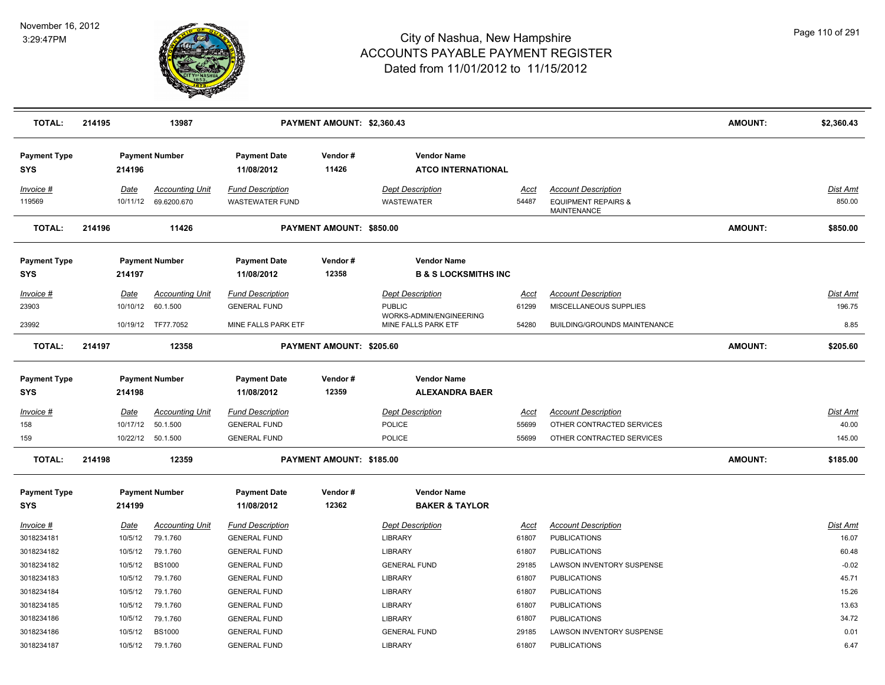

| <b>TOTAL:</b>                          | 214195 |                               | 13987                                                    |                                                                       | PAYMENT AMOUNT: \$2,360.43 |                                                                                            |                               |                                                                                      | <b>AMOUNT:</b> | \$2,360.43                         |
|----------------------------------------|--------|-------------------------------|----------------------------------------------------------|-----------------------------------------------------------------------|----------------------------|--------------------------------------------------------------------------------------------|-------------------------------|--------------------------------------------------------------------------------------|----------------|------------------------------------|
| <b>Payment Type</b><br><b>SYS</b>      |        | 214196                        | <b>Payment Number</b>                                    | <b>Payment Date</b><br>11/08/2012                                     | Vendor#<br>11426           | <b>Vendor Name</b><br><b>ATCO INTERNATIONAL</b>                                            |                               |                                                                                      |                |                                    |
| Invoice #<br>119569                    |        | Date<br>10/11/12              | <b>Accounting Unit</b><br>69.6200.670                    | <b>Fund Description</b><br><b>WASTEWATER FUND</b>                     |                            | <b>Dept Description</b><br>WASTEWATER                                                      | <u>Acct</u><br>54487          | <b>Account Description</b><br><b>EQUIPMENT REPAIRS &amp;</b><br>MAINTENANCE          |                | Dist Amt<br>850.00                 |
| <b>TOTAL:</b>                          | 214196 |                               | 11426                                                    |                                                                       | PAYMENT AMOUNT: \$850.00   |                                                                                            |                               |                                                                                      | <b>AMOUNT:</b> | \$850.00                           |
| <b>Payment Type</b><br>SYS             |        | 214197                        | <b>Payment Number</b>                                    | <b>Payment Date</b><br>11/08/2012                                     | Vendor#<br>12358           | <b>Vendor Name</b><br><b>B &amp; S LOCKSMITHS INC</b>                                      |                               |                                                                                      |                |                                    |
| <u>Invoice #</u><br>23903<br>23992     |        | <b>Date</b><br>10/10/12       | <b>Accounting Unit</b><br>60.1.500<br>10/19/12 TF77.7052 | <b>Fund Description</b><br><b>GENERAL FUND</b><br>MINE FALLS PARK ETF |                            | <b>Dept Description</b><br><b>PUBLIC</b><br>WORKS-ADMIN/ENGINEERING<br>MINE FALLS PARK ETF | <u>Acct</u><br>61299<br>54280 | <b>Account Description</b><br>MISCELLANEOUS SUPPLIES<br>BUILDING/GROUNDS MAINTENANCE |                | <b>Dist Amt</b><br>196.75<br>8.85  |
| <b>TOTAL:</b>                          | 214197 |                               | 12358                                                    |                                                                       | PAYMENT AMOUNT: \$205.60   |                                                                                            |                               |                                                                                      | <b>AMOUNT:</b> | \$205.60                           |
| <b>Payment Type</b><br>SYS             |        | 214198                        | <b>Payment Number</b>                                    | <b>Payment Date</b><br>11/08/2012                                     | Vendor#<br>12359           | <b>Vendor Name</b><br><b>ALEXANDRA BAER</b>                                                |                               |                                                                                      |                |                                    |
| <u>Invoice #</u><br>158<br>159         |        | <u>Date</u><br>10/17/12       | <b>Accounting Unit</b><br>50.1.500<br>10/22/12 50.1.500  | <b>Fund Description</b><br><b>GENERAL FUND</b><br><b>GENERAL FUND</b> |                            | <b>Dept Description</b><br>POLICE<br>POLICE                                                | <u>Acct</u><br>55699<br>55699 | <b>Account Description</b><br>OTHER CONTRACTED SERVICES<br>OTHER CONTRACTED SERVICES |                | <u>Dist Amt</u><br>40.00<br>145.00 |
| <b>TOTAL:</b>                          | 214198 |                               | 12359                                                    |                                                                       | PAYMENT AMOUNT: \$185.00   |                                                                                            |                               |                                                                                      | <b>AMOUNT:</b> | \$185.00                           |
| <b>Payment Type</b><br>SYS             |        | 214199                        | <b>Payment Number</b>                                    | <b>Payment Date</b><br>11/08/2012                                     | Vendor#<br>12362           | <b>Vendor Name</b><br><b>BAKER &amp; TAYLOR</b>                                            |                               |                                                                                      |                |                                    |
| Invoice #<br>3018234181                |        | Date<br>10/5/12               | <b>Accounting Unit</b><br>79.1.760                       | <b>Fund Description</b><br><b>GENERAL FUND</b>                        |                            | <b>Dept Description</b><br><b>LIBRARY</b>                                                  | Acct<br>61807                 | <b>Account Description</b><br><b>PUBLICATIONS</b>                                    |                | Dist Amt<br>16.07                  |
| 3018234182<br>3018234182<br>3018234183 |        | 10/5/12<br>10/5/12<br>10/5/12 | 79.1.760<br><b>BS1000</b><br>79.1.760                    | <b>GENERAL FUND</b><br><b>GENERAL FUND</b><br><b>GENERAL FUND</b>     |                            | <b>LIBRARY</b><br><b>GENERAL FUND</b><br><b>LIBRARY</b>                                    | 61807<br>29185<br>61807       | <b>PUBLICATIONS</b><br>LAWSON INVENTORY SUSPENSE<br><b>PUBLICATIONS</b>              |                | 60.48<br>$-0.02$<br>45.71          |
| 3018234184<br>3018234185               |        | 10/5/12<br>10/5/12            | 79.1.760<br>79.1.760                                     | <b>GENERAL FUND</b><br><b>GENERAL FUND</b>                            |                            | <b>LIBRARY</b><br><b>LIBRARY</b>                                                           | 61807<br>61807                | <b>PUBLICATIONS</b><br><b>PUBLICATIONS</b>                                           |                | 15.26<br>13.63                     |
| 3018234186<br>3018234186<br>3018234187 |        | 10/5/12<br>10/5/12<br>10/5/12 | 79.1.760<br><b>BS1000</b><br>79.1.760                    | <b>GENERAL FUND</b><br><b>GENERAL FUND</b><br><b>GENERAL FUND</b>     |                            | <b>LIBRARY</b><br><b>GENERAL FUND</b><br><b>LIBRARY</b>                                    | 61807<br>29185<br>61807       | <b>PUBLICATIONS</b><br>LAWSON INVENTORY SUSPENSE<br><b>PUBLICATIONS</b>              |                | 34.72<br>0.01<br>6.47              |
|                                        |        |                               |                                                          |                                                                       |                            |                                                                                            |                               |                                                                                      |                |                                    |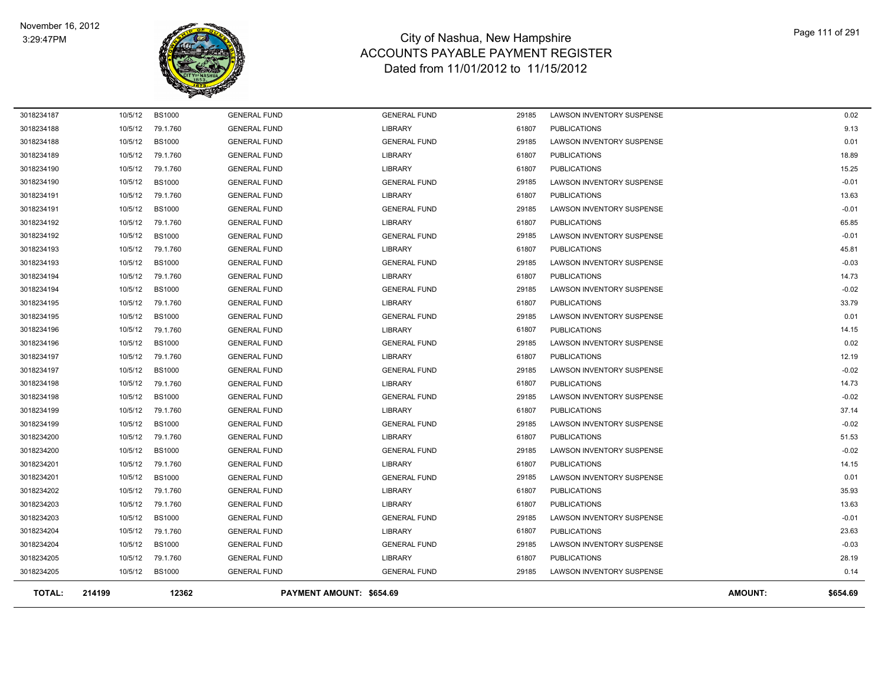

| <b>TOTAL:</b> | 214199  | 12362         |                     | PAYMENT AMOUNT: \$654.69 |       |                                  | <b>AMOUNT:</b> | \$654.69 |
|---------------|---------|---------------|---------------------|--------------------------|-------|----------------------------------|----------------|----------|
| 3018234205    | 10/5/12 | <b>BS1000</b> | <b>GENERAL FUND</b> | <b>GENERAL FUND</b>      | 29185 | <b>LAWSON INVENTORY SUSPENSE</b> |                | 0.14     |
| 3018234205    | 10/5/12 | 79.1.760      | <b>GENERAL FUND</b> | LIBRARY                  | 61807 | <b>PUBLICATIONS</b>              |                | 28.19    |
| 3018234204    | 10/5/12 | <b>BS1000</b> | <b>GENERAL FUND</b> | <b>GENERAL FUND</b>      | 29185 | <b>LAWSON INVENTORY SUSPENSE</b> |                | $-0.03$  |
| 3018234204    | 10/5/12 | 79.1.760      | <b>GENERAL FUND</b> | LIBRARY                  | 61807 | <b>PUBLICATIONS</b>              |                | 23.63    |
| 3018234203    | 10/5/12 | <b>BS1000</b> | <b>GENERAL FUND</b> | <b>GENERAL FUND</b>      | 29185 | <b>LAWSON INVENTORY SUSPENSE</b> |                | $-0.01$  |
| 3018234203    | 10/5/12 | 79.1.760      | <b>GENERAL FUND</b> | <b>LIBRARY</b>           | 61807 | <b>PUBLICATIONS</b>              |                | 13.63    |
| 3018234202    | 10/5/12 | 79.1.760      | <b>GENERAL FUND</b> | <b>LIBRARY</b>           | 61807 | <b>PUBLICATIONS</b>              |                | 35.93    |
| 3018234201    | 10/5/12 | <b>BS1000</b> | <b>GENERAL FUND</b> | <b>GENERAL FUND</b>      | 29185 | LAWSON INVENTORY SUSPENSE        |                | 0.01     |
| 3018234201    | 10/5/12 | 79.1.760      | <b>GENERAL FUND</b> | <b>LIBRARY</b>           | 61807 | <b>PUBLICATIONS</b>              |                | 14.15    |
| 3018234200    | 10/5/12 | <b>BS1000</b> | <b>GENERAL FUND</b> | <b>GENERAL FUND</b>      | 29185 | LAWSON INVENTORY SUSPENSE        |                | $-0.02$  |
| 3018234200    | 10/5/12 | 79.1.760      | <b>GENERAL FUND</b> | LIBRARY                  | 61807 | <b>PUBLICATIONS</b>              |                | 51.53    |
| 3018234199    | 10/5/12 | <b>BS1000</b> | <b>GENERAL FUND</b> | <b>GENERAL FUND</b>      | 29185 | LAWSON INVENTORY SUSPENSE        |                | $-0.02$  |
| 3018234199    | 10/5/12 | 79.1.760      | <b>GENERAL FUND</b> | LIBRARY                  | 61807 | <b>PUBLICATIONS</b>              |                | 37.14    |
| 3018234198    | 10/5/12 | <b>BS1000</b> | <b>GENERAL FUND</b> | <b>GENERAL FUND</b>      | 29185 | LAWSON INVENTORY SUSPENSE        |                | $-0.02$  |
| 3018234198    | 10/5/12 | 79.1.760      | <b>GENERAL FUND</b> | LIBRARY                  | 61807 | <b>PUBLICATIONS</b>              |                | 14.73    |
| 3018234197    | 10/5/12 | <b>BS1000</b> | <b>GENERAL FUND</b> | <b>GENERAL FUND</b>      | 29185 | <b>LAWSON INVENTORY SUSPENSE</b> |                | $-0.02$  |
| 3018234197    | 10/5/12 | 79.1.760      | <b>GENERAL FUND</b> | LIBRARY                  | 61807 | <b>PUBLICATIONS</b>              |                | 12.19    |
| 3018234196    | 10/5/12 | <b>BS1000</b> | <b>GENERAL FUND</b> | <b>GENERAL FUND</b>      | 29185 | LAWSON INVENTORY SUSPENSE        |                | 0.02     |
| 3018234196    | 10/5/12 | 79.1.760      | <b>GENERAL FUND</b> | LIBRARY                  | 61807 | <b>PUBLICATIONS</b>              |                | 14.15    |
| 3018234195    | 10/5/12 | <b>BS1000</b> | <b>GENERAL FUND</b> | <b>GENERAL FUND</b>      | 29185 | LAWSON INVENTORY SUSPENSE        |                | 0.01     |
| 3018234195    | 10/5/12 | 79.1.760      | <b>GENERAL FUND</b> | LIBRARY                  | 61807 | <b>PUBLICATIONS</b>              |                | 33.79    |
| 3018234194    | 10/5/12 | <b>BS1000</b> | <b>GENERAL FUND</b> | <b>GENERAL FUND</b>      | 29185 | LAWSON INVENTORY SUSPENSE        |                | $-0.02$  |
| 3018234194    | 10/5/12 | 79.1.760      | <b>GENERAL FUND</b> | <b>LIBRARY</b>           | 61807 | <b>PUBLICATIONS</b>              |                | 14.73    |
| 3018234193    | 10/5/12 | <b>BS1000</b> | <b>GENERAL FUND</b> | <b>GENERAL FUND</b>      | 29185 | LAWSON INVENTORY SUSPENSE        |                | $-0.03$  |
| 3018234193    | 10/5/12 | 79.1.760      | <b>GENERAL FUND</b> | LIBRARY                  | 61807 | <b>PUBLICATIONS</b>              |                | 45.81    |
| 3018234192    | 10/5/12 | <b>BS1000</b> | <b>GENERAL FUND</b> | <b>GENERAL FUND</b>      | 29185 | LAWSON INVENTORY SUSPENSE        |                | $-0.01$  |
| 3018234192    | 10/5/12 | 79.1.760      | <b>GENERAL FUND</b> | <b>LIBRARY</b>           | 61807 | <b>PUBLICATIONS</b>              |                | 65.85    |
| 3018234191    | 10/5/12 | <b>BS1000</b> | <b>GENERAL FUND</b> | <b>GENERAL FUND</b>      | 29185 | LAWSON INVENTORY SUSPENSE        |                | $-0.01$  |
| 3018234191    | 10/5/12 | 79.1.760      | <b>GENERAL FUND</b> | <b>LIBRARY</b>           | 61807 | <b>PUBLICATIONS</b>              |                | 13.63    |
| 3018234190    | 10/5/12 | <b>BS1000</b> | <b>GENERAL FUND</b> | <b>GENERAL FUND</b>      | 29185 | LAWSON INVENTORY SUSPENSE        |                | $-0.01$  |
| 3018234190    | 10/5/12 | 79.1.760      | <b>GENERAL FUND</b> | <b>LIBRARY</b>           | 61807 | <b>PUBLICATIONS</b>              |                | 15.25    |
| 3018234189    | 10/5/12 | 79.1.760      | <b>GENERAL FUND</b> | <b>LIBRARY</b>           | 61807 | <b>PUBLICATIONS</b>              |                | 18.89    |
| 3018234188    | 10/5/12 | <b>BS1000</b> | <b>GENERAL FUND</b> | <b>GENERAL FUND</b>      | 29185 | LAWSON INVENTORY SUSPENSE        |                | 0.01     |
| 3018234188    | 10/5/12 | 79.1.760      | <b>GENERAL FUND</b> | LIBRARY                  | 61807 | <b>PUBLICATIONS</b>              |                | 9.13     |
| 3018234187    | 10/5/12 | <b>BS1000</b> | <b>GENERAL FUND</b> | <b>GENERAL FUND</b>      | 29185 | <b>LAWSON INVENTORY SUSPENSE</b> |                | 0.02     |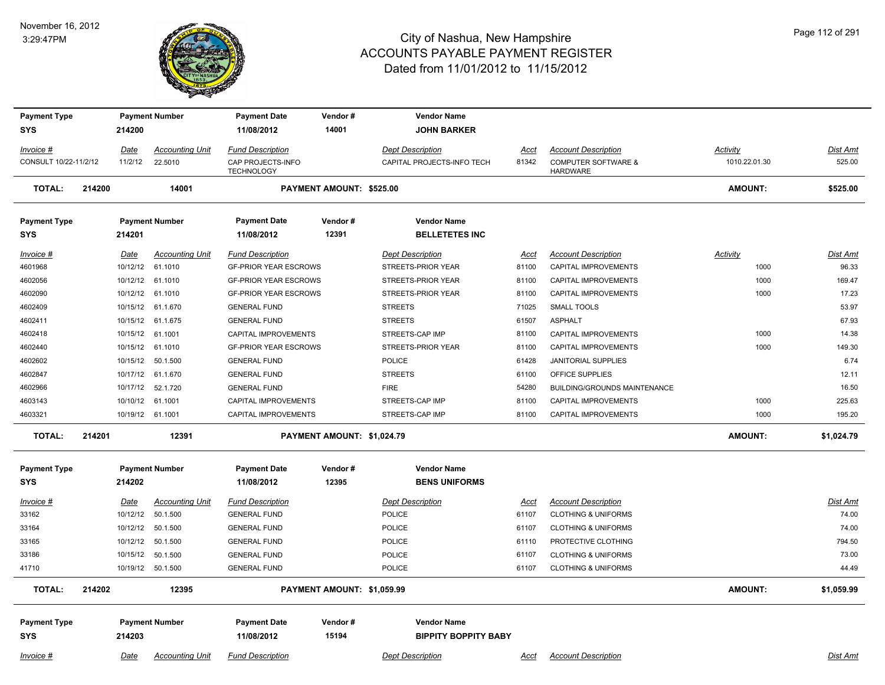#### November 16, 2012 3:29:47PM



| <b>Payment Type</b>   |        |          | <b>Payment Number</b>  | <b>Payment Date</b>                    | Vendor#                    |                         | <b>Vendor Name</b>          |             |                                                   |                 |                 |
|-----------------------|--------|----------|------------------------|----------------------------------------|----------------------------|-------------------------|-----------------------------|-------------|---------------------------------------------------|-----------------|-----------------|
| <b>SYS</b>            |        | 214200   |                        | 11/08/2012                             | 14001                      |                         | <b>JOHN BARKER</b>          |             |                                                   |                 |                 |
| Invoice #             |        | Date     | <b>Accounting Unit</b> | <b>Fund Description</b>                |                            | <b>Dept Description</b> |                             | <u>Acct</u> | <b>Account Description</b>                        | <b>Activity</b> | Dist Amt        |
| CONSULT 10/22-11/2/12 |        | 11/2/12  | 22.5010                | CAP PROJECTS-INFO<br><b>TECHNOLOGY</b> |                            |                         | CAPITAL PROJECTS-INFO TECH  | 81342       | <b>COMPUTER SOFTWARE &amp;</b><br><b>HARDWARE</b> | 1010.22.01.30   | 525.00          |
| <b>TOTAL:</b>         | 214200 |          | 14001                  |                                        | PAYMENT AMOUNT: \$525.00   |                         |                             |             |                                                   | <b>AMOUNT:</b>  | \$525.00        |
| <b>Payment Type</b>   |        |          | <b>Payment Number</b>  | <b>Payment Date</b>                    | Vendor#                    |                         | <b>Vendor Name</b>          |             |                                                   |                 |                 |
| <b>SYS</b>            |        | 214201   |                        | 11/08/2012                             | 12391                      |                         | <b>BELLETETES INC</b>       |             |                                                   |                 |                 |
| Invoice #             |        | Date     | <b>Accounting Unit</b> | <b>Fund Description</b>                |                            | <b>Dept Description</b> |                             | <u>Acct</u> | <b>Account Description</b>                        | <b>Activity</b> | <u>Dist Amt</u> |
| 4601968               |        |          | 10/12/12 61.1010       | <b>GF-PRIOR YEAR ESCROWS</b>           |                            |                         | STREETS-PRIOR YEAR          | 81100       | CAPITAL IMPROVEMENTS                              | 1000            | 96.33           |
| 4602056               |        |          | 10/12/12 61.1010       | <b>GF-PRIOR YEAR ESCROWS</b>           |                            |                         | STREETS-PRIOR YEAR          | 81100       | CAPITAL IMPROVEMENTS                              | 1000            | 169.47          |
| 4602090               |        |          | 10/12/12 61.1010       | <b>GF-PRIOR YEAR ESCROWS</b>           |                            |                         | STREETS-PRIOR YEAR          | 81100       | <b>CAPITAL IMPROVEMENTS</b>                       | 1000            | 17.23           |
| 4602409               |        |          | 10/15/12 61.1.670      | <b>GENERAL FUND</b>                    |                            | <b>STREETS</b>          |                             | 71025       | <b>SMALL TOOLS</b>                                |                 | 53.97           |
| 4602411               |        | 10/15/12 | 61.1.675               | <b>GENERAL FUND</b>                    |                            | <b>STREETS</b>          |                             | 61507       | <b>ASPHALT</b>                                    |                 | 67.93           |
| 4602418               |        |          | 10/15/12 61.1001       | <b>CAPITAL IMPROVEMENTS</b>            |                            | STREETS-CAP IMP         |                             | 81100       | <b>CAPITAL IMPROVEMENTS</b>                       | 1000            | 14.38           |
| 4602440               |        |          | 10/15/12 61.1010       | <b>GF-PRIOR YEAR ESCROWS</b>           |                            |                         | STREETS-PRIOR YEAR          | 81100       | CAPITAL IMPROVEMENTS                              | 1000            | 149.30          |
| 4602602               |        | 10/15/12 | 50.1.500               | <b>GENERAL FUND</b>                    |                            | POLICE                  |                             | 61428       | JANITORIAL SUPPLIES                               |                 | 6.74            |
| 4602847               |        |          | 10/17/12 61.1.670      | <b>GENERAL FUND</b>                    |                            | <b>STREETS</b>          |                             | 61100       | OFFICE SUPPLIES                                   |                 | 12.11           |
| 4602966               |        | 10/17/12 | 52.1.720               | <b>GENERAL FUND</b>                    |                            | <b>FIRE</b>             |                             | 54280       | <b>BUILDING/GROUNDS MAINTENANCE</b>               |                 | 16.50           |
| 4603143               |        | 10/10/12 | 61.1001                | <b>CAPITAL IMPROVEMENTS</b>            |                            | STREETS-CAP IMP         |                             | 81100       | <b>CAPITAL IMPROVEMENTS</b>                       | 1000            | 225.63          |
| 4603321               |        |          | 10/19/12 61.1001       | CAPITAL IMPROVEMENTS                   |                            | STREETS-CAP IMP         |                             | 81100       | CAPITAL IMPROVEMENTS                              | 1000            | 195.20          |
| <b>TOTAL:</b>         | 214201 |          | 12391                  |                                        | PAYMENT AMOUNT: \$1,024.79 |                         |                             |             |                                                   | <b>AMOUNT:</b>  | \$1,024.79      |
| <b>Payment Type</b>   |        |          | <b>Payment Number</b>  | <b>Payment Date</b>                    | Vendor#                    |                         | <b>Vendor Name</b>          |             |                                                   |                 |                 |
| <b>SYS</b>            |        | 214202   |                        | 11/08/2012                             | 12395                      |                         | <b>BENS UNIFORMS</b>        |             |                                                   |                 |                 |
| $Invoice$ #           |        | Date     | <b>Accounting Unit</b> | <b>Fund Description</b>                |                            | <b>Dept Description</b> |                             | <u>Acct</u> | <b>Account Description</b>                        |                 | Dist Amt        |
| 33162                 |        | 10/12/12 | 50.1.500               | <b>GENERAL FUND</b>                    |                            | POLICE                  |                             | 61107       | <b>CLOTHING &amp; UNIFORMS</b>                    |                 | 74.00           |
| 33164                 |        | 10/12/12 | 50.1.500               | <b>GENERAL FUND</b>                    |                            | POLICE                  |                             | 61107       | <b>CLOTHING &amp; UNIFORMS</b>                    |                 | 74.00           |
| 33165                 |        | 10/12/12 | 50.1.500               | <b>GENERAL FUND</b>                    |                            | <b>POLICE</b>           |                             | 61110       | PROTECTIVE CLOTHING                               |                 | 794.50          |
| 33186                 |        | 10/15/12 | 50.1.500               | <b>GENERAL FUND</b>                    |                            | <b>POLICE</b>           |                             | 61107       | <b>CLOTHING &amp; UNIFORMS</b>                    |                 | 73.00           |
| 41710                 |        |          | 10/19/12 50.1.500      | <b>GENERAL FUND</b>                    |                            | <b>POLICE</b>           |                             | 61107       | <b>CLOTHING &amp; UNIFORMS</b>                    |                 | 44.49           |
| <b>TOTAL:</b>         | 214202 |          | 12395                  |                                        | PAYMENT AMOUNT: \$1,059.99 |                         |                             |             |                                                   | <b>AMOUNT:</b>  | \$1,059.99      |
|                       |        |          |                        |                                        |                            |                         |                             |             |                                                   |                 |                 |
| <b>Payment Type</b>   |        |          | <b>Payment Number</b>  | <b>Payment Date</b>                    | Vendor#                    |                         | <b>Vendor Name</b>          |             |                                                   |                 |                 |
| <b>SYS</b>            |        | 214203   |                        | 11/08/2012                             | 15194                      |                         | <b>BIPPITY BOPPITY BABY</b> |             |                                                   |                 |                 |
| Invoice #             |        | Date     | <b>Accounting Unit</b> | <b>Fund Description</b>                |                            | <b>Dept Description</b> |                             | Acct        | <b>Account Description</b>                        |                 | Dist Amt        |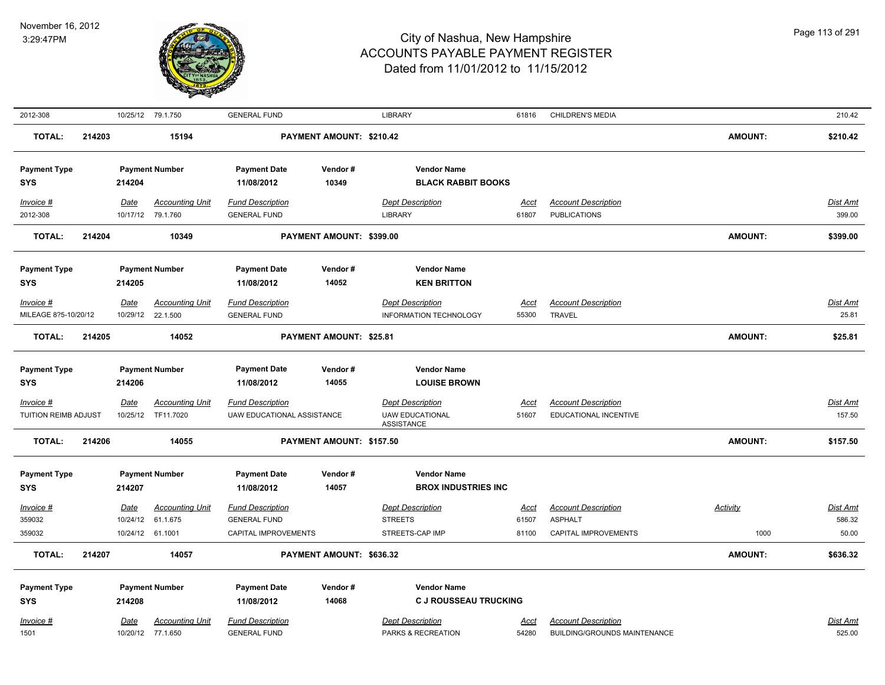

| 2012-308                            |        |                              | 10/25/12 79.1.750                             | <b>GENERAL FUND</b>                                                    |                          | <b>LIBRARY</b>                                                         | 61816                         | <b>CHILDREN'S MEDIA</b>                                              |                         | 210.42                             |
|-------------------------------------|--------|------------------------------|-----------------------------------------------|------------------------------------------------------------------------|--------------------------|------------------------------------------------------------------------|-------------------------------|----------------------------------------------------------------------|-------------------------|------------------------------------|
| <b>TOTAL:</b>                       | 214203 |                              | 15194                                         |                                                                        | PAYMENT AMOUNT: \$210.42 |                                                                        |                               |                                                                      | <b>AMOUNT:</b>          | \$210.42                           |
| <b>Payment Type</b><br>SYS          |        | 214204                       | <b>Payment Number</b>                         | <b>Payment Date</b><br>11/08/2012                                      | Vendor#<br>10349         | <b>Vendor Name</b><br><b>BLACK RABBIT BOOKS</b>                        |                               |                                                                      |                         |                                    |
| Invoice #<br>2012-308               |        | Date<br>10/17/12             | <b>Accounting Unit</b><br>79.1.760            | <b>Fund Description</b><br><b>GENERAL FUND</b>                         |                          | <b>Dept Description</b><br><b>LIBRARY</b>                              | Acct<br>61807                 | <b>Account Description</b><br><b>PUBLICATIONS</b>                    |                         | Dist Amt<br>399.00                 |
| <b>TOTAL:</b>                       | 214204 |                              | 10349                                         |                                                                        | PAYMENT AMOUNT: \$399.00 |                                                                        |                               |                                                                      | <b>AMOUNT:</b>          | \$399.00                           |
| <b>Payment Type</b><br><b>SYS</b>   |        | 214205                       | <b>Payment Number</b>                         | <b>Payment Date</b><br>11/08/2012                                      | Vendor#<br>14052         | <b>Vendor Name</b><br><b>KEN BRITTON</b>                               |                               |                                                                      |                         |                                    |
| Invoice #<br>MILEAGE 8?5-10/20/12   |        | Date<br>10/29/12             | <b>Accounting Unit</b><br>22.1.500            | <b>Fund Description</b><br><b>GENERAL FUND</b>                         |                          | <b>Dept Description</b><br>INFORMATION TECHNOLOGY                      | Acct<br>55300                 | <b>Account Description</b><br><b>TRAVEL</b>                          |                         | Dist Amt<br>25.81                  |
| <b>TOTAL:</b>                       | 214205 |                              | 14052                                         |                                                                        | PAYMENT AMOUNT: \$25.81  |                                                                        |                               |                                                                      | <b>AMOUNT:</b>          | \$25.81                            |
| <b>Payment Type</b><br><b>SYS</b>   |        | 214206                       | <b>Payment Number</b>                         | <b>Payment Date</b><br>11/08/2012                                      | Vendor#<br>14055         | <b>Vendor Name</b><br><b>LOUISE BROWN</b>                              |                               |                                                                      |                         |                                    |
| $Invoice$ #<br>TUITION REIMB ADJUST |        | Date<br>10/25/12             | <b>Accounting Unit</b><br>TF11.7020           | <b>Fund Description</b><br><b>UAW EDUCATIONAL ASSISTANCE</b>           |                          | <b>Dept Description</b><br><b>UAW EDUCATIONAL</b><br><b>ASSISTANCE</b> | <b>Acct</b><br>51607          | <b>Account Description</b><br>EDUCATIONAL INCENTIVE                  |                         | <b>Dist Amt</b><br>157.50          |
| <b>TOTAL:</b>                       | 214206 |                              | 14055                                         |                                                                        | PAYMENT AMOUNT: \$157.50 |                                                                        |                               |                                                                      | <b>AMOUNT:</b>          | \$157.50                           |
| <b>Payment Type</b><br><b>SYS</b>   |        | 214207                       | <b>Payment Number</b>                         | <b>Payment Date</b><br>11/08/2012                                      | Vendor#<br>14057         | <b>Vendor Name</b><br><b>BROX INDUSTRIES INC</b>                       |                               |                                                                      |                         |                                    |
| Invoice #<br>359032<br>359032       |        | Date<br>10/24/12<br>10/24/12 | <b>Accounting Unit</b><br>61.1.675<br>61.1001 | <b>Fund Description</b><br><b>GENERAL FUND</b><br>CAPITAL IMPROVEMENTS |                          | <b>Dept Description</b><br><b>STREETS</b><br>STREETS-CAP IMP           | <b>Acct</b><br>61507<br>81100 | <b>Account Description</b><br><b>ASPHALT</b><br>CAPITAL IMPROVEMENTS | <b>Activity</b><br>1000 | <u>Dist Amt</u><br>586.32<br>50.00 |
| <b>TOTAL:</b>                       | 214207 |                              | 14057                                         |                                                                        | PAYMENT AMOUNT: \$636.32 |                                                                        |                               |                                                                      | <b>AMOUNT:</b>          | \$636.32                           |
| <b>Payment Type</b><br><b>SYS</b>   |        | 214208                       | <b>Payment Number</b>                         | <b>Payment Date</b><br>11/08/2012                                      | Vendor#<br>14068         | <b>Vendor Name</b><br><b>C J ROUSSEAU TRUCKING</b>                     |                               |                                                                      |                         |                                    |
| Invoice #<br>1501                   |        | Date                         | Accounting Unit<br>10/20/12 77.1.650          | <b>Fund Description</b><br><b>GENERAL FUND</b>                         |                          | <b>Dept Description</b><br>PARKS & RECREATION                          | Acct<br>54280                 | <b>Account Description</b><br>BUILDING/GROUNDS MAINTENANCE           |                         | Dist Amt<br>525.00                 |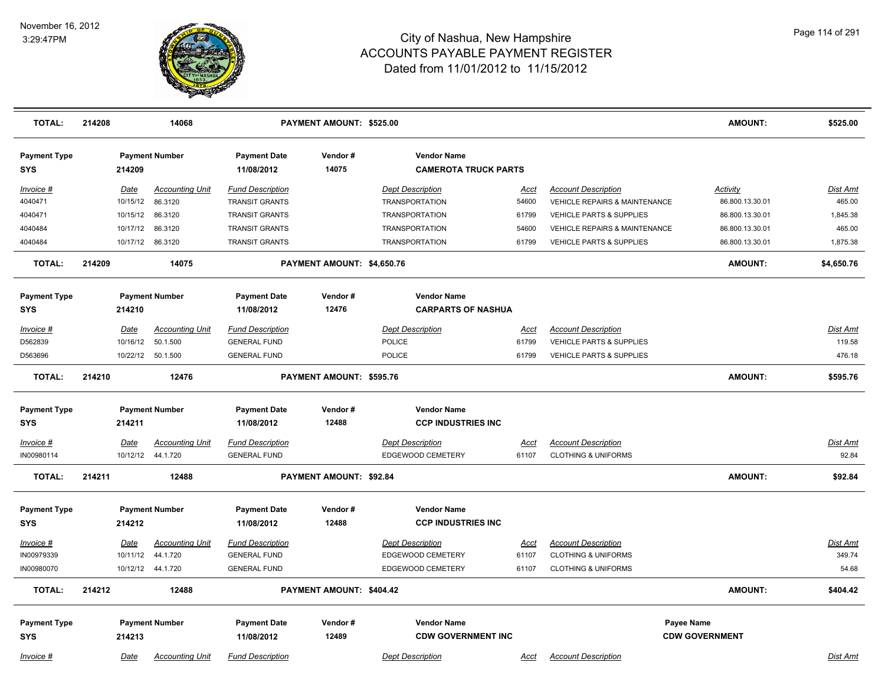

| <b>TOTAL:</b>                     | 214208 |             | 14068                  |                                   | PAYMENT AMOUNT: \$525.00        |                                                   |             |                                          | AMOUNT:               | \$525.00   |
|-----------------------------------|--------|-------------|------------------------|-----------------------------------|---------------------------------|---------------------------------------------------|-------------|------------------------------------------|-----------------------|------------|
| <b>Payment Type</b><br><b>SYS</b> |        | 214209      | <b>Payment Number</b>  | <b>Payment Date</b><br>11/08/2012 | Vendor#<br>14075                | <b>Vendor Name</b><br><b>CAMEROTA TRUCK PARTS</b> |             |                                          |                       |            |
| Invoice #                         |        | Date        | <b>Accounting Unit</b> | <b>Fund Description</b>           |                                 | <b>Dept Description</b>                           | Acct        | <b>Account Description</b>               | <b>Activity</b>       | Dist Amt   |
| 4040471                           |        | 10/15/12    | 86.3120                | <b>TRANSIT GRANTS</b>             |                                 | <b>TRANSPORTATION</b>                             | 54600       | VEHICLE REPAIRS & MAINTENANCE            | 86.800.13.30.01       | 465.00     |
| 4040471                           |        | 10/15/12    | 86.3120                | <b>TRANSIT GRANTS</b>             |                                 | <b>TRANSPORTATION</b>                             | 61799       | <b>VEHICLE PARTS &amp; SUPPLIES</b>      | 86.800.13.30.01       | 1,845.38   |
| 4040484                           |        | 10/17/12    | 86.3120                | <b>TRANSIT GRANTS</b>             |                                 | <b>TRANSPORTATION</b>                             | 54600       | <b>VEHICLE REPAIRS &amp; MAINTENANCE</b> | 86.800.13.30.01       | 465.00     |
| 4040484                           |        | 10/17/12    | 86.3120                | <b>TRANSIT GRANTS</b>             |                                 | <b>TRANSPORTATION</b>                             | 61799       | VEHICLE PARTS & SUPPLIES                 | 86.800.13.30.01       | 1,875.38   |
| <b>TOTAL:</b>                     | 214209 |             | 14075                  |                                   | PAYMENT AMOUNT: \$4,650.76      |                                                   |             |                                          | <b>AMOUNT:</b>        | \$4,650.76 |
| <b>Payment Type</b>               |        |             | <b>Payment Number</b>  | <b>Payment Date</b>               | Vendor#                         | <b>Vendor Name</b>                                |             |                                          |                       |            |
| <b>SYS</b>                        |        | 214210      |                        | 11/08/2012                        | 12476                           | <b>CARPARTS OF NASHUA</b>                         |             |                                          |                       |            |
| Invoice #                         |        | Date        | <b>Accounting Unit</b> | <b>Fund Description</b>           |                                 | <b>Dept Description</b>                           | Acct        | <b>Account Description</b>               |                       | Dist Amt   |
| D562839                           |        | 10/16/12    | 50.1.500               | <b>GENERAL FUND</b>               |                                 | POLICE                                            | 61799       | VEHICLE PARTS & SUPPLIES                 |                       | 119.58     |
| D563696                           |        |             | 10/22/12 50.1.500      | <b>GENERAL FUND</b>               |                                 | POLICE                                            | 61799       | VEHICLE PARTS & SUPPLIES                 |                       | 476.18     |
| <b>TOTAL:</b>                     | 214210 |             | 12476                  |                                   | <b>PAYMENT AMOUNT: \$595.76</b> |                                                   |             |                                          | <b>AMOUNT:</b>        | \$595.76   |
|                                   |        |             |                        |                                   |                                 |                                                   |             |                                          |                       |            |
| <b>Payment Type</b>               |        |             | <b>Payment Number</b>  | <b>Payment Date</b>               | Vendor#                         | <b>Vendor Name</b>                                |             |                                          |                       |            |
| <b>SYS</b>                        |        | 214211      |                        | 11/08/2012                        | 12488                           | <b>CCP INDUSTRIES INC</b>                         |             |                                          |                       |            |
| Invoice #                         |        | <b>Date</b> | <b>Accounting Unit</b> | <b>Fund Description</b>           |                                 | <b>Dept Description</b>                           | <u>Acct</u> | <b>Account Description</b>               |                       | Dist Amt   |
| IN00980114                        |        |             | 10/12/12  44.1.720     | <b>GENERAL FUND</b>               |                                 | EDGEWOOD CEMETERY                                 | 61107       | <b>CLOTHING &amp; UNIFORMS</b>           |                       | 92.84      |
| <b>TOTAL:</b>                     | 214211 |             | 12488                  |                                   | PAYMENT AMOUNT: \$92.84         |                                                   |             |                                          | <b>AMOUNT:</b>        | \$92.84    |
| <b>Payment Type</b>               |        |             | <b>Payment Number</b>  | <b>Payment Date</b>               | Vendor#                         | <b>Vendor Name</b>                                |             |                                          |                       |            |
| <b>SYS</b>                        |        | 214212      |                        | 11/08/2012                        | 12488                           | <b>CCP INDUSTRIES INC</b>                         |             |                                          |                       |            |
| Invoice #                         |        | Date        | <b>Accounting Unit</b> | <b>Fund Description</b>           |                                 | <b>Dept Description</b>                           | <u>Acct</u> | <b>Account Description</b>               |                       | Dist Amt   |
| IN00979339                        |        | 10/11/12    | 44.1.720               | <b>GENERAL FUND</b>               |                                 | EDGEWOOD CEMETERY                                 | 61107       | <b>CLOTHING &amp; UNIFORMS</b>           |                       | 349.74     |
| IN00980070                        |        |             | 10/12/12 44.1.720      | <b>GENERAL FUND</b>               |                                 | EDGEWOOD CEMETERY                                 | 61107       | <b>CLOTHING &amp; UNIFORMS</b>           |                       | 54.68      |
| <b>TOTAL:</b>                     | 214212 |             | 12488                  |                                   | PAYMENT AMOUNT: \$404.42        |                                                   |             |                                          | <b>AMOUNT:</b>        | \$404.42   |
| <b>Payment Type</b>               |        |             | <b>Payment Number</b>  | <b>Payment Date</b>               | Vendor#                         | <b>Vendor Name</b>                                |             |                                          | Payee Name            |            |
| <b>SYS</b>                        |        | 214213      |                        | 11/08/2012                        | 12489                           | <b>CDW GOVERNMENT INC</b>                         |             |                                          | <b>CDW GOVERNMENT</b> |            |
| Invoice #                         |        | Date        | <b>Accounting Unit</b> | <b>Fund Description</b>           |                                 | <b>Dept Description</b>                           | Acct        | <b>Account Description</b>               |                       | Dist Amt   |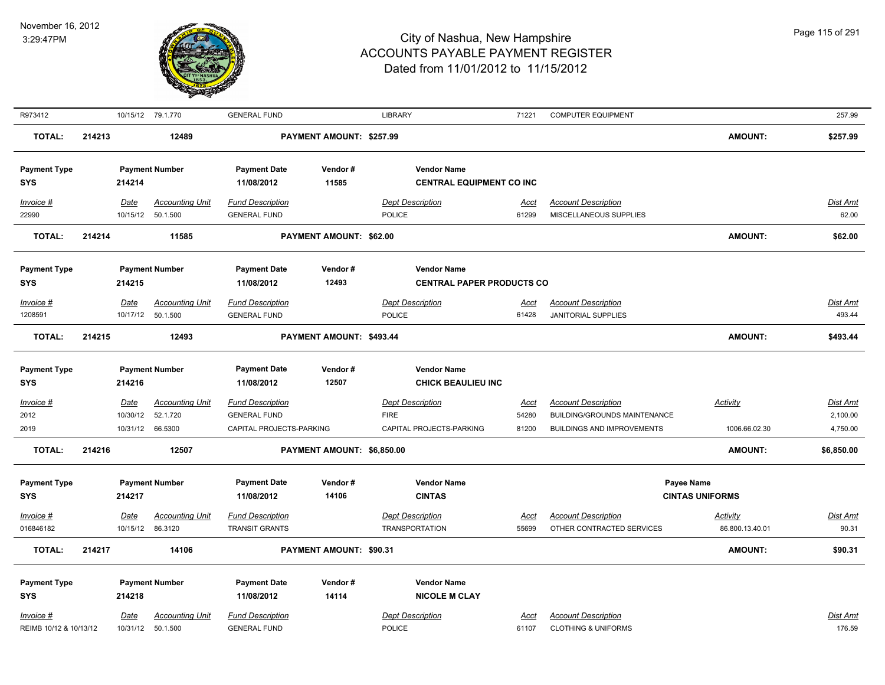

| R973412                           |        |                         | 10/15/12 79.1.770                  | <b>GENERAL FUND</b>                            |                            | <b>LIBRARY</b>                                  | 71221                | <b>COMPUTER EQUIPMENT</b>                                  |                        | 257.99                      |
|-----------------------------------|--------|-------------------------|------------------------------------|------------------------------------------------|----------------------------|-------------------------------------------------|----------------------|------------------------------------------------------------|------------------------|-----------------------------|
| <b>TOTAL:</b>                     | 214213 |                         | 12489                              |                                                | PAYMENT AMOUNT: \$257.99   |                                                 |                      |                                                            | <b>AMOUNT:</b>         | \$257.99                    |
| <b>Payment Type</b>               |        |                         | <b>Payment Number</b>              | <b>Payment Date</b>                            | Vendor#                    | <b>Vendor Name</b>                              |                      |                                                            |                        |                             |
| <b>SYS</b>                        |        | 214214                  |                                    | 11/08/2012                                     | 11585                      | <b>CENTRAL EQUIPMENT CO INC</b>                 |                      |                                                            |                        |                             |
| Invoice #                         |        | Date                    | <b>Accounting Unit</b>             | <b>Fund Description</b>                        |                            | <b>Dept Description</b>                         | Acct                 | <b>Account Description</b>                                 |                        | Dist Amt                    |
| 22990                             |        |                         | 10/15/12  50.1.500                 | <b>GENERAL FUND</b>                            |                            | <b>POLICE</b>                                   | 61299                | MISCELLANEOUS SUPPLIES                                     |                        | 62.00                       |
| <b>TOTAL:</b>                     | 214214 |                         | 11585                              |                                                | PAYMENT AMOUNT: \$62.00    |                                                 |                      |                                                            | <b>AMOUNT:</b>         | \$62.00                     |
| <b>Payment Type</b>               |        |                         | <b>Payment Number</b>              | <b>Payment Date</b>                            | Vendor#                    | <b>Vendor Name</b>                              |                      |                                                            |                        |                             |
| <b>SYS</b>                        |        | 214215                  |                                    | 11/08/2012                                     | 12493                      | <b>CENTRAL PAPER PRODUCTS CO</b>                |                      |                                                            |                        |                             |
| Invoice #                         |        | Date                    | <b>Accounting Unit</b>             | <b>Fund Description</b>                        |                            | <b>Dept Description</b>                         | Acct                 | <b>Account Description</b>                                 |                        | Dist Amt                    |
| 1208591                           |        | 10/17/12                | 50.1.500                           | <b>GENERAL FUND</b>                            |                            | <b>POLICE</b>                                   | 61428                | <b>JANITORIAL SUPPLIES</b>                                 |                        | 493.44                      |
| <b>TOTAL:</b>                     | 214215 |                         | 12493                              |                                                | PAYMENT AMOUNT: \$493.44   |                                                 |                      |                                                            | <b>AMOUNT:</b>         | \$493.44                    |
|                                   |        |                         |                                    |                                                |                            |                                                 |                      |                                                            |                        |                             |
| <b>Payment Type</b><br><b>SYS</b> |        | 214216                  | <b>Payment Number</b>              | <b>Payment Date</b><br>11/08/2012              | Vendor#<br>12507           | <b>Vendor Name</b><br><b>CHICK BEAULIEU INC</b> |                      |                                                            |                        |                             |
|                                   |        |                         |                                    |                                                |                            |                                                 |                      |                                                            |                        |                             |
| Invoice #<br>2012                 |        | <b>Date</b><br>10/30/12 | <b>Accounting Unit</b><br>52.1.720 | <b>Fund Description</b><br><b>GENERAL FUND</b> |                            | <b>Dept Description</b><br><b>FIRE</b>          | <u>Acct</u><br>54280 | <b>Account Description</b><br>BUILDING/GROUNDS MAINTENANCE | <b>Activity</b>        | <u>Dist Amt</u><br>2,100.00 |
| 2019                              |        | 10/31/12                | 66.5300                            | CAPITAL PROJECTS-PARKING                       |                            | CAPITAL PROJECTS-PARKING                        | 81200                | <b>BUILDINGS AND IMPROVEMENTS</b>                          | 1006.66.02.30          | 4,750.00                    |
| <b>TOTAL:</b>                     | 214216 |                         | 12507                              |                                                | PAYMENT AMOUNT: \$6,850.00 |                                                 |                      |                                                            | AMOUNT:                | \$6,850.00                  |
|                                   |        |                         |                                    |                                                |                            |                                                 |                      |                                                            |                        |                             |
| <b>Payment Type</b>               |        |                         | <b>Payment Number</b>              | <b>Payment Date</b>                            | Vendor#                    | <b>Vendor Name</b>                              |                      |                                                            | <b>Payee Name</b>      |                             |
| <b>SYS</b>                        |        | 214217                  |                                    | 11/08/2012                                     | 14106                      | <b>CINTAS</b>                                   |                      |                                                            | <b>CINTAS UNIFORMS</b> |                             |
| Invoice #                         |        | Date                    | <b>Accounting Unit</b>             | <b>Fund Description</b>                        |                            | <b>Dept Description</b>                         | <u>Acct</u>          | <b>Account Description</b>                                 | <b>Activity</b>        | Dist Amt                    |
| 016846182                         |        | 10/15/12                | 86.3120                            | <b>TRANSIT GRANTS</b>                          |                            | <b>TRANSPORTATION</b>                           | 55699                | OTHER CONTRACTED SERVICES                                  | 86.800.13.40.01        | 90.31                       |
| <b>TOTAL:</b>                     | 214217 |                         | 14106                              |                                                | PAYMENT AMOUNT: \$90.31    |                                                 |                      |                                                            | <b>AMOUNT:</b>         | \$90.31                     |
| <b>Payment Type</b>               |        |                         | <b>Payment Number</b>              | <b>Payment Date</b>                            | Vendor#                    | <b>Vendor Name</b>                              |                      |                                                            |                        |                             |
| <b>SYS</b>                        |        | 214218                  |                                    | 11/08/2012                                     | 14114                      | <b>NICOLE M CLAY</b>                            |                      |                                                            |                        |                             |
| Invoice #                         |        | Date                    | <b>Accounting Unit</b>             | <b>Fund Description</b>                        |                            | <b>Dept Description</b>                         | Acct                 | <b>Account Description</b>                                 |                        | Dist Amt                    |
| REIMB 10/12 & 10/13/12            |        | 10/31/12                | 50.1.500                           | <b>GENERAL FUND</b>                            |                            | <b>POLICE</b>                                   | 61107                | <b>CLOTHING &amp; UNIFORMS</b>                             |                        | 176.59                      |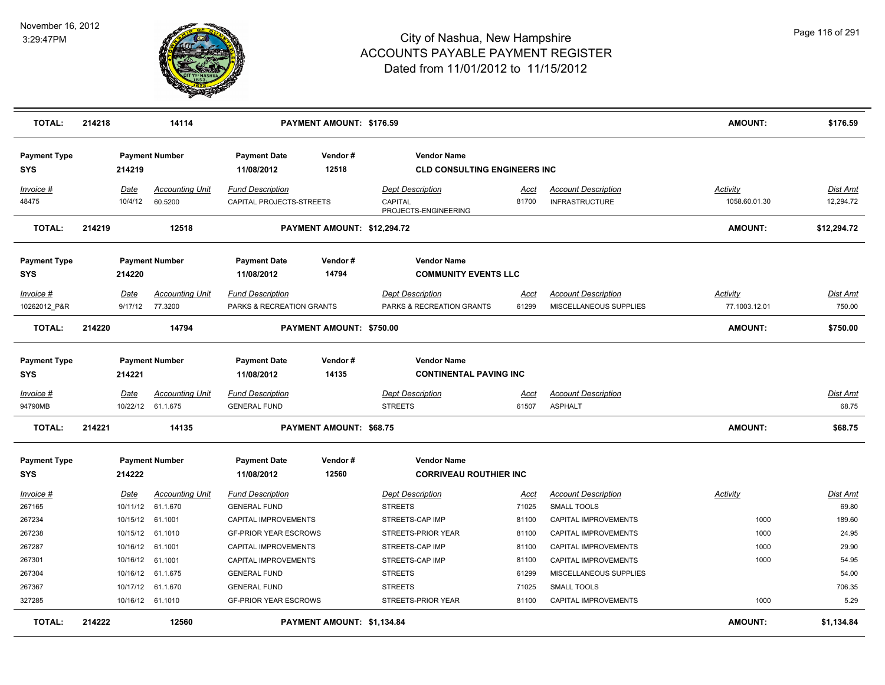

| <b>TOTAL:</b>                     | 214218 |                        | 14114                                       |                                                      | PAYMENT AMOUNT: \$176.59    |                                                            |                      |                                                      | <b>AMOUNT:</b>                   | \$176.59                  |
|-----------------------------------|--------|------------------------|---------------------------------------------|------------------------------------------------------|-----------------------------|------------------------------------------------------------|----------------------|------------------------------------------------------|----------------------------------|---------------------------|
| <b>Payment Type</b>               |        |                        | <b>Payment Number</b>                       | <b>Payment Date</b>                                  | Vendor#                     | <b>Vendor Name</b>                                         |                      |                                                      |                                  |                           |
| <b>SYS</b>                        |        | 214219                 |                                             | 11/08/2012                                           | 12518                       | <b>CLD CONSULTING ENGINEERS INC</b>                        |                      |                                                      |                                  |                           |
| Invoice #<br>48475                |        | Date<br>10/4/12        | <b>Accounting Unit</b><br>60.5200           | <b>Fund Description</b><br>CAPITAL PROJECTS-STREETS  |                             | <b>Dept Description</b><br>CAPITAL<br>PROJECTS-ENGINEERING | <u>Acct</u><br>81700 | <b>Account Description</b><br><b>INFRASTRUCTURE</b>  | <b>Activity</b><br>1058.60.01.30 | Dist Amt<br>12,294.72     |
| <b>TOTAL:</b>                     | 214219 |                        | 12518                                       |                                                      | PAYMENT AMOUNT: \$12,294.72 |                                                            |                      |                                                      | AMOUNT:                          | \$12,294.72               |
| <b>Payment Type</b>               |        |                        | <b>Payment Number</b>                       | <b>Payment Date</b>                                  | Vendor#                     | <b>Vendor Name</b>                                         |                      |                                                      |                                  |                           |
| <b>SYS</b>                        |        | 214220                 |                                             | 11/08/2012                                           | 14794                       | <b>COMMUNITY EVENTS LLC</b>                                |                      |                                                      |                                  |                           |
| <u>Invoice #</u><br>10262012 P&R  |        | <u>Date</u><br>9/17/12 | <b>Accounting Unit</b><br>77.3200           | <b>Fund Description</b><br>PARKS & RECREATION GRANTS |                             | <b>Dept Description</b><br>PARKS & RECREATION GRANTS       | <u>Acct</u><br>61299 | <b>Account Description</b><br>MISCELLANEOUS SUPPLIES | <b>Activity</b><br>77.1003.12.01 | <b>Dist Amt</b><br>750.00 |
| <b>TOTAL:</b>                     | 214220 |                        | 14794                                       |                                                      | PAYMENT AMOUNT: \$750.00    |                                                            |                      |                                                      | <b>AMOUNT:</b>                   | \$750.00                  |
| <b>Payment Type</b><br><b>SYS</b> |        | 214221                 | <b>Payment Number</b>                       | <b>Payment Date</b><br>11/08/2012                    | Vendor#<br>14135            | <b>Vendor Name</b><br><b>CONTINENTAL PAVING INC</b>        |                      |                                                      |                                  |                           |
| Invoice #                         |        | Date                   | <b>Accounting Unit</b>                      | <b>Fund Description</b>                              |                             | <b>Dept Description</b>                                    | <u>Acct</u>          | <b>Account Description</b>                           |                                  | Dist Amt                  |
| 94790MB                           |        |                        | 10/22/12 61.1.675                           | <b>GENERAL FUND</b>                                  |                             | <b>STREETS</b>                                             | 61507                | <b>ASPHALT</b>                                       |                                  | 68.75                     |
| <b>TOTAL:</b>                     | 214221 |                        | 14135                                       |                                                      | PAYMENT AMOUNT: \$68.75     |                                                            |                      |                                                      | <b>AMOUNT:</b>                   | \$68.75                   |
| <b>Payment Type</b>               |        |                        | <b>Payment Number</b>                       | <b>Payment Date</b>                                  | Vendor#                     | <b>Vendor Name</b>                                         |                      |                                                      |                                  |                           |
| <b>SYS</b>                        |        | 214222                 |                                             | 11/08/2012                                           | 12560                       | <b>CORRIVEAU ROUTHIER INC</b>                              |                      |                                                      |                                  |                           |
| Invoice #<br>267165               |        | <u>Date</u>            | <b>Accounting Unit</b><br>10/11/12 61.1.670 | <b>Fund Description</b><br><b>GENERAL FUND</b>       |                             | <b>Dept Description</b><br><b>STREETS</b>                  | <u>Acct</u><br>71025 | <b>Account Description</b><br><b>SMALL TOOLS</b>     | <b>Activity</b>                  | Dist Amt<br>69.80         |
| 267234                            |        | 10/15/12 61.1001       |                                             | CAPITAL IMPROVEMENTS                                 |                             | STREETS-CAP IMP                                            | 81100                | CAPITAL IMPROVEMENTS                                 | 1000                             | 189.60                    |
| 267238                            |        |                        | 10/15/12 61.1010                            | <b>GF-PRIOR YEAR ESCROWS</b>                         |                             | STREETS-PRIOR YEAR                                         | 81100                | CAPITAL IMPROVEMENTS                                 | 1000                             | 24.95                     |
| 267287                            |        | 10/16/12 61.1001       |                                             | CAPITAL IMPROVEMENTS                                 |                             | STREETS-CAP IMP                                            | 81100                | CAPITAL IMPROVEMENTS                                 | 1000                             | 29.90                     |
| 267301                            |        | 10/16/12 61.1001       |                                             | CAPITAL IMPROVEMENTS                                 |                             | STREETS-CAP IMP                                            | 81100                | CAPITAL IMPROVEMENTS                                 | 1000                             | 54.95                     |
| 267304                            |        |                        | 10/16/12 61.1.675                           | <b>GENERAL FUND</b>                                  |                             | <b>STREETS</b>                                             | 61299                | MISCELLANEOUS SUPPLIES                               |                                  | 54.00                     |
| 267367                            |        |                        | 10/17/12 61.1.670                           | <b>GENERAL FUND</b>                                  |                             | <b>STREETS</b>                                             | 71025                | <b>SMALL TOOLS</b>                                   |                                  | 706.35                    |
| 327285                            |        |                        | 10/16/12 61.1010                            | <b>GF-PRIOR YEAR ESCROWS</b>                         |                             | STREETS-PRIOR YEAR                                         | 81100                | <b>CAPITAL IMPROVEMENTS</b>                          | 1000                             | 5.29                      |
| <b>TOTAL:</b>                     | 214222 |                        | 12560                                       |                                                      | PAYMENT AMOUNT: \$1,134.84  |                                                            |                      |                                                      | <b>AMOUNT:</b>                   | \$1,134.84                |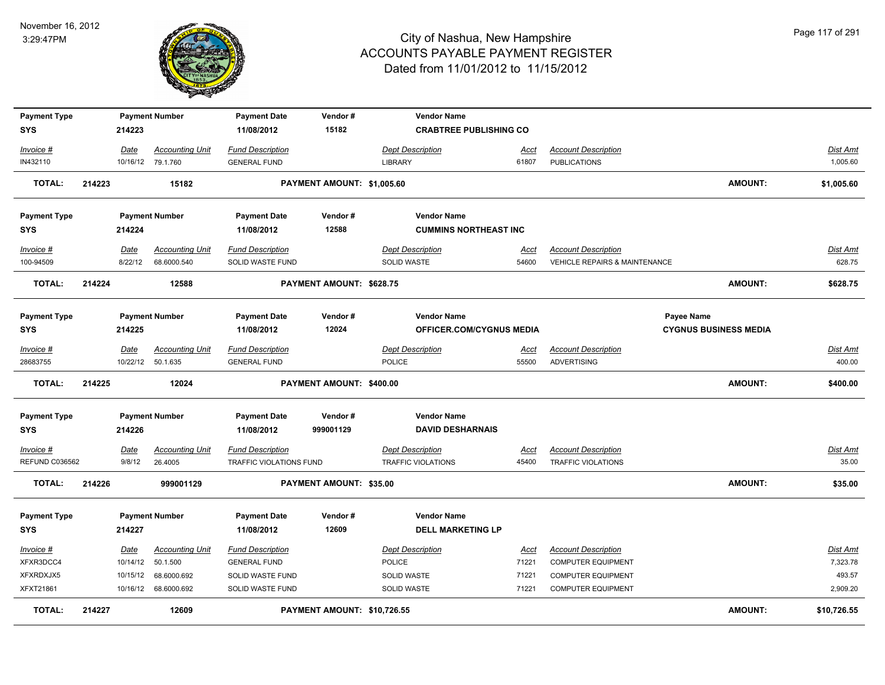

| <b>Payment Type</b>               |        |          | <b>Payment Number</b>  | <b>Payment Date</b>               | Vendor#                     | <b>Vendor Name</b>                            |             |                                          |                              |                 |
|-----------------------------------|--------|----------|------------------------|-----------------------------------|-----------------------------|-----------------------------------------------|-------------|------------------------------------------|------------------------------|-----------------|
| <b>SYS</b>                        |        | 214223   |                        | 11/08/2012                        | 15182                       | <b>CRABTREE PUBLISHING CO</b>                 |             |                                          |                              |                 |
| Invoice #                         |        | Date     | <b>Accounting Unit</b> | <b>Fund Description</b>           |                             | <b>Dept Description</b>                       | Acct        | <b>Account Description</b>               |                              | <b>Dist Amt</b> |
| IN432110                          |        |          | 10/16/12 79.1.760      | <b>GENERAL FUND</b>               |                             | <b>LIBRARY</b>                                | 61807       | <b>PUBLICATIONS</b>                      |                              | 1,005.60        |
| <b>TOTAL:</b>                     | 214223 |          | 15182                  |                                   | PAYMENT AMOUNT: \$1,005.60  |                                               |             |                                          | <b>AMOUNT:</b>               | \$1,005.60      |
| <b>Payment Type</b>               |        |          | <b>Payment Number</b>  | <b>Payment Date</b>               | Vendor#                     | <b>Vendor Name</b>                            |             |                                          |                              |                 |
| <b>SYS</b>                        |        | 214224   |                        | 11/08/2012                        | 12588                       | <b>CUMMINS NORTHEAST INC</b>                  |             |                                          |                              |                 |
| Invoice #                         |        | Date     | <b>Accounting Unit</b> | <b>Fund Description</b>           |                             | <b>Dept Description</b>                       | <u>Acct</u> | <b>Account Description</b>               |                              | <b>Dist Amt</b> |
| 100-94509                         |        | 8/22/12  | 68.6000.540            | SOLID WASTE FUND                  |                             | <b>SOLID WASTE</b>                            | 54600       | <b>VEHICLE REPAIRS &amp; MAINTENANCE</b> |                              | 628.75          |
| <b>TOTAL:</b>                     | 214224 |          | 12588                  |                                   | PAYMENT AMOUNT: \$628.75    |                                               |             |                                          | <b>AMOUNT:</b>               | \$628.75        |
| <b>Payment Type</b>               |        |          | <b>Payment Number</b>  | <b>Payment Date</b>               | Vendor#                     | <b>Vendor Name</b>                            |             |                                          | Payee Name                   |                 |
| <b>SYS</b>                        |        | 214225   |                        | 11/08/2012                        | 12024                       | <b>OFFICER.COM/CYGNUS MEDIA</b>               |             |                                          | <b>CYGNUS BUSINESS MEDIA</b> |                 |
| Invoice #                         |        | Date     | <b>Accounting Unit</b> | <b>Fund Description</b>           |                             | <b>Dept Description</b>                       | <u>Acct</u> | <b>Account Description</b>               |                              | <b>Dist Amt</b> |
| 28683755                          |        |          | 10/22/12 50.1.635      | <b>GENERAL FUND</b>               |                             | POLICE                                        | 55500       | <b>ADVERTISING</b>                       |                              | 400.00          |
| <b>TOTAL:</b>                     | 214225 |          | 12024                  |                                   | PAYMENT AMOUNT: \$400.00    |                                               |             |                                          | <b>AMOUNT:</b>               | \$400.00        |
| <b>Payment Type</b><br><b>SYS</b> |        | 214226   | <b>Payment Number</b>  | <b>Payment Date</b><br>11/08/2012 | Vendor#<br>999001129        | <b>Vendor Name</b><br><b>DAVID DESHARNAIS</b> |             |                                          |                              |                 |
| $Invoice$ #                       |        | Date     | <b>Accounting Unit</b> | <b>Fund Description</b>           |                             | <b>Dept Description</b>                       | Acct        | <b>Account Description</b>               |                              | <b>Dist Amt</b> |
| REFUND C036562                    |        | 9/8/12   | 26.4005                | TRAFFIC VIOLATIONS FUND           |                             | <b>TRAFFIC VIOLATIONS</b>                     | 45400       | TRAFFIC VIOLATIONS                       |                              | 35.00           |
| <b>TOTAL:</b>                     | 214226 |          | 999001129              |                                   | PAYMENT AMOUNT: \$35.00     |                                               |             |                                          | <b>AMOUNT:</b>               | \$35.00         |
| <b>Payment Type</b>               |        |          | <b>Payment Number</b>  | <b>Payment Date</b>               | Vendor#                     | <b>Vendor Name</b>                            |             |                                          |                              |                 |
| <b>SYS</b>                        |        | 214227   |                        | 11/08/2012                        | 12609                       | <b>DELL MARKETING LP</b>                      |             |                                          |                              |                 |
| $Invoice$ #                       |        | Date     | <b>Accounting Unit</b> | <b>Fund Description</b>           |                             | <b>Dept Description</b>                       | <u>Acct</u> | <b>Account Description</b>               |                              | <b>Dist Amt</b> |
| XFXR3DCC4                         |        | 10/14/12 | 50.1.500               | <b>GENERAL FUND</b>               |                             | <b>POLICE</b>                                 | 71221       | <b>COMPUTER EQUIPMENT</b>                |                              | 7,323.78        |
| XFXRDXJX5                         |        | 10/15/12 | 68.6000.692            | SOLID WASTE FUND                  |                             | SOLID WASTE                                   | 71221       | <b>COMPUTER EQUIPMENT</b>                |                              | 493.57          |
| XFXT21861                         |        | 10/16/12 | 68.6000.692            | SOLID WASTE FUND                  |                             | SOLID WASTE                                   | 71221       | <b>COMPUTER EQUIPMENT</b>                |                              | 2,909.20        |
| <b>TOTAL:</b>                     | 214227 |          | 12609                  |                                   | PAYMENT AMOUNT: \$10,726.55 |                                               |             |                                          | <b>AMOUNT:</b>               | \$10,726.55     |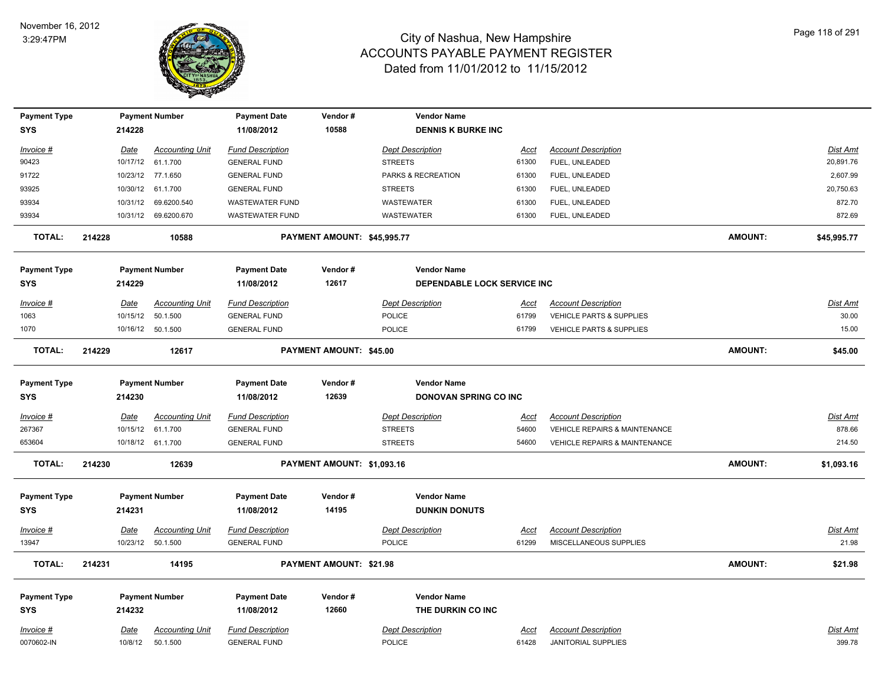

| <b>Payment Type</b>               |        |             | <b>Payment Number</b>  | <b>Payment Date</b>               | Vendor#                        | <b>Vendor Name</b>                                 |             |                                          |                |                 |
|-----------------------------------|--------|-------------|------------------------|-----------------------------------|--------------------------------|----------------------------------------------------|-------------|------------------------------------------|----------------|-----------------|
| <b>SYS</b>                        |        | 214228      |                        | 11/08/2012                        | 10588                          | <b>DENNIS K BURKE INC</b>                          |             |                                          |                |                 |
| Invoice #                         |        | Date        | <b>Accounting Unit</b> | <b>Fund Description</b>           |                                | <b>Dept Description</b>                            | Acct        | <b>Account Description</b>               |                | Dist Amt        |
| 90423                             |        |             | 10/17/12 61.1.700      | <b>GENERAL FUND</b>               |                                | <b>STREETS</b>                                     | 61300       | FUEL, UNLEADED                           |                | 20,891.76       |
| 91722                             |        |             | 10/23/12 77.1.650      | <b>GENERAL FUND</b>               |                                | PARKS & RECREATION                                 | 61300       | FUEL, UNLEADED                           |                | 2,607.99        |
| 93925                             |        |             | 10/30/12 61.1.700      | <b>GENERAL FUND</b>               |                                | <b>STREETS</b>                                     | 61300       | FUEL, UNLEADED                           |                | 20,750.63       |
| 93934                             |        | 10/31/12    | 69.6200.540            | <b>WASTEWATER FUND</b>            |                                | WASTEWATER                                         | 61300       | FUEL, UNLEADED                           |                | 872.70          |
| 93934                             |        |             | 10/31/12 69.6200.670   | <b>WASTEWATER FUND</b>            |                                | <b>WASTEWATER</b>                                  | 61300       | FUEL, UNLEADED                           |                | 872.69          |
| <b>TOTAL:</b>                     | 214228 |             | 10588                  |                                   | PAYMENT AMOUNT: \$45,995.77    |                                                    |             |                                          | <b>AMOUNT:</b> | \$45,995.77     |
| <b>Payment Type</b>               |        |             | <b>Payment Number</b>  | <b>Payment Date</b>               | Vendor#                        | <b>Vendor Name</b>                                 |             |                                          |                |                 |
| <b>SYS</b>                        |        | 214229      |                        | 11/08/2012                        | 12617                          | DEPENDABLE LOCK SERVICE INC                        |             |                                          |                |                 |
| Invoice #                         |        | Date        | <b>Accounting Unit</b> | <b>Fund Description</b>           |                                | <b>Dept Description</b>                            | Acct        | <b>Account Description</b>               |                | <b>Dist Amt</b> |
| 1063                              |        | 10/15/12    | 50.1.500               | <b>GENERAL FUND</b>               |                                | POLICE                                             | 61799       | <b>VEHICLE PARTS &amp; SUPPLIES</b>      |                | 30.00           |
| 1070                              |        |             | 10/16/12 50.1.500      | <b>GENERAL FUND</b>               |                                | <b>POLICE</b>                                      | 61799       | VEHICLE PARTS & SUPPLIES                 |                | 15.00           |
| <b>TOTAL:</b>                     | 214229 |             | 12617                  |                                   | PAYMENT AMOUNT: \$45.00        |                                                    |             |                                          | <b>AMOUNT:</b> | \$45.00         |
|                                   |        |             |                        |                                   |                                |                                                    |             |                                          |                |                 |
| <b>Payment Type</b><br><b>SYS</b> |        | 214230      | <b>Payment Number</b>  | <b>Payment Date</b><br>11/08/2012 | Vendor#<br>12639               | <b>Vendor Name</b><br><b>DONOVAN SPRING CO INC</b> |             |                                          |                |                 |
|                                   |        |             |                        |                                   |                                |                                                    |             |                                          |                |                 |
| Invoice #                         |        | Date        | <b>Accounting Unit</b> | <b>Fund Description</b>           |                                | <b>Dept Description</b>                            | <u>Acct</u> | <b>Account Description</b>               |                | Dist Amt        |
| 267367                            |        | 10/15/12    | 61.1.700               | <b>GENERAL FUND</b>               |                                | <b>STREETS</b>                                     | 54600       | VEHICLE REPAIRS & MAINTENANCE            |                | 878.66          |
| 653604                            |        |             | 10/18/12 61.1.700      | <b>GENERAL FUND</b>               |                                | <b>STREETS</b>                                     | 54600       | <b>VEHICLE REPAIRS &amp; MAINTENANCE</b> |                | 214.50          |
| <b>TOTAL:</b>                     | 214230 |             | 12639                  |                                   | PAYMENT AMOUNT: \$1,093.16     |                                                    |             |                                          | <b>AMOUNT:</b> | \$1,093.16      |
| <b>Payment Type</b>               |        |             | <b>Payment Number</b>  | <b>Payment Date</b>               | Vendor#                        | <b>Vendor Name</b>                                 |             |                                          |                |                 |
| <b>SYS</b>                        |        | 214231      |                        | 11/08/2012                        | 14195                          | <b>DUNKIN DONUTS</b>                               |             |                                          |                |                 |
| Invoice #                         |        | <b>Date</b> | <b>Accounting Unit</b> | <b>Fund Description</b>           |                                | <b>Dept Description</b>                            | <u>Acct</u> | <b>Account Description</b>               |                | <u>Dist Amt</u> |
| 13947                             |        |             | 10/23/12  50.1.500     | <b>GENERAL FUND</b>               |                                | <b>POLICE</b>                                      | 61299       | MISCELLANEOUS SUPPLIES                   |                | 21.98           |
| <b>TOTAL:</b>                     | 214231 |             | 14195                  |                                   | <b>PAYMENT AMOUNT: \$21.98</b> |                                                    |             |                                          | <b>AMOUNT:</b> | \$21.98         |
| <b>Payment Type</b>               |        |             | <b>Payment Number</b>  | <b>Payment Date</b>               | Vendor#                        | <b>Vendor Name</b>                                 |             |                                          |                |                 |
| <b>SYS</b>                        |        |             |                        | 11/08/2012                        | 12660                          | THE DURKIN CO INC                                  |             |                                          |                |                 |
|                                   |        | 214232      |                        |                                   |                                |                                                    |             |                                          |                |                 |
| Invoice #                         |        | Date        | <b>Accounting Unit</b> | <b>Fund Description</b>           |                                | <b>Dept Description</b>                            | Acct        | <b>Account Description</b>               |                | Dist Amt        |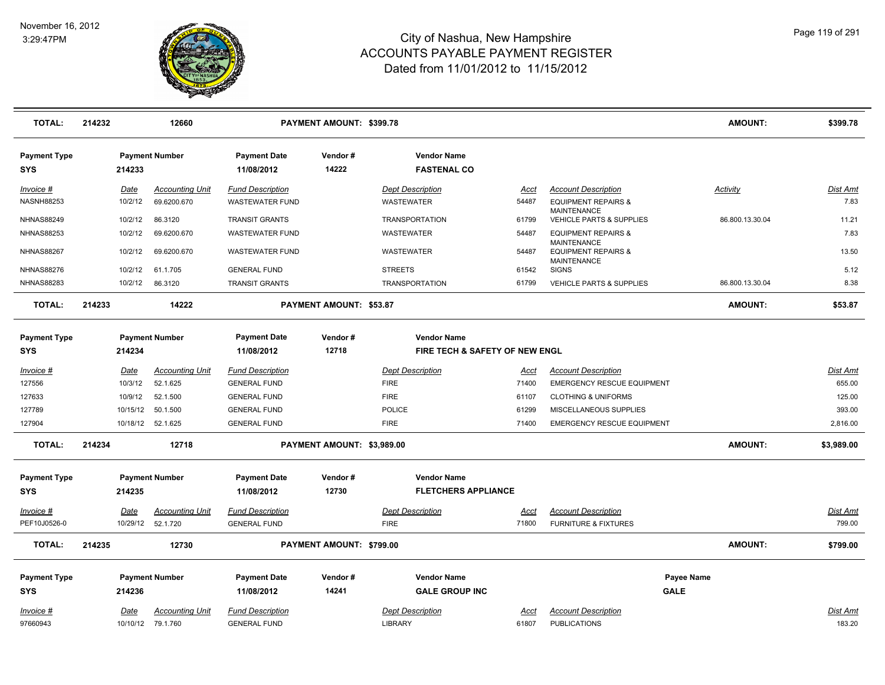

| <b>TOTAL:</b>              | 214232 |                  | 12660                              |                                                | PAYMENT AMOUNT: \$399.78   |                                                                 |               |                                                                            | <b>AMOUNT:</b>    | \$399.78                  |
|----------------------------|--------|------------------|------------------------------------|------------------------------------------------|----------------------------|-----------------------------------------------------------------|---------------|----------------------------------------------------------------------------|-------------------|---------------------------|
| <b>Payment Type</b><br>SYS |        | 214233           | <b>Payment Number</b>              | <b>Payment Date</b><br>11/08/2012              | Vendor#<br>14222           | <b>Vendor Name</b><br><b>FASTENAL CO</b>                        |               |                                                                            |                   |                           |
| Invoice #                  |        | Date             | <b>Accounting Unit</b>             | <b>Fund Description</b>                        |                            | <b>Dept Description</b>                                         | Acct          | <b>Account Description</b>                                                 | Activity          | <b>Dist Amt</b>           |
| <b>NASNH88253</b>          |        | 10/2/12          | 69.6200.670                        | <b>WASTEWATER FUND</b>                         |                            | <b>WASTEWATER</b>                                               | 54487         | <b>EQUIPMENT REPAIRS &amp;</b>                                             |                   | 7.83                      |
| <b>NHNAS88249</b>          |        | 10/2/12          | 86.3120                            | <b>TRANSIT GRANTS</b>                          |                            | <b>TRANSPORTATION</b>                                           | 61799         | <b>MAINTENANCE</b><br><b>VEHICLE PARTS &amp; SUPPLIES</b>                  | 86.800.13.30.04   | 11.21                     |
| <b>NHNAS88253</b>          |        | 10/2/12          | 69.6200.670                        | <b>WASTEWATER FUND</b>                         |                            | <b>WASTEWATER</b>                                               | 54487         | <b>EQUIPMENT REPAIRS &amp;</b>                                             |                   | 7.83                      |
| <b>NHNAS88267</b>          |        | 10/2/12          | 69.6200.670                        | <b>WASTEWATER FUND</b>                         |                            | <b>WASTEWATER</b>                                               | 54487         | <b>MAINTENANCE</b><br><b>EQUIPMENT REPAIRS &amp;</b><br><b>MAINTENANCE</b> |                   | 13.50                     |
| <b>NHNAS88276</b>          |        | 10/2/12          | 61.1.705                           | <b>GENERAL FUND</b>                            |                            | <b>STREETS</b>                                                  | 61542         | <b>SIGNS</b>                                                               |                   | 5.12                      |
| <b>NHNAS88283</b>          |        | 10/2/12          | 86.3120                            | <b>TRANSIT GRANTS</b>                          |                            | <b>TRANSPORTATION</b>                                           | 61799         | VEHICLE PARTS & SUPPLIES                                                   | 86.800.13.30.04   | 8.38                      |
| <b>TOTAL:</b>              | 214233 |                  | 14222                              |                                                | PAYMENT AMOUNT: \$53.87    |                                                                 |               |                                                                            | <b>AMOUNT:</b>    | \$53.87                   |
| <b>Payment Type</b><br>SYS |        | 214234           | <b>Payment Number</b>              | <b>Payment Date</b><br>11/08/2012              | Vendor#<br>12718           | <b>Vendor Name</b><br><b>FIRE TECH &amp; SAFETY OF NEW ENGL</b> |               |                                                                            |                   |                           |
| Invoice #                  |        | <u>Date</u>      | <b>Accounting Unit</b>             | <u>Fund Description</u>                        |                            | <b>Dept Description</b>                                         | <u>Acct</u>   | <b>Account Description</b>                                                 |                   | Dist Amt                  |
| 127556                     |        | 10/3/12          | 52.1.625                           | <b>GENERAL FUND</b>                            |                            | <b>FIRE</b>                                                     | 71400         | <b>EMERGENCY RESCUE EQUIPMENT</b>                                          |                   | 655.00                    |
| 127633                     |        | 10/9/12          | 52.1.500                           | <b>GENERAL FUND</b>                            |                            | <b>FIRE</b>                                                     | 61107         | <b>CLOTHING &amp; UNIFORMS</b>                                             |                   | 125.00                    |
| 127789                     |        | 10/15/12         | 50.1.500                           | <b>GENERAL FUND</b>                            |                            | <b>POLICE</b>                                                   | 61299         | MISCELLANEOUS SUPPLIES                                                     |                   | 393.00                    |
| 127904                     |        |                  | 10/18/12 52.1.625                  | <b>GENERAL FUND</b>                            |                            | <b>FIRE</b>                                                     | 71400         | <b>EMERGENCY RESCUE EQUIPMENT</b>                                          |                   | 2,816.00                  |
| <b>TOTAL:</b>              | 214234 |                  | 12718                              |                                                | PAYMENT AMOUNT: \$3,989.00 |                                                                 |               |                                                                            | <b>AMOUNT:</b>    | \$3,989.00                |
| <b>Payment Type</b>        |        |                  | <b>Payment Number</b>              | <b>Payment Date</b>                            | Vendor#                    | <b>Vendor Name</b>                                              |               |                                                                            |                   |                           |
| <b>SYS</b>                 |        | 214235           |                                    | 11/08/2012                                     | 12730                      | <b>FLETCHERS APPLIANCE</b>                                      |               |                                                                            |                   |                           |
| Invoice #<br>PEF10J0526-0  |        | Date<br>10/29/12 | <b>Accounting Unit</b><br>52.1.720 | <b>Fund Description</b><br><b>GENERAL FUND</b> |                            | <b>Dept Description</b><br><b>FIRE</b>                          | Acct<br>71800 | <b>Account Description</b><br><b>FURNITURE &amp; FIXTURES</b>              |                   | <u>Dist Amt</u><br>799.00 |
|                            |        |                  |                                    |                                                |                            |                                                                 |               |                                                                            |                   |                           |
| <b>TOTAL:</b>              | 214235 |                  | 12730                              |                                                | PAYMENT AMOUNT: \$799.00   |                                                                 |               |                                                                            | <b>AMOUNT:</b>    | \$799.00                  |
| <b>Payment Type</b>        |        |                  | <b>Payment Number</b>              | <b>Payment Date</b>                            | Vendor#                    | <b>Vendor Name</b>                                              |               |                                                                            | <b>Payee Name</b> |                           |
| <b>SYS</b>                 |        | 214236           |                                    | 11/08/2012                                     | 14241                      | <b>GALE GROUP INC</b>                                           |               |                                                                            | <b>GALE</b>       |                           |
| Invoice #                  |        | Date             | <b>Accounting Unit</b>             | <b>Fund Description</b>                        |                            | <b>Dept Description</b>                                         | Acct          | <b>Account Description</b>                                                 |                   | Dist Amt                  |
| 97660943                   |        |                  | 10/10/12 79.1.760                  | <b>GENERAL FUND</b>                            |                            | <b>LIBRARY</b>                                                  | 61807         | <b>PUBLICATIONS</b>                                                        |                   | 183.20                    |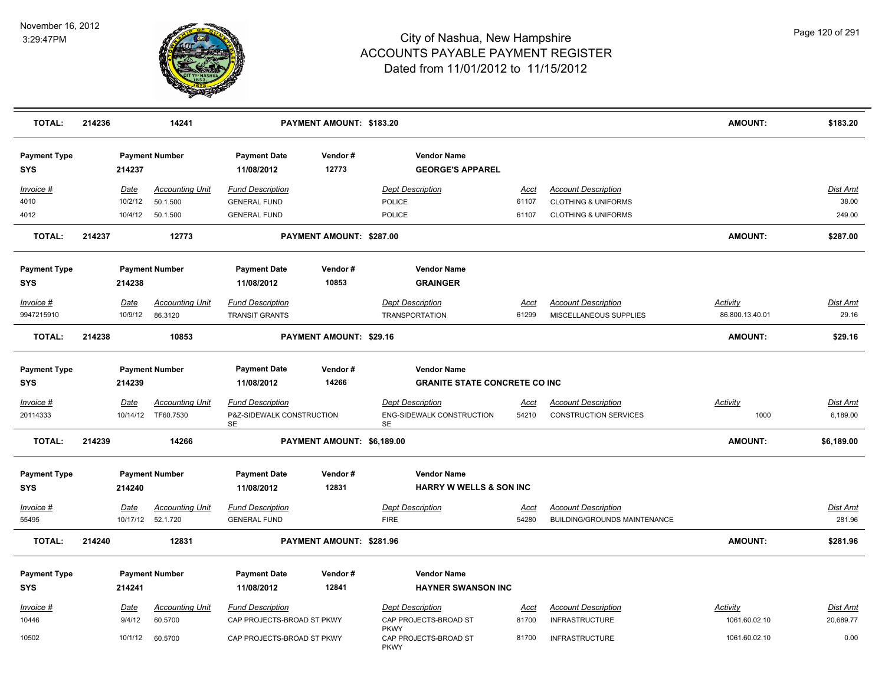

| <b>TOTAL:</b>                     | 214236 |                  | 14241                                        |                                                            | PAYMENT AMOUNT: \$183.20   |                                                            |                                      |                      |                                                                   | <b>AMOUNT:</b>          | \$183.20                  |
|-----------------------------------|--------|------------------|----------------------------------------------|------------------------------------------------------------|----------------------------|------------------------------------------------------------|--------------------------------------|----------------------|-------------------------------------------------------------------|-------------------------|---------------------------|
| <b>Payment Type</b><br><b>SYS</b> |        | 214237           | <b>Payment Number</b>                        | <b>Payment Date</b><br>11/08/2012                          | Vendor#<br>12773           | <b>Vendor Name</b>                                         | <b>GEORGE'S APPAREL</b>              |                      |                                                                   |                         |                           |
| Invoice #                         |        | <b>Date</b>      | <b>Accounting Unit</b>                       | <b>Fund Description</b>                                    |                            | <b>Dept Description</b>                                    |                                      | Acct                 | <b>Account Description</b>                                        |                         | Dist Amt                  |
| 4010                              |        | 10/2/12          | 50.1.500                                     | <b>GENERAL FUND</b>                                        |                            | POLICE                                                     |                                      | 61107                | <b>CLOTHING &amp; UNIFORMS</b>                                    |                         | 38.00                     |
| 4012                              |        | 10/4/12          | 50.1.500                                     | <b>GENERAL FUND</b>                                        |                            | POLICE                                                     |                                      | 61107                | <b>CLOTHING &amp; UNIFORMS</b>                                    |                         | 249.00                    |
| <b>TOTAL:</b>                     | 214237 |                  | 12773                                        |                                                            | PAYMENT AMOUNT: \$287.00   |                                                            |                                      |                      |                                                                   | <b>AMOUNT:</b>          | \$287.00                  |
| <b>Payment Type</b>               |        |                  | <b>Payment Number</b>                        | <b>Payment Date</b>                                        | Vendor#                    | <b>Vendor Name</b>                                         |                                      |                      |                                                                   |                         |                           |
| <b>SYS</b>                        |        | 214238           |                                              | 11/08/2012                                                 | 10853                      | <b>GRAINGER</b>                                            |                                      |                      |                                                                   |                         |                           |
| Invoice #                         |        | Date             | <b>Accounting Unit</b>                       | <b>Fund Description</b>                                    |                            | <b>Dept Description</b>                                    |                                      | Acct                 | <b>Account Description</b>                                        | <b>Activity</b>         | <b>Dist Amt</b>           |
| 9947215910                        |        | 10/9/12          | 86.3120                                      | <b>TRANSIT GRANTS</b>                                      |                            | <b>TRANSPORTATION</b>                                      |                                      | 61299                | MISCELLANEOUS SUPPLIES                                            | 86.800.13.40.01         | 29.16                     |
| <b>TOTAL:</b>                     | 214238 |                  | 10853                                        |                                                            | PAYMENT AMOUNT: \$29.16    |                                                            |                                      |                      |                                                                   | <b>AMOUNT:</b>          | \$29.16                   |
| <b>Payment Type</b><br><b>SYS</b> |        | 214239           | <b>Payment Number</b>                        | <b>Payment Date</b><br>11/08/2012                          | Vendor#<br>14266           | <b>Vendor Name</b>                                         | <b>GRANITE STATE CONCRETE CO INC</b> |                      |                                                                   |                         |                           |
| Invoice #<br>20114333             |        | Date<br>10/14/12 | <u>Accounting Unit</u><br>TF60.7530          | <b>Fund Description</b><br>P&Z-SIDEWALK CONSTRUCTION<br>SE |                            | <b>Dept Description</b><br>ENG-SIDEWALK CONSTRUCTION<br>SE |                                      | <u>Acct</u><br>54210 | <b>Account Description</b><br><b>CONSTRUCTION SERVICES</b>        | <b>Activity</b><br>1000 | Dist Amt<br>6,189.00      |
| <b>TOTAL:</b>                     | 214239 |                  | 14266                                        |                                                            | PAYMENT AMOUNT: \$6,189.00 |                                                            |                                      |                      |                                                                   | <b>AMOUNT:</b>          | \$6,189.00                |
| <b>Payment Type</b><br><b>SYS</b> |        | 214240           | <b>Payment Number</b>                        | <b>Payment Date</b><br>11/08/2012                          | Vendor#<br>12831           | <b>Vendor Name</b>                                         | <b>HARRY W WELLS &amp; SON INC</b>   |                      |                                                                   |                         |                           |
|                                   |        |                  |                                              |                                                            |                            |                                                            |                                      |                      |                                                                   |                         |                           |
| Invoice #<br>55495                |        | <u>Date</u>      | <b>Accounting Unit</b><br>10/17/12  52.1.720 | <b>Fund Description</b><br><b>GENERAL FUND</b>             |                            | <b>Dept Description</b><br><b>FIRE</b>                     |                                      | <u>Acct</u><br>54280 | <b>Account Description</b><br><b>BUILDING/GROUNDS MAINTENANCE</b> |                         | <b>Dist Amt</b><br>281.96 |
| <b>TOTAL:</b>                     | 214240 |                  | 12831                                        |                                                            | PAYMENT AMOUNT: \$281.96   |                                                            |                                      |                      |                                                                   | <b>AMOUNT:</b>          | \$281.96                  |
| <b>Payment Type</b>               |        |                  | <b>Payment Number</b>                        | <b>Payment Date</b>                                        | Vendor#                    | <b>Vendor Name</b>                                         |                                      |                      |                                                                   |                         |                           |
| <b>SYS</b>                        |        | 214241           |                                              | 11/08/2012                                                 | 12841                      |                                                            | <b>HAYNER SWANSON INC</b>            |                      |                                                                   |                         |                           |
| Invoice #                         |        | <u>Date</u>      | <b>Accounting Unit</b>                       | <b>Fund Description</b>                                    |                            | <b>Dept Description</b>                                    |                                      | <u>Acct</u>          | <b>Account Description</b>                                        | Activity                | <b>Dist Amt</b>           |
| 10446                             |        | 9/4/12           | 60.5700                                      | CAP PROJECTS-BROAD ST PKWY                                 |                            | CAP PROJECTS-BROAD ST                                      |                                      | 81700                | <b>INFRASTRUCTURE</b>                                             | 1061.60.02.10           | 20,689.77                 |
| 10502                             |        | 10/1/12          | 60.5700                                      | CAP PROJECTS-BROAD ST PKWY                                 |                            | <b>PKWY</b><br>CAP PROJECTS-BROAD ST<br><b>PKWY</b>        |                                      | 81700                | <b>INFRASTRUCTURE</b>                                             | 1061.60.02.10           | 0.00                      |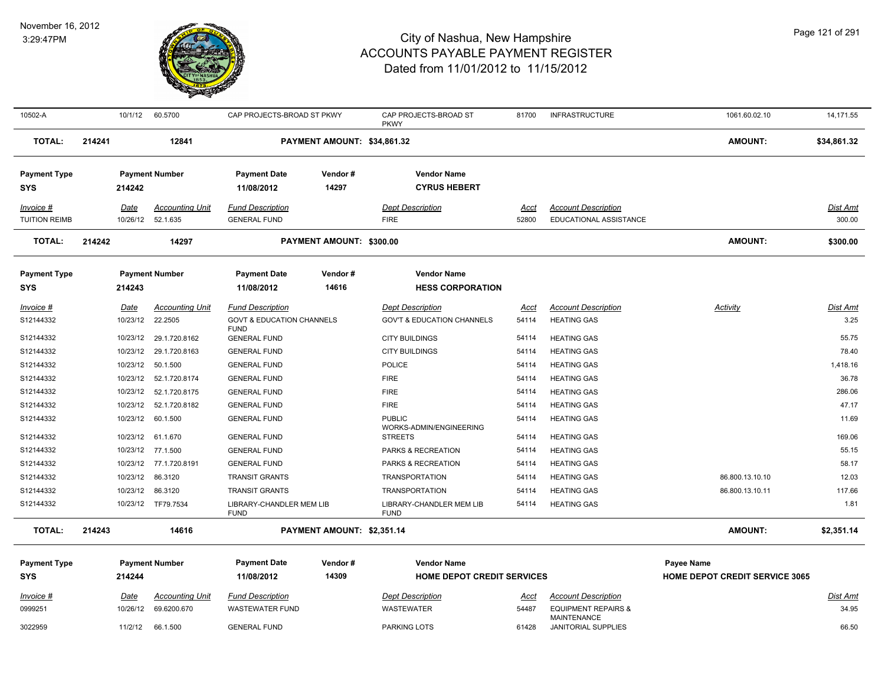

| 10502-A                           |        | 10/1/12     | 60.5700                | CAP PROJECTS-BROAD ST PKWY              |                             | CAP PROJECTS-BROAD ST<br><b>PKWY</b>      | 81700       | <b>INFRASTRUCTURE</b>                     | 1061.60.02.10                         | 14,171.55       |
|-----------------------------------|--------|-------------|------------------------|-----------------------------------------|-----------------------------|-------------------------------------------|-------------|-------------------------------------------|---------------------------------------|-----------------|
| <b>TOTAL:</b>                     | 214241 |             | 12841                  |                                         | PAYMENT AMOUNT: \$34,861.32 |                                           |             |                                           | <b>AMOUNT:</b>                        | \$34,861.32     |
| <b>Payment Type</b><br><b>SYS</b> |        | 214242      | <b>Payment Number</b>  | <b>Payment Date</b><br>11/08/2012       | Vendor#<br>14297            | <b>Vendor Name</b><br><b>CYRUS HEBERT</b> |             |                                           |                                       |                 |
| Invoice #                         |        | Date        | <b>Accounting Unit</b> | <b>Fund Description</b>                 |                             | <b>Dept Description</b>                   | Acct        | <b>Account Description</b>                |                                       | Dist Amt        |
| <b>TUITION REIMB</b>              |        | 10/26/12    | 52.1.635               | <b>GENERAL FUND</b>                     |                             | <b>FIRE</b>                               | 52800       | EDUCATIONAL ASSISTANCE                    |                                       | 300.00          |
| <b>TOTAL:</b>                     | 214242 |             | 14297                  |                                         | PAYMENT AMOUNT: \$300.00    |                                           |             |                                           | <b>AMOUNT:</b>                        | \$300.00        |
| <b>Payment Type</b>               |        |             | <b>Payment Number</b>  | <b>Payment Date</b>                     | Vendor#                     | <b>Vendor Name</b>                        |             |                                           |                                       |                 |
| <b>SYS</b>                        |        | 214243      |                        | 11/08/2012                              | 14616                       | <b>HESS CORPORATION</b>                   |             |                                           |                                       |                 |
| $Invoice$ #                       |        | <u>Date</u> | <b>Accounting Unit</b> | <b>Fund Description</b>                 |                             | <b>Dept Description</b>                   | <u>Acct</u> | <b>Account Description</b>                | <b>Activity</b>                       | <b>Dist Amt</b> |
| S12144332                         |        | 10/23/12    | 22.2505                | <b>GOVT &amp; EDUCATION CHANNELS</b>    |                             | <b>GOV'T &amp; EDUCATION CHANNELS</b>     | 54114       | <b>HEATING GAS</b>                        |                                       | 3.25            |
| S12144332                         |        | 10/23/12    | 29.1.720.8162          | <b>FUND</b><br><b>GENERAL FUND</b>      |                             | <b>CITY BUILDINGS</b>                     | 54114       | <b>HEATING GAS</b>                        |                                       | 55.75           |
| S12144332                         |        | 10/23/12    | 29.1.720.8163          | <b>GENERAL FUND</b>                     |                             | <b>CITY BUILDINGS</b>                     | 54114       | <b>HEATING GAS</b>                        |                                       | 78.40           |
| S12144332                         |        | 10/23/12    | 50.1.500               | <b>GENERAL FUND</b>                     |                             | POLICE                                    | 54114       | <b>HEATING GAS</b>                        |                                       | 1,418.16        |
| S12144332                         |        | 10/23/12    | 52.1.720.8174          | <b>GENERAL FUND</b>                     |                             | <b>FIRE</b>                               | 54114       | <b>HEATING GAS</b>                        |                                       | 36.78           |
| S12144332                         |        | 10/23/12    | 52.1.720.8175          | <b>GENERAL FUND</b>                     |                             | <b>FIRE</b>                               | 54114       | <b>HEATING GAS</b>                        |                                       | 286.06          |
| S12144332                         |        | 10/23/12    | 52.1.720.8182          | <b>GENERAL FUND</b>                     |                             | <b>FIRE</b>                               | 54114       | <b>HEATING GAS</b>                        |                                       | 47.17           |
| S12144332                         |        | 10/23/12    | 60.1.500               | <b>GENERAL FUND</b>                     |                             | <b>PUBLIC</b><br>WORKS-ADMIN/ENGINEERING  | 54114       | <b>HEATING GAS</b>                        |                                       | 11.69           |
| S12144332                         |        | 10/23/12    | 61.1.670               | <b>GENERAL FUND</b>                     |                             | <b>STREETS</b>                            | 54114       | <b>HEATING GAS</b>                        |                                       | 169.06          |
| S12144332                         |        | 10/23/12    | 77.1.500               | <b>GENERAL FUND</b>                     |                             | PARKS & RECREATION                        | 54114       | <b>HEATING GAS</b>                        |                                       | 55.15           |
| S12144332                         |        | 10/23/12    | 77.1.720.8191          | <b>GENERAL FUND</b>                     |                             | PARKS & RECREATION                        | 54114       | <b>HEATING GAS</b>                        |                                       | 58.17           |
| S12144332                         |        | 10/23/12    | 86.3120                | <b>TRANSIT GRANTS</b>                   |                             | <b>TRANSPORTATION</b>                     | 54114       | <b>HEATING GAS</b>                        | 86.800.13.10.10                       | 12.03           |
| S12144332                         |        | 10/23/12    | 86.3120                | <b>TRANSIT GRANTS</b>                   |                             | <b>TRANSPORTATION</b>                     | 54114       | <b>HEATING GAS</b>                        | 86.800.13.10.11                       | 117.66          |
| S12144332                         |        | 10/23/12    | TF79.7534              | LIBRARY-CHANDLER MEM LIB<br><b>FUND</b> |                             | LIBRARY-CHANDLER MEM LIB<br><b>FUND</b>   | 54114       | <b>HEATING GAS</b>                        |                                       | 1.81            |
| <b>TOTAL:</b>                     | 214243 |             | 14616                  |                                         | PAYMENT AMOUNT: \$2,351.14  |                                           |             |                                           | <b>AMOUNT:</b>                        | \$2,351.14      |
| <b>Payment Type</b>               |        |             | <b>Payment Number</b>  | <b>Payment Date</b>                     | Vendor#                     | <b>Vendor Name</b>                        |             |                                           | <b>Payee Name</b>                     |                 |
| <b>SYS</b>                        |        | 214244      |                        | 11/08/2012                              | 14309                       | <b>HOME DEPOT CREDIT SERVICES</b>         |             |                                           | <b>HOME DEPOT CREDIT SERVICE 3065</b> |                 |
| $Invoice$ #                       |        | <u>Date</u> | <b>Accounting Unit</b> | <b>Fund Description</b>                 |                             | <b>Dept Description</b>                   | <u>Acct</u> | <b>Account Description</b>                |                                       | <b>Dist Amt</b> |
| 0999251                           |        | 10/26/12    | 69.6200.670            | <b>WASTEWATER FUND</b>                  |                             | <b>WASTEWATER</b>                         | 54487       | <b>EQUIPMENT REPAIRS &amp;</b>            |                                       | 34.95           |
| 3022959                           |        | 11/2/12     | 66.1.500               | <b>GENERAL FUND</b>                     |                             | PARKING LOTS                              | 61428       | <b>MAINTENANCE</b><br>JANITORIAL SUPPLIES |                                       | 66.50           |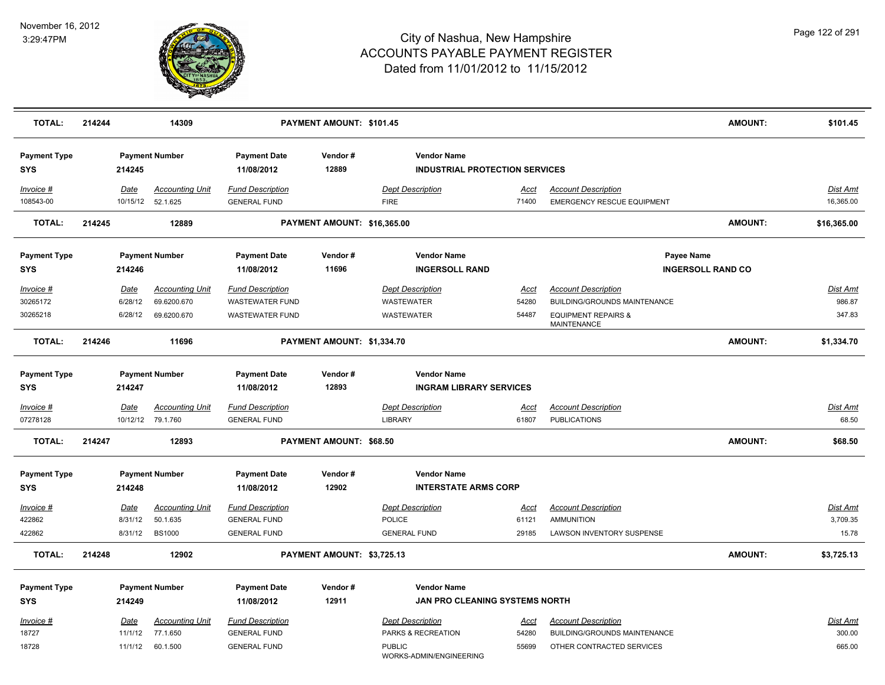

| <b>TOTAL:</b>                     | 214244 |                        | 14309                              | PAYMENT AMOUNT: \$101.45                       |                             |                                                             |               |                                                                 | <b>AMOUNT:</b>           | \$101.45                    |
|-----------------------------------|--------|------------------------|------------------------------------|------------------------------------------------|-----------------------------|-------------------------------------------------------------|---------------|-----------------------------------------------------------------|--------------------------|-----------------------------|
| <b>Payment Type</b><br><b>SYS</b> |        | 214245                 | <b>Payment Number</b>              | <b>Payment Date</b><br>11/08/2012              | Vendor#<br>12889            | <b>Vendor Name</b><br><b>INDUSTRIAL PROTECTION SERVICES</b> |               |                                                                 |                          |                             |
| Invoice #<br>108543-00            |        | Date<br>10/15/12       | <b>Accounting Unit</b><br>52.1.625 | <b>Fund Description</b><br><b>GENERAL FUND</b> |                             | <b>Dept Description</b><br><b>FIRE</b>                      | Acct<br>71400 | <b>Account Description</b><br><b>EMERGENCY RESCUE EQUIPMENT</b> |                          | Dist Amt<br>16,365.00       |
| <b>TOTAL:</b>                     | 214245 |                        | 12889                              |                                                | PAYMENT AMOUNT: \$16,365.00 |                                                             |               |                                                                 | <b>AMOUNT:</b>           | \$16,365.00                 |
| <b>Payment Type</b><br><b>SYS</b> |        | 214246                 | <b>Payment Number</b>              | <b>Payment Date</b><br>11/08/2012              | Vendor#<br>11696            | <b>Vendor Name</b><br><b>INGERSOLL RAND</b>                 |               | Payee Name                                                      | <b>INGERSOLL RAND CO</b> |                             |
| Invoice #                         |        | <b>Date</b>            | <b>Accounting Unit</b>             | <b>Fund Description</b>                        |                             | <b>Dept Description</b>                                     | Acct          | <b>Account Description</b>                                      |                          | Dist Amt                    |
| 30265172                          |        | 6/28/12                | 69.6200.670                        | <b>WASTEWATER FUND</b>                         |                             | WASTEWATER                                                  | 54280         | BUILDING/GROUNDS MAINTENANCE                                    |                          | 986.87                      |
| 30265218                          |        | 6/28/12                | 69.6200.670                        | <b>WASTEWATER FUND</b>                         |                             | <b>WASTEWATER</b>                                           | 54487         | <b>EQUIPMENT REPAIRS &amp;</b><br><b>MAINTENANCE</b>            |                          | 347.83                      |
| <b>TOTAL:</b>                     | 214246 |                        | 11696                              |                                                | PAYMENT AMOUNT: \$1,334.70  |                                                             |               |                                                                 | AMOUNT:                  | \$1,334.70                  |
| <b>Payment Type</b><br>SYS        |        | 214247                 | <b>Payment Number</b>              | <b>Payment Date</b><br>11/08/2012              | Vendor#<br>12893            | <b>Vendor Name</b><br><b>INGRAM LIBRARY SERVICES</b>        |               |                                                                 |                          |                             |
| Invoice #                         |        | Date                   | <b>Accounting Unit</b>             | <b>Fund Description</b>                        |                             | <b>Dept Description</b>                                     | Acct          | <b>Account Description</b>                                      |                          | Dist Amt                    |
| 07278128                          |        |                        | 10/12/12 79.1.760                  | <b>GENERAL FUND</b>                            |                             | <b>LIBRARY</b>                                              | 61807         | <b>PUBLICATIONS</b>                                             |                          | 68.50                       |
| <b>TOTAL:</b>                     | 214247 |                        | 12893                              |                                                | PAYMENT AMOUNT: \$68.50     |                                                             |               |                                                                 | <b>AMOUNT:</b>           | \$68.50                     |
| <b>Payment Type</b><br><b>SYS</b> |        | 214248                 | <b>Payment Number</b>              | <b>Payment Date</b><br>11/08/2012              | Vendor#<br>12902            | <b>Vendor Name</b><br><b>INTERSTATE ARMS CORP</b>           |               |                                                                 |                          |                             |
|                                   |        |                        |                                    |                                                |                             |                                                             |               |                                                                 |                          |                             |
| Invoice #<br>422862               |        | <u>Date</u><br>8/31/12 | <b>Accounting Unit</b><br>50.1.635 | <b>Fund Description</b><br><b>GENERAL FUND</b> |                             | <b>Dept Description</b><br>POLICE                           | Acct<br>61121 | <b>Account Description</b><br><b>AMMUNITION</b>                 |                          | <b>Dist Amt</b><br>3,709.35 |
| 422862                            |        | 8/31/12                | <b>BS1000</b>                      | <b>GENERAL FUND</b>                            |                             | <b>GENERAL FUND</b>                                         | 29185         | LAWSON INVENTORY SUSPENSE                                       |                          | 15.78                       |
| <b>TOTAL:</b>                     | 214248 |                        | 12902                              |                                                | PAYMENT AMOUNT: \$3,725.13  |                                                             |               |                                                                 | <b>AMOUNT:</b>           | \$3,725.13                  |
|                                   |        |                        |                                    |                                                |                             |                                                             |               |                                                                 |                          |                             |
| <b>Payment Type</b>               |        |                        | <b>Payment Number</b>              | <b>Payment Date</b>                            | Vendor#<br>12911            | <b>Vendor Name</b><br>JAN PRO CLEANING SYSTEMS NORTH        |               |                                                                 |                          |                             |
| <b>SYS</b>                        |        | 214249                 |                                    | 11/08/2012                                     |                             |                                                             |               |                                                                 |                          |                             |
| Invoice #                         |        | <b>Date</b>            | <b>Accounting Unit</b>             | <b>Fund Description</b>                        |                             | <b>Dept Description</b>                                     | <u>Acct</u>   | <b>Account Description</b>                                      |                          | Dist Amt                    |
| 18727                             |        | 11/1/12                | 77.1.650                           | <b>GENERAL FUND</b>                            |                             | PARKS & RECREATION                                          | 54280         | BUILDING/GROUNDS MAINTENANCE                                    |                          | 300.00                      |
| 18728                             |        | 11/1/12                | 60.1.500                           | <b>GENERAL FUND</b>                            |                             | <b>PUBLIC</b><br>WORKS-ADMIN/ENGINEERING                    | 55699         | OTHER CONTRACTED SERVICES                                       |                          | 665.00                      |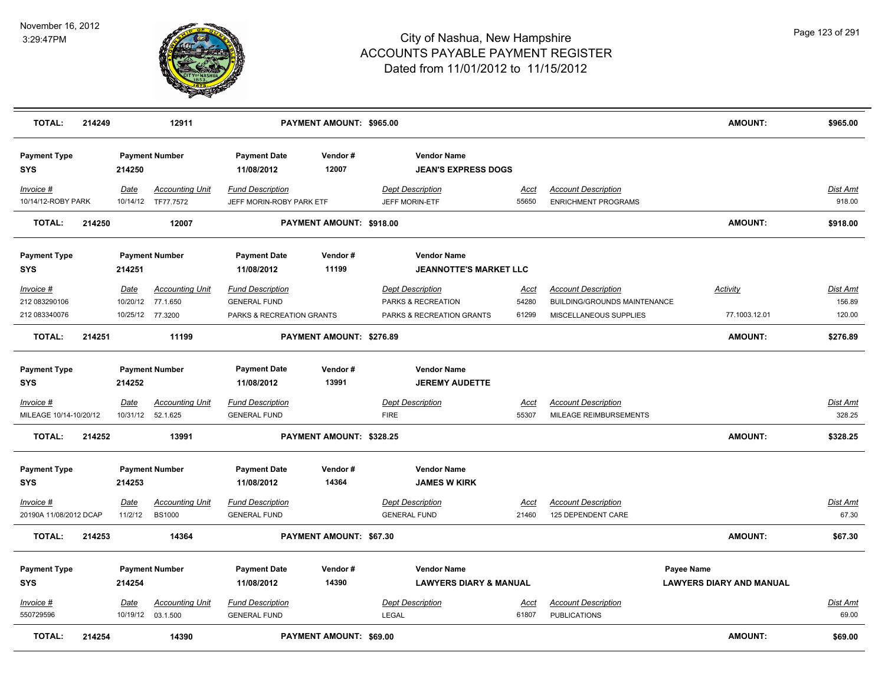

| <b>TOTAL:</b>                     | 214249 |             | 12911                                        |                                                     | PAYMENT AMOUNT: \$965.00 |                                                     |                      |                                                               | <b>AMOUNT:</b>                  | \$965.00           |
|-----------------------------------|--------|-------------|----------------------------------------------|-----------------------------------------------------|--------------------------|-----------------------------------------------------|----------------------|---------------------------------------------------------------|---------------------------------|--------------------|
| <b>Payment Type</b><br><b>SYS</b> |        | 214250      | <b>Payment Number</b>                        | <b>Payment Date</b><br>11/08/2012                   | Vendor#<br>12007         | <b>Vendor Name</b><br><b>JEAN'S EXPRESS DOGS</b>    |                      |                                                               |                                 |                    |
| Invoice #<br>10/14/12-ROBY PARK   |        | Date        | <b>Accounting Unit</b><br>10/14/12 TF77.7572 | <b>Fund Description</b><br>JEFF MORIN-ROBY PARK ETF |                          | <b>Dept Description</b><br>JEFF MORIN-ETF           | <b>Acct</b><br>55650 | <b>Account Description</b><br><b>ENRICHMENT PROGRAMS</b>      |                                 | Dist Amt<br>918.00 |
| <b>TOTAL:</b>                     | 214250 |             | 12007                                        |                                                     | PAYMENT AMOUNT: \$918.00 |                                                     |                      |                                                               | <b>AMOUNT:</b>                  | \$918.00           |
| <b>Payment Type</b><br><b>SYS</b> |        | 214251      | <b>Payment Number</b>                        | <b>Payment Date</b><br>11/08/2012                   | Vendor#<br>11199         | <b>Vendor Name</b><br><b>JEANNOTTE'S MARKET LLC</b> |                      |                                                               |                                 |                    |
| Invoice #                         |        | Date        | <b>Accounting Unit</b>                       | <b>Fund Description</b>                             |                          | <b>Dept Description</b>                             | Acct                 | <b>Account Description</b>                                    | Activity                        | Dist Amt           |
| 212 083290106<br>212 083340076    |        | 10/20/12    | 77.1.650<br>10/25/12 77.3200                 | <b>GENERAL FUND</b><br>PARKS & RECREATION GRANTS    |                          | PARKS & RECREATION<br>PARKS & RECREATION GRANTS     | 54280<br>61299       | <b>BUILDING/GROUNDS MAINTENANCE</b><br>MISCELLANEOUS SUPPLIES | 77.1003.12.01                   | 156.89<br>120.00   |
|                                   |        |             |                                              |                                                     |                          |                                                     |                      |                                                               |                                 |                    |
| TOTAL:                            | 214251 |             | 11199                                        |                                                     | PAYMENT AMOUNT: \$276.89 |                                                     |                      |                                                               | <b>AMOUNT:</b>                  | \$276.89           |
| <b>Payment Type</b>               |        |             | <b>Payment Number</b>                        | <b>Payment Date</b>                                 | Vendor#                  | <b>Vendor Name</b>                                  |                      |                                                               |                                 |                    |
| <b>SYS</b>                        |        | 214252      |                                              | 11/08/2012                                          | 13991                    | <b>JEREMY AUDETTE</b>                               |                      |                                                               |                                 |                    |
| Invoice #                         |        | Date        | <b>Accounting Unit</b>                       | <b>Fund Description</b>                             |                          | <b>Dept Description</b>                             | <u>Acct</u>          | <b>Account Description</b>                                    |                                 | Dist Amt           |
| MILEAGE 10/14-10/20/12            |        | 10/31/12    | 52.1.625                                     | <b>GENERAL FUND</b>                                 |                          | <b>FIRE</b>                                         | 55307                | MILEAGE REIMBURSEMENTS                                        |                                 | 328.25             |
| <b>TOTAL:</b>                     | 214252 |             | 13991                                        |                                                     | PAYMENT AMOUNT: \$328.25 |                                                     |                      |                                                               | <b>AMOUNT:</b>                  | \$328.25           |
| <b>Payment Type</b>               |        |             | <b>Payment Number</b>                        | <b>Payment Date</b>                                 | Vendor#                  | <b>Vendor Name</b>                                  |                      |                                                               |                                 |                    |
| <b>SYS</b>                        |        | 214253      |                                              | 11/08/2012                                          | 14364                    | <b>JAMES W KIRK</b>                                 |                      |                                                               |                                 |                    |
| Invoice #                         |        | Date        | <b>Accounting Unit</b>                       | <b>Fund Description</b>                             |                          | <b>Dept Description</b>                             | Acct                 | <b>Account Description</b>                                    |                                 | Dist Amt           |
| 20190A 11/08/2012 DCAP            |        | 11/2/12     | <b>BS1000</b>                                | <b>GENERAL FUND</b>                                 |                          | <b>GENERAL FUND</b>                                 | 21460                | 125 DEPENDENT CARE                                            |                                 | 67.30              |
| <b>TOTAL:</b>                     | 214253 |             | 14364                                        |                                                     | PAYMENT AMOUNT: \$67.30  |                                                     |                      |                                                               | <b>AMOUNT:</b>                  | \$67.30            |
| <b>Payment Type</b>               |        |             | <b>Payment Number</b>                        | <b>Payment Date</b>                                 | Vendor#                  | <b>Vendor Name</b>                                  |                      |                                                               | Payee Name                      |                    |
| <b>SYS</b>                        |        | 214254      |                                              | 11/08/2012                                          | 14390                    | <b>LAWYERS DIARY &amp; MANUAL</b>                   |                      |                                                               | <b>LAWYERS DIARY AND MANUAL</b> |                    |
| <u>Invoice #</u><br>550729596     |        | <u>Date</u> | <b>Accounting Unit</b><br>10/19/12 03.1.500  | <b>Fund Description</b><br><b>GENERAL FUND</b>      |                          | <b>Dept Description</b><br><b>LEGAL</b>             | <u>Acct</u><br>61807 | <b>Account Description</b><br><b>PUBLICATIONS</b>             |                                 | Dist Amt<br>69.00  |
| <b>TOTAL:</b>                     | 214254 |             | 14390                                        |                                                     | PAYMENT AMOUNT: \$69.00  |                                                     |                      |                                                               | <b>AMOUNT:</b>                  | \$69.00            |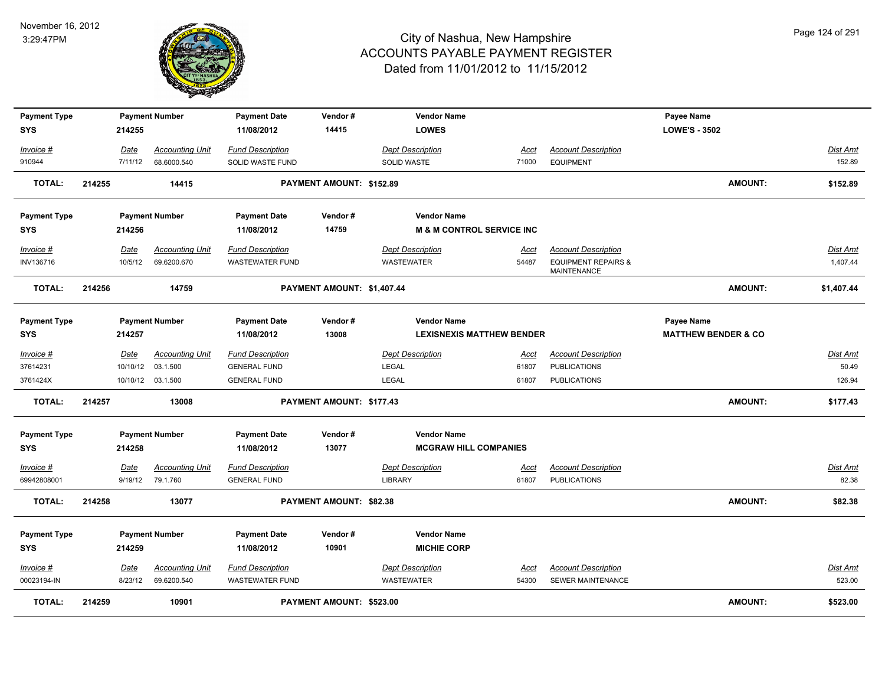

| <b>Payment Type</b><br><b>SYS</b> |        | 214255      | <b>Payment Number</b>  | <b>Payment Date</b><br>11/08/2012 | Vendor#<br>14415                | <b>Vendor Name</b><br><b>LOWES</b>       |             |                                                      | Payee Name<br><b>LOWE'S - 3502</b> |            |
|-----------------------------------|--------|-------------|------------------------|-----------------------------------|---------------------------------|------------------------------------------|-------------|------------------------------------------------------|------------------------------------|------------|
| Invoice #                         |        | Date        | <b>Accounting Unit</b> | <b>Fund Description</b>           |                                 | <b>Dept Description</b>                  | Acct        | <b>Account Description</b>                           |                                    | Dist Amt   |
| 910944                            |        | 7/11/12     | 68.6000.540            | SOLID WASTE FUND                  |                                 | <b>SOLID WASTE</b>                       | 71000       | <b>EQUIPMENT</b>                                     |                                    | 152.89     |
| <b>TOTAL:</b>                     | 214255 |             | 14415                  |                                   | <b>PAYMENT AMOUNT: \$152.89</b> |                                          |             |                                                      | <b>AMOUNT:</b>                     | \$152.89   |
| <b>Payment Type</b>               |        |             | <b>Payment Number</b>  | <b>Payment Date</b>               | Vendor#                         | <b>Vendor Name</b>                       |             |                                                      |                                    |            |
| <b>SYS</b>                        |        | 214256      |                        | 11/08/2012                        | 14759                           | <b>M &amp; M CONTROL SERVICE INC</b>     |             |                                                      |                                    |            |
| Invoice #                         |        | Date        | <b>Accounting Unit</b> | <b>Fund Description</b>           |                                 | <b>Dept Description</b>                  | Acct        | <b>Account Description</b>                           |                                    | Dist Amt   |
| INV136716                         |        | 10/5/12     | 69.6200.670            | <b>WASTEWATER FUND</b>            |                                 | <b>WASTEWATER</b>                        | 54487       | <b>EQUIPMENT REPAIRS &amp;</b><br><b>MAINTENANCE</b> |                                    | 1,407.44   |
| TOTAL:                            | 214256 |             | 14759                  |                                   | PAYMENT AMOUNT: \$1,407.44      |                                          |             |                                                      | <b>AMOUNT:</b>                     | \$1,407.44 |
| <b>Payment Type</b>               |        |             | <b>Payment Number</b>  | <b>Payment Date</b>               | Vendor#                         | <b>Vendor Name</b>                       |             |                                                      | <b>Payee Name</b>                  |            |
| <b>SYS</b>                        |        | 214257      |                        | 11/08/2012                        | 13008                           | <b>LEXISNEXIS MATTHEW BENDER</b>         |             |                                                      | <b>MATTHEW BENDER &amp; CO</b>     |            |
| Invoice #                         |        | <b>Date</b> | <b>Accounting Unit</b> | <b>Fund Description</b>           |                                 | <b>Dept Description</b>                  | <u>Acct</u> | <b>Account Description</b>                           |                                    | Dist Amt   |
| 37614231                          |        | 10/10/12    | 03.1.500               | <b>GENERAL FUND</b>               |                                 | <b>LEGAL</b>                             | 61807       | <b>PUBLICATIONS</b>                                  |                                    | 50.49      |
| 3761424X                          |        |             | 10/10/12 03.1.500      | <b>GENERAL FUND</b>               |                                 | LEGAL                                    | 61807       | <b>PUBLICATIONS</b>                                  |                                    | 126.94     |
| <b>TOTAL:</b>                     | 214257 |             | 13008                  |                                   | PAYMENT AMOUNT: \$177.43        |                                          |             |                                                      | <b>AMOUNT:</b>                     | \$177.43   |
| <b>Payment Type</b>               |        |             | <b>Payment Number</b>  | <b>Payment Date</b>               | Vendor#                         | <b>Vendor Name</b>                       |             |                                                      |                                    |            |
| <b>SYS</b>                        |        | 214258      |                        | 11/08/2012                        | 13077                           | <b>MCGRAW HILL COMPANIES</b>             |             |                                                      |                                    |            |
| Invoice #                         |        | Date        | <b>Accounting Unit</b> | <b>Fund Description</b>           |                                 | <b>Dept Description</b>                  | Acct        | <b>Account Description</b>                           |                                    | Dist Amt   |
| 69942808001                       |        | 9/19/12     | 79.1.760               | <b>GENERAL FUND</b>               |                                 | <b>LIBRARY</b>                           | 61807       | <b>PUBLICATIONS</b>                                  |                                    | 82.38      |
| TOTAL:                            | 214258 |             | 13077                  |                                   | PAYMENT AMOUNT: \$82.38         |                                          |             |                                                      | <b>AMOUNT:</b>                     | \$82.38    |
| <b>Payment Type</b><br><b>SYS</b> |        | 214259      | <b>Payment Number</b>  | <b>Payment Date</b><br>11/08/2012 | Vendor#<br>10901                | <b>Vendor Name</b><br><b>MICHIE CORP</b> |             |                                                      |                                    |            |
| Invoice #                         |        | Date        | <b>Accounting Unit</b> | <b>Fund Description</b>           |                                 | <b>Dept Description</b>                  | <u>Acci</u> | <b>Account Description</b>                           |                                    | Dist Amt   |
| 00023194-IN                       |        | 8/23/12     | 69.6200.540            | <b>WASTEWATER FUND</b>            |                                 | WASTEWATER                               | 54300       | <b>SEWER MAINTENANCE</b>                             |                                    | 523.00     |
| TOTAL:                            | 214259 |             | 10901                  |                                   | PAYMENT AMOUNT: \$523.00        |                                          |             |                                                      | <b>AMOUNT:</b>                     | \$523.00   |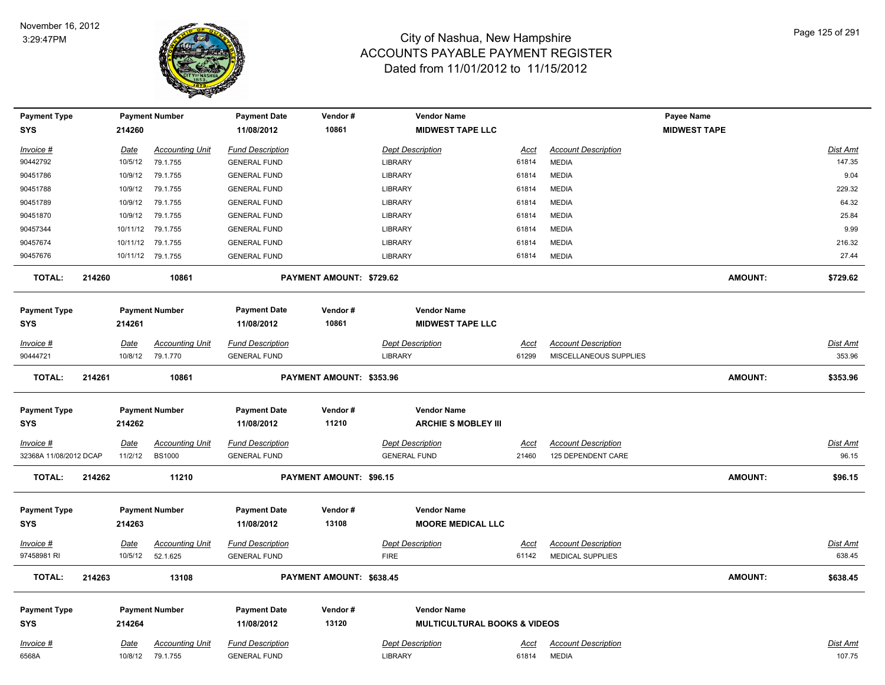

| <b>Payment Type</b>    |        |             | <b>Payment Number</b>  | <b>Payment Date</b>     | Vendor#                  | <b>Vendor Name</b>                      |             |                            | Payee Name          |                 |
|------------------------|--------|-------------|------------------------|-------------------------|--------------------------|-----------------------------------------|-------------|----------------------------|---------------------|-----------------|
| <b>SYS</b>             |        | 214260      |                        | 11/08/2012              | 10861                    | <b>MIDWEST TAPE LLC</b>                 |             |                            | <b>MIDWEST TAPE</b> |                 |
| Invoice #              |        | Date        | <b>Accounting Unit</b> | <b>Fund Description</b> |                          | <b>Dept Description</b>                 | Acct        | <b>Account Description</b> |                     | Dist Amt        |
| 90442792               |        | 10/5/12     | 79.1.755               | <b>GENERAL FUND</b>     |                          | LIBRARY                                 | 61814       | <b>MEDIA</b>               |                     | 147.35          |
| 90451786               |        | 10/9/12     | 79.1.755               | <b>GENERAL FUND</b>     |                          | <b>LIBRARY</b>                          | 61814       | <b>MEDIA</b>               |                     | 9.04            |
| 90451788               |        | 10/9/12     | 79.1.755               | <b>GENERAL FUND</b>     |                          | <b>LIBRARY</b>                          | 61814       | <b>MEDIA</b>               |                     | 229.32          |
| 90451789               |        | 10/9/12     | 79.1.755               | <b>GENERAL FUND</b>     |                          | LIBRARY                                 | 61814       | <b>MEDIA</b>               |                     | 64.32           |
| 90451870               |        | 10/9/12     | 79.1.755               | <b>GENERAL FUND</b>     |                          | LIBRARY                                 | 61814       | <b>MEDIA</b>               |                     | 25.84           |
| 90457344               |        | 10/11/12    | 79.1.755               | <b>GENERAL FUND</b>     |                          | LIBRARY                                 | 61814       | <b>MEDIA</b>               |                     | 9.99            |
| 90457674               |        | 10/11/12    | 79.1.755               | <b>GENERAL FUND</b>     |                          | LIBRARY                                 | 61814       | <b>MEDIA</b>               |                     | 216.32          |
| 90457676               |        |             | 10/11/12 79.1.755      | <b>GENERAL FUND</b>     |                          | <b>LIBRARY</b>                          | 61814       | <b>MEDIA</b>               |                     | 27.44           |
| <b>TOTAL:</b>          | 214260 |             | 10861                  |                         | PAYMENT AMOUNT: \$729.62 |                                         |             |                            | <b>AMOUNT:</b>      | \$729.62        |
| <b>Payment Type</b>    |        |             | <b>Payment Number</b>  | <b>Payment Date</b>     | Vendor#                  | <b>Vendor Name</b>                      |             |                            |                     |                 |
| SYS                    |        | 214261      |                        | 11/08/2012              | 10861                    | <b>MIDWEST TAPE LLC</b>                 |             |                            |                     |                 |
|                        |        |             |                        |                         |                          |                                         |             |                            |                     |                 |
| <u> Invoice #</u>      |        | Date        | <b>Accounting Unit</b> | <b>Fund Description</b> |                          | <b>Dept Description</b>                 | <b>Acct</b> | <b>Account Description</b> |                     | <b>Dist Amt</b> |
| 90444721               |        | 10/8/12     | 79.1.770               | <b>GENERAL FUND</b>     |                          | <b>LIBRARY</b>                          | 61299       | MISCELLANEOUS SUPPLIES     |                     | 353.96          |
| <b>TOTAL:</b>          | 214261 |             | 10861                  |                         | PAYMENT AMOUNT: \$353.96 |                                         |             |                            | <b>AMOUNT:</b>      | \$353.96        |
| <b>Payment Type</b>    |        |             | <b>Payment Number</b>  | <b>Payment Date</b>     | Vendor#                  | <b>Vendor Name</b>                      |             |                            |                     |                 |
| <b>SYS</b>             |        | 214262      |                        | 11/08/2012              | 11210                    | <b>ARCHIE S MOBLEY III</b>              |             |                            |                     |                 |
| Invoice #              |        | Date        | <b>Accounting Unit</b> | <b>Fund Description</b> |                          | <b>Dept Description</b>                 | Acct        | <b>Account Description</b> |                     | Dist Amt        |
| 32368A 11/08/2012 DCAP |        | 11/2/12     | <b>BS1000</b>          | <b>GENERAL FUND</b>     |                          | <b>GENERAL FUND</b>                     | 21460       | 125 DEPENDENT CARE         |                     | 96.15           |
|                        |        |             |                        |                         |                          |                                         |             |                            |                     |                 |
| <b>TOTAL:</b>          | 214262 |             | 11210                  |                         | PAYMENT AMOUNT: \$96.15  |                                         |             |                            | <b>AMOUNT:</b>      | \$96.15         |
| <b>Payment Type</b>    |        |             | <b>Payment Number</b>  | <b>Payment Date</b>     | Vendor#                  | <b>Vendor Name</b>                      |             |                            |                     |                 |
| SYS                    |        | 214263      |                        | 11/08/2012              | 13108                    | <b>MOORE MEDICAL LLC</b>                |             |                            |                     |                 |
| <u> Invoice #</u>      |        | <b>Date</b> | <b>Accounting Unit</b> | <b>Fund Description</b> |                          | <b>Dept Description</b>                 | <u>Acct</u> | <b>Account Description</b> |                     | <b>Dist Amt</b> |
| 97458981 RI            |        | 10/5/12     | 52.1.625               | <b>GENERAL FUND</b>     |                          | <b>FIRE</b>                             | 61142       | <b>MEDICAL SUPPLIES</b>    |                     | 638.45          |
| <b>TOTAL:</b>          | 214263 |             | 13108                  |                         | PAYMENT AMOUNT: \$638.45 |                                         |             |                            | <b>AMOUNT:</b>      | \$638.45        |
| <b>Payment Type</b>    |        |             | <b>Payment Number</b>  | <b>Payment Date</b>     | Vendor#                  | <b>Vendor Name</b>                      |             |                            |                     |                 |
| <b>SYS</b>             |        | 214264      |                        | 11/08/2012              | 13120                    | <b>MULTICULTURAL BOOKS &amp; VIDEOS</b> |             |                            |                     |                 |
|                        |        |             |                        |                         |                          |                                         |             |                            |                     |                 |
| Invoice #              |        | Date        | <b>Accounting Unit</b> | <b>Fund Description</b> |                          | <b>Dept Description</b>                 | <u>Acct</u> | <b>Account Description</b> |                     | Dist Amt        |
| 6568A                  |        | 10/8/12     | 79.1.755               | <b>GENERAL FUND</b>     |                          | <b>LIBRARY</b>                          | 61814       | <b>MEDIA</b>               |                     | 107.75          |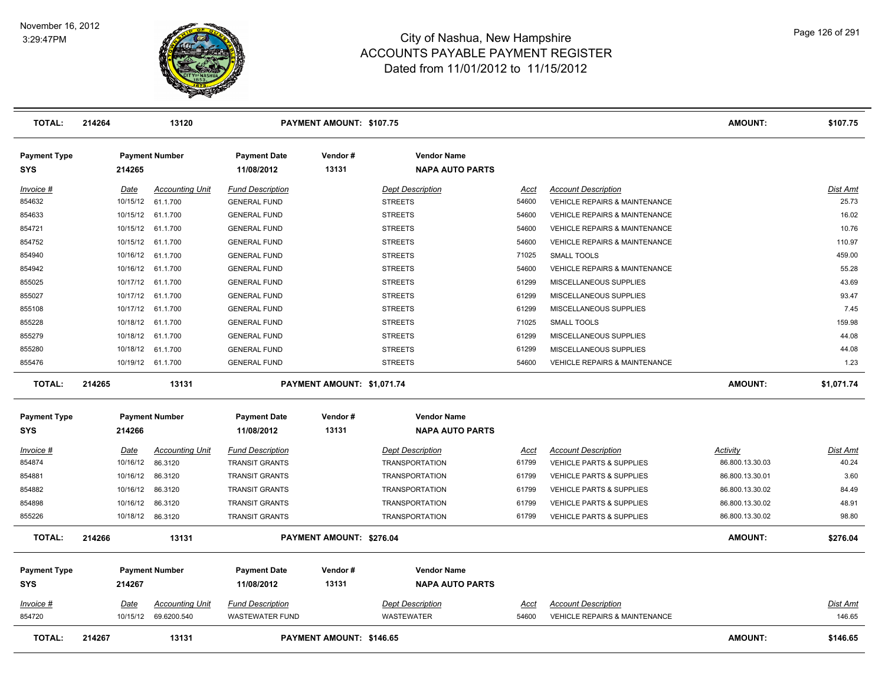

| <b>TOTAL:</b>              | 214264 |                  | 13120                  |                                   | PAYMENT AMOUNT: \$107.75   |                                              |             |                                          | <b>AMOUNT:</b>  | \$107.75        |
|----------------------------|--------|------------------|------------------------|-----------------------------------|----------------------------|----------------------------------------------|-------------|------------------------------------------|-----------------|-----------------|
| <b>Payment Type</b><br>SYS |        | 214265           | <b>Payment Number</b>  | <b>Payment Date</b><br>11/08/2012 | Vendor#<br>13131           | <b>Vendor Name</b><br><b>NAPA AUTO PARTS</b> |             |                                          |                 |                 |
| Invoice #                  |        | Date             | <b>Accounting Unit</b> | <b>Fund Description</b>           |                            | <b>Dept Description</b>                      | Acct        | <b>Account Description</b>               |                 | Dist Amt        |
| 854632                     |        | 10/15/12         | 61.1.700               | <b>GENERAL FUND</b>               |                            | <b>STREETS</b>                               | 54600       | <b>VEHICLE REPAIRS &amp; MAINTENANCE</b> |                 | 25.73           |
| 854633                     |        | 10/15/12         | 61.1.700               | <b>GENERAL FUND</b>               |                            | <b>STREETS</b>                               | 54600       | <b>VEHICLE REPAIRS &amp; MAINTENANCE</b> |                 | 16.02           |
| 854721                     |        | 10/15/12         | 61.1.700               | <b>GENERAL FUND</b>               |                            | <b>STREETS</b>                               | 54600       | VEHICLE REPAIRS & MAINTENANCE            |                 | 10.76           |
| 854752                     |        | 10/15/12         | 61.1.700               | <b>GENERAL FUND</b>               |                            | <b>STREETS</b>                               | 54600       | <b>VEHICLE REPAIRS &amp; MAINTENANCE</b> |                 | 110.97          |
| 854940                     |        | 10/16/12         | 61.1.700               | <b>GENERAL FUND</b>               |                            | <b>STREETS</b>                               | 71025       | <b>SMALL TOOLS</b>                       |                 | 459.00          |
| 854942                     |        | 10/16/12         | 61.1.700               | <b>GENERAL FUND</b>               |                            | <b>STREETS</b>                               | 54600       | VEHICLE REPAIRS & MAINTENANCE            |                 | 55.28           |
| 855025                     |        | 10/17/12         | 61.1.700               | <b>GENERAL FUND</b>               |                            | <b>STREETS</b>                               | 61299       | MISCELLANEOUS SUPPLIES                   |                 | 43.69           |
| 855027                     |        | 10/17/12         | 61.1.700               | <b>GENERAL FUND</b>               |                            | <b>STREETS</b>                               | 61299       | MISCELLANEOUS SUPPLIES                   |                 | 93.47           |
| 855108                     |        | 10/17/12         | 61.1.700               | <b>GENERAL FUND</b>               |                            | <b>STREETS</b>                               | 61299       | MISCELLANEOUS SUPPLIES                   |                 | 7.45            |
| 855228                     |        | 10/18/12         | 61.1.700               | <b>GENERAL FUND</b>               |                            | <b>STREETS</b>                               | 71025       | SMALL TOOLS                              |                 | 159.98          |
| 855279                     |        | 10/18/12         | 61.1.700               | <b>GENERAL FUND</b>               |                            | <b>STREETS</b>                               | 61299       | MISCELLANEOUS SUPPLIES                   |                 | 44.08           |
| 855280                     |        | 10/18/12         | 61.1.700               | <b>GENERAL FUND</b>               |                            | <b>STREETS</b>                               | 61299       | MISCELLANEOUS SUPPLIES                   |                 | 44.08           |
| 855476                     |        | 10/19/12         | 61.1.700               | <b>GENERAL FUND</b>               |                            | <b>STREETS</b>                               | 54600       | <b>VEHICLE REPAIRS &amp; MAINTENANCE</b> |                 | 1.23            |
| <b>TOTAL:</b>              | 214265 |                  | 13131                  |                                   | PAYMENT AMOUNT: \$1,071.74 |                                              |             |                                          | <b>AMOUNT:</b>  | \$1,071.74      |
| <b>Payment Type</b>        |        |                  | <b>Payment Number</b>  | <b>Payment Date</b>               | Vendor#                    | <b>Vendor Name</b>                           |             |                                          |                 |                 |
| SYS                        |        | 214266           |                        | 11/08/2012                        | 13131                      | <b>NAPA AUTO PARTS</b>                       |             |                                          |                 |                 |
| Invoice #                  |        | Date             | <b>Accounting Unit</b> | <b>Fund Description</b>           |                            | <b>Dept Description</b>                      | Acct        | <b>Account Description</b>               | Activity        | Dist Amt        |
| 854874                     |        | 10/16/12         | 86.3120                | <b>TRANSIT GRANTS</b>             |                            | <b>TRANSPORTATION</b>                        | 61799       | <b>VEHICLE PARTS &amp; SUPPLIES</b>      | 86.800.13.30.03 | 40.24           |
| 854881                     |        | 10/16/12         | 86.3120                | <b>TRANSIT GRANTS</b>             |                            | <b>TRANSPORTATION</b>                        | 61799       | <b>VEHICLE PARTS &amp; SUPPLIES</b>      | 86.800.13.30.01 | 3.60            |
| 854882                     |        | 10/16/12         | 86.3120                | <b>TRANSIT GRANTS</b>             |                            | <b>TRANSPORTATION</b>                        | 61799       | <b>VEHICLE PARTS &amp; SUPPLIES</b>      | 86.800.13.30.02 | 84.49           |
| 854898                     |        | 10/16/12         | 86.3120                | <b>TRANSIT GRANTS</b>             |                            | <b>TRANSPORTATION</b>                        | 61799       | <b>VEHICLE PARTS &amp; SUPPLIES</b>      | 86.800.13.30.02 | 48.91           |
| 855226                     |        | 10/18/12 86.3120 |                        | <b>TRANSIT GRANTS</b>             |                            | <b>TRANSPORTATION</b>                        | 61799       | <b>VEHICLE PARTS &amp; SUPPLIES</b>      | 86.800.13.30.02 | 98.80           |
| <b>TOTAL:</b>              | 214266 |                  | 13131                  |                                   | PAYMENT AMOUNT: \$276.04   |                                              |             |                                          | <b>AMOUNT:</b>  | \$276.04        |
| <b>Payment Type</b><br>SYS |        | 214267           | <b>Payment Number</b>  | <b>Payment Date</b><br>11/08/2012 | Vendor#<br>13131           | <b>Vendor Name</b><br><b>NAPA AUTO PARTS</b> |             |                                          |                 |                 |
| Invoice #                  |        | Date             | <b>Accounting Unit</b> | <b>Fund Description</b>           |                            | <b>Dept Description</b>                      | <u>Acct</u> | <b>Account Description</b>               |                 | <b>Dist Amt</b> |
| 854720                     |        | 10/15/12         | 69.6200.540            | <b>WASTEWATER FUND</b>            |                            | <b>WASTEWATER</b>                            | 54600       | <b>VEHICLE REPAIRS &amp; MAINTENANCE</b> |                 | 146.65          |
| <b>TOTAL:</b>              | 214267 |                  | 13131                  |                                   | PAYMENT AMOUNT: \$146.65   |                                              |             |                                          | <b>AMOUNT:</b>  | \$146.65        |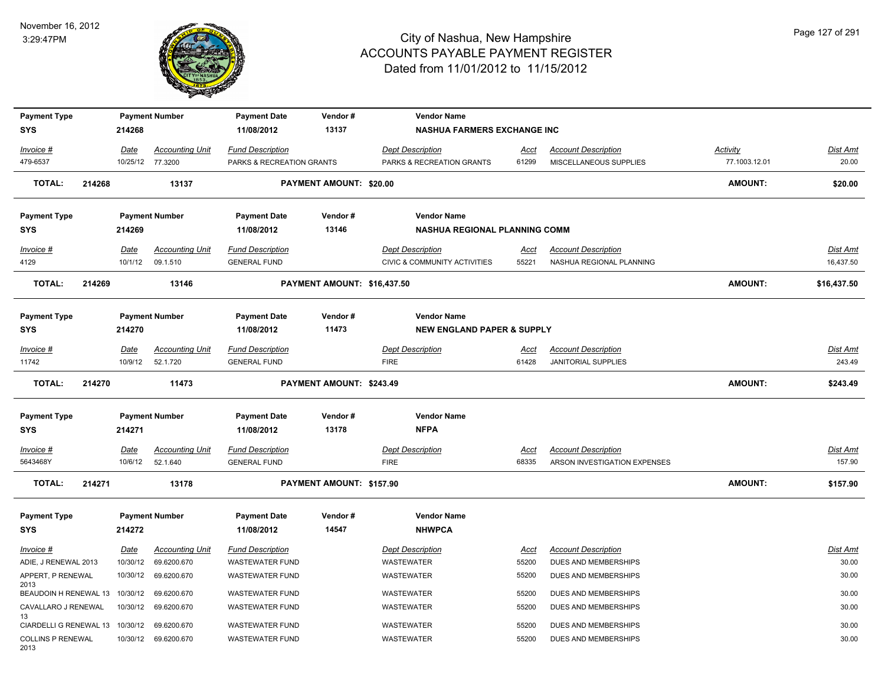

| <b>Payment Type</b>                   |        |                        | <b>Payment Number</b>              | <b>Payment Date</b>                            | Vendor#                     | <b>Vendor Name</b>                     |                      |                                                            |                 |                           |
|---------------------------------------|--------|------------------------|------------------------------------|------------------------------------------------|-----------------------------|----------------------------------------|----------------------|------------------------------------------------------------|-----------------|---------------------------|
| <b>SYS</b>                            |        | 214268                 |                                    | 11/08/2012                                     | 13137                       | <b>NASHUA FARMERS EXCHANGE INC</b>     |                      |                                                            |                 |                           |
| Invoice #                             |        | <b>Date</b>            | <b>Accounting Unit</b>             | <b>Fund Description</b>                        |                             | <b>Dept Description</b>                | <u>Acct</u>          | <b>Account Description</b>                                 | <b>Activity</b> | Dist Amt                  |
| 479-6537                              |        |                        | 10/25/12 77.3200                   | PARKS & RECREATION GRANTS                      |                             | PARKS & RECREATION GRANTS              | 61299                | MISCELLANEOUS SUPPLIES                                     | 77.1003.12.01   | 20.00                     |
| <b>TOTAL:</b>                         | 214268 |                        | 13137                              |                                                | PAYMENT AMOUNT: \$20.00     |                                        |                      |                                                            | <b>AMOUNT:</b>  | \$20.00                   |
| <b>Payment Type</b>                   |        |                        | <b>Payment Number</b>              | <b>Payment Date</b>                            | Vendor#                     | <b>Vendor Name</b>                     |                      |                                                            |                 |                           |
| <b>SYS</b>                            |        | 214269                 |                                    | 11/08/2012                                     | 13146                       | NASHUA REGIONAL PLANNING COMM          |                      |                                                            |                 |                           |
| Invoice #                             |        | Date                   | <b>Accounting Unit</b>             | <b>Fund Description</b>                        |                             | <b>Dept Description</b>                | <u>Acct</u>          | <b>Account Description</b>                                 |                 | Dist Amt                  |
| 4129                                  |        | 10/1/12                | 09.1.510                           | <b>GENERAL FUND</b>                            |                             | CIVIC & COMMUNITY ACTIVITIES           | 55221                | NASHUA REGIONAL PLANNING                                   |                 | 16,437.50                 |
| <b>TOTAL:</b>                         | 214269 |                        | 13146                              |                                                | PAYMENT AMOUNT: \$16,437.50 |                                        |                      |                                                            | <b>AMOUNT:</b>  | \$16,437.50               |
| <b>Payment Type</b>                   |        |                        | <b>Payment Number</b>              | <b>Payment Date</b>                            | Vendor#                     | <b>Vendor Name</b>                     |                      |                                                            |                 |                           |
| <b>SYS</b>                            |        | 214270                 |                                    | 11/08/2012                                     | 11473                       | <b>NEW ENGLAND PAPER &amp; SUPPLY</b>  |                      |                                                            |                 |                           |
| Invoice #                             |        | Date                   | <b>Accounting Unit</b>             | <b>Fund Description</b>                        |                             | <b>Dept Description</b>                | <u>Acct</u>          | <b>Account Description</b>                                 |                 | <u>Dist Amt</u>           |
| 11742                                 |        | 10/9/12                | 52.1.720                           | <b>GENERAL FUND</b>                            |                             | <b>FIRE</b>                            | 61428                | <b>JANITORIAL SUPPLIES</b>                                 |                 | 243.49                    |
| <b>TOTAL:</b>                         | 214270 |                        | 11473                              |                                                | PAYMENT AMOUNT: \$243.49    |                                        |                      |                                                            | <b>AMOUNT:</b>  | \$243.49                  |
| <b>Payment Type</b>                   |        |                        | <b>Payment Number</b>              | <b>Payment Date</b>                            | Vendor#                     | <b>Vendor Name</b>                     |                      |                                                            |                 |                           |
| <b>SYS</b>                            |        | 214271                 |                                    | 11/08/2012                                     | 13178                       | <b>NFPA</b>                            |                      |                                                            |                 |                           |
| $Invoice$ #<br>5643468Y               |        | <u>Date</u><br>10/6/12 | <b>Accounting Unit</b><br>52.1.640 | <b>Fund Description</b><br><b>GENERAL FUND</b> |                             | <b>Dept Description</b><br><b>FIRE</b> | <u>Acct</u><br>68335 | <b>Account Description</b><br>ARSON INVESTIGATION EXPENSES |                 | <u>Dist Amt</u><br>157.90 |
| <b>TOTAL:</b>                         | 214271 |                        | 13178                              |                                                | PAYMENT AMOUNT: \$157.90    |                                        |                      |                                                            | <b>AMOUNT:</b>  | \$157.90                  |
| <b>Payment Type</b>                   |        |                        | <b>Payment Number</b>              | <b>Payment Date</b>                            | Vendor#                     | <b>Vendor Name</b>                     |                      |                                                            |                 |                           |
| <b>SYS</b>                            |        | 214272                 |                                    | 11/08/2012                                     | 14547                       | <b>NHWPCA</b>                          |                      |                                                            |                 |                           |
| Invoice #                             |        | <u>Date</u>            | <b>Accounting Unit</b>             | <b>Fund Description</b>                        |                             | <b>Dept Description</b>                | <u>Acct</u>          | <b>Account Description</b>                                 |                 | <u>Dist Amt</u>           |
| ADIE, J RENEWAL 2013                  |        | 10/30/12               | 69.6200.670                        | <b>WASTEWATER FUND</b>                         |                             | <b>WASTEWATER</b>                      | 55200                | DUES AND MEMBERSHIPS                                       |                 | 30.00                     |
| APPERT, P RENEWAL                     |        | 10/30/12               | 69.6200.670                        | <b>WASTEWATER FUND</b>                         |                             | WASTEWATER                             | 55200                | <b>DUES AND MEMBERSHIPS</b>                                |                 | 30.00                     |
| 2013<br>BEAUDOIN H RENEWAL 13         |        | 10/30/12               | 69.6200.670                        | <b>WASTEWATER FUND</b>                         |                             | WASTEWATER                             | 55200                | DUES AND MEMBERSHIPS                                       |                 | 30.00                     |
| CAVALLARO J RENEWAL                   |        | 10/30/12               | 69.6200.670                        | WASTEWATER FUND                                |                             | WASTEWATER                             | 55200                | DUES AND MEMBERSHIPS                                       |                 | 30.00                     |
| 13<br>CIARDELLI G RENEWAL 13 10/30/12 |        |                        | 69.6200.670                        | WASTEWATER FUND                                |                             | WASTEWATER                             | 55200                | DUES AND MEMBERSHIPS                                       |                 | 30.00                     |
| <b>COLLINS P RENEWAL</b><br>2013      |        | 10/30/12               | 69.6200.670                        | <b>WASTEWATER FUND</b>                         |                             | WASTEWATER                             | 55200                | DUES AND MEMBERSHIPS                                       |                 | 30.00                     |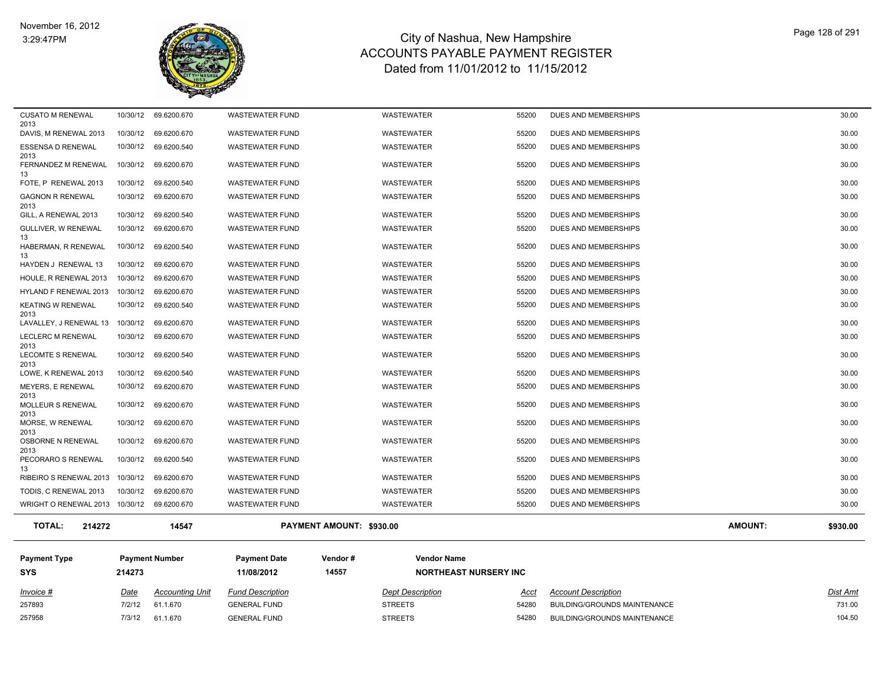

| <b>TOTAL:</b><br>214272                          |          | 14547                               |                                                  | PAYMENT AMOUNT: \$930.00               |                |                                              | <b>AMOUNT:</b> | \$930.00       |
|--------------------------------------------------|----------|-------------------------------------|--------------------------------------------------|----------------------------------------|----------------|----------------------------------------------|----------------|----------------|
| WRIGHT O RENEWAL 2013 10/30/12 69.6200.670       |          |                                     | <b>WASTEWATER FUND</b>                           | WASTEWATER                             | 55200          | DUES AND MEMBERSHIPS                         |                | 30.00          |
| TODIS, C RENEWAL 2013                            | 10/30/12 | 69.6200.670                         | <b>WASTEWATER FUND</b>                           | WASTEWATER                             | 55200          | DUES AND MEMBERSHIPS                         |                | 30.00          |
| RIBEIRO S RENEWAL 2013                           | 10/30/12 | 69.6200.670                         | <b>WASTEWATER FUND</b>                           | <b>WASTEWATER</b>                      | 55200          | DUES AND MEMBERSHIPS                         |                | 30.00          |
| PECORARO S RENEWAL<br>13                         |          | 10/30/12 69.6200.540                | <b>WASTEWATER FUND</b>                           | WASTEWATER                             | 55200          | DUES AND MEMBERSHIPS                         |                | 30.00          |
| 2013<br><b>OSBORNE N RENEWAL</b><br>2013         | 10/30/12 | 69.6200.670                         | <b>WASTEWATER FUND</b>                           | <b>WASTEWATER</b>                      | 55200          | DUES AND MEMBERSHIPS                         |                | 30.00          |
| MORSE, W RENEWAL                                 | 10/30/12 | 69.6200.670                         | <b>WASTEWATER FUND</b>                           | <b>WASTEWATER</b>                      | 55200          | DUES AND MEMBERSHIPS                         |                | 30.00          |
| 2013<br><b>MOLLEUR S RENEWAL</b><br>2013         | 10/30/12 | 69.6200.670                         | <b>WASTEWATER FUND</b>                           | WASTEWATER                             | 55200          | DUES AND MEMBERSHIPS                         |                | 30.00          |
| <b>MEYERS, E RENEWAL</b>                         |          | 10/30/12 69.6200.670                | <b>WASTEWATER FUND</b>                           | <b>WASTEWATER</b>                      | 55200          | DUES AND MEMBERSHIPS                         |                | 30.00          |
| LOWE, K RENEWAL 2013                             | 10/30/12 | 69.6200.540                         | <b>WASTEWATER FUND</b>                           | <b>WASTEWATER</b>                      | 55200          | DUES AND MEMBERSHIPS                         |                | 30.00          |
| 2013<br><b>LECOMTE S RENEWAL</b><br>2013         | 10/30/12 | 69.6200.540                         | <b>WASTEWATER FUND</b>                           | <b>WASTEWATER</b>                      | 55200          | DUES AND MEMBERSHIPS                         |                | 30.00          |
| <b>LECLERC M RENEWAL</b>                         | 10/30/12 | 69.6200.670                         | <b>WASTEWATER FUND</b>                           | <b>WASTEWATER</b>                      | 55200          | DUES AND MEMBERSHIPS                         |                | 30.00          |
| 2013<br>LAVALLEY, J RENEWAL 13                   | 10/30/12 | 69.6200.670                         | <b>WASTEWATER FUND</b>                           | WASTEWATER                             | 55200          | DUES AND MEMBERSHIPS                         |                | 30.00          |
| <b>KEATING W RENEWAL</b>                         |          | 10/30/12 69.6200.540                | WASTEWATER FUND                                  | WASTEWATER                             | 55200          | DUES AND MEMBERSHIPS                         |                | 30.00          |
| HYLAND F RENEWAL 2013                            | 10/30/12 | 69.6200.670                         | <b>WASTEWATER FUND</b>                           | WASTEWATER                             | 55200          | DUES AND MEMBERSHIPS                         |                | 30.00          |
| HOULE, R RENEWAL 2013                            | 10/30/12 | 69.6200.670                         | <b>WASTEWATER FUND</b>                           | <b>WASTEWATER</b>                      | 55200          | DUES AND MEMBERSHIPS                         |                | 30.00          |
| HABERMAN, R RENEWAL<br>13<br>HAYDEN J RENEWAL 13 | 10/30/12 | 69.6200.540<br>10/30/12 69.6200.670 | <b>WASTEWATER FUND</b><br><b>WASTEWATER FUND</b> | <b>WASTEWATER</b><br><b>WASTEWATER</b> | 55200<br>55200 | DUES AND MEMBERSHIPS<br>DUES AND MEMBERSHIPS |                | 30.00<br>30.00 |
| <b>GULLIVER, W RENEWAL</b><br>13                 | 10/30/12 | 69.6200.670                         | <b>WASTEWATER FUND</b>                           | WASTEWATER                             | 55200          | DUES AND MEMBERSHIPS                         |                | 30.00          |
| GILL, A RENEWAL 2013                             | 10/30/12 | 69.6200.540                         | <b>WASTEWATER FUND</b>                           | WASTEWATER                             | 55200          | DUES AND MEMBERSHIPS                         |                | 30.00          |
| <b>GAGNON R RENEWAL</b><br>2013                  |          | 10/30/12 69.6200.670                | <b>WASTEWATER FUND</b>                           | <b>WASTEWATER</b>                      | 55200          | DUES AND MEMBERSHIPS                         |                | 30.00          |
| FOTE, P RENEWAL 2013                             | 10/30/12 | 69.6200.540                         | <b>WASTEWATER FUND</b>                           | <b>WASTEWATER</b>                      | 55200          | DUES AND MEMBERSHIPS                         |                | 30.00          |
| 2013<br>FERNANDEZ M RENEWAL<br>13                | 10/30/12 | 69.6200.670                         | <b>WASTEWATER FUND</b>                           | WASTEWATER                             | 55200          | DUES AND MEMBERSHIPS                         |                | 30.00          |
| <b>ESSENSA D RENEWAL</b>                         | 10/30/12 | 69.6200.540                         | <b>WASTEWATER FUND</b>                           | <b>WASTEWATER</b>                      | 55200          | DUES AND MEMBERSHIPS                         |                | 30.00          |
| 2013<br>DAVIS, M RENEWAL 2013                    | 10/30/12 | 69.6200.670                         | <b>WASTEWATER FUND</b>                           | <b>WASTEWATER</b>                      | 55200          | DUES AND MEMBERSHIPS                         |                | 30.00          |
| <b>CUSATO M RENEWAL</b>                          |          | 10/30/12 69.6200.670                | <b>WASTEWATER FUND</b>                           | <b>WASTEWATER</b>                      | 55200          | DUES AND MEMBERSHIPS                         |                | 30.00          |

| <b>Payment Type</b><br><b>SYS</b> | 214273 | <b>Payment Number</b>  | <b>Payment Date</b><br>11/08/2012 | Vendor#<br>14557 | <b>Vendor Name</b><br><b>NORTHEAST NURSERY INC</b> |       |                                     |                 |
|-----------------------------------|--------|------------------------|-----------------------------------|------------------|----------------------------------------------------|-------|-------------------------------------|-----------------|
| Invoice #                         | Date   | <b>Accounting Unit</b> | <b>Fund Description</b>           |                  | <b>Dept Description</b>                            | Acct  | <b>Account Description</b>          | <u>Dist Amt</u> |
| 257893                            | 7/2/12 | 61.1.670               | <b>GENERAL FUND</b>               |                  | <b>STREETS</b>                                     | 54280 | <b>BUILDING/GROUNDS MAINTENANCE</b> | 731.00          |
| 257958                            | 7/3/12 | 61.1.670               | <b>GENERAL FUND</b>               |                  | <b>STREETS</b>                                     | 54280 | <b>BUILDING/GROUNDS MAINTENANCE</b> | 104.50          |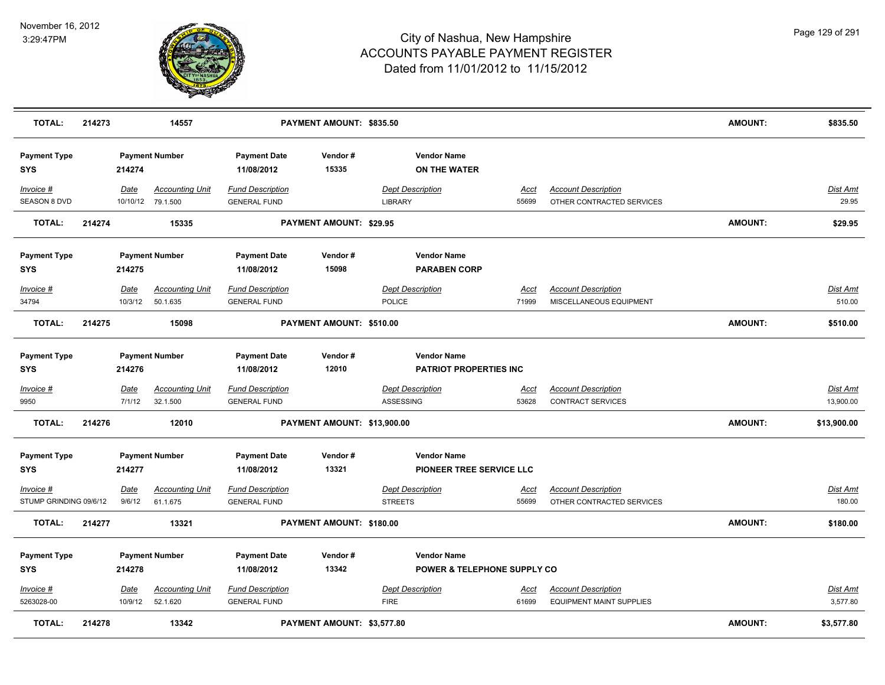

| <b>TOTAL:</b>                       | 214273 |                        | 14557                                       |                                                | PAYMENT AMOUNT: \$835.50    |                                                              |                      |                                                               | <b>AMOUNT:</b> | \$835.50                     |
|-------------------------------------|--------|------------------------|---------------------------------------------|------------------------------------------------|-----------------------------|--------------------------------------------------------------|----------------------|---------------------------------------------------------------|----------------|------------------------------|
| <b>Payment Type</b><br><b>SYS</b>   |        | 214274                 | <b>Payment Number</b>                       | <b>Payment Date</b><br>11/08/2012              | Vendor#<br>15335            | <b>Vendor Name</b><br><b>ON THE WATER</b>                    |                      |                                                               |                |                              |
| Invoice #<br><b>SEASON 8 DVD</b>    |        | Date                   | <b>Accounting Unit</b><br>10/10/12 79.1.500 | <b>Fund Description</b><br><b>GENERAL FUND</b> |                             | <b>Dept Description</b><br><b>LIBRARY</b>                    | Acct<br>55699        | <b>Account Description</b><br>OTHER CONTRACTED SERVICES       |                | <b>Dist Amt</b><br>29.95     |
| <b>TOTAL:</b>                       | 214274 |                        | 15335                                       |                                                | PAYMENT AMOUNT: \$29.95     |                                                              |                      |                                                               | <b>AMOUNT:</b> | \$29.95                      |
| <b>Payment Type</b><br><b>SYS</b>   |        | 214275                 | <b>Payment Number</b>                       | <b>Payment Date</b><br>11/08/2012              | Vendor#<br>15098            | <b>Vendor Name</b><br><b>PARABEN CORP</b>                    |                      |                                                               |                |                              |
| Invoice #<br>34794                  |        | Date<br>10/3/12        | <b>Accounting Unit</b><br>50.1.635          | <b>Fund Description</b><br><b>GENERAL FUND</b> |                             | <b>Dept Description</b><br>POLICE                            | Acct<br>71999        | <b>Account Description</b><br>MISCELLANEOUS EQUIPMENT         |                | Dist Amt<br>510.00           |
| <b>TOTAL:</b>                       | 214275 |                        | 15098                                       |                                                | PAYMENT AMOUNT: \$510.00    |                                                              |                      |                                                               | <b>AMOUNT:</b> | \$510.00                     |
| <b>Payment Type</b><br><b>SYS</b>   |        | 214276                 | <b>Payment Number</b>                       | <b>Payment Date</b><br>11/08/2012              | Vendor#<br>12010            | <b>Vendor Name</b><br><b>PATRIOT PROPERTIES INC</b>          |                      |                                                               |                |                              |
| Invoice #<br>9950                   |        | <u>Date</u><br>7/1/12  | <b>Accounting Unit</b><br>32.1.500          | <b>Fund Description</b><br><b>GENERAL FUND</b> |                             | <b>Dept Description</b><br>ASSESSING                         | <u>Acct</u><br>53628 | <b>Account Description</b><br>CONTRACT SERVICES               |                | <u>Dist Amt</u><br>13,900.00 |
| <b>TOTAL:</b>                       | 214276 |                        | 12010                                       |                                                | PAYMENT AMOUNT: \$13,900.00 |                                                              |                      |                                                               | AMOUNT:        | \$13,900.00                  |
| <b>Payment Type</b><br><b>SYS</b>   |        | 214277                 | <b>Payment Number</b>                       | <b>Payment Date</b><br>11/08/2012              | Vendor#<br>13321            | <b>Vendor Name</b><br>PIONEER TREE SERVICE LLC               |                      |                                                               |                |                              |
| Invoice #<br>STUMP GRINDING 09/6/12 |        | Date<br>9/6/12         | <b>Accounting Unit</b><br>61.1.675          | <b>Fund Description</b><br><b>GENERAL FUND</b> |                             | <b>Dept Description</b><br><b>STREETS</b>                    | Acct<br>55699        | <b>Account Description</b><br>OTHER CONTRACTED SERVICES       |                | <b>Dist Amt</b><br>180.00    |
| <b>TOTAL:</b>                       | 214277 |                        | 13321                                       |                                                | PAYMENT AMOUNT: \$180.00    |                                                              |                      |                                                               | <b>AMOUNT:</b> | \$180.00                     |
| <b>Payment Type</b><br><b>SYS</b>   |        | 214278                 | <b>Payment Number</b>                       | <b>Payment Date</b><br>11/08/2012              | Vendor#<br>13342            | <b>Vendor Name</b><br><b>POWER &amp; TELEPHONE SUPPLY CO</b> |                      |                                                               |                |                              |
| $Invoice$ #<br>5263028-00           |        | <u>Date</u><br>10/9/12 | <b>Accounting Unit</b><br>52.1.620          | <b>Fund Description</b><br><b>GENERAL FUND</b> |                             | <b>Dept Description</b><br><b>FIRE</b>                       | Acct<br>61699        | <b>Account Description</b><br><b>EQUIPMENT MAINT SUPPLIES</b> |                | <u>Dist Amt</u><br>3,577.80  |
| <b>TOTAL:</b>                       | 214278 |                        | 13342                                       |                                                | PAYMENT AMOUNT: \$3,577.80  |                                                              |                      |                                                               | <b>AMOUNT:</b> | \$3,577.80                   |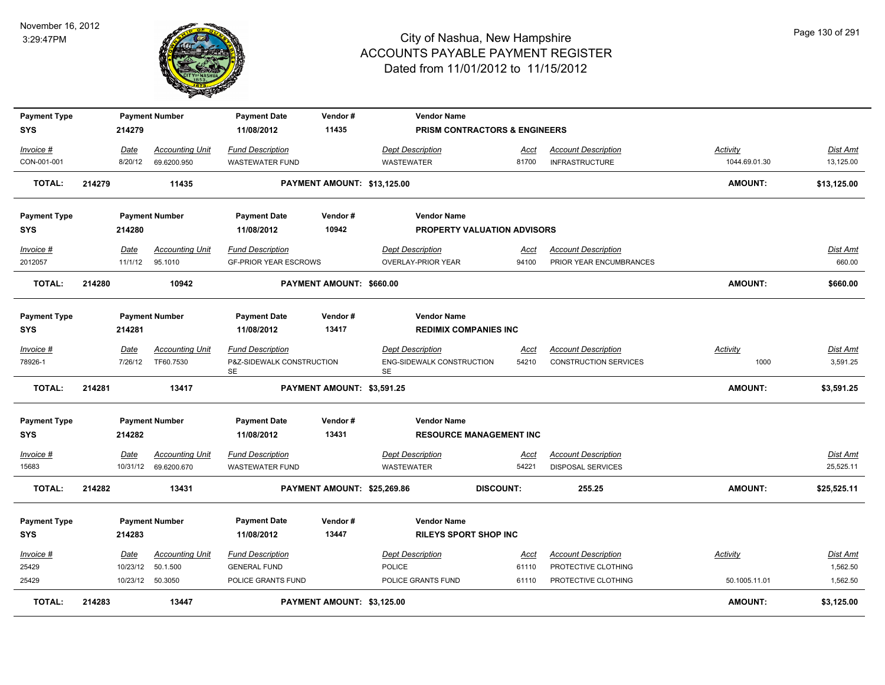

| <b>Payment Type</b> |        |          | <b>Payment Number</b>  | <b>Payment Date</b>                    | Vendor#                     | <b>Vendor Name</b>                            |                                    |                              |                 |                 |
|---------------------|--------|----------|------------------------|----------------------------------------|-----------------------------|-----------------------------------------------|------------------------------------|------------------------------|-----------------|-----------------|
| <b>SYS</b>          |        | 214279   |                        | 11/08/2012                             | 11435                       |                                               | PRISM CONTRACTORS & ENGINEERS      |                              |                 |                 |
| Invoice #           |        | Date     | <b>Accounting Unit</b> | <b>Fund Description</b>                |                             | <b>Dept Description</b>                       | Acct                               | <b>Account Description</b>   | Activity        | Dist Amt        |
| CON-001-001         |        | 8/20/12  | 69.6200.950            | <b>WASTEWATER FUND</b>                 |                             | <b>WASTEWATER</b>                             | 81700                              | <b>INFRASTRUCTURE</b>        | 1044.69.01.30   | 13,125.00       |
| <b>TOTAL:</b>       | 214279 |          | 11435                  |                                        | PAYMENT AMOUNT: \$13,125.00 |                                               |                                    |                              | <b>AMOUNT:</b>  | \$13,125.00     |
| <b>Payment Type</b> |        |          | <b>Payment Number</b>  | <b>Payment Date</b>                    | Vendor#                     | <b>Vendor Name</b>                            |                                    |                              |                 |                 |
| <b>SYS</b>          |        | 214280   |                        | 11/08/2012                             | 10942                       |                                               | <b>PROPERTY VALUATION ADVISORS</b> |                              |                 |                 |
| Invoice #           |        | Date     | <b>Accounting Unit</b> | <b>Fund Description</b>                |                             | <b>Dept Description</b>                       | Acct                               | <b>Account Description</b>   |                 | Dist Amt        |
| 2012057             |        | 11/1/12  | 95.1010                | <b>GF-PRIOR YEAR ESCROWS</b>           |                             | <b>OVERLAY-PRIOR YEAR</b>                     | 94100                              | PRIOR YEAR ENCUMBRANCES      |                 | 660.00          |
| <b>TOTAL:</b>       | 214280 |          | 10942                  |                                        | PAYMENT AMOUNT: \$660.00    |                                               |                                    |                              | <b>AMOUNT:</b>  | \$660.00        |
| <b>Payment Type</b> |        |          | <b>Payment Number</b>  | <b>Payment Date</b>                    | Vendor#                     | <b>Vendor Name</b>                            |                                    |                              |                 |                 |
| <b>SYS</b>          |        | 214281   |                        | 11/08/2012                             | 13417                       | <b>REDIMIX COMPANIES INC</b>                  |                                    |                              |                 |                 |
| Invoice #           |        | Date     | <b>Accounting Unit</b> | <b>Fund Description</b>                |                             | <b>Dept Description</b>                       | <u>Acct</u>                        | <b>Account Description</b>   | <b>Activity</b> | Dist Amt        |
| 78926-1             |        | 7/26/12  | TF60.7530              | P&Z-SIDEWALK CONSTRUCTION<br><b>SE</b> |                             | <b>ENG-SIDEWALK CONSTRUCTION</b><br><b>SE</b> | 54210                              | <b>CONSTRUCTION SERVICES</b> | 1000            | 3,591.25        |
| <b>TOTAL:</b>       | 214281 |          | 13417                  |                                        | PAYMENT AMOUNT: \$3,591.25  |                                               |                                    |                              | <b>AMOUNT:</b>  | \$3,591.25      |
| <b>Payment Type</b> |        |          | <b>Payment Number</b>  | <b>Payment Date</b>                    | Vendor#                     | <b>Vendor Name</b>                            |                                    |                              |                 |                 |
| <b>SYS</b>          |        | 214282   |                        | 11/08/2012                             | 13431                       |                                               | <b>RESOURCE MANAGEMENT INC</b>     |                              |                 |                 |
| Invoice #           |        | Date     | <b>Accounting Unit</b> | <b>Fund Description</b>                |                             | <b>Dept Description</b>                       | Acct                               | <b>Account Description</b>   |                 | Dist Amt        |
| 15683               |        |          | 10/31/12 69.6200.670   | <b>WASTEWATER FUND</b>                 |                             | <b>WASTEWATER</b>                             | 54221                              | <b>DISPOSAL SERVICES</b>     |                 | 25,525.11       |
| <b>TOTAL:</b>       | 214282 |          | 13431                  |                                        | PAYMENT AMOUNT: \$25,269.86 |                                               | <b>DISCOUNT:</b>                   | 255.25                       | <b>AMOUNT:</b>  | \$25,525.11     |
| <b>Payment Type</b> |        |          | <b>Payment Number</b>  | <b>Payment Date</b>                    | Vendor#                     | <b>Vendor Name</b>                            |                                    |                              |                 |                 |
| <b>SYS</b>          |        | 214283   |                        | 11/08/2012                             | 13447                       | <b>RILEYS SPORT SHOP INC</b>                  |                                    |                              |                 |                 |
| $Invoice$ #         |        | Date     | <u>Accounting Unit</u> | <b>Fund Description</b>                |                             | <b>Dept Description</b>                       | <u>Acct</u>                        | <b>Account Description</b>   | Activity        | <b>Dist Amt</b> |
| 25429               |        | 10/23/12 | 50.1.500               | <b>GENERAL FUND</b>                    |                             | POLICE                                        | 61110                              | PROTECTIVE CLOTHING          |                 | 1,562.50        |
| 25429               |        |          | 10/23/12 50.3050       | POLICE GRANTS FUND                     |                             | POLICE GRANTS FUND                            | 61110                              | PROTECTIVE CLOTHING          | 50.1005.11.01   | 1,562.50        |
| TOTAL:              | 214283 |          | 13447                  |                                        | PAYMENT AMOUNT: \$3,125.00  |                                               |                                    |                              | <b>AMOUNT:</b>  | \$3,125.00      |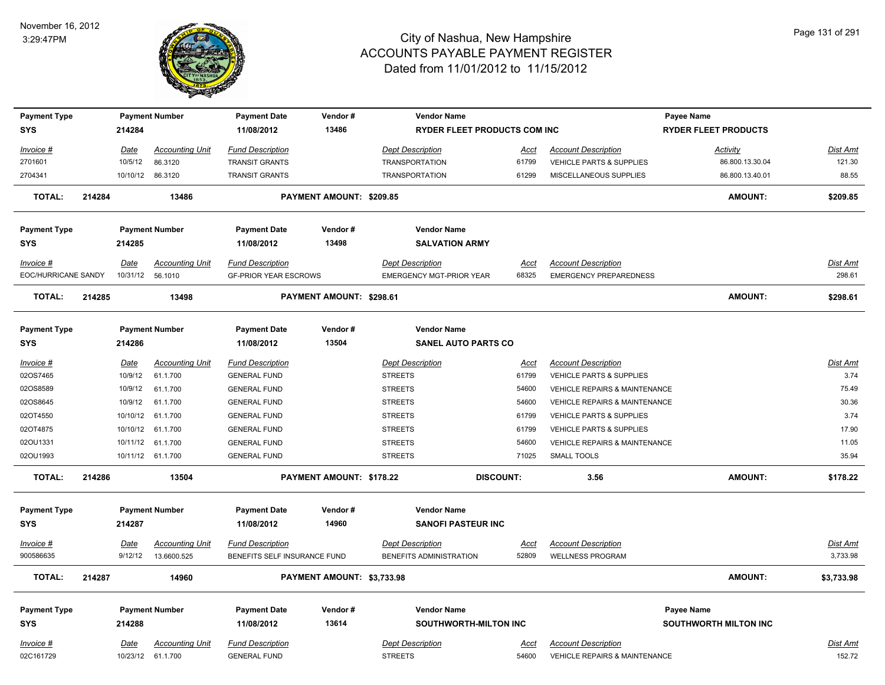

| <b>Payment Type</b>    |        |             | <b>Payment Number</b>  | <b>Payment Date</b>          | Vendor#                    | <b>Vendor Name</b>                  |                      |                                                                        | Payee Name                   |                    |
|------------------------|--------|-------------|------------------------|------------------------------|----------------------------|-------------------------------------|----------------------|------------------------------------------------------------------------|------------------------------|--------------------|
| <b>SYS</b>             |        | 214284      |                        | 11/08/2012                   | 13486                      | <b>RYDER FLEET PRODUCTS COM INC</b> |                      |                                                                        | <b>RYDER FLEET PRODUCTS</b>  |                    |
|                        |        |             |                        |                              |                            |                                     |                      |                                                                        |                              |                    |
| Invoice #              |        | <b>Date</b> | <b>Accounting Unit</b> | <b>Fund Description</b>      |                            | <b>Dept Description</b>             | Acct                 | <b>Account Description</b>                                             | <b>Activity</b>              | <b>Dist Amt</b>    |
| 2701601                |        | 10/5/12     | 86.3120                | <b>TRANSIT GRANTS</b>        |                            | <b>TRANSPORTATION</b>               | 61799                | VEHICLE PARTS & SUPPLIES                                               | 86.800.13.30.04              | 121.30             |
| 2704341                |        |             | 10/10/12 86.3120       | <b>TRANSIT GRANTS</b>        |                            | <b>TRANSPORTATION</b>               | 61299                | MISCELLANEOUS SUPPLIES                                                 | 86.800.13.40.01              | 88.55              |
| <b>TOTAL:</b>          | 214284 |             | 13486                  |                              | PAYMENT AMOUNT: \$209.85   |                                     |                      |                                                                        | <b>AMOUNT:</b>               | \$209.85           |
| <b>Payment Type</b>    |        |             | <b>Payment Number</b>  | <b>Payment Date</b>          | Vendor#                    | <b>Vendor Name</b>                  |                      |                                                                        |                              |                    |
| <b>SYS</b>             |        | 214285      |                        | 11/08/2012                   | 13498                      | <b>SALVATION ARMY</b>               |                      |                                                                        |                              |                    |
| Invoice #              |        | Date        | <b>Accounting Unit</b> | <b>Fund Description</b>      |                            | <b>Dept Description</b>             | Acct                 | <b>Account Description</b>                                             |                              | Dist Amt           |
| EOC/HURRICANE SANDY    |        | 10/31/12    | 56.1010                | <b>GF-PRIOR YEAR ESCROWS</b> |                            | <b>EMERGENCY MGT-PRIOR YEAR</b>     | 68325                | <b>EMERGENCY PREPAREDNESS</b>                                          |                              | 298.61             |
| TOTAL:                 | 214285 |             | 13498                  |                              | PAYMENT AMOUNT: \$298.61   |                                     |                      |                                                                        | <b>AMOUNT:</b>               | \$298.61           |
| <b>Payment Type</b>    |        |             | <b>Payment Number</b>  | <b>Payment Date</b>          | Vendor#                    | <b>Vendor Name</b>                  |                      |                                                                        |                              |                    |
| <b>SYS</b>             |        | 214286      |                        | 11/08/2012                   | 13504                      | <b>SANEL AUTO PARTS CO</b>          |                      |                                                                        |                              |                    |
|                        |        |             |                        |                              |                            |                                     |                      |                                                                        |                              |                    |
| Invoice #              |        | Date        | <b>Accounting Unit</b> | <b>Fund Description</b>      |                            | <b>Dept Description</b>             | Acct                 | <b>Account Description</b>                                             |                              | <b>Dist Amt</b>    |
| 02OS7465               |        | 10/9/12     | 61.1.700               | <b>GENERAL FUND</b>          |                            | <b>STREETS</b>                      | 61799                | <b>VEHICLE PARTS &amp; SUPPLIES</b>                                    |                              | 3.74               |
| 02OS8589               |        | 10/9/12     | 61.1.700               | <b>GENERAL FUND</b>          |                            | <b>STREETS</b>                      | 54600                | VEHICLE REPAIRS & MAINTENANCE                                          |                              | 75.49              |
| 02OS8645               |        | 10/9/12     | 61.1.700               | <b>GENERAL FUND</b>          |                            | <b>STREETS</b>                      | 54600                | VEHICLE REPAIRS & MAINTENANCE                                          |                              | 30.36              |
| 02OT4550               |        | 10/10/12    | 61.1.700               | <b>GENERAL FUND</b>          |                            | <b>STREETS</b>                      | 61799                | VEHICLE PARTS & SUPPLIES                                               |                              | 3.74               |
| 02OT4875               |        |             | 10/10/12 61.1.700      | <b>GENERAL FUND</b>          |                            | <b>STREETS</b>                      | 61799                | <b>VEHICLE PARTS &amp; SUPPLIES</b>                                    |                              | 17.90              |
| 02OU1331               |        |             | 10/11/12 61.1.700      | <b>GENERAL FUND</b>          |                            | <b>STREETS</b>                      | 54600                | VEHICLE REPAIRS & MAINTENANCE                                          |                              | 11.05              |
| 02OU1993               |        |             | 10/11/12 61.1.700      | <b>GENERAL FUND</b>          |                            | <b>STREETS</b>                      | 71025                | <b>SMALL TOOLS</b>                                                     |                              | 35.94              |
| <b>TOTAL:</b>          | 214286 |             | 13504                  |                              | PAYMENT AMOUNT: \$178.22   |                                     | <b>DISCOUNT:</b>     | 3.56                                                                   | <b>AMOUNT:</b>               | \$178.22           |
| <b>Payment Type</b>    |        |             | <b>Payment Number</b>  | <b>Payment Date</b>          | Vendor#                    | <b>Vendor Name</b>                  |                      |                                                                        |                              |                    |
| <b>SYS</b>             |        | 214287      |                        | 11/08/2012                   | 14960                      | <b>SANOFI PASTEUR INC</b>           |                      |                                                                        |                              |                    |
| <u>Invoice #</u>       |        | <b>Date</b> | <b>Accounting Unit</b> | <b>Fund Description</b>      |                            | <b>Dept Description</b>             | <u>Acct</u>          | <b>Account Description</b>                                             |                              | <b>Dist Amt</b>    |
| 900586635              |        | 9/12/12     | 13.6600.525            | BENEFITS SELF INSURANCE FUND |                            | BENEFITS ADMINISTRATION             | 52809                | <b>WELLNESS PROGRAM</b>                                                |                              | 3,733.98           |
|                        |        |             |                        |                              |                            |                                     |                      |                                                                        |                              |                    |
| <b>TOTAL:</b>          | 214287 |             | 14960                  |                              | PAYMENT AMOUNT: \$3,733.98 |                                     |                      |                                                                        | <b>AMOUNT:</b>               | \$3,733.98         |
| <b>Payment Type</b>    |        |             | <b>Payment Number</b>  | <b>Payment Date</b>          | Vendor#                    | <b>Vendor Name</b>                  |                      |                                                                        | Payee Name                   |                    |
| <b>SYS</b>             |        | 214288      |                        | 11/08/2012                   | 13614                      | <b>SOUTHWORTH-MILTON INC</b>        |                      |                                                                        | <b>SOUTHWORTH MILTON INC</b> |                    |
|                        |        |             | <b>Accounting Unit</b> | <b>Fund Description</b>      |                            | <b>Dept Description</b>             |                      |                                                                        |                              |                    |
| Invoice #<br>02C161729 |        | <b>Date</b> | 10/23/12 61.1.700      | <b>GENERAL FUND</b>          |                            | <b>STREETS</b>                      | <u>Acct</u><br>54600 | <b>Account Description</b><br><b>VEHICLE REPAIRS &amp; MAINTENANCE</b> |                              | Dist Amt<br>152.72 |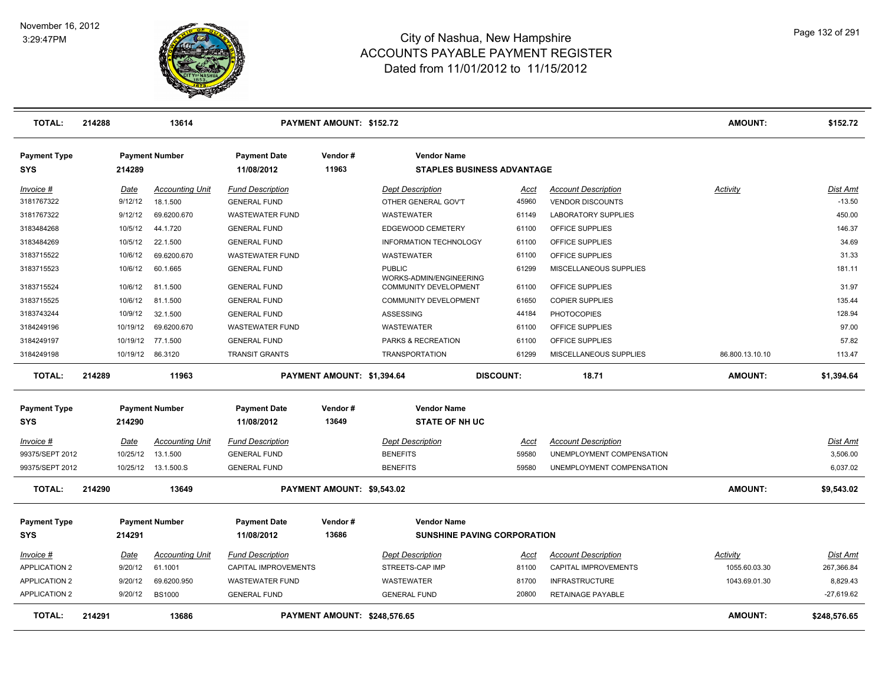

| <b>TOTAL:</b>                     | 214288 |             | 13614                  |                                   | PAYMENT AMOUNT: \$152.72   |                                          |                                    |                            | <b>AMOUNT:</b>  | \$152.72        |
|-----------------------------------|--------|-------------|------------------------|-----------------------------------|----------------------------|------------------------------------------|------------------------------------|----------------------------|-----------------|-----------------|
| <b>Payment Type</b><br><b>SYS</b> |        | 214289      | <b>Payment Number</b>  | <b>Payment Date</b><br>11/08/2012 | Vendor#<br>11963           | <b>Vendor Name</b>                       | <b>STAPLES BUSINESS ADVANTAGE</b>  |                            |                 |                 |
|                                   |        |             |                        |                                   |                            |                                          |                                    |                            |                 |                 |
| Invoice #                         |        | Date        | <b>Accounting Unit</b> | <b>Fund Description</b>           |                            | <b>Dept Description</b>                  | Acct                               | <b>Account Description</b> | Activity        | Dist Amt        |
| 3181767322                        |        | 9/12/12     | 18.1.500               | <b>GENERAL FUND</b>               |                            | OTHER GENERAL GOV'T                      | 45960                              | <b>VENDOR DISCOUNTS</b>    |                 | $-13.50$        |
| 3181767322                        |        | 9/12/12     | 69.6200.670            | <b>WASTEWATER FUND</b>            |                            | WASTEWATER                               | 61149                              | <b>LABORATORY SUPPLIES</b> |                 | 450.00          |
| 3183484268                        |        | 10/5/12     | 44.1.720               | <b>GENERAL FUND</b>               |                            | EDGEWOOD CEMETERY                        | 61100                              | OFFICE SUPPLIES            |                 | 146.37          |
| 3183484269                        |        | 10/5/12     | 22.1.500               | <b>GENERAL FUND</b>               |                            | <b>INFORMATION TECHNOLOGY</b>            | 61100                              | OFFICE SUPPLIES            |                 | 34.69           |
| 3183715522                        |        | 10/6/12     | 69.6200.670            | <b>WASTEWATER FUND</b>            |                            | <b>WASTEWATER</b>                        | 61100                              | OFFICE SUPPLIES            |                 | 31.33           |
| 3183715523                        |        | 10/6/12     | 60.1.665               | <b>GENERAL FUND</b>               |                            | <b>PUBLIC</b><br>WORKS-ADMIN/ENGINEERING | 61299                              | MISCELLANEOUS SUPPLIES     |                 | 181.11          |
| 3183715524                        |        | 10/6/12     | 81.1.500               | <b>GENERAL FUND</b>               |                            | COMMUNITY DEVELOPMENT                    | 61100                              | OFFICE SUPPLIES            |                 | 31.97           |
| 3183715525                        |        | 10/6/12     | 81.1.500               | <b>GENERAL FUND</b>               |                            | <b>COMMUNITY DEVELOPMENT</b>             | 61650                              | <b>COPIER SUPPLIES</b>     |                 | 135.44          |
| 3183743244                        |        | 10/9/12     | 32.1.500               | <b>GENERAL FUND</b>               |                            | ASSESSING                                | 44184                              | <b>PHOTOCOPIES</b>         |                 | 128.94          |
| 3184249196                        |        | 10/19/12    | 69.6200.670            | <b>WASTEWATER FUND</b>            |                            | <b>WASTEWATER</b>                        | 61100                              | <b>OFFICE SUPPLIES</b>     |                 | 97.00           |
| 3184249197                        |        | 10/19/12    | 77.1.500               | <b>GENERAL FUND</b>               |                            | PARKS & RECREATION                       | 61100                              | OFFICE SUPPLIES            |                 | 57.82           |
| 3184249198                        |        |             | 10/19/12 86.3120       | <b>TRANSIT GRANTS</b>             |                            | <b>TRANSPORTATION</b>                    | 61299                              | MISCELLANEOUS SUPPLIES     | 86.800.13.10.10 | 113.47          |
| <b>TOTAL:</b>                     | 214289 |             | 11963                  |                                   | PAYMENT AMOUNT: \$1,394.64 |                                          | <b>DISCOUNT:</b>                   | 18.71                      | <b>AMOUNT:</b>  | \$1,394.64      |
| <b>Payment Type</b>               |        |             | <b>Payment Number</b>  | <b>Payment Date</b>               | Vendor#                    | <b>Vendor Name</b>                       |                                    |                            |                 |                 |
| <b>SYS</b>                        |        | 214290      |                        | 11/08/2012                        | 13649                      | <b>STATE OF NH UC</b>                    |                                    |                            |                 |                 |
| $Invoice$ #                       |        | <b>Date</b> | <b>Accounting Unit</b> | <b>Fund Description</b>           |                            | <b>Dept Description</b>                  | Acct                               | <b>Account Description</b> |                 | Dist Amt        |
| 99375/SEPT 2012                   |        | 10/25/12    | 13.1.500               | <b>GENERAL FUND</b>               |                            | <b>BENEFITS</b>                          | 59580                              | UNEMPLOYMENT COMPENSATION  |                 | 3,506.00        |
| 99375/SEPT 2012                   |        |             | 10/25/12  13.1.500.S   | <b>GENERAL FUND</b>               |                            | <b>BENEFITS</b>                          | 59580                              | UNEMPLOYMENT COMPENSATION  |                 | 6,037.02        |
| <b>TOTAL:</b>                     | 214290 |             | 13649                  |                                   | PAYMENT AMOUNT: \$9,543.02 |                                          |                                    |                            | <b>AMOUNT:</b>  | \$9,543.02      |
| <b>Payment Type</b>               |        |             | <b>Payment Number</b>  | <b>Payment Date</b>               | Vendor#                    | <b>Vendor Name</b>                       |                                    |                            |                 |                 |
| <b>SYS</b>                        |        | 214291      |                        | 11/08/2012                        | 13686                      |                                          | <b>SUNSHINE PAVING CORPORATION</b> |                            |                 |                 |
| Invoice #                         |        | Date        | <b>Accounting Unit</b> | <b>Fund Description</b>           |                            | <b>Dept Description</b>                  | Acct                               | <b>Account Description</b> | Activity        | <b>Dist Amt</b> |
| <b>APPLICATION 2</b>              |        | 9/20/12     | 61.1001                | CAPITAL IMPROVEMENTS              |                            | STREETS-CAP IMP                          | 81100                              | CAPITAL IMPROVEMENTS       | 1055.60.03.30   | 267,366.84      |
| <b>APPLICATION 2</b>              |        | 9/20/12     | 69.6200.950            | <b>WASTEWATER FUND</b>            |                            | WASTEWATER                               | 81700                              | <b>INFRASTRUCTURE</b>      | 1043.69.01.30   | 8,829.43        |
| <b>APPLICATION 2</b>              |        | 9/20/12     | <b>BS1000</b>          | <b>GENERAL FUND</b>               |                            | <b>GENERAL FUND</b>                      | 20800                              | RETAINAGE PAYABLE          |                 | $-27,619.62$    |
| <b>TOTAL:</b>                     | 214291 |             | 13686                  |                                   |                            | PAYMENT AMOUNT: \$248,576.65             |                                    |                            | AMOUNT:         | \$248.576.65    |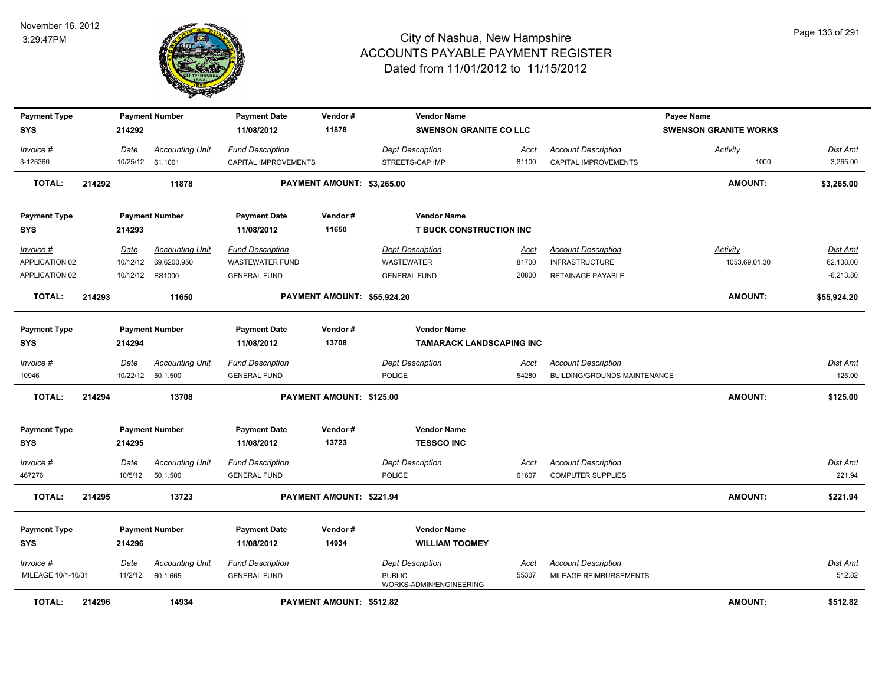

| <b>Payment Type</b> |        |                  | <b>Payment Number</b>  | <b>Payment Date</b>     | Vendor#                     | <b>Vendor Name</b>                       |             |                              | <b>Payee Name</b>            |                 |
|---------------------|--------|------------------|------------------------|-------------------------|-----------------------------|------------------------------------------|-------------|------------------------------|------------------------------|-----------------|
| <b>SYS</b>          |        | 214292           |                        | 11/08/2012              | 11878                       | <b>SWENSON GRANITE CO LLC</b>            |             |                              | <b>SWENSON GRANITE WORKS</b> |                 |
| Invoice #           |        | Date             | <b>Accounting Unit</b> | <b>Fund Description</b> |                             | <b>Dept Description</b>                  | Acct        | <b>Account Description</b>   | <b>Activity</b>              | Dist Amt        |
| 3-125360            |        | 10/25/12 61.1001 |                        | CAPITAL IMPROVEMENTS    |                             | STREETS-CAP IMP                          | 81100       | CAPITAL IMPROVEMENTS         | 1000                         | 3,265.00        |
| <b>TOTAL:</b>       | 214292 |                  | 11878                  |                         | PAYMENT AMOUNT: \$3,265.00  |                                          |             |                              | <b>AMOUNT:</b>               | \$3,265.00      |
| <b>Payment Type</b> |        |                  | <b>Payment Number</b>  | <b>Payment Date</b>     | Vendor#                     | <b>Vendor Name</b>                       |             |                              |                              |                 |
| <b>SYS</b>          |        | 214293           |                        | 11/08/2012              | 11650                       | <b>T BUCK CONSTRUCTION INC</b>           |             |                              |                              |                 |
| Invoice #           |        | Date             | <b>Accounting Unit</b> | <b>Fund Description</b> |                             | <b>Dept Description</b>                  | Acct        | <b>Account Description</b>   | Activity                     | <b>Dist Amt</b> |
| APPLICATION 02      |        | 10/12/12         | 69.6200.950            | <b>WASTEWATER FUND</b>  |                             | WASTEWATER                               | 81700       | <b>INFRASTRUCTURE</b>        | 1053.69.01.30                | 62,138.00       |
| APPLICATION 02      |        | 10/12/12 BS1000  |                        | <b>GENERAL FUND</b>     |                             | <b>GENERAL FUND</b>                      | 20800       | RETAINAGE PAYABLE            |                              | $-6,213.80$     |
| <b>TOTAL:</b>       | 214293 |                  | 11650                  |                         | PAYMENT AMOUNT: \$55,924.20 |                                          |             |                              | <b>AMOUNT:</b>               | \$55,924.20     |
|                     |        |                  |                        |                         |                             |                                          |             |                              |                              |                 |
| <b>Payment Type</b> |        |                  | <b>Payment Number</b>  | <b>Payment Date</b>     | Vendor#                     | <b>Vendor Name</b>                       |             |                              |                              |                 |
| <b>SYS</b>          |        | 214294           |                        | 11/08/2012              | 13708                       | <b>TAMARACK LANDSCAPING INC</b>          |             |                              |                              |                 |
| Invoice #           |        | Date             | <b>Accounting Unit</b> | <b>Fund Description</b> |                             | <b>Dept Description</b>                  | Acct        | <b>Account Description</b>   |                              | Dist Amt        |
| 10946               |        |                  | 10/22/12 50.1.500      | <b>GENERAL FUND</b>     |                             | <b>POLICE</b>                            | 54280       | BUILDING/GROUNDS MAINTENANCE |                              | 125.00          |
| <b>TOTAL:</b>       | 214294 |                  | 13708                  |                         | PAYMENT AMOUNT: \$125.00    |                                          |             |                              | <b>AMOUNT:</b>               | \$125.00        |
| <b>Payment Type</b> |        |                  | <b>Payment Number</b>  | <b>Payment Date</b>     | Vendor#                     | <b>Vendor Name</b>                       |             |                              |                              |                 |
| <b>SYS</b>          |        | 214295           |                        | 11/08/2012              | 13723                       | <b>TESSCO INC</b>                        |             |                              |                              |                 |
| <u>Invoice #</u>    |        | <u>Date</u>      | <b>Accounting Unit</b> | <b>Fund Description</b> |                             | <b>Dept Description</b>                  | <u>Acct</u> | <b>Account Description</b>   |                              | <u>Dist Amt</u> |
| 467276              |        | 10/5/12          | 50.1.500               | <b>GENERAL FUND</b>     |                             | <b>POLICE</b>                            | 61607       | <b>COMPUTER SUPPLIES</b>     |                              | 221.94          |
| <b>TOTAL:</b>       | 214295 |                  | 13723                  |                         | PAYMENT AMOUNT: \$221.94    |                                          |             |                              | <b>AMOUNT:</b>               | \$221.94        |
| <b>Payment Type</b> |        |                  | <b>Payment Number</b>  | <b>Payment Date</b>     | Vendor#                     | <b>Vendor Name</b>                       |             |                              |                              |                 |
| <b>SYS</b>          |        | 214296           |                        | 11/08/2012              | 14934                       | <b>WILLIAM TOOMEY</b>                    |             |                              |                              |                 |
| <u>Invoice #</u>    |        | <u>Date</u>      | <b>Accounting Unit</b> | <b>Fund Description</b> |                             | <b>Dept Description</b>                  | Acct        | <b>Account Description</b>   |                              | <b>Dist Amt</b> |
| MILEAGE 10/1-10/31  |        | 11/2/12          | 60.1.665               | <b>GENERAL FUND</b>     |                             | <b>PUBLIC</b><br>WORKS-ADMIN/ENGINEERING | 55307       | MILEAGE REIMBURSEMENTS       |                              | 512.82          |
| TOTAL:              | 214296 |                  | 14934                  |                         | PAYMENT AMOUNT: \$512.82    |                                          |             |                              | <b>AMOUNT:</b>               | \$512.82        |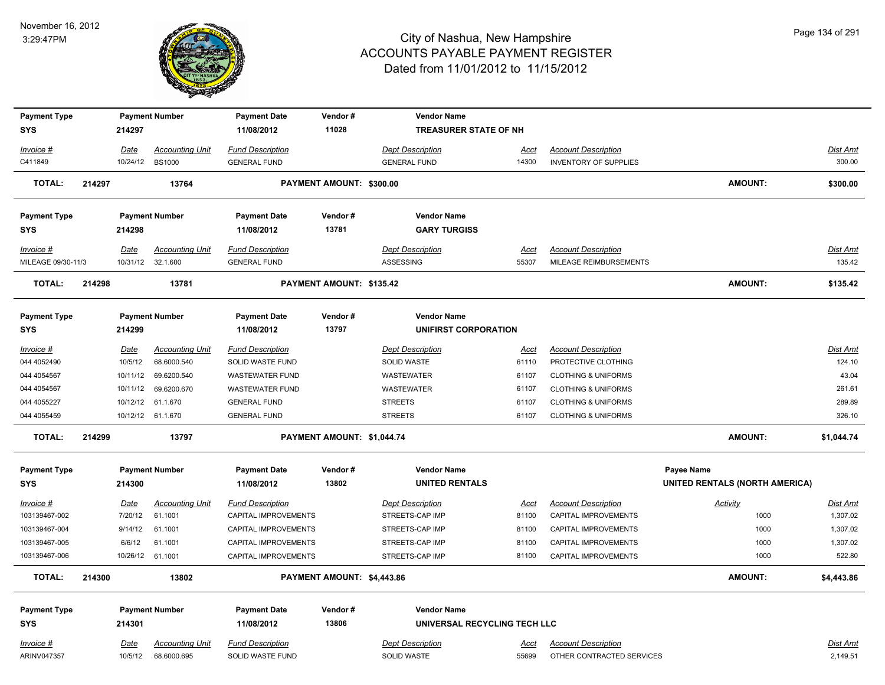

| <b>Payment Type</b> |        |             | <b>Payment Number</b>  | <b>Payment Date</b>     | Vendor#                    | <b>Vendor Name</b>           |             |                                |                                       |                 |
|---------------------|--------|-------------|------------------------|-------------------------|----------------------------|------------------------------|-------------|--------------------------------|---------------------------------------|-----------------|
| <b>SYS</b>          |        | 214297      |                        | 11/08/2012              | 11028                      | TREASURER STATE OF NH        |             |                                |                                       |                 |
| Invoice #           |        | Date        | <b>Accounting Unit</b> | <b>Fund Description</b> |                            | <b>Dept Description</b>      | <u>Acct</u> | <b>Account Description</b>     |                                       | <b>Dist Amt</b> |
| C411849             |        | 10/24/12    | <b>BS1000</b>          | <b>GENERAL FUND</b>     |                            | <b>GENERAL FUND</b>          | 14300       | <b>INVENTORY OF SUPPLIES</b>   |                                       | 300.00          |
| <b>TOTAL:</b>       | 214297 |             | 13764                  |                         | PAYMENT AMOUNT: \$300.00   |                              |             |                                | <b>AMOUNT:</b>                        | \$300.00        |
| <b>Payment Type</b> |        |             | <b>Payment Number</b>  | <b>Payment Date</b>     | Vendor#                    | <b>Vendor Name</b>           |             |                                |                                       |                 |
| <b>SYS</b>          |        | 214298      |                        | 11/08/2012              | 13781                      | <b>GARY TURGISS</b>          |             |                                |                                       |                 |
| Invoice #           |        | <u>Date</u> | <b>Accounting Unit</b> | <b>Fund Description</b> |                            | <b>Dept Description</b>      | Acct        | <b>Account Description</b>     |                                       | Dist Amt        |
| MILEAGE 09/30-11/3  |        |             | 10/31/12 32.1.600      | <b>GENERAL FUND</b>     |                            | ASSESSING                    | 55307       | MILEAGE REIMBURSEMENTS         |                                       | 135.42          |
| <b>TOTAL:</b>       | 214298 |             | 13781                  |                         | PAYMENT AMOUNT: \$135.42   |                              |             |                                | <b>AMOUNT:</b>                        | \$135.42        |
| <b>Payment Type</b> |        |             | <b>Payment Number</b>  | <b>Payment Date</b>     | Vendor#                    | <b>Vendor Name</b>           |             |                                |                                       |                 |
| <b>SYS</b>          |        | 214299      |                        | 11/08/2012              | 13797                      | <b>UNIFIRST CORPORATION</b>  |             |                                |                                       |                 |
| Invoice #           |        | <u>Date</u> | <b>Accounting Unit</b> | <b>Fund Description</b> |                            | <b>Dept Description</b>      | <u>Acct</u> | <b>Account Description</b>     |                                       | Dist Amt        |
| 044 4052490         |        | 10/5/12     | 68.6000.540            | SOLID WASTE FUND        |                            | SOLID WASTE                  | 61110       | PROTECTIVE CLOTHING            |                                       | 124.10          |
| 044 4054567         |        | 10/11/12    | 69.6200.540            | <b>WASTEWATER FUND</b>  |                            | WASTEWATER                   | 61107       | <b>CLOTHING &amp; UNIFORMS</b> |                                       | 43.04           |
| 044 4054567         |        | 10/11/12    | 69.6200.670            | <b>WASTEWATER FUND</b>  |                            | WASTEWATER                   | 61107       | <b>CLOTHING &amp; UNIFORMS</b> |                                       | 261.61          |
| 044 4055227         |        | 10/12/12    | 61.1.670               | <b>GENERAL FUND</b>     |                            | <b>STREETS</b>               | 61107       | <b>CLOTHING &amp; UNIFORMS</b> |                                       | 289.89          |
| 044 4055459         |        |             | 10/12/12 61.1.670      | <b>GENERAL FUND</b>     |                            | <b>STREETS</b>               | 61107       | <b>CLOTHING &amp; UNIFORMS</b> |                                       | 326.10          |
| <b>TOTAL:</b>       | 214299 |             | 13797                  |                         | PAYMENT AMOUNT: \$1,044.74 |                              |             |                                | <b>AMOUNT:</b>                        | \$1,044.74      |
| <b>Payment Type</b> |        |             | <b>Payment Number</b>  | <b>Payment Date</b>     | Vendor#                    | <b>Vendor Name</b>           |             |                                | <b>Payee Name</b>                     |                 |
| <b>SYS</b>          |        | 214300      |                        | 11/08/2012              | 13802                      | <b>UNITED RENTALS</b>        |             |                                | <b>UNITED RENTALS (NORTH AMERICA)</b> |                 |
| $Invoice$ #         |        | Date        | <b>Accounting Unit</b> | <b>Fund Description</b> |                            | <b>Dept Description</b>      | <u>Acct</u> | <b>Account Description</b>     | <b>Activity</b>                       | <b>Dist Amt</b> |
| 103139467-002       |        | 7/20/12     | 61.1001                | CAPITAL IMPROVEMENTS    |                            | STREETS-CAP IMP              | 81100       | CAPITAL IMPROVEMENTS           | 1000                                  | 1,307.02        |
| 103139467-004       |        | 9/14/12     | 61.1001                | CAPITAL IMPROVEMENTS    |                            | STREETS-CAP IMP              | 81100       | CAPITAL IMPROVEMENTS           | 1000                                  | 1,307.02        |
| 103139467-005       |        | 6/6/12      | 61.1001                | CAPITAL IMPROVEMENTS    |                            | STREETS-CAP IMP              | 81100       | CAPITAL IMPROVEMENTS           | 1000                                  | 1,307.02        |
| 103139467-006       |        | 10/26/12    | 61.1001                | CAPITAL IMPROVEMENTS    |                            | STREETS-CAP IMP              | 81100       | CAPITAL IMPROVEMENTS           | 1000                                  | 522.80          |
| <b>TOTAL:</b>       | 214300 |             | 13802                  |                         | PAYMENT AMOUNT: \$4,443.86 |                              |             |                                | <b>AMOUNT:</b>                        | \$4,443.86      |
| <b>Payment Type</b> |        |             | <b>Payment Number</b>  | <b>Payment Date</b>     | Vendor#                    | <b>Vendor Name</b>           |             |                                |                                       |                 |
| <b>SYS</b>          |        | 214301      |                        | 11/08/2012              | 13806                      | UNIVERSAL RECYCLING TECH LLC |             |                                |                                       |                 |
| Invoice #           |        | Date        | <b>Accounting Unit</b> | <b>Fund Description</b> |                            | <b>Dept Description</b>      | <u>Acct</u> | <b>Account Description</b>     |                                       | Dist Amt        |
| ARINV047357         |        | 10/5/12     | 68.6000.695            | SOLID WASTE FUND        |                            | <b>SOLID WASTE</b>           | 55699       | OTHER CONTRACTED SERVICES      |                                       | 2,149.51        |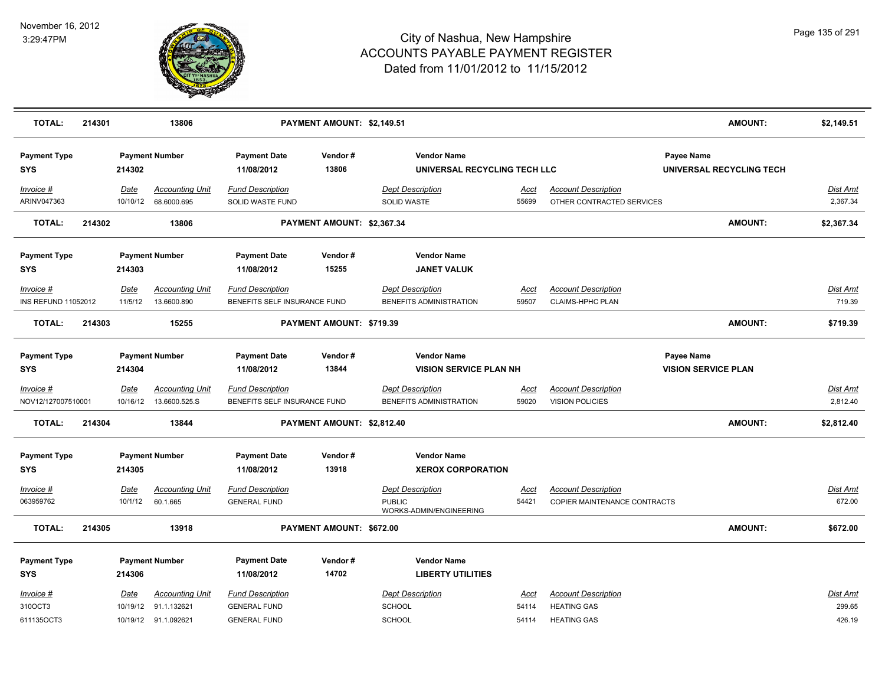

| <b>TOTAL:</b>                      | 214301 |                 | 13806                                                                  |                                                                       | PAYMENT AMOUNT: \$2,149.51 |                                                                     |                               |                                                                        |                                          | <b>AMOUNT:</b>           | \$2,149.51                   |
|------------------------------------|--------|-----------------|------------------------------------------------------------------------|-----------------------------------------------------------------------|----------------------------|---------------------------------------------------------------------|-------------------------------|------------------------------------------------------------------------|------------------------------------------|--------------------------|------------------------------|
| <b>Payment Type</b><br><b>SYS</b>  |        | 214302          | <b>Payment Number</b>                                                  | <b>Payment Date</b><br>11/08/2012                                     | Vendor#<br>13806           | <b>Vendor Name</b>                                                  | UNIVERSAL RECYCLING TECH LLC  |                                                                        | Payee Name                               | UNIVERSAL RECYCLING TECH |                              |
| Invoice #<br>ARINV047363           |        | Date            | <b>Accounting Unit</b><br>10/10/12 68.6000.695                         | <b>Fund Description</b><br>SOLID WASTE FUND                           |                            | <b>Dept Description</b><br>SOLID WASTE                              | Acct<br>55699                 | <b>Account Description</b><br>OTHER CONTRACTED SERVICES                |                                          |                          | Dist Amt<br>2,367.34         |
| <b>TOTAL:</b>                      | 214302 |                 | 13806                                                                  |                                                                       | PAYMENT AMOUNT: \$2,367.34 |                                                                     |                               |                                                                        |                                          | <b>AMOUNT:</b>           | \$2,367.34                   |
| <b>Payment Type</b><br>SYS         |        | 214303          | <b>Payment Number</b>                                                  | <b>Payment Date</b><br>11/08/2012                                     | Vendor#<br>15255           | <b>Vendor Name</b>                                                  | <b>JANET VALUK</b>            |                                                                        |                                          |                          |                              |
| Invoice #<br>INS REFUND 11052012   |        | Date<br>11/5/12 | <b>Accounting Unit</b><br>13.6600.890                                  | <b>Fund Description</b><br>BENEFITS SELF INSURANCE FUND               |                            | <b>Dept Description</b><br>BENEFITS ADMINISTRATION                  | Acct<br>59507                 | <b>Account Description</b><br>CLAIMS-HPHC PLAN                         |                                          |                          | Dist Amt<br>719.39           |
| <b>TOTAL:</b>                      | 214303 |                 | 15255                                                                  |                                                                       | PAYMENT AMOUNT: \$719.39   |                                                                     |                               |                                                                        |                                          | <b>AMOUNT:</b>           | \$719.39                     |
| <b>Payment Type</b><br><b>SYS</b>  |        | 214304          | <b>Payment Number</b>                                                  | <b>Payment Date</b><br>11/08/2012                                     | Vendor#<br>13844           | <b>Vendor Name</b>                                                  | <b>VISION SERVICE PLAN NH</b> |                                                                        | Payee Name<br><b>VISION SERVICE PLAN</b> |                          |                              |
| Invoice #<br>NOV12/127007510001    |        | Date            | <b>Accounting Unit</b><br>10/16/12  13.6600.525.S                      | <b>Fund Description</b><br>BENEFITS SELF INSURANCE FUND               |                            | <b>Dept Description</b><br>BENEFITS ADMINISTRATION                  | <u>Acct</u><br>59020          | <b>Account Description</b><br><b>VISION POLICIES</b>                   |                                          |                          | <u>Dist Amt</u><br>2,812.40  |
| <b>TOTAL:</b>                      | 214304 |                 | 13844                                                                  |                                                                       | PAYMENT AMOUNT: \$2,812.40 |                                                                     |                               |                                                                        |                                          | <b>AMOUNT:</b>           | \$2,812.40                   |
| <b>Payment Type</b><br><b>SYS</b>  |        | 214305          | <b>Payment Number</b>                                                  | <b>Payment Date</b><br>11/08/2012                                     | Vendor#<br>13918           | <b>Vendor Name</b>                                                  | <b>XEROX CORPORATION</b>      |                                                                        |                                          |                          |                              |
| Invoice #<br>063959762             |        | Date<br>10/1/12 | <b>Accounting Unit</b><br>60.1.665                                     | <b>Fund Description</b><br><b>GENERAL FUND</b>                        |                            | <b>Dept Description</b><br><b>PUBLIC</b><br>WORKS-ADMIN/ENGINEERING | <u>Acct</u><br>54421          | <b>Account Description</b><br>COPIER MAINTENANCE CONTRACTS             |                                          |                          | <b>Dist Amt</b><br>672.00    |
| <b>TOTAL:</b>                      | 214305 |                 | 13918                                                                  |                                                                       | PAYMENT AMOUNT: \$672.00   |                                                                     |                               |                                                                        |                                          | <b>AMOUNT:</b>           | \$672.00                     |
| <b>Payment Type</b><br>SYS         |        | 214306          | <b>Payment Number</b>                                                  | <b>Payment Date</b><br>11/08/2012                                     | Vendor#<br>14702           | <b>Vendor Name</b>                                                  | <b>LIBERTY UTILITIES</b>      |                                                                        |                                          |                          |                              |
| Invoice #<br>310OCT3<br>611135OCT3 |        | Date            | <b>Accounting Unit</b><br>10/19/12 91.1.132621<br>10/19/12 91.1.092621 | <b>Fund Description</b><br><b>GENERAL FUND</b><br><b>GENERAL FUND</b> |                            | <b>Dept Description</b><br><b>SCHOOL</b><br>SCHOOL                  | Acct<br>54114<br>54114        | <b>Account Description</b><br><b>HEATING GAS</b><br><b>HEATING GAS</b> |                                          |                          | Dist Amt<br>299.65<br>426.19 |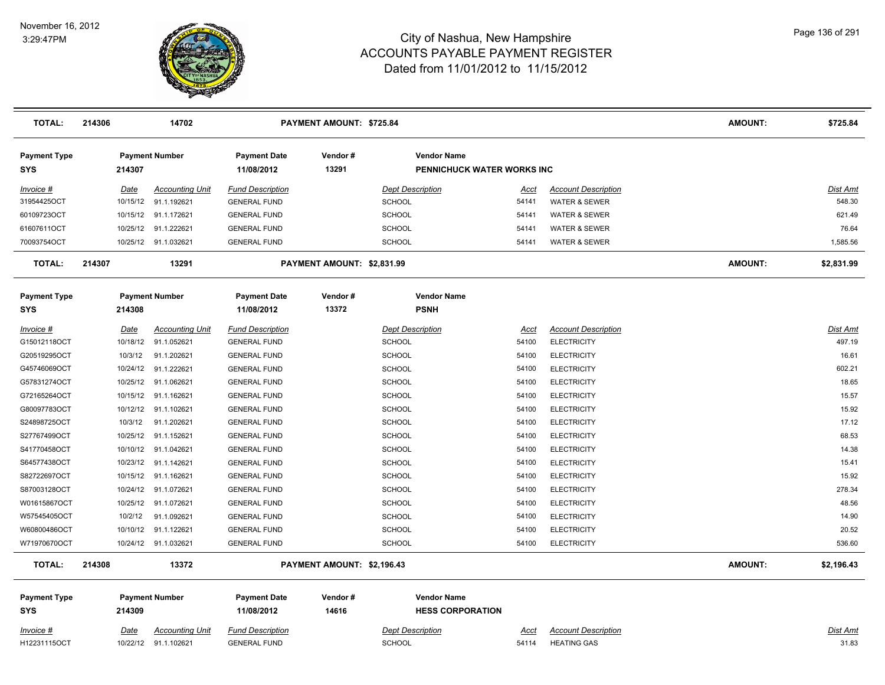

| <b>TOTAL:</b>                     | 214306      | 14702                  |                                   | PAYMENT AMOUNT: \$725.84   |                                                  |             |                            | <b>AMOUNT:</b> | \$725.84        |
|-----------------------------------|-------------|------------------------|-----------------------------------|----------------------------|--------------------------------------------------|-------------|----------------------------|----------------|-----------------|
| <b>Payment Type</b><br><b>SYS</b> | 214307      | <b>Payment Number</b>  | <b>Payment Date</b><br>11/08/2012 | Vendor#<br>13291           | <b>Vendor Name</b><br>PENNICHUCK WATER WORKS INC |             |                            |                |                 |
| Invoice #                         | Date        | <b>Accounting Unit</b> | <b>Fund Description</b>           |                            | <b>Dept Description</b>                          | Acct        | <b>Account Description</b> |                | Dist Amt        |
| 31954425OCT                       | 10/15/12    | 91.1.192621            | <b>GENERAL FUND</b>               |                            | <b>SCHOOL</b>                                    | 54141       | <b>WATER &amp; SEWER</b>   |                | 548.30          |
| 60109723OCT                       | 10/15/12    | 91.1.172621            | <b>GENERAL FUND</b>               |                            | <b>SCHOOL</b>                                    | 54141       | <b>WATER &amp; SEWER</b>   |                | 621.49          |
| 61607611OCT                       | 10/25/12    | 91.1.222621            | <b>GENERAL FUND</b>               |                            | SCHOOL                                           | 54141       | WATER & SEWER              |                | 76.64           |
| 70093754OCT                       |             | 10/25/12 91.1.032621   | <b>GENERAL FUND</b>               |                            | <b>SCHOOL</b>                                    | 54141       | <b>WATER &amp; SEWER</b>   |                | 1,585.56        |
| <b>TOTAL:</b>                     | 214307      | 13291                  |                                   | PAYMENT AMOUNT: \$2,831.99 |                                                  |             |                            | <b>AMOUNT:</b> | \$2,831.99      |
| <b>Payment Type</b>               |             | <b>Payment Number</b>  | <b>Payment Date</b>               | Vendor#                    | <b>Vendor Name</b>                               |             |                            |                |                 |
| <b>SYS</b>                        | 214308      |                        | 11/08/2012                        | 13372                      | <b>PSNH</b>                                      |             |                            |                |                 |
| Invoice #                         | Date        | <b>Accounting Unit</b> | <b>Fund Description</b>           |                            | <b>Dept Description</b>                          | Acct        | <b>Account Description</b> |                | <b>Dist Amt</b> |
| G15012118OCT                      | 10/18/12    | 91.1.052621            | <b>GENERAL FUND</b>               |                            | SCHOOL                                           | 54100       | <b>ELECTRICITY</b>         |                | 497.19          |
| G20519295OCT                      | 10/3/12     | 91.1.202621            | <b>GENERAL FUND</b>               |                            | <b>SCHOOL</b>                                    | 54100       | <b>ELECTRICITY</b>         |                | 16.61           |
| G45746069OCT                      | 10/24/12    | 91.1.222621            | <b>GENERAL FUND</b>               |                            | <b>SCHOOL</b>                                    | 54100       | <b>ELECTRICITY</b>         |                | 602.21          |
| G57831274OCT                      |             | 10/25/12 91.1.062621   | <b>GENERAL FUND</b>               |                            | SCHOOL                                           | 54100       | <b>ELECTRICITY</b>         |                | 18.65           |
| G72165264OCT                      |             | 10/15/12 91.1.162621   | <b>GENERAL FUND</b>               |                            | <b>SCHOOL</b>                                    | 54100       | <b>ELECTRICITY</b>         |                | 15.57           |
| G80097783OCT                      | 10/12/12    | 91.1.102621            | <b>GENERAL FUND</b>               |                            | <b>SCHOOL</b>                                    | 54100       | <b>ELECTRICITY</b>         |                | 15.92           |
| S24898725OCT                      | 10/3/12     | 91.1.202621            | <b>GENERAL FUND</b>               |                            | <b>SCHOOL</b>                                    | 54100       | <b>ELECTRICITY</b>         |                | 17.12           |
| S27767499OCT                      | 10/25/12    | 91.1.152621            | <b>GENERAL FUND</b>               |                            | <b>SCHOOL</b>                                    | 54100       | <b>ELECTRICITY</b>         |                | 68.53           |
| S41770458OCT                      |             | 10/10/12 91.1.042621   | <b>GENERAL FUND</b>               |                            | <b>SCHOOL</b>                                    | 54100       | <b>ELECTRICITY</b>         |                | 14.38           |
| S64577438OCT                      |             | 10/23/12 91.1.142621   | <b>GENERAL FUND</b>               |                            | <b>SCHOOL</b>                                    | 54100       | <b>ELECTRICITY</b>         |                | 15.41           |
| S82722697OCT                      |             | 10/15/12 91.1.162621   | <b>GENERAL FUND</b>               |                            | SCHOOL                                           | 54100       | <b>ELECTRICITY</b>         |                | 15.92           |
| S87003128OCT                      | 10/24/12    | 91.1.072621            | <b>GENERAL FUND</b>               |                            | <b>SCHOOL</b>                                    | 54100       | <b>ELECTRICITY</b>         |                | 278.34          |
| W01615867OCT                      | 10/25/12    | 91.1.072621            | <b>GENERAL FUND</b>               |                            | <b>SCHOOL</b>                                    | 54100       | <b>ELECTRICITY</b>         |                | 48.56           |
| W57545405OCT                      | 10/2/12     | 91.1.092621            | <b>GENERAL FUND</b>               |                            | SCHOOL                                           | 54100       | <b>ELECTRICITY</b>         |                | 14.90           |
| W60800486OCT                      |             | 10/10/12 91.1.122621   | <b>GENERAL FUND</b>               |                            | <b>SCHOOL</b>                                    | 54100       | <b>ELECTRICITY</b>         |                | 20.52           |
| W71970670OCT                      |             | 10/24/12 91.1.032621   | <b>GENERAL FUND</b>               |                            | SCHOOL                                           | 54100       | <b>ELECTRICITY</b>         |                | 536.60          |
| <b>TOTAL:</b>                     | 214308      | 13372                  |                                   | PAYMENT AMOUNT: \$2,196.43 |                                                  |             |                            | <b>AMOUNT:</b> | \$2,196.43      |
| <b>Payment Type</b><br><b>SYS</b> | 214309      | <b>Payment Number</b>  | <b>Payment Date</b><br>11/08/2012 | Vendor#<br>14616           | <b>Vendor Name</b><br><b>HESS CORPORATION</b>    |             |                            |                |                 |
| <u>Invoice #</u>                  | <u>Date</u> | <b>Accounting Unit</b> | <b>Fund Description</b>           |                            | <b>Dept Description</b>                          | <u>Acct</u> | <b>Account Description</b> |                | <b>Dist Amt</b> |
| H12231115OCT                      |             | 10/22/12 91.1.102621   | <b>GENERAL FUND</b>               |                            | <b>SCHOOL</b>                                    | 54114       | <b>HEATING GAS</b>         |                | 31.83           |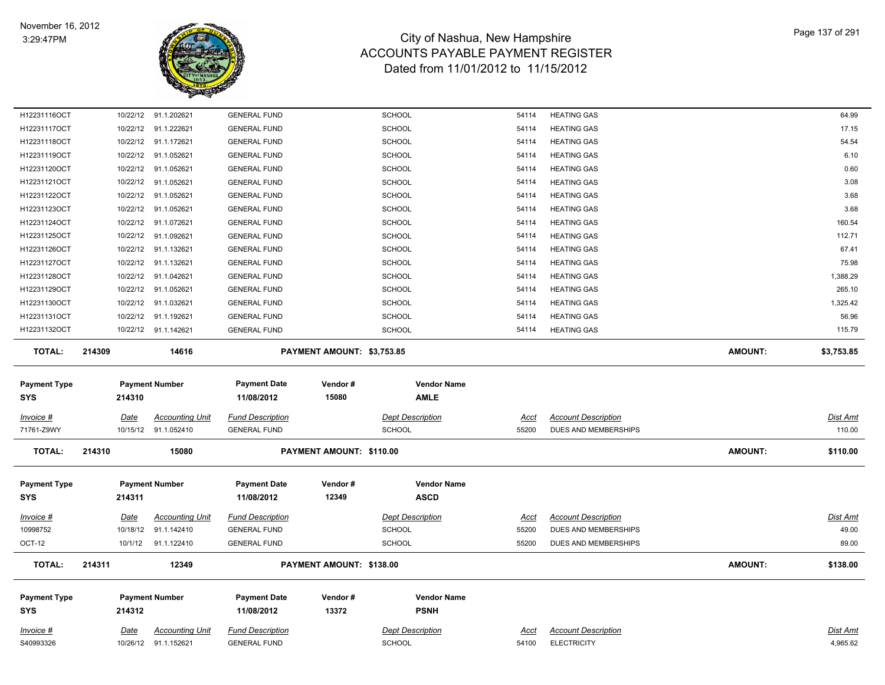

| H12231116OCT                      |             | 10/22/12 91.1.202621                           | <b>GENERAL FUND</b>                            |                            | <b>SCHOOL</b>                            | 54114                | <b>HEATING GAS</b>                               |                | 64.99                       |
|-----------------------------------|-------------|------------------------------------------------|------------------------------------------------|----------------------------|------------------------------------------|----------------------|--------------------------------------------------|----------------|-----------------------------|
| H12231117OCT                      |             | 10/22/12 91.1.222621                           | <b>GENERAL FUND</b>                            |                            | <b>SCHOOL</b>                            | 54114                | <b>HEATING GAS</b>                               |                | 17.15                       |
| H12231118OCT                      |             | 10/22/12 91.1.172621                           | <b>GENERAL FUND</b>                            |                            | <b>SCHOOL</b>                            | 54114                | <b>HEATING GAS</b>                               |                | 54.54                       |
| H12231119OCT                      |             | 10/22/12 91.1.052621                           | <b>GENERAL FUND</b>                            |                            | <b>SCHOOL</b>                            | 54114                | <b>HEATING GAS</b>                               |                | 6.10                        |
| H12231120OCT                      | 10/22/12    | 91.1.052621                                    | <b>GENERAL FUND</b>                            |                            | <b>SCHOOL</b>                            | 54114                | <b>HEATING GAS</b>                               |                | 0.60                        |
| H12231121OCT                      |             | 10/22/12 91.1.052621                           | <b>GENERAL FUND</b>                            |                            | <b>SCHOOL</b>                            | 54114                | <b>HEATING GAS</b>                               |                | 3.08                        |
| H12231122OCT                      |             | 10/22/12 91.1.052621                           | <b>GENERAL FUND</b>                            |                            | <b>SCHOOL</b>                            | 54114                | <b>HEATING GAS</b>                               |                | 3.68                        |
| H12231123OCT                      |             | 10/22/12 91.1.052621                           | <b>GENERAL FUND</b>                            |                            | <b>SCHOOL</b>                            | 54114                | <b>HEATING GAS</b>                               |                | 3.68                        |
| H12231124OCT                      |             | 10/22/12 91.1.072621                           | <b>GENERAL FUND</b>                            |                            | <b>SCHOOL</b>                            | 54114                | <b>HEATING GAS</b>                               |                | 160.54                      |
| H12231125OCT                      |             | 10/22/12 91.1.092621                           | <b>GENERAL FUND</b>                            |                            | <b>SCHOOL</b>                            | 54114                | <b>HEATING GAS</b>                               |                | 112.71                      |
| H12231126OCT                      |             | 10/22/12 91.1.132621                           | <b>GENERAL FUND</b>                            |                            | <b>SCHOOL</b>                            | 54114                | <b>HEATING GAS</b>                               |                | 67.41                       |
| H12231127OCT                      |             | 10/22/12 91.1.132621                           | <b>GENERAL FUND</b>                            |                            | <b>SCHOOL</b>                            | 54114                | <b>HEATING GAS</b>                               |                | 75.98                       |
| H12231128OCT                      |             | 10/22/12 91.1.042621                           | <b>GENERAL FUND</b>                            |                            | SCHOOL                                   | 54114                | <b>HEATING GAS</b>                               |                | 1,388.29                    |
| H12231129OCT                      |             | 10/22/12 91.1.052621                           | <b>GENERAL FUND</b>                            |                            | <b>SCHOOL</b>                            | 54114                | <b>HEATING GAS</b>                               |                | 265.10                      |
| H12231130OCT                      |             | 10/22/12 91.1.032621                           | <b>GENERAL FUND</b>                            |                            | <b>SCHOOL</b>                            | 54114                | <b>HEATING GAS</b>                               |                | 1,325.42                    |
| H12231131OCT                      |             | 10/22/12 91.1.192621                           | <b>GENERAL FUND</b>                            |                            | <b>SCHOOL</b>                            | 54114                | <b>HEATING GAS</b>                               |                | 56.96                       |
| H12231132OCT                      |             | 10/22/12 91.1.142621                           | <b>GENERAL FUND</b>                            |                            | <b>SCHOOL</b>                            | 54114                | <b>HEATING GAS</b>                               |                | 115.79                      |
| <b>TOTAL:</b>                     | 214309      | 14616                                          |                                                | PAYMENT AMOUNT: \$3,753.85 |                                          |                      |                                                  | <b>AMOUNT:</b> | \$3,753.85                  |
| <b>Payment Type</b><br><b>SYS</b> | 214310      | <b>Payment Number</b>                          | <b>Payment Date</b><br>11/08/2012              | Vendor#<br>15080           | <b>Vendor Name</b><br><b>AMLE</b>        |                      |                                                  |                |                             |
| <u>Invoice #</u>                  | Date        | <b>Accounting Unit</b>                         | <b>Fund Description</b>                        |                            | <b>Dept Description</b>                  | <u>Acct</u>          | <b>Account Description</b>                       |                | Dist Amt                    |
| 71761-Z9WY                        |             | 10/15/12 91.1.052410                           | <b>GENERAL FUND</b>                            |                            | <b>SCHOOL</b>                            | 55200                | DUES AND MEMBERSHIPS                             |                | 110.00                      |
| <b>TOTAL:</b>                     | 214310      | 15080                                          |                                                | PAYMENT AMOUNT: \$110.00   |                                          |                      |                                                  | <b>AMOUNT:</b> | \$110.00                    |
|                                   |             |                                                |                                                |                            |                                          |                      |                                                  |                |                             |
| <b>Payment Type</b>               |             | <b>Payment Number</b>                          | <b>Payment Date</b>                            | Vendor#                    | <b>Vendor Name</b>                       |                      |                                                  |                |                             |
| <b>SYS</b>                        | 214311      |                                                | 11/08/2012                                     | 12349                      | <b>ASCD</b>                              |                      |                                                  |                |                             |
|                                   |             |                                                |                                                |                            |                                          |                      |                                                  |                |                             |
| <u>Invoice #</u>                  | <u>Date</u> | <b>Accounting Unit</b>                         | <b>Fund Description</b>                        |                            | <b>Dept Description</b>                  | <u>Acct</u>          | <b>Account Description</b>                       |                | <b>Dist Amt</b>             |
| 10998752                          |             | 10/18/12 91.1.142410                           | <b>GENERAL FUND</b>                            |                            | <b>SCHOOL</b>                            | 55200                | DUES AND MEMBERSHIPS                             |                | 49.00                       |
| <b>OCT-12</b>                     |             | 10/1/12 91.1.122410                            | <b>GENERAL FUND</b>                            |                            | <b>SCHOOL</b>                            | 55200                | DUES AND MEMBERSHIPS                             |                | 89.00                       |
| <b>TOTAL:</b>                     | 214311      | 12349                                          |                                                | PAYMENT AMOUNT: \$138.00   |                                          |                      |                                                  | <b>AMOUNT:</b> | \$138.00                    |
|                                   |             |                                                |                                                |                            |                                          |                      |                                                  |                |                             |
| <b>Payment Type</b>               |             | <b>Payment Number</b>                          | <b>Payment Date</b>                            | Vendor#                    | <b>Vendor Name</b>                       |                      |                                                  |                |                             |
| <b>SYS</b>                        | 214312      |                                                | 11/08/2012                                     | 13372                      | <b>PSNH</b>                              |                      |                                                  |                |                             |
|                                   |             |                                                |                                                |                            |                                          |                      |                                                  |                |                             |
| <u>Invoice #</u><br>S40993326     | <u>Date</u> | <u>Accounting Unit</u><br>10/26/12 91.1.152621 | <b>Fund Description</b><br><b>GENERAL FUND</b> |                            | <b>Dept Description</b><br><b>SCHOOL</b> | <u>Acct</u><br>54100 | <b>Account Description</b><br><b>ELECTRICITY</b> |                | <u>Dist Amt</u><br>4,965.62 |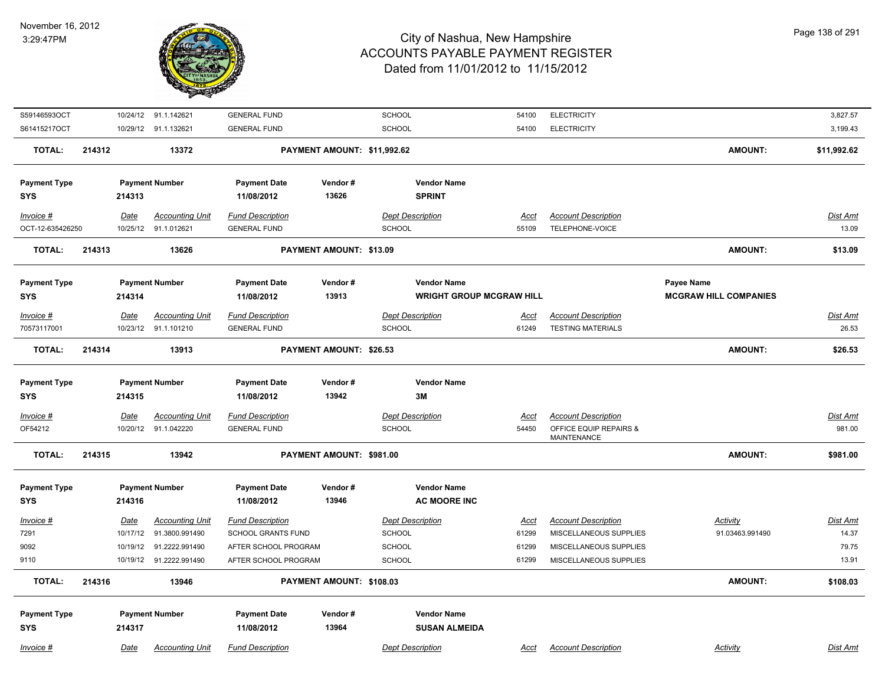

| S59146593OCT        |        |                  | 10/24/12 91.1.142621    | <b>GENERAL FUND</b>     |                             | <b>SCHOOL</b>                   | 54100                | <b>ELECTRICITY</b>         |                              | 3,827.57    |
|---------------------|--------|------------------|-------------------------|-------------------------|-----------------------------|---------------------------------|----------------------|----------------------------|------------------------------|-------------|
| S61415217OCT        |        |                  | 10/29/12 91.1.132621    | <b>GENERAL FUND</b>     |                             | SCHOOL                          | 54100                | <b>ELECTRICITY</b>         |                              | 3,199.43    |
| <b>TOTAL:</b>       | 214312 |                  | 13372                   |                         | PAYMENT AMOUNT: \$11,992.62 |                                 |                      |                            | <b>AMOUNT:</b>               | \$11,992.62 |
| <b>Payment Type</b> |        |                  | <b>Payment Number</b>   | <b>Payment Date</b>     | Vendor#                     | <b>Vendor Name</b>              |                      |                            |                              |             |
| <b>SYS</b>          |        | 214313           |                         | 11/08/2012              | 13626                       | <b>SPRINT</b>                   |                      |                            |                              |             |
|                     |        |                  |                         |                         |                             |                                 |                      |                            |                              |             |
| Invoice #           |        | Date             | <b>Accounting Unit</b>  | <b>Fund Description</b> |                             | <b>Dept Description</b>         | <b>Acct</b>          | <b>Account Description</b> |                              | Dist Amt    |
| OCT-12-635426250    |        | 10/25/12         | 91.1.012621             | <b>GENERAL FUND</b>     |                             | <b>SCHOOL</b>                   | 55109                | TELEPHONE-VOICE            |                              | 13.09       |
| <b>TOTAL:</b>       | 214313 |                  | 13626                   |                         | PAYMENT AMOUNT: \$13.09     |                                 |                      |                            | <b>AMOUNT:</b>               | \$13.09     |
| <b>Payment Type</b> |        |                  | <b>Payment Number</b>   | <b>Payment Date</b>     | Vendor#                     | <b>Vendor Name</b>              |                      |                            | Payee Name                   |             |
| <b>SYS</b>          |        | 214314           |                         | 11/08/2012              | 13913                       | <b>WRIGHT GROUP MCGRAW HILL</b> |                      |                            | <b>MCGRAW HILL COMPANIES</b> |             |
|                     |        |                  |                         |                         |                             |                                 |                      |                            |                              |             |
| Invoice #           |        | Date             | <b>Accounting Unit</b>  | <b>Fund Description</b> |                             | <b>Dept Description</b>         | <u>Acct</u>          | <b>Account Description</b> |                              | Dist Amt    |
| 70573117001         |        |                  | 10/23/12 91.1.101210    | <b>GENERAL FUND</b>     |                             | <b>SCHOOL</b>                   | 61249                | <b>TESTING MATERIALS</b>   |                              | 26.53       |
| <b>TOTAL:</b>       | 214314 |                  | 13913                   |                         | PAYMENT AMOUNT: \$26.53     |                                 |                      |                            | <b>AMOUNT:</b>               | \$26.53     |
| <b>Payment Type</b> |        |                  | <b>Payment Number</b>   | <b>Payment Date</b>     | Vendor#                     | <b>Vendor Name</b>              |                      |                            |                              |             |
| <b>SYS</b>          |        | 214315           |                         | 11/08/2012              | 13942                       | 3M                              |                      |                            |                              |             |
| Invoice #           |        |                  | <b>Accounting Unit</b>  | <b>Fund Description</b> |                             | <b>Dept Description</b>         |                      | <b>Account Description</b> |                              | Dist Amt    |
| OF54212             |        | Date<br>10/20/12 | 91.1.042220             | <b>GENERAL FUND</b>     |                             | <b>SCHOOL</b>                   | <b>Acct</b><br>54450 | OFFICE EQUIP REPAIRS &     |                              | 981.00      |
|                     |        |                  |                         |                         |                             |                                 |                      | <b>MAINTENANCE</b>         |                              |             |
| <b>TOTAL:</b>       | 214315 |                  | 13942                   |                         | PAYMENT AMOUNT: \$981.00    |                                 |                      |                            | <b>AMOUNT:</b>               | \$981.00    |
| <b>Payment Type</b> |        |                  | <b>Payment Number</b>   | <b>Payment Date</b>     | Vendor#                     | <b>Vendor Name</b>              |                      |                            |                              |             |
| <b>SYS</b>          |        | 214316           |                         | 11/08/2012              | 13946                       | <b>AC MOORE INC</b>             |                      |                            |                              |             |
|                     |        |                  |                         |                         |                             |                                 |                      |                            |                              |             |
| $Invoice$ #         |        | <b>Date</b>      | <b>Accounting Unit</b>  | <b>Fund Description</b> |                             | <b>Dept Description</b>         | <b>Acct</b>          | <b>Account Description</b> | <b>Activity</b>              | Dist Amt    |
| 7291                |        | 10/17/12         | 91.3800.991490          | SCHOOL GRANTS FUND      |                             | <b>SCHOOL</b>                   | 61299                | MISCELLANEOUS SUPPLIES     | 91.03463.991490              | 14.37       |
| 9092                |        | 10/19/12         | 91.2222.991490          | AFTER SCHOOL PROGRAM    |                             | <b>SCHOOL</b>                   | 61299                | MISCELLANEOUS SUPPLIES     |                              | 79.75       |
| 9110                |        |                  | 10/19/12 91.2222.991490 | AFTER SCHOOL PROGRAM    |                             | <b>SCHOOL</b>                   | 61299                | MISCELLANEOUS SUPPLIES     |                              | 13.91       |
| <b>TOTAL:</b>       | 214316 |                  | 13946                   |                         | PAYMENT AMOUNT: \$108.03    |                                 |                      |                            | <b>AMOUNT:</b>               | \$108.03    |
| <b>Payment Type</b> |        |                  | <b>Payment Number</b>   | <b>Payment Date</b>     | Vendor#                     | <b>Vendor Name</b>              |                      |                            |                              |             |
| <b>SYS</b>          |        | 214317           |                         | 11/08/2012              | 13964                       | <b>SUSAN ALMEIDA</b>            |                      |                            |                              |             |
|                     |        |                  |                         |                         |                             |                                 |                      |                            |                              |             |
| Invoice #           |        | Date             | <b>Accounting Unit</b>  | <b>Fund Description</b> |                             | <b>Dept Description</b>         | Acct                 | <b>Account Description</b> | Activity                     | Dist Amt    |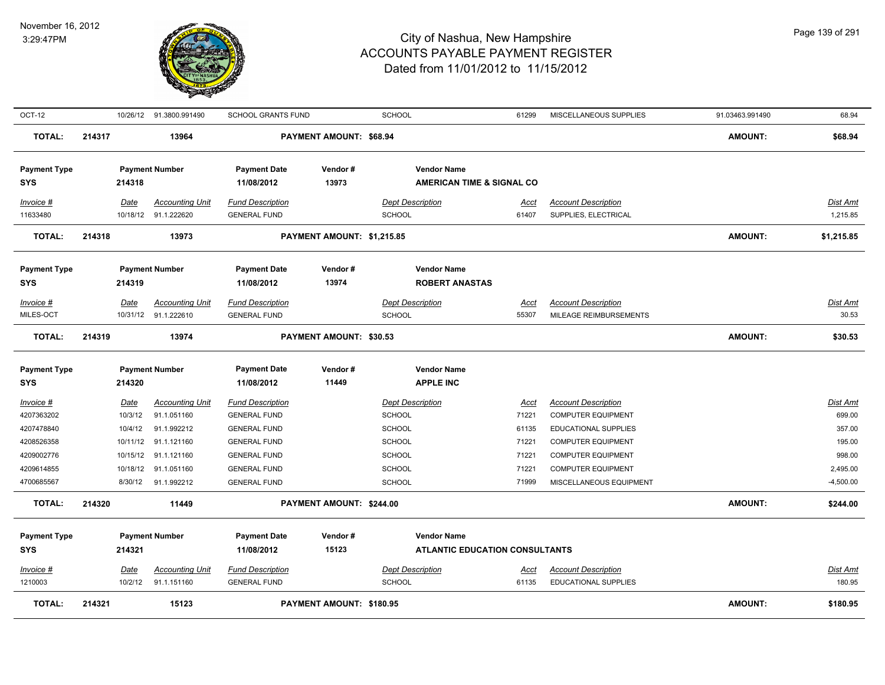

| OCT-12                                                                          |        |                                                                       | 10/26/12 91.3800.991490                                                                           | <b>SCHOOL GRANTS FUND</b>                                                                                                                  |                                | <b>SCHOOL</b>                                                                           | 61299                                                    | MISCELLANEOUS SUPPLIES                                                                                                                                                 | 91.03463.991490 | 68.94                                                        |
|---------------------------------------------------------------------------------|--------|-----------------------------------------------------------------------|---------------------------------------------------------------------------------------------------|--------------------------------------------------------------------------------------------------------------------------------------------|--------------------------------|-----------------------------------------------------------------------------------------|----------------------------------------------------------|------------------------------------------------------------------------------------------------------------------------------------------------------------------------|-----------------|--------------------------------------------------------------|
| TOTAL:                                                                          | 214317 |                                                                       | 13964                                                                                             |                                                                                                                                            | PAYMENT AMOUNT: \$68.94        |                                                                                         |                                                          |                                                                                                                                                                        | <b>AMOUNT:</b>  | \$68.94                                                      |
| <b>Payment Type</b><br><b>SYS</b>                                               |        | 214318                                                                | <b>Payment Number</b>                                                                             | <b>Payment Date</b><br>11/08/2012                                                                                                          | Vendor#<br>13973               | <b>Vendor Name</b><br><b>AMERICAN TIME &amp; SIGNAL CO</b>                              |                                                          |                                                                                                                                                                        |                 |                                                              |
| $Invoice$ #<br>11633480                                                         |        | Date                                                                  | <b>Accounting Unit</b><br>10/18/12 91.1.222620                                                    | <b>Fund Description</b><br><b>GENERAL FUND</b>                                                                                             |                                | <b>Dept Description</b><br>SCHOOL                                                       | Acct<br>61407                                            | <b>Account Description</b><br>SUPPLIES, ELECTRICAL                                                                                                                     |                 | Dist Amt<br>1,215.85                                         |
| <b>TOTAL:</b>                                                                   | 214318 |                                                                       | 13973                                                                                             |                                                                                                                                            | PAYMENT AMOUNT: \$1,215.85     |                                                                                         |                                                          |                                                                                                                                                                        | <b>AMOUNT:</b>  | \$1,215.85                                                   |
| <b>Payment Type</b><br><b>SYS</b>                                               |        | 214319                                                                | <b>Payment Number</b>                                                                             | <b>Payment Date</b><br>11/08/2012                                                                                                          | Vendor#<br>13974               | <b>Vendor Name</b><br><b>ROBERT ANASTAS</b>                                             |                                                          |                                                                                                                                                                        |                 |                                                              |
| Invoice #<br>MILES-OCT                                                          |        | Date                                                                  | <b>Accounting Unit</b><br>10/31/12 91.1.222610                                                    | <b>Fund Description</b><br><b>GENERAL FUND</b>                                                                                             |                                | <b>Dept Description</b><br><b>SCHOOL</b>                                                | Acct<br>55307                                            | <b>Account Description</b><br>MILEAGE REIMBURSEMENTS                                                                                                                   |                 | Dist Amt<br>30.53                                            |
| <b>TOTAL:</b>                                                                   | 214319 |                                                                       | 13974                                                                                             |                                                                                                                                            | <b>PAYMENT AMOUNT: \$30.53</b> |                                                                                         |                                                          |                                                                                                                                                                        | <b>AMOUNT:</b>  | \$30.53                                                      |
| <b>Payment Type</b><br><b>SYS</b>                                               |        | 214320                                                                | <b>Payment Number</b>                                                                             | <b>Payment Date</b><br>11/08/2012                                                                                                          | Vendor#<br>11449               | <b>Vendor Name</b><br><b>APPLE INC</b>                                                  |                                                          |                                                                                                                                                                        |                 |                                                              |
| Invoice #<br>4207363202<br>4207478840<br>4208526358<br>4209002776<br>4209614855 |        | <b>Date</b><br>10/3/12<br>10/4/12<br>10/11/12<br>10/15/12<br>10/18/12 | <b>Accounting Unit</b><br>91.1.051160<br>91.1.992212<br>91.1.121160<br>91.1.121160<br>91.1.051160 | <b>Fund Description</b><br><b>GENERAL FUND</b><br><b>GENERAL FUND</b><br><b>GENERAL FUND</b><br><b>GENERAL FUND</b><br><b>GENERAL FUND</b> |                                | <b>Dept Description</b><br><b>SCHOOL</b><br><b>SCHOOL</b><br>SCHOOL<br>SCHOOL<br>SCHOOL | <u>Acct</u><br>71221<br>61135<br>71221<br>71221<br>71221 | <b>Account Description</b><br><b>COMPUTER EQUIPMENT</b><br>EDUCATIONAL SUPPLIES<br><b>COMPUTER EQUIPMENT</b><br><b>COMPUTER EQUIPMENT</b><br><b>COMPUTER EQUIPMENT</b> |                 | Dist Amt<br>699.00<br>357.00<br>195.00<br>998.00<br>2,495.00 |
| 4700685567<br><b>TOTAL:</b>                                                     | 214320 | 8/30/12                                                               | 91.1.992212<br>11449                                                                              | <b>GENERAL FUND</b>                                                                                                                        | PAYMENT AMOUNT: \$244.00       | <b>SCHOOL</b>                                                                           | 71999                                                    | MISCELLANEOUS EQUIPMENT                                                                                                                                                | <b>AMOUNT:</b>  | $-4,500.00$<br>\$244.00                                      |
| <b>Payment Type</b><br><b>SYS</b>                                               |        | 214321                                                                | <b>Payment Number</b>                                                                             | <b>Payment Date</b><br>11/08/2012                                                                                                          | Vendor#<br>15123               | <b>Vendor Name</b><br><b>ATLANTIC EDUCATION CONSULTANTS</b>                             |                                                          |                                                                                                                                                                        |                 |                                                              |
| Invoice #<br>1210003                                                            |        | Date<br>10/2/12                                                       | <b>Accounting Unit</b><br>91.1.151160                                                             | <b>Fund Description</b><br><b>GENERAL FUND</b>                                                                                             |                                | <b>Dept Description</b><br><b>SCHOOL</b>                                                | Acct<br>61135                                            | <b>Account Description</b><br><b>EDUCATIONAL SUPPLIES</b>                                                                                                              |                 | Dist Amt<br>180.95                                           |
| <b>TOTAL:</b>                                                                   | 214321 |                                                                       | 15123                                                                                             |                                                                                                                                            | PAYMENT AMOUNT: \$180.95       |                                                                                         |                                                          |                                                                                                                                                                        | <b>AMOUNT:</b>  | \$180.95                                                     |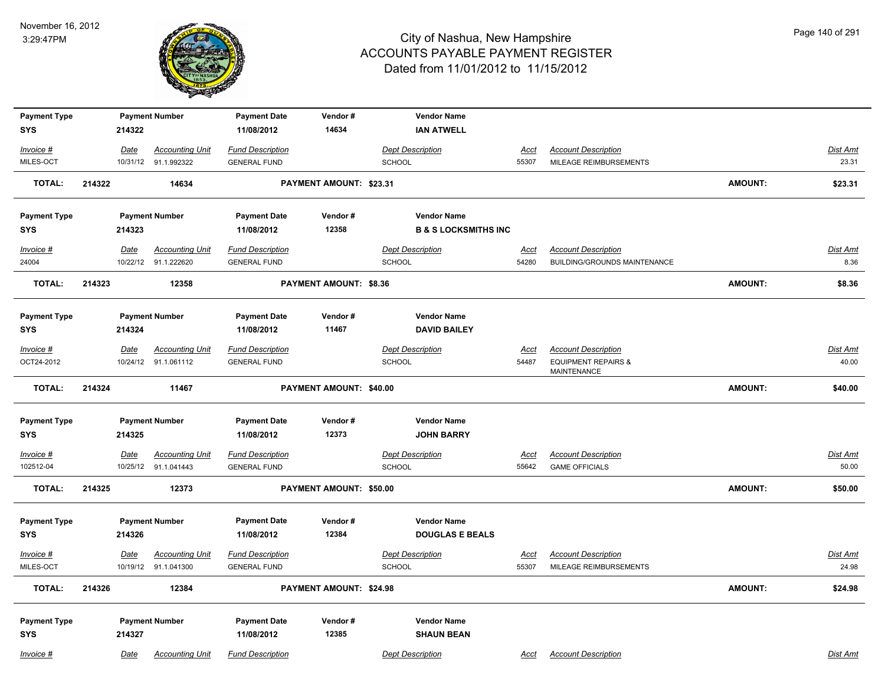

| <b>Payment Type</b>                    |             | <b>Payment Number</b>                          | <b>Payment Date</b>                            | Vendor#                        | <b>Vendor Name</b>                           |                      |                                                      |                |                          |
|----------------------------------------|-------------|------------------------------------------------|------------------------------------------------|--------------------------------|----------------------------------------------|----------------------|------------------------------------------------------|----------------|--------------------------|
| <b>SYS</b>                             | 214322      |                                                | 11/08/2012                                     | 14634                          | <b>IAN ATWELL</b>                            |                      |                                                      |                |                          |
| Invoice #                              | Date        | <b>Accounting Unit</b>                         | <b>Fund Description</b>                        |                                | <b>Dept Description</b>                      | Acct                 | <b>Account Description</b>                           |                | Dist Amt                 |
| MILES-OCT                              |             | 10/31/12 91.1.992322                           | <b>GENERAL FUND</b>                            |                                | <b>SCHOOL</b>                                | 55307                | MILEAGE REIMBURSEMENTS                               |                | 23.31                    |
| <b>TOTAL:</b>                          | 214322      | 14634                                          |                                                | PAYMENT AMOUNT: \$23.31        |                                              |                      |                                                      | <b>AMOUNT:</b> | \$23.31                  |
| <b>Payment Type</b>                    |             | <b>Payment Number</b>                          | <b>Payment Date</b>                            | Vendor#                        | <b>Vendor Name</b>                           |                      |                                                      |                |                          |
| SYS                                    | 214323      |                                                | 11/08/2012                                     | 12358                          | <b>B &amp; S LOCKSMITHS INC</b>              |                      |                                                      |                |                          |
| Invoice #                              | <b>Date</b> | <b>Accounting Unit</b>                         | <b>Fund Description</b>                        |                                | <b>Dept Description</b>                      | <u>Acct</u>          | <b>Account Description</b>                           |                | Dist Amt                 |
| 24004                                  |             | 10/22/12 91.1.222620                           | <b>GENERAL FUND</b>                            |                                | SCHOOL                                       | 54280                | <b>BUILDING/GROUNDS MAINTENANCE</b>                  |                | 8.36                     |
| <b>TOTAL:</b>                          | 214323      | 12358                                          |                                                | <b>PAYMENT AMOUNT: \$8.36</b>  |                                              |                      |                                                      | <b>AMOUNT:</b> | \$8.36                   |
| <b>Payment Type</b>                    |             | <b>Payment Number</b>                          | <b>Payment Date</b>                            | Vendor#                        | <b>Vendor Name</b>                           |                      |                                                      |                |                          |
| <b>SYS</b>                             | 214324      |                                                | 11/08/2012                                     | 11467                          | <b>DAVID BAILEY</b>                          |                      |                                                      |                |                          |
| $Invoice$ #                            | Date        | <b>Accounting Unit</b>                         | <b>Fund Description</b>                        |                                | <b>Dept Description</b>                      | <b>Acct</b>          | <b>Account Description</b>                           |                | <b>Dist Amt</b>          |
| OCT24-2012                             |             | 10/24/12 91.1.061112                           | <b>GENERAL FUND</b>                            |                                | <b>SCHOOL</b>                                | 54487                | <b>EQUIPMENT REPAIRS &amp;</b><br><b>MAINTENANCE</b> |                | 40.00                    |
|                                        |             |                                                |                                                |                                |                                              |                      |                                                      |                |                          |
| <b>TOTAL:</b>                          | 214324      | 11467                                          |                                                | PAYMENT AMOUNT: \$40.00        |                                              |                      |                                                      | <b>AMOUNT:</b> | \$40.00                  |
| <b>Payment Type</b>                    |             | <b>Payment Number</b>                          | <b>Payment Date</b>                            | Vendor#                        | <b>Vendor Name</b>                           |                      |                                                      |                |                          |
| <b>SYS</b>                             | 214325      |                                                | 11/08/2012                                     | 12373                          | <b>JOHN BARRY</b>                            |                      |                                                      |                |                          |
| Invoice #<br>102512-04                 | <u>Date</u> | <b>Accounting Unit</b><br>10/25/12 91.1.041443 | <b>Fund Description</b><br><b>GENERAL FUND</b> |                                | <b>Dept Description</b><br>SCHOOL            | <u>Acct</u><br>55642 | <b>Account Description</b><br><b>GAME OFFICIALS</b>  |                | Dist Amt<br>50.00        |
| TOTAL:                                 | 214325      | 12373                                          |                                                | PAYMENT AMOUNT: \$50.00        |                                              |                      |                                                      | <b>AMOUNT:</b> | \$50.00                  |
| <b>Payment Type</b>                    | 214326      | <b>Payment Number</b>                          | <b>Payment Date</b><br>11/08/2012              | Vendor#<br>12384               | <b>Vendor Name</b><br><b>DOUGLAS E BEALS</b> |                      |                                                      |                |                          |
| <b>SYS</b><br>$Invoice$ #<br>MILES-OCT | <b>Date</b> | <b>Accounting Unit</b><br>10/19/12 91.1.041300 | <b>Fund Description</b><br><b>GENERAL FUND</b> |                                | <b>Dept Description</b><br>SCHOOL            | <u>Acct</u><br>55307 | <b>Account Description</b><br>MILEAGE REIMBURSEMENTS |                | <b>Dist Amt</b><br>24.98 |
| <b>TOTAL:</b>                          | 214326      | 12384                                          |                                                | <b>PAYMENT AMOUNT: \$24.98</b> |                                              |                      |                                                      | <b>AMOUNT:</b> | \$24.98                  |
| <b>Payment Type</b><br><b>SYS</b>      | 214327      | <b>Payment Number</b>                          | <b>Payment Date</b><br>11/08/2012              | Vendor#<br>12385               | <b>Vendor Name</b><br><b>SHAUN BEAN</b>      |                      |                                                      |                |                          |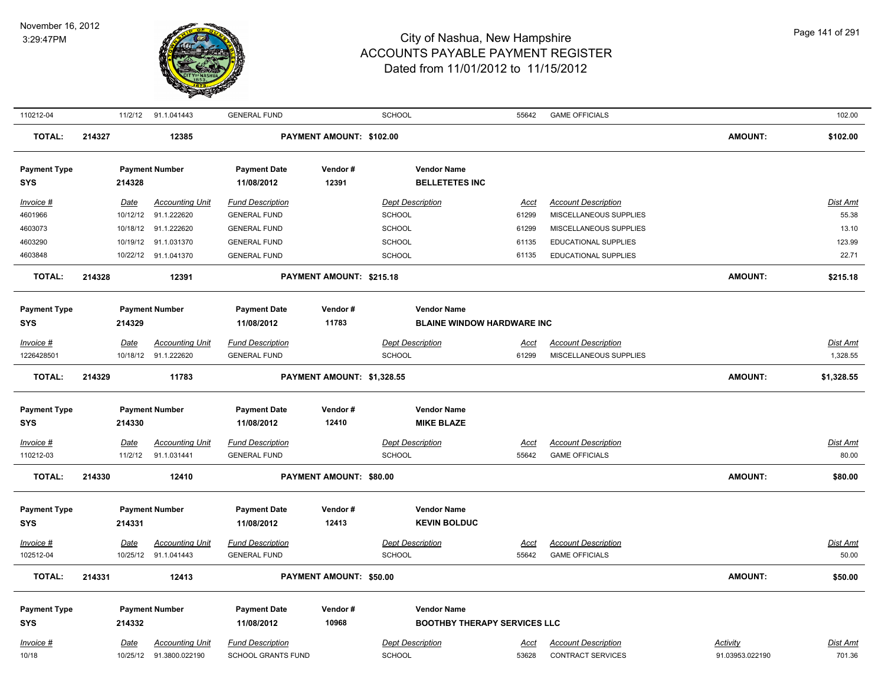

| 110212-04           |        | 11/2/12  | 91.1.041443              | <b>GENERAL FUND</b>     |                            | SCHOOL                              | 55642       | <b>GAME OFFICIALS</b>      |                 | 102.00          |
|---------------------|--------|----------|--------------------------|-------------------------|----------------------------|-------------------------------------|-------------|----------------------------|-----------------|-----------------|
| <b>TOTAL:</b>       | 214327 |          | 12385                    |                         | PAYMENT AMOUNT: \$102.00   |                                     |             |                            | <b>AMOUNT:</b>  | \$102.00        |
| <b>Payment Type</b> |        |          | <b>Payment Number</b>    | <b>Payment Date</b>     | Vendor#                    | <b>Vendor Name</b>                  |             |                            |                 |                 |
| <b>SYS</b>          |        | 214328   |                          | 11/08/2012              | 12391                      | <b>BELLETETES INC</b>               |             |                            |                 |                 |
| Invoice #           |        | Date     | <b>Accounting Unit</b>   | <b>Fund Description</b> |                            | <b>Dept Description</b>             | Acct        | <b>Account Description</b> |                 | <b>Dist Amt</b> |
| 4601966             |        | 10/12/12 | 91.1.222620              | <b>GENERAL FUND</b>     |                            | <b>SCHOOL</b>                       | 61299       | MISCELLANEOUS SUPPLIES     |                 | 55.38           |
| 4603073             |        | 10/18/12 | 91.1.222620              | <b>GENERAL FUND</b>     |                            | <b>SCHOOL</b>                       | 61299       | MISCELLANEOUS SUPPLIES     |                 | 13.10           |
| 4603290             |        | 10/19/12 | 91.1.031370              | <b>GENERAL FUND</b>     |                            | <b>SCHOOL</b>                       | 61135       | EDUCATIONAL SUPPLIES       |                 | 123.99          |
| 4603848             |        |          | 10/22/12 91.1.041370     | <b>GENERAL FUND</b>     |                            | <b>SCHOOL</b>                       | 61135       | EDUCATIONAL SUPPLIES       |                 | 22.71           |
| <b>TOTAL:</b>       | 214328 |          | 12391                    |                         | PAYMENT AMOUNT: \$215.18   |                                     |             |                            | <b>AMOUNT:</b>  | \$215.18        |
| <b>Payment Type</b> |        |          | <b>Payment Number</b>    | <b>Payment Date</b>     | Vendor#                    | <b>Vendor Name</b>                  |             |                            |                 |                 |
| <b>SYS</b>          |        | 214329   |                          | 11/08/2012              | 11783                      | <b>BLAINE WINDOW HARDWARE INC</b>   |             |                            |                 |                 |
| $Invoice$ #         |        | Date     | <b>Accounting Unit</b>   | <b>Fund Description</b> |                            | <b>Dept Description</b>             | Acct        | <b>Account Description</b> |                 | <b>Dist Amt</b> |
| 1226428501          |        |          | 10/18/12 91.1.222620     | <b>GENERAL FUND</b>     |                            | <b>SCHOOL</b>                       | 61299       | MISCELLANEOUS SUPPLIES     |                 | 1,328.55        |
|                     |        |          |                          |                         |                            |                                     |             |                            |                 |                 |
| <b>TOTAL:</b>       | 214329 |          | 11783                    |                         | PAYMENT AMOUNT: \$1,328.55 |                                     |             |                            | <b>AMOUNT:</b>  | \$1,328.55      |
|                     |        |          |                          |                         |                            |                                     |             |                            |                 |                 |
| <b>Payment Type</b> |        |          | <b>Payment Number</b>    | <b>Payment Date</b>     | Vendor#                    | <b>Vendor Name</b>                  |             |                            |                 |                 |
| <b>SYS</b>          |        | 214330   |                          | 11/08/2012              | 12410                      | <b>MIKE BLAZE</b>                   |             |                            |                 |                 |
| $Invoice$ #         |        | Date     | <b>Accounting Unit</b>   | <b>Fund Description</b> |                            | <b>Dept Description</b>             | <u>Acct</u> | <b>Account Description</b> |                 | <b>Dist Amt</b> |
| 110212-03           |        | 11/2/12  | 91.1.031441              | <b>GENERAL FUND</b>     |                            | <b>SCHOOL</b>                       | 55642       | <b>GAME OFFICIALS</b>      |                 | 80.00           |
| <b>TOTAL:</b>       | 214330 |          | 12410                    |                         | PAYMENT AMOUNT: \$80.00    |                                     |             |                            | <b>AMOUNT:</b>  | \$80.00         |
|                     |        |          |                          |                         |                            |                                     |             |                            |                 |                 |
| <b>Payment Type</b> |        |          | <b>Payment Number</b>    | <b>Payment Date</b>     | Vendor#                    | <b>Vendor Name</b>                  |             |                            |                 |                 |
| <b>SYS</b>          |        | 214331   |                          | 11/08/2012              | 12413                      | <b>KEVIN BOLDUC</b>                 |             |                            |                 |                 |
| Invoice #           |        | Date     | <b>Accounting Unit</b>   | <b>Fund Description</b> |                            | <b>Dept Description</b>             | <b>Acct</b> | <b>Account Description</b> |                 | <b>Dist Amt</b> |
| 102512-04           |        |          | 10/25/12 91.1.041443     | <b>GENERAL FUND</b>     |                            | <b>SCHOOL</b>                       | 55642       | <b>GAME OFFICIALS</b>      |                 | 50.00           |
|                     |        |          |                          |                         |                            |                                     |             |                            |                 |                 |
| <b>TOTAL:</b>       | 214331 |          | 12413                    |                         | PAYMENT AMOUNT: \$50.00    |                                     |             |                            | <b>AMOUNT:</b>  | \$50.00         |
| <b>Payment Type</b> |        |          | <b>Payment Number</b>    | <b>Payment Date</b>     | Vendor#                    | <b>Vendor Name</b>                  |             |                            |                 |                 |
| <b>SYS</b>          |        | 214332   |                          | 11/08/2012              | 10968                      | <b>BOOTHBY THERAPY SERVICES LLC</b> |             |                            |                 |                 |
| Invoice #           |        | Date     | <b>Accounting Unit</b>   | <b>Fund Description</b> |                            | <b>Dept Description</b>             | Acct        | <b>Account Description</b> | Activity        | Dist Amt        |
| 10/18               |        |          | 10/25/12  91.3800.022190 | SCHOOL GRANTS FUND      |                            | <b>SCHOOL</b>                       | 53628       | <b>CONTRACT SERVICES</b>   | 91.03953.022190 | 701.36          |
|                     |        |          |                          |                         |                            |                                     |             |                            |                 |                 |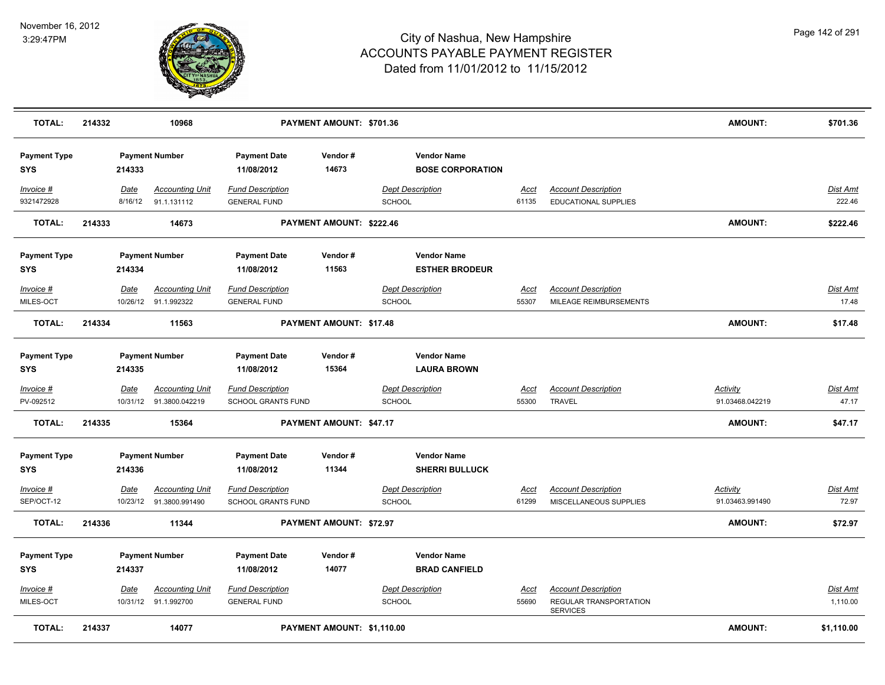

| <b>TOTAL:</b>                     | 214332 |                  | 10968                                             |                                                      | PAYMENT AMOUNT: \$701.36   |                                               |                      |                                                                         | <b>AMOUNT:</b>                     | \$701.36             |
|-----------------------------------|--------|------------------|---------------------------------------------------|------------------------------------------------------|----------------------------|-----------------------------------------------|----------------------|-------------------------------------------------------------------------|------------------------------------|----------------------|
| <b>Payment Type</b><br><b>SYS</b> |        | 214333           | <b>Payment Number</b>                             | <b>Payment Date</b><br>11/08/2012                    | Vendor#<br>14673           | <b>Vendor Name</b><br><b>BOSE CORPORATION</b> |                      |                                                                         |                                    |                      |
| Invoice #<br>9321472928           |        | Date<br>8/16/12  | <b>Accounting Unit</b><br>91.1.131112             | <b>Fund Description</b><br><b>GENERAL FUND</b>       |                            | <b>Dept Description</b><br><b>SCHOOL</b>      | Acct<br>61135        | <b>Account Description</b><br><b>EDUCATIONAL SUPPLIES</b>               |                                    | Dist Amt<br>222.46   |
| <b>TOTAL:</b>                     | 214333 |                  | 14673                                             |                                                      | PAYMENT AMOUNT: \$222.46   |                                               |                      |                                                                         | AMOUNT:                            | \$222.46             |
| <b>Payment Type</b><br><b>SYS</b> |        | 214334           | <b>Payment Number</b>                             | <b>Payment Date</b><br>11/08/2012                    | Vendor#<br>11563           | <b>Vendor Name</b><br><b>ESTHER BRODEUR</b>   |                      |                                                                         |                                    |                      |
| Invoice #<br>MILES-OCT            |        | <b>Date</b>      | <b>Accounting Unit</b><br>10/26/12 91.1.992322    | <b>Fund Description</b><br><b>GENERAL FUND</b>       |                            | <b>Dept Description</b><br><b>SCHOOL</b>      | <u>Acct</u><br>55307 | <b>Account Description</b><br>MILEAGE REIMBURSEMENTS                    |                                    | Dist Amt<br>17.48    |
| <b>TOTAL:</b>                     | 214334 |                  | 11563                                             |                                                      | PAYMENT AMOUNT: \$17.48    |                                               |                      |                                                                         | <b>AMOUNT:</b>                     | \$17.48              |
| <b>Payment Type</b><br><b>SYS</b> |        | 214335           | <b>Payment Number</b>                             | <b>Payment Date</b><br>11/08/2012                    | Vendor#<br>15364           | <b>Vendor Name</b><br><b>LAURA BROWN</b>      |                      |                                                                         |                                    |                      |
| Invoice #<br>PV-092512            |        | <b>Date</b>      | <b>Accounting Unit</b><br>10/31/12 91.3800.042219 | <b>Fund Description</b><br>SCHOOL GRANTS FUND        |                            | <b>Dept Description</b><br><b>SCHOOL</b>      | <u>Acct</u><br>55300 | <b>Account Description</b><br><b>TRAVEL</b>                             | <b>Activity</b><br>91.03468.042219 | Dist Amt<br>47.17    |
| <b>TOTAL:</b>                     | 214335 |                  | 15364                                             |                                                      | PAYMENT AMOUNT: \$47.17    |                                               |                      |                                                                         | AMOUNT:                            | \$47.17              |
| <b>Payment Type</b><br><b>SYS</b> |        | 214336           | <b>Payment Number</b>                             | <b>Payment Date</b><br>11/08/2012                    | Vendor#<br>11344           | <b>Vendor Name</b><br><b>SHERRI BULLUCK</b>   |                      |                                                                         |                                    |                      |
| Invoice #<br>SEP/OCT-12           |        | Date<br>10/23/12 | <b>Accounting Unit</b><br>91.3800.991490          | <b>Fund Description</b><br><b>SCHOOL GRANTS FUND</b> |                            | <b>Dept Description</b><br>SCHOOL             | Acct<br>61299        | <b>Account Description</b><br>MISCELLANEOUS SUPPLIES                    | Activity<br>91.03463.991490        | Dist Amt<br>72.97    |
| <b>TOTAL:</b>                     | 214336 |                  | 11344                                             |                                                      | PAYMENT AMOUNT: \$72.97    |                                               |                      |                                                                         | <b>AMOUNT:</b>                     | \$72.97              |
| <b>Payment Type</b><br><b>SYS</b> |        | 214337           | <b>Payment Number</b>                             | <b>Payment Date</b><br>11/08/2012                    | Vendor#<br>14077           | <b>Vendor Name</b><br><b>BRAD CANFIELD</b>    |                      |                                                                         |                                    |                      |
| $Invoice$ #<br>MILES-OCT          |        | Date             | <b>Accounting Unit</b><br>10/31/12 91.1.992700    | <b>Fund Description</b><br><b>GENERAL FUND</b>       |                            | <b>Dept Description</b><br><b>SCHOOL</b>      | Acct<br>55690        | <b>Account Description</b><br>REGULAR TRANSPORTATION<br><b>SERVICES</b> |                                    | Dist Amt<br>1,110.00 |
| <b>TOTAL:</b>                     | 214337 |                  | 14077                                             |                                                      | PAYMENT AMOUNT: \$1,110.00 |                                               |                      |                                                                         | <b>AMOUNT:</b>                     | \$1,110.00           |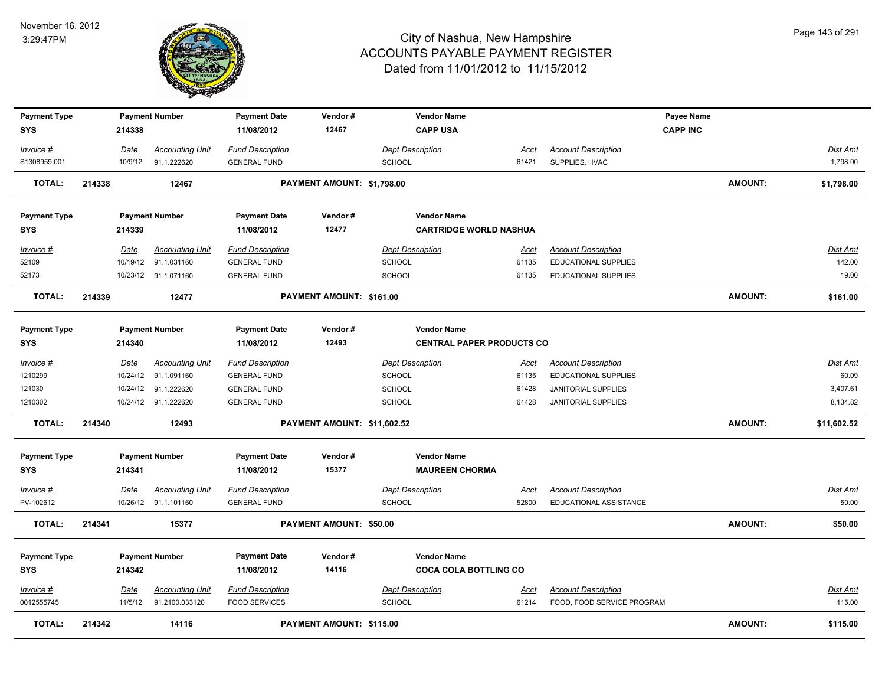

| <b>Payment Type</b><br><b>SYS</b> |        | 214338                 | <b>Payment Number</b>  | <b>Payment Date</b><br>11/08/2012 | Vendor#<br>12467            | <b>Vendor Name</b><br><b>CAPP USA</b> |               |                             | Payee Name<br><b>CAPP INC</b> |                |                           |
|-----------------------------------|--------|------------------------|------------------------|-----------------------------------|-----------------------------|---------------------------------------|---------------|-----------------------------|-------------------------------|----------------|---------------------------|
|                                   |        |                        |                        |                                   |                             |                                       |               |                             |                               |                |                           |
| Invoice #                         |        | <b>Date</b>            | <b>Accounting Unit</b> | <b>Fund Description</b>           |                             | <b>Dept Description</b>               | <u>Acct</u>   | <b>Account Description</b>  |                               |                | <u>Dist Amt</u>           |
| S1308959.001                      |        | 10/9/12                | 91.1.222620            | <b>GENERAL FUND</b>               |                             | <b>SCHOOL</b>                         | 61421         | SUPPLIES, HVAC              |                               |                | 1,798.00                  |
| <b>TOTAL:</b>                     | 214338 |                        | 12467                  |                                   | PAYMENT AMOUNT: \$1,798.00  |                                       |               |                             |                               | <b>AMOUNT:</b> | \$1,798.00                |
| <b>Payment Type</b>               |        |                        | <b>Payment Number</b>  | <b>Payment Date</b>               | Vendor#                     | <b>Vendor Name</b>                    |               |                             |                               |                |                           |
| <b>SYS</b>                        |        | 214339                 |                        | 11/08/2012                        | 12477                       | <b>CARTRIDGE WORLD NASHUA</b>         |               |                             |                               |                |                           |
| Invoice #                         |        | Date                   | Accounting Unit        | <b>Fund Description</b>           |                             | <b>Dept Description</b>               | Acct          | <b>Account Description</b>  |                               |                | Dist Amt                  |
| 52109                             |        | 10/19/12               | 91.1.031160            | <b>GENERAL FUND</b>               |                             | <b>SCHOOL</b>                         | 61135         | <b>EDUCATIONAL SUPPLIES</b> |                               |                | 142.00                    |
| 52173                             |        |                        | 10/23/12 91.1.071160   | <b>GENERAL FUND</b>               |                             | <b>SCHOOL</b>                         | 61135         | <b>EDUCATIONAL SUPPLIES</b> |                               |                | 19.00                     |
| <b>TOTAL:</b>                     | 214339 |                        | 12477                  |                                   | PAYMENT AMOUNT: \$161.00    |                                       |               |                             |                               | <b>AMOUNT:</b> | \$161.00                  |
| <b>Payment Type</b>               |        |                        | <b>Payment Number</b>  | <b>Payment Date</b>               | Vendor#                     | <b>Vendor Name</b>                    |               |                             |                               |                |                           |
| <b>SYS</b>                        |        | 214340                 |                        | 11/08/2012                        | 12493                       | <b>CENTRAL PAPER PRODUCTS CO</b>      |               |                             |                               |                |                           |
| Invoice #                         |        | <b>Date</b>            | <b>Accounting Unit</b> | <b>Fund Description</b>           |                             | <b>Dept Description</b>               | <u>Acct</u>   | <b>Account Description</b>  |                               |                | Dist Amt                  |
| 1210299                           |        | 10/24/12               | 91.1.091160            | <b>GENERAL FUND</b>               |                             | SCHOOL                                | 61135         | EDUCATIONAL SUPPLIES        |                               |                | 60.09                     |
| 121030                            |        |                        | 10/24/12 91.1.222620   | <b>GENERAL FUND</b>               |                             | <b>SCHOOL</b>                         | 61428         | <b>JANITORIAL SUPPLIES</b>  |                               |                | 3,407.61                  |
| 1210302                           |        |                        | 10/24/12 91.1.222620   | <b>GENERAL FUND</b>               |                             | <b>SCHOOL</b>                         | 61428         | <b>JANITORIAL SUPPLIES</b>  |                               |                | 8,134.82                  |
| <b>TOTAL:</b>                     | 214340 |                        | 12493                  |                                   | PAYMENT AMOUNT: \$11,602.52 |                                       |               |                             |                               | <b>AMOUNT:</b> | \$11,602.52               |
| <b>Payment Type</b>               |        |                        | <b>Payment Number</b>  | <b>Payment Date</b>               | Vendor#                     | <b>Vendor Name</b>                    |               |                             |                               |                |                           |
| <b>SYS</b>                        |        | 214341                 |                        | 11/08/2012                        | 15377                       | <b>MAUREEN CHORMA</b>                 |               |                             |                               |                |                           |
| Invoice #                         |        | Date                   | <b>Accounting Unit</b> | <b>Fund Description</b>           |                             | <b>Dept Description</b>               | <u>Acct</u>   | <b>Account Description</b>  |                               |                | Dist Amt                  |
| PV-102612                         |        |                        | 10/26/12 91.1.101160   | <b>GENERAL FUND</b>               |                             | SCHOOL                                | 52800         | EDUCATIONAL ASSISTANCE      |                               |                | 50.00                     |
| <b>TOTAL:</b>                     | 214341 |                        | 15377                  |                                   | PAYMENT AMOUNT: \$50.00     |                                       |               |                             |                               | <b>AMOUNT:</b> | \$50.00                   |
| <b>Payment Type</b>               |        |                        | <b>Payment Number</b>  | <b>Payment Date</b>               | Vendor#                     | <b>Vendor Name</b>                    |               |                             |                               |                |                           |
| <b>SYS</b>                        |        | 214342                 |                        | 11/08/2012                        | 14116                       | <b>COCA COLA BOTTLING CO</b>          |               |                             |                               |                |                           |
|                                   |        |                        |                        |                                   |                             |                                       |               |                             |                               |                |                           |
| Invoice #<br>0012555745           |        | <u>Date</u><br>11/5/12 | <b>Accounting Unit</b> | <b>Fund Description</b>           |                             | <b>Dept Description</b>               | Acct<br>61214 | <b>Account Description</b>  |                               |                | <u>Dist Amt</u><br>115.00 |
|                                   |        |                        | 91.2100.033120         | <b>FOOD SERVICES</b>              |                             | <b>SCHOOL</b>                         |               | FOOD, FOOD SERVICE PROGRAM  |                               |                |                           |
| <b>TOTAL:</b>                     | 214342 |                        | 14116                  |                                   | PAYMENT AMOUNT: \$115.00    |                                       |               |                             |                               | <b>AMOUNT:</b> | \$115.00                  |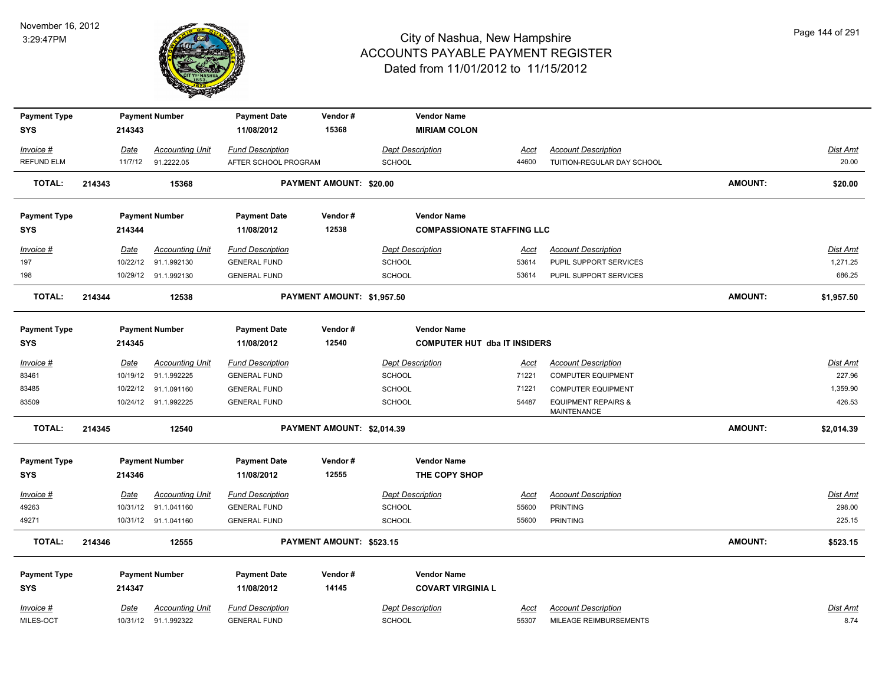

| <b>Payment Type</b> |        | <b>Payment Number</b> |                        | <b>Payment Date</b>        | Vendor#                        | <b>Vendor Name</b>                  |             |                                                      |                |                 |
|---------------------|--------|-----------------------|------------------------|----------------------------|--------------------------------|-------------------------------------|-------------|------------------------------------------------------|----------------|-----------------|
| <b>SYS</b>          |        | 214343                |                        | 11/08/2012                 | 15368                          | <b>MIRIAM COLON</b>                 |             |                                                      |                |                 |
| Invoice #           |        | Date                  | <b>Accounting Unit</b> | <b>Fund Description</b>    |                                | <b>Dept Description</b>             | <u>Acct</u> | <b>Account Description</b>                           |                | Dist Amt        |
| <b>REFUND ELM</b>   |        | 11/7/12               | 91.2222.05             | AFTER SCHOOL PROGRAM       |                                | <b>SCHOOL</b>                       | 44600       | TUITION-REGULAR DAY SCHOOL                           |                | 20.00           |
| <b>TOTAL:</b>       | 214343 | 15368                 |                        |                            | <b>PAYMENT AMOUNT: \$20.00</b> |                                     |             |                                                      | <b>AMOUNT:</b> | \$20.00         |
| <b>Payment Type</b> |        |                       | <b>Payment Number</b>  | <b>Payment Date</b>        | Vendor#                        | <b>Vendor Name</b>                  |             |                                                      |                |                 |
| <b>SYS</b>          |        | 214344                |                        | 11/08/2012                 | 12538                          | <b>COMPASSIONATE STAFFING LLC</b>   |             |                                                      |                |                 |
| Invoice #           |        | Date                  | <b>Accounting Unit</b> | <b>Fund Description</b>    |                                | <b>Dept Description</b>             | Acct        | <b>Account Description</b>                           |                | Dist Amt        |
| 197                 |        | 10/22/12              | 91.1.992130            | <b>GENERAL FUND</b>        |                                | <b>SCHOOL</b>                       | 53614       | PUPIL SUPPORT SERVICES                               |                | 1,271.25        |
| 198                 |        |                       | 10/29/12 91.1.992130   | <b>GENERAL FUND</b>        |                                | <b>SCHOOL</b>                       | 53614       | PUPIL SUPPORT SERVICES                               |                | 686.25          |
| <b>TOTAL:</b>       | 214344 | 12538                 |                        | PAYMENT AMOUNT: \$1,957.50 |                                |                                     |             |                                                      | <b>AMOUNT:</b> | \$1,957.50      |
| <b>Payment Type</b> |        |                       | <b>Payment Number</b>  | <b>Payment Date</b>        | Vendor#                        | <b>Vendor Name</b>                  |             |                                                      |                |                 |
| <b>SYS</b>          |        | 214345                |                        | 11/08/2012                 | 12540                          | <b>COMPUTER HUT dba IT INSIDERS</b> |             |                                                      |                |                 |
| Invoice #           |        | Date                  | <b>Accounting Unit</b> | <b>Fund Description</b>    |                                | <b>Dept Description</b>             | <u>Acct</u> | <b>Account Description</b>                           |                | <b>Dist Amt</b> |
| 83461               |        | 10/19/12              | 91.1.992225            | <b>GENERAL FUND</b>        |                                | <b>SCHOOL</b>                       | 71221       | <b>COMPUTER EQUIPMENT</b>                            |                | 227.96          |
| 83485               |        | 10/22/12              | 91.1.091160            | <b>GENERAL FUND</b>        |                                | <b>SCHOOL</b>                       | 71221       | <b>COMPUTER EQUIPMENT</b>                            |                | 1,359.90        |
| 83509               |        |                       | 10/24/12 91.1.992225   | <b>GENERAL FUND</b>        |                                | <b>SCHOOL</b>                       | 54487       | <b>EQUIPMENT REPAIRS &amp;</b><br><b>MAINTENANCE</b> |                | 426.53          |
| <b>TOTAL:</b>       | 214345 | 12540                 |                        | PAYMENT AMOUNT: \$2,014.39 |                                |                                     |             |                                                      | <b>AMOUNT:</b> | \$2,014.39      |
| <b>Payment Type</b> |        |                       | <b>Payment Number</b>  | <b>Payment Date</b>        | Vendor#                        | <b>Vendor Name</b>                  |             |                                                      |                |                 |
| <b>SYS</b>          |        | 214346                |                        | 11/08/2012                 | 12555                          | THE COPY SHOP                       |             |                                                      |                |                 |
| Invoice #           |        | Date                  | <b>Accounting Unit</b> | <b>Fund Description</b>    |                                | <b>Dept Description</b>             | Acct        | <b>Account Description</b>                           |                | Dist Amt        |
| 49263               |        |                       | 10/31/12 91.1.041160   | <b>GENERAL FUND</b>        |                                | <b>SCHOOL</b>                       | 55600       | <b>PRINTING</b>                                      |                | 298.00          |
| 49271               |        |                       | 10/31/12 91.1.041160   | <b>GENERAL FUND</b>        |                                | SCHOOL                              | 55600       | <b>PRINTING</b>                                      |                | 225.15          |
| <b>TOTAL:</b>       | 214346 | 12555                 |                        | PAYMENT AMOUNT: \$523.15   |                                |                                     |             |                                                      | <b>AMOUNT:</b> | \$523.15        |
| <b>Payment Type</b> |        |                       | <b>Payment Number</b>  | <b>Payment Date</b>        | Vendor#                        | <b>Vendor Name</b>                  |             |                                                      |                |                 |
| <b>SYS</b>          |        | 214347                |                        | 11/08/2012                 | 14145                          | <b>COVART VIRGINIA L</b>            |             |                                                      |                |                 |
| Invoice #           |        | Date                  | <b>Accounting Unit</b> | <b>Fund Description</b>    |                                | <b>Dept Description</b>             | <u>Acct</u> | <b>Account Description</b>                           |                | <b>Dist Amt</b> |
| MILES-OCT           |        |                       | 10/31/12 91.1.992322   | <b>GENERAL FUND</b>        |                                | <b>SCHOOL</b>                       | 55307       | MILEAGE REIMBURSEMENTS                               |                | 8.74            |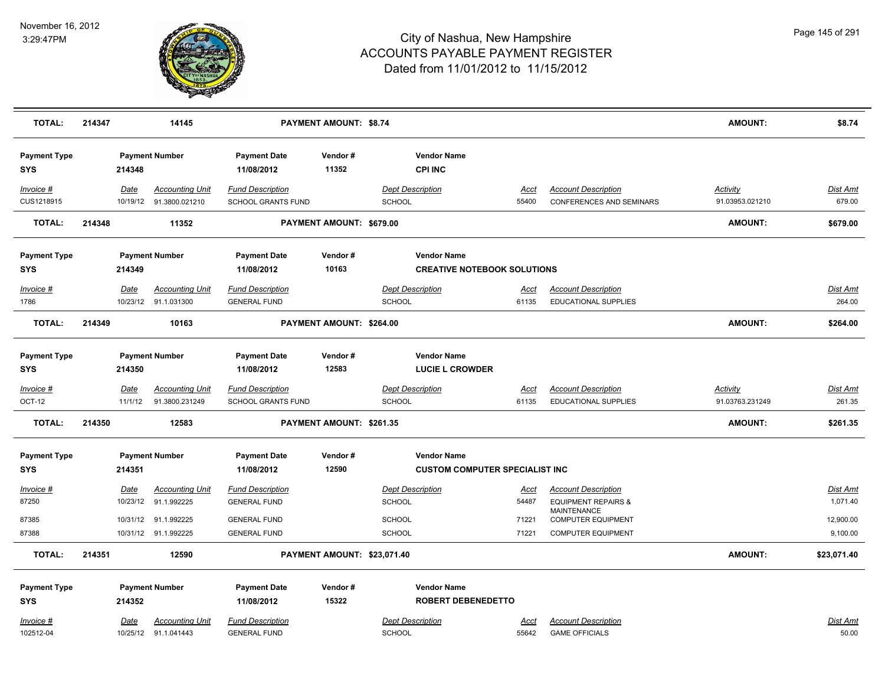

| <b>TOTAL:</b>                     | 214347 |                  | 14145                                             |                                                      | <b>PAYMENT AMOUNT: \$8.74</b> |                                              |                                       |                                                                                    | <b>AMOUNT:</b>                     | \$8.74                      |
|-----------------------------------|--------|------------------|---------------------------------------------------|------------------------------------------------------|-------------------------------|----------------------------------------------|---------------------------------------|------------------------------------------------------------------------------------|------------------------------------|-----------------------------|
| <b>Payment Type</b><br>SYS        |        | 214348           | <b>Payment Number</b>                             | <b>Payment Date</b><br>11/08/2012                    | Vendor#<br>11352              | <b>Vendor Name</b><br><b>CPI INC</b>         |                                       |                                                                                    |                                    |                             |
| Invoice #<br>CUS1218915           |        | Date             | <b>Accounting Unit</b><br>10/19/12 91.3800.021210 | <b>Fund Description</b><br><b>SCHOOL GRANTS FUND</b> |                               | <b>Dept Description</b><br><b>SCHOOL</b>     | <u>Acct</u><br>55400                  | <b>Account Description</b><br><b>CONFERENCES AND SEMINARS</b>                      | <b>Activity</b><br>91.03953.021210 | <b>Dist Amt</b><br>679.00   |
| <b>TOTAL:</b>                     | 214348 |                  | 11352                                             |                                                      | PAYMENT AMOUNT: \$679.00      |                                              |                                       |                                                                                    | <b>AMOUNT:</b>                     | \$679.00                    |
| <b>Payment Type</b><br>SYS        |        | 214349           | <b>Payment Number</b>                             | <b>Payment Date</b><br>11/08/2012                    | Vendor#<br>10163              | <b>Vendor Name</b>                           | <b>CREATIVE NOTEBOOK SOLUTIONS</b>    |                                                                                    |                                    |                             |
| Invoice #<br>1786                 |        | Date             | <b>Accounting Unit</b><br>10/23/12 91.1.031300    | <b>Fund Description</b><br><b>GENERAL FUND</b>       |                               | <b>Dept Description</b><br><b>SCHOOL</b>     | <u>Acct</u><br>61135                  | <b>Account Description</b><br><b>EDUCATIONAL SUPPLIES</b>                          |                                    | Dist Amt<br>264.00          |
| <b>TOTAL:</b>                     | 214349 |                  | 10163                                             |                                                      | PAYMENT AMOUNT: \$264.00      |                                              |                                       |                                                                                    | <b>AMOUNT:</b>                     | \$264.00                    |
| <b>Payment Type</b><br><b>SYS</b> |        | 214350           | <b>Payment Number</b>                             | <b>Payment Date</b><br>11/08/2012                    | Vendor#<br>12583              | <b>Vendor Name</b><br><b>LUCIE L CROWDER</b> |                                       |                                                                                    |                                    |                             |
| Invoice #<br><b>OCT-12</b>        |        | Date<br>11/1/12  | <b>Accounting Unit</b><br>91.3800.231249          | <b>Fund Description</b><br>SCHOOL GRANTS FUND        |                               | <b>Dept Description</b><br><b>SCHOOL</b>     | <u>Acct</u><br>61135                  | <b>Account Description</b><br>EDUCATIONAL SUPPLIES                                 | Activity<br>91.03763.231249        | <b>Dist Amt</b><br>261.35   |
| <b>TOTAL:</b>                     | 214350 |                  | 12583                                             |                                                      | PAYMENT AMOUNT: \$261.35      |                                              |                                       |                                                                                    | <b>AMOUNT:</b>                     | \$261.35                    |
| <b>Payment Type</b><br><b>SYS</b> |        | 214351           | <b>Payment Number</b>                             | <b>Payment Date</b><br>11/08/2012                    | Vendor#<br>12590              | <b>Vendor Name</b>                           | <b>CUSTOM COMPUTER SPECIALIST INC</b> |                                                                                    |                                    |                             |
| Invoice #<br>87250                |        | Date<br>10/23/12 | <b>Accounting Unit</b><br>91.1.992225             | <b>Fund Description</b><br><b>GENERAL FUND</b>       |                               | <b>Dept Description</b><br>SCHOOL            | Acct<br>54487                         | <b>Account Description</b><br><b>EQUIPMENT REPAIRS &amp;</b><br><b>MAINTENANCE</b> |                                    | <b>Dist Amt</b><br>1,071.40 |
| 87385<br>87388                    |        | 10/31/12         | 91.1.992225<br>10/31/12 91.1.992225               | <b>GENERAL FUND</b><br><b>GENERAL FUND</b>           |                               | SCHOOL<br><b>SCHOOL</b>                      | 71221<br>71221                        | <b>COMPUTER EQUIPMENT</b><br><b>COMPUTER EQUIPMENT</b>                             |                                    | 12,900.00<br>9,100.00       |
| <b>TOTAL:</b>                     | 214351 |                  | 12590                                             |                                                      | PAYMENT AMOUNT: \$23,071.40   |                                              |                                       |                                                                                    | <b>AMOUNT:</b>                     | \$23,071.40                 |
| <b>Payment Type</b><br><b>SYS</b> |        | 214352           | <b>Payment Number</b>                             | <b>Payment Date</b><br>11/08/2012                    | Vendor#<br>15322              | <b>Vendor Name</b>                           | <b>ROBERT DEBENEDETTO</b>             |                                                                                    |                                    |                             |
| Invoice #<br>102512-04            |        | <u>Date</u>      | <b>Accounting Unit</b><br>10/25/12 91.1.041443    | <b>Fund Description</b><br><b>GENERAL FUND</b>       |                               | <b>Dept Description</b><br><b>SCHOOL</b>     | <u>Acct</u><br>55642                  | <b>Account Description</b><br><b>GAME OFFICIALS</b>                                |                                    | Dist Amt<br>50.00           |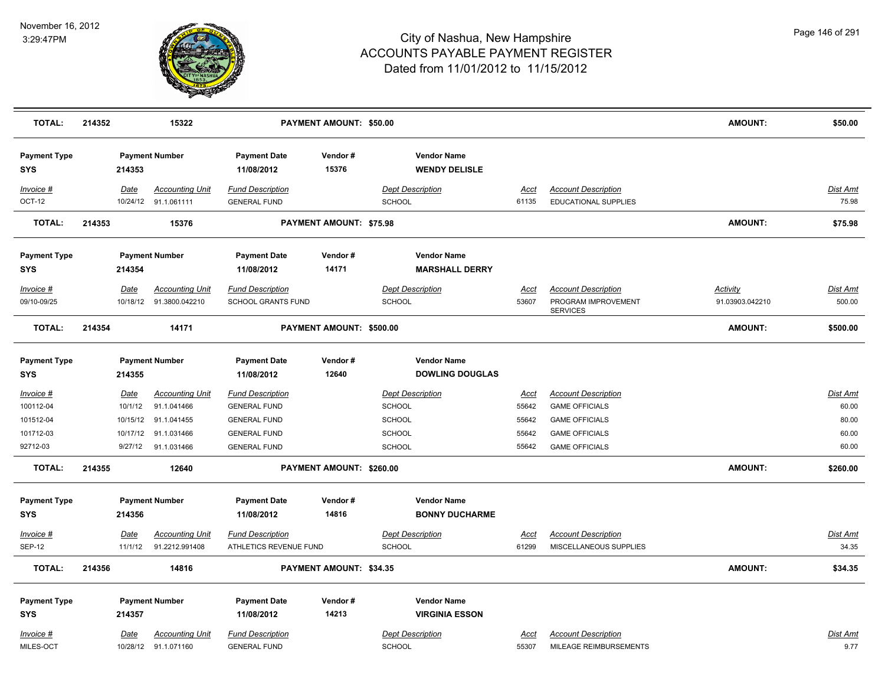

| <b>TOTAL:</b>                     | 214352      | 15322                                          |                                                | PAYMENT AMOUNT: \$50.00  |                                              |               |                                                           | <b>AMOUNT:</b>  | \$50.00                 |
|-----------------------------------|-------------|------------------------------------------------|------------------------------------------------|--------------------------|----------------------------------------------|---------------|-----------------------------------------------------------|-----------------|-------------------------|
| <b>Payment Type</b><br>SYS        | 214353      | <b>Payment Number</b>                          | <b>Payment Date</b><br>11/08/2012              | Vendor#<br>15376         | <b>Vendor Name</b><br><b>WENDY DELISLE</b>   |               |                                                           |                 |                         |
| Invoice #<br>OCT-12               | Date        | <b>Accounting Unit</b><br>10/24/12 91.1.061111 | <b>Fund Description</b><br><b>GENERAL FUND</b> |                          | <b>Dept Description</b><br><b>SCHOOL</b>     | Acct<br>61135 | <b>Account Description</b><br><b>EDUCATIONAL SUPPLIES</b> |                 | Dist Amt<br>75.98       |
| <b>TOTAL:</b>                     | 214353      | 15376                                          |                                                | PAYMENT AMOUNT: \$75.98  |                                              |               |                                                           | <b>AMOUNT:</b>  | \$75.98                 |
| <b>Payment Type</b><br><b>SYS</b> | 214354      | <b>Payment Number</b>                          | <b>Payment Date</b><br>11/08/2012              | Vendor#<br>14171         | <b>Vendor Name</b><br><b>MARSHALL DERRY</b>  |               |                                                           |                 |                         |
| Invoice #                         | Date        | <b>Accounting Unit</b>                         | <b>Fund Description</b>                        |                          | <b>Dept Description</b>                      | Acct          | <b>Account Description</b>                                | <b>Activity</b> | Dist Amt                |
| 09/10-09/25                       | 10/18/12    | 91.3800.042210                                 | <b>SCHOOL GRANTS FUND</b>                      |                          | SCHOOL                                       | 53607         | PROGRAM IMPROVEMENT<br><b>SERVICES</b>                    | 91.03903.042210 | 500.00                  |
| <b>TOTAL:</b>                     | 214354      | 14171                                          |                                                | PAYMENT AMOUNT: \$500.00 |                                              |               |                                                           | <b>AMOUNT:</b>  | \$500.00                |
| <b>Payment Type</b><br><b>SYS</b> | 214355      | <b>Payment Number</b>                          | <b>Payment Date</b><br>11/08/2012              | Vendor#<br>12640         | <b>Vendor Name</b><br><b>DOWLING DOUGLAS</b> |               |                                                           |                 |                         |
| Invoice #                         | Date        | <b>Accounting Unit</b>                         | <b>Fund Description</b>                        |                          | <b>Dept Description</b>                      | Acct          | <b>Account Description</b>                                |                 | Dist Amt                |
| 100112-04                         | 10/1/12     | 91.1.041466                                    | <b>GENERAL FUND</b>                            |                          | SCHOOL                                       | 55642         | <b>GAME OFFICIALS</b>                                     |                 | 60.00                   |
| 101512-04                         | 10/15/12    | 91.1.041455                                    | <b>GENERAL FUND</b>                            |                          | <b>SCHOOL</b>                                | 55642         | <b>GAME OFFICIALS</b>                                     |                 | 80.00                   |
| 101712-03                         |             | 10/17/12 91.1.031466                           | <b>GENERAL FUND</b>                            |                          | SCHOOL                                       | 55642         | <b>GAME OFFICIALS</b>                                     |                 | 60.00                   |
| 92712-03                          | 9/27/12     | 91.1.031466                                    | <b>GENERAL FUND</b>                            |                          | SCHOOL                                       | 55642         | <b>GAME OFFICIALS</b>                                     |                 | 60.00                   |
| <b>TOTAL:</b>                     | 214355      | 12640                                          |                                                | PAYMENT AMOUNT: \$260.00 |                                              |               |                                                           | AMOUNT:         | \$260.00                |
| <b>Payment Type</b>               |             | <b>Payment Number</b>                          | <b>Payment Date</b>                            | Vendor#                  | <b>Vendor Name</b>                           |               |                                                           |                 |                         |
| <b>SYS</b>                        | 214356      |                                                | 11/08/2012                                     | 14816                    | <b>BONNY DUCHARME</b>                        |               |                                                           |                 |                         |
| Invoice #                         | <b>Date</b> | <u>Accounting Unit</u>                         | <b>Fund Description</b>                        |                          | <b>Dept Description</b>                      | <u>Acct</u>   | <b>Account Description</b>                                |                 | <u>Dist Amt</u>         |
| <b>SEP-12</b>                     | 11/1/12     | 91.2212.991408                                 | ATHLETICS REVENUE FUND                         |                          | SCHOOL                                       | 61299         | MISCELLANEOUS SUPPLIES                                    |                 | 34.35                   |
| <b>TOTAL:</b>                     | 214356      | 14816                                          |                                                | PAYMENT AMOUNT: \$34.35  |                                              |               |                                                           | <b>AMOUNT:</b>  | \$34.35                 |
| <b>Payment Type</b>               |             | <b>Payment Number</b>                          | <b>Payment Date</b>                            | Vendor#                  | <b>Vendor Name</b>                           |               |                                                           |                 |                         |
| <b>SYS</b>                        | 214357      |                                                | 11/08/2012                                     | 14213                    | <b>VIRGINIA ESSON</b>                        |               |                                                           |                 |                         |
| Invoice #<br>MILES-OCT            | Date        | <b>Accounting Unit</b><br>10/28/12 91.1.071160 | <b>Fund Description</b><br><b>GENERAL FUND</b> |                          | <b>Dept Description</b><br>SCHOOL            | Acct<br>55307 | <b>Account Description</b><br>MILEAGE REIMBURSEMENTS      |                 | <u>Dist Amt</u><br>9.77 |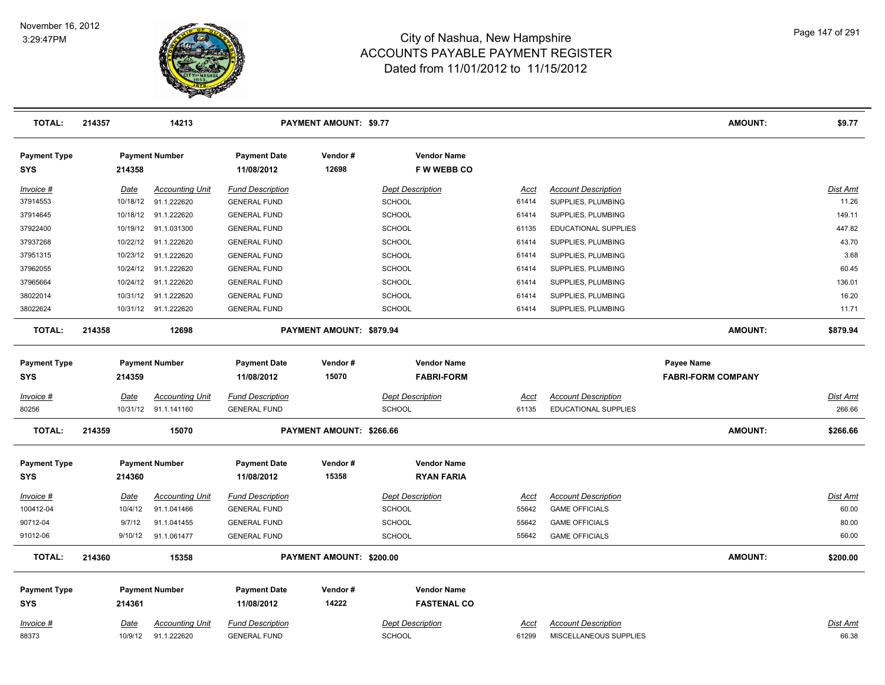

| <b>TOTAL:</b>                     | 214357 |             | 14213                  |                                   | <b>PAYMENT AMOUNT: \$9.77</b> |                                         |             |                            | <b>AMOUNT:</b>                                 | \$9.77          |
|-----------------------------------|--------|-------------|------------------------|-----------------------------------|-------------------------------|-----------------------------------------|-------------|----------------------------|------------------------------------------------|-----------------|
| <b>Payment Type</b><br>SYS        |        | 214358      | <b>Payment Number</b>  | <b>Payment Date</b><br>11/08/2012 | Vendor#<br>12698              | <b>Vendor Name</b><br>F W WEBB CO       |             |                            |                                                |                 |
| Invoice #                         |        | Date        | <b>Accounting Unit</b> | <b>Fund Description</b>           |                               | <b>Dept Description</b>                 | Acct        | <b>Account Description</b> |                                                | Dist Amt        |
| 37914553                          |        | 10/18/12    | 91.1.222620            | <b>GENERAL FUND</b>               |                               | <b>SCHOOL</b>                           | 61414       | SUPPLIES, PLUMBING         |                                                | 11.26           |
| 37914645                          |        | 10/18/12    | 91.1.222620            | <b>GENERAL FUND</b>               |                               | <b>SCHOOL</b>                           | 61414       | SUPPLIES, PLUMBING         |                                                | 149.11          |
| 37922400                          |        |             | 10/19/12 91.1.031300   | <b>GENERAL FUND</b>               |                               | SCHOOL                                  | 61135       | EDUCATIONAL SUPPLIES       |                                                | 447.82          |
| 37937268                          |        | 10/22/12    | 91.1.222620            | <b>GENERAL FUND</b>               |                               | SCHOOL                                  | 61414       | SUPPLIES, PLUMBING         |                                                | 43.70           |
| 37951315                          |        | 10/23/12    | 91.1.222620            | <b>GENERAL FUND</b>               |                               | SCHOOL                                  | 61414       | SUPPLIES, PLUMBING         |                                                | 3.68            |
| 37962055                          |        | 10/24/12    | 91.1.222620            | <b>GENERAL FUND</b>               |                               | <b>SCHOOL</b>                           | 61414       | SUPPLIES, PLUMBING         |                                                | 60.45           |
| 37965664                          |        | 10/24/12    | 91.1.222620            | <b>GENERAL FUND</b>               |                               | <b>SCHOOL</b>                           | 61414       | SUPPLIES, PLUMBING         |                                                | 136.01          |
| 38022014                          |        |             | 10/31/12 91.1.222620   | <b>GENERAL FUND</b>               |                               | <b>SCHOOL</b>                           | 61414       | SUPPLIES, PLUMBING         |                                                | 16.20           |
| 38022624                          |        |             | 10/31/12 91.1.222620   | <b>GENERAL FUND</b>               |                               | SCHOOL                                  | 61414       | SUPPLIES, PLUMBING         |                                                | 11.71           |
| <b>TOTAL:</b>                     | 214358 |             | 12698                  |                                   | PAYMENT AMOUNT: \$879.94      |                                         |             |                            | <b>AMOUNT:</b>                                 | \$879.94        |
| <b>Payment Type</b><br>SYS        |        | 214359      | <b>Payment Number</b>  | <b>Payment Date</b><br>11/08/2012 | Vendor#<br>15070              | <b>Vendor Name</b><br><b>FABRI-FORM</b> |             |                            | <b>Payee Name</b><br><b>FABRI-FORM COMPANY</b> |                 |
| Invoice #                         |        | Date        | <b>Accounting Unit</b> | <b>Fund Description</b>           |                               | <b>Dept Description</b>                 | Acct        | <b>Account Description</b> |                                                | <b>Dist Amt</b> |
| 80256                             |        | 10/31/12    | 91.1.141160            | <b>GENERAL FUND</b>               |                               | SCHOOL                                  | 61135       | EDUCATIONAL SUPPLIES       |                                                | 266.66          |
| <b>TOTAL:</b>                     | 214359 |             | 15070                  |                                   | PAYMENT AMOUNT: \$266.66      |                                         |             |                            | <b>AMOUNT:</b>                                 | \$266.66        |
| <b>Payment Type</b><br><b>SYS</b> |        | 214360      | <b>Payment Number</b>  | <b>Payment Date</b><br>11/08/2012 | Vendor#<br>15358              | <b>Vendor Name</b><br><b>RYAN FARIA</b> |             |                            |                                                |                 |
| <u>Invoice #</u>                  |        | <u>Date</u> | <b>Accounting Unit</b> | <u>Fund Description</u>           |                               | <b>Dept Description</b>                 | <u>Acct</u> | <b>Account Description</b> |                                                | Dist Amt        |
| 100412-04                         |        | 10/4/12     | 91.1.041466            | <b>GENERAL FUND</b>               |                               | <b>SCHOOL</b>                           | 55642       | <b>GAME OFFICIALS</b>      |                                                | 60.00           |
| 90712-04                          |        | 9/7/12      | 91.1.041455            | <b>GENERAL FUND</b>               |                               | <b>SCHOOL</b>                           | 55642       | <b>GAME OFFICIALS</b>      |                                                | 80.00           |
| 91012-06                          |        | 9/10/12     | 91.1.061477            | <b>GENERAL FUND</b>               |                               | SCHOOL                                  | 55642       | <b>GAME OFFICIALS</b>      |                                                | 60.00           |
| <b>TOTAL:</b>                     | 214360 |             | 15358                  |                                   | PAYMENT AMOUNT: \$200.00      |                                         |             |                            | <b>AMOUNT:</b>                                 | \$200.00        |
| <b>Payment Type</b>               |        |             | <b>Payment Number</b>  | <b>Payment Date</b>               | Vendor#                       | <b>Vendor Name</b>                      |             |                            |                                                |                 |
| <b>SYS</b>                        |        | 214361      |                        | 11/08/2012                        | 14222                         | <b>FASTENAL CO</b>                      |             |                            |                                                |                 |
| Invoice #                         |        | <u>Date</u> | <b>Accounting Unit</b> | <b>Fund Description</b>           |                               | <b>Dept Description</b>                 | Acct        | <b>Account Description</b> |                                                | Dist Amt        |
| 88373                             |        | 10/9/12     | 91.1.222620            | <b>GENERAL FUND</b>               |                               | <b>SCHOOL</b>                           | 61299       | MISCELLANEOUS SUPPLIES     |                                                | 66.38           |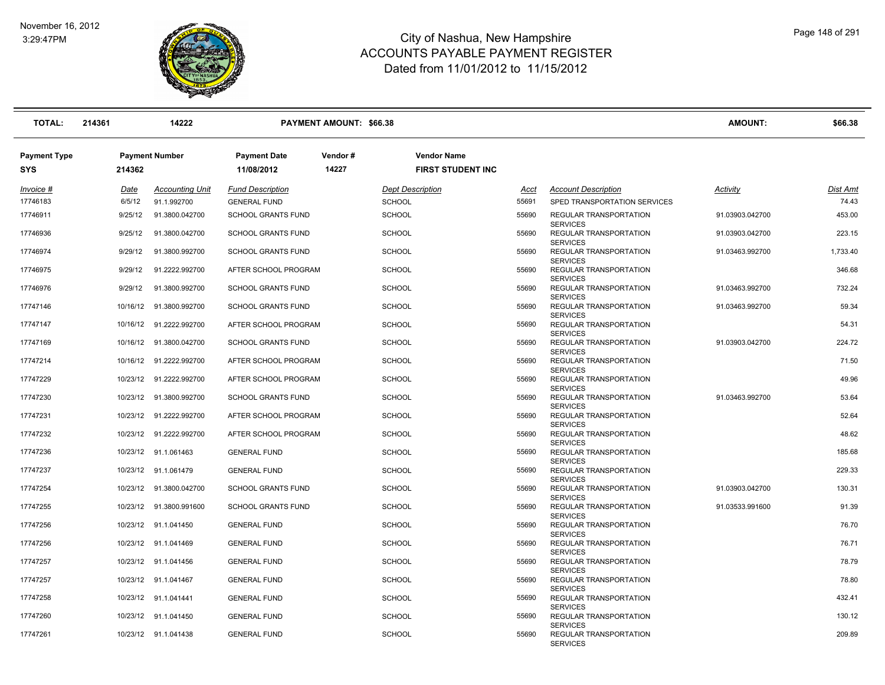

| <b>TOTAL:</b>                     | 214361   | 14222                   |                                   | <b>PAYMENT AMOUNT: \$66.38</b> |                                                |       |                                                  | <b>AMOUNT:</b>  | \$66.38  |
|-----------------------------------|----------|-------------------------|-----------------------------------|--------------------------------|------------------------------------------------|-------|--------------------------------------------------|-----------------|----------|
| <b>Payment Type</b><br><b>SYS</b> | 214362   | <b>Payment Number</b>   | <b>Payment Date</b><br>11/08/2012 | Vendor#<br>14227               | <b>Vendor Name</b><br><b>FIRST STUDENT INC</b> |       |                                                  |                 |          |
| $Invoice$ #                       | Date     | <b>Accounting Unit</b>  | <b>Fund Description</b>           |                                | <b>Dept Description</b>                        | Acct  | <b>Account Description</b>                       | Activity        | Dist Amt |
| 17746183                          | 6/5/12   | 91.1.992700             | <b>GENERAL FUND</b>               |                                | <b>SCHOOL</b>                                  | 55691 | SPED TRANSPORTATION SERVICES                     |                 | 74.43    |
| 17746911                          | 9/25/12  | 91.3800.042700          | <b>SCHOOL GRANTS FUND</b>         |                                | <b>SCHOOL</b>                                  | 55690 | REGULAR TRANSPORTATION<br><b>SERVICES</b>        | 91.03903.042700 | 453.00   |
| 17746936                          | 9/25/12  | 91.3800.042700          | <b>SCHOOL GRANTS FUND</b>         |                                | <b>SCHOOL</b>                                  | 55690 | REGULAR TRANSPORTATION<br><b>SERVICES</b>        | 91.03903.042700 | 223.15   |
| 17746974                          | 9/29/12  | 91.3800.992700          | <b>SCHOOL GRANTS FUND</b>         |                                | <b>SCHOOL</b>                                  | 55690 | REGULAR TRANSPORTATION<br><b>SERVICES</b>        | 91.03463.992700 | 1,733.40 |
| 17746975                          | 9/29/12  | 91.2222.992700          | AFTER SCHOOL PROGRAM              |                                | <b>SCHOOL</b>                                  | 55690 | <b>REGULAR TRANSPORTATION</b><br><b>SERVICES</b> |                 | 346.68   |
| 17746976                          | 9/29/12  | 91.3800.992700          | <b>SCHOOL GRANTS FUND</b>         |                                | <b>SCHOOL</b>                                  | 55690 | REGULAR TRANSPORTATION<br><b>SERVICES</b>        | 91.03463.992700 | 732.24   |
| 17747146                          | 10/16/12 | 91.3800.992700          | <b>SCHOOL GRANTS FUND</b>         |                                | <b>SCHOOL</b>                                  | 55690 | REGULAR TRANSPORTATION<br><b>SERVICES</b>        | 91.03463.992700 | 59.34    |
| 17747147                          |          | 10/16/12 91.2222.992700 | AFTER SCHOOL PROGRAM              |                                | <b>SCHOOL</b>                                  | 55690 | REGULAR TRANSPORTATION<br><b>SERVICES</b>        |                 | 54.31    |
| 17747169                          |          | 10/16/12 91.3800.042700 | <b>SCHOOL GRANTS FUND</b>         |                                | <b>SCHOOL</b>                                  | 55690 | REGULAR TRANSPORTATION<br><b>SERVICES</b>        | 91.03903.042700 | 224.72   |
| 17747214                          |          | 10/16/12 91.2222.992700 | AFTER SCHOOL PROGRAM              |                                | <b>SCHOOL</b>                                  | 55690 | REGULAR TRANSPORTATION<br><b>SERVICES</b>        |                 | 71.50    |
| 17747229                          |          | 10/23/12 91.2222.992700 | AFTER SCHOOL PROGRAM              |                                | <b>SCHOOL</b>                                  | 55690 | REGULAR TRANSPORTATION<br><b>SERVICES</b>        |                 | 49.96    |
| 17747230                          |          | 10/23/12 91.3800.992700 | <b>SCHOOL GRANTS FUND</b>         |                                | <b>SCHOOL</b>                                  | 55690 | REGULAR TRANSPORTATION<br><b>SERVICES</b>        | 91.03463.992700 | 53.64    |
| 17747231                          |          | 10/23/12 91.2222.992700 | AFTER SCHOOL PROGRAM              |                                | <b>SCHOOL</b>                                  | 55690 | REGULAR TRANSPORTATION<br><b>SERVICES</b>        |                 | 52.64    |
| 17747232                          |          | 10/23/12 91.2222.992700 | AFTER SCHOOL PROGRAM              |                                | <b>SCHOOL</b>                                  | 55690 | <b>REGULAR TRANSPORTATION</b><br><b>SERVICES</b> |                 | 48.62    |
| 17747236                          |          | 10/23/12 91.1.061463    | <b>GENERAL FUND</b>               |                                | <b>SCHOOL</b>                                  | 55690 | REGULAR TRANSPORTATION<br><b>SERVICES</b>        |                 | 185.68   |
| 17747237                          |          | 10/23/12 91.1.061479    | <b>GENERAL FUND</b>               |                                | <b>SCHOOL</b>                                  | 55690 | REGULAR TRANSPORTATION<br><b>SERVICES</b>        |                 | 229.33   |
| 17747254                          |          | 10/23/12 91.3800.042700 | <b>SCHOOL GRANTS FUND</b>         |                                | <b>SCHOOL</b>                                  | 55690 | REGULAR TRANSPORTATION<br><b>SERVICES</b>        | 91.03903.042700 | 130.31   |
| 17747255                          |          | 10/23/12 91.3800.991600 | <b>SCHOOL GRANTS FUND</b>         |                                | <b>SCHOOL</b>                                  | 55690 | REGULAR TRANSPORTATION<br><b>SERVICES</b>        | 91.03533.991600 | 91.39    |
| 17747256                          |          | 10/23/12 91.1.041450    | <b>GENERAL FUND</b>               |                                | <b>SCHOOL</b>                                  | 55690 | REGULAR TRANSPORTATION<br><b>SERVICES</b>        |                 | 76.70    |
| 17747256                          |          | 10/23/12 91.1.041469    | <b>GENERAL FUND</b>               |                                | <b>SCHOOL</b>                                  | 55690 | REGULAR TRANSPORTATION<br><b>SERVICES</b>        |                 | 76.71    |
| 17747257                          |          | 10/23/12 91.1.041456    | <b>GENERAL FUND</b>               |                                | <b>SCHOOL</b>                                  | 55690 | REGULAR TRANSPORTATION<br><b>SERVICES</b>        |                 | 78.79    |
| 17747257                          |          | 10/23/12 91.1.041467    | <b>GENERAL FUND</b>               |                                | <b>SCHOOL</b>                                  | 55690 | REGULAR TRANSPORTATION<br><b>SERVICES</b>        |                 | 78.80    |
| 17747258                          |          | 10/23/12 91.1.041441    | <b>GENERAL FUND</b>               |                                | <b>SCHOOL</b>                                  | 55690 | <b>REGULAR TRANSPORTATION</b><br><b>SERVICES</b> |                 | 432.41   |
| 17747260                          |          | 10/23/12 91.1.041450    | <b>GENERAL FUND</b>               |                                | <b>SCHOOL</b>                                  | 55690 | REGULAR TRANSPORTATION<br><b>SERVICES</b>        |                 | 130.12   |
| 17747261                          |          | 10/23/12 91.1.041438    | <b>GENERAL FUND</b>               |                                | <b>SCHOOL</b>                                  | 55690 | REGULAR TRANSPORTATION<br><b>SERVICES</b>        |                 | 209.89   |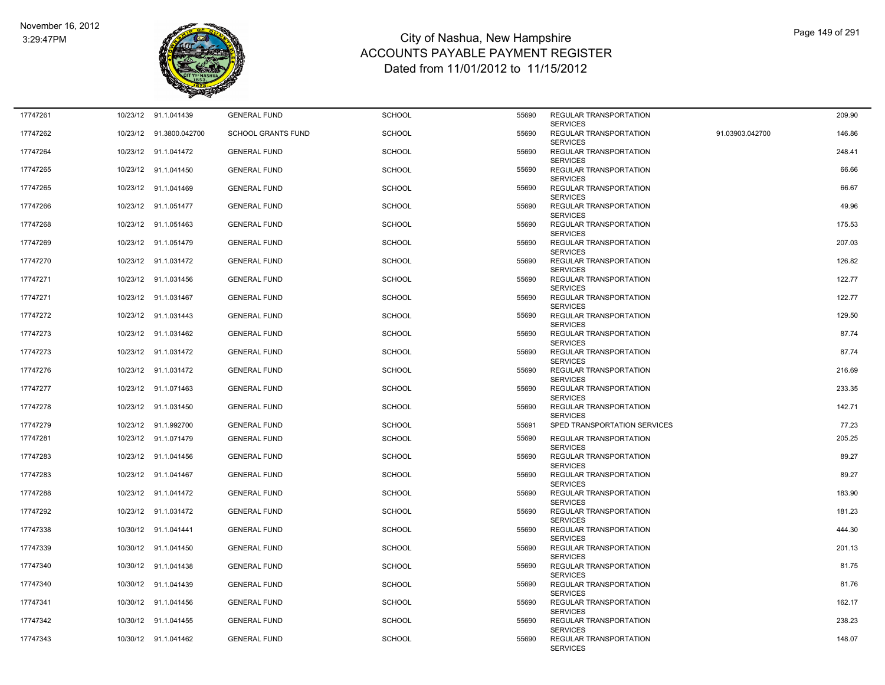

| 17747261 |          | 10/23/12 91.1.041439    | <b>GENERAL FUND</b>       | <b>SCHOOL</b> | 55690 | REGULAR TRANSPORTATION<br><b>SERVICES</b>                    |                 | 209.90 |
|----------|----------|-------------------------|---------------------------|---------------|-------|--------------------------------------------------------------|-----------------|--------|
| 17747262 |          | 10/23/12 91.3800.042700 | <b>SCHOOL GRANTS FUND</b> | <b>SCHOOL</b> | 55690 | REGULAR TRANSPORTATION<br><b>SERVICES</b>                    | 91.03903.042700 | 146.86 |
| 17747264 |          | 10/23/12 91.1.041472    | <b>GENERAL FUND</b>       | <b>SCHOOL</b> | 55690 | REGULAR TRANSPORTATION<br><b>SERVICES</b>                    |                 | 248.41 |
| 17747265 |          | 10/23/12 91.1.041450    | <b>GENERAL FUND</b>       | <b>SCHOOL</b> | 55690 | REGULAR TRANSPORTATION<br><b>SERVICES</b>                    |                 | 66.66  |
| 17747265 |          | 10/23/12 91.1.041469    | <b>GENERAL FUND</b>       | <b>SCHOOL</b> | 55690 | REGULAR TRANSPORTATION                                       |                 | 66.67  |
| 17747266 |          | 10/23/12 91.1.051477    | <b>GENERAL FUND</b>       | SCHOOL        | 55690 | <b>SERVICES</b><br>REGULAR TRANSPORTATION                    |                 | 49.96  |
| 17747268 |          | 10/23/12 91.1.051463    | <b>GENERAL FUND</b>       | <b>SCHOOL</b> | 55690 | <b>SERVICES</b><br>REGULAR TRANSPORTATION                    |                 | 175.53 |
| 17747269 |          | 10/23/12 91.1.051479    | <b>GENERAL FUND</b>       | <b>SCHOOL</b> | 55690 | <b>SERVICES</b><br>REGULAR TRANSPORTATION                    |                 | 207.03 |
| 17747270 |          | 10/23/12 91.1.031472    | <b>GENERAL FUND</b>       | <b>SCHOOL</b> | 55690 | <b>SERVICES</b><br>REGULAR TRANSPORTATION<br><b>SERVICES</b> |                 | 126.82 |
| 17747271 | 10/23/12 | 91.1.031456             | <b>GENERAL FUND</b>       | <b>SCHOOL</b> | 55690 | REGULAR TRANSPORTATION                                       |                 | 122.77 |
| 17747271 |          | 10/23/12 91.1.031467    | <b>GENERAL FUND</b>       | <b>SCHOOL</b> | 55690 | <b>SERVICES</b><br>REGULAR TRANSPORTATION<br><b>SERVICES</b> |                 | 122.77 |
| 17747272 |          | 10/23/12 91.1.031443    | <b>GENERAL FUND</b>       | SCHOOL        | 55690 | REGULAR TRANSPORTATION<br><b>SERVICES</b>                    |                 | 129.50 |
| 17747273 |          | 10/23/12 91.1.031462    | <b>GENERAL FUND</b>       | <b>SCHOOL</b> | 55690 | <b>REGULAR TRANSPORTATION</b><br><b>SERVICES</b>             |                 | 87.74  |
| 17747273 |          | 10/23/12 91.1.031472    | <b>GENERAL FUND</b>       | <b>SCHOOL</b> | 55690 | REGULAR TRANSPORTATION<br><b>SERVICES</b>                    |                 | 87.74  |
| 17747276 |          | 10/23/12 91.1.031472    | <b>GENERAL FUND</b>       | <b>SCHOOL</b> | 55690 | <b>REGULAR TRANSPORTATION</b><br><b>SERVICES</b>             |                 | 216.69 |
| 17747277 |          | 10/23/12 91.1.071463    | <b>GENERAL FUND</b>       | <b>SCHOOL</b> | 55690 | <b>REGULAR TRANSPORTATION</b><br><b>SERVICES</b>             |                 | 233.35 |
| 17747278 |          | 10/23/12 91.1.031450    | <b>GENERAL FUND</b>       | <b>SCHOOL</b> | 55690 | REGULAR TRANSPORTATION<br><b>SERVICES</b>                    |                 | 142.71 |
| 17747279 |          | 10/23/12 91.1.992700    | <b>GENERAL FUND</b>       | <b>SCHOOL</b> | 55691 | SPED TRANSPORTATION SERVICES                                 |                 | 77.23  |
| 17747281 |          | 10/23/12 91.1.071479    | <b>GENERAL FUND</b>       | <b>SCHOOL</b> | 55690 | REGULAR TRANSPORTATION<br><b>SERVICES</b>                    |                 | 205.25 |
| 17747283 |          | 10/23/12 91.1.041456    | <b>GENERAL FUND</b>       | <b>SCHOOL</b> | 55690 | REGULAR TRANSPORTATION<br><b>SERVICES</b>                    |                 | 89.27  |
| 17747283 |          | 10/23/12 91.1.041467    | <b>GENERAL FUND</b>       | SCHOOL        | 55690 | <b>REGULAR TRANSPORTATION</b><br><b>SERVICES</b>             |                 | 89.27  |
| 17747288 |          | 10/23/12 91.1.041472    | <b>GENERAL FUND</b>       | SCHOOL        | 55690 | REGULAR TRANSPORTATION<br><b>SERVICES</b>                    |                 | 183.90 |
| 17747292 |          | 10/23/12 91.1.031472    | <b>GENERAL FUND</b>       | SCHOOL        | 55690 | REGULAR TRANSPORTATION<br><b>SERVICES</b>                    |                 | 181.23 |
| 17747338 |          | 10/30/12 91.1.041441    | <b>GENERAL FUND</b>       | <b>SCHOOL</b> | 55690 | REGULAR TRANSPORTATION<br><b>SERVICES</b>                    |                 | 444.30 |
| 17747339 |          | 10/30/12 91.1.041450    | <b>GENERAL FUND</b>       | <b>SCHOOL</b> | 55690 | REGULAR TRANSPORTATION<br><b>SERVICES</b>                    |                 | 201.13 |
| 17747340 |          | 10/30/12 91.1.041438    | <b>GENERAL FUND</b>       | SCHOOL        | 55690 | REGULAR TRANSPORTATION<br><b>SERVICES</b>                    |                 | 81.75  |
| 17747340 |          | 10/30/12 91.1.041439    | <b>GENERAL FUND</b>       | <b>SCHOOL</b> | 55690 | REGULAR TRANSPORTATION<br><b>SERVICES</b>                    |                 | 81.76  |
| 17747341 |          | 10/30/12 91.1.041456    | <b>GENERAL FUND</b>       | <b>SCHOOL</b> | 55690 | REGULAR TRANSPORTATION<br><b>SERVICES</b>                    |                 | 162.17 |
| 17747342 |          | 10/30/12 91.1.041455    | <b>GENERAL FUND</b>       | SCHOOL        | 55690 | REGULAR TRANSPORTATION<br><b>SERVICES</b>                    |                 | 238.23 |
| 17747343 |          | 10/30/12 91.1.041462    | <b>GENERAL FUND</b>       | <b>SCHOOL</b> | 55690 | REGULAR TRANSPORTATION<br><b>SERVICES</b>                    |                 | 148.07 |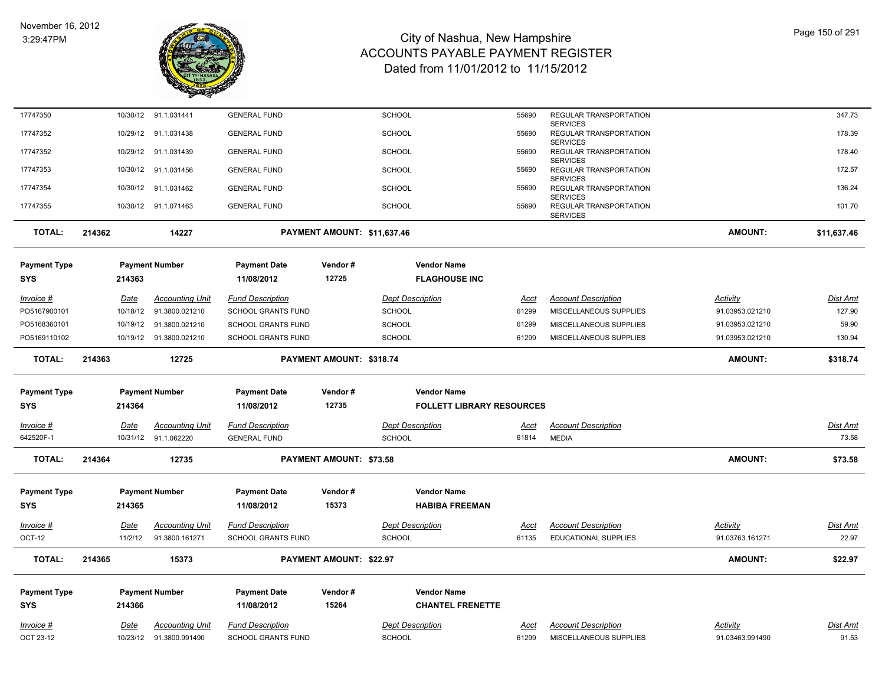

| 17747350                   |        |             | 10/30/12 91.1.031441    | <b>GENERAL FUND</b>               |                                | <b>SCHOOL</b>           |                                            | 55690       | REGULAR TRANSPORTATION                    |                 | 347.73          |
|----------------------------|--------|-------------|-------------------------|-----------------------------------|--------------------------------|-------------------------|--------------------------------------------|-------------|-------------------------------------------|-----------------|-----------------|
| 17747352                   |        | 10/29/12    | 91.1.031438             | <b>GENERAL FUND</b>               |                                | <b>SCHOOL</b>           |                                            | 55690       | <b>SERVICES</b><br>REGULAR TRANSPORTATION |                 | 178.39          |
| 17747352                   |        | 10/29/12    | 91.1.031439             | <b>GENERAL FUND</b>               |                                | <b>SCHOOL</b>           |                                            | 55690       | <b>SERVICES</b><br>REGULAR TRANSPORTATION |                 | 178.40          |
| 17747353                   |        |             | 10/30/12 91.1.031456    | <b>GENERAL FUND</b>               |                                | <b>SCHOOL</b>           |                                            | 55690       | <b>SERVICES</b><br>REGULAR TRANSPORTATION |                 | 172.57          |
|                            |        |             |                         |                                   |                                |                         |                                            |             | <b>SERVICES</b>                           |                 |                 |
| 17747354                   |        | 10/30/12    | 91.1.031462             | <b>GENERAL FUND</b>               |                                | <b>SCHOOL</b>           |                                            | 55690       | REGULAR TRANSPORTATION<br><b>SERVICES</b> |                 | 136.24          |
| 17747355                   |        |             | 10/30/12 91.1.071463    | <b>GENERAL FUND</b>               |                                | SCHOOL                  |                                            | 55690       | REGULAR TRANSPORTATION<br><b>SERVICES</b> |                 | 101.70          |
| <b>TOTAL:</b>              | 214362 |             | 14227                   |                                   | PAYMENT AMOUNT: \$11,637.46    |                         |                                            |             |                                           | <b>AMOUNT:</b>  | \$11,637.46     |
|                            |        |             |                         |                                   |                                |                         |                                            |             |                                           |                 |                 |
| <b>Payment Type</b><br>SYS |        | 214363      | <b>Payment Number</b>   | <b>Payment Date</b><br>11/08/2012 | Vendor#<br>12725               |                         | <b>Vendor Name</b><br><b>FLAGHOUSE INC</b> |             |                                           |                 |                 |
|                            |        |             |                         |                                   |                                |                         |                                            |             |                                           |                 |                 |
| <u>Invoice #</u>           |        | <u>Date</u> | <b>Accounting Unit</b>  | <b>Fund Description</b>           |                                | <b>Dept Description</b> |                                            | <u>Acct</u> | <b>Account Description</b>                | <b>Activity</b> | <u>Dist Amt</u> |
| PO5167900101               |        | 10/18/12    | 91.3800.021210          | SCHOOL GRANTS FUND                |                                | <b>SCHOOL</b>           |                                            | 61299       | MISCELLANEOUS SUPPLIES                    | 91.03953.021210 | 127.90          |
| PO5168360101               |        | 10/19/12    | 91.3800.021210          | <b>SCHOOL GRANTS FUND</b>         |                                | <b>SCHOOL</b>           |                                            | 61299       | MISCELLANEOUS SUPPLIES                    | 91.03953.021210 | 59.90           |
| PO5169110102               |        |             | 10/19/12 91.3800.021210 | <b>SCHOOL GRANTS FUND</b>         |                                | <b>SCHOOL</b>           |                                            | 61299       | MISCELLANEOUS SUPPLIES                    | 91.03953.021210 | 130.94          |
| <b>TOTAL:</b>              | 214363 |             | 12725                   |                                   | PAYMENT AMOUNT: \$318.74       |                         |                                            |             |                                           | <b>AMOUNT:</b>  | \$318.74        |
| <b>Payment Type</b>        |        |             | <b>Payment Number</b>   | <b>Payment Date</b>               | Vendor#                        |                         | <b>Vendor Name</b>                         |             |                                           |                 |                 |
| <b>SYS</b>                 |        | 214364      |                         | 11/08/2012                        | 12735                          |                         | <b>FOLLETT LIBRARY RESOURCES</b>           |             |                                           |                 |                 |
| Invoice #                  |        | Date        | <b>Accounting Unit</b>  | <b>Fund Description</b>           |                                | <b>Dept Description</b> |                                            | Acct        | <b>Account Description</b>                |                 | Dist Amt        |
| 642520F-1                  |        |             | 10/31/12 91.1.062220    | <b>GENERAL FUND</b>               |                                | <b>SCHOOL</b>           |                                            | 61814       | <b>MEDIA</b>                              |                 | 73.58           |
| <b>TOTAL:</b>              | 214364 |             | 12735                   |                                   | PAYMENT AMOUNT: \$73.58        |                         |                                            |             |                                           | <b>AMOUNT:</b>  | \$73.58         |
|                            |        |             |                         |                                   |                                |                         |                                            |             |                                           |                 |                 |
| <b>Payment Type</b>        |        |             | <b>Payment Number</b>   | <b>Payment Date</b>               | Vendor#                        |                         | <b>Vendor Name</b>                         |             |                                           |                 |                 |
| <b>SYS</b>                 |        | 214365      |                         | 11/08/2012                        | 15373                          |                         | <b>HABIBA FREEMAN</b>                      |             |                                           |                 |                 |
| Invoice #                  |        | Date        | <b>Accounting Unit</b>  | <b>Fund Description</b>           |                                | <b>Dept Description</b> |                                            | Acct        | <b>Account Description</b>                | Activity        | Dist Amt        |
| OCT-12                     |        | 11/2/12     | 91.3800.161271          | SCHOOL GRANTS FUND                |                                | SCHOOL                  |                                            | 61135       | EDUCATIONAL SUPPLIES                      | 91.03763.161271 | 22.97           |
| <b>TOTAL:</b>              | 214365 |             | 15373                   |                                   | <b>PAYMENT AMOUNT: \$22.97</b> |                         |                                            |             |                                           | <b>AMOUNT:</b>  | \$22.97         |
| <b>Payment Type</b>        |        |             | <b>Payment Number</b>   | <b>Payment Date</b>               | Vendor#                        |                         | <b>Vendor Name</b>                         |             |                                           |                 |                 |
| <b>SYS</b>                 |        | 214366      |                         | 11/08/2012                        | 15264                          |                         | <b>CHANTEL FRENETTE</b>                    |             |                                           |                 |                 |
| Invoice #                  |        | Date        | <b>Accounting Unit</b>  | <b>Fund Description</b>           |                                | <b>Dept Description</b> |                                            | Acct        | <b>Account Description</b>                | Activity        | Dist Amt        |
|                            |        |             | 10/23/12 91.3800.991490 | SCHOOL GRANTS FUND                |                                | <b>SCHOOL</b>           |                                            | 61299       | MISCELLANEOUS SUPPLIES                    | 91.03463.991490 | 91.53           |
| OCT 23-12                  |        |             |                         |                                   |                                |                         |                                            |             |                                           |                 |                 |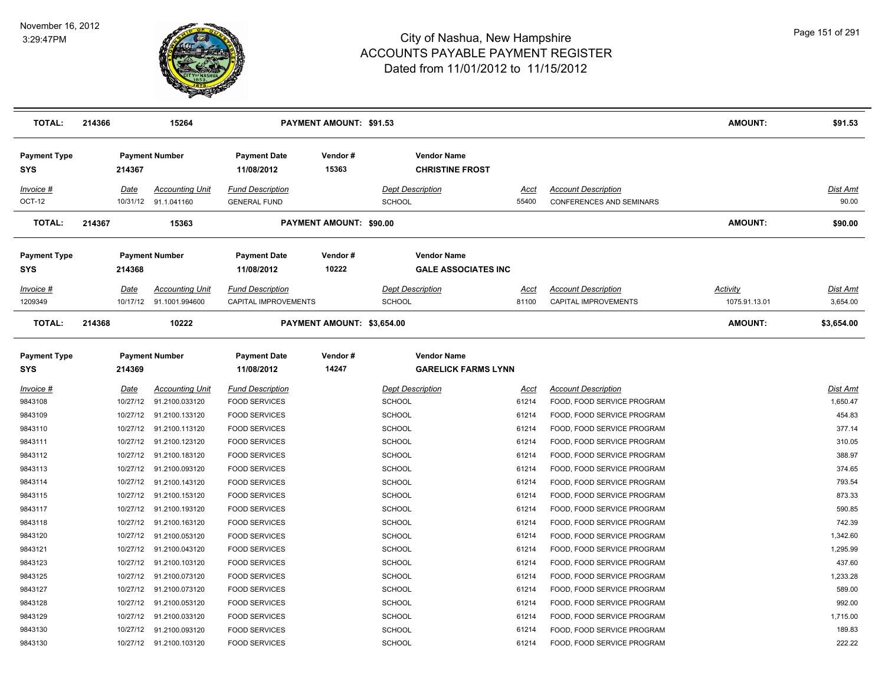

| TOTAL:                            | 214366 |          | 15264                                          |                                                | <b>PAYMENT AMOUNT: \$91.53</b> |                                                  |               |                                                               | AMOUNT:         | \$91.53           |
|-----------------------------------|--------|----------|------------------------------------------------|------------------------------------------------|--------------------------------|--------------------------------------------------|---------------|---------------------------------------------------------------|-----------------|-------------------|
| <b>Payment Type</b><br><b>SYS</b> |        | 214367   | <b>Payment Number</b>                          | <b>Payment Date</b><br>11/08/2012              | Vendor#<br>15363               | <b>Vendor Name</b><br><b>CHRISTINE FROST</b>     |               |                                                               |                 |                   |
| Invoice #<br>OCT-12               |        | Date     | <b>Accounting Unit</b><br>10/31/12 91.1.041160 | <b>Fund Description</b><br><b>GENERAL FUND</b> |                                | <b>Dept Description</b><br><b>SCHOOL</b>         | Acct<br>55400 | <b>Account Description</b><br><b>CONFERENCES AND SEMINARS</b> |                 | Dist Amt<br>90.00 |
| <b>TOTAL:</b>                     | 214367 |          | 15363                                          |                                                | PAYMENT AMOUNT: \$90.00        |                                                  |               |                                                               | <b>AMOUNT:</b>  | \$90.00           |
| <b>Payment Type</b><br><b>SYS</b> |        | 214368   | <b>Payment Number</b>                          | <b>Payment Date</b><br>11/08/2012              | Vendor#<br>10222               | <b>Vendor Name</b><br><b>GALE ASSOCIATES INC</b> |               |                                                               |                 |                   |
| Invoice #                         |        | Date     | <b>Accounting Unit</b>                         | <b>Fund Description</b>                        |                                | <b>Dept Description</b>                          | Acct          | <b>Account Description</b>                                    | <b>Activity</b> | Dist Amt          |
| 1209349                           |        |          | 10/17/12 91.1001.994600                        | CAPITAL IMPROVEMENTS                           |                                | <b>SCHOOL</b>                                    | 81100         | CAPITAL IMPROVEMENTS                                          | 1075.91.13.01   | 3,654.00          |
| <b>TOTAL:</b>                     | 214368 |          | 10222                                          |                                                | PAYMENT AMOUNT: \$3,654.00     |                                                  |               |                                                               | <b>AMOUNT:</b>  | \$3,654.00        |
| <b>Payment Type</b><br>SYS        |        | 214369   | <b>Payment Number</b>                          | <b>Payment Date</b><br>11/08/2012              | Vendor#<br>14247               | <b>Vendor Name</b><br><b>GARELICK FARMS LYNN</b> |               |                                                               |                 |                   |
| $Invoice$ #                       |        | Date     | <b>Accounting Unit</b>                         | <b>Fund Description</b>                        |                                | <b>Dept Description</b>                          | <b>Acct</b>   | <b>Account Description</b>                                    |                 | <b>Dist Amt</b>   |
| 9843108                           |        | 10/27/12 | 91.2100.033120                                 | <b>FOOD SERVICES</b>                           |                                | <b>SCHOOL</b>                                    | 61214         | FOOD, FOOD SERVICE PROGRAM                                    |                 | 1,650.47          |
| 9843109                           |        | 10/27/12 | 91.2100.133120                                 | <b>FOOD SERVICES</b>                           |                                | <b>SCHOOL</b>                                    | 61214         | FOOD, FOOD SERVICE PROGRAM                                    |                 | 454.83            |
| 9843110                           |        | 10/27/12 | 91.2100.113120                                 | <b>FOOD SERVICES</b>                           |                                | <b>SCHOOL</b>                                    | 61214         | FOOD, FOOD SERVICE PROGRAM                                    |                 | 377.14            |
| 9843111                           |        | 10/27/12 | 91.2100.123120                                 | <b>FOOD SERVICES</b>                           |                                | <b>SCHOOL</b>                                    | 61214         | FOOD, FOOD SERVICE PROGRAM                                    |                 | 310.05            |
| 9843112                           |        |          | 10/27/12 91.2100.183120                        | <b>FOOD SERVICES</b>                           |                                | <b>SCHOOL</b>                                    | 61214         | FOOD, FOOD SERVICE PROGRAM                                    |                 | 388.97            |
| 9843113                           |        | 10/27/12 | 91.2100.093120                                 | <b>FOOD SERVICES</b>                           |                                | <b>SCHOOL</b>                                    | 61214         | FOOD, FOOD SERVICE PROGRAM                                    |                 | 374.65            |
| 9843114                           |        | 10/27/12 | 91.2100.143120                                 | <b>FOOD SERVICES</b>                           |                                | <b>SCHOOL</b>                                    | 61214         | FOOD, FOOD SERVICE PROGRAM                                    |                 | 793.54            |
| 9843115                           |        | 10/27/12 | 91.2100.153120                                 | <b>FOOD SERVICES</b>                           |                                | <b>SCHOOL</b>                                    | 61214         | FOOD, FOOD SERVICE PROGRAM                                    |                 | 873.33            |
| 9843117                           |        |          | 10/27/12 91.2100.193120                        | <b>FOOD SERVICES</b>                           |                                | <b>SCHOOL</b>                                    | 61214         | FOOD, FOOD SERVICE PROGRAM                                    |                 | 590.85            |
| 9843118                           |        |          | 10/27/12 91.2100.163120                        | <b>FOOD SERVICES</b>                           |                                | <b>SCHOOL</b>                                    | 61214         | FOOD, FOOD SERVICE PROGRAM                                    |                 | 742.39            |
| 9843120                           |        |          | 10/27/12 91.2100.053120                        | <b>FOOD SERVICES</b>                           |                                | <b>SCHOOL</b>                                    | 61214         | FOOD, FOOD SERVICE PROGRAM                                    |                 | 1,342.60          |
| 9843121                           |        | 10/27/12 | 91.2100.043120                                 | <b>FOOD SERVICES</b>                           |                                | <b>SCHOOL</b>                                    | 61214         | FOOD, FOOD SERVICE PROGRAM                                    |                 | 1,295.99          |
| 9843123                           |        |          | 10/27/12 91.2100.103120                        | <b>FOOD SERVICES</b>                           |                                | <b>SCHOOL</b>                                    | 61214         | FOOD, FOOD SERVICE PROGRAM                                    |                 | 437.60            |
| 9843125                           |        |          | 10/27/12 91.2100.073120                        | <b>FOOD SERVICES</b>                           |                                | <b>SCHOOL</b>                                    | 61214         | FOOD, FOOD SERVICE PROGRAM                                    |                 | 1,233.28          |
| 9843127                           |        | 10/27/12 | 91.2100.073120                                 | <b>FOOD SERVICES</b>                           |                                | <b>SCHOOL</b>                                    | 61214         | FOOD, FOOD SERVICE PROGRAM                                    |                 | 589.00            |
| 9843128                           |        | 10/27/12 | 91.2100.053120                                 | <b>FOOD SERVICES</b>                           |                                | <b>SCHOOL</b>                                    | 61214         | FOOD, FOOD SERVICE PROGRAM                                    |                 | 992.00            |
| 9843129                           |        |          | 10/27/12 91.2100.033120                        | <b>FOOD SERVICES</b>                           |                                | <b>SCHOOL</b>                                    | 61214         | FOOD, FOOD SERVICE PROGRAM                                    |                 | 1,715.00          |
| 9843130                           |        |          | 10/27/12 91.2100.093120                        | <b>FOOD SERVICES</b>                           |                                | <b>SCHOOL</b>                                    | 61214         | FOOD, FOOD SERVICE PROGRAM                                    |                 | 189.83            |
| 9843130                           |        |          | 10/27/12 91.2100.103120                        | <b>FOOD SERVICES</b>                           |                                | <b>SCHOOL</b>                                    | 61214         | FOOD, FOOD SERVICE PROGRAM                                    |                 | 222.22            |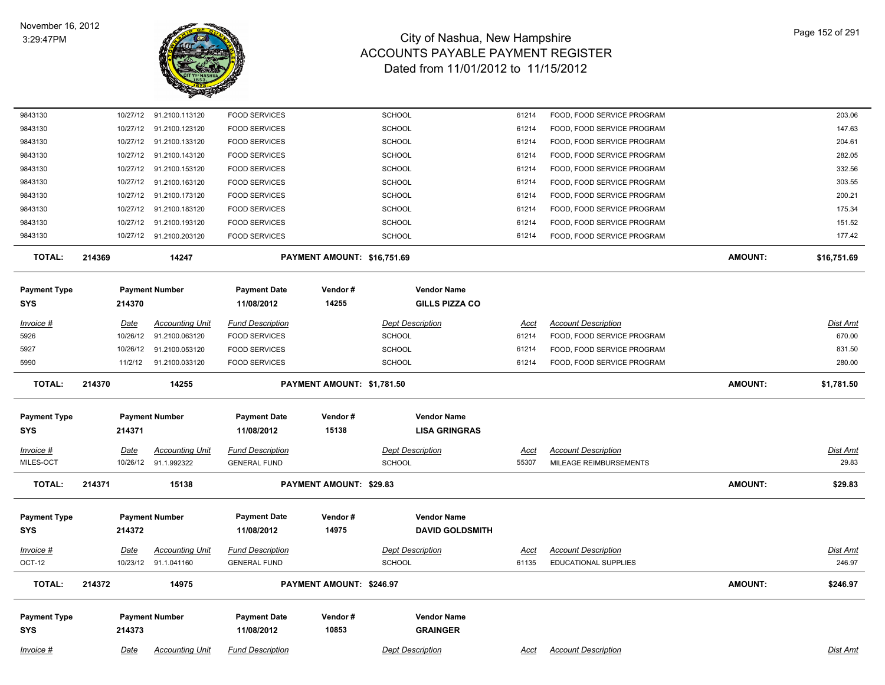

| 9843130                           |             | 10/27/12 91.2100.113120 | <b>FOOD SERVICES</b>              |                             | <b>SCHOOL</b>                                | 61214       | FOOD, FOOD SERVICE PROGRAM  |                | 203.06          |
|-----------------------------------|-------------|-------------------------|-----------------------------------|-----------------------------|----------------------------------------------|-------------|-----------------------------|----------------|-----------------|
| 9843130                           | 10/27/12    | 91.2100.123120          | <b>FOOD SERVICES</b>              |                             | <b>SCHOOL</b>                                | 61214       | FOOD, FOOD SERVICE PROGRAM  |                | 147.63          |
| 9843130                           |             | 10/27/12 91.2100.133120 | <b>FOOD SERVICES</b>              |                             | <b>SCHOOL</b>                                | 61214       | FOOD, FOOD SERVICE PROGRAM  |                | 204.61          |
| 9843130                           | 10/27/12    | 91.2100.143120          | <b>FOOD SERVICES</b>              |                             | <b>SCHOOL</b>                                | 61214       | FOOD, FOOD SERVICE PROGRAM  |                | 282.05          |
| 9843130                           | 10/27/12    | 91.2100.153120          | <b>FOOD SERVICES</b>              |                             | <b>SCHOOL</b>                                | 61214       | FOOD, FOOD SERVICE PROGRAM  |                | 332.56          |
| 9843130                           | 10/27/12    | 91.2100.163120          | <b>FOOD SERVICES</b>              |                             | SCHOOL                                       | 61214       | FOOD, FOOD SERVICE PROGRAM  |                | 303.55          |
| 9843130                           | 10/27/12    | 91.2100.173120          | <b>FOOD SERVICES</b>              |                             | <b>SCHOOL</b>                                | 61214       | FOOD, FOOD SERVICE PROGRAM  |                | 200.21          |
| 9843130                           | 10/27/12    | 91.2100.183120          | <b>FOOD SERVICES</b>              |                             | <b>SCHOOL</b>                                | 61214       | FOOD, FOOD SERVICE PROGRAM  |                | 175.34          |
| 9843130                           |             | 10/27/12 91.2100.193120 | <b>FOOD SERVICES</b>              |                             | <b>SCHOOL</b>                                | 61214       | FOOD, FOOD SERVICE PROGRAM  |                | 151.52          |
| 9843130                           |             | 10/27/12 91.2100.203120 | <b>FOOD SERVICES</b>              |                             | <b>SCHOOL</b>                                | 61214       | FOOD, FOOD SERVICE PROGRAM  |                | 177.42          |
| <b>TOTAL:</b>                     | 214369      | 14247                   |                                   | PAYMENT AMOUNT: \$16,751.69 |                                              |             |                             | <b>AMOUNT:</b> | \$16,751.69     |
| <b>Payment Type</b><br><b>SYS</b> | 214370      | <b>Payment Number</b>   | <b>Payment Date</b><br>11/08/2012 | Vendor#<br>14255            | <b>Vendor Name</b><br><b>GILLS PIZZA CO</b>  |             |                             |                |                 |
| $Invoice$ #                       | <u>Date</u> | <b>Accounting Unit</b>  | <b>Fund Description</b>           |                             | <b>Dept Description</b>                      | Acct        | <b>Account Description</b>  |                | Dist Amt        |
| 5926                              | 10/26/12    | 91.2100.063120          | <b>FOOD SERVICES</b>              |                             | SCHOOL                                       | 61214       | FOOD, FOOD SERVICE PROGRAM  |                | 670.00          |
| 5927                              | 10/26/12    | 91.2100.053120          | <b>FOOD SERVICES</b>              |                             | <b>SCHOOL</b>                                | 61214       | FOOD, FOOD SERVICE PROGRAM  |                | 831.50          |
| 5990                              | 11/2/12     | 91.2100.033120          | <b>FOOD SERVICES</b>              |                             | <b>SCHOOL</b>                                | 61214       | FOOD, FOOD SERVICE PROGRAM  |                | 280.00          |
| <b>TOTAL:</b>                     | 214370      | 14255                   |                                   | PAYMENT AMOUNT: \$1,781.50  |                                              |             |                             | <b>AMOUNT:</b> | \$1,781.50      |
| <b>Payment Type</b><br>SYS        | 214371      | <b>Payment Number</b>   | <b>Payment Date</b><br>11/08/2012 | Vendor#<br>15138            | <b>Vendor Name</b><br><b>LISA GRINGRAS</b>   |             |                             |                |                 |
| $Invoice$ #                       | <u>Date</u> | <b>Accounting Unit</b>  | <b>Fund Description</b>           |                             | <b>Dept Description</b>                      | Acct        | <b>Account Description</b>  |                | <b>Dist Amt</b> |
| MILES-OCT                         |             | 10/26/12 91.1.992322    | <b>GENERAL FUND</b>               |                             | <b>SCHOOL</b>                                | 55307       | MILEAGE REIMBURSEMENTS      |                | 29.83           |
| <b>TOTAL:</b>                     | 214371      | 15138                   |                                   | PAYMENT AMOUNT: \$29.83     |                                              |             |                             | <b>AMOUNT:</b> | \$29.83         |
| <b>Payment Type</b><br><b>SYS</b> | 214372      | <b>Payment Number</b>   | <b>Payment Date</b><br>11/08/2012 | Vendor#<br>14975            | <b>Vendor Name</b><br><b>DAVID GOLDSMITH</b> |             |                             |                |                 |
| <b>Invoice #</b>                  | <u>Date</u> | <u>Accounting Unit</u>  | <b>Fund Description</b>           |                             | <b>Dept Description</b>                      | <u>Acct</u> | <b>Account Description</b>  |                | Dist Amt        |
| <b>OCT-12</b>                     |             | 10/23/12 91.1.041160    | <b>GENERAL FUND</b>               |                             | <b>SCHOOL</b>                                | 61135       | <b>EDUCATIONAL SUPPLIES</b> |                | 246.97          |
| <b>TOTAL:</b>                     | 214372      | 14975                   |                                   | PAYMENT AMOUNT: \$246.97    |                                              |             |                             | <b>AMOUNT:</b> | \$246.97        |
| <b>Payment Type</b>               |             | <b>Payment Number</b>   | <b>Payment Date</b>               | Vendor#<br>10853            | <b>Vendor Name</b>                           |             |                             |                |                 |
| SYS                               | 214373      |                         | 11/08/2012                        |                             | <b>GRAINGER</b>                              |             |                             |                |                 |
| Invoice #                         | Date        | <b>Accounting Unit</b>  | <b>Fund Description</b>           |                             | <b>Dept Description</b>                      | Acct        | <b>Account Description</b>  |                | Dist Amt        |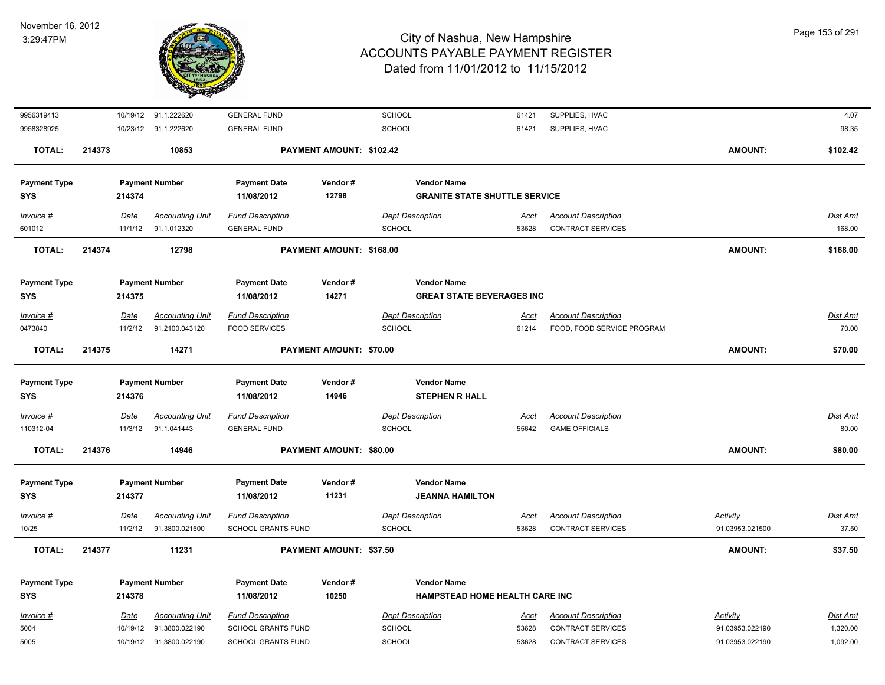

| 9956319413          |             | 10/19/12 91.1.222620    | <b>GENERAL FUND</b>       |                          | SCHOOL                               | 61421       | SUPPLIES, HVAC             |                 | 4.07            |
|---------------------|-------------|-------------------------|---------------------------|--------------------------|--------------------------------------|-------------|----------------------------|-----------------|-----------------|
| 9958328925          |             | 10/23/12 91.1.222620    | <b>GENERAL FUND</b>       |                          | SCHOOL                               | 61421       | SUPPLIES, HVAC             |                 | 98.35           |
| <b>TOTAL:</b>       | 214373      | 10853                   |                           | PAYMENT AMOUNT: \$102.42 |                                      |             |                            | <b>AMOUNT:</b>  | \$102.42        |
| <b>Payment Type</b> |             | <b>Payment Number</b>   | <b>Payment Date</b>       | Vendor#                  | <b>Vendor Name</b>                   |             |                            |                 |                 |
| SYS                 | 214374      |                         | 11/08/2012                | 12798                    | <b>GRANITE STATE SHUTTLE SERVICE</b> |             |                            |                 |                 |
| Invoice #           | Date        | <b>Accounting Unit</b>  | <b>Fund Description</b>   |                          | <b>Dept Description</b>              | <u>Acct</u> | <b>Account Description</b> |                 | Dist Amt        |
| 601012              | 11/1/12     | 91.1.012320             | <b>GENERAL FUND</b>       |                          | <b>SCHOOL</b>                        | 53628       | CONTRACT SERVICES          |                 | 168.00          |
| <b>TOTAL:</b>       | 214374      | 12798                   |                           | PAYMENT AMOUNT: \$168.00 |                                      |             |                            | <b>AMOUNT:</b>  | \$168.00        |
| <b>Payment Type</b> |             | <b>Payment Number</b>   | <b>Payment Date</b>       | Vendor#                  | <b>Vendor Name</b>                   |             |                            |                 |                 |
| <b>SYS</b>          | 214375      |                         | 11/08/2012                | 14271                    | <b>GREAT STATE BEVERAGES INC</b>     |             |                            |                 |                 |
| Invoice #           | Date        | <b>Accounting Unit</b>  | <b>Fund Description</b>   |                          | <b>Dept Description</b>              | <u>Acct</u> | <b>Account Description</b> |                 | Dist Amt        |
| 0473840             | 11/2/12     | 91.2100.043120          | <b>FOOD SERVICES</b>      |                          | SCHOOL                               | 61214       | FOOD, FOOD SERVICE PROGRAM |                 | 70.00           |
| <b>TOTAL:</b>       | 214375      | 14271                   |                           | PAYMENT AMOUNT: \$70.00  |                                      |             |                            | <b>AMOUNT:</b>  | \$70.00         |
|                     |             |                         |                           |                          |                                      |             |                            |                 |                 |
| <b>Payment Type</b> |             | <b>Payment Number</b>   | <b>Payment Date</b>       | Vendor#                  | <b>Vendor Name</b>                   |             |                            |                 |                 |
| <b>SYS</b>          | 214376      |                         | 11/08/2012                | 14946                    | <b>STEPHEN R HALL</b>                |             |                            |                 |                 |
| $Invoice$ #         | <b>Date</b> | <b>Accounting Unit</b>  | <b>Fund Description</b>   |                          | <b>Dept Description</b>              | Acct        | <b>Account Description</b> |                 | <b>Dist Amt</b> |
| 110312-04           | 11/3/12     | 91.1.041443             | <b>GENERAL FUND</b>       |                          | <b>SCHOOL</b>                        | 55642       | <b>GAME OFFICIALS</b>      |                 | 80.00           |
| <b>TOTAL:</b>       | 214376      | 14946                   |                           | PAYMENT AMOUNT: \$80.00  |                                      |             |                            | <b>AMOUNT:</b>  | \$80.00         |
| <b>Payment Type</b> |             | <b>Payment Number</b>   | <b>Payment Date</b>       | Vendor#                  | <b>Vendor Name</b>                   |             |                            |                 |                 |
| <b>SYS</b>          | 214377      |                         | 11/08/2012                | 11231                    | <b>JEANNA HAMILTON</b>               |             |                            |                 |                 |
| Invoice #           | Date        | <b>Accounting Unit</b>  | <b>Fund Description</b>   |                          | <b>Dept Description</b>              | Acct        | <b>Account Description</b> | <b>Activity</b> | <u>Dist Amt</u> |
| 10/25               | 11/2/12     | 91.3800.021500          | SCHOOL GRANTS FUND        |                          | SCHOOL                               | 53628       | CONTRACT SERVICES          | 91.03953.021500 | 37.50           |
| <b>TOTAL:</b>       | 214377      | 11231                   |                           | PAYMENT AMOUNT: \$37.50  |                                      |             |                            | <b>AMOUNT:</b>  | \$37.50         |
|                     |             |                         |                           |                          |                                      |             |                            |                 |                 |
| <b>Payment Type</b> |             | <b>Payment Number</b>   | <b>Payment Date</b>       | Vendor#                  | <b>Vendor Name</b>                   |             |                            |                 |                 |
| <b>SYS</b>          | 214378      |                         | 11/08/2012                | 10250                    | HAMPSTEAD HOME HEALTH CARE INC       |             |                            |                 |                 |
| Invoice #           | Date        | <b>Accounting Unit</b>  | <b>Fund Description</b>   |                          | <b>Dept Description</b>              | Acct        | <b>Account Description</b> | Activity        | Dist Amt        |
| 5004                | 10/19/12    | 91.3800.022190          | SCHOOL GRANTS FUND        |                          | <b>SCHOOL</b>                        | 53628       | CONTRACT SERVICES          | 91.03953.022190 | 1,320.00        |
| 5005                |             | 10/19/12 91.3800.022190 | <b>SCHOOL GRANTS FUND</b> |                          | <b>SCHOOL</b>                        | 53628       | <b>CONTRACT SERVICES</b>   | 91.03953.022190 | 1,092.00        |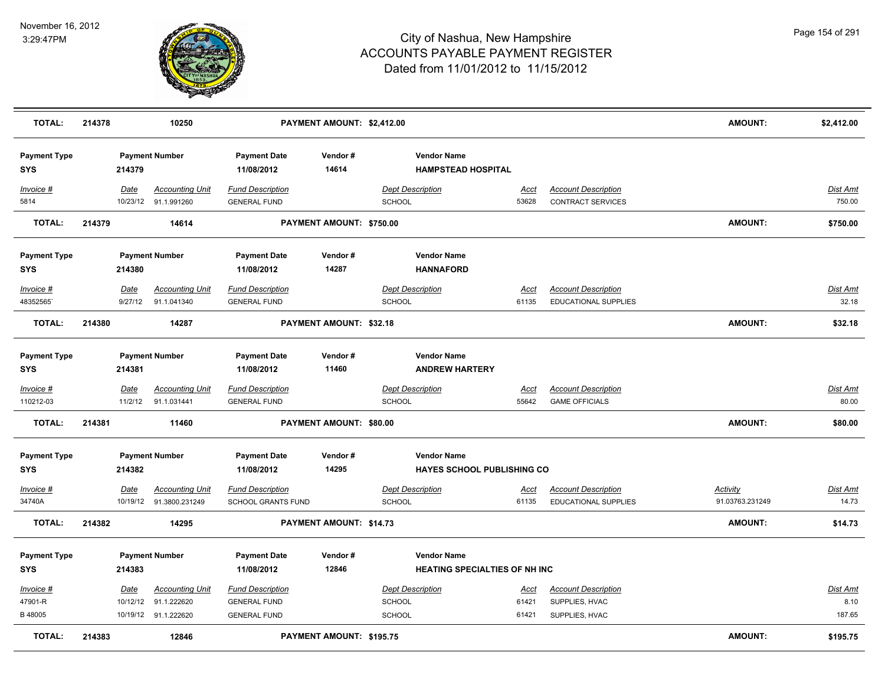

| <b>TOTAL:</b>                     | 214378 |         | 10250                                          |                                                | PAYMENT AMOUNT: \$2,412.00     |                                                 |                                      |                                                        | <b>AMOUNT:</b>  | \$2,412.00         |
|-----------------------------------|--------|---------|------------------------------------------------|------------------------------------------------|--------------------------------|-------------------------------------------------|--------------------------------------|--------------------------------------------------------|-----------------|--------------------|
| <b>Payment Type</b><br><b>SYS</b> |        | 214379  | <b>Payment Number</b>                          | <b>Payment Date</b><br>11/08/2012              | Vendor#<br>14614               | <b>Vendor Name</b><br><b>HAMPSTEAD HOSPITAL</b> |                                      |                                                        |                 |                    |
| Invoice #<br>5814                 |        | Date    | <b>Accounting Unit</b><br>10/23/12 91.1.991260 | <b>Fund Description</b><br><b>GENERAL FUND</b> |                                | <b>Dept Description</b><br>SCHOOL               | <u>Acct</u><br>53628                 | <b>Account Description</b><br><b>CONTRACT SERVICES</b> |                 | Dist Amt<br>750.00 |
| <b>TOTAL:</b>                     | 214379 |         | 14614                                          |                                                | PAYMENT AMOUNT: \$750.00       |                                                 |                                      |                                                        | AMOUNT:         | \$750.00           |
| <b>Payment Type</b><br><b>SYS</b> |        | 214380  | <b>Payment Number</b>                          | <b>Payment Date</b><br>11/08/2012              | Vendor#<br>14287               | <b>Vendor Name</b><br><b>HANNAFORD</b>          |                                      |                                                        |                 |                    |
| Invoice #                         |        | Date    | <b>Accounting Unit</b>                         | <b>Fund Description</b>                        |                                | <b>Dept Description</b>                         | Acct                                 | <b>Account Description</b>                             |                 | Dist Amt           |
| 48352565                          |        | 9/27/12 | 91.1.041340                                    | <b>GENERAL FUND</b>                            |                                | <b>SCHOOL</b>                                   | 61135                                | <b>EDUCATIONAL SUPPLIES</b>                            |                 | 32.18              |
| <b>TOTAL:</b>                     | 214380 |         | 14287                                          |                                                | PAYMENT AMOUNT: \$32.18        |                                                 |                                      |                                                        | AMOUNT:         | \$32.18            |
| <b>Payment Type</b><br><b>SYS</b> |        | 214381  | <b>Payment Number</b>                          | <b>Payment Date</b><br>11/08/2012              | Vendor#<br>11460               | <b>Vendor Name</b><br><b>ANDREW HARTERY</b>     |                                      |                                                        |                 |                    |
| $Invoice$ #                       |        | Date    | <b>Accounting Unit</b>                         | <b>Fund Description</b>                        |                                | <b>Dept Description</b>                         | <b>Acct</b>                          | <b>Account Description</b>                             |                 | <b>Dist Amt</b>    |
| 110212-03                         |        | 11/2/12 | 91.1.031441                                    | <b>GENERAL FUND</b>                            |                                | <b>SCHOOL</b>                                   | 55642                                | <b>GAME OFFICIALS</b>                                  |                 | 80.00              |
| <b>TOTAL:</b>                     | 214381 |         | 11460                                          |                                                | <b>PAYMENT AMOUNT: \$80.00</b> |                                                 |                                      |                                                        | <b>AMOUNT:</b>  | \$80.00            |
| <b>Payment Type</b><br><b>SYS</b> |        | 214382  | <b>Payment Number</b>                          | <b>Payment Date</b><br>11/08/2012              | Vendor#<br>14295               | <b>Vendor Name</b>                              | <b>HAYES SCHOOL PUBLISHING CO</b>    |                                                        |                 |                    |
| Invoice #                         |        | Date    | <b>Accounting Unit</b>                         | <b>Fund Description</b>                        |                                | <b>Dept Description</b>                         | <u>Acct</u>                          | <b>Account Description</b>                             | <b>Activity</b> | Dist Amt           |
| 34740A                            |        |         | 10/19/12 91.3800.231249                        | <b>SCHOOL GRANTS FUND</b>                      |                                | <b>SCHOOL</b>                                   | 61135                                | <b>EDUCATIONAL SUPPLIES</b>                            | 91.03763.231249 | 14.73              |
| <b>TOTAL:</b>                     | 214382 |         | 14295                                          |                                                | PAYMENT AMOUNT: \$14.73        |                                                 |                                      |                                                        | <b>AMOUNT:</b>  | \$14.73            |
| <b>Payment Type</b><br><b>SYS</b> |        | 214383  | <b>Payment Number</b>                          | <b>Payment Date</b><br>11/08/2012              | Vendor#<br>12846               | <b>Vendor Name</b>                              | <b>HEATING SPECIALTIES OF NH INC</b> |                                                        |                 |                    |
| Invoice #                         |        | Date    | <b>Accounting Unit</b>                         | <b>Fund Description</b>                        |                                | Dept Description                                | Acct                                 | <b>Account Description</b>                             |                 | Dist Amt           |
| 47901-R                           |        |         | 10/12/12 91.1.222620                           | <b>GENERAL FUND</b>                            |                                | SCHOOL                                          | 61421                                | SUPPLIES, HVAC                                         |                 | 8.10               |
| B 48005                           |        |         | 10/19/12 91.1.222620                           | <b>GENERAL FUND</b>                            |                                | <b>SCHOOL</b>                                   | 61421                                | SUPPLIES, HVAC                                         |                 | 187.65             |
| <b>TOTAL:</b>                     | 214383 |         | 12846                                          |                                                | PAYMENT AMOUNT: \$195.75       |                                                 |                                      |                                                        | <b>AMOUNT:</b>  | \$195.75           |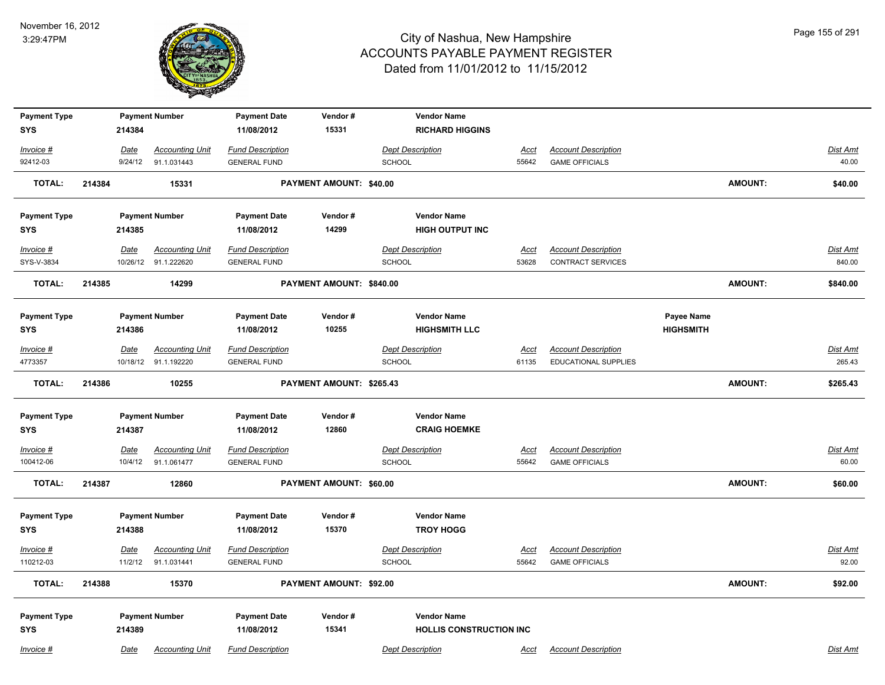

| <b>Payment Type</b><br><b>SYS</b> |        | 214384      | <b>Payment Number</b>                          | <b>Payment Date</b><br>11/08/2012              | Vendor#<br>15331         | <b>Vendor Name</b><br><b>RICHARD HIGGINS</b> |               |                                                    |                  |                |                    |
|-----------------------------------|--------|-------------|------------------------------------------------|------------------------------------------------|--------------------------|----------------------------------------------|---------------|----------------------------------------------------|------------------|----------------|--------------------|
| Invoice #                         |        | Date        | <b>Accounting Unit</b>                         | <b>Fund Description</b>                        |                          | <b>Dept Description</b>                      | <u>Acct</u>   | <b>Account Description</b>                         |                  |                | Dist Amt           |
| 92412-03                          |        | 9/24/12     | 91.1.031443                                    | <b>GENERAL FUND</b>                            |                          | SCHOOL                                       | 55642         | <b>GAME OFFICIALS</b>                              |                  |                | 40.00              |
| TOTAL:                            | 214384 |             | 15331                                          |                                                | PAYMENT AMOUNT: \$40.00  |                                              |               |                                                    |                  | <b>AMOUNT:</b> | \$40.00            |
| <b>Payment Type</b>               |        |             | <b>Payment Number</b>                          | <b>Payment Date</b>                            | Vendor#                  | <b>Vendor Name</b>                           |               |                                                    |                  |                |                    |
| <b>SYS</b>                        |        | 214385      |                                                | 11/08/2012                                     | 14299                    | <b>HIGH OUTPUT INC</b>                       |               |                                                    |                  |                |                    |
| Invoice #                         |        | <b>Date</b> | <b>Accounting Unit</b>                         | <b>Fund Description</b>                        |                          | <b>Dept Description</b>                      | <u>Acct</u>   | <b>Account Description</b>                         |                  |                | <b>Dist Amt</b>    |
| SYS-V-3834                        |        |             | 10/26/12 91.1.222620                           | <b>GENERAL FUND</b>                            |                          | <b>SCHOOL</b>                                | 53628         | <b>CONTRACT SERVICES</b>                           |                  |                | 840.00             |
| <b>TOTAL:</b>                     | 214385 |             | 14299                                          |                                                | PAYMENT AMOUNT: \$840.00 |                                              |               |                                                    |                  | <b>AMOUNT:</b> | \$840.00           |
| <b>Payment Type</b>               |        |             | <b>Payment Number</b>                          | <b>Payment Date</b>                            | Vendor#                  | <b>Vendor Name</b>                           |               |                                                    | Payee Name       |                |                    |
| SYS                               |        | 214386      |                                                | 11/08/2012                                     | 10255                    | <b>HIGHSMITH LLC</b>                         |               |                                                    | <b>HIGHSMITH</b> |                |                    |
| Invoice #<br>4773357              |        | Date        | <b>Accounting Unit</b><br>10/18/12 91.1.192220 | <b>Fund Description</b><br><b>GENERAL FUND</b> |                          | <b>Dept Description</b><br>SCHOOL            | Acct<br>61135 | <b>Account Description</b><br>EDUCATIONAL SUPPLIES |                  |                | Dist Amt<br>265.43 |
| <b>TOTAL:</b>                     | 214386 |             | 10255                                          |                                                | PAYMENT AMOUNT: \$265.43 |                                              |               |                                                    |                  | <b>AMOUNT:</b> | \$265.43           |
| <b>Payment Type</b>               |        |             | <b>Payment Number</b>                          | <b>Payment Date</b>                            | Vendor#                  | <b>Vendor Name</b>                           |               |                                                    |                  |                |                    |
| <b>SYS</b>                        |        | 214387      |                                                | 11/08/2012                                     | 12860                    | <b>CRAIG HOEMKE</b>                          |               |                                                    |                  |                |                    |
| Invoice #                         |        | <u>Date</u> | <b>Accounting Unit</b>                         | <b>Fund Description</b>                        |                          | <b>Dept Description</b>                      | <u>Acct</u>   | <b>Account Description</b>                         |                  |                | <u>Dist Amt</u>    |
| 100412-06                         |        | 10/4/12     | 91.1.061477                                    | <b>GENERAL FUND</b>                            |                          | <b>SCHOOL</b>                                | 55642         | <b>GAME OFFICIALS</b>                              |                  |                | 60.00              |
| <b>TOTAL:</b>                     | 214387 |             | 12860                                          |                                                | PAYMENT AMOUNT: \$60.00  |                                              |               |                                                    |                  | AMOUNT:        | \$60.00            |
| <b>Payment Type</b>               |        |             | <b>Payment Number</b>                          | <b>Payment Date</b>                            | Vendor#                  | <b>Vendor Name</b>                           |               |                                                    |                  |                |                    |
| <b>SYS</b>                        |        | 214388      |                                                | 11/08/2012                                     | 15370                    | <b>TROY HOGG</b>                             |               |                                                    |                  |                |                    |
| Invoice #                         |        | Date        | <b>Accounting Unit</b>                         | <b>Fund Description</b>                        |                          | <b>Dept Description</b>                      | <u>Acct</u>   | <b>Account Description</b>                         |                  |                | Dist Amt           |
| 110212-03                         |        | 11/2/12     | 91.1.031441                                    | <b>GENERAL FUND</b>                            |                          | SCHOOL                                       | 55642         | <b>GAME OFFICIALS</b>                              |                  |                | 92.00              |
| TOTAL:                            | 214388 |             | 15370                                          |                                                | PAYMENT AMOUNT: \$92.00  |                                              |               |                                                    |                  | AMOUNT:        | \$92.00            |
| <b>Payment Type</b>               |        |             | <b>Payment Number</b>                          | <b>Payment Date</b>                            | Vendor#                  | <b>Vendor Name</b>                           |               |                                                    |                  |                |                    |
| <b>SYS</b>                        |        | 214389      |                                                | 11/08/2012                                     | 15341                    | <b>HOLLIS CONSTRUCTION INC</b>               |               |                                                    |                  |                |                    |
| Invoice #                         |        | Date        | <b>Accounting Unit</b>                         | <b>Fund Description</b>                        |                          | <b>Dept Description</b>                      | Acct          | <b>Account Description</b>                         |                  |                | Dist Amt           |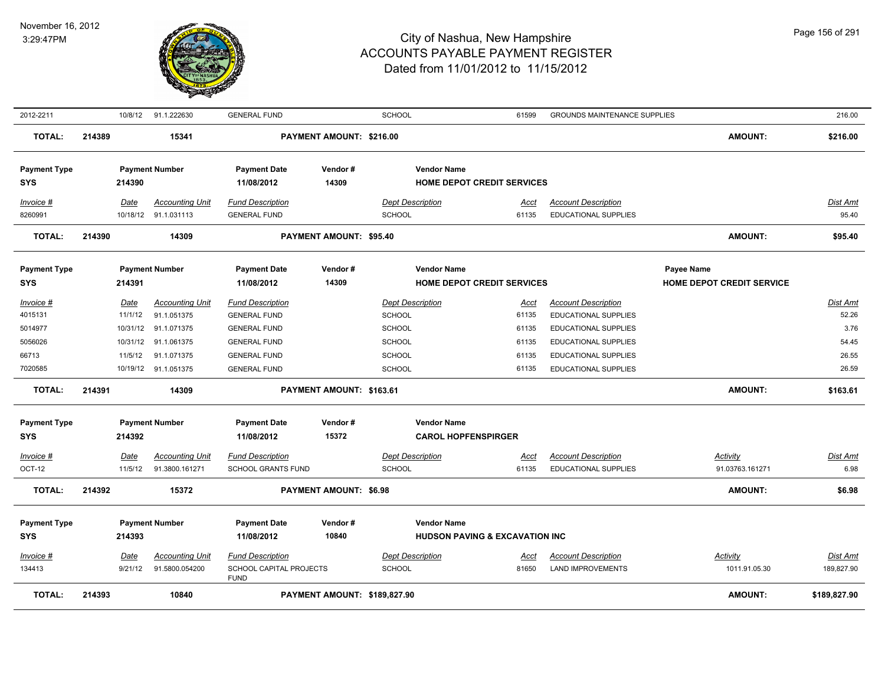

| 2012-2211                         |        |                 | 10/8/12 91.1.222630                            | <b>GENERAL FUND</b>                                               |                                | <b>SCHOOL</b>                                    | 61599                                     | <b>GROUNDS MAINTENANCE SUPPLIES</b>                       |                                         | 216.00                   |
|-----------------------------------|--------|-----------------|------------------------------------------------|-------------------------------------------------------------------|--------------------------------|--------------------------------------------------|-------------------------------------------|-----------------------------------------------------------|-----------------------------------------|--------------------------|
| <b>TOTAL:</b>                     | 214389 |                 | 15341                                          |                                                                   | PAYMENT AMOUNT: \$216.00       |                                                  |                                           |                                                           | <b>AMOUNT:</b>                          | \$216.00                 |
| <b>Payment Type</b><br><b>SYS</b> |        | 214390          | <b>Payment Number</b>                          | <b>Payment Date</b><br>11/08/2012                                 | Vendor#<br>14309               | <b>Vendor Name</b>                               | <b>HOME DEPOT CREDIT SERVICES</b>         |                                                           |                                         |                          |
| Invoice #<br>8260991              |        | Date            | <b>Accounting Unit</b><br>10/18/12 91.1.031113 | <b>Fund Description</b><br><b>GENERAL FUND</b>                    |                                | <b>Dept Description</b><br><b>SCHOOL</b>         | <u>Acct</u><br>61135                      | <b>Account Description</b><br><b>EDUCATIONAL SUPPLIES</b> |                                         | <u>Dist Amt</u><br>95.40 |
| <b>TOTAL:</b>                     | 214390 |                 | 14309                                          |                                                                   | <b>PAYMENT AMOUNT: \$95.40</b> |                                                  |                                           |                                                           | <b>AMOUNT:</b>                          | \$95.40                  |
| <b>Payment Type</b><br><b>SYS</b> |        | 214391          | <b>Payment Number</b>                          | <b>Payment Date</b><br>11/08/2012                                 | Vendor#<br>14309               | <b>Vendor Name</b>                               | <b>HOME DEPOT CREDIT SERVICES</b>         |                                                           | Payee Name<br>HOME DEPOT CREDIT SERVICE |                          |
| Invoice #<br>4015131              |        | Date<br>11/1/12 | <b>Accounting Unit</b><br>91.1.051375          | <b>Fund Description</b><br><b>GENERAL FUND</b>                    |                                | <b>Dept Description</b><br><b>SCHOOL</b>         | Acct<br>61135                             | <b>Account Description</b><br><b>EDUCATIONAL SUPPLIES</b> |                                         | Dist Amt<br>52.26        |
| 5014977                           |        |                 | 10/31/12 91.1.071375                           | <b>GENERAL FUND</b>                                               |                                | <b>SCHOOL</b>                                    | 61135                                     | EDUCATIONAL SUPPLIES                                      |                                         | 3.76                     |
| 5056026                           |        |                 | 10/31/12 91.1.061375                           | <b>GENERAL FUND</b>                                               |                                | <b>SCHOOL</b>                                    | 61135                                     | EDUCATIONAL SUPPLIES                                      |                                         | 54.45                    |
| 66713                             |        | 11/5/12         | 91.1.071375                                    | <b>GENERAL FUND</b>                                               |                                | <b>SCHOOL</b>                                    | 61135                                     | EDUCATIONAL SUPPLIES                                      |                                         | 26.55                    |
| 7020585                           |        |                 | 10/19/12 91.1.051375                           | <b>GENERAL FUND</b>                                               |                                | <b>SCHOOL</b>                                    | 61135                                     | <b>EDUCATIONAL SUPPLIES</b>                               |                                         | 26.59                    |
| <b>TOTAL:</b>                     | 214391 |                 | 14309                                          |                                                                   | PAYMENT AMOUNT: \$163.61       |                                                  |                                           |                                                           | <b>AMOUNT:</b>                          | \$163.61                 |
| <b>Payment Type</b><br><b>SYS</b> |        | 214392          | <b>Payment Number</b>                          | <b>Payment Date</b><br>11/08/2012                                 | Vendor#<br>15372               | <b>Vendor Name</b><br><b>CAROL HOPFENSPIRGER</b> |                                           |                                                           |                                         |                          |
| $Invoice$ #                       |        | <b>Date</b>     | <b>Accounting Unit</b>                         | <b>Fund Description</b>                                           |                                | <b>Dept Description</b>                          | Acct                                      | <b>Account Description</b>                                | <b>Activity</b>                         | Dist Amt                 |
| OCT-12                            |        | 11/5/12         | 91.3800.161271                                 | <b>SCHOOL GRANTS FUND</b>                                         |                                | <b>SCHOOL</b>                                    | 61135                                     | <b>EDUCATIONAL SUPPLIES</b>                               | 91.03763.161271                         | 6.98                     |
| <b>TOTAL:</b>                     | 214392 |                 | 15372                                          |                                                                   | <b>PAYMENT AMOUNT: \$6.98</b>  |                                                  |                                           |                                                           | <b>AMOUNT:</b>                          | \$6.98                   |
| <b>Payment Type</b>               |        |                 | <b>Payment Number</b>                          | <b>Payment Date</b>                                               | Vendor#                        | <b>Vendor Name</b>                               |                                           |                                                           |                                         |                          |
| <b>SYS</b>                        |        | 214393          |                                                | 11/08/2012                                                        | 10840                          |                                                  | <b>HUDSON PAVING &amp; EXCAVATION INC</b> |                                                           |                                         |                          |
| Invoice #<br>134413               |        | Date<br>9/21/12 | <b>Accounting Unit</b><br>91.5800.054200       | <b>Fund Description</b><br>SCHOOL CAPITAL PROJECTS<br><b>FUND</b> |                                | <b>Dept Description</b><br><b>SCHOOL</b>         | Acct<br>81650                             | <b>Account Description</b><br><b>LAND IMPROVEMENTS</b>    | Activity<br>1011.91.05.30               | Dist Amt<br>189,827.90   |
| <b>TOTAL:</b>                     | 214393 |                 | 10840                                          |                                                                   | PAYMENT AMOUNT: \$189,827.90   |                                                  |                                           |                                                           | <b>AMOUNT:</b>                          | \$189,827.90             |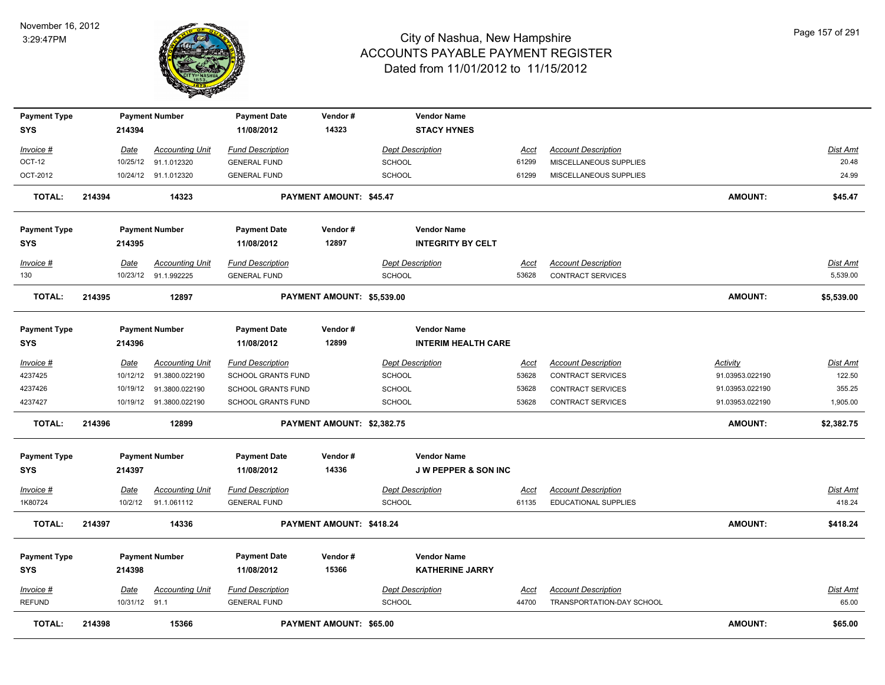

| <b>Payment Type</b><br><b>SYS</b> |        | 214394        | <b>Payment Number</b>   | <b>Payment Date</b><br>11/08/2012 | Vendor#<br>14323           |                         | <b>Vendor Name</b><br><b>STACY HYNES</b> |             |                             |                 |                 |
|-----------------------------------|--------|---------------|-------------------------|-----------------------------------|----------------------------|-------------------------|------------------------------------------|-------------|-----------------------------|-----------------|-----------------|
| Invoice #                         |        | <u>Date</u>   | <b>Accounting Unit</b>  | <b>Fund Description</b>           |                            | <b>Dept Description</b> |                                          | <u>Acct</u> | <b>Account Description</b>  |                 | <b>Dist Amt</b> |
| OCT-12                            |        | 10/25/12      | 91.1.012320             | <b>GENERAL FUND</b>               |                            | <b>SCHOOL</b>           |                                          | 61299       | MISCELLANEOUS SUPPLIES      |                 | 20.48           |
| OCT-2012                          |        |               | 10/24/12 91.1.012320    | <b>GENERAL FUND</b>               |                            | <b>SCHOOL</b>           |                                          | 61299       | MISCELLANEOUS SUPPLIES      |                 | 24.99           |
| <b>TOTAL:</b>                     | 214394 |               | 14323                   |                                   | PAYMENT AMOUNT: \$45.47    |                         |                                          |             |                             | <b>AMOUNT:</b>  | \$45.47         |
| <b>Payment Type</b>               |        |               | <b>Payment Number</b>   | <b>Payment Date</b>               | Vendor#                    |                         | <b>Vendor Name</b>                       |             |                             |                 |                 |
| <b>SYS</b>                        |        | 214395        |                         | 11/08/2012                        | 12897                      |                         | <b>INTEGRITY BY CELT</b>                 |             |                             |                 |                 |
| Invoice #                         |        | Date          | <b>Accounting Unit</b>  | <b>Fund Description</b>           |                            | <b>Dept Description</b> |                                          | Acct        | <b>Account Description</b>  |                 | Dist Amt        |
| 130                               |        |               | 10/23/12 91.1.992225    | <b>GENERAL FUND</b>               |                            | <b>SCHOOL</b>           |                                          | 53628       | CONTRACT SERVICES           |                 | 5,539.00        |
| <b>TOTAL:</b>                     | 214395 |               | 12897                   |                                   | PAYMENT AMOUNT: \$5,539.00 |                         |                                          |             |                             | <b>AMOUNT:</b>  | \$5,539.00      |
| <b>Payment Type</b>               |        |               | <b>Payment Number</b>   | <b>Payment Date</b>               | Vendor#                    |                         | <b>Vendor Name</b>                       |             |                             |                 |                 |
| <b>SYS</b>                        |        | 214396        |                         | 11/08/2012                        | 12899                      |                         | <b>INTERIM HEALTH CARE</b>               |             |                             |                 |                 |
| Invoice #                         |        | Date          | <b>Accounting Unit</b>  | <b>Fund Description</b>           |                            | <b>Dept Description</b> |                                          | Acct        | <b>Account Description</b>  | Activity        | Dist Amt        |
| 4237425                           |        | 10/12/12      | 91.3800.022190          | <b>SCHOOL GRANTS FUND</b>         |                            | <b>SCHOOL</b>           |                                          | 53628       | <b>CONTRACT SERVICES</b>    | 91.03953.022190 | 122.50          |
| 4237426                           |        | 10/19/12      | 91.3800.022190          | <b>SCHOOL GRANTS FUND</b>         |                            | <b>SCHOOL</b>           |                                          | 53628       | <b>CONTRACT SERVICES</b>    | 91.03953.022190 | 355.25          |
| 4237427                           |        |               | 10/19/12 91.3800.022190 | SCHOOL GRANTS FUND                |                            | <b>SCHOOL</b>           |                                          | 53628       | CONTRACT SERVICES           | 91.03953.022190 | 1,905.00        |
| <b>TOTAL:</b>                     | 214396 |               | 12899                   |                                   | PAYMENT AMOUNT: \$2,382.75 |                         |                                          |             |                             | <b>AMOUNT:</b>  | \$2,382.75      |
| <b>Payment Type</b>               |        |               | <b>Payment Number</b>   | <b>Payment Date</b>               | Vendor#                    |                         | <b>Vendor Name</b>                       |             |                             |                 |                 |
| <b>SYS</b>                        |        | 214397        |                         | 11/08/2012                        | 14336                      |                         | <b>JW PEPPER &amp; SON INC</b>           |             |                             |                 |                 |
| <u>Invoice #</u>                  |        | <u>Date</u>   | <b>Accounting Unit</b>  | <b>Fund Description</b>           |                            | <b>Dept Description</b> |                                          | <u>Acct</u> | <b>Account Description</b>  |                 | Dist Amt        |
| 1K80724                           |        | 10/2/12       | 91.1.061112             | <b>GENERAL FUND</b>               |                            | <b>SCHOOL</b>           |                                          | 61135       | <b>EDUCATIONAL SUPPLIES</b> |                 | 418.24          |
| <b>TOTAL:</b>                     | 214397 |               | 14336                   |                                   | PAYMENT AMOUNT: \$418.24   |                         |                                          |             |                             | <b>AMOUNT:</b>  | \$418.24        |
| <b>Payment Type</b>               |        |               | <b>Payment Number</b>   | <b>Payment Date</b>               | Vendor#                    |                         | <b>Vendor Name</b>                       |             |                             |                 |                 |
| <b>SYS</b>                        |        | 214398        |                         | 11/08/2012                        | 15366                      |                         | <b>KATHERINE JARRY</b>                   |             |                             |                 |                 |
| Invoice #                         |        | <u>Date</u>   | <b>Accounting Unit</b>  | <b>Fund Description</b>           |                            | <b>Dept Description</b> |                                          | <u>Acct</u> | <b>Account Description</b>  |                 | <u>Dist Amt</u> |
| REFUND                            |        | 10/31/12 91.1 |                         | <b>GENERAL FUND</b>               |                            | SCHOOL                  |                                          | 44700       | TRANSPORTATION-DAY SCHOOL   |                 | 65.00           |
| <b>TOTAL:</b>                     | 214398 |               | 15366                   |                                   | PAYMENT AMOUNT: \$65.00    |                         |                                          |             |                             | <b>AMOUNT:</b>  | \$65.00         |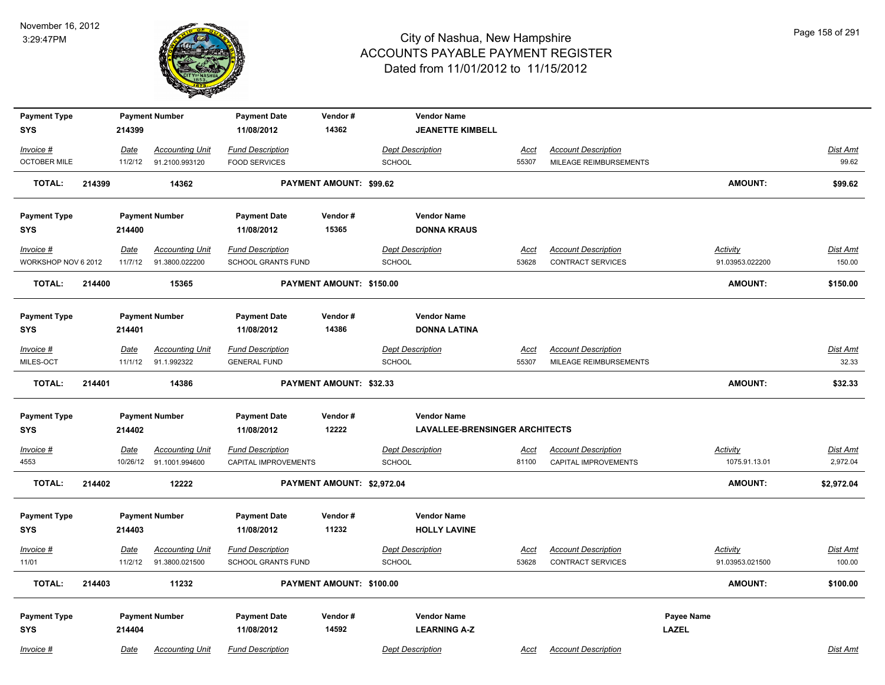

| <b>Payment Type</b> |        |             | <b>Payment Number</b>   | <b>Payment Date</b>     | Vendor#                    | <b>Vendor Name</b>                    |             |                            |                 |                 |
|---------------------|--------|-------------|-------------------------|-------------------------|----------------------------|---------------------------------------|-------------|----------------------------|-----------------|-----------------|
| <b>SYS</b>          |        | 214399      |                         | 11/08/2012              | 14362                      | <b>JEANETTE KIMBELL</b>               |             |                            |                 |                 |
| Invoice #           |        | Date        | <b>Accounting Unit</b>  | <b>Fund Description</b> |                            | <b>Dept Description</b>               | Acct        | <b>Account Description</b> |                 | <b>Dist Amt</b> |
| <b>OCTOBER MILE</b> |        | 11/2/12     | 91.2100.993120          | <b>FOOD SERVICES</b>    |                            | SCHOOL                                | 55307       | MILEAGE REIMBURSEMENTS     |                 | 99.62           |
| <b>TOTAL:</b>       | 214399 |             | 14362                   |                         | PAYMENT AMOUNT: \$99.62    |                                       |             |                            | <b>AMOUNT:</b>  | \$99.62         |
| <b>Payment Type</b> |        |             | <b>Payment Number</b>   | <b>Payment Date</b>     | Vendor#                    | <b>Vendor Name</b>                    |             |                            |                 |                 |
| <b>SYS</b>          |        | 214400      |                         | 11/08/2012              | 15365                      | <b>DONNA KRAUS</b>                    |             |                            |                 |                 |
| Invoice #           |        | Date        | <b>Accounting Unit</b>  | <b>Fund Description</b> |                            | <b>Dept Description</b>               | Acct        | <b>Account Description</b> | Activity        | Dist Amt        |
| WORKSHOP NOV 6 2012 |        | 11/7/12     | 91.3800.022200          | SCHOOL GRANTS FUND      |                            | SCHOOL                                | 53628       | CONTRACT SERVICES          | 91.03953.022200 | 150.00          |
| <b>TOTAL:</b>       | 214400 |             | 15365                   |                         | PAYMENT AMOUNT: \$150.00   |                                       |             |                            | <b>AMOUNT:</b>  | \$150.00        |
| <b>Payment Type</b> |        |             | <b>Payment Number</b>   | <b>Payment Date</b>     | Vendor#                    | <b>Vendor Name</b>                    |             |                            |                 |                 |
| <b>SYS</b>          |        | 214401      |                         | 11/08/2012              | 14386                      | <b>DONNA LATINA</b>                   |             |                            |                 |                 |
| Invoice #           |        | Date        | <b>Accounting Unit</b>  | <b>Fund Description</b> |                            | <b>Dept Description</b>               | Acct        | <b>Account Description</b> |                 | Dist Amt        |
| MILES-OCT           |        | 11/1/12     | 91.1.992322             | <b>GENERAL FUND</b>     |                            | SCHOOL                                | 55307       | MILEAGE REIMBURSEMENTS     |                 | 32.33           |
| <b>TOTAL:</b>       | 214401 |             | 14386                   |                         | PAYMENT AMOUNT: \$32.33    |                                       |             |                            | <b>AMOUNT:</b>  | \$32.33         |
| <b>Payment Type</b> |        |             | <b>Payment Number</b>   | <b>Payment Date</b>     | Vendor#                    | <b>Vendor Name</b>                    |             |                            |                 |                 |
| <b>SYS</b>          |        | 214402      |                         | 11/08/2012              | 12222                      | <b>LAVALLEE-BRENSINGER ARCHITECTS</b> |             |                            |                 |                 |
| $Invoice$ #         |        | <b>Date</b> | <b>Accounting Unit</b>  | <b>Fund Description</b> |                            | <b>Dept Description</b>               | <u>Acct</u> | <b>Account Description</b> | <b>Activity</b> | <b>Dist Amt</b> |
| 4553                |        |             | 10/26/12 91.1001.994600 | CAPITAL IMPROVEMENTS    |                            | SCHOOL                                | 81100       | CAPITAL IMPROVEMENTS       | 1075.91.13.01   | 2,972.04        |
| <b>TOTAL:</b>       | 214402 |             | 12222                   |                         | PAYMENT AMOUNT: \$2,972.04 |                                       |             |                            | <b>AMOUNT:</b>  | \$2,972.04      |
| <b>Payment Type</b> |        |             | <b>Payment Number</b>   | <b>Payment Date</b>     | Vendor#                    | <b>Vendor Name</b>                    |             |                            |                 |                 |
| <b>SYS</b>          |        | 214403      |                         | 11/08/2012              | 11232                      | <b>HOLLY LAVINE</b>                   |             |                            |                 |                 |
| Invoice #           |        | <u>Date</u> | <b>Accounting Unit</b>  | <b>Fund Description</b> |                            | <b>Dept Description</b>               | Acct        | <b>Account Description</b> | <b>Activity</b> | Dist Amt        |
| 11/01               |        | 11/2/12     | 91.3800.021500          | SCHOOL GRANTS FUND      |                            | SCHOOL                                | 53628       | <b>CONTRACT SERVICES</b>   | 91.03953.021500 | 100.00          |
| <b>TOTAL:</b>       | 214403 |             | 11232                   |                         | PAYMENT AMOUNT: \$100.00   |                                       |             |                            | <b>AMOUNT:</b>  | \$100.00        |
| <b>Payment Type</b> |        |             | <b>Payment Number</b>   | <b>Payment Date</b>     | Vendor#                    | <b>Vendor Name</b>                    |             |                            | Payee Name      |                 |
| <b>SYS</b>          |        | 214404      |                         | 11/08/2012              | 14592                      | <b>LEARNING A-Z</b>                   |             |                            | <b>LAZEL</b>    |                 |
| Invoice #           |        | Date        | <b>Accounting Unit</b>  | <b>Fund Description</b> |                            | <b>Dept Description</b>               | Acct        | <b>Account Description</b> |                 | Dist Amt        |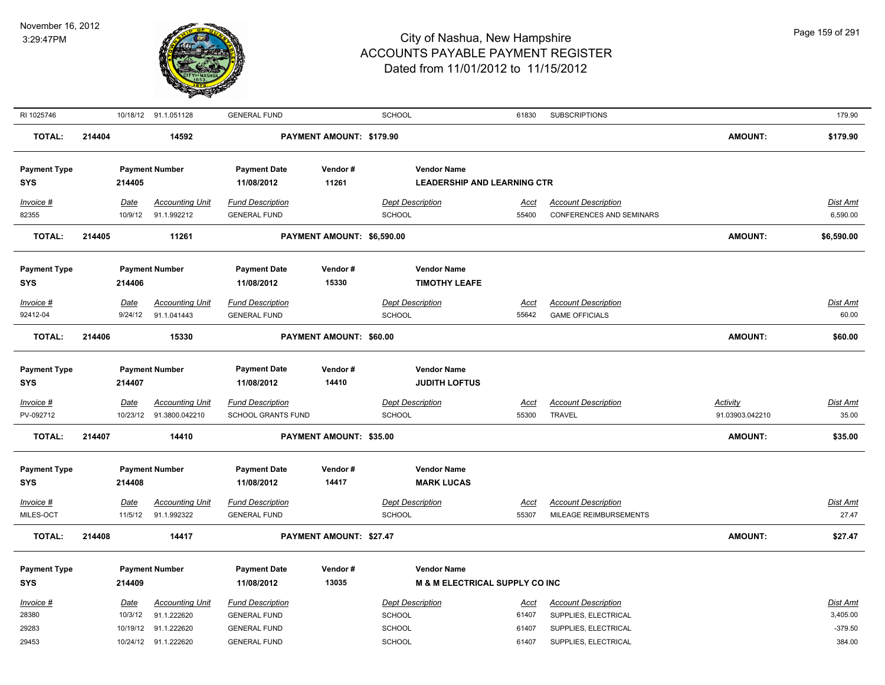

| RI 1025746                        |        |                        | 10/18/12 91.1.051128                              | <b>GENERAL FUND</b>                                  |                            | <b>SCHOOL</b>                                            | 61830                | <b>SUBSCRIPTIONS</b>                                          |                                    | 179.90                   |
|-----------------------------------|--------|------------------------|---------------------------------------------------|------------------------------------------------------|----------------------------|----------------------------------------------------------|----------------------|---------------------------------------------------------------|------------------------------------|--------------------------|
| <b>TOTAL:</b>                     | 214404 |                        | 14592                                             |                                                      | PAYMENT AMOUNT: \$179.90   |                                                          |                      |                                                               | <b>AMOUNT:</b>                     | \$179.90                 |
| <b>Payment Type</b><br><b>SYS</b> |        | 214405                 | <b>Payment Number</b>                             | <b>Payment Date</b><br>11/08/2012                    | Vendor#<br>11261           | <b>Vendor Name</b><br><b>LEADERSHIP AND LEARNING CTR</b> |                      |                                                               |                                    |                          |
| Invoice #<br>82355                |        | Date<br>10/9/12        | <b>Accounting Unit</b><br>91.1.992212             | <b>Fund Description</b><br><b>GENERAL FUND</b>       |                            | <b>Dept Description</b><br>SCHOOL                        | Acct<br>55400        | <b>Account Description</b><br><b>CONFERENCES AND SEMINARS</b> |                                    | Dist Amt<br>6,590.00     |
| <b>TOTAL:</b>                     | 214405 |                        | 11261                                             |                                                      | PAYMENT AMOUNT: \$6,590.00 |                                                          |                      |                                                               | <b>AMOUNT:</b>                     | \$6,590.00               |
| <b>Payment Type</b><br><b>SYS</b> |        | 214406                 | <b>Payment Number</b>                             | <b>Payment Date</b><br>11/08/2012                    | Vendor#<br>15330           | <b>Vendor Name</b><br><b>TIMOTHY LEAFE</b>               |                      |                                                               |                                    |                          |
| $Invoice$ #<br>92412-04           |        | <u>Date</u><br>9/24/12 | <b>Accounting Unit</b><br>91.1.041443             | <b>Fund Description</b><br><b>GENERAL FUND</b>       |                            | <b>Dept Description</b><br>SCHOOL                        | <u>Acct</u><br>55642 | <b>Account Description</b><br><b>GAME OFFICIALS</b>           |                                    | <b>Dist Amt</b><br>60.00 |
| <b>TOTAL:</b>                     | 214406 |                        | 15330                                             |                                                      | PAYMENT AMOUNT: \$60.00    |                                                          |                      |                                                               | <b>AMOUNT:</b>                     | \$60.00                  |
| <b>Payment Type</b><br><b>SYS</b> |        | 214407                 | <b>Payment Number</b>                             | <b>Payment Date</b><br>11/08/2012                    | Vendor#<br>14410           | <b>Vendor Name</b><br><b>JUDITH LOFTUS</b>               |                      |                                                               |                                    |                          |
| $Invoice$ #<br>PV-092712          |        | Date                   | <b>Accounting Unit</b><br>10/23/12 91.3800.042210 | <b>Fund Description</b><br><b>SCHOOL GRANTS FUND</b> |                            | <b>Dept Description</b><br><b>SCHOOL</b>                 | Acct<br>55300        | <b>Account Description</b><br><b>TRAVEL</b>                   | <b>Activity</b><br>91.03903.042210 | <b>Dist Amt</b><br>35.00 |
| <b>TOTAL:</b>                     | 214407 |                        | 14410                                             |                                                      | PAYMENT AMOUNT: \$35.00    |                                                          |                      |                                                               | <b>AMOUNT:</b>                     | \$35.00                  |
| <b>Payment Type</b><br><b>SYS</b> |        | 214408                 | <b>Payment Number</b>                             | <b>Payment Date</b><br>11/08/2012                    | Vendor#<br>14417           | <b>Vendor Name</b><br><b>MARK LUCAS</b>                  |                      |                                                               |                                    |                          |
| Invoice #<br>MILES-OCT            |        | <u>Date</u><br>11/5/12 | <b>Accounting Unit</b><br>91.1.992322             | <b>Fund Description</b><br><b>GENERAL FUND</b>       |                            | <b>Dept Description</b><br>SCHOOL                        | <u>Acct</u><br>55307 | <b>Account Description</b><br>MILEAGE REIMBURSEMENTS          |                                    | Dist Amt<br>27.47        |
| <b>TOTAL:</b>                     | 214408 |                        | 14417                                             |                                                      | PAYMENT AMOUNT: \$27.47    |                                                          |                      |                                                               | <b>AMOUNT:</b>                     | \$27.47                  |
| <b>Payment Type</b><br><b>SYS</b> |        | 214409                 | <b>Payment Number</b>                             | <b>Payment Date</b><br>11/08/2012                    | Vendor#<br>13035           | <b>Vendor Name</b><br>M & M ELECTRICAL SUPPLY CO INC     |                      |                                                               |                                    |                          |
| Invoice #                         |        | Date                   | <b>Accounting Unit</b>                            | <b>Fund Description</b>                              |                            | <b>Dept Description</b>                                  | Acct                 | <b>Account Description</b>                                    |                                    | Dist Amt                 |
| 28380                             |        | 10/3/12                | 91.1.222620                                       | <b>GENERAL FUND</b>                                  |                            | SCHOOL                                                   | 61407                | SUPPLIES, ELECTRICAL                                          |                                    | 3,405.00                 |
| 29283                             |        | 10/19/12               | 91.1.222620                                       | <b>GENERAL FUND</b>                                  |                            | SCHOOL                                                   | 61407                | SUPPLIES, ELECTRICAL                                          |                                    | $-379.50$                |
| 29453                             |        |                        | 10/24/12 91.1.222620                              | <b>GENERAL FUND</b>                                  |                            | SCHOOL                                                   | 61407                | SUPPLIES, ELECTRICAL                                          |                                    | 384.00                   |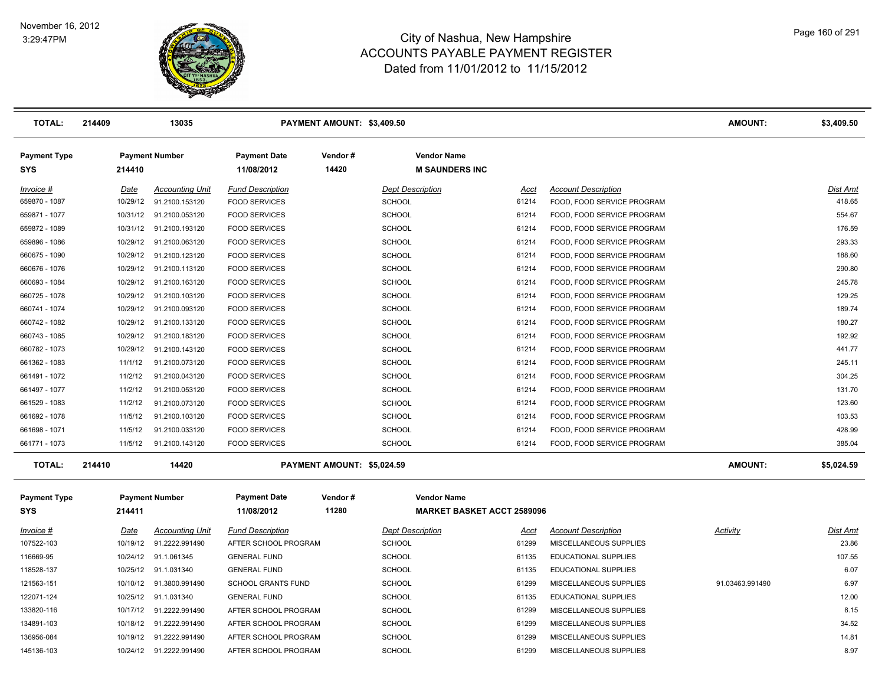

| <b>TOTAL:</b>                     | 214409      | 13035                    |                                   | PAYMENT AMOUNT: \$3,409.50 |                         |                                             |                             | <b>AMOUNT:</b>  | \$3,409.50 |
|-----------------------------------|-------------|--------------------------|-----------------------------------|----------------------------|-------------------------|---------------------------------------------|-----------------------------|-----------------|------------|
| <b>Payment Type</b><br><b>SYS</b> | 214410      | <b>Payment Number</b>    | <b>Payment Date</b><br>11/08/2012 | Vendor#<br>14420           |                         | <b>Vendor Name</b><br><b>M SAUNDERS INC</b> |                             |                 |            |
| Invoice #                         | <u>Date</u> | <b>Accounting Unit</b>   | <b>Fund Description</b>           |                            | <b>Dept Description</b> | Acct                                        | <b>Account Description</b>  |                 | Dist Amt   |
| 659870 - 1087                     | 10/29/12    | 91.2100.153120           | <b>FOOD SERVICES</b>              |                            | <b>SCHOOL</b>           | 61214                                       | FOOD, FOOD SERVICE PROGRAM  |                 | 418.65     |
| 659871 - 1077                     |             | 10/31/12 91.2100.053120  | <b>FOOD SERVICES</b>              |                            | <b>SCHOOL</b>           | 61214                                       | FOOD, FOOD SERVICE PROGRAM  |                 | 554.67     |
| 659872 - 1089                     |             | 10/31/12 91.2100.193120  | <b>FOOD SERVICES</b>              |                            | <b>SCHOOL</b>           | 61214                                       | FOOD, FOOD SERVICE PROGRAM  |                 | 176.59     |
| 659896 - 1086                     |             | 10/29/12 91.2100.063120  | <b>FOOD SERVICES</b>              |                            | <b>SCHOOL</b>           | 61214                                       | FOOD, FOOD SERVICE PROGRAM  |                 | 293.33     |
| 660675 - 1090                     |             | 10/29/12 91.2100.123120  | <b>FOOD SERVICES</b>              |                            | <b>SCHOOL</b>           | 61214                                       | FOOD, FOOD SERVICE PROGRAM  |                 | 188.60     |
| 660676 - 1076                     |             | 10/29/12 91.2100.113120  | <b>FOOD SERVICES</b>              |                            | <b>SCHOOL</b>           | 61214                                       | FOOD, FOOD SERVICE PROGRAM  |                 | 290.80     |
| 660693 - 1084                     | 10/29/12    | 91.2100.163120           | <b>FOOD SERVICES</b>              |                            | <b>SCHOOL</b>           | 61214                                       | FOOD, FOOD SERVICE PROGRAM  |                 | 245.78     |
| 660725 - 1078                     |             | 10/29/12 91.2100.103120  | <b>FOOD SERVICES</b>              |                            | <b>SCHOOL</b>           | 61214                                       | FOOD, FOOD SERVICE PROGRAM  |                 | 129.25     |
| 660741 - 1074                     |             | 10/29/12 91.2100.093120  | <b>FOOD SERVICES</b>              |                            | <b>SCHOOL</b>           | 61214                                       | FOOD, FOOD SERVICE PROGRAM  |                 | 189.74     |
| 660742 - 1082                     |             | 10/29/12 91.2100.133120  | <b>FOOD SERVICES</b>              |                            | <b>SCHOOL</b>           | 61214                                       | FOOD, FOOD SERVICE PROGRAM  |                 | 180.27     |
| 660743 - 1085                     |             | 10/29/12 91.2100.183120  | <b>FOOD SERVICES</b>              |                            | <b>SCHOOL</b>           | 61214                                       | FOOD, FOOD SERVICE PROGRAM  |                 | 192.92     |
| 660782 - 1073                     |             | 10/29/12 91.2100.143120  | <b>FOOD SERVICES</b>              |                            | <b>SCHOOL</b>           | 61214                                       | FOOD, FOOD SERVICE PROGRAM  |                 | 441.77     |
| 661362 - 1083                     | 11/1/12     | 91.2100.073120           | <b>FOOD SERVICES</b>              |                            | <b>SCHOOL</b>           | 61214                                       | FOOD, FOOD SERVICE PROGRAM  |                 | 245.11     |
| 661491 - 1072                     | 11/2/12     | 91.2100.043120           | <b>FOOD SERVICES</b>              |                            | <b>SCHOOL</b>           | 61214                                       | FOOD, FOOD SERVICE PROGRAM  |                 | 304.25     |
| 661497 - 1077                     | 11/2/12     | 91.2100.053120           | <b>FOOD SERVICES</b>              |                            | <b>SCHOOL</b>           | 61214                                       | FOOD, FOOD SERVICE PROGRAM  |                 | 131.70     |
| 661529 - 1083                     | 11/2/12     | 91.2100.073120           | <b>FOOD SERVICES</b>              |                            | <b>SCHOOL</b>           | 61214                                       | FOOD, FOOD SERVICE PROGRAM  |                 | 123.60     |
| 661692 - 1078                     | 11/5/12     | 91.2100.103120           | <b>FOOD SERVICES</b>              |                            | <b>SCHOOL</b>           | 61214                                       | FOOD, FOOD SERVICE PROGRAM  |                 | 103.53     |
| 661698 - 1071                     | 11/5/12     | 91.2100.033120           | <b>FOOD SERVICES</b>              |                            | <b>SCHOOL</b>           | 61214                                       | FOOD, FOOD SERVICE PROGRAM  |                 | 428.99     |
| 661771 - 1073                     | 11/5/12     | 91.2100.143120           | <b>FOOD SERVICES</b>              |                            | <b>SCHOOL</b>           | 61214                                       | FOOD, FOOD SERVICE PROGRAM  |                 | 385.04     |
| <b>TOTAL:</b>                     | 214410      | 14420                    |                                   | PAYMENT AMOUNT: \$5,024.59 |                         |                                             |                             | <b>AMOUNT:</b>  | \$5,024.59 |
| <b>Payment Type</b>               |             | <b>Payment Number</b>    | <b>Payment Date</b>               | Vendor#                    |                         | <b>Vendor Name</b>                          |                             |                 |            |
| <b>SYS</b>                        | 214411      |                          | 11/08/2012                        | 11280                      |                         | <b>MARKET BASKET ACCT 2589096</b>           |                             |                 |            |
| Invoice #                         | Date        | <b>Accounting Unit</b>   | <b>Fund Description</b>           |                            | <b>Dept Description</b> | Acct                                        | <b>Account Description</b>  | <b>Activity</b> | Dist Amt   |
| 107522-103                        |             | 10/19/12 91.2222.991490  | AFTER SCHOOL PROGRAM              |                            | <b>SCHOOL</b>           | 61299                                       | MISCELLANEOUS SUPPLIES      |                 | 23.86      |
| 116669-95                         |             | 10/24/12 91.1.061345     | <b>GENERAL FUND</b>               |                            | <b>SCHOOL</b>           | 61135                                       | EDUCATIONAL SUPPLIES        |                 | 107.55     |
| 118528-137                        |             | 10/25/12 91.1.031340     | <b>GENERAL FUND</b>               |                            | <b>SCHOOL</b>           | 61135                                       | <b>EDUCATIONAL SUPPLIES</b> |                 | 6.07       |
| 121563-151                        |             | 10/10/12 91.3800.991490  | <b>SCHOOL GRANTS FUND</b>         |                            | <b>SCHOOL</b>           | 61299                                       | MISCELLANEOUS SUPPLIES      | 91.03463.991490 | 6.97       |
| 122071-124                        | 10/25/12    | 91.1.031340              | <b>GENERAL FUND</b>               |                            | <b>SCHOOL</b>           | 61135                                       | EDUCATIONAL SUPPLIES        |                 | 12.00      |
| 133820-116                        |             | 10/17/12  91.2222.991490 | AFTER SCHOOL PROGRAM              |                            | <b>SCHOOL</b>           | 61299                                       | MISCELLANEOUS SUPPLIES      |                 | 8.15       |
| 134891-103                        |             | 10/18/12 91.2222.991490  | AFTER SCHOOL PROGRAM              |                            | <b>SCHOOL</b>           | 61299                                       | MISCELLANEOUS SUPPLIES      |                 | 34.52      |
| 136956-084                        |             | 10/19/12 91.2222.991490  | AFTER SCHOOL PROGRAM              |                            | <b>SCHOOL</b>           | 61299                                       | MISCELLANEOUS SUPPLIES      |                 | 14.81      |
| 145136-103                        |             | 10/24/12 91.2222.991490  | AFTER SCHOOL PROGRAM              |                            | <b>SCHOOL</b>           | 61299                                       | MISCELLANEOUS SUPPLIES      |                 | 8.97       |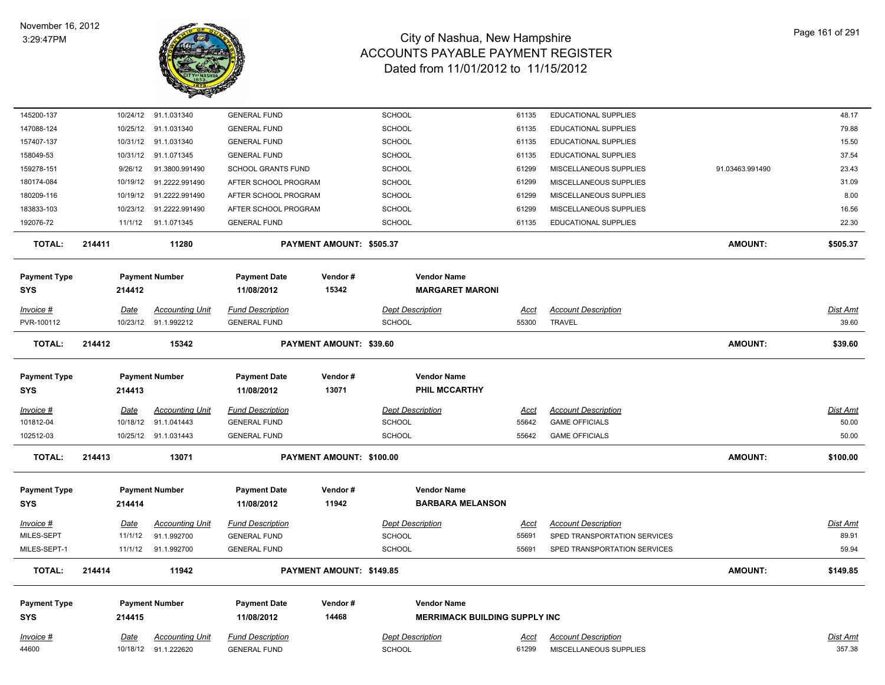

| 145200-137          |             | 10/24/12 91.1.031340   | <b>GENERAL FUND</b>       |                          | <b>SCHOOL</b>                        | 61135       | EDUCATIONAL SUPPLIES         |                 | 48.17           |
|---------------------|-------------|------------------------|---------------------------|--------------------------|--------------------------------------|-------------|------------------------------|-----------------|-----------------|
| 147088-124          |             | 10/25/12 91.1.031340   | <b>GENERAL FUND</b>       |                          | <b>SCHOOL</b>                        | 61135       | EDUCATIONAL SUPPLIES         |                 | 79.88           |
| 157407-137          |             | 10/31/12 91.1.031340   | <b>GENERAL FUND</b>       |                          | <b>SCHOOL</b>                        | 61135       | <b>EDUCATIONAL SUPPLIES</b>  |                 | 15.50           |
| 158049-53           | 10/31/12    | 91.1.071345            | <b>GENERAL FUND</b>       |                          | <b>SCHOOL</b>                        | 61135       | <b>EDUCATIONAL SUPPLIES</b>  |                 | 37.54           |
| 159278-151          | 9/26/12     | 91.3800.991490         | <b>SCHOOL GRANTS FUND</b> |                          | <b>SCHOOL</b>                        | 61299       | MISCELLANEOUS SUPPLIES       | 91.03463.991490 | 23.43           |
| 180174-084          | 10/19/12    | 91.2222.991490         | AFTER SCHOOL PROGRAM      |                          | <b>SCHOOL</b>                        | 61299       | MISCELLANEOUS SUPPLIES       |                 | 31.09           |
| 180209-116          | 10/19/12    | 91.2222.991490         | AFTER SCHOOL PROGRAM      |                          | <b>SCHOOL</b>                        | 61299       | MISCELLANEOUS SUPPLIES       |                 | 8.00            |
| 183833-103          | 10/23/12    | 91.2222.991490         | AFTER SCHOOL PROGRAM      |                          | <b>SCHOOL</b>                        | 61299       | MISCELLANEOUS SUPPLIES       |                 | 16.56           |
| 192076-72           |             | 11/1/12 91.1.071345    | <b>GENERAL FUND</b>       |                          | <b>SCHOOL</b>                        | 61135       | EDUCATIONAL SUPPLIES         |                 | 22.30           |
| <b>TOTAL:</b>       | 214411      | 11280                  |                           | PAYMENT AMOUNT: \$505.37 |                                      |             |                              | <b>AMOUNT:</b>  | \$505.37        |
| <b>Payment Type</b> |             | <b>Payment Number</b>  | <b>Payment Date</b>       | Vendor#                  | <b>Vendor Name</b>                   |             |                              |                 |                 |
| <b>SYS</b>          | 214412      |                        | 11/08/2012                | 15342                    | <b>MARGARET MARONI</b>               |             |                              |                 |                 |
| Invoice #           | <u>Date</u> | <b>Accounting Unit</b> | <b>Fund Description</b>   |                          | <b>Dept Description</b>              | <u>Acct</u> | <b>Account Description</b>   |                 | <b>Dist Amt</b> |
| PVR-100112          |             | 10/23/12 91.1.992212   | <b>GENERAL FUND</b>       |                          | <b>SCHOOL</b>                        | 55300       | <b>TRAVEL</b>                |                 | 39.60           |
| <b>TOTAL:</b>       | 214412      | 15342                  |                           | PAYMENT AMOUNT: \$39.60  |                                      |             |                              | <b>AMOUNT:</b>  | \$39.60         |
|                     |             |                        |                           |                          |                                      |             |                              |                 |                 |
| <b>Payment Type</b> |             | <b>Payment Number</b>  | <b>Payment Date</b>       | Vendor#                  | <b>Vendor Name</b>                   |             |                              |                 |                 |
| <b>SYS</b>          | 214413      |                        | 11/08/2012                | 13071                    | PHIL MCCARTHY                        |             |                              |                 |                 |
| Invoice #           | Date        | <b>Accounting Unit</b> | <b>Fund Description</b>   |                          | <b>Dept Description</b>              | Acct        | <b>Account Description</b>   |                 | Dist Amt        |
| 101812-04           | 10/18/12    | 91.1.041443            | <b>GENERAL FUND</b>       |                          | <b>SCHOOL</b>                        | 55642       | <b>GAME OFFICIALS</b>        |                 | 50.00           |
| 102512-03           |             | 10/25/12 91.1.031443   | <b>GENERAL FUND</b>       |                          | <b>SCHOOL</b>                        | 55642       | <b>GAME OFFICIALS</b>        |                 | 50.00           |
| <b>TOTAL:</b>       | 214413      | 13071                  |                           | PAYMENT AMOUNT: \$100.00 |                                      |             |                              | <b>AMOUNT:</b>  | \$100.00        |
| <b>Payment Type</b> |             | <b>Payment Number</b>  | <b>Payment Date</b>       | Vendor#                  | <b>Vendor Name</b>                   |             |                              |                 |                 |
| <b>SYS</b>          | 214414      |                        | 11/08/2012                | 11942                    | <b>BARBARA MELANSON</b>              |             |                              |                 |                 |
| <u> Invoice #</u>   | <b>Date</b> | <b>Accounting Unit</b> | <b>Fund Description</b>   |                          | <b>Dept Description</b>              | <u>Acct</u> | <b>Account Description</b>   |                 | <b>Dist Amt</b> |
| MILES-SEPT          | 11/1/12     | 91.1.992700            | <b>GENERAL FUND</b>       |                          | <b>SCHOOL</b>                        | 55691       | SPED TRANSPORTATION SERVICES |                 | 89.91           |
| MILES-SEPT-1        |             | 11/1/12 91.1.992700    | <b>GENERAL FUND</b>       |                          | <b>SCHOOL</b>                        | 55691       | SPED TRANSPORTATION SERVICES |                 | 59.94           |
| <b>TOTAL:</b>       | 214414      | 11942                  |                           | PAYMENT AMOUNT: \$149.85 |                                      |             |                              | <b>AMOUNT:</b>  | \$149.85        |
|                     |             |                        |                           |                          |                                      |             |                              |                 |                 |
| <b>Payment Type</b> |             | <b>Payment Number</b>  | <b>Payment Date</b>       | Vendor#                  | <b>Vendor Name</b>                   |             |                              |                 |                 |
| <b>SYS</b>          | 214415      |                        | 11/08/2012                | 14468                    | <b>MERRIMACK BUILDING SUPPLY INC</b> |             |                              |                 |                 |
| $Invoice$ #         | <u>Date</u> | <b>Accounting Unit</b> | <b>Fund Description</b>   |                          | <b>Dept Description</b>              | <u>Acct</u> | <b>Account Description</b>   |                 | Dist Amt        |
| 44600               |             | 10/18/12 91.1.222620   | <b>GENERAL FUND</b>       |                          | <b>SCHOOL</b>                        | 61299       | MISCELLANEOUS SUPPLIES       |                 | 357.38          |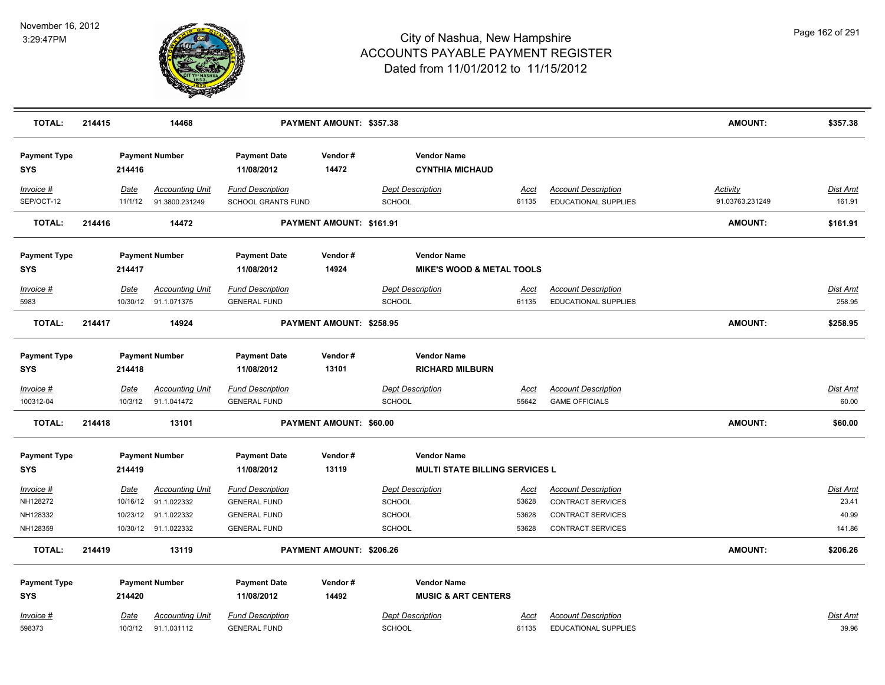

| <b>TOTAL:</b>                     | 214415 |                 | 14468                                          |                                                | PAYMENT AMOUNT: \$357.38 |                                              |                      |                                                    | <b>AMOUNT:</b>                     | \$357.38                  |
|-----------------------------------|--------|-----------------|------------------------------------------------|------------------------------------------------|--------------------------|----------------------------------------------|----------------------|----------------------------------------------------|------------------------------------|---------------------------|
| <b>Payment Type</b><br><b>SYS</b> |        | 214416          | <b>Payment Number</b>                          | <b>Payment Date</b><br>11/08/2012              | Vendor#<br>14472         | <b>Vendor Name</b><br><b>CYNTHIA MICHAUD</b> |                      |                                                    |                                    |                           |
| Invoice #<br>SEP/OCT-12           |        | Date<br>11/1/12 | <b>Accounting Unit</b><br>91.3800.231249       | <b>Fund Description</b><br>SCHOOL GRANTS FUND  |                          | <b>Dept Description</b><br><b>SCHOOL</b>     | <u>Acct</u><br>61135 | <b>Account Description</b><br>EDUCATIONAL SUPPLIES | <b>Activity</b><br>91.03763.231249 | <b>Dist Amt</b><br>161.91 |
| <b>TOTAL:</b>                     | 214416 |                 | 14472                                          |                                                | PAYMENT AMOUNT: \$161.91 |                                              |                      |                                                    | <b>AMOUNT:</b>                     | \$161.91                  |
| <b>Payment Type</b>               |        |                 | <b>Payment Number</b>                          | <b>Payment Date</b>                            | Vendor#                  | <b>Vendor Name</b>                           |                      |                                                    |                                    |                           |
| <b>SYS</b>                        |        | 214417          |                                                | 11/08/2012                                     | 14924                    | <b>MIKE'S WOOD &amp; METAL TOOLS</b>         |                      |                                                    |                                    |                           |
| Invoice #<br>5983                 |        | Date            | <b>Accounting Unit</b><br>10/30/12 91.1.071375 | <b>Fund Description</b><br><b>GENERAL FUND</b> |                          | <b>Dept Description</b><br><b>SCHOOL</b>     | Acct<br>61135        | <b>Account Description</b><br>EDUCATIONAL SUPPLIES |                                    | Dist Amt<br>258.95        |
| <b>TOTAL:</b>                     | 214417 |                 | 14924                                          |                                                | PAYMENT AMOUNT: \$258.95 |                                              |                      |                                                    | <b>AMOUNT:</b>                     | \$258.95                  |
| <b>Payment Type</b><br><b>SYS</b> |        | 214418          | <b>Payment Number</b>                          | <b>Payment Date</b><br>11/08/2012              | Vendor#<br>13101         | <b>Vendor Name</b><br><b>RICHARD MILBURN</b> |                      |                                                    |                                    |                           |
| Invoice #                         |        | Date            | <b>Accounting Unit</b>                         | <b>Fund Description</b>                        |                          | <b>Dept Description</b>                      | Acct                 | <b>Account Description</b>                         |                                    | Dist Amt                  |
| 100312-04                         |        | 10/3/12         | 91.1.041472                                    | <b>GENERAL FUND</b>                            |                          | SCHOOL                                       | 55642                | <b>GAME OFFICIALS</b>                              |                                    | 60.00                     |
| <b>TOTAL:</b>                     | 214418 |                 | 13101                                          |                                                | PAYMENT AMOUNT: \$60.00  |                                              |                      |                                                    | <b>AMOUNT:</b>                     | \$60.00                   |
| <b>Payment Type</b>               |        |                 | <b>Payment Number</b>                          | <b>Payment Date</b>                            | Vendor#                  | <b>Vendor Name</b>                           |                      |                                                    |                                    |                           |
| <b>SYS</b>                        |        | 214419          |                                                | 11/08/2012                                     | 13119                    | <b>MULTI STATE BILLING SERVICES L</b>        |                      |                                                    |                                    |                           |
| Invoice #                         |        | Date            | <b>Accounting Unit</b>                         | <u>Fund Description</u>                        |                          | <b>Dept Description</b>                      | <u>Acct</u>          | <b>Account Description</b>                         |                                    | Dist Amt                  |
| NH128272                          |        | 10/16/12        | 91.1.022332                                    | <b>GENERAL FUND</b>                            |                          | <b>SCHOOL</b>                                | 53628                | <b>CONTRACT SERVICES</b>                           |                                    | 23.41                     |
| NH128332                          |        | 10/23/12        | 91.1.022332                                    | <b>GENERAL FUND</b>                            |                          | <b>SCHOOL</b>                                | 53628                | <b>CONTRACT SERVICES</b>                           |                                    | 40.99                     |
| NH128359                          |        |                 | 10/30/12 91.1.022332                           | <b>GENERAL FUND</b>                            |                          | SCHOOL                                       | 53628                | <b>CONTRACT SERVICES</b>                           |                                    | 141.86                    |
| <b>TOTAL:</b>                     | 214419 |                 | 13119                                          |                                                | PAYMENT AMOUNT: \$206.26 |                                              |                      |                                                    | <b>AMOUNT:</b>                     | \$206.26                  |
| <b>Payment Type</b>               |        |                 | <b>Payment Number</b>                          | <b>Payment Date</b>                            | Vendor#                  | <b>Vendor Name</b>                           |                      |                                                    |                                    |                           |
| <b>SYS</b>                        |        | 214420          |                                                | 11/08/2012                                     | 14492                    | <b>MUSIC &amp; ART CENTERS</b>               |                      |                                                    |                                    |                           |
| Invoice #                         |        | Date            | <b>Accounting Unit</b>                         | <b>Fund Description</b>                        |                          | <b>Dept Description</b>                      | Acct                 | <b>Account Description</b>                         |                                    | <b>Dist Amt</b>           |
| 598373                            |        | 10/3/12         | 91.1.031112                                    | <b>GENERAL FUND</b>                            |                          | SCHOOL                                       | 61135                | EDUCATIONAL SUPPLIES                               |                                    | 39.96                     |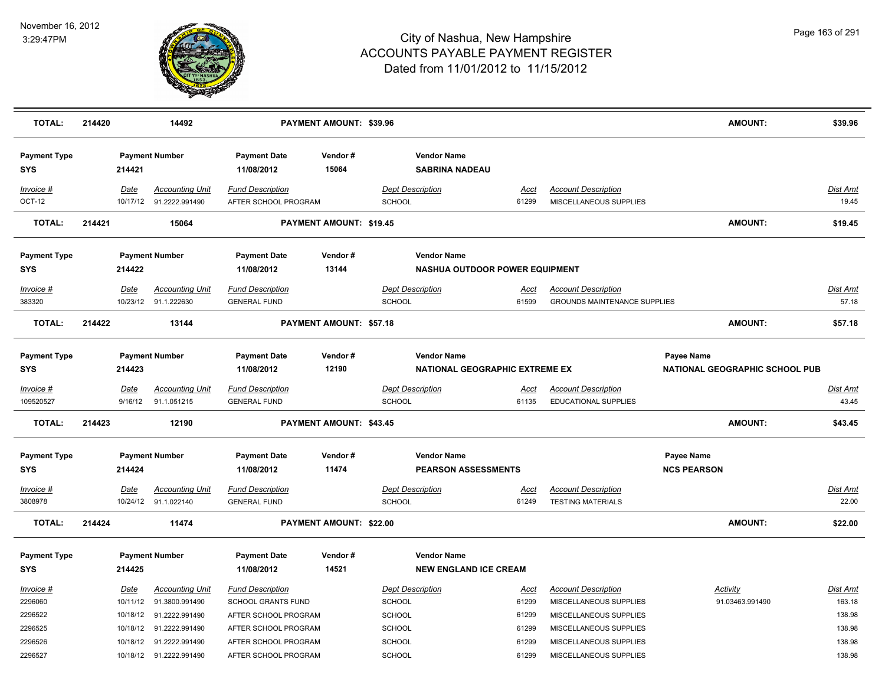

| <b>TOTAL:</b>                     | 214420 |                  | 14492                                          |                                                 | PAYMENT AMOUNT: \$39.96        |                                   |                                                             |                                                           |                                         | <b>AMOUNT:</b>                 | \$39.96                  |
|-----------------------------------|--------|------------------|------------------------------------------------|-------------------------------------------------|--------------------------------|-----------------------------------|-------------------------------------------------------------|-----------------------------------------------------------|-----------------------------------------|--------------------------------|--------------------------|
| <b>Payment Type</b><br><b>SYS</b> |        | 214421           | <b>Payment Number</b>                          | <b>Payment Date</b><br>11/08/2012               | Vendor#<br>15064               |                                   | <b>Vendor Name</b><br><b>SABRINA NADEAU</b>                 |                                                           |                                         |                                |                          |
| $Invoice$ #<br><b>OCT-12</b>      |        | Date<br>10/17/12 | <b>Accounting Unit</b><br>91.2222.991490       | <b>Fund Description</b><br>AFTER SCHOOL PROGRAM |                                | <b>Dept Description</b><br>SCHOOL | <u>Acct</u><br>61299                                        | <b>Account Description</b><br>MISCELLANEOUS SUPPLIES      |                                         |                                | <b>Dist Amt</b><br>19.45 |
| <b>TOTAL:</b>                     | 214421 |                  | 15064                                          |                                                 | PAYMENT AMOUNT: \$19.45        |                                   |                                                             |                                                           |                                         | <b>AMOUNT:</b>                 | \$19.45                  |
| <b>Payment Type</b><br><b>SYS</b> |        | 214422           | <b>Payment Number</b>                          | <b>Payment Date</b><br>11/08/2012               | Vendor#<br>13144               |                                   | <b>Vendor Name</b><br><b>NASHUA OUTDOOR POWER EQUIPMENT</b> |                                                           |                                         |                                |                          |
| Invoice #                         |        | Date             | <b>Accounting Unit</b>                         | <b>Fund Description</b>                         |                                | <b>Dept Description</b>           | <u>Acct</u>                                                 | <b>Account Description</b>                                |                                         |                                | Dist Amt                 |
| 383320                            |        | 10/23/12         | 91.1.222630                                    | <b>GENERAL FUND</b>                             |                                | <b>SCHOOL</b>                     | 61599                                                       | <b>GROUNDS MAINTENANCE SUPPLIES</b>                       |                                         |                                | 57.18                    |
| <b>TOTAL:</b>                     | 214422 |                  | 13144                                          |                                                 | PAYMENT AMOUNT: \$57.18        |                                   |                                                             |                                                           |                                         | <b>AMOUNT:</b>                 | \$57.18                  |
| <b>Payment Type</b><br><b>SYS</b> |        | 214423           | <b>Payment Number</b>                          | <b>Payment Date</b><br>11/08/2012               | Vendor#<br>12190               |                                   | <b>Vendor Name</b><br>NATIONAL GEOGRAPHIC EXTREME EX        |                                                           | <b>Payee Name</b>                       | NATIONAL GEOGRAPHIC SCHOOL PUB |                          |
| Invoice #<br>109520527            |        | Date<br>9/16/12  | <b>Accounting Unit</b><br>91.1.051215          | <b>Fund Description</b><br><b>GENERAL FUND</b>  |                                | <b>Dept Description</b><br>SCHOOL | Acct<br>61135                                               | <b>Account Description</b><br><b>EDUCATIONAL SUPPLIES</b> |                                         |                                | <b>Dist Amt</b><br>43.45 |
| <b>TOTAL:</b>                     | 214423 |                  | 12190                                          |                                                 | <b>PAYMENT AMOUNT: \$43.45</b> |                                   |                                                             |                                                           |                                         | <b>AMOUNT:</b>                 | \$43.45                  |
| <b>Payment Type</b><br><b>SYS</b> |        | 214424           | <b>Payment Number</b>                          | <b>Payment Date</b><br>11/08/2012               | Vendor#<br>11474               |                                   | <b>Vendor Name</b><br><b>PEARSON ASSESSMENTS</b>            |                                                           | <b>Payee Name</b><br><b>NCS PEARSON</b> |                                |                          |
| $Invoice$ #<br>3808978            |        | Date             | <b>Accounting Unit</b><br>10/24/12 91.1.022140 | <b>Fund Description</b><br><b>GENERAL FUND</b>  |                                | <b>Dept Description</b><br>SCHOOL | <u>Acct</u><br>61249                                        | <b>Account Description</b><br><b>TESTING MATERIALS</b>    |                                         |                                | <b>Dist Amt</b><br>22.00 |
| <b>TOTAL:</b>                     | 214424 |                  | 11474                                          |                                                 | PAYMENT AMOUNT: \$22.00        |                                   |                                                             |                                                           |                                         | <b>AMOUNT:</b>                 | \$22.00                  |
| <b>Payment Type</b><br><b>SYS</b> |        | 214425           | <b>Payment Number</b>                          | <b>Payment Date</b><br>11/08/2012               | Vendor#<br>14521               |                                   | <b>Vendor Name</b><br><b>NEW ENGLAND ICE CREAM</b>          |                                                           |                                         |                                |                          |
| Invoice #                         |        | Date             | <b>Accounting Unit</b>                         | <b>Fund Description</b>                         |                                | <b>Dept Description</b>           | <u>Acct</u>                                                 | <b>Account Description</b>                                | <b>Activity</b>                         |                                | Dist Amt                 |
| 2296060                           |        | 10/11/12         | 91.3800.991490                                 | SCHOOL GRANTS FUND                              |                                | <b>SCHOOL</b>                     | 61299                                                       | MISCELLANEOUS SUPPLIES                                    |                                         | 91.03463.991490                | 163.18                   |
| 2296522                           |        | 10/18/12         | 91.2222.991490                                 | AFTER SCHOOL PROGRAM                            |                                | <b>SCHOOL</b>                     | 61299                                                       | MISCELLANEOUS SUPPLIES                                    |                                         |                                | 138.98                   |
| 2296525                           |        |                  | 10/18/12 91.2222.991490                        | AFTER SCHOOL PROGRAM                            |                                | <b>SCHOOL</b>                     | 61299                                                       | MISCELLANEOUS SUPPLIES                                    |                                         |                                | 138.98                   |
| 2296526                           |        | 10/18/12         | 91.2222.991490                                 | AFTER SCHOOL PROGRAM                            |                                | <b>SCHOOL</b>                     | 61299                                                       | MISCELLANEOUS SUPPLIES                                    |                                         |                                | 138.98                   |
| 2296527                           |        |                  | 10/18/12 91.2222.991490                        | AFTER SCHOOL PROGRAM                            |                                | SCHOOL                            | 61299                                                       | MISCELLANEOUS SUPPLIES                                    |                                         |                                | 138.98                   |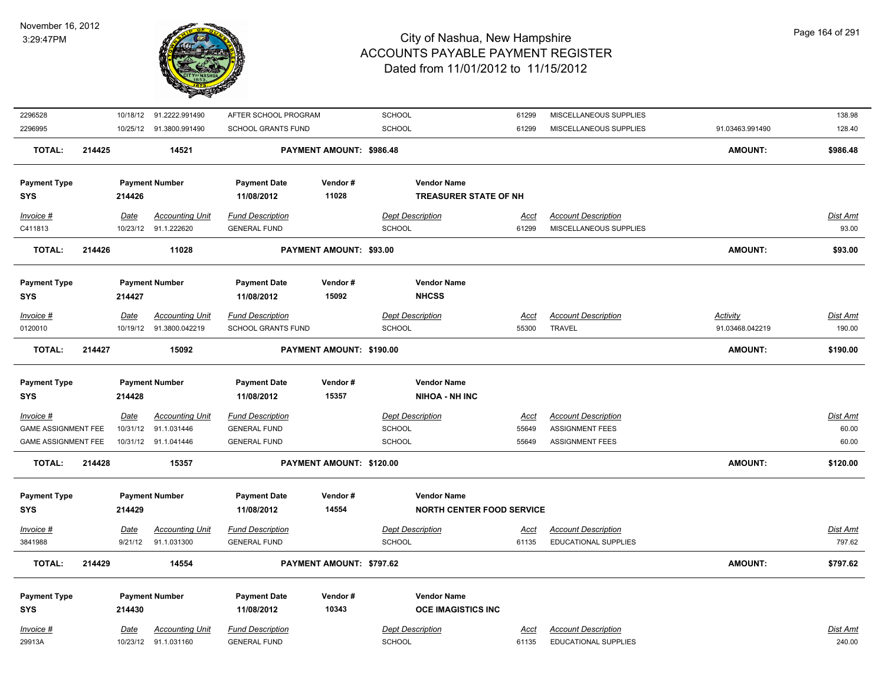

| 2296528                    |        |             | 10/18/12 91.2222.991490  | AFTER SCHOOL PROGRAM      |                          | <b>SCHOOL</b>                    | 61299       | MISCELLANEOUS SUPPLIES      |                 | 138.98          |
|----------------------------|--------|-------------|--------------------------|---------------------------|--------------------------|----------------------------------|-------------|-----------------------------|-----------------|-----------------|
| 2296995                    |        |             | 10/25/12 91.3800.991490  | SCHOOL GRANTS FUND        |                          | SCHOOL                           | 61299       | MISCELLANEOUS SUPPLIES      | 91.03463.991490 | 128.40          |
| <b>TOTAL:</b>              | 214425 |             | 14521                    |                           | PAYMENT AMOUNT: \$986.48 |                                  |             |                             | <b>AMOUNT:</b>  | \$986.48        |
| <b>Payment Type</b>        |        |             | <b>Payment Number</b>    | <b>Payment Date</b>       | Vendor#                  | <b>Vendor Name</b>               |             |                             |                 |                 |
| <b>SYS</b>                 |        | 214426      |                          | 11/08/2012                | 11028                    | <b>TREASURER STATE OF NH</b>     |             |                             |                 |                 |
| Invoice #                  |        | <b>Date</b> | <b>Accounting Unit</b>   | <b>Fund Description</b>   |                          | <b>Dept Description</b>          | <u>Acct</u> | <b>Account Description</b>  |                 | <u>Dist Amt</u> |
| C411813                    |        |             | 10/23/12 91.1.222620     | <b>GENERAL FUND</b>       |                          | <b>SCHOOL</b>                    | 61299       | MISCELLANEOUS SUPPLIES      |                 | 93.00           |
| <b>TOTAL:</b>              | 214426 |             | 11028                    |                           | PAYMENT AMOUNT: \$93.00  |                                  |             |                             | <b>AMOUNT:</b>  | \$93.00         |
| <b>Payment Type</b>        |        |             | <b>Payment Number</b>    | <b>Payment Date</b>       | Vendor#                  | <b>Vendor Name</b>               |             |                             |                 |                 |
| <b>SYS</b>                 |        | 214427      |                          | 11/08/2012                | 15092                    | <b>NHCSS</b>                     |             |                             |                 |                 |
| Invoice #                  |        | Date        | <b>Accounting Unit</b>   | <b>Fund Description</b>   |                          | <b>Dept Description</b>          | <u>Acct</u> | <b>Account Description</b>  | Activity        | <u>Dist Amt</u> |
| 0120010                    |        |             | 10/19/12  91.3800.042219 | <b>SCHOOL GRANTS FUND</b> |                          | <b>SCHOOL</b>                    | 55300       | <b>TRAVEL</b>               | 91.03468.042219 | 190.00          |
| <b>TOTAL:</b>              | 214427 |             | 15092                    |                           | PAYMENT AMOUNT: \$190.00 |                                  |             |                             | <b>AMOUNT:</b>  | \$190.00        |
| <b>Payment Type</b>        |        |             | <b>Payment Number</b>    | <b>Payment Date</b>       | Vendor#                  | <b>Vendor Name</b>               |             |                             |                 |                 |
| <b>SYS</b>                 |        | 214428      |                          | 11/08/2012                | 15357                    | <b>NIHOA - NH INC</b>            |             |                             |                 |                 |
| $Invoice$ #                |        | Date        | <b>Accounting Unit</b>   | <b>Fund Description</b>   |                          | <b>Dept Description</b>          | <u>Acct</u> | <b>Account Description</b>  |                 | Dist Amt        |
| <b>GAME ASSIGNMENT FEE</b> |        | 10/31/12    | 91.1.031446              | <b>GENERAL FUND</b>       |                          | <b>SCHOOL</b>                    | 55649       | <b>ASSIGNMENT FEES</b>      |                 | 60.00           |
| <b>GAME ASSIGNMENT FEE</b> |        |             | 10/31/12 91.1.041446     | <b>GENERAL FUND</b>       |                          | SCHOOL                           | 55649       | <b>ASSIGNMENT FEES</b>      |                 | 60.00           |
| <b>TOTAL:</b>              | 214428 |             | 15357                    |                           | PAYMENT AMOUNT: \$120.00 |                                  |             |                             | <b>AMOUNT:</b>  | \$120.00        |
| <b>Payment Type</b>        |        |             | <b>Payment Number</b>    | <b>Payment Date</b>       | Vendor#                  | <b>Vendor Name</b>               |             |                             |                 |                 |
| <b>SYS</b>                 |        | 214429      |                          | 11/08/2012                | 14554                    | <b>NORTH CENTER FOOD SERVICE</b> |             |                             |                 |                 |
| Invoice #                  |        | Date        | <b>Accounting Unit</b>   | <b>Fund Description</b>   |                          | <b>Dept Description</b>          | Acct        | <b>Account Description</b>  |                 | Dist Amt        |
| 3841988                    |        |             | 9/21/12 91.1.031300      | <b>GENERAL FUND</b>       |                          | SCHOOL                           | 61135       | <b>EDUCATIONAL SUPPLIES</b> |                 | 797.62          |
| <b>TOTAL:</b>              | 214429 |             | 14554                    |                           | PAYMENT AMOUNT: \$797.62 |                                  |             |                             | <b>AMOUNT:</b>  | \$797.62        |
| <b>Payment Type</b>        |        |             | <b>Payment Number</b>    | <b>Payment Date</b>       | Vendor#                  | <b>Vendor Name</b>               |             |                             |                 |                 |
| <b>SYS</b>                 |        | 214430      |                          | 11/08/2012                | 10343                    | <b>OCE IMAGISTICS INC</b>        |             |                             |                 |                 |
| Invoice #                  |        | Date        | <b>Accounting Unit</b>   | <b>Fund Description</b>   |                          | <b>Dept Description</b>          | Acct        | <b>Account Description</b>  |                 | Dist Amt        |
| 29913A                     |        |             | 10/23/12 91.1.031160     | <b>GENERAL FUND</b>       |                          | <b>SCHOOL</b>                    | 61135       | <b>EDUCATIONAL SUPPLIES</b> |                 | 240.00          |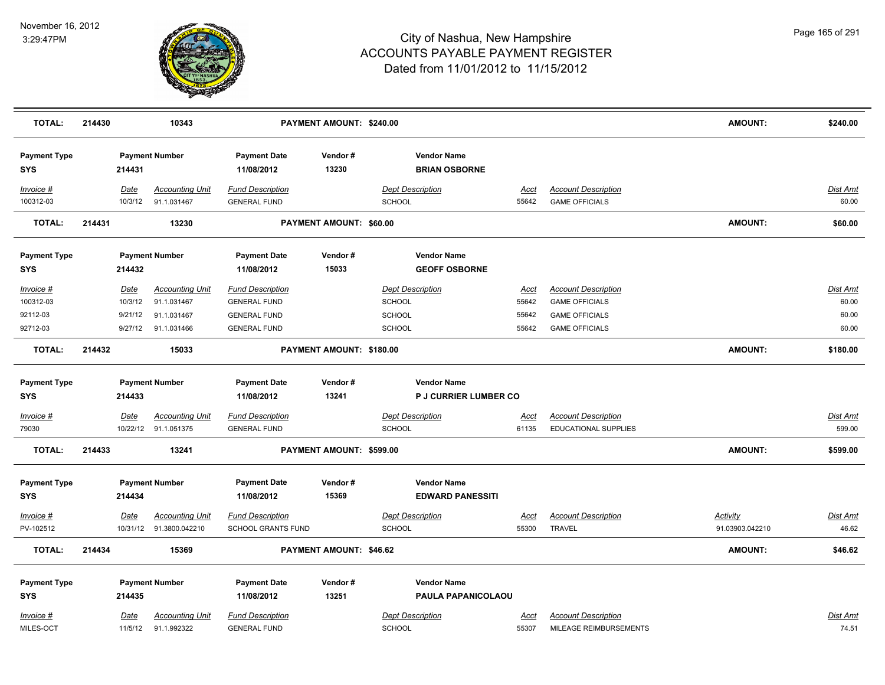

| <b>TOTAL:</b>                                  | 214430                                | 10343                                                               |                                                                                              | PAYMENT AMOUNT: \$240.00 |                                                                               |                                 |                                                                                                       | <b>AMOUNT:</b>                     | \$240.00                                   |
|------------------------------------------------|---------------------------------------|---------------------------------------------------------------------|----------------------------------------------------------------------------------------------|--------------------------|-------------------------------------------------------------------------------|---------------------------------|-------------------------------------------------------------------------------------------------------|------------------------------------|--------------------------------------------|
| <b>Payment Type</b><br>SYS                     | 214431                                | <b>Payment Number</b>                                               | <b>Payment Date</b><br>11/08/2012                                                            | Vendor#<br>13230         | <b>Vendor Name</b><br><b>BRIAN OSBORNE</b>                                    |                                 |                                                                                                       |                                    |                                            |
| Invoice #<br>100312-03                         | <u>Date</u><br>10/3/12                | <b>Accounting Unit</b><br>91.1.031467                               | <b>Fund Description</b><br><b>GENERAL FUND</b>                                               |                          | <b>Dept Description</b><br><b>SCHOOL</b>                                      | Acct<br>55642                   | <b>Account Description</b><br><b>GAME OFFICIALS</b>                                                   |                                    | Dist Amt<br>60.00                          |
| <b>TOTAL:</b>                                  | 214431                                | 13230                                                               |                                                                                              | PAYMENT AMOUNT: \$60.00  |                                                                               |                                 |                                                                                                       | <b>AMOUNT:</b>                     | \$60.00                                    |
| <b>Payment Type</b><br><b>SYS</b>              | 214432                                | <b>Payment Number</b>                                               | <b>Payment Date</b><br>11/08/2012                                                            | Vendor#<br>15033         | <b>Vendor Name</b><br><b>GEOFF OSBORNE</b>                                    |                                 |                                                                                                       |                                    |                                            |
| Invoice #<br>100312-03<br>92112-03<br>92712-03 | Date<br>10/3/12<br>9/21/12<br>9/27/12 | <b>Accounting Unit</b><br>91.1.031467<br>91.1.031467<br>91.1.031466 | <b>Fund Description</b><br><b>GENERAL FUND</b><br><b>GENERAL FUND</b><br><b>GENERAL FUND</b> |                          | <b>Dept Description</b><br>SCHOOL<br>SCHOOL<br>SCHOOL                         | Acct<br>55642<br>55642<br>55642 | <b>Account Description</b><br><b>GAME OFFICIALS</b><br><b>GAME OFFICIALS</b><br><b>GAME OFFICIALS</b> |                                    | <b>Dist Amt</b><br>60.00<br>60.00<br>60.00 |
| <b>TOTAL:</b>                                  | 214432                                | 15033                                                               |                                                                                              | PAYMENT AMOUNT: \$180.00 |                                                                               |                                 |                                                                                                       | <b>AMOUNT:</b>                     | \$180.00                                   |
| <b>Payment Type</b><br><b>SYS</b><br>Invoice # | 214433<br><b>Date</b>                 | <b>Payment Number</b><br><b>Accounting Unit</b>                     | <b>Payment Date</b><br>11/08/2012<br><b>Fund Description</b>                                 | Vendor#<br>13241         | <b>Vendor Name</b><br><b>P J CURRIER LUMBER CO</b><br><b>Dept Description</b> | <u>Acct</u>                     | <b>Account Description</b>                                                                            |                                    | <b>Dist Amt</b>                            |
| 79030<br><b>TOTAL:</b>                         | 214433                                | 10/22/12 91.1.051375<br>13241                                       | <b>GENERAL FUND</b>                                                                          | PAYMENT AMOUNT: \$599.00 | <b>SCHOOL</b>                                                                 | 61135                           | <b>EDUCATIONAL SUPPLIES</b>                                                                           | <b>AMOUNT:</b>                     | 599.00<br>\$599.00                         |
| <b>Payment Type</b><br><b>SYS</b>              |                                       | <b>Payment Number</b>                                               | <b>Payment Date</b>                                                                          | Vendor#                  | <b>Vendor Name</b>                                                            |                                 |                                                                                                       |                                    |                                            |
|                                                | 214434                                |                                                                     | 11/08/2012                                                                                   | 15369                    | <b>EDWARD PANESSITI</b>                                                       |                                 |                                                                                                       |                                    |                                            |
| Invoice #<br>PV-102512                         | <u>Date</u>                           | Accounting Unit<br>10/31/12 91.3800.042210                          | <b>Fund Description</b><br><b>SCHOOL GRANTS FUND</b>                                         |                          | <b>Dept Description</b><br><b>SCHOOL</b>                                      | Acct<br>55300                   | <b>Account Description</b><br>TRAVEL                                                                  | <b>Activity</b><br>91.03903.042210 | Dist Amt<br>46.62                          |
| <b>TOTAL:</b>                                  | 214434                                | 15369                                                               |                                                                                              | PAYMENT AMOUNT: \$46.62  |                                                                               |                                 |                                                                                                       | <b>AMOUNT:</b>                     | \$46.62                                    |
| <b>Payment Type</b><br><b>SYS</b><br>Invoice # | 214435<br>Date                        | <b>Payment Number</b><br><b>Accounting Unit</b>                     | <b>Payment Date</b><br>11/08/2012<br><b>Fund Description</b>                                 | Vendor#<br>13251         | <b>Vendor Name</b><br>PAULA PAPANICOLAOU<br><b>Dept Description</b>           | Acct                            | <b>Account Description</b>                                                                            |                                    | Dist Amt                                   |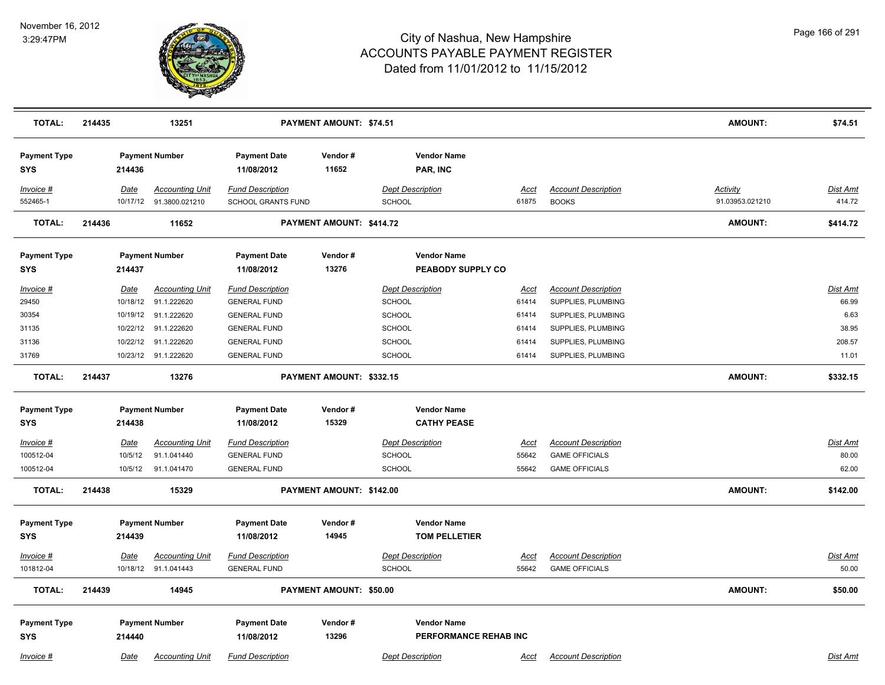

| <b>TOTAL:</b>                     | 214435                  | 13251                                    |                                               | PAYMENT AMOUNT: \$74.51  |                                             |               |                                            | <b>AMOUNT:</b>                     | \$74.51                   |
|-----------------------------------|-------------------------|------------------------------------------|-----------------------------------------------|--------------------------|---------------------------------------------|---------------|--------------------------------------------|------------------------------------|---------------------------|
| <b>Payment Type</b><br><b>SYS</b> | 214436                  | <b>Payment Number</b>                    | <b>Payment Date</b><br>11/08/2012             | Vendor#<br>11652         | <b>Vendor Name</b><br>PAR, INC              |               |                                            |                                    |                           |
| Invoice #<br>552465-1             | <b>Date</b><br>10/17/12 | <b>Accounting Unit</b><br>91.3800.021210 | <b>Fund Description</b><br>SCHOOL GRANTS FUND |                          | <b>Dept Description</b><br>SCHOOL           | Acct<br>61875 | <b>Account Description</b><br><b>BOOKS</b> | <b>Activity</b><br>91.03953.021210 | <u>Dist Amt</u><br>414.72 |
| <b>TOTAL:</b>                     | 214436                  | 11652                                    |                                               | PAYMENT AMOUNT: \$414.72 |                                             |               |                                            | AMOUNT:                            | \$414.72                  |
| <b>Payment Type</b><br><b>SYS</b> | 214437                  | <b>Payment Number</b>                    | <b>Payment Date</b><br>11/08/2012             | Vendor#<br>13276         | <b>Vendor Name</b><br>PEABODY SUPPLY CO     |               |                                            |                                    |                           |
| Invoice #                         | Date                    | <b>Accounting Unit</b>                   | <b>Fund Description</b>                       |                          | <b>Dept Description</b>                     | <u>Acct</u>   | <b>Account Description</b>                 |                                    | Dist Amt                  |
| 29450                             |                         | 10/18/12 91.1.222620                     | <b>GENERAL FUND</b>                           |                          | SCHOOL                                      | 61414         | SUPPLIES, PLUMBING                         |                                    | 66.99                     |
| 30354                             |                         | 10/19/12 91.1.222620                     | <b>GENERAL FUND</b>                           |                          | <b>SCHOOL</b>                               | 61414         | SUPPLIES, PLUMBING                         |                                    | 6.63                      |
| 31135                             | 10/22/12                | 91.1.222620                              | <b>GENERAL FUND</b>                           |                          | <b>SCHOOL</b>                               | 61414         | SUPPLIES, PLUMBING                         |                                    | 38.95                     |
| 31136                             |                         | 10/22/12 91.1.222620                     | <b>GENERAL FUND</b>                           |                          | SCHOOL                                      | 61414         | SUPPLIES, PLUMBING                         |                                    | 208.57                    |
| 31769                             |                         | 10/23/12 91.1.222620                     | <b>GENERAL FUND</b>                           |                          | SCHOOL                                      | 61414         | SUPPLIES, PLUMBING                         |                                    | 11.01                     |
| <b>TOTAL:</b>                     | 214437                  | 13276                                    |                                               | PAYMENT AMOUNT: \$332.15 |                                             |               |                                            | <b>AMOUNT:</b>                     | \$332.15                  |
| <b>Payment Type</b>               |                         | <b>Payment Number</b>                    | <b>Payment Date</b>                           | Vendor#                  | <b>Vendor Name</b>                          |               |                                            |                                    |                           |
| <b>SYS</b>                        | 214438                  |                                          | 11/08/2012                                    | 15329                    | <b>CATHY PEASE</b>                          |               |                                            |                                    |                           |
| $Invoice$ #                       | Date                    | <b>Accounting Unit</b>                   | <b>Fund Description</b>                       |                          | <b>Dept Description</b>                     | <b>Acct</b>   | <b>Account Description</b>                 |                                    | <u>Dist Amt</u>           |
| 100512-04                         | 10/5/12                 | 91.1.041440                              | <b>GENERAL FUND</b>                           |                          | <b>SCHOOL</b>                               | 55642         | <b>GAME OFFICIALS</b>                      |                                    | 80.00                     |
| 100512-04                         | 10/5/12                 | 91.1.041470                              | <b>GENERAL FUND</b>                           |                          | SCHOOL                                      | 55642         | <b>GAME OFFICIALS</b>                      |                                    | 62.00                     |
| <b>TOTAL:</b>                     | 214438                  | 15329                                    |                                               | PAYMENT AMOUNT: \$142.00 |                                             |               |                                            | <b>AMOUNT:</b>                     | \$142.00                  |
| <b>Payment Type</b><br><b>SYS</b> | 214439                  | <b>Payment Number</b>                    | <b>Payment Date</b><br>11/08/2012             | Vendor#<br>14945         | <b>Vendor Name</b><br><b>TOM PELLETIER</b>  |               |                                            |                                    |                           |
|                                   |                         |                                          |                                               |                          |                                             |               |                                            |                                    |                           |
| Invoice #                         | Date                    | <b>Accounting Unit</b>                   | <b>Fund Description</b>                       |                          | <b>Dept Description</b>                     | <u>Acct</u>   | <b>Account Description</b>                 |                                    | <u>Dist Amt</u>           |
| 101812-04                         |                         | 10/18/12 91.1.041443                     | <b>GENERAL FUND</b>                           |                          | <b>SCHOOL</b>                               | 55642         | <b>GAME OFFICIALS</b>                      |                                    | 50.00                     |
| TOTAL:                            | 214439                  | 14945                                    |                                               | PAYMENT AMOUNT: \$50.00  |                                             |               |                                            | <b>AMOUNT:</b>                     | \$50.00                   |
| <b>Payment Type</b><br><b>SYS</b> | 214440                  | <b>Payment Number</b>                    | <b>Payment Date</b><br>11/08/2012             | Vendor#<br>13296         | <b>Vendor Name</b><br>PERFORMANCE REHAB INC |               |                                            |                                    |                           |
| Invoice #                         | Date                    | <b>Accounting Unit</b>                   | <b>Fund Description</b>                       |                          | <b>Dept Description</b>                     | Acct          | <b>Account Description</b>                 |                                    | Dist Amt                  |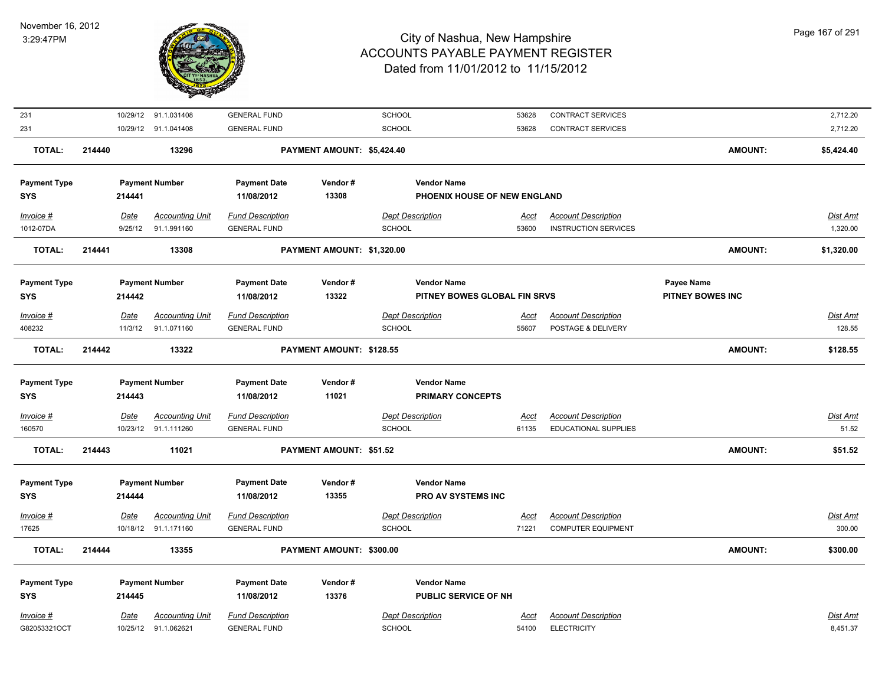

| 231                 |             | 10/29/12 91.1.031408   | <b>GENERAL FUND</b>     |                            | SCHOOL                  |                              | 53628       | <b>CONTRACT SERVICES</b>    |                         | 2,712.20        |
|---------------------|-------------|------------------------|-------------------------|----------------------------|-------------------------|------------------------------|-------------|-----------------------------|-------------------------|-----------------|
| 231                 |             | 10/29/12 91.1.041408   | <b>GENERAL FUND</b>     |                            | SCHOOL                  |                              | 53628       | <b>CONTRACT SERVICES</b>    |                         | 2,712.20        |
| <b>TOTAL:</b>       | 214440      | 13296                  |                         | PAYMENT AMOUNT: \$5,424.40 |                         |                              |             |                             | <b>AMOUNT:</b>          | \$5,424.40      |
| <b>Payment Type</b> |             | <b>Payment Number</b>  | <b>Payment Date</b>     | Vendor#                    |                         | <b>Vendor Name</b>           |             |                             |                         |                 |
| <b>SYS</b>          | 214441      |                        | 11/08/2012              | 13308                      |                         | PHOENIX HOUSE OF NEW ENGLAND |             |                             |                         |                 |
| Invoice #           | Date        | <b>Accounting Unit</b> | <b>Fund Description</b> |                            | <b>Dept Description</b> |                              | Acct        | <b>Account Description</b>  |                         | <b>Dist Amt</b> |
| 1012-07DA           | 9/25/12     | 91.1.991160            | <b>GENERAL FUND</b>     |                            | <b>SCHOOL</b>           |                              | 53600       | <b>INSTRUCTION SERVICES</b> |                         | 1,320.00        |
| <b>TOTAL:</b>       | 214441      | 13308                  |                         | PAYMENT AMOUNT: \$1,320.00 |                         |                              |             |                             | <b>AMOUNT:</b>          | \$1,320.00      |
| <b>Payment Type</b> |             | <b>Payment Number</b>  | <b>Payment Date</b>     | Vendor#                    |                         | <b>Vendor Name</b>           |             |                             | Payee Name              |                 |
| <b>SYS</b>          | 214442      |                        | 11/08/2012              | 13322                      |                         | PITNEY BOWES GLOBAL FIN SRVS |             |                             | <b>PITNEY BOWES INC</b> |                 |
| Invoice #           | Date        | <b>Accounting Unit</b> | <b>Fund Description</b> |                            | <b>Dept Description</b> |                              | Acct        | <b>Account Description</b>  |                         | Dist Amt        |
| 408232              | 11/3/12     | 91.1.071160            | <b>GENERAL FUND</b>     |                            | <b>SCHOOL</b>           |                              | 55607       | POSTAGE & DELIVERY          |                         | 128.55          |
| <b>TOTAL:</b>       | 214442      | 13322                  |                         | PAYMENT AMOUNT: \$128.55   |                         |                              |             |                             | <b>AMOUNT:</b>          | \$128.55        |
| <b>Payment Type</b> |             | <b>Payment Number</b>  | <b>Payment Date</b>     | Vendor#                    |                         | <b>Vendor Name</b>           |             |                             |                         |                 |
| <b>SYS</b>          | 214443      |                        | 11/08/2012              | 11021                      |                         | <b>PRIMARY CONCEPTS</b>      |             |                             |                         |                 |
| Invoice #           | <b>Date</b> | <b>Accounting Unit</b> | <b>Fund Description</b> |                            | <b>Dept Description</b> |                              | <u>Acct</u> | <b>Account Description</b>  |                         | <b>Dist Amt</b> |
| 160570              |             | 10/23/12 91.1.111260   | <b>GENERAL FUND</b>     |                            | <b>SCHOOL</b>           |                              | 61135       | <b>EDUCATIONAL SUPPLIES</b> |                         | 51.52           |
| <b>TOTAL:</b>       | 214443      | 11021                  |                         | PAYMENT AMOUNT: \$51.52    |                         |                              |             |                             | <b>AMOUNT:</b>          | \$51.52         |
|                     |             |                        |                         |                            |                         |                              |             |                             |                         |                 |
| <b>Payment Type</b> |             | <b>Payment Number</b>  | <b>Payment Date</b>     | Vendor#                    |                         | <b>Vendor Name</b>           |             |                             |                         |                 |
| <b>SYS</b>          | 214444      |                        | 11/08/2012              | 13355                      |                         | PRO AV SYSTEMS INC           |             |                             |                         |                 |
| $Invoice$ #         | Date        | <b>Accounting Unit</b> | <b>Fund Description</b> |                            | <b>Dept Description</b> |                              | <u>Acct</u> | <b>Account Description</b>  |                         | <b>Dist Amt</b> |
| 17625               |             | 10/18/12 91.1.171160   | <b>GENERAL FUND</b>     |                            | <b>SCHOOL</b>           |                              | 71221       | <b>COMPUTER EQUIPMENT</b>   |                         | 300.00          |
| <b>TOTAL:</b>       | 214444      | 13355                  |                         | PAYMENT AMOUNT: \$300.00   |                         |                              |             |                             | <b>AMOUNT:</b>          | \$300.00        |
| <b>Payment Type</b> |             | <b>Payment Number</b>  | <b>Payment Date</b>     | Vendor#                    |                         | <b>Vendor Name</b>           |             |                             |                         |                 |
| <b>SYS</b>          | 214445      |                        | 11/08/2012              | 13376                      |                         | PUBLIC SERVICE OF NH         |             |                             |                         |                 |
| Invoice #           | Date        | <b>Accounting Unit</b> | <b>Fund Description</b> |                            | <b>Dept Description</b> |                              | Acct        | <b>Account Description</b>  |                         | <b>Dist Amt</b> |
| G82053321OCT        |             | 10/25/12 91.1.062621   | <b>GENERAL FUND</b>     |                            | <b>SCHOOL</b>           |                              | 54100       | <b>ELECTRICITY</b>          |                         | 8,451.37        |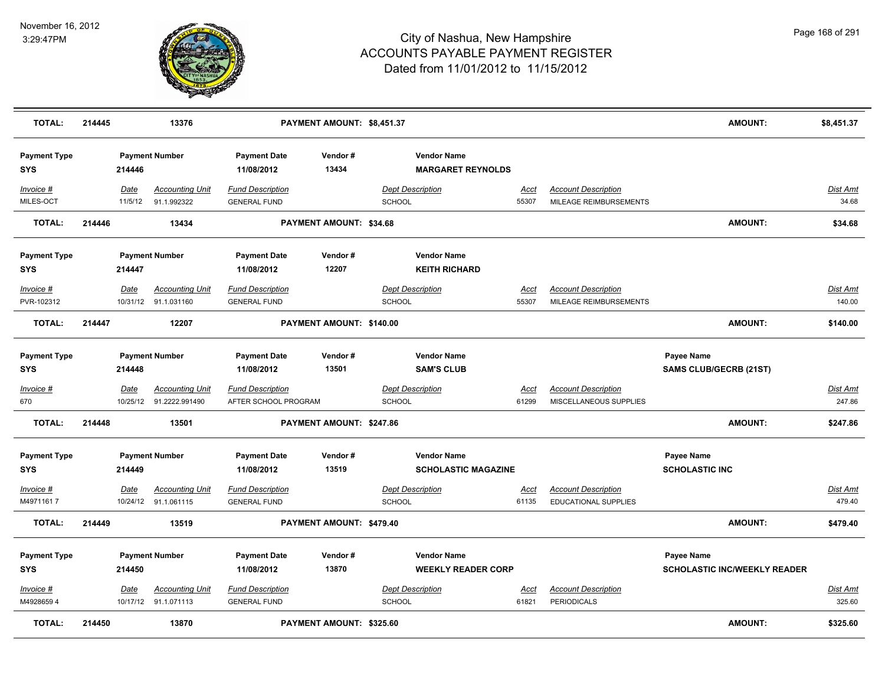

| <b>TOTAL:</b>                     | 214445 |                        | 13376                                             |                                                 | PAYMENT AMOUNT: \$8,451.37 |                                          |                                                  |                      |                                                           | <b>AMOUNT:</b>                                    | \$8,451.37                |
|-----------------------------------|--------|------------------------|---------------------------------------------------|-------------------------------------------------|----------------------------|------------------------------------------|--------------------------------------------------|----------------------|-----------------------------------------------------------|---------------------------------------------------|---------------------------|
| <b>Payment Type</b><br><b>SYS</b> |        | 214446                 | <b>Payment Number</b>                             | <b>Payment Date</b><br>11/08/2012               | Vendor#<br>13434           |                                          | <b>Vendor Name</b><br><b>MARGARET REYNOLDS</b>   |                      |                                                           |                                                   |                           |
| Invoice #<br>MILES-OCT            |        | <b>Date</b><br>11/5/12 | <b>Accounting Unit</b><br>91.1.992322             | <b>Fund Description</b><br><b>GENERAL FUND</b>  |                            | <b>Dept Description</b><br><b>SCHOOL</b> |                                                  | <u>Acct</u><br>55307 | <b>Account Description</b><br>MILEAGE REIMBURSEMENTS      |                                                   | Dist Amt<br>34.68         |
| <b>TOTAL:</b>                     | 214446 |                        | 13434                                             |                                                 | PAYMENT AMOUNT: \$34.68    |                                          |                                                  |                      |                                                           | <b>AMOUNT:</b>                                    | \$34.68                   |
| <b>Payment Type</b><br><b>SYS</b> |        | 214447                 | <b>Payment Number</b>                             | <b>Payment Date</b><br>11/08/2012               | Vendor#<br>12207           |                                          | <b>Vendor Name</b><br><b>KEITH RICHARD</b>       |                      |                                                           |                                                   |                           |
| Invoice #<br>PVR-102312           |        | Date                   | <b>Accounting Unit</b><br>10/31/12 91.1.031160    | <b>Fund Description</b><br><b>GENERAL FUND</b>  |                            | <b>Dept Description</b><br><b>SCHOOL</b> |                                                  | <u>Acct</u><br>55307 | <b>Account Description</b><br>MILEAGE REIMBURSEMENTS      |                                                   | Dist Amt<br>140.00        |
| <b>TOTAL:</b>                     | 214447 |                        | 12207                                             |                                                 | PAYMENT AMOUNT: \$140.00   |                                          |                                                  |                      |                                                           | <b>AMOUNT:</b>                                    | \$140.00                  |
| <b>Payment Type</b><br><b>SYS</b> |        | 214448                 | <b>Payment Number</b>                             | <b>Payment Date</b><br>11/08/2012               | Vendor#<br>13501           |                                          | <b>Vendor Name</b><br><b>SAM'S CLUB</b>          |                      |                                                           | Payee Name<br><b>SAMS CLUB/GECRB (21ST)</b>       |                           |
| Invoice #<br>670                  |        | <u>Date</u>            | <b>Accounting Unit</b><br>10/25/12 91.2222.991490 | <b>Fund Description</b><br>AFTER SCHOOL PROGRAM |                            | <b>Dept Description</b><br><b>SCHOOL</b> |                                                  | <u>Acct</u><br>61299 | <b>Account Description</b><br>MISCELLANEOUS SUPPLIES      |                                                   | <u>Dist Amt</u><br>247.86 |
| <b>TOTAL:</b>                     | 214448 |                        | 13501                                             |                                                 | PAYMENT AMOUNT: \$247.86   |                                          |                                                  |                      |                                                           | <b>AMOUNT:</b>                                    | \$247.86                  |
| <b>Payment Type</b><br><b>SYS</b> |        | 214449                 | <b>Payment Number</b>                             | <b>Payment Date</b><br>11/08/2012               | Vendor#<br>13519           |                                          | <b>Vendor Name</b><br><b>SCHOLASTIC MAGAZINE</b> |                      |                                                           | Payee Name<br><b>SCHOLASTIC INC</b>               |                           |
| Invoice #<br>M49711617            |        | Date                   | <b>Accounting Unit</b><br>10/24/12 91.1.061115    | <b>Fund Description</b><br><b>GENERAL FUND</b>  |                            | <b>Dept Description</b><br><b>SCHOOL</b> |                                                  | <u>Acct</u><br>61135 | <b>Account Description</b><br><b>EDUCATIONAL SUPPLIES</b> |                                                   | <b>Dist Amt</b><br>479.40 |
| <b>TOTAL:</b>                     | 214449 |                        | 13519                                             |                                                 | PAYMENT AMOUNT: \$479.40   |                                          |                                                  |                      |                                                           | <b>AMOUNT:</b>                                    | \$479.40                  |
| <b>Payment Type</b><br><b>SYS</b> |        | 214450                 | <b>Payment Number</b>                             | <b>Payment Date</b><br>11/08/2012               | Vendor#<br>13870           |                                          | <b>Vendor Name</b><br><b>WEEKLY READER CORP</b>  |                      |                                                           | Payee Name<br><b>SCHOLASTIC INC/WEEKLY READER</b> |                           |
| Invoice #<br>M49286594            |        | Date                   | <b>Accounting Unit</b><br>10/17/12 91.1.071113    | <b>Fund Description</b><br><b>GENERAL FUND</b>  |                            | <b>Dept Description</b><br><b>SCHOOL</b> |                                                  | <u>Acct</u><br>61821 | <b>Account Description</b><br><b>PERIODICALS</b>          |                                                   | <u>Dist Amt</u><br>325.60 |
| <b>TOTAL:</b>                     | 214450 |                        | 13870                                             |                                                 | PAYMENT AMOUNT: \$325.60   |                                          |                                                  |                      |                                                           | <b>AMOUNT:</b>                                    | \$325.60                  |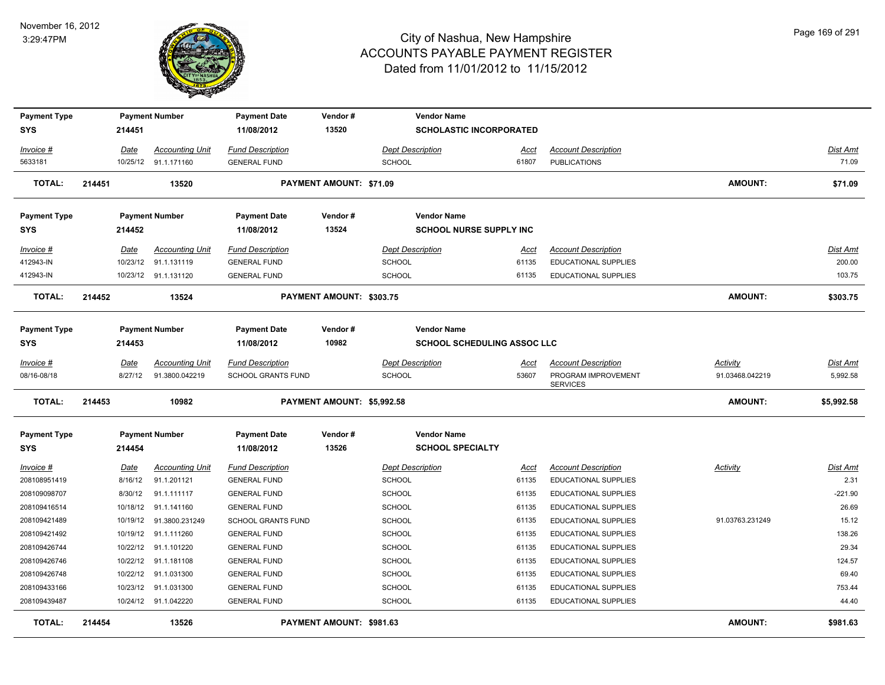

| <b>Payment Type</b><br><b>SYS</b> |        | 214451   | <b>Payment Number</b>   | <b>Payment Date</b><br>11/08/2012 | Vendor#<br>13520           |                         | <b>Vendor Name</b><br><b>SCHOLASTIC INCORPORATED</b> |       |                                        |                 |                 |
|-----------------------------------|--------|----------|-------------------------|-----------------------------------|----------------------------|-------------------------|------------------------------------------------------|-------|----------------------------------------|-----------------|-----------------|
|                                   |        |          |                         |                                   |                            |                         |                                                      |       |                                        |                 |                 |
| Invoice #                         |        | Date     | <b>Accounting Unit</b>  | <b>Fund Description</b>           |                            |                         | <b>Dept Description</b>                              | Acct  | <b>Account Description</b>             |                 | Dist Amt        |
| 5633181                           |        | 10/25/12 | 91.1.171160             | <b>GENERAL FUND</b>               |                            | <b>SCHOOL</b>           |                                                      | 61807 | <b>PUBLICATIONS</b>                    |                 | 71.09           |
| <b>TOTAL:</b>                     | 214451 |          | 13520                   |                                   | PAYMENT AMOUNT: \$71.09    |                         |                                                      |       |                                        | <b>AMOUNT:</b>  | \$71.09         |
| <b>Payment Type</b>               |        |          | <b>Payment Number</b>   | <b>Payment Date</b>               | Vendor#                    |                         | <b>Vendor Name</b>                                   |       |                                        |                 |                 |
| <b>SYS</b>                        |        | 214452   |                         | 11/08/2012                        | 13524                      |                         | <b>SCHOOL NURSE SUPPLY INC</b>                       |       |                                        |                 |                 |
| Invoice #                         |        | Date     | <b>Accounting Unit</b>  | <b>Fund Description</b>           |                            | Dept Description        |                                                      | Acct  | <b>Account Description</b>             |                 | <b>Dist Amt</b> |
| 412943-IN                         |        | 10/23/12 | 91.1.131119             | <b>GENERAL FUND</b>               |                            | <b>SCHOOL</b>           |                                                      | 61135 | EDUCATIONAL SUPPLIES                   |                 | 200.00          |
| 412943-IN                         |        | 10/23/12 | 91.1.131120             | <b>GENERAL FUND</b>               |                            | <b>SCHOOL</b>           |                                                      | 61135 | EDUCATIONAL SUPPLIES                   |                 | 103.75          |
| <b>TOTAL:</b>                     | 214452 |          | 13524                   |                                   | PAYMENT AMOUNT: \$303.75   |                         |                                                      |       |                                        | <b>AMOUNT:</b>  | \$303.75        |
| <b>Payment Type</b>               |        |          | <b>Payment Number</b>   | <b>Payment Date</b>               | Vendor#                    |                         | <b>Vendor Name</b>                                   |       |                                        |                 |                 |
| <b>SYS</b>                        |        | 214453   |                         | 11/08/2012                        | 10982                      |                         | <b>SCHOOL SCHEDULING ASSOC LLC</b>                   |       |                                        |                 |                 |
| Invoice #                         |        | Date     | <b>Accounting Unit</b>  | <b>Fund Description</b>           |                            | <b>Dept Description</b> |                                                      | Acct  | <b>Account Description</b>             | Activity        | Dist Amt        |
| 08/16-08/18                       |        | 8/27/12  | 91.3800.042219          | <b>SCHOOL GRANTS FUND</b>         |                            | <b>SCHOOL</b>           |                                                      | 53607 | PROGRAM IMPROVEMENT<br><b>SERVICES</b> | 91.03468.042219 | 5,992.58        |
| TOTAL:                            | 214453 |          | 10982                   |                                   | PAYMENT AMOUNT: \$5,992.58 |                         |                                                      |       |                                        | <b>AMOUNT:</b>  | \$5,992.58      |
| <b>Payment Type</b>               |        |          | <b>Payment Number</b>   | <b>Payment Date</b>               | Vendor#                    |                         | <b>Vendor Name</b>                                   |       |                                        |                 |                 |
| <b>SYS</b>                        |        | 214454   |                         | 11/08/2012                        | 13526                      |                         | <b>SCHOOL SPECIALTY</b>                              |       |                                        |                 |                 |
| Invoice #                         |        | Date     | <b>Accounting Unit</b>  | <b>Fund Description</b>           |                            | <b>Dept Description</b> |                                                      | Acct  | <b>Account Description</b>             | Activity        | Dist Amt        |
| 208108951419                      |        | 8/16/12  | 91.1.201121             | <b>GENERAL FUND</b>               |                            | <b>SCHOOL</b>           |                                                      | 61135 | <b>EDUCATIONAL SUPPLIES</b>            |                 | 2.31            |
| 208109098707                      |        | 8/30/12  | 91.1.111117             | <b>GENERAL FUND</b>               |                            | <b>SCHOOL</b>           |                                                      | 61135 | <b>EDUCATIONAL SUPPLIES</b>            |                 | $-221.90$       |
| 208109416514                      |        |          | 10/18/12 91.1.141160    | <b>GENERAL FUND</b>               |                            | <b>SCHOOL</b>           |                                                      | 61135 | <b>EDUCATIONAL SUPPLIES</b>            |                 | 26.69           |
| 208109421489                      |        |          | 10/19/12 91.3800.231249 | <b>SCHOOL GRANTS FUND</b>         |                            | <b>SCHOOL</b>           |                                                      | 61135 | <b>EDUCATIONAL SUPPLIES</b>            | 91.03763.231249 | 15.12           |
| 208109421492                      |        | 10/19/12 | 91.1.111260             | <b>GENERAL FUND</b>               |                            | <b>SCHOOL</b>           |                                                      | 61135 | EDUCATIONAL SUPPLIES                   |                 | 138.26          |
| 208109426744                      |        | 10/22/12 | 91.1.101220             | <b>GENERAL FUND</b>               |                            | SCHOOL                  |                                                      | 61135 | <b>EDUCATIONAL SUPPLIES</b>            |                 | 29.34           |
| 208109426746                      |        | 10/22/12 | 91.1.181108             | <b>GENERAL FUND</b>               |                            | SCHOOL                  |                                                      | 61135 | EDUCATIONAL SUPPLIES                   |                 | 124.57          |
| 208109426748                      |        | 10/22/12 | 91.1.031300             | <b>GENERAL FUND</b>               |                            | SCHOOL                  |                                                      | 61135 | EDUCATIONAL SUPPLIES                   |                 | 69.40           |
| 208109433166                      |        | 10/23/12 | 91.1.031300             | <b>GENERAL FUND</b>               |                            | <b>SCHOOL</b>           |                                                      | 61135 | EDUCATIONAL SUPPLIES                   |                 | 753.44          |
| 208109439487                      |        |          | 10/24/12 91.1.042220    | <b>GENERAL FUND</b>               |                            | <b>SCHOOL</b>           |                                                      | 61135 | <b>EDUCATIONAL SUPPLIES</b>            |                 | 44.40           |
| <b>TOTAL:</b>                     | 214454 |          | 13526                   |                                   | PAYMENT AMOUNT: \$981.63   |                         |                                                      |       |                                        | <b>AMOUNT:</b>  | \$981.63        |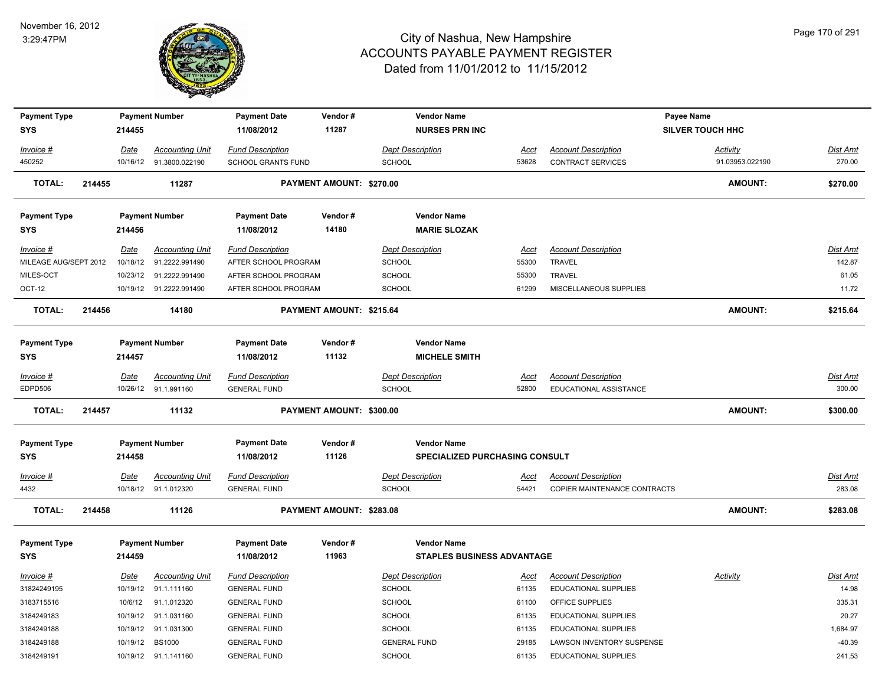

| <b>Payment Type</b>   |        |             | <b>Payment Number</b>   | <b>Payment Date</b>                            | Vendor#                         | <b>Vendor Name</b>                       |                      |                                                            | Payee Name              |                           |
|-----------------------|--------|-------------|-------------------------|------------------------------------------------|---------------------------------|------------------------------------------|----------------------|------------------------------------------------------------|-------------------------|---------------------------|
| <b>SYS</b>            |        | 214455      |                         | 11/08/2012                                     | 11287                           | <b>NURSES PRN INC</b>                    |                      |                                                            | <b>SILVER TOUCH HHC</b> |                           |
| Invoice #             |        | Date        | <b>Accounting Unit</b>  | <b>Fund Description</b>                        |                                 | <b>Dept Description</b>                  | Acct                 | <b>Account Description</b>                                 | <b>Activity</b>         | <b>Dist Amt</b>           |
| 450252                |        | 10/16/12    | 91.3800.022190          | SCHOOL GRANTS FUND                             |                                 | SCHOOL                                   | 53628                | CONTRACT SERVICES                                          | 91.03953.022190         | 270.00                    |
| <b>TOTAL:</b>         | 214455 |             | 11287                   |                                                | <b>PAYMENT AMOUNT: \$270.00</b> |                                          |                      |                                                            | <b>AMOUNT:</b>          | \$270.00                  |
| <b>Payment Type</b>   |        |             | <b>Payment Number</b>   | <b>Payment Date</b>                            | Vendor#                         | <b>Vendor Name</b>                       |                      |                                                            |                         |                           |
| <b>SYS</b>            |        | 214456      |                         | 11/08/2012                                     | 14180                           | <b>MARIE SLOZAK</b>                      |                      |                                                            |                         |                           |
| Invoice #             |        | Date        | <b>Accounting Unit</b>  | <b>Fund Description</b>                        |                                 | <b>Dept Description</b>                  | Acct                 | <b>Account Description</b>                                 |                         | Dist Amt                  |
| MILEAGE AUG/SEPT 2012 |        | 10/18/12    | 91.2222.991490          | AFTER SCHOOL PROGRAM                           |                                 | <b>SCHOOL</b>                            | 55300                | <b>TRAVEL</b>                                              |                         | 142.87                    |
| MILES-OCT             |        |             | 10/23/12 91.2222.991490 | AFTER SCHOOL PROGRAM                           |                                 | <b>SCHOOL</b>                            | 55300                | TRAVEL                                                     |                         | 61.05                     |
| OCT-12                |        |             | 10/19/12 91.2222.991490 | AFTER SCHOOL PROGRAM                           |                                 | <b>SCHOOL</b>                            | 61299                | MISCELLANEOUS SUPPLIES                                     |                         | 11.72                     |
| <b>TOTAL:</b>         | 214456 |             | 14180                   |                                                | PAYMENT AMOUNT: \$215.64        |                                          |                      |                                                            | <b>AMOUNT:</b>          | \$215.64                  |
|                       |        |             |                         |                                                |                                 |                                          |                      |                                                            |                         |                           |
| <b>Payment Type</b>   |        |             | <b>Payment Number</b>   | <b>Payment Date</b>                            | Vendor#                         | <b>Vendor Name</b>                       |                      |                                                            |                         |                           |
| <b>SYS</b>            |        | 214457      |                         | 11/08/2012                                     | 11132                           | <b>MICHELE SMITH</b>                     |                      |                                                            |                         |                           |
| Invoice #             |        | <u>Date</u> | <b>Accounting Unit</b>  | <b>Fund Description</b>                        |                                 | <b>Dept Description</b>                  | <u>Acct</u>          | <b>Account Description</b>                                 |                         | <b>Dist Amt</b>           |
| EDPD506               |        |             | 10/26/12 91.1.991160    | <b>GENERAL FUND</b>                            |                                 | SCHOOL                                   | 52800                | EDUCATIONAL ASSISTANCE                                     |                         | 300.00                    |
| <b>TOTAL:</b>         | 214457 |             | 11132                   |                                                | PAYMENT AMOUNT: \$300.00        |                                          |                      |                                                            | <b>AMOUNT:</b>          | \$300.00                  |
| <b>Payment Type</b>   |        |             | <b>Payment Number</b>   | <b>Payment Date</b>                            | Vendor#                         | <b>Vendor Name</b>                       |                      |                                                            |                         |                           |
| <b>SYS</b>            |        | 214458      |                         | 11/08/2012                                     | 11126                           | <b>SPECIALIZED PURCHASING CONSULT</b>    |                      |                                                            |                         |                           |
|                       |        |             |                         |                                                |                                 |                                          |                      |                                                            |                         |                           |
| Invoice #<br>4432     |        | <b>Date</b> | <u>Accounting Unit</u>  | <b>Fund Description</b><br><b>GENERAL FUND</b> |                                 | <b>Dept Description</b><br><b>SCHOOL</b> | <u>Acct</u><br>54421 | <b>Account Description</b><br>COPIER MAINTENANCE CONTRACTS |                         | <b>Dist Amt</b><br>283.08 |
|                       |        |             | 10/18/12 91.1.012320    |                                                |                                 |                                          |                      |                                                            |                         |                           |
| <b>TOTAL:</b>         | 214458 |             | 11126                   |                                                | PAYMENT AMOUNT: \$283.08        |                                          |                      |                                                            | <b>AMOUNT:</b>          | \$283.08                  |
| <b>Payment Type</b>   |        |             | <b>Payment Number</b>   | <b>Payment Date</b>                            | Vendor#                         | <b>Vendor Name</b>                       |                      |                                                            |                         |                           |
| <b>SYS</b>            |        | 214459      |                         | 11/08/2012                                     | 11963                           | STAPLES BUSINESS ADVANTAGE               |                      |                                                            |                         |                           |
| Invoice #             |        | Date        | <b>Accounting Unit</b>  | <b>Fund Description</b>                        |                                 | <b>Dept Description</b>                  | Acct                 | <b>Account Description</b>                                 | Activity                | Dist Amt                  |
| 31824249195           |        | 10/19/12    | 91.1.111160             | <b>GENERAL FUND</b>                            |                                 | <b>SCHOOL</b>                            | 61135                | EDUCATIONAL SUPPLIES                                       |                         | 14.98                     |
| 3183715516            |        | 10/6/12     | 91.1.012320             | <b>GENERAL FUND</b>                            |                                 | <b>SCHOOL</b>                            | 61100                | OFFICE SUPPLIES                                            |                         | 335.31                    |
| 3184249183            |        |             | 10/19/12 91.1.031160    | <b>GENERAL FUND</b>                            |                                 | <b>SCHOOL</b>                            | 61135                | EDUCATIONAL SUPPLIES                                       |                         | 20.27                     |
| 3184249188            |        | 10/19/12    | 91.1.031300             | <b>GENERAL FUND</b>                            |                                 | <b>SCHOOL</b>                            | 61135                | EDUCATIONAL SUPPLIES                                       |                         | 1,684.97                  |
| 3184249188            |        |             | 10/19/12 BS1000         | <b>GENERAL FUND</b>                            |                                 | <b>GENERAL FUND</b>                      | 29185                | <b>LAWSON INVENTORY SUSPENSE</b>                           |                         | $-40.39$                  |
| 3184249191            |        |             | 10/19/12 91.1.141160    | <b>GENERAL FUND</b>                            |                                 | <b>SCHOOL</b>                            | 61135                | <b>EDUCATIONAL SUPPLIES</b>                                |                         | 241.53                    |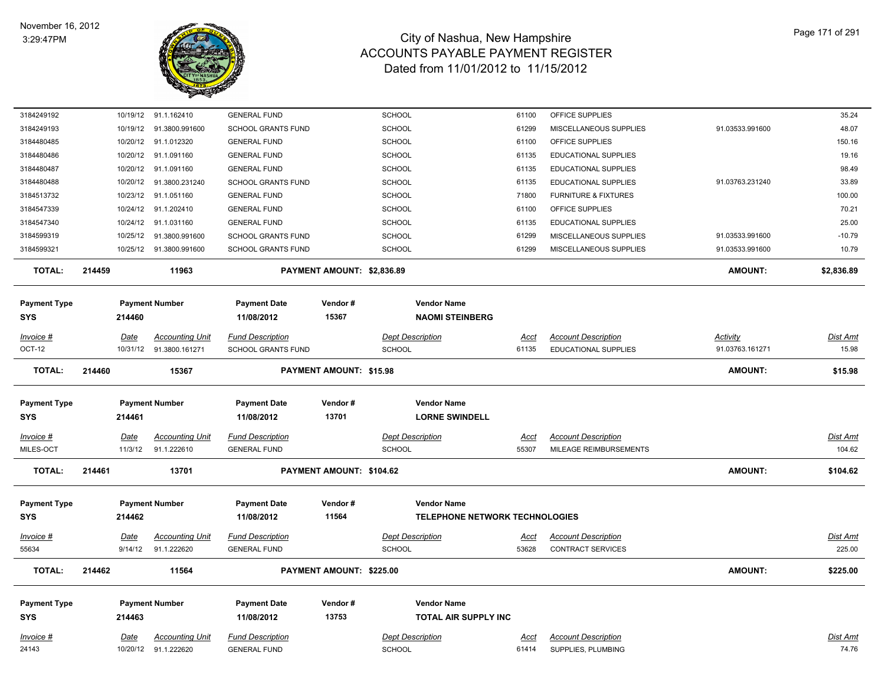

| 3184249192                        | 10/19/12               | 91.1.162410                           | <b>GENERAL FUND</b>                            |                                | <b>SCHOOL</b>                                               | 61100                | OFFICE SUPPLIES                                        |                 | 35.24                     |
|-----------------------------------|------------------------|---------------------------------------|------------------------------------------------|--------------------------------|-------------------------------------------------------------|----------------------|--------------------------------------------------------|-----------------|---------------------------|
| 3184249193                        | 10/19/12               | 91.3800.991600                        | <b>SCHOOL GRANTS FUND</b>                      |                                | <b>SCHOOL</b>                                               | 61299                | MISCELLANEOUS SUPPLIES                                 | 91.03533.991600 | 48.07                     |
| 3184480485                        |                        | 10/20/12 91.1.012320                  | <b>GENERAL FUND</b>                            |                                | <b>SCHOOL</b>                                               | 61100                | OFFICE SUPPLIES                                        |                 | 150.16                    |
| 3184480486                        | 10/20/12               | 91.1.091160                           | <b>GENERAL FUND</b>                            |                                | <b>SCHOOL</b>                                               | 61135                | EDUCATIONAL SUPPLIES                                   |                 | 19.16                     |
| 3184480487                        | 10/20/12               | 91.1.091160                           | <b>GENERAL FUND</b>                            |                                | <b>SCHOOL</b>                                               | 61135                | <b>EDUCATIONAL SUPPLIES</b>                            |                 | 98.49                     |
| 3184480488                        | 10/20/12               | 91.3800.231240                        | <b>SCHOOL GRANTS FUND</b>                      |                                | <b>SCHOOL</b>                                               | 61135                | EDUCATIONAL SUPPLIES                                   | 91.03763.231240 | 33.89                     |
| 3184513732                        | 10/23/12               | 91.1.051160                           | <b>GENERAL FUND</b>                            |                                | SCHOOL                                                      | 71800                | <b>FURNITURE &amp; FIXTURES</b>                        |                 | 100.00                    |
| 3184547339                        |                        | 10/24/12 91.1.202410                  | <b>GENERAL FUND</b>                            |                                | <b>SCHOOL</b>                                               | 61100                | OFFICE SUPPLIES                                        |                 | 70.21                     |
| 3184547340                        | 10/24/12               | 91.1.031160                           | <b>GENERAL FUND</b>                            |                                | SCHOOL                                                      | 61135                | EDUCATIONAL SUPPLIES                                   |                 | 25.00                     |
| 3184599319                        | 10/25/12               | 91.3800.991600                        | <b>SCHOOL GRANTS FUND</b>                      |                                | SCHOOL                                                      | 61299                | MISCELLANEOUS SUPPLIES                                 | 91.03533.991600 | $-10.79$                  |
| 3184599321                        |                        | 10/25/12  91.3800.991600              | <b>SCHOOL GRANTS FUND</b>                      |                                | <b>SCHOOL</b>                                               | 61299                | MISCELLANEOUS SUPPLIES                                 | 91.03533.991600 | 10.79                     |
| TOTAL:                            | 214459                 | 11963                                 |                                                | PAYMENT AMOUNT: \$2,836.89     |                                                             |                      |                                                        | <b>AMOUNT:</b>  | \$2,836.89                |
| <b>Payment Type</b><br><b>SYS</b> | 214460                 | <b>Payment Number</b>                 | <b>Payment Date</b><br>11/08/2012              | Vendor#<br>15367               | <b>Vendor Name</b><br><b>NAOMI STEINBERG</b>                |                      |                                                        |                 |                           |
| Invoice #                         | Date                   | <b>Accounting Unit</b>                | <b>Fund Description</b>                        |                                | <b>Dept Description</b>                                     | <u>Acct</u>          | <b>Account Description</b>                             | <b>Activity</b> | Dist Amt                  |
| OCT-12                            | 10/31/12               | 91.3800.161271                        | <b>SCHOOL GRANTS FUND</b>                      |                                | <b>SCHOOL</b>                                               | 61135                | <b>EDUCATIONAL SUPPLIES</b>                            | 91.03763.161271 | 15.98                     |
| <b>TOTAL:</b>                     | 214460                 | 15367                                 |                                                | <b>PAYMENT AMOUNT: \$15.98</b> |                                                             |                      |                                                        | <b>AMOUNT:</b>  | \$15.98                   |
|                                   |                        |                                       |                                                |                                |                                                             |                      |                                                        |                 |                           |
| <b>Payment Type</b>               |                        | <b>Payment Number</b>                 | <b>Payment Date</b>                            | Vendor#                        | <b>Vendor Name</b>                                          |                      |                                                        |                 |                           |
| <b>SYS</b>                        | 214461                 |                                       | 11/08/2012                                     | 13701                          | <b>LORNE SWINDELL</b>                                       |                      |                                                        |                 |                           |
| Invoice #                         | <b>Date</b>            | <b>Accounting Unit</b>                | <b>Fund Description</b>                        |                                | <b>Dept Description</b>                                     | <u>Acct</u>          | <b>Account Description</b>                             |                 | <b>Dist Amt</b>           |
| MILES-OCT                         | 11/3/12                | 91.1.222610                           | <b>GENERAL FUND</b>                            |                                | <b>SCHOOL</b>                                               | 55307                | MILEAGE REIMBURSEMENTS                                 |                 | 104.62                    |
| <b>TOTAL:</b>                     | 214461                 | 13701                                 |                                                | PAYMENT AMOUNT: \$104.62       |                                                             |                      |                                                        | <b>AMOUNT:</b>  | \$104.62                  |
|                                   |                        |                                       |                                                |                                |                                                             |                      |                                                        |                 |                           |
| <b>Payment Type</b><br><b>SYS</b> | 214462                 | <b>Payment Number</b>                 | <b>Payment Date</b><br>11/08/2012              | Vendor#<br>11564               | <b>Vendor Name</b><br><b>TELEPHONE NETWORK TECHNOLOGIES</b> |                      |                                                        |                 |                           |
|                                   |                        |                                       |                                                |                                |                                                             |                      |                                                        |                 |                           |
| <u>Invoice #</u><br>55634         | <u>Date</u><br>9/14/12 | <u>Accounting Unit</u><br>91.1.222620 | <b>Fund Description</b><br><b>GENERAL FUND</b> |                                | <b>Dept Description</b><br><b>SCHOOL</b>                    | <u>Acct</u><br>53628 | <b>Account Description</b><br><b>CONTRACT SERVICES</b> |                 | <u>Dist Amt</u><br>225.00 |
|                                   |                        |                                       |                                                |                                |                                                             |                      |                                                        |                 |                           |
| <b>TOTAL:</b>                     | 214462                 | 11564                                 |                                                | PAYMENT AMOUNT: \$225.00       |                                                             |                      |                                                        | <b>AMOUNT:</b>  | \$225.00                  |
| <b>Payment Type</b>               |                        | <b>Payment Number</b>                 | <b>Payment Date</b>                            | Vendor#                        | <b>Vendor Name</b>                                          |                      |                                                        |                 |                           |
| <b>SYS</b>                        | 214463                 |                                       | 11/08/2012                                     | 13753                          | <b>TOTAL AIR SUPPLY INC</b>                                 |                      |                                                        |                 |                           |
| Invoice #                         | Date                   | <b>Accounting Unit</b>                | <b>Fund Description</b>                        |                                | <b>Dept Description</b>                                     | Acct                 | <b>Account Description</b>                             |                 | Dist Amt                  |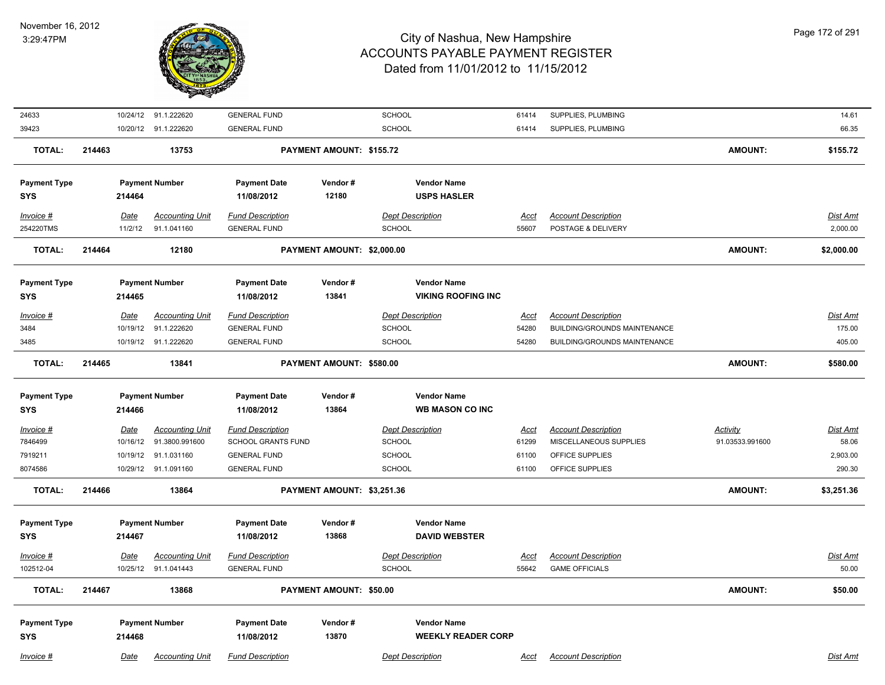

| 24633               |        | 10/24/12 91.1.222620                  | <b>GENERAL FUND</b>       |                            | SCHOOL                    | 61414       | SUPPLIES, PLUMBING           |                 | 14.61           |
|---------------------|--------|---------------------------------------|---------------------------|----------------------------|---------------------------|-------------|------------------------------|-----------------|-----------------|
| 39423               |        | 10/20/12 91.1.222620                  | <b>GENERAL FUND</b>       |                            | SCHOOL                    | 61414       | SUPPLIES, PLUMBING           |                 | 66.35           |
| <b>TOTAL:</b>       | 214463 | 13753                                 |                           | PAYMENT AMOUNT: \$155.72   |                           |             |                              | <b>AMOUNT:</b>  | \$155.72        |
| <b>Payment Type</b> |        | <b>Payment Number</b>                 | <b>Payment Date</b>       | Vendor#                    | <b>Vendor Name</b>        |             |                              |                 |                 |
| <b>SYS</b>          |        | 214464                                | 11/08/2012                | 12180                      | <b>USPS HASLER</b>        |             |                              |                 |                 |
| Invoice #           | Date   | <b>Accounting Unit</b>                | <b>Fund Description</b>   |                            | <b>Dept Description</b>   | Acct        | <b>Account Description</b>   |                 | Dist Amt        |
| 254220TMS           |        | 11/2/12<br>91.1.041160                | <b>GENERAL FUND</b>       |                            | <b>SCHOOL</b>             | 55607       | POSTAGE & DELIVERY           |                 | 2,000.00        |
| <b>TOTAL:</b>       | 214464 | 12180                                 |                           | PAYMENT AMOUNT: \$2,000.00 |                           |             |                              | <b>AMOUNT:</b>  | \$2,000.00      |
| <b>Payment Type</b> |        | <b>Payment Number</b>                 | <b>Payment Date</b>       | Vendor#                    | <b>Vendor Name</b>        |             |                              |                 |                 |
| <b>SYS</b>          |        | 214465                                | 11/08/2012                | 13841                      | <b>VIKING ROOFING INC</b> |             |                              |                 |                 |
| Invoice #           | Date   | <b>Accounting Unit</b>                | <b>Fund Description</b>   |                            | <b>Dept Description</b>   | <u>Acct</u> | <b>Account Description</b>   |                 | Dist Amt        |
| 3484                |        | 10/19/12<br>91.1.222620               | <b>GENERAL FUND</b>       |                            | <b>SCHOOL</b>             | 54280       | BUILDING/GROUNDS MAINTENANCE |                 | 175.00          |
| 3485                |        | 10/19/12 91.1.222620                  | <b>GENERAL FUND</b>       |                            | SCHOOL                    | 54280       | BUILDING/GROUNDS MAINTENANCE |                 | 405.00          |
| <b>TOTAL:</b>       | 214465 | 13841                                 |                           | PAYMENT AMOUNT: \$580.00   |                           |             |                              | <b>AMOUNT:</b>  | \$580.00        |
| <b>Payment Type</b> |        | <b>Payment Number</b>                 | <b>Payment Date</b>       | Vendor#                    | <b>Vendor Name</b>        |             |                              |                 |                 |
| <b>SYS</b>          |        | 214466                                | 11/08/2012                | 13864                      | <b>WB MASON CO INC</b>    |             |                              |                 |                 |
| Invoice #           |        | <b>Accounting Unit</b><br><u>Date</u> | <b>Fund Description</b>   |                            | <b>Dept Description</b>   | <u>Acct</u> | <b>Account Description</b>   | <b>Activity</b> | <u>Dist Amt</u> |
| 7846499             |        | 10/16/12<br>91.3800.991600            | <b>SCHOOL GRANTS FUND</b> |                            | <b>SCHOOL</b>             | 61299       | MISCELLANEOUS SUPPLIES       | 91.03533.991600 | 58.06           |
| 7919211             |        | 10/19/12<br>91.1.031160               | <b>GENERAL FUND</b>       |                            | <b>SCHOOL</b>             | 61100       | OFFICE SUPPLIES              |                 | 2,903.00        |
| 8074586             |        | 10/29/12 91.1.091160                  | <b>GENERAL FUND</b>       |                            | SCHOOL                    | 61100       | OFFICE SUPPLIES              |                 | 290.30          |
| <b>TOTAL:</b>       | 214466 | 13864                                 |                           | PAYMENT AMOUNT: \$3,251.36 |                           |             |                              | <b>AMOUNT:</b>  | \$3,251.36      |
| <b>Payment Type</b> |        | <b>Payment Number</b>                 | <b>Payment Date</b>       | Vendor#                    | <b>Vendor Name</b>        |             |                              |                 |                 |
| <b>SYS</b>          |        | 214467                                | 11/08/2012                | 13868                      | <b>DAVID WEBSTER</b>      |             |                              |                 |                 |
| Invoice #           |        | <b>Accounting Unit</b><br><u>Date</u> | <b>Fund Description</b>   |                            | <b>Dept Description</b>   | <u>Acct</u> | <b>Account Description</b>   |                 | <u>Dist Amt</u> |
| 102512-04           |        | 10/25/12 91.1.041443                  | <b>GENERAL FUND</b>       |                            | <b>SCHOOL</b>             | 55642       | <b>GAME OFFICIALS</b>        |                 | 50.00           |
|                     |        |                                       |                           |                            |                           |             |                              |                 |                 |
| <b>TOTAL:</b>       | 214467 | 13868                                 |                           | PAYMENT AMOUNT: \$50.00    |                           |             |                              | <b>AMOUNT:</b>  | \$50.00         |
| <b>Payment Type</b> |        | <b>Payment Number</b>                 | <b>Payment Date</b>       | Vendor#                    | <b>Vendor Name</b>        |             |                              |                 |                 |
| <b>SYS</b>          |        | 214468                                | 11/08/2012                | 13870                      | <b>WEEKLY READER CORP</b> |             |                              |                 |                 |
| Invoice #           |        | <b>Accounting Unit</b><br>Date        | <b>Fund Description</b>   |                            | <b>Dept Description</b>   | Acct        | <b>Account Description</b>   |                 | Dist Amt        |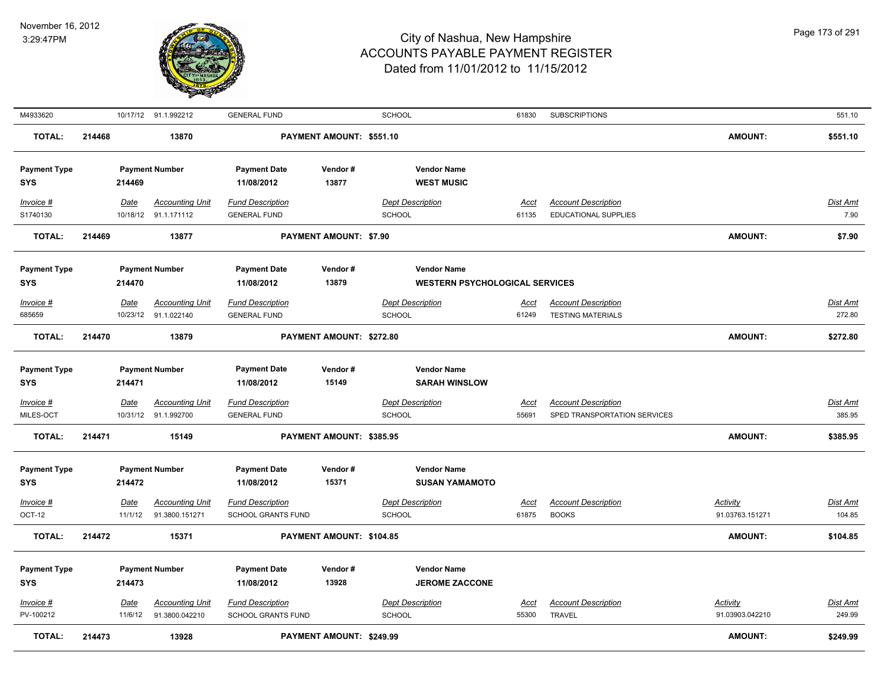

| M4933620                          |        |                        | 10/17/12 91.1.992212                           | <b>GENERAL FUND</b>                                  |                               | <b>SCHOOL</b>                                               | 61830                | <b>SUBSCRIPTIONS</b>                                       |                             | 551.10                    |
|-----------------------------------|--------|------------------------|------------------------------------------------|------------------------------------------------------|-------------------------------|-------------------------------------------------------------|----------------------|------------------------------------------------------------|-----------------------------|---------------------------|
| TOTAL:                            | 214468 |                        | 13870                                          |                                                      | PAYMENT AMOUNT: \$551.10      |                                                             |                      |                                                            | <b>AMOUNT:</b>              | \$551.10                  |
| <b>Payment Type</b><br>SYS        |        | 214469                 | <b>Payment Number</b>                          | <b>Payment Date</b><br>11/08/2012                    | Vendor#<br>13877              | <b>Vendor Name</b><br><b>WEST MUSIC</b>                     |                      |                                                            |                             |                           |
| Invoice #<br>S1740130             |        | Date                   | <b>Accounting Unit</b><br>10/18/12 91.1.171112 | <b>Fund Description</b><br><b>GENERAL FUND</b>       |                               | <b>Dept Description</b><br><b>SCHOOL</b>                    | Acct<br>61135        | <b>Account Description</b><br><b>EDUCATIONAL SUPPLIES</b>  |                             | Dist Amt<br>7.90          |
| <b>TOTAL:</b>                     | 214469 |                        | 13877                                          |                                                      | <b>PAYMENT AMOUNT: \$7.90</b> |                                                             |                      |                                                            | <b>AMOUNT:</b>              | \$7.90                    |
| <b>Payment Type</b><br>SYS        |        | 214470                 | <b>Payment Number</b>                          | <b>Payment Date</b><br>11/08/2012                    | Vendor#<br>13879              | <b>Vendor Name</b><br><b>WESTERN PSYCHOLOGICAL SERVICES</b> |                      |                                                            |                             |                           |
| Invoice #                         |        | Date                   | <b>Accounting Unit</b>                         | <b>Fund Description</b>                              |                               | <b>Dept Description</b>                                     | <u>Acct</u>          | <b>Account Description</b>                                 |                             | <b>Dist Amt</b>           |
| 685659                            |        |                        | 10/23/12 91.1.022140                           | <b>GENERAL FUND</b>                                  |                               | <b>SCHOOL</b>                                               | 61249                | <b>TESTING MATERIALS</b>                                   |                             | 272.80                    |
| <b>TOTAL:</b>                     | 214470 |                        | 13879                                          |                                                      | PAYMENT AMOUNT: \$272.80      |                                                             |                      |                                                            | <b>AMOUNT:</b>              | \$272.80                  |
| <b>Payment Type</b><br><b>SYS</b> |        | 214471                 | <b>Payment Number</b>                          | <b>Payment Date</b><br>11/08/2012                    | Vendor#<br>15149              | <b>Vendor Name</b><br><b>SARAH WINSLOW</b>                  |                      |                                                            |                             |                           |
| Invoice #<br>MILES-OCT            |        | Date                   | <b>Accounting Unit</b><br>10/31/12 91.1.992700 | <b>Fund Description</b><br><b>GENERAL FUND</b>       |                               | <b>Dept Description</b><br><b>SCHOOL</b>                    | Acct<br>55691        | <b>Account Description</b><br>SPED TRANSPORTATION SERVICES |                             | Dist Amt<br>385.95        |
| <b>TOTAL:</b>                     | 214471 |                        | 15149                                          |                                                      | PAYMENT AMOUNT: \$385.95      |                                                             |                      |                                                            | <b>AMOUNT:</b>              | \$385.95                  |
| <b>Payment Type</b><br>SYS        |        | 214472                 | <b>Payment Number</b>                          | <b>Payment Date</b><br>11/08/2012                    | Vendor#<br>15371              | <b>Vendor Name</b><br><b>SUSAN YAMAMOTO</b>                 |                      |                                                            |                             |                           |
| Invoice #                         |        | Date                   | <b>Accounting Unit</b>                         | <b>Fund Description</b>                              |                               | <b>Dept Description</b>                                     | <u>Acct</u>          | <b>Account Description</b>                                 | <b>Activity</b>             | Dist Amt                  |
| OCT-12                            |        | 11/1/12                | 91.3800.151271                                 | <b>SCHOOL GRANTS FUND</b>                            |                               | <b>SCHOOL</b>                                               | 61875                | <b>BOOKS</b>                                               | 91.03763.151271             | 104.85                    |
| <b>TOTAL:</b>                     | 214472 |                        | 15371                                          |                                                      | PAYMENT AMOUNT: \$104.85      |                                                             |                      |                                                            | <b>AMOUNT:</b>              | \$104.85                  |
| <b>Payment Type</b><br><b>SYS</b> |        | 214473                 | <b>Payment Number</b>                          | <b>Payment Date</b><br>11/08/2012                    | Vendor #<br>13928             | <b>Vendor Name</b><br><b>JEROME ZACCONE</b>                 |                      |                                                            |                             |                           |
| Invoice #<br>PV-100212            |        | <u>Date</u><br>11/6/12 | <b>Accounting Unit</b><br>91.3800.042210       | <b>Fund Description</b><br><b>SCHOOL GRANTS FUND</b> |                               | <b>Dept Description</b><br><b>SCHOOL</b>                    | <u>Acct</u><br>55300 | <b>Account Description</b><br><b>TRAVEL</b>                | Activity<br>91.03903.042210 | <b>Dist Amt</b><br>249.99 |
| <b>TOTAL:</b>                     | 214473 |                        | 13928                                          |                                                      | PAYMENT AMOUNT: \$249.99      |                                                             |                      |                                                            | <b>AMOUNT:</b>              | \$249.99                  |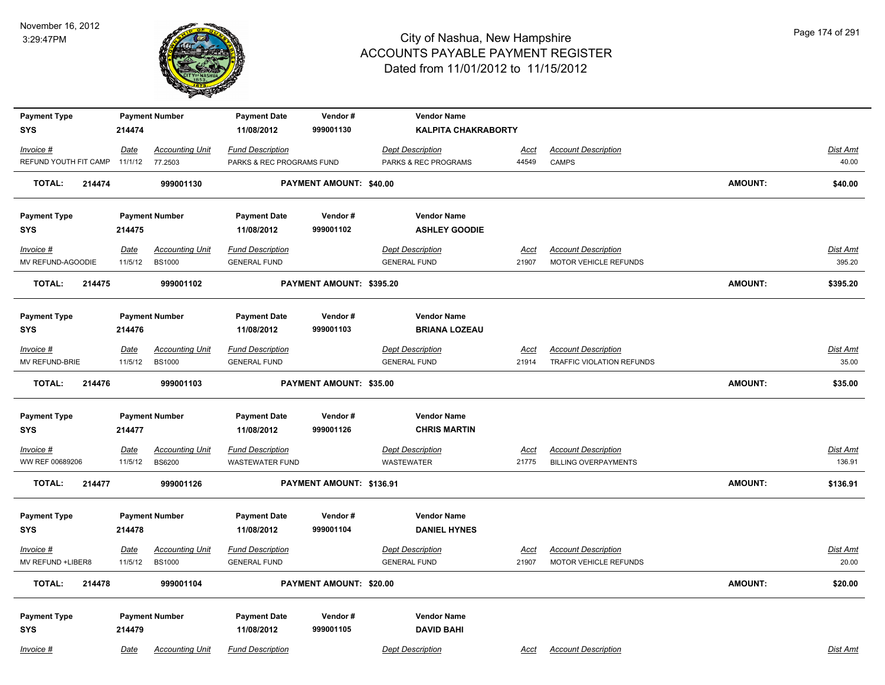

| <b>Payment Type</b>            | <b>Payment Number</b>                                      | <b>Payment Date</b>                            | Vendor#                        | <b>Vendor Name</b>                             |               |                             |                |                   |
|--------------------------------|------------------------------------------------------------|------------------------------------------------|--------------------------------|------------------------------------------------|---------------|-----------------------------|----------------|-------------------|
| <b>SYS</b>                     | 214474                                                     | 11/08/2012                                     | 999001130                      | <b>KALPITA CHAKRABORTY</b>                     |               |                             |                |                   |
| Invoice #                      | <b>Accounting Unit</b><br><b>Date</b>                      | <b>Fund Description</b>                        |                                | <b>Dept Description</b>                        | <b>Acct</b>   | <b>Account Description</b>  |                | <b>Dist Amt</b>   |
| REFUND YOUTH FIT CAMP          | 11/1/12<br>77.2503                                         | PARKS & REC PROGRAMS FUND                      |                                | PARKS & REC PROGRAMS                           | 44549         | CAMPS                       |                | 40.00             |
| <b>TOTAL:</b><br>214474        | 999001130                                                  |                                                | PAYMENT AMOUNT: \$40.00        |                                                |               |                             | <b>AMOUNT:</b> | \$40.00           |
| <b>Payment Type</b>            | <b>Payment Number</b>                                      | <b>Payment Date</b>                            | Vendor#                        | <b>Vendor Name</b>                             |               |                             |                |                   |
| SYS                            | 214475                                                     | 11/08/2012                                     | 999001102                      | <b>ASHLEY GOODIE</b>                           |               |                             |                |                   |
| Invoice #                      | <b>Accounting Unit</b><br><u>Date</u>                      | <b>Fund Description</b>                        |                                | <b>Dept Description</b>                        | <u>Acct</u>   | <b>Account Description</b>  |                | Dist Amt          |
| MV REFUND-AGOODIE              | <b>BS1000</b><br>11/5/12                                   | <b>GENERAL FUND</b>                            |                                | <b>GENERAL FUND</b>                            | 21907         | MOTOR VEHICLE REFUNDS       |                | 395.20            |
| <b>TOTAL:</b><br>214475        | 999001102                                                  |                                                | PAYMENT AMOUNT: \$395.20       |                                                |               |                             | <b>AMOUNT:</b> | \$395.20          |
| <b>Payment Type</b>            | <b>Payment Number</b>                                      | <b>Payment Date</b>                            | Vendor#                        | <b>Vendor Name</b>                             |               |                             |                |                   |
| <b>SYS</b>                     | 214476                                                     | 11/08/2012                                     | 999001103                      | <b>BRIANA LOZEAU</b>                           |               |                             |                |                   |
| Invoice #                      | Date<br><b>Accounting Unit</b>                             | <b>Fund Description</b>                        |                                | <b>Dept Description</b>                        | Acct          | <b>Account Description</b>  |                | <b>Dist Amt</b>   |
| MV REFUND-BRIE                 | 11/5/12<br><b>BS1000</b>                                   | <b>GENERAL FUND</b>                            |                                | <b>GENERAL FUND</b>                            | 21914         | TRAFFIC VIOLATION REFUNDS   |                | 35.00             |
| <b>TOTAL:</b><br>214476        | 999001103                                                  |                                                | <b>PAYMENT AMOUNT: \$35.00</b> |                                                |               |                             | <b>AMOUNT:</b> | \$35.00           |
| <b>Payment Type</b>            | <b>Payment Number</b>                                      | <b>Payment Date</b>                            | Vendor#                        | <b>Vendor Name</b>                             |               |                             |                |                   |
| <b>SYS</b>                     | 214477                                                     | 11/08/2012                                     | 999001126                      | <b>CHRIS MARTIN</b>                            |               |                             |                |                   |
| $Invoice$ #                    | <b>Accounting Unit</b><br><b>Date</b>                      | <b>Fund Description</b>                        |                                | <b>Dept Description</b>                        | <u>Acct</u>   | <b>Account Description</b>  |                | Dist Amt          |
| WW REF 00689206                | 11/5/12<br><b>BS6200</b>                                   | <b>WASTEWATER FUND</b>                         |                                | <b>WASTEWATER</b>                              | 21775         | <b>BILLING OVERPAYMENTS</b> |                | 136.91            |
| <b>TOTAL:</b><br>214477        | 999001126                                                  |                                                | PAYMENT AMOUNT: \$136.91       |                                                |               |                             | <b>AMOUNT:</b> | \$136.91          |
| <b>Payment Type</b>            | <b>Payment Number</b>                                      | <b>Payment Date</b>                            | Vendor#                        | <b>Vendor Name</b>                             |               |                             |                |                   |
| <b>SYS</b>                     | 214478                                                     | 11/08/2012                                     | 999001104                      | <b>DANIEL HYNES</b>                            |               |                             |                |                   |
|                                |                                                            |                                                |                                |                                                |               | <b>Account Description</b>  |                |                   |
| Invoice #<br>MV REFUND +LIBER8 | <b>Accounting Unit</b><br>Date<br>11/5/12<br><b>BS1000</b> | <b>Fund Description</b><br><b>GENERAL FUND</b> |                                | <b>Dept Description</b><br><b>GENERAL FUND</b> | Acct<br>21907 | MOTOR VEHICLE REFUNDS       |                | Dist Amt<br>20.00 |
| <b>TOTAL:</b><br>214478        | 999001104                                                  |                                                | PAYMENT AMOUNT: \$20.00        |                                                |               |                             | <b>AMOUNT:</b> | \$20.00           |
|                                |                                                            |                                                |                                |                                                |               |                             |                |                   |
| <b>Payment Type</b>            | <b>Payment Number</b>                                      | <b>Payment Date</b>                            | Vendor#                        | <b>Vendor Name</b>                             |               |                             |                |                   |
| <b>SYS</b>                     | 214479                                                     | 11/08/2012                                     | 999001105                      | <b>DAVID BAHI</b>                              |               |                             |                |                   |
| Invoice #                      | <b>Accounting Unit</b><br>Date                             | <b>Fund Description</b>                        |                                | <b>Dept Description</b>                        | Acct          | <b>Account Description</b>  |                | Dist Amt          |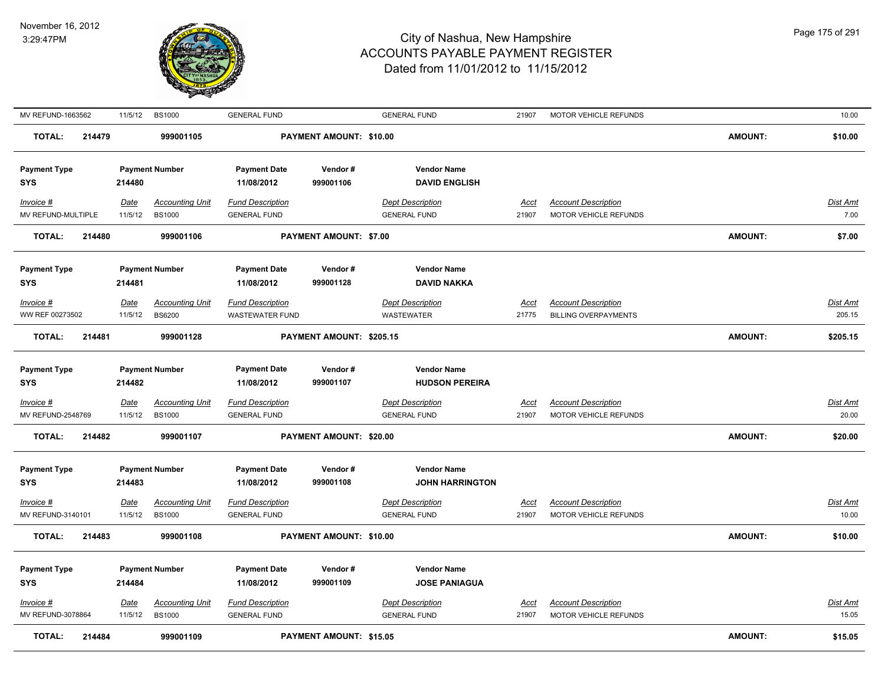

| MV REFUND-1663562                     | 11/5/12                | <b>BS1000</b>                           | <b>GENERAL FUND</b>                            |                                | <b>GENERAL FUND</b>                            | 21907                | MOTOR VEHICLE REFUNDS                               |                | 10.00                    |
|---------------------------------------|------------------------|-----------------------------------------|------------------------------------------------|--------------------------------|------------------------------------------------|----------------------|-----------------------------------------------------|----------------|--------------------------|
| TOTAL:<br>214479                      |                        | 999001105                               |                                                | PAYMENT AMOUNT: \$10.00        |                                                |                      |                                                     | <b>AMOUNT:</b> | \$10.00                  |
| <b>Payment Type</b><br><b>SYS</b>     | 214480                 | <b>Payment Number</b>                   | <b>Payment Date</b><br>11/08/2012              | Vendor#<br>999001106           | <b>Vendor Name</b><br><b>DAVID ENGLISH</b>     |                      |                                                     |                |                          |
| Invoice #<br>MV REFUND-MULTIPLE       | Date<br>11/5/12        | <b>Accounting Unit</b><br><b>BS1000</b> | <b>Fund Description</b><br><b>GENERAL FUND</b> |                                | <b>Dept Description</b><br><b>GENERAL FUND</b> | Acct<br>21907        | <b>Account Description</b><br>MOTOR VEHICLE REFUNDS |                | Dist Amt<br>7.00         |
| <b>TOTAL:</b><br>214480               |                        | 999001106                               |                                                | <b>PAYMENT AMOUNT: \$7.00</b>  |                                                |                      |                                                     | <b>AMOUNT:</b> | \$7.00                   |
| <b>Payment Type</b><br>SYS            | 214481                 | <b>Payment Number</b>                   | <b>Payment Date</b><br>11/08/2012              | Vendor#<br>999001128           | <b>Vendor Name</b><br><b>DAVID NAKKA</b>       |                      |                                                     |                |                          |
| Invoice #                             | <u>Date</u>            | <b>Accounting Unit</b>                  | <b>Fund Description</b>                        |                                | <b>Dept Description</b>                        | Acct                 | <b>Account Description</b>                          |                | Dist Amt                 |
| WW REF 00273502                       | 11/5/12                | <b>BS6200</b>                           | WASTEWATER FUND                                |                                | <b>WASTEWATER</b>                              | 21775                | <b>BILLING OVERPAYMENTS</b>                         |                | 205.15                   |
| <b>TOTAL:</b><br>214481               |                        | 999001128                               |                                                | PAYMENT AMOUNT: \$205.15       |                                                |                      |                                                     | <b>AMOUNT:</b> | \$205.15                 |
| <b>Payment Type</b><br>SYS            | 214482                 | <b>Payment Number</b>                   | <b>Payment Date</b><br>11/08/2012              | Vendor#<br>999001107           | <b>Vendor Name</b><br><b>HUDSON PEREIRA</b>    |                      |                                                     |                |                          |
| <b>Invoice #</b><br>MV REFUND-2548769 | <u>Date</u><br>11/5/12 | <b>Accounting Unit</b><br><b>BS1000</b> | <b>Fund Description</b><br><b>GENERAL FUND</b> |                                | <b>Dept Description</b><br><b>GENERAL FUND</b> | <u>Acct</u><br>21907 | <b>Account Description</b><br>MOTOR VEHICLE REFUNDS |                | <u>Dist Amt</u><br>20.00 |
| 214482<br><b>TOTAL:</b>               |                        | 999001107                               |                                                | PAYMENT AMOUNT: \$20.00        |                                                |                      |                                                     | <b>AMOUNT:</b> | \$20.00                  |
| <b>Payment Type</b><br><b>SYS</b>     | 214483                 | <b>Payment Number</b>                   | <b>Payment Date</b><br>11/08/2012              | Vendor#<br>999001108           | <b>Vendor Name</b><br><b>JOHN HARRINGTON</b>   |                      |                                                     |                |                          |
| Invoice #                             | Date                   | <b>Accounting Unit</b>                  | <b>Fund Description</b>                        |                                | <b>Dept Description</b>                        | Acct                 | <b>Account Description</b>                          |                | Dist Amt                 |
| MV REFUND-3140101                     | 11/5/12                | <b>BS1000</b>                           | <b>GENERAL FUND</b>                            |                                | <b>GENERAL FUND</b>                            | 21907                | MOTOR VEHICLE REFUNDS                               |                | 10.00                    |
| <b>TOTAL:</b><br>214483               |                        | 999001108                               |                                                | PAYMENT AMOUNT: \$10.00        |                                                |                      |                                                     | <b>AMOUNT:</b> | \$10.00                  |
| <b>Payment Type</b>                   |                        | <b>Payment Number</b>                   | <b>Payment Date</b>                            | Vendor#                        | <b>Vendor Name</b>                             |                      |                                                     |                |                          |
| SYS                                   | 214484                 |                                         | 11/08/2012                                     | 999001109                      | <b>JOSE PANIAGUA</b>                           |                      |                                                     |                |                          |
| Invoice #                             | <u>Date</u>            | <b>Accounting Unit</b>                  | <b>Fund Description</b>                        |                                | <b>Dept Description</b>                        | <u>Acct</u>          | <b>Account Description</b>                          |                | <b>Dist Amt</b>          |
| MV REFUND-3078864                     | 11/5/12                | <b>BS1000</b>                           | <b>GENERAL FUND</b>                            |                                | <b>GENERAL FUND</b>                            | 21907                | MOTOR VEHICLE REFUNDS                               |                | 15.05                    |
| <b>TOTAL:</b><br>214484               |                        | 999001109                               |                                                | <b>PAYMENT AMOUNT: \$15.05</b> |                                                |                      |                                                     | <b>AMOUNT:</b> | \$15.05                  |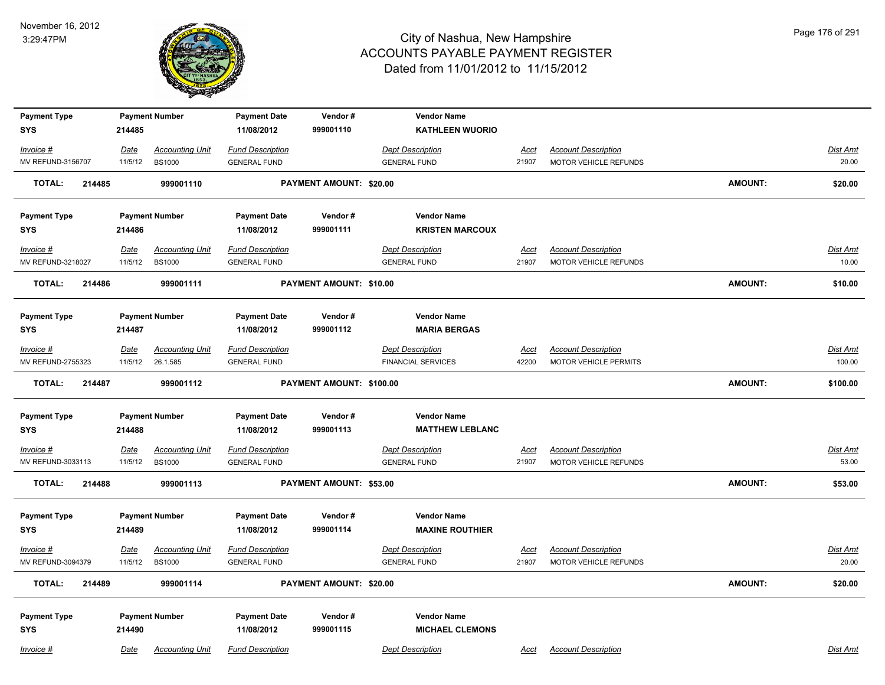

| <b>Payment Type</b>               |         | <b>Payment Number</b>  | <b>Payment Date</b>               | Vendor#                  | <b>Vendor Name</b>                           |             |                            |                |                 |
|-----------------------------------|---------|------------------------|-----------------------------------|--------------------------|----------------------------------------------|-------------|----------------------------|----------------|-----------------|
| <b>SYS</b>                        | 214485  |                        | 11/08/2012                        | 999001110                | <b>KATHLEEN WUORIO</b>                       |             |                            |                |                 |
| Invoice #                         | Date    | <b>Accounting Unit</b> | <b>Fund Description</b>           |                          | <b>Dept Description</b>                      | <u>Acct</u> | <b>Account Description</b> |                | <b>Dist Amt</b> |
| MV REFUND-3156707                 | 11/5/12 | <b>BS1000</b>          | <b>GENERAL FUND</b>               |                          | <b>GENERAL FUND</b>                          | 21907       | MOTOR VEHICLE REFUNDS      |                | 20.00           |
| <b>TOTAL:</b><br>214485           |         | 999001110              |                                   | PAYMENT AMOUNT: \$20.00  |                                              |             |                            | <b>AMOUNT:</b> | \$20.00         |
| <b>Payment Type</b>               |         | <b>Payment Number</b>  | <b>Payment Date</b>               | Vendor#                  | <b>Vendor Name</b>                           |             |                            |                |                 |
| <b>SYS</b>                        | 214486  |                        | 11/08/2012                        | 999001111                | <b>KRISTEN MARCOUX</b>                       |             |                            |                |                 |
| Invoice #                         | Date    | <b>Accounting Unit</b> | <b>Fund Description</b>           |                          | <b>Dept Description</b>                      | Acct        | <b>Account Description</b> |                | Dist Amt        |
| MV REFUND-3218027                 | 11/5/12 | <b>BS1000</b>          | <b>GENERAL FUND</b>               |                          | <b>GENERAL FUND</b>                          | 21907       | MOTOR VEHICLE REFUNDS      |                | 10.00           |
| <b>TOTAL:</b><br>214486           |         | 999001111              |                                   | PAYMENT AMOUNT: \$10.00  |                                              |             |                            | <b>AMOUNT:</b> | \$10.00         |
| <b>Payment Type</b>               |         | <b>Payment Number</b>  | <b>Payment Date</b>               | Vendor#                  | <b>Vendor Name</b>                           |             |                            |                |                 |
| <b>SYS</b>                        | 214487  |                        | 11/08/2012                        | 999001112                | <b>MARIA BERGAS</b>                          |             |                            |                |                 |
| Invoice #                         | Date    | <b>Accounting Unit</b> | <b>Fund Description</b>           |                          | <b>Dept Description</b>                      | Acct        | <b>Account Description</b> |                | Dist Amt        |
| MV REFUND-2755323                 | 11/5/12 | 26.1.585               | <b>GENERAL FUND</b>               |                          | <b>FINANCIAL SERVICES</b>                    | 42200       | MOTOR VEHICLE PERMITS      |                | 100.00          |
| TOTAL:<br>214487                  |         | 999001112              |                                   | PAYMENT AMOUNT: \$100.00 |                                              |             |                            | <b>AMOUNT:</b> | \$100.00        |
| <b>Payment Type</b>               |         | <b>Payment Number</b>  | <b>Payment Date</b>               | Vendor#                  | <b>Vendor Name</b>                           |             |                            |                |                 |
| <b>SYS</b>                        | 214488  |                        | 11/08/2012                        | 999001113                | <b>MATTHEW LEBLANC</b>                       |             |                            |                |                 |
| $Invoice$ #                       | Date    | <b>Accounting Unit</b> | <b>Fund Description</b>           |                          | <b>Dept Description</b>                      | <b>Acct</b> | <b>Account Description</b> |                | <b>Dist Amt</b> |
| MV REFUND-3033113                 | 11/5/12 | <b>BS1000</b>          | <b>GENERAL FUND</b>               |                          | <b>GENERAL FUND</b>                          | 21907       | MOTOR VEHICLE REFUNDS      |                | 53.00           |
| <b>TOTAL:</b><br>214488           |         | 999001113              |                                   | PAYMENT AMOUNT: \$53.00  |                                              |             |                            | <b>AMOUNT:</b> | \$53.00         |
| <b>Payment Type</b>               |         | <b>Payment Number</b>  | <b>Payment Date</b>               | Vendor#                  | <b>Vendor Name</b>                           |             |                            |                |                 |
| <b>SYS</b>                        | 214489  |                        | 11/08/2012                        | 999001114                | <b>MAXINE ROUTHIER</b>                       |             |                            |                |                 |
| Invoice #                         | Date    | <b>Accounting Unit</b> | <b>Fund Description</b>           |                          | <b>Dept Description</b>                      | Acct        | <b>Account Description</b> |                | Dist Amt        |
| MV REFUND-3094379                 | 11/5/12 | <b>BS1000</b>          | <b>GENERAL FUND</b>               |                          | <b>GENERAL FUND</b>                          | 21907       | MOTOR VEHICLE REFUNDS      |                | 20.00           |
| <b>TOTAL:</b><br>214489           |         | 999001114              |                                   | PAYMENT AMOUNT: \$20.00  |                                              |             |                            | <b>AMOUNT:</b> | \$20.00         |
|                                   |         |                        |                                   |                          |                                              |             |                            |                |                 |
| <b>Payment Type</b><br><b>SYS</b> | 214490  | <b>Payment Number</b>  | <b>Payment Date</b><br>11/08/2012 | Vendor#<br>999001115     | <b>Vendor Name</b><br><b>MICHAEL CLEMONS</b> |             |                            |                |                 |
| Invoice #                         | Date    | <b>Accounting Unit</b> | <b>Fund Description</b>           |                          | <b>Dept Description</b>                      | Acct        | <b>Account Description</b> |                | Dist Amt        |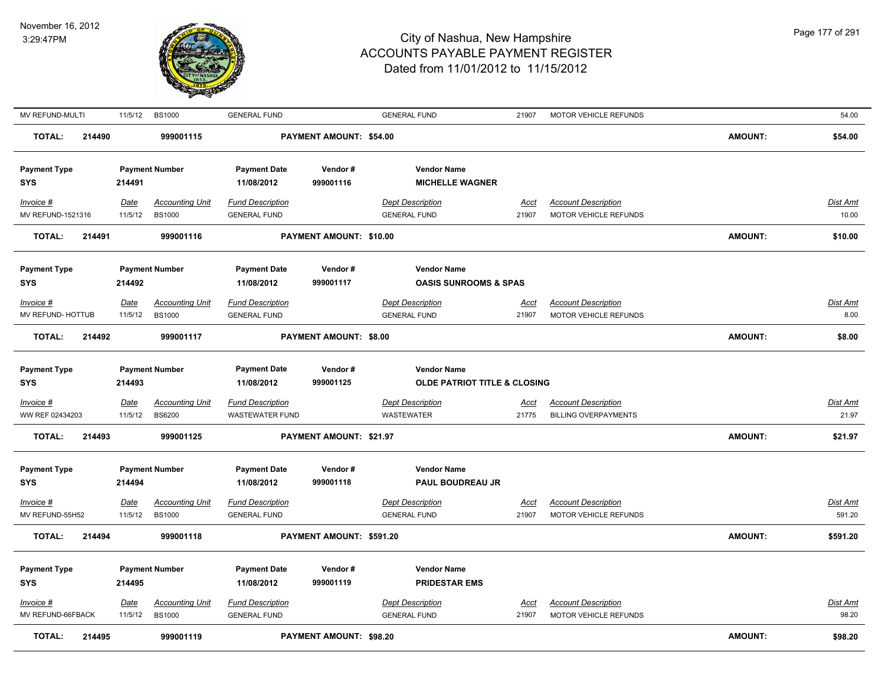

| MV REFUND-MULTI                   | 11/5/12                         | <b>BS1000</b>                           | <b>GENERAL FUND</b>                            |                                | <b>GENERAL FUND</b>                                           | 21907                | MOTOR VEHICLE REFUNDS                                     |                | 54.00                    |
|-----------------------------------|---------------------------------|-----------------------------------------|------------------------------------------------|--------------------------------|---------------------------------------------------------------|----------------------|-----------------------------------------------------------|----------------|--------------------------|
| <b>TOTAL:</b><br>214490           |                                 | 999001115                               |                                                | <b>PAYMENT AMOUNT: \$54.00</b> |                                                               |                      |                                                           | <b>AMOUNT:</b> | \$54.00                  |
| <b>Payment Type</b><br><b>SYS</b> | <b>Payment Number</b><br>214491 |                                         | <b>Payment Date</b><br>11/08/2012              | Vendor#<br>999001116           | <b>Vendor Name</b><br><b>MICHELLE WAGNER</b>                  |                      |                                                           |                |                          |
| Invoice #<br>MV REFUND-1521316    | <u>Date</u><br>11/5/12          | <b>Accounting Unit</b><br><b>BS1000</b> | <b>Fund Description</b><br><b>GENERAL FUND</b> |                                | <b>Dept Description</b><br><b>GENERAL FUND</b>                | Acct<br>21907        | <b>Account Description</b><br>MOTOR VEHICLE REFUNDS       |                | <b>Dist Amt</b><br>10.00 |
| <b>TOTAL:</b><br>214491           |                                 | 999001116                               |                                                | PAYMENT AMOUNT: \$10.00        |                                                               |                      |                                                           | <b>AMOUNT:</b> | \$10.00                  |
| <b>Payment Type</b><br><b>SYS</b> | <b>Payment Number</b><br>214492 |                                         | <b>Payment Date</b><br>11/08/2012              | Vendor#<br>999001117           | <b>Vendor Name</b><br><b>OASIS SUNROOMS &amp; SPAS</b>        |                      |                                                           |                |                          |
| Invoice #                         | <b>Date</b>                     | <b>Accounting Unit</b>                  | <b>Fund Description</b>                        |                                | <b>Dept Description</b>                                       | Acct                 | <b>Account Description</b>                                |                | Dist Amt                 |
| MV REFUND- HOTTUB                 | 11/5/12                         | <b>BS1000</b>                           | <b>GENERAL FUND</b>                            |                                | <b>GENERAL FUND</b>                                           | 21907                | MOTOR VEHICLE REFUNDS                                     |                | 8.00                     |
| <b>TOTAL:</b><br>214492           |                                 | 999001117                               |                                                | <b>PAYMENT AMOUNT: \$8.00</b>  |                                                               |                      |                                                           | <b>AMOUNT:</b> | \$8.00                   |
| <b>Payment Type</b><br><b>SYS</b> | <b>Payment Number</b><br>214493 |                                         | <b>Payment Date</b><br>11/08/2012              | Vendor#<br>999001125           | <b>Vendor Name</b><br><b>OLDE PATRIOT TITLE &amp; CLOSING</b> |                      |                                                           |                |                          |
| $Invoice$ #<br>WW REF 02434203    | <u>Date</u><br>11/5/12          | <b>Accounting Unit</b><br><b>BS6200</b> | <b>Fund Description</b><br>WASTEWATER FUND     |                                | <b>Dept Description</b><br><b>WASTEWATER</b>                  | <u>Acct</u><br>21775 | <b>Account Description</b><br><b>BILLING OVERPAYMENTS</b> |                | <b>Dist Amt</b><br>21.97 |
| <b>TOTAL:</b><br>214493           |                                 | 999001125                               |                                                | PAYMENT AMOUNT: \$21.97        |                                                               |                      |                                                           | <b>AMOUNT:</b> | \$21.97                  |
| <b>Payment Type</b><br><b>SYS</b> | <b>Payment Number</b><br>214494 |                                         | <b>Payment Date</b><br>11/08/2012              | Vendor#<br>999001118           | <b>Vendor Name</b><br><b>PAUL BOUDREAU JR</b>                 |                      |                                                           |                |                          |
| Invoice #                         | <u>Date</u>                     | <b>Accounting Unit</b>                  | <b>Fund Description</b>                        |                                | <b>Dept Description</b>                                       | <u>Acct</u>          | <b>Account Description</b>                                |                | Dist Amt                 |
| MV REFUND-55H52                   | 11/5/12                         | <b>BS1000</b>                           | <b>GENERAL FUND</b>                            |                                | <b>GENERAL FUND</b>                                           | 21907                | MOTOR VEHICLE REFUNDS                                     |                | 591.20                   |
| <b>TOTAL:</b><br>214494           |                                 | 999001118                               |                                                | PAYMENT AMOUNT: \$591.20       |                                                               |                      |                                                           | <b>AMOUNT:</b> | \$591.20                 |
| <b>Payment Type</b><br>SYS        | <b>Payment Number</b><br>214495 |                                         | <b>Payment Date</b><br>11/08/2012              | Vendor#<br>999001119           | <b>Vendor Name</b><br><b>PRIDESTAR EMS</b>                    |                      |                                                           |                |                          |
| $Invoice$ #<br>MV REFUND-66FBACK  | <u>Date</u><br>11/5/12          | <b>Accounting Unit</b><br><b>BS1000</b> | <b>Fund Description</b><br><b>GENERAL FUND</b> |                                | <b>Dept Description</b><br><b>GENERAL FUND</b>                | <u>Acct</u><br>21907 | <b>Account Description</b><br>MOTOR VEHICLE REFUNDS       |                | Dist Amt<br>98.20        |
| <b>TOTAL:</b><br>214495           |                                 | 999001119                               |                                                | <b>PAYMENT AMOUNT: \$98.20</b> |                                                               |                      |                                                           | <b>AMOUNT:</b> | \$98.20                  |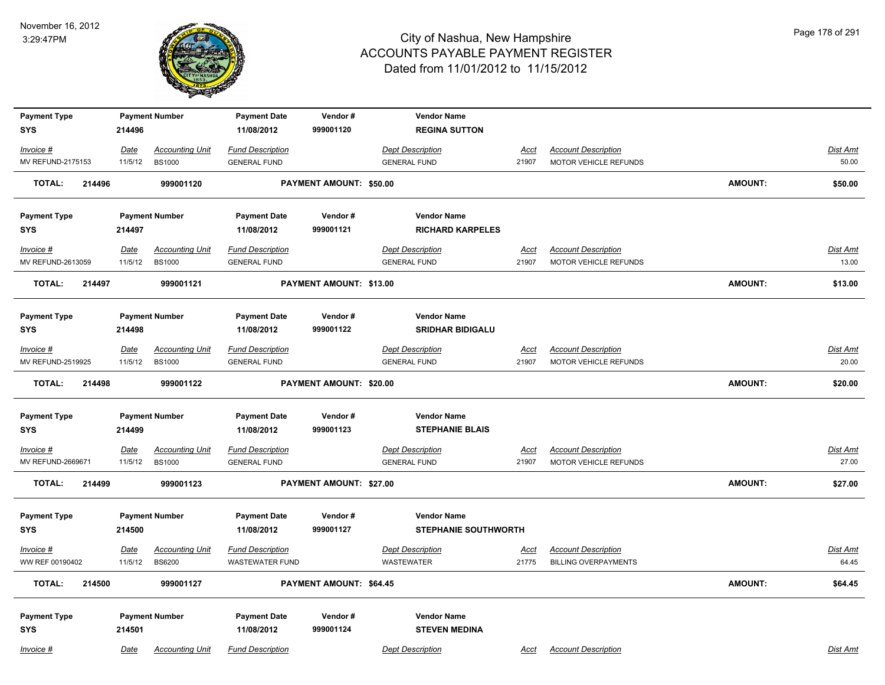

| <b>Payment Type</b>     |         | <b>Payment Number</b>  | <b>Payment Date</b>     | Vendor#                        | <b>Vendor Name</b>          |             |                             |                |          |
|-------------------------|---------|------------------------|-------------------------|--------------------------------|-----------------------------|-------------|-----------------------------|----------------|----------|
| <b>SYS</b>              | 214496  |                        | 11/08/2012              | 999001120                      | <b>REGINA SUTTON</b>        |             |                             |                |          |
| Invoice #               | Date    | <b>Accounting Unit</b> | <b>Fund Description</b> |                                | <b>Dept Description</b>     | <u>Acct</u> | <b>Account Description</b>  |                | Dist Amt |
| MV REFUND-2175153       | 11/5/12 | <b>BS1000</b>          | <b>GENERAL FUND</b>     |                                | <b>GENERAL FUND</b>         | 21907       | MOTOR VEHICLE REFUNDS       |                | 50.00    |
| <b>TOTAL:</b><br>214496 |         | 999001120              |                         | PAYMENT AMOUNT: \$50.00        |                             |             |                             | <b>AMOUNT:</b> | \$50.00  |
| <b>Payment Type</b>     |         | <b>Payment Number</b>  | <b>Payment Date</b>     | Vendor#                        | <b>Vendor Name</b>          |             |                             |                |          |
| <b>SYS</b>              | 214497  |                        | 11/08/2012              | 999001121                      | <b>RICHARD KARPELES</b>     |             |                             |                |          |
| Invoice #               | Date    | <b>Accounting Unit</b> | <b>Fund Description</b> |                                | <b>Dept Description</b>     | Acct        | <b>Account Description</b>  |                | Dist Amt |
| MV REFUND-2613059       | 11/5/12 | <b>BS1000</b>          | <b>GENERAL FUND</b>     |                                | <b>GENERAL FUND</b>         | 21907       | MOTOR VEHICLE REFUNDS       |                | 13.00    |
| <b>TOTAL:</b><br>214497 |         | 999001121              |                         | PAYMENT AMOUNT: \$13.00        |                             |             |                             | <b>AMOUNT:</b> | \$13.00  |
| <b>Payment Type</b>     |         | <b>Payment Number</b>  | <b>Payment Date</b>     | Vendor#                        | <b>Vendor Name</b>          |             |                             |                |          |
| <b>SYS</b>              | 214498  |                        | 11/08/2012              | 999001122                      | <b>SRIDHAR BIDIGALU</b>     |             |                             |                |          |
| Invoice #               | Date    | <b>Accounting Unit</b> | Fund Description        |                                | <b>Dept Description</b>     | Acct        | <b>Account Description</b>  |                | Dist Amt |
| MV REFUND-2519925       | 11/5/12 | <b>BS1000</b>          | <b>GENERAL FUND</b>     |                                | <b>GENERAL FUND</b>         | 21907       | MOTOR VEHICLE REFUNDS       |                | 20.00    |
| 214498<br>TOTAL:        |         | 999001122              |                         | <b>PAYMENT AMOUNT: \$20.00</b> |                             |             |                             | <b>AMOUNT:</b> | \$20.00  |
| <b>Payment Type</b>     |         | <b>Payment Number</b>  | <b>Payment Date</b>     | Vendor#                        | <b>Vendor Name</b>          |             |                             |                |          |
| <b>SYS</b>              | 214499  |                        | 11/08/2012              | 999001123                      | <b>STEPHANIE BLAIS</b>      |             |                             |                |          |
| $Invoice$ #             | Date    | <b>Accounting Unit</b> | <b>Fund Description</b> |                                | <b>Dept Description</b>     | Acct        | <b>Account Description</b>  |                | Dist Amt |
| MV REFUND-2669671       | 11/5/12 | <b>BS1000</b>          | <b>GENERAL FUND</b>     |                                | <b>GENERAL FUND</b>         | 21907       | MOTOR VEHICLE REFUNDS       |                | 27.00    |
| <b>TOTAL:</b><br>214499 |         | 999001123              |                         | PAYMENT AMOUNT: \$27.00        |                             |             |                             | <b>AMOUNT:</b> | \$27.00  |
| <b>Payment Type</b>     |         | <b>Payment Number</b>  | <b>Payment Date</b>     | Vendor#                        | <b>Vendor Name</b>          |             |                             |                |          |
| <b>SYS</b>              | 214500  |                        | 11/08/2012              | 999001127                      | <b>STEPHANIE SOUTHWORTH</b> |             |                             |                |          |
| Invoice #               | Date    | <b>Accounting Unit</b> | <b>Fund Description</b> |                                | <b>Dept Description</b>     | Acct        | <b>Account Description</b>  |                | Dist Amt |
| WW REF 00190402         | 11/5/12 | <b>BS6200</b>          | WASTEWATER FUND         |                                | <b>WASTEWATER</b>           | 21775       | <b>BILLING OVERPAYMENTS</b> |                | 64.45    |
| <b>TOTAL:</b><br>214500 |         | 999001127              |                         | PAYMENT AMOUNT: \$64.45        |                             |             |                             | <b>AMOUNT:</b> | \$64.45  |
| <b>Payment Type</b>     |         | <b>Payment Number</b>  | <b>Payment Date</b>     | Vendor#                        | <b>Vendor Name</b>          |             |                             |                |          |
| <b>SYS</b>              | 214501  |                        | 11/08/2012              | 999001124                      | <b>STEVEN MEDINA</b>        |             |                             |                |          |
| Invoice #               | Date    | <b>Accounting Unit</b> | <b>Fund Description</b> |                                | <b>Dept Description</b>     | Acct        | <b>Account Description</b>  |                | Dist Amt |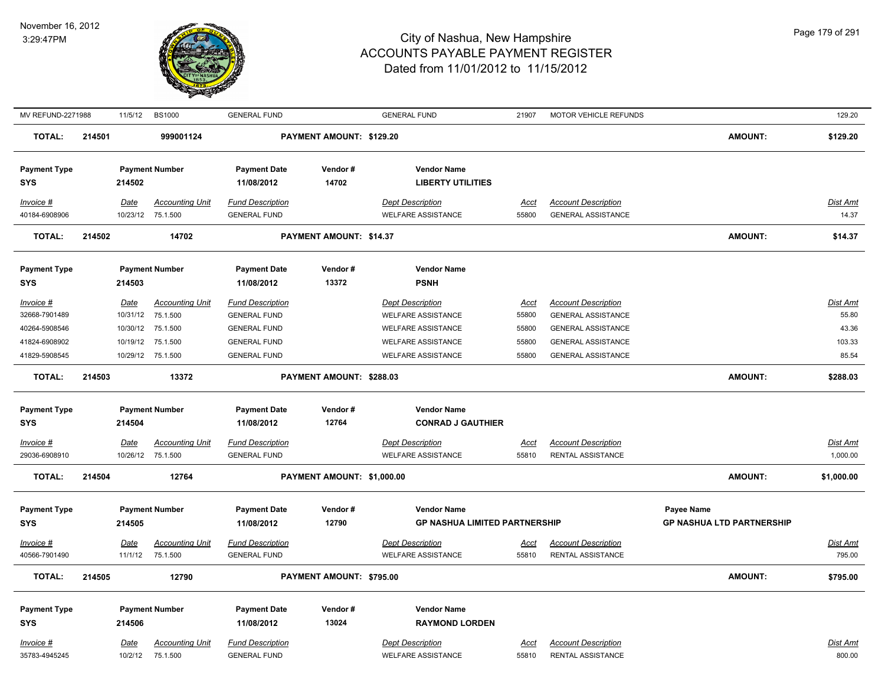

| MV REFUND-2271988          |        | 11/5/12     | <b>BS1000</b>                               | <b>GENERAL FUND</b>                            |                            | <b>GENERAL FUND</b>                                  | 21907                | MOTOR VEHICLE REFUNDS                           |                                  | 129.20                      |
|----------------------------|--------|-------------|---------------------------------------------|------------------------------------------------|----------------------------|------------------------------------------------------|----------------------|-------------------------------------------------|----------------------------------|-----------------------------|
| <b>TOTAL:</b>              | 214501 |             | 999001124                                   |                                                | PAYMENT AMOUNT: \$129.20   |                                                      |                      |                                                 | <b>AMOUNT:</b>                   | \$129.20                    |
| <b>Payment Type</b>        |        |             | <b>Payment Number</b>                       | <b>Payment Date</b>                            | Vendor#                    | <b>Vendor Name</b>                                   |                      |                                                 |                                  |                             |
| <b>SYS</b>                 |        | 214502      |                                             | 11/08/2012                                     | 14702                      | <b>LIBERTY UTILITIES</b>                             |                      |                                                 |                                  |                             |
| Invoice #                  |        | Date        | <b>Accounting Unit</b>                      | <b>Fund Description</b>                        |                            | <b>Dept Description</b>                              | Acct                 | <b>Account Description</b>                      |                                  | Dist Amt                    |
| 40184-6908906              |        | 10/23/12    | 75.1.500                                    | <b>GENERAL FUND</b>                            |                            | <b>WELFARE ASSISTANCE</b>                            | 55800                | <b>GENERAL ASSISTANCE</b>                       |                                  | 14.37                       |
| <b>TOTAL:</b>              | 214502 |             | 14702                                       |                                                | PAYMENT AMOUNT: \$14.37    |                                                      |                      |                                                 | <b>AMOUNT:</b>                   | \$14.37                     |
| <b>Payment Type</b>        |        |             | <b>Payment Number</b>                       | <b>Payment Date</b>                            | Vendor#                    | <b>Vendor Name</b>                                   |                      |                                                 |                                  |                             |
| <b>SYS</b>                 |        | 214503      |                                             | 11/08/2012                                     | 13372                      | <b>PSNH</b>                                          |                      |                                                 |                                  |                             |
| Invoice #                  |        | Date        | <b>Accounting Unit</b>                      | <b>Fund Description</b>                        |                            | <b>Dept Description</b>                              | Acct                 | <b>Account Description</b>                      |                                  | Dist Amt                    |
| 32668-7901489              |        | 10/31/12    | 75.1.500                                    | <b>GENERAL FUND</b>                            |                            | <b>WELFARE ASSISTANCE</b>                            | 55800                | <b>GENERAL ASSISTANCE</b>                       |                                  | 55.80                       |
| 40264-5908546              |        |             | 10/30/12 75.1.500                           | <b>GENERAL FUND</b>                            |                            | <b>WELFARE ASSISTANCE</b>                            | 55800                | <b>GENERAL ASSISTANCE</b>                       |                                  | 43.36                       |
| 41824-6908902              |        | 10/19/12    | 75.1.500                                    | <b>GENERAL FUND</b>                            |                            | <b>WELFARE ASSISTANCE</b>                            | 55800                | <b>GENERAL ASSISTANCE</b>                       |                                  | 103.33                      |
| 41829-5908545              |        | 10/29/12    | 75.1.500                                    | <b>GENERAL FUND</b>                            |                            | <b>WELFARE ASSISTANCE</b>                            | 55800                | <b>GENERAL ASSISTANCE</b>                       |                                  | 85.54                       |
| <b>TOTAL:</b>              | 214503 |             | 13372                                       |                                                | PAYMENT AMOUNT: \$288.03   |                                                      |                      |                                                 | <b>AMOUNT:</b>                   | \$288.03                    |
| <b>Payment Type</b>        |        |             | <b>Payment Number</b>                       | <b>Payment Date</b>                            | Vendor#                    | <b>Vendor Name</b>                                   |                      |                                                 |                                  |                             |
| <b>SYS</b>                 |        | 214504      |                                             | 11/08/2012                                     | 12764                      | <b>CONRAD J GAUTHIER</b>                             |                      |                                                 |                                  |                             |
|                            |        |             |                                             |                                                |                            |                                                      |                      |                                                 |                                  |                             |
| Invoice #<br>29036-6908910 |        | <u>Date</u> | <b>Accounting Unit</b><br>10/26/12 75.1.500 | <b>Fund Description</b><br><b>GENERAL FUND</b> |                            | <b>Dept Description</b><br><b>WELFARE ASSISTANCE</b> | <u>Acct</u><br>55810 | <b>Account Description</b><br>RENTAL ASSISTANCE |                                  | <b>Dist Amt</b><br>1,000.00 |
|                            |        |             |                                             |                                                |                            |                                                      |                      |                                                 |                                  |                             |
| <b>TOTAL:</b>              | 214504 |             | 12764                                       |                                                | PAYMENT AMOUNT: \$1,000.00 |                                                      |                      |                                                 | <b>AMOUNT:</b>                   | \$1,000.00                  |
| <b>Payment Type</b>        |        |             | <b>Payment Number</b>                       | <b>Payment Date</b>                            | Vendor#                    | <b>Vendor Name</b>                                   |                      |                                                 | <b>Payee Name</b>                |                             |
| SYS                        |        | 214505      |                                             | 11/08/2012                                     | 12790                      | <b>GP NASHUA LIMITED PARTNERSHIP</b>                 |                      |                                                 | <b>GP NASHUA LTD PARTNERSHIP</b> |                             |
| Invoice #                  |        | <b>Date</b> | <b>Accounting Unit</b>                      | <b>Fund Description</b>                        |                            | <b>Dept Description</b>                              | <u>Acct</u>          | <b>Account Description</b>                      |                                  | Dist Amt                    |
| 40566-7901490              |        | 11/1/12     | 75.1.500                                    | <b>GENERAL FUND</b>                            |                            | <b>WELFARE ASSISTANCE</b>                            | 55810                | <b>RENTAL ASSISTANCE</b>                        |                                  | 795.00                      |
| <b>TOTAL:</b>              | 214505 |             | 12790                                       |                                                | PAYMENT AMOUNT: \$795.00   |                                                      |                      |                                                 | <b>AMOUNT:</b>                   | \$795.00                    |
|                            |        |             |                                             |                                                |                            |                                                      |                      |                                                 |                                  |                             |
| <b>Payment Type</b>        |        |             | <b>Payment Number</b>                       | <b>Payment Date</b>                            | Vendor#                    | <b>Vendor Name</b>                                   |                      |                                                 |                                  |                             |
| <b>SYS</b>                 |        | 214506      |                                             | 11/08/2012                                     | 13024                      | <b>RAYMOND LORDEN</b>                                |                      |                                                 |                                  |                             |
| Invoice #                  |        | Date        | <b>Accounting Unit</b>                      | <b>Fund Description</b>                        |                            | <b>Dept Description</b>                              | <u>Acct</u>          | <b>Account Description</b>                      |                                  | Dist Amt                    |
| 35783-4945245              |        | 10/2/12     | 75.1.500                                    | <b>GENERAL FUND</b>                            |                            | <b>WELFARE ASSISTANCE</b>                            | 55810                | RENTAL ASSISTANCE                               |                                  | 800.00                      |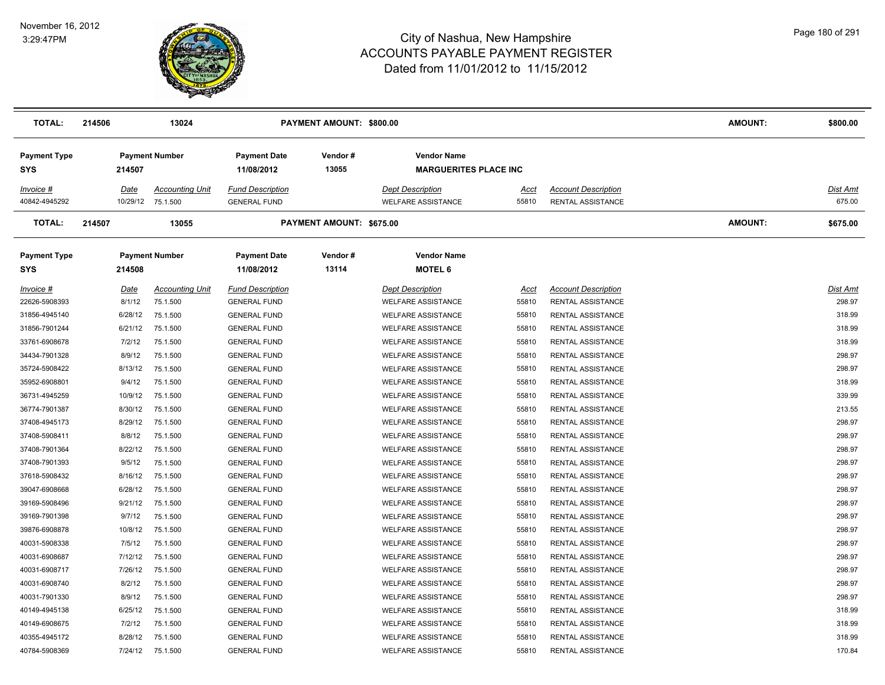

| <b>TOTAL:</b>                     | 214506                  | 13024                              |                                                | PAYMENT AMOUNT: \$800.00 |                                                      |               |                                                 | <b>AMOUNT:</b> | \$800.00           |
|-----------------------------------|-------------------------|------------------------------------|------------------------------------------------|--------------------------|------------------------------------------------------|---------------|-------------------------------------------------|----------------|--------------------|
| <b>Payment Type</b><br><b>SYS</b> | 214507                  | <b>Payment Number</b>              | <b>Payment Date</b><br>11/08/2012              | Vendor#<br>13055         | <b>Vendor Name</b><br><b>MARGUERITES PLACE INC</b>   |               |                                                 |                |                    |
| Invoice #<br>40842-4945292        | <b>Date</b><br>10/29/12 | <b>Accounting Unit</b><br>75.1.500 | <b>Fund Description</b><br><b>GENERAL FUND</b> |                          | <b>Dept Description</b><br><b>WELFARE ASSISTANCE</b> | Acct<br>55810 | <b>Account Description</b><br>RENTAL ASSISTANCE |                | Dist Amt<br>675.00 |
| <b>TOTAL:</b>                     | 214507                  | 13055                              |                                                | PAYMENT AMOUNT: \$675.00 |                                                      |               |                                                 | <b>AMOUNT:</b> | \$675.00           |
| <b>Payment Type</b><br><b>SYS</b> | 214508                  | <b>Payment Number</b>              | <b>Payment Date</b><br>11/08/2012              | Vendor#<br>13114         | <b>Vendor Name</b><br><b>MOTEL 6</b>                 |               |                                                 |                |                    |
| $Invoice$ #                       | <u>Date</u>             | <b>Accounting Unit</b>             | <b>Fund Description</b>                        |                          | <b>Dept Description</b>                              | Acct          | <b>Account Description</b>                      |                | Dist Amt           |
| 22626-5908393                     | 8/1/12                  | 75.1.500                           | <b>GENERAL FUND</b>                            |                          | <b>WELFARE ASSISTANCE</b>                            | 55810         | RENTAL ASSISTANCE                               |                | 298.97             |
| 31856-4945140                     | 6/28/12                 | 75.1.500                           | <b>GENERAL FUND</b>                            |                          | <b>WELFARE ASSISTANCE</b>                            | 55810         | <b>RENTAL ASSISTANCE</b>                        |                | 318.99             |
| 31856-7901244                     | 6/21/12                 | 75.1.500                           | <b>GENERAL FUND</b>                            |                          | <b>WELFARE ASSISTANCE</b>                            | 55810         | RENTAL ASSISTANCE                               |                | 318.99             |
| 33761-6908678                     | 7/2/12                  | 75.1.500                           | <b>GENERAL FUND</b>                            |                          | <b>WELFARE ASSISTANCE</b>                            | 55810         | RENTAL ASSISTANCE                               |                | 318.99             |
| 34434-7901328                     | 8/9/12                  | 75.1.500                           | <b>GENERAL FUND</b>                            |                          | <b>WELFARE ASSISTANCE</b>                            | 55810         | RENTAL ASSISTANCE                               |                | 298.97             |
| 35724-5908422                     | 8/13/12                 | 75.1.500                           | <b>GENERAL FUND</b>                            |                          | <b>WELFARE ASSISTANCE</b>                            | 55810         | RENTAL ASSISTANCE                               |                | 298.97             |
| 35952-6908801                     | 9/4/12                  | 75.1.500                           | <b>GENERAL FUND</b>                            |                          | <b>WELFARE ASSISTANCE</b>                            | 55810         | RENTAL ASSISTANCE                               |                | 318.99             |
| 36731-4945259                     | 10/9/12                 | 75.1.500                           | <b>GENERAL FUND</b>                            |                          | <b>WELFARE ASSISTANCE</b>                            | 55810         | RENTAL ASSISTANCE                               |                | 339.99             |
| 36774-7901387                     | 8/30/12                 | 75.1.500                           | <b>GENERAL FUND</b>                            |                          | WELFARE ASSISTANCE                                   | 55810         | RENTAL ASSISTANCE                               |                | 213.55             |
| 37408-4945173                     | 8/29/12                 | 75.1.500                           | <b>GENERAL FUND</b>                            |                          | <b>WELFARE ASSISTANCE</b>                            | 55810         | RENTAL ASSISTANCE                               |                | 298.97             |
| 37408-5908411                     | 8/8/12                  | 75.1.500                           | <b>GENERAL FUND</b>                            |                          | <b>WELFARE ASSISTANCE</b>                            | 55810         | RENTAL ASSISTANCE                               |                | 298.97             |
| 37408-7901364                     | 8/22/12                 | 75.1.500                           | <b>GENERAL FUND</b>                            |                          | WELFARE ASSISTANCE                                   | 55810         | RENTAL ASSISTANCE                               |                | 298.97             |
| 37408-7901393                     | 9/5/12                  | 75.1.500                           | <b>GENERAL FUND</b>                            |                          | <b>WELFARE ASSISTANCE</b>                            | 55810         | RENTAL ASSISTANCE                               |                | 298.97             |
| 37618-5908432                     | 8/16/12                 | 75.1.500                           | <b>GENERAL FUND</b>                            |                          | <b>WELFARE ASSISTANCE</b>                            | 55810         | RENTAL ASSISTANCE                               |                | 298.97             |
| 39047-6908668                     | 6/28/12                 | 75.1.500                           | <b>GENERAL FUND</b>                            |                          | WELFARE ASSISTANCE                                   | 55810         | RENTAL ASSISTANCE                               |                | 298.97             |
| 39169-5908496                     | 9/21/12                 | 75.1.500                           | <b>GENERAL FUND</b>                            |                          | <b>WELFARE ASSISTANCE</b>                            | 55810         | RENTAL ASSISTANCE                               |                | 298.97             |
| 39169-7901398                     | 9/7/12                  | 75.1.500                           | <b>GENERAL FUND</b>                            |                          | <b>WELFARE ASSISTANCE</b>                            | 55810         | RENTAL ASSISTANCE                               |                | 298.97             |
| 39876-6908878                     | 10/8/12                 | 75.1.500                           | <b>GENERAL FUND</b>                            |                          | <b>WELFARE ASSISTANCE</b>                            | 55810         | <b>RENTAL ASSISTANCE</b>                        |                | 298.97             |
| 40031-5908338                     | 7/5/12                  | 75.1.500                           | <b>GENERAL FUND</b>                            |                          | <b>WELFARE ASSISTANCE</b>                            | 55810         | RENTAL ASSISTANCE                               |                | 298.97             |
| 40031-6908687                     | 7/12/12                 | 75.1.500                           | <b>GENERAL FUND</b>                            |                          | <b>WELFARE ASSISTANCE</b>                            | 55810         | RENTAL ASSISTANCE                               |                | 298.97             |
| 40031-6908717                     | 7/26/12                 | 75.1.500                           | <b>GENERAL FUND</b>                            |                          | <b>WELFARE ASSISTANCE</b>                            | 55810         | RENTAL ASSISTANCE                               |                | 298.97             |
| 40031-6908740                     | 8/2/12                  | 75.1.500                           | <b>GENERAL FUND</b>                            |                          | <b>WELFARE ASSISTANCE</b>                            | 55810         | RENTAL ASSISTANCE                               |                | 298.97             |
| 40031-7901330                     | 8/9/12                  | 75.1.500                           | <b>GENERAL FUND</b>                            |                          | <b>WELFARE ASSISTANCE</b>                            | 55810         | RENTAL ASSISTANCE                               |                | 298.97             |
| 40149-4945138                     | 6/25/12                 | 75.1.500                           | <b>GENERAL FUND</b>                            |                          | <b>WELFARE ASSISTANCE</b>                            | 55810         | RENTAL ASSISTANCE                               |                | 318.99             |
| 40149-6908675                     | 7/2/12                  | 75.1.500                           | <b>GENERAL FUND</b>                            |                          | <b>WELFARE ASSISTANCE</b>                            | 55810         | RENTAL ASSISTANCE                               |                | 318.99             |
| 40355-4945172                     | 8/28/12                 | 75.1.500                           | <b>GENERAL FUND</b>                            |                          | <b>WELFARE ASSISTANCE</b>                            | 55810         | RENTAL ASSISTANCE                               |                | 318.99             |
| 40784-5908369                     | 7/24/12                 | 75.1.500                           | <b>GENERAL FUND</b>                            |                          | <b>WELFARE ASSISTANCE</b>                            | 55810         | RENTAL ASSISTANCE                               |                | 170.84             |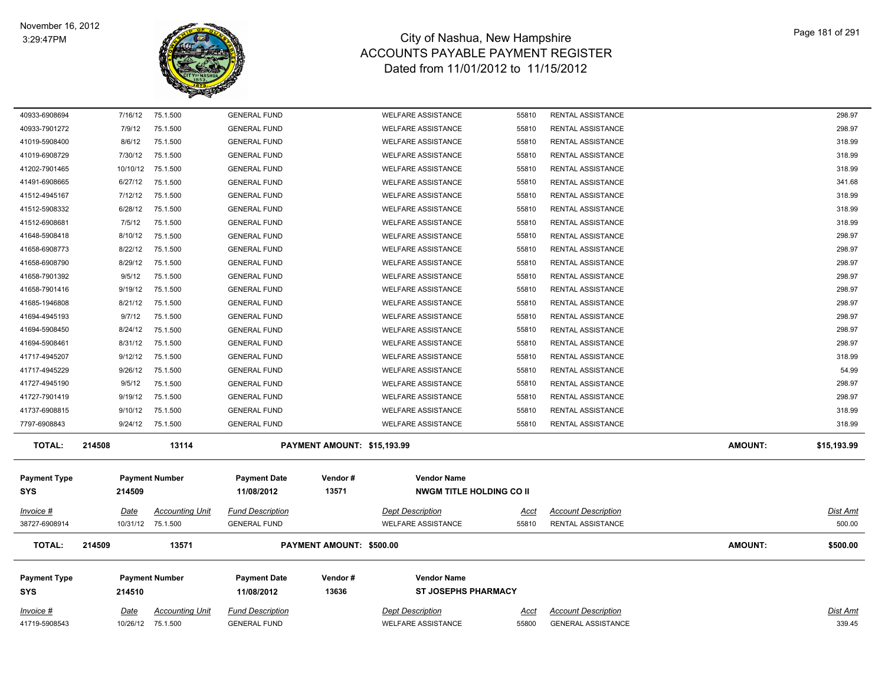

| 40933-6908694       |        | 7/16/12     | 75.1.500               | <b>GENERAL FUND</b>     |                             | <b>WELFARE ASSISTANCE</b>       | 55810 | RENTAL ASSISTANCE          |                | 298.97      |
|---------------------|--------|-------------|------------------------|-------------------------|-----------------------------|---------------------------------|-------|----------------------------|----------------|-------------|
| 40933-7901272       |        | 7/9/12      | 75.1.500               | <b>GENERAL FUND</b>     |                             | <b>WELFARE ASSISTANCE</b>       | 55810 | RENTAL ASSISTANCE          |                | 298.97      |
| 41019-5908400       |        | 8/6/12      | 75.1.500               | <b>GENERAL FUND</b>     |                             | <b>WELFARE ASSISTANCE</b>       | 55810 | RENTAL ASSISTANCE          |                | 318.99      |
| 41019-6908729       |        | 7/30/12     | 75.1.500               | <b>GENERAL FUND</b>     |                             | <b>WELFARE ASSISTANCE</b>       | 55810 | RENTAL ASSISTANCE          |                | 318.99      |
| 41202-7901465       |        | 10/10/12    | 75.1.500               | <b>GENERAL FUND</b>     |                             | <b>WELFARE ASSISTANCE</b>       | 55810 | RENTAL ASSISTANCE          |                | 318.99      |
| 41491-6908665       |        | 6/27/12     | 75.1.500               | <b>GENERAL FUND</b>     |                             | <b>WELFARE ASSISTANCE</b>       | 55810 | RENTAL ASSISTANCE          |                | 341.68      |
| 41512-4945167       |        | 7/12/12     | 75.1.500               | <b>GENERAL FUND</b>     |                             | <b>WELFARE ASSISTANCE</b>       | 55810 | RENTAL ASSISTANCE          |                | 318.99      |
| 41512-5908332       |        | 6/28/12     | 75.1.500               | <b>GENERAL FUND</b>     |                             | <b>WELFARE ASSISTANCE</b>       | 55810 | RENTAL ASSISTANCE          |                | 318.99      |
| 41512-6908681       |        | 7/5/12      | 75.1.500               | <b>GENERAL FUND</b>     |                             | <b>WELFARE ASSISTANCE</b>       | 55810 | RENTAL ASSISTANCE          |                | 318.99      |
| 41648-5908418       |        | 8/10/12     | 75.1.500               | <b>GENERAL FUND</b>     |                             | <b>WELFARE ASSISTANCE</b>       | 55810 | RENTAL ASSISTANCE          |                | 298.97      |
| 41658-6908773       |        | 8/22/12     | 75.1.500               | <b>GENERAL FUND</b>     |                             | <b>WELFARE ASSISTANCE</b>       | 55810 | RENTAL ASSISTANCE          |                | 298.97      |
| 41658-6908790       |        | 8/29/12     | 75.1.500               | <b>GENERAL FUND</b>     |                             | <b>WELFARE ASSISTANCE</b>       | 55810 | <b>RENTAL ASSISTANCE</b>   |                | 298.97      |
| 41658-7901392       |        | 9/5/12      | 75.1.500               | <b>GENERAL FUND</b>     |                             | <b>WELFARE ASSISTANCE</b>       | 55810 | RENTAL ASSISTANCE          |                | 298.97      |
| 41658-7901416       |        | 9/19/12     | 75.1.500               | <b>GENERAL FUND</b>     |                             | <b>WELFARE ASSISTANCE</b>       | 55810 | RENTAL ASSISTANCE          |                | 298.97      |
| 41685-1946808       |        | 8/21/12     | 75.1.500               | <b>GENERAL FUND</b>     |                             | <b>WELFARE ASSISTANCE</b>       | 55810 | RENTAL ASSISTANCE          |                | 298.97      |
| 41694-4945193       |        | 9/7/12      | 75.1.500               | <b>GENERAL FUND</b>     |                             | <b>WELFARE ASSISTANCE</b>       | 55810 | RENTAL ASSISTANCE          |                | 298.97      |
| 41694-5908450       |        | 8/24/12     | 75.1.500               | <b>GENERAL FUND</b>     |                             | <b>WELFARE ASSISTANCE</b>       | 55810 | RENTAL ASSISTANCE          |                | 298.97      |
| 41694-5908461       |        | 8/31/12     | 75.1.500               | <b>GENERAL FUND</b>     |                             | <b>WELFARE ASSISTANCE</b>       | 55810 | RENTAL ASSISTANCE          |                | 298.97      |
| 41717-4945207       |        | 9/12/12     | 75.1.500               | <b>GENERAL FUND</b>     |                             | <b>WELFARE ASSISTANCE</b>       | 55810 | RENTAL ASSISTANCE          |                | 318.99      |
| 41717-4945229       |        | 9/26/12     | 75.1.500               | <b>GENERAL FUND</b>     |                             | <b>WELFARE ASSISTANCE</b>       | 55810 | RENTAL ASSISTANCE          |                | 54.99       |
| 41727-4945190       |        | 9/5/12      | 75.1.500               | <b>GENERAL FUND</b>     |                             | <b>WELFARE ASSISTANCE</b>       | 55810 | RENTAL ASSISTANCE          |                | 298.97      |
| 41727-7901419       |        | 9/19/12     | 75.1.500               | <b>GENERAL FUND</b>     |                             | <b>WELFARE ASSISTANCE</b>       | 55810 | RENTAL ASSISTANCE          |                | 298.97      |
| 41737-6908815       |        | 9/10/12     | 75.1.500               | <b>GENERAL FUND</b>     |                             | <b>WELFARE ASSISTANCE</b>       | 55810 | RENTAL ASSISTANCE          |                | 318.99      |
| 7797-6908843        |        | 9/24/12     | 75.1.500               | <b>GENERAL FUND</b>     |                             | <b>WELFARE ASSISTANCE</b>       | 55810 | RENTAL ASSISTANCE          |                | 318.99      |
| <b>TOTAL:</b>       | 214508 |             | 13114                  |                         | PAYMENT AMOUNT: \$15,193.99 |                                 |       |                            | <b>AMOUNT:</b> | \$15,193.99 |
|                     |        |             |                        |                         |                             |                                 |       |                            |                |             |
| <b>Payment Type</b> |        |             | <b>Payment Number</b>  | <b>Payment Date</b>     | Vendor#                     | <b>Vendor Name</b>              |       |                            |                |             |
| <b>SYS</b>          |        | 214509      |                        | 11/08/2012              | 13571                       | <b>NWGM TITLE HOLDING CO II</b> |       |                            |                |             |
| $Invoice$ #         |        | <u>Date</u> | <b>Accounting Unit</b> | <b>Fund Description</b> |                             | <b>Dept Description</b>         | Acct  | <b>Account Description</b> |                | Dist Amt    |
| 38727-6908914       |        |             | 10/31/12 75.1.500      | <b>GENERAL FUND</b>     |                             | <b>WELFARE ASSISTANCE</b>       | 55810 | RENTAL ASSISTANCE          |                | 500.00      |
| <b>TOTAL:</b>       | 214509 |             | 13571                  |                         | PAYMENT AMOUNT: \$500.00    |                                 |       |                            | <b>AMOUNT:</b> | \$500.00    |
| <b>Payment Type</b> |        |             | <b>Payment Number</b>  | <b>Payment Date</b>     | Vendor#                     | <b>Vendor Name</b>              |       |                            |                |             |
| <b>SYS</b>          |        | 214510      |                        | 11/08/2012              | 13636                       | <b>ST JOSEPHS PHARMACY</b>      |       |                            |                |             |
|                     |        |             |                        |                         |                             |                                 |       |                            |                |             |
| Invoice #           |        | Date        | Accounting Unit        | <b>Fund Description</b> |                             | <b>Dept Description</b>         | Acct  | <b>Account Description</b> |                | Dist Amt    |
| 41719-5908543       |        |             | 10/26/12 75.1.500      | <b>GENERAL FUND</b>     |                             | <b>WELFARE ASSISTANCE</b>       | 55800 | <b>GENERAL ASSISTANCE</b>  |                | 339.45      |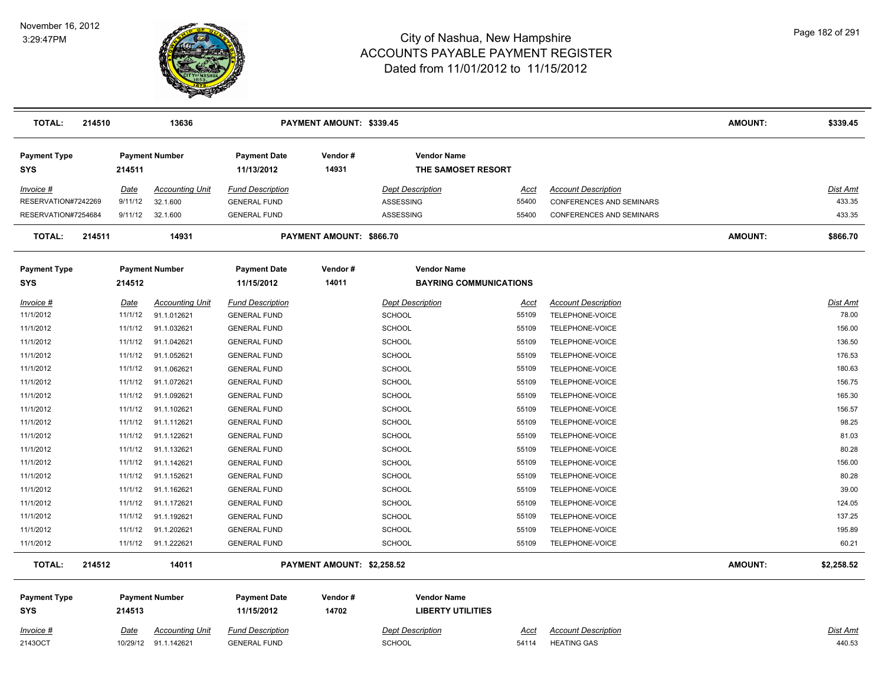

| TOTAL:                            | 214510 |             | 13636                                          |                                                | PAYMENT AMOUNT: \$339.45   |                                                |                      |                                                  | <b>AMOUNT:</b> | \$339.45                  |
|-----------------------------------|--------|-------------|------------------------------------------------|------------------------------------------------|----------------------------|------------------------------------------------|----------------------|--------------------------------------------------|----------------|---------------------------|
| <b>Payment Type</b><br><b>SYS</b> |        | 214511      | <b>Payment Number</b>                          | <b>Payment Date</b><br>11/13/2012              | Vendor#<br>14931           | <b>Vendor Name</b><br>THE SAMOSET RESORT       |                      |                                                  |                |                           |
| Invoice #                         |        | Date        | <b>Accounting Unit</b>                         | <b>Fund Description</b>                        |                            | <b>Dept Description</b>                        | Acct                 | <b>Account Description</b>                       |                | Dist Amt                  |
| RESERVATION#7242269               |        | 9/11/12     | 32.1.600                                       | <b>GENERAL FUND</b>                            |                            | <b>ASSESSING</b>                               | 55400                | <b>CONFERENCES AND SEMINARS</b>                  |                | 433.35                    |
| RESERVATION#7254684               |        | 9/11/12     | 32.1.600                                       | <b>GENERAL FUND</b>                            |                            | ASSESSING                                      | 55400                | CONFERENCES AND SEMINARS                         |                | 433.35                    |
| <b>TOTAL:</b>                     | 214511 |             | 14931                                          |                                                | PAYMENT AMOUNT: \$866.70   |                                                |                      |                                                  | <b>AMOUNT:</b> | \$866.70                  |
| <b>Payment Type</b>               |        |             | <b>Payment Number</b>                          | <b>Payment Date</b>                            | Vendor#                    | <b>Vendor Name</b>                             |                      |                                                  |                |                           |
| <b>SYS</b>                        |        | 214512      |                                                | 11/15/2012                                     | 14011                      | <b>BAYRING COMMUNICATIONS</b>                  |                      |                                                  |                |                           |
| Invoice #                         |        | Date        | <b>Accounting Unit</b>                         | <b>Fund Description</b>                        |                            | <b>Dept Description</b>                        | Acct                 | <b>Account Description</b>                       |                | Dist Amt                  |
| 11/1/2012                         |        | 11/1/12     | 91.1.012621                                    | <b>GENERAL FUND</b>                            |                            | <b>SCHOOL</b>                                  | 55109                | TELEPHONE-VOICE                                  |                | 78.00                     |
| 11/1/2012                         |        | 11/1/12     | 91.1.032621                                    | <b>GENERAL FUND</b>                            |                            | <b>SCHOOL</b>                                  | 55109                | TELEPHONE-VOICE                                  |                | 156.00                    |
| 11/1/2012                         |        | 11/1/12     | 91.1.042621                                    | <b>GENERAL FUND</b>                            |                            | <b>SCHOOL</b>                                  | 55109                | TELEPHONE-VOICE                                  |                | 136.50                    |
| 11/1/2012                         |        | 11/1/12     | 91.1.052621                                    | <b>GENERAL FUND</b>                            |                            | <b>SCHOOL</b>                                  | 55109                | TELEPHONE-VOICE                                  |                | 176.53                    |
| 11/1/2012                         |        | 11/1/12     | 91.1.062621                                    | <b>GENERAL FUND</b>                            |                            | <b>SCHOOL</b>                                  | 55109                | TELEPHONE-VOICE                                  |                | 180.63                    |
| 11/1/2012                         |        | 11/1/12     | 91.1.072621                                    | <b>GENERAL FUND</b>                            |                            | <b>SCHOOL</b>                                  | 55109                | TELEPHONE-VOICE                                  |                | 156.75                    |
| 11/1/2012                         |        | 11/1/12     | 91.1.092621                                    | <b>GENERAL FUND</b>                            |                            | SCHOOL                                         | 55109                | TELEPHONE-VOICE                                  |                | 165.30                    |
| 11/1/2012                         |        | 11/1/12     | 91.1.102621                                    | <b>GENERAL FUND</b>                            |                            | <b>SCHOOL</b>                                  | 55109                | TELEPHONE-VOICE                                  |                | 156.57                    |
| 11/1/2012                         |        | 11/1/12     | 91.1.112621                                    | <b>GENERAL FUND</b>                            |                            | <b>SCHOOL</b>                                  | 55109                | TELEPHONE-VOICE                                  |                | 98.25                     |
| 11/1/2012                         |        | 11/1/12     | 91.1.122621                                    | <b>GENERAL FUND</b>                            |                            | SCHOOL                                         | 55109                | TELEPHONE-VOICE                                  |                | 81.03                     |
| 11/1/2012                         |        | 11/1/12     | 91.1.132621                                    | <b>GENERAL FUND</b>                            |                            | <b>SCHOOL</b>                                  | 55109                | TELEPHONE-VOICE                                  |                | 80.28                     |
| 11/1/2012                         |        | 11/1/12     | 91.1.142621                                    | <b>GENERAL FUND</b>                            |                            | SCHOOL                                         | 55109                | TELEPHONE-VOICE                                  |                | 156.00                    |
| 11/1/2012                         |        | 11/1/12     | 91.1.152621                                    | <b>GENERAL FUND</b>                            |                            | <b>SCHOOL</b>                                  | 55109                | TELEPHONE-VOICE                                  |                | 80.28                     |
| 11/1/2012                         |        | 11/1/12     | 91.1.162621                                    | <b>GENERAL FUND</b>                            |                            | SCHOOL                                         | 55109                | TELEPHONE-VOICE                                  |                | 39.00                     |
| 11/1/2012                         |        | 11/1/12     | 91.1.172621                                    | <b>GENERAL FUND</b>                            |                            | <b>SCHOOL</b>                                  | 55109                | TELEPHONE-VOICE                                  |                | 124.05                    |
| 11/1/2012                         |        | 11/1/12     | 91.1.192621                                    | <b>GENERAL FUND</b>                            |                            | <b>SCHOOL</b>                                  | 55109                | TELEPHONE-VOICE                                  |                | 137.25                    |
| 11/1/2012                         |        | 11/1/12     | 91.1.202621                                    | <b>GENERAL FUND</b>                            |                            | <b>SCHOOL</b>                                  | 55109                | TELEPHONE-VOICE                                  |                | 195.89                    |
| 11/1/2012                         |        | 11/1/12     | 91.1.222621                                    | <b>GENERAL FUND</b>                            |                            | <b>SCHOOL</b>                                  | 55109                | TELEPHONE-VOICE                                  |                | 60.21                     |
| <b>TOTAL:</b>                     | 214512 |             | 14011                                          |                                                | PAYMENT AMOUNT: \$2,258.52 |                                                |                      |                                                  | <b>AMOUNT:</b> | \$2,258.52                |
| <b>Payment Type</b><br><b>SYS</b> |        | 214513      | <b>Payment Number</b>                          | <b>Payment Date</b><br>11/15/2012              | Vendor#<br>14702           | <b>Vendor Name</b><br><b>LIBERTY UTILITIES</b> |                      |                                                  |                |                           |
| <u>Invoice #</u><br>2143OCT       |        | <u>Date</u> | <u>Accounting Unit</u><br>10/29/12 91.1.142621 | <b>Fund Description</b><br><b>GENERAL FUND</b> |                            | <b>Dept Description</b><br><b>SCHOOL</b>       | <u>Acct</u><br>54114 | <b>Account Description</b><br><b>HEATING GAS</b> |                | <u>Dist Amt</u><br>440.53 |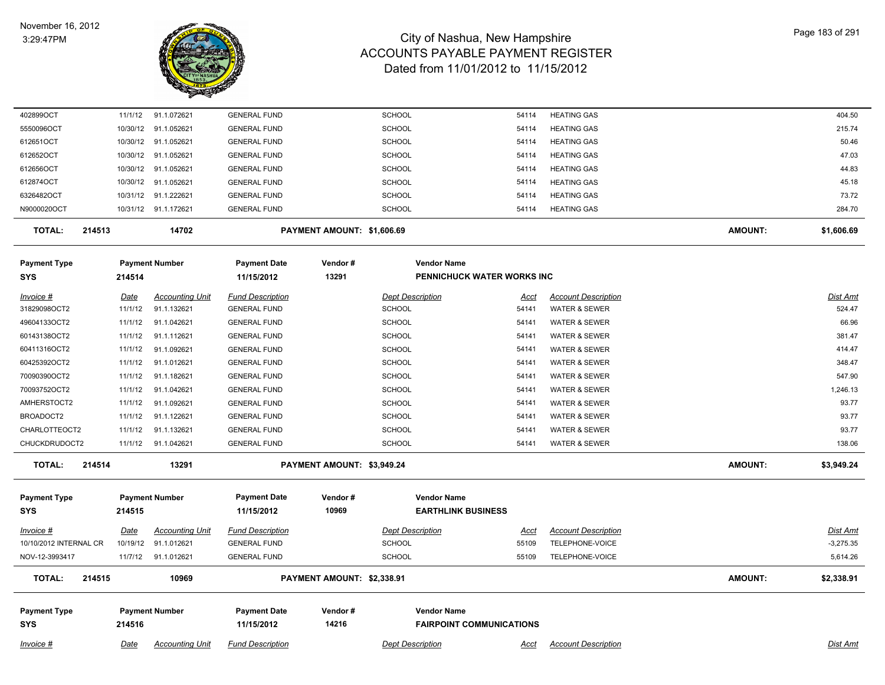

| <u>Invoice #</u>           | Date     | <b>Accounting Unit</b> | <b>Fund Description</b>           |                            | <b>Dept Description</b> |                                                       | <u>Acct</u> | <b>Account Description</b> |         | <b>Dist Amt</b> |
|----------------------------|----------|------------------------|-----------------------------------|----------------------------|-------------------------|-------------------------------------------------------|-------------|----------------------------|---------|-----------------|
| Payment Type<br><b>SYS</b> | 214516   | <b>Payment Number</b>  | <b>Payment Date</b><br>11/15/2012 | Vendor#<br>14216           |                         | <b>Vendor Name</b><br><b>FAIRPOINT COMMUNICATIONS</b> |             |                            |         |                 |
| TOTAL:<br>214515           |          | 10969                  |                                   | PAYMENT AMOUNT: \$2,338.91 |                         |                                                       |             |                            | AMOUNT: | \$2,338.91      |
| NOV-12-3993417             | 11/7/12  | 91.1.012621            | <b>GENERAL FUND</b>               |                            | <b>SCHOOL</b>           |                                                       | 55109       | TELEPHONE-VOICE            |         | 5,614.26        |
| 10/10/2012 INTERNAL CR     | 10/19/12 | 91.1.012621            | <b>GENERAL FUND</b>               |                            | <b>SCHOOL</b>           |                                                       | 55109       | TELEPHONE-VOICE            |         | $-3,275.35$     |
| Invoice #                  | Date     | <b>Accounting Unit</b> | <b>Fund Description</b>           |                            | <b>Dept Description</b> |                                                       | Acct        | <b>Account Description</b> |         | <b>Dist Amt</b> |
| <b>SYS</b>                 | 214515   |                        | 11/15/2012                        | 10969                      |                         | <b>EARTHLINK BUSINESS</b>                             |             |                            |         |                 |
| Payment Type               |          | <b>Payment Number</b>  | <b>Payment Date</b>               | Vendor#                    |                         | <b>Vendor Name</b>                                    |             |                            |         |                 |
| <b>TOTAL:</b><br>214514    |          | 13291                  |                                   | PAYMENT AMOUNT: \$3,949.24 |                         |                                                       |             |                            | AMOUNT: | \$3,949.24      |
| CHUCKDRUDOCT2              | 11/1/12  | 91.1.042621            | <b>GENERAL FUND</b>               |                            | <b>SCHOOL</b>           |                                                       | 54141       | <b>WATER &amp; SEWER</b>   |         | 138.06          |
| CHARLOTTEOCT2              | 11/1/12  | 91.1.132621            | <b>GENERAL FUND</b>               |                            | <b>SCHOOL</b>           |                                                       | 54141       | <b>WATER &amp; SEWER</b>   |         | 93.77           |
| BROADOCT2                  | 11/1/12  | 91.1.122621            | <b>GENERAL FUND</b>               |                            | <b>SCHOOL</b>           |                                                       | 54141       | WATER & SEWER              |         | 93.77           |
| AMHERSTOCT2                | 11/1/12  | 91.1.092621            | <b>GENERAL FUND</b>               |                            | <b>SCHOOL</b>           |                                                       | 54141       | <b>WATER &amp; SEWER</b>   |         | 93.77           |
| 70093752OCT2               | 11/1/12  | 91.1.042621            | <b>GENERAL FUND</b>               |                            | <b>SCHOOL</b>           |                                                       | 54141       | <b>WATER &amp; SEWER</b>   |         | 1,246.13        |
| 70090390OCT2               | 11/1/12  | 91.1.182621            | <b>GENERAL FUND</b>               |                            | <b>SCHOOL</b>           |                                                       | 54141       | <b>WATER &amp; SEWER</b>   |         | 547.90          |
| 60425392OCT2               | 11/1/12  | 91.1.012621            | <b>GENERAL FUND</b>               |                            | <b>SCHOOL</b>           |                                                       | 54141       | WATER & SEWER              |         | 348.47          |
| 60411316OCT2               | 11/1/12  | 91.1.092621            | <b>GENERAL FUND</b>               |                            | <b>SCHOOL</b>           |                                                       | 54141       | <b>WATER &amp; SEWER</b>   |         | 414.47          |
| 60143138OCT2               | 11/1/12  | 91.1.112621            | <b>GENERAL FUND</b>               |                            | <b>SCHOOL</b>           |                                                       | 54141       | <b>WATER &amp; SEWER</b>   |         | 381.47          |
| 49604133OCT2               | 11/1/12  | 91.1.042621            | <b>GENERAL FUND</b>               |                            | <b>SCHOOL</b>           |                                                       | 54141       | WATER & SEWER              |         | 66.96           |
| 31829098OCT2               | 11/1/12  | 91.1.132621            | <b>GENERAL FUND</b>               |                            | <b>SCHOOL</b>           |                                                       | 54141       | <b>WATER &amp; SEWER</b>   |         | 524.47          |
| Invoice #                  | Date     | <b>Accounting Unit</b> | <b>Fund Description</b>           |                            | <b>Dept Description</b> |                                                       | Acct        | <b>Account Description</b> |         | <b>Dist Amt</b> |
| <b>SYS</b>                 | 214514   |                        | 11/15/2012                        | 13291                      |                         | PENNICHUCK WATER WORKS INC                            |             |                            |         |                 |
| <b>Payment Type</b>        |          | <b>Payment Number</b>  | <b>Payment Date</b>               | Vendor#                    |                         | <b>Vendor Name</b>                                    |             |                            |         |                 |
| <b>TOTAL:</b><br>214513    |          | 14702                  |                                   | PAYMENT AMOUNT: \$1,606.69 |                         |                                                       |             |                            | AMOUNT: | \$1,606.69      |
| N9000020OCT                |          | 10/31/12 91.1.172621   | <b>GENERAL FUND</b>               |                            | <b>SCHOOL</b>           |                                                       | 54114       | <b>HEATING GAS</b>         |         | 284.70          |
| 6326482OCT                 | 10/31/12 | 91.1.222621            | <b>GENERAL FUND</b>               |                            | SCHOOL                  |                                                       | 54114       | <b>HEATING GAS</b>         |         | 73.72           |
| 612874OCT                  | 10/30/12 | 91.1.052621            | <b>GENERAL FUND</b>               |                            | <b>SCHOOL</b>           |                                                       | 54114       | <b>HEATING GAS</b>         |         | 45.18           |
| 612656OCT                  | 10/30/12 | 91.1.052621            | <b>GENERAL FUND</b>               |                            | <b>SCHOOL</b>           |                                                       | 54114       | <b>HEATING GAS</b>         |         | 44.83           |
| 612652OCT                  | 10/30/12 | 91.1.052621            | <b>GENERAL FUND</b>               |                            | <b>SCHOOL</b>           |                                                       | 54114       | <b>HEATING GAS</b>         |         | 47.03           |
| 612651OCT                  | 10/30/12 | 91.1.052621            | <b>GENERAL FUND</b>               |                            | <b>SCHOOL</b>           |                                                       | 54114       | <b>HEATING GAS</b>         |         | 50.46           |
| 5550096OCT                 | 10/30/12 | 91.1.052621            | <b>GENERAL FUND</b>               |                            | <b>SCHOOL</b>           |                                                       | 54114       | <b>HEATING GAS</b>         |         | 215.74          |
| 402899OCT                  | 11/1/12  | 91.1.072621            | <b>GENERAL FUND</b>               |                            | <b>SCHOOL</b>           |                                                       | 54114       | <b>HEATING GAS</b>         |         | 404.50          |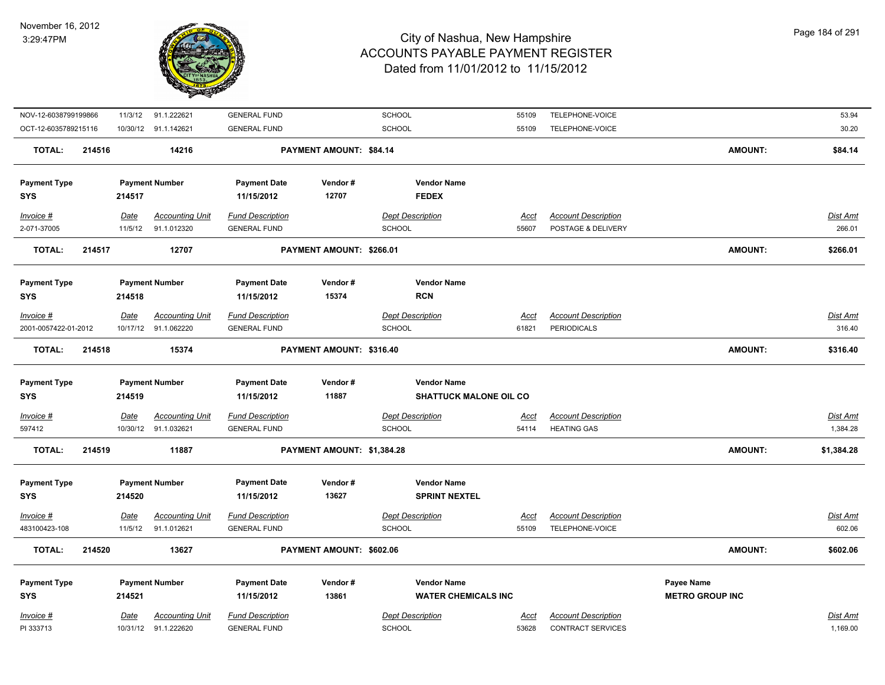

| NOV-12-6038799199866     |        |                 | 11/3/12 91.1.222621                   | <b>GENERAL FUND</b>                            |                            | SCHOOL                                   | 55109                | TELEPHONE-VOICE                                  |                        | 53.94                     |
|--------------------------|--------|-----------------|---------------------------------------|------------------------------------------------|----------------------------|------------------------------------------|----------------------|--------------------------------------------------|------------------------|---------------------------|
| OCT-12-6035789215116     |        |                 | 10/30/12 91.1.142621                  | <b>GENERAL FUND</b>                            |                            | SCHOOL                                   | 55109                | TELEPHONE-VOICE                                  |                        | 30.20                     |
| <b>TOTAL:</b>            | 214516 |                 | 14216                                 |                                                | PAYMENT AMOUNT: \$84.14    |                                          |                      |                                                  | <b>AMOUNT:</b>         | \$84.14                   |
| <b>Payment Type</b>      |        |                 | <b>Payment Number</b>                 | <b>Payment Date</b>                            | Vendor#                    | <b>Vendor Name</b>                       |                      |                                                  |                        |                           |
| <b>SYS</b>               |        | 214517          |                                       | 11/15/2012                                     | 12707                      | <b>FEDEX</b>                             |                      |                                                  |                        |                           |
| Invoice #<br>2-071-37005 |        | Date<br>11/5/12 | <b>Accounting Unit</b><br>91.1.012320 | <b>Fund Description</b><br><b>GENERAL FUND</b> |                            | <b>Dept Description</b><br><b>SCHOOL</b> | <u>Acct</u><br>55607 | <b>Account Description</b><br>POSTAGE & DELIVERY |                        | <u>Dist Amt</u><br>266.01 |
| <b>TOTAL:</b>            | 214517 |                 | 12707                                 |                                                | PAYMENT AMOUNT: \$266.01   |                                          |                      |                                                  | <b>AMOUNT:</b>         | \$266.01                  |
| <b>Payment Type</b>      |        |                 | <b>Payment Number</b>                 | <b>Payment Date</b>                            | Vendor#                    | <b>Vendor Name</b>                       |                      |                                                  |                        |                           |
| <b>SYS</b>               |        | 214518          |                                       | 11/15/2012                                     | 15374                      | <b>RCN</b>                               |                      |                                                  |                        |                           |
| Invoice #                |        | Date            | <b>Accounting Unit</b>                | <b>Fund Description</b>                        |                            | <b>Dept Description</b>                  | <u>Acct</u>          | <b>Account Description</b>                       |                        | <u>Dist Amt</u>           |
| 2001-0057422-01-2012     |        |                 | 10/17/12 91.1.062220                  | <b>GENERAL FUND</b>                            |                            | <b>SCHOOL</b>                            | 61821                | <b>PERIODICALS</b>                               |                        | 316.40                    |
| <b>TOTAL:</b>            | 214518 |                 | 15374                                 |                                                | PAYMENT AMOUNT: \$316.40   |                                          |                      |                                                  | <b>AMOUNT:</b>         | \$316.40                  |
|                          |        |                 |                                       |                                                |                            |                                          |                      |                                                  |                        |                           |
| <b>Payment Type</b>      |        |                 | <b>Payment Number</b>                 | <b>Payment Date</b>                            | Vendor#                    | <b>Vendor Name</b>                       |                      |                                                  |                        |                           |
| <b>SYS</b>               |        | 214519          |                                       | 11/15/2012                                     | 11887                      | <b>SHATTUCK MALONE OIL CO</b>            |                      |                                                  |                        |                           |
| Invoice #                |        | <b>Date</b>     | <b>Accounting Unit</b>                | <b>Fund Description</b>                        |                            | <b>Dept Description</b>                  | <u>Acct</u>          | <b>Account Description</b>                       |                        | <u>Dist Amt</u>           |
| 597412                   |        |                 | 10/30/12 91.1.032621                  | <b>GENERAL FUND</b>                            |                            | SCHOOL                                   | 54114                | <b>HEATING GAS</b>                               |                        | 1,384.28                  |
| <b>TOTAL:</b>            | 214519 |                 | 11887                                 |                                                | PAYMENT AMOUNT: \$1,384.28 |                                          |                      |                                                  | AMOUNT:                | \$1,384.28                |
| <b>Payment Type</b>      |        |                 | <b>Payment Number</b>                 | <b>Payment Date</b>                            | Vendor#                    | <b>Vendor Name</b>                       |                      |                                                  |                        |                           |
| <b>SYS</b>               |        | 214520          |                                       | 11/15/2012                                     | 13627                      | <b>SPRINT NEXTEL</b>                     |                      |                                                  |                        |                           |
| Invoice #                |        | <b>Date</b>     | <b>Accounting Unit</b>                | <b>Fund Description</b>                        |                            | <b>Dept Description</b>                  | Acct                 | <b>Account Description</b>                       |                        | Dist Amt                  |
| 483100423-108            |        | 11/5/12         | 91.1.012621                           | <b>GENERAL FUND</b>                            |                            | <b>SCHOOL</b>                            | 55109                | TELEPHONE-VOICE                                  |                        | 602.06                    |
| <b>TOTAL:</b>            | 214520 |                 | 13627                                 |                                                | PAYMENT AMOUNT: \$602.06   |                                          |                      |                                                  | <b>AMOUNT:</b>         | \$602.06                  |
| <b>Payment Type</b>      |        |                 | <b>Payment Number</b>                 | <b>Payment Date</b>                            | Vendor#                    | <b>Vendor Name</b>                       |                      |                                                  | Payee Name             |                           |
| <b>SYS</b>               |        | 214521          |                                       | 11/15/2012                                     | 13861                      | <b>WATER CHEMICALS INC</b>               |                      |                                                  | <b>METRO GROUP INC</b> |                           |
| Invoice #                |        | Date            | <b>Accounting Unit</b>                | <b>Fund Description</b>                        |                            | <b>Dept Description</b>                  | Acct                 | <b>Account Description</b>                       |                        | Dist Amt                  |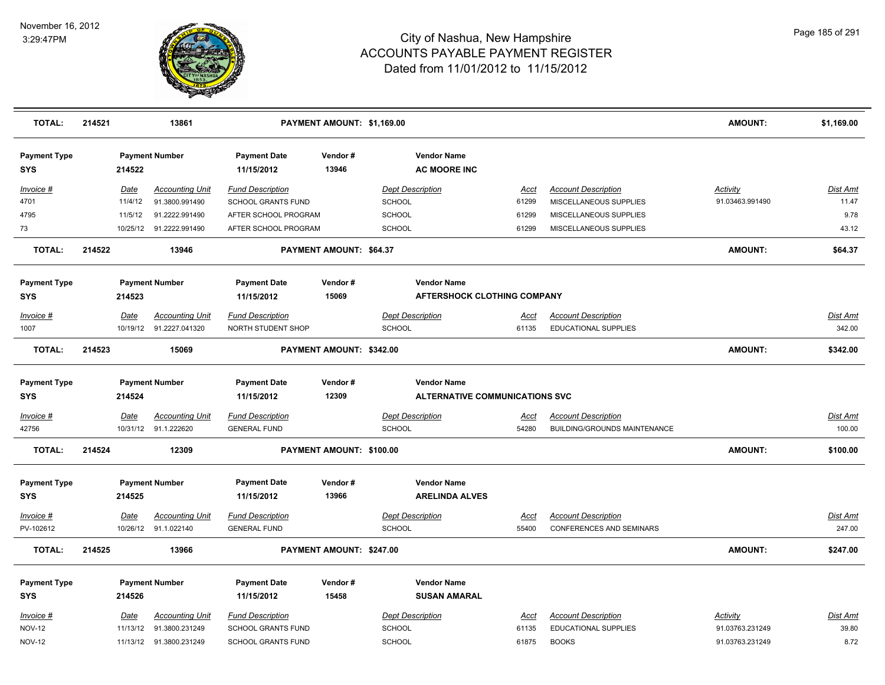

| <b>TOTAL:</b>                     | 214521 |                  | 13861                                    |                                                      | PAYMENT AMOUNT: \$1,169.00 |                                          |                                             |               |                                                           | <b>AMOUNT:</b>                     | \$1,169.00                |
|-----------------------------------|--------|------------------|------------------------------------------|------------------------------------------------------|----------------------------|------------------------------------------|---------------------------------------------|---------------|-----------------------------------------------------------|------------------------------------|---------------------------|
| <b>Payment Type</b><br>SYS        |        | 214522           | <b>Payment Number</b>                    | <b>Payment Date</b><br>11/15/2012                    | Vendor#<br>13946           |                                          | <b>Vendor Name</b><br><b>AC MOORE INC</b>   |               |                                                           |                                    |                           |
| Invoice #<br>4701                 |        | Date<br>11/4/12  | <b>Accounting Unit</b><br>91.3800.991490 | <b>Fund Description</b><br><b>SCHOOL GRANTS FUND</b> |                            | <b>Dept Description</b><br><b>SCHOOL</b> |                                             | Acct<br>61299 | <b>Account Description</b><br>MISCELLANEOUS SUPPLIES      | <b>Activity</b><br>91.03463.991490 | Dist Amt<br>11.47         |
| 4795                              |        | 11/5/12          | 91.2222.991490                           | AFTER SCHOOL PROGRAM                                 |                            | <b>SCHOOL</b>                            |                                             | 61299         | MISCELLANEOUS SUPPLIES                                    |                                    | 9.78                      |
| 73                                |        | 10/25/12         | 91.2222.991490                           | AFTER SCHOOL PROGRAM                                 |                            | SCHOOL                                   |                                             | 61299         | MISCELLANEOUS SUPPLIES                                    |                                    | 43.12                     |
| <b>TOTAL:</b>                     | 214522 |                  | 13946                                    |                                                      | PAYMENT AMOUNT: \$64.37    |                                          |                                             |               |                                                           | <b>AMOUNT:</b>                     | \$64.37                   |
| <b>Payment Type</b>               |        |                  | <b>Payment Number</b>                    | <b>Payment Date</b>                                  | Vendor#                    |                                          | <b>Vendor Name</b>                          |               |                                                           |                                    |                           |
| <b>SYS</b>                        |        | 214523           |                                          | 11/15/2012                                           | 15069                      |                                          | <b>AFTERSHOCK CLOTHING COMPANY</b>          |               |                                                           |                                    |                           |
| Invoice #<br>1007                 |        | Date<br>10/19/12 | <b>Accounting Unit</b><br>91.2227.041320 | <b>Fund Description</b><br>NORTH STUDENT SHOP        |                            | <b>Dept Description</b><br>SCHOOL        |                                             | Acct<br>61135 | <b>Account Description</b><br><b>EDUCATIONAL SUPPLIES</b> |                                    | <b>Dist Amt</b><br>342.00 |
| TOTAL:                            | 214523 |                  | 15069                                    |                                                      | PAYMENT AMOUNT: \$342.00   |                                          |                                             |               |                                                           | <b>AMOUNT:</b>                     | \$342.00                  |
| <b>Payment Type</b>               |        |                  | <b>Payment Number</b>                    | <b>Payment Date</b>                                  | Vendor#                    |                                          | <b>Vendor Name</b>                          |               |                                                           |                                    |                           |
| SYS                               |        | 214524           |                                          | 11/15/2012                                           | 12309                      |                                          | <b>ALTERNATIVE COMMUNICATIONS SVC</b>       |               |                                                           |                                    |                           |
| Invoice #                         |        | Date             | <b>Accounting Unit</b>                   | <b>Fund Description</b>                              |                            | <b>Dept Description</b>                  |                                             | <u>Acct</u>   | <b>Account Description</b>                                |                                    | <b>Dist Amt</b>           |
| 42756                             |        | 10/31/12         | 91.1.222620                              | <b>GENERAL FUND</b>                                  |                            | <b>SCHOOL</b>                            |                                             | 54280         | <b>BUILDING/GROUNDS MAINTENANCE</b>                       |                                    | 100.00                    |
| <b>TOTAL:</b>                     | 214524 |                  | 12309                                    |                                                      | PAYMENT AMOUNT: \$100.00   |                                          |                                             |               |                                                           | <b>AMOUNT:</b>                     | \$100.00                  |
| <b>Payment Type</b><br><b>SYS</b> |        | 214525           | <b>Payment Number</b>                    | <b>Payment Date</b><br>11/15/2012                    | Vendor#<br>13966           |                                          | <b>Vendor Name</b><br><b>ARELINDA ALVES</b> |               |                                                           |                                    |                           |
| Invoice #                         |        | Date             | <b>Accounting Unit</b>                   | <b>Fund Description</b>                              |                            | <b>Dept Description</b>                  |                                             | Acct          | <b>Account Description</b>                                |                                    | Dist Amt                  |
| PV-102612                         |        | 10/26/12         | 91.1.022140                              | <b>GENERAL FUND</b>                                  |                            | <b>SCHOOL</b>                            |                                             | 55400         | <b>CONFERENCES AND SEMINARS</b>                           |                                    | 247.00                    |
| <b>TOTAL:</b>                     | 214525 |                  | 13966                                    |                                                      | PAYMENT AMOUNT: \$247.00   |                                          |                                             |               |                                                           | <b>AMOUNT:</b>                     | \$247.00                  |
| <b>Payment Type</b>               |        |                  | <b>Payment Number</b>                    | <b>Payment Date</b>                                  | Vendor#                    |                                          | <b>Vendor Name</b>                          |               |                                                           |                                    |                           |
| <b>SYS</b>                        |        | 214526           |                                          | 11/15/2012                                           | 15458                      |                                          | <b>SUSAN AMARAL</b>                         |               |                                                           |                                    |                           |
| Invoice #                         |        | Date             | <b>Accounting Unit</b>                   | <b>Fund Description</b>                              |                            | <b>Dept Description</b>                  |                                             | Acct          | <b>Account Description</b>                                | <b>Activity</b>                    | Dist Amt                  |
| <b>NOV-12</b>                     |        | 11/13/12         | 91.3800.231249                           | <b>SCHOOL GRANTS FUND</b>                            |                            | <b>SCHOOL</b>                            |                                             | 61135         | <b>EDUCATIONAL SUPPLIES</b>                               | 91.03763.231249                    | 39.80                     |
| <b>NOV-12</b>                     |        |                  | 11/13/12  91.3800.231249                 | <b>SCHOOL GRANTS FUND</b>                            |                            | SCHOOL                                   |                                             | 61875         | <b>BOOKS</b>                                              | 91.03763.231249                    | 8.72                      |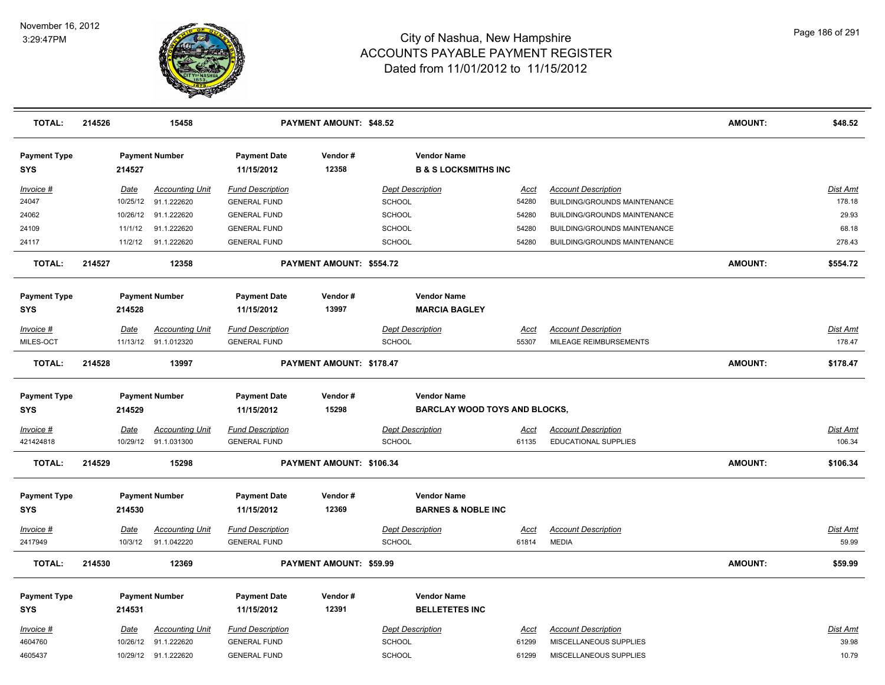

| <b>TOTAL:</b>                     | 214526      |          | 15458                  |                                   | <b>PAYMENT AMOUNT: \$48.52</b> |                         |                                                       |             |                                     | <b>AMOUNT:</b> | \$48.52         |
|-----------------------------------|-------------|----------|------------------------|-----------------------------------|--------------------------------|-------------------------|-------------------------------------------------------|-------------|-------------------------------------|----------------|-----------------|
| <b>Payment Type</b><br><b>SYS</b> | 214527      |          | <b>Payment Number</b>  | <b>Payment Date</b><br>11/15/2012 | Vendor#<br>12358               |                         | <b>Vendor Name</b><br><b>B &amp; S LOCKSMITHS INC</b> |             |                                     |                |                 |
| Invoice #                         | Date        |          | <b>Accounting Unit</b> | <b>Fund Description</b>           |                                | <b>Dept Description</b> |                                                       | Acct        | <b>Account Description</b>          |                | Dist Amt        |
| 24047                             |             | 10/25/12 | 91.1.222620            | <b>GENERAL FUND</b>               |                                | <b>SCHOOL</b>           |                                                       | 54280       | <b>BUILDING/GROUNDS MAINTENANCE</b> |                | 178.18          |
| 24062                             |             | 10/26/12 | 91.1.222620            | <b>GENERAL FUND</b>               |                                | <b>SCHOOL</b>           |                                                       | 54280       | <b>BUILDING/GROUNDS MAINTENANCE</b> |                | 29.93           |
| 24109                             | 11/1/12     |          | 91.1.222620            | <b>GENERAL FUND</b>               |                                | SCHOOL                  |                                                       | 54280       | <b>BUILDING/GROUNDS MAINTENANCE</b> |                | 68.18           |
| 24117                             |             | 11/2/12  | 91.1.222620            | <b>GENERAL FUND</b>               |                                | <b>SCHOOL</b>           |                                                       | 54280       | <b>BUILDING/GROUNDS MAINTENANCE</b> |                | 278.43          |
| <b>TOTAL:</b>                     | 214527      |          | 12358                  |                                   | PAYMENT AMOUNT: \$554.72       |                         |                                                       |             |                                     | <b>AMOUNT:</b> | \$554.72        |
| <b>Payment Type</b>               |             |          | <b>Payment Number</b>  | <b>Payment Date</b>               | Vendor#                        |                         | <b>Vendor Name</b>                                    |             |                                     |                |                 |
| <b>SYS</b>                        | 214528      |          |                        | 11/15/2012                        | 13997                          |                         | <b>MARCIA BAGLEY</b>                                  |             |                                     |                |                 |
| Invoice #                         | Date        |          | <b>Accounting Unit</b> | <b>Fund Description</b>           |                                | <b>Dept Description</b> |                                                       | Acct        | <b>Account Description</b>          |                | Dist Amt        |
| MILES-OCT                         |             |          | 11/13/12 91.1.012320   | <b>GENERAL FUND</b>               |                                | SCHOOL                  |                                                       | 55307       | MILEAGE REIMBURSEMENTS              |                | 178.47          |
| <b>TOTAL:</b>                     | 214528      |          | 13997                  |                                   | PAYMENT AMOUNT: \$178.47       |                         |                                                       |             |                                     | <b>AMOUNT:</b> | \$178.47        |
| <b>Payment Type</b>               |             |          | <b>Payment Number</b>  | <b>Payment Date</b>               | Vendor#                        |                         | <b>Vendor Name</b>                                    |             |                                     |                |                 |
| SYS                               | 214529      |          |                        | 11/15/2012                        | 15298                          |                         | <b>BARCLAY WOOD TOYS AND BLOCKS,</b>                  |             |                                     |                |                 |
| Invoice #                         | <u>Date</u> |          | <b>Accounting Unit</b> | <b>Fund Description</b>           |                                | <b>Dept Description</b> |                                                       | <u>Acct</u> | <b>Account Description</b>          |                | <b>Dist Amt</b> |
| 421424818                         |             | 10/29/12 | 91.1.031300            | <b>GENERAL FUND</b>               |                                | <b>SCHOOL</b>           |                                                       | 61135       | EDUCATIONAL SUPPLIES                |                | 106.34          |
| <b>TOTAL:</b>                     | 214529      |          | 15298                  |                                   | PAYMENT AMOUNT: \$106.34       |                         |                                                       |             |                                     | <b>AMOUNT:</b> | \$106.34        |
| <b>Payment Type</b>               |             |          | <b>Payment Number</b>  | <b>Payment Date</b>               | Vendor#                        |                         | <b>Vendor Name</b>                                    |             |                                     |                |                 |
| <b>SYS</b>                        | 214530      |          |                        | 11/15/2012                        | 12369                          |                         | <b>BARNES &amp; NOBLE INC</b>                         |             |                                     |                |                 |
| Invoice #                         | Date        |          | <b>Accounting Unit</b> | <b>Fund Description</b>           |                                | <b>Dept Description</b> |                                                       | <u>Acct</u> | <b>Account Description</b>          |                | <b>Dist Amt</b> |
| 2417949                           |             | 10/3/12  | 91.1.042220            | <b>GENERAL FUND</b>               |                                | SCHOOL                  |                                                       | 61814       | <b>MEDIA</b>                        |                | 59.99           |
| <b>TOTAL:</b>                     | 214530      |          | 12369                  |                                   | PAYMENT AMOUNT: \$59.99        |                         |                                                       |             |                                     | <b>AMOUNT:</b> | \$59.99         |
|                                   |             |          |                        |                                   |                                |                         |                                                       |             |                                     |                |                 |
| <b>Payment Type</b><br><b>SYS</b> | 214531      |          | <b>Payment Number</b>  | <b>Payment Date</b><br>11/15/2012 | Vendor#<br>12391               |                         | <b>Vendor Name</b><br><b>BELLETETES INC</b>           |             |                                     |                |                 |
|                                   |             |          |                        |                                   |                                |                         |                                                       |             |                                     |                |                 |
| Invoice #                         | Date        |          | <b>Accounting Unit</b> | <b>Fund Description</b>           |                                | <b>Dept Description</b> |                                                       | Acct        | <b>Account Description</b>          |                | <b>Dist Amt</b> |
| 4604760                           |             | 10/26/12 | 91.1.222620            | <b>GENERAL FUND</b>               |                                | <b>SCHOOL</b>           |                                                       | 61299       | MISCELLANEOUS SUPPLIES              |                | 39.98           |
| 4605437                           |             |          | 10/29/12 91.1.222620   | <b>GENERAL FUND</b>               |                                | <b>SCHOOL</b>           |                                                       | 61299       | MISCELLANEOUS SUPPLIES              |                | 10.79           |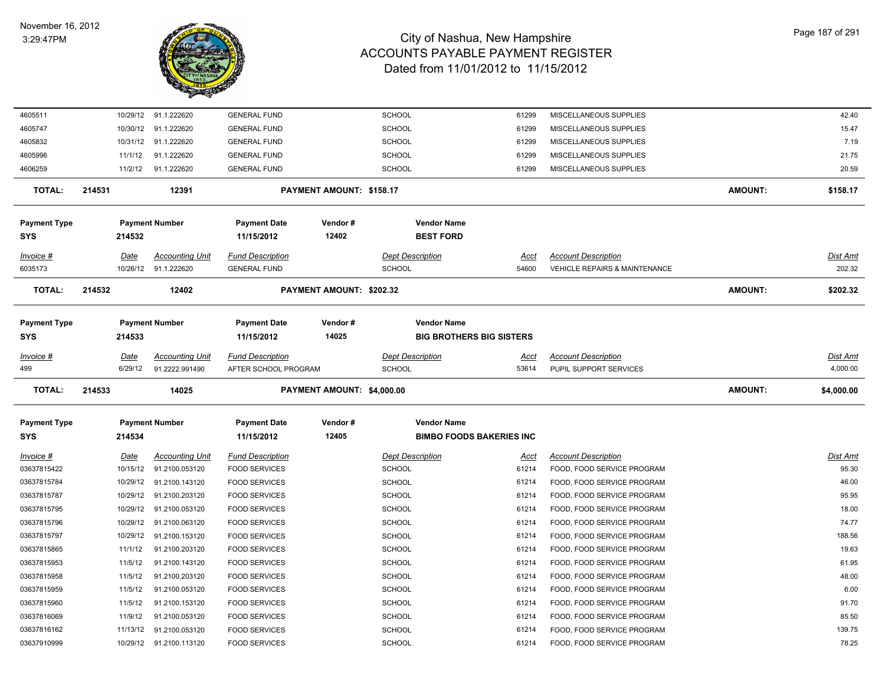

| 4605511                    |        |             | 10/29/12 91.1.222620    | <b>GENERAL FUND</b>               |                            | <b>SCHOOL</b>                                         | 61299       | MISCELLANEOUS SUPPLIES                   |                | 42.40           |
|----------------------------|--------|-------------|-------------------------|-----------------------------------|----------------------------|-------------------------------------------------------|-------------|------------------------------------------|----------------|-----------------|
| 4605747                    |        | 10/30/12    | 91.1.222620             | <b>GENERAL FUND</b>               |                            | SCHOOL                                                | 61299       | MISCELLANEOUS SUPPLIES                   |                | 15.47           |
| 4605832                    |        |             | 10/31/12 91.1.222620    | <b>GENERAL FUND</b>               |                            | SCHOOL                                                | 61299       | MISCELLANEOUS SUPPLIES                   |                | 7.19            |
| 4605996                    |        | 11/1/12     | 91.1.222620             | <b>GENERAL FUND</b>               |                            | SCHOOL                                                | 61299       | MISCELLANEOUS SUPPLIES                   |                | 21.75           |
| 4606259                    |        | 11/2/12     | 91.1.222620             | <b>GENERAL FUND</b>               |                            | <b>SCHOOL</b>                                         | 61299       | MISCELLANEOUS SUPPLIES                   |                | 20.59           |
| <b>TOTAL:</b>              | 214531 |             | 12391                   |                                   | PAYMENT AMOUNT: \$158.17   |                                                       |             |                                          | AMOUNT:        | \$158.17        |
| <b>Payment Type</b>        |        |             | <b>Payment Number</b>   | <b>Payment Date</b>               | Vendor#                    | <b>Vendor Name</b>                                    |             |                                          |                |                 |
| SYS                        |        | 214532      |                         | 11/15/2012                        | 12402                      | <b>BEST FORD</b>                                      |             |                                          |                |                 |
| Invoice #                  |        | Date        | <b>Accounting Unit</b>  | <b>Fund Description</b>           |                            | <b>Dept Description</b>                               | Acct        | <b>Account Description</b>               |                | <b>Dist Amt</b> |
| 6035173                    |        |             | 10/26/12 91.1.222620    | <b>GENERAL FUND</b>               |                            | <b>SCHOOL</b>                                         | 54600       | <b>VEHICLE REPAIRS &amp; MAINTENANCE</b> |                | 202.32          |
| <b>TOTAL:</b>              | 214532 |             | 12402                   |                                   | PAYMENT AMOUNT: \$202.32   |                                                       |             |                                          | AMOUNT:        | \$202.32        |
| <b>Payment Type</b>        |        |             | <b>Payment Number</b>   | <b>Payment Date</b>               | Vendor#                    | <b>Vendor Name</b>                                    |             |                                          |                |                 |
| <b>SYS</b>                 |        | 214533      |                         | 11/15/2012                        | 14025                      | <b>BIG BROTHERS BIG SISTERS</b>                       |             |                                          |                |                 |
| Invoice #                  |        | <u>Date</u> | Accounting Unit         | <b>Fund Description</b>           |                            | <b>Dept Description</b>                               | Acct        | <b>Account Description</b>               |                | Dist Amt        |
| 499                        |        | 6/29/12     | 91.2222.991490          | AFTER SCHOOL PROGRAM              |                            | <b>SCHOOL</b>                                         | 53614       | PUPIL SUPPORT SERVICES                   |                | 4,000.00        |
|                            |        |             |                         |                                   |                            |                                                       |             |                                          |                |                 |
| <b>TOTAL:</b>              | 214533 |             | 14025                   |                                   | PAYMENT AMOUNT: \$4,000.00 |                                                       |             |                                          | <b>AMOUNT:</b> | \$4,000.00      |
|                            |        |             |                         |                                   |                            |                                                       |             |                                          |                |                 |
| <b>Payment Type</b><br>SYS |        | 214534      | <b>Payment Number</b>   | <b>Payment Date</b><br>11/15/2012 | Vendor#<br>12405           | <b>Vendor Name</b><br><b>BIMBO FOODS BAKERIES INC</b> |             |                                          |                |                 |
| Invoice #                  |        | <u>Date</u> | <u>Accounting Unit</u>  | <b>Fund Description</b>           |                            | <b>Dept Description</b>                               | <u>Acct</u> | <b>Account Description</b>               |                | <b>Dist Amt</b> |
| 03637815422                |        |             | 10/15/12 91.2100.053120 | <b>FOOD SERVICES</b>              |                            | SCHOOL                                                | 61214       | FOOD, FOOD SERVICE PROGRAM               |                | 95.30           |
| 03637815784                |        | 10/29/12    | 91.2100.143120          | <b>FOOD SERVICES</b>              |                            | <b>SCHOOL</b>                                         | 61214       | FOOD, FOOD SERVICE PROGRAM               |                | 46.00           |
| 03637815787                |        | 10/29/12    | 91.2100.203120          | <b>FOOD SERVICES</b>              |                            | SCHOOL                                                | 61214       | FOOD, FOOD SERVICE PROGRAM               |                | 95.95           |
| 03637815795                |        | 10/29/12    | 91.2100.053120          | <b>FOOD SERVICES</b>              |                            | <b>SCHOOL</b>                                         | 61214       | FOOD, FOOD SERVICE PROGRAM               |                | 18.00           |
| 03637815796                |        | 10/29/12    | 91.2100.063120          | <b>FOOD SERVICES</b>              |                            | SCHOOL                                                | 61214       | FOOD, FOOD SERVICE PROGRAM               |                | 74.77           |
| 03637815797                |        | 10/29/12    | 91.2100.153120          | <b>FOOD SERVICES</b>              |                            | SCHOOL                                                | 61214       | FOOD, FOOD SERVICE PROGRAM               |                | 188.56          |
| 03637815865                |        | 11/1/12     | 91.2100.203120          | <b>FOOD SERVICES</b>              |                            | <b>SCHOOL</b>                                         | 61214       | FOOD, FOOD SERVICE PROGRAM               |                | 19.63           |
| 03637815953                |        | 11/5/12     | 91.2100.143120          | <b>FOOD SERVICES</b>              |                            | <b>SCHOOL</b>                                         | 61214       | FOOD, FOOD SERVICE PROGRAM               |                | 61.95           |
| 03637815958                |        | 11/5/12     | 91.2100.203120          | <b>FOOD SERVICES</b>              |                            | <b>SCHOOL</b>                                         | 61214       | FOOD, FOOD SERVICE PROGRAM               |                | 48.00           |
| 03637815959                |        | 11/5/12     | 91.2100.053120          | <b>FOOD SERVICES</b>              |                            | <b>SCHOOL</b>                                         | 61214       | FOOD, FOOD SERVICE PROGRAM               |                | 6.00            |
| 03637815960                |        | 11/5/12     | 91.2100.153120          | <b>FOOD SERVICES</b>              |                            | <b>SCHOOL</b>                                         | 61214       | FOOD, FOOD SERVICE PROGRAM               |                | 91.70           |
| 03637816069                |        | 11/9/12     | 91.2100.053120          | <b>FOOD SERVICES</b>              |                            | SCHOOL                                                | 61214       | FOOD, FOOD SERVICE PROGRAM               |                | 85.50           |
| 03637816162                |        | 11/13/12    | 91.2100.053120          | <b>FOOD SERVICES</b>              |                            | SCHOOL                                                | 61214       | FOOD, FOOD SERVICE PROGRAM               |                | 139.75          |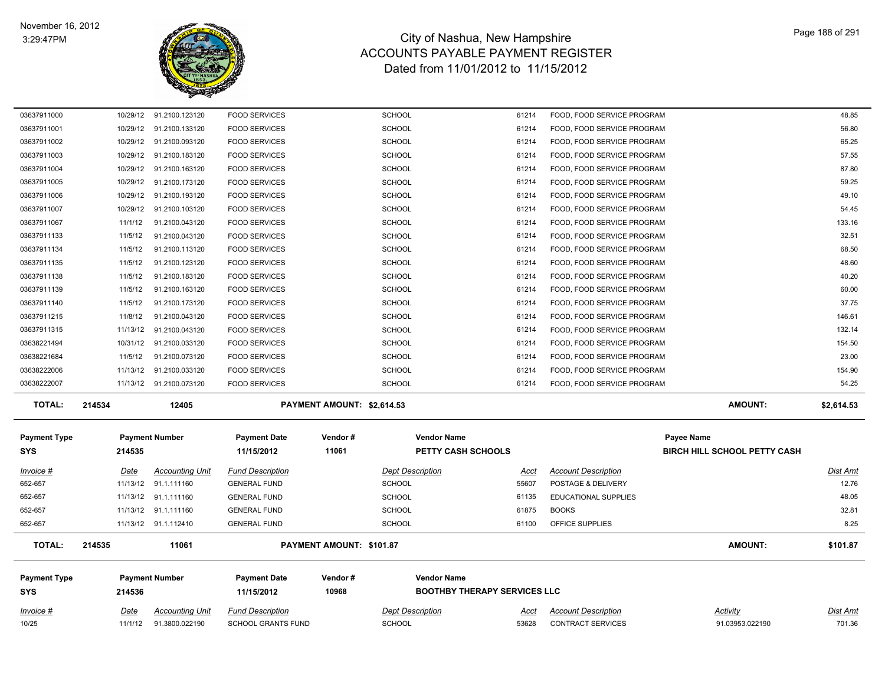

| Invoice #                         | Date               | <b>Accounting Unit</b>           | <b>Fund Description</b>                      |                            | <b>Dept Description</b>                                   | Acct           | <b>Account Description</b>                               | Activity                            | Dist Amt       |
|-----------------------------------|--------------------|----------------------------------|----------------------------------------------|----------------------------|-----------------------------------------------------------|----------------|----------------------------------------------------------|-------------------------------------|----------------|
| <b>Payment Type</b><br><b>SYS</b> | 214536             | <b>Payment Number</b>            | <b>Payment Date</b><br>11/15/2012            | Vendor#<br>10968           | <b>Vendor Name</b><br><b>BOOTHBY THERAPY SERVICES LLC</b> |                |                                                          |                                     |                |
| <b>TOTAL:</b>                     | 214535             | 11061                            |                                              | PAYMENT AMOUNT: \$101.87   |                                                           |                |                                                          | <b>AMOUNT:</b>                      | \$101.87       |
| 652-657                           |                    | 11/13/12 91.1.112410             | <b>GENERAL FUND</b>                          |                            | <b>SCHOOL</b>                                             | 61100          | OFFICE SUPPLIES                                          |                                     | 8.25           |
| 652-657                           |                    | 11/13/12 91.1.111160             | <b>GENERAL FUND</b>                          |                            | <b>SCHOOL</b>                                             | 61875          | <b>BOOKS</b>                                             |                                     | 32.81          |
| 652-657                           |                    | 11/13/12 91.1.111160             | <b>GENERAL FUND</b>                          |                            | <b>SCHOOL</b>                                             | 61135          | EDUCATIONAL SUPPLIES                                     |                                     | 48.05          |
| 652-657                           | 11/13/12           | 91.1.111160                      | <b>GENERAL FUND</b>                          |                            | <b>SCHOOL</b>                                             | 55607          | POSTAGE & DELIVERY                                       |                                     | 12.76          |
| Invoice #                         | Date               | <b>Accounting Unit</b>           | <b>Fund Description</b>                      |                            | <b>Dept Description</b>                                   | Acct           | <b>Account Description</b>                               |                                     | Dist Amt       |
| <b>SYS</b>                        | 214535             |                                  | 11/15/2012                                   | 11061                      | PETTY CASH SCHOOLS                                        |                |                                                          | <b>BIRCH HILL SCHOOL PETTY CASH</b> |                |
| <b>Payment Type</b>               |                    | <b>Payment Number</b>            | <b>Payment Date</b>                          | Vendor#                    | <b>Vendor Name</b>                                        |                |                                                          | Payee Name                          |                |
| <b>TOTAL:</b>                     | 214534             | 12405                            |                                              | PAYMENT AMOUNT: \$2,614.53 |                                                           |                |                                                          | <b>AMOUNT:</b>                      | \$2,614.53     |
| 03638222007                       |                    | 11/13/12 91.2100.073120          | <b>FOOD SERVICES</b>                         |                            | SCHOOL                                                    | 61214          | FOOD, FOOD SERVICE PROGRAM                               |                                     | 54.25          |
| 03638222006                       | 11/13/12           | 91.2100.033120                   | <b>FOOD SERVICES</b>                         |                            | <b>SCHOOL</b>                                             | 61214          | FOOD, FOOD SERVICE PROGRAM                               |                                     | 154.90         |
| 03638221684                       | 11/5/12            | 91.2100.073120                   | <b>FOOD SERVICES</b>                         |                            | <b>SCHOOL</b>                                             | 61214          | FOOD, FOOD SERVICE PROGRAM                               |                                     | 23.00          |
| 03638221494                       | 10/31/12           | 91.2100.033120                   | <b>FOOD SERVICES</b>                         |                            | <b>SCHOOL</b>                                             | 61214          | FOOD, FOOD SERVICE PROGRAM                               |                                     | 154.50         |
| 03637911315                       | 11/13/12           | 91.2100.043120                   | <b>FOOD SERVICES</b>                         |                            | <b>SCHOOL</b>                                             | 61214          | FOOD, FOOD SERVICE PROGRAM                               |                                     | 132.14         |
| 03637911215                       | 11/8/12            | 91.2100.043120                   | <b>FOOD SERVICES</b>                         |                            | <b>SCHOOL</b>                                             | 61214          | FOOD, FOOD SERVICE PROGRAM                               |                                     | 146.61         |
| 03637911140                       | 11/5/12            | 91.2100.173120                   | <b>FOOD SERVICES</b>                         |                            | <b>SCHOOL</b>                                             | 61214          | FOOD, FOOD SERVICE PROGRAM                               |                                     | 37.75          |
| 03637911139                       | 11/5/12            | 91.2100.163120                   | <b>FOOD SERVICES</b>                         |                            | <b>SCHOOL</b>                                             | 61214          | FOOD, FOOD SERVICE PROGRAM                               |                                     | 60.00          |
| 03637911138                       | 11/5/12            | 91.2100.183120                   | <b>FOOD SERVICES</b>                         |                            | <b>SCHOOL</b>                                             | 61214          | FOOD, FOOD SERVICE PROGRAM                               |                                     | 40.20          |
| 03637911134<br>03637911135        | 11/5/12<br>11/5/12 | 91.2100.113120<br>91.2100.123120 | <b>FOOD SERVICES</b><br><b>FOOD SERVICES</b> |                            | <b>SCHOOL</b><br><b>SCHOOL</b>                            | 61214<br>61214 | FOOD, FOOD SERVICE PROGRAM<br>FOOD, FOOD SERVICE PROGRAM |                                     | 68.50<br>48.60 |
| 03637911133                       | 11/5/12            | 91.2100.043120                   | <b>FOOD SERVICES</b>                         |                            | <b>SCHOOL</b>                                             | 61214          | FOOD, FOOD SERVICE PROGRAM                               |                                     | 32.51          |
| 03637911067                       | 11/1/12            | 91.2100.043120                   | <b>FOOD SERVICES</b>                         |                            | <b>SCHOOL</b>                                             | 61214          | FOOD, FOOD SERVICE PROGRAM                               |                                     | 133.16         |
| 03637911007                       | 10/29/12           | 91.2100.103120                   | <b>FOOD SERVICES</b>                         |                            | <b>SCHOOL</b>                                             | 61214          | FOOD, FOOD SERVICE PROGRAM                               |                                     | 54.45          |
| 03637911006                       | 10/29/12           | 91.2100.193120                   | <b>FOOD SERVICES</b>                         |                            | <b>SCHOOL</b>                                             | 61214          | FOOD, FOOD SERVICE PROGRAM                               |                                     | 49.10          |
| 03637911005                       | 10/29/12           | 91.2100.173120                   | <b>FOOD SERVICES</b>                         |                            | <b>SCHOOL</b>                                             | 61214          | FOOD, FOOD SERVICE PROGRAM                               |                                     | 59.25          |
| 03637911004                       | 10/29/12           | 91.2100.163120                   | <b>FOOD SERVICES</b>                         |                            | <b>SCHOOL</b>                                             | 61214          | FOOD, FOOD SERVICE PROGRAM                               |                                     | 87.80          |
| 03637911003                       |                    | 10/29/12 91.2100.183120          | <b>FOOD SERVICES</b>                         |                            | <b>SCHOOL</b>                                             | 61214          | FOOD, FOOD SERVICE PROGRAM                               |                                     | 57.55          |
| 03637911002                       |                    | 10/29/12 91.2100.093120          | <b>FOOD SERVICES</b>                         |                            | <b>SCHOOL</b>                                             | 61214          | FOOD, FOOD SERVICE PROGRAM                               |                                     | 65.25          |
| 03637911001                       |                    | 10/29/12 91.2100.133120          | <b>FOOD SERVICES</b>                         |                            | SCHOOL                                                    | 61214          | FOOD, FOOD SERVICE PROGRAM                               |                                     | 56.80          |
| 03637911000                       |                    | 10/29/12 91.2100.123120          | <b>FOOD SERVICES</b>                         |                            | <b>SCHOOL</b>                                             | 61214          | FOOD, FOOD SERVICE PROGRAM                               |                                     | 48.85          |

10/25 11/1/12 91.3800.022190 SCHOOL GRANTS FUND SCHOOL 53628 CONTRACT SERVICES 91.03953.022190 701.36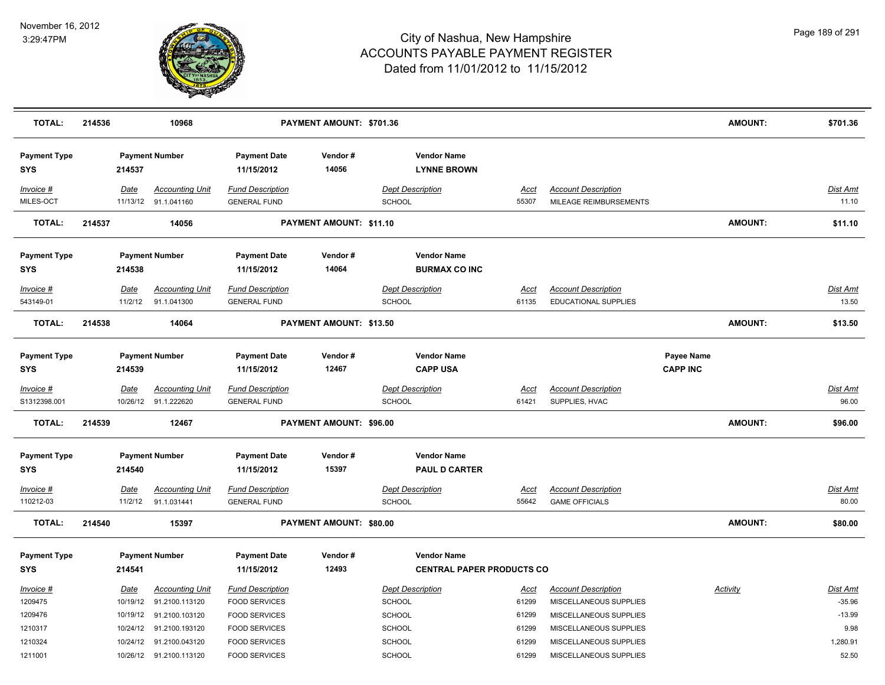

| <b>TOTAL:</b>                     | 214536 |                  | 10968                                          |                                                | PAYMENT AMOUNT: \$701.36 |                                                        |                      |                                                      | <b>AMOUNT:</b>                       | \$701.36          |
|-----------------------------------|--------|------------------|------------------------------------------------|------------------------------------------------|--------------------------|--------------------------------------------------------|----------------------|------------------------------------------------------|--------------------------------------|-------------------|
| <b>Payment Type</b><br><b>SYS</b> |        | 214537           | <b>Payment Number</b>                          | <b>Payment Date</b><br>11/15/2012              | Vendor#<br>14056         | <b>Vendor Name</b><br><b>LYNNE BROWN</b>               |                      |                                                      |                                      |                   |
| Invoice #<br>MILES-OCT            |        | Date             | <b>Accounting Unit</b><br>11/13/12 91.1.041160 | <b>Fund Description</b><br><b>GENERAL FUND</b> |                          | <b>Dept Description</b><br>SCHOOL                      | Acct<br>55307        | <b>Account Description</b><br>MILEAGE REIMBURSEMENTS |                                      | Dist Amt<br>11.10 |
| <b>TOTAL:</b>                     | 214537 |                  | 14056                                          |                                                | PAYMENT AMOUNT: \$11.10  |                                                        |                      |                                                      | <b>AMOUNT:</b>                       | \$11.10           |
| <b>Payment Type</b><br><b>SYS</b> |        | 214538           | <b>Payment Number</b>                          | <b>Payment Date</b><br>11/15/2012              | Vendor#<br>14064         | <b>Vendor Name</b><br><b>BURMAX CO INC</b>             |                      |                                                      |                                      |                   |
| $Invoice$ #                       |        | <b>Date</b>      | <b>Accounting Unit</b>                         | <b>Fund Description</b>                        |                          | <b>Dept Description</b>                                | <u>Acct</u>          | <b>Account Description</b>                           |                                      | <u>Dist Amt</u>   |
| 543149-01                         |        | 11/2/12          | 91.1.041300                                    | <b>GENERAL FUND</b>                            |                          | <b>SCHOOL</b>                                          | 61135                | <b>EDUCATIONAL SUPPLIES</b>                          |                                      | 13.50             |
| <b>TOTAL:</b>                     | 214538 |                  | 14064                                          |                                                | PAYMENT AMOUNT: \$13.50  |                                                        |                      |                                                      | <b>AMOUNT:</b>                       | \$13.50           |
| <b>Payment Type</b><br><b>SYS</b> |        | 214539           | <b>Payment Number</b>                          | <b>Payment Date</b><br>11/15/2012              | Vendor #<br>12467        | <b>Vendor Name</b><br><b>CAPP USA</b>                  |                      |                                                      | <b>Payee Name</b><br><b>CAPP INC</b> |                   |
| $Invoice$ #<br>S1312398.001       |        | Date<br>10/26/12 | <b>Accounting Unit</b><br>91.1.222620          | <b>Fund Description</b><br><b>GENERAL FUND</b> |                          | <b>Dept Description</b><br>SCHOOL                      | <b>Acct</b><br>61421 | <b>Account Description</b><br>SUPPLIES, HVAC         |                                      | Dist Amt<br>96.00 |
| <b>TOTAL:</b>                     | 214539 |                  | 12467                                          |                                                | PAYMENT AMOUNT: \$96.00  |                                                        |                      |                                                      | <b>AMOUNT:</b>                       | \$96.00           |
| <b>Payment Type</b><br><b>SYS</b> |        | 214540           | <b>Payment Number</b>                          | <b>Payment Date</b><br>11/15/2012              | Vendor#<br>15397         | <b>Vendor Name</b><br><b>PAUL D CARTER</b>             |                      |                                                      |                                      |                   |
| $Invoice$ #                       |        | Date             | <b>Accounting Unit</b>                         | <b>Fund Description</b>                        |                          | <b>Dept Description</b>                                | Acct                 | <b>Account Description</b>                           |                                      | Dist Amt          |
| 110212-03                         |        | 11/2/12          | 91.1.031441                                    | <b>GENERAL FUND</b>                            |                          | SCHOOL                                                 | 55642                | <b>GAME OFFICIALS</b>                                |                                      | 80.00             |
| <b>TOTAL:</b>                     | 214540 |                  | 15397                                          |                                                | PAYMENT AMOUNT: \$80.00  |                                                        |                      |                                                      | <b>AMOUNT:</b>                       | \$80.00           |
| <b>Payment Type</b><br><b>SYS</b> |        | 214541           | <b>Payment Number</b>                          | <b>Payment Date</b><br>11/15/2012              | Vendor#<br>12493         | <b>Vendor Name</b><br><b>CENTRAL PAPER PRODUCTS CO</b> |                      |                                                      |                                      |                   |
| Invoice #                         |        | Date             | <b>Accounting Unit</b>                         | <b>Fund Description</b>                        |                          | <b>Dept Description</b>                                | <u>Acct</u>          | <b>Account Description</b>                           | <b>Activity</b>                      | <u>Dist Amt</u>   |
| 1209475                           |        | 10/19/12         | 91.2100.113120                                 | <b>FOOD SERVICES</b>                           |                          | <b>SCHOOL</b>                                          | 61299                | MISCELLANEOUS SUPPLIES                               |                                      | $-35.96$          |
| 1209476                           |        | 10/19/12         | 91.2100.103120                                 | <b>FOOD SERVICES</b>                           |                          | SCHOOL                                                 | 61299                | MISCELLANEOUS SUPPLIES                               |                                      | $-13.99$          |
| 1210317                           |        | 10/24/12         | 91.2100.193120                                 | <b>FOOD SERVICES</b>                           |                          | SCHOOL                                                 | 61299                | MISCELLANEOUS SUPPLIES                               |                                      | 9.98              |
| 1210324                           |        | 10/24/12         | 91.2100.043120                                 | <b>FOOD SERVICES</b>                           |                          | SCHOOL                                                 | 61299                | MISCELLANEOUS SUPPLIES                               |                                      | 1,280.91          |
| 1211001                           |        |                  | 10/26/12 91.2100.113120                        | <b>FOOD SERVICES</b>                           |                          | SCHOOL                                                 | 61299                | MISCELLANEOUS SUPPLIES                               |                                      | 52.50             |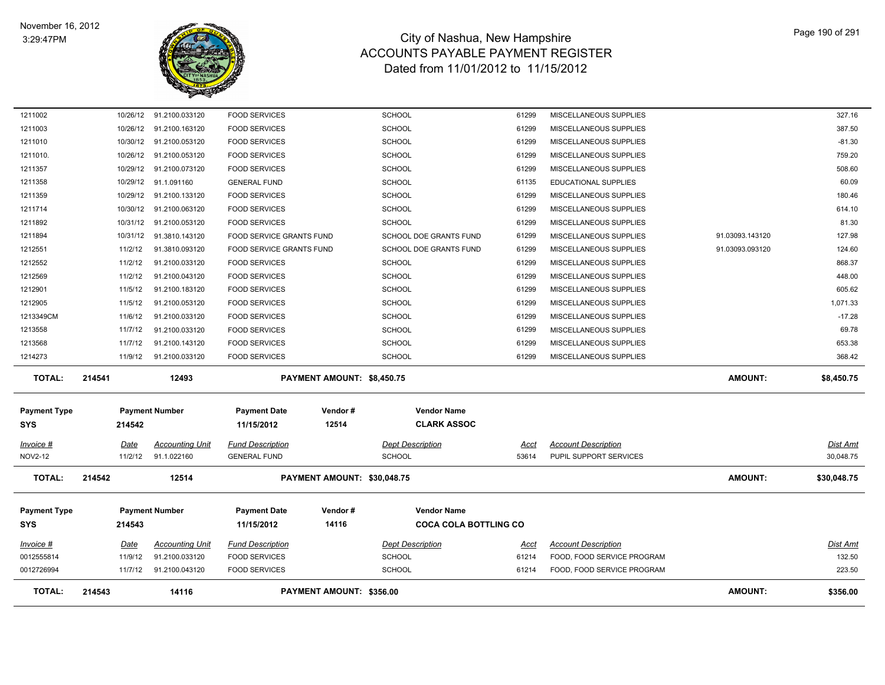

| <b>TOTAL:</b>                      | 214543 |                        | 14116                                 |                                                  | PAYMENT AMOUNT: \$356.00    |                                                    |                      |                                                      | <b>AMOUNT:</b>  | \$356.00                     |
|------------------------------------|--------|------------------------|---------------------------------------|--------------------------------------------------|-----------------------------|----------------------------------------------------|----------------------|------------------------------------------------------|-----------------|------------------------------|
| 0012726994                         |        | 11/7/12                | 91.2100.043120                        | <b>FOOD SERVICES</b>                             |                             | <b>SCHOOL</b>                                      | 61214                | FOOD, FOOD SERVICE PROGRAM                           |                 | 223.50                       |
| 0012555814                         |        | 11/9/12                | 91.2100.033120                        | <b>FOOD SERVICES</b>                             |                             | <b>SCHOOL</b>                                      | 61214                | FOOD, FOOD SERVICE PROGRAM                           |                 | 132.50                       |
| Invoice #                          |        | Date                   | Accounting Unit                       | <b>Fund Description</b>                          |                             | <b>Dept Description</b>                            | Acct                 | <b>Account Description</b>                           |                 | Dist Amt                     |
| <b>Payment Type</b><br><b>SYS</b>  |        | 214543                 | <b>Payment Number</b>                 | <b>Payment Date</b><br>11/15/2012                | Vendor#<br>14116            | <b>Vendor Name</b><br><b>COCA COLA BOTTLING CO</b> |                      |                                                      |                 |                              |
| <b>TOTAL:</b>                      | 214542 |                        | 12514                                 |                                                  | PAYMENT AMOUNT: \$30,048.75 |                                                    |                      |                                                      | <b>AMOUNT:</b>  | \$30,048.75                  |
| <u>Invoice #</u><br><b>NOV2-12</b> |        | <u>Date</u><br>11/2/12 | <b>Accounting Unit</b><br>91.1.022160 | <b>Fund Description</b><br><b>GENERAL FUND</b>   |                             | <b>Dept Description</b><br><b>SCHOOL</b>           | <u>Acct</u><br>53614 | <b>Account Description</b><br>PUPIL SUPPORT SERVICES |                 | <u>Dist Amt</u><br>30,048.75 |
| <b>Payment Type</b><br><b>SYS</b>  |        | 214542                 | <b>Payment Number</b>                 | <b>Payment Date</b><br>11/15/2012                | Vendor#<br>12514            | <b>Vendor Name</b><br><b>CLARK ASSOC</b>           |                      |                                                      |                 |                              |
| TOTAL:                             | 214541 |                        | 12493                                 |                                                  | PAYMENT AMOUNT: \$8,450.75  |                                                    |                      |                                                      | <b>AMOUNT:</b>  | \$8,450.75                   |
| 1214273                            |        | 11/9/12                | 91.2100.033120                        | <b>FOOD SERVICES</b>                             |                             | <b>SCHOOL</b>                                      | 61299                | MISCELLANEOUS SUPPLIES                               |                 | 368.42                       |
| 1213568                            |        | 11/7/12                | 91.2100.143120                        | <b>FOOD SERVICES</b>                             |                             | <b>SCHOOL</b>                                      | 61299                | MISCELLANEOUS SUPPLIES                               |                 | 653.38                       |
| 1213558                            |        | 11/7/12                | 91.2100.033120                        | <b>FOOD SERVICES</b>                             |                             | <b>SCHOOL</b>                                      | 61299                | MISCELLANEOUS SUPPLIES                               |                 | 69.78                        |
| 1213349CM                          |        | 11/6/12                | 91.2100.033120                        | <b>FOOD SERVICES</b>                             |                             | <b>SCHOOL</b>                                      | 61299                | MISCELLANEOUS SUPPLIES                               |                 | $-17.28$                     |
| 1212905                            |        | 11/5/12                | 91.2100.053120                        | <b>FOOD SERVICES</b>                             |                             | <b>SCHOOL</b>                                      | 61299                | MISCELLANEOUS SUPPLIES                               |                 | 1,071.33                     |
| 1212901                            |        | 11/5/12                | 91.2100.183120                        | <b>FOOD SERVICES</b>                             |                             | <b>SCHOOL</b>                                      | 61299                | MISCELLANEOUS SUPPLIES                               |                 | 605.62                       |
| 1212552<br>1212569                 |        | 11/2/12                | 91.2100.043120                        | <b>FOOD SERVICES</b>                             |                             | <b>SCHOOL</b><br><b>SCHOOL</b>                     | 61299                | MISCELLANEOUS SUPPLIES                               |                 | 448.00                       |
| 1212551                            |        | 11/2/12<br>11/2/12     | 91.3810.093120<br>91.2100.033120      | FOOD SERVICE GRANTS FUND<br><b>FOOD SERVICES</b> |                             | SCHOOL DOE GRANTS FUND                             | 61299<br>61299       | MISCELLANEOUS SUPPLIES<br>MISCELLANEOUS SUPPLIES     | 91.03093.093120 | 124.60<br>868.37             |
| 1211894                            |        | 10/31/12               | 91.3810.143120                        | FOOD SERVICE GRANTS FUND                         |                             | SCHOOL DOE GRANTS FUND                             | 61299                | MISCELLANEOUS SUPPLIES                               | 91.03093.143120 | 127.98                       |
| 1211892                            |        |                        | 10/31/12 91.2100.053120               | <b>FOOD SERVICES</b>                             |                             | <b>SCHOOL</b>                                      | 61299                | MISCELLANEOUS SUPPLIES                               |                 | 81.30                        |
| 1211714                            |        | 10/30/12               | 91.2100.063120                        | <b>FOOD SERVICES</b>                             |                             | <b>SCHOOL</b>                                      | 61299                | MISCELLANEOUS SUPPLIES                               |                 | 614.10                       |
| 1211359                            |        | 10/29/12               | 91.2100.133120                        | <b>FOOD SERVICES</b>                             |                             | <b>SCHOOL</b>                                      | 61299                | MISCELLANEOUS SUPPLIES                               |                 | 180.46                       |
| 1211358                            |        | 10/29/12               | 91.1.091160                           | <b>GENERAL FUND</b>                              |                             | <b>SCHOOL</b>                                      | 61135                | EDUCATIONAL SUPPLIES                                 |                 | 60.09                        |
| 1211357                            |        | 10/29/12               | 91.2100.073120                        | <b>FOOD SERVICES</b>                             |                             | <b>SCHOOL</b>                                      | 61299                | MISCELLANEOUS SUPPLIES                               |                 | 508.60                       |
| 1211010.                           |        |                        | 10/26/12 91.2100.053120               | <b>FOOD SERVICES</b>                             |                             | <b>SCHOOL</b>                                      | 61299                | MISCELLANEOUS SUPPLIES                               |                 | 759.20                       |
| 1211010                            |        | 10/30/12               | 91.2100.053120                        | <b>FOOD SERVICES</b>                             |                             | <b>SCHOOL</b>                                      | 61299                | MISCELLANEOUS SUPPLIES                               |                 | $-81.30$                     |
| 1211003                            |        |                        | 10/26/12 91.2100.163120               | <b>FOOD SERVICES</b>                             |                             | <b>SCHOOL</b>                                      | 61299                | MISCELLANEOUS SUPPLIES                               |                 | 387.50                       |
| 1211002                            |        |                        | 10/26/12 91.2100.033120               | <b>FOOD SERVICES</b>                             |                             | <b>SCHOOL</b>                                      | 61299                | MISCELLANEOUS SUPPLIES                               |                 | 327.16                       |
|                                    |        |                        |                                       |                                                  |                             |                                                    |                      |                                                      |                 |                              |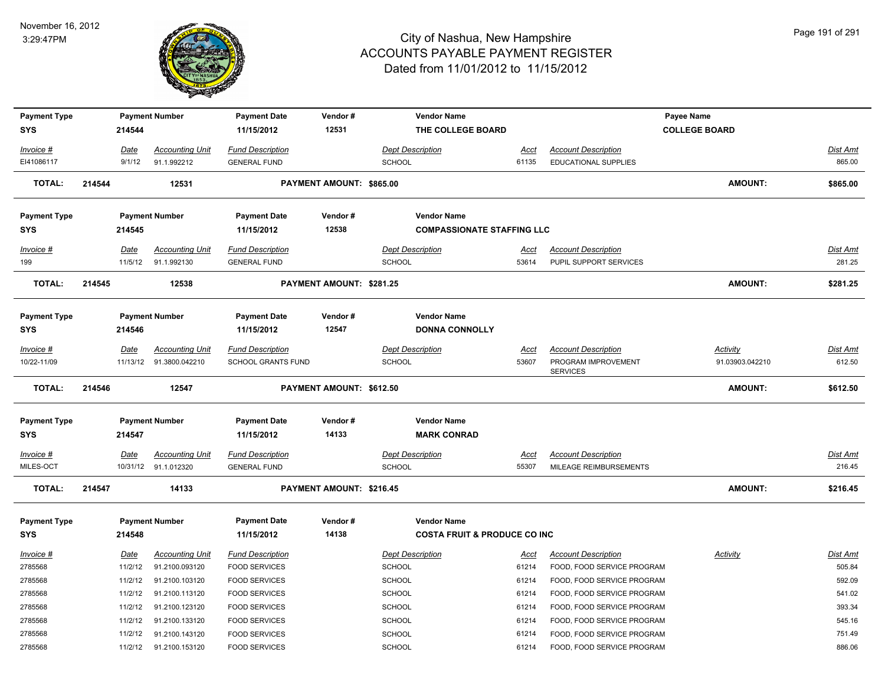

| <b>Payment Type</b> |        |             | <b>Payment Number</b>   | <b>Payment Date</b>       | Vendor#                  | <b>Vendor Name</b>                      |             |                                        | Payee Name           |                 |
|---------------------|--------|-------------|-------------------------|---------------------------|--------------------------|-----------------------------------------|-------------|----------------------------------------|----------------------|-----------------|
| <b>SYS</b>          |        | 214544      |                         | 11/15/2012                | 12531                    | THE COLLEGE BOARD                       |             |                                        | <b>COLLEGE BOARD</b> |                 |
| <b>Invoice #</b>    |        | Date        | <b>Accounting Unit</b>  | <b>Fund Description</b>   |                          | <b>Dept Description</b>                 | <u>Acct</u> | <b>Account Description</b>             |                      | <b>Dist Amt</b> |
| EI41086117          |        | 9/1/12      | 91.1.992212             | <b>GENERAL FUND</b>       |                          | <b>SCHOOL</b>                           | 61135       | <b>EDUCATIONAL SUPPLIES</b>            |                      | 865.00          |
| <b>TOTAL:</b>       | 214544 |             | 12531                   |                           | PAYMENT AMOUNT: \$865.00 |                                         |             |                                        | <b>AMOUNT:</b>       | \$865.00        |
| <b>Payment Type</b> |        |             | <b>Payment Number</b>   | <b>Payment Date</b>       | Vendor#                  | <b>Vendor Name</b>                      |             |                                        |                      |                 |
| SYS                 |        | 214545      |                         | 11/15/2012                | 12538                    | <b>COMPASSIONATE STAFFING LLC</b>       |             |                                        |                      |                 |
| Invoice #           |        | Date        | <b>Accounting Unit</b>  | <b>Fund Description</b>   |                          | <b>Dept Description</b>                 | <u>Acct</u> | <b>Account Description</b>             |                      | <b>Dist Amt</b> |
| 199                 |        | 11/5/12     | 91.1.992130             | <b>GENERAL FUND</b>       |                          | <b>SCHOOL</b>                           | 53614       | PUPIL SUPPORT SERVICES                 |                      | 281.25          |
| <b>TOTAL:</b>       | 214545 |             | 12538                   |                           | PAYMENT AMOUNT: \$281.25 |                                         |             |                                        | <b>AMOUNT:</b>       | \$281.25        |
| <b>Payment Type</b> |        |             | <b>Payment Number</b>   | <b>Payment Date</b>       | Vendor#                  | <b>Vendor Name</b>                      |             |                                        |                      |                 |
| SYS                 |        | 214546      |                         | 11/15/2012                | 12547                    | <b>DONNA CONNOLLY</b>                   |             |                                        |                      |                 |
| <u>Invoice #</u>    |        | Date        | <b>Accounting Unit</b>  | <b>Fund Description</b>   |                          | <b>Dept Description</b>                 | Acct        | <b>Account Description</b>             | <b>Activity</b>      | <u>Dist Amt</u> |
| 10/22-11/09         |        |             | 11/13/12 91.3800.042210 | <b>SCHOOL GRANTS FUND</b> |                          | <b>SCHOOL</b>                           | 53607       | PROGRAM IMPROVEMENT<br><b>SERVICES</b> | 91.03903.042210      | 612.50          |
| <b>TOTAL:</b>       | 214546 |             | 12547                   |                           | PAYMENT AMOUNT: \$612.50 |                                         |             |                                        | <b>AMOUNT:</b>       | \$612.50        |
| <b>Payment Type</b> |        |             | <b>Payment Number</b>   | <b>Payment Date</b>       | Vendor#                  | <b>Vendor Name</b>                      |             |                                        |                      |                 |
| SYS                 |        | 214547      |                         | 11/15/2012                | 14133                    | <b>MARK CONRAD</b>                      |             |                                        |                      |                 |
| Invoice #           |        | Date        | <b>Accounting Unit</b>  | <b>Fund Description</b>   |                          | <b>Dept Description</b>                 | Acct        | <b>Account Description</b>             |                      | Dist Amt        |
| MILES-OCT           |        |             | 10/31/12 91.1.012320    | <b>GENERAL FUND</b>       |                          | <b>SCHOOL</b>                           | 55307       | MILEAGE REIMBURSEMENTS                 |                      | 216.45          |
| <b>TOTAL:</b>       | 214547 |             | 14133                   |                           | PAYMENT AMOUNT: \$216.45 |                                         |             |                                        | <b>AMOUNT:</b>       | \$216.45        |
| <b>Payment Type</b> |        |             | <b>Payment Number</b>   | <b>Payment Date</b>       | Vendor#                  | <b>Vendor Name</b>                      |             |                                        |                      |                 |
| <b>SYS</b>          |        | 214548      |                         | 11/15/2012                | 14138                    | <b>COSTA FRUIT &amp; PRODUCE CO INC</b> |             |                                        |                      |                 |
| <u>Invoice #</u>    |        | <u>Date</u> | <b>Accounting Unit</b>  | <b>Fund Description</b>   |                          | <b>Dept Description</b>                 | <u>Acct</u> | <b>Account Description</b>             | <b>Activity</b>      | <b>Dist Amt</b> |
| 2785568             |        | 11/2/12     | 91.2100.093120          | <b>FOOD SERVICES</b>      |                          | SCHOOL                                  | 61214       | FOOD, FOOD SERVICE PROGRAM             |                      | 505.84          |
| 2785568             |        | 11/2/12     | 91.2100.103120          | <b>FOOD SERVICES</b>      |                          | <b>SCHOOL</b>                           | 61214       | FOOD, FOOD SERVICE PROGRAM             |                      | 592.09          |
| 2785568             |        | 11/2/12     | 91.2100.113120          | <b>FOOD SERVICES</b>      |                          | SCHOOL                                  | 61214       | FOOD, FOOD SERVICE PROGRAM             |                      | 541.02          |
| 2785568             |        | 11/2/12     | 91.2100.123120          | <b>FOOD SERVICES</b>      |                          | SCHOOL                                  | 61214       | FOOD, FOOD SERVICE PROGRAM             |                      | 393.34          |
| 2785568             |        | 11/2/12     | 91.2100.133120          | <b>FOOD SERVICES</b>      |                          | SCHOOL                                  | 61214       | FOOD, FOOD SERVICE PROGRAM             |                      | 545.16          |
| 2785568             |        | 11/2/12     | 91.2100.143120          | <b>FOOD SERVICES</b>      |                          | <b>SCHOOL</b>                           | 61214       | FOOD, FOOD SERVICE PROGRAM             |                      | 751.49          |
|                     |        |             |                         |                           |                          |                                         |             |                                        |                      |                 |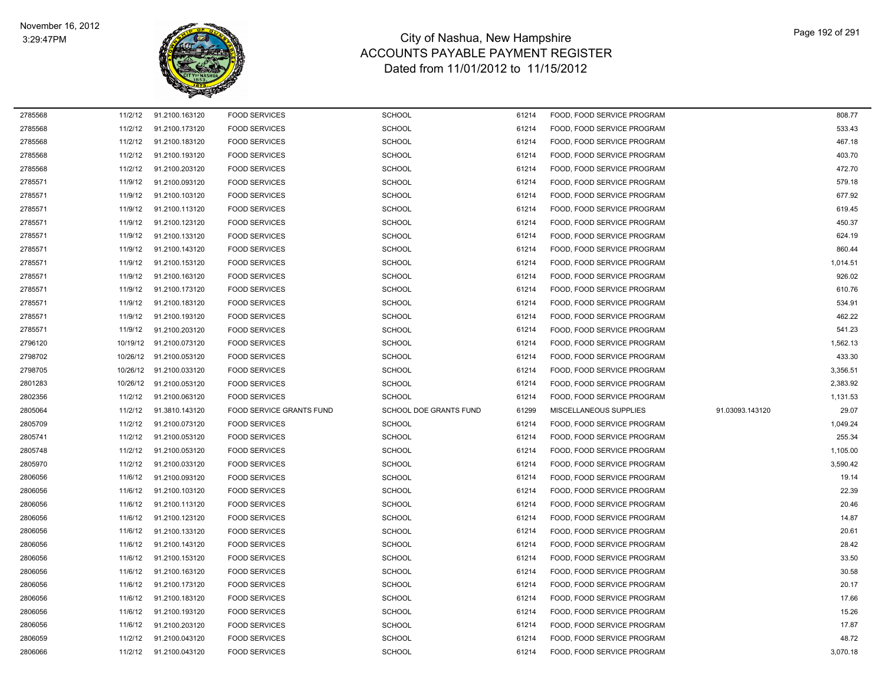$\overline{\phantom{0}}$ 



| 2785568 | 11/2/12  | 91.2100.163120 | <b>FOOD SERVICES</b>            | <b>SCHOOL</b>          | 61214 | FOOD, FOOD SERVICE PROGRAM    |                 | 808.77   |
|---------|----------|----------------|---------------------------------|------------------------|-------|-------------------------------|-----------------|----------|
| 2785568 | 11/2/12  | 91.2100.173120 | <b>FOOD SERVICES</b>            | <b>SCHOOL</b>          | 61214 | FOOD. FOOD SERVICE PROGRAM    |                 | 533.43   |
| 2785568 | 11/2/12  | 91.2100.183120 | <b>FOOD SERVICES</b>            | <b>SCHOOL</b>          | 61214 | FOOD, FOOD SERVICE PROGRAM    |                 | 467.18   |
| 2785568 | 11/2/12  | 91.2100.193120 | <b>FOOD SERVICES</b>            | <b>SCHOOL</b>          | 61214 | FOOD, FOOD SERVICE PROGRAM    |                 | 403.70   |
| 2785568 | 11/2/12  | 91.2100.203120 | <b>FOOD SERVICES</b>            | <b>SCHOOL</b>          | 61214 | FOOD, FOOD SERVICE PROGRAM    |                 | 472.70   |
| 2785571 | 11/9/12  | 91.2100.093120 | <b>FOOD SERVICES</b>            | <b>SCHOOL</b>          | 61214 | FOOD, FOOD SERVICE PROGRAM    |                 | 579.18   |
| 2785571 | 11/9/12  | 91.2100.103120 | <b>FOOD SERVICES</b>            | <b>SCHOOL</b>          | 61214 | FOOD, FOOD SERVICE PROGRAM    |                 | 677.92   |
| 2785571 | 11/9/12  | 91.2100.113120 | <b>FOOD SERVICES</b>            | <b>SCHOOL</b>          | 61214 | FOOD, FOOD SERVICE PROGRAM    |                 | 619.45   |
| 2785571 | 11/9/12  | 91.2100.123120 | <b>FOOD SERVICES</b>            | <b>SCHOOL</b>          | 61214 | FOOD, FOOD SERVICE PROGRAM    |                 | 450.37   |
| 2785571 | 11/9/12  | 91.2100.133120 | <b>FOOD SERVICES</b>            | <b>SCHOOL</b>          | 61214 | FOOD, FOOD SERVICE PROGRAM    |                 | 624.19   |
| 2785571 | 11/9/12  | 91.2100.143120 | <b>FOOD SERVICES</b>            | <b>SCHOOL</b>          | 61214 | FOOD, FOOD SERVICE PROGRAM    |                 | 860.44   |
| 2785571 | 11/9/12  | 91.2100.153120 | <b>FOOD SERVICES</b>            | <b>SCHOOL</b>          | 61214 | FOOD, FOOD SERVICE PROGRAM    |                 | 1,014.51 |
| 2785571 | 11/9/12  | 91.2100.163120 | <b>FOOD SERVICES</b>            | <b>SCHOOL</b>          | 61214 | FOOD, FOOD SERVICE PROGRAM    |                 | 926.02   |
| 2785571 | 11/9/12  | 91.2100.173120 | <b>FOOD SERVICES</b>            | <b>SCHOOL</b>          | 61214 | FOOD, FOOD SERVICE PROGRAM    |                 | 610.76   |
| 2785571 | 11/9/12  | 91.2100.183120 | <b>FOOD SERVICES</b>            | <b>SCHOOL</b>          | 61214 | FOOD, FOOD SERVICE PROGRAM    |                 | 534.91   |
| 2785571 | 11/9/12  | 91.2100.193120 | <b>FOOD SERVICES</b>            | <b>SCHOOL</b>          | 61214 | FOOD, FOOD SERVICE PROGRAM    |                 | 462.22   |
| 2785571 | 11/9/12  | 91.2100.203120 | <b>FOOD SERVICES</b>            | <b>SCHOOL</b>          | 61214 | FOOD, FOOD SERVICE PROGRAM    |                 | 541.23   |
| 2796120 | 10/19/12 | 91.2100.073120 | <b>FOOD SERVICES</b>            | <b>SCHOOL</b>          | 61214 | FOOD, FOOD SERVICE PROGRAM    |                 | 1,562.13 |
| 2798702 | 10/26/12 | 91.2100.053120 | <b>FOOD SERVICES</b>            | <b>SCHOOL</b>          | 61214 | FOOD, FOOD SERVICE PROGRAM    |                 | 433.30   |
| 2798705 | 10/26/12 | 91.2100.033120 | <b>FOOD SERVICES</b>            | <b>SCHOOL</b>          | 61214 | FOOD, FOOD SERVICE PROGRAM    |                 | 3,356.51 |
| 2801283 | 10/26/12 | 91.2100.053120 | <b>FOOD SERVICES</b>            | <b>SCHOOL</b>          | 61214 | FOOD, FOOD SERVICE PROGRAM    |                 | 2,383.92 |
| 2802356 | 11/2/12  | 91.2100.063120 | <b>FOOD SERVICES</b>            | <b>SCHOOL</b>          | 61214 | FOOD, FOOD SERVICE PROGRAM    |                 | 1,131.53 |
| 2805064 | 11/2/12  | 91.3810.143120 | <b>FOOD SERVICE GRANTS FUND</b> | SCHOOL DOE GRANTS FUND | 61299 | <b>MISCELLANEOUS SUPPLIES</b> | 91.03093.143120 | 29.07    |
| 2805709 | 11/2/12  | 91.2100.073120 | <b>FOOD SERVICES</b>            | <b>SCHOOL</b>          | 61214 | FOOD. FOOD SERVICE PROGRAM    |                 | 1,049.24 |
| 2805741 | 11/2/12  | 91.2100.053120 | <b>FOOD SERVICES</b>            | <b>SCHOOL</b>          | 61214 | FOOD, FOOD SERVICE PROGRAM    |                 | 255.34   |
| 2805748 | 11/2/12  | 91.2100.053120 | <b>FOOD SERVICES</b>            | <b>SCHOOL</b>          | 61214 | FOOD, FOOD SERVICE PROGRAM    |                 | 1,105.00 |
| 2805970 | 11/2/12  | 91.2100.033120 | <b>FOOD SERVICES</b>            | <b>SCHOOL</b>          | 61214 | FOOD, FOOD SERVICE PROGRAM    |                 | 3,590.42 |
| 2806056 | 11/6/12  | 91.2100.093120 | <b>FOOD SERVICES</b>            | <b>SCHOOL</b>          | 61214 | FOOD, FOOD SERVICE PROGRAM    |                 | 19.14    |
| 2806056 | 11/6/12  | 91.2100.103120 | <b>FOOD SERVICES</b>            | <b>SCHOOL</b>          | 61214 | FOOD, FOOD SERVICE PROGRAM    |                 | 22.39    |
| 2806056 | 11/6/12  | 91.2100.113120 | <b>FOOD SERVICES</b>            | SCHOOL                 | 61214 | FOOD, FOOD SERVICE PROGRAM    |                 | 20.46    |
| 2806056 | 11/6/12  | 91.2100.123120 | <b>FOOD SERVICES</b>            | <b>SCHOOL</b>          | 61214 | FOOD, FOOD SERVICE PROGRAM    |                 | 14.87    |
| 2806056 | 11/6/12  | 91.2100.133120 | <b>FOOD SERVICES</b>            | <b>SCHOOL</b>          | 61214 | FOOD, FOOD SERVICE PROGRAM    |                 | 20.61    |
| 2806056 | 11/6/12  | 91.2100.143120 | <b>FOOD SERVICES</b>            | <b>SCHOOL</b>          | 61214 | FOOD, FOOD SERVICE PROGRAM    |                 | 28.42    |
| 2806056 | 11/6/12  | 91.2100.153120 | <b>FOOD SERVICES</b>            | <b>SCHOOL</b>          | 61214 | FOOD, FOOD SERVICE PROGRAM    |                 | 33.50    |
| 2806056 | 11/6/12  | 91.2100.163120 | <b>FOOD SERVICES</b>            | <b>SCHOOL</b>          | 61214 | FOOD, FOOD SERVICE PROGRAM    |                 | 30.58    |
| 2806056 | 11/6/12  | 91.2100.173120 | <b>FOOD SERVICES</b>            | <b>SCHOOL</b>          | 61214 | FOOD, FOOD SERVICE PROGRAM    |                 | 20.17    |
| 2806056 | 11/6/12  | 91.2100.183120 | <b>FOOD SERVICES</b>            | <b>SCHOOL</b>          | 61214 | FOOD, FOOD SERVICE PROGRAM    |                 | 17.66    |
| 2806056 | 11/6/12  | 91.2100.193120 | <b>FOOD SERVICES</b>            | <b>SCHOOL</b>          | 61214 | FOOD. FOOD SERVICE PROGRAM    |                 | 15.26    |
| 2806056 | 11/6/12  | 91.2100.203120 | <b>FOOD SERVICES</b>            | <b>SCHOOL</b>          | 61214 | FOOD, FOOD SERVICE PROGRAM    |                 | 17.87    |
| 2806059 | 11/2/12  | 91.2100.043120 | <b>FOOD SERVICES</b>            | <b>SCHOOL</b>          | 61214 | FOOD, FOOD SERVICE PROGRAM    |                 | 48.72    |
| 2806066 | 11/2/12  | 91.2100.043120 | <b>FOOD SERVICES</b>            | <b>SCHOOL</b>          | 61214 | FOOD, FOOD SERVICE PROGRAM    |                 | 3,070.18 |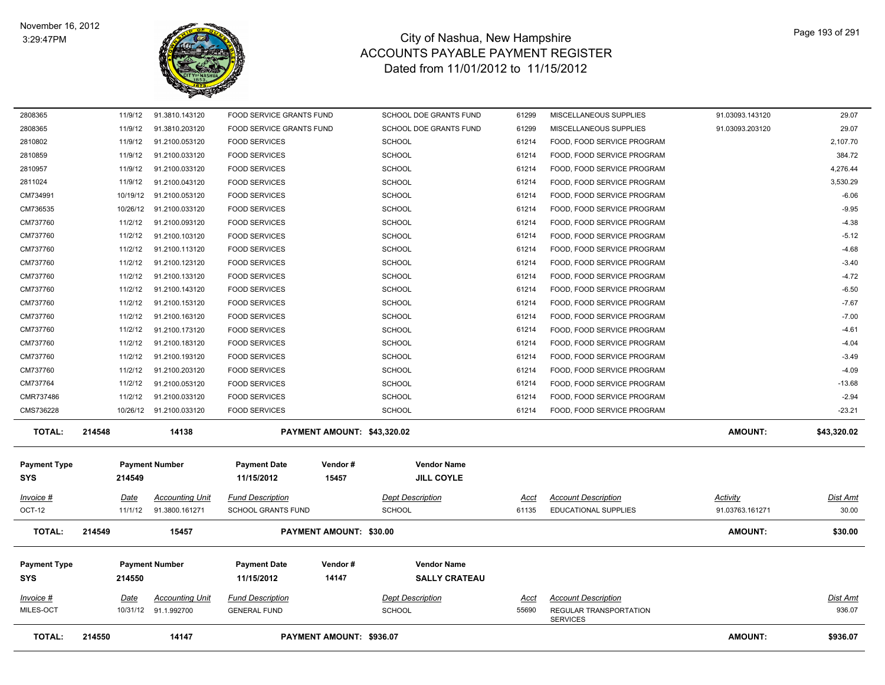

| 2808365                           | 11/9/12  | 91.3810.143120          | FOOD SERVICE GRANTS FUND          |                                | SCHOOL DOE GRANTS FUND                     | 61299       | MISCELLANEOUS SUPPLIES                    | 91.03093.143120 | 29.07           |
|-----------------------------------|----------|-------------------------|-----------------------------------|--------------------------------|--------------------------------------------|-------------|-------------------------------------------|-----------------|-----------------|
| 2808365                           | 11/9/12  | 91.3810.203120          | FOOD SERVICE GRANTS FUND          |                                | SCHOOL DOE GRANTS FUND                     | 61299       | MISCELLANEOUS SUPPLIES                    | 91.03093.203120 | 29.07           |
| 2810802                           | 11/9/12  | 91.2100.053120          | <b>FOOD SERVICES</b>              |                                | <b>SCHOOL</b>                              | 61214       | FOOD, FOOD SERVICE PROGRAM                |                 | 2,107.70        |
| 2810859                           | 11/9/12  | 91.2100.033120          | <b>FOOD SERVICES</b>              |                                | <b>SCHOOL</b>                              | 61214       | FOOD, FOOD SERVICE PROGRAM                |                 | 384.72          |
| 2810957                           | 11/9/12  | 91.2100.033120          | <b>FOOD SERVICES</b>              |                                | <b>SCHOOL</b>                              | 61214       | FOOD, FOOD SERVICE PROGRAM                |                 | 4,276.44        |
| 2811024                           | 11/9/12  | 91.2100.043120          | <b>FOOD SERVICES</b>              |                                | <b>SCHOOL</b>                              | 61214       | FOOD, FOOD SERVICE PROGRAM                |                 | 3,530.29        |
| CM734991                          | 10/19/12 | 91.2100.053120          | <b>FOOD SERVICES</b>              |                                | SCHOOL                                     | 61214       | FOOD, FOOD SERVICE PROGRAM                |                 | $-6.06$         |
| CM736535                          | 10/26/12 | 91.2100.033120          | <b>FOOD SERVICES</b>              |                                | <b>SCHOOL</b>                              | 61214       | FOOD, FOOD SERVICE PROGRAM                |                 | $-9.95$         |
| CM737760                          | 11/2/12  | 91.2100.093120          | <b>FOOD SERVICES</b>              |                                | <b>SCHOOL</b>                              | 61214       | FOOD, FOOD SERVICE PROGRAM                |                 | $-4.38$         |
| CM737760                          | 11/2/12  | 91.2100.103120          | <b>FOOD SERVICES</b>              |                                | <b>SCHOOL</b>                              | 61214       | FOOD, FOOD SERVICE PROGRAM                |                 | $-5.12$         |
| CM737760                          | 11/2/12  | 91.2100.113120          | <b>FOOD SERVICES</b>              |                                | SCHOOL                                     | 61214       | FOOD, FOOD SERVICE PROGRAM                |                 | $-4.68$         |
| CM737760                          | 11/2/12  | 91.2100.123120          | <b>FOOD SERVICES</b>              |                                | <b>SCHOOL</b>                              | 61214       | FOOD, FOOD SERVICE PROGRAM                |                 | $-3.40$         |
| CM737760                          | 11/2/12  | 91.2100.133120          | <b>FOOD SERVICES</b>              |                                | <b>SCHOOL</b>                              | 61214       | FOOD, FOOD SERVICE PROGRAM                |                 | $-4.72$         |
| CM737760                          | 11/2/12  | 91.2100.143120          | <b>FOOD SERVICES</b>              |                                | <b>SCHOOL</b>                              | 61214       | FOOD, FOOD SERVICE PROGRAM                |                 | $-6.50$         |
| CM737760                          | 11/2/12  | 91.2100.153120          | <b>FOOD SERVICES</b>              |                                | <b>SCHOOL</b>                              | 61214       | FOOD, FOOD SERVICE PROGRAM                |                 | $-7.67$         |
| CM737760                          | 11/2/12  | 91.2100.163120          | <b>FOOD SERVICES</b>              |                                | SCHOOL                                     | 61214       | FOOD, FOOD SERVICE PROGRAM                |                 | $-7.00$         |
| CM737760                          | 11/2/12  | 91.2100.173120          | <b>FOOD SERVICES</b>              |                                | <b>SCHOOL</b>                              | 61214       | FOOD, FOOD SERVICE PROGRAM                |                 | $-4.61$         |
| CM737760                          | 11/2/12  | 91.2100.183120          | <b>FOOD SERVICES</b>              |                                | <b>SCHOOL</b>                              | 61214       | FOOD, FOOD SERVICE PROGRAM                |                 | $-4.04$         |
| CM737760                          | 11/2/12  | 91.2100.193120          | <b>FOOD SERVICES</b>              |                                | <b>SCHOOL</b>                              | 61214       | FOOD, FOOD SERVICE PROGRAM                |                 | $-3.49$         |
| CM737760                          | 11/2/12  | 91.2100.203120          | <b>FOOD SERVICES</b>              |                                | <b>SCHOOL</b>                              | 61214       | FOOD, FOOD SERVICE PROGRAM                |                 | $-4.09$         |
| CM737764                          | 11/2/12  | 91.2100.053120          | <b>FOOD SERVICES</b>              |                                | <b>SCHOOL</b>                              | 61214       | FOOD, FOOD SERVICE PROGRAM                |                 | $-13.68$        |
| CMR737486                         | 11/2/12  | 91.2100.033120          | <b>FOOD SERVICES</b>              |                                | <b>SCHOOL</b>                              | 61214       | FOOD, FOOD SERVICE PROGRAM                |                 | $-2.94$         |
| CMS736228                         |          | 10/26/12 91.2100.033120 | <b>FOOD SERVICES</b>              |                                | <b>SCHOOL</b>                              | 61214       | FOOD, FOOD SERVICE PROGRAM                |                 | $-23.21$        |
| <b>TOTAL:</b>                     | 214548   | 14138                   |                                   | PAYMENT AMOUNT: \$43,320.02    |                                            |             |                                           | <b>AMOUNT:</b>  | \$43,320.02     |
| <b>Payment Type</b><br><b>SYS</b> | 214549   | <b>Payment Number</b>   | <b>Payment Date</b><br>11/15/2012 | Vendor#<br>15457               | <b>Vendor Name</b><br><b>JILL COYLE</b>    |             |                                           |                 |                 |
| Invoice #                         | Date     | <b>Accounting Unit</b>  | <b>Fund Description</b>           |                                | <b>Dept Description</b>                    | Acct        | <b>Account Description</b>                | Activity        | Dist Amt        |
| OCT-12                            | 11/1/12  | 91.3800.161271          | <b>SCHOOL GRANTS FUND</b>         |                                | <b>SCHOOL</b>                              | 61135       | <b>EDUCATIONAL SUPPLIES</b>               | 91.03763.161271 | 30.00           |
| <b>TOTAL:</b>                     | 214549   | 15457                   |                                   | <b>PAYMENT AMOUNT: \$30.00</b> |                                            |             |                                           | <b>AMOUNT:</b>  | \$30.00         |
| <b>Payment Type</b><br>SYS        | 214550   | <b>Payment Number</b>   | <b>Payment Date</b><br>11/15/2012 | Vendor#<br>14147               | <b>Vendor Name</b><br><b>SALLY CRATEAU</b> |             |                                           |                 |                 |
| Invoice #                         | Date     | <b>Accounting Unit</b>  | <b>Fund Description</b>           |                                | <b>Dept Description</b>                    | <b>Acct</b> | <b>Account Description</b>                |                 | <u>Dist Amt</u> |
| MILES-OCT                         |          | 10/31/12 91.1.992700    | <b>GENERAL FUND</b>               |                                | <b>SCHOOL</b>                              | 55690       | REGULAR TRANSPORTATION<br><b>SERVICES</b> |                 | 936.07          |
| <b>TOTAL:</b>                     | 214550   | 14147                   |                                   | PAYMENT AMOUNT: \$936.07       |                                            |             |                                           | AMOUNT:         | \$936.07        |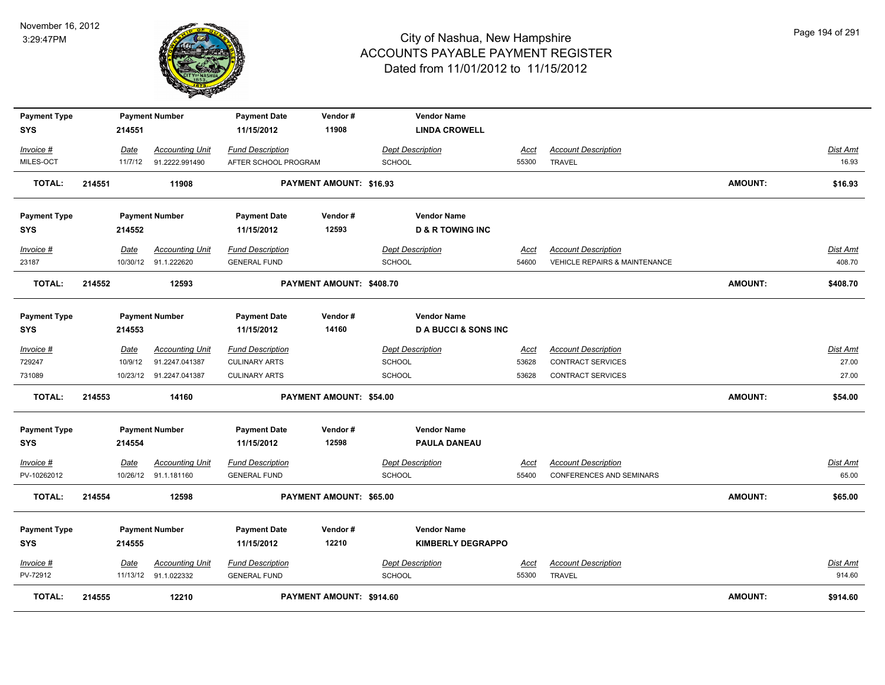

| <b>Payment Type</b>    |        |                 | <b>Payment Number</b>                    | <b>Payment Date</b>                             | Vendor#                        | <b>Vendor Name</b>                       |                      |                                             |                |                          |
|------------------------|--------|-----------------|------------------------------------------|-------------------------------------------------|--------------------------------|------------------------------------------|----------------------|---------------------------------------------|----------------|--------------------------|
| SYS                    |        | 214551          |                                          | 11/15/2012                                      | 11908                          | <b>LINDA CROWELL</b>                     |                      |                                             |                |                          |
|                        |        |                 |                                          |                                                 |                                |                                          |                      |                                             |                |                          |
| Invoice #<br>MILES-OCT |        | Date<br>11/7/12 | <b>Accounting Unit</b><br>91.2222.991490 | <b>Fund Description</b><br>AFTER SCHOOL PROGRAM |                                | <b>Dept Description</b><br><b>SCHOOL</b> | <u>Acct</u><br>55300 | <b>Account Description</b><br><b>TRAVEL</b> |                | <b>Dist Amt</b><br>16.93 |
|                        |        |                 |                                          |                                                 |                                |                                          |                      |                                             |                |                          |
| <b>TOTAL:</b>          | 214551 |                 | 11908                                    |                                                 | <b>PAYMENT AMOUNT: \$16.93</b> |                                          |                      |                                             | <b>AMOUNT:</b> | \$16.93                  |
| <b>Payment Type</b>    |        |                 | <b>Payment Number</b>                    | <b>Payment Date</b>                             | Vendor#                        | <b>Vendor Name</b>                       |                      |                                             |                |                          |
| <b>SYS</b>             |        | 214552          |                                          | 11/15/2012                                      | 12593                          | <b>D &amp; R TOWING INC</b>              |                      |                                             |                |                          |
| Invoice #              |        | Date            | <b>Accounting Unit</b>                   | <b>Fund Description</b>                         |                                | <b>Dept Description</b>                  | Acct                 | <b>Account Description</b>                  |                | <b>Dist Amt</b>          |
| 23187                  |        |                 | 10/30/12 91.1.222620                     | <b>GENERAL FUND</b>                             |                                | <b>SCHOOL</b>                            | 54600                | <b>VEHICLE REPAIRS &amp; MAINTENANCE</b>    |                | 408.70                   |
| <b>TOTAL:</b>          | 214552 |                 | 12593                                    |                                                 | PAYMENT AMOUNT: \$408.70       |                                          |                      |                                             | <b>AMOUNT:</b> | \$408.70                 |
|                        |        |                 |                                          |                                                 |                                |                                          |                      |                                             |                |                          |
| <b>Payment Type</b>    |        |                 | <b>Payment Number</b>                    | <b>Payment Date</b>                             | Vendor#                        | <b>Vendor Name</b>                       |                      |                                             |                |                          |
| SYS                    |        | 214553          |                                          | 11/15/2012                                      | 14160                          | <b>DA BUCCI &amp; SONS INC</b>           |                      |                                             |                |                          |
| Invoice #              |        | Date            | <b>Accounting Unit</b>                   | <b>Fund Description</b>                         |                                | <b>Dept Description</b>                  | <u>Acct</u>          | <b>Account Description</b>                  |                | Dist Amt                 |
| 729247                 |        | 10/9/12         | 91.2247.041387                           | <b>CULINARY ARTS</b>                            |                                | <b>SCHOOL</b>                            | 53628                | <b>CONTRACT SERVICES</b>                    |                | 27.00                    |
| 731089                 |        |                 | 10/23/12 91.2247.041387                  | <b>CULINARY ARTS</b>                            |                                | <b>SCHOOL</b>                            | 53628                | <b>CONTRACT SERVICES</b>                    |                | 27.00                    |
| <b>TOTAL:</b>          | 214553 |                 | 14160                                    |                                                 | <b>PAYMENT AMOUNT: \$54.00</b> |                                          |                      |                                             | <b>AMOUNT:</b> | \$54.00                  |
|                        |        |                 |                                          |                                                 |                                |                                          |                      |                                             |                |                          |
| <b>Payment Type</b>    |        |                 | <b>Payment Number</b>                    | <b>Payment Date</b>                             | Vendor#                        | <b>Vendor Name</b>                       |                      |                                             |                |                          |
| SYS                    |        | 214554          |                                          | 11/15/2012                                      | 12598                          | <b>PAULA DANEAU</b>                      |                      |                                             |                |                          |
| $Invoice$ #            |        | Date            | <b>Accounting Unit</b>                   | <b>Fund Description</b>                         |                                | <b>Dept Description</b>                  | <u>Acct</u>          | <b>Account Description</b>                  |                | Dist Amt                 |
| PV-10262012            |        |                 | 10/26/12 91.1.181160                     | <b>GENERAL FUND</b>                             |                                | <b>SCHOOL</b>                            | 55400                | <b>CONFERENCES AND SEMINARS</b>             |                | 65.00                    |
| <b>TOTAL:</b>          | 214554 |                 | 12598                                    |                                                 | <b>PAYMENT AMOUNT: \$65.00</b> |                                          |                      |                                             | <b>AMOUNT:</b> | \$65.00                  |
| <b>Payment Type</b>    |        |                 | <b>Payment Number</b>                    | <b>Payment Date</b>                             | Vendor#                        | <b>Vendor Name</b>                       |                      |                                             |                |                          |
| <b>SYS</b>             |        | 214555          |                                          | 11/15/2012                                      | 12210                          | <b>KIMBERLY DEGRAPPO</b>                 |                      |                                             |                |                          |
|                        |        |                 |                                          |                                                 |                                |                                          |                      |                                             |                |                          |
| Invoice #              |        | Date            | <b>Accounting Unit</b>                   | <b>Fund Description</b>                         |                                | <b>Dept Description</b>                  | <u>Acct</u>          | <b>Account Description</b>                  |                | Dist Amt                 |
| PV-72912               |        |                 | 11/13/12 91.1.022332                     | <b>GENERAL FUND</b>                             |                                | <b>SCHOOL</b>                            | 55300                | <b>TRAVEL</b>                               |                | 914.60                   |
| <b>TOTAL:</b>          | 214555 |                 | 12210                                    |                                                 | PAYMENT AMOUNT: \$914.60       |                                          |                      |                                             | <b>AMOUNT:</b> | \$914.60                 |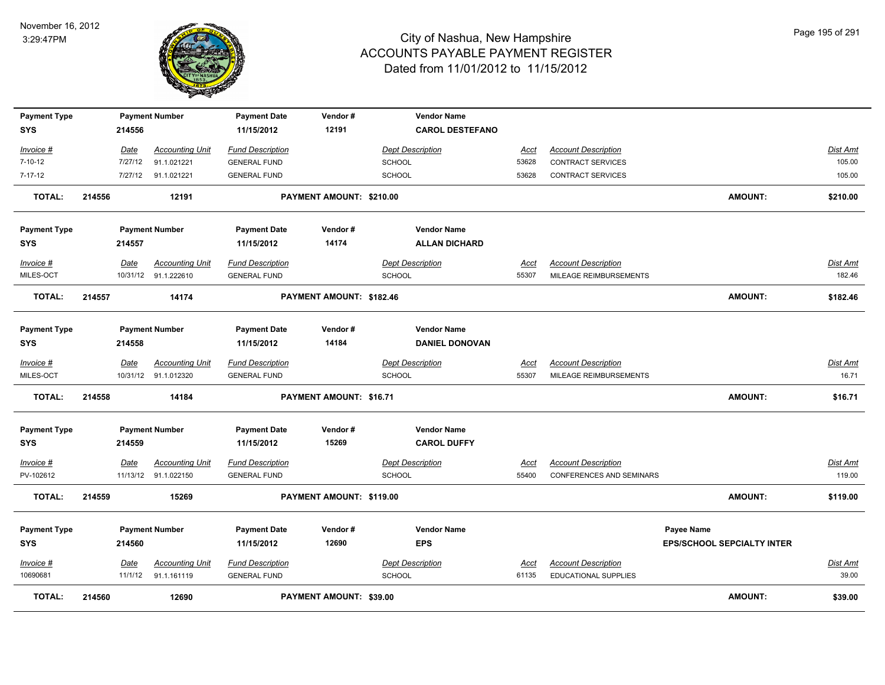

| <b>Payment Type</b> |        |         | <b>Payment Number</b>  | <b>Payment Date</b>     | Vendor#                  | <b>Vendor Name</b>      |             |                            |                                   |                 |
|---------------------|--------|---------|------------------------|-------------------------|--------------------------|-------------------------|-------------|----------------------------|-----------------------------------|-----------------|
| <b>SYS</b>          |        | 214556  |                        | 11/15/2012              | 12191                    | <b>CAROL DESTEFANO</b>  |             |                            |                                   |                 |
| Invoice #           |        | Date    | <b>Accounting Unit</b> | <b>Fund Description</b> |                          | <b>Dept Description</b> | Acct        | <b>Account Description</b> |                                   | <b>Dist Amt</b> |
| $7 - 10 - 12$       |        | 7/27/12 | 91.1.021221            | <b>GENERAL FUND</b>     |                          | <b>SCHOOL</b>           | 53628       | <b>CONTRACT SERVICES</b>   |                                   | 105.00          |
| 7-17-12             |        | 7/27/12 | 91.1.021221            | <b>GENERAL FUND</b>     |                          | <b>SCHOOL</b>           | 53628       | <b>CONTRACT SERVICES</b>   |                                   | 105.00          |
| <b>TOTAL:</b>       | 214556 |         | 12191                  |                         | PAYMENT AMOUNT: \$210.00 |                         |             |                            | <b>AMOUNT:</b>                    | \$210.00        |
| <b>Payment Type</b> |        |         | <b>Payment Number</b>  | <b>Payment Date</b>     | Vendor#                  | <b>Vendor Name</b>      |             |                            |                                   |                 |
| <b>SYS</b>          |        | 214557  |                        | 11/15/2012              | 14174                    | <b>ALLAN DICHARD</b>    |             |                            |                                   |                 |
| Invoice #           |        | Date    | <b>Accounting Unit</b> | <b>Fund Description</b> |                          | <b>Dept Description</b> | Acct        | <b>Account Description</b> |                                   | Dist Amt        |
| MILES-OCT           |        |         | 10/31/12 91.1.222610   | <b>GENERAL FUND</b>     |                          | <b>SCHOOL</b>           | 55307       | MILEAGE REIMBURSEMENTS     |                                   | 182.46          |
| <b>TOTAL:</b>       | 214557 |         | 14174                  |                         | PAYMENT AMOUNT: \$182.46 |                         |             |                            | <b>AMOUNT:</b>                    | \$182.46        |
| <b>Payment Type</b> |        |         | <b>Payment Number</b>  | <b>Payment Date</b>     | Vendor#                  | <b>Vendor Name</b>      |             |                            |                                   |                 |
| <b>SYS</b>          |        | 214558  |                        | 11/15/2012              | 14184                    | <b>DANIEL DONOVAN</b>   |             |                            |                                   |                 |
| Invoice #           |        | Date    | <b>Accounting Unit</b> | <b>Fund Description</b> |                          | <b>Dept Description</b> | Acct        | <b>Account Description</b> |                                   | Dist Amt        |
| MILES-OCT           |        |         | 10/31/12 91.1.012320   | <b>GENERAL FUND</b>     |                          | <b>SCHOOL</b>           | 55307       | MILEAGE REIMBURSEMENTS     |                                   | 16.71           |
|                     |        |         |                        |                         |                          |                         |             |                            |                                   |                 |
| <b>TOTAL:</b>       | 214558 |         | 14184                  |                         | PAYMENT AMOUNT: \$16.71  |                         |             |                            | <b>AMOUNT:</b>                    | \$16.71         |
| <b>Payment Type</b> |        |         | <b>Payment Number</b>  | <b>Payment Date</b>     | Vendor#                  | <b>Vendor Name</b>      |             |                            |                                   |                 |
| <b>SYS</b>          |        | 214559  |                        | 11/15/2012              | 15269                    | <b>CAROL DUFFY</b>      |             |                            |                                   |                 |
| <u>Invoice #</u>    |        | Date    | <b>Accounting Unit</b> | <b>Fund Description</b> |                          | <b>Dept Description</b> | <u>Acct</u> | <b>Account Description</b> |                                   | <u>Dist Amt</u> |
| PV-102612           |        |         | 11/13/12 91.1.022150   | <b>GENERAL FUND</b>     |                          | <b>SCHOOL</b>           | 55400       | CONFERENCES AND SEMINARS   |                                   | 119.00          |
| <b>TOTAL:</b>       | 214559 |         | 15269                  |                         | PAYMENT AMOUNT: \$119.00 |                         |             |                            | <b>AMOUNT:</b>                    | \$119.00        |
| <b>Payment Type</b> |        |         | <b>Payment Number</b>  | <b>Payment Date</b>     | Vendor#                  | <b>Vendor Name</b>      |             |                            | <b>Payee Name</b>                 |                 |
| <b>SYS</b>          |        | 214560  |                        | 11/15/2012              | 12690                    | <b>EPS</b>              |             |                            | <b>EPS/SCHOOL SEPCIALTY INTER</b> |                 |
| Invoice #           |        | Date    | <b>Accounting Unit</b> | <b>Fund Description</b> |                          | <b>Dept Description</b> | <u>Acct</u> | <b>Account Description</b> |                                   | Dist Amt        |
| 10690681            |        | 11/1/12 | 91.1.161119            | <b>GENERAL FUND</b>     |                          | SCHOOL                  | 61135       | EDUCATIONAL SUPPLIES       |                                   | 39.00           |
| TOTAL:              | 214560 |         | 12690                  |                         | PAYMENT AMOUNT: \$39.00  |                         |             |                            | <b>AMOUNT:</b>                    | \$39.00         |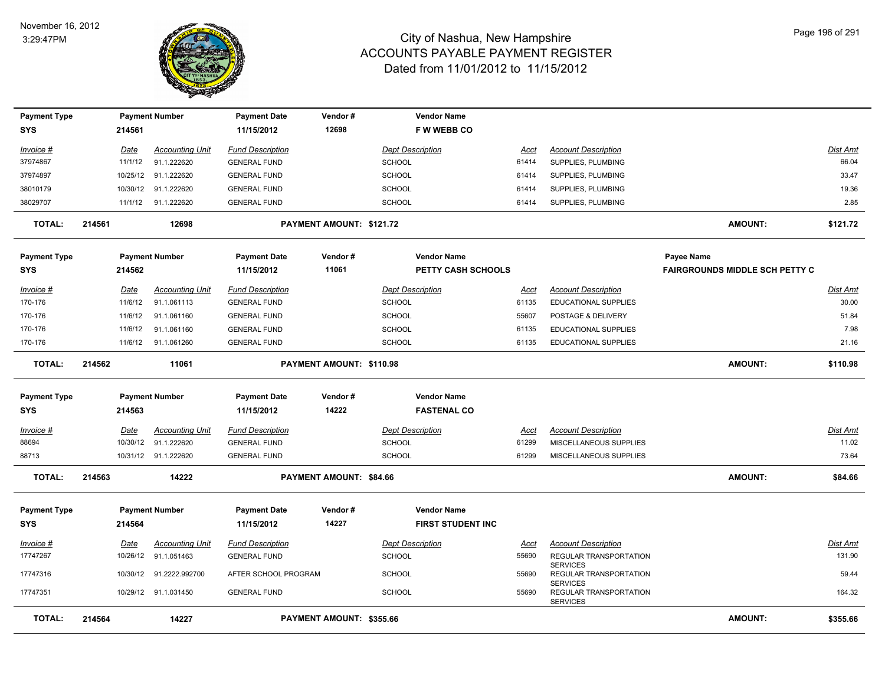

| <b>Payment Type</b> |        |             | <b>Payment Number</b>  | <b>Payment Date</b>     | Vendor#                  | <b>Vendor Name</b>        |             |                                                              |                                       |                 |
|---------------------|--------|-------------|------------------------|-------------------------|--------------------------|---------------------------|-------------|--------------------------------------------------------------|---------------------------------------|-----------------|
| <b>SYS</b>          |        | 214561      |                        | 11/15/2012              | 12698                    | <b>FWWEBBCO</b>           |             |                                                              |                                       |                 |
| Invoice #           |        | Date        | <b>Accounting Unit</b> | <b>Fund Description</b> |                          | <b>Dept Description</b>   | Acct        | <b>Account Description</b>                                   |                                       | Dist Amt        |
| 37974867            |        | 11/1/12     | 91.1.222620            | <b>GENERAL FUND</b>     |                          | <b>SCHOOL</b>             | 61414       | SUPPLIES, PLUMBING                                           |                                       | 66.04           |
| 37974897            |        | 10/25/12    | 91.1.222620            | <b>GENERAL FUND</b>     |                          | <b>SCHOOL</b>             | 61414       | SUPPLIES, PLUMBING                                           |                                       | 33.47           |
| 38010179            |        | 10/30/12    | 91.1.222620            | <b>GENERAL FUND</b>     |                          | SCHOOL                    | 61414       | SUPPLIES, PLUMBING                                           |                                       | 19.36           |
| 38029707            |        |             | 11/1/12 91.1.222620    | <b>GENERAL FUND</b>     |                          | <b>SCHOOL</b>             | 61414       | SUPPLIES, PLUMBING                                           |                                       | 2.85            |
| <b>TOTAL:</b>       | 214561 |             | 12698                  |                         | PAYMENT AMOUNT: \$121.72 |                           |             |                                                              | <b>AMOUNT:</b>                        | \$121.72        |
| <b>Payment Type</b> |        |             | <b>Payment Number</b>  | <b>Payment Date</b>     | Vendor#                  | <b>Vendor Name</b>        |             |                                                              | <b>Payee Name</b>                     |                 |
| <b>SYS</b>          |        | 214562      |                        | 11/15/2012              | 11061                    | <b>PETTY CASH SCHOOLS</b> |             |                                                              | <b>FAIRGROUNDS MIDDLE SCH PETTY C</b> |                 |
| Invoice #           |        | <b>Date</b> | <b>Accounting Unit</b> | <b>Fund Description</b> |                          | <b>Dept Description</b>   | <u>Acct</u> | <b>Account Description</b>                                   |                                       | Dist Amt        |
| 170-176             |        | 11/6/12     | 91.1.061113            | <b>GENERAL FUND</b>     |                          | <b>SCHOOL</b>             | 61135       | EDUCATIONAL SUPPLIES                                         |                                       | 30.00           |
| 170-176             |        | 11/6/12     | 91.1.061160            | <b>GENERAL FUND</b>     |                          | <b>SCHOOL</b>             | 55607       | POSTAGE & DELIVERY                                           |                                       | 51.84           |
| 170-176             |        | 11/6/12     | 91.1.061160            | <b>GENERAL FUND</b>     |                          | <b>SCHOOL</b>             | 61135       | <b>EDUCATIONAL SUPPLIES</b>                                  |                                       | 7.98            |
| 170-176             |        | 11/6/12     | 91.1.061260            | <b>GENERAL FUND</b>     |                          | <b>SCHOOL</b>             | 61135       | <b>EDUCATIONAL SUPPLIES</b>                                  |                                       | 21.16           |
| <b>TOTAL:</b>       | 214562 |             | 11061                  |                         | PAYMENT AMOUNT: \$110.98 |                           |             |                                                              | <b>AMOUNT:</b>                        | \$110.98        |
| <b>Payment Type</b> |        |             | <b>Payment Number</b>  | <b>Payment Date</b>     | Vendor#                  | <b>Vendor Name</b>        |             |                                                              |                                       |                 |
| <b>SYS</b>          |        | 214563      |                        | 11/15/2012              | 14222                    | <b>FASTENAL CO</b>        |             |                                                              |                                       |                 |
| Invoice #           |        | Date        | Accounting Unit        | <b>Fund Description</b> |                          | <b>Dept Description</b>   | Acct        | <b>Account Description</b>                                   |                                       | Dist Amt        |
| 88694               |        | 10/30/12    | 91.1.222620            | <b>GENERAL FUND</b>     |                          | <b>SCHOOL</b>             | 61299       | MISCELLANEOUS SUPPLIES                                       |                                       | 11.02           |
| 88713               |        |             | 10/31/12 91.1.222620   | <b>GENERAL FUND</b>     |                          | <b>SCHOOL</b>             | 61299       | MISCELLANEOUS SUPPLIES                                       |                                       | 73.64           |
| <b>TOTAL:</b>       | 214563 |             | 14222                  |                         | PAYMENT AMOUNT: \$84.66  |                           |             |                                                              | <b>AMOUNT:</b>                        | \$84.66         |
| <b>Payment Type</b> |        |             | <b>Payment Number</b>  | <b>Payment Date</b>     | Vendor#                  | <b>Vendor Name</b>        |             |                                                              |                                       |                 |
| <b>SYS</b>          |        | 214564      |                        | 11/15/2012              | 14227                    | <b>FIRST STUDENT INC</b>  |             |                                                              |                                       |                 |
| <u>Invoice #</u>    |        | <u>Date</u> | <b>Accounting Unit</b> | <b>Fund Description</b> |                          | <b>Dept Description</b>   | <u>Acct</u> | <b>Account Description</b>                                   |                                       | <u>Dist Amt</u> |
| 17747267            |        | 10/26/12    | 91.1.051463            | <b>GENERAL FUND</b>     |                          | <b>SCHOOL</b>             | 55690       | REGULAR TRANSPORTATION                                       |                                       | 131.90          |
| 17747316            |        | 10/30/12    | 91.2222.992700         | AFTER SCHOOL PROGRAM    |                          | <b>SCHOOL</b>             | 55690       | <b>SERVICES</b><br>REGULAR TRANSPORTATION                    |                                       | 59.44           |
| 17747351            |        | 10/29/12    | 91.1.031450            | <b>GENERAL FUND</b>     |                          | <b>SCHOOL</b>             | 55690       | <b>SERVICES</b><br>REGULAR TRANSPORTATION<br><b>SERVICES</b> |                                       | 164.32          |
| <b>TOTAL:</b>       | 214564 |             | 14227                  |                         | PAYMENT AMOUNT: \$355.66 |                           |             |                                                              | <b>AMOUNT:</b>                        | \$355.66        |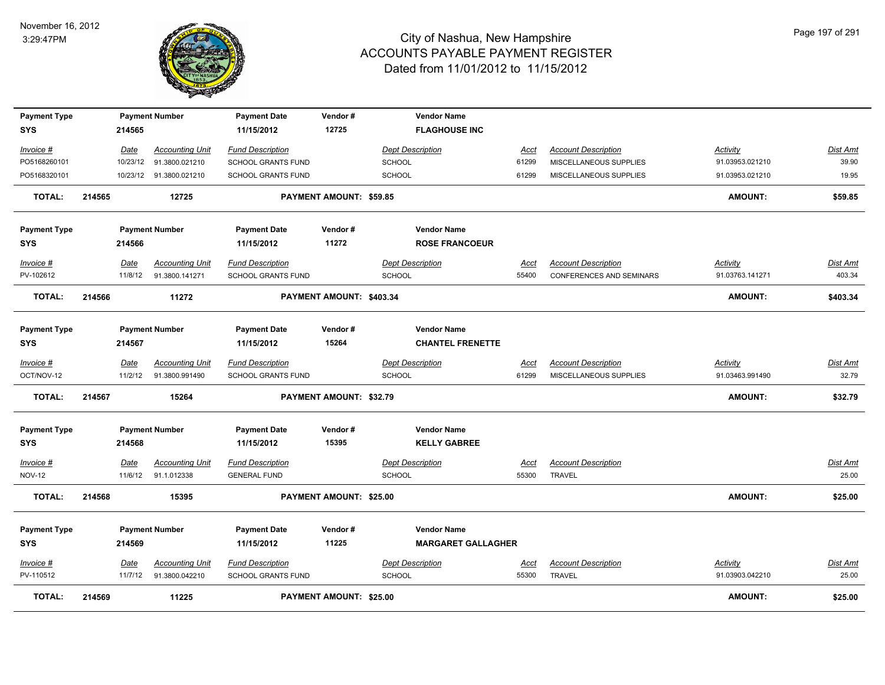

| <b>Payment Type</b>               |        |                 | <b>Payment Number</b>                         | <b>Payment Date</b>                            | Vendor#                        | <b>Vendor Name</b>                              |                      |                                                        |                                    |                          |
|-----------------------------------|--------|-----------------|-----------------------------------------------|------------------------------------------------|--------------------------------|-------------------------------------------------|----------------------|--------------------------------------------------------|------------------------------------|--------------------------|
| SYS                               |        | 214565          |                                               | 11/15/2012                                     | 12725                          | <b>FLAGHOUSE INC</b>                            |                      |                                                        |                                    |                          |
| Invoice #                         |        | Date            | <b>Accounting Unit</b>                        | <b>Fund Description</b>                        |                                | <b>Dept Description</b>                         | Acct                 | <b>Account Description</b>                             | <b>Activity</b>                    | <b>Dist Amt</b>          |
| PO5168260101                      |        |                 | 10/23/12  91.3800.021210                      | SCHOOL GRANTS FUND                             |                                | <b>SCHOOL</b>                                   | 61299                | MISCELLANEOUS SUPPLIES                                 | 91.03953.021210                    | 39.90                    |
| PO5168320101                      |        |                 | 10/23/12  91.3800.021210                      | SCHOOL GRANTS FUND                             |                                | <b>SCHOOL</b>                                   | 61299                | MISCELLANEOUS SUPPLIES                                 | 91.03953.021210                    | 19.95                    |
| <b>TOTAL:</b>                     | 214565 |                 | 12725                                         |                                                | <b>PAYMENT AMOUNT: \$59.85</b> |                                                 |                      |                                                        | <b>AMOUNT:</b>                     | \$59.85                  |
| <b>Payment Type</b>               |        |                 | <b>Payment Number</b>                         | <b>Payment Date</b>                            | Vendor#                        | <b>Vendor Name</b>                              |                      |                                                        |                                    |                          |
| SYS                               |        | 214566          |                                               | 11/15/2012                                     | 11272                          | <b>ROSE FRANCOEUR</b>                           |                      |                                                        |                                    |                          |
| Invoice #<br>PV-102612            |        | Date<br>11/8/12 | <b>Accounting Unit</b><br>91.3800.141271      | <b>Fund Description</b><br>SCHOOL GRANTS FUND  |                                | <b>Dept Description</b><br><b>SCHOOL</b>        | Acct<br>55400        | <b>Account Description</b><br>CONFERENCES AND SEMINARS | Activity<br>91.03763.141271        | Dist Amt<br>403.34       |
| TOTAL:                            | 214566 |                 | 11272                                         |                                                | PAYMENT AMOUNT: \$403.34       |                                                 |                      |                                                        | <b>AMOUNT:</b>                     | \$403.34                 |
| <b>Payment Type</b>               |        |                 | <b>Payment Number</b>                         | <b>Payment Date</b>                            | Vendor#                        | <b>Vendor Name</b>                              |                      |                                                        |                                    |                          |
| SYS                               |        | 214567          |                                               | 11/15/2012                                     | 15264                          | <b>CHANTEL FRENETTE</b>                         |                      |                                                        |                                    |                          |
| Invoice #<br>OCT/NOV-12           |        | Date<br>11/2/12 | <b>Accounting Unit</b><br>91.3800.991490      | <b>Fund Description</b><br>SCHOOL GRANTS FUND  |                                | <b>Dept Description</b><br><b>SCHOOL</b>        | Acct<br>61299        | <b>Account Description</b><br>MISCELLANEOUS SUPPLIES   | <b>Activity</b><br>91.03463.991490 | <u>Dist Amt</u><br>32.79 |
| <b>TOTAL:</b>                     | 214567 |                 | 15264                                         |                                                | <b>PAYMENT AMOUNT: \$32.79</b> |                                                 |                      |                                                        | <b>AMOUNT:</b>                     | \$32.79                  |
| <b>Payment Type</b>               |        |                 | <b>Payment Number</b>                         | <b>Payment Date</b>                            | Vendor#                        | <b>Vendor Name</b>                              |                      |                                                        |                                    |                          |
| <b>SYS</b>                        |        | 214568          |                                               | 11/15/2012                                     | 15395                          | <b>KELLY GABREE</b>                             |                      |                                                        |                                    |                          |
| Invoice #<br><b>NOV-12</b>        |        | Date            | <b>Accounting Unit</b><br>11/6/12 91.1.012338 | <b>Fund Description</b><br><b>GENERAL FUND</b> |                                | <b>Dept Description</b><br>SCHOOL               | <b>Acct</b><br>55300 | <b>Account Description</b><br>TRAVEL                   |                                    | <b>Dist Amt</b><br>25.00 |
| <b>TOTAL:</b>                     | 214568 |                 | 15395                                         |                                                | PAYMENT AMOUNT: \$25.00        |                                                 |                      |                                                        | <b>AMOUNT:</b>                     | \$25.00                  |
|                                   |        |                 |                                               |                                                |                                |                                                 |                      |                                                        |                                    |                          |
| <b>Payment Type</b><br><b>SYS</b> |        | 214569          | <b>Payment Number</b>                         | <b>Payment Date</b><br>11/15/2012              | Vendor#<br>11225               | <b>Vendor Name</b><br><b>MARGARET GALLAGHER</b> |                      |                                                        |                                    |                          |
| Invoice #                         |        | Date            | <b>Accounting Unit</b>                        | <b>Fund Description</b>                        |                                | <b>Dept Description</b>                         | <u>Acct</u>          | <b>Account Description</b>                             | <b>Activity</b>                    | <b>Dist Amt</b>          |
| PV-110512                         |        | 11/7/12         | 91.3800.042210                                | <b>SCHOOL GRANTS FUND</b>                      |                                | <b>SCHOOL</b>                                   | 55300                | <b>TRAVEL</b>                                          | 91.03903.042210                    | 25.00                    |
| <b>TOTAL:</b>                     | 214569 |                 | 11225                                         |                                                | PAYMENT AMOUNT: \$25.00        |                                                 |                      |                                                        | <b>AMOUNT:</b>                     | \$25.00                  |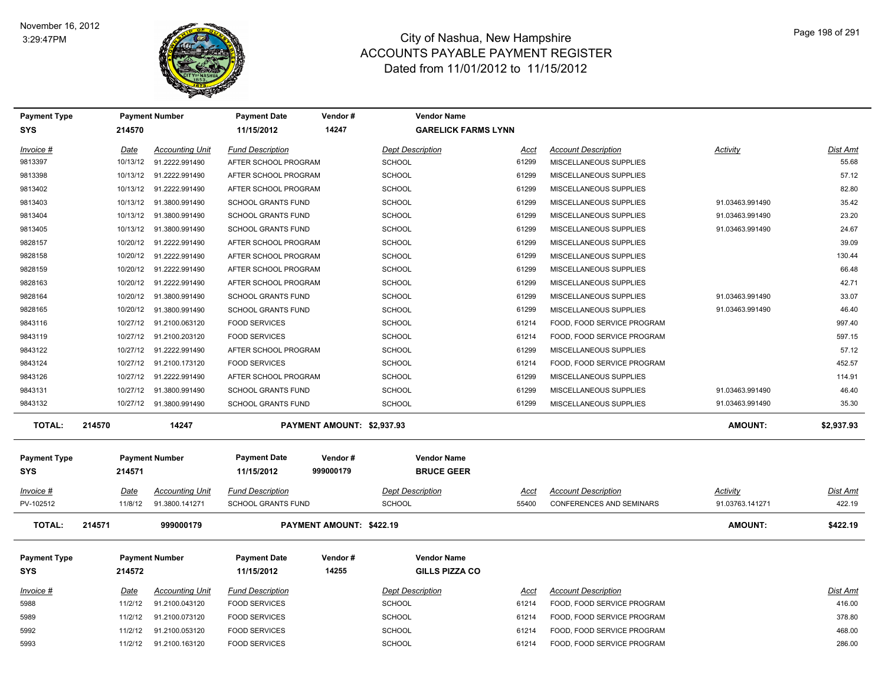

| <b>Payment Type</b>               |             | <b>Payment Number</b>   | <b>Payment Date</b>               | Vendor#                    | <b>Vendor Name</b>                      |             |                            |                 |                 |
|-----------------------------------|-------------|-------------------------|-----------------------------------|----------------------------|-----------------------------------------|-------------|----------------------------|-----------------|-----------------|
| <b>SYS</b>                        | 214570      |                         | 11/15/2012                        | 14247                      | <b>GARELICK FARMS LYNN</b>              |             |                            |                 |                 |
| Invoice #                         | <u>Date</u> | <b>Accounting Unit</b>  | <b>Fund Description</b>           |                            | <b>Dept Description</b>                 | <u>Acct</u> | <b>Account Description</b> | Activity        | <b>Dist Amt</b> |
| 9813397                           | 10/13/12    | 91.2222.991490          | AFTER SCHOOL PROGRAM              |                            | <b>SCHOOL</b>                           | 61299       | MISCELLANEOUS SUPPLIES     |                 | 55.68           |
| 9813398                           | 10/13/12    | 91.2222.991490          | AFTER SCHOOL PROGRAM              |                            | <b>SCHOOL</b>                           | 61299       | MISCELLANEOUS SUPPLIES     |                 | 57.12           |
| 9813402                           | 10/13/12    | 91.2222.991490          | AFTER SCHOOL PROGRAM              |                            | SCHOOL                                  | 61299       | MISCELLANEOUS SUPPLIES     |                 | 82.80           |
| 9813403                           | 10/13/12    | 91.3800.991490          | SCHOOL GRANTS FUND                |                            | SCHOOL                                  | 61299       | MISCELLANEOUS SUPPLIES     | 91.03463.991490 | 35.42           |
| 9813404                           | 10/13/12    | 91.3800.991490          | SCHOOL GRANTS FUND                |                            | <b>SCHOOL</b>                           | 61299       | MISCELLANEOUS SUPPLIES     | 91.03463.991490 | 23.20           |
| 9813405                           |             | 10/13/12 91.3800.991490 | <b>SCHOOL GRANTS FUND</b>         |                            | <b>SCHOOL</b>                           | 61299       | MISCELLANEOUS SUPPLIES     | 91.03463.991490 | 24.67           |
| 9828157                           | 10/20/12    | 91.2222.991490          | AFTER SCHOOL PROGRAM              |                            | <b>SCHOOL</b>                           | 61299       | MISCELLANEOUS SUPPLIES     |                 | 39.09           |
| 9828158                           | 10/20/12    | 91.2222.991490          | AFTER SCHOOL PROGRAM              |                            | SCHOOL                                  | 61299       | MISCELLANEOUS SUPPLIES     |                 | 130.44          |
| 9828159                           |             | 10/20/12 91.2222.991490 | AFTER SCHOOL PROGRAM              |                            | <b>SCHOOL</b>                           | 61299       | MISCELLANEOUS SUPPLIES     |                 | 66.48           |
| 9828163                           | 10/20/12    | 91.2222.991490          | AFTER SCHOOL PROGRAM              |                            | <b>SCHOOL</b>                           | 61299       | MISCELLANEOUS SUPPLIES     |                 | 42.71           |
| 9828164                           | 10/20/12    | 91.3800.991490          | <b>SCHOOL GRANTS FUND</b>         |                            | SCHOOL                                  | 61299       | MISCELLANEOUS SUPPLIES     | 91.03463.991490 | 33.07           |
| 9828165                           | 10/20/12    | 91.3800.991490          | <b>SCHOOL GRANTS FUND</b>         |                            | <b>SCHOOL</b>                           | 61299       | MISCELLANEOUS SUPPLIES     | 91.03463.991490 | 46.40           |
| 9843116                           | 10/27/12    | 91.2100.063120          | <b>FOOD SERVICES</b>              |                            | <b>SCHOOL</b>                           | 61214       | FOOD, FOOD SERVICE PROGRAM |                 | 997.40          |
| 9843119                           | 10/27/12    | 91.2100.203120          | <b>FOOD SERVICES</b>              |                            | SCHOOL                                  | 61214       | FOOD, FOOD SERVICE PROGRAM |                 | 597.15          |
| 9843122                           | 10/27/12    | 91.2222.991490          | AFTER SCHOOL PROGRAM              |                            | <b>SCHOOL</b>                           | 61299       | MISCELLANEOUS SUPPLIES     |                 | 57.12           |
| 9843124                           | 10/27/12    | 91.2100.173120          | <b>FOOD SERVICES</b>              |                            | <b>SCHOOL</b>                           | 61214       | FOOD, FOOD SERVICE PROGRAM |                 | 452.57          |
| 9843126                           |             | 10/27/12 91.2222.991490 | AFTER SCHOOL PROGRAM              |                            | <b>SCHOOL</b>                           | 61299       | MISCELLANEOUS SUPPLIES     |                 | 114.91          |
| 9843131                           | 10/27/12    | 91.3800.991490          | <b>SCHOOL GRANTS FUND</b>         |                            | <b>SCHOOL</b>                           | 61299       | MISCELLANEOUS SUPPLIES     | 91.03463.991490 | 46.40           |
| 9843132                           | 10/27/12    | 91.3800.991490          | <b>SCHOOL GRANTS FUND</b>         |                            | <b>SCHOOL</b>                           | 61299       | MISCELLANEOUS SUPPLIES     | 91.03463.991490 | 35.30           |
| <b>TOTAL:</b>                     | 214570      | 14247                   |                                   | PAYMENT AMOUNT: \$2,937.93 |                                         |             |                            | <b>AMOUNT:</b>  | \$2,937.93      |
| <b>Payment Type</b><br><b>SYS</b> | 214571      | <b>Payment Number</b>   | <b>Payment Date</b><br>11/15/2012 | Vendor#<br>999000179       | <b>Vendor Name</b><br><b>BRUCE GEER</b> |             |                            |                 |                 |
| Invoice #                         | Date        | Accounting Unit         | <b>Fund Description</b>           |                            | <b>Dept Description</b>                 | Acct        | <b>Account Description</b> | Activity        | <b>Dist Amt</b> |
| PV-102512                         | 11/8/12     | 91.3800.141271          | SCHOOL GRANTS FUND                |                            | <b>SCHOOL</b>                           | 55400       | CONFERENCES AND SEMINARS   | 91.03763.141271 | 422.19          |
| <b>TOTAL:</b>                     | 214571      | 999000179               |                                   | PAYMENT AMOUNT: \$422.19   |                                         |             |                            | <b>AMOUNT:</b>  | \$422.19        |
| <b>Payment Type</b>               |             | <b>Payment Number</b>   | <b>Payment Date</b>               | Vendor#                    | <b>Vendor Name</b>                      |             |                            |                 |                 |
| <b>SYS</b>                        | 214572      |                         | 11/15/2012                        | 14255                      | <b>GILLS PIZZA CO</b>                   |             |                            |                 |                 |
| Invoice #                         | <u>Date</u> | <b>Accounting Unit</b>  | <b>Fund Description</b>           |                            | <b>Dept Description</b>                 | <u>Acct</u> | <b>Account Description</b> |                 | Dist Amt        |
| 5988                              | 11/2/12     | 91.2100.043120          | <b>FOOD SERVICES</b>              |                            | <b>SCHOOL</b>                           | 61214       | FOOD, FOOD SERVICE PROGRAM |                 | 416.00          |
| 5989                              | 11/2/12     | 91.2100.073120          | <b>FOOD SERVICES</b>              |                            | SCHOOL                                  | 61214       | FOOD, FOOD SERVICE PROGRAM |                 | 378.80          |
| 5992                              | 11/2/12     | 91.2100.053120          | <b>FOOD SERVICES</b>              |                            | SCHOOL                                  | 61214       | FOOD, FOOD SERVICE PROGRAM |                 | 468.00          |
| 5993                              | 11/2/12     | 91.2100.163120          | <b>FOOD SERVICES</b>              |                            | SCHOOL                                  | 61214       | FOOD, FOOD SERVICE PROGRAM |                 | 286.00          |
|                                   |             |                         |                                   |                            |                                         |             |                            |                 |                 |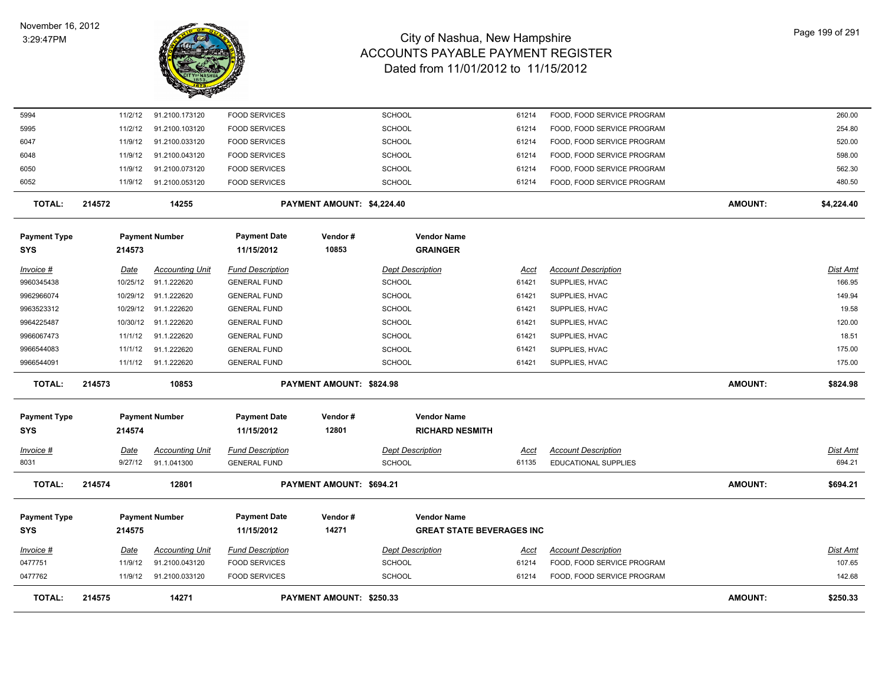

| <b>TOTAL:</b>                     | 214575           | 14271                                 |                                                | <b>PAYMENT AMOUNT: \$250.33</b> |                                          |               |                                              | <b>AMOUNT:</b> | \$250.33                  |
|-----------------------------------|------------------|---------------------------------------|------------------------------------------------|---------------------------------|------------------------------------------|---------------|----------------------------------------------|----------------|---------------------------|
| 0477762                           | 11/9/12          | 91.2100.033120                        | <b>FOOD SERVICES</b>                           |                                 | <b>SCHOOL</b>                            | 61214         | FOOD, FOOD SERVICE PROGRAM                   |                | 142.68                    |
| 0477751                           | 11/9/12          | 91.2100.043120                        | <b>FOOD SERVICES</b>                           |                                 | <b>SCHOOL</b>                            | 61214         | FOOD, FOOD SERVICE PROGRAM                   |                | 107.65                    |
| $Invoice$ #                       | <u>Date</u>      | <b>Accounting Unit</b>                | <b>Fund Description</b>                        |                                 | <b>Dept Description</b>                  | <u>Acct</u>   | <b>Account Description</b>                   |                | <u>Dist Amt</u>           |
| <b>SYS</b>                        | 214575           |                                       | 11/15/2012                                     | 14271                           | <b>GREAT STATE BEVERAGES INC</b>         |               |                                              |                |                           |
| <b>Payment Type</b>               |                  | <b>Payment Number</b>                 | <b>Payment Date</b>                            | Vendor#                         | <b>Vendor Name</b>                       |               |                                              |                |                           |
| <b>TOTAL:</b>                     | 214574           | 12801                                 |                                                | PAYMENT AMOUNT: \$694.21        |                                          |               |                                              | <b>AMOUNT:</b> | \$694.21                  |
| 8031                              | 9/27/12          | 91.1.041300                           | <b>GENERAL FUND</b>                            |                                 | <b>SCHOOL</b>                            | 61135         | <b>EDUCATIONAL SUPPLIES</b>                  |                | 694.21                    |
| Invoice #                         | <u>Date</u>      | <b>Accounting Unit</b>                | <b>Fund Description</b>                        |                                 | <b>Dept Description</b>                  | <u>Acct</u>   | <b>Account Description</b>                   |                | <b>Dist Amt</b>           |
| <b>SYS</b>                        | 214574           |                                       | 11/15/2012                                     | 12801                           | <b>RICHARD NESMITH</b>                   |               |                                              |                |                           |
| <b>Payment Type</b>               |                  | <b>Payment Number</b>                 | <b>Payment Date</b>                            | Vendor#                         | <b>Vendor Name</b>                       |               |                                              |                |                           |
| TOTAL:                            | 214573           | 10853                                 |                                                | <b>PAYMENT AMOUNT: \$824.98</b> |                                          |               |                                              | <b>AMOUNT:</b> | \$824.98                  |
| 9966544091                        | 11/1/12          | 91.1.222620                           | <b>GENERAL FUND</b>                            |                                 | <b>SCHOOL</b>                            | 61421         | SUPPLIES, HVAC                               |                | 175.00                    |
| 9966544083                        | 11/1/12          | 91.1.222620                           | <b>GENERAL FUND</b>                            |                                 | <b>SCHOOL</b>                            | 61421         | SUPPLIES, HVAC                               |                | 175.00                    |
| 9966067473                        | 11/1/12          | 91.1.222620                           | <b>GENERAL FUND</b>                            |                                 | SCHOOL                                   | 61421         | SUPPLIES, HVAC                               |                | 18.51                     |
| 9964225487                        | 10/30/12         | 91.1.222620                           | <b>GENERAL FUND</b>                            |                                 | SCHOOL                                   | 61421         | SUPPLIES, HVAC                               |                | 120.00                    |
| 9963523312                        | 10/29/12         | 91.1.222620                           | <b>GENERAL FUND</b>                            |                                 | <b>SCHOOL</b>                            | 61421         | SUPPLIES, HVAC                               |                | 19.58                     |
| 9962966074                        | 10/29/12         | 91.1.222620                           | <b>GENERAL FUND</b>                            |                                 | <b>SCHOOL</b>                            | 61421         | SUPPLIES, HVAC                               |                | 149.94                    |
| Invoice #<br>9960345438           | Date<br>10/25/12 | <b>Accounting Unit</b><br>91.1.222620 | <b>Fund Description</b><br><b>GENERAL FUND</b> |                                 | <b>Dept Description</b><br><b>SCHOOL</b> | Acct<br>61421 | <b>Account Description</b><br>SUPPLIES, HVAC |                | <b>Dist Amt</b><br>166.95 |
| <b>Payment Type</b><br><b>SYS</b> | 214573           | <b>Payment Number</b>                 | <b>Payment Date</b><br>11/15/2012              | Vendor#<br>10853                | <b>Vendor Name</b><br><b>GRAINGER</b>    |               |                                              |                |                           |
|                                   |                  |                                       |                                                |                                 |                                          |               |                                              |                |                           |
| <b>TOTAL:</b>                     | 214572           | 14255                                 |                                                | PAYMENT AMOUNT: \$4,224.40      |                                          |               |                                              | <b>AMOUNT:</b> | \$4,224.40                |
| 6052                              | 11/9/12          | 91.2100.053120                        | <b>FOOD SERVICES</b>                           |                                 | <b>SCHOOL</b>                            | 61214         | FOOD, FOOD SERVICE PROGRAM                   |                | 480.50                    |
| 6050                              | 11/9/12          | 91.2100.073120                        | <b>FOOD SERVICES</b>                           |                                 | <b>SCHOOL</b>                            | 61214         | FOOD, FOOD SERVICE PROGRAM                   |                | 562.30                    |
| 6048                              | 11/9/12          | 91.2100.043120                        | <b>FOOD SERVICES</b>                           |                                 | <b>SCHOOL</b>                            | 61214         | FOOD, FOOD SERVICE PROGRAM                   |                | 598.00                    |
| 6047                              | 11/9/12          | 91.2100.033120                        | <b>FOOD SERVICES</b>                           |                                 | SCHOOL                                   | 61214         | FOOD, FOOD SERVICE PROGRAM                   |                | 520.00                    |
| 5995                              | 11/2/12          | 91.2100.103120                        | <b>FOOD SERVICES</b>                           |                                 | <b>SCHOOL</b>                            | 61214         | FOOD, FOOD SERVICE PROGRAM                   |                | 254.80                    |
| 5994                              | 11/2/12          | 91.2100.173120                        | <b>FOOD SERVICES</b>                           |                                 | <b>SCHOOL</b>                            | 61214         | FOOD, FOOD SERVICE PROGRAM                   |                | 260.00                    |
|                                   |                  |                                       |                                                |                                 |                                          |               |                                              |                |                           |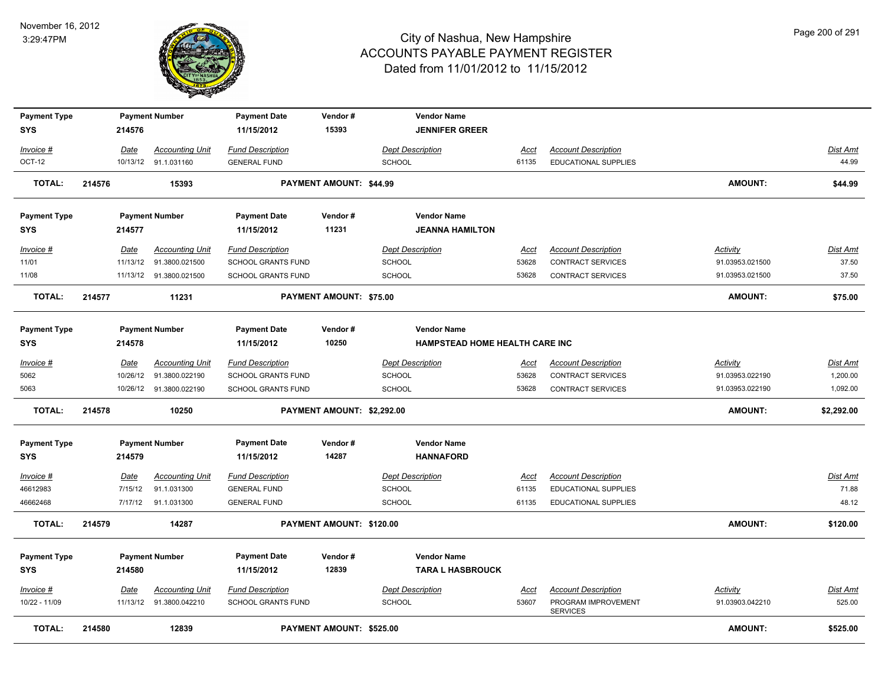

| <b>Payment Type</b> |        |             | <b>Payment Number</b>    | <b>Payment Date</b>       | Vendor#                        | <b>Vendor Name</b>             |             |                                        |                 |                 |
|---------------------|--------|-------------|--------------------------|---------------------------|--------------------------------|--------------------------------|-------------|----------------------------------------|-----------------|-----------------|
| <b>SYS</b>          |        | 214576      |                          | 11/15/2012                | 15393                          | <b>JENNIFER GREER</b>          |             |                                        |                 |                 |
| Invoice #           |        | Date        | <b>Accounting Unit</b>   | <b>Fund Description</b>   |                                | <b>Dept Description</b>        | <u>Acct</u> | <b>Account Description</b>             |                 | Dist Amt        |
| OCT-12              |        |             | 10/13/12 91.1.031160     | <b>GENERAL FUND</b>       |                                | <b>SCHOOL</b>                  | 61135       | <b>EDUCATIONAL SUPPLIES</b>            |                 | 44.99           |
| <b>TOTAL:</b>       | 214576 |             | 15393                    |                           | PAYMENT AMOUNT: \$44.99        |                                |             |                                        | <b>AMOUNT:</b>  | \$44.99         |
| <b>Payment Type</b> |        |             | <b>Payment Number</b>    | <b>Payment Date</b>       | Vendor#                        | <b>Vendor Name</b>             |             |                                        |                 |                 |
| <b>SYS</b>          |        | 214577      |                          | 11/15/2012                | 11231                          | <b>JEANNA HAMILTON</b>         |             |                                        |                 |                 |
| Invoice #           |        | Date        | <b>Accounting Unit</b>   | <b>Fund Description</b>   |                                | <b>Dept Description</b>        | Acct        | <b>Account Description</b>             | <b>Activity</b> | <b>Dist Amt</b> |
| 11/01               |        |             | 11/13/12  91.3800.021500 | SCHOOL GRANTS FUND        |                                | <b>SCHOOL</b>                  | 53628       | CONTRACT SERVICES                      | 91.03953.021500 | 37.50           |
| 11/08               |        |             | 11/13/12 91.3800.021500  | <b>SCHOOL GRANTS FUND</b> |                                | <b>SCHOOL</b>                  | 53628       | <b>CONTRACT SERVICES</b>               | 91.03953.021500 | 37.50           |
| <b>TOTAL:</b>       | 214577 |             | 11231                    |                           | <b>PAYMENT AMOUNT: \$75.00</b> |                                |             |                                        | <b>AMOUNT:</b>  | \$75.00         |
| <b>Payment Type</b> |        |             | <b>Payment Number</b>    | <b>Payment Date</b>       | Vendor#                        | <b>Vendor Name</b>             |             |                                        |                 |                 |
| <b>SYS</b>          |        | 214578      |                          | 11/15/2012                | 10250                          | HAMPSTEAD HOME HEALTH CARE INC |             |                                        |                 |                 |
| Invoice #           |        | Date        | <b>Accounting Unit</b>   | <b>Fund Description</b>   |                                | <b>Dept Description</b>        | Acct        | <b>Account Description</b>             | Activity        | <b>Dist Amt</b> |
| 5062                |        | 10/26/12    | 91.3800.022190           | SCHOOL GRANTS FUND        |                                | <b>SCHOOL</b>                  | 53628       | CONTRACT SERVICES                      | 91.03953.022190 | 1,200.00        |
| 5063                |        |             | 10/26/12 91.3800.022190  | <b>SCHOOL GRANTS FUND</b> |                                | <b>SCHOOL</b>                  | 53628       | <b>CONTRACT SERVICES</b>               | 91.03953.022190 | 1,092.00        |
| <b>TOTAL:</b>       | 214578 |             | 10250                    |                           | PAYMENT AMOUNT: \$2,292.00     |                                |             |                                        | <b>AMOUNT:</b>  | \$2,292.00      |
| <b>Payment Type</b> |        |             | <b>Payment Number</b>    | <b>Payment Date</b>       | Vendor#                        | <b>Vendor Name</b>             |             |                                        |                 |                 |
| <b>SYS</b>          |        | 214579      |                          | 11/15/2012                | 14287                          | <b>HANNAFORD</b>               |             |                                        |                 |                 |
| <u>Invoice #</u>    |        | <b>Date</b> | <b>Accounting Unit</b>   | <b>Fund Description</b>   |                                | <b>Dept Description</b>        | <u>Acct</u> | <b>Account Description</b>             |                 | <b>Dist Amt</b> |
| 46612983            |        | 7/15/12     | 91.1.031300              | <b>GENERAL FUND</b>       |                                | <b>SCHOOL</b>                  | 61135       | <b>EDUCATIONAL SUPPLIES</b>            |                 | 71.88           |
| 46662468            |        | 7/17/12     | 91.1.031300              | <b>GENERAL FUND</b>       |                                | <b>SCHOOL</b>                  | 61135       | <b>EDUCATIONAL SUPPLIES</b>            |                 | 48.12           |
| <b>TOTAL:</b>       | 214579 |             | 14287                    |                           | PAYMENT AMOUNT: \$120.00       |                                |             |                                        | <b>AMOUNT:</b>  | \$120.00        |
| <b>Payment Type</b> |        |             | <b>Payment Number</b>    | <b>Payment Date</b>       | Vendor#                        | <b>Vendor Name</b>             |             |                                        |                 |                 |
| <b>SYS</b>          |        | 214580      |                          | 11/15/2012                | 12839                          | <b>TARA L HASBROUCK</b>        |             |                                        |                 |                 |
| Invoice #           |        | Date        | <b>Accounting Unit</b>   | <b>Fund Description</b>   |                                | <b>Dept Description</b>        | Acct        | <b>Account Description</b>             | Activity        | <b>Dist Amt</b> |
| 10/22 - 11/09       |        |             | 11/13/12  91.3800.042210 | <b>SCHOOL GRANTS FUND</b> |                                | <b>SCHOOL</b>                  | 53607       | PROGRAM IMPROVEMENT<br><b>SERVICES</b> | 91.03903.042210 | 525.00          |
| <b>TOTAL:</b>       | 214580 |             | 12839                    |                           | PAYMENT AMOUNT: \$525.00       |                                |             |                                        | <b>AMOUNT:</b>  | \$525.00        |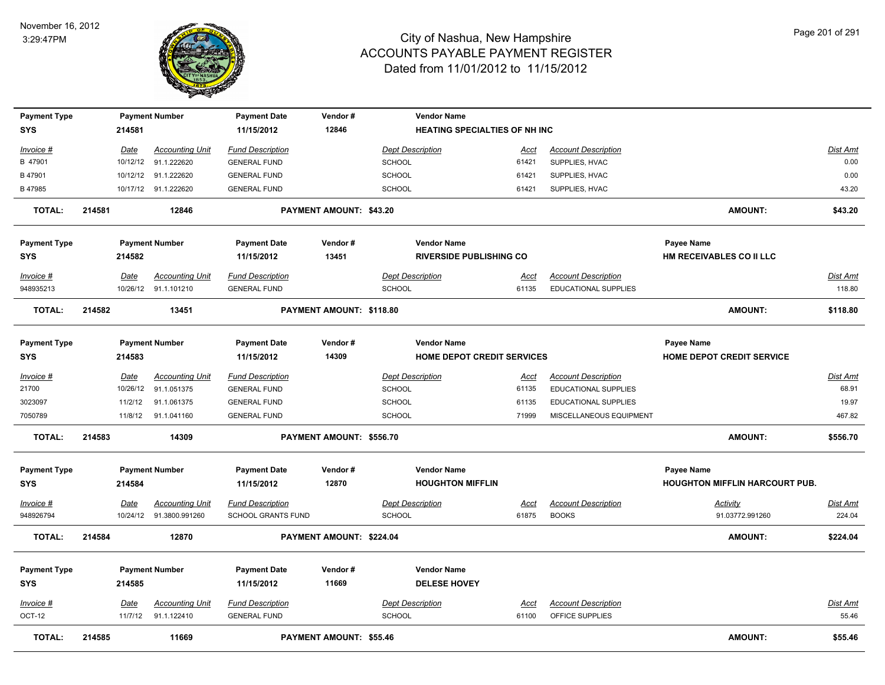

| <b>Payment Type</b> |        |             | <b>Payment Number</b>   | <b>Payment Date</b>     | Vendor#                  |               | <b>Vendor Name</b>                   |             |                             |                                       |                 |
|---------------------|--------|-------------|-------------------------|-------------------------|--------------------------|---------------|--------------------------------------|-------------|-----------------------------|---------------------------------------|-----------------|
| <b>SYS</b>          |        | 214581      |                         | 11/15/2012              | 12846                    |               | <b>HEATING SPECIALTIES OF NH INC</b> |             |                             |                                       |                 |
| Invoice #           |        | <u>Date</u> | <b>Accounting Unit</b>  | <b>Fund Description</b> |                          |               | <b>Dept Description</b>              | Acct        | <b>Account Description</b>  |                                       | Dist Amt        |
| B 47901             |        | 10/12/12    | 91.1.222620             | <b>GENERAL FUND</b>     |                          | <b>SCHOOL</b> |                                      | 61421       | SUPPLIES, HVAC              |                                       | 0.00            |
| B 47901             |        |             | 10/12/12 91.1.222620    | <b>GENERAL FUND</b>     |                          | <b>SCHOOL</b> |                                      | 61421       | SUPPLIES, HVAC              |                                       | 0.00            |
| B 47985             |        |             | 10/17/12 91.1.222620    | <b>GENERAL FUND</b>     |                          | <b>SCHOOL</b> |                                      | 61421       | SUPPLIES, HVAC              |                                       | 43.20           |
| <b>TOTAL:</b>       | 214581 |             | 12846                   |                         | PAYMENT AMOUNT: \$43.20  |               |                                      |             |                             | <b>AMOUNT:</b>                        | \$43.20         |
| <b>Payment Type</b> |        |             | <b>Payment Number</b>   | <b>Payment Date</b>     | Vendor#                  |               | <b>Vendor Name</b>                   |             |                             | Payee Name                            |                 |
| <b>SYS</b>          |        | 214582      |                         | 11/15/2012              | 13451                    |               | <b>RIVERSIDE PUBLISHING CO</b>       |             |                             | HM RECEIVABLES CO II LLC              |                 |
| Invoice #           |        | Date        | <b>Accounting Unit</b>  | <b>Fund Description</b> |                          |               | <b>Dept Description</b>              | Acct        | <b>Account Description</b>  |                                       | Dist Amt        |
| 948935213           |        |             | 10/26/12 91.1.101210    | <b>GENERAL FUND</b>     |                          | <b>SCHOOL</b> |                                      | 61135       | EDUCATIONAL SUPPLIES        |                                       | 118.80          |
| <b>TOTAL:</b>       | 214582 |             | 13451                   |                         | PAYMENT AMOUNT: \$118.80 |               |                                      |             |                             | <b>AMOUNT:</b>                        | \$118.80        |
| <b>Payment Type</b> |        |             | <b>Payment Number</b>   | <b>Payment Date</b>     | Vendor#                  |               | <b>Vendor Name</b>                   |             |                             | <b>Payee Name</b>                     |                 |
| <b>SYS</b>          |        | 214583      |                         | 11/15/2012              | 14309                    |               | <b>HOME DEPOT CREDIT SERVICES</b>    |             |                             | <b>HOME DEPOT CREDIT SERVICE</b>      |                 |
| <u>Invoice #</u>    |        | Date        | <b>Accounting Unit</b>  | <b>Fund Description</b> |                          |               | <b>Dept Description</b>              | <u>Acct</u> | <b>Account Description</b>  |                                       | Dist Amt        |
| 21700               |        | 10/26/12    | 91.1.051375             | <b>GENERAL FUND</b>     |                          | <b>SCHOOL</b> |                                      | 61135       | EDUCATIONAL SUPPLIES        |                                       | 68.91           |
| 3023097             |        | 11/2/12     | 91.1.061375             | <b>GENERAL FUND</b>     |                          | <b>SCHOOL</b> |                                      | 61135       | <b>EDUCATIONAL SUPPLIES</b> |                                       | 19.97           |
| 7050789             |        |             | 11/8/12 91.1.041160     | <b>GENERAL FUND</b>     |                          | <b>SCHOOL</b> |                                      | 71999       | MISCELLANEOUS EQUIPMENT     |                                       | 467.82          |
| <b>TOTAL:</b>       | 214583 |             | 14309                   |                         | PAYMENT AMOUNT: \$556.70 |               |                                      |             |                             | <b>AMOUNT:</b>                        | \$556.70        |
| <b>Payment Type</b> |        |             | <b>Payment Number</b>   | <b>Payment Date</b>     | Vendor#                  |               | <b>Vendor Name</b>                   |             |                             | <b>Payee Name</b>                     |                 |
| <b>SYS</b>          |        | 214584      |                         | 11/15/2012              | 12870                    |               | <b>HOUGHTON MIFFLIN</b>              |             |                             | <b>HOUGHTON MIFFLIN HARCOURT PUB.</b> |                 |
| <u>Invoice #</u>    |        | <b>Date</b> | <b>Accounting Unit</b>  | <b>Fund Description</b> |                          |               | <b>Dept Description</b>              | <u>Acct</u> | <b>Account Description</b>  | <b>Activity</b>                       | <u>Dist Amt</u> |
| 948926794           |        |             | 10/24/12 91.3800.991260 | SCHOOL GRANTS FUND      |                          | <b>SCHOOL</b> |                                      | 61875       | <b>BOOKS</b>                | 91.03772.991260                       | 224.04          |
| <b>TOTAL:</b>       | 214584 |             | 12870                   |                         | PAYMENT AMOUNT: \$224.04 |               |                                      |             |                             | <b>AMOUNT:</b>                        | \$224.04        |
| <b>Payment Type</b> |        |             | <b>Payment Number</b>   | <b>Payment Date</b>     | Vendor#                  |               | <b>Vendor Name</b>                   |             |                             |                                       |                 |
| <b>SYS</b>          |        | 214585      |                         | 11/15/2012              | 11669                    |               | <b>DELESE HOVEY</b>                  |             |                             |                                       |                 |
| <u>Invoice #</u>    |        | Date        | <b>Accounting Unit</b>  | <b>Fund Description</b> |                          |               | <b>Dept Description</b>              | <u>Acct</u> | <b>Account Description</b>  |                                       | Dist Amt        |
| <b>OCT-12</b>       |        | 11/7/12     | 91.1.122410             | <b>GENERAL FUND</b>     |                          | <b>SCHOOL</b> |                                      | 61100       | OFFICE SUPPLIES             |                                       | 55.46           |
| <b>TOTAL:</b>       | 214585 |             | 11669                   |                         | PAYMENT AMOUNT: \$55.46  |               |                                      |             |                             | <b>AMOUNT:</b>                        | \$55.46         |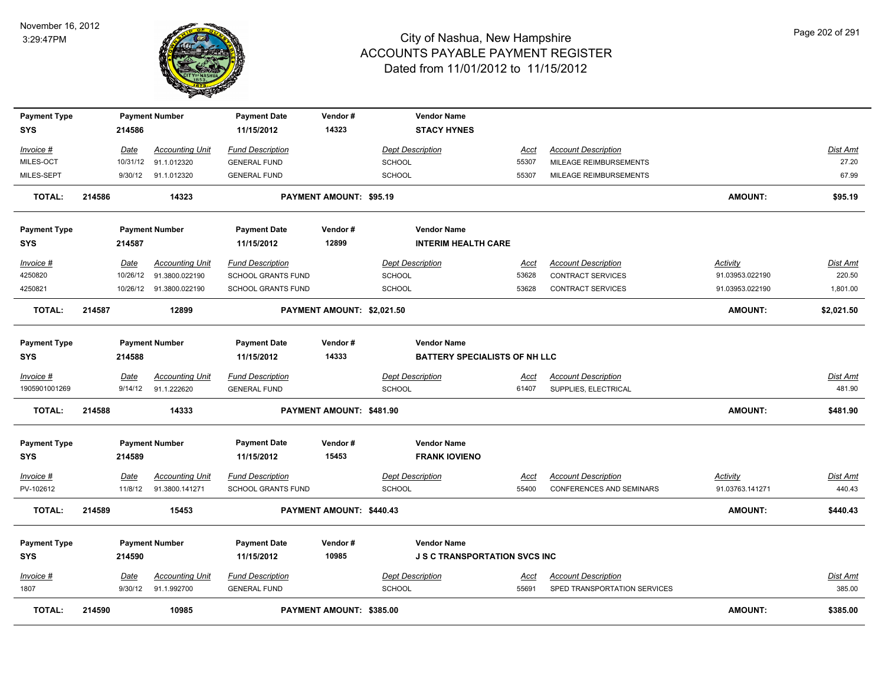

| <b>Payment Type</b> |        |             | <b>Payment Number</b>   | <b>Payment Date</b>       | Vendor#                    | <b>Vendor Name</b>                   |             |                              |                 |                 |
|---------------------|--------|-------------|-------------------------|---------------------------|----------------------------|--------------------------------------|-------------|------------------------------|-----------------|-----------------|
| <b>SYS</b>          |        | 214586      |                         | 11/15/2012                | 14323                      | <b>STACY HYNES</b>                   |             |                              |                 |                 |
| Invoice #           |        | Date        | <b>Accounting Unit</b>  | <b>Fund Description</b>   |                            | <b>Dept Description</b>              | Acct        | <b>Account Description</b>   |                 | <b>Dist Amt</b> |
| MILES-OCT           |        | 10/31/12    | 91.1.012320             | <b>GENERAL FUND</b>       |                            | SCHOOL                               | 55307       | MILEAGE REIMBURSEMENTS       |                 | 27.20           |
| MILES-SEPT          |        | 9/30/12     | 91.1.012320             | <b>GENERAL FUND</b>       |                            | SCHOOL                               | 55307       | MILEAGE REIMBURSEMENTS       |                 | 67.99           |
| <b>TOTAL:</b>       | 214586 |             | 14323                   |                           | PAYMENT AMOUNT: \$95.19    |                                      |             |                              | <b>AMOUNT:</b>  | \$95.19         |
| <b>Payment Type</b> |        |             | <b>Payment Number</b>   | <b>Payment Date</b>       | Vendor#                    | <b>Vendor Name</b>                   |             |                              |                 |                 |
| <b>SYS</b>          |        | 214587      |                         | 11/15/2012                | 12899                      | <b>INTERIM HEALTH CARE</b>           |             |                              |                 |                 |
| Invoice #           |        | Date        | <b>Accounting Unit</b>  | <b>Fund Description</b>   |                            | <b>Dept Description</b>              | Acct        | <b>Account Description</b>   | Activity        | Dist Amt        |
| 4250820             |        | 10/26/12    | 91.3800.022190          | SCHOOL GRANTS FUND        |                            | SCHOOL                               | 53628       | <b>CONTRACT SERVICES</b>     | 91.03953.022190 | 220.50          |
| 4250821             |        |             | 10/26/12 91.3800.022190 | <b>SCHOOL GRANTS FUND</b> |                            | <b>SCHOOL</b>                        | 53628       | <b>CONTRACT SERVICES</b>     | 91.03953.022190 | 1,801.00        |
| <b>TOTAL:</b>       | 214587 |             | 12899                   |                           | PAYMENT AMOUNT: \$2,021.50 |                                      |             |                              | <b>AMOUNT:</b>  | \$2,021.50      |
| <b>Payment Type</b> |        |             | <b>Payment Number</b>   | <b>Payment Date</b>       | Vendor#                    | <b>Vendor Name</b>                   |             |                              |                 |                 |
| <b>SYS</b>          |        | 214588      |                         | 11/15/2012                | 14333                      | <b>BATTERY SPECIALISTS OF NH LLC</b> |             |                              |                 |                 |
| Invoice #           |        | <b>Date</b> | <b>Accounting Unit</b>  | <b>Fund Description</b>   |                            | Dept Description                     | <u>Acct</u> | <b>Account Description</b>   |                 | Dist Amt        |
| 1905901001269       |        | 9/14/12     | 91.1.222620             | <b>GENERAL FUND</b>       |                            | <b>SCHOOL</b>                        | 61407       | SUPPLIES, ELECTRICAL         |                 | 481.90          |
| <b>TOTAL:</b>       | 214588 |             | 14333                   |                           | PAYMENT AMOUNT: \$481.90   |                                      |             |                              | <b>AMOUNT:</b>  | \$481.90        |
| <b>Payment Type</b> |        |             | <b>Payment Number</b>   | <b>Payment Date</b>       | Vendor#                    | <b>Vendor Name</b>                   |             |                              |                 |                 |
| <b>SYS</b>          |        | 214589      |                         | 11/15/2012                | 15453                      | <b>FRANK IOVIENO</b>                 |             |                              |                 |                 |
| $Invoice$ #         |        | Date        | <u>Accounting Unit</u>  | <b>Fund Description</b>   |                            | <b>Dept Description</b>              | <b>Acct</b> | <b>Account Description</b>   | Activity        | <u>Dist Amt</u> |
| PV-102612           |        | 11/8/12     | 91.3800.141271          | SCHOOL GRANTS FUND        |                            | <b>SCHOOL</b>                        | 55400       | CONFERENCES AND SEMINARS     | 91.03763.141271 | 440.43          |
| <b>TOTAL:</b>       | 214589 |             | 15453                   |                           | PAYMENT AMOUNT: \$440.43   |                                      |             |                              | <b>AMOUNT:</b>  | \$440.43        |
| <b>Payment Type</b> |        |             | <b>Payment Number</b>   | <b>Payment Date</b>       | Vendor#                    | <b>Vendor Name</b>                   |             |                              |                 |                 |
| <b>SYS</b>          |        | 214590      |                         | 11/15/2012                | 10985                      | <b>J S C TRANSPORTATION SVCS INC</b> |             |                              |                 |                 |
| Invoice #           |        | Date        | <b>Accounting Unit</b>  | <b>Fund Description</b>   |                            | <b>Dept Description</b>              | Acct        | <b>Account Description</b>   |                 | <b>Dist Amt</b> |
| 1807                |        | 9/30/12     | 91.1.992700             | <b>GENERAL FUND</b>       |                            | <b>SCHOOL</b>                        | 55691       | SPED TRANSPORTATION SERVICES |                 | 385.00          |
| <b>TOTAL:</b>       | 214590 |             | 10985                   |                           | PAYMENT AMOUNT: \$385.00   |                                      |             |                              | <b>AMOUNT:</b>  | \$385.00        |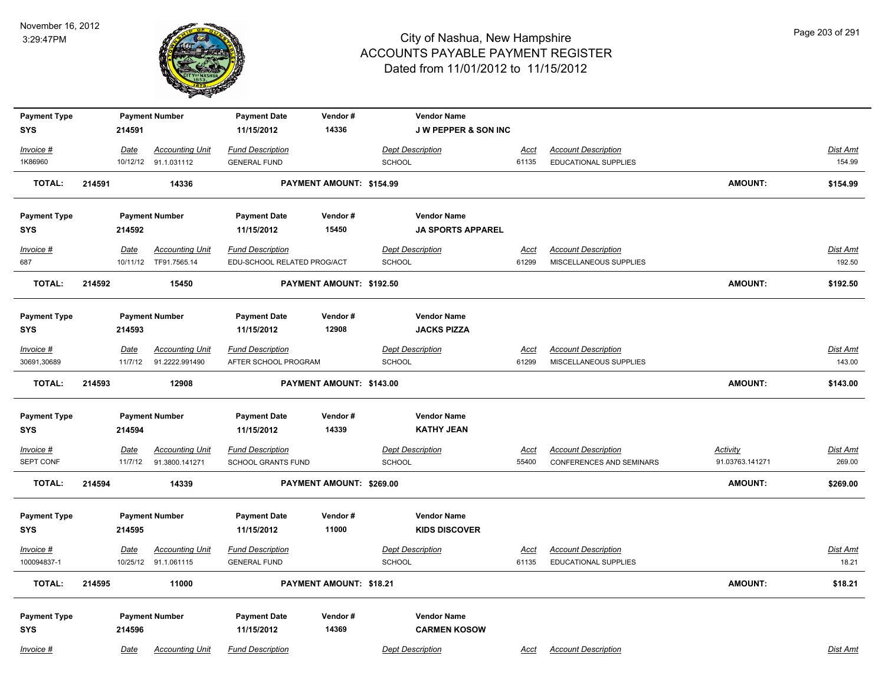

| <b>Payment Type</b>               |        | 214591      | <b>Payment Number</b>  | <b>Payment Date</b><br>11/15/2012 | Vendor#<br>14336         | <b>Vendor Name</b>                      |             |                                 |                 |                 |
|-----------------------------------|--------|-------------|------------------------|-----------------------------------|--------------------------|-----------------------------------------|-------------|---------------------------------|-----------------|-----------------|
| <b>SYS</b>                        |        |             |                        |                                   |                          | <b>JW PEPPER &amp; SON INC</b>          |             |                                 |                 |                 |
| Invoice #                         |        | Date        | <b>Accounting Unit</b> | <b>Fund Description</b>           |                          | <b>Dept Description</b>                 | <u>Acct</u> | <b>Account Description</b>      |                 | Dist Amt        |
| 1K86960                           |        |             | 10/12/12 91.1.031112   | <b>GENERAL FUND</b>               |                          | SCHOOL                                  | 61135       | EDUCATIONAL SUPPLIES            |                 | 154.99          |
| <b>TOTAL:</b>                     | 214591 |             | 14336                  |                                   | PAYMENT AMOUNT: \$154.99 |                                         |             |                                 | <b>AMOUNT:</b>  | \$154.99        |
| <b>Payment Type</b>               |        |             | <b>Payment Number</b>  | <b>Payment Date</b>               | Vendor#                  | <b>Vendor Name</b>                      |             |                                 |                 |                 |
| <b>SYS</b>                        |        | 214592      |                        | 11/15/2012                        | 15450                    | <b>JA SPORTS APPAREL</b>                |             |                                 |                 |                 |
| Invoice #                         |        | Date        | <b>Accounting Unit</b> | <b>Fund Description</b>           |                          | <b>Dept Description</b>                 | Acct        | <b>Account Description</b>      |                 | Dist Amt        |
| 687                               |        |             | 10/11/12 TF91.7565.14  | EDU-SCHOOL RELATED PROG/ACT       |                          | SCHOOL                                  | 61299       | MISCELLANEOUS SUPPLIES          |                 | 192.50          |
| <b>TOTAL:</b>                     | 214592 |             | 15450                  |                                   | PAYMENT AMOUNT: \$192.50 |                                         |             |                                 | <b>AMOUNT:</b>  | \$192.50        |
| <b>Payment Type</b>               |        |             | <b>Payment Number</b>  | <b>Payment Date</b>               | Vendor#                  | <b>Vendor Name</b>                      |             |                                 |                 |                 |
| <b>SYS</b>                        |        | 214593      |                        | 11/15/2012                        | 12908                    | <b>JACKS PIZZA</b>                      |             |                                 |                 |                 |
| Invoice #                         |        | Date        | <b>Accounting Unit</b> | <b>Fund Description</b>           |                          | <b>Dept Description</b>                 | Acct        | <b>Account Description</b>      |                 | Dist Amt        |
| 30691,30689                       |        | 11/7/12     | 91.2222.991490         | AFTER SCHOOL PROGRAM              |                          | SCHOOL                                  | 61299       | MISCELLANEOUS SUPPLIES          |                 | 143.00          |
| <b>TOTAL:</b>                     | 214593 |             | 12908                  |                                   | PAYMENT AMOUNT: \$143.00 |                                         |             |                                 | <b>AMOUNT:</b>  | \$143.00        |
|                                   |        |             |                        |                                   |                          |                                         |             |                                 |                 |                 |
| <b>Payment Type</b><br><b>SYS</b> |        | 214594      | <b>Payment Number</b>  | <b>Payment Date</b><br>11/15/2012 | Vendor#<br>14339         | <b>Vendor Name</b><br><b>KATHY JEAN</b> |             |                                 |                 |                 |
|                                   |        |             |                        |                                   |                          |                                         |             |                                 |                 |                 |
| $Invoice$ #                       |        | <b>Date</b> | <b>Accounting Unit</b> | <b>Fund Description</b>           |                          | <b>Dept Description</b>                 | <b>Acct</b> | <b>Account Description</b>      | <b>Activity</b> | <b>Dist Amt</b> |
| SEPT CONF                         |        | 11/7/12     | 91.3800.141271         | <b>SCHOOL GRANTS FUND</b>         |                          | SCHOOL                                  | 55400       | <b>CONFERENCES AND SEMINARS</b> | 91.03763.141271 | 269.00          |
| <b>TOTAL:</b>                     | 214594 |             | 14339                  |                                   | PAYMENT AMOUNT: \$269.00 |                                         |             |                                 | <b>AMOUNT:</b>  | \$269.00        |
| <b>Payment Type</b>               |        |             | <b>Payment Number</b>  | <b>Payment Date</b>               | Vendor#                  | <b>Vendor Name</b>                      |             |                                 |                 |                 |
| <b>SYS</b>                        |        | 214595      |                        | 11/15/2012                        | 11000                    | <b>KIDS DISCOVER</b>                    |             |                                 |                 |                 |
| Invoice #                         |        | Date        | <b>Accounting Unit</b> | <b>Fund Description</b>           |                          | <b>Dept Description</b>                 | Acct        | <b>Account Description</b>      |                 | Dist Amt        |
| 100094837-1                       |        |             | 10/25/12 91.1.061115   | <b>GENERAL FUND</b>               |                          | SCHOOL                                  | 61135       | EDUCATIONAL SUPPLIES            |                 | 18.21           |
| <b>TOTAL:</b>                     | 214595 |             | 11000                  |                                   | PAYMENT AMOUNT: \$18.21  |                                         |             |                                 | AMOUNT:         | \$18.21         |
|                                   |        |             |                        |                                   |                          |                                         |             |                                 |                 |                 |
| <b>Payment Type</b>               |        |             | <b>Payment Number</b>  | <b>Payment Date</b>               | Vendor#                  | <b>Vendor Name</b>                      |             |                                 |                 |                 |
| <b>SYS</b>                        |        | 214596      |                        | 11/15/2012                        | 14369                    | <b>CARMEN KOSOW</b>                     |             |                                 |                 |                 |
| Invoice #                         |        | Date        | <b>Accounting Unit</b> | <b>Fund Description</b>           |                          | <b>Dept Description</b>                 | Acct        | <b>Account Description</b>      |                 | Dist Amt        |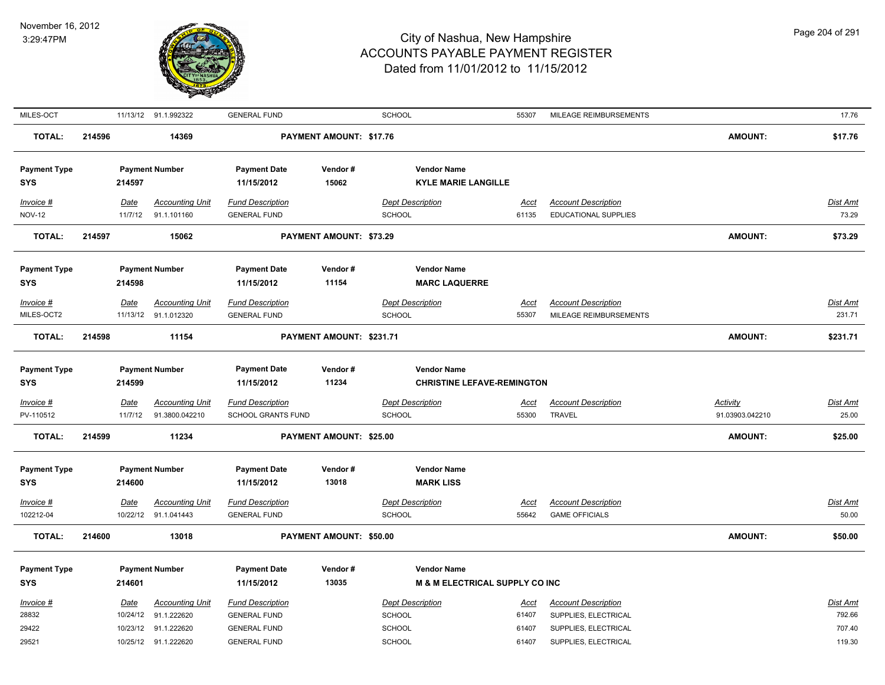

| MILES-OCT                         |        |          | 11/13/12 91.1.992322   | <b>GENERAL FUND</b>               |                                | SCHOOL                                           | 55307       | MILEAGE REIMBURSEMENTS     |                 | 17.76           |
|-----------------------------------|--------|----------|------------------------|-----------------------------------|--------------------------------|--------------------------------------------------|-------------|----------------------------|-----------------|-----------------|
| <b>TOTAL:</b>                     | 214596 |          | 14369                  |                                   | <b>PAYMENT AMOUNT: \$17.76</b> |                                                  |             |                            | <b>AMOUNT:</b>  | \$17.76         |
| <b>Payment Type</b><br><b>SYS</b> |        | 214597   | <b>Payment Number</b>  | <b>Payment Date</b><br>11/15/2012 | Vendor#<br>15062               | <b>Vendor Name</b><br><b>KYLE MARIE LANGILLE</b> |             |                            |                 |                 |
| Invoice #                         |        | Date     | <b>Accounting Unit</b> | <b>Fund Description</b>           |                                | <b>Dept Description</b>                          | Acct        | <b>Account Description</b> |                 | Dist Amt        |
| <b>NOV-12</b>                     |        | 11/7/12  | 91.1.101160            | <b>GENERAL FUND</b>               |                                | <b>SCHOOL</b>                                    | 61135       | EDUCATIONAL SUPPLIES       |                 | 73.29           |
| <b>TOTAL:</b>                     | 214597 |          | 15062                  |                                   | <b>PAYMENT AMOUNT: \$73.29</b> |                                                  |             |                            | <b>AMOUNT:</b>  | \$73.29         |
| <b>Payment Type</b><br><b>SYS</b> |        | 214598   | <b>Payment Number</b>  | <b>Payment Date</b><br>11/15/2012 | Vendor#<br>11154               | <b>Vendor Name</b><br><b>MARC LAQUERRE</b>       |             |                            |                 |                 |
| Invoice #                         |        | Date     | <b>Accounting Unit</b> | <b>Fund Description</b>           |                                | <b>Dept Description</b>                          | Acct        | <b>Account Description</b> |                 | Dist Amt        |
| MILES-OCT2                        |        |          | 11/13/12 91.1.012320   | <b>GENERAL FUND</b>               |                                | <b>SCHOOL</b>                                    | 55307       | MILEAGE REIMBURSEMENTS     |                 | 231.71          |
| <b>TOTAL:</b>                     | 214598 |          | 11154                  |                                   | PAYMENT AMOUNT: \$231.71       |                                                  |             |                            | <b>AMOUNT:</b>  | \$231.71        |
| <b>Payment Type</b>               |        |          | <b>Payment Number</b>  | <b>Payment Date</b>               | Vendor#                        | <b>Vendor Name</b>                               |             |                            |                 |                 |
| SYS                               |        | 214599   |                        | 11/15/2012                        | 11234                          | <b>CHRISTINE LEFAVE-REMINGTON</b>                |             |                            |                 |                 |
| <b>Invoice #</b>                  |        | Date     | <b>Accounting Unit</b> | <b>Fund Description</b>           |                                | <b>Dept Description</b>                          | <u>Acct</u> | <b>Account Description</b> | <b>Activity</b> | Dist Amt        |
| PV-110512                         |        | 11/7/12  | 91.3800.042210         | <b>SCHOOL GRANTS FUND</b>         |                                | <b>SCHOOL</b>                                    | 55300       | <b>TRAVEL</b>              | 91.03903.042210 | 25.00           |
| <b>TOTAL:</b>                     | 214599 |          | 11234                  |                                   | PAYMENT AMOUNT: \$25.00        |                                                  |             |                            | <b>AMOUNT:</b>  | \$25.00         |
| <b>Payment Type</b><br><b>SYS</b> |        | 214600   | <b>Payment Number</b>  | <b>Payment Date</b><br>11/15/2012 | Vendor #<br>13018              | <b>Vendor Name</b><br><b>MARK LISS</b>           |             |                            |                 |                 |
| Invoice #                         |        | Date     | <b>Accounting Unit</b> | <b>Fund Description</b>           |                                | <b>Dept Description</b>                          | <u>Acct</u> | <b>Account Description</b> |                 | <b>Dist Amt</b> |
| 102212-04                         |        |          | 10/22/12 91.1.041443   | <b>GENERAL FUND</b>               |                                | <b>SCHOOL</b>                                    | 55642       | <b>GAME OFFICIALS</b>      |                 | 50.00           |
| <b>TOTAL:</b>                     | 214600 |          | 13018                  |                                   | PAYMENT AMOUNT: \$50.00        |                                                  |             |                            | <b>AMOUNT:</b>  | \$50.00         |
| <b>Payment Type</b>               |        |          | <b>Payment Number</b>  | <b>Payment Date</b>               | Vendor#                        | <b>Vendor Name</b>                               |             |                            |                 |                 |
| <b>SYS</b>                        |        | 214601   |                        | 11/15/2012                        | 13035                          | <b>M &amp; M ELECTRICAL SUPPLY CO INC</b>        |             |                            |                 |                 |
| $Invoice$ #                       |        | Date     | <b>Accounting Unit</b> | <u>Fund Description</u>           |                                | <b>Dept Description</b>                          | <u>Acct</u> | <b>Account Description</b> |                 | Dist Amt        |
| 28832                             |        | 10/24/12 | 91.1.222620            | <b>GENERAL FUND</b>               |                                | SCHOOL                                           | 61407       | SUPPLIES, ELECTRICAL       |                 | 792.66          |
| 29422                             |        |          | 10/23/12 91.1.222620   | <b>GENERAL FUND</b>               |                                | SCHOOL                                           | 61407       | SUPPLIES, ELECTRICAL       |                 | 707.40          |
| 29521                             |        |          | 10/25/12 91.1.222620   | <b>GENERAL FUND</b>               |                                | SCHOOL                                           | 61407       | SUPPLIES, ELECTRICAL       |                 | 119.30          |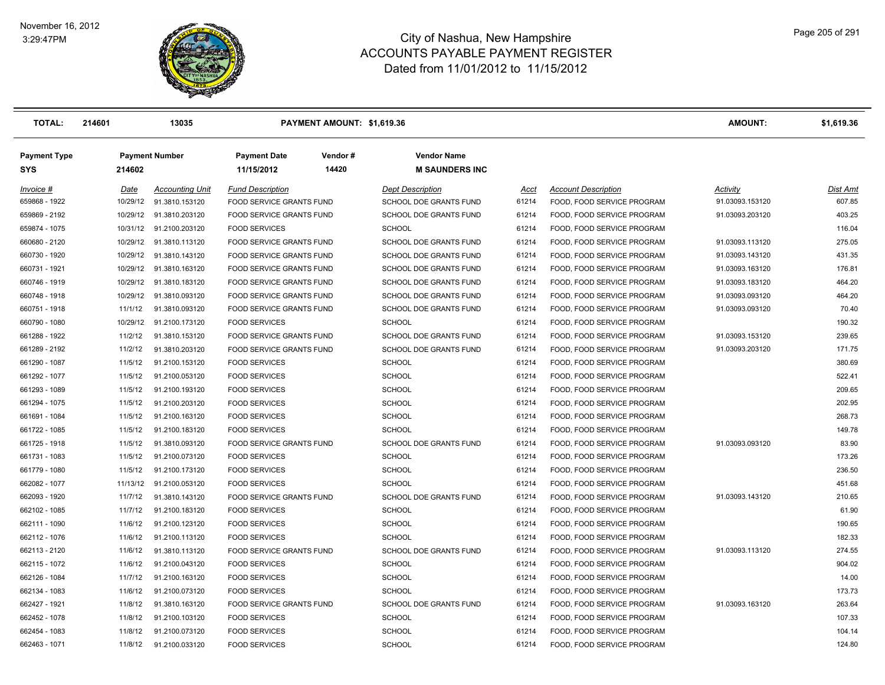**Payment Type Payment Number Payment Date Vendor # Vendor Name**



| <b>TOTAL:</b>                  | 214601               | 13035                                    |                                                      | PAYMENT AMOUNT: \$1,619.36 |                                                          |                |                                                          | <b>AMOUNT:</b>                     | \$1,619.36         |
|--------------------------------|----------------------|------------------------------------------|------------------------------------------------------|----------------------------|----------------------------------------------------------|----------------|----------------------------------------------------------|------------------------------------|--------------------|
| Payment Type<br>SYS            | 214602               | <b>Payment Number</b>                    | <b>Payment Date</b><br>11/15/2012                    | Vendor#<br>14420           | <b>Vendor Name</b><br><b>M SAUNDERS INC</b>              |                |                                                          |                                    |                    |
|                                |                      |                                          |                                                      |                            |                                                          |                |                                                          |                                    |                    |
| Invoice #                      | Date                 | <b>Accounting Unit</b><br>91.3810.153120 | <b>Fund Description</b><br>FOOD SERVICE GRANTS FUND  |                            | <b>Dept Description</b><br><b>SCHOOL DOE GRANTS FUND</b> | Acct<br>61214  | <b>Account Description</b><br>FOOD, FOOD SERVICE PROGRAM | Activity                           | Dist Amt<br>607.85 |
| 659868 - 1922<br>659869 - 2192 | 10/29/12<br>10/29/12 | 91.3810.203120                           | FOOD SERVICE GRANTS FUND                             |                            | SCHOOL DOE GRANTS FUND                                   | 61214          | FOOD, FOOD SERVICE PROGRAM                               | 91.03093.153120<br>91.03093.203120 | 403.25             |
| 659874 - 1075                  | 10/31/12             | 91.2100.203120                           | <b>FOOD SERVICES</b>                                 |                            | <b>SCHOOL</b>                                            | 61214          | FOOD, FOOD SERVICE PROGRAM                               |                                    |                    |
|                                | 10/29/12             | 91.3810.113120                           |                                                      |                            | SCHOOL DOE GRANTS FUND                                   | 61214          | FOOD, FOOD SERVICE PROGRAM                               | 91.03093.113120                    | 116.04<br>275.05   |
| 660680 - 2120                  |                      |                                          | FOOD SERVICE GRANTS FUND                             |                            |                                                          |                |                                                          |                                    |                    |
| 660730 - 1920                  | 10/29/12             | 91.3810.143120                           | FOOD SERVICE GRANTS FUND                             |                            | SCHOOL DOE GRANTS FUND                                   | 61214          | FOOD, FOOD SERVICE PROGRAM                               | 91.03093.143120                    | 431.35             |
| 660731 - 1921                  | 10/29/12             | 91.3810.163120                           | FOOD SERVICE GRANTS FUND                             |                            | SCHOOL DOE GRANTS FUND                                   | 61214          | FOOD, FOOD SERVICE PROGRAM                               | 91.03093.163120                    | 176.81             |
| 660746 - 1919                  | 10/29/12             | 91.3810.183120<br>91.3810.093120         | FOOD SERVICE GRANTS FUND<br>FOOD SERVICE GRANTS FUND |                            | SCHOOL DOE GRANTS FUND<br><b>SCHOOL DOE GRANTS FUND</b>  | 61214<br>61214 | FOOD, FOOD SERVICE PROGRAM<br>FOOD, FOOD SERVICE PROGRAM | 91.03093.183120                    | 464.20<br>464.20   |
| 660748 - 1918                  | 10/29/12             |                                          |                                                      |                            |                                                          |                |                                                          | 91.03093.093120                    | 70.40              |
| 660751 - 1918<br>660790 - 1080 | 11/1/12<br>10/29/12  | 91.3810.093120<br>91.2100.173120         | FOOD SERVICE GRANTS FUND<br><b>FOOD SERVICES</b>     |                            | SCHOOL DOE GRANTS FUND<br><b>SCHOOL</b>                  | 61214<br>61214 | FOOD, FOOD SERVICE PROGRAM<br>FOOD, FOOD SERVICE PROGRAM | 91.03093.093120                    | 190.32             |
| 661288 - 1922                  | 11/2/12              | 91.3810.153120                           | FOOD SERVICE GRANTS FUND                             |                            | SCHOOL DOE GRANTS FUND                                   | 61214          | FOOD, FOOD SERVICE PROGRAM                               | 91.03093.153120                    | 239.65             |
| 661289 - 2192                  | 11/2/12              | 91.3810.203120                           | FOOD SERVICE GRANTS FUND                             |                            | SCHOOL DOE GRANTS FUND                                   | 61214          | FOOD, FOOD SERVICE PROGRAM                               | 91.03093.203120                    | 171.75             |
| 661290 - 1087                  | 11/5/12              | 91.2100.153120                           | <b>FOOD SERVICES</b>                                 |                            | <b>SCHOOL</b>                                            | 61214          | FOOD, FOOD SERVICE PROGRAM                               |                                    | 380.69             |
| 661292 - 1077                  | 11/5/12              | 91.2100.053120                           | <b>FOOD SERVICES</b>                                 |                            | <b>SCHOOL</b>                                            | 61214          | FOOD, FOOD SERVICE PROGRAM                               |                                    | 522.41             |
| 661293 - 1089                  | 11/5/12              | 91.2100.193120                           | <b>FOOD SERVICES</b>                                 |                            | <b>SCHOOL</b>                                            | 61214          | FOOD, FOOD SERVICE PROGRAM                               |                                    | 209.65             |
| 661294 - 1075                  | 11/5/12              | 91.2100.203120                           | <b>FOOD SERVICES</b>                                 |                            | <b>SCHOOL</b>                                            | 61214          | FOOD, FOOD SERVICE PROGRAM                               |                                    | 202.95             |
| 661691 - 1084                  | 11/5/12              | 91.2100.163120                           | <b>FOOD SERVICES</b>                                 |                            | <b>SCHOOL</b>                                            | 61214          | FOOD, FOOD SERVICE PROGRAM                               |                                    | 268.73             |
| 661722 - 1085                  | 11/5/12              | 91.2100.183120                           | <b>FOOD SERVICES</b>                                 |                            | <b>SCHOOL</b>                                            | 61214          | FOOD, FOOD SERVICE PROGRAM                               |                                    | 149.78             |
| 661725 - 1918                  | 11/5/12              | 91.3810.093120                           | FOOD SERVICE GRANTS FUND                             |                            | SCHOOL DOE GRANTS FUND                                   | 61214          | FOOD, FOOD SERVICE PROGRAM                               | 91.03093.093120                    | 83.90              |
| 661731 - 1083                  | 11/5/12              | 91.2100.073120                           | <b>FOOD SERVICES</b>                                 |                            | <b>SCHOOL</b>                                            | 61214          | FOOD, FOOD SERVICE PROGRAM                               |                                    | 173.26             |
| 661779 - 1080                  | 11/5/12              | 91.2100.173120                           | <b>FOOD SERVICES</b>                                 |                            | <b>SCHOOL</b>                                            | 61214          | FOOD, FOOD SERVICE PROGRAM                               |                                    | 236.50             |
| 662082 - 1077                  | 11/13/12             | 91.2100.053120                           | <b>FOOD SERVICES</b>                                 |                            | <b>SCHOOL</b>                                            | 61214          | FOOD, FOOD SERVICE PROGRAM                               |                                    | 451.68             |
| 662093 - 1920                  | 11/7/12              | 91.3810.143120                           | <b>FOOD SERVICE GRANTS FUND</b>                      |                            | SCHOOL DOE GRANTS FUND                                   | 61214          | FOOD, FOOD SERVICE PROGRAM                               | 91.03093.143120                    | 210.65             |
| 662102 - 1085                  | 11/7/12              | 91.2100.183120                           | <b>FOOD SERVICES</b>                                 |                            | <b>SCHOOL</b>                                            | 61214          | FOOD, FOOD SERVICE PROGRAM                               |                                    | 61.90              |
| 662111 - 1090                  | 11/6/12              | 91.2100.123120                           | <b>FOOD SERVICES</b>                                 |                            | <b>SCHOOL</b>                                            | 61214          | FOOD, FOOD SERVICE PROGRAM                               |                                    | 190.65             |
| 662112 - 1076                  | 11/6/12              | 91.2100.113120                           | <b>FOOD SERVICES</b>                                 |                            | <b>SCHOOL</b>                                            | 61214          | FOOD, FOOD SERVICE PROGRAM                               |                                    | 182.33             |
| 662113 - 2120                  | 11/6/12              | 91.3810.113120                           | FOOD SERVICE GRANTS FUND                             |                            | SCHOOL DOE GRANTS FUND                                   | 61214          | FOOD, FOOD SERVICE PROGRAM                               | 91.03093.113120                    | 274.55             |
| 662115 - 1072                  | 11/6/12              | 91.2100.043120                           | <b>FOOD SERVICES</b>                                 |                            | <b>SCHOOL</b>                                            | 61214          | FOOD, FOOD SERVICE PROGRAM                               |                                    | 904.02             |
| 662126 - 1084                  | 11/7/12              | 91.2100.163120                           | <b>FOOD SERVICES</b>                                 |                            | <b>SCHOOL</b>                                            | 61214          | FOOD, FOOD SERVICE PROGRAM                               |                                    | 14.00              |
| 662134 - 1083                  | 11/6/12              | 91.2100.073120                           | <b>FOOD SERVICES</b>                                 |                            | <b>SCHOOL</b>                                            | 61214          | FOOD, FOOD SERVICE PROGRAM                               |                                    | 173.73             |
| 662427 - 1921                  | 11/8/12              | 91.3810.163120                           | FOOD SERVICE GRANTS FUND                             |                            | SCHOOL DOE GRANTS FUND                                   | 61214          | FOOD, FOOD SERVICE PROGRAM                               | 91.03093.163120                    | 263.64             |
| 662452 - 1078                  | 11/8/12              | 91.2100.103120                           | <b>FOOD SERVICES</b>                                 |                            | <b>SCHOOL</b>                                            | 61214          | FOOD, FOOD SERVICE PROGRAM                               |                                    | 107.33             |
| 662454 - 1083                  | 11/8/12              | 91.2100.073120                           | <b>FOOD SERVICES</b>                                 |                            | <b>SCHOOL</b>                                            | 61214          | FOOD, FOOD SERVICE PROGRAM                               |                                    | 104.14             |
| 662463 - 1071                  | 11/8/12              | 91.2100.033120                           | <b>FOOD SERVICES</b>                                 |                            | <b>SCHOOL</b>                                            | 61214          | FOOD, FOOD SERVICE PROGRAM                               |                                    | 124.80             |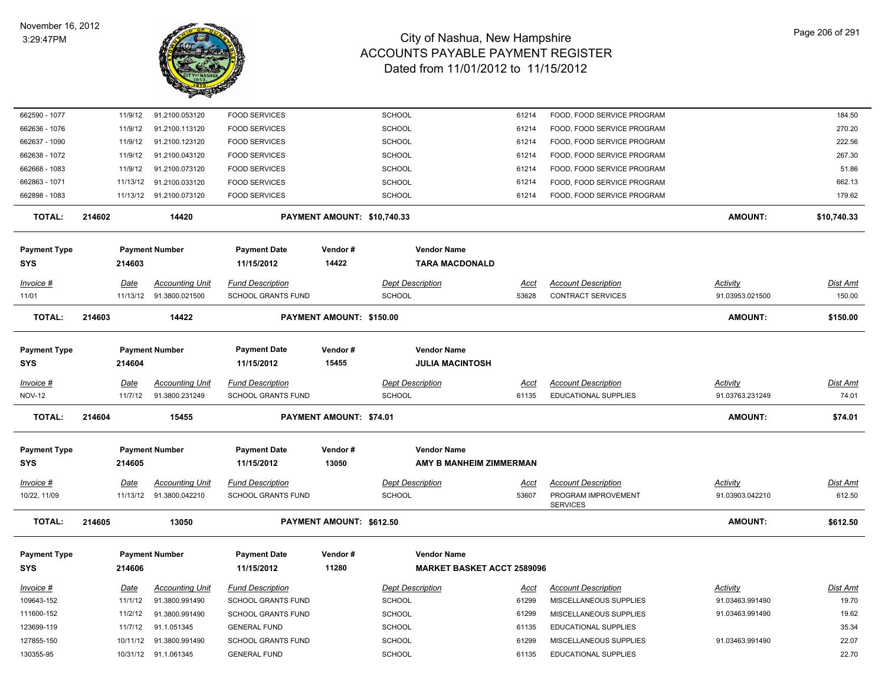

| 662590 - 1077                     |             | 11/9/12  | 91.2100.053120                           | <b>FOOD SERVICES</b>                          |                             | SCHOOL                                      | 61214                             | FOOD, FOOD SERVICE PROGRAM                      |                             | 184.50             |
|-----------------------------------|-------------|----------|------------------------------------------|-----------------------------------------------|-----------------------------|---------------------------------------------|-----------------------------------|-------------------------------------------------|-----------------------------|--------------------|
| 662636 - 1076                     |             | 11/9/12  | 91.2100.113120                           | <b>FOOD SERVICES</b>                          |                             | <b>SCHOOL</b>                               | 61214                             | FOOD, FOOD SERVICE PROGRAM                      |                             | 270.20             |
| 662637 - 1090                     |             | 11/9/12  | 91.2100.123120                           | <b>FOOD SERVICES</b>                          |                             | <b>SCHOOL</b>                               | 61214                             | FOOD, FOOD SERVICE PROGRAM                      |                             | 222.56             |
| 662638 - 1072                     |             | 11/9/12  | 91.2100.043120                           | <b>FOOD SERVICES</b>                          |                             | <b>SCHOOL</b>                               | 61214                             | FOOD, FOOD SERVICE PROGRAM                      |                             | 267.30             |
| 662668 - 1083                     |             | 11/9/12  | 91.2100.073120                           | <b>FOOD SERVICES</b>                          |                             | <b>SCHOOL</b>                               | 61214                             | FOOD, FOOD SERVICE PROGRAM                      |                             | 51.86              |
| 662863 - 1071                     |             | 11/13/12 | 91.2100.033120                           | <b>FOOD SERVICES</b>                          |                             | <b>SCHOOL</b>                               | 61214                             | FOOD, FOOD SERVICE PROGRAM                      |                             | 662.13             |
| 662898 - 1083                     |             |          | 11/13/12 91.2100.073120                  | <b>FOOD SERVICES</b>                          |                             | <b>SCHOOL</b>                               | 61214                             | FOOD, FOOD SERVICE PROGRAM                      |                             | 179.62             |
| <b>TOTAL:</b>                     | 214602      |          | 14420                                    |                                               | PAYMENT AMOUNT: \$10,740.33 |                                             |                                   |                                                 | <b>AMOUNT:</b>              | \$10,740.33        |
| <b>Payment Type</b><br><b>SYS</b> | 214603      |          | <b>Payment Number</b>                    | <b>Payment Date</b><br>11/15/2012             | Vendor#<br>14422            | <b>Vendor Name</b><br><b>TARA MACDONALD</b> |                                   |                                                 |                             |                    |
|                                   |             |          |                                          |                                               |                             |                                             |                                   |                                                 |                             |                    |
| Invoice #<br>11/01                | <b>Date</b> | 11/13/12 | <b>Accounting Unit</b><br>91.3800.021500 | <b>Fund Description</b><br>SCHOOL GRANTS FUND |                             | <b>Dept Description</b><br><b>SCHOOL</b>    | <u>Acct</u><br>53628              | <b>Account Description</b><br>CONTRACT SERVICES | Activity<br>91.03953.021500 | Dist Amt<br>150.00 |
|                                   |             |          |                                          |                                               |                             |                                             |                                   |                                                 |                             |                    |
| <b>TOTAL:</b>                     | 214603      |          | 14422                                    |                                               | PAYMENT AMOUNT: \$150.00    |                                             |                                   |                                                 | <b>AMOUNT:</b>              | \$150.00           |
| <b>Payment Type</b>               |             |          | <b>Payment Number</b>                    | <b>Payment Date</b>                           | Vendor#                     | <b>Vendor Name</b>                          |                                   |                                                 |                             |                    |
| <b>SYS</b>                        |             | 214604   |                                          | 11/15/2012                                    | 15455                       | <b>JULIA MACINTOSH</b>                      |                                   |                                                 |                             |                    |
| Invoice #                         | Date        |          | <b>Accounting Unit</b>                   | <b>Fund Description</b>                       |                             | <b>Dept Description</b>                     | <u>Acct</u>                       | <b>Account Description</b>                      | Activity                    | <b>Dist Amt</b>    |
| <b>NOV-12</b>                     |             | 11/7/12  | 91.3800.231249                           | SCHOOL GRANTS FUND                            |                             | <b>SCHOOL</b>                               | 61135                             | EDUCATIONAL SUPPLIES                            | 91.03763.231249             | 74.01              |
| <b>TOTAL:</b>                     | 214604      |          | 15455                                    |                                               | PAYMENT AMOUNT: \$74.01     |                                             |                                   |                                                 | <b>AMOUNT:</b>              | \$74.01            |
|                                   |             |          |                                          |                                               |                             |                                             |                                   |                                                 |                             |                    |
| <b>Payment Type</b>               |             |          | <b>Payment Number</b>                    | <b>Payment Date</b>                           | Vendor#                     | <b>Vendor Name</b>                          |                                   |                                                 |                             |                    |
| <b>SYS</b>                        |             | 214605   |                                          | 11/15/2012                                    | 13050                       |                                             | AMY B MANHEIM ZIMMERMAN           |                                                 |                             |                    |
| $Invoice$ #                       | Date        |          | <b>Accounting Unit</b>                   | <b>Fund Description</b>                       |                             | <b>Dept Description</b>                     | <u>Acct</u>                       | <b>Account Description</b>                      | <b>Activity</b>             | <b>Dist Amt</b>    |
| 10/22, 11/09                      |             |          | 11/13/12  91.3800.042210                 | SCHOOL GRANTS FUND                            |                             | <b>SCHOOL</b>                               | 53607                             | PROGRAM IMPROVEMENT<br><b>SERVICES</b>          | 91.03903.042210             | 612.50             |
| <b>TOTAL:</b>                     | 214605      |          | 13050                                    |                                               | PAYMENT AMOUNT: \$612.50    |                                             |                                   |                                                 | <b>AMOUNT:</b>              | \$612.50           |
| <b>Payment Type</b>               |             |          | <b>Payment Number</b>                    | <b>Payment Date</b>                           | Vendor#                     | <b>Vendor Name</b>                          |                                   |                                                 |                             |                    |
| <b>SYS</b>                        | 214606      |          |                                          | 11/15/2012                                    | 11280                       |                                             | <b>MARKET BASKET ACCT 2589096</b> |                                                 |                             |                    |
| Invoice #                         | <b>Date</b> |          | <b>Accounting Unit</b>                   | <b>Fund Description</b>                       |                             | <b>Dept Description</b>                     | <u>Acct</u>                       | <b>Account Description</b>                      | <b>Activity</b>             | <u>Dist Amt</u>    |
| 109643-152                        |             | 11/1/12  | 91.3800.991490                           | SCHOOL GRANTS FUND                            |                             | <b>SCHOOL</b>                               | 61299                             | MISCELLANEOUS SUPPLIES                          | 91.03463.991490             | 19.70              |
| 111600-152                        |             | 11/2/12  | 91.3800.991490                           | SCHOOL GRANTS FUND                            |                             | SCHOOL                                      | 61299                             | MISCELLANEOUS SUPPLIES                          | 91.03463.991490             | 19.62              |
| 123699-119                        |             | 11/7/12  | 91.1.051345                              | <b>GENERAL FUND</b>                           |                             | <b>SCHOOL</b>                               | 61135                             | EDUCATIONAL SUPPLIES                            |                             | 35.34              |
| 127855-150                        |             | 10/11/12 | 91.3800.991490                           | <b>SCHOOL GRANTS FUND</b>                     |                             | <b>SCHOOL</b>                               | 61299                             | MISCELLANEOUS SUPPLIES                          | 91.03463.991490             | 22.07              |
| 130355-95                         |             |          | 10/31/12 91.1.061345                     | <b>GENERAL FUND</b>                           |                             | <b>SCHOOL</b>                               | 61135                             | <b>EDUCATIONAL SUPPLIES</b>                     |                             | 22.70              |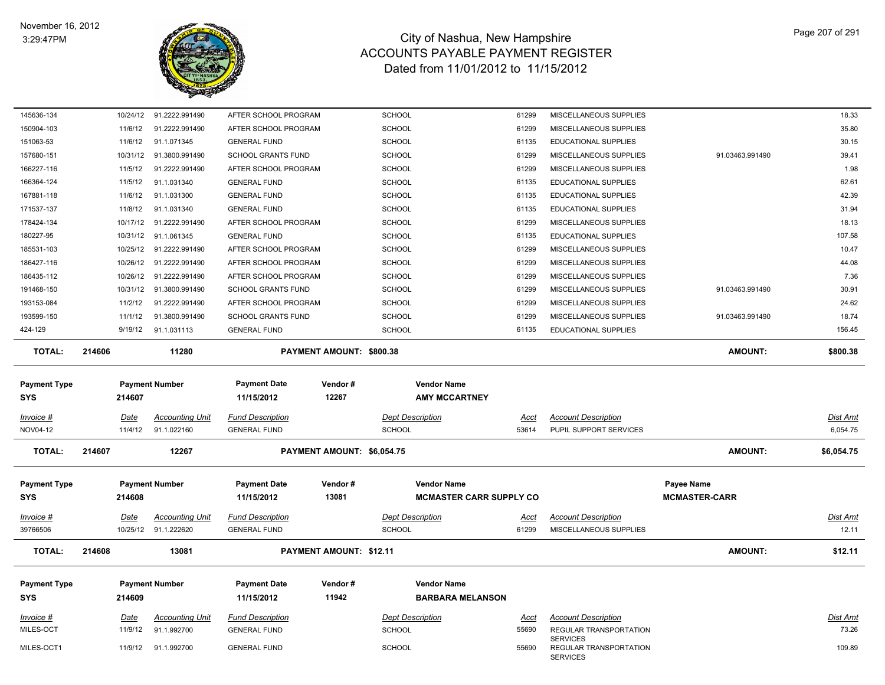

| 145636-134                        | 10/24/12    | 91.2222.991490                        | AFTER SCHOOL PROGRAM                           |                                | <b>SCHOOL</b>                                        | 61299                | MISCELLANEOUS SUPPLIES                               |                                           | 18.33                |
|-----------------------------------|-------------|---------------------------------------|------------------------------------------------|--------------------------------|------------------------------------------------------|----------------------|------------------------------------------------------|-------------------------------------------|----------------------|
| 150904-103                        | 11/6/12     | 91.2222.991490                        | AFTER SCHOOL PROGRAM                           |                                | <b>SCHOOL</b>                                        | 61299                | MISCELLANEOUS SUPPLIES                               |                                           | 35.80                |
| 151063-53                         | 11/6/12     | 91.1.071345                           | <b>GENERAL FUND</b>                            |                                | <b>SCHOOL</b>                                        | 61135                | EDUCATIONAL SUPPLIES                                 |                                           | 30.15                |
| 157680-151                        | 10/31/12    | 91.3800.991490                        | <b>SCHOOL GRANTS FUND</b>                      |                                | <b>SCHOOL</b>                                        | 61299                | <b>MISCELLANEOUS SUPPLIES</b>                        | 91.03463.991490                           | 39.41                |
| 166227-116                        | 11/5/12     | 91.2222.991490                        | AFTER SCHOOL PROGRAM                           |                                | <b>SCHOOL</b>                                        | 61299                | MISCELLANEOUS SUPPLIES                               |                                           | 1.98                 |
| 166364-124                        | 11/5/12     | 91.1.031340                           | <b>GENERAL FUND</b>                            |                                | <b>SCHOOL</b>                                        | 61135                | EDUCATIONAL SUPPLIES                                 |                                           | 62.61                |
| 167881-118                        | 11/6/12     | 91.1.031300                           | <b>GENERAL FUND</b>                            |                                | <b>SCHOOL</b>                                        | 61135                | EDUCATIONAL SUPPLIES                                 |                                           | 42.39                |
| 171537-137                        | 11/8/12     | 91.1.031340                           | <b>GENERAL FUND</b>                            |                                | <b>SCHOOL</b>                                        | 61135                | EDUCATIONAL SUPPLIES                                 |                                           | 31.94                |
| 178424-134                        | 10/17/12    | 91.2222.991490                        | AFTER SCHOOL PROGRAM                           |                                | <b>SCHOOL</b>                                        | 61299                | MISCELLANEOUS SUPPLIES                               |                                           | 18.13                |
| 180227-95                         | 10/31/12    | 91.1.061345                           | <b>GENERAL FUND</b>                            |                                | <b>SCHOOL</b>                                        | 61135                | <b>EDUCATIONAL SUPPLIES</b>                          |                                           | 107.58               |
| 185531-103                        | 10/25/12    | 91.2222.991490                        | AFTER SCHOOL PROGRAM                           |                                | <b>SCHOOL</b>                                        | 61299                | MISCELLANEOUS SUPPLIES                               |                                           | 10.47                |
| 186427-116                        | 10/26/12    | 91.2222.991490                        | AFTER SCHOOL PROGRAM                           |                                | <b>SCHOOL</b>                                        | 61299                | MISCELLANEOUS SUPPLIES                               |                                           | 44.08                |
| 186435-112                        | 10/26/12    | 91.2222.991490                        | AFTER SCHOOL PROGRAM                           |                                | <b>SCHOOL</b>                                        | 61299                | MISCELLANEOUS SUPPLIES                               |                                           | 7.36                 |
| 191468-150                        | 10/31/12    | 91.3800.991490                        | <b>SCHOOL GRANTS FUND</b>                      |                                | <b>SCHOOL</b>                                        | 61299                | MISCELLANEOUS SUPPLIES                               | 91.03463.991490                           | 30.91                |
| 193153-084                        | 11/2/12     | 91.2222.991490                        | AFTER SCHOOL PROGRAM                           |                                | <b>SCHOOL</b>                                        | 61299                | MISCELLANEOUS SUPPLIES                               |                                           | 24.62                |
| 193599-150                        | 11/1/12     | 91.3800.991490                        | <b>SCHOOL GRANTS FUND</b>                      |                                | <b>SCHOOL</b>                                        | 61299                | MISCELLANEOUS SUPPLIES                               | 91.03463.991490                           | 18.74                |
| 424-129                           | 9/19/12     | 91.1.031113                           | <b>GENERAL FUND</b>                            |                                | <b>SCHOOL</b>                                        | 61135                | EDUCATIONAL SUPPLIES                                 |                                           | 156.45               |
| <b>TOTAL:</b>                     | 214606      | 11280                                 |                                                | PAYMENT AMOUNT: \$800.38       |                                                      |                      |                                                      | <b>AMOUNT:</b>                            | \$800.38             |
|                                   |             |                                       |                                                |                                |                                                      |                      |                                                      |                                           |                      |
| <b>Payment Type</b><br><b>SYS</b> | 214607      | <b>Payment Number</b>                 | <b>Payment Date</b><br>11/15/2012              | Vendor#<br>12267               | <b>Vendor Name</b><br><b>AMY MCCARTNEY</b>           |                      |                                                      |                                           |                      |
|                                   |             |                                       |                                                |                                |                                                      |                      |                                                      |                                           |                      |
| $Invoice$ #<br>NOV04-12           | Date        | <b>Accounting Unit</b><br>91.1.022160 | <b>Fund Description</b><br><b>GENERAL FUND</b> |                                | <b>Dept Description</b><br><b>SCHOOL</b>             | <u>Acct</u><br>53614 | <b>Account Description</b><br>PUPIL SUPPORT SERVICES |                                           | Dist Amt<br>6,054.75 |
|                                   | 11/4/12     |                                       |                                                |                                |                                                      |                      |                                                      |                                           |                      |
| <b>TOTAL:</b>                     | 214607      | 12267                                 |                                                | PAYMENT AMOUNT: \$6,054.75     |                                                      |                      |                                                      | AMOUNT:                                   | \$6,054.75           |
| <b>Payment Type</b><br><b>SYS</b> | 214608      | <b>Payment Number</b>                 | <b>Payment Date</b><br>11/15/2012              | Vendor#<br>13081               | <b>Vendor Name</b><br><b>MCMASTER CARR SUPPLY CO</b> |                      |                                                      | <b>Payee Name</b><br><b>MCMASTER-CARR</b> |                      |
| Invoice #                         | Date        | <b>Accounting Unit</b>                | <b>Fund Description</b>                        |                                | <b>Dept Description</b>                              | Acct                 | <b>Account Description</b>                           |                                           | Dist Amt             |
| 39766506                          |             | 10/25/12 91.1.222620                  | <b>GENERAL FUND</b>                            |                                | <b>SCHOOL</b>                                        | 61299                | MISCELLANEOUS SUPPLIES                               |                                           | 12.11                |
| <b>TOTAL:</b>                     | 214608      | 13081                                 |                                                | <b>PAYMENT AMOUNT: \$12.11</b> |                                                      |                      |                                                      | <b>AMOUNT:</b>                            | \$12.11              |
| <b>Payment Type</b>               |             | <b>Payment Number</b>                 | <b>Payment Date</b>                            | Vendor#                        | <b>Vendor Name</b>                                   |                      |                                                      |                                           |                      |
| <b>SYS</b>                        | 214609      |                                       | 11/15/2012                                     | 11942                          | <b>BARBARA MELANSON</b>                              |                      |                                                      |                                           |                      |
|                                   |             |                                       |                                                |                                |                                                      |                      |                                                      |                                           |                      |
| $Invoice$ #                       | <u>Date</u> | <b>Accounting Unit</b>                | <b>Fund Description</b>                        |                                | <b>Dept Description</b>                              | <u>Acct</u>          | <b>Account Description</b>                           |                                           | <b>Dist Amt</b>      |
| MILES-OCT                         | 11/9/12     | 91.1.992700                           | <b>GENERAL FUND</b>                            |                                | <b>SCHOOL</b>                                        | 55690                | REGULAR TRANSPORTATION<br><b>SERVICES</b>            |                                           | 73.26                |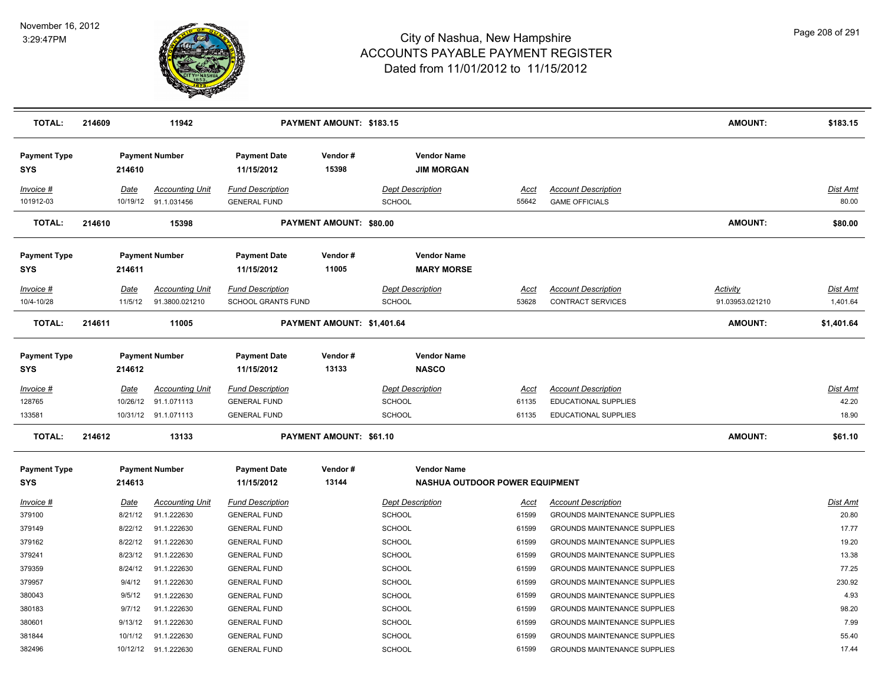

| <b>TOTAL:</b>                     | 214609                  | 11942                                    |                                                | PAYMENT AMOUNT: \$183.15       |                                                             |                      |                                                                            | <b>AMOUNT:</b>                     | \$183.15                    |
|-----------------------------------|-------------------------|------------------------------------------|------------------------------------------------|--------------------------------|-------------------------------------------------------------|----------------------|----------------------------------------------------------------------------|------------------------------------|-----------------------------|
| <b>Payment Type</b><br><b>SYS</b> | 214610                  | <b>Payment Number</b>                    | <b>Payment Date</b><br>11/15/2012              | Vendor#<br>15398               | <b>Vendor Name</b><br><b>JIM MORGAN</b>                     |                      |                                                                            |                                    |                             |
| Invoice #<br>101912-03            | Date<br>10/19/12        | <b>Accounting Unit</b><br>91.1.031456    | <b>Fund Description</b><br><b>GENERAL FUND</b> |                                | <b>Dept Description</b><br>SCHOOL                           | Acct<br>55642        | <b>Account Description</b><br><b>GAME OFFICIALS</b>                        |                                    | Dist Amt<br>80.00           |
| <b>TOTAL:</b>                     | 214610                  | 15398                                    |                                                | <b>PAYMENT AMOUNT: \$80.00</b> |                                                             |                      |                                                                            | <b>AMOUNT:</b>                     | \$80.00                     |
| <b>Payment Type</b><br><b>SYS</b> | 214611                  | <b>Payment Number</b>                    | <b>Payment Date</b><br>11/15/2012              | Vendor#<br>11005               | <b>Vendor Name</b><br><b>MARY MORSE</b>                     |                      |                                                                            |                                    |                             |
| Invoice #<br>10/4-10/28           | Date<br>11/5/12         | <b>Accounting Unit</b><br>91.3800.021210 | <b>Fund Description</b><br>SCHOOL GRANTS FUND  |                                | <b>Dept Description</b><br>SCHOOL                           | Acct<br>53628        | <b>Account Description</b><br><b>CONTRACT SERVICES</b>                     | <b>Activity</b><br>91.03953.021210 | <b>Dist Amt</b><br>1,401.64 |
| <b>TOTAL:</b>                     | 214611                  | 11005                                    |                                                | PAYMENT AMOUNT: \$1,401.64     |                                                             |                      |                                                                            | AMOUNT:                            | \$1,401.64                  |
| <b>Payment Type</b><br><b>SYS</b> | 214612                  | <b>Payment Number</b>                    | <b>Payment Date</b><br>11/15/2012              | Vendor#<br>13133               | <b>Vendor Name</b><br><b>NASCO</b>                          |                      |                                                                            |                                    |                             |
| <u>Invoice #</u><br>128765        | <u>Date</u><br>10/26/12 | <b>Accounting Unit</b><br>91.1.071113    | <b>Fund Description</b><br><b>GENERAL FUND</b> |                                | <b>Dept Description</b><br><b>SCHOOL</b>                    | <u>Acct</u><br>61135 | <b>Account Description</b><br>EDUCATIONAL SUPPLIES                         |                                    | Dist Amt<br>42.20           |
| 133581                            |                         | 10/31/12 91.1.071113                     | <b>GENERAL FUND</b>                            |                                | <b>SCHOOL</b>                                               | 61135                | EDUCATIONAL SUPPLIES                                                       |                                    | 18.90                       |
| <b>TOTAL:</b>                     | 214612                  | 13133                                    |                                                | PAYMENT AMOUNT: \$61.10        |                                                             |                      |                                                                            | <b>AMOUNT:</b>                     | \$61.10                     |
| <b>Payment Type</b><br><b>SYS</b> | 214613                  | <b>Payment Number</b>                    | <b>Payment Date</b><br>11/15/2012              | Vendor#<br>13144               | <b>Vendor Name</b><br><b>NASHUA OUTDOOR POWER EQUIPMENT</b> |                      |                                                                            |                                    |                             |
| Invoice #<br>379100               | Date<br>8/21/12         | <b>Accounting Unit</b><br>91.1.222630    | <b>Fund Description</b><br><b>GENERAL FUND</b> |                                | <b>Dept Description</b><br><b>SCHOOL</b>                    | <u>Acct</u><br>61599 | <b>Account Description</b><br>GROUNDS MAINTENANCE SUPPLIES                 |                                    | Dist Amt<br>20.80           |
| 379149<br>379162                  | 8/22/12<br>8/22/12      | 91.1.222630<br>91.1.222630               | <b>GENERAL FUND</b><br><b>GENERAL FUND</b>     |                                | <b>SCHOOL</b><br><b>SCHOOL</b>                              | 61599<br>61599       | <b>GROUNDS MAINTENANCE SUPPLIES</b><br><b>GROUNDS MAINTENANCE SUPPLIES</b> |                                    | 17.77<br>19.20              |
| 379241<br>379359                  | 8/23/12<br>8/24/12      | 91.1.222630<br>91.1.222630               | <b>GENERAL FUND</b><br><b>GENERAL FUND</b>     |                                | <b>SCHOOL</b><br><b>SCHOOL</b>                              | 61599<br>61599       | <b>GROUNDS MAINTENANCE SUPPLIES</b><br>GROUNDS MAINTENANCE SUPPLIES        |                                    | 13.38<br>77.25              |
| 379957<br>380043                  | 9/4/12<br>9/5/12        | 91.1.222630<br>91.1.222630               | <b>GENERAL FUND</b><br><b>GENERAL FUND</b>     |                                | <b>SCHOOL</b><br><b>SCHOOL</b>                              | 61599<br>61599       | <b>GROUNDS MAINTENANCE SUPPLIES</b><br><b>GROUNDS MAINTENANCE SUPPLIES</b> |                                    | 230.92<br>4.93              |
| 380183<br>380601                  | 9/7/12<br>9/13/12       | 91.1.222630<br>91.1.222630               | <b>GENERAL FUND</b><br><b>GENERAL FUND</b>     |                                | <b>SCHOOL</b><br><b>SCHOOL</b>                              | 61599<br>61599       | <b>GROUNDS MAINTENANCE SUPPLIES</b><br><b>GROUNDS MAINTENANCE SUPPLIES</b> |                                    | 98.20<br>7.99               |
| 381844<br>382496                  | 10/1/12                 | 91.1.222630<br>10/12/12 91.1.222630      | <b>GENERAL FUND</b><br><b>GENERAL FUND</b>     |                                | <b>SCHOOL</b><br>SCHOOL                                     | 61599<br>61599       | <b>GROUNDS MAINTENANCE SUPPLIES</b><br><b>GROUNDS MAINTENANCE SUPPLIES</b> |                                    | 55.40<br>17.44              |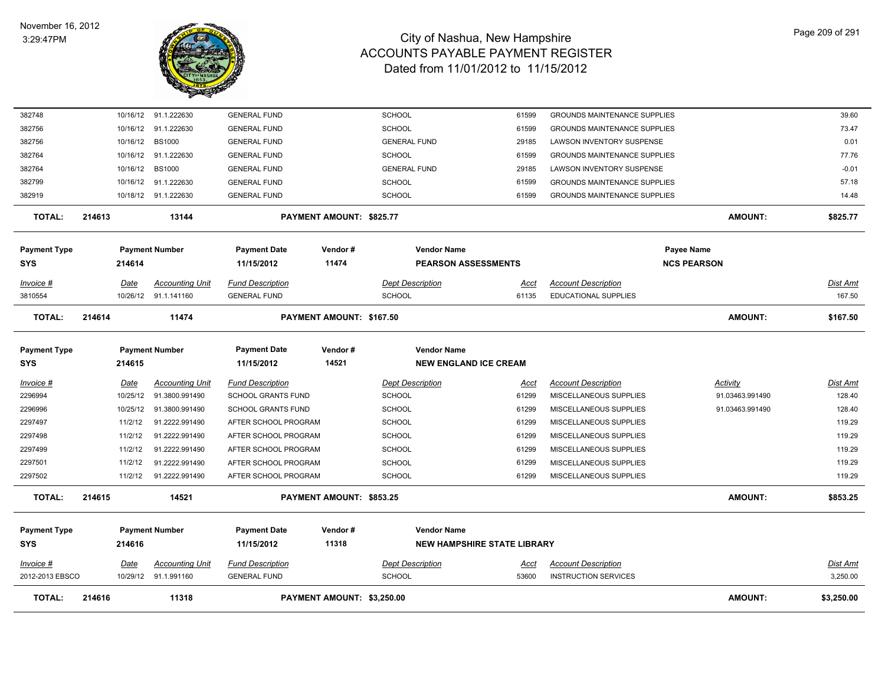

| 214616 |                         | 11318                                    |                                                                                                                      |                  |                                                                                                                                                                                  |                                                                                                                |                                                            | <b>AMOUNT:</b>                     | \$3,250.00                                                                                                                                                                                                                          |
|--------|-------------------------|------------------------------------------|----------------------------------------------------------------------------------------------------------------------|------------------|----------------------------------------------------------------------------------------------------------------------------------------------------------------------------------|----------------------------------------------------------------------------------------------------------------|------------------------------------------------------------|------------------------------------|-------------------------------------------------------------------------------------------------------------------------------------------------------------------------------------------------------------------------------------|
|        | <u>Date</u><br>10/29/12 | <b>Accounting Unit</b>                   | <b>Fund Description</b><br><b>GENERAL FUND</b>                                                                       |                  | <b>Dept Description</b><br><b>SCHOOL</b>                                                                                                                                         | <u>Acct</u><br>53600                                                                                           | <b>Account Description</b><br><b>INSTRUCTION SERVICES</b>  |                                    | Dist Amt<br>3,250.00                                                                                                                                                                                                                |
|        | 214616                  |                                          | <b>Payment Date</b><br>11/15/2012                                                                                    | Vendor#<br>11318 | <b>Vendor Name</b>                                                                                                                                                               |                                                                                                                |                                                            |                                    |                                                                                                                                                                                                                                     |
| 214615 |                         | 14521                                    |                                                                                                                      |                  |                                                                                                                                                                                  |                                                                                                                |                                                            | <b>AMOUNT:</b>                     | \$853.25                                                                                                                                                                                                                            |
|        | 11/2/12                 | 91.2222.991490                           |                                                                                                                      |                  | <b>SCHOOL</b>                                                                                                                                                                    | 61299                                                                                                          | MISCELLANEOUS SUPPLIES                                     |                                    | 119.29                                                                                                                                                                                                                              |
|        | 11/2/12                 | 91.2222.991490                           |                                                                                                                      |                  | <b>SCHOOL</b>                                                                                                                                                                    | 61299                                                                                                          | MISCELLANEOUS SUPPLIES                                     |                                    | 119.29                                                                                                                                                                                                                              |
|        | 11/2/12                 | 91.2222.991490                           |                                                                                                                      |                  | <b>SCHOOL</b>                                                                                                                                                                    | 61299                                                                                                          | MISCELLANEOUS SUPPLIES                                     |                                    | 119.29                                                                                                                                                                                                                              |
|        | 11/2/12                 | 91.2222.991490                           |                                                                                                                      |                  | <b>SCHOOL</b>                                                                                                                                                                    | 61299                                                                                                          | MISCELLANEOUS SUPPLIES                                     |                                    | 119.29                                                                                                                                                                                                                              |
|        | 11/2/12                 | 91.2222.991490                           |                                                                                                                      |                  | <b>SCHOOL</b>                                                                                                                                                                    | 61299                                                                                                          | MISCELLANEOUS SUPPLIES                                     |                                    | 119.29                                                                                                                                                                                                                              |
|        | 10/25/12                | 91.3800.991490                           |                                                                                                                      |                  | <b>SCHOOL</b>                                                                                                                                                                    | 61299                                                                                                          | MISCELLANEOUS SUPPLIES                                     | 91.03463.991490                    | 128.40                                                                                                                                                                                                                              |
|        | Date<br>10/25/12        | <b>Accounting Unit</b><br>91.3800.991490 | <b>Fund Description</b>                                                                                              |                  | <b>Dept Description</b><br><b>SCHOOL</b>                                                                                                                                         | <u>Acct</u><br>61299                                                                                           | <b>Account Description</b><br>MISCELLANEOUS SUPPLIES       | Activity<br>91.03463.991490        | <u>Dist Amt</u><br>128.40                                                                                                                                                                                                           |
|        |                         |                                          |                                                                                                                      |                  |                                                                                                                                                                                  |                                                                                                                |                                                            |                                    |                                                                                                                                                                                                                                     |
|        |                         |                                          | <b>Payment Date</b>                                                                                                  | Vendor#          | <b>Vendor Name</b>                                                                                                                                                               |                                                                                                                |                                                            |                                    |                                                                                                                                                                                                                                     |
| 214614 |                         | 11474                                    |                                                                                                                      |                  |                                                                                                                                                                                  |                                                                                                                |                                                            | <b>AMOUNT:</b>                     | \$167.50                                                                                                                                                                                                                            |
|        | 10/26/12                | 91.1.141160                              | <b>GENERAL FUND</b>                                                                                                  |                  | <b>SCHOOL</b>                                                                                                                                                                    | 61135                                                                                                          | EDUCATIONAL SUPPLIES                                       |                                    | 167.50                                                                                                                                                                                                                              |
|        | <u>Date</u>             | <b>Accounting Unit</b>                   | <b>Fund Description</b>                                                                                              |                  | <b>Dept Description</b>                                                                                                                                                          | <u>Acct</u>                                                                                                    | <b>Account Description</b>                                 |                                    | <u>Dist Amt</u>                                                                                                                                                                                                                     |
|        | 214614                  |                                          | 11/15/2012                                                                                                           | 11474            |                                                                                                                                                                                  |                                                                                                                |                                                            |                                    |                                                                                                                                                                                                                                     |
|        |                         |                                          | <b>Payment Date</b>                                                                                                  | Vendor#          | <b>Vendor Name</b>                                                                                                                                                               |                                                                                                                |                                                            |                                    |                                                                                                                                                                                                                                     |
| 214613 |                         | 13144                                    |                                                                                                                      |                  |                                                                                                                                                                                  |                                                                                                                |                                                            | <b>AMOUNT:</b>                     | \$825.77                                                                                                                                                                                                                            |
|        | 10/18/12                |                                          | <b>GENERAL FUND</b>                                                                                                  |                  | <b>SCHOOL</b>                                                                                                                                                                    | 61599                                                                                                          |                                                            |                                    | 14.48                                                                                                                                                                                                                               |
|        | 10/16/12                | 91.1.222630                              | <b>GENERAL FUND</b>                                                                                                  |                  | <b>SCHOOL</b>                                                                                                                                                                    | 61599                                                                                                          |                                                            |                                    | 57.18                                                                                                                                                                                                                               |
|        | 10/16/12                | <b>BS1000</b>                            | <b>GENERAL FUND</b>                                                                                                  |                  | <b>GENERAL FUND</b>                                                                                                                                                              | 29185                                                                                                          | LAWSON INVENTORY SUSPENSE                                  |                                    | $-0.01$                                                                                                                                                                                                                             |
|        | 10/16/12                | 91.1.222630                              | <b>GENERAL FUND</b>                                                                                                  |                  | <b>SCHOOL</b>                                                                                                                                                                    | 61599                                                                                                          |                                                            |                                    | 77.76                                                                                                                                                                                                                               |
|        | 10/16/12                | <b>BS1000</b>                            | <b>GENERAL FUND</b>                                                                                                  |                  | <b>GENERAL FUND</b>                                                                                                                                                              | 29185                                                                                                          | <b>LAWSON INVENTORY SUSPENSE</b>                           |                                    | 0.01                                                                                                                                                                                                                                |
|        | 10/16/12                | 91.1.222630                              | <b>GENERAL FUND</b>                                                                                                  |                  | SCHOOL                                                                                                                                                                           | 61599                                                                                                          |                                                            |                                    | 73.47                                                                                                                                                                                                                               |
|        | 10/16/12                |                                          | <b>GENERAL FUND</b>                                                                                                  |                  | <b>SCHOOL</b>                                                                                                                                                                    | 61599                                                                                                          |                                                            |                                    | 39.60                                                                                                                                                                                                                               |
|        | 2012-2013 EBSCO         | 214615                                   | 91.1.222630<br>91.1.222630<br><b>Payment Number</b><br><b>Payment Number</b><br><b>Payment Number</b><br>91.1.991160 | 11/15/2012       | 14521<br>SCHOOL GRANTS FUND<br><b>SCHOOL GRANTS FUND</b><br>AFTER SCHOOL PROGRAM<br>AFTER SCHOOL PROGRAM<br>AFTER SCHOOL PROGRAM<br>AFTER SCHOOL PROGRAM<br>AFTER SCHOOL PROGRAM | PAYMENT AMOUNT: \$825.77<br>PAYMENT AMOUNT: \$167.50<br>PAYMENT AMOUNT: \$853.25<br>PAYMENT AMOUNT: \$3,250.00 | <b>PEARSON ASSESSMENTS</b><br><b>NEW ENGLAND ICE CREAM</b> | <b>NEW HAMPSHIRE STATE LIBRARY</b> | <b>GROUNDS MAINTENANCE SUPPLIES</b><br><b>GROUNDS MAINTENANCE SUPPLIES</b><br><b>GROUNDS MAINTENANCE SUPPLIES</b><br><b>GROUNDS MAINTENANCE SUPPLIES</b><br><b>GROUNDS MAINTENANCE SUPPLIES</b><br>Payee Name<br><b>NCS PEARSON</b> |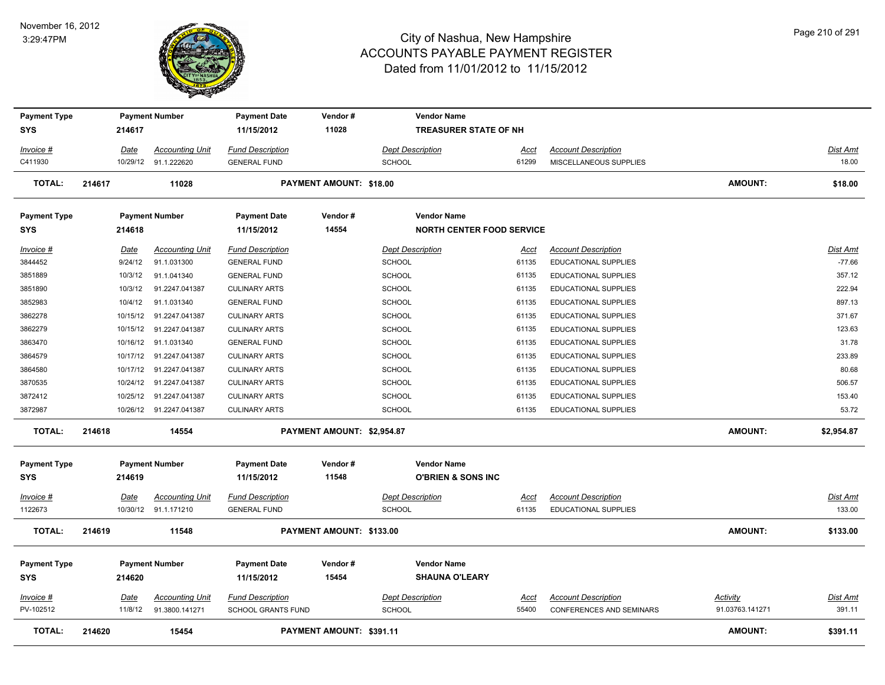

| <b>Payment Type</b>               |                        | <b>Payment Number</b>                    | <b>Payment Date</b>                                  | Vendor#                        | <b>Vendor Name</b>                                  |                      |                                                               |                             |                           |
|-----------------------------------|------------------------|------------------------------------------|------------------------------------------------------|--------------------------------|-----------------------------------------------------|----------------------|---------------------------------------------------------------|-----------------------------|---------------------------|
| <b>SYS</b>                        | 214617                 |                                          | 11/15/2012                                           | 11028                          | <b>TREASURER STATE OF NH</b>                        |                      |                                                               |                             |                           |
| Invoice #                         | Date                   | <b>Accounting Unit</b>                   | <b>Fund Description</b>                              |                                | <b>Dept Description</b>                             | Acct                 | <b>Account Description</b>                                    |                             | Dist Amt                  |
| C411930                           |                        | 10/29/12 91.1.222620                     | <b>GENERAL FUND</b>                                  |                                | <b>SCHOOL</b>                                       | 61299                | MISCELLANEOUS SUPPLIES                                        |                             | 18.00                     |
| TOTAL:                            | 214617                 | 11028                                    |                                                      | <b>PAYMENT AMOUNT: \$18.00</b> |                                                     |                      |                                                               | <b>AMOUNT:</b>              | \$18.00                   |
| <b>Payment Type</b>               |                        | <b>Payment Number</b>                    | <b>Payment Date</b>                                  | Vendor#                        | <b>Vendor Name</b>                                  |                      |                                                               |                             |                           |
| <b>SYS</b>                        | 214618                 |                                          | 11/15/2012                                           | 14554                          | <b>NORTH CENTER FOOD SERVICE</b>                    |                      |                                                               |                             |                           |
| <u>Invoice #</u>                  | Date                   | <b>Accounting Unit</b>                   | <b>Fund Description</b>                              |                                | <b>Dept Description</b>                             | Acct                 | <b>Account Description</b>                                    |                             | Dist Amt                  |
| 3844452                           | 9/24/12                | 91.1.031300                              | <b>GENERAL FUND</b>                                  |                                | <b>SCHOOL</b>                                       | 61135                | <b>EDUCATIONAL SUPPLIES</b>                                   |                             | $-77.66$                  |
| 3851889                           | 10/3/12                | 91.1.041340                              | <b>GENERAL FUND</b>                                  |                                | <b>SCHOOL</b>                                       | 61135                | <b>EDUCATIONAL SUPPLIES</b>                                   |                             | 357.12                    |
| 3851890                           | 10/3/12                | 91.2247.041387                           | <b>CULINARY ARTS</b>                                 |                                | <b>SCHOOL</b>                                       | 61135                | <b>EDUCATIONAL SUPPLIES</b>                                   |                             | 222.94                    |
| 3852983                           | 10/4/12                | 91.1.031340                              | <b>GENERAL FUND</b>                                  |                                | <b>SCHOOL</b>                                       | 61135                | EDUCATIONAL SUPPLIES                                          |                             | 897.13                    |
| 3862278                           |                        | 10/15/12 91.2247.041387                  | <b>CULINARY ARTS</b>                                 |                                | <b>SCHOOL</b>                                       | 61135                | <b>EDUCATIONAL SUPPLIES</b>                                   |                             | 371.67                    |
| 3862279                           |                        | 10/15/12 91.2247.041387                  | <b>CULINARY ARTS</b>                                 |                                | SCHOOL                                              | 61135                | <b>EDUCATIONAL SUPPLIES</b>                                   |                             | 123.63                    |
| 3863470                           |                        | 10/16/12 91.1.031340                     | <b>GENERAL FUND</b>                                  |                                | SCHOOL                                              | 61135                | EDUCATIONAL SUPPLIES                                          |                             | 31.78                     |
| 3864579                           |                        | 10/17/12 91.2247.041387                  | <b>CULINARY ARTS</b>                                 |                                | SCHOOL                                              | 61135                | EDUCATIONAL SUPPLIES                                          |                             | 233.89                    |
| 3864580                           | 10/17/12               | 91.2247.041387                           | <b>CULINARY ARTS</b>                                 |                                | <b>SCHOOL</b>                                       | 61135                | EDUCATIONAL SUPPLIES                                          |                             | 80.68                     |
| 3870535                           |                        | 10/24/12 91.2247.041387                  | <b>CULINARY ARTS</b>                                 |                                | SCHOOL                                              | 61135                | EDUCATIONAL SUPPLIES                                          |                             | 506.57                    |
| 3872412                           |                        | 10/25/12 91.2247.041387                  | <b>CULINARY ARTS</b>                                 |                                | SCHOOL                                              | 61135                | <b>EDUCATIONAL SUPPLIES</b>                                   |                             | 153.40                    |
| 3872987                           |                        | 10/26/12 91.2247.041387                  | <b>CULINARY ARTS</b>                                 |                                | SCHOOL                                              | 61135                | EDUCATIONAL SUPPLIES                                          |                             | 53.72                     |
| TOTAL:                            | 214618                 | 14554                                    |                                                      | PAYMENT AMOUNT: \$2,954.87     |                                                     |                      |                                                               | AMOUNT:                     | \$2,954.87                |
| <b>Payment Type</b><br><b>SYS</b> | 214619                 | <b>Payment Number</b>                    | <b>Payment Date</b><br>11/15/2012                    | Vendor#<br>11548               | <b>Vendor Name</b><br><b>O'BRIEN &amp; SONS INC</b> |                      |                                                               |                             |                           |
| Invoice #                         | Date                   | <b>Accounting Unit</b>                   | <b>Fund Description</b>                              |                                | <b>Dept Description</b>                             | Acct                 | <b>Account Description</b>                                    |                             | Dist Amt                  |
| 1122673                           |                        | 10/30/12 91.1.171210                     | <b>GENERAL FUND</b>                                  |                                | <b>SCHOOL</b>                                       | 61135                | <b>EDUCATIONAL SUPPLIES</b>                                   |                             | 133.00                    |
| TOTAL:                            | 214619                 | 11548                                    |                                                      | PAYMENT AMOUNT: \$133.00       |                                                     |                      |                                                               | AMOUNT:                     | \$133.00                  |
| <b>Payment Type</b><br><b>SYS</b> | 214620                 | <b>Payment Number</b>                    | <b>Payment Date</b><br>11/15/2012                    | Vendor#<br>15454               | <b>Vendor Name</b><br><b>SHAUNA O'LEARY</b>         |                      |                                                               |                             |                           |
| <u>Invoice #</u><br>PV-102512     | <u>Date</u><br>11/8/12 | <b>Accounting Unit</b><br>91.3800.141271 | <b>Fund Description</b><br><b>SCHOOL GRANTS FUND</b> |                                | <b>Dept Description</b><br><b>SCHOOL</b>            | <u>Acct</u><br>55400 | <b>Account Description</b><br><b>CONFERENCES AND SEMINARS</b> | Activity<br>91.03763.141271 | <u>Dist Amt</u><br>391.11 |
| TOTAL:                            | 214620                 | 15454                                    |                                                      | PAYMENT AMOUNT: \$391.11       |                                                     |                      |                                                               | <b>AMOUNT:</b>              | \$391.11                  |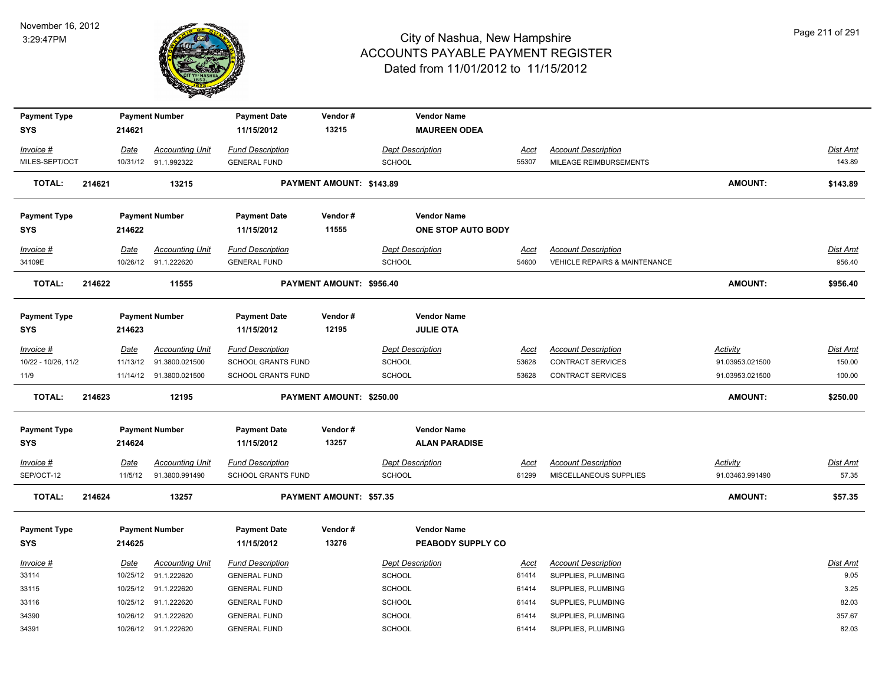

| <b>Payment Type</b>        |        |                 | <b>Payment Number</b>                          | <b>Payment Date</b>                                  | Vendor#                  | <b>Vendor Name</b>                       |                      |                                                             |                                    |                    |
|----------------------------|--------|-----------------|------------------------------------------------|------------------------------------------------------|--------------------------|------------------------------------------|----------------------|-------------------------------------------------------------|------------------------------------|--------------------|
| <b>SYS</b>                 |        | 214621          |                                                | 11/15/2012                                           | 13215                    | <b>MAUREEN ODEA</b>                      |                      |                                                             |                                    |                    |
| Invoice #                  |        | Date            | <b>Accounting Unit</b>                         | <b>Fund Description</b>                              |                          | <b>Dept Description</b>                  | Acct                 | <b>Account Description</b>                                  |                                    | Dist Amt           |
| MILES-SEPT/OCT             |        |                 | 10/31/12 91.1.992322                           | <b>GENERAL FUND</b>                                  |                          | <b>SCHOOL</b>                            | 55307                | MILEAGE REIMBURSEMENTS                                      |                                    | 143.89             |
| <b>TOTAL:</b>              | 214621 |                 | 13215                                          |                                                      | PAYMENT AMOUNT: \$143.89 |                                          |                      |                                                             | <b>AMOUNT:</b>                     | \$143.89           |
| <b>Payment Type</b>        |        |                 | <b>Payment Number</b>                          | <b>Payment Date</b>                                  | Vendor#                  | <b>Vendor Name</b>                       |                      |                                                             |                                    |                    |
| SYS                        |        | 214622          |                                                | 11/15/2012                                           | 11555                    | ONE STOP AUTO BODY                       |                      |                                                             |                                    |                    |
| Invoice #<br>34109E        |        | Date            | <b>Accounting Unit</b><br>10/26/12 91.1.222620 | <b>Fund Description</b><br><b>GENERAL FUND</b>       |                          | <b>Dept Description</b><br>SCHOOL        | Acct<br>54600        | <b>Account Description</b><br>VEHICLE REPAIRS & MAINTENANCE |                                    | Dist Amt<br>956.40 |
| <b>TOTAL:</b>              | 214622 |                 | 11555                                          |                                                      | PAYMENT AMOUNT: \$956.40 |                                          |                      |                                                             | <b>AMOUNT:</b>                     | \$956.40           |
| <b>Payment Type</b><br>SYS |        | 214623          | <b>Payment Number</b>                          | <b>Payment Date</b><br>11/15/2012                    | Vendor#<br>12195         | <b>Vendor Name</b><br><b>JULIE OTA</b>   |                      |                                                             |                                    |                    |
| Invoice #                  |        | Date            | <b>Accounting Unit</b>                         | <b>Fund Description</b>                              |                          | <b>Dept Description</b>                  | Acct                 | <b>Account Description</b>                                  | <b>Activity</b>                    | Dist Amt           |
| 10/22 - 10/26, 11/2        |        |                 | 11/13/12  91.3800.021500                       | SCHOOL GRANTS FUND                                   |                          | <b>SCHOOL</b>                            | 53628                | <b>CONTRACT SERVICES</b>                                    | 91.03953.021500                    | 150.00             |
| 11/9                       |        |                 | 11/14/12  91.3800.021500                       | <b>SCHOOL GRANTS FUND</b>                            |                          | <b>SCHOOL</b>                            | 53628                | <b>CONTRACT SERVICES</b>                                    | 91.03953.021500                    | 100.00             |
| <b>TOTAL:</b>              | 214623 |                 | 12195                                          |                                                      | PAYMENT AMOUNT: \$250.00 |                                          |                      |                                                             | <b>AMOUNT:</b>                     | \$250.00           |
| <b>Payment Type</b>        |        |                 | <b>Payment Number</b>                          | <b>Payment Date</b>                                  | Vendor#                  | <b>Vendor Name</b>                       |                      |                                                             |                                    |                    |
| SYS                        |        | 214624          |                                                | 11/15/2012                                           | 13257                    | <b>ALAN PARADISE</b>                     |                      |                                                             |                                    |                    |
| Invoice #<br>SEP/OCT-12    |        | Date<br>11/5/12 | <b>Accounting Unit</b><br>91.3800.991490       | <b>Fund Description</b><br><b>SCHOOL GRANTS FUND</b> |                          | <b>Dept Description</b><br><b>SCHOOL</b> | <u>Acct</u><br>61299 | <b>Account Description</b><br>MISCELLANEOUS SUPPLIES        | <b>Activity</b><br>91.03463.991490 | Dist Amt<br>57.35  |
| <b>TOTAL:</b>              | 214624 |                 | 13257                                          |                                                      | PAYMENT AMOUNT: \$57.35  |                                          |                      |                                                             | AMOUNT:                            | \$57.35            |
| <b>Payment Type</b>        |        |                 | <b>Payment Number</b>                          | <b>Payment Date</b>                                  | Vendor#                  | <b>Vendor Name</b>                       |                      |                                                             |                                    |                    |
| <b>SYS</b>                 |        | 214625          |                                                | 11/15/2012                                           | 13276                    | PEABODY SUPPLY CO                        |                      |                                                             |                                    |                    |
| Invoice #                  |        | Date            | <b>Accounting Unit</b>                         | <b>Fund Description</b>                              |                          | <b>Dept Description</b>                  | Acct                 | <b>Account Description</b>                                  |                                    | Dist Amt           |
| 33114                      |        |                 | 10/25/12 91.1.222620                           | <b>GENERAL FUND</b>                                  |                          | <b>SCHOOL</b>                            | 61414                | SUPPLIES, PLUMBING                                          |                                    | 9.05               |
| 33115                      |        |                 | 10/25/12 91.1.222620                           | <b>GENERAL FUND</b>                                  |                          | SCHOOL                                   | 61414                | SUPPLIES, PLUMBING                                          |                                    | 3.25               |
| 33116                      |        |                 | 10/25/12 91.1.222620                           | <b>GENERAL FUND</b>                                  |                          | <b>SCHOOL</b>                            | 61414                | SUPPLIES, PLUMBING                                          |                                    | 82.03              |
| 34390                      |        |                 | 10/26/12 91.1.222620                           | <b>GENERAL FUND</b>                                  |                          | <b>SCHOOL</b>                            | 61414                | SUPPLIES, PLUMBING                                          |                                    | 357.67             |
| 34391                      |        |                 | 10/26/12 91.1.222620                           | <b>GENERAL FUND</b>                                  |                          | <b>SCHOOL</b>                            | 61414                | SUPPLIES, PLUMBING                                          |                                    | 82.03              |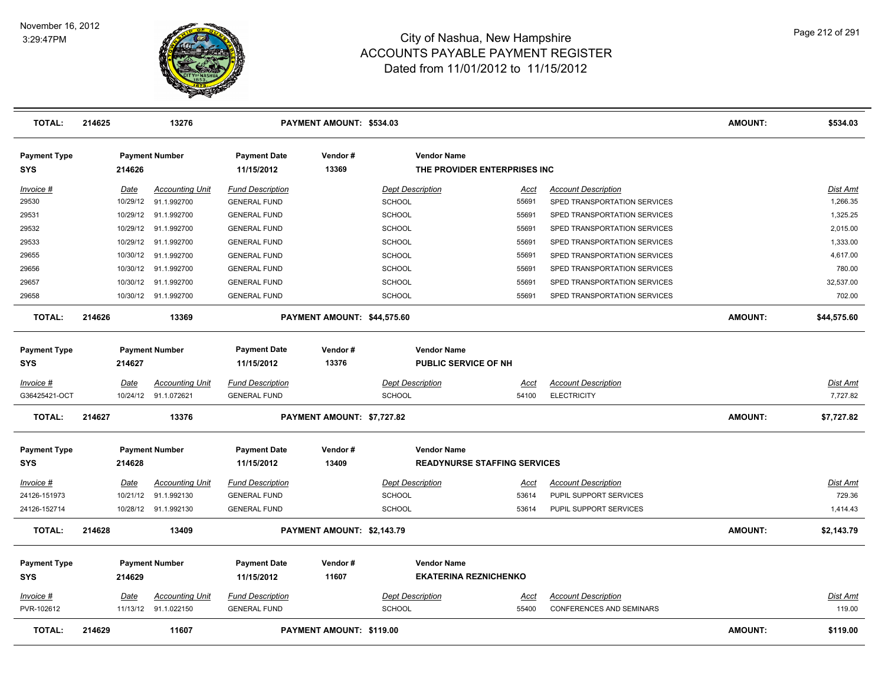

| <b>TOTAL:</b>                     | 214625 |             | 13276                  |                                   | PAYMENT AMOUNT: \$534.03    |                         |                                                    |             |                                 | <b>AMOUNT:</b> | \$534.03        |
|-----------------------------------|--------|-------------|------------------------|-----------------------------------|-----------------------------|-------------------------|----------------------------------------------------|-------------|---------------------------------|----------------|-----------------|
| <b>Payment Type</b><br><b>SYS</b> |        | 214626      | <b>Payment Number</b>  | <b>Payment Date</b><br>11/15/2012 | Vendor#<br>13369            |                         | <b>Vendor Name</b><br>THE PROVIDER ENTERPRISES INC |             |                                 |                |                 |
| Invoice #                         |        | Date        | <b>Accounting Unit</b> | <b>Fund Description</b>           |                             | <b>Dept Description</b> |                                                    | Acct        | <b>Account Description</b>      |                | <b>Dist Amt</b> |
| 29530                             |        | 10/29/12    | 91.1.992700            | <b>GENERAL FUND</b>               |                             | <b>SCHOOL</b>           |                                                    | 55691       | SPED TRANSPORTATION SERVICES    |                | 1,266.35        |
| 29531                             |        | 10/29/12    | 91.1.992700            | <b>GENERAL FUND</b>               |                             | <b>SCHOOL</b>           |                                                    | 55691       | SPED TRANSPORTATION SERVICES    |                | 1,325.25        |
| 29532                             |        | 10/29/12    | 91.1.992700            | <b>GENERAL FUND</b>               |                             | <b>SCHOOL</b>           |                                                    | 55691       | SPED TRANSPORTATION SERVICES    |                | 2,015.00        |
| 29533                             |        | 10/29/12    | 91.1.992700            | <b>GENERAL FUND</b>               |                             | <b>SCHOOL</b>           |                                                    | 55691       | SPED TRANSPORTATION SERVICES    |                | 1,333.00        |
| 29655                             |        | 10/30/12    | 91.1.992700            | <b>GENERAL FUND</b>               |                             | <b>SCHOOL</b>           |                                                    | 55691       | SPED TRANSPORTATION SERVICES    |                | 4,617.00        |
| 29656                             |        | 10/30/12    | 91.1.992700            | <b>GENERAL FUND</b>               |                             | <b>SCHOOL</b>           |                                                    | 55691       | SPED TRANSPORTATION SERVICES    |                | 780.00          |
| 29657                             |        | 10/30/12    | 91.1.992700            | <b>GENERAL FUND</b>               |                             | <b>SCHOOL</b>           |                                                    | 55691       | SPED TRANSPORTATION SERVICES    |                | 32,537.00       |
| 29658                             |        | 10/30/12    | 91.1.992700            | <b>GENERAL FUND</b>               |                             | SCHOOL                  |                                                    | 55691       | SPED TRANSPORTATION SERVICES    |                | 702.00          |
| <b>TOTAL:</b>                     | 214626 |             | 13369                  |                                   | PAYMENT AMOUNT: \$44,575.60 |                         |                                                    |             |                                 | <b>AMOUNT:</b> | \$44,575.60     |
| <b>Payment Type</b>               |        |             | <b>Payment Number</b>  | <b>Payment Date</b>               | Vendor#                     |                         | <b>Vendor Name</b>                                 |             |                                 |                |                 |
| <b>SYS</b>                        |        | 214627      |                        | 11/15/2012                        | 13376                       |                         | PUBLIC SERVICE OF NH                               |             |                                 |                |                 |
| Invoice #                         |        | Date        | <b>Accounting Unit</b> | <b>Fund Description</b>           |                             | <b>Dept Description</b> |                                                    | Acct        | <b>Account Description</b>      |                | <b>Dist Amt</b> |
| G36425421-OCT                     |        |             | 10/24/12 91.1.072621   | <b>GENERAL FUND</b>               |                             | <b>SCHOOL</b>           |                                                    | 54100       | <b>ELECTRICITY</b>              |                | 7,727.82        |
| <b>TOTAL:</b>                     | 214627 |             | 13376                  |                                   | PAYMENT AMOUNT: \$7,727.82  |                         |                                                    |             |                                 | <b>AMOUNT:</b> | \$7,727.82      |
| <b>Payment Type</b>               |        |             | <b>Payment Number</b>  | <b>Payment Date</b>               | Vendor#                     |                         | <b>Vendor Name</b>                                 |             |                                 |                |                 |
| <b>SYS</b>                        |        | 214628      |                        | 11/15/2012                        | 13409                       |                         | <b>READYNURSE STAFFING SERVICES</b>                |             |                                 |                |                 |
| $Invoice$ #                       |        | <u>Date</u> | <u>Accounting Unit</u> | <b>Fund Description</b>           |                             | <b>Dept Description</b> |                                                    | <u>Acct</u> | <b>Account Description</b>      |                | <b>Dist Amt</b> |
| 24126-151973                      |        | 10/21/12    | 91.1.992130            | <b>GENERAL FUND</b>               |                             | <b>SCHOOL</b>           |                                                    | 53614       | PUPIL SUPPORT SERVICES          |                | 729.36          |
| 24126-152714                      |        |             | 10/28/12 91.1.992130   | <b>GENERAL FUND</b>               |                             | <b>SCHOOL</b>           |                                                    | 53614       | PUPIL SUPPORT SERVICES          |                | 1,414.43        |
| <b>TOTAL:</b>                     | 214628 |             | 13409                  |                                   | PAYMENT AMOUNT: \$2,143.79  |                         |                                                    |             |                                 | <b>AMOUNT:</b> | \$2,143.79      |
| <b>Payment Type</b>               |        |             | <b>Payment Number</b>  | <b>Payment Date</b>               | Vendor#                     |                         | <b>Vendor Name</b>                                 |             |                                 |                |                 |
| <b>SYS</b>                        |        | 214629      |                        | 11/15/2012                        | 11607                       |                         | <b>EKATERINA REZNICHENKO</b>                       |             |                                 |                |                 |
| Invoice #                         |        | Date        | <b>Accounting Unit</b> | <b>Fund Description</b>           |                             | <b>Dept Description</b> |                                                    | Acct        | <b>Account Description</b>      |                | <b>Dist Amt</b> |
| PVR-102612                        |        |             | 11/13/12 91.1.022150   | <b>GENERAL FUND</b>               |                             | <b>SCHOOL</b>           |                                                    | 55400       | <b>CONFERENCES AND SEMINARS</b> |                | 119.00          |
| <b>TOTAL:</b>                     | 214629 |             | 11607                  |                                   | PAYMENT AMOUNT: \$119.00    |                         |                                                    |             |                                 | <b>AMOUNT:</b> | \$119.00        |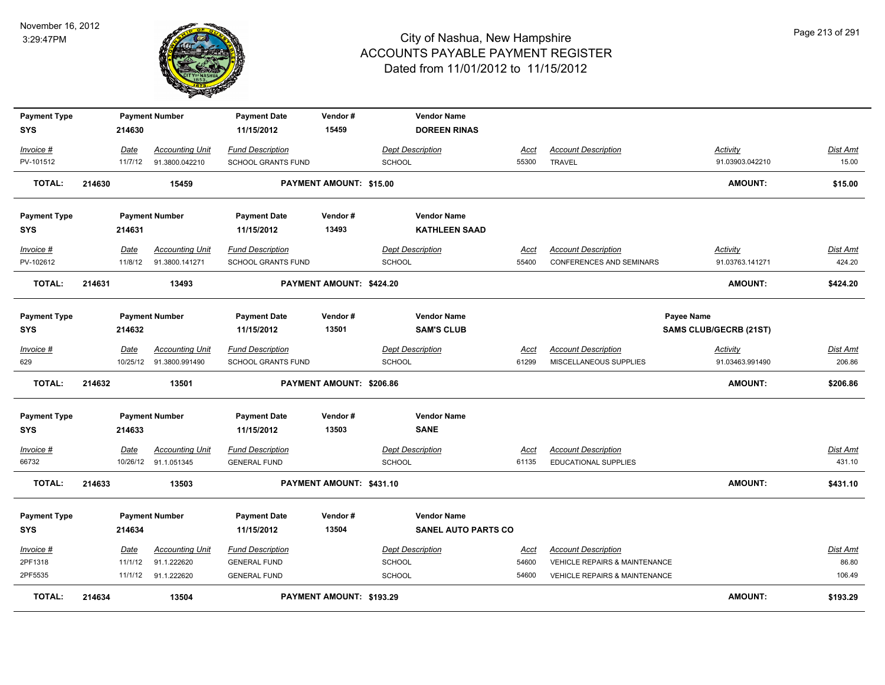

| <b>Payment Type</b> |        |             | <b>Payment Number</b>    | <b>Payment Date</b>       | Vendor#                  | <b>Vendor Name</b>         |             |                                          |                        |                 |
|---------------------|--------|-------------|--------------------------|---------------------------|--------------------------|----------------------------|-------------|------------------------------------------|------------------------|-----------------|
| <b>SYS</b>          |        | 214630      |                          | 11/15/2012                | 15459                    | <b>DOREEN RINAS</b>        |             |                                          |                        |                 |
| Invoice #           |        | Date        | <b>Accounting Unit</b>   | <b>Fund Description</b>   |                          | <b>Dept Description</b>    | Acct        | <b>Account Description</b>               | Activity               | Dist Amt        |
| PV-101512           |        | 11/7/12     | 91.3800.042210           | SCHOOL GRANTS FUND        |                          | <b>SCHOOL</b>              | 55300       | <b>TRAVEL</b>                            | 91.03903.042210        | 15.00           |
| <b>TOTAL:</b>       | 214630 |             | 15459                    |                           | PAYMENT AMOUNT: \$15.00  |                            |             |                                          | <b>AMOUNT:</b>         | \$15.00         |
| <b>Payment Type</b> |        |             | <b>Payment Number</b>    | <b>Payment Date</b>       | Vendor#                  | <b>Vendor Name</b>         |             |                                          |                        |                 |
| SYS                 |        | 214631      |                          | 11/15/2012                | 13493                    | <b>KATHLEEN SAAD</b>       |             |                                          |                        |                 |
| Invoice #           |        | Date        | <b>Accounting Unit</b>   | <b>Fund Description</b>   |                          | <b>Dept Description</b>    | Acct        | <b>Account Description</b>               | Activity               | Dist Amt        |
| PV-102612           |        | 11/8/12     | 91.3800.141271           | <b>SCHOOL GRANTS FUND</b> |                          | <b>SCHOOL</b>              | 55400       | <b>CONFERENCES AND SEMINARS</b>          | 91.03763.141271        | 424.20          |
| <b>TOTAL:</b>       | 214631 |             | 13493                    |                           | PAYMENT AMOUNT: \$424.20 |                            |             |                                          | <b>AMOUNT:</b>         | \$424.20        |
| <b>Payment Type</b> |        |             | <b>Payment Number</b>    | <b>Payment Date</b>       | Vendor#                  | <b>Vendor Name</b>         |             |                                          | <b>Payee Name</b>      |                 |
| <b>SYS</b>          |        | 214632      |                          | 11/15/2012                | 13501                    | <b>SAM'S CLUB</b>          |             |                                          | SAMS CLUB/GECRB (21ST) |                 |
| Invoice #           |        | Date        | <b>Accounting Unit</b>   | <b>Fund Description</b>   |                          | <b>Dept Description</b>    | Acct        | <b>Account Description</b>               | <b>Activity</b>        | <b>Dist Amt</b> |
| 629                 |        |             | 10/25/12  91.3800.991490 | <b>SCHOOL GRANTS FUND</b> |                          | <b>SCHOOL</b>              | 61299       | MISCELLANEOUS SUPPLIES                   | 91.03463.991490        | 206.86          |
| <b>TOTAL:</b>       | 214632 |             | 13501                    |                           | PAYMENT AMOUNT: \$206.86 |                            |             |                                          | <b>AMOUNT:</b>         | \$206.86        |
| <b>Payment Type</b> |        |             | <b>Payment Number</b>    | <b>Payment Date</b>       | Vendor#                  | <b>Vendor Name</b>         |             |                                          |                        |                 |
| <b>SYS</b>          |        | 214633      |                          | 11/15/2012                | 13503                    | <b>SANE</b>                |             |                                          |                        |                 |
| Invoice #           |        | <b>Date</b> | <b>Accounting Unit</b>   | <b>Fund Description</b>   |                          | <b>Dept Description</b>    | <u>Acct</u> | <b>Account Description</b>               |                        | Dist Amt        |
| 66732               |        |             | 10/26/12 91.1.051345     | <b>GENERAL FUND</b>       |                          | <b>SCHOOL</b>              | 61135       | <b>EDUCATIONAL SUPPLIES</b>              |                        | 431.10          |
| <b>TOTAL:</b>       | 214633 |             | 13503                    |                           | PAYMENT AMOUNT: \$431.10 |                            |             |                                          | <b>AMOUNT:</b>         | \$431.10        |
| <b>Payment Type</b> |        |             | <b>Payment Number</b>    | <b>Payment Date</b>       | Vendor#                  | <b>Vendor Name</b>         |             |                                          |                        |                 |
| SYS                 |        | 214634      |                          | 11/15/2012                | 13504                    | <b>SANEL AUTO PARTS CO</b> |             |                                          |                        |                 |
| Invoice #           |        | Date        | <b>Accounting Unit</b>   | <b>Fund Description</b>   |                          | <b>Dept Description</b>    | <u>Acct</u> | <b>Account Description</b>               |                        | Dist Amt        |
| 2PF1318             |        | 11/1/12     | 91.1.222620              | <b>GENERAL FUND</b>       |                          | <b>SCHOOL</b>              | 54600       | VEHICLE REPAIRS & MAINTENANCE            |                        | 86.80           |
| 2PF5535             |        | 11/1/12     | 91.1.222620              | <b>GENERAL FUND</b>       |                          | <b>SCHOOL</b>              | 54600       | <b>VEHICLE REPAIRS &amp; MAINTENANCE</b> |                        | 106.49          |
| <b>TOTAL:</b>       | 214634 |             | 13504                    |                           | PAYMENT AMOUNT: \$193.29 |                            |             |                                          | <b>AMOUNT:</b>         | \$193.29        |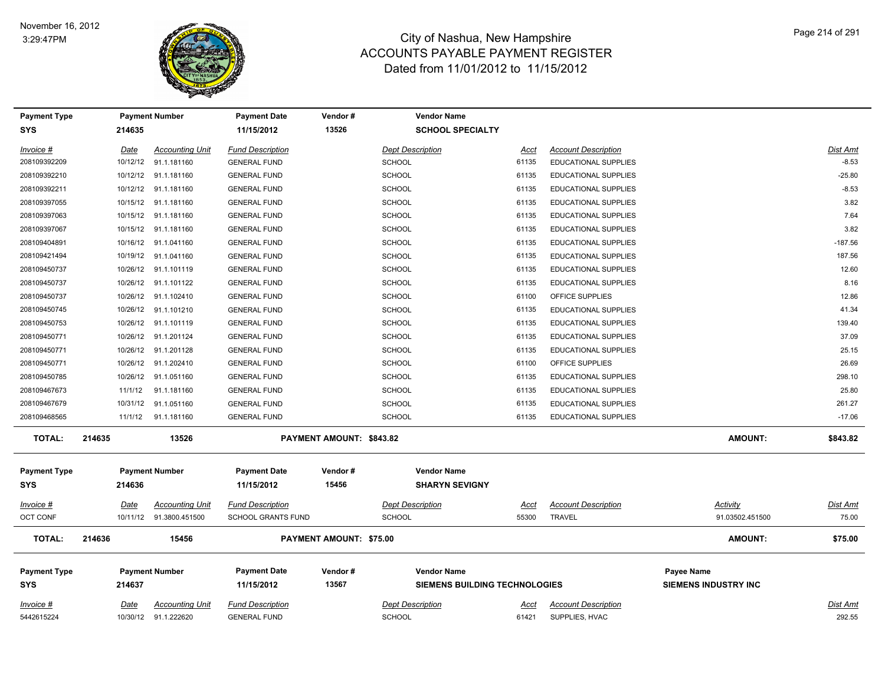

| <b>Payment Type</b><br><b>SYS</b> |        | 214635  | <b>Payment Number</b>    | <b>Payment Date</b><br>11/15/2012 | Vendor#<br>13526         | <b>Vendor Name</b><br><b>SCHOOL SPECIALTY</b> |       |                             |                             |           |
|-----------------------------------|--------|---------|--------------------------|-----------------------------------|--------------------------|-----------------------------------------------|-------|-----------------------------|-----------------------------|-----------|
| Invoice #                         |        | Date    | <b>Accounting Unit</b>   | <b>Fund Description</b>           |                          | <b>Dept Description</b>                       | Acct  | <b>Account Description</b>  |                             | Dist Amt  |
| 208109392209                      |        |         | 10/12/12 91.1.181160     | <b>GENERAL FUND</b>               |                          | SCHOOL                                        | 61135 | <b>EDUCATIONAL SUPPLIES</b> |                             | $-8.53$   |
| 208109392210                      |        |         | 10/12/12 91.1.181160     | <b>GENERAL FUND</b>               |                          | <b>SCHOOL</b>                                 | 61135 | <b>EDUCATIONAL SUPPLIES</b> |                             | $-25.80$  |
| 208109392211                      |        |         | 10/12/12 91.1.181160     | <b>GENERAL FUND</b>               |                          | <b>SCHOOL</b>                                 | 61135 | EDUCATIONAL SUPPLIES        |                             | $-8.53$   |
| 208109397055                      |        |         | 10/15/12 91.1.181160     | <b>GENERAL FUND</b>               |                          | <b>SCHOOL</b>                                 | 61135 | EDUCATIONAL SUPPLIES        |                             | 3.82      |
| 208109397063                      |        |         | 10/15/12 91.1.181160     | <b>GENERAL FUND</b>               |                          | <b>SCHOOL</b>                                 | 61135 | EDUCATIONAL SUPPLIES        |                             | 7.64      |
| 208109397067                      |        |         | 10/15/12 91.1.181160     | <b>GENERAL FUND</b>               |                          | <b>SCHOOL</b>                                 | 61135 | EDUCATIONAL SUPPLIES        |                             | 3.82      |
| 208109404891                      |        |         | 10/16/12 91.1.041160     | <b>GENERAL FUND</b>               |                          | <b>SCHOOL</b>                                 | 61135 | EDUCATIONAL SUPPLIES        |                             | $-187.56$ |
| 208109421494                      |        |         | 10/19/12 91.1.041160     | <b>GENERAL FUND</b>               |                          | <b>SCHOOL</b>                                 | 61135 | <b>EDUCATIONAL SUPPLIES</b> |                             | 187.56    |
| 208109450737                      |        |         | 10/26/12 91.1.101119     | <b>GENERAL FUND</b>               |                          | <b>SCHOOL</b>                                 | 61135 | EDUCATIONAL SUPPLIES        |                             | 12.60     |
| 208109450737                      |        |         | 10/26/12 91.1.101122     | <b>GENERAL FUND</b>               |                          | <b>SCHOOL</b>                                 | 61135 | EDUCATIONAL SUPPLIES        |                             | 8.16      |
| 208109450737                      |        |         | 10/26/12 91.1.102410     | <b>GENERAL FUND</b>               |                          | <b>SCHOOL</b>                                 | 61100 | OFFICE SUPPLIES             |                             | 12.86     |
| 208109450745                      |        |         | 10/26/12 91.1.101210     | <b>GENERAL FUND</b>               |                          | <b>SCHOOL</b>                                 | 61135 | EDUCATIONAL SUPPLIES        |                             | 41.34     |
| 208109450753                      |        |         | 10/26/12 91.1.101119     | <b>GENERAL FUND</b>               |                          | SCHOOL                                        | 61135 | EDUCATIONAL SUPPLIES        |                             | 139.40    |
| 208109450771                      |        |         | 10/26/12 91.1.201124     | <b>GENERAL FUND</b>               |                          | <b>SCHOOL</b>                                 | 61135 | EDUCATIONAL SUPPLIES        |                             | 37.09     |
| 208109450771                      |        |         | 10/26/12 91.1.201128     | <b>GENERAL FUND</b>               |                          | SCHOOL                                        | 61135 | EDUCATIONAL SUPPLIES        |                             | 25.15     |
| 208109450771                      |        |         | 10/26/12 91.1.202410     | <b>GENERAL FUND</b>               |                          | <b>SCHOOL</b>                                 | 61100 | OFFICE SUPPLIES             |                             | 26.69     |
| 208109450785                      |        |         | 10/26/12 91.1.051160     | <b>GENERAL FUND</b>               |                          | SCHOOL                                        | 61135 | EDUCATIONAL SUPPLIES        |                             | 298.10    |
| 208109467673                      |        | 11/1/12 | 91.1.181160              | <b>GENERAL FUND</b>               |                          | <b>SCHOOL</b>                                 | 61135 | EDUCATIONAL SUPPLIES        |                             | 25.80     |
| 208109467679                      |        |         | 10/31/12 91.1.051160     | <b>GENERAL FUND</b>               |                          | <b>SCHOOL</b>                                 | 61135 | EDUCATIONAL SUPPLIES        |                             | 261.27    |
| 208109468565                      |        |         | 11/1/12 91.1.181160      | <b>GENERAL FUND</b>               |                          | <b>SCHOOL</b>                                 | 61135 | EDUCATIONAL SUPPLIES        |                             | $-17.06$  |
| <b>TOTAL:</b>                     | 214635 |         | 13526                    |                                   | PAYMENT AMOUNT: \$843.82 |                                               |       |                             | <b>AMOUNT:</b>              | \$843.82  |
| <b>Payment Type</b><br><b>SYS</b> |        | 214636  | <b>Payment Number</b>    | <b>Payment Date</b><br>11/15/2012 | Vendor#<br>15456         | <b>Vendor Name</b><br><b>SHARYN SEVIGNY</b>   |       |                             |                             |           |
| Invoice #                         |        | Date    | <b>Accounting Unit</b>   | <b>Fund Description</b>           |                          | <b>Dept Description</b>                       | Acct  | <b>Account Description</b>  | Activity                    | Dist Amt  |
| <b>OCT CONF</b>                   |        |         | 10/11/12  91.3800.451500 | <b>SCHOOL GRANTS FUND</b>         |                          | <b>SCHOOL</b>                                 | 55300 | TRAVEL                      | 91.03502.451500             | 75.00     |
| <b>TOTAL:</b>                     | 214636 |         | 15456                    |                                   | PAYMENT AMOUNT: \$75.00  |                                               |       |                             | <b>AMOUNT:</b>              | \$75.00   |
| <b>Payment Type</b>               |        |         | <b>Payment Number</b>    | <b>Payment Date</b>               | Vendor#                  | <b>Vendor Name</b>                            |       |                             | <b>Payee Name</b>           |           |
| <b>SYS</b>                        |        | 214637  |                          | 11/15/2012                        | 13567                    | <b>SIEMENS BUILDING TECHNOLOGIES</b>          |       |                             | <b>SIEMENS INDUSTRY INC</b> |           |
| Invoice #                         |        | Date    | <b>Accounting Unit</b>   | <b>Fund Description</b>           |                          | <b>Dept Description</b>                       | Acct  | <b>Account Description</b>  |                             | Dist Amt  |
| 5442615224                        |        |         | 10/30/12 91.1.222620     | <b>GENERAL FUND</b>               |                          | <b>SCHOOL</b>                                 | 61421 | SUPPLIES, HVAC              |                             | 292.55    |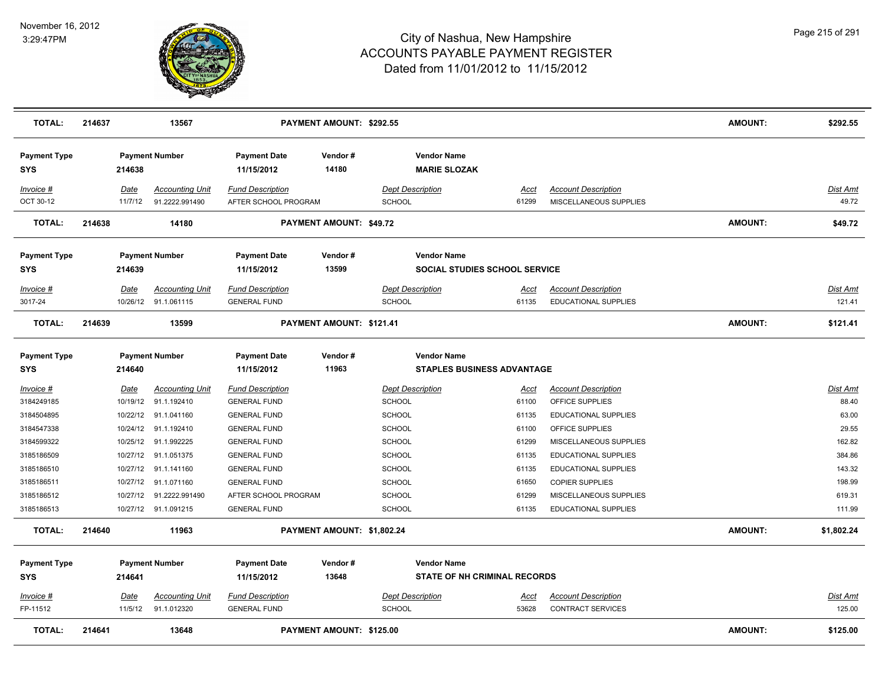

| <b>TOTAL:</b>                     | 214637 |                      | 13567                                    |                                                 | PAYMENT AMOUNT: \$292.55   |                                          |                                                            |                                                           | <b>AMOUNT:</b> | \$292.55           |
|-----------------------------------|--------|----------------------|------------------------------------------|-------------------------------------------------|----------------------------|------------------------------------------|------------------------------------------------------------|-----------------------------------------------------------|----------------|--------------------|
| <b>Payment Type</b><br><b>SYS</b> |        | 214638               | <b>Payment Number</b>                    | <b>Payment Date</b><br>11/15/2012               | Vendor#<br>14180           |                                          | <b>Vendor Name</b><br><b>MARIE SLOZAK</b>                  |                                                           |                |                    |
| Invoice #<br>OCT 30-12            |        | Date<br>11/7/12      | <b>Accounting Unit</b><br>91.2222.991490 | <b>Fund Description</b><br>AFTER SCHOOL PROGRAM |                            | <b>Dept Description</b><br><b>SCHOOL</b> | Acct<br>61299                                              | <b>Account Description</b><br>MISCELLANEOUS SUPPLIES      |                | Dist Amt<br>49.72  |
| <b>TOTAL:</b>                     | 214638 |                      | 14180                                    |                                                 | PAYMENT AMOUNT: \$49.72    |                                          |                                                            |                                                           | <b>AMOUNT:</b> | \$49.72            |
| <b>Payment Type</b><br>SYS        |        | 214639               | <b>Payment Number</b>                    | <b>Payment Date</b><br>11/15/2012               | Vendor#<br>13599           |                                          | <b>Vendor Name</b><br><b>SOCIAL STUDIES SCHOOL SERVICE</b> |                                                           |                |                    |
| Invoice #<br>3017-24              |        | Date<br>10/26/12     | <b>Accounting Unit</b><br>91.1.061115    | <b>Fund Description</b><br><b>GENERAL FUND</b>  |                            | <b>Dept Description</b><br><b>SCHOOL</b> | <u>Acct</u><br>61135                                       | <b>Account Description</b><br><b>EDUCATIONAL SUPPLIES</b> |                | Dist Amt<br>121.41 |
| <b>TOTAL:</b>                     | 214639 |                      | 13599                                    |                                                 | PAYMENT AMOUNT: \$121.41   |                                          |                                                            |                                                           | <b>AMOUNT:</b> | \$121.41           |
| <b>Payment Type</b><br><b>SYS</b> |        | 214640               | <b>Payment Number</b>                    | <b>Payment Date</b><br>11/15/2012               | Vendor#<br>11963           |                                          | <b>Vendor Name</b><br><b>STAPLES BUSINESS ADVANTAGE</b>    |                                                           |                |                    |
| $Invoice$ #                       |        | <u>Date</u>          | <b>Accounting Unit</b>                   | <b>Fund Description</b>                         |                            | <b>Dept Description</b>                  | <u>Acct</u>                                                | <b>Account Description</b>                                |                | Dist Amt           |
| 3184249185                        |        | 10/19/12             | 91.1.192410                              | <b>GENERAL FUND</b>                             |                            | <b>SCHOOL</b>                            | 61100                                                      | OFFICE SUPPLIES                                           |                | 88.40              |
| 3184504895                        |        | 10/22/12             | 91.1.041160                              | <b>GENERAL FUND</b>                             |                            | SCHOOL                                   | 61135                                                      | <b>EDUCATIONAL SUPPLIES</b>                               |                | 63.00              |
| 3184547338<br>3184599322          |        | 10/24/12<br>10/25/12 | 91.1.192410<br>91.1.992225               | <b>GENERAL FUND</b>                             |                            | <b>SCHOOL</b><br><b>SCHOOL</b>           | 61100<br>61299                                             | OFFICE SUPPLIES<br>MISCELLANEOUS SUPPLIES                 |                | 29.55<br>162.82    |
| 3185186509                        |        | 10/27/12             | 91.1.051375                              | <b>GENERAL FUND</b><br><b>GENERAL FUND</b>      |                            | <b>SCHOOL</b>                            | 61135                                                      | EDUCATIONAL SUPPLIES                                      |                | 384.86             |
| 3185186510                        |        | 10/27/12             | 91.1.141160                              | <b>GENERAL FUND</b>                             |                            | <b>SCHOOL</b>                            | 61135                                                      | <b>EDUCATIONAL SUPPLIES</b>                               |                | 143.32             |
| 3185186511                        |        | 10/27/12             | 91.1.071160                              | <b>GENERAL FUND</b>                             |                            | <b>SCHOOL</b>                            | 61650                                                      | <b>COPIER SUPPLIES</b>                                    |                | 198.99             |
| 3185186512                        |        | 10/27/12             | 91.2222.991490                           | AFTER SCHOOL PROGRAM                            |                            | <b>SCHOOL</b>                            | 61299                                                      | MISCELLANEOUS SUPPLIES                                    |                | 619.31             |
| 3185186513                        |        |                      | 10/27/12 91.1.091215                     | <b>GENERAL FUND</b>                             |                            | <b>SCHOOL</b>                            | 61135                                                      | EDUCATIONAL SUPPLIES                                      |                | 111.99             |
| <b>TOTAL:</b>                     | 214640 |                      | 11963                                    |                                                 | PAYMENT AMOUNT: \$1,802.24 |                                          |                                                            |                                                           | <b>AMOUNT:</b> | \$1,802.24         |
| <b>Payment Type</b>               |        |                      | <b>Payment Number</b>                    | <b>Payment Date</b>                             | Vendor#<br>13648           |                                          | <b>Vendor Name</b><br><b>STATE OF NH CRIMINAL RECORDS</b>  |                                                           |                |                    |
| <b>SYS</b>                        |        | 214641               |                                          | 11/15/2012                                      |                            |                                          |                                                            |                                                           |                |                    |
| $Invoice$ #                       |        | Date                 | <b>Accounting Unit</b>                   | <b>Fund Description</b>                         |                            | <b>Dept Description</b>                  | <u>Acct</u>                                                | <b>Account Description</b>                                |                | Dist Amt           |
| FP-11512                          |        | 11/5/12              | 91.1.012320                              | <b>GENERAL FUND</b>                             |                            | <b>SCHOOL</b>                            | 53628                                                      | <b>CONTRACT SERVICES</b>                                  |                | 125.00             |
| <b>TOTAL:</b>                     | 214641 |                      | 13648                                    |                                                 | PAYMENT AMOUNT: \$125.00   |                                          |                                                            |                                                           | <b>AMOUNT:</b> | \$125.00           |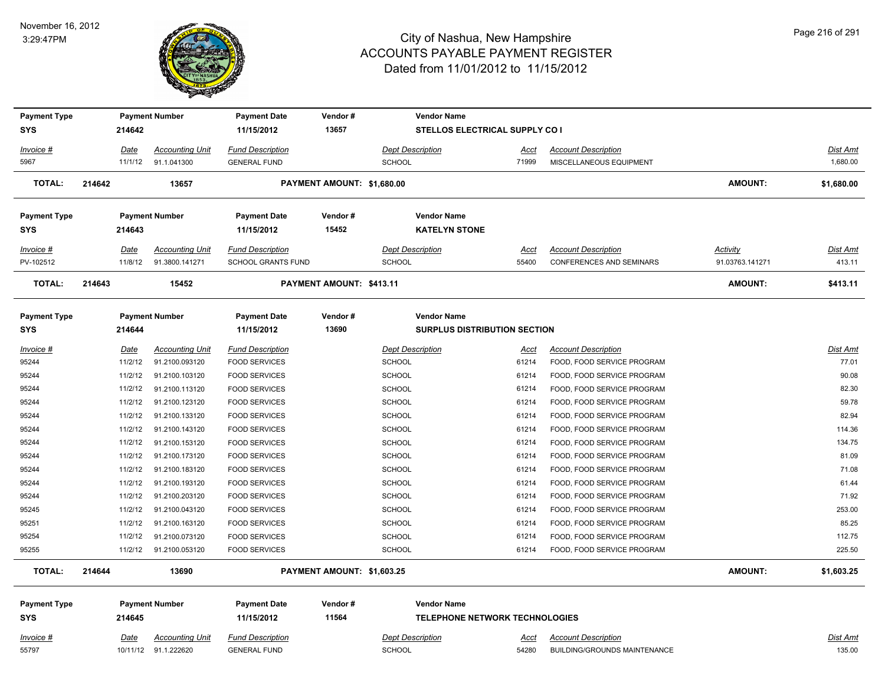

| <b>Payment Type</b> |             | <b>Payment Number</b>                          | <b>Payment Date</b>                            | Vendor#                    |               | <b>Vendor Name</b>                    |                      |                                                                   |                 |                           |
|---------------------|-------------|------------------------------------------------|------------------------------------------------|----------------------------|---------------|---------------------------------------|----------------------|-------------------------------------------------------------------|-----------------|---------------------------|
| <b>SYS</b>          | 214642      |                                                | 11/15/2012                                     | 13657                      |               | STELLOS ELECTRICAL SUPPLY CO I        |                      |                                                                   |                 |                           |
| Invoice #           | <b>Date</b> | <b>Accounting Unit</b>                         | <b>Fund Description</b>                        |                            |               | <b>Dept Description</b>               | <u>Acct</u>          | <b>Account Description</b>                                        |                 | <u>Dist Amt</u>           |
| 5967                | 11/1/12     | 91.1.041300                                    | <b>GENERAL FUND</b>                            |                            | <b>SCHOOL</b> |                                       | 71999                | MISCELLANEOUS EQUIPMENT                                           |                 | 1,680.00                  |
| <b>TOTAL:</b>       | 214642      | 13657                                          |                                                | PAYMENT AMOUNT: \$1,680.00 |               |                                       |                      |                                                                   | <b>AMOUNT:</b>  | \$1,680.00                |
| <b>Payment Type</b> |             | <b>Payment Number</b>                          | <b>Payment Date</b>                            | Vendor#                    |               | <b>Vendor Name</b>                    |                      |                                                                   |                 |                           |
| <b>SYS</b>          | 214643      |                                                | 11/15/2012                                     | 15452                      |               | <b>KATELYN STONE</b>                  |                      |                                                                   |                 |                           |
| Invoice #           | Date        | <b>Accounting Unit</b>                         | <b>Fund Description</b>                        |                            |               | <b>Dept Description</b>               | Acct                 | <b>Account Description</b>                                        | Activity        | Dist Amt                  |
| PV-102512           | 11/8/12     | 91.3800.141271                                 | <b>SCHOOL GRANTS FUND</b>                      |                            | <b>SCHOOL</b> |                                       | 55400                | <b>CONFERENCES AND SEMINARS</b>                                   | 91.03763.141271 | 413.11                    |
| <b>TOTAL:</b>       | 214643      | 15452                                          |                                                | PAYMENT AMOUNT: \$413.11   |               |                                       |                      |                                                                   | <b>AMOUNT:</b>  | \$413.11                  |
| <b>Payment Type</b> |             | <b>Payment Number</b>                          | <b>Payment Date</b>                            | Vendor#                    |               | <b>Vendor Name</b>                    |                      |                                                                   |                 |                           |
| <b>SYS</b>          | 214644      |                                                | 11/15/2012                                     | 13690                      |               | <b>SURPLUS DISTRIBUTION SECTION</b>   |                      |                                                                   |                 |                           |
| Invoice #           | Date        | <b>Accounting Unit</b>                         | <b>Fund Description</b>                        |                            |               | <b>Dept Description</b>               | Acct                 | <b>Account Description</b>                                        |                 | <b>Dist Amt</b>           |
| 95244               | 11/2/12     | 91.2100.093120                                 | <b>FOOD SERVICES</b>                           |                            | SCHOOL        |                                       | 61214                | FOOD, FOOD SERVICE PROGRAM                                        |                 | 77.01                     |
| 95244               | 11/2/12     | 91.2100.103120                                 | <b>FOOD SERVICES</b>                           |                            | <b>SCHOOL</b> |                                       | 61214                | FOOD, FOOD SERVICE PROGRAM                                        |                 | 90.08                     |
| 95244               | 11/2/12     | 91.2100.113120                                 | <b>FOOD SERVICES</b>                           |                            | SCHOOL        |                                       | 61214                | FOOD, FOOD SERVICE PROGRAM                                        |                 | 82.30                     |
| 95244               | 11/2/12     | 91.2100.123120                                 | <b>FOOD SERVICES</b>                           |                            | SCHOOL        |                                       | 61214                | FOOD, FOOD SERVICE PROGRAM                                        |                 | 59.78                     |
| 95244               | 11/2/12     | 91.2100.133120                                 | <b>FOOD SERVICES</b>                           |                            | SCHOOL        |                                       | 61214                | FOOD, FOOD SERVICE PROGRAM                                        |                 | 82.94                     |
| 95244               | 11/2/12     | 91.2100.143120                                 | <b>FOOD SERVICES</b>                           |                            | <b>SCHOOL</b> |                                       | 61214                | FOOD, FOOD SERVICE PROGRAM                                        |                 | 114.36                    |
| 95244               | 11/2/12     | 91.2100.153120                                 | <b>FOOD SERVICES</b>                           |                            | <b>SCHOOL</b> |                                       | 61214                | FOOD, FOOD SERVICE PROGRAM                                        |                 | 134.75                    |
| 95244               | 11/2/12     | 91.2100.173120                                 | <b>FOOD SERVICES</b>                           |                            | <b>SCHOOL</b> |                                       | 61214                | FOOD, FOOD SERVICE PROGRAM                                        |                 | 81.09                     |
| 95244               | 11/2/12     | 91.2100.183120                                 | <b>FOOD SERVICES</b>                           |                            | SCHOOL        |                                       | 61214                | FOOD, FOOD SERVICE PROGRAM                                        |                 | 71.08                     |
| 95244               | 11/2/12     | 91.2100.193120                                 | <b>FOOD SERVICES</b>                           |                            | <b>SCHOOL</b> |                                       | 61214                | FOOD, FOOD SERVICE PROGRAM                                        |                 | 61.44                     |
| 95244               | 11/2/12     | 91.2100.203120                                 | <b>FOOD SERVICES</b>                           |                            | SCHOOL        |                                       | 61214                | FOOD, FOOD SERVICE PROGRAM                                        |                 | 71.92                     |
| 95245               | 11/2/12     | 91.2100.043120                                 | <b>FOOD SERVICES</b>                           |                            | SCHOOL        |                                       | 61214                | FOOD, FOOD SERVICE PROGRAM                                        |                 | 253.00                    |
| 95251               | 11/2/12     | 91.2100.163120                                 | <b>FOOD SERVICES</b>                           |                            | <b>SCHOOL</b> |                                       | 61214                | FOOD, FOOD SERVICE PROGRAM                                        |                 | 85.25                     |
| 95254               | 11/2/12     | 91.2100.073120                                 | <b>FOOD SERVICES</b>                           |                            | SCHOOL        |                                       | 61214                | FOOD, FOOD SERVICE PROGRAM                                        |                 | 112.75                    |
| 95255               |             | 11/2/12 91.2100.053120                         | <b>FOOD SERVICES</b>                           |                            | <b>SCHOOL</b> |                                       | 61214                | FOOD, FOOD SERVICE PROGRAM                                        |                 | 225.50                    |
| <b>TOTAL:</b>       | 214644      | 13690                                          |                                                | PAYMENT AMOUNT: \$1,603.25 |               |                                       |                      |                                                                   | <b>AMOUNT:</b>  | \$1,603.25                |
| <b>Payment Type</b> |             | <b>Payment Number</b>                          | <b>Payment Date</b>                            | Vendor#                    |               | <b>Vendor Name</b>                    |                      |                                                                   |                 |                           |
| SYS                 | 214645      |                                                | 11/15/2012                                     | 11564                      |               | <b>TELEPHONE NETWORK TECHNOLOGIES</b> |                      |                                                                   |                 |                           |
| Invoice #<br>55797  | Date        | <b>Accounting Unit</b><br>10/11/12 91.1.222620 | <b>Fund Description</b><br><b>GENERAL FUND</b> |                            | <b>SCHOOL</b> | <b>Dept Description</b>               | <u>Acct</u><br>54280 | <b>Account Description</b><br><b>BUILDING/GROUNDS MAINTENANCE</b> |                 | <u>Dist Amt</u><br>135.00 |
|                     |             |                                                |                                                |                            |               |                                       |                      |                                                                   |                 |                           |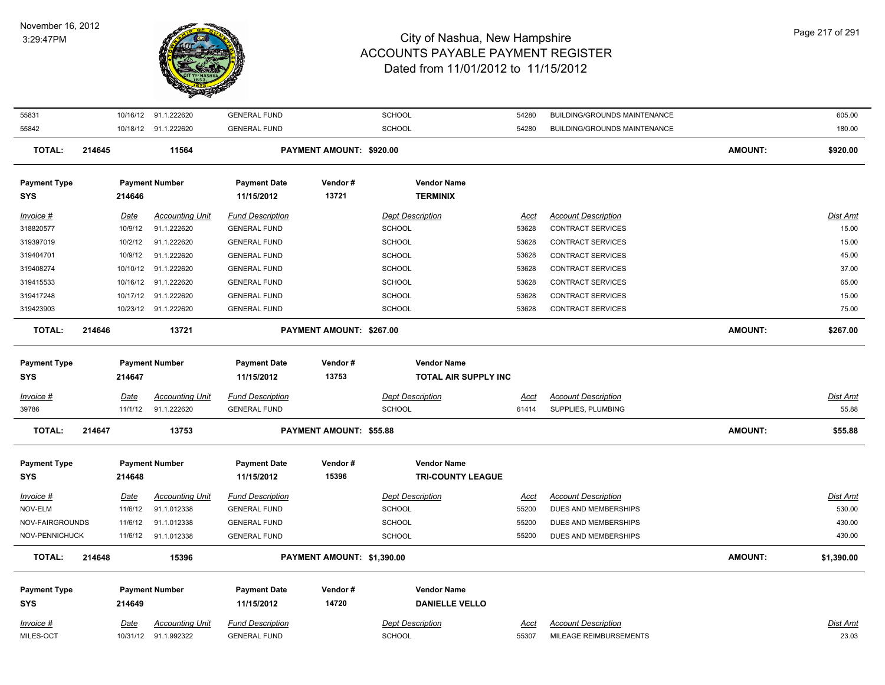

| 55831               |        |             | 10/16/12 91.1.222620   | <b>GENERAL FUND</b>     |                                | <b>SCHOOL</b>            | 54280       | <b>BUILDING/GROUNDS MAINTENANCE</b> |                | 605.00     |
|---------------------|--------|-------------|------------------------|-------------------------|--------------------------------|--------------------------|-------------|-------------------------------------|----------------|------------|
| 55842               |        |             | 10/18/12 91.1.222620   | <b>GENERAL FUND</b>     |                                | SCHOOL                   | 54280       | BUILDING/GROUNDS MAINTENANCE        |                | 180.00     |
| <b>TOTAL:</b>       | 214645 |             | 11564                  |                         | PAYMENT AMOUNT: \$920.00       |                          |             |                                     | <b>AMOUNT:</b> | \$920.00   |
| <b>Payment Type</b> |        |             | <b>Payment Number</b>  | <b>Payment Date</b>     | Vendor#                        | <b>Vendor Name</b>       |             |                                     |                |            |
| SYS                 |        | 214646      |                        | 11/15/2012              | 13721                          | <b>TERMINIX</b>          |             |                                     |                |            |
| Invoice #           |        | Date        | <b>Accounting Unit</b> | <b>Fund Description</b> |                                | <b>Dept Description</b>  | Acct        | <b>Account Description</b>          |                | Dist Amt   |
| 318820577           |        | 10/9/12     | 91.1.222620            | <b>GENERAL FUND</b>     |                                | <b>SCHOOL</b>            | 53628       | <b>CONTRACT SERVICES</b>            |                | 15.00      |
| 319397019           |        | 10/2/12     | 91.1.222620            | <b>GENERAL FUND</b>     |                                | <b>SCHOOL</b>            | 53628       | CONTRACT SERVICES                   |                | 15.00      |
| 319404701           |        | 10/9/12     | 91.1.222620            | <b>GENERAL FUND</b>     |                                | <b>SCHOOL</b>            | 53628       | <b>CONTRACT SERVICES</b>            |                | 45.00      |
| 319408274           |        | 10/10/12    | 91.1.222620            | <b>GENERAL FUND</b>     |                                | <b>SCHOOL</b>            | 53628       | <b>CONTRACT SERVICES</b>            |                | 37.00      |
| 319415533           |        |             | 10/16/12 91.1.222620   | <b>GENERAL FUND</b>     |                                | <b>SCHOOL</b>            | 53628       | <b>CONTRACT SERVICES</b>            |                | 65.00      |
| 319417248           |        | 10/17/12    | 91.1.222620            | <b>GENERAL FUND</b>     |                                | <b>SCHOOL</b>            | 53628       | <b>CONTRACT SERVICES</b>            |                | 15.00      |
| 319423903           |        |             | 10/23/12 91.1.222620   | <b>GENERAL FUND</b>     |                                | <b>SCHOOL</b>            | 53628       | <b>CONTRACT SERVICES</b>            |                | 75.00      |
| <b>TOTAL:</b>       | 214646 |             | 13721                  |                         | PAYMENT AMOUNT: \$267.00       |                          |             |                                     | <b>AMOUNT:</b> | \$267.00   |
| <b>Payment Type</b> |        |             | <b>Payment Number</b>  | <b>Payment Date</b>     | Vendor#                        | <b>Vendor Name</b>       |             |                                     |                |            |
| SYS                 |        | 214647      |                        | 11/15/2012              | 13753                          | TOTAL AIR SUPPLY INC     |             |                                     |                |            |
| Invoice #           |        | Date        | <b>Accounting Unit</b> | <b>Fund Description</b> |                                | <b>Dept Description</b>  | Acct        | <b>Account Description</b>          |                | Dist Amt   |
| 39786               |        | 11/1/12     | 91.1.222620            | <b>GENERAL FUND</b>     |                                | <b>SCHOOL</b>            | 61414       | SUPPLIES, PLUMBING                  |                | 55.88      |
| <b>TOTAL:</b>       | 214647 |             | 13753                  |                         | <b>PAYMENT AMOUNT: \$55.88</b> |                          |             |                                     | <b>AMOUNT:</b> | \$55.88    |
| <b>Payment Type</b> |        |             | <b>Payment Number</b>  | <b>Payment Date</b>     | Vendor#                        | <b>Vendor Name</b>       |             |                                     |                |            |
| <b>SYS</b>          |        | 214648      |                        | 11/15/2012              | 15396                          | <b>TRI-COUNTY LEAGUE</b> |             |                                     |                |            |
| <u> Invoice #</u>   |        | <b>Date</b> | <b>Accounting Unit</b> | <b>Fund Description</b> |                                | <b>Dept Description</b>  | <u>Acct</u> | <b>Account Description</b>          |                | Dist Amt   |
| NOV-ELM             |        | 11/6/12     | 91.1.012338            | <b>GENERAL FUND</b>     |                                | SCHOOL                   | 55200       | DUES AND MEMBERSHIPS                |                | 530.00     |
| NOV-FAIRGROUNDS     |        | 11/6/12     | 91.1.012338            | <b>GENERAL FUND</b>     |                                | SCHOOL                   | 55200       | DUES AND MEMBERSHIPS                |                | 430.00     |
| NOV-PENNICHUCK      |        | 11/6/12     | 91.1.012338            | <b>GENERAL FUND</b>     |                                | SCHOOL                   | 55200       | DUES AND MEMBERSHIPS                |                | 430.00     |
| <b>TOTAL:</b>       | 214648 |             | 15396                  |                         | PAYMENT AMOUNT: \$1,390.00     |                          |             |                                     | <b>AMOUNT:</b> | \$1,390.00 |
| <b>Payment Type</b> |        |             | <b>Payment Number</b>  | <b>Payment Date</b>     | Vendor#                        | <b>Vendor Name</b>       |             |                                     |                |            |
| SYS                 |        | 214649      |                        | 11/15/2012              | 14720                          | <b>DANIELLE VELLO</b>    |             |                                     |                |            |
| Invoice #           |        | <u>Date</u> | <b>Accounting Unit</b> | <b>Fund Description</b> |                                | <b>Dept Description</b>  | <u>Acct</u> | <b>Account Description</b>          |                | Dist Amt   |
| MILES-OCT           |        |             | 10/31/12 91.1.992322   | <b>GENERAL FUND</b>     |                                | SCHOOL                   | 55307       | MILEAGE REIMBURSEMENTS              |                | 23.03      |
|                     |        |             |                        |                         |                                |                          |             |                                     |                |            |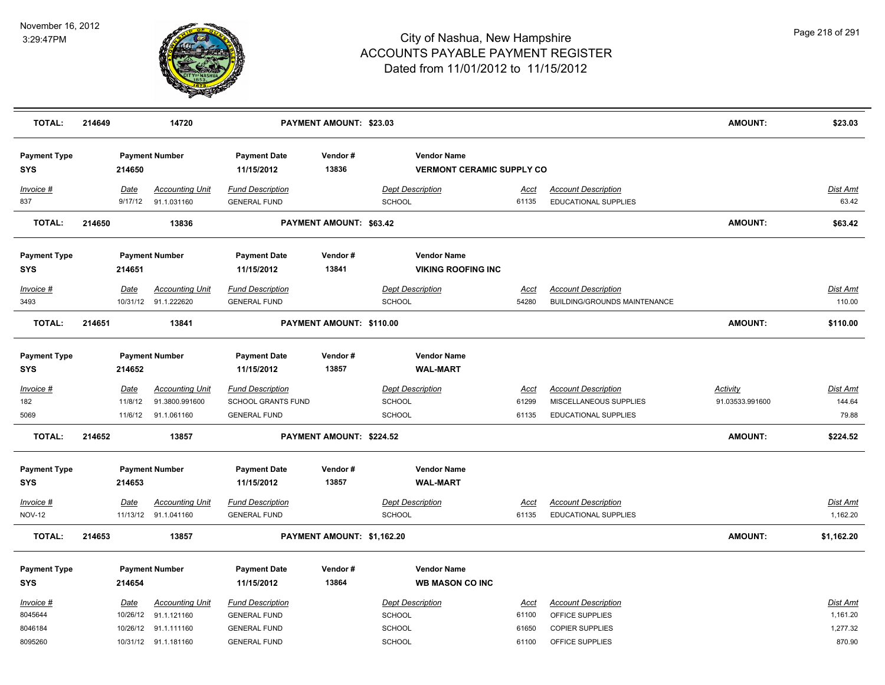

| <b>Payment Type</b><br><b>Payment Number</b><br><b>Payment Date</b><br>Vendor#<br><b>Vendor Name</b><br>13836<br><b>SYS</b><br>214650<br>11/15/2012<br><b>VERMONT CERAMIC SUPPLY CO</b><br><b>Accounting Unit</b><br><b>Fund Description</b><br><b>Dept Description</b><br><b>Account Description</b><br>Dist Amt<br>Invoice #<br><u>Date</u><br><u>Acct</u><br>837<br>91.1.031160<br><b>SCHOOL</b><br>EDUCATIONAL SUPPLIES<br>63.42<br>9/17/12<br><b>GENERAL FUND</b><br>61135<br><b>TOTAL:</b><br>214650<br>13836<br>PAYMENT AMOUNT: \$63.42<br><b>AMOUNT:</b><br>\$63.42<br>Vendor#<br><b>Vendor Name</b><br><b>Payment Type</b><br><b>Payment Number</b><br><b>Payment Date</b><br>13841<br><b>VIKING ROOFING INC</b><br><b>SYS</b><br>214651<br>11/15/2012<br><b>Accounting Unit</b><br><b>Fund Description</b><br><b>Dept Description</b><br><b>Account Description</b><br><b>Dist Amt</b><br>Invoice #<br>Date<br><u>Acct</u><br>110.00<br>3493<br>10/31/12 91.1.222620<br>SCHOOL<br>54280<br><b>BUILDING/GROUNDS MAINTENANCE</b><br><b>GENERAL FUND</b><br><b>AMOUNT:</b><br><b>TOTAL:</b><br>214651<br>13841<br>PAYMENT AMOUNT: \$110.00<br>\$110.00<br><b>Vendor Name</b><br><b>Payment Type</b><br><b>Payment Number</b><br><b>Payment Date</b><br>Vendor#<br>13857<br><b>SYS</b><br>214652<br>11/15/2012<br><b>WAL-MART</b><br><b>Accounting Unit</b><br><b>Fund Description</b><br><b>Dept Description</b><br><b>Account Description</b><br><b>Activity</b><br>Dist Amt<br>$Invoice$ #<br>Date<br>Acct<br>144.64<br>182<br>11/8/12<br>91.3800.991600<br><b>SCHOOL GRANTS FUND</b><br><b>SCHOOL</b><br>61299<br>MISCELLANEOUS SUPPLIES<br>91.03533.991600<br><b>SCHOOL</b><br>79.88<br>91.1.061160<br><b>GENERAL FUND</b><br>61135<br>EDUCATIONAL SUPPLIES<br>5069<br>11/6/12<br><b>TOTAL:</b><br><b>AMOUNT:</b><br>214652<br>13857<br>PAYMENT AMOUNT: \$224.52<br>\$224.52<br><b>Vendor Name</b><br><b>Payment Type</b><br><b>Payment Number</b><br><b>Payment Date</b><br>Vendor#<br>13857<br><b>WAL-MART</b><br><b>SYS</b><br>214653<br>11/15/2012<br><b>Account Description</b><br><b>Accounting Unit</b><br><b>Fund Description</b><br><b>Dept Description</b><br><b>Dist Amt</b><br>Invoice #<br>Date<br><u>Acct</u><br><b>NOV-12</b><br>11/13/12 91.1.041160<br><b>SCHOOL</b><br>61135<br>EDUCATIONAL SUPPLIES<br>1,162.20<br><b>GENERAL FUND</b><br><b>TOTAL:</b><br>PAYMENT AMOUNT: \$1,162.20<br><b>AMOUNT:</b><br>214653<br>13857<br>\$1,162.20<br><b>Vendor Name</b><br><b>Payment Type</b><br><b>Payment Number</b><br><b>Payment Date</b><br>Vendor#<br><b>SYS</b><br>214654<br>11/15/2012<br>13864<br><b>WB MASON CO INC</b><br><b>Accounting Unit</b><br><b>Fund Description</b><br><b>Account Description</b><br><b>Dist Amt</b><br>Invoice #<br>Date<br><b>Dept Description</b><br>Acct<br>8045644<br>10/26/12<br>91.1.121160<br><b>GENERAL FUND</b><br><b>SCHOOL</b><br>61100<br>OFFICE SUPPLIES<br>1,161.20<br>1,277.32<br>8046184<br>10/26/12 91.1.111160<br><b>GENERAL FUND</b><br><b>SCHOOL</b><br><b>COPIER SUPPLIES</b><br>61650<br><b>SCHOOL</b><br>OFFICE SUPPLIES<br>870.90<br>8095260<br>10/31/12 91.1.181160<br><b>GENERAL FUND</b><br>61100 | <b>TOTAL:</b> | 214649 | 14720 | <b>PAYMENT AMOUNT: \$23.03</b> |  | <b>AMOUNT:</b> | \$23.03 |
|----------------------------------------------------------------------------------------------------------------------------------------------------------------------------------------------------------------------------------------------------------------------------------------------------------------------------------------------------------------------------------------------------------------------------------------------------------------------------------------------------------------------------------------------------------------------------------------------------------------------------------------------------------------------------------------------------------------------------------------------------------------------------------------------------------------------------------------------------------------------------------------------------------------------------------------------------------------------------------------------------------------------------------------------------------------------------------------------------------------------------------------------------------------------------------------------------------------------------------------------------------------------------------------------------------------------------------------------------------------------------------------------------------------------------------------------------------------------------------------------------------------------------------------------------------------------------------------------------------------------------------------------------------------------------------------------------------------------------------------------------------------------------------------------------------------------------------------------------------------------------------------------------------------------------------------------------------------------------------------------------------------------------------------------------------------------------------------------------------------------------------------------------------------------------------------------------------------------------------------------------------------------------------------------------------------------------------------------------------------------------------------------------------------------------------------------------------------------------------------------------------------------------------------------------------------------------------------------------------------------------------------------------------------------------------------------------------------------------------------------------------------------------------------------------------------------------------------------------------------------------------------------------------------------------------------------------------------------------------------------------------------------------------------------------------------------------------------------------------------------------------------------------------------------------------------|---------------|--------|-------|--------------------------------|--|----------------|---------|
|                                                                                                                                                                                                                                                                                                                                                                                                                                                                                                                                                                                                                                                                                                                                                                                                                                                                                                                                                                                                                                                                                                                                                                                                                                                                                                                                                                                                                                                                                                                                                                                                                                                                                                                                                                                                                                                                                                                                                                                                                                                                                                                                                                                                                                                                                                                                                                                                                                                                                                                                                                                                                                                                                                                                                                                                                                                                                                                                                                                                                                                                                                                                                                                        |               |        |       |                                |  |                |         |
|                                                                                                                                                                                                                                                                                                                                                                                                                                                                                                                                                                                                                                                                                                                                                                                                                                                                                                                                                                                                                                                                                                                                                                                                                                                                                                                                                                                                                                                                                                                                                                                                                                                                                                                                                                                                                                                                                                                                                                                                                                                                                                                                                                                                                                                                                                                                                                                                                                                                                                                                                                                                                                                                                                                                                                                                                                                                                                                                                                                                                                                                                                                                                                                        |               |        |       |                                |  |                |         |
|                                                                                                                                                                                                                                                                                                                                                                                                                                                                                                                                                                                                                                                                                                                                                                                                                                                                                                                                                                                                                                                                                                                                                                                                                                                                                                                                                                                                                                                                                                                                                                                                                                                                                                                                                                                                                                                                                                                                                                                                                                                                                                                                                                                                                                                                                                                                                                                                                                                                                                                                                                                                                                                                                                                                                                                                                                                                                                                                                                                                                                                                                                                                                                                        |               |        |       |                                |  |                |         |
|                                                                                                                                                                                                                                                                                                                                                                                                                                                                                                                                                                                                                                                                                                                                                                                                                                                                                                                                                                                                                                                                                                                                                                                                                                                                                                                                                                                                                                                                                                                                                                                                                                                                                                                                                                                                                                                                                                                                                                                                                                                                                                                                                                                                                                                                                                                                                                                                                                                                                                                                                                                                                                                                                                                                                                                                                                                                                                                                                                                                                                                                                                                                                                                        |               |        |       |                                |  |                |         |
|                                                                                                                                                                                                                                                                                                                                                                                                                                                                                                                                                                                                                                                                                                                                                                                                                                                                                                                                                                                                                                                                                                                                                                                                                                                                                                                                                                                                                                                                                                                                                                                                                                                                                                                                                                                                                                                                                                                                                                                                                                                                                                                                                                                                                                                                                                                                                                                                                                                                                                                                                                                                                                                                                                                                                                                                                                                                                                                                                                                                                                                                                                                                                                                        |               |        |       |                                |  |                |         |
|                                                                                                                                                                                                                                                                                                                                                                                                                                                                                                                                                                                                                                                                                                                                                                                                                                                                                                                                                                                                                                                                                                                                                                                                                                                                                                                                                                                                                                                                                                                                                                                                                                                                                                                                                                                                                                                                                                                                                                                                                                                                                                                                                                                                                                                                                                                                                                                                                                                                                                                                                                                                                                                                                                                                                                                                                                                                                                                                                                                                                                                                                                                                                                                        |               |        |       |                                |  |                |         |
|                                                                                                                                                                                                                                                                                                                                                                                                                                                                                                                                                                                                                                                                                                                                                                                                                                                                                                                                                                                                                                                                                                                                                                                                                                                                                                                                                                                                                                                                                                                                                                                                                                                                                                                                                                                                                                                                                                                                                                                                                                                                                                                                                                                                                                                                                                                                                                                                                                                                                                                                                                                                                                                                                                                                                                                                                                                                                                                                                                                                                                                                                                                                                                                        |               |        |       |                                |  |                |         |
|                                                                                                                                                                                                                                                                                                                                                                                                                                                                                                                                                                                                                                                                                                                                                                                                                                                                                                                                                                                                                                                                                                                                                                                                                                                                                                                                                                                                                                                                                                                                                                                                                                                                                                                                                                                                                                                                                                                                                                                                                                                                                                                                                                                                                                                                                                                                                                                                                                                                                                                                                                                                                                                                                                                                                                                                                                                                                                                                                                                                                                                                                                                                                                                        |               |        |       |                                |  |                |         |
|                                                                                                                                                                                                                                                                                                                                                                                                                                                                                                                                                                                                                                                                                                                                                                                                                                                                                                                                                                                                                                                                                                                                                                                                                                                                                                                                                                                                                                                                                                                                                                                                                                                                                                                                                                                                                                                                                                                                                                                                                                                                                                                                                                                                                                                                                                                                                                                                                                                                                                                                                                                                                                                                                                                                                                                                                                                                                                                                                                                                                                                                                                                                                                                        |               |        |       |                                |  |                |         |
|                                                                                                                                                                                                                                                                                                                                                                                                                                                                                                                                                                                                                                                                                                                                                                                                                                                                                                                                                                                                                                                                                                                                                                                                                                                                                                                                                                                                                                                                                                                                                                                                                                                                                                                                                                                                                                                                                                                                                                                                                                                                                                                                                                                                                                                                                                                                                                                                                                                                                                                                                                                                                                                                                                                                                                                                                                                                                                                                                                                                                                                                                                                                                                                        |               |        |       |                                |  |                |         |
|                                                                                                                                                                                                                                                                                                                                                                                                                                                                                                                                                                                                                                                                                                                                                                                                                                                                                                                                                                                                                                                                                                                                                                                                                                                                                                                                                                                                                                                                                                                                                                                                                                                                                                                                                                                                                                                                                                                                                                                                                                                                                                                                                                                                                                                                                                                                                                                                                                                                                                                                                                                                                                                                                                                                                                                                                                                                                                                                                                                                                                                                                                                                                                                        |               |        |       |                                |  |                |         |
|                                                                                                                                                                                                                                                                                                                                                                                                                                                                                                                                                                                                                                                                                                                                                                                                                                                                                                                                                                                                                                                                                                                                                                                                                                                                                                                                                                                                                                                                                                                                                                                                                                                                                                                                                                                                                                                                                                                                                                                                                                                                                                                                                                                                                                                                                                                                                                                                                                                                                                                                                                                                                                                                                                                                                                                                                                                                                                                                                                                                                                                                                                                                                                                        |               |        |       |                                |  |                |         |
|                                                                                                                                                                                                                                                                                                                                                                                                                                                                                                                                                                                                                                                                                                                                                                                                                                                                                                                                                                                                                                                                                                                                                                                                                                                                                                                                                                                                                                                                                                                                                                                                                                                                                                                                                                                                                                                                                                                                                                                                                                                                                                                                                                                                                                                                                                                                                                                                                                                                                                                                                                                                                                                                                                                                                                                                                                                                                                                                                                                                                                                                                                                                                                                        |               |        |       |                                |  |                |         |
|                                                                                                                                                                                                                                                                                                                                                                                                                                                                                                                                                                                                                                                                                                                                                                                                                                                                                                                                                                                                                                                                                                                                                                                                                                                                                                                                                                                                                                                                                                                                                                                                                                                                                                                                                                                                                                                                                                                                                                                                                                                                                                                                                                                                                                                                                                                                                                                                                                                                                                                                                                                                                                                                                                                                                                                                                                                                                                                                                                                                                                                                                                                                                                                        |               |        |       |                                |  |                |         |
|                                                                                                                                                                                                                                                                                                                                                                                                                                                                                                                                                                                                                                                                                                                                                                                                                                                                                                                                                                                                                                                                                                                                                                                                                                                                                                                                                                                                                                                                                                                                                                                                                                                                                                                                                                                                                                                                                                                                                                                                                                                                                                                                                                                                                                                                                                                                                                                                                                                                                                                                                                                                                                                                                                                                                                                                                                                                                                                                                                                                                                                                                                                                                                                        |               |        |       |                                |  |                |         |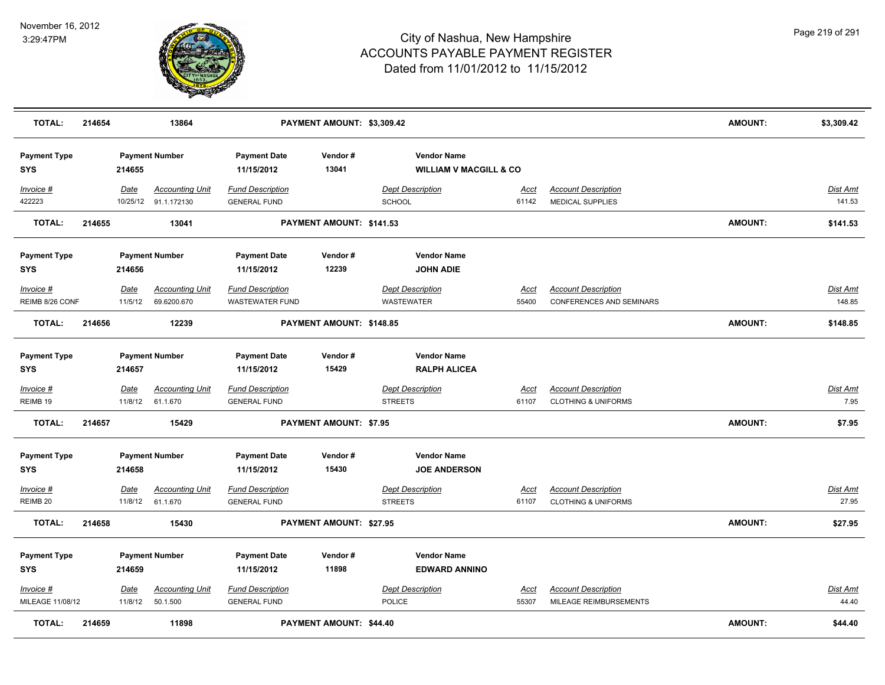

| <b>TOTAL:</b>                     | 214654 |                        | 13864                                          |                                                   | PAYMENT AMOUNT: \$3,309.42 |                   |                                                         |                      |                                                              | <b>AMOUNT:</b> | \$3,309.42                |
|-----------------------------------|--------|------------------------|------------------------------------------------|---------------------------------------------------|----------------------------|-------------------|---------------------------------------------------------|----------------------|--------------------------------------------------------------|----------------|---------------------------|
| <b>Payment Type</b><br><b>SYS</b> |        | 214655                 | <b>Payment Number</b>                          | <b>Payment Date</b><br>11/15/2012                 | Vendor#<br>13041           |                   | <b>Vendor Name</b><br><b>WILLIAM V MACGILL &amp; CO</b> |                      |                                                              |                |                           |
| Invoice #<br>422223               |        | Date                   | <b>Accounting Unit</b><br>10/25/12 91.1.172130 | <b>Fund Description</b><br><b>GENERAL FUND</b>    |                            | <b>SCHOOL</b>     | <b>Dept Description</b>                                 | Acct<br>61142        | <b>Account Description</b><br>MEDICAL SUPPLIES               |                | <b>Dist Amt</b><br>141.53 |
| TOTAL:                            | 214655 |                        | 13041                                          |                                                   | PAYMENT AMOUNT: \$141.53   |                   |                                                         |                      |                                                              | <b>AMOUNT:</b> | \$141.53                  |
| <b>Payment Type</b><br><b>SYS</b> |        | 214656                 | <b>Payment Number</b>                          | <b>Payment Date</b><br>11/15/2012                 | Vendor#<br>12239           |                   | <b>Vendor Name</b><br><b>JOHN ADIE</b>                  |                      |                                                              |                |                           |
| Invoice #<br>REIMB 8/26 CONF      |        | Date<br>11/5/12        | <b>Accounting Unit</b><br>69.6200.670          | <b>Fund Description</b><br><b>WASTEWATER FUND</b> |                            | <b>WASTEWATER</b> | <b>Dept Description</b>                                 | Acct<br>55400        | <b>Account Description</b><br>CONFERENCES AND SEMINARS       |                | Dist Amt<br>148.85        |
| <b>TOTAL:</b>                     | 214656 |                        | 12239                                          |                                                   | PAYMENT AMOUNT: \$148.85   |                   |                                                         |                      |                                                              | AMOUNT:        | \$148.85                  |
| <b>Payment Type</b><br><b>SYS</b> |        | 214657                 | <b>Payment Number</b>                          | <b>Payment Date</b><br>11/15/2012                 | Vendor#<br>15429           |                   | <b>Vendor Name</b><br><b>RALPH ALICEA</b>               |                      |                                                              |                |                           |
| Invoice #<br>REIMB 19             |        | <b>Date</b><br>11/8/12 | <b>Accounting Unit</b><br>61.1.670             | <b>Fund Description</b><br><b>GENERAL FUND</b>    |                            | <b>STREETS</b>    | <b>Dept Description</b>                                 | <u>Acct</u><br>61107 | <b>Account Description</b><br><b>CLOTHING &amp; UNIFORMS</b> |                | <b>Dist Amt</b><br>7.95   |
| <b>TOTAL:</b>                     | 214657 |                        | 15429                                          |                                                   | PAYMENT AMOUNT: \$7.95     |                   |                                                         |                      |                                                              | <b>AMOUNT:</b> | \$7.95                    |
| <b>Payment Type</b><br><b>SYS</b> |        | 214658                 | <b>Payment Number</b>                          | <b>Payment Date</b><br>11/15/2012                 | Vendor#<br>15430           |                   | <b>Vendor Name</b><br><b>JOE ANDERSON</b>               |                      |                                                              |                |                           |
| Invoice #<br>REIMB <sub>20</sub>  |        | Date<br>11/8/12        | <b>Accounting Unit</b><br>61.1.670             | <b>Fund Description</b><br><b>GENERAL FUND</b>    |                            | <b>STREETS</b>    | <b>Dept Description</b>                                 | <b>Acct</b><br>61107 | <b>Account Description</b><br><b>CLOTHING &amp; UNIFORMS</b> |                | Dist Amt<br>27.95         |
| TOTAL:                            | 214658 |                        | 15430                                          |                                                   | PAYMENT AMOUNT: \$27.95    |                   |                                                         |                      |                                                              | <b>AMOUNT:</b> | \$27.95                   |
| <b>Payment Type</b><br><b>SYS</b> |        | 214659                 | <b>Payment Number</b>                          | <b>Payment Date</b><br>11/15/2012                 | Vendor#<br>11898           |                   | <b>Vendor Name</b><br><b>EDWARD ANNINO</b>              |                      |                                                              |                |                           |
| Invoice #<br>MILEAGE 11/08/12     |        | <u>Date</u><br>11/8/12 | <b>Accounting Unit</b><br>50.1.500             | <b>Fund Description</b><br><b>GENERAL FUND</b>    |                            | <b>POLICE</b>     | <b>Dept Description</b>                                 | Acct<br>55307        | <b>Account Description</b><br>MILEAGE REIMBURSEMENTS         |                | <u>Dist Amt</u><br>44.40  |
| <b>TOTAL:</b>                     | 214659 |                        | 11898                                          |                                                   | PAYMENT AMOUNT: \$44.40    |                   |                                                         |                      |                                                              | <b>AMOUNT:</b> | \$44.40                   |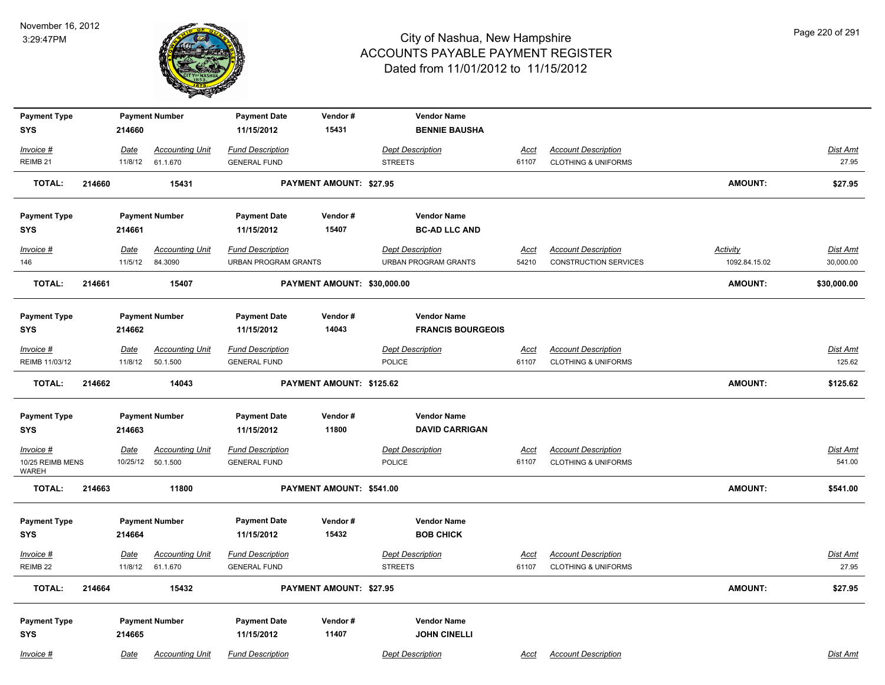

| <b>Payment Type</b>              |        |                 | <b>Payment Number</b>              | <b>Payment Date</b>                             | Vendor#                        | <b>Vendor Name</b>                                     |                      |                                                              |                                  |                          |
|----------------------------------|--------|-----------------|------------------------------------|-------------------------------------------------|--------------------------------|--------------------------------------------------------|----------------------|--------------------------------------------------------------|----------------------------------|--------------------------|
| <b>SYS</b>                       |        | 214660          |                                    | 11/15/2012                                      | 15431                          | <b>BENNIE BAUSHA</b>                                   |                      |                                                              |                                  |                          |
| Invoice #                        |        | Date            | <b>Accounting Unit</b>             | <b>Fund Description</b>                         |                                | <b>Dept Description</b>                                | Acct                 | <b>Account Description</b>                                   |                                  | Dist Amt                 |
| REIMB 21                         |        | 11/8/12         | 61.1.670                           | <b>GENERAL FUND</b>                             |                                | <b>STREETS</b>                                         | 61107                | <b>CLOTHING &amp; UNIFORMS</b>                               |                                  | 27.95                    |
| <b>TOTAL:</b>                    | 214660 |                 | 15431                              |                                                 | <b>PAYMENT AMOUNT: \$27.95</b> |                                                        |                      |                                                              | <b>AMOUNT:</b>                   | \$27.95                  |
| <b>Payment Type</b>              |        |                 | <b>Payment Number</b>              | <b>Payment Date</b>                             | Vendor#                        | <b>Vendor Name</b>                                     |                      |                                                              |                                  |                          |
| <b>SYS</b>                       |        | 214661          |                                    | 11/15/2012                                      | 15407                          | <b>BC-AD LLC AND</b>                                   |                      |                                                              |                                  |                          |
| $Invoice$ #<br>146               |        | Date<br>11/5/12 | <b>Accounting Unit</b><br>84.3090  | <b>Fund Description</b><br>URBAN PROGRAM GRANTS |                                | <b>Dept Description</b><br><b>URBAN PROGRAM GRANTS</b> | <u>Acct</u><br>54210 | <b>Account Description</b><br><b>CONSTRUCTION SERVICES</b>   | <b>Activity</b><br>1092.84.15.02 | Dist Amt<br>30,000.00    |
|                                  |        |                 |                                    |                                                 |                                |                                                        |                      |                                                              |                                  |                          |
| <b>TOTAL:</b>                    | 214661 |                 | 15407                              |                                                 | PAYMENT AMOUNT: \$30,000.00    |                                                        |                      |                                                              | <b>AMOUNT:</b>                   | \$30,000.00              |
| <b>Payment Type</b>              |        |                 | <b>Payment Number</b>              | <b>Payment Date</b>                             | Vendor#                        | <b>Vendor Name</b>                                     |                      |                                                              |                                  |                          |
| <b>SYS</b>                       |        | 214662          |                                    | 11/15/2012                                      | 14043                          | <b>FRANCIS BOURGEOIS</b>                               |                      |                                                              |                                  |                          |
| Invoice #                        |        | Date            | <b>Accounting Unit</b>             | <b>Fund Description</b>                         |                                | <b>Dept Description</b>                                | Acct                 | <b>Account Description</b>                                   |                                  | Dist Amt                 |
| REIMB 11/03/12                   |        | 11/8/12         | 50.1.500                           | <b>GENERAL FUND</b>                             |                                | <b>POLICE</b>                                          | 61107                | <b>CLOTHING &amp; UNIFORMS</b>                               |                                  | 125.62                   |
| <b>TOTAL:</b>                    | 214662 |                 | 14043                              |                                                 | PAYMENT AMOUNT: \$125.62       |                                                        |                      |                                                              | <b>AMOUNT:</b>                   | \$125.62                 |
| <b>Payment Type</b>              |        |                 | <b>Payment Number</b>              | <b>Payment Date</b>                             | Vendor#                        | <b>Vendor Name</b>                                     |                      |                                                              |                                  |                          |
| <b>SYS</b>                       |        | 214663          |                                    | 11/15/2012                                      | 11800                          | <b>DAVID CARRIGAN</b>                                  |                      |                                                              |                                  |                          |
| $Invoice$ #                      |        | Date            | <u>Accounting Unit</u>             | <b>Fund Description</b>                         |                                | <b>Dept Description</b>                                | Acct                 | <b>Account Description</b>                                   |                                  | <b>Dist Amt</b>          |
| 10/25 REIMB MENS<br><b>WAREH</b> |        | 10/25/12        | 50.1.500                           | <b>GENERAL FUND</b>                             |                                | POLICE                                                 | 61107                | <b>CLOTHING &amp; UNIFORMS</b>                               |                                  | 541.00                   |
| <b>TOTAL:</b>                    | 214663 |                 | 11800                              |                                                 | PAYMENT AMOUNT: \$541.00       |                                                        |                      |                                                              | <b>AMOUNT:</b>                   | \$541.00                 |
| <b>Payment Type</b>              |        |                 | <b>Payment Number</b>              | <b>Payment Date</b>                             | Vendor#                        | <b>Vendor Name</b>                                     |                      |                                                              |                                  |                          |
| <b>SYS</b>                       |        | 214664          |                                    | 11/15/2012                                      | 15432                          | <b>BOB CHICK</b>                                       |                      |                                                              |                                  |                          |
| $Invoice$ #<br>REIMB 22          |        | Date<br>11/8/12 | <b>Accounting Unit</b><br>61.1.670 | <b>Fund Description</b><br><b>GENERAL FUND</b>  |                                | <b>Dept Description</b><br><b>STREETS</b>              | Acct<br>61107        | <b>Account Description</b><br><b>CLOTHING &amp; UNIFORMS</b> |                                  | <b>Dist Amt</b><br>27.95 |
| <b>TOTAL:</b>                    | 214664 |                 | 15432                              |                                                 | PAYMENT AMOUNT: \$27.95        |                                                        |                      |                                                              | <b>AMOUNT:</b>                   | \$27.95                  |
|                                  |        |                 |                                    |                                                 |                                |                                                        |                      |                                                              |                                  |                          |
| <b>Payment Type</b>              |        |                 | <b>Payment Number</b>              | <b>Payment Date</b>                             | Vendor#                        | <b>Vendor Name</b>                                     |                      |                                                              |                                  |                          |
| <b>SYS</b>                       |        | 214665          |                                    | 11/15/2012                                      | 11407                          | <b>JOHN CINELLI</b>                                    |                      |                                                              |                                  |                          |
| Invoice #                        |        | Date            | <b>Accounting Unit</b>             | <b>Fund Description</b>                         |                                | <b>Dept Description</b>                                | Acct                 | <b>Account Description</b>                                   |                                  | Dist Amt                 |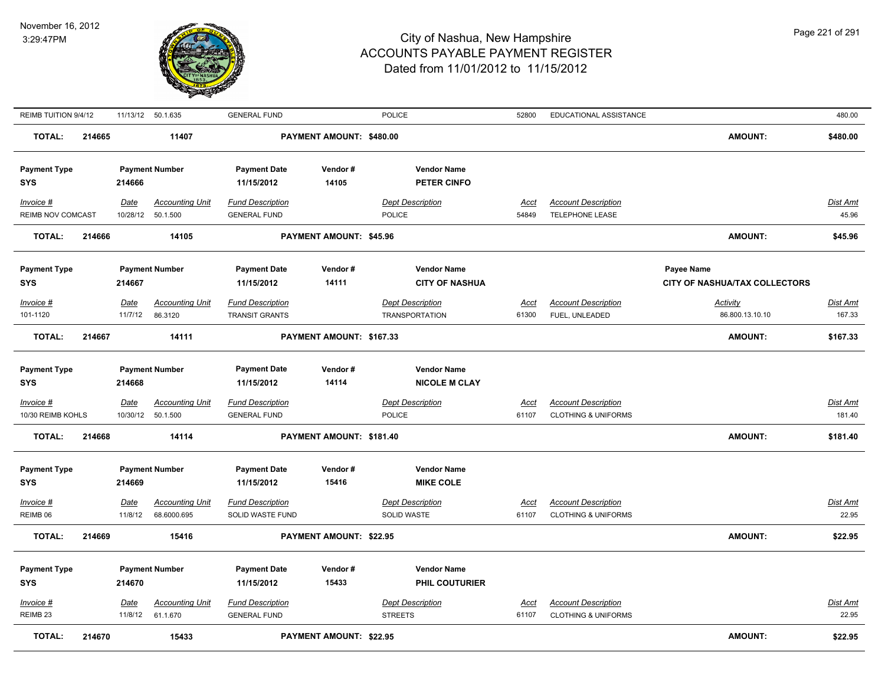

| REIMB TUITION 9/4/12                           |        |                        | 11/13/12 50.1.635                               | <b>GENERAL FUND</b>                                          |                                | <b>POLICE</b>                                                         | 52800                | EDUCATIONAL ASSISTANCE                               |                                                    | 480.00                    |
|------------------------------------------------|--------|------------------------|-------------------------------------------------|--------------------------------------------------------------|--------------------------------|-----------------------------------------------------------------------|----------------------|------------------------------------------------------|----------------------------------------------------|---------------------------|
| <b>TOTAL:</b>                                  | 214665 |                        | 11407                                           |                                                              | PAYMENT AMOUNT: \$480.00       |                                                                       |                      |                                                      | <b>AMOUNT:</b>                                     | \$480.00                  |
| <b>Payment Type</b><br>SYS                     |        | 214666                 | <b>Payment Number</b>                           | <b>Payment Date</b><br>11/15/2012                            | Vendor#<br>14105               | <b>Vendor Name</b><br><b>PETER CINFO</b>                              |                      |                                                      |                                                    |                           |
| Invoice #<br>REIMB NOV COMCAST                 |        | Date<br>10/28/12       | <b>Accounting Unit</b><br>50.1.500              | <b>Fund Description</b><br><b>GENERAL FUND</b>               |                                | <b>Dept Description</b><br>POLICE                                     | Acct<br>54849        | <b>Account Description</b><br><b>TELEPHONE LEASE</b> |                                                    | Dist Amt<br>45.96         |
| <b>TOTAL:</b>                                  | 214666 |                        | 14105                                           |                                                              | PAYMENT AMOUNT: \$45.96        |                                                                       |                      |                                                      | <b>AMOUNT:</b>                                     | \$45.96                   |
| <b>Payment Type</b><br>SYS                     |        | 214667                 | <b>Payment Number</b>                           | <b>Payment Date</b><br>11/15/2012                            | Vendor#<br>14111               | <b>Vendor Name</b><br><b>CITY OF NASHUA</b>                           |                      |                                                      | <b>Payee Name</b><br>CITY OF NASHUA/TAX COLLECTORS |                           |
| Invoice #<br>101-1120                          |        | <b>Date</b><br>11/7/12 | <b>Accounting Unit</b><br>86.3120               | <b>Fund Description</b><br><b>TRANSIT GRANTS</b>             |                                | <b>Dept Description</b><br><b>TRANSPORTATION</b>                      | <u>Acct</u><br>61300 | <b>Account Description</b><br>FUEL, UNLEADED         | <b>Activity</b><br>86.800.13.10.10                 | <u>Dist Amt</u><br>167.33 |
| <b>TOTAL:</b>                                  | 214667 |                        | 14111                                           |                                                              | PAYMENT AMOUNT: \$167.33       |                                                                       |                      |                                                      | <b>AMOUNT:</b>                                     | \$167.33                  |
| <b>Payment Type</b><br>SYS<br>Invoice #        |        | 214668<br><u>Date</u>  | <b>Payment Number</b><br><b>Accounting Unit</b> | <b>Payment Date</b><br>11/15/2012<br><b>Fund Description</b> | Vendor#<br>14114               | <b>Vendor Name</b><br><b>NICOLE M CLAY</b><br><b>Dept Description</b> | <u>Acct</u>          | <b>Account Description</b>                           |                                                    | <u>Dist Amt</u>           |
| 10/30 REIMB KOHLS                              |        | 10/30/12               | 50.1.500                                        | <b>GENERAL FUND</b>                                          |                                | <b>POLICE</b>                                                         | 61107                | <b>CLOTHING &amp; UNIFORMS</b>                       |                                                    | 181.40                    |
| <b>TOTAL:</b>                                  | 214668 |                        | 14114                                           |                                                              | PAYMENT AMOUNT: \$181.40       |                                                                       |                      |                                                      | <b>AMOUNT:</b>                                     | \$181.40                  |
| <b>Payment Type</b><br><b>SYS</b><br>Invoice # |        | 214669<br><b>Date</b>  | <b>Payment Number</b><br><b>Accounting Unit</b> | <b>Payment Date</b><br>11/15/2012<br><b>Fund Description</b> | Vendor#<br>15416               | <b>Vendor Name</b><br><b>MIKE COLE</b><br><b>Dept Description</b>     | Acct                 | <b>Account Description</b>                           |                                                    | Dist Amt                  |
| REIMB <sub>06</sub>                            |        | 11/8/12                | 68.6000.695                                     | SOLID WASTE FUND                                             |                                | SOLID WASTE                                                           | 61107                | <b>CLOTHING &amp; UNIFORMS</b>                       |                                                    | 22.95                     |
| <b>TOTAL:</b>                                  | 214669 |                        | 15416                                           |                                                              | PAYMENT AMOUNT: \$22.95        |                                                                       |                      |                                                      | <b>AMOUNT:</b>                                     | \$22.95                   |
| <b>Payment Type</b><br><b>SYS</b>              |        | 214670                 | <b>Payment Number</b>                           | <b>Payment Date</b><br>11/15/2012                            | Vendor#<br>15433               | <b>Vendor Name</b><br>PHIL COUTURIER                                  |                      |                                                      |                                                    |                           |
| Invoice #                                      |        | <b>Date</b>            | <b>Accounting Unit</b>                          | <b>Fund Description</b>                                      |                                | <b>Dept Description</b>                                               | Acct                 | <b>Account Description</b>                           |                                                    | Dist Amt                  |
| REIMB 23                                       |        | 11/8/12                | 61.1.670                                        | <b>GENERAL FUND</b>                                          |                                | <b>STREETS</b>                                                        | 61107                | <b>CLOTHING &amp; UNIFORMS</b>                       |                                                    | 22.95                     |
| <b>TOTAL:</b>                                  | 214670 |                        | 15433                                           |                                                              | <b>PAYMENT AMOUNT: \$22.95</b> |                                                                       |                      |                                                      | <b>AMOUNT:</b>                                     | \$22.95                   |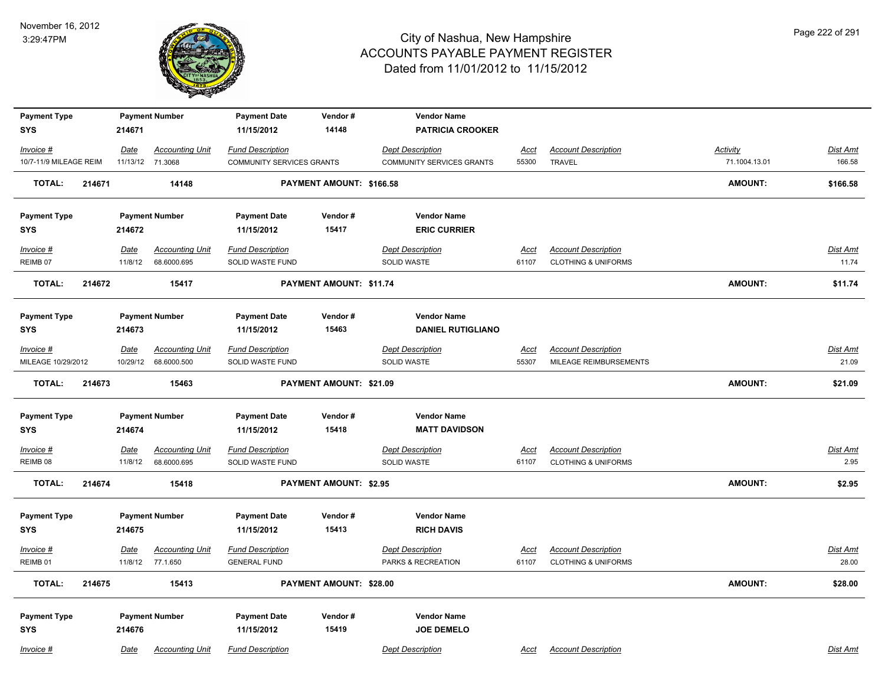

| <b>Payment Type</b>              |        |                 | <b>Payment Number</b>              | <b>Payment Date</b>                            | Vendor#                        | <b>Vendor Name</b>                            |                      |                                                              |                 |                          |
|----------------------------------|--------|-----------------|------------------------------------|------------------------------------------------|--------------------------------|-----------------------------------------------|----------------------|--------------------------------------------------------------|-----------------|--------------------------|
| <b>SYS</b>                       |        | 214671          |                                    | 11/15/2012                                     | 14148                          | <b>PATRICIA CROOKER</b>                       |                      |                                                              |                 |                          |
| Invoice #                        |        | Date            | <b>Accounting Unit</b>             | <b>Fund Description</b>                        |                                | <b>Dept Description</b>                       | <b>Acct</b>          | <b>Account Description</b>                                   | <b>Activity</b> | Dist Amt                 |
| 10/7-11/9 MILEAGE REIM           |        |                 | 11/13/12 71.3068                   | <b>COMMUNITY SERVICES GRANTS</b>               |                                | <b>COMMUNITY SERVICES GRANTS</b>              | 55300                | <b>TRAVEL</b>                                                | 71.1004.13.01   | 166.58                   |
| <b>TOTAL:</b>                    | 214671 |                 | 14148                              |                                                | PAYMENT AMOUNT: \$166.58       |                                               |                      |                                                              | <b>AMOUNT:</b>  | \$166.58                 |
| <b>Payment Type</b>              |        |                 | <b>Payment Number</b>              | <b>Payment Date</b>                            | Vendor#                        | <b>Vendor Name</b>                            |                      |                                                              |                 |                          |
| <b>SYS</b>                       |        | 214672          |                                    | 11/15/2012                                     | 15417                          | <b>ERIC CURRIER</b>                           |                      |                                                              |                 |                          |
| Invoice #                        |        | Date            | <b>Accounting Unit</b>             | <b>Fund Description</b>                        |                                | <b>Dept Description</b>                       | Acct                 | <b>Account Description</b>                                   |                 | Dist Amt                 |
| REIMB 07                         |        | 11/8/12         | 68.6000.695                        | SOLID WASTE FUND                               |                                | <b>SOLID WASTE</b>                            | 61107                | <b>CLOTHING &amp; UNIFORMS</b>                               |                 | 11.74                    |
| <b>TOTAL:</b>                    | 214672 |                 | 15417                              |                                                | PAYMENT AMOUNT: \$11.74        |                                               |                      |                                                              | <b>AMOUNT:</b>  | \$11.74                  |
| <b>Payment Type</b>              |        |                 | <b>Payment Number</b>              | <b>Payment Date</b>                            | Vendor#                        | <b>Vendor Name</b>                            |                      |                                                              |                 |                          |
| <b>SYS</b>                       |        | 214673          |                                    | 11/15/2012                                     | 15463                          | <b>DANIEL RUTIGLIANO</b>                      |                      |                                                              |                 |                          |
| Invoice #                        |        | <u>Date</u>     | <b>Accounting Unit</b>             | <b>Fund Description</b>                        |                                | <b>Dept Description</b>                       | <u>Acct</u>          | <b>Account Description</b>                                   |                 | Dist Amt                 |
| MILEAGE 10/29/2012               |        | 10/29/12        | 68.6000.500                        | SOLID WASTE FUND                               |                                | <b>SOLID WASTE</b>                            | 55307                | MILEAGE REIMBURSEMENTS                                       |                 | 21.09                    |
| <b>TOTAL:</b>                    | 214673 |                 | 15463                              |                                                | PAYMENT AMOUNT: \$21.09        |                                               |                      |                                                              | <b>AMOUNT:</b>  | \$21.09                  |
| <b>Payment Type</b>              |        |                 | <b>Payment Number</b>              | <b>Payment Date</b>                            | Vendor#                        | <b>Vendor Name</b>                            |                      |                                                              |                 |                          |
| <b>SYS</b>                       |        | 214674          |                                    | 11/15/2012                                     | 15418                          | <b>MATT DAVIDSON</b>                          |                      |                                                              |                 |                          |
| Invoice #                        |        | <u>Date</u>     | <b>Accounting Unit</b>             | <b>Fund Description</b>                        |                                | <b>Dept Description</b>                       | <u>Acct</u>          | <b>Account Description</b>                                   |                 | <b>Dist Amt</b>          |
| REIMB <sub>08</sub>              |        | 11/8/12         | 68.6000.695                        | SOLID WASTE FUND                               |                                | <b>SOLID WASTE</b>                            | 61107                | <b>CLOTHING &amp; UNIFORMS</b>                               |                 | 2.95                     |
| <b>TOTAL:</b>                    | 214674 |                 | 15418                              |                                                | <b>PAYMENT AMOUNT: \$2.95</b>  |                                               |                      |                                                              | <b>AMOUNT:</b>  | \$2.95                   |
| <b>Payment Type</b>              |        |                 | <b>Payment Number</b>              | <b>Payment Date</b>                            | Vendor#                        | <b>Vendor Name</b>                            |                      |                                                              |                 |                          |
| <b>SYS</b>                       |        | 214675          |                                    | 11/15/2012                                     | 15413                          | <b>RICH DAVIS</b>                             |                      |                                                              |                 |                          |
| Invoice #<br>REIMB <sub>01</sub> |        | Date<br>11/8/12 | <b>Accounting Unit</b><br>77.1.650 | <b>Fund Description</b><br><b>GENERAL FUND</b> |                                | <b>Dept Description</b><br>PARKS & RECREATION | <b>Acct</b><br>61107 | <b>Account Description</b><br><b>CLOTHING &amp; UNIFORMS</b> |                 | <b>Dist Amt</b><br>28.00 |
| <b>TOTAL:</b>                    | 214675 |                 | 15413                              |                                                | <b>PAYMENT AMOUNT: \$28.00</b> |                                               |                      |                                                              | <b>AMOUNT:</b>  | \$28.00                  |
|                                  |        |                 |                                    |                                                |                                |                                               |                      |                                                              |                 |                          |
| <b>Payment Type</b>              |        |                 | <b>Payment Number</b>              | <b>Payment Date</b>                            | Vendor#                        | <b>Vendor Name</b>                            |                      |                                                              |                 |                          |
| <b>SYS</b>                       |        | 214676          |                                    | 11/15/2012                                     | 15419                          | <b>JOE DEMELO</b>                             |                      |                                                              |                 |                          |
| Invoice #                        |        | Date            | <b>Accounting Unit</b>             | <b>Fund Description</b>                        |                                | <b>Dept Description</b>                       | Acct                 | <b>Account Description</b>                                   |                 | Dist Amt                 |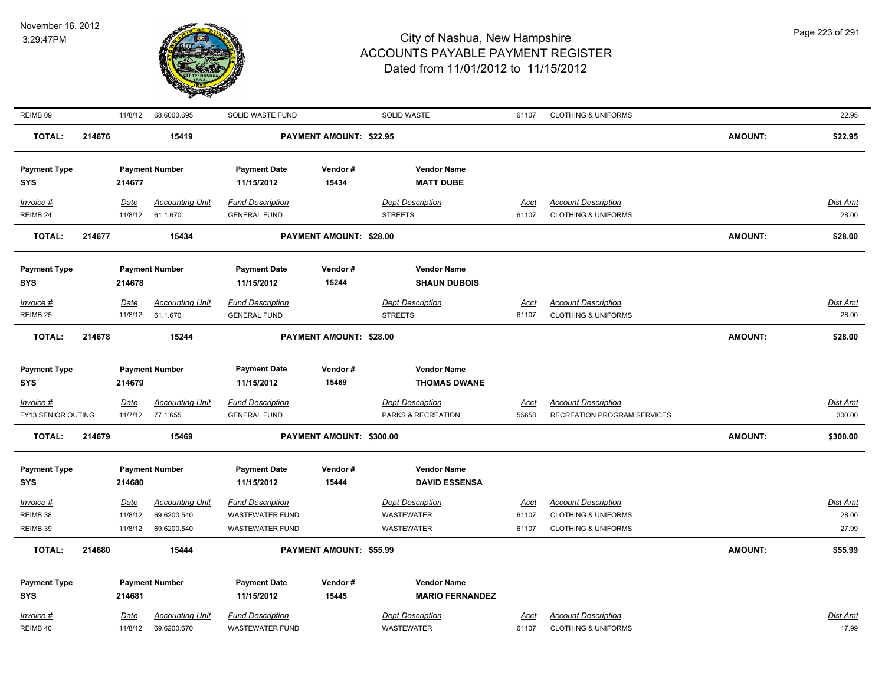

| REIMB <sub>09</sub> |        |             | 11/8/12 68.6000.695    | SOLID WASTE FUND        |                          | SOLID WASTE             | 61107       | <b>CLOTHING &amp; UNIFORMS</b> |                | 22.95    |
|---------------------|--------|-------------|------------------------|-------------------------|--------------------------|-------------------------|-------------|--------------------------------|----------------|----------|
| <b>TOTAL:</b>       | 214676 |             | 15419                  |                         | PAYMENT AMOUNT: \$22.95  |                         |             |                                | <b>AMOUNT:</b> | \$22.95  |
| <b>Payment Type</b> |        |             | <b>Payment Number</b>  | <b>Payment Date</b>     | Vendor#                  | <b>Vendor Name</b>      |             |                                |                |          |
| <b>SYS</b>          |        | 214677      |                        | 11/15/2012              | 15434                    | <b>MATT DUBE</b>        |             |                                |                |          |
| Invoice #           |        | Date        | <b>Accounting Unit</b> | <b>Fund Description</b> |                          | <b>Dept Description</b> | Acct        | <b>Account Description</b>     |                | Dist Amt |
| REIMB 24            |        | 11/8/12     | 61.1.670               | <b>GENERAL FUND</b>     |                          | <b>STREETS</b>          | 61107       | <b>CLOTHING &amp; UNIFORMS</b> |                | 28.00    |
| <b>TOTAL:</b>       | 214677 |             | 15434                  |                         | PAYMENT AMOUNT: \$28.00  |                         |             |                                | <b>AMOUNT:</b> | \$28.00  |
| <b>Payment Type</b> |        |             | <b>Payment Number</b>  | <b>Payment Date</b>     | Vendor#                  | <b>Vendor Name</b>      |             |                                |                |          |
| <b>SYS</b>          |        | 214678      |                        | 11/15/2012              | 15244                    | <b>SHAUN DUBOIS</b>     |             |                                |                |          |
| Invoice #           |        | Date        | <b>Accounting Unit</b> | <b>Fund Description</b> |                          | <b>Dept Description</b> | Acct        | <b>Account Description</b>     |                | Dist Amt |
| REIMB <sub>25</sub> |        | 11/8/12     | 61.1.670               | <b>GENERAL FUND</b>     |                          | <b>STREETS</b>          | 61107       | <b>CLOTHING &amp; UNIFORMS</b> |                | 28.00    |
| <b>TOTAL:</b>       | 214678 |             | 15244                  |                         | PAYMENT AMOUNT: \$28.00  |                         |             |                                | <b>AMOUNT:</b> | \$28.00  |
| <b>Payment Type</b> |        |             | <b>Payment Number</b>  | <b>Payment Date</b>     | Vendor#                  | <b>Vendor Name</b>      |             |                                |                |          |
| <b>SYS</b>          |        | 214679      |                        | 11/15/2012              | 15469                    | <b>THOMAS DWANE</b>     |             |                                |                |          |
| $Invoice$ #         |        | Date        | <b>Accounting Unit</b> | <b>Fund Description</b> |                          | <b>Dept Description</b> | <u>Acct</u> | <b>Account Description</b>     |                | Dist Amt |
| FY13 SENIOR OUTING  |        | 11/7/12     | 77.1.655               | <b>GENERAL FUND</b>     |                          | PARKS & RECREATION      | 55658       | RECREATION PROGRAM SERVICES    |                | 300.00   |
| <b>TOTAL:</b>       | 214679 |             | 15469                  |                         | PAYMENT AMOUNT: \$300.00 |                         |             |                                | <b>AMOUNT:</b> | \$300.00 |
| <b>Payment Type</b> |        |             | <b>Payment Number</b>  | <b>Payment Date</b>     | Vendor#                  | <b>Vendor Name</b>      |             |                                |                |          |
| <b>SYS</b>          |        | 214680      |                        | 11/15/2012              | 15444                    | <b>DAVID ESSENSA</b>    |             |                                |                |          |
| Invoice #           |        | Date        | <b>Accounting Unit</b> | <b>Fund Description</b> |                          | <b>Dept Description</b> | Acct        | <b>Account Description</b>     |                | Dist Amt |
| REIMB 38            |        | 11/8/12     | 69.6200.540            | WASTEWATER FUND         |                          | <b>WASTEWATER</b>       | 61107       | <b>CLOTHING &amp; UNIFORMS</b> |                | 28.00    |
| REIMB 39            |        | 11/8/12     | 69.6200.540            | <b>WASTEWATER FUND</b>  |                          | <b>WASTEWATER</b>       | 61107       | <b>CLOTHING &amp; UNIFORMS</b> |                | 27.99    |
| <b>TOTAL:</b>       | 214680 |             | 15444                  |                         | PAYMENT AMOUNT: \$55.99  |                         |             |                                | <b>AMOUNT:</b> | \$55.99  |
| <b>Payment Type</b> |        |             | <b>Payment Number</b>  | <b>Payment Date</b>     | Vendor#                  | <b>Vendor Name</b>      |             |                                |                |          |
| <b>SYS</b>          |        | 214681      |                        | 11/15/2012              | 15445                    | <b>MARIO FERNANDEZ</b>  |             |                                |                |          |
| Invoice #           |        | <b>Date</b> | <b>Accounting Unit</b> | <b>Fund Description</b> |                          | <b>Dept Description</b> | Acct        | <b>Account Description</b>     |                | Dist Amt |
| REIMB 40            |        | 11/8/12     | 69.6200.670            | <b>WASTEWATER FUND</b>  |                          | WASTEWATER              | 61107       | <b>CLOTHING &amp; UNIFORMS</b> |                | 17.99    |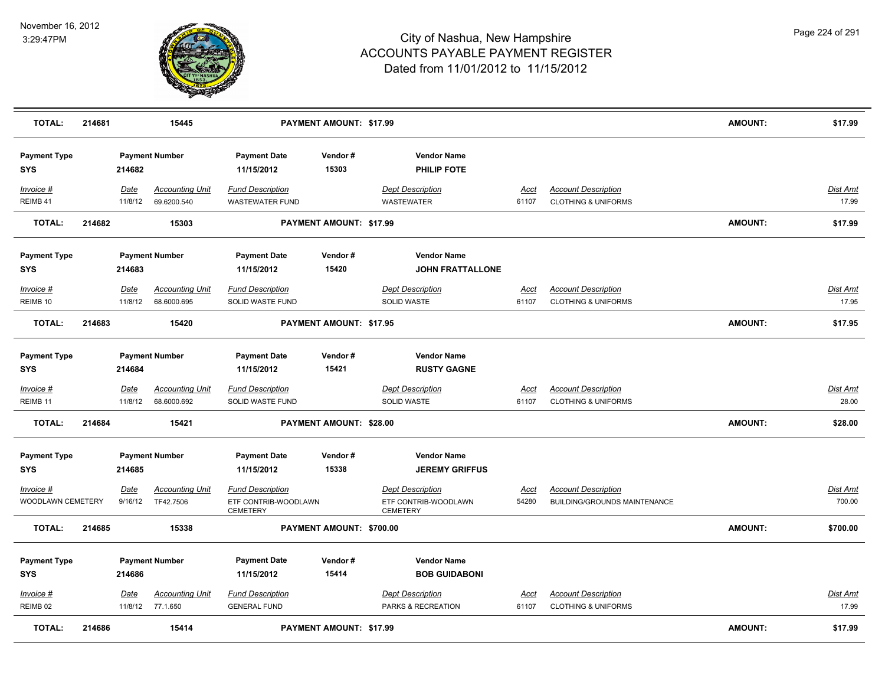

| <b>TOTAL:</b>                     | 214681 |                        | 15445                                 |                                                                    | PAYMENT AMOUNT: \$17.99  |                                                                    |                      |                                                              | <b>AMOUNT:</b> | \$17.99                   |
|-----------------------------------|--------|------------------------|---------------------------------------|--------------------------------------------------------------------|--------------------------|--------------------------------------------------------------------|----------------------|--------------------------------------------------------------|----------------|---------------------------|
| <b>Payment Type</b><br><b>SYS</b> |        | 214682                 | <b>Payment Number</b>                 | <b>Payment Date</b><br>11/15/2012                                  | Vendor#<br>15303         | <b>Vendor Name</b><br>PHILIP FOTE                                  |                      |                                                              |                |                           |
| Invoice #<br>REIMB 41             |        | Date<br>11/8/12        | <b>Accounting Unit</b><br>69.6200.540 | <b>Fund Description</b><br><b>WASTEWATER FUND</b>                  |                          | <b>Dept Description</b><br><b>WASTEWATER</b>                       | Acct<br>61107        | <b>Account Description</b><br><b>CLOTHING &amp; UNIFORMS</b> |                | Dist Amt<br>17.99         |
| <b>TOTAL:</b>                     | 214682 |                        | 15303                                 |                                                                    | PAYMENT AMOUNT: \$17.99  |                                                                    |                      |                                                              | <b>AMOUNT:</b> | \$17.99                   |
| <b>Payment Type</b><br>SYS        |        | 214683                 | <b>Payment Number</b>                 | <b>Payment Date</b><br>11/15/2012                                  | Vendor#<br>15420         | <b>Vendor Name</b><br><b>JOHN FRATTALLONE</b>                      |                      |                                                              |                |                           |
| Invoice #<br>REIMB <sub>10</sub>  |        | Date<br>11/8/12        | <b>Accounting Unit</b><br>68.6000.695 | <b>Fund Description</b><br>SOLID WASTE FUND                        |                          | <b>Dept Description</b><br><b>SOLID WASTE</b>                      | Acct<br>61107        | <b>Account Description</b><br><b>CLOTHING &amp; UNIFORMS</b> |                | <b>Dist Amt</b><br>17.95  |
| <b>TOTAL:</b>                     | 214683 |                        | 15420                                 |                                                                    | PAYMENT AMOUNT: \$17.95  |                                                                    |                      |                                                              | <b>AMOUNT:</b> | \$17.95                   |
| <b>Payment Type</b><br><b>SYS</b> |        | 214684                 | <b>Payment Number</b>                 | <b>Payment Date</b><br>11/15/2012                                  | Vendor#<br>15421         | <b>Vendor Name</b><br><b>RUSTY GAGNE</b>                           |                      |                                                              |                |                           |
| Invoice #<br>REIMB 11             |        | <b>Date</b><br>11/8/12 | <b>Accounting Unit</b><br>68.6000.692 | <b>Fund Description</b><br>SOLID WASTE FUND                        |                          | <b>Dept Description</b><br>SOLID WASTE                             | <u>Acct</u><br>61107 | <b>Account Description</b><br><b>CLOTHING &amp; UNIFORMS</b> |                | <b>Dist Amt</b><br>28.00  |
| <b>TOTAL:</b>                     | 214684 |                        | 15421                                 |                                                                    | PAYMENT AMOUNT: \$28.00  |                                                                    |                      |                                                              | <b>AMOUNT:</b> | \$28.00                   |
| <b>Payment Type</b><br><b>SYS</b> |        | 214685                 | <b>Payment Number</b>                 | <b>Payment Date</b><br>11/15/2012                                  | Vendor#<br>15338         | <b>Vendor Name</b><br><b>JEREMY GRIFFUS</b>                        |                      |                                                              |                |                           |
| Invoice #<br>WOODLAWN CEMETERY    |        | <u>Date</u><br>9/16/12 | <b>Accounting Unit</b><br>TF42.7506   | <b>Fund Description</b><br>ETF CONTRIB-WOODLAWN<br><b>CEMETERY</b> |                          | <b>Dept Description</b><br>ETF CONTRIB-WOODLAWN<br><b>CEMETERY</b> | <u>Acct</u><br>54280 | <b>Account Description</b><br>BUILDING/GROUNDS MAINTENANCE   |                | <b>Dist Amt</b><br>700.00 |
| <b>TOTAL:</b>                     | 214685 |                        | 15338                                 |                                                                    | PAYMENT AMOUNT: \$700.00 |                                                                    |                      |                                                              | <b>AMOUNT:</b> | \$700.00                  |
| <b>Payment Type</b><br><b>SYS</b> |        | 214686                 | <b>Payment Number</b>                 | <b>Payment Date</b><br>11/15/2012                                  | Vendor#<br>15414         | <b>Vendor Name</b><br><b>BOB GUIDABONI</b>                         |                      |                                                              |                |                           |
| Invoice #<br>REIMB <sub>02</sub>  |        | Date<br>11/8/12        | <b>Accounting Unit</b><br>77.1.650    | <b>Fund Description</b><br><b>GENERAL FUND</b>                     |                          | <b>Dept Description</b><br>PARKS & RECREATION                      | <u>Acct</u><br>61107 | <b>Account Description</b><br><b>CLOTHING &amp; UNIFORMS</b> |                | <b>Dist Amt</b><br>17.99  |
| <b>TOTAL:</b>                     | 214686 |                        | 15414                                 |                                                                    | PAYMENT AMOUNT: \$17.99  |                                                                    |                      |                                                              | <b>AMOUNT:</b> | \$17.99                   |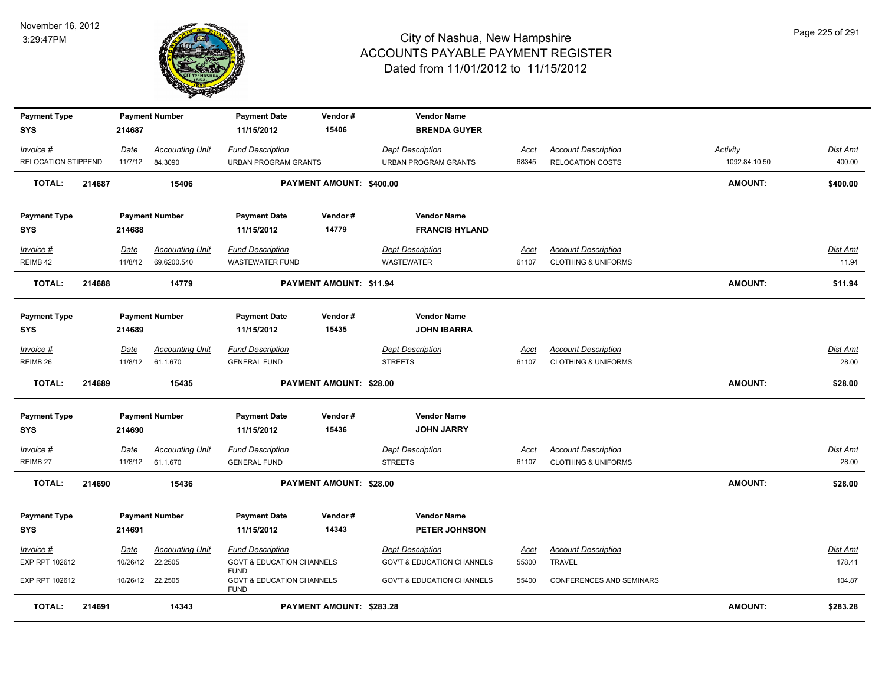

| <b>Payment Type</b><br><b>SYS</b> |        | 214687   | <b>Payment Number</b>  | <b>Payment Date</b><br>11/15/2012                   | Vendor#<br>15406         | <b>Vendor Name</b><br><b>BRENDA GUYER</b> |             |                                 |                |                 |
|-----------------------------------|--------|----------|------------------------|-----------------------------------------------------|--------------------------|-------------------------------------------|-------------|---------------------------------|----------------|-----------------|
| Invoice #                         |        | Date     | <b>Accounting Unit</b> | <b>Fund Description</b>                             |                          | <b>Dept Description</b>                   | Acct        | <b>Account Description</b>      | Activity       | Dist Amt        |
| RELOCATION STIPPEND               |        | 11/7/12  | 84.3090                | <b>URBAN PROGRAM GRANTS</b>                         |                          | <b>URBAN PROGRAM GRANTS</b>               | 68345       | <b>RELOCATION COSTS</b>         | 1092.84.10.50  | 400.00          |
| <b>TOTAL:</b>                     | 214687 |          | 15406                  |                                                     | PAYMENT AMOUNT: \$400.00 |                                           |             |                                 | <b>AMOUNT:</b> | \$400.00        |
| <b>Payment Type</b>               |        |          | <b>Payment Number</b>  | <b>Payment Date</b>                                 | Vendor#                  | <b>Vendor Name</b>                        |             |                                 |                |                 |
| <b>SYS</b>                        |        | 214688   |                        | 11/15/2012                                          | 14779                    | <b>FRANCIS HYLAND</b>                     |             |                                 |                |                 |
| Invoice #                         |        | Date     | <b>Accounting Unit</b> | <b>Fund Description</b>                             |                          | <b>Dept Description</b>                   | Acct        | <b>Account Description</b>      |                | Dist Amt        |
| REIMB 42                          |        | 11/8/12  | 69.6200.540            | <b>WASTEWATER FUND</b>                              |                          | <b>WASTEWATER</b>                         | 61107       | <b>CLOTHING &amp; UNIFORMS</b>  |                | 11.94           |
| <b>TOTAL:</b>                     | 214688 |          | 14779                  |                                                     | PAYMENT AMOUNT: \$11.94  |                                           |             |                                 | AMOUNT:        | \$11.94         |
| <b>Payment Type</b>               |        |          | <b>Payment Number</b>  | <b>Payment Date</b>                                 | Vendor#                  | <b>Vendor Name</b>                        |             |                                 |                |                 |
| <b>SYS</b>                        |        | 214689   |                        | 11/15/2012                                          | 15435                    | <b>JOHN IBARRA</b>                        |             |                                 |                |                 |
| Invoice #                         |        | Date     | <b>Accounting Unit</b> | <b>Fund Description</b>                             |                          | <b>Dept Description</b>                   | Acct        | <b>Account Description</b>      |                | Dist Amt        |
| REIMB 26                          |        | 11/8/12  | 61.1.670               | <b>GENERAL FUND</b>                                 |                          | <b>STREETS</b>                            | 61107       | <b>CLOTHING &amp; UNIFORMS</b>  |                | 28.00           |
| <b>TOTAL:</b>                     | 214689 |          | 15435                  |                                                     | PAYMENT AMOUNT: \$28.00  |                                           |             |                                 | AMOUNT:        | \$28.00         |
| <b>Payment Type</b>               |        |          | <b>Payment Number</b>  | <b>Payment Date</b>                                 | Vendor#                  | <b>Vendor Name</b>                        |             |                                 |                |                 |
| <b>SYS</b>                        |        | 214690   |                        | 11/15/2012                                          | 15436                    | <b>JOHN JARRY</b>                         |             |                                 |                |                 |
| $Invoice$ #                       |        | Date     | <b>Accounting Unit</b> | <b>Fund Description</b>                             |                          | <b>Dept Description</b>                   | <u>Acct</u> | <b>Account Description</b>      |                | <u>Dist Amt</u> |
| REIMB 27                          |        | 11/8/12  | 61.1.670               | <b>GENERAL FUND</b>                                 |                          | <b>STREETS</b>                            | 61107       | <b>CLOTHING &amp; UNIFORMS</b>  |                | 28.00           |
| <b>TOTAL:</b>                     | 214690 |          | 15436                  |                                                     | PAYMENT AMOUNT: \$28.00  |                                           |             |                                 | <b>AMOUNT:</b> | \$28.00         |
| <b>Payment Type</b>               |        |          | <b>Payment Number</b>  | <b>Payment Date</b>                                 | Vendor#                  | <b>Vendor Name</b>                        |             |                                 |                |                 |
| <b>SYS</b>                        |        | 214691   |                        | 11/15/2012                                          | 14343                    | PETER JOHNSON                             |             |                                 |                |                 |
| Invoice #                         |        | Date     | <b>Accounting Unit</b> | <b>Fund Description</b>                             |                          | <b>Dept Description</b>                   | <u>Acct</u> | <b>Account Description</b>      |                | Dist Amt        |
| EXP RPT 102612                    |        | 10/26/12 | 22.2505                | <b>GOVT &amp; EDUCATION CHANNELS</b><br><b>FUND</b> |                          | <b>GOV'T &amp; EDUCATION CHANNELS</b>     | 55300       | <b>TRAVEL</b>                   |                | 178.41          |
| EXP RPT 102612                    |        | 10/26/12 | 22.2505                | <b>GOVT &amp; EDUCATION CHANNELS</b><br><b>FUND</b> |                          | <b>GOV'T &amp; EDUCATION CHANNELS</b>     | 55400       | <b>CONFERENCES AND SEMINARS</b> |                | 104.87          |
| <b>TOTAL:</b>                     | 214691 |          | 14343                  |                                                     | PAYMENT AMOUNT: \$283.28 |                                           |             |                                 | <b>AMOUNT:</b> | \$283.28        |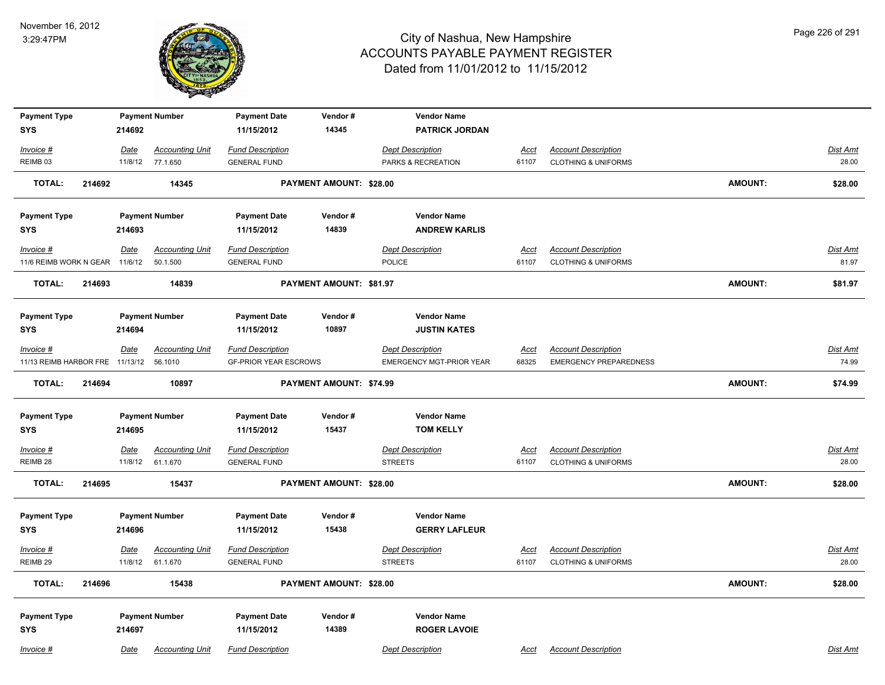

| <b>Payment Type</b>               |                        | <b>Payment Number</b>  | <b>Payment Date</b>               | Vendor#                 | <b>Vendor Name</b>              |                      |                                |                |                 |
|-----------------------------------|------------------------|------------------------|-----------------------------------|-------------------------|---------------------------------|----------------------|--------------------------------|----------------|-----------------|
| <b>SYS</b>                        | 214692                 |                        | 11/15/2012                        | 14345                   | <b>PATRICK JORDAN</b>           |                      |                                |                |                 |
| Invoice #                         | Date                   | <b>Accounting Unit</b> | <b>Fund Description</b>           |                         | <b>Dept Description</b>         | <u>Acct</u>          | <b>Account Description</b>     |                | Dist Amt        |
| REIMB <sub>03</sub>               | 11/8/12                | 77.1.650               | <b>GENERAL FUND</b>               |                         | PARKS & RECREATION              | 61107                | <b>CLOTHING &amp; UNIFORMS</b> |                | 28.00           |
| <b>TOTAL:</b>                     | 214692                 | 14345                  |                                   | PAYMENT AMOUNT: \$28.00 |                                 |                      |                                | <b>AMOUNT:</b> | \$28.00         |
| <b>Payment Type</b>               |                        | <b>Payment Number</b>  | <b>Payment Date</b>               | Vendor#                 | <b>Vendor Name</b>              |                      |                                |                |                 |
| <b>SYS</b>                        | 214693                 |                        | 11/15/2012                        | 14839                   | <b>ANDREW KARLIS</b>            |                      |                                |                |                 |
| Invoice #                         | <u>Date</u>            | <b>Accounting Unit</b> | <b>Fund Description</b>           |                         | <b>Dept Description</b>         | Acct                 | <b>Account Description</b>     |                | <b>Dist Amt</b> |
| 11/6 REIMB WORK N GEAR 11/6/12    |                        | 50.1.500               | <b>GENERAL FUND</b>               |                         | POLICE                          | 61107                | <b>CLOTHING &amp; UNIFORMS</b> |                | 81.97           |
| TOTAL:                            | 214693                 | 14839                  |                                   | PAYMENT AMOUNT: \$81.97 |                                 |                      |                                | <b>AMOUNT:</b> | \$81.97         |
| <b>Payment Type</b>               |                        | <b>Payment Number</b>  | <b>Payment Date</b>               | Vendor#                 | <b>Vendor Name</b>              |                      |                                |                |                 |
| <b>SYS</b>                        | 214694                 |                        | 11/15/2012                        | 10897                   | <b>JUSTIN KATES</b>             |                      |                                |                |                 |
| Invoice #                         | Date                   | <b>Accounting Unit</b> | <b>Fund Description</b>           |                         | <b>Dept Description</b>         | <b>Acct</b>          | <b>Account Description</b>     |                | <b>Dist Amt</b> |
| 11/13 REIMB HARBOR FRE 11/13/12   |                        | 56.1010                | <b>GF-PRIOR YEAR ESCROWS</b>      |                         | <b>EMERGENCY MGT-PRIOR YEAR</b> | 68325                | <b>EMERGENCY PREPAREDNESS</b>  |                | 74.99           |
| <b>TOTAL:</b>                     | 214694                 | 10897                  |                                   | PAYMENT AMOUNT: \$74.99 |                                 |                      |                                | <b>AMOUNT:</b> | \$74.99         |
| <b>Payment Type</b>               |                        | <b>Payment Number</b>  | <b>Payment Date</b>               | Vendor#                 | <b>Vendor Name</b>              |                      |                                |                |                 |
| <b>SYS</b>                        | 214695                 |                        | 11/15/2012                        | 15437                   | <b>TOM KELLY</b>                |                      |                                |                |                 |
| Invoice #                         |                        | <b>Accounting Unit</b> | <b>Fund Description</b>           |                         | <b>Dept Description</b>         |                      | <b>Account Description</b>     |                | <b>Dist Amt</b> |
| REIMB 28                          | <u>Date</u><br>11/8/12 | 61.1.670               | <b>GENERAL FUND</b>               |                         | <b>STREETS</b>                  | <u>Acct</u><br>61107 | <b>CLOTHING &amp; UNIFORMS</b> |                | 28.00           |
| <b>TOTAL:</b>                     | 214695                 | 15437                  |                                   | PAYMENT AMOUNT: \$28.00 |                                 |                      |                                | <b>AMOUNT:</b> | \$28.00         |
|                                   |                        | <b>Payment Number</b>  | <b>Payment Date</b>               | Vendor#                 | <b>Vendor Name</b>              |                      |                                |                |                 |
| <b>Payment Type</b><br><b>SYS</b> | 214696                 |                        | 11/15/2012                        | 15438                   | <b>GERRY LAFLEUR</b>            |                      |                                |                |                 |
| Invoice #                         | Date                   | <b>Accounting Unit</b> | <b>Fund Description</b>           |                         | <b>Dept Description</b>         | <u>Acct</u>          | <b>Account Description</b>     |                | Dist Amt        |
| REIMB 29                          | 11/8/12                | 61.1.670               | <b>GENERAL FUND</b>               |                         | <b>STREETS</b>                  | 61107                | <b>CLOTHING &amp; UNIFORMS</b> |                | 28.00           |
| <b>TOTAL:</b>                     | 214696                 | 15438                  |                                   | PAYMENT AMOUNT: \$28.00 |                                 |                      |                                | <b>AMOUNT:</b> | \$28.00         |
|                                   |                        |                        |                                   |                         |                                 |                      |                                |                |                 |
| <b>Payment Type</b><br><b>SYS</b> | 214697                 | <b>Payment Number</b>  | <b>Payment Date</b><br>11/15/2012 | Vendor#<br>14389        | <b>Vendor Name</b>              |                      |                                |                |                 |
|                                   |                        |                        |                                   |                         | <b>ROGER LAVOIE</b>             |                      |                                |                |                 |
| Invoice #                         | Date                   | <b>Accounting Unit</b> | <b>Fund Description</b>           |                         | <b>Dept Description</b>         | Acct                 | <b>Account Description</b>     |                | Dist Amt        |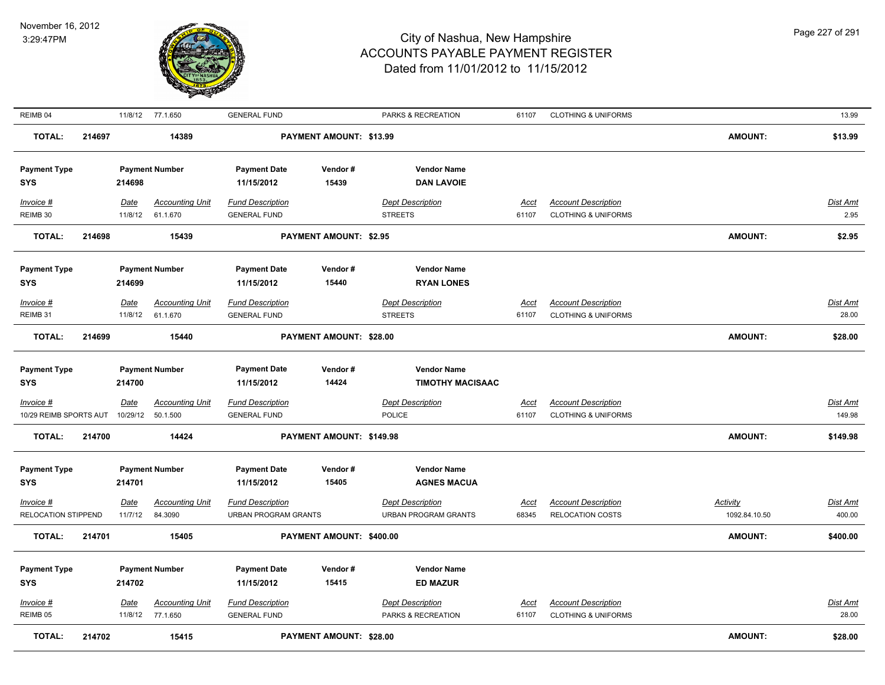

| REIMB 04               |        |             | 11/8/12 77.1.650       | <b>GENERAL FUND</b>         |                                | PARKS & RECREATION          | 61107       | <b>CLOTHING &amp; UNIFORMS</b> |                | 13.99           |
|------------------------|--------|-------------|------------------------|-----------------------------|--------------------------------|-----------------------------|-------------|--------------------------------|----------------|-----------------|
| <b>TOTAL:</b>          | 214697 |             | 14389                  |                             | PAYMENT AMOUNT: \$13.99        |                             |             |                                | <b>AMOUNT:</b> | \$13.99         |
| <b>Payment Type</b>    |        |             | <b>Payment Number</b>  | <b>Payment Date</b>         | Vendor#                        | <b>Vendor Name</b>          |             |                                |                |                 |
| <b>SYS</b>             |        | 214698      |                        | 11/15/2012                  | 15439                          | <b>DAN LAVOIE</b>           |             |                                |                |                 |
| Invoice #              |        | Date        | <b>Accounting Unit</b> | <b>Fund Description</b>     |                                | <b>Dept Description</b>     | Acct        | <b>Account Description</b>     |                | Dist Amt        |
| REIMB 30               |        | 11/8/12     | 61.1.670               | <b>GENERAL FUND</b>         |                                | <b>STREETS</b>              | 61107       | <b>CLOTHING &amp; UNIFORMS</b> |                | 2.95            |
| <b>TOTAL:</b>          | 214698 |             | 15439                  |                             | <b>PAYMENT AMOUNT: \$2.95</b>  |                             |             |                                | <b>AMOUNT:</b> | \$2.95          |
| <b>Payment Type</b>    |        |             | <b>Payment Number</b>  | <b>Payment Date</b>         | Vendor#                        | <b>Vendor Name</b>          |             |                                |                |                 |
| <b>SYS</b>             |        | 214699      |                        | 11/15/2012                  | 15440                          | <b>RYAN LONES</b>           |             |                                |                |                 |
| Invoice #              |        | <b>Date</b> | <b>Accounting Unit</b> | <b>Fund Description</b>     |                                | <b>Dept Description</b>     | <u>Acct</u> | <b>Account Description</b>     |                | <u>Dist Amt</u> |
| REIMB 31               |        | 11/8/12     | 61.1.670               | <b>GENERAL FUND</b>         |                                | <b>STREETS</b>              | 61107       | <b>CLOTHING &amp; UNIFORMS</b> |                | 28.00           |
| <b>TOTAL:</b>          | 214699 |             | 15440                  |                             | PAYMENT AMOUNT: \$28.00        |                             |             |                                | <b>AMOUNT:</b> | \$28.00         |
| <b>Payment Type</b>    |        |             | <b>Payment Number</b>  | <b>Payment Date</b>         | Vendor#                        | <b>Vendor Name</b>          |             |                                |                |                 |
| SYS                    |        | 214700      |                        | 11/15/2012                  | 14424                          | <b>TIMOTHY MACISAAC</b>     |             |                                |                |                 |
| $Invoice$ #            |        | Date        | <b>Accounting Unit</b> | <b>Fund Description</b>     |                                | <b>Dept Description</b>     | <u>Acct</u> | <b>Account Description</b>     |                | Dist Amt        |
| 10/29 REIMB SPORTS AUT |        | 10/29/12    | 50.1.500               | <b>GENERAL FUND</b>         |                                | POLICE                      | 61107       | <b>CLOTHING &amp; UNIFORMS</b> |                | 149.98          |
| <b>TOTAL:</b>          | 214700 |             | 14424                  |                             | PAYMENT AMOUNT: \$149.98       |                             |             |                                | <b>AMOUNT:</b> | \$149.98        |
| <b>Payment Type</b>    |        |             | <b>Payment Number</b>  | <b>Payment Date</b>         | Vendor#                        | <b>Vendor Name</b>          |             |                                |                |                 |
| <b>SYS</b>             |        | 214701      |                        | 11/15/2012                  | 15405                          | <b>AGNES MACUA</b>          |             |                                |                |                 |
| Invoice #              |        | <u>Date</u> | <b>Accounting Unit</b> | <b>Fund Description</b>     |                                | <b>Dept Description</b>     | <u>Acct</u> | <b>Account Description</b>     | Activity       | Dist Amt        |
| RELOCATION STIPPEND    |        | 11/7/12     | 84.3090                | <b>URBAN PROGRAM GRANTS</b> |                                | <b>URBAN PROGRAM GRANTS</b> | 68345       | <b>RELOCATION COSTS</b>        | 1092.84.10.50  | 400.00          |
| TOTAL:                 | 214701 |             | 15405                  |                             | PAYMENT AMOUNT: \$400.00       |                             |             |                                | <b>AMOUNT:</b> | \$400.00        |
|                        |        |             |                        |                             |                                |                             |             |                                |                |                 |
| <b>Payment Type</b>    |        |             | <b>Payment Number</b>  | <b>Payment Date</b>         | Vendor#                        | <b>Vendor Name</b>          |             |                                |                |                 |
| SYS                    |        | 214702      |                        | 11/15/2012                  | 15415                          | <b>ED MAZUR</b>             |             |                                |                |                 |
| <b>Invoice #</b>       |        | <u>Date</u> | <b>Accounting Unit</b> | <b>Fund Description</b>     |                                | <b>Dept Description</b>     | <u>Acct</u> | <b>Account Description</b>     |                | <u>Dist Amt</u> |
| REIMB <sub>05</sub>    |        | 11/8/12     | 77.1.650               | <b>GENERAL FUND</b>         |                                | PARKS & RECREATION          | 61107       | <b>CLOTHING &amp; UNIFORMS</b> |                | 28.00           |
| <b>TOTAL:</b>          | 214702 |             | 15415                  |                             | <b>PAYMENT AMOUNT: \$28.00</b> |                             |             |                                | <b>AMOUNT:</b> | \$28.00         |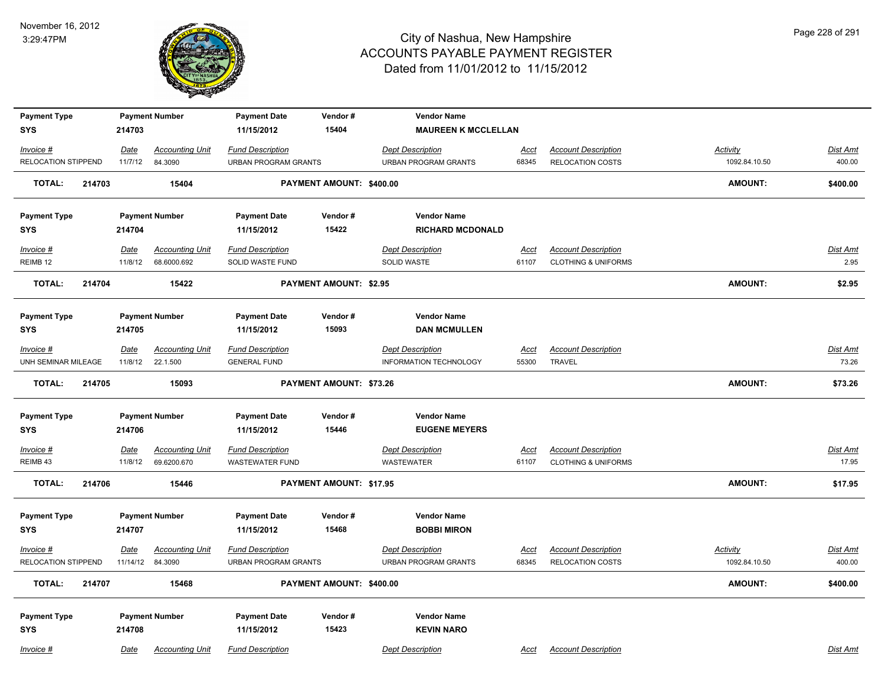

| <b>Payment Type</b>               |                         | <b>Payment Number</b>             | <b>Payment Date</b>                                    | Vendor#                        | <b>Vendor Name</b>                                     |                      |                                                       |                           |                           |
|-----------------------------------|-------------------------|-----------------------------------|--------------------------------------------------------|--------------------------------|--------------------------------------------------------|----------------------|-------------------------------------------------------|---------------------------|---------------------------|
| <b>SYS</b>                        | 214703                  |                                   | 11/15/2012                                             | 15404                          | <b>MAUREEN K MCCLELLAN</b>                             |                      |                                                       |                           |                           |
| Invoice #                         | Date                    | <b>Accounting Unit</b>            | <b>Fund Description</b>                                |                                | <b>Dept Description</b>                                | Acct                 | <b>Account Description</b>                            | Activity                  | Dist Amt                  |
| <b>RELOCATION STIPPEND</b>        | 11/7/12                 | 84.3090                           | <b>URBAN PROGRAM GRANTS</b>                            |                                | <b>URBAN PROGRAM GRANTS</b>                            | 68345                | <b>RELOCATION COSTS</b>                               | 1092.84.10.50             | 400.00                    |
| <b>TOTAL:</b><br>214703           |                         | 15404                             |                                                        | PAYMENT AMOUNT: \$400.00       |                                                        |                      |                                                       | <b>AMOUNT:</b>            | \$400.00                  |
| <b>Payment Type</b>               |                         | <b>Payment Number</b>             | <b>Payment Date</b>                                    | Vendor#                        | <b>Vendor Name</b>                                     |                      |                                                       |                           |                           |
| <b>SYS</b>                        | 214704                  |                                   | 11/15/2012                                             | 15422                          | <b>RICHARD MCDONALD</b>                                |                      |                                                       |                           |                           |
| Invoice #                         | Date                    | <b>Accounting Unit</b>            | <b>Fund Description</b>                                |                                | <b>Dept Description</b>                                | Acct                 | <b>Account Description</b>                            |                           | Dist Amt                  |
| REIMB <sub>12</sub>               | 11/8/12                 | 68.6000.692                       | SOLID WASTE FUND                                       |                                | <b>SOLID WASTE</b>                                     | 61107                | <b>CLOTHING &amp; UNIFORMS</b>                        |                           | 2.95                      |
| <b>TOTAL:</b><br>214704           |                         | 15422                             |                                                        | <b>PAYMENT AMOUNT: \$2.95</b>  |                                                        |                      |                                                       | <b>AMOUNT:</b>            | \$2.95                    |
| <b>Payment Type</b>               |                         | <b>Payment Number</b>             | <b>Payment Date</b>                                    | Vendor#                        | <b>Vendor Name</b>                                     |                      |                                                       |                           |                           |
| <b>SYS</b>                        | 214705                  |                                   | 11/15/2012                                             | 15093                          | <b>DAN MCMULLEN</b>                                    |                      |                                                       |                           |                           |
| Invoice #                         | Date                    | <b>Accounting Unit</b>            | <b>Fund Description</b>                                |                                | <b>Dept Description</b>                                | <u>Acct</u>          | <b>Account Description</b>                            |                           | <b>Dist Amt</b>           |
| UNH SEMINAR MILEAGE               | 11/8/12                 | 22.1.500                          | <b>GENERAL FUND</b>                                    |                                | <b>INFORMATION TECHNOLOGY</b>                          | 55300                | <b>TRAVEL</b>                                         |                           | 73.26                     |
| <b>TOTAL:</b><br>214705           |                         | 15093                             |                                                        | PAYMENT AMOUNT: \$73.26        |                                                        |                      |                                                       | <b>AMOUNT:</b>            | \$73.26                   |
| <b>Payment Type</b>               |                         | <b>Payment Number</b>             | <b>Payment Date</b>                                    | Vendor#                        | <b>Vendor Name</b>                                     |                      |                                                       |                           |                           |
| <b>SYS</b>                        | 214706                  |                                   | 11/15/2012                                             | 15446                          | <b>EUGENE MEYERS</b>                                   |                      |                                                       |                           |                           |
| Invoice #                         | <u>Date</u>             | <b>Accounting Unit</b>            | <b>Fund Description</b>                                |                                | <b>Dept Description</b>                                | <u>Acct</u>          | <b>Account Description</b>                            |                           | <b>Dist Amt</b>           |
| REIMB 43                          | 11/8/12                 | 69.6200.670                       | <b>WASTEWATER FUND</b>                                 |                                | <b>WASTEWATER</b>                                      | 61107                | <b>CLOTHING &amp; UNIFORMS</b>                        |                           | 17.95                     |
| <b>TOTAL:</b><br>214706           |                         | 15446                             |                                                        | <b>PAYMENT AMOUNT: \$17.95</b> |                                                        |                      |                                                       | <b>AMOUNT:</b>            | \$17.95                   |
| <b>Payment Type</b>               |                         | <b>Payment Number</b>             | <b>Payment Date</b>                                    | Vendor#                        | <b>Vendor Name</b>                                     |                      |                                                       |                           |                           |
| <b>SYS</b>                        | 214707                  |                                   | 11/15/2012                                             | 15468                          | <b>BOBBI MIRON</b>                                     |                      |                                                       |                           |                           |
| Invoice #<br>RELOCATION STIPPEND  | <b>Date</b><br>11/14/12 | <b>Accounting Unit</b><br>84.3090 | <b>Fund Description</b><br><b>URBAN PROGRAM GRANTS</b> |                                | <b>Dept Description</b><br><b>URBAN PROGRAM GRANTS</b> | <b>Acct</b><br>68345 | <b>Account Description</b><br><b>RELOCATION COSTS</b> | Activity<br>1092.84.10.50 | <b>Dist Amt</b><br>400.00 |
| TOTAL:<br>214707                  |                         | 15468                             |                                                        | PAYMENT AMOUNT: \$400.00       |                                                        |                      |                                                       | AMOUNT:                   | \$400.00                  |
|                                   |                         |                                   |                                                        |                                |                                                        |                      |                                                       |                           |                           |
| <b>Payment Type</b><br><b>SYS</b> | 214708                  | <b>Payment Number</b>             | <b>Payment Date</b><br>11/15/2012                      | Vendor#<br>15423               | <b>Vendor Name</b><br><b>KEVIN NARO</b>                |                      |                                                       |                           |                           |
|                                   |                         |                                   |                                                        |                                |                                                        |                      |                                                       |                           |                           |
| Invoice #                         | Date                    | <b>Accounting Unit</b>            | <b>Fund Description</b>                                |                                | <b>Dept Description</b>                                | Acct                 | <b>Account Description</b>                            |                           | Dist Amt                  |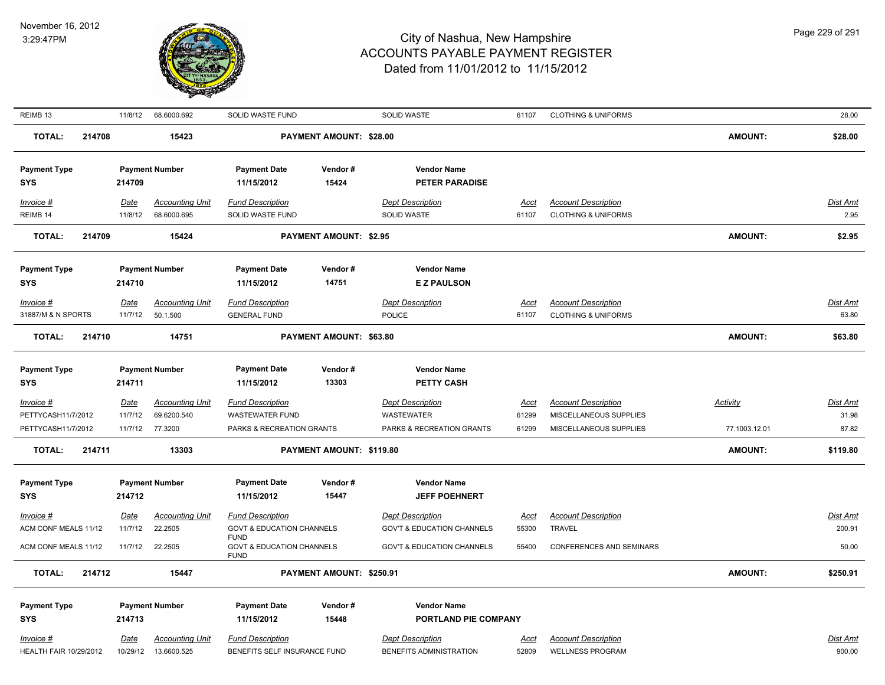

| REIMB 13                      | 11/8/12     | 68.6000.692            | SOLID WASTE FUND                                    |                               | SOLID WASTE                           | 61107       | <b>CLOTHING &amp; UNIFORMS</b> |                 | 28.00           |
|-------------------------------|-------------|------------------------|-----------------------------------------------------|-------------------------------|---------------------------------------|-------------|--------------------------------|-----------------|-----------------|
| <b>TOTAL:</b>                 | 214708      | 15423                  |                                                     | PAYMENT AMOUNT: \$28.00       |                                       |             |                                | <b>AMOUNT:</b>  | \$28.00         |
| <b>Payment Type</b>           |             | <b>Payment Number</b>  | <b>Payment Date</b>                                 | Vendor#                       | <b>Vendor Name</b>                    |             |                                |                 |                 |
| <b>SYS</b>                    | 214709      |                        | 11/15/2012                                          | 15424                         | <b>PETER PARADISE</b>                 |             |                                |                 |                 |
| $Invoice$ #                   | Date        | <b>Accounting Unit</b> | <b>Fund Description</b>                             |                               | <b>Dept Description</b>               | <b>Acct</b> | <b>Account Description</b>     |                 | <b>Dist Amt</b> |
| REIMB 14                      | 11/8/12     | 68.6000.695            | SOLID WASTE FUND                                    |                               | <b>SOLID WASTE</b>                    | 61107       | <b>CLOTHING &amp; UNIFORMS</b> |                 | 2.95            |
| <b>TOTAL:</b>                 | 214709      | 15424                  |                                                     | <b>PAYMENT AMOUNT: \$2.95</b> |                                       |             |                                | <b>AMOUNT:</b>  | \$2.95          |
| <b>Payment Type</b>           |             | <b>Payment Number</b>  | <b>Payment Date</b>                                 | Vendor#                       | <b>Vendor Name</b>                    |             |                                |                 |                 |
| <b>SYS</b>                    | 214710      |                        | 11/15/2012                                          | 14751                         | <b>EZ PAULSON</b>                     |             |                                |                 |                 |
| Invoice #                     | Date        | <b>Accounting Unit</b> | <b>Fund Description</b>                             |                               | <b>Dept Description</b>               | Acct        | <b>Account Description</b>     |                 | Dist Amt        |
| 31887/M & N SPORTS            | 11/7/12     | 50.1.500               | <b>GENERAL FUND</b>                                 |                               | <b>POLICE</b>                         | 61107       | <b>CLOTHING &amp; UNIFORMS</b> |                 | 63.80           |
| <b>TOTAL:</b>                 | 214710      | 14751                  |                                                     | PAYMENT AMOUNT: \$63.80       |                                       |             |                                | <b>AMOUNT:</b>  | \$63.80         |
| <b>Payment Type</b>           |             | <b>Payment Number</b>  | <b>Payment Date</b>                                 | Vendor#                       | <b>Vendor Name</b>                    |             |                                |                 |                 |
| <b>SYS</b>                    | 214711      |                        | 11/15/2012                                          | 13303                         | PETTY CASH                            |             |                                |                 |                 |
| Invoice #                     | Date        | <b>Accounting Unit</b> | <b>Fund Description</b>                             |                               | <b>Dept Description</b>               | <u>Acct</u> | <b>Account Description</b>     | <b>Activity</b> | <b>Dist Amt</b> |
| PETTYCASH11/7/2012            | 11/7/12     | 69.6200.540            | <b>WASTEWATER FUND</b>                              |                               | WASTEWATER                            | 61299       | MISCELLANEOUS SUPPLIES         |                 | 31.98           |
| PETTYCASH11/7/2012            | 11/7/12     | 77.3200                | PARKS & RECREATION GRANTS                           |                               | PARKS & RECREATION GRANTS             | 61299       | MISCELLANEOUS SUPPLIES         | 77.1003.12.01   | 87.82           |
| <b>TOTAL:</b>                 | 214711      | 13303                  |                                                     | PAYMENT AMOUNT: \$119.80      |                                       |             |                                | <b>AMOUNT:</b>  | \$119.80        |
| <b>Payment Type</b>           |             | <b>Payment Number</b>  | <b>Payment Date</b>                                 | Vendor#                       | <b>Vendor Name</b>                    |             |                                |                 |                 |
| <b>SYS</b>                    | 214712      |                        | 11/15/2012                                          | 15447                         | <b>JEFF POEHNERT</b>                  |             |                                |                 |                 |
| Invoice #                     | <u>Date</u> | <b>Accounting Unit</b> | <b>Fund Description</b>                             |                               | <b>Dept Description</b>               | <u>Acct</u> | <b>Account Description</b>     |                 | <b>Dist Amt</b> |
| ACM CONF MEALS 11/12          | 11/7/12     | 22.2505                | <b>GOVT &amp; EDUCATION CHANNELS</b><br><b>FUND</b> |                               | <b>GOV'T &amp; EDUCATION CHANNELS</b> | 55300       | <b>TRAVEL</b>                  |                 | 200.91          |
| ACM CONF MEALS 11/12          | 11/7/12     | 22.2505                | <b>GOVT &amp; EDUCATION CHANNELS</b><br><b>FUND</b> |                               | <b>GOV'T &amp; EDUCATION CHANNELS</b> | 55400       | CONFERENCES AND SEMINARS       |                 | 50.00           |
| <b>TOTAL:</b>                 | 214712      | 15447                  |                                                     | PAYMENT AMOUNT: \$250.91      |                                       |             |                                | <b>AMOUNT:</b>  | \$250.91        |
| <b>Payment Type</b>           |             | <b>Payment Number</b>  | <b>Payment Date</b>                                 | Vendor#                       | <b>Vendor Name</b>                    |             |                                |                 |                 |
| <b>SYS</b>                    | 214713      |                        | 11/15/2012                                          | 15448                         | PORTLAND PIE COMPANY                  |             |                                |                 |                 |
| Invoice #                     | Date        | <b>Accounting Unit</b> | <b>Fund Description</b>                             |                               | <b>Dept Description</b>               | Acct        | <b>Account Description</b>     |                 | Dist Amt        |
| <b>HEALTH FAIR 10/29/2012</b> | 10/29/12    | 13.6600.525            | BENEFITS SELF INSURANCE FUND                        |                               | BENEFITS ADMINISTRATION               | 52809       | <b>WELLNESS PROGRAM</b>        |                 | 900.00          |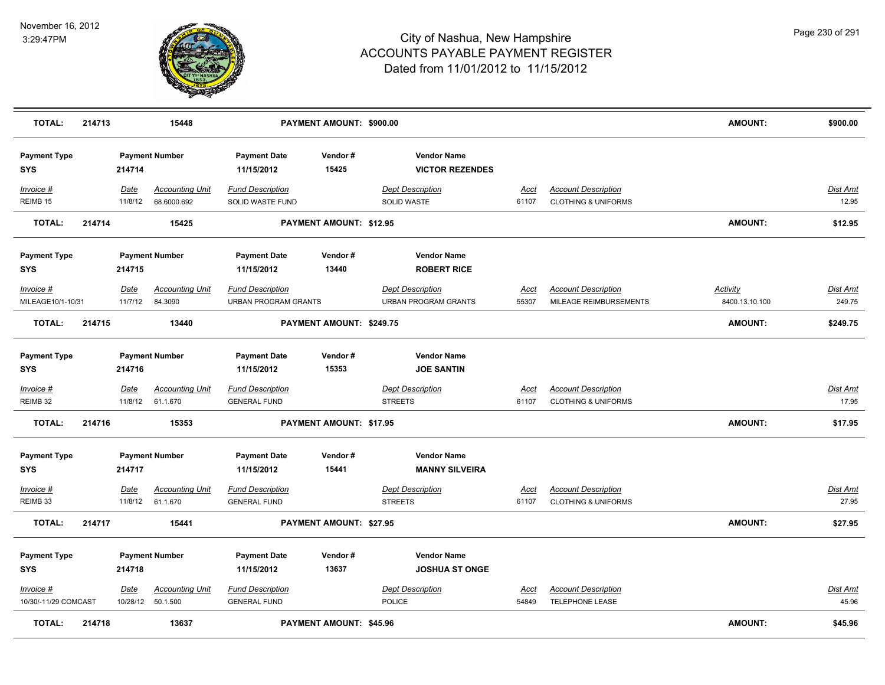

| <b>TOTAL:</b>                     | 214713 |                        | 15448                                       |                                                        | PAYMENT AMOUNT: \$900.00       |                                                        |                      |                                                              | <b>AMOUNT:</b>                    | \$900.00                  |
|-----------------------------------|--------|------------------------|---------------------------------------------|--------------------------------------------------------|--------------------------------|--------------------------------------------------------|----------------------|--------------------------------------------------------------|-----------------------------------|---------------------------|
| <b>Payment Type</b><br><b>SYS</b> |        | 214714                 | <b>Payment Number</b>                       | <b>Payment Date</b><br>11/15/2012                      | Vendor#<br>15425               | <b>Vendor Name</b><br><b>VICTOR REZENDES</b>           |                      |                                                              |                                   |                           |
| Invoice #<br>REIMB <sub>15</sub>  |        | Date<br>11/8/12        | <b>Accounting Unit</b><br>68.6000.692       | <b>Fund Description</b><br>SOLID WASTE FUND            |                                | <b>Dept Description</b><br>SOLID WASTE                 | <u>Acct</u><br>61107 | <b>Account Description</b><br><b>CLOTHING &amp; UNIFORMS</b> |                                   | Dist Amt<br>12.95         |
| <b>TOTAL:</b>                     | 214714 |                        | 15425                                       |                                                        | PAYMENT AMOUNT: \$12.95        |                                                        |                      |                                                              | <b>AMOUNT:</b>                    | \$12.95                   |
| <b>Payment Type</b><br><b>SYS</b> |        | 214715                 | <b>Payment Number</b>                       | <b>Payment Date</b><br>11/15/2012                      | Vendor#<br>13440               | <b>Vendor Name</b><br><b>ROBERT RICE</b>               |                      |                                                              |                                   |                           |
| Invoice #<br>MILEAGE10/1-10/31    |        | <u>Date</u><br>11/7/12 | <b>Accounting Unit</b><br>84.3090           | <b>Fund Description</b><br><b>URBAN PROGRAM GRANTS</b> |                                | <b>Dept Description</b><br><b>URBAN PROGRAM GRANTS</b> | <u>Acct</u><br>55307 | <b>Account Description</b><br>MILEAGE REIMBURSEMENTS         | <b>Activity</b><br>8400.13.10.100 | <b>Dist Amt</b><br>249.75 |
| <b>TOTAL:</b>                     | 214715 |                        | 13440                                       |                                                        | PAYMENT AMOUNT: \$249.75       |                                                        |                      |                                                              | <b>AMOUNT:</b>                    | \$249.75                  |
| <b>Payment Type</b><br><b>SYS</b> |        | 214716                 | <b>Payment Number</b>                       | <b>Payment Date</b><br>11/15/2012                      | Vendor#<br>15353               | <b>Vendor Name</b><br><b>JOE SANTIN</b>                |                      |                                                              |                                   |                           |
| Invoice #<br>REIMB 32             |        | Date                   | <b>Accounting Unit</b><br>11/8/12 61.1.670  | <b>Fund Description</b><br><b>GENERAL FUND</b>         |                                | <b>Dept Description</b><br><b>STREETS</b>              | <u>Acct</u><br>61107 | <b>Account Description</b><br><b>CLOTHING &amp; UNIFORMS</b> |                                   | Dist Amt<br>17.95         |
| <b>TOTAL:</b>                     | 214716 |                        | 15353                                       |                                                        | PAYMENT AMOUNT: \$17.95        |                                                        |                      |                                                              | <b>AMOUNT:</b>                    | \$17.95                   |
| <b>Payment Type</b><br><b>SYS</b> |        | 214717                 | <b>Payment Number</b>                       | <b>Payment Date</b><br>11/15/2012                      | Vendor#<br>15441               | <b>Vendor Name</b><br><b>MANNY SILVEIRA</b>            |                      |                                                              |                                   |                           |
| Invoice #<br>REIMB 33             |        | Date<br>11/8/12        | <b>Accounting Unit</b><br>61.1.670          | <b>Fund Description</b><br><b>GENERAL FUND</b>         |                                | <b>Dept Description</b><br><b>STREETS</b>              | <b>Acct</b><br>61107 | <b>Account Description</b><br><b>CLOTHING &amp; UNIFORMS</b> |                                   | Dist Amt<br>27.95         |
| <b>TOTAL:</b>                     | 214717 |                        | 15441                                       |                                                        | PAYMENT AMOUNT: \$27.95        |                                                        |                      |                                                              | <b>AMOUNT:</b>                    | \$27.95                   |
| <b>Payment Type</b><br><b>SYS</b> |        | 214718                 | <b>Payment Number</b>                       | <b>Payment Date</b><br>11/15/2012                      | Vendor#<br>13637               | <b>Vendor Name</b><br><b>JOSHUA ST ONGE</b>            |                      |                                                              |                                   |                           |
| Invoice #<br>10/30/-11/29 COMCAST |        | Date                   | <b>Accounting Unit</b><br>10/28/12 50.1.500 | <b>Fund Description</b><br><b>GENERAL FUND</b>         |                                | <b>Dept Description</b><br><b>POLICE</b>               | Acct<br>54849        | <b>Account Description</b><br>TELEPHONE LEASE                |                                   | <u>Dist Amt</u><br>45.96  |
| TOTAL:                            | 214718 |                        | 13637                                       |                                                        | <b>PAYMENT AMOUNT: \$45.96</b> |                                                        |                      |                                                              | <b>AMOUNT:</b>                    | \$45.96                   |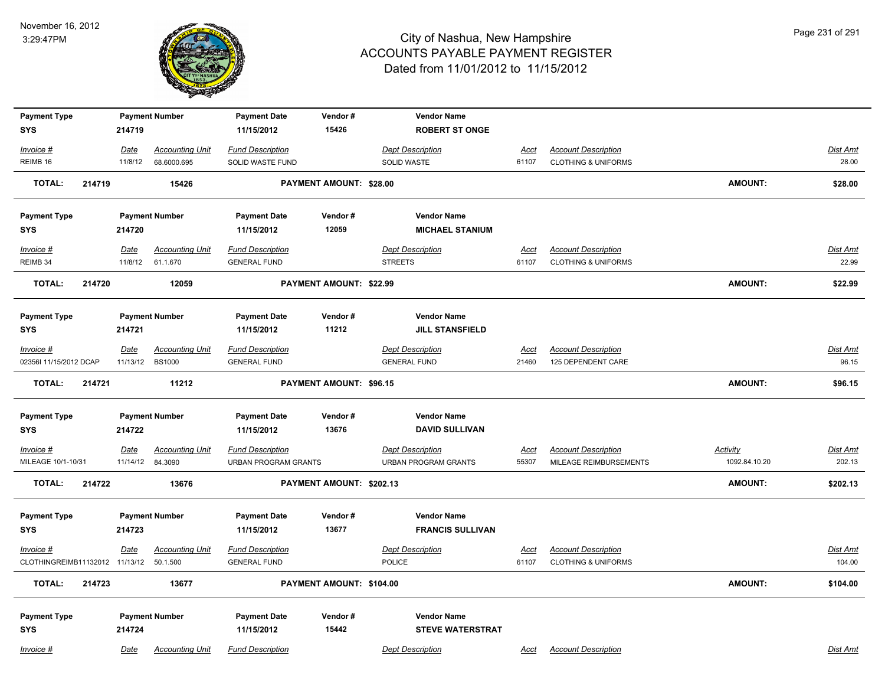

| <b>Payment Type</b><br><b>SYS</b>           |        | 214719           | <b>Payment Number</b>                   | <b>Payment Date</b><br>11/15/2012              | Vendor#<br>15426               | <b>Vendor Name</b><br><b>ROBERT ST ONGE</b>    |               |                                                              |                 |                    |
|---------------------------------------------|--------|------------------|-----------------------------------------|------------------------------------------------|--------------------------------|------------------------------------------------|---------------|--------------------------------------------------------------|-----------------|--------------------|
| Invoice #                                   |        | Date             | <b>Accounting Unit</b>                  | <b>Fund Description</b>                        |                                | <b>Dept Description</b>                        | <u>Acct</u>   | <b>Account Description</b>                                   |                 | Dist Amt           |
| REIMB 16                                    |        | 11/8/12          | 68.6000.695                             | SOLID WASTE FUND                               |                                | SOLID WASTE                                    | 61107         | <b>CLOTHING &amp; UNIFORMS</b>                               |                 | 28.00              |
| <b>TOTAL:</b>                               | 214719 |                  | 15426                                   |                                                | PAYMENT AMOUNT: \$28.00        |                                                |               |                                                              | <b>AMOUNT:</b>  | \$28.00            |
| <b>Payment Type</b>                         |        |                  | <b>Payment Number</b>                   | <b>Payment Date</b>                            | Vendor#                        | <b>Vendor Name</b>                             |               |                                                              |                 |                    |
| <b>SYS</b>                                  |        | 214720           |                                         | 11/15/2012                                     | 12059                          | <b>MICHAEL STANIUM</b>                         |               |                                                              |                 |                    |
| $Invoice$ #                                 |        | Date             | <b>Accounting Unit</b>                  | <b>Fund Description</b>                        |                                | <b>Dept Description</b>                        | <u>Acct</u>   | <b>Account Description</b>                                   |                 | <b>Dist Amt</b>    |
| REIMB 34                                    |        | 11/8/12          | 61.1.670                                | <b>GENERAL FUND</b>                            |                                | <b>STREETS</b>                                 | 61107         | <b>CLOTHING &amp; UNIFORMS</b>                               |                 | 22.99              |
| <b>TOTAL:</b>                               | 214720 |                  | 12059                                   |                                                | PAYMENT AMOUNT: \$22.99        |                                                |               |                                                              | <b>AMOUNT:</b>  | \$22.99            |
| <b>Payment Type</b>                         |        |                  | <b>Payment Number</b>                   | <b>Payment Date</b>                            | Vendor#                        | <b>Vendor Name</b>                             |               |                                                              |                 |                    |
| <b>SYS</b>                                  |        | 214721           |                                         | 11/15/2012                                     | 11212                          | <b>JILL STANSFIELD</b>                         |               |                                                              |                 |                    |
| Invoice #<br>02356l 11/15/2012 DCAP         |        | Date<br>11/13/12 | <b>Accounting Unit</b><br><b>BS1000</b> | <b>Fund Description</b><br><b>GENERAL FUND</b> |                                | <b>Dept Description</b><br><b>GENERAL FUND</b> | Acct<br>21460 | <b>Account Description</b><br>125 DEPENDENT CARE             |                 | Dist Amt<br>96.15  |
| <b>TOTAL:</b>                               | 214721 |                  | 11212                                   |                                                | <b>PAYMENT AMOUNT: \$96.15</b> |                                                |               |                                                              | <b>AMOUNT:</b>  | \$96.15            |
| <b>Payment Type</b>                         |        |                  | <b>Payment Number</b>                   | <b>Payment Date</b>                            | Vendor#                        | <b>Vendor Name</b>                             |               |                                                              |                 |                    |
| <b>SYS</b>                                  |        | 214722           |                                         | 11/15/2012                                     | 13676                          | <b>DAVID SULLIVAN</b>                          |               |                                                              |                 |                    |
| Invoice #                                   |        | <u>Date</u>      | <b>Accounting Unit</b>                  | <b>Fund Description</b>                        |                                | <b>Dept Description</b>                        | <u>Acct</u>   | <b>Account Description</b>                                   | <b>Activity</b> | <u>Dist Amt</u>    |
| MILEAGE 10/1-10/31                          |        |                  | 11/14/12 84.3090                        | <b>URBAN PROGRAM GRANTS</b>                    |                                | <b>URBAN PROGRAM GRANTS</b>                    | 55307         | MILEAGE REIMBURSEMENTS                                       | 1092.84.10.20   | 202.13             |
| <b>TOTAL:</b>                               | 214722 |                  | 13676                                   |                                                | PAYMENT AMOUNT: \$202.13       |                                                |               |                                                              | <b>AMOUNT:</b>  | \$202.13           |
| <b>Payment Type</b>                         |        |                  | <b>Payment Number</b>                   | <b>Payment Date</b>                            | Vendor#                        | <b>Vendor Name</b>                             |               |                                                              |                 |                    |
| <b>SYS</b>                                  |        | 214723           |                                         | 11/15/2012                                     | 13677                          | <b>FRANCIS SULLIVAN</b>                        |               |                                                              |                 |                    |
| Invoice #<br>CLOTHINGREIMB11132012 11/13/12 |        | Date             | <b>Accounting Unit</b><br>50.1.500      | <b>Fund Description</b><br><b>GENERAL FUND</b> |                                | <b>Dept Description</b><br>POLICE              | Acct<br>61107 | <b>Account Description</b><br><b>CLOTHING &amp; UNIFORMS</b> |                 | Dist Amt<br>104.00 |
| <b>TOTAL:</b>                               | 214723 |                  | 13677                                   |                                                | PAYMENT AMOUNT: \$104.00       |                                                |               |                                                              | AMOUNT:         | \$104.00           |
| <b>Payment Type</b>                         |        |                  | <b>Payment Number</b>                   | <b>Payment Date</b>                            | Vendor#                        | <b>Vendor Name</b>                             |               |                                                              |                 |                    |
| <b>SYS</b>                                  |        | 214724           |                                         | 11/15/2012                                     | 15442                          | <b>STEVE WATERSTRAT</b>                        |               |                                                              |                 |                    |
| Invoice #                                   |        | Date             | <b>Accounting Unit</b>                  | <b>Fund Description</b>                        |                                | <b>Dept Description</b>                        | Acct          | <b>Account Description</b>                                   |                 | Dist Amt           |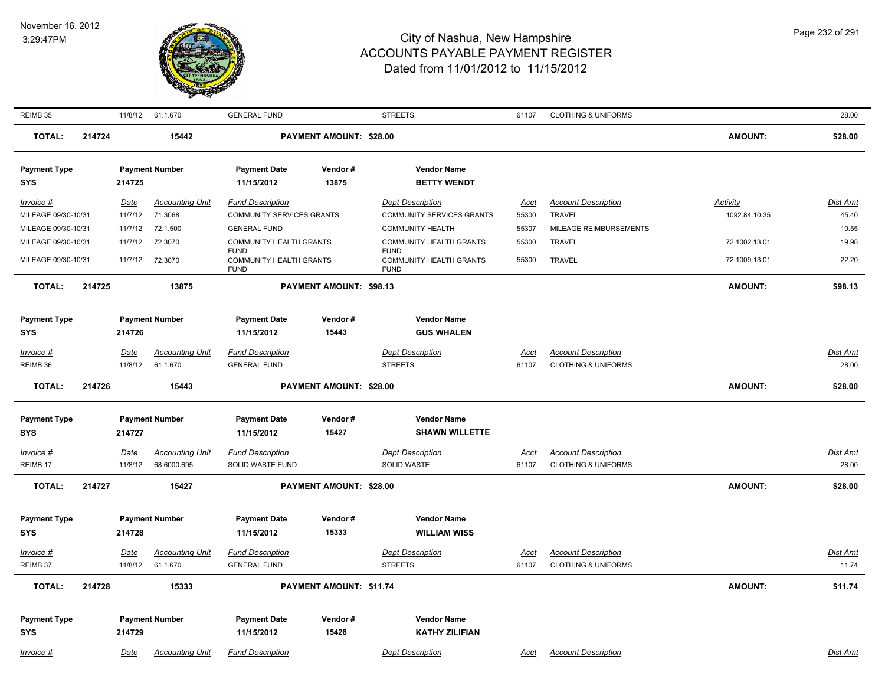

| REIMB 35                                   |        |                        | 11/8/12 61.1.670                      | <b>GENERAL FUND</b>                                   |                         | <b>STREETS</b>                                            | 61107                | <b>CLOTHING &amp; UNIFORMS</b>                               |                           | 28.00                    |
|--------------------------------------------|--------|------------------------|---------------------------------------|-------------------------------------------------------|-------------------------|-----------------------------------------------------------|----------------------|--------------------------------------------------------------|---------------------------|--------------------------|
| <b>TOTAL:</b>                              | 214724 |                        | 15442                                 |                                                       | PAYMENT AMOUNT: \$28.00 |                                                           |                      |                                                              | <b>AMOUNT:</b>            | \$28.00                  |
| <b>Payment Type</b><br>SYS                 |        | 214725                 | <b>Payment Number</b>                 | <b>Payment Date</b><br>11/15/2012                     | Vendor#<br>13875        | <b>Vendor Name</b><br><b>BETTY WENDT</b>                  |                      |                                                              |                           |                          |
| Invoice #<br>MILEAGE 09/30-10/31           |        | Date<br>11/7/12        | <b>Accounting Unit</b><br>71.3068     | <b>Fund Description</b><br>COMMUNITY SERVICES GRANTS  |                         | <b>Dept Description</b><br>COMMUNITY SERVICES GRANTS      | Acct<br>55300        | <b>Account Description</b><br><b>TRAVEL</b>                  | Activity<br>1092.84.10.35 | <b>Dist Amt</b><br>45.40 |
| MILEAGE 09/30-10/31<br>MILEAGE 09/30-10/31 |        | 11/7/12<br>11/7/12     | 72.1.500<br>72.3070                   | <b>GENERAL FUND</b><br>COMMUNITY HEALTH GRANTS        |                         | <b>COMMUNITY HEALTH</b><br><b>COMMUNITY HEALTH GRANTS</b> | 55307<br>55300       | MILEAGE REIMBURSEMENTS<br><b>TRAVEL</b>                      | 72.1002.13.01             | 10.55<br>19.98           |
| MILEAGE 09/30-10/31                        |        | 11/7/12                | 72.3070                               | <b>FUND</b><br>COMMUNITY HEALTH GRANTS<br><b>FUND</b> |                         | <b>FUND</b><br>COMMUNITY HEALTH GRANTS<br><b>FUND</b>     | 55300                | TRAVEL                                                       | 72.1009.13.01             | 22.20                    |
| <b>TOTAL:</b>                              | 214725 |                        | 13875                                 |                                                       | PAYMENT AMOUNT: \$98.13 |                                                           |                      |                                                              | <b>AMOUNT:</b>            | \$98.13                  |
| <b>Payment Type</b><br><b>SYS</b>          |        | 214726                 | <b>Payment Number</b>                 | <b>Payment Date</b><br>11/15/2012                     | Vendor#<br>15443        | <b>Vendor Name</b><br><b>GUS WHALEN</b>                   |                      |                                                              |                           |                          |
| Invoice #                                  |        | Date                   | <b>Accounting Unit</b>                | <b>Fund Description</b>                               |                         | <b>Dept Description</b>                                   | <u>Acct</u>          | <b>Account Description</b>                                   |                           | Dist Amt                 |
| REIMB 36                                   |        | 11/8/12                | 61.1.670                              | <b>GENERAL FUND</b>                                   |                         | <b>STREETS</b>                                            | 61107                | <b>CLOTHING &amp; UNIFORMS</b>                               |                           | 28.00                    |
| <b>TOTAL:</b>                              | 214726 |                        | 15443                                 |                                                       | PAYMENT AMOUNT: \$28.00 |                                                           |                      |                                                              | <b>AMOUNT:</b>            | \$28.00                  |
| <b>Payment Type</b>                        |        |                        | <b>Payment Number</b>                 | <b>Payment Date</b>                                   | Vendor#                 | <b>Vendor Name</b>                                        |                      |                                                              |                           |                          |
| <b>SYS</b>                                 |        | 214727                 |                                       | 11/15/2012                                            | 15427                   | <b>SHAWN WILLETTE</b>                                     |                      |                                                              |                           |                          |
| <b>Invoice #</b><br>REIMB 17               |        | <u>Date</u><br>11/8/12 | <b>Accounting Unit</b><br>68.6000.695 | <b>Fund Description</b><br>SOLID WASTE FUND           |                         | <b>Dept Description</b><br>SOLID WASTE                    | <u>Acct</u><br>61107 | <b>Account Description</b><br><b>CLOTHING &amp; UNIFORMS</b> |                           | <b>Dist Amt</b><br>28.00 |
| <b>TOTAL:</b>                              | 214727 |                        | 15427                                 |                                                       | PAYMENT AMOUNT: \$28.00 |                                                           |                      |                                                              | <b>AMOUNT:</b>            | \$28.00                  |
| <b>Payment Type</b><br><b>SYS</b>          |        | 214728                 | <b>Payment Number</b>                 | <b>Payment Date</b><br>11/15/2012                     | Vendor#<br>15333        | <b>Vendor Name</b><br><b>WILLIAM WISS</b>                 |                      |                                                              |                           |                          |
| Invoice #<br>REIMB 37                      |        | <u>Date</u><br>11/8/12 | <b>Accounting Unit</b><br>61.1.670    | <b>Fund Description</b><br><b>GENERAL FUND</b>        |                         | <b>Dept Description</b><br><b>STREETS</b>                 | <u>Acct</u><br>61107 | <b>Account Description</b><br><b>CLOTHING &amp; UNIFORMS</b> |                           | Dist Amt<br>11.74        |
| <b>TOTAL:</b>                              | 214728 |                        | 15333                                 |                                                       | PAYMENT AMOUNT: \$11.74 |                                                           |                      |                                                              | <b>AMOUNT:</b>            | \$11.74                  |
| <b>Payment Type</b><br><b>SYS</b>          |        | 214729                 | <b>Payment Number</b>                 | <b>Payment Date</b><br>11/15/2012                     | Vendor#<br>15428        | <b>Vendor Name</b><br><b>KATHY ZILIFIAN</b>               |                      |                                                              |                           |                          |
| Invoice #                                  |        | Date                   | <b>Accounting Unit</b>                | <b>Fund Description</b>                               |                         | <b>Dept Description</b>                                   | Acct                 | <b>Account Description</b>                                   |                           | Dist Amt                 |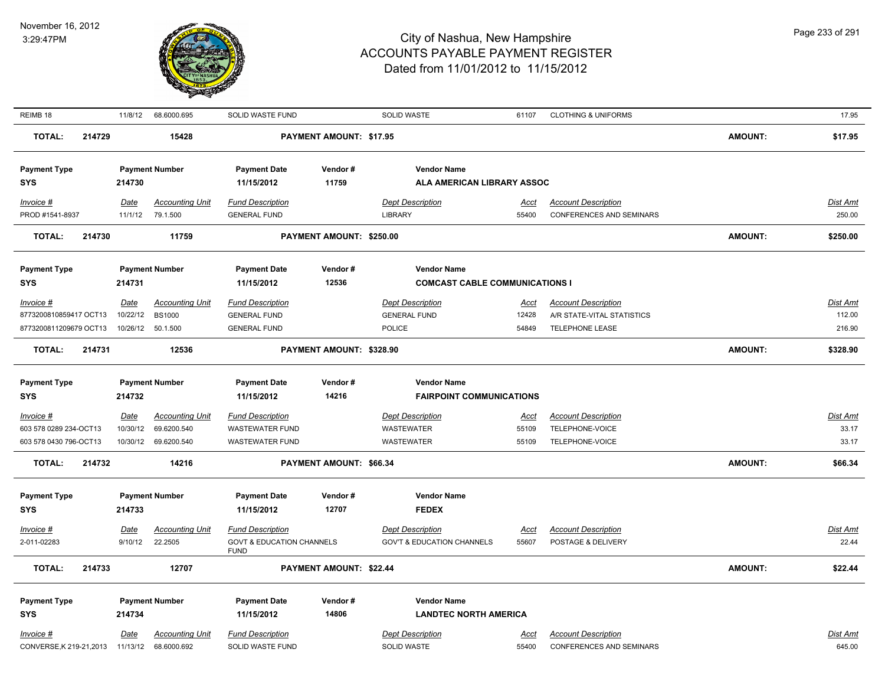

| REIMB 18                                       | 11/8/12     | 68.6000.695                           | SOLID WASTE FUND                                    |                          | SOLID WASTE                            | 61107         | <b>CLOTHING &amp; UNIFORMS</b>                                |                | 17.95              |
|------------------------------------------------|-------------|---------------------------------------|-----------------------------------------------------|--------------------------|----------------------------------------|---------------|---------------------------------------------------------------|----------------|--------------------|
| <b>TOTAL:</b><br>214729                        |             | 15428                                 |                                                     | PAYMENT AMOUNT: \$17.95  |                                        |               |                                                               | <b>AMOUNT:</b> | \$17.95            |
| <b>Payment Type</b>                            |             | <b>Payment Number</b>                 | <b>Payment Date</b>                                 | Vendor#                  | <b>Vendor Name</b>                     |               |                                                               |                |                    |
| <b>SYS</b>                                     | 214730      |                                       | 11/15/2012                                          | 11759                    | ALA AMERICAN LIBRARY ASSOC             |               |                                                               |                |                    |
| $Invoice$ #                                    | <b>Date</b> | <b>Accounting Unit</b>                | <b>Fund Description</b>                             |                          | <b>Dept Description</b>                | <u>Acct</u>   | <b>Account Description</b>                                    |                | Dist Amt           |
| PROD #1541-8937                                | 11/1/12     | 79.1.500                              | <b>GENERAL FUND</b>                                 |                          | <b>LIBRARY</b>                         | 55400         | <b>CONFERENCES AND SEMINARS</b>                               |                | 250.00             |
| <b>TOTAL:</b><br>214730                        |             | 11759                                 |                                                     | PAYMENT AMOUNT: \$250.00 |                                        |               |                                                               | <b>AMOUNT:</b> | \$250.00           |
| <b>Payment Type</b>                            |             | <b>Payment Number</b>                 | <b>Payment Date</b>                                 | Vendor#                  | <b>Vendor Name</b>                     |               |                                                               |                |                    |
| <b>SYS</b>                                     | 214731      |                                       | 11/15/2012                                          | 12536                    | <b>COMCAST CABLE COMMUNICATIONS I</b>  |               |                                                               |                |                    |
| Invoice #                                      | Date        | <b>Accounting Unit</b>                | <b>Fund Description</b>                             |                          | <b>Dept Description</b>                | <u>Acct</u>   | <b>Account Description</b>                                    |                | Dist Amt           |
| 8773200810859417 OCT13                         | 10/22/12    | <b>BS1000</b>                         | <b>GENERAL FUND</b>                                 |                          | <b>GENERAL FUND</b>                    | 12428         | A/R STATE-VITAL STATISTICS                                    |                | 112.00             |
| 8773200811209679 OCT13                         | 10/26/12    | 50.1.500                              | <b>GENERAL FUND</b>                                 |                          | POLICE                                 | 54849         | <b>TELEPHONE LEASE</b>                                        |                | 216.90             |
| <b>TOTAL:</b><br>214731                        |             | 12536                                 |                                                     | PAYMENT AMOUNT: \$328.90 |                                        |               |                                                               | <b>AMOUNT:</b> | \$328.90           |
| <b>Payment Type</b>                            |             | <b>Payment Number</b>                 | <b>Payment Date</b>                                 | Vendor#                  | <b>Vendor Name</b>                     |               |                                                               |                |                    |
| <b>SYS</b>                                     | 214732      |                                       | 11/15/2012                                          | 14216                    | <b>FAIRPOINT COMMUNICATIONS</b>        |               |                                                               |                |                    |
| Invoice #                                      | Date        | <b>Accounting Unit</b>                | <b>Fund Description</b>                             |                          | <b>Dept Description</b>                | <u>Acct</u>   | <b>Account Description</b>                                    |                | Dist Amt           |
| 603 578 0289 234-OCT13                         | 10/30/12    | 69.6200.540                           | <b>WASTEWATER FUND</b>                              |                          | <b>WASTEWATER</b>                      | 55109         | TELEPHONE-VOICE                                               |                | 33.17              |
| 603 578 0430 796-OCT13                         | 10/30/12    | 69.6200.540                           | <b>WASTEWATER FUND</b>                              |                          | <b>WASTEWATER</b>                      | 55109         | TELEPHONE-VOICE                                               |                | 33.17              |
| <b>TOTAL:</b><br>214732                        |             | 14216                                 |                                                     | PAYMENT AMOUNT: \$66.34  |                                        |               |                                                               | <b>AMOUNT:</b> | \$66.34            |
| <b>Payment Type</b>                            |             | <b>Payment Number</b>                 | <b>Payment Date</b>                                 | Vendor#                  | <b>Vendor Name</b>                     |               |                                                               |                |                    |
| <b>SYS</b>                                     | 214733      |                                       | 11/15/2012                                          | 12707                    | <b>FEDEX</b>                           |               |                                                               |                |                    |
| $Invoice$ #                                    | <b>Date</b> | <b>Accounting Unit</b>                | <b>Fund Description</b>                             |                          | <b>Dept Description</b>                | <u>Acct</u>   | <b>Account Description</b>                                    |                | Dist Amt           |
| 2-011-02283                                    | 9/10/12     | 22.2505                               | <b>GOVT &amp; EDUCATION CHANNELS</b><br><b>FUND</b> |                          | <b>GOV'T &amp; EDUCATION CHANNELS</b>  | 55607         | POSTAGE & DELIVERY                                            |                | 22.44              |
| <b>TOTAL:</b><br>214733                        |             | 12707                                 |                                                     | PAYMENT AMOUNT: \$22.44  |                                        |               |                                                               | <b>AMOUNT:</b> | \$22.44            |
| <b>Payment Type</b>                            |             | <b>Payment Number</b>                 | <b>Payment Date</b>                                 | Vendor#                  | <b>Vendor Name</b>                     |               |                                                               |                |                    |
| <b>SYS</b>                                     | 214734      |                                       | 11/15/2012                                          | 14806                    | <b>LANDTEC NORTH AMERICA</b>           |               |                                                               |                |                    |
| Invoice #<br>CONVERSE, K 219-21, 2013 11/13/12 | Date        | <b>Accounting Unit</b><br>68.6000.692 | <b>Fund Description</b><br>SOLID WASTE FUND         |                          | <b>Dept Description</b><br>SOLID WASTE | Acct<br>55400 | <b>Account Description</b><br><b>CONFERENCES AND SEMINARS</b> |                | Dist Amt<br>645.00 |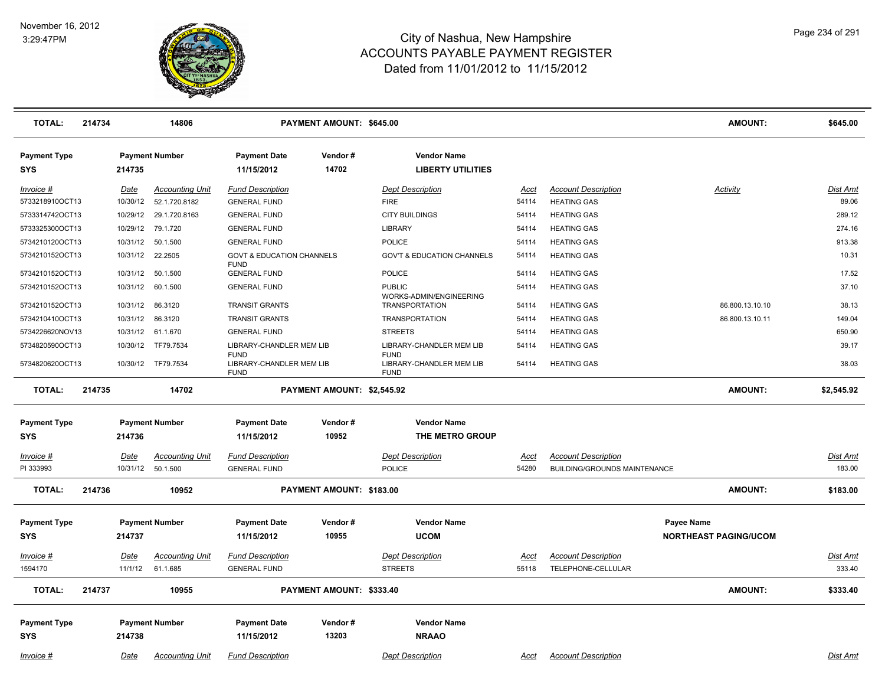

| <b>TOTAL:</b>                     | 214734 |                         | 14806                              |                                                     | PAYMENT AMOUNT: \$645.00   |                                                  |                      |                                                            | <b>AMOUNT:</b>                             | \$645.00           |
|-----------------------------------|--------|-------------------------|------------------------------------|-----------------------------------------------------|----------------------------|--------------------------------------------------|----------------------|------------------------------------------------------------|--------------------------------------------|--------------------|
| <b>Payment Type</b><br><b>SYS</b> |        | 214735                  | <b>Payment Number</b>              | <b>Payment Date</b><br>11/15/2012                   | Vendor#<br>14702           | <b>Vendor Name</b><br><b>LIBERTY UTILITIES</b>   |                      |                                                            |                                            |                    |
| Invoice #                         |        | Date                    | <b>Accounting Unit</b>             | <b>Fund Description</b>                             |                            | <b>Dept Description</b>                          | Acct                 | <b>Account Description</b>                                 | <b>Activity</b>                            | <b>Dist Amt</b>    |
| 5733218910OCT13                   |        | 10/30/12                | 52.1.720.8182                      | <b>GENERAL FUND</b>                                 |                            | <b>FIRE</b>                                      | 54114                | <b>HEATING GAS</b>                                         |                                            | 89.06              |
| 5733314742OCT13                   |        | 10/29/12                | 29.1.720.8163                      | <b>GENERAL FUND</b>                                 |                            | <b>CITY BUILDINGS</b>                            | 54114                | <b>HEATING GAS</b>                                         |                                            | 289.12             |
| 5733325300OCT13                   |        | 10/29/12                | 79.1.720                           | <b>GENERAL FUND</b>                                 |                            | LIBRARY                                          | 54114                | <b>HEATING GAS</b>                                         |                                            | 274.16             |
| 5734210120OCT13                   |        | 10/31/12                | 50.1.500                           | <b>GENERAL FUND</b>                                 |                            | POLICE                                           | 54114                | <b>HEATING GAS</b>                                         |                                            | 913.38             |
| 5734210152OCT13                   |        | 10/31/12                | 22.2505                            | <b>GOVT &amp; EDUCATION CHANNELS</b><br><b>FUND</b> |                            | <b>GOV'T &amp; EDUCATION CHANNELS</b>            | 54114                | <b>HEATING GAS</b>                                         |                                            | 10.31              |
| 5734210152OCT13                   |        | 10/31/12                | 50.1.500                           | <b>GENERAL FUND</b>                                 |                            | POLICE                                           | 54114                | <b>HEATING GAS</b>                                         |                                            | 17.52              |
| 5734210152OCT13                   |        | 10/31/12                | 60.1.500                           | <b>GENERAL FUND</b>                                 |                            | <b>PUBLIC</b>                                    | 54114                | <b>HEATING GAS</b>                                         |                                            | 37.10              |
| 5734210152OCT13                   |        | 10/31/12                | 86.3120                            | <b>TRANSIT GRANTS</b>                               |                            | WORKS-ADMIN/ENGINEERING<br><b>TRANSPORTATION</b> | 54114                | <b>HEATING GAS</b>                                         | 86.800.13.10.10                            | 38.13              |
| 5734210410OCT13                   |        |                         | 10/31/12 86.3120                   | <b>TRANSIT GRANTS</b>                               |                            | <b>TRANSPORTATION</b>                            | 54114                | <b>HEATING GAS</b>                                         | 86.800.13.10.11                            | 149.04             |
| 5734226620NOV13                   |        |                         | 10/31/12 61.1.670                  | <b>GENERAL FUND</b>                                 |                            | <b>STREETS</b>                                   | 54114                | <b>HEATING GAS</b>                                         |                                            | 650.90             |
| 5734820590OCT13                   |        | 10/30/12                | TF79.7534                          | LIBRARY-CHANDLER MEM LIB<br><b>FUND</b>             |                            | LIBRARY-CHANDLER MEM LIB<br><b>FUND</b>          | 54114                | <b>HEATING GAS</b>                                         |                                            | 39.17              |
| 5734820620OCT13                   |        |                         | 10/30/12 TF79.7534                 | LIBRARY-CHANDLER MEM LIB<br><b>FUND</b>             |                            | LIBRARY-CHANDLER MEM LIB<br><b>FUND</b>          | 54114                | <b>HEATING GAS</b>                                         |                                            | 38.03              |
| <b>TOTAL:</b>                     | 214735 |                         | 14702                              |                                                     | PAYMENT AMOUNT: \$2,545.92 |                                                  |                      |                                                            | <b>AMOUNT:</b>                             | \$2,545.92         |
| <b>Payment Type</b>               |        |                         | <b>Payment Number</b>              | <b>Payment Date</b>                                 | Vendor#                    | <b>Vendor Name</b>                               |                      |                                                            |                                            |                    |
| <b>SYS</b>                        |        | 214736                  |                                    | 11/15/2012                                          | 10952                      | THE METRO GROUP                                  |                      |                                                            |                                            |                    |
| $Invoice$ #<br>PI 333993          |        | <u>Date</u><br>10/31/12 | <b>Accounting Unit</b><br>50.1.500 | <b>Fund Description</b><br><b>GENERAL FUND</b>      |                            | <b>Dept Description</b><br>POLICE                | Acct<br>54280        | <b>Account Description</b><br>BUILDING/GROUNDS MAINTENANCE |                                            | Dist Amt<br>183.00 |
| <b>TOTAL:</b>                     | 214736 |                         | 10952                              |                                                     | PAYMENT AMOUNT: \$183.00   |                                                  |                      |                                                            | <b>AMOUNT:</b>                             | \$183.00           |
| <b>Payment Type</b><br><b>SYS</b> |        | 214737                  | <b>Payment Number</b>              | <b>Payment Date</b><br>11/15/2012                   | Vendor#<br>10955           | <b>Vendor Name</b><br><b>UCOM</b>                |                      |                                                            | Payee Name<br><b>NORTHEAST PAGING/UCOM</b> |                    |
| <u>Invoice #</u><br>1594170       |        | Date<br>11/1/12         | <b>Accounting Unit</b><br>61.1.685 | <b>Fund Description</b><br><b>GENERAL FUND</b>      |                            | <b>Dept Description</b><br><b>STREETS</b>        | <u>Acct</u><br>55118 | <b>Account Description</b><br>TELEPHONE-CELLULAR           |                                            | Dist Amt<br>333.40 |
| <b>TOTAL:</b>                     | 214737 |                         | 10955                              |                                                     | PAYMENT AMOUNT: \$333.40   |                                                  |                      |                                                            | <b>AMOUNT:</b>                             | \$333.40           |
| <b>Payment Type</b><br><b>SYS</b> |        | 214738                  | <b>Payment Number</b>              | <b>Payment Date</b><br>11/15/2012                   | Vendor#<br>13203           | <b>Vendor Name</b><br><b>NRAAO</b>               |                      |                                                            |                                            |                    |
| Invoice #                         |        | Date                    | <b>Accounting Unit</b>             | <b>Fund Description</b>                             |                            | <b>Dept Description</b>                          | Acct                 | <b>Account Description</b>                                 |                                            | Dist Amt           |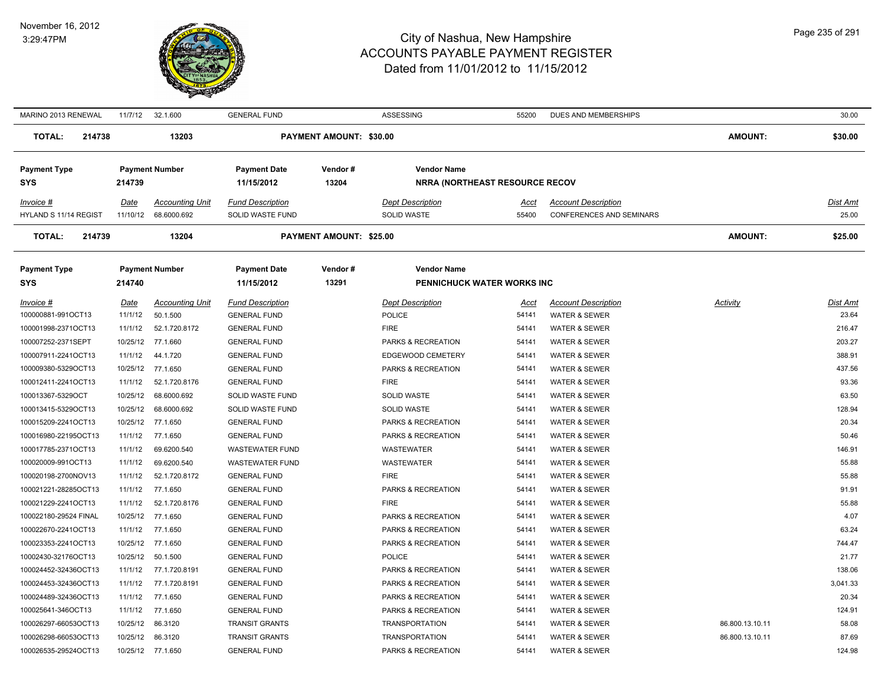

| MARINO 2013 RENEWAL     | 11/7/12  | 32.1.600               | <b>GENERAL FUND</b>     |                                | ASSESSING                             | 55200       | DUES AND MEMBERSHIPS            |                 | 30.00           |
|-------------------------|----------|------------------------|-------------------------|--------------------------------|---------------------------------------|-------------|---------------------------------|-----------------|-----------------|
| <b>TOTAL:</b><br>214738 |          | 13203                  |                         | <b>PAYMENT AMOUNT: \$30.00</b> |                                       |             |                                 | <b>AMOUNT:</b>  | \$30.00         |
| <b>Payment Type</b>     |          | <b>Payment Number</b>  | <b>Payment Date</b>     | Vendor#                        | <b>Vendor Name</b>                    |             |                                 |                 |                 |
| SYS                     | 214739   |                        | 11/15/2012              | 13204                          | <b>NRRA (NORTHEAST RESOURCE RECOV</b> |             |                                 |                 |                 |
| Invoice #               | Date     | <b>Accounting Unit</b> | <b>Fund Description</b> |                                | <b>Dept Description</b>               | <u>Acct</u> | <b>Account Description</b>      |                 | <b>Dist Amt</b> |
| HYLAND S 11/14 REGIST   | 11/10/12 | 68.6000.692            | SOLID WASTE FUND        |                                | <b>SOLID WASTE</b>                    | 55400       | <b>CONFERENCES AND SEMINARS</b> |                 | 25.00           |
| 214739<br><b>TOTAL:</b> |          | 13204                  |                         | PAYMENT AMOUNT: \$25.00        |                                       |             |                                 | <b>AMOUNT:</b>  | \$25.00         |
| <b>Payment Type</b>     |          | <b>Payment Number</b>  | <b>Payment Date</b>     | Vendor#                        | <b>Vendor Name</b>                    |             |                                 |                 |                 |
| <b>SYS</b>              | 214740   |                        | 11/15/2012              | 13291                          | PENNICHUCK WATER WORKS INC            |             |                                 |                 |                 |
| Invoice #               | Date     | <b>Accounting Unit</b> | <b>Fund Description</b> |                                | <b>Dept Description</b>               | <u>Acct</u> | <b>Account Description</b>      | Activity        | Dist Amt        |
| 100000881-991OCT13      | 11/1/12  | 50.1.500               | <b>GENERAL FUND</b>     |                                | <b>POLICE</b>                         | 54141       | WATER & SEWER                   |                 | 23.64           |
| 100001998-2371OCT13     | 11/1/12  | 52.1.720.8172          | <b>GENERAL FUND</b>     |                                | <b>FIRE</b>                           | 54141       | WATER & SEWER                   |                 | 216.47          |
| 100007252-2371SEPT      |          | 10/25/12 77.1.660      | <b>GENERAL FUND</b>     |                                | PARKS & RECREATION                    | 54141       | <b>WATER &amp; SEWER</b>        |                 | 203.27          |
| 100007911-2241OCT13     | 11/1/12  | 44.1.720               | <b>GENERAL FUND</b>     |                                | EDGEWOOD CEMETERY                     | 54141       | WATER & SEWER                   |                 | 388.91          |
| 100009380-5329OCT13     |          | 10/25/12 77.1.650      | <b>GENERAL FUND</b>     |                                | PARKS & RECREATION                    | 54141       | <b>WATER &amp; SEWER</b>        |                 | 437.56          |
| 100012411-2241OCT13     | 11/1/12  | 52.1.720.8176          | <b>GENERAL FUND</b>     |                                | <b>FIRE</b>                           | 54141       | <b>WATER &amp; SEWER</b>        |                 | 93.36           |
| 100013367-5329OCT       |          | 10/25/12 68.6000.692   | SOLID WASTE FUND        |                                | SOLID WASTE                           | 54141       | WATER & SEWER                   |                 | 63.50           |
| 100013415-5329OCT13     | 10/25/12 | 68.6000.692            | SOLID WASTE FUND        |                                | <b>SOLID WASTE</b>                    | 54141       | <b>WATER &amp; SEWER</b>        |                 | 128.94          |
| 100015209-2241OCT13     |          | 10/25/12 77.1.650      | <b>GENERAL FUND</b>     |                                | PARKS & RECREATION                    | 54141       | WATER & SEWER                   |                 | 20.34           |
| 100016980-22195OCT13    | 11/1/12  | 77.1.650               | <b>GENERAL FUND</b>     |                                | PARKS & RECREATION                    | 54141       | WATER & SEWER                   |                 | 50.46           |
| 100017785-2371OCT13     | 11/1/12  | 69.6200.540            | <b>WASTEWATER FUND</b>  |                                | <b>WASTEWATER</b>                     | 54141       | <b>WATER &amp; SEWER</b>        |                 | 146.91          |
| 100020009-991OCT13      | 11/1/12  | 69.6200.540            | <b>WASTEWATER FUND</b>  |                                | WASTEWATER                            | 54141       | <b>WATER &amp; SEWER</b>        |                 | 55.88           |
| 100020198-2700NOV13     | 11/1/12  | 52.1.720.8172          | <b>GENERAL FUND</b>     |                                | <b>FIRE</b>                           | 54141       | <b>WATER &amp; SEWER</b>        |                 | 55.88           |
| 100021221-28285OCT13    | 11/1/12  | 77.1.650               | <b>GENERAL FUND</b>     |                                | PARKS & RECREATION                    | 54141       | <b>WATER &amp; SEWER</b>        |                 | 91.91           |
| 100021229-2241OCT13     | 11/1/12  | 52.1.720.8176          | <b>GENERAL FUND</b>     |                                | <b>FIRE</b>                           | 54141       | WATER & SEWER                   |                 | 55.88           |
| 100022180-29524 FINAL   |          | 10/25/12 77.1.650      | <b>GENERAL FUND</b>     |                                | PARKS & RECREATION                    | 54141       | <b>WATER &amp; SEWER</b>        |                 | 4.07            |
| 100022670-2241OCT13     | 11/1/12  | 77.1.650               | <b>GENERAL FUND</b>     |                                | PARKS & RECREATION                    | 54141       | <b>WATER &amp; SEWER</b>        |                 | 63.24           |
| 100023353-2241OCT13     |          | 10/25/12 77.1.650      | <b>GENERAL FUND</b>     |                                | PARKS & RECREATION                    | 54141       | <b>WATER &amp; SEWER</b>        |                 | 744.47          |
| 10002430-32176OCT13     |          | 10/25/12  50.1.500     | <b>GENERAL FUND</b>     |                                | <b>POLICE</b>                         | 54141       | WATER & SEWER                   |                 | 21.77           |
| 100024452-32436OCT13    | 11/1/12  | 77.1.720.8191          | <b>GENERAL FUND</b>     |                                | PARKS & RECREATION                    | 54141       | WATER & SEWER                   |                 | 138.06          |
| 100024453-32436OCT13    | 11/1/12  | 77.1.720.8191          | <b>GENERAL FUND</b>     |                                | PARKS & RECREATION                    | 54141       | <b>WATER &amp; SEWER</b>        |                 | 3,041.33        |
| 100024489-32436OCT13    | 11/1/12  | 77.1.650               | <b>GENERAL FUND</b>     |                                | PARKS & RECREATION                    | 54141       | WATER & SEWER                   |                 | 20.34           |
| 100025641-346OCT13      | 11/1/12  | 77.1.650               | <b>GENERAL FUND</b>     |                                | PARKS & RECREATION                    | 54141       | WATER & SEWER                   |                 | 124.91          |
| 100026297-66053OCT13    | 10/25/12 | 86.3120                | <b>TRANSIT GRANTS</b>   |                                | <b>TRANSPORTATION</b>                 | 54141       | WATER & SEWER                   | 86.800.13.10.11 | 58.08           |
| 100026298-66053OCT13    |          | 10/25/12 86.3120       | <b>TRANSIT GRANTS</b>   |                                | <b>TRANSPORTATION</b>                 | 54141       | WATER & SEWER                   | 86.800.13.10.11 | 87.69           |
| 100026535-29524OCT13    |          | 10/25/12 77.1.650      | <b>GENERAL FUND</b>     |                                | PARKS & RECREATION                    | 54141       | <b>WATER &amp; SEWER</b>        |                 | 124.98          |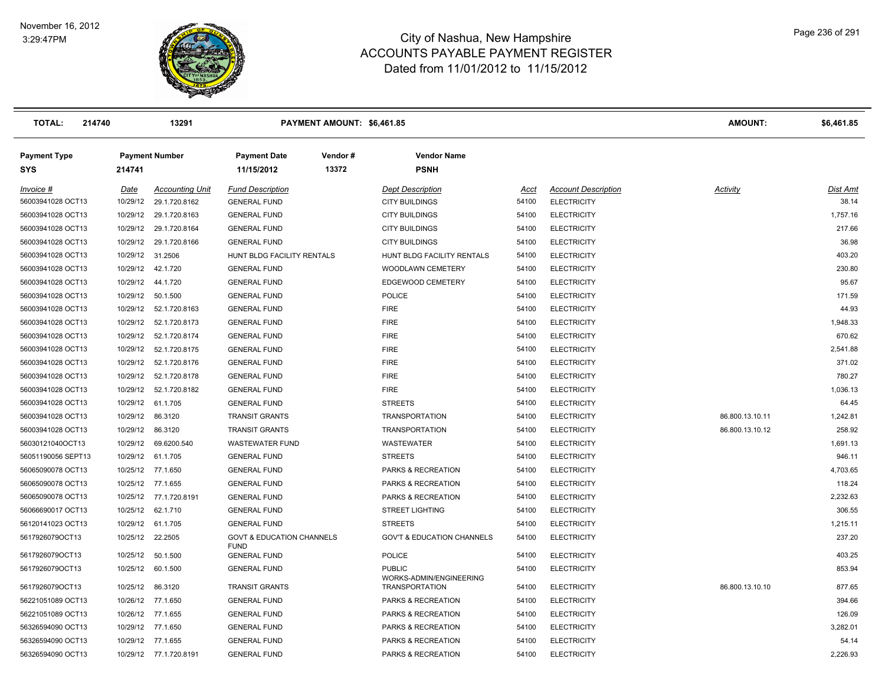

| <b>TOTAL:</b><br>214740           |                  | 13291                   |                                                     | PAYMENT AMOUNT: \$6,461.85 |                                          |       |                            | AMOUNT:         | \$6,461.85      |
|-----------------------------------|------------------|-------------------------|-----------------------------------------------------|----------------------------|------------------------------------------|-------|----------------------------|-----------------|-----------------|
| <b>Payment Type</b><br><b>SYS</b> | 214741           | <b>Payment Number</b>   | <b>Payment Date</b><br>11/15/2012                   | Vendor#<br>13372           | <b>Vendor Name</b><br><b>PSNH</b>        |       |                            |                 |                 |
| Invoice #                         | <b>Date</b>      | <b>Accounting Unit</b>  | <b>Fund Description</b>                             |                            | <b>Dept Description</b>                  | Acct  | <b>Account Description</b> | <b>Activity</b> | <u>Dist Amt</u> |
| 56003941028 OCT13                 | 10/29/12         | 29.1.720.8162           | <b>GENERAL FUND</b>                                 |                            | <b>CITY BUILDINGS</b>                    | 54100 | <b>ELECTRICITY</b>         |                 | 38.14           |
| 56003941028 OCT13                 | 10/29/12         | 29.1.720.8163           | <b>GENERAL FUND</b>                                 |                            | <b>CITY BUILDINGS</b>                    | 54100 | <b>ELECTRICITY</b>         |                 | 1,757.16        |
| 56003941028 OCT13                 | 10/29/12         | 29.1.720.8164           | <b>GENERAL FUND</b>                                 |                            | <b>CITY BUILDINGS</b>                    | 54100 | <b>ELECTRICITY</b>         |                 | 217.66          |
| 56003941028 OCT13                 |                  | 10/29/12 29.1.720.8166  | <b>GENERAL FUND</b>                                 |                            | <b>CITY BUILDINGS</b>                    | 54100 | <b>ELECTRICITY</b>         |                 | 36.98           |
| 56003941028 OCT13                 | 10/29/12 31.2506 |                         | HUNT BLDG FACILITY RENTALS                          |                            | HUNT BLDG FACILITY RENTALS               | 54100 | <b>ELECTRICITY</b>         |                 | 403.20          |
| 56003941028 OCT13                 |                  | 10/29/12  42.1.720      | <b>GENERAL FUND</b>                                 |                            | WOODLAWN CEMETERY                        | 54100 | <b>ELECTRICITY</b>         |                 | 230.80          |
| 56003941028 OCT13                 |                  | 10/29/12  44.1.720      | <b>GENERAL FUND</b>                                 |                            | EDGEWOOD CEMETERY                        | 54100 | <b>ELECTRICITY</b>         |                 | 95.67           |
| 56003941028 OCT13                 |                  | 10/29/12  50.1.500      | <b>GENERAL FUND</b>                                 |                            | <b>POLICE</b>                            | 54100 | <b>ELECTRICITY</b>         |                 | 171.59          |
| 56003941028 OCT13                 |                  | 10/29/12 52.1.720.8163  | <b>GENERAL FUND</b>                                 |                            | <b>FIRE</b>                              | 54100 | <b>ELECTRICITY</b>         |                 | 44.93           |
| 56003941028 OCT13                 |                  | 10/29/12  52.1.720.8173 | <b>GENERAL FUND</b>                                 |                            | <b>FIRE</b>                              | 54100 | <b>ELECTRICITY</b>         |                 | 1,948.33        |
| 56003941028 OCT13                 |                  | 10/29/12  52.1.720.8174 | <b>GENERAL FUND</b>                                 |                            | <b>FIRE</b>                              | 54100 | <b>ELECTRICITY</b>         |                 | 670.62          |
| 56003941028 OCT13                 |                  | 10/29/12  52.1.720.8175 | <b>GENERAL FUND</b>                                 |                            | <b>FIRE</b>                              | 54100 | <b>ELECTRICITY</b>         |                 | 2,541.88        |
| 56003941028 OCT13                 |                  | 10/29/12 52.1.720.8176  | <b>GENERAL FUND</b>                                 |                            | <b>FIRE</b>                              | 54100 | <b>ELECTRICITY</b>         |                 | 371.02          |
| 56003941028 OCT13                 |                  | 10/29/12  52.1.720.8178 | <b>GENERAL FUND</b>                                 |                            | <b>FIRE</b>                              | 54100 | <b>ELECTRICITY</b>         |                 | 780.27          |
| 56003941028 OCT13                 | 10/29/12         | 52.1.720.8182           | <b>GENERAL FUND</b>                                 |                            | <b>FIRE</b>                              | 54100 | <b>ELECTRICITY</b>         |                 | 1,036.13        |
| 56003941028 OCT13                 | 10/29/12         | 61.1.705                | <b>GENERAL FUND</b>                                 |                            | <b>STREETS</b>                           | 54100 | <b>ELECTRICITY</b>         |                 | 64.45           |
| 56003941028 OCT13                 |                  | 10/29/12 86.3120        | <b>TRANSIT GRANTS</b>                               |                            | <b>TRANSPORTATION</b>                    | 54100 | <b>ELECTRICITY</b>         | 86.800.13.10.11 | 1,242.81        |
| 56003941028 OCT13                 |                  | 10/29/12 86.3120        | <b>TRANSIT GRANTS</b>                               |                            | <b>TRANSPORTATION</b>                    | 54100 | <b>ELECTRICITY</b>         | 86.800.13.10.12 | 258.92          |
| 56030121040OCT13                  | 10/29/12         | 69.6200.540             | <b>WASTEWATER FUND</b>                              |                            | WASTEWATER                               | 54100 | <b>ELECTRICITY</b>         |                 | 1,691.13        |
| 56051190056 SEPT13                |                  | 10/29/12 61.1.705       | <b>GENERAL FUND</b>                                 |                            | <b>STREETS</b>                           | 54100 | <b>ELECTRICITY</b>         |                 | 946.11          |
| 56065090078 OCT13                 |                  | 10/25/12 77.1.650       | <b>GENERAL FUND</b>                                 |                            | PARKS & RECREATION                       | 54100 | <b>ELECTRICITY</b>         |                 | 4,703.65        |
| 56065090078 OCT13                 |                  | 10/25/12 77.1.655       | <b>GENERAL FUND</b>                                 |                            | PARKS & RECREATION                       | 54100 | <b>ELECTRICITY</b>         |                 | 118.24          |
| 56065090078 OCT13                 |                  | 10/25/12 77.1.720.8191  | <b>GENERAL FUND</b>                                 |                            | PARKS & RECREATION                       | 54100 | <b>ELECTRICITY</b>         |                 | 2,232.63        |
| 56066690017 OCT13                 |                  | 10/25/12 62.1.710       | <b>GENERAL FUND</b>                                 |                            | <b>STREET LIGHTING</b>                   | 54100 | <b>ELECTRICITY</b>         |                 | 306.55          |
| 56120141023 OCT13                 |                  | 10/29/12 61.1.705       | <b>GENERAL FUND</b>                                 |                            | <b>STREETS</b>                           | 54100 | <b>ELECTRICITY</b>         |                 | 1,215.11        |
| 5617926079OCT13                   |                  | 10/25/12 22.2505        | <b>GOVT &amp; EDUCATION CHANNELS</b><br><b>FUND</b> |                            | <b>GOV'T &amp; EDUCATION CHANNELS</b>    | 54100 | <b>ELECTRICITY</b>         |                 | 237.20          |
| 5617926079OCT13                   | 10/25/12         | 50.1.500                | <b>GENERAL FUND</b>                                 |                            | <b>POLICE</b>                            | 54100 | <b>ELECTRICITY</b>         |                 | 403.25          |
| 5617926079OCT13                   | 10/25/12         | 60.1.500                | <b>GENERAL FUND</b>                                 |                            | <b>PUBLIC</b><br>WORKS-ADMIN/ENGINEERING | 54100 | <b>ELECTRICITY</b>         |                 | 853.94          |
| 5617926079OCT13                   | 10/25/12         | 86.3120                 | <b>TRANSIT GRANTS</b>                               |                            | <b>TRANSPORTATION</b>                    | 54100 | <b>ELECTRICITY</b>         | 86.800.13.10.10 | 877.65          |
| 56221051089 OCT13                 |                  | 10/26/12 77.1.650       | <b>GENERAL FUND</b>                                 |                            | PARKS & RECREATION                       | 54100 | <b>ELECTRICITY</b>         |                 | 394.66          |
| 56221051089 OCT13                 |                  | 10/26/12 77.1.655       | <b>GENERAL FUND</b>                                 |                            | PARKS & RECREATION                       | 54100 | <b>ELECTRICITY</b>         |                 | 126.09          |
| 56326594090 OCT13                 | 10/29/12         | 77.1.650                | <b>GENERAL FUND</b>                                 |                            | PARKS & RECREATION                       | 54100 | <b>ELECTRICITY</b>         |                 | 3,282.01        |
| 56326594090 OCT13                 |                  | 10/29/12 77.1.655       | <b>GENERAL FUND</b>                                 |                            | PARKS & RECREATION                       | 54100 | <b>ELECTRICITY</b>         |                 | 54.14           |
| 56326594090 OCT13                 |                  | 10/29/12 77.1.720.8191  | <b>GENERAL FUND</b>                                 |                            | PARKS & RECREATION                       | 54100 | <b>ELECTRICITY</b>         |                 | 2,226.93        |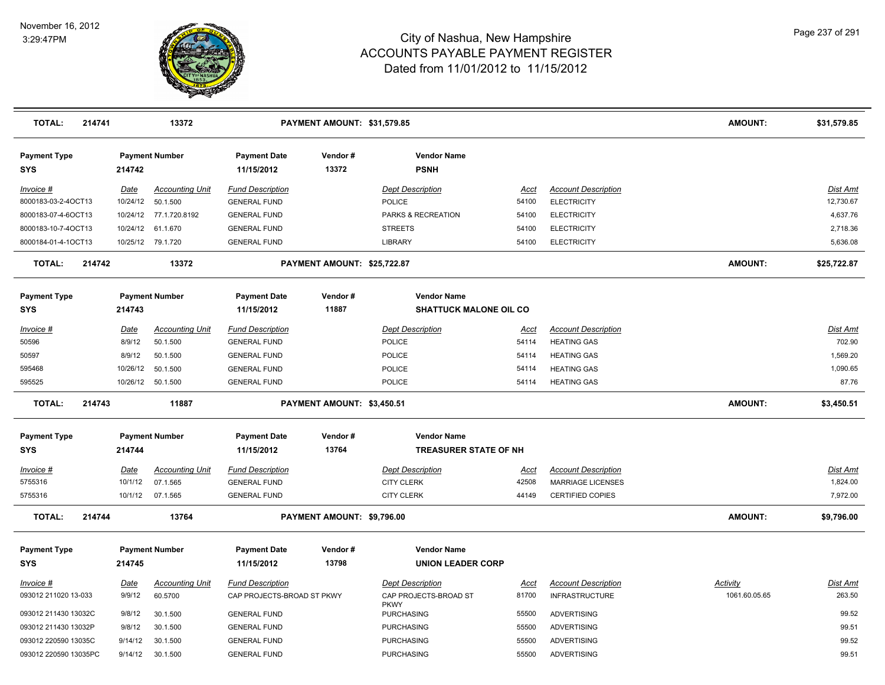

| <b>Payment Number</b><br><b>Payment Date</b><br>Vendor#<br><b>Vendor Name</b><br><b>Payment Type</b><br>13372<br><b>PSNH</b><br><b>SYS</b><br>214742<br>11/15/2012<br><b>Fund Description</b><br><b>Dept Description</b><br><b>Account Description</b><br>Date<br><b>Accounting Unit</b><br><b>Dist Amt</b><br><u>Invoice #</u><br>Acct<br>10/24/12  50.1.500<br>12,730.67<br><b>GENERAL FUND</b><br>POLICE<br>54100<br><b>ELECTRICITY</b><br>8000183-03-2-4OCT13<br>PARKS & RECREATION<br>4,637.76<br>8000183-07-4-6OCT13<br>10/24/12 77.1.720.8192<br><b>GENERAL FUND</b><br><b>ELECTRICITY</b><br>54100<br>8000183-10-7-4OCT13<br>10/24/12 61.1.670<br><b>GENERAL FUND</b><br><b>STREETS</b><br><b>ELECTRICITY</b><br>2,718.36<br>54100<br>5,636.08<br>8000184-01-4-1OCT13<br>10/25/12 79.1.720<br><b>GENERAL FUND</b><br>LIBRARY<br>54100<br><b>ELECTRICITY</b><br><b>AMOUNT:</b><br><b>TOTAL:</b><br>214742<br>13372<br>PAYMENT AMOUNT: \$25,722.87<br>\$25,722.87<br><b>Vendor Name</b><br><b>Payment Type</b><br><b>Payment Number</b><br><b>Payment Date</b><br>Vendor#<br>11887<br><b>SHATTUCK MALONE OIL CO</b><br><b>SYS</b><br>214743<br>11/15/2012<br><b>Accounting Unit</b><br><b>Fund Description</b><br><b>Dept Description</b><br><b>Account Description</b><br>Invoice #<br>Date<br>Dist Amt<br>Acct<br>702.90<br>8/9/12<br>50596<br>50.1.500<br>POLICE<br>54114<br><b>HEATING GAS</b><br><b>GENERAL FUND</b><br>1,569.20<br>50597<br>8/9/12<br>50.1.500<br><b>GENERAL FUND</b><br><b>POLICE</b><br>54114<br><b>HEATING GAS</b><br>10/26/12<br>1,090.65<br>595468<br>50.1.500<br><b>GENERAL FUND</b><br><b>POLICE</b><br>54114<br><b>HEATING GAS</b><br>87.76<br>595525<br>10/26/12  50.1.500<br><b>GENERAL FUND</b><br><b>POLICE</b><br>54114<br><b>HEATING GAS</b><br><b>TOTAL:</b><br>214743<br>PAYMENT AMOUNT: \$3,450.51<br><b>AMOUNT:</b><br>11887<br>\$3,450.51<br><b>Payment Type</b><br><b>Payment Number</b><br><b>Payment Date</b><br>Vendor#<br><b>Vendor Name</b><br>214744<br>13764<br><b>TREASURER STATE OF NH</b><br>SYS<br>11/15/2012<br>Date<br><b>Accounting Unit</b><br><b>Fund Description</b><br><b>Dept Description</b><br><b>Account Description</b><br><b>Dist Amt</b><br>Invoice #<br><u>Acct</u><br>5755316<br>07.1.565<br><b>GENERAL FUND</b><br><b>CITY CLERK</b><br>42508<br><b>MARRIAGE LICENSES</b><br>1,824.00<br>10/1/12<br>7,972.00<br>5755316<br>10/1/12 07.1.565<br><b>GENERAL FUND</b><br><b>CITY CLERK</b><br><b>CERTIFIED COPIES</b><br>44149<br>214744<br>13764<br>AMOUNT:<br><b>TOTAL:</b><br>PAYMENT AMOUNT: \$9,796.00<br>\$9,796.00<br><b>Payment Number</b><br><b>Vendor Name</b><br><b>Payment Type</b><br><b>Payment Date</b><br>Vendor#<br>13798<br>11/15/2012<br><b>UNION LEADER CORP</b><br><b>SYS</b><br>214745<br><b>Account Description</b><br>Activity<br>Dist Amt<br>Invoice #<br>Date<br><b>Accounting Unit</b><br><b>Fund Description</b><br><b>Dept Description</b><br>Acct<br>263.50<br>093012 211020 13-033<br>9/9/12<br>60.5700<br>CAP PROJECTS-BROAD ST PKWY<br>CAP PROJECTS-BROAD ST<br>81700<br><b>INFRASTRUCTURE</b><br>1061.60.05.65<br><b>PKWY</b><br>99.52<br>9/8/12<br>30.1.500<br><b>GENERAL FUND</b><br><b>PURCHASING</b><br>55500<br><b>ADVERTISING</b><br>093012 211430 13032C<br>093012 211430 13032P<br>9/8/12<br>30.1.500<br><b>GENERAL FUND</b><br><b>PURCHASING</b><br>55500<br><b>ADVERTISING</b><br>99.51<br>99.52<br>093012 220590 13035C<br>9/14/12<br>30.1.500<br><b>GENERAL FUND</b><br><b>PURCHASING</b><br>55500<br><b>ADVERTISING</b> | <b>TOTAL:</b><br>214741 |         | 13372    |                     | PAYMENT AMOUNT: \$31,579.85 |                   |       |                    | AMOUNT: | \$31,579.85 |
|-------------------------------------------------------------------------------------------------------------------------------------------------------------------------------------------------------------------------------------------------------------------------------------------------------------------------------------------------------------------------------------------------------------------------------------------------------------------------------------------------------------------------------------------------------------------------------------------------------------------------------------------------------------------------------------------------------------------------------------------------------------------------------------------------------------------------------------------------------------------------------------------------------------------------------------------------------------------------------------------------------------------------------------------------------------------------------------------------------------------------------------------------------------------------------------------------------------------------------------------------------------------------------------------------------------------------------------------------------------------------------------------------------------------------------------------------------------------------------------------------------------------------------------------------------------------------------------------------------------------------------------------------------------------------------------------------------------------------------------------------------------------------------------------------------------------------------------------------------------------------------------------------------------------------------------------------------------------------------------------------------------------------------------------------------------------------------------------------------------------------------------------------------------------------------------------------------------------------------------------------------------------------------------------------------------------------------------------------------------------------------------------------------------------------------------------------------------------------------------------------------------------------------------------------------------------------------------------------------------------------------------------------------------------------------------------------------------------------------------------------------------------------------------------------------------------------------------------------------------------------------------------------------------------------------------------------------------------------------------------------------------------------------------------------------------------------------------------------------------------------------------------------------------------------------------------------------------------------------------------------------------------------------------------------------------------------------------------------------------------------------------------------------------------------------------------------------------------------------------------------------------------------------------------------|-------------------------|---------|----------|---------------------|-----------------------------|-------------------|-------|--------------------|---------|-------------|
|                                                                                                                                                                                                                                                                                                                                                                                                                                                                                                                                                                                                                                                                                                                                                                                                                                                                                                                                                                                                                                                                                                                                                                                                                                                                                                                                                                                                                                                                                                                                                                                                                                                                                                                                                                                                                                                                                                                                                                                                                                                                                                                                                                                                                                                                                                                                                                                                                                                                                                                                                                                                                                                                                                                                                                                                                                                                                                                                                                                                                                                                                                                                                                                                                                                                                                                                                                                                                                                                                                                                                 |                         |         |          |                     |                             |                   |       |                    |         |             |
|                                                                                                                                                                                                                                                                                                                                                                                                                                                                                                                                                                                                                                                                                                                                                                                                                                                                                                                                                                                                                                                                                                                                                                                                                                                                                                                                                                                                                                                                                                                                                                                                                                                                                                                                                                                                                                                                                                                                                                                                                                                                                                                                                                                                                                                                                                                                                                                                                                                                                                                                                                                                                                                                                                                                                                                                                                                                                                                                                                                                                                                                                                                                                                                                                                                                                                                                                                                                                                                                                                                                                 |                         |         |          |                     |                             |                   |       |                    |         |             |
|                                                                                                                                                                                                                                                                                                                                                                                                                                                                                                                                                                                                                                                                                                                                                                                                                                                                                                                                                                                                                                                                                                                                                                                                                                                                                                                                                                                                                                                                                                                                                                                                                                                                                                                                                                                                                                                                                                                                                                                                                                                                                                                                                                                                                                                                                                                                                                                                                                                                                                                                                                                                                                                                                                                                                                                                                                                                                                                                                                                                                                                                                                                                                                                                                                                                                                                                                                                                                                                                                                                                                 |                         |         |          |                     |                             |                   |       |                    |         |             |
|                                                                                                                                                                                                                                                                                                                                                                                                                                                                                                                                                                                                                                                                                                                                                                                                                                                                                                                                                                                                                                                                                                                                                                                                                                                                                                                                                                                                                                                                                                                                                                                                                                                                                                                                                                                                                                                                                                                                                                                                                                                                                                                                                                                                                                                                                                                                                                                                                                                                                                                                                                                                                                                                                                                                                                                                                                                                                                                                                                                                                                                                                                                                                                                                                                                                                                                                                                                                                                                                                                                                                 |                         |         |          |                     |                             |                   |       |                    |         |             |
|                                                                                                                                                                                                                                                                                                                                                                                                                                                                                                                                                                                                                                                                                                                                                                                                                                                                                                                                                                                                                                                                                                                                                                                                                                                                                                                                                                                                                                                                                                                                                                                                                                                                                                                                                                                                                                                                                                                                                                                                                                                                                                                                                                                                                                                                                                                                                                                                                                                                                                                                                                                                                                                                                                                                                                                                                                                                                                                                                                                                                                                                                                                                                                                                                                                                                                                                                                                                                                                                                                                                                 |                         |         |          |                     |                             |                   |       |                    |         |             |
|                                                                                                                                                                                                                                                                                                                                                                                                                                                                                                                                                                                                                                                                                                                                                                                                                                                                                                                                                                                                                                                                                                                                                                                                                                                                                                                                                                                                                                                                                                                                                                                                                                                                                                                                                                                                                                                                                                                                                                                                                                                                                                                                                                                                                                                                                                                                                                                                                                                                                                                                                                                                                                                                                                                                                                                                                                                                                                                                                                                                                                                                                                                                                                                                                                                                                                                                                                                                                                                                                                                                                 |                         |         |          |                     |                             |                   |       |                    |         |             |
|                                                                                                                                                                                                                                                                                                                                                                                                                                                                                                                                                                                                                                                                                                                                                                                                                                                                                                                                                                                                                                                                                                                                                                                                                                                                                                                                                                                                                                                                                                                                                                                                                                                                                                                                                                                                                                                                                                                                                                                                                                                                                                                                                                                                                                                                                                                                                                                                                                                                                                                                                                                                                                                                                                                                                                                                                                                                                                                                                                                                                                                                                                                                                                                                                                                                                                                                                                                                                                                                                                                                                 |                         |         |          |                     |                             |                   |       |                    |         |             |
|                                                                                                                                                                                                                                                                                                                                                                                                                                                                                                                                                                                                                                                                                                                                                                                                                                                                                                                                                                                                                                                                                                                                                                                                                                                                                                                                                                                                                                                                                                                                                                                                                                                                                                                                                                                                                                                                                                                                                                                                                                                                                                                                                                                                                                                                                                                                                                                                                                                                                                                                                                                                                                                                                                                                                                                                                                                                                                                                                                                                                                                                                                                                                                                                                                                                                                                                                                                                                                                                                                                                                 |                         |         |          |                     |                             |                   |       |                    |         |             |
|                                                                                                                                                                                                                                                                                                                                                                                                                                                                                                                                                                                                                                                                                                                                                                                                                                                                                                                                                                                                                                                                                                                                                                                                                                                                                                                                                                                                                                                                                                                                                                                                                                                                                                                                                                                                                                                                                                                                                                                                                                                                                                                                                                                                                                                                                                                                                                                                                                                                                                                                                                                                                                                                                                                                                                                                                                                                                                                                                                                                                                                                                                                                                                                                                                                                                                                                                                                                                                                                                                                                                 |                         |         |          |                     |                             |                   |       |                    |         |             |
|                                                                                                                                                                                                                                                                                                                                                                                                                                                                                                                                                                                                                                                                                                                                                                                                                                                                                                                                                                                                                                                                                                                                                                                                                                                                                                                                                                                                                                                                                                                                                                                                                                                                                                                                                                                                                                                                                                                                                                                                                                                                                                                                                                                                                                                                                                                                                                                                                                                                                                                                                                                                                                                                                                                                                                                                                                                                                                                                                                                                                                                                                                                                                                                                                                                                                                                                                                                                                                                                                                                                                 |                         |         |          |                     |                             |                   |       |                    |         |             |
|                                                                                                                                                                                                                                                                                                                                                                                                                                                                                                                                                                                                                                                                                                                                                                                                                                                                                                                                                                                                                                                                                                                                                                                                                                                                                                                                                                                                                                                                                                                                                                                                                                                                                                                                                                                                                                                                                                                                                                                                                                                                                                                                                                                                                                                                                                                                                                                                                                                                                                                                                                                                                                                                                                                                                                                                                                                                                                                                                                                                                                                                                                                                                                                                                                                                                                                                                                                                                                                                                                                                                 |                         |         |          |                     |                             |                   |       |                    |         |             |
|                                                                                                                                                                                                                                                                                                                                                                                                                                                                                                                                                                                                                                                                                                                                                                                                                                                                                                                                                                                                                                                                                                                                                                                                                                                                                                                                                                                                                                                                                                                                                                                                                                                                                                                                                                                                                                                                                                                                                                                                                                                                                                                                                                                                                                                                                                                                                                                                                                                                                                                                                                                                                                                                                                                                                                                                                                                                                                                                                                                                                                                                                                                                                                                                                                                                                                                                                                                                                                                                                                                                                 |                         |         |          |                     |                             |                   |       |                    |         |             |
|                                                                                                                                                                                                                                                                                                                                                                                                                                                                                                                                                                                                                                                                                                                                                                                                                                                                                                                                                                                                                                                                                                                                                                                                                                                                                                                                                                                                                                                                                                                                                                                                                                                                                                                                                                                                                                                                                                                                                                                                                                                                                                                                                                                                                                                                                                                                                                                                                                                                                                                                                                                                                                                                                                                                                                                                                                                                                                                                                                                                                                                                                                                                                                                                                                                                                                                                                                                                                                                                                                                                                 |                         |         |          |                     |                             |                   |       |                    |         |             |
|                                                                                                                                                                                                                                                                                                                                                                                                                                                                                                                                                                                                                                                                                                                                                                                                                                                                                                                                                                                                                                                                                                                                                                                                                                                                                                                                                                                                                                                                                                                                                                                                                                                                                                                                                                                                                                                                                                                                                                                                                                                                                                                                                                                                                                                                                                                                                                                                                                                                                                                                                                                                                                                                                                                                                                                                                                                                                                                                                                                                                                                                                                                                                                                                                                                                                                                                                                                                                                                                                                                                                 |                         |         |          |                     |                             |                   |       |                    |         |             |
|                                                                                                                                                                                                                                                                                                                                                                                                                                                                                                                                                                                                                                                                                                                                                                                                                                                                                                                                                                                                                                                                                                                                                                                                                                                                                                                                                                                                                                                                                                                                                                                                                                                                                                                                                                                                                                                                                                                                                                                                                                                                                                                                                                                                                                                                                                                                                                                                                                                                                                                                                                                                                                                                                                                                                                                                                                                                                                                                                                                                                                                                                                                                                                                                                                                                                                                                                                                                                                                                                                                                                 |                         |         |          |                     |                             |                   |       |                    |         |             |
|                                                                                                                                                                                                                                                                                                                                                                                                                                                                                                                                                                                                                                                                                                                                                                                                                                                                                                                                                                                                                                                                                                                                                                                                                                                                                                                                                                                                                                                                                                                                                                                                                                                                                                                                                                                                                                                                                                                                                                                                                                                                                                                                                                                                                                                                                                                                                                                                                                                                                                                                                                                                                                                                                                                                                                                                                                                                                                                                                                                                                                                                                                                                                                                                                                                                                                                                                                                                                                                                                                                                                 |                         |         |          |                     |                             |                   |       |                    |         |             |
|                                                                                                                                                                                                                                                                                                                                                                                                                                                                                                                                                                                                                                                                                                                                                                                                                                                                                                                                                                                                                                                                                                                                                                                                                                                                                                                                                                                                                                                                                                                                                                                                                                                                                                                                                                                                                                                                                                                                                                                                                                                                                                                                                                                                                                                                                                                                                                                                                                                                                                                                                                                                                                                                                                                                                                                                                                                                                                                                                                                                                                                                                                                                                                                                                                                                                                                                                                                                                                                                                                                                                 |                         |         |          |                     |                             |                   |       |                    |         |             |
|                                                                                                                                                                                                                                                                                                                                                                                                                                                                                                                                                                                                                                                                                                                                                                                                                                                                                                                                                                                                                                                                                                                                                                                                                                                                                                                                                                                                                                                                                                                                                                                                                                                                                                                                                                                                                                                                                                                                                                                                                                                                                                                                                                                                                                                                                                                                                                                                                                                                                                                                                                                                                                                                                                                                                                                                                                                                                                                                                                                                                                                                                                                                                                                                                                                                                                                                                                                                                                                                                                                                                 |                         |         |          |                     |                             |                   |       |                    |         |             |
|                                                                                                                                                                                                                                                                                                                                                                                                                                                                                                                                                                                                                                                                                                                                                                                                                                                                                                                                                                                                                                                                                                                                                                                                                                                                                                                                                                                                                                                                                                                                                                                                                                                                                                                                                                                                                                                                                                                                                                                                                                                                                                                                                                                                                                                                                                                                                                                                                                                                                                                                                                                                                                                                                                                                                                                                                                                                                                                                                                                                                                                                                                                                                                                                                                                                                                                                                                                                                                                                                                                                                 |                         |         |          |                     |                             |                   |       |                    |         |             |
|                                                                                                                                                                                                                                                                                                                                                                                                                                                                                                                                                                                                                                                                                                                                                                                                                                                                                                                                                                                                                                                                                                                                                                                                                                                                                                                                                                                                                                                                                                                                                                                                                                                                                                                                                                                                                                                                                                                                                                                                                                                                                                                                                                                                                                                                                                                                                                                                                                                                                                                                                                                                                                                                                                                                                                                                                                                                                                                                                                                                                                                                                                                                                                                                                                                                                                                                                                                                                                                                                                                                                 |                         |         |          |                     |                             |                   |       |                    |         |             |
|                                                                                                                                                                                                                                                                                                                                                                                                                                                                                                                                                                                                                                                                                                                                                                                                                                                                                                                                                                                                                                                                                                                                                                                                                                                                                                                                                                                                                                                                                                                                                                                                                                                                                                                                                                                                                                                                                                                                                                                                                                                                                                                                                                                                                                                                                                                                                                                                                                                                                                                                                                                                                                                                                                                                                                                                                                                                                                                                                                                                                                                                                                                                                                                                                                                                                                                                                                                                                                                                                                                                                 |                         |         |          |                     |                             |                   |       |                    |         |             |
|                                                                                                                                                                                                                                                                                                                                                                                                                                                                                                                                                                                                                                                                                                                                                                                                                                                                                                                                                                                                                                                                                                                                                                                                                                                                                                                                                                                                                                                                                                                                                                                                                                                                                                                                                                                                                                                                                                                                                                                                                                                                                                                                                                                                                                                                                                                                                                                                                                                                                                                                                                                                                                                                                                                                                                                                                                                                                                                                                                                                                                                                                                                                                                                                                                                                                                                                                                                                                                                                                                                                                 |                         |         |          |                     |                             |                   |       |                    |         |             |
|                                                                                                                                                                                                                                                                                                                                                                                                                                                                                                                                                                                                                                                                                                                                                                                                                                                                                                                                                                                                                                                                                                                                                                                                                                                                                                                                                                                                                                                                                                                                                                                                                                                                                                                                                                                                                                                                                                                                                                                                                                                                                                                                                                                                                                                                                                                                                                                                                                                                                                                                                                                                                                                                                                                                                                                                                                                                                                                                                                                                                                                                                                                                                                                                                                                                                                                                                                                                                                                                                                                                                 |                         |         |          |                     |                             |                   |       |                    |         |             |
|                                                                                                                                                                                                                                                                                                                                                                                                                                                                                                                                                                                                                                                                                                                                                                                                                                                                                                                                                                                                                                                                                                                                                                                                                                                                                                                                                                                                                                                                                                                                                                                                                                                                                                                                                                                                                                                                                                                                                                                                                                                                                                                                                                                                                                                                                                                                                                                                                                                                                                                                                                                                                                                                                                                                                                                                                                                                                                                                                                                                                                                                                                                                                                                                                                                                                                                                                                                                                                                                                                                                                 |                         |         |          |                     |                             |                   |       |                    |         |             |
|                                                                                                                                                                                                                                                                                                                                                                                                                                                                                                                                                                                                                                                                                                                                                                                                                                                                                                                                                                                                                                                                                                                                                                                                                                                                                                                                                                                                                                                                                                                                                                                                                                                                                                                                                                                                                                                                                                                                                                                                                                                                                                                                                                                                                                                                                                                                                                                                                                                                                                                                                                                                                                                                                                                                                                                                                                                                                                                                                                                                                                                                                                                                                                                                                                                                                                                                                                                                                                                                                                                                                 |                         |         |          |                     |                             |                   |       |                    |         |             |
|                                                                                                                                                                                                                                                                                                                                                                                                                                                                                                                                                                                                                                                                                                                                                                                                                                                                                                                                                                                                                                                                                                                                                                                                                                                                                                                                                                                                                                                                                                                                                                                                                                                                                                                                                                                                                                                                                                                                                                                                                                                                                                                                                                                                                                                                                                                                                                                                                                                                                                                                                                                                                                                                                                                                                                                                                                                                                                                                                                                                                                                                                                                                                                                                                                                                                                                                                                                                                                                                                                                                                 |                         |         |          |                     |                             |                   |       |                    |         |             |
|                                                                                                                                                                                                                                                                                                                                                                                                                                                                                                                                                                                                                                                                                                                                                                                                                                                                                                                                                                                                                                                                                                                                                                                                                                                                                                                                                                                                                                                                                                                                                                                                                                                                                                                                                                                                                                                                                                                                                                                                                                                                                                                                                                                                                                                                                                                                                                                                                                                                                                                                                                                                                                                                                                                                                                                                                                                                                                                                                                                                                                                                                                                                                                                                                                                                                                                                                                                                                                                                                                                                                 |                         |         |          |                     |                             |                   |       |                    |         |             |
|                                                                                                                                                                                                                                                                                                                                                                                                                                                                                                                                                                                                                                                                                                                                                                                                                                                                                                                                                                                                                                                                                                                                                                                                                                                                                                                                                                                                                                                                                                                                                                                                                                                                                                                                                                                                                                                                                                                                                                                                                                                                                                                                                                                                                                                                                                                                                                                                                                                                                                                                                                                                                                                                                                                                                                                                                                                                                                                                                                                                                                                                                                                                                                                                                                                                                                                                                                                                                                                                                                                                                 |                         |         |          |                     |                             |                   |       |                    |         |             |
|                                                                                                                                                                                                                                                                                                                                                                                                                                                                                                                                                                                                                                                                                                                                                                                                                                                                                                                                                                                                                                                                                                                                                                                                                                                                                                                                                                                                                                                                                                                                                                                                                                                                                                                                                                                                                                                                                                                                                                                                                                                                                                                                                                                                                                                                                                                                                                                                                                                                                                                                                                                                                                                                                                                                                                                                                                                                                                                                                                                                                                                                                                                                                                                                                                                                                                                                                                                                                                                                                                                                                 | 093012 220590 13035PC   | 9/14/12 | 30.1.500 | <b>GENERAL FUND</b> |                             | <b>PURCHASING</b> | 55500 | <b>ADVERTISING</b> |         | 99.51       |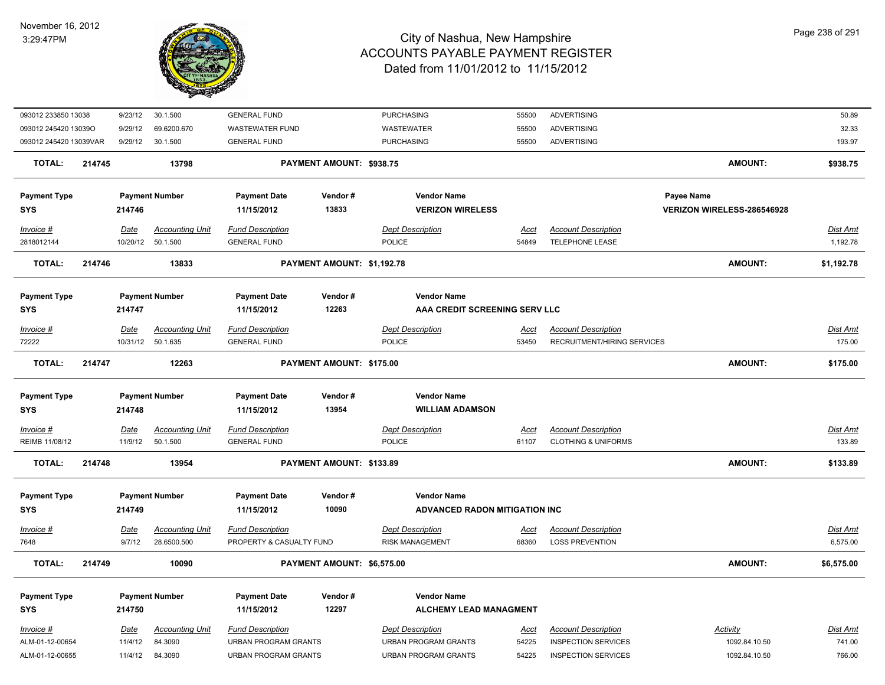

| 093012 233850 13038    |        | 9/23/12     | 30.1.500               | <b>GENERAL FUND</b>         |                            | <b>PURCHASING</b>             | 55500       | <b>ADVERTISING</b>             |                            | 50.89      |
|------------------------|--------|-------------|------------------------|-----------------------------|----------------------------|-------------------------------|-------------|--------------------------------|----------------------------|------------|
| 093012 245420 13039O   |        | 9/29/12     | 69.6200.670            | <b>WASTEWATER FUND</b>      |                            | <b>WASTEWATER</b>             | 55500       | <b>ADVERTISING</b>             |                            | 32.33      |
| 093012 245420 13039VAR |        | 9/29/12     | 30.1.500               | <b>GENERAL FUND</b>         |                            | <b>PURCHASING</b>             | 55500       | <b>ADVERTISING</b>             |                            | 193.97     |
| <b>TOTAL:</b>          | 214745 |             | 13798                  |                             | PAYMENT AMOUNT: \$938.75   |                               |             |                                | <b>AMOUNT:</b>             | \$938.75   |
| <b>Payment Type</b>    |        |             | <b>Payment Number</b>  | <b>Payment Date</b>         | Vendor#                    | <b>Vendor Name</b>            |             |                                | Payee Name                 |            |
| <b>SYS</b>             |        | 214746      |                        | 11/15/2012                  | 13833                      | <b>VERIZON WIRELESS</b>       |             |                                | VERIZON WIRELESS-286546928 |            |
| Invoice #              |        | Date        | <b>Accounting Unit</b> | <b>Fund Description</b>     |                            | <b>Dept Description</b>       | Acct        | <b>Account Description</b>     |                            | Dist Amt   |
| 2818012144             |        | 10/20/12    | 50.1.500               | <b>GENERAL FUND</b>         |                            | <b>POLICE</b>                 | 54849       | TELEPHONE LEASE                |                            | 1,192.78   |
| <b>TOTAL:</b>          | 214746 |             | 13833                  |                             | PAYMENT AMOUNT: \$1,192.78 |                               |             |                                | <b>AMOUNT:</b>             | \$1,192.78 |
| <b>Payment Type</b>    |        |             | <b>Payment Number</b>  | <b>Payment Date</b>         | Vendor#                    | <b>Vendor Name</b>            |             |                                |                            |            |
| <b>SYS</b>             |        | 214747      |                        | 11/15/2012                  | 12263                      | AAA CREDIT SCREENING SERV LLC |             |                                |                            |            |
| Invoice #              |        | Date        | <b>Accounting Unit</b> | <b>Fund Description</b>     |                            | <b>Dept Description</b>       | Acct        | <b>Account Description</b>     |                            | Dist Amt   |
| 72222                  |        | 10/31/12    | 50.1.635               | <b>GENERAL FUND</b>         |                            | <b>POLICE</b>                 | 53450       | RECRUITMENT/HIRING SERVICES    |                            | 175.00     |
| <b>TOTAL:</b>          | 214747 |             | 12263                  |                             | PAYMENT AMOUNT: \$175.00   |                               |             |                                | <b>AMOUNT:</b>             | \$175.00   |
| <b>Payment Type</b>    |        |             | <b>Payment Number</b>  | <b>Payment Date</b>         | Vendor#                    | <b>Vendor Name</b>            |             |                                |                            |            |
| <b>SYS</b>             |        | 214748      |                        | 11/15/2012                  | 13954                      | <b>WILLIAM ADAMSON</b>        |             |                                |                            |            |
| $Invoice$ #            |        | <u>Date</u> | <b>Accounting Unit</b> | <b>Fund Description</b>     |                            | <b>Dept Description</b>       | <u>Acct</u> | <b>Account Description</b>     |                            | Dist Amt   |
| REIMB 11/08/12         |        | 11/9/12     | 50.1.500               | <b>GENERAL FUND</b>         |                            | POLICE                        | 61107       | <b>CLOTHING &amp; UNIFORMS</b> |                            | 133.89     |
| <b>TOTAL:</b>          | 214748 |             | 13954                  |                             | PAYMENT AMOUNT: \$133.89   |                               |             |                                | <b>AMOUNT:</b>             | \$133.89   |
| <b>Payment Type</b>    |        |             | <b>Payment Number</b>  | <b>Payment Date</b>         | Vendor#                    | <b>Vendor Name</b>            |             |                                |                            |            |
| <b>SYS</b>             |        | 214749      |                        | 11/15/2012                  | 10090                      | ADVANCED RADON MITIGATION INC |             |                                |                            |            |
| <b>Invoice #</b>       |        | Date        | <b>Accounting Unit</b> | <b>Fund Description</b>     |                            | <b>Dept Description</b>       | <u>Acct</u> | <b>Account Description</b>     |                            | Dist Amt   |
| 7648                   |        | 9/7/12      | 28.6500.500            | PROPERTY & CASUALTY FUND    |                            | <b>RISK MANAGEMENT</b>        | 68360       | <b>LOSS PREVENTION</b>         |                            | 6,575.00   |
| <b>TOTAL:</b>          | 214749 |             | 10090                  |                             | PAYMENT AMOUNT: \$6,575.00 |                               |             |                                | <b>AMOUNT:</b>             | \$6,575.00 |
| <b>Payment Type</b>    |        |             | <b>Payment Number</b>  | <b>Payment Date</b>         | Vendor#                    | <b>Vendor Name</b>            |             |                                |                            |            |
| <b>SYS</b>             |        | 214750      |                        | 11/15/2012                  | 12297                      | <b>ALCHEMY LEAD MANAGMENT</b> |             |                                |                            |            |
| Invoice #              |        | Date        | <b>Accounting Unit</b> | <b>Fund Description</b>     |                            | <b>Dept Description</b>       | Acct        | <b>Account Description</b>     | Activity                   | Dist Amt   |
| ALM-01-12-00654        |        | 11/4/12     | 84.3090                | <b>URBAN PROGRAM GRANTS</b> |                            | <b>URBAN PROGRAM GRANTS</b>   | 54225       | <b>INSPECTION SERVICES</b>     | 1092.84.10.50              | 741.00     |
| ALM-01-12-00655        |        | 11/4/12     | 84.3090                | <b>URBAN PROGRAM GRANTS</b> |                            | <b>URBAN PROGRAM GRANTS</b>   | 54225       | <b>INSPECTION SERVICES</b>     | 1092.84.10.50              | 766.00     |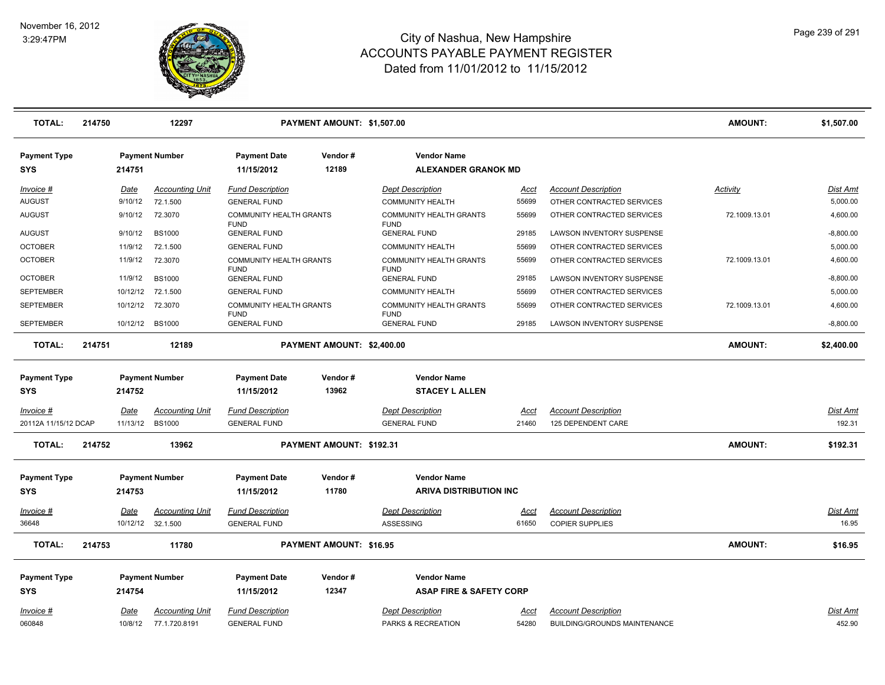

| <b>TOTAL:</b>                     | 214750 |                  | 12297                              | PAYMENT AMOUNT: \$1,507.00                     |                            |                                                  |               |                                                      | <b>AMOUNT:</b> | \$1,507.00        |
|-----------------------------------|--------|------------------|------------------------------------|------------------------------------------------|----------------------------|--------------------------------------------------|---------------|------------------------------------------------------|----------------|-------------------|
| <b>Payment Type</b><br><b>SYS</b> |        | 214751           | <b>Payment Number</b>              | <b>Payment Date</b><br>11/15/2012              | Vendor#<br>12189           | <b>Vendor Name</b><br><b>ALEXANDER GRANOK MD</b> |               |                                                      |                |                   |
| Invoice #                         |        | Date             | <b>Accounting Unit</b>             | <b>Fund Description</b>                        |                            | <b>Dept Description</b>                          | Acct          | <b>Account Description</b>                           | Activity       | Dist Amt          |
| <b>AUGUST</b>                     |        | 9/10/12          | 72.1.500                           | <b>GENERAL FUND</b>                            |                            | <b>COMMUNITY HEALTH</b>                          | 55699         | OTHER CONTRACTED SERVICES                            |                | 5,000.00          |
| AUGUST                            |        | 9/10/12          | 72.3070                            | COMMUNITY HEALTH GRANTS<br><b>FUND</b>         |                            | <b>COMMUNITY HEALTH GRANTS</b><br><b>FUND</b>    | 55699         | OTHER CONTRACTED SERVICES                            | 72.1009.13.01  | 4,600.00          |
| <b>AUGUST</b>                     |        | 9/10/12          | <b>BS1000</b>                      | <b>GENERAL FUND</b>                            |                            | <b>GENERAL FUND</b>                              | 29185         | LAWSON INVENTORY SUSPENSE                            |                | $-8,800.00$       |
| <b>OCTOBER</b>                    |        | 11/9/12          | 72.1.500                           | <b>GENERAL FUND</b>                            |                            | <b>COMMUNITY HEALTH</b>                          | 55699         | OTHER CONTRACTED SERVICES                            |                | 5,000.00          |
| <b>OCTOBER</b>                    |        | 11/9/12          | 72.3070                            | COMMUNITY HEALTH GRANTS<br><b>FUND</b>         |                            | <b>COMMUNITY HEALTH GRANTS</b><br><b>FUND</b>    | 55699         | OTHER CONTRACTED SERVICES                            | 72.1009.13.01  | 4,600.00          |
| <b>OCTOBER</b>                    |        | 11/9/12          | <b>BS1000</b>                      | <b>GENERAL FUND</b>                            |                            | <b>GENERAL FUND</b>                              | 29185         | LAWSON INVENTORY SUSPENSE                            |                | $-8,800.00$       |
| <b>SEPTEMBER</b>                  |        | 10/12/12         | 72.1.500                           | <b>GENERAL FUND</b>                            |                            | <b>COMMUNITY HEALTH</b>                          | 55699         | OTHER CONTRACTED SERVICES                            |                | 5,000.00          |
| <b>SEPTEMBER</b>                  |        | 10/12/12         | 72.3070                            | <b>COMMUNITY HEALTH GRANTS</b><br><b>FUND</b>  |                            | <b>COMMUNITY HEALTH GRANTS</b><br><b>FUND</b>    | 55699         | OTHER CONTRACTED SERVICES                            | 72.1009.13.01  | 4,600.00          |
| <b>SEPTEMBER</b>                  |        |                  | 10/12/12 BS1000                    | <b>GENERAL FUND</b>                            |                            | <b>GENERAL FUND</b>                              | 29185         | LAWSON INVENTORY SUSPENSE                            |                | $-8,800.00$       |
| <b>TOTAL:</b>                     | 214751 |                  | 12189                              |                                                | PAYMENT AMOUNT: \$2,400.00 |                                                  |               |                                                      | <b>AMOUNT:</b> | \$2,400.00        |
| <b>Payment Type</b><br>SYS        |        | 214752           | <b>Payment Number</b>              | <b>Payment Date</b><br>11/15/2012              | Vendor#<br>13962           | <b>Vendor Name</b><br><b>STACEY L ALLEN</b>      |               |                                                      |                |                   |
| Invoice #                         |        | Date             | <b>Accounting Unit</b>             | <b>Fund Description</b>                        |                            | <b>Dept Description</b>                          | <u>Acct</u>   | <b>Account Description</b>                           |                | Dist Amt          |
| 20112A 11/15/12 DCAP              |        |                  | 11/13/12 BS1000                    | <b>GENERAL FUND</b>                            |                            | <b>GENERAL FUND</b>                              | 21460         | 125 DEPENDENT CARE                                   |                | 192.31            |
| <b>TOTAL:</b>                     | 214752 |                  | 13962                              |                                                | PAYMENT AMOUNT: \$192.31   |                                                  |               |                                                      | <b>AMOUNT:</b> | \$192.31          |
| <b>Payment Type</b>               |        |                  | <b>Payment Number</b>              | <b>Payment Date</b>                            | Vendor#                    | <b>Vendor Name</b>                               |               |                                                      |                |                   |
| <b>SYS</b>                        |        | 214753           |                                    | 11/15/2012                                     | 11780                      | <b>ARIVA DISTRIBUTION INC</b>                    |               |                                                      |                |                   |
| Invoice #<br>36648                |        | Date<br>10/12/12 | <b>Accounting Unit</b><br>32.1.500 | <b>Fund Description</b><br><b>GENERAL FUND</b> |                            | <b>Dept Description</b><br>ASSESSING             | Acct<br>61650 | <b>Account Description</b><br><b>COPIER SUPPLIES</b> |                | Dist Amt<br>16.95 |
| <b>TOTAL:</b>                     | 214753 |                  | 11780                              |                                                | PAYMENT AMOUNT: \$16.95    |                                                  |               |                                                      | AMOUNT:        | \$16.95           |
| <b>Payment Type</b>               |        |                  | <b>Payment Number</b>              | <b>Payment Date</b>                            | Vendor#                    | <b>Vendor Name</b>                               |               |                                                      |                |                   |
| <b>SYS</b>                        |        | 214754           |                                    | 11/15/2012                                     | 12347                      | <b>ASAP FIRE &amp; SAFETY CORP</b>               |               |                                                      |                |                   |
| Invoice #                         |        | Date             | <b>Accounting Unit</b>             | <b>Fund Description</b>                        |                            | <b>Dept Description</b>                          | Acct          | <b>Account Description</b>                           |                | Dist Amt          |
| 060848                            |        | 10/8/12          | 77.1.720.8191                      | <b>GENERAL FUND</b>                            |                            | PARKS & RECREATION                               | 54280         | BUILDING/GROUNDS MAINTENANCE                         |                | 452.90            |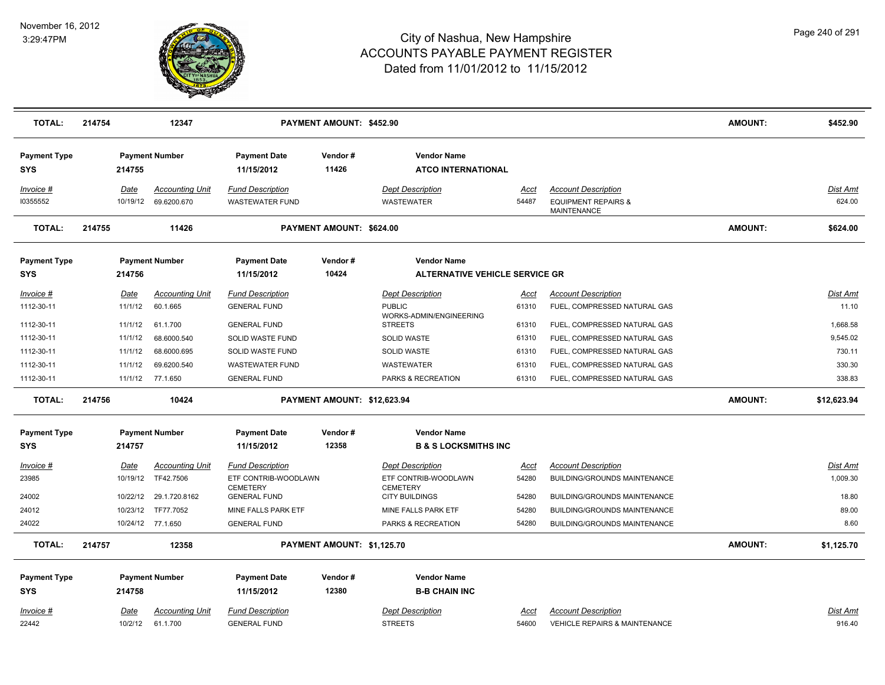

| <b>TOTAL:</b>                     | 214754 |                  | 12347                                 |                                                   | PAYMENT AMOUNT: \$452.90    |                                                 |               |                                                                             | <b>AMOUNT:</b> | \$452.90           |
|-----------------------------------|--------|------------------|---------------------------------------|---------------------------------------------------|-----------------------------|-------------------------------------------------|---------------|-----------------------------------------------------------------------------|----------------|--------------------|
| <b>Payment Type</b><br><b>SYS</b> |        | 214755           | <b>Payment Number</b>                 | <b>Payment Date</b><br>11/15/2012                 | Vendor#<br>11426            | <b>Vendor Name</b><br><b>ATCO INTERNATIONAL</b> |               |                                                                             |                |                    |
| Invoice #<br>10355552             |        | Date<br>10/19/12 | <b>Accounting Unit</b><br>69.6200.670 | <b>Fund Description</b><br><b>WASTEWATER FUND</b> |                             | <b>Dept Description</b><br><b>WASTEWATER</b>    | Acct<br>54487 | <b>Account Description</b><br><b>EQUIPMENT REPAIRS &amp;</b><br>MAINTENANCE |                | Dist Amt<br>624.00 |
| <b>TOTAL:</b>                     | 214755 |                  | 11426                                 |                                                   | PAYMENT AMOUNT: \$624.00    |                                                 |               |                                                                             | <b>AMOUNT:</b> | \$624.00           |
| <b>Payment Type</b>               |        |                  | <b>Payment Number</b>                 | <b>Payment Date</b>                               | Vendor#                     | <b>Vendor Name</b>                              |               |                                                                             |                |                    |
| <b>SYS</b>                        |        | 214756           |                                       | 11/15/2012                                        | 10424                       | <b>ALTERNATIVE VEHICLE SERVICE GR</b>           |               |                                                                             |                |                    |
| $Invoice$ #                       |        | Date             | <b>Accounting Unit</b>                | <b>Fund Description</b>                           |                             | <b>Dept Description</b>                         | <u>Acct</u>   | <b>Account Description</b>                                                  |                | <b>Dist Amt</b>    |
| 1112-30-11                        |        | 11/1/12          | 60.1.665                              | <b>GENERAL FUND</b>                               |                             | <b>PUBLIC</b>                                   | 61310         | FUEL, COMPRESSED NATURAL GAS                                                |                | 11.10              |
| 1112-30-11                        |        | 11/1/12          | 61.1.700                              | <b>GENERAL FUND</b>                               |                             | WORKS-ADMIN/ENGINEERING<br><b>STREETS</b>       | 61310         | FUEL, COMPRESSED NATURAL GAS                                                |                | 1,668.58           |
| 1112-30-11                        |        | 11/1/12          | 68.6000.540                           | SOLID WASTE FUND                                  |                             | <b>SOLID WASTE</b>                              | 61310         | FUEL, COMPRESSED NATURAL GAS                                                |                | 9,545.02           |
| 1112-30-11                        |        | 11/1/12          | 68.6000.695                           | SOLID WASTE FUND                                  |                             | <b>SOLID WASTE</b>                              | 61310         | FUEL, COMPRESSED NATURAL GAS                                                |                | 730.11             |
| 1112-30-11                        |        | 11/1/12          | 69.6200.540                           | <b>WASTEWATER FUND</b>                            |                             | <b>WASTEWATER</b>                               | 61310         | FUEL, COMPRESSED NATURAL GAS                                                |                | 330.30             |
| 1112-30-11                        |        | 11/1/12          | 77.1.650                              | <b>GENERAL FUND</b>                               |                             | PARKS & RECREATION                              | 61310         | FUEL, COMPRESSED NATURAL GAS                                                |                | 338.83             |
| <b>TOTAL:</b>                     | 214756 |                  | 10424                                 |                                                   | PAYMENT AMOUNT: \$12,623.94 |                                                 |               |                                                                             | <b>AMOUNT:</b> | \$12,623.94        |
| <b>Payment Type</b>               |        |                  | <b>Payment Number</b>                 | <b>Payment Date</b>                               | Vendor#                     | <b>Vendor Name</b>                              |               |                                                                             |                |                    |
| <b>SYS</b>                        |        | 214757           |                                       | 11/15/2012                                        | 12358                       | <b>B &amp; S LOCKSMITHS INC</b>                 |               |                                                                             |                |                    |
| $Invoice$ #                       |        | <u>Date</u>      | <b>Accounting Unit</b>                | <b>Fund Description</b>                           |                             | <b>Dept Description</b>                         | <u>Acct</u>   | <b>Account Description</b>                                                  |                | <u>Dist Amt</u>    |
| 23985                             |        | 10/19/12         | TF42.7506                             | ETF CONTRIB-WOODLAWN                              |                             | ETF CONTRIB-WOODLAWN                            | 54280         | BUILDING/GROUNDS MAINTENANCE                                                |                | 1,009.30           |
| 24002                             |        | 10/22/12         | 29.1.720.8162                         | <b>CEMETERY</b><br><b>GENERAL FUND</b>            |                             | <b>CEMETERY</b><br><b>CITY BUILDINGS</b>        | 54280         |                                                                             |                | 18.80              |
| 24012                             |        | 10/23/12         | TF77.7052                             | MINE FALLS PARK ETF                               |                             | MINE FALLS PARK ETF                             | 54280         | BUILDING/GROUNDS MAINTENANCE<br><b>BUILDING/GROUNDS MAINTENANCE</b>         |                | 89.00              |
| 24022                             |        |                  | 10/24/12 77.1.650                     | <b>GENERAL FUND</b>                               |                             | <b>PARKS &amp; RECREATION</b>                   | 54280         | <b>BUILDING/GROUNDS MAINTENANCE</b>                                         |                | 8.60               |
|                                   |        |                  |                                       |                                                   |                             |                                                 |               |                                                                             |                |                    |
| <b>TOTAL:</b>                     | 214757 |                  | 12358                                 |                                                   | PAYMENT AMOUNT: \$1,125.70  |                                                 |               |                                                                             | <b>AMOUNT:</b> | \$1,125.70         |
| <b>Payment Type</b>               |        |                  | <b>Payment Number</b>                 | <b>Payment Date</b>                               | Vendor#                     | <b>Vendor Name</b>                              |               |                                                                             |                |                    |
| <b>SYS</b>                        |        | 214758           |                                       | 11/15/2012                                        | 12380                       | <b>B-B CHAIN INC</b>                            |               |                                                                             |                |                    |
| Invoice #                         |        | Date             | <b>Accounting Unit</b>                | <b>Fund Description</b>                           |                             | <b>Dept Description</b>                         | Acct          | <b>Account Description</b>                                                  |                | <b>Dist Amt</b>    |
| 22442                             |        | 10/2/12          | 61.1.700                              | <b>GENERAL FUND</b>                               |                             | <b>STREETS</b>                                  | 54600         | VEHICLE REPAIRS & MAINTENANCE                                               |                | 916.40             |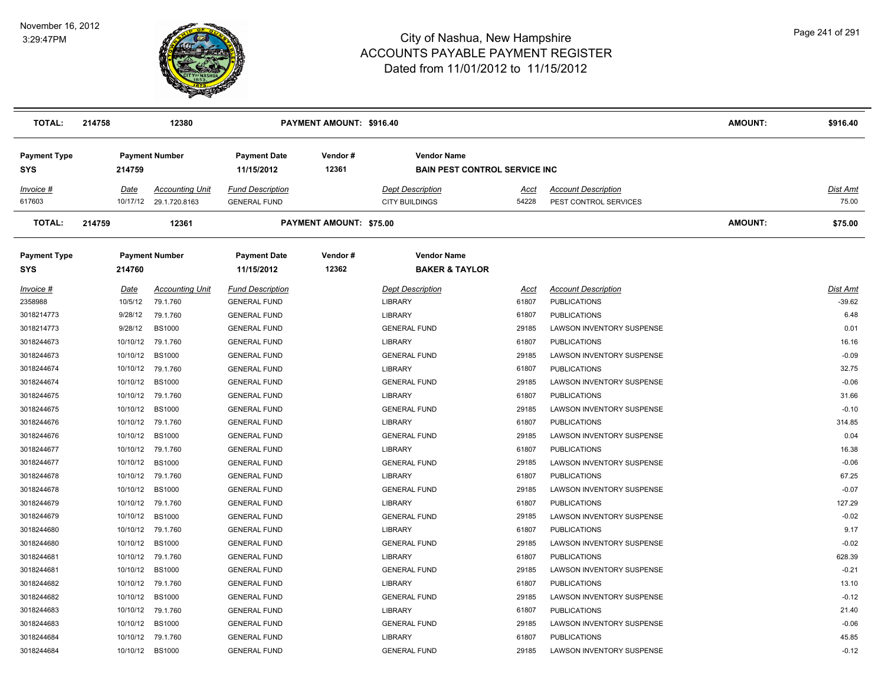

| TOTAL:                     | 214758               | 12380                                   |                                                | PAYMENT AMOUNT: \$916.40       |                                                             |                      |                                                     | <b>AMOUNT:</b> | \$916.40          |
|----------------------------|----------------------|-----------------------------------------|------------------------------------------------|--------------------------------|-------------------------------------------------------------|----------------------|-----------------------------------------------------|----------------|-------------------|
| <b>Payment Type</b><br>SYS | 214759               | <b>Payment Number</b>                   | <b>Payment Date</b><br>11/15/2012              | Vendor#<br>12361               | <b>Vendor Name</b><br><b>BAIN PEST CONTROL SERVICE INC.</b> |                      |                                                     |                |                   |
| Invoice #<br>617603        | Date<br>10/17/12     | <b>Accounting Unit</b><br>29.1.720.8163 | <b>Fund Description</b><br><b>GENERAL FUND</b> |                                | <b>Dept Description</b><br><b>CITY BUILDINGS</b>            | <u>Acct</u><br>54228 | <b>Account Description</b><br>PEST CONTROL SERVICES |                | Dist Amt<br>75.00 |
| <b>TOTAL:</b>              | 214759               | 12361                                   |                                                | <b>PAYMENT AMOUNT: \$75.00</b> |                                                             |                      |                                                     | <b>AMOUNT:</b> | \$75.00           |
| Payment Type<br>SYS        | 214760               | <b>Payment Number</b>                   | <b>Payment Date</b><br>11/15/2012              | Vendor#<br>12362               | <b>Vendor Name</b><br><b>BAKER &amp; TAYLOR</b>             |                      |                                                     |                |                   |
| <u> Invoice #</u>          | <u>Date</u>          | <b>Accounting Unit</b>                  | <b>Fund Description</b>                        |                                | <b>Dept Description</b>                                     | Acct                 | <b>Account Description</b>                          |                | Dist Amt          |
| 2358988                    | 10/5/12              | 79.1.760                                | <b>GENERAL FUND</b>                            |                                | <b>LIBRARY</b>                                              | 61807                | <b>PUBLICATIONS</b>                                 |                | $-39.62$          |
| 3018214773                 | 9/28/12              | 79.1.760                                | <b>GENERAL FUND</b>                            |                                | <b>LIBRARY</b>                                              | 61807                | <b>PUBLICATIONS</b>                                 |                | 6.48              |
| 3018214773                 | 9/28/12              | <b>BS1000</b>                           | <b>GENERAL FUND</b>                            |                                | <b>GENERAL FUND</b>                                         | 29185                | LAWSON INVENTORY SUSPENSE                           |                | 0.01              |
| 3018244673                 | 10/10/12<br>10/10/12 | 79.1.760                                | <b>GENERAL FUND</b>                            |                                | <b>LIBRARY</b>                                              | 61807                | <b>PUBLICATIONS</b>                                 |                | 16.16<br>$-0.09$  |
| 3018244673                 |                      | <b>BS1000</b>                           | <b>GENERAL FUND</b>                            |                                | <b>GENERAL FUND</b>                                         | 29185                | LAWSON INVENTORY SUSPENSE                           |                |                   |
| 3018244674                 | 10/10/12             | 79.1.760                                | <b>GENERAL FUND</b>                            |                                | <b>LIBRARY</b>                                              | 61807                | <b>PUBLICATIONS</b>                                 |                | 32.75<br>$-0.06$  |
| 3018244674                 | 10/10/12             | <b>BS1000</b>                           | <b>GENERAL FUND</b>                            |                                | <b>GENERAL FUND</b>                                         | 29185                | LAWSON INVENTORY SUSPENSE                           |                | 31.66             |
| 3018244675<br>3018244675   | 10/10/12<br>10/10/12 | 79.1.760                                | <b>GENERAL FUND</b>                            |                                | <b>LIBRARY</b>                                              | 61807<br>29185       | <b>PUBLICATIONS</b>                                 |                | $-0.10$           |
| 3018244676                 | 10/10/12             | <b>BS1000</b><br>79.1.760               | <b>GENERAL FUND</b>                            |                                | <b>GENERAL FUND</b><br><b>LIBRARY</b>                       | 61807                | LAWSON INVENTORY SUSPENSE                           |                | 314.85            |
| 3018244676                 | 10/10/12             | <b>BS1000</b>                           | <b>GENERAL FUND</b><br><b>GENERAL FUND</b>     |                                | <b>GENERAL FUND</b>                                         | 29185                | <b>PUBLICATIONS</b><br>LAWSON INVENTORY SUSPENSE    |                | 0.04              |
| 3018244677                 | 10/10/12             | 79.1.760                                | <b>GENERAL FUND</b>                            |                                | <b>LIBRARY</b>                                              | 61807                | <b>PUBLICATIONS</b>                                 |                | 16.38             |
| 3018244677                 | 10/10/12             | <b>BS1000</b>                           | <b>GENERAL FUND</b>                            |                                | <b>GENERAL FUND</b>                                         | 29185                | LAWSON INVENTORY SUSPENSE                           |                | $-0.06$           |
| 3018244678                 | 10/10/12             | 79.1.760                                | <b>GENERAL FUND</b>                            |                                | <b>LIBRARY</b>                                              | 61807                | <b>PUBLICATIONS</b>                                 |                | 67.25             |
| 3018244678                 | 10/10/12             | <b>BS1000</b>                           | <b>GENERAL FUND</b>                            |                                | <b>GENERAL FUND</b>                                         | 29185                | LAWSON INVENTORY SUSPENSE                           |                | $-0.07$           |
| 3018244679                 | 10/10/12             | 79.1.760                                | <b>GENERAL FUND</b>                            |                                | <b>LIBRARY</b>                                              | 61807                | <b>PUBLICATIONS</b>                                 |                | 127.29            |
| 3018244679                 | 10/10/12             | <b>BS1000</b>                           | <b>GENERAL FUND</b>                            |                                | <b>GENERAL FUND</b>                                         | 29185                | LAWSON INVENTORY SUSPENSE                           |                | $-0.02$           |
| 3018244680                 | 10/10/12             | 79.1.760                                | <b>GENERAL FUND</b>                            |                                | <b>LIBRARY</b>                                              | 61807                | <b>PUBLICATIONS</b>                                 |                | 9.17              |
| 3018244680                 | 10/10/12             | <b>BS1000</b>                           | <b>GENERAL FUND</b>                            |                                | <b>GENERAL FUND</b>                                         | 29185                | LAWSON INVENTORY SUSPENSE                           |                | $-0.02$           |
| 3018244681                 | 10/10/12             | 79.1.760                                | <b>GENERAL FUND</b>                            |                                | <b>LIBRARY</b>                                              | 61807                | <b>PUBLICATIONS</b>                                 |                | 628.39            |
| 3018244681                 | 10/10/12             | <b>BS1000</b>                           | <b>GENERAL FUND</b>                            |                                | <b>GENERAL FUND</b>                                         | 29185                | LAWSON INVENTORY SUSPENSE                           |                | $-0.21$           |
| 3018244682                 | 10/10/12             | 79.1.760                                | <b>GENERAL FUND</b>                            |                                | <b>LIBRARY</b>                                              | 61807                | <b>PUBLICATIONS</b>                                 |                | 13.10             |
| 3018244682                 | 10/10/12             | <b>BS1000</b>                           | <b>GENERAL FUND</b>                            |                                | <b>GENERAL FUND</b>                                         | 29185                | LAWSON INVENTORY SUSPENSE                           |                | $-0.12$           |
| 3018244683                 | 10/10/12             | 79.1.760                                | <b>GENERAL FUND</b>                            |                                | <b>LIBRARY</b>                                              | 61807                | <b>PUBLICATIONS</b>                                 |                | 21.40             |
| 3018244683                 | 10/10/12             | <b>BS1000</b>                           | <b>GENERAL FUND</b>                            |                                | <b>GENERAL FUND</b>                                         | 29185                | LAWSON INVENTORY SUSPENSE                           |                | $-0.06$           |
| 3018244684                 | 10/10/12             | 79.1.760                                | <b>GENERAL FUND</b>                            |                                | <b>LIBRARY</b>                                              | 61807                | <b>PUBLICATIONS</b>                                 |                | 45.85             |
| 3018244684                 |                      | 10/10/12 BS1000                         | <b>GENERAL FUND</b>                            |                                | <b>GENERAL FUND</b>                                         | 29185                | LAWSON INVENTORY SUSPENSE                           |                | $-0.12$           |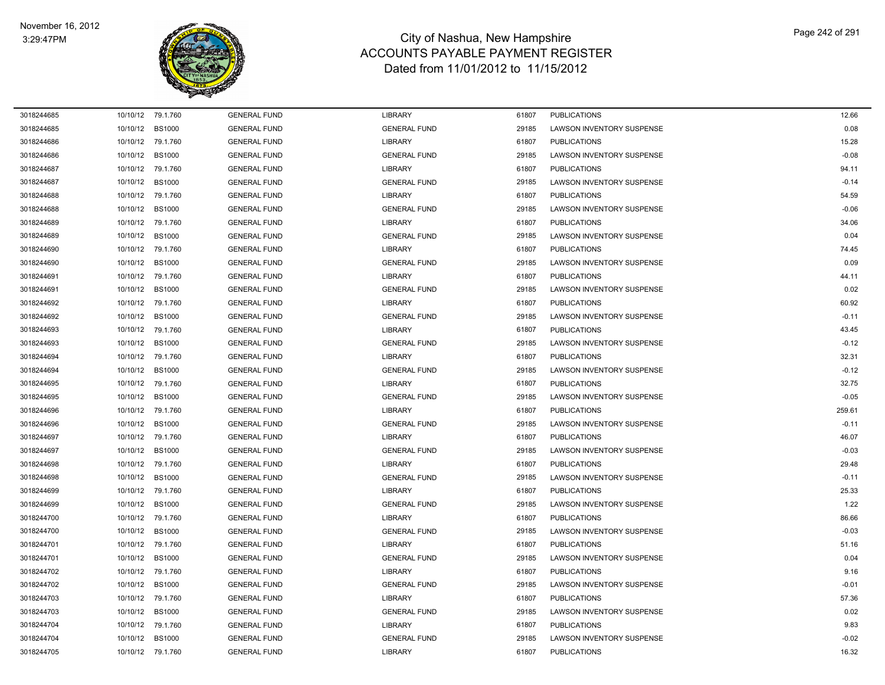

| 3018244685 |          | 10/10/12 79.1.760 | <b>GENERAL FUND</b> | <b>LIBRARY</b>      | 61807 | <b>PUBLICATIONS</b>              | 12.66   |
|------------|----------|-------------------|---------------------|---------------------|-------|----------------------------------|---------|
| 3018244685 | 10/10/12 | <b>BS1000</b>     | <b>GENERAL FUND</b> | <b>GENERAL FUND</b> | 29185 | LAWSON INVENTORY SUSPENSE        | 0.08    |
| 3018244686 |          | 10/10/12 79.1.760 | <b>GENERAL FUND</b> | <b>LIBRARY</b>      | 61807 | <b>PUBLICATIONS</b>              | 15.28   |
| 3018244686 |          | 10/10/12 BS1000   | <b>GENERAL FUND</b> | <b>GENERAL FUND</b> | 29185 | <b>LAWSON INVENTORY SUSPENSE</b> | $-0.08$ |
| 3018244687 |          | 10/10/12 79.1.760 | <b>GENERAL FUND</b> | <b>LIBRARY</b>      | 61807 | <b>PUBLICATIONS</b>              | 94.11   |
| 3018244687 | 10/10/12 | <b>BS1000</b>     | <b>GENERAL FUND</b> | <b>GENERAL FUND</b> | 29185 | <b>LAWSON INVENTORY SUSPENSE</b> | $-0.14$ |
| 3018244688 |          | 10/10/12 79.1.760 | <b>GENERAL FUND</b> | <b>LIBRARY</b>      | 61807 | <b>PUBLICATIONS</b>              | 54.59   |
| 3018244688 | 10/10/12 | <b>BS1000</b>     | <b>GENERAL FUND</b> | <b>GENERAL FUND</b> | 29185 | LAWSON INVENTORY SUSPENSE        | $-0.06$ |
| 3018244689 |          | 10/10/12 79.1.760 | <b>GENERAL FUND</b> | <b>LIBRARY</b>      | 61807 | <b>PUBLICATIONS</b>              | 34.06   |
| 3018244689 | 10/10/12 | <b>BS1000</b>     | <b>GENERAL FUND</b> | <b>GENERAL FUND</b> | 29185 | <b>LAWSON INVENTORY SUSPENSE</b> | 0.04    |
| 3018244690 | 10/10/12 | 79.1.760          | <b>GENERAL FUND</b> | <b>LIBRARY</b>      | 61807 | <b>PUBLICATIONS</b>              | 74.45   |
| 3018244690 | 10/10/12 | <b>BS1000</b>     | <b>GENERAL FUND</b> | <b>GENERAL FUND</b> | 29185 | <b>LAWSON INVENTORY SUSPENSE</b> | 0.09    |
| 3018244691 |          | 10/10/12 79.1.760 | <b>GENERAL FUND</b> | <b>LIBRARY</b>      | 61807 | <b>PUBLICATIONS</b>              | 44.11   |
| 3018244691 | 10/10/12 | <b>BS1000</b>     | <b>GENERAL FUND</b> | <b>GENERAL FUND</b> | 29185 | <b>LAWSON INVENTORY SUSPENSE</b> | 0.02    |
| 3018244692 |          | 10/10/12 79.1.760 | <b>GENERAL FUND</b> | <b>LIBRARY</b>      | 61807 | <b>PUBLICATIONS</b>              | 60.92   |
| 3018244692 | 10/10/12 | <b>BS1000</b>     | <b>GENERAL FUND</b> | <b>GENERAL FUND</b> | 29185 | <b>LAWSON INVENTORY SUSPENSE</b> | $-0.11$ |
| 3018244693 |          | 10/10/12 79.1.760 | <b>GENERAL FUND</b> | <b>LIBRARY</b>      | 61807 | <b>PUBLICATIONS</b>              | 43.45   |
| 3018244693 | 10/10/12 | <b>BS1000</b>     | <b>GENERAL FUND</b> | <b>GENERAL FUND</b> | 29185 | <b>LAWSON INVENTORY SUSPENSE</b> | $-0.12$ |
| 3018244694 |          | 10/10/12 79.1.760 | <b>GENERAL FUND</b> | <b>LIBRARY</b>      | 61807 | <b>PUBLICATIONS</b>              | 32.31   |
| 3018244694 | 10/10/12 | <b>BS1000</b>     | <b>GENERAL FUND</b> | <b>GENERAL FUND</b> | 29185 | <b>LAWSON INVENTORY SUSPENSE</b> | $-0.12$ |
| 3018244695 |          | 10/10/12 79.1.760 | <b>GENERAL FUND</b> | <b>LIBRARY</b>      | 61807 | <b>PUBLICATIONS</b>              | 32.75   |
| 3018244695 | 10/10/12 | <b>BS1000</b>     | <b>GENERAL FUND</b> | <b>GENERAL FUND</b> | 29185 | <b>LAWSON INVENTORY SUSPENSE</b> | $-0.05$ |
| 3018244696 |          | 10/10/12 79.1.760 | <b>GENERAL FUND</b> | <b>LIBRARY</b>      | 61807 | <b>PUBLICATIONS</b>              | 259.61  |
| 3018244696 | 10/10/12 | <b>BS1000</b>     | <b>GENERAL FUND</b> | <b>GENERAL FUND</b> | 29185 | <b>LAWSON INVENTORY SUSPENSE</b> | $-0.11$ |
| 3018244697 |          | 10/10/12 79.1.760 | <b>GENERAL FUND</b> | <b>LIBRARY</b>      | 61807 | <b>PUBLICATIONS</b>              | 46.07   |
| 3018244697 | 10/10/12 | <b>BS1000</b>     | <b>GENERAL FUND</b> | <b>GENERAL FUND</b> | 29185 | <b>LAWSON INVENTORY SUSPENSE</b> | $-0.03$ |
| 3018244698 | 10/10/12 | 79.1.760          | <b>GENERAL FUND</b> | <b>LIBRARY</b>      | 61807 | <b>PUBLICATIONS</b>              | 29.48   |
| 3018244698 | 10/10/12 | <b>BS1000</b>     | <b>GENERAL FUND</b> | <b>GENERAL FUND</b> | 29185 | <b>LAWSON INVENTORY SUSPENSE</b> | $-0.11$ |
| 3018244699 |          | 10/10/12 79.1.760 | <b>GENERAL FUND</b> | <b>LIBRARY</b>      | 61807 | <b>PUBLICATIONS</b>              | 25.33   |
| 3018244699 | 10/10/12 | <b>BS1000</b>     | <b>GENERAL FUND</b> | <b>GENERAL FUND</b> | 29185 | LAWSON INVENTORY SUSPENSE        | 1.22    |
| 3018244700 | 10/10/12 | 79.1.760          | <b>GENERAL FUND</b> | <b>LIBRARY</b>      | 61807 | <b>PUBLICATIONS</b>              | 86.66   |
| 3018244700 | 10/10/12 | <b>BS1000</b>     | <b>GENERAL FUND</b> | <b>GENERAL FUND</b> | 29185 | <b>LAWSON INVENTORY SUSPENSE</b> | $-0.03$ |
| 3018244701 |          | 10/10/12 79.1.760 | <b>GENERAL FUND</b> | <b>LIBRARY</b>      | 61807 | <b>PUBLICATIONS</b>              | 51.16   |
| 3018244701 | 10/10/12 | <b>BS1000</b>     | <b>GENERAL FUND</b> | <b>GENERAL FUND</b> | 29185 | LAWSON INVENTORY SUSPENSE        | 0.04    |
| 3018244702 |          | 10/10/12 79.1.760 | <b>GENERAL FUND</b> | <b>LIBRARY</b>      | 61807 | <b>PUBLICATIONS</b>              | 9.16    |
| 3018244702 | 10/10/12 | <b>BS1000</b>     | <b>GENERAL FUND</b> | <b>GENERAL FUND</b> | 29185 | LAWSON INVENTORY SUSPENSE        | $-0.01$ |
| 3018244703 |          | 10/10/12 79.1.760 | <b>GENERAL FUND</b> | <b>LIBRARY</b>      | 61807 | <b>PUBLICATIONS</b>              | 57.36   |
| 3018244703 | 10/10/12 | <b>BS1000</b>     | <b>GENERAL FUND</b> | <b>GENERAL FUND</b> | 29185 | LAWSON INVENTORY SUSPENSE        | 0.02    |
| 3018244704 |          | 10/10/12 79.1.760 | <b>GENERAL FUND</b> | <b>LIBRARY</b>      | 61807 | <b>PUBLICATIONS</b>              | 9.83    |
| 3018244704 | 10/10/12 | <b>BS1000</b>     | <b>GENERAL FUND</b> | <b>GENERAL FUND</b> | 29185 | <b>LAWSON INVENTORY SUSPENSE</b> | $-0.02$ |
| 3018244705 |          | 10/10/12 79.1.760 | <b>GENERAL FUND</b> | <b>LIBRARY</b>      | 61807 | <b>PUBLICATIONS</b>              | 16.32   |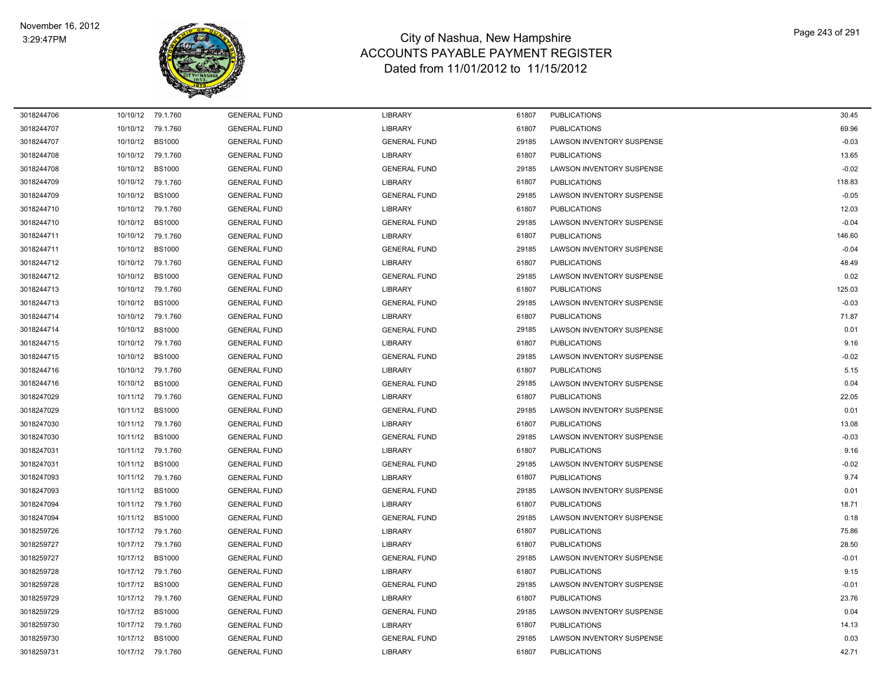

| 3018244706 | 10/10/12 79.1.760 |               | <b>GENERAL FUND</b> | <b>LIBRARY</b>      | 61807 | <b>PUBLICATIONS</b>              | 30.45   |
|------------|-------------------|---------------|---------------------|---------------------|-------|----------------------------------|---------|
| 3018244707 | 10/10/12          | 79.1.760      | <b>GENERAL FUND</b> | LIBRARY             | 61807 | <b>PUBLICATIONS</b>              | 69.96   |
| 3018244707 | 10/10/12          | <b>BS1000</b> | <b>GENERAL FUND</b> | <b>GENERAL FUND</b> | 29185 | <b>LAWSON INVENTORY SUSPENSE</b> | $-0.03$ |
| 3018244708 | 10/10/12 79.1.760 |               | <b>GENERAL FUND</b> | LIBRARY             | 61807 | <b>PUBLICATIONS</b>              | 13.65   |
| 3018244708 | 10/10/12          | <b>BS1000</b> | <b>GENERAL FUND</b> | <b>GENERAL FUND</b> | 29185 | LAWSON INVENTORY SUSPENSE        | $-0.02$ |
| 3018244709 | 10/10/12 79.1.760 |               | <b>GENERAL FUND</b> | LIBRARY             | 61807 | <b>PUBLICATIONS</b>              | 118.83  |
| 3018244709 | 10/10/12          | <b>BS1000</b> | <b>GENERAL FUND</b> | <b>GENERAL FUND</b> | 29185 | <b>LAWSON INVENTORY SUSPENSE</b> | $-0.05$ |
| 3018244710 | 10/10/12          | 79.1.760      | <b>GENERAL FUND</b> | LIBRARY             | 61807 | <b>PUBLICATIONS</b>              | 12.03   |
| 3018244710 | 10/10/12          | <b>BS1000</b> | <b>GENERAL FUND</b> | <b>GENERAL FUND</b> | 29185 | <b>LAWSON INVENTORY SUSPENSE</b> | $-0.04$ |
| 3018244711 | 10/10/12 79.1.760 |               | <b>GENERAL FUND</b> | LIBRARY             | 61807 | <b>PUBLICATIONS</b>              | 146.60  |
| 3018244711 | 10/10/12          | <b>BS1000</b> | <b>GENERAL FUND</b> | <b>GENERAL FUND</b> | 29185 | LAWSON INVENTORY SUSPENSE        | $-0.04$ |
| 3018244712 | 10/10/12 79.1.760 |               | <b>GENERAL FUND</b> | LIBRARY             | 61807 | <b>PUBLICATIONS</b>              | 48.49   |
| 3018244712 | 10/10/12          | <b>BS1000</b> | <b>GENERAL FUND</b> | <b>GENERAL FUND</b> | 29185 | LAWSON INVENTORY SUSPENSE        | 0.02    |
| 3018244713 | 10/10/12          | 79.1.760      | <b>GENERAL FUND</b> | <b>LIBRARY</b>      | 61807 | <b>PUBLICATIONS</b>              | 125.03  |
| 3018244713 | 10/10/12          | <b>BS1000</b> | <b>GENERAL FUND</b> | <b>GENERAL FUND</b> | 29185 | LAWSON INVENTORY SUSPENSE        | $-0.03$ |
| 3018244714 | 10/10/12 79.1.760 |               | <b>GENERAL FUND</b> | LIBRARY             | 61807 | <b>PUBLICATIONS</b>              | 71.87   |
| 3018244714 | 10/10/12          | <b>BS1000</b> | <b>GENERAL FUND</b> | <b>GENERAL FUND</b> | 29185 | <b>LAWSON INVENTORY SUSPENSE</b> | 0.01    |
| 3018244715 | 10/10/12 79.1.760 |               | <b>GENERAL FUND</b> | LIBRARY             | 61807 | <b>PUBLICATIONS</b>              | 9.16    |
| 3018244715 | 10/10/12          | <b>BS1000</b> | <b>GENERAL FUND</b> | <b>GENERAL FUND</b> | 29185 | LAWSON INVENTORY SUSPENSE        | $-0.02$ |
| 3018244716 | 10/10/12 79.1.760 |               | <b>GENERAL FUND</b> | LIBRARY             | 61807 | <b>PUBLICATIONS</b>              | 5.15    |
| 3018244716 | 10/10/12          | <b>BS1000</b> | <b>GENERAL FUND</b> | <b>GENERAL FUND</b> | 29185 | <b>LAWSON INVENTORY SUSPENSE</b> | 0.04    |
| 3018247029 | 10/11/12 79.1.760 |               | <b>GENERAL FUND</b> | LIBRARY             | 61807 | <b>PUBLICATIONS</b>              | 22.05   |
| 3018247029 | 10/11/12          | <b>BS1000</b> | <b>GENERAL FUND</b> | <b>GENERAL FUND</b> | 29185 | LAWSON INVENTORY SUSPENSE        | 0.01    |
| 3018247030 | 10/11/12 79.1.760 |               | <b>GENERAL FUND</b> | <b>LIBRARY</b>      | 61807 | <b>PUBLICATIONS</b>              | 13.08   |
| 3018247030 | 10/11/12          | <b>BS1000</b> | <b>GENERAL FUND</b> | <b>GENERAL FUND</b> | 29185 | <b>LAWSON INVENTORY SUSPENSE</b> | $-0.03$ |
| 3018247031 | 10/11/12          | 79.1.760      | <b>GENERAL FUND</b> | LIBRARY             | 61807 | <b>PUBLICATIONS</b>              | 9.16    |
| 3018247031 | 10/11/12          | <b>BS1000</b> | <b>GENERAL FUND</b> | <b>GENERAL FUND</b> | 29185 | <b>LAWSON INVENTORY SUSPENSE</b> | $-0.02$ |
| 3018247093 | 10/11/12 79.1.760 |               | <b>GENERAL FUND</b> | <b>LIBRARY</b>      | 61807 | <b>PUBLICATIONS</b>              | 9.74    |
| 3018247093 | 10/11/12          | <b>BS1000</b> | <b>GENERAL FUND</b> | <b>GENERAL FUND</b> | 29185 | <b>LAWSON INVENTORY SUSPENSE</b> | 0.01    |
| 3018247094 | 10/11/12          | 79.1.760      | <b>GENERAL FUND</b> | LIBRARY             | 61807 | <b>PUBLICATIONS</b>              | 18.71   |
| 3018247094 | 10/11/12          | <b>BS1000</b> | <b>GENERAL FUND</b> | <b>GENERAL FUND</b> | 29185 | LAWSON INVENTORY SUSPENSE        | 0.18    |
| 3018259726 | 10/17/12          | 79.1.760      | <b>GENERAL FUND</b> | LIBRARY             | 61807 | <b>PUBLICATIONS</b>              | 75.86   |
| 3018259727 | 10/17/12 79.1.760 |               | <b>GENERAL FUND</b> | <b>LIBRARY</b>      | 61807 | <b>PUBLICATIONS</b>              | 28.50   |
| 3018259727 | 10/17/12          | <b>BS1000</b> | <b>GENERAL FUND</b> | <b>GENERAL FUND</b> | 29185 | <b>LAWSON INVENTORY SUSPENSE</b> | $-0.01$ |
| 3018259728 | 10/17/12 79.1.760 |               | <b>GENERAL FUND</b> | LIBRARY             | 61807 | <b>PUBLICATIONS</b>              | 9.15    |
| 3018259728 | 10/17/12          | <b>BS1000</b> | <b>GENERAL FUND</b> | <b>GENERAL FUND</b> | 29185 | LAWSON INVENTORY SUSPENSE        | $-0.01$ |
| 3018259729 | 10/17/12 79.1.760 |               | <b>GENERAL FUND</b> | <b>LIBRARY</b>      | 61807 | <b>PUBLICATIONS</b>              | 23.76   |
| 3018259729 | 10/17/12          | <b>BS1000</b> | <b>GENERAL FUND</b> | <b>GENERAL FUND</b> | 29185 | <b>LAWSON INVENTORY SUSPENSE</b> | 0.04    |
| 3018259730 | 10/17/12 79.1.760 |               | <b>GENERAL FUND</b> | <b>LIBRARY</b>      | 61807 | <b>PUBLICATIONS</b>              | 14.13   |
| 3018259730 | 10/17/12          | <b>BS1000</b> | <b>GENERAL FUND</b> | <b>GENERAL FUND</b> | 29185 | <b>LAWSON INVENTORY SUSPENSE</b> | 0.03    |
| 3018259731 | 10/17/12 79.1.760 |               | <b>GENERAL FUND</b> | <b>LIBRARY</b>      | 61807 | <b>PUBLICATIONS</b>              | 42.71   |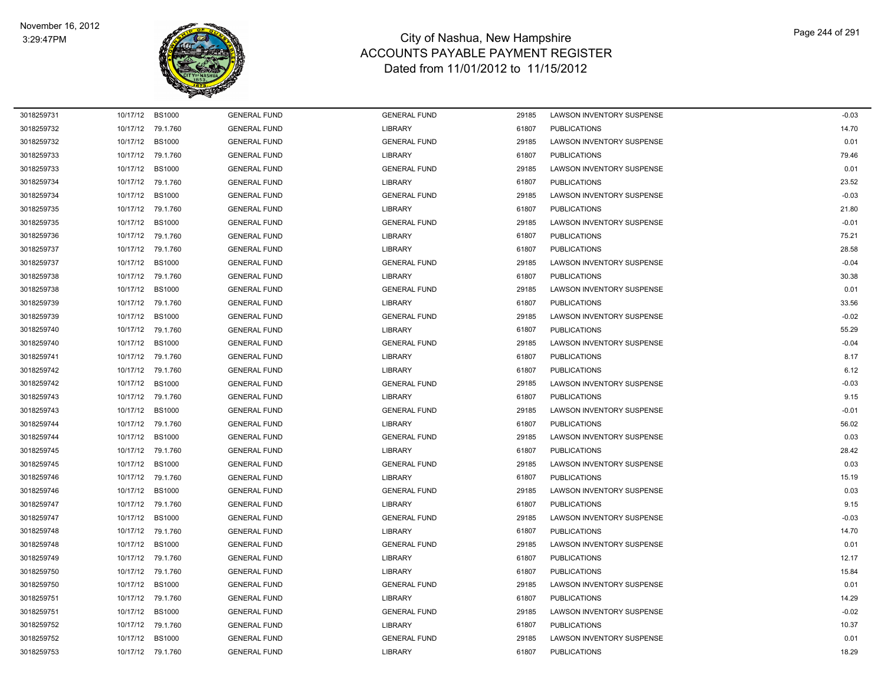$\overline{\phantom{0}}$ 



| 3018259731 | 10/17/12 | <b>BS1000</b>     | <b>GENERAL FUND</b> | <b>GENERAL FUND</b> | 29185 | LAWSON INVENTORY SUSPENSE        | $-0.03$ |
|------------|----------|-------------------|---------------------|---------------------|-------|----------------------------------|---------|
| 3018259732 | 10/17/12 | 79.1.760          | <b>GENERAL FUND</b> | <b>LIBRARY</b>      | 61807 | <b>PUBLICATIONS</b>              | 14.70   |
| 3018259732 | 10/17/12 | <b>BS1000</b>     | <b>GENERAL FUND</b> | <b>GENERAL FUND</b> | 29185 | LAWSON INVENTORY SUSPENSE        | 0.01    |
| 3018259733 | 10/17/12 | 79.1.760          | <b>GENERAL FUND</b> | <b>LIBRARY</b>      | 61807 | <b>PUBLICATIONS</b>              | 79.46   |
| 3018259733 | 10/17/12 | <b>BS1000</b>     | <b>GENERAL FUND</b> | <b>GENERAL FUND</b> | 29185 | <b>LAWSON INVENTORY SUSPENSE</b> | 0.01    |
| 3018259734 | 10/17/12 | 79.1.760          | <b>GENERAL FUND</b> | <b>LIBRARY</b>      | 61807 | <b>PUBLICATIONS</b>              | 23.52   |
| 3018259734 | 10/17/12 | <b>BS1000</b>     | <b>GENERAL FUND</b> | <b>GENERAL FUND</b> | 29185 | <b>LAWSON INVENTORY SUSPENSE</b> | $-0.03$ |
| 3018259735 | 10/17/12 | 79.1.760          | <b>GENERAL FUND</b> | <b>LIBRARY</b>      | 61807 | <b>PUBLICATIONS</b>              | 21.80   |
| 3018259735 | 10/17/12 | <b>BS1000</b>     | <b>GENERAL FUND</b> | <b>GENERAL FUND</b> | 29185 | LAWSON INVENTORY SUSPENSE        | $-0.01$ |
| 3018259736 | 10/17/12 | 79.1.760          | <b>GENERAL FUND</b> | <b>LIBRARY</b>      | 61807 | <b>PUBLICATIONS</b>              | 75.21   |
| 3018259737 | 10/17/12 | 79.1.760          | <b>GENERAL FUND</b> | <b>LIBRARY</b>      | 61807 | <b>PUBLICATIONS</b>              | 28.58   |
| 3018259737 | 10/17/12 | <b>BS1000</b>     | <b>GENERAL FUND</b> | <b>GENERAL FUND</b> | 29185 | LAWSON INVENTORY SUSPENSE        | $-0.04$ |
| 3018259738 | 10/17/12 | 79.1.760          | <b>GENERAL FUND</b> | <b>LIBRARY</b>      | 61807 | <b>PUBLICATIONS</b>              | 30.38   |
| 3018259738 | 10/17/12 | <b>BS1000</b>     | <b>GENERAL FUND</b> | <b>GENERAL FUND</b> | 29185 | LAWSON INVENTORY SUSPENSE        | 0.01    |
| 3018259739 | 10/17/12 | 79.1.760          | <b>GENERAL FUND</b> | <b>LIBRARY</b>      | 61807 | <b>PUBLICATIONS</b>              | 33.56   |
| 3018259739 | 10/17/12 | <b>BS1000</b>     | <b>GENERAL FUND</b> | <b>GENERAL FUND</b> | 29185 | LAWSON INVENTORY SUSPENSE        | $-0.02$ |
| 3018259740 | 10/17/12 | 79.1.760          | <b>GENERAL FUND</b> | <b>LIBRARY</b>      | 61807 | <b>PUBLICATIONS</b>              | 55.29   |
| 3018259740 | 10/17/12 | <b>BS1000</b>     | <b>GENERAL FUND</b> | <b>GENERAL FUND</b> | 29185 | LAWSON INVENTORY SUSPENSE        | $-0.04$ |
| 3018259741 | 10/17/12 | 79.1.760          | <b>GENERAL FUND</b> | <b>LIBRARY</b>      | 61807 | <b>PUBLICATIONS</b>              | 8.17    |
| 3018259742 | 10/17/12 | 79.1.760          | <b>GENERAL FUND</b> | <b>LIBRARY</b>      | 61807 | <b>PUBLICATIONS</b>              | 6.12    |
| 3018259742 | 10/17/12 | <b>BS1000</b>     | <b>GENERAL FUND</b> | <b>GENERAL FUND</b> | 29185 | LAWSON INVENTORY SUSPENSE        | $-0.03$ |
| 3018259743 | 10/17/12 | 79.1.760          | <b>GENERAL FUND</b> | <b>LIBRARY</b>      | 61807 | <b>PUBLICATIONS</b>              | 9.15    |
| 3018259743 | 10/17/12 | <b>BS1000</b>     | <b>GENERAL FUND</b> | <b>GENERAL FUND</b> | 29185 | LAWSON INVENTORY SUSPENSE        | $-0.01$ |
| 3018259744 | 10/17/12 | 79.1.760          | <b>GENERAL FUND</b> | <b>LIBRARY</b>      | 61807 | <b>PUBLICATIONS</b>              | 56.02   |
| 3018259744 | 10/17/12 | <b>BS1000</b>     | <b>GENERAL FUND</b> | <b>GENERAL FUND</b> | 29185 | LAWSON INVENTORY SUSPENSE        | 0.03    |
| 3018259745 | 10/17/12 | 79.1.760          | <b>GENERAL FUND</b> | <b>LIBRARY</b>      | 61807 | <b>PUBLICATIONS</b>              | 28.42   |
| 3018259745 | 10/17/12 | <b>BS1000</b>     | <b>GENERAL FUND</b> | <b>GENERAL FUND</b> | 29185 | LAWSON INVENTORY SUSPENSE        | 0.03    |
| 3018259746 | 10/17/12 | 79.1.760          | <b>GENERAL FUND</b> | <b>LIBRARY</b>      | 61807 | <b>PUBLICATIONS</b>              | 15.19   |
| 3018259746 | 10/17/12 | <b>BS1000</b>     | <b>GENERAL FUND</b> | <b>GENERAL FUND</b> | 29185 | <b>LAWSON INVENTORY SUSPENSE</b> | 0.03    |
| 3018259747 | 10/17/12 | 79.1.760          | <b>GENERAL FUND</b> | <b>LIBRARY</b>      | 61807 | <b>PUBLICATIONS</b>              | 9.15    |
| 3018259747 | 10/17/12 | <b>BS1000</b>     | <b>GENERAL FUND</b> | <b>GENERAL FUND</b> | 29185 | LAWSON INVENTORY SUSPENSE        | $-0.03$ |
| 3018259748 | 10/17/12 | 79.1.760          | <b>GENERAL FUND</b> | <b>LIBRARY</b>      | 61807 | <b>PUBLICATIONS</b>              | 14.70   |
| 3018259748 | 10/17/12 | <b>BS1000</b>     | <b>GENERAL FUND</b> | <b>GENERAL FUND</b> | 29185 | LAWSON INVENTORY SUSPENSE        | 0.01    |
| 3018259749 | 10/17/12 | 79.1.760          | <b>GENERAL FUND</b> | LIBRARY             | 61807 | <b>PUBLICATIONS</b>              | 12.17   |
| 3018259750 | 10/17/12 | 79.1.760          | <b>GENERAL FUND</b> | <b>LIBRARY</b>      | 61807 | <b>PUBLICATIONS</b>              | 15.84   |
| 3018259750 | 10/17/12 | <b>BS1000</b>     | <b>GENERAL FUND</b> | <b>GENERAL FUND</b> | 29185 | LAWSON INVENTORY SUSPENSE        | 0.01    |
| 3018259751 | 10/17/12 | 79.1.760          | <b>GENERAL FUND</b> | <b>LIBRARY</b>      | 61807 | <b>PUBLICATIONS</b>              | 14.29   |
| 3018259751 | 10/17/12 | <b>BS1000</b>     | <b>GENERAL FUND</b> | <b>GENERAL FUND</b> | 29185 | <b>LAWSON INVENTORY SUSPENSE</b> | $-0.02$ |
| 3018259752 | 10/17/12 | 79.1.760          | <b>GENERAL FUND</b> | <b>LIBRARY</b>      | 61807 | <b>PUBLICATIONS</b>              | 10.37   |
| 3018259752 | 10/17/12 | <b>BS1000</b>     | <b>GENERAL FUND</b> | <b>GENERAL FUND</b> | 29185 | <b>LAWSON INVENTORY SUSPENSE</b> | 0.01    |
| 3018259753 |          | 10/17/12 79.1.760 | <b>GENERAL FUND</b> | <b>LIBRARY</b>      | 61807 | <b>PUBLICATIONS</b>              | 18.29   |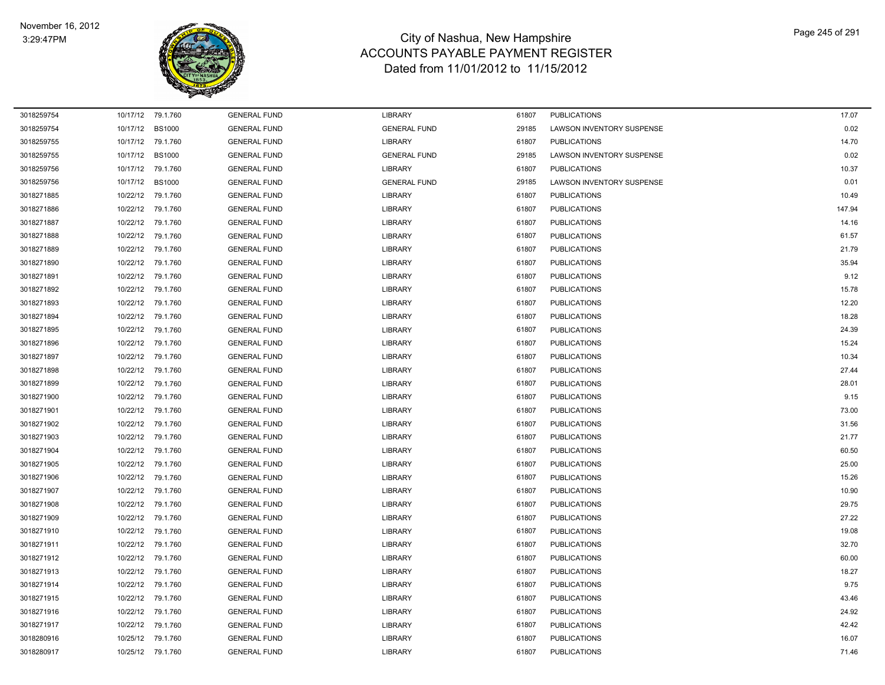

| 3018259754 | 10/17/12 | 79.1.760          | <b>GENERAL FUND</b> | <b>LIBRARY</b>      | 61807 | <b>PUBLICATIONS</b>       | 17.07  |
|------------|----------|-------------------|---------------------|---------------------|-------|---------------------------|--------|
| 3018259754 | 10/17/12 | <b>BS1000</b>     | <b>GENERAL FUND</b> | <b>GENERAL FUND</b> | 29185 | LAWSON INVENTORY SUSPENSE | 0.02   |
| 3018259755 | 10/17/12 | 79.1.760          | <b>GENERAL FUND</b> | <b>LIBRARY</b>      | 61807 | <b>PUBLICATIONS</b>       | 14.70  |
| 3018259755 | 10/17/12 | <b>BS1000</b>     | <b>GENERAL FUND</b> | <b>GENERAL FUND</b> | 29185 | LAWSON INVENTORY SUSPENSE | 0.02   |
| 3018259756 | 10/17/12 | 79.1.760          | <b>GENERAL FUND</b> | <b>LIBRARY</b>      | 61807 | <b>PUBLICATIONS</b>       | 10.37  |
| 3018259756 | 10/17/12 | <b>BS1000</b>     | <b>GENERAL FUND</b> | <b>GENERAL FUND</b> | 29185 | LAWSON INVENTORY SUSPENSE | 0.01   |
| 3018271885 | 10/22/12 | 79.1.760          | <b>GENERAL FUND</b> | <b>LIBRARY</b>      | 61807 | <b>PUBLICATIONS</b>       | 10.49  |
| 3018271886 | 10/22/12 | 79.1.760          | <b>GENERAL FUND</b> | <b>LIBRARY</b>      | 61807 | <b>PUBLICATIONS</b>       | 147.94 |
| 3018271887 | 10/22/12 | 79.1.760          | <b>GENERAL FUND</b> | <b>LIBRARY</b>      | 61807 | <b>PUBLICATIONS</b>       | 14.16  |
| 3018271888 | 10/22/12 | 79.1.760          | <b>GENERAL FUND</b> | <b>LIBRARY</b>      | 61807 | <b>PUBLICATIONS</b>       | 61.57  |
| 3018271889 | 10/22/12 | 79.1.760          | <b>GENERAL FUND</b> | <b>LIBRARY</b>      | 61807 | <b>PUBLICATIONS</b>       | 21.79  |
| 3018271890 |          | 10/22/12 79.1.760 | <b>GENERAL FUND</b> | <b>LIBRARY</b>      | 61807 | <b>PUBLICATIONS</b>       | 35.94  |
| 3018271891 |          | 10/22/12 79.1.760 | <b>GENERAL FUND</b> | <b>LIBRARY</b>      | 61807 | <b>PUBLICATIONS</b>       | 9.12   |
| 3018271892 | 10/22/12 | 79.1.760          | <b>GENERAL FUND</b> | <b>LIBRARY</b>      | 61807 | <b>PUBLICATIONS</b>       | 15.78  |
| 3018271893 | 10/22/12 | 79.1.760          | <b>GENERAL FUND</b> | <b>LIBRARY</b>      | 61807 | <b>PUBLICATIONS</b>       | 12.20  |
| 3018271894 |          | 10/22/12 79.1.760 | <b>GENERAL FUND</b> | <b>LIBRARY</b>      | 61807 | <b>PUBLICATIONS</b>       | 18.28  |
| 3018271895 |          | 10/22/12 79.1.760 | <b>GENERAL FUND</b> | <b>LIBRARY</b>      | 61807 | <b>PUBLICATIONS</b>       | 24.39  |
| 3018271896 | 10/22/12 | 79.1.760          | <b>GENERAL FUND</b> | LIBRARY             | 61807 | <b>PUBLICATIONS</b>       | 15.24  |
| 3018271897 | 10/22/12 | 79.1.760          | <b>GENERAL FUND</b> | <b>LIBRARY</b>      | 61807 | <b>PUBLICATIONS</b>       | 10.34  |
| 3018271898 | 10/22/12 | 79.1.760          | <b>GENERAL FUND</b> | <b>LIBRARY</b>      | 61807 | <b>PUBLICATIONS</b>       | 27.44  |
| 3018271899 | 10/22/12 | 79.1.760          | <b>GENERAL FUND</b> | <b>LIBRARY</b>      | 61807 | <b>PUBLICATIONS</b>       | 28.01  |
| 3018271900 |          | 10/22/12 79.1.760 | <b>GENERAL FUND</b> | <b>LIBRARY</b>      | 61807 | <b>PUBLICATIONS</b>       | 9.15   |
| 3018271901 |          | 10/22/12 79.1.760 | <b>GENERAL FUND</b> | <b>LIBRARY</b>      | 61807 | <b>PUBLICATIONS</b>       | 73.00  |
| 3018271902 | 10/22/12 | 79.1.760          | <b>GENERAL FUND</b> | <b>LIBRARY</b>      | 61807 | <b>PUBLICATIONS</b>       | 31.56  |
| 3018271903 | 10/22/12 | 79.1.760          | <b>GENERAL FUND</b> | <b>LIBRARY</b>      | 61807 | <b>PUBLICATIONS</b>       | 21.77  |
| 3018271904 | 10/22/12 | 79.1.760          | <b>GENERAL FUND</b> | <b>LIBRARY</b>      | 61807 | <b>PUBLICATIONS</b>       | 60.50  |
| 3018271905 | 10/22/12 | 79.1.760          | <b>GENERAL FUND</b> | <b>LIBRARY</b>      | 61807 | <b>PUBLICATIONS</b>       | 25.00  |
| 3018271906 | 10/22/12 | 79.1.760          | <b>GENERAL FUND</b> | <b>LIBRARY</b>      | 61807 | <b>PUBLICATIONS</b>       | 15.26  |
| 3018271907 | 10/22/12 | 79.1.760          | <b>GENERAL FUND</b> | <b>LIBRARY</b>      | 61807 | <b>PUBLICATIONS</b>       | 10.90  |
| 3018271908 | 10/22/12 | 79.1.760          | <b>GENERAL FUND</b> | <b>LIBRARY</b>      | 61807 | <b>PUBLICATIONS</b>       | 29.75  |
| 3018271909 | 10/22/12 | 79.1.760          | <b>GENERAL FUND</b> | <b>LIBRARY</b>      | 61807 | <b>PUBLICATIONS</b>       | 27.22  |
| 3018271910 | 10/22/12 | 79.1.760          | <b>GENERAL FUND</b> | <b>LIBRARY</b>      | 61807 | <b>PUBLICATIONS</b>       | 19.08  |
| 3018271911 | 10/22/12 | 79.1.760          | <b>GENERAL FUND</b> | <b>LIBRARY</b>      | 61807 | <b>PUBLICATIONS</b>       | 32.70  |
| 3018271912 |          | 10/22/12 79.1.760 | <b>GENERAL FUND</b> | <b>LIBRARY</b>      | 61807 | <b>PUBLICATIONS</b>       | 60.00  |
| 3018271913 | 10/22/12 | 79.1.760          | <b>GENERAL FUND</b> | <b>LIBRARY</b>      | 61807 | <b>PUBLICATIONS</b>       | 18.27  |
| 3018271914 | 10/22/12 | 79.1.760          | <b>GENERAL FUND</b> | <b>LIBRARY</b>      | 61807 | <b>PUBLICATIONS</b>       | 9.75   |
| 3018271915 | 10/22/12 | 79.1.760          | <b>GENERAL FUND</b> | <b>LIBRARY</b>      | 61807 | <b>PUBLICATIONS</b>       | 43.46  |
| 3018271916 | 10/22/12 | 79.1.760          | <b>GENERAL FUND</b> | <b>LIBRARY</b>      | 61807 | <b>PUBLICATIONS</b>       | 24.92  |
| 3018271917 | 10/22/12 | 79.1.760          | <b>GENERAL FUND</b> | <b>LIBRARY</b>      | 61807 | <b>PUBLICATIONS</b>       | 42.42  |
| 3018280916 | 10/25/12 | 79.1.760          | <b>GENERAL FUND</b> | <b>LIBRARY</b>      | 61807 | <b>PUBLICATIONS</b>       | 16.07  |
| 3018280917 |          | 10/25/12 79.1.760 | <b>GENERAL FUND</b> | <b>LIBRARY</b>      | 61807 | <b>PUBLICATIONS</b>       | 71.46  |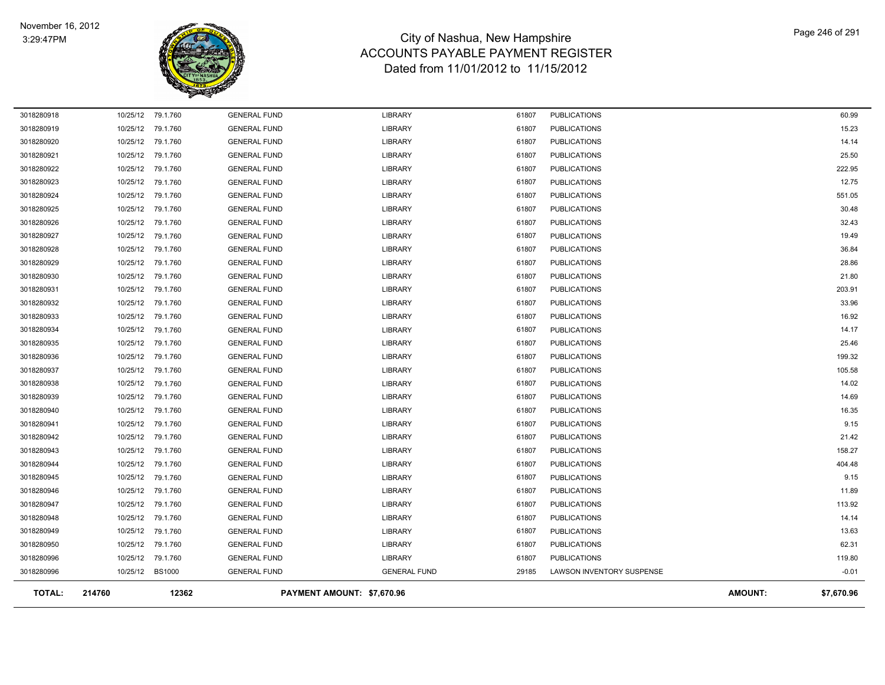

| <b>TOTAL:</b> | 214760   | 12362             |                     | PAYMENT AMOUNT: \$7,670.96 |       |                           | <b>AMOUNT:</b> | \$7,670.96 |
|---------------|----------|-------------------|---------------------|----------------------------|-------|---------------------------|----------------|------------|
| 3018280996    |          | 10/25/12 BS1000   | <b>GENERAL FUND</b> | <b>GENERAL FUND</b>        | 29185 | LAWSON INVENTORY SUSPENSE |                | $-0.01$    |
| 3018280996    | 10/25/12 | 79.1.760          | <b>GENERAL FUND</b> | <b>LIBRARY</b>             | 61807 | <b>PUBLICATIONS</b>       |                | 119.80     |
| 3018280950    | 10/25/12 | 79.1.760          | <b>GENERAL FUND</b> | LIBRARY                    | 61807 | <b>PUBLICATIONS</b>       |                | 62.31      |
| 3018280949    | 10/25/12 | 79.1.760          | <b>GENERAL FUND</b> | <b>LIBRARY</b>             | 61807 | <b>PUBLICATIONS</b>       |                | 13.63      |
| 3018280948    |          | 10/25/12 79.1.760 | <b>GENERAL FUND</b> | <b>LIBRARY</b>             | 61807 | <b>PUBLICATIONS</b>       |                | 14.14      |
| 3018280947    |          | 10/25/12 79.1.760 | <b>GENERAL FUND</b> | <b>LIBRARY</b>             | 61807 | <b>PUBLICATIONS</b>       |                | 113.92     |
| 3018280946    |          | 10/25/12 79.1.760 | <b>GENERAL FUND</b> | <b>LIBRARY</b>             | 61807 | <b>PUBLICATIONS</b>       |                | 11.89      |
| 3018280945    |          | 10/25/12 79.1.760 | <b>GENERAL FUND</b> | LIBRARY                    | 61807 | <b>PUBLICATIONS</b>       |                | 9.15       |
| 3018280944    |          | 10/25/12 79.1.760 | <b>GENERAL FUND</b> | <b>LIBRARY</b>             | 61807 | <b>PUBLICATIONS</b>       |                | 404.48     |
| 3018280943    |          | 10/25/12 79.1.760 | <b>GENERAL FUND</b> | <b>LIBRARY</b>             | 61807 | <b>PUBLICATIONS</b>       |                | 158.27     |
| 3018280942    |          | 10/25/12 79.1.760 | <b>GENERAL FUND</b> | <b>LIBRARY</b>             | 61807 | <b>PUBLICATIONS</b>       |                | 21.42      |
| 3018280941    |          | 10/25/12 79.1.760 | <b>GENERAL FUND</b> | <b>LIBRARY</b>             | 61807 | <b>PUBLICATIONS</b>       |                | 9.15       |
| 3018280940    | 10/25/12 | 79.1.760          | <b>GENERAL FUND</b> | <b>LIBRARY</b>             | 61807 | <b>PUBLICATIONS</b>       |                | 16.35      |
| 3018280939    | 10/25/12 | 79.1.760          | <b>GENERAL FUND</b> | LIBRARY                    | 61807 | <b>PUBLICATIONS</b>       |                | 14.69      |
| 3018280938    | 10/25/12 | 79.1.760          | <b>GENERAL FUND</b> | <b>LIBRARY</b>             | 61807 | <b>PUBLICATIONS</b>       |                | 14.02      |
| 3018280937    | 10/25/12 | 79.1.760          | <b>GENERAL FUND</b> | LIBRARY                    | 61807 | <b>PUBLICATIONS</b>       |                | 105.58     |
| 3018280936    | 10/25/12 | 79.1.760          | <b>GENERAL FUND</b> | LIBRARY                    | 61807 | <b>PUBLICATIONS</b>       |                | 199.32     |
| 3018280935    | 10/25/12 | 79.1.760          | <b>GENERAL FUND</b> | <b>LIBRARY</b>             | 61807 | <b>PUBLICATIONS</b>       |                | 25.46      |
| 3018280934    | 10/25/12 | 79.1.760          | <b>GENERAL FUND</b> | LIBRARY                    | 61807 | <b>PUBLICATIONS</b>       |                | 14.17      |
| 3018280933    | 10/25/12 | 79.1.760          | <b>GENERAL FUND</b> | <b>LIBRARY</b>             | 61807 | <b>PUBLICATIONS</b>       |                | 16.92      |
| 3018280932    | 10/25/12 | 79.1.760          | <b>GENERAL FUND</b> | LIBRARY                    | 61807 | <b>PUBLICATIONS</b>       |                | 33.96      |
| 3018280931    | 10/25/12 | 79.1.760          | <b>GENERAL FUND</b> | <b>LIBRARY</b>             | 61807 | <b>PUBLICATIONS</b>       |                | 203.91     |
| 3018280930    | 10/25/12 | 79.1.760          | <b>GENERAL FUND</b> | LIBRARY                    | 61807 | <b>PUBLICATIONS</b>       |                | 21.80      |
| 3018280929    | 10/25/12 | 79.1.760          | <b>GENERAL FUND</b> | <b>LIBRARY</b>             | 61807 | <b>PUBLICATIONS</b>       |                | 28.86      |
| 3018280928    | 10/25/12 | 79.1.760          | <b>GENERAL FUND</b> | <b>LIBRARY</b>             | 61807 | <b>PUBLICATIONS</b>       |                | 36.84      |
| 3018280927    | 10/25/12 | 79.1.760          | <b>GENERAL FUND</b> | <b>LIBRARY</b>             | 61807 | <b>PUBLICATIONS</b>       |                | 19.49      |
| 3018280926    |          | 10/25/12 79.1.760 | <b>GENERAL FUND</b> | <b>LIBRARY</b>             | 61807 | <b>PUBLICATIONS</b>       |                | 32.43      |
| 3018280925    | 10/25/12 | 79.1.760          | <b>GENERAL FUND</b> | <b>LIBRARY</b>             | 61807 | <b>PUBLICATIONS</b>       |                | 30.48      |
| 3018280924    | 10/25/12 | 79.1.760          | <b>GENERAL FUND</b> | <b>LIBRARY</b>             | 61807 | <b>PUBLICATIONS</b>       |                | 551.05     |
| 3018280923    |          | 10/25/12 79.1.760 | <b>GENERAL FUND</b> | <b>LIBRARY</b>             | 61807 | <b>PUBLICATIONS</b>       |                | 12.75      |
| 3018280922    |          | 10/25/12 79.1.760 | <b>GENERAL FUND</b> | LIBRARY                    | 61807 | <b>PUBLICATIONS</b>       |                | 222.95     |
| 3018280921    | 10/25/12 | 79.1.760          | <b>GENERAL FUND</b> | <b>LIBRARY</b>             | 61807 | <b>PUBLICATIONS</b>       |                | 25.50      |
| 3018280920    | 10/25/12 | 79.1.760          | <b>GENERAL FUND</b> | <b>LIBRARY</b>             | 61807 | <b>PUBLICATIONS</b>       |                | 14.14      |
| 3018280919    | 10/25/12 | 79.1.760          | <b>GENERAL FUND</b> | LIBRARY                    | 61807 | <b>PUBLICATIONS</b>       |                | 15.23      |
| 3018280918    |          | 10/25/12 79.1.760 | <b>GENERAL FUND</b> | <b>LIBRARY</b>             | 61807 | <b>PUBLICATIONS</b>       |                | 60.99      |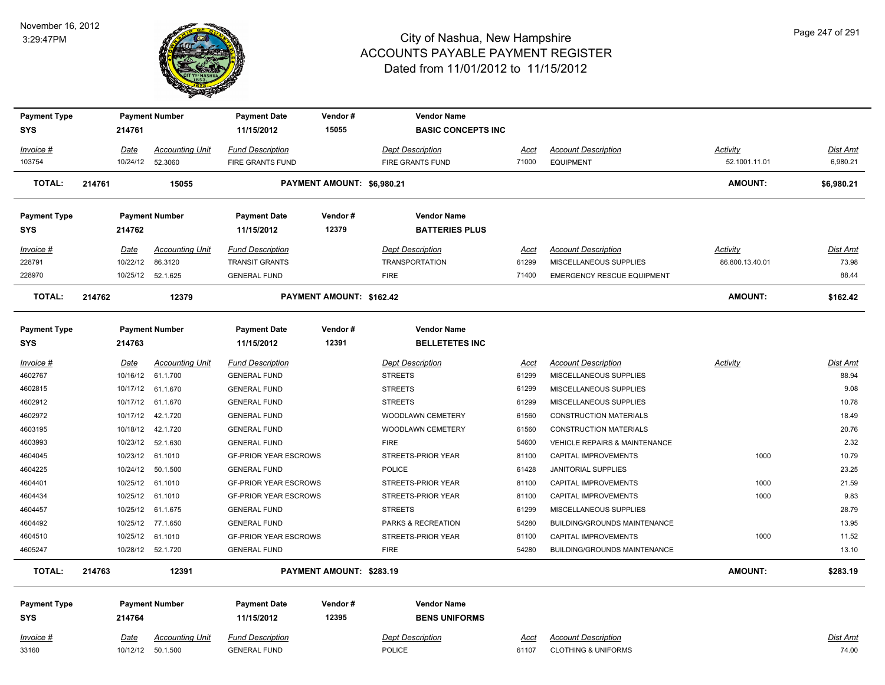

| <b>Payment Type</b><br><b>SYS</b> |        | 214761      | <b>Payment Number</b>  | <b>Payment Date</b><br>11/15/2012 | Vendor#<br>15055           | <b>Vendor Name</b><br><b>BASIC CONCEPTS INC</b> |             |                                          |                 |                 |
|-----------------------------------|--------|-------------|------------------------|-----------------------------------|----------------------------|-------------------------------------------------|-------------|------------------------------------------|-----------------|-----------------|
| Invoice #                         |        | Date        | <b>Accounting Unit</b> | <b>Fund Description</b>           |                            | <b>Dept Description</b>                         | Acct        | <b>Account Description</b>               | Activity        | Dist Amt        |
| 103754                            |        | 10/24/12    | 52.3060                | <b>FIRE GRANTS FUND</b>           |                            | <b>FIRE GRANTS FUND</b>                         | 71000       | <b>EQUIPMENT</b>                         | 52.1001.11.01   | 6,980.21        |
| <b>TOTAL:</b>                     | 214761 |             | 15055                  |                                   | PAYMENT AMOUNT: \$6,980.21 |                                                 |             |                                          | <b>AMOUNT:</b>  | \$6,980.21      |
| <b>Payment Type</b>               |        |             | <b>Payment Number</b>  | <b>Payment Date</b>               | Vendor#                    | <b>Vendor Name</b>                              |             |                                          |                 |                 |
| SYS                               |        | 214762      |                        | 11/15/2012                        | 12379                      | <b>BATTERIES PLUS</b>                           |             |                                          |                 |                 |
| <u> Invoice #</u>                 |        | Date        | <b>Accounting Unit</b> | <b>Fund Description</b>           |                            | <b>Dept Description</b>                         | <u>Acct</u> | <b>Account Description</b>               | <b>Activity</b> | Dist Amt        |
| 228791                            |        | 10/22/12    | 86.3120                | <b>TRANSIT GRANTS</b>             |                            | <b>TRANSPORTATION</b>                           | 61299       | MISCELLANEOUS SUPPLIES                   | 86.800.13.40.01 | 73.98           |
| 228970                            |        |             | 10/25/12 52.1.625      | <b>GENERAL FUND</b>               |                            | <b>FIRE</b>                                     | 71400       | <b>EMERGENCY RESCUE EQUIPMENT</b>        |                 | 88.44           |
| <b>TOTAL:</b>                     | 214762 |             | 12379                  |                                   | PAYMENT AMOUNT: \$162.42   |                                                 |             |                                          | <b>AMOUNT:</b>  | \$162.42        |
|                                   |        |             |                        |                                   |                            |                                                 |             |                                          |                 |                 |
| <b>Payment Type</b>               |        |             | <b>Payment Number</b>  | <b>Payment Date</b>               | Vendor#                    | <b>Vendor Name</b>                              |             |                                          |                 |                 |
| SYS                               |        | 214763      |                        | 11/15/2012                        | 12391                      | <b>BELLETETES INC</b>                           |             |                                          |                 |                 |
| <u> Invoice #</u>                 |        | Date        | <b>Accounting Unit</b> | <b>Fund Description</b>           |                            | <b>Dept Description</b>                         | <u>Acct</u> | <b>Account Description</b>               | <b>Activity</b> | Dist Amt        |
| 4602767                           |        | 10/16/12    | 61.1.700               | <b>GENERAL FUND</b>               |                            | <b>STREETS</b>                                  | 61299       | MISCELLANEOUS SUPPLIES                   |                 | 88.94           |
| 4602815                           |        | 10/17/12    | 61.1.670               | <b>GENERAL FUND</b>               |                            | <b>STREETS</b>                                  | 61299       | MISCELLANEOUS SUPPLIES                   |                 | 9.08            |
| 4602912                           |        | 10/17/12    | 61.1.670               | <b>GENERAL FUND</b>               |                            | <b>STREETS</b>                                  | 61299       | MISCELLANEOUS SUPPLIES                   |                 | 10.78           |
| 4602972                           |        | 10/17/12    | 42.1.720               | <b>GENERAL FUND</b>               |                            | WOODLAWN CEMETERY                               | 61560       | <b>CONSTRUCTION MATERIALS</b>            |                 | 18.49           |
| 4603195                           |        | 10/18/12    | 42.1.720               | <b>GENERAL FUND</b>               |                            | WOODLAWN CEMETERY                               | 61560       | <b>CONSTRUCTION MATERIALS</b>            |                 | 20.76           |
| 4603993                           |        | 10/23/12    | 52.1.630               | <b>GENERAL FUND</b>               |                            | <b>FIRE</b>                                     | 54600       | <b>VEHICLE REPAIRS &amp; MAINTENANCE</b> |                 | 2.32            |
| 4604045                           |        | 10/23/12    | 61.1010                | <b>GF-PRIOR YEAR ESCROWS</b>      |                            | STREETS-PRIOR YEAR                              | 81100       | CAPITAL IMPROVEMENTS                     | 1000            | 10.79           |
| 4604225                           |        | 10/24/12    | 50.1.500               | <b>GENERAL FUND</b>               |                            | <b>POLICE</b>                                   | 61428       | <b>JANITORIAL SUPPLIES</b>               |                 | 23.25           |
| 4604401                           |        | 10/25/12    | 61.1010                | <b>GF-PRIOR YEAR ESCROWS</b>      |                            | STREETS-PRIOR YEAR                              | 81100       | <b>CAPITAL IMPROVEMENTS</b>              | 1000            | 21.59           |
| 4604434                           |        | 10/25/12    | 61.1010                | <b>GF-PRIOR YEAR ESCROWS</b>      |                            | STREETS-PRIOR YEAR                              | 81100       | <b>CAPITAL IMPROVEMENTS</b>              | 1000            | 9.83            |
| 4604457                           |        | 10/25/12    | 61.1.675               | <b>GENERAL FUND</b>               |                            | <b>STREETS</b>                                  | 61299       | MISCELLANEOUS SUPPLIES                   |                 | 28.79           |
| 4604492                           |        |             | 10/25/12 77.1.650      | <b>GENERAL FUND</b>               |                            | PARKS & RECREATION                              | 54280       | BUILDING/GROUNDS MAINTENANCE             |                 | 13.95           |
| 4604510                           |        | 10/25/12    | 61.1010                | <b>GF-PRIOR YEAR ESCROWS</b>      |                            | STREETS-PRIOR YEAR                              | 81100       | CAPITAL IMPROVEMENTS                     | 1000            | 11.52           |
| 4605247                           |        |             | 10/28/12  52.1.720     | <b>GENERAL FUND</b>               |                            | <b>FIRE</b>                                     | 54280       | <b>BUILDING/GROUNDS MAINTENANCE</b>      |                 | 13.10           |
| <b>TOTAL:</b>                     | 214763 |             | 12391                  |                                   | PAYMENT AMOUNT: \$283.19   |                                                 |             |                                          | <b>AMOUNT:</b>  | \$283.19        |
| <b>Payment Type</b>               |        |             | <b>Payment Number</b>  | <b>Payment Date</b>               | Vendor#                    | <b>Vendor Name</b>                              |             |                                          |                 |                 |
| <b>SYS</b>                        |        | 214764      |                        | 11/15/2012                        | 12395                      | <b>BENS UNIFORMS</b>                            |             |                                          |                 |                 |
| <u>Invoice #</u>                  |        | <u>Date</u> | <b>Accounting Unit</b> | <b>Fund Description</b>           |                            | <b>Dept Description</b>                         | <u>Acct</u> | <b>Account Description</b>               |                 | <u>Dist Amt</u> |
| 33160                             |        |             | 10/12/12  50.1.500     | <b>GENERAL FUND</b>               |                            | <b>POLICE</b>                                   | 61107       | <b>CLOTHING &amp; UNIFORMS</b>           |                 | 74.00           |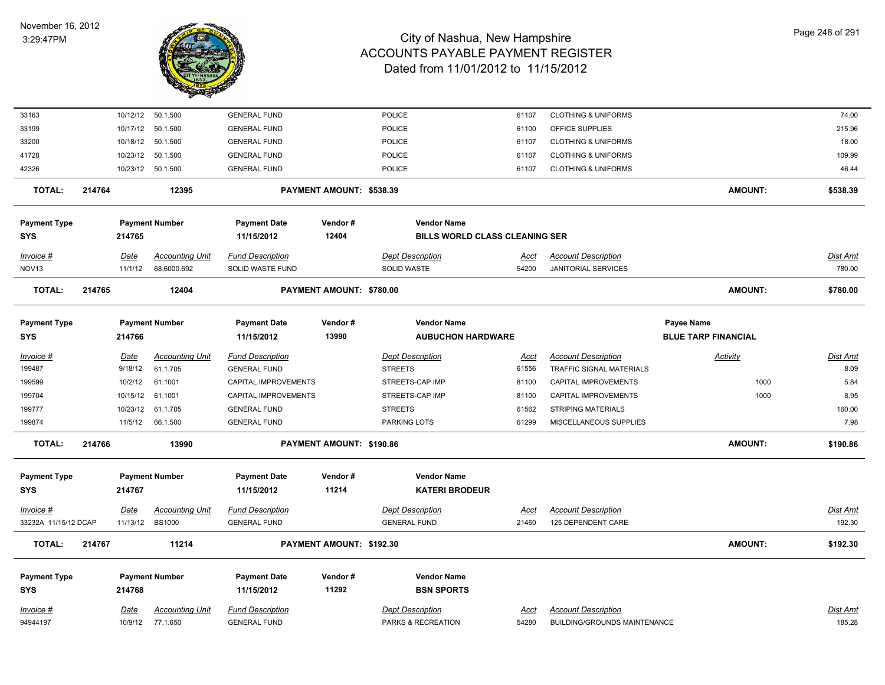

| 33163                |        |             | 10/12/12  50.1.500     | <b>GENERAL FUND</b>     |                          | POLICE                                | 61107       | <b>CLOTHING &amp; UNIFORMS</b> |                            | 74.00           |
|----------------------|--------|-------------|------------------------|-------------------------|--------------------------|---------------------------------------|-------------|--------------------------------|----------------------------|-----------------|
| 33199                |        | 10/17/12    | 50.1.500               | <b>GENERAL FUND</b>     |                          | POLICE                                | 61100       | OFFICE SUPPLIES                |                            | 215.96          |
| 33200                |        |             | 10/18/12  50.1.500     | <b>GENERAL FUND</b>     |                          | <b>POLICE</b>                         | 61107       | <b>CLOTHING &amp; UNIFORMS</b> |                            | 18.00           |
| 41728                |        | 10/23/12    | 50.1.500               | <b>GENERAL FUND</b>     |                          | <b>POLICE</b>                         | 61107       | <b>CLOTHING &amp; UNIFORMS</b> |                            | 109.99          |
| 42326                |        |             | 10/23/12  50.1.500     | <b>GENERAL FUND</b>     |                          | POLICE                                | 61107       | <b>CLOTHING &amp; UNIFORMS</b> |                            | 46.44           |
| <b>TOTAL:</b>        | 214764 |             | 12395                  |                         | PAYMENT AMOUNT: \$538.39 |                                       |             |                                | <b>AMOUNT:</b>             | \$538.39        |
| <b>Payment Type</b>  |        |             | <b>Payment Number</b>  | <b>Payment Date</b>     | Vendor#                  | <b>Vendor Name</b>                    |             |                                |                            |                 |
| <b>SYS</b>           |        | 214765      |                        | 11/15/2012              | 12404                    | <b>BILLS WORLD CLASS CLEANING SER</b> |             |                                |                            |                 |
| Invoice #            |        | <u>Date</u> | <b>Accounting Unit</b> | <b>Fund Description</b> |                          | <b>Dept Description</b>               | <u>Acct</u> | <b>Account Description</b>     |                            | <b>Dist Amt</b> |
| NOV <sub>13</sub>    |        | 11/1/12     | 68.6000.692            | SOLID WASTE FUND        |                          | SOLID WASTE                           | 54200       | <b>JANITORIAL SERVICES</b>     |                            | 780.00          |
| <b>TOTAL:</b>        | 214765 |             | 12404                  |                         | PAYMENT AMOUNT: \$780.00 |                                       |             |                                | <b>AMOUNT:</b>             | \$780.00        |
| <b>Payment Type</b>  |        |             | <b>Payment Number</b>  | <b>Payment Date</b>     | Vendor#                  | <b>Vendor Name</b>                    |             |                                | Payee Name                 |                 |
| <b>SYS</b>           |        | 214766      |                        | 11/15/2012              | 13990                    | <b>AUBUCHON HARDWARE</b>              |             |                                | <b>BLUE TARP FINANCIAL</b> |                 |
| Invoice #            |        | <b>Date</b> | <b>Accounting Unit</b> | <b>Fund Description</b> |                          | <b>Dept Description</b>               | <u>Acct</u> | <b>Account Description</b>     | <b>Activity</b>            | Dist Amt        |
| 199487               |        | 9/18/12     | 61.1.705               | <b>GENERAL FUND</b>     |                          | <b>STREETS</b>                        | 61556       | TRAFFIC SIGNAL MATERIALS       |                            | 8.09            |
| 199599               |        | 10/2/12     | 61.1001                | CAPITAL IMPROVEMENTS    |                          | STREETS-CAP IMP                       | 81100       | CAPITAL IMPROVEMENTS           | 1000                       | 5.84            |
| 199704               |        | 10/15/12    | 61.1001                | CAPITAL IMPROVEMENTS    |                          | STREETS-CAP IMP                       | 81100       | CAPITAL IMPROVEMENTS           | 1000                       | 8.95            |
| 199777               |        | 10/23/12    | 61.1.705               | <b>GENERAL FUND</b>     |                          | <b>STREETS</b>                        | 61562       | <b>STRIPING MATERIALS</b>      |                            | 160.00          |
| 199874               |        | 11/5/12     | 66.1.500               | <b>GENERAL FUND</b>     |                          | PARKING LOTS                          | 61299       | MISCELLANEOUS SUPPLIES         |                            | 7.98            |
| <b>TOTAL:</b>        | 214766 |             | 13990                  |                         | PAYMENT AMOUNT: \$190.86 |                                       |             |                                | <b>AMOUNT:</b>             | \$190.86        |
| <b>Payment Type</b>  |        |             | <b>Payment Number</b>  | <b>Payment Date</b>     | Vendor#                  | <b>Vendor Name</b>                    |             |                                |                            |                 |
| <b>SYS</b>           |        | 214767      |                        | 11/15/2012              | 11214                    | <b>KATERI BRODEUR</b>                 |             |                                |                            |                 |
| $Invoice$ #          |        | <b>Date</b> | <u>Accounting Unit</u> | <b>Fund Description</b> |                          | <b>Dept Description</b>               | <u>Acct</u> | <b>Account Description</b>     |                            | Dist Amt        |
| 33232A 11/15/12 DCAP |        |             | 11/13/12 BS1000        | <b>GENERAL FUND</b>     |                          | <b>GENERAL FUND</b>                   | 21460       | 125 DEPENDENT CARE             |                            | 192.30          |
| <b>TOTAL:</b>        | 214767 |             | 11214                  |                         | PAYMENT AMOUNT: \$192.30 |                                       |             |                                | <b>AMOUNT:</b>             | \$192.30        |
| <b>Payment Type</b>  |        |             | <b>Payment Number</b>  | <b>Payment Date</b>     | Vendor#                  | <b>Vendor Name</b>                    |             |                                |                            |                 |
| <b>SYS</b>           |        | 214768      |                        | 11/15/2012              | 11292                    | <b>BSN SPORTS</b>                     |             |                                |                            |                 |
| Invoice #            |        | Date        | <b>Accounting Unit</b> | <b>Fund Description</b> |                          | <b>Dept Description</b>               | Acct        | <b>Account Description</b>     |                            | Dist Amt        |
| 94944197             |        |             | 10/9/12 77.1.650       | <b>GENERAL FUND</b>     |                          | PARKS & RECREATION                    | 54280       | BUILDING/GROUNDS MAINTENANCE   |                            | 185.28          |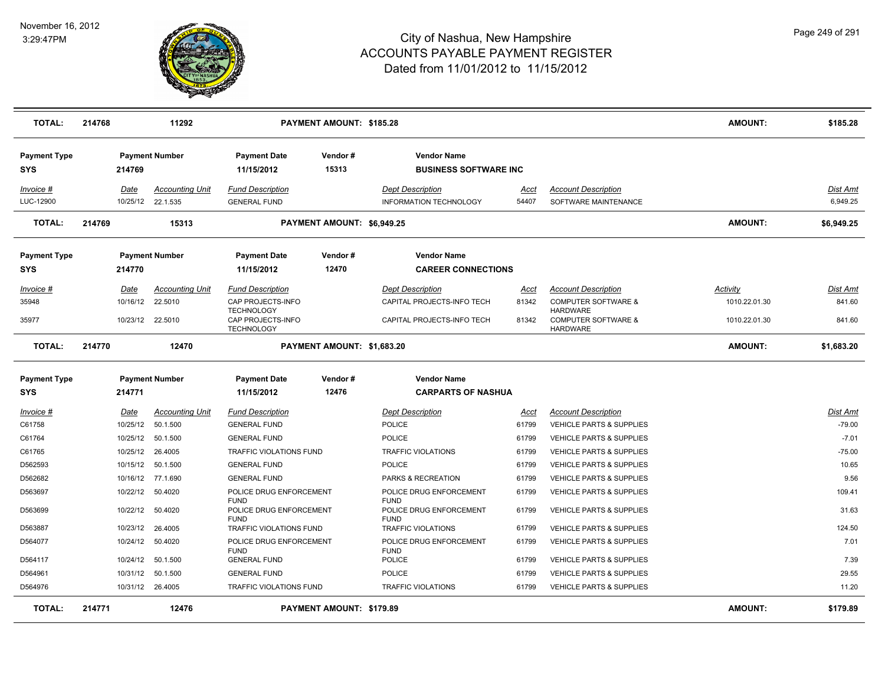

| <b>TOTAL:</b>                     | 214768 |                         | 11292                              |                                                             | PAYMENT AMOUNT: \$185.28        |                                                       |                      |                                                                      | <b>AMOUNT:</b> | \$185.28                    |
|-----------------------------------|--------|-------------------------|------------------------------------|-------------------------------------------------------------|---------------------------------|-------------------------------------------------------|----------------------|----------------------------------------------------------------------|----------------|-----------------------------|
| <b>Payment Type</b><br><b>SYS</b> |        | 214769                  | <b>Payment Number</b>              | <b>Payment Date</b><br>11/15/2012                           | Vendor#<br>15313                | <b>Vendor Name</b><br><b>BUSINESS SOFTWARE INC.</b>   |                      |                                                                      |                |                             |
| Invoice #                         |        | Date                    | <b>Accounting Unit</b>             | <b>Fund Description</b>                                     |                                 | <b>Dept Description</b>                               | Acct                 | <b>Account Description</b>                                           |                | Dist Amt                    |
| LUC-12900                         |        |                         | 10/25/12 22.1.535                  | <b>GENERAL FUND</b>                                         |                                 | <b>INFORMATION TECHNOLOGY</b>                         | 54407                | SOFTWARE MAINTENANCE                                                 |                | 6,949.25                    |
| <b>TOTAL:</b>                     | 214769 |                         | 15313                              |                                                             | PAYMENT AMOUNT: \$6,949.25      |                                                       |                      |                                                                      | <b>AMOUNT:</b> | \$6,949.25                  |
| <b>Payment Type</b>               |        |                         | <b>Payment Number</b>              | <b>Payment Date</b>                                         | Vendor#                         | <b>Vendor Name</b>                                    |                      |                                                                      |                |                             |
| <b>SYS</b>                        |        | 214770                  |                                    | 11/15/2012                                                  | 12470                           | <b>CAREER CONNECTIONS</b>                             |                      |                                                                      |                |                             |
| Invoice #                         |        | Date                    | <b>Accounting Unit</b>             | <b>Fund Description</b>                                     |                                 | <b>Dept Description</b>                               | Acct                 | <b>Account Description</b>                                           | Activity       | Dist Amt                    |
| 35948                             |        | 10/16/12                | 22.5010                            | CAP PROJECTS-INFO                                           |                                 | CAPITAL PROJECTS-INFO TECH                            | 81342                | <b>COMPUTER SOFTWARE &amp;</b>                                       | 1010.22.01.30  | 841.60                      |
| 35977                             |        |                         | 10/23/12 22.5010                   | <b>TECHNOLOGY</b><br>CAP PROJECTS-INFO<br><b>TECHNOLOGY</b> |                                 | CAPITAL PROJECTS-INFO TECH                            | 81342                | <b>HARDWARE</b><br><b>COMPUTER SOFTWARE &amp;</b><br><b>HARDWARE</b> | 1010.22.01.30  | 841.60                      |
| <b>TOTAL:</b>                     | 214770 |                         | 12470                              |                                                             | PAYMENT AMOUNT: \$1,683.20      |                                                       |                      |                                                                      | <b>AMOUNT:</b> | \$1,683.20                  |
| <b>Payment Type</b>               |        |                         | <b>Payment Number</b>              | <b>Payment Date</b>                                         | Vendor#                         | <b>Vendor Name</b>                                    |                      |                                                                      |                |                             |
| <b>SYS</b>                        |        | 214771                  |                                    | 11/15/2012                                                  | 12476                           | <b>CARPARTS OF NASHUA</b>                             |                      |                                                                      |                |                             |
| <u>Invoice #</u><br>C61758        |        | <u>Date</u><br>10/25/12 | <b>Accounting Unit</b><br>50.1.500 | <b>Fund Description</b><br><b>GENERAL FUND</b>              |                                 | <b>Dept Description</b><br>POLICE                     | <u>Acct</u><br>61799 | <b>Account Description</b><br><b>VEHICLE PARTS &amp; SUPPLIES</b>    |                | <u>Dist Amt</u><br>$-79.00$ |
| C61764                            |        | 10/25/12                | 50.1.500                           | <b>GENERAL FUND</b>                                         |                                 | POLICE                                                | 61799                | <b>VEHICLE PARTS &amp; SUPPLIES</b>                                  |                | $-7.01$                     |
| C61765                            |        | 10/25/12                | 26.4005                            | TRAFFIC VIOLATIONS FUND                                     |                                 | <b>TRAFFIC VIOLATIONS</b>                             | 61799                | <b>VEHICLE PARTS &amp; SUPPLIES</b>                                  |                | $-75.00$                    |
| D562593                           |        | 10/15/12                | 50.1.500                           | <b>GENERAL FUND</b>                                         |                                 | <b>POLICE</b>                                         | 61799                | <b>VEHICLE PARTS &amp; SUPPLIES</b>                                  |                | 10.65                       |
| D562682                           |        |                         | 10/16/12 77.1.690                  | <b>GENERAL FUND</b>                                         |                                 | PARKS & RECREATION                                    | 61799                | <b>VEHICLE PARTS &amp; SUPPLIES</b>                                  |                | 9.56                        |
| D563697                           |        | 10/22/12                | 50.4020                            | POLICE DRUG ENFORCEMENT                                     |                                 | POLICE DRUG ENFORCEMENT                               | 61799                | <b>VEHICLE PARTS &amp; SUPPLIES</b>                                  |                | 109.41                      |
| D563699                           |        | 10/22/12                | 50.4020                            | <b>FUND</b><br>POLICE DRUG ENFORCEMENT<br><b>FUND</b>       |                                 | <b>FUND</b><br>POLICE DRUG ENFORCEMENT<br><b>FUND</b> | 61799                | <b>VEHICLE PARTS &amp; SUPPLIES</b>                                  |                | 31.63                       |
| D563887                           |        | 10/23/12                | 26.4005                            | TRAFFIC VIOLATIONS FUND                                     |                                 | TRAFFIC VIOLATIONS                                    | 61799                | VEHICLE PARTS & SUPPLIES                                             |                | 124.50                      |
| D564077                           |        | 10/24/12                | 50.4020                            | POLICE DRUG ENFORCEMENT                                     |                                 | POLICE DRUG ENFORCEMENT                               | 61799                | VEHICLE PARTS & SUPPLIES                                             |                | 7.01                        |
| D564117                           |        | 10/24/12                | 50.1.500                           | <b>FUND</b><br><b>GENERAL FUND</b>                          |                                 | <b>FUND</b><br><b>POLICE</b>                          | 61799                | VEHICLE PARTS & SUPPLIES                                             |                | 7.39                        |
| D564961                           |        | 10/31/12                | 50.1.500                           | <b>GENERAL FUND</b>                                         |                                 | <b>POLICE</b>                                         | 61799                | VEHICLE PARTS & SUPPLIES                                             |                | 29.55                       |
| D564976                           |        |                         | 10/31/12 26.4005                   | TRAFFIC VIOLATIONS FUND                                     |                                 | TRAFFIC VIOLATIONS                                    | 61799                | VEHICLE PARTS & SUPPLIES                                             |                | 11.20                       |
| <b>TOTAL:</b>                     | 214771 |                         | 12476                              |                                                             | <b>PAYMENT AMOUNT: \$179.89</b> |                                                       |                      |                                                                      | <b>AMOUNT:</b> | \$179.89                    |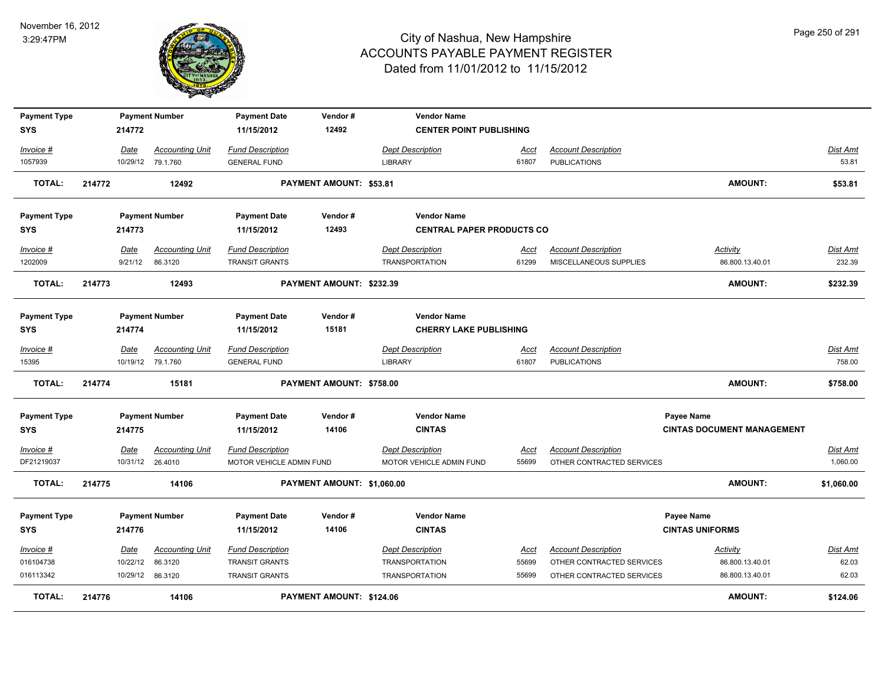

| <b>Payment Type</b> |        |             | <b>Payment Number</b>  | <b>Payment Date</b>      | Vendor#                        | <b>Vendor Name</b>               |             |                            |                                   |            |
|---------------------|--------|-------------|------------------------|--------------------------|--------------------------------|----------------------------------|-------------|----------------------------|-----------------------------------|------------|
| <b>SYS</b>          |        | 214772      |                        | 11/15/2012               | 12492                          | <b>CENTER POINT PUBLISHING</b>   |             |                            |                                   |            |
| Invoice #           |        | Date        | <b>Accounting Unit</b> | <b>Fund Description</b>  |                                | <b>Dept Description</b>          | Acct        | <b>Account Description</b> |                                   | Dist Amt   |
| 1057939             |        |             | 10/29/12 79.1.760      | <b>GENERAL FUND</b>      |                                | <b>LIBRARY</b>                   | 61807       | <b>PUBLICATIONS</b>        |                                   | 53.81      |
| <b>TOTAL:</b>       | 214772 |             | 12492                  |                          | <b>PAYMENT AMOUNT: \$53.81</b> |                                  |             |                            | <b>AMOUNT:</b>                    | \$53.81    |
| <b>Payment Type</b> |        |             | <b>Payment Number</b>  | <b>Payment Date</b>      | Vendor#                        | <b>Vendor Name</b>               |             |                            |                                   |            |
| <b>SYS</b>          |        | 214773      |                        | 11/15/2012               | 12493                          | <b>CENTRAL PAPER PRODUCTS CO</b> |             |                            |                                   |            |
| Invoice #           |        | Date        | <b>Accounting Unit</b> | <b>Fund Description</b>  |                                | <b>Dept Description</b>          | Acct        | <b>Account Description</b> | <u>Activity</u>                   | Dist Amt   |
| 1202009             |        | 9/21/12     | 86.3120                | <b>TRANSIT GRANTS</b>    |                                | <b>TRANSPORTATION</b>            | 61299       | MISCELLANEOUS SUPPLIES     | 86.800.13.40.01                   | 232.39     |
| <b>TOTAL:</b>       | 214773 |             | 12493                  |                          | PAYMENT AMOUNT: \$232.39       |                                  |             |                            | <b>AMOUNT:</b>                    | \$232.39   |
| <b>Payment Type</b> |        |             | <b>Payment Number</b>  | <b>Payment Date</b>      | Vendor#                        | <b>Vendor Name</b>               |             |                            |                                   |            |
| <b>SYS</b>          |        | 214774      |                        | 11/15/2012               | 15181                          | <b>CHERRY LAKE PUBLISHING</b>    |             |                            |                                   |            |
| Invoice #           |        | Date        | <b>Accounting Unit</b> | <b>Fund Description</b>  |                                | <b>Dept Description</b>          | Acct        | <b>Account Description</b> |                                   | Dist Amt   |
| 15395               |        |             | 10/19/12 79.1.760      | <b>GENERAL FUND</b>      |                                | <b>LIBRARY</b>                   | 61807       | <b>PUBLICATIONS</b>        |                                   | 758.00     |
| <b>TOTAL:</b>       | 214774 |             | 15181                  |                          | PAYMENT AMOUNT: \$758.00       |                                  |             |                            | <b>AMOUNT:</b>                    | \$758.00   |
| <b>Payment Type</b> |        |             | <b>Payment Number</b>  | <b>Payment Date</b>      | Vendor#                        | <b>Vendor Name</b>               |             |                            | Payee Name                        |            |
| <b>SYS</b>          |        | 214775      |                        | 11/15/2012               | 14106                          | <b>CINTAS</b>                    |             |                            | <b>CINTAS DOCUMENT MANAGEMENT</b> |            |
| $Invoice$ #         |        | <u>Date</u> | <b>Accounting Unit</b> | <b>Fund Description</b>  |                                | <b>Dept Description</b>          | <u>Acct</u> | <b>Account Description</b> |                                   | Dist Amt   |
| DF21219037          |        |             | 10/31/12 26.4010       | MOTOR VEHICLE ADMIN FUND |                                | MOTOR VEHICLE ADMIN FUND         | 55699       | OTHER CONTRACTED SERVICES  |                                   | 1,060.00   |
| <b>TOTAL:</b>       | 214775 |             | 14106                  |                          | PAYMENT AMOUNT: \$1,060.00     |                                  |             |                            | <b>AMOUNT:</b>                    | \$1,060.00 |
| <b>Payment Type</b> |        |             | <b>Payment Number</b>  | <b>Payment Date</b>      | Vendor#                        | <b>Vendor Name</b>               |             |                            | Payee Name                        |            |
| <b>SYS</b>          |        | 214776      |                        | 11/15/2012               | 14106                          | <b>CINTAS</b>                    |             |                            | <b>CINTAS UNIFORMS</b>            |            |
| Invoice #           |        | Date        | <b>Accounting Unit</b> | <b>Fund Description</b>  |                                | <b>Dept Description</b>          | <u>Acct</u> | <b>Account Description</b> | <b>Activity</b>                   | Dist Amt   |
| 016104738           |        | 10/22/12    | 86.3120                | <b>TRANSIT GRANTS</b>    |                                | <b>TRANSPORTATION</b>            | 55699       | OTHER CONTRACTED SERVICES  | 86.800.13.40.01                   | 62.03      |
| 016113342           |        |             | 10/29/12 86.3120       | <b>TRANSIT GRANTS</b>    |                                | <b>TRANSPORTATION</b>            | 55699       | OTHER CONTRACTED SERVICES  | 86.800.13.40.01                   | 62.03      |
| TOTAL:              | 214776 |             | 14106                  |                          | PAYMENT AMOUNT: \$124.06       |                                  |             |                            | <b>AMOUNT:</b>                    | \$124.06   |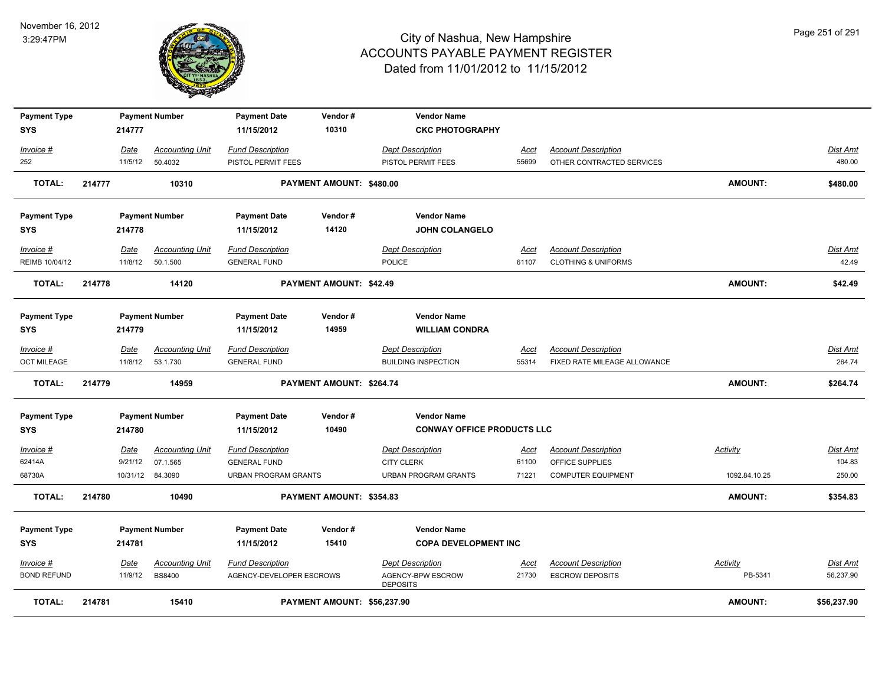

| <b>Payment Type</b> |        |                 | <b>Payment Number</b>              | <b>Payment Date</b>                            | Vendor#                        | <b>Vendor Name</b>                           |                      |                                               |                 |                           |
|---------------------|--------|-----------------|------------------------------------|------------------------------------------------|--------------------------------|----------------------------------------------|----------------------|-----------------------------------------------|-----------------|---------------------------|
| <b>SYS</b>          |        | 214777          |                                    | 11/15/2012                                     | 10310                          | <b>CKC PHOTOGRAPHY</b>                       |                      |                                               |                 |                           |
| Invoice #           |        | Date            | <b>Accounting Unit</b>             | <b>Fund Description</b>                        |                                | <b>Dept Description</b>                      | <u>Acct</u>          | <b>Account Description</b>                    |                 | <b>Dist Amt</b>           |
| 252                 |        | 11/5/12         | 50.4032                            | PISTOL PERMIT FEES                             |                                | PISTOL PERMIT FEES                           | 55699                | OTHER CONTRACTED SERVICES                     |                 | 480.00                    |
| TOTAL:              | 214777 |                 | 10310                              |                                                | PAYMENT AMOUNT: \$480.00       |                                              |                      |                                               | <b>AMOUNT:</b>  | \$480.00                  |
| <b>Payment Type</b> |        |                 | <b>Payment Number</b>              | <b>Payment Date</b>                            | Vendor#                        | <b>Vendor Name</b>                           |                      |                                               |                 |                           |
| <b>SYS</b>          |        | 214778          |                                    | 11/15/2012                                     | 14120                          | <b>JOHN COLANGELO</b>                        |                      |                                               |                 |                           |
| Invoice #           |        | Date            | <b>Accounting Unit</b>             | <b>Fund Description</b>                        |                                | <b>Dept Description</b>                      | <u>Acct</u>          | <b>Account Description</b>                    |                 | Dist Amt                  |
| REIMB 10/04/12      |        |                 | 11/8/12  50.1.500                  | <b>GENERAL FUND</b>                            |                                | POLICE                                       | 61107                | <b>CLOTHING &amp; UNIFORMS</b>                |                 | 42.49                     |
| TOTAL:              | 214778 |                 | 14120                              |                                                | <b>PAYMENT AMOUNT: \$42.49</b> |                                              |                      |                                               | <b>AMOUNT:</b>  | \$42.49                   |
| <b>Payment Type</b> |        |                 | <b>Payment Number</b>              | <b>Payment Date</b>                            | Vendor#                        | <b>Vendor Name</b>                           |                      |                                               |                 |                           |
| SYS                 |        | 214779          |                                    | 11/15/2012                                     | 14959                          | <b>WILLIAM CONDRA</b>                        |                      |                                               |                 |                           |
| Invoice #           |        | Date            | <b>Accounting Unit</b>             | <b>Fund Description</b>                        |                                | <b>Dept Description</b>                      | <u>Acct</u>          | <b>Account Description</b>                    |                 | Dist Amt                  |
| <b>OCT MILEAGE</b>  |        |                 | 11/8/12  53.1.730                  | <b>GENERAL FUND</b>                            |                                | <b>BUILDING INSPECTION</b>                   | 55314                | FIXED RATE MILEAGE ALLOWANCE                  |                 | 264.74                    |
| <b>TOTAL:</b>       | 214779 |                 | 14959                              |                                                | PAYMENT AMOUNT: \$264.74       |                                              |                      |                                               | <b>AMOUNT:</b>  | \$264.74                  |
| <b>Payment Type</b> |        |                 | <b>Payment Number</b>              | <b>Payment Date</b>                            | Vendor#                        | <b>Vendor Name</b>                           |                      |                                               |                 |                           |
| <b>SYS</b>          |        | 214780          |                                    | 11/15/2012                                     | 10490                          | <b>CONWAY OFFICE PRODUCTS LLC</b>            |                      |                                               |                 |                           |
| Invoice #<br>62414A |        | Date<br>9/21/12 | <b>Accounting Unit</b><br>07.1.565 | <b>Fund Description</b><br><b>GENERAL FUND</b> |                                | <b>Dept Description</b><br><b>CITY CLERK</b> | <u>Acct</u><br>61100 | <b>Account Description</b><br>OFFICE SUPPLIES | Activity        | <b>Dist Amt</b><br>104.83 |
| 68730A              |        |                 | 10/31/12 84.3090                   | <b>URBAN PROGRAM GRANTS</b>                    |                                | URBAN PROGRAM GRANTS                         | 71221                | <b>COMPUTER EQUIPMENT</b>                     | 1092.84.10.25   | 250.00                    |
| <b>TOTAL:</b>       | 214780 |                 | 10490                              |                                                | PAYMENT AMOUNT: \$354.83       |                                              |                      |                                               | <b>AMOUNT:</b>  | \$354.83                  |
| <b>Payment Type</b> |        |                 | <b>Payment Number</b>              | <b>Payment Date</b>                            | Vendor#                        | <b>Vendor Name</b>                           |                      |                                               |                 |                           |
| <b>SYS</b>          |        | 214781          |                                    | 11/15/2012                                     | 15410                          | <b>COPA DEVELOPMENT INC</b>                  |                      |                                               |                 |                           |
| $Invoice$ #         |        | <u>Date</u>     | <b>Accounting Unit</b>             | <b>Fund Description</b>                        |                                | <b>Dept Description</b>                      | <u>Acct</u>          | <b>Account Description</b>                    | <b>Activity</b> | Dist Amt                  |
| <b>BOND REFUND</b>  |        | 11/9/12         | <b>BS8400</b>                      | AGENCY-DEVELOPER ESCROWS                       |                                | AGENCY-BPW ESCROW<br><b>DEPOSITS</b>         | 21730                | <b>ESCROW DEPOSITS</b>                        | PB-5341         | 56,237.90                 |
| <b>TOTAL:</b>       | 214781 |                 | 15410                              |                                                | PAYMENT AMOUNT: \$56,237.90    |                                              |                      |                                               | <b>AMOUNT:</b>  | \$56,237.90               |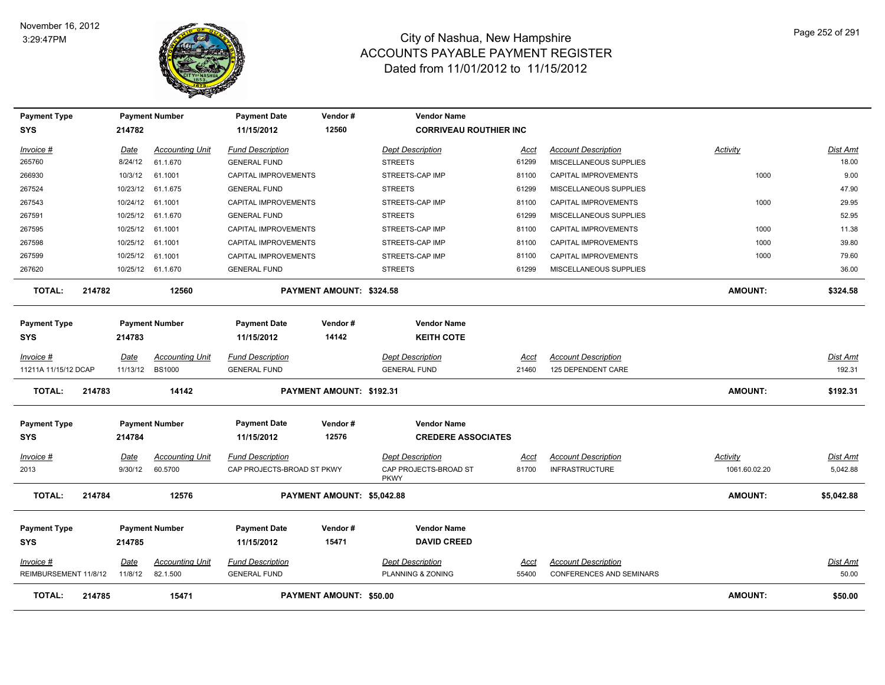

| <b>Payment Type</b>               |        |                  | <b>Payment Number</b>             | <b>Payment Date</b>                                   | Vendor#                    | <b>Vendor Name</b>                                              |               |                                                     |                           |                      |
|-----------------------------------|--------|------------------|-----------------------------------|-------------------------------------------------------|----------------------------|-----------------------------------------------------------------|---------------|-----------------------------------------------------|---------------------------|----------------------|
| SYS                               |        | 214782           |                                   | 11/15/2012                                            | 12560                      | <b>CORRIVEAU ROUTHIER INC</b>                                   |               |                                                     |                           |                      |
| Invoice #                         |        | Date             | <b>Accounting Unit</b>            | <b>Fund Description</b>                               |                            | <b>Dept Description</b>                                         | Acct          | <b>Account Description</b>                          | Activity                  | Dist Amt             |
| 265760                            |        | 8/24/12          | 61.1.670                          | <b>GENERAL FUND</b>                                   |                            | <b>STREETS</b>                                                  | 61299         | MISCELLANEOUS SUPPLIES                              |                           | 18.00                |
| 266930                            |        | 10/3/12          | 61.1001                           | CAPITAL IMPROVEMENTS                                  |                            | STREETS-CAP IMP                                                 | 81100         | CAPITAL IMPROVEMENTS                                | 1000                      | 9.00                 |
| 267524                            |        |                  | 10/23/12 61.1.675                 | <b>GENERAL FUND</b>                                   |                            | <b>STREETS</b>                                                  | 61299         | MISCELLANEOUS SUPPLIES                              |                           | 47.90                |
| 267543                            |        | 10/24/12         | 61.1001                           | CAPITAL IMPROVEMENTS                                  |                            | STREETS-CAP IMP                                                 | 81100         | CAPITAL IMPROVEMENTS                                | 1000                      | 29.95                |
| 267591                            |        |                  | 10/25/12 61.1.670                 | <b>GENERAL FUND</b>                                   |                            | <b>STREETS</b>                                                  | 61299         | MISCELLANEOUS SUPPLIES                              |                           | 52.95                |
| 267595                            |        | 10/25/12 61.1001 |                                   | CAPITAL IMPROVEMENTS                                  |                            | STREETS-CAP IMP                                                 | 81100         | CAPITAL IMPROVEMENTS                                | 1000                      | 11.38                |
| 267598                            |        | 10/25/12 61.1001 |                                   | <b>CAPITAL IMPROVEMENTS</b>                           |                            | STREETS-CAP IMP                                                 | 81100         | <b>CAPITAL IMPROVEMENTS</b>                         | 1000                      | 39.80                |
| 267599                            |        | 10/25/12         | 61.1001                           | CAPITAL IMPROVEMENTS                                  |                            | STREETS-CAP IMP                                                 | 81100         | CAPITAL IMPROVEMENTS                                | 1000                      | 79.60                |
| 267620                            |        |                  | 10/25/12 61.1.670                 | <b>GENERAL FUND</b>                                   |                            | <b>STREETS</b>                                                  | 61299         | MISCELLANEOUS SUPPLIES                              |                           | 36.00                |
| <b>TOTAL:</b>                     | 214782 |                  | 12560                             |                                                       | PAYMENT AMOUNT: \$324.58   |                                                                 |               |                                                     | <b>AMOUNT:</b>            | \$324.58             |
| <b>Payment Type</b><br><b>SYS</b> |        | 214783           | <b>Payment Number</b>             | <b>Payment Date</b><br>11/15/2012                     | Vendor#<br>14142           | <b>Vendor Name</b><br><b>KEITH COTE</b>                         |               |                                                     |                           |                      |
| Invoice #                         |        | Date             | <b>Accounting Unit</b>            | <b>Fund Description</b>                               |                            | <b>Dept Description</b>                                         | Acct          | <b>Account Description</b>                          |                           | Dist Amt             |
| 11211A 11/15/12 DCAP              |        | 11/13/12 BS1000  |                                   | <b>GENERAL FUND</b>                                   |                            | <b>GENERAL FUND</b>                                             | 21460         | 125 DEPENDENT CARE                                  |                           | 192.31               |
| <b>TOTAL:</b>                     | 214783 |                  | 14142                             |                                                       | PAYMENT AMOUNT: \$192.31   |                                                                 |               |                                                     | <b>AMOUNT:</b>            | \$192.31             |
| <b>Payment Type</b>               |        |                  | <b>Payment Number</b>             | <b>Payment Date</b>                                   | Vendor#                    | <b>Vendor Name</b>                                              |               |                                                     |                           |                      |
| <b>SYS</b>                        |        | 214784           |                                   | 11/15/2012                                            | 12576                      | <b>CREDERE ASSOCIATES</b>                                       |               |                                                     |                           |                      |
| Invoice #<br>2013                 |        | Date<br>9/30/12  | <b>Accounting Unit</b><br>60.5700 | <b>Fund Description</b><br>CAP PROJECTS-BROAD ST PKWY |                            | <b>Dept Description</b><br>CAP PROJECTS-BROAD ST<br><b>PKWY</b> | Acct<br>81700 | <b>Account Description</b><br><b>INFRASTRUCTURE</b> | Activity<br>1061.60.02.20 | Dist Amt<br>5,042.88 |
| <b>TOTAL:</b>                     | 214784 |                  | 12576                             |                                                       | PAYMENT AMOUNT: \$5,042.88 |                                                                 |               |                                                     | AMOUNT:                   | \$5,042.88           |
| <b>Payment Type</b>               |        |                  | <b>Payment Number</b>             | <b>Payment Date</b>                                   | Vendor#                    | <b>Vendor Name</b>                                              |               |                                                     |                           |                      |
| SYS                               |        | 214785           |                                   | 11/15/2012                                            | 15471                      | <b>DAVID CREED</b>                                              |               |                                                     |                           |                      |
| Invoice #                         |        | Date             | <b>Accounting Unit</b>            | <b>Fund Description</b>                               |                            | <b>Dept Description</b>                                         | Acct          | <b>Account Description</b>                          |                           | Dist Amt             |
| REIMBURSEMENT 11/8/12             |        | 11/8/12          | 82.1.500                          | <b>GENERAL FUND</b>                                   |                            | PLANNING & ZONING                                               | 55400         | CONFERENCES AND SEMINARS                            |                           | 50.00                |
| <b>TOTAL:</b>                     | 214785 |                  | 15471                             |                                                       | PAYMENT AMOUNT: \$50.00    |                                                                 |               |                                                     | <b>AMOUNT:</b>            | \$50.00              |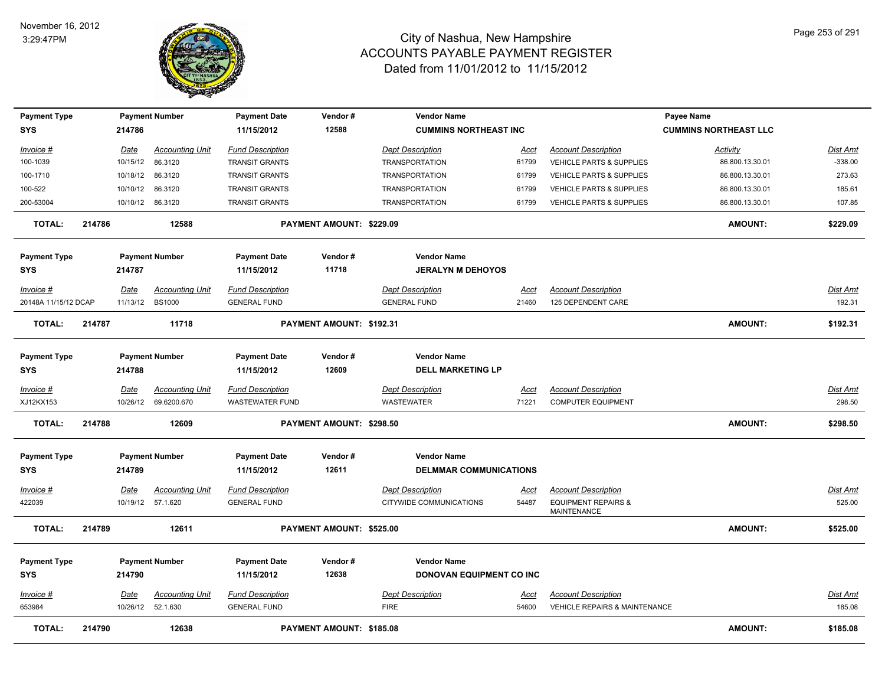

| <b>Payment Type</b><br><b>SYS</b> |        | 214786           | <b>Payment Number</b>              | <b>Payment Date</b><br>11/15/2012              | Vendor#<br>12588         | <b>Vendor Name</b><br><b>CUMMINS NORTHEAST INC</b> |                      |                                                             | Payee Name<br><b>CUMMINS NORTHEAST LLC</b> |                    |
|-----------------------------------|--------|------------------|------------------------------------|------------------------------------------------|--------------------------|----------------------------------------------------|----------------------|-------------------------------------------------------------|--------------------------------------------|--------------------|
| Invoice #                         |        | Date             | <b>Accounting Unit</b>             | <b>Fund Description</b>                        |                          | <b>Dept Description</b>                            | Acct                 | <b>Account Description</b>                                  | Activity                                   | Dist Amt           |
| 100-1039                          |        | 10/15/12         | 86.3120                            | <b>TRANSIT GRANTS</b>                          |                          | <b>TRANSPORTATION</b>                              | 61799                | VEHICLE PARTS & SUPPLIES                                    | 86.800.13.30.01                            | $-338.00$          |
| 100-1710                          |        | 10/18/12         | 86.3120                            | <b>TRANSIT GRANTS</b>                          |                          | <b>TRANSPORTATION</b>                              | 61799                | <b>VEHICLE PARTS &amp; SUPPLIES</b>                         | 86.800.13.30.01                            | 273.63             |
| 100-522                           |        | 10/10/12         | 86.3120                            | <b>TRANSIT GRANTS</b>                          |                          | <b>TRANSPORTATION</b>                              | 61799                | VEHICLE PARTS & SUPPLIES                                    | 86.800.13.30.01                            | 185.61             |
| 200-53004                         |        | 10/10/12         | 86.3120                            | <b>TRANSIT GRANTS</b>                          |                          | <b>TRANSPORTATION</b>                              | 61799                | VEHICLE PARTS & SUPPLIES                                    | 86.800.13.30.01                            | 107.85             |
| <b>TOTAL:</b>                     | 214786 |                  | 12588                              |                                                | PAYMENT AMOUNT: \$229.09 |                                                    |                      |                                                             | <b>AMOUNT:</b>                             | \$229.09           |
| <b>Payment Type</b>               |        |                  | <b>Payment Number</b>              | <b>Payment Date</b>                            | Vendor#                  | <b>Vendor Name</b>                                 |                      |                                                             |                                            |                    |
| <b>SYS</b>                        |        | 214787           |                                    | 11/15/2012                                     | 11718                    | <b>JERALYN M DEHOYOS</b>                           |                      |                                                             |                                            |                    |
| Invoice #                         |        | Date             | <b>Accounting Unit</b>             | <b>Fund Description</b>                        |                          | <b>Dept Description</b>                            | Acct                 | <b>Account Description</b>                                  |                                            | Dist Amt           |
| 20148A 11/15/12 DCAP              |        | 11/13/12         | <b>BS1000</b>                      | <b>GENERAL FUND</b>                            |                          | <b>GENERAL FUND</b>                                | 21460                | 125 DEPENDENT CARE                                          |                                            | 192.31             |
| <b>TOTAL:</b>                     | 214787 |                  | 11718                              |                                                | PAYMENT AMOUNT: \$192.31 |                                                    |                      |                                                             | AMOUNT:                                    | \$192.31           |
| <b>Payment Type</b>               |        |                  | <b>Payment Number</b>              | <b>Payment Date</b>                            | Vendor#                  | <b>Vendor Name</b>                                 |                      |                                                             |                                            |                    |
| <b>SYS</b>                        |        | 214788           |                                    | 11/15/2012                                     | 12609                    | <b>DELL MARKETING LP</b>                           |                      |                                                             |                                            |                    |
| Invoice #                         |        | Date             | <b>Accounting Unit</b>             | <b>Fund Description</b>                        |                          | <b>Dept Description</b>                            | Acct                 | <b>Account Description</b>                                  |                                            | Dist Amt           |
| XJ12KX153                         |        | 10/26/12         | 69.6200.670                        | <b>WASTEWATER FUND</b>                         |                          | <b>WASTEWATER</b>                                  | 71221                | <b>COMPUTER EQUIPMENT</b>                                   |                                            | 298.50             |
| <b>TOTAL:</b>                     | 214788 |                  | 12609                              |                                                | PAYMENT AMOUNT: \$298.50 |                                                    |                      |                                                             | AMOUNT:                                    | \$298.50           |
| <b>Payment Type</b>               |        |                  | <b>Payment Number</b>              | <b>Payment Date</b>                            | Vendor#                  | <b>Vendor Name</b>                                 |                      |                                                             |                                            |                    |
| <b>SYS</b>                        |        | 214789           |                                    | 11/15/2012                                     | 12611                    | <b>DELMMAR COMMUNICATIONS</b>                      |                      |                                                             |                                            |                    |
| Invoice #                         |        | <u>Date</u>      | <b>Accounting Unit</b>             | <b>Fund Description</b>                        |                          | <b>Dept Description</b>                            | <u>Acct</u>          | <b>Account Description</b>                                  |                                            | <u>Dist Amt</u>    |
| 422039                            |        | 10/19/12         | 57.1.620                           | <b>GENERAL FUND</b>                            |                          | CITYWIDE COMMUNICATIONS                            | 54487                | <b>EQUIPMENT REPAIRS &amp;</b><br><b>MAINTENANCE</b>        |                                            | 525.00             |
| <b>TOTAL:</b>                     | 214789 |                  | 12611                              |                                                | PAYMENT AMOUNT: \$525.00 |                                                    |                      |                                                             | <b>AMOUNT:</b>                             | \$525.00           |
| <b>Payment Type</b>               |        |                  | <b>Payment Number</b>              | <b>Payment Date</b>                            | Vendor#                  | <b>Vendor Name</b>                                 |                      |                                                             |                                            |                    |
| <b>SYS</b>                        |        | 214790           |                                    | 11/15/2012                                     | 12638                    | DONOVAN EQUIPMENT CO INC                           |                      |                                                             |                                            |                    |
| $Invoice$ #<br>653984             |        | Date<br>10/26/12 | <b>Accounting Unit</b><br>52.1.630 | <b>Fund Description</b><br><b>GENERAL FUND</b> |                          | <b>Dept Description</b><br><b>FIRE</b>             | <u>Acct</u><br>54600 | <b>Account Description</b><br>VEHICLE REPAIRS & MAINTENANCE |                                            | Dist Amt<br>185.08 |
| <b>TOTAL:</b>                     | 214790 |                  | 12638                              |                                                | PAYMENT AMOUNT: \$185.08 |                                                    |                      |                                                             | <b>AMOUNT:</b>                             | \$185.08           |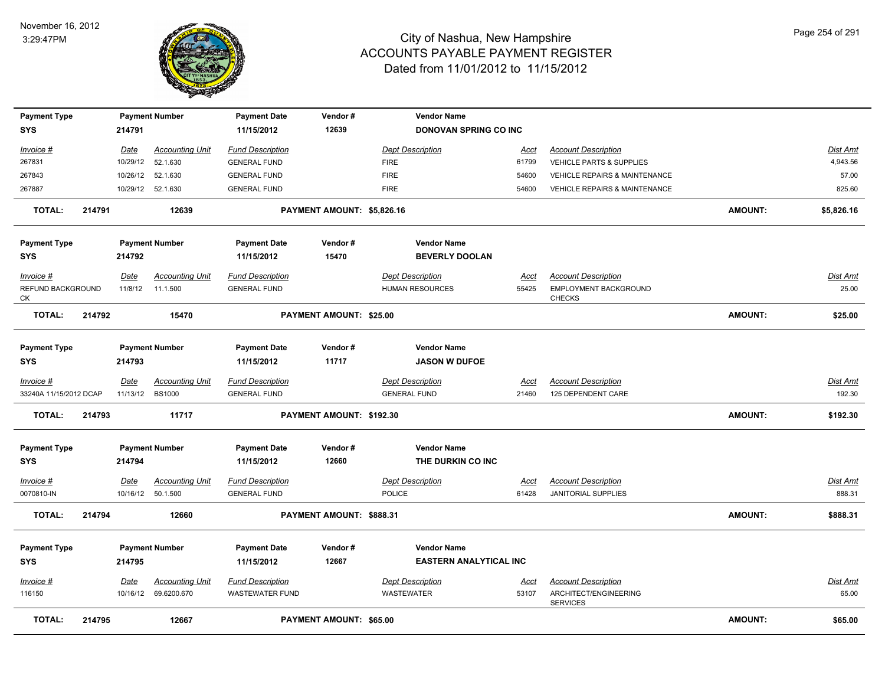

| <b>Payment Type</b>     |        |                 | <b>Payment Number</b>  | <b>Payment Date</b>     | Vendor#                    | <b>Vendor Name</b>            |             |                                          |                |            |
|-------------------------|--------|-----------------|------------------------|-------------------------|----------------------------|-------------------------------|-------------|------------------------------------------|----------------|------------|
| SYS                     |        | 214791          |                        | 11/15/2012              | 12639                      | <b>DONOVAN SPRING CO INC</b>  |             |                                          |                |            |
| Invoice #               |        | Date            | <b>Accounting Unit</b> | <b>Fund Description</b> |                            | <b>Dept Description</b>       | Acct        | <b>Account Description</b>               |                | Dist Amt   |
| 267831                  |        |                 | 10/29/12 52.1.630      | <b>GENERAL FUND</b>     |                            | <b>FIRE</b>                   | 61799       | <b>VEHICLE PARTS &amp; SUPPLIES</b>      |                | 4,943.56   |
| 267843                  |        |                 | 10/26/12 52.1.630      | <b>GENERAL FUND</b>     |                            | <b>FIRE</b>                   | 54600       | VEHICLE REPAIRS & MAINTENANCE            |                | 57.00      |
| 267887                  |        |                 | 10/29/12 52.1.630      | <b>GENERAL FUND</b>     |                            | <b>FIRE</b>                   | 54600       | <b>VEHICLE REPAIRS &amp; MAINTENANCE</b> |                | 825.60     |
| <b>TOTAL:</b>           | 214791 |                 | 12639                  |                         | PAYMENT AMOUNT: \$5,826.16 |                               |             |                                          | <b>AMOUNT:</b> | \$5,826.16 |
| <b>Payment Type</b>     |        |                 | <b>Payment Number</b>  | <b>Payment Date</b>     | Vendor#                    | <b>Vendor Name</b>            |             |                                          |                |            |
| SYS                     |        | 214792          |                        | 11/15/2012              | 15470                      | <b>BEVERLY DOOLAN</b>         |             |                                          |                |            |
| Invoice #               |        | Date            | <b>Accounting Unit</b> | <b>Fund Description</b> |                            | <b>Dept Description</b>       | Acct        | <b>Account Description</b>               |                | Dist Amt   |
| REFUND BACKGROUND<br>СK |        |                 | 11/8/12  11.1.500      | <b>GENERAL FUND</b>     |                            | <b>HUMAN RESOURCES</b>        | 55425       | EMPLOYMENT BACKGROUND<br><b>CHECKS</b>   |                | 25.00      |
| <b>TOTAL:</b>           | 214792 |                 | 15470                  |                         | PAYMENT AMOUNT: \$25.00    |                               |             |                                          | <b>AMOUNT:</b> | \$25.00    |
| <b>Payment Type</b>     |        |                 | <b>Payment Number</b>  | <b>Payment Date</b>     | Vendor#                    | <b>Vendor Name</b>            |             |                                          |                |            |
| <b>SYS</b>              |        | 214793          |                        | 11/15/2012              | 11717                      | <b>JASON W DUFOE</b>          |             |                                          |                |            |
| <u>Invoice #</u>        |        | Date            | <b>Accounting Unit</b> | <b>Fund Description</b> |                            | <b>Dept Description</b>       | <u>Acct</u> | <b>Account Description</b>               |                | Dist Amt   |
| 33240A 11/15/2012 DCAP  |        | 11/13/12 BS1000 |                        | <b>GENERAL FUND</b>     |                            | <b>GENERAL FUND</b>           | 21460       | 125 DEPENDENT CARE                       |                | 192.30     |
| <b>TOTAL:</b>           | 214793 |                 | 11717                  |                         | PAYMENT AMOUNT: \$192.30   |                               |             |                                          | <b>AMOUNT:</b> | \$192.30   |
| <b>Payment Type</b>     |        |                 | <b>Payment Number</b>  | <b>Payment Date</b>     | Vendor#                    | <b>Vendor Name</b>            |             |                                          |                |            |
| SYS                     |        | 214794          |                        | 11/15/2012              | 12660                      | THE DURKIN CO INC             |             |                                          |                |            |
| Invoice #               |        | Date            | <b>Accounting Unit</b> | <b>Fund Description</b> |                            | <b>Dept Description</b>       | Acct        | <b>Account Description</b>               |                | Dist Amt   |
| 0070810-IN              |        |                 | 10/16/12  50.1.500     | <b>GENERAL FUND</b>     |                            | <b>POLICE</b>                 | 61428       | <b>JANITORIAL SUPPLIES</b>               |                | 888.31     |
| <b>TOTAL:</b>           | 214794 |                 | 12660                  |                         | PAYMENT AMOUNT: \$888.31   |                               |             |                                          | <b>AMOUNT:</b> | \$888.31   |
| <b>Payment Type</b>     |        |                 | <b>Payment Number</b>  | <b>Payment Date</b>     | Vendor#                    | <b>Vendor Name</b>            |             |                                          |                |            |
| <b>SYS</b>              |        | 214795          |                        | 11/15/2012              | 12667                      | <b>EASTERN ANALYTICAL INC</b> |             |                                          |                |            |
| Invoice #               |        | Date            | <b>Accounting Unit</b> | <b>Fund Description</b> |                            | <b>Dept Description</b>       | <u>Acct</u> | <b>Account Description</b>               |                | Dist Amt   |
| 116150                  |        | 10/16/12        | 69.6200.670            | <b>WASTEWATER FUND</b>  |                            | WASTEWATER                    | 53107       | ARCHITECT/ENGINEERING<br><b>SERVICES</b> |                | 65.00      |
| <b>TOTAL:</b>           | 214795 |                 | 12667                  |                         | PAYMENT AMOUNT: \$65.00    |                               |             |                                          | <b>AMOUNT:</b> | \$65.00    |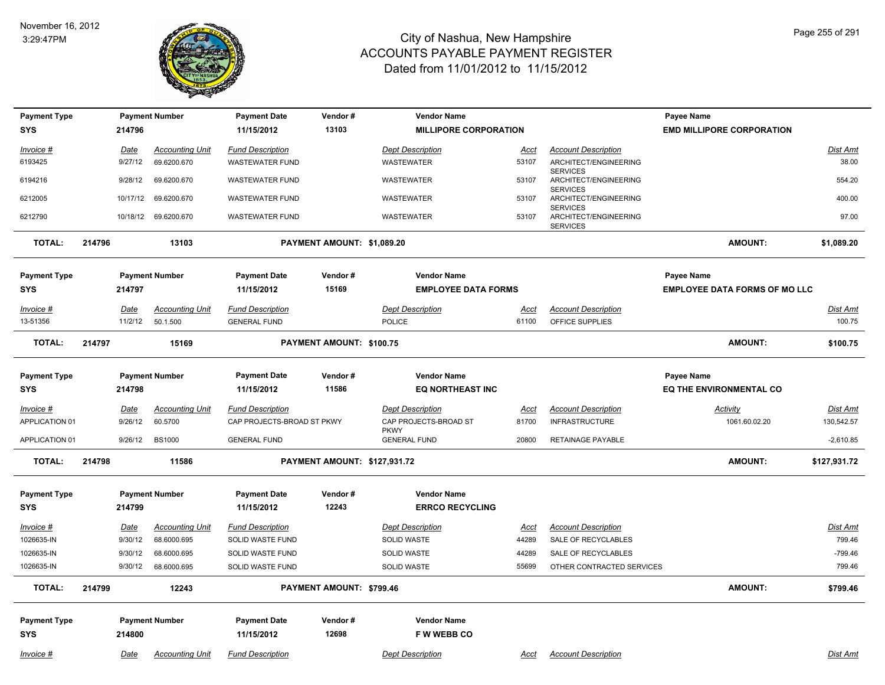

| <b>Payment Type</b> |        |             | <b>Payment Number</b>  | <b>Payment Date</b>        | Vendor#                      | <b>Vendor Name</b>                 |             |                                          | Payee Name                           |                 |
|---------------------|--------|-------------|------------------------|----------------------------|------------------------------|------------------------------------|-------------|------------------------------------------|--------------------------------------|-----------------|
| <b>SYS</b>          |        | 214796      |                        | 11/15/2012                 | 13103                        | <b>MILLIPORE CORPORATION</b>       |             |                                          | <b>EMD MILLIPORE CORPORATION</b>     |                 |
| Invoice #           |        | Date        | <b>Accounting Unit</b> | <b>Fund Description</b>    |                              | <b>Dept Description</b>            | Acct        | <b>Account Description</b>               |                                      | Dist Amt        |
| 6193425             |        | 9/27/12     | 69.6200.670            | <b>WASTEWATER FUND</b>     |                              | WASTEWATER                         | 53107       | ARCHITECT/ENGINEERING                    |                                      | 38.00           |
| 6194216             |        | 9/28/12     | 69.6200.670            | <b>WASTEWATER FUND</b>     |                              | WASTEWATER                         | 53107       | <b>SERVICES</b><br>ARCHITECT/ENGINEERING |                                      | 554.20          |
| 6212005             |        | 10/17/12    | 69.6200.670            | <b>WASTEWATER FUND</b>     |                              | <b>WASTEWATER</b>                  | 53107       | <b>SERVICES</b><br>ARCHITECT/ENGINEERING |                                      | 400.00          |
|                     |        |             |                        |                            |                              |                                    |             | <b>SERVICES</b>                          |                                      |                 |
| 6212790             |        |             | 10/18/12 69.6200.670   | <b>WASTEWATER FUND</b>     |                              | <b>WASTEWATER</b>                  | 53107       | ARCHITECT/ENGINEERING<br><b>SERVICES</b> |                                      | 97.00           |
| TOTAL:              | 214796 |             | 13103                  |                            | PAYMENT AMOUNT: \$1,089.20   |                                    |             |                                          | <b>AMOUNT:</b>                       | \$1,089.20      |
| <b>Payment Type</b> |        |             | <b>Payment Number</b>  | <b>Payment Date</b>        | Vendor#                      | <b>Vendor Name</b>                 |             |                                          | Payee Name                           |                 |
| <b>SYS</b>          |        | 214797      |                        | 11/15/2012                 | 15169                        | <b>EMPLOYEE DATA FORMS</b>         |             |                                          | <b>EMPLOYEE DATA FORMS OF MO LLC</b> |                 |
| $Invoice$ #         |        | <u>Date</u> | <b>Accounting Unit</b> | <b>Fund Description</b>    |                              | <b>Dept Description</b>            | <u>Acct</u> | <b>Account Description</b>               |                                      | <b>Dist Amt</b> |
| 13-51356            |        | 11/2/12     | 50.1.500               | <b>GENERAL FUND</b>        |                              | <b>POLICE</b>                      | 61100       | OFFICE SUPPLIES                          |                                      | 100.75          |
| TOTAL:              | 214797 |             | 15169                  |                            | PAYMENT AMOUNT: \$100.75     |                                    |             |                                          | <b>AMOUNT:</b>                       | \$100.75        |
| <b>Payment Type</b> |        |             | <b>Payment Number</b>  | <b>Payment Date</b>        | Vendor#                      | <b>Vendor Name</b>                 |             |                                          | Payee Name                           |                 |
| <b>SYS</b>          |        | 214798      |                        | 11/15/2012                 | 11586                        | <b>EQ NORTHEAST INC</b>            |             |                                          | <b>EQ THE ENVIRONMENTAL CO</b>       |                 |
| Invoice #           |        | Date        | <b>Accounting Unit</b> | <b>Fund Description</b>    |                              | <b>Dept Description</b>            | Acct        | <b>Account Description</b>               | Activity                             | Dist Amt        |
| APPLICATION 01      |        | 9/26/12     | 60.5700                | CAP PROJECTS-BROAD ST PKWY |                              | CAP PROJECTS-BROAD ST              | 81700       | <b>INFRASTRUCTURE</b>                    | 1061.60.02.20                        | 130,542.57      |
| APPLICATION 01      |        | 9/26/12     | <b>BS1000</b>          | <b>GENERAL FUND</b>        |                              | <b>PKWY</b><br><b>GENERAL FUND</b> | 20800       | <b>RETAINAGE PAYABLE</b>                 |                                      | $-2,610.85$     |
| <b>TOTAL:</b>       | 214798 |             | 11586                  |                            | PAYMENT AMOUNT: \$127,931.72 |                                    |             |                                          | <b>AMOUNT:</b>                       | \$127,931.72    |
| <b>Payment Type</b> |        |             | <b>Payment Number</b>  | <b>Payment Date</b>        | Vendor#                      | <b>Vendor Name</b>                 |             |                                          |                                      |                 |
| <b>SYS</b>          |        | 214799      |                        | 11/15/2012                 | 12243                        | <b>ERRCO RECYCLING</b>             |             |                                          |                                      |                 |
| Invoice #           |        | Date        | <b>Accounting Unit</b> | <b>Fund Description</b>    |                              | <b>Dept Description</b>            | <u>Acct</u> | <b>Account Description</b>               |                                      | <b>Dist Amt</b> |
| 1026635-IN          |        | 9/30/12     | 68.6000.695            | SOLID WASTE FUND           |                              | SOLID WASTE                        | 44289       | SALE OF RECYCLABLES                      |                                      | 799.46          |
| 1026635-IN          |        | 9/30/12     | 68.6000.695            | SOLID WASTE FUND           |                              | SOLID WASTE                        | 44289       | SALE OF RECYCLABLES                      |                                      | $-799.46$       |
| 1026635-IN          |        | 9/30/12     | 68.6000.695            | SOLID WASTE FUND           |                              | <b>SOLID WASTE</b>                 | 55699       | OTHER CONTRACTED SERVICES                |                                      | 799.46          |
| <b>TOTAL:</b>       | 214799 |             | 12243                  |                            | PAYMENT AMOUNT: \$799.46     |                                    |             |                                          | <b>AMOUNT:</b>                       | \$799.46        |
| <b>Payment Type</b> |        |             | <b>Payment Number</b>  | <b>Payment Date</b>        | Vendor#                      | <b>Vendor Name</b>                 |             |                                          |                                      |                 |
| <b>SYS</b>          |        | 214800      |                        | 11/15/2012                 | 12698                        | <b>FWWEBBCO</b>                    |             |                                          |                                      |                 |
| Invoice #           |        | Date        | <b>Accounting Unit</b> | <b>Fund Description</b>    |                              | <b>Dept Description</b>            | Acct        | <b>Account Description</b>               |                                      | Dist Amt        |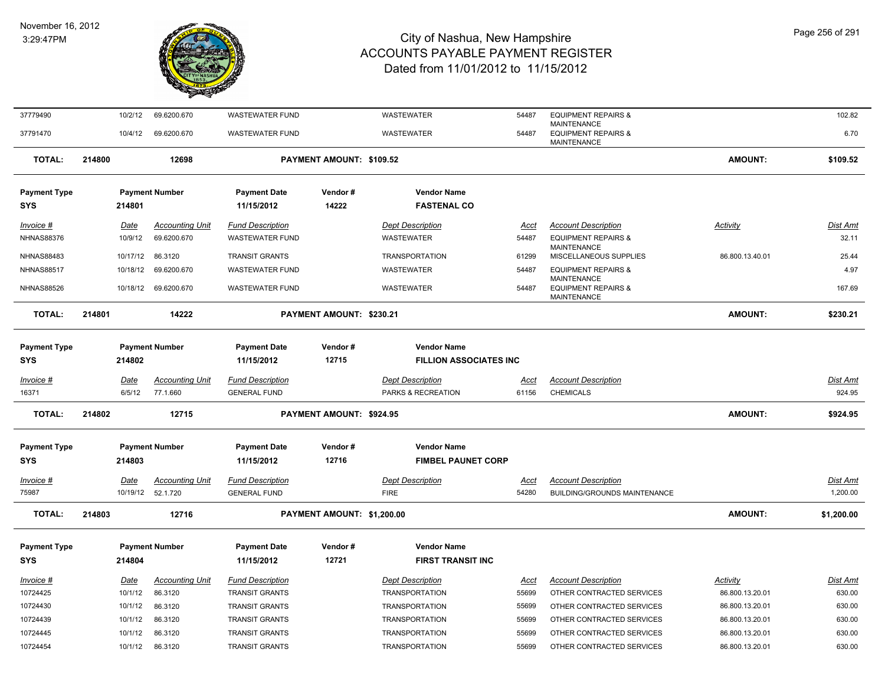

| 37779490                          |        | 10/2/12     | 69.6200.670                                  | <b>WASTEWATER FUND</b>                         |                            | <b>WASTEWATER</b>                               | 54487                | <b>EQUIPMENT REPAIRS &amp;</b>                                             |                 | 102.82               |
|-----------------------------------|--------|-------------|----------------------------------------------|------------------------------------------------|----------------------------|-------------------------------------------------|----------------------|----------------------------------------------------------------------------|-----------------|----------------------|
| 37791470                          |        | 10/4/12     | 69.6200.670                                  | <b>WASTEWATER FUND</b>                         |                            | <b>WASTEWATER</b>                               | 54487                | <b>MAINTENANCE</b><br><b>EQUIPMENT REPAIRS &amp;</b><br><b>MAINTENANCE</b> |                 | 6.70                 |
| <b>TOTAL:</b>                     | 214800 |             | 12698                                        |                                                | PAYMENT AMOUNT: \$109.52   |                                                 |                      |                                                                            | AMOUNT:         | \$109.52             |
| <b>Payment Type</b>               |        |             | <b>Payment Number</b>                        | <b>Payment Date</b>                            | Vendor#                    | <b>Vendor Name</b>                              |                      |                                                                            |                 |                      |
| <b>SYS</b>                        |        | 214801      |                                              | 11/15/2012                                     | 14222                      | <b>FASTENAL CO</b>                              |                      |                                                                            |                 |                      |
| Invoice #                         |        | Date        | <b>Accounting Unit</b>                       | <b>Fund Description</b>                        |                            | <b>Dept Description</b>                         | Acct                 | <b>Account Description</b>                                                 | Activity        | <b>Dist Amt</b>      |
| <b>NHNAS88376</b>                 |        | 10/9/12     | 69.6200.670                                  | <b>WASTEWATER FUND</b>                         |                            | <b>WASTEWATER</b>                               | 54487                | <b>EQUIPMENT REPAIRS &amp;</b>                                             |                 | 32.11                |
| <b>NHNAS88483</b>                 |        | 10/17/12    | 86.3120                                      | <b>TRANSIT GRANTS</b>                          |                            | <b>TRANSPORTATION</b>                           | 61299                | <b>MAINTENANCE</b><br>MISCELLANEOUS SUPPLIES                               | 86.800.13.40.01 | 25.44                |
| <b>NHNAS88517</b>                 |        | 10/18/12    | 69.6200.670                                  | <b>WASTEWATER FUND</b>                         |                            | WASTEWATER                                      | 54487                | <b>EQUIPMENT REPAIRS &amp;</b>                                             |                 | 4.97                 |
| <b>NHNAS88526</b>                 |        |             | 10/18/12 69.6200.670                         | <b>WASTEWATER FUND</b>                         |                            | <b>WASTEWATER</b>                               | 54487                | <b>MAINTENANCE</b><br><b>EQUIPMENT REPAIRS &amp;</b><br><b>MAINTENANCE</b> |                 | 167.69               |
| <b>TOTAL:</b>                     | 214801 |             | 14222                                        |                                                | PAYMENT AMOUNT: \$230.21   |                                                 |                      |                                                                            | AMOUNT:         | \$230.21             |
| <b>Payment Type</b>               |        |             | <b>Payment Number</b>                        | <b>Payment Date</b>                            | Vendor#                    | <b>Vendor Name</b>                              |                      |                                                                            |                 |                      |
| <b>SYS</b>                        |        | 214802      |                                              | 11/15/2012                                     | 12715                      | <b>FILLION ASSOCIATES INC</b>                   |                      |                                                                            |                 |                      |
| Invoice #                         |        | <b>Date</b> | <b>Accounting Unit</b>                       | <b>Fund Description</b>                        |                            | <b>Dept Description</b>                         | <b>Acct</b>          | <b>Account Description</b>                                                 |                 | <b>Dist Amt</b>      |
| 16371                             |        | 6/5/12      | 77.1.660                                     | <b>GENERAL FUND</b>                            |                            | PARKS & RECREATION                              | 61156                | <b>CHEMICALS</b>                                                           |                 | 924.95               |
| <b>TOTAL:</b>                     | 214802 |             | 12715                                        |                                                | PAYMENT AMOUNT: \$924.95   |                                                 |                      |                                                                            | <b>AMOUNT:</b>  | \$924.95             |
|                                   |        |             |                                              |                                                |                            |                                                 |                      |                                                                            |                 |                      |
| <b>Payment Type</b><br><b>SYS</b> |        | 214803      | <b>Payment Number</b>                        | <b>Payment Date</b><br>11/15/2012              | Vendor#<br>12716           | <b>Vendor Name</b><br><b>FIMBEL PAUNET CORP</b> |                      |                                                                            |                 |                      |
|                                   |        |             |                                              |                                                |                            |                                                 |                      |                                                                            |                 |                      |
| <b>Invoice #</b><br>75987         |        | Date        | <b>Accounting Unit</b><br>10/19/12  52.1.720 | <b>Fund Description</b><br><b>GENERAL FUND</b> |                            | <b>Dept Description</b><br><b>FIRE</b>          | <u>Acct</u><br>54280 | <b>Account Description</b><br><b>BUILDING/GROUNDS MAINTENANCE</b>          |                 | Dist Amt<br>1,200.00 |
|                                   |        |             |                                              |                                                |                            |                                                 |                      |                                                                            |                 |                      |
| <b>TOTAL:</b>                     | 214803 |             | 12716                                        |                                                | PAYMENT AMOUNT: \$1,200.00 |                                                 |                      |                                                                            | <b>AMOUNT:</b>  | \$1,200.00           |
| <b>Payment Type</b>               |        |             | <b>Payment Number</b>                        | <b>Payment Date</b>                            | Vendor#                    | <b>Vendor Name</b>                              |                      |                                                                            |                 |                      |
| <b>SYS</b>                        |        | 214804      |                                              | 11/15/2012                                     | 12721                      | <b>FIRST TRANSIT INC</b>                        |                      |                                                                            |                 |                      |
| Invoice #                         |        | Date        | <b>Accounting Unit</b>                       | <b>Fund Description</b>                        |                            | <b>Dept Description</b>                         | Acct                 | <b>Account Description</b>                                                 | Activity        | Dist Amt             |
| 10724425                          |        | 10/1/12     | 86.3120                                      | <b>TRANSIT GRANTS</b>                          |                            | <b>TRANSPORTATION</b>                           | 55699                | OTHER CONTRACTED SERVICES                                                  | 86.800.13.20.01 | 630.00               |
| 10724430                          |        | 10/1/12     | 86.3120                                      | <b>TRANSIT GRANTS</b>                          |                            | <b>TRANSPORTATION</b>                           | 55699                | OTHER CONTRACTED SERVICES                                                  | 86.800.13.20.01 | 630.00               |
| 10724439                          |        | 10/1/12     | 86.3120                                      | <b>TRANSIT GRANTS</b>                          |                            | <b>TRANSPORTATION</b>                           | 55699                | OTHER CONTRACTED SERVICES                                                  | 86.800.13.20.01 | 630.00               |
| 10724445                          |        | 10/1/12     | 86.3120                                      | <b>TRANSIT GRANTS</b>                          |                            | <b>TRANSPORTATION</b>                           | 55699                | OTHER CONTRACTED SERVICES                                                  | 86.800.13.20.01 | 630.00               |
| 10724454                          |        | 10/1/12     | 86.3120                                      | <b>TRANSIT GRANTS</b>                          |                            | <b>TRANSPORTATION</b>                           | 55699                | OTHER CONTRACTED SERVICES                                                  | 86.800.13.20.01 | 630.00               |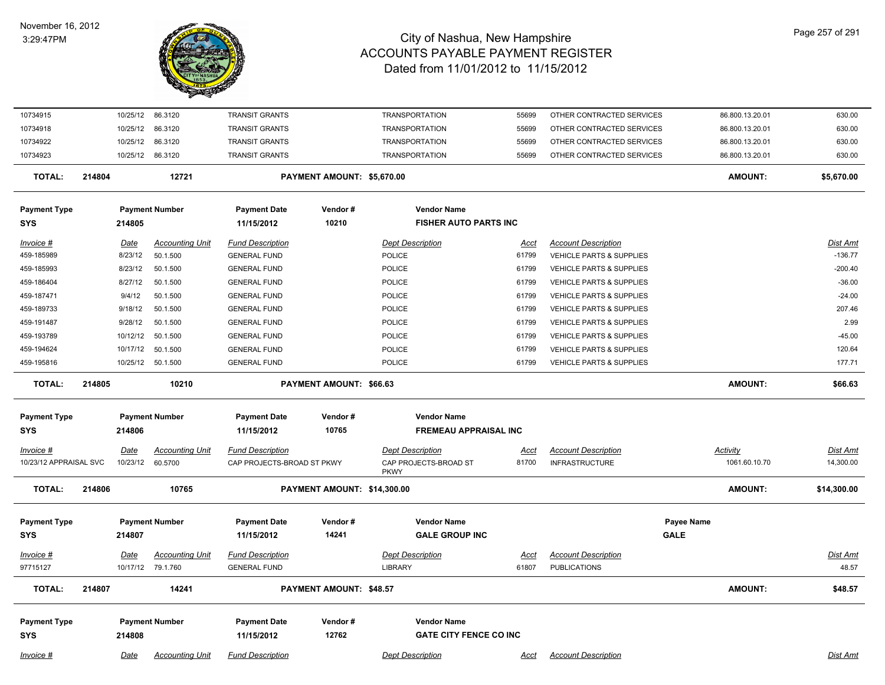#### November 16, 2012 3:29:47PM



| 10734915               |        | 10/25/12 | 86.3120                | <b>TRANSIT GRANTS</b>      |                             | <b>TRANSPORTATION</b>                | 55699       | OTHER CONTRACTED SERVICES           |                   | 86.800.13.20.01 | 630.00          |
|------------------------|--------|----------|------------------------|----------------------------|-----------------------------|--------------------------------------|-------------|-------------------------------------|-------------------|-----------------|-----------------|
| 10734918               |        | 10/25/12 | 86.3120                | <b>TRANSIT GRANTS</b>      |                             | <b>TRANSPORTATION</b>                | 55699       | OTHER CONTRACTED SERVICES           |                   | 86.800.13.20.01 | 630.00          |
| 10734922               |        | 10/25/12 | 86.3120                | <b>TRANSIT GRANTS</b>      |                             | <b>TRANSPORTATION</b>                | 55699       | OTHER CONTRACTED SERVICES           |                   | 86.800.13.20.01 | 630.00          |
| 10734923               |        |          | 10/25/12 86.3120       | <b>TRANSIT GRANTS</b>      |                             | <b>TRANSPORTATION</b>                | 55699       | OTHER CONTRACTED SERVICES           |                   | 86.800.13.20.01 | 630.00          |
| <b>TOTAL:</b>          | 214804 |          | 12721                  |                            | PAYMENT AMOUNT: \$5,670.00  |                                      |             |                                     |                   | <b>AMOUNT:</b>  | \$5,670.00      |
| <b>Payment Type</b>    |        |          | <b>Payment Number</b>  | <b>Payment Date</b>        | Vendor#                     | <b>Vendor Name</b>                   |             |                                     |                   |                 |                 |
| <b>SYS</b>             |        | 214805   |                        | 11/15/2012                 | 10210                       | <b>FISHER AUTO PARTS INC</b>         |             |                                     |                   |                 |                 |
| Invoice #              |        | Date     | <b>Accounting Unit</b> | <b>Fund Description</b>    |                             | <b>Dept Description</b>              | Acct        | <b>Account Description</b>          |                   |                 | <b>Dist Amt</b> |
| 459-185989             |        | 8/23/12  | 50.1.500               | <b>GENERAL FUND</b>        |                             | POLICE                               | 61799       | VEHICLE PARTS & SUPPLIES            |                   |                 | $-136.77$       |
| 459-185993             |        | 8/23/12  | 50.1.500               | <b>GENERAL FUND</b>        |                             | POLICE                               | 61799       | VEHICLE PARTS & SUPPLIES            |                   |                 | $-200.40$       |
| 459-186404             |        | 8/27/12  | 50.1.500               | <b>GENERAL FUND</b>        |                             | <b>POLICE</b>                        | 61799       | VEHICLE PARTS & SUPPLIES            |                   |                 | $-36.00$        |
| 459-187471             |        | 9/4/12   | 50.1.500               | <b>GENERAL FUND</b>        |                             | POLICE                               | 61799       | <b>VEHICLE PARTS &amp; SUPPLIES</b> |                   |                 | $-24.00$        |
| 459-189733             |        | 9/18/12  | 50.1.500               | <b>GENERAL FUND</b>        |                             | POLICE                               | 61799       | <b>VEHICLE PARTS &amp; SUPPLIES</b> |                   |                 | 207.46          |
| 459-191487             |        | 9/28/12  | 50.1.500               | <b>GENERAL FUND</b>        |                             | <b>POLICE</b>                        | 61799       | VEHICLE PARTS & SUPPLIES            |                   |                 | 2.99            |
| 459-193789             |        | 10/12/12 | 50.1.500               | <b>GENERAL FUND</b>        |                             | <b>POLICE</b>                        | 61799       | VEHICLE PARTS & SUPPLIES            |                   |                 | $-45.00$        |
| 459-194624             |        |          | 10/17/12  50.1.500     | <b>GENERAL FUND</b>        |                             | <b>POLICE</b>                        | 61799       | VEHICLE PARTS & SUPPLIES            |                   |                 | 120.64          |
| 459-195816             |        |          | 10/25/12  50.1.500     | <b>GENERAL FUND</b>        |                             | <b>POLICE</b>                        | 61799       | <b>VEHICLE PARTS &amp; SUPPLIES</b> |                   |                 | 177.71          |
|                        |        |          |                        |                            |                             |                                      |             |                                     |                   |                 |                 |
| <b>TOTAL:</b>          | 214805 |          | 10210                  |                            | PAYMENT AMOUNT: \$66.63     |                                      |             |                                     |                   | <b>AMOUNT:</b>  | \$66.63         |
| <b>Payment Type</b>    |        |          | <b>Payment Number</b>  | <b>Payment Date</b>        | Vendor#                     | <b>Vendor Name</b>                   |             |                                     |                   |                 |                 |
| <b>SYS</b>             |        | 214806   |                        | 11/15/2012                 | 10765                       | <b>FREMEAU APPRAISAL INC</b>         |             |                                     |                   |                 |                 |
| Invoice #              |        | Date     | <b>Accounting Unit</b> | <b>Fund Description</b>    |                             | <b>Dept Description</b>              | Acct        | <b>Account Description</b>          |                   | Activity        | <b>Dist Amt</b> |
| 10/23/12 APPRAISAL SVC |        | 10/23/12 | 60.5700                | CAP PROJECTS-BROAD ST PKWY |                             | CAP PROJECTS-BROAD ST<br><b>PKWY</b> | 81700       | <b>INFRASTRUCTURE</b>               |                   | 1061.60.10.70   | 14,300.00       |
| <b>TOTAL:</b>          | 214806 |          | 10765                  |                            | PAYMENT AMOUNT: \$14,300.00 |                                      |             |                                     |                   | AMOUNT:         | \$14,300.00     |
| <b>Payment Type</b>    |        |          | <b>Payment Number</b>  | <b>Payment Date</b>        | Vendor#                     | <b>Vendor Name</b>                   |             |                                     | <b>Payee Name</b> |                 |                 |
| <b>SYS</b>             |        | 214807   |                        | 11/15/2012                 | 14241                       | <b>GALE GROUP INC</b>                |             |                                     | <b>GALE</b>       |                 |                 |
| Invoice #              |        | Date     | <b>Accounting Unit</b> | <b>Fund Description</b>    |                             | <b>Dept Description</b>              | <u>Acct</u> | <b>Account Description</b>          |                   |                 | Dist Amt        |
| 97715127               |        |          | 10/17/12 79.1.760      | <b>GENERAL FUND</b>        |                             | <b>LIBRARY</b>                       | 61807       | <b>PUBLICATIONS</b>                 |                   |                 | 48.57           |
|                        |        |          |                        |                            |                             |                                      |             |                                     |                   |                 |                 |
| <b>TOTAL:</b>          | 214807 |          | 14241                  |                            | PAYMENT AMOUNT: \$48.57     |                                      |             |                                     |                   | AMOUNT:         | \$48.57         |
| <b>Payment Type</b>    |        |          | <b>Payment Number</b>  | <b>Payment Date</b>        | Vendor#                     | <b>Vendor Name</b>                   |             |                                     |                   |                 |                 |
| <b>SYS</b>             |        | 214808   |                        | 11/15/2012                 | 12762                       | <b>GATE CITY FENCE CO INC</b>        |             |                                     |                   |                 |                 |
|                        |        |          |                        |                            |                             | <b>Dept Description</b>              |             |                                     |                   |                 |                 |
| $Invoice$ #            |        | Date     | <b>Accounting Unit</b> | <b>Fund Description</b>    |                             |                                      | <u>Acct</u> | <b>Account Description</b>          |                   |                 | <b>Dist Amt</b> |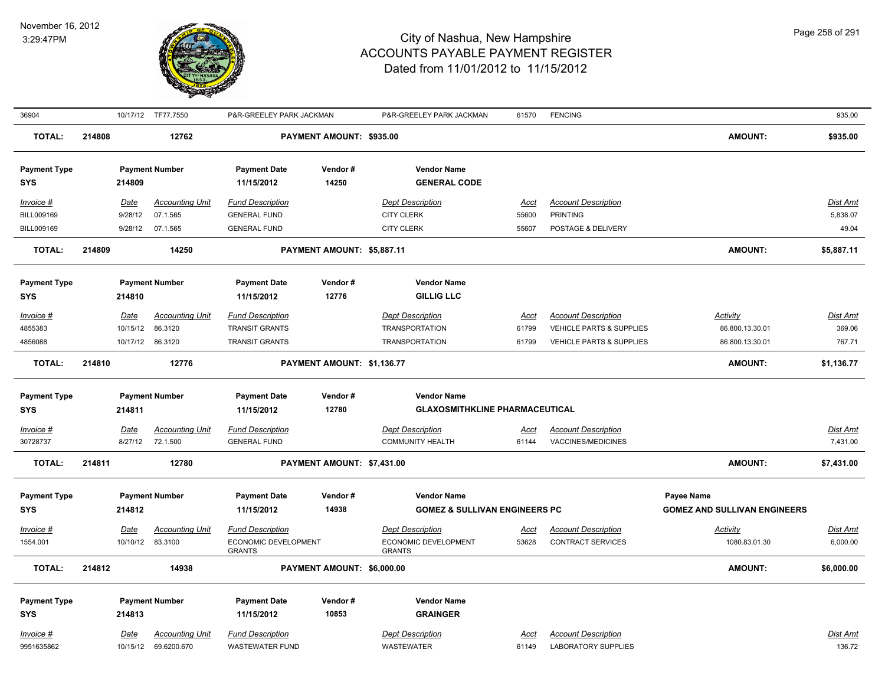

| 36904                                          |        |                                   | 10/17/12 TF77.7550                                    | P&R-GREELEY PARK JACKMAN                                                  |                            | P&R-GREELEY PARK JACKMAN                                                  | 61570                         | <b>FENCING</b>                                                                     |                                                          | 935.00                        |
|------------------------------------------------|--------|-----------------------------------|-------------------------------------------------------|---------------------------------------------------------------------------|----------------------------|---------------------------------------------------------------------------|-------------------------------|------------------------------------------------------------------------------------|----------------------------------------------------------|-------------------------------|
| <b>TOTAL:</b>                                  | 214808 |                                   | 12762                                                 |                                                                           | PAYMENT AMOUNT: \$935.00   |                                                                           |                               |                                                                                    | <b>AMOUNT:</b>                                           | \$935.00                      |
| <b>Payment Type</b><br><b>SYS</b>              |        | 214809                            | <b>Payment Number</b>                                 | <b>Payment Date</b><br>11/15/2012                                         | Vendor#<br>14250           | <b>Vendor Name</b><br><b>GENERAL CODE</b>                                 |                               |                                                                                    |                                                          |                               |
| Invoice #<br>BILL009169<br>BILL009169          |        | <b>Date</b><br>9/28/12<br>9/28/12 | <b>Accounting Unit</b><br>07.1.565<br>07.1.565        | <b>Fund Description</b><br><b>GENERAL FUND</b><br><b>GENERAL FUND</b>     |                            | <b>Dept Description</b><br><b>CITY CLERK</b><br><b>CITY CLERK</b>         | <u>Acct</u><br>55600<br>55607 | <b>Account Description</b><br><b>PRINTING</b><br>POSTAGE & DELIVERY                |                                                          | Dist Amt<br>5,838.07<br>49.04 |
| <b>TOTAL:</b>                                  | 214809 |                                   | 14250                                                 |                                                                           | PAYMENT AMOUNT: \$5,887.11 |                                                                           |                               |                                                                                    | <b>AMOUNT:</b>                                           | \$5,887.11                    |
| <b>Payment Type</b><br><b>SYS</b>              |        | 214810                            | <b>Payment Number</b>                                 | <b>Payment Date</b><br>11/15/2012                                         | Vendor#<br>12776           | <b>Vendor Name</b><br><b>GILLIG LLC</b>                                   |                               |                                                                                    |                                                          |                               |
| Invoice #<br>4855383<br>4856088                |        | Date<br>10/15/12                  | <b>Accounting Unit</b><br>86.3120<br>10/17/12 86.3120 | <b>Fund Description</b><br><b>TRANSIT GRANTS</b><br><b>TRANSIT GRANTS</b> |                            | <b>Dept Description</b><br><b>TRANSPORTATION</b><br><b>TRANSPORTATION</b> | Acct<br>61799<br>61799        | <b>Account Description</b><br>VEHICLE PARTS & SUPPLIES<br>VEHICLE PARTS & SUPPLIES | Activity<br>86.800.13.30.01<br>86.800.13.30.01           | Dist Amt<br>369.06<br>767.71  |
| <b>TOTAL:</b>                                  | 214810 |                                   | 12776                                                 |                                                                           | PAYMENT AMOUNT: \$1,136.77 |                                                                           |                               |                                                                                    | <b>AMOUNT:</b>                                           | \$1,136.77                    |
| <b>Payment Type</b>                            |        |                                   | <b>Payment Number</b>                                 | <b>Payment Date</b>                                                       | Vendor#                    | <b>Vendor Name</b>                                                        |                               |                                                                                    |                                                          |                               |
| <b>SYS</b>                                     |        | 214811                            |                                                       | 11/15/2012                                                                | 12780                      | <b>GLAXOSMITHKLINE PHARMACEUTICAL</b>                                     |                               |                                                                                    |                                                          |                               |
| Invoice #<br>30728737                          |        | <b>Date</b><br>8/27/12            | <b>Accounting Unit</b><br>72.1.500                    | <b>Fund Description</b><br><b>GENERAL FUND</b>                            |                            | <b>Dept Description</b><br><b>COMMUNITY HEALTH</b>                        | <u>Acct</u><br>61144          | <b>Account Description</b><br>VACCINES/MEDICINES                                   |                                                          | Dist Amt<br>7,431.00          |
| <b>TOTAL:</b>                                  | 214811 |                                   | 12780                                                 |                                                                           | PAYMENT AMOUNT: \$7,431.00 |                                                                           |                               |                                                                                    | <b>AMOUNT:</b>                                           | \$7,431.00                    |
| <b>Payment Type</b><br>SYS                     |        | 214812                            | <b>Payment Number</b>                                 | <b>Payment Date</b><br>11/15/2012                                         | Vendor#<br>14938           | <b>Vendor Name</b><br><b>GOMEZ &amp; SULLIVAN ENGINEERS PC</b>            |                               |                                                                                    | <b>Payee Name</b><br><b>GOMEZ AND SULLIVAN ENGINEERS</b> |                               |
| Invoice #<br>1554.001                          |        | Date                              | <b>Accounting Unit</b><br>10/10/12 83.3100            | <b>Fund Description</b><br>ECONOMIC DEVELOPMENT<br><b>GRANTS</b>          |                            | <b>Dept Description</b><br>ECONOMIC DEVELOPMENT<br><b>GRANTS</b>          | Acct<br>53628                 | <b>Account Description</b><br><b>CONTRACT SERVICES</b>                             | <b>Activity</b><br>1080.83.01.30                         | <u>Dist Amt</u><br>6,000.00   |
| <b>TOTAL:</b>                                  | 214812 |                                   | 14938                                                 |                                                                           | PAYMENT AMOUNT: \$6,000.00 |                                                                           |                               |                                                                                    | <b>AMOUNT:</b>                                           | \$6,000.00                    |
| <b>Payment Type</b><br><b>SYS</b><br>Invoice # |        | 214813<br>Date                    | <b>Payment Number</b><br><b>Accounting Unit</b>       | <b>Payment Date</b><br>11/15/2012<br><b>Fund Description</b>              | Vendor#<br>10853           | <b>Vendor Name</b><br><b>GRAINGER</b><br><b>Dept Description</b>          | Acct                          | <b>Account Description</b>                                                         |                                                          | Dist Amt                      |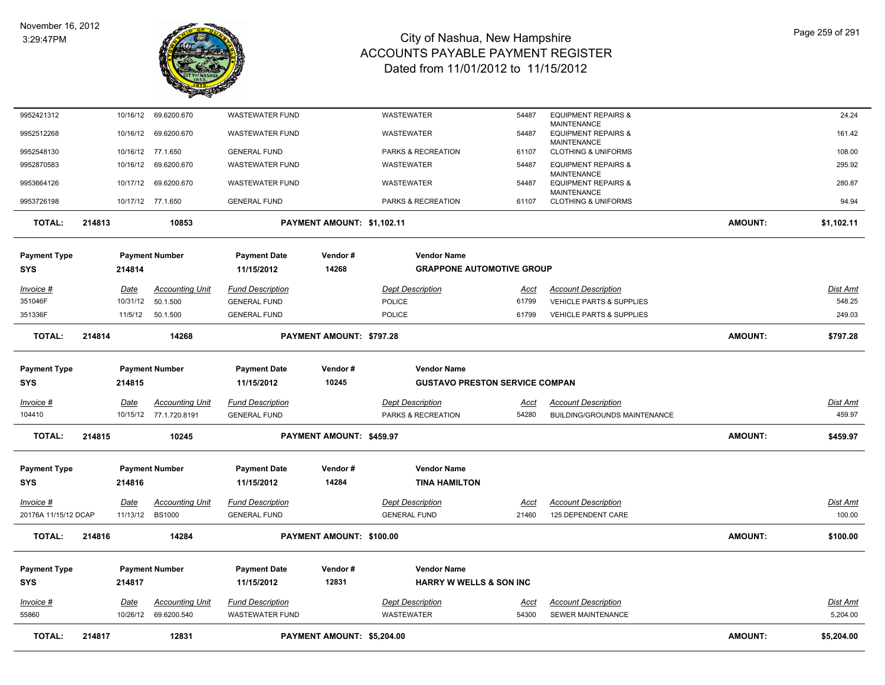

| <b>TOTAL:</b>                | 214817 |                         | 12831                                            |                                                   | PAYMENT AMOUNT: \$5,204.00 |                                                             |                      |                                                                            | <b>AMOUNT:</b> | \$5,204.00                  |
|------------------------------|--------|-------------------------|--------------------------------------------------|---------------------------------------------------|----------------------------|-------------------------------------------------------------|----------------------|----------------------------------------------------------------------------|----------------|-----------------------------|
| Invoice #<br>55860           |        | Date<br>10/26/12        | <b>Accounting Unit</b><br>69.6200.540            | <b>Fund Description</b><br><b>WASTEWATER FUND</b> |                            | <b>Dept Description</b><br><b>WASTEWATER</b>                | Acct<br>54300        | <b>Account Description</b><br>SEWER MAINTENANCE                            |                | <b>Dist Amt</b><br>5,204.00 |
| SYS                          |        | 214817                  |                                                  | 11/15/2012                                        | 12831                      | <b>HARRY W WELLS &amp; SON INC</b>                          |                      |                                                                            |                |                             |
| Payment Type                 |        |                         | <b>Payment Number</b>                            | <b>Payment Date</b>                               | Vendor#                    | <b>Vendor Name</b>                                          |                      |                                                                            |                |                             |
| <b>TOTAL:</b>                | 214816 |                         | 14284                                            |                                                   | PAYMENT AMOUNT: \$100.00   |                                                             |                      |                                                                            | <b>AMOUNT:</b> | \$100.00                    |
| 20176A 11/15/12 DCAP         |        | 11/13/12                | <b>BS1000</b>                                    | <b>GENERAL FUND</b>                               |                            | <b>GENERAL FUND</b>                                         | 21460                | 125 DEPENDENT CARE                                                         |                | 100.00                      |
| <u> Invoice #</u>            |        | <u>Date</u>             | <b>Accounting Unit</b>                           | <b>Fund Description</b>                           |                            | <b>Dept Description</b>                                     | <u>Acct</u>          | <b>Account Description</b>                                                 |                | <b>Dist Amt</b>             |
| Payment Type<br>SYS          |        | 214816                  | <b>Payment Number</b>                            | <b>Payment Date</b><br>11/15/2012                 | Vendor#<br>14284           | <b>Vendor Name</b><br><b>TINA HAMILTON</b>                  |                      |                                                                            |                |                             |
|                              |        |                         |                                                  |                                                   |                            |                                                             |                      |                                                                            |                |                             |
| <b>TOTAL:</b>                | 214815 |                         | 10245                                            |                                                   | PAYMENT AMOUNT: \$459.97   |                                                             |                      |                                                                            | <b>AMOUNT:</b> | \$459.97                    |
| Invoice #<br>104410          |        | Date                    | <b>Accounting Unit</b><br>10/15/12 77.1.720.8191 | <b>Fund Description</b><br><b>GENERAL FUND</b>    |                            | <b>Dept Description</b><br>PARKS & RECREATION               | Acct<br>54280        | <b>Account Description</b><br>BUILDING/GROUNDS MAINTENANCE                 |                | Dist Amt<br>459.97          |
|                              |        |                         |                                                  |                                                   |                            |                                                             |                      |                                                                            |                |                             |
| <b>Payment Type</b><br>SYS   |        | 214815                  | <b>Payment Number</b>                            | <b>Payment Date</b><br>11/15/2012                 | Vendor#<br>10245           | <b>Vendor Name</b><br><b>GUSTAVO PRESTON SERVICE COMPAN</b> |                      |                                                                            |                |                             |
|                              |        |                         |                                                  |                                                   |                            |                                                             |                      |                                                                            |                |                             |
| <b>TOTAL:</b>                | 214814 |                         | 14268                                            |                                                   | PAYMENT AMOUNT: \$797.28   |                                                             |                      |                                                                            | <b>AMOUNT:</b> | \$797.28                    |
| 351336F                      |        |                         | 11/5/12  50.1.500                                | <b>GENERAL FUND</b>                               |                            | <b>POLICE</b>                                               | 61799                | <b>VEHICLE PARTS &amp; SUPPLIES</b>                                        |                | 249.03                      |
| <u> Invoice #</u><br>351046F |        | <u>Date</u><br>10/31/12 | <b>Accounting Unit</b><br>50.1.500               | <b>Fund Description</b><br><b>GENERAL FUND</b>    |                            | <b>Dept Description</b><br>POLICE                           | <u>Acct</u><br>61799 | <b>Account Description</b><br><b>VEHICLE PARTS &amp; SUPPLIES</b>          |                | <u>Dist Amt</u><br>548.25   |
|                              |        |                         |                                                  |                                                   |                            |                                                             |                      |                                                                            |                |                             |
| <b>Payment Type</b><br>SYS   |        | 214814                  | <b>Payment Number</b>                            | <b>Payment Date</b><br>11/15/2012                 | Vendor#<br>14268           | <b>Vendor Name</b><br><b>GRAPPONE AUTOMOTIVE GROUP</b>      |                      |                                                                            |                |                             |
| <b>TOTAL:</b>                | 214813 |                         | 10853                                            |                                                   | PAYMENT AMOUNT: \$1,102.11 |                                                             |                      |                                                                            | <b>AMOUNT:</b> | \$1,102.11                  |
| 9953726198                   |        |                         | 10/17/12 77.1.650                                | <b>GENERAL FUND</b>                               |                            | PARKS & RECREATION                                          | 61107                | <b>CLOTHING &amp; UNIFORMS</b>                                             |                | 94.94                       |
| 9953664126                   |        | 10/17/12                | 69.6200.670                                      | <b>WASTEWATER FUND</b>                            |                            | <b>WASTEWATER</b>                                           | 54487                | <b>MAINTENANCE</b><br><b>EQUIPMENT REPAIRS &amp;</b><br><b>MAINTENANCE</b> |                | 280.87                      |
| 9952870583                   |        | 10/16/12                | 69.6200.670                                      | <b>WASTEWATER FUND</b>                            |                            | <b>WASTEWATER</b>                                           | 54487                | <b>EQUIPMENT REPAIRS &amp;</b>                                             |                | 295.92                      |
| 9952548130                   |        | 10/16/12                | 77.1.650                                         | <b>GENERAL FUND</b>                               |                            | PARKS & RECREATION                                          | 61107                | <b>MAINTENANCE</b><br><b>CLOTHING &amp; UNIFORMS</b>                       |                | 108.00                      |
| 9952512268                   |        | 10/16/12                | 69.6200.670                                      | <b>WASTEWATER FUND</b>                            |                            | <b>WASTEWATER</b>                                           | 54487                | <b>MAINTENANCE</b><br><b>EQUIPMENT REPAIRS &amp;</b>                       |                | 161.42                      |
| 9952421312                   |        | 10/16/12                | 69.6200.670                                      | <b>WASTEWATER FUND</b>                            |                            | WASTEWATER                                                  | 54487                | <b>EQUIPMENT REPAIRS &amp;</b>                                             |                | 24.24                       |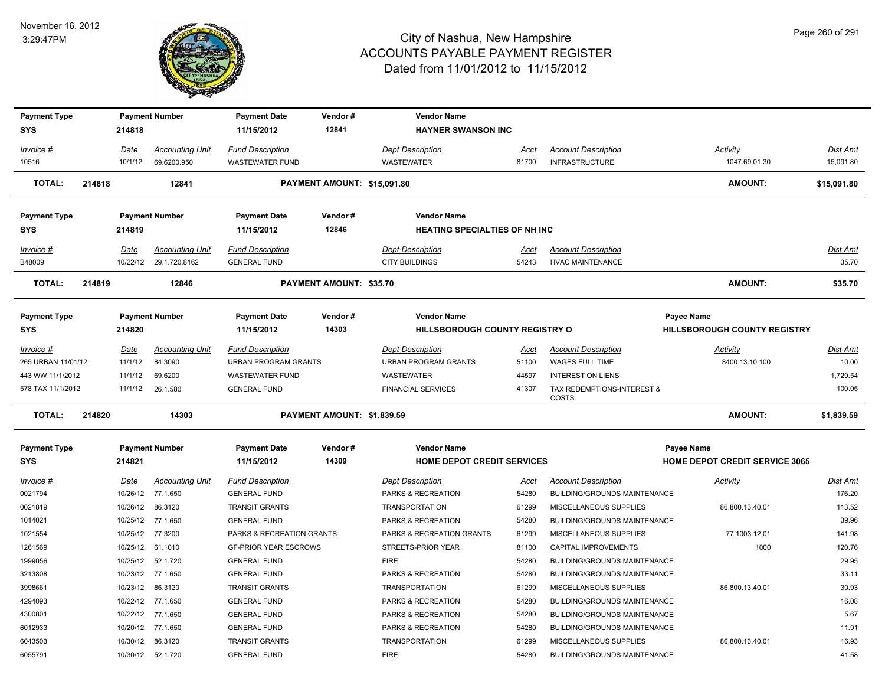

| <b>Payment Type</b> |        |          | <b>Payment Number</b>  | <b>Payment Date</b>          | Vendor#                     | <b>Vendor Name</b>                   |             |                                     |                                       |             |
|---------------------|--------|----------|------------------------|------------------------------|-----------------------------|--------------------------------------|-------------|-------------------------------------|---------------------------------------|-------------|
| <b>SYS</b>          |        | 214818   |                        | 11/15/2012                   | 12841                       | <b>HAYNER SWANSON INC</b>            |             |                                     |                                       |             |
| Invoice #           |        | Date     | <b>Accounting Unit</b> | <b>Fund Description</b>      |                             | <b>Dept Description</b>              | Acct        | <b>Account Description</b>          | Activity                              | Dist Amt    |
| 10516               |        | 10/1/12  | 69.6200.950            | WASTEWATER FUND              |                             | <b>WASTEWATER</b>                    | 81700       | <b>INFRASTRUCTURE</b>               | 1047.69.01.30                         | 15,091.80   |
| <b>TOTAL:</b>       | 214818 |          | 12841                  |                              | PAYMENT AMOUNT: \$15,091.80 |                                      |             |                                     | <b>AMOUNT:</b>                        | \$15,091.80 |
| <b>Payment Type</b> |        |          | <b>Payment Number</b>  | <b>Payment Date</b>          | Vendor#                     | <b>Vendor Name</b>                   |             |                                     |                                       |             |
| <b>SYS</b>          |        | 214819   |                        | 11/15/2012                   | 12846                       | <b>HEATING SPECIALTIES OF NH INC</b> |             |                                     |                                       |             |
| Invoice #           |        | Date     | <b>Accounting Unit</b> | <b>Fund Description</b>      |                             | <b>Dept Description</b>              | <u>Acct</u> | <b>Account Description</b>          |                                       | Dist Amt    |
| B48009              |        |          | 10/22/12 29.1.720.8162 | <b>GENERAL FUND</b>          |                             | <b>CITY BUILDINGS</b>                | 54243       | <b>HVAC MAINTENANCE</b>             |                                       | 35.70       |
| <b>TOTAL:</b>       | 214819 |          | 12846                  |                              | PAYMENT AMOUNT: \$35.70     |                                      |             |                                     | <b>AMOUNT:</b>                        | \$35.70     |
| <b>Payment Type</b> |        |          | <b>Payment Number</b>  | <b>Payment Date</b>          | Vendor#                     | <b>Vendor Name</b>                   |             |                                     | <b>Payee Name</b>                     |             |
| <b>SYS</b>          |        | 214820   |                        | 11/15/2012                   | 14303                       | HILLSBOROUGH COUNTY REGISTRY O       |             |                                     | HILLSBOROUGH COUNTY REGISTRY          |             |
| Invoice #           |        | Date     | <b>Accounting Unit</b> | <b>Fund Description</b>      |                             | <b>Dept Description</b>              | Acct        | <b>Account Description</b>          | <b>Activity</b>                       | Dist Amt    |
| 265 URBAN 11/01/12  |        | 11/1/12  | 84.3090                | <b>URBAN PROGRAM GRANTS</b>  |                             | <b>URBAN PROGRAM GRANTS</b>          | 51100       | WAGES FULL TIME                     | 8400.13.10.100                        | 10.00       |
| 443 WW 11/1/2012    |        | 11/1/12  | 69.6200                | <b>WASTEWATER FUND</b>       |                             | <b>WASTEWATER</b>                    | 44597       | <b>INTEREST ON LIENS</b>            |                                       | 1,729.54    |
| 578 TAX 11/1/2012   |        | 11/1/12  | 26.1.580               | <b>GENERAL FUND</b>          |                             | <b>FINANCIAL SERVICES</b>            | 41307       | TAX REDEMPTIONS-INTEREST &<br>COSTS |                                       | 100.05      |
| <b>TOTAL:</b>       | 214820 |          | 14303                  |                              | PAYMENT AMOUNT: \$1,839.59  |                                      |             |                                     | <b>AMOUNT:</b>                        | \$1,839.59  |
| <b>Payment Type</b> |        |          | <b>Payment Number</b>  | <b>Payment Date</b>          | Vendor#                     | <b>Vendor Name</b>                   |             |                                     | <b>Payee Name</b>                     |             |
| <b>SYS</b>          |        | 214821   |                        | 11/15/2012                   | 14309                       | <b>HOME DEPOT CREDIT SERVICES</b>    |             |                                     | <b>HOME DEPOT CREDIT SERVICE 3065</b> |             |
| Invoice #           |        | Date     | <b>Accounting Unit</b> | <b>Fund Description</b>      |                             | <b>Dept Description</b>              | Acct        | <b>Account Description</b>          | Activity                              | Dist Amt    |
| 0021794             |        |          | 10/26/12 77.1.650      | <b>GENERAL FUND</b>          |                             | PARKS & RECREATION                   | 54280       | BUILDING/GROUNDS MAINTENANCE        |                                       | 176.20      |
| 0021819             |        | 10/26/12 | 86.3120                | <b>TRANSIT GRANTS</b>        |                             | <b>TRANSPORTATION</b>                | 61299       | MISCELLANEOUS SUPPLIES              | 86.800.13.40.01                       | 113.52      |
| 1014021             |        | 10/25/12 | 77.1.650               | <b>GENERAL FUND</b>          |                             | PARKS & RECREATION                   | 54280       | BUILDING/GROUNDS MAINTENANCE        |                                       | 39.96       |
| 1021554             |        |          | 10/25/12 77.3200       | PARKS & RECREATION GRANTS    |                             | PARKS & RECREATION GRANTS            | 61299       | MISCELLANEOUS SUPPLIES              | 77.1003.12.01                         | 141.98      |
| 1261569             |        |          | 10/25/12 61.1010       | <b>GF-PRIOR YEAR ESCROWS</b> |                             | STREETS-PRIOR YEAR                   | 81100       | CAPITAL IMPROVEMENTS                | 1000                                  | 120.76      |
| 1999056             |        | 10/25/12 | 52.1.720               | <b>GENERAL FUND</b>          |                             | <b>FIRE</b>                          | 54280       | BUILDING/GROUNDS MAINTENANCE        |                                       | 29.95       |
| 3213808             |        |          | 10/23/12 77.1.650      | <b>GENERAL FUND</b>          |                             | PARKS & RECREATION                   | 54280       | BUILDING/GROUNDS MAINTENANCE        |                                       | 33.11       |
| 3998661             |        |          | 10/23/12 86.3120       | <b>TRANSIT GRANTS</b>        |                             | <b>TRANSPORTATION</b>                | 61299       | MISCELLANEOUS SUPPLIES              | 86.800.13.40.01                       | 30.93       |
| 4294093             |        | 10/22/12 | 77.1.650               | <b>GENERAL FUND</b>          |                             | PARKS & RECREATION                   | 54280       | BUILDING/GROUNDS MAINTENANCE        |                                       | 16.08       |
| 4300801             |        |          | 10/22/12 77.1.650      | <b>GENERAL FUND</b>          |                             | PARKS & RECREATION                   | 54280       | BUILDING/GROUNDS MAINTENANCE        |                                       | 5.67        |
| 6012933             |        |          | 10/20/12 77.1.650      | <b>GENERAL FUND</b>          |                             | PARKS & RECREATION                   | 54280       | BUILDING/GROUNDS MAINTENANCE        |                                       | 11.91       |
| 6043503             |        |          | 10/30/12 86.3120       | <b>TRANSIT GRANTS</b>        |                             | <b>TRANSPORTATION</b>                | 61299       | MISCELLANEOUS SUPPLIES              | 86.800.13.40.01                       | 16.93       |
| 6055791             |        |          | 10/30/12  52.1.720     | <b>GENERAL FUND</b>          |                             | <b>FIRE</b>                          | 54280       | <b>BUILDING/GROUNDS MAINTENANCE</b> |                                       | 41.58       |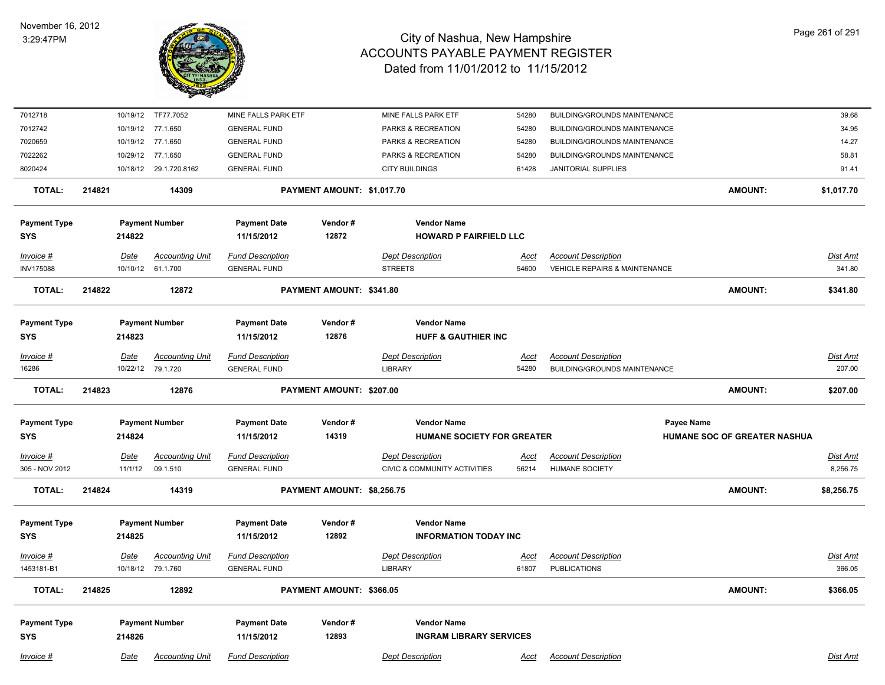

| 7012718             |        |             | 10/19/12 TF77.7052     | MINE FALLS PARK ETF     |                            | MINE FALLS PARK ETF            | 54280                          |                            | BUILDING/GROUNDS MAINTENANCE             |                              | 39.68           |
|---------------------|--------|-------------|------------------------|-------------------------|----------------------------|--------------------------------|--------------------------------|----------------------------|------------------------------------------|------------------------------|-----------------|
| 7012742             |        |             | 10/19/12 77.1.650      | <b>GENERAL FUND</b>     |                            | PARKS & RECREATION             | 54280                          |                            | BUILDING/GROUNDS MAINTENANCE             |                              | 34.95           |
| 7020659             |        |             | 10/19/12 77.1.650      | <b>GENERAL FUND</b>     |                            | PARKS & RECREATION             | 54280                          |                            | BUILDING/GROUNDS MAINTENANCE             |                              | 14.27           |
| 7022262             |        |             | 10/29/12 77.1.650      | <b>GENERAL FUND</b>     |                            | PARKS & RECREATION             | 54280                          |                            | BUILDING/GROUNDS MAINTENANCE             |                              | 58.81           |
| 8020424             |        |             | 10/18/12 29.1.720.8162 | <b>GENERAL FUND</b>     |                            | <b>CITY BUILDINGS</b>          | 61428                          | JANITORIAL SUPPLIES        |                                          |                              | 91.41           |
| <b>TOTAL:</b>       | 214821 |             | 14309                  |                         | PAYMENT AMOUNT: \$1,017.70 |                                |                                |                            |                                          | <b>AMOUNT:</b>               | \$1,017.70      |
| <b>Payment Type</b> |        |             | <b>Payment Number</b>  | <b>Payment Date</b>     | Vendor#                    | <b>Vendor Name</b>             |                                |                            |                                          |                              |                 |
| <b>SYS</b>          |        | 214822      |                        | 11/15/2012              | 12872                      |                                | <b>HOWARD P FAIRFIELD LLC</b>  |                            |                                          |                              |                 |
| Invoice #           |        | Date        | <b>Accounting Unit</b> | <b>Fund Description</b> |                            | <b>Dept Description</b>        | Acct                           | <b>Account Description</b> |                                          |                              | <b>Dist Amt</b> |
| <b>INV175088</b>    |        |             | 10/10/12 61.1.700      | <b>GENERAL FUND</b>     |                            | <b>STREETS</b>                 | 54600                          |                            | <b>VEHICLE REPAIRS &amp; MAINTENANCE</b> |                              | 341.80          |
| <b>TOTAL:</b>       | 214822 |             | 12872                  |                         | PAYMENT AMOUNT: \$341.80   |                                |                                |                            |                                          | <b>AMOUNT:</b>               | \$341.80        |
|                     |        |             |                        |                         |                            |                                |                                |                            |                                          |                              |                 |
| <b>Payment Type</b> |        |             | <b>Payment Number</b>  | <b>Payment Date</b>     | Vendor#                    | <b>Vendor Name</b>             |                                |                            |                                          |                              |                 |
| <b>SYS</b>          |        | 214823      |                        | 11/15/2012              | 12876                      | <b>HUFF &amp; GAUTHIER INC</b> |                                |                            |                                          |                              |                 |
| Invoice #           |        | <b>Date</b> | <b>Accounting Unit</b> | <b>Fund Description</b> |                            | <b>Dept Description</b>        | <u>Acct</u>                    | <b>Account Description</b> |                                          |                              | Dist Amt        |
| 16286               |        |             | 10/22/12 79.1.720      | <b>GENERAL FUND</b>     |                            | <b>LIBRARY</b>                 | 54280                          |                            | BUILDING/GROUNDS MAINTENANCE             |                              | 207.00          |
| <b>TOTAL:</b>       | 214823 |             | 12876                  |                         | PAYMENT AMOUNT: \$207.00   |                                |                                |                            |                                          | <b>AMOUNT:</b>               | \$207.00        |
| <b>Payment Type</b> |        |             | <b>Payment Number</b>  | <b>Payment Date</b>     | Vendor#                    | <b>Vendor Name</b>             |                                |                            | <b>Payee Name</b>                        |                              |                 |
| <b>SYS</b>          |        | 214824      |                        | 11/15/2012              | 14319                      |                                | HUMANE SOCIETY FOR GREATER     |                            |                                          | HUMANE SOC OF GREATER NASHUA |                 |
|                     |        |             |                        |                         |                            |                                |                                |                            |                                          |                              |                 |
| $Invoice$ #         |        | <b>Date</b> | <b>Accounting Unit</b> | <b>Fund Description</b> |                            | <b>Dept Description</b>        | <u>Acct</u>                    | <b>Account Description</b> |                                          |                              | <b>Dist Amt</b> |
| 305 - NOV 2012      |        | 11/1/12     | 09.1.510               | <b>GENERAL FUND</b>     |                            | CIVIC & COMMUNITY ACTIVITIES   | 56214                          | HUMANE SOCIETY             |                                          |                              | 8,256.75        |
| <b>TOTAL:</b>       | 214824 |             | 14319                  |                         | PAYMENT AMOUNT: \$8,256.75 |                                |                                |                            |                                          | <b>AMOUNT:</b>               | \$8,256.75      |
| <b>Payment Type</b> |        |             | <b>Payment Number</b>  | <b>Payment Date</b>     | Vendor#                    | <b>Vendor Name</b>             |                                |                            |                                          |                              |                 |
| <b>SYS</b>          |        | 214825      |                        | 11/15/2012              | 12892                      |                                | <b>INFORMATION TODAY INC</b>   |                            |                                          |                              |                 |
| Invoice #           |        | Date        | <b>Accounting Unit</b> | <b>Fund Description</b> |                            | <b>Dept Description</b>        | Acct                           | <b>Account Description</b> |                                          |                              | Dist Amt        |
| 1453181-B1          |        |             | 10/18/12 79.1.760      | <b>GENERAL FUND</b>     |                            | <b>LIBRARY</b>                 | 61807                          | <b>PUBLICATIONS</b>        |                                          |                              | 366.05          |
| <b>TOTAL:</b>       | 214825 |             | 12892                  |                         | PAYMENT AMOUNT: \$366.05   |                                |                                |                            |                                          | <b>AMOUNT:</b>               | \$366.05        |
|                     |        |             |                        |                         |                            |                                |                                |                            |                                          |                              |                 |
| <b>Payment Type</b> |        |             | <b>Payment Number</b>  | <b>Payment Date</b>     | Vendor#                    | <b>Vendor Name</b>             |                                |                            |                                          |                              |                 |
| <b>SYS</b>          |        | 214826      |                        | 11/15/2012              | 12893                      |                                | <b>INGRAM LIBRARY SERVICES</b> |                            |                                          |                              |                 |
| Invoice #           |        | Date        | <b>Accounting Unit</b> | <b>Fund Description</b> |                            | <b>Dept Description</b>        | Acct                           | <b>Account Description</b> |                                          |                              | Dist Amt        |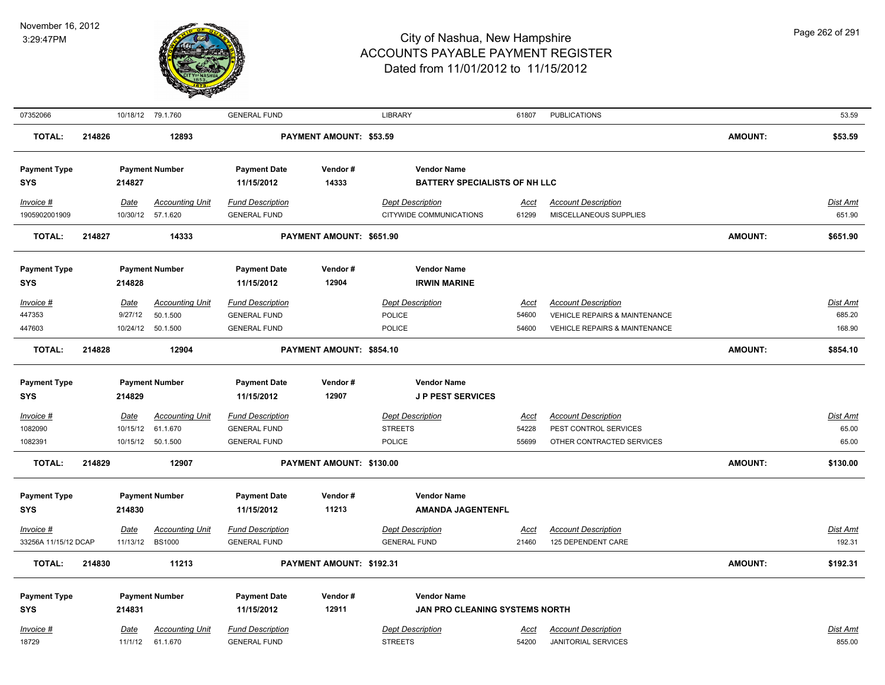

| 07352066                          |        |                  | 10/18/12 79.1.760                       | <b>GENERAL FUND</b>                            |                          | <b>LIBRARY</b>                                 | 61807                | <b>PUBLICATIONS</b>                              |                | 53.59              |
|-----------------------------------|--------|------------------|-----------------------------------------|------------------------------------------------|--------------------------|------------------------------------------------|----------------------|--------------------------------------------------|----------------|--------------------|
| <b>TOTAL:</b>                     | 214826 |                  | 12893                                   |                                                | PAYMENT AMOUNT: \$53.59  |                                                |                      |                                                  | <b>AMOUNT:</b> | \$53.59            |
| <b>Payment Type</b>               |        |                  | <b>Payment Number</b>                   | <b>Payment Date</b>                            | Vendor#                  | <b>Vendor Name</b>                             |                      |                                                  |                |                    |
| SYS                               |        | 214827           |                                         | 11/15/2012                                     | 14333                    | <b>BATTERY SPECIALISTS OF NH LLC</b>           |                      |                                                  |                |                    |
| Invoice #                         |        | Date             | <b>Accounting Unit</b>                  | <b>Fund Description</b>                        |                          | <b>Dept Description</b>                        | <u>Acct</u>          | <b>Account Description</b>                       |                | <b>Dist Amt</b>    |
| 1905902001909                     |        |                  | 10/30/12 57.1.620                       | <b>GENERAL FUND</b>                            |                          | CITYWIDE COMMUNICATIONS                        | 61299                | MISCELLANEOUS SUPPLIES                           |                | 651.90             |
| <b>TOTAL:</b>                     | 214827 |                  | 14333                                   |                                                | PAYMENT AMOUNT: \$651.90 |                                                |                      |                                                  | <b>AMOUNT:</b> | \$651.90           |
|                                   |        |                  |                                         |                                                |                          |                                                |                      |                                                  |                |                    |
| <b>Payment Type</b>               |        |                  | <b>Payment Number</b>                   | <b>Payment Date</b>                            | Vendor#                  | <b>Vendor Name</b>                             |                      |                                                  |                |                    |
| <b>SYS</b>                        |        | 214828           |                                         | 11/15/2012                                     | 12904                    | <b>IRWIN MARINE</b>                            |                      |                                                  |                |                    |
| Invoice #                         |        | Date             | <b>Accounting Unit</b>                  | <b>Fund Description</b>                        |                          | <b>Dept Description</b>                        | <b>Acct</b>          | <b>Account Description</b>                       |                | Dist Amt           |
| 447353                            |        | 9/27/12          | 50.1.500                                | <b>GENERAL FUND</b>                            |                          | POLICE                                         | 54600                | VEHICLE REPAIRS & MAINTENANCE                    |                | 685.20             |
| 447603                            |        | 10/24/12         | 50.1.500                                | <b>GENERAL FUND</b>                            |                          | POLICE                                         | 54600                | VEHICLE REPAIRS & MAINTENANCE                    |                | 168.90             |
| <b>TOTAL:</b>                     | 214828 |                  | 12904                                   |                                                | PAYMENT AMOUNT: \$854.10 |                                                |                      |                                                  | <b>AMOUNT:</b> | \$854.10           |
|                                   |        |                  |                                         |                                                |                          |                                                |                      |                                                  |                |                    |
| <b>Payment Type</b>               |        |                  | <b>Payment Number</b>                   | <b>Payment Date</b>                            | Vendor#                  | <b>Vendor Name</b>                             |                      |                                                  |                |                    |
| SYS                               |        | 214829           |                                         | 11/15/2012                                     | 12907                    | <b>JP PEST SERVICES</b>                        |                      |                                                  |                |                    |
| $Invoice$ #                       |        | Date             | <b>Accounting Unit</b>                  | <b>Fund Description</b>                        |                          | <b>Dept Description</b>                        | <b>Acct</b>          | <b>Account Description</b>                       |                | <b>Dist Amt</b>    |
| 1082090                           |        | 10/15/12         | 61.1.670                                | <b>GENERAL FUND</b>                            |                          | <b>STREETS</b>                                 | 54228                | PEST CONTROL SERVICES                            |                | 65.00              |
| 1082391                           |        |                  | 10/15/12 50.1.500                       | <b>GENERAL FUND</b>                            |                          | POLICE                                         | 55699                | OTHER CONTRACTED SERVICES                        |                | 65.00              |
| <b>TOTAL:</b>                     | 214829 |                  | 12907                                   |                                                | PAYMENT AMOUNT: \$130.00 |                                                |                      |                                                  | <b>AMOUNT:</b> | \$130.00           |
| <b>Payment Type</b>               |        |                  | <b>Payment Number</b>                   | <b>Payment Date</b>                            | Vendor#                  | <b>Vendor Name</b>                             |                      |                                                  |                |                    |
| <b>SYS</b>                        |        | 214830           |                                         | 11/15/2012                                     | 11213                    | <b>AMANDA JAGENTENFL</b>                       |                      |                                                  |                |                    |
|                                   |        |                  |                                         |                                                |                          |                                                |                      |                                                  |                |                    |
| Invoice #<br>33256A 11/15/12 DCAP |        | Date<br>11/13/12 | <b>Accounting Unit</b><br><b>BS1000</b> | <b>Fund Description</b><br><b>GENERAL FUND</b> |                          | <b>Dept Description</b><br><b>GENERAL FUND</b> | <u>Acct</u><br>21460 | <b>Account Description</b><br>125 DEPENDENT CARE |                | Dist Amt<br>192.31 |
|                                   |        |                  |                                         |                                                |                          |                                                |                      |                                                  |                |                    |
| <b>TOTAL:</b>                     | 214830 |                  | 11213                                   |                                                | PAYMENT AMOUNT: \$192.31 |                                                |                      |                                                  | <b>AMOUNT:</b> | \$192.31           |
| <b>Payment Type</b>               |        |                  | <b>Payment Number</b>                   | <b>Payment Date</b>                            | Vendor#                  | <b>Vendor Name</b>                             |                      |                                                  |                |                    |
| <b>SYS</b>                        |        | 214831           |                                         | 11/15/2012                                     | 12911                    | JAN PRO CLEANING SYSTEMS NORTH                 |                      |                                                  |                |                    |
| Invoice #                         |        | Date             | <b>Accounting Unit</b>                  | <b>Fund Description</b>                        |                          | <b>Dept Description</b>                        | Acct                 | <b>Account Description</b>                       |                | Dist Amt           |
| 18729                             |        | 11/1/12          | 61.1.670                                | <b>GENERAL FUND</b>                            |                          | <b>STREETS</b>                                 | 54200                | <b>JANITORIAL SERVICES</b>                       |                | 855.00             |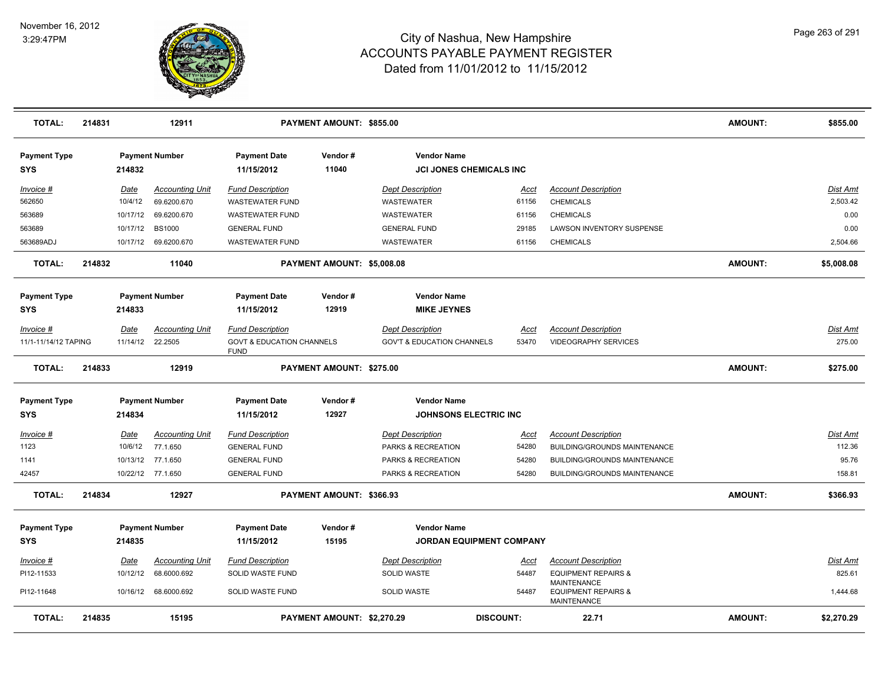

| <b>TOTAL:</b>                     | 214831 |             | 12911                  |                                                     | PAYMENT AMOUNT: \$855.00   |                                                      |                  |                                                                            | <b>AMOUNT:</b> | \$855.00        |
|-----------------------------------|--------|-------------|------------------------|-----------------------------------------------------|----------------------------|------------------------------------------------------|------------------|----------------------------------------------------------------------------|----------------|-----------------|
| <b>Payment Type</b><br><b>SYS</b> |        | 214832      | <b>Payment Number</b>  | <b>Payment Date</b><br>11/15/2012                   | Vendor#<br>11040           | <b>Vendor Name</b><br><b>JCI JONES CHEMICALS INC</b> |                  |                                                                            |                |                 |
| Invoice #                         |        | Date        | <b>Accounting Unit</b> | <b>Fund Description</b>                             |                            | <b>Dept Description</b>                              | Acct             | <b>Account Description</b>                                                 |                | <b>Dist Amt</b> |
| 562650                            |        | 10/4/12     | 69.6200.670            | WASTEWATER FUND                                     |                            | <b>WASTEWATER</b>                                    | 61156            | <b>CHEMICALS</b>                                                           |                | 2,503.42        |
| 563689                            |        | 10/17/12    | 69.6200.670            | WASTEWATER FUND                                     |                            | <b>WASTEWATER</b>                                    | 61156            | <b>CHEMICALS</b>                                                           |                | 0.00            |
| 563689                            |        | 10/17/12    | <b>BS1000</b>          | <b>GENERAL FUND</b>                                 |                            | <b>GENERAL FUND</b>                                  | 29185            | LAWSON INVENTORY SUSPENSE                                                  |                | 0.00            |
| 563689ADJ                         |        |             | 10/17/12 69.6200.670   | <b>WASTEWATER FUND</b>                              |                            | <b>WASTEWATER</b>                                    | 61156            | <b>CHEMICALS</b>                                                           |                | 2,504.66        |
| <b>TOTAL:</b>                     | 214832 |             | 11040                  |                                                     | PAYMENT AMOUNT: \$5,008.08 |                                                      |                  |                                                                            | <b>AMOUNT:</b> | \$5,008.08      |
| <b>Payment Type</b><br>SYS        |        | 214833      | <b>Payment Number</b>  | <b>Payment Date</b><br>11/15/2012                   | Vendor#<br>12919           | <b>Vendor Name</b><br><b>MIKE JEYNES</b>             |                  |                                                                            |                |                 |
|                                   |        |             |                        |                                                     |                            |                                                      |                  |                                                                            |                |                 |
| Invoice #                         |        | Date        | <b>Accounting Unit</b> | <b>Fund Description</b>                             |                            | <b>Dept Description</b>                              | Acct             | <b>Account Description</b>                                                 |                | Dist Amt        |
| 11/1-11/14/12 TAPING              |        | 11/14/12    | 22.2505                | <b>GOVT &amp; EDUCATION CHANNELS</b><br><b>FUND</b> |                            | <b>GOV'T &amp; EDUCATION CHANNELS</b>                | 53470            | <b>VIDEOGRAPHY SERVICES</b>                                                |                | 275.00          |
| <b>TOTAL:</b>                     | 214833 |             | 12919                  |                                                     | PAYMENT AMOUNT: \$275.00   |                                                      |                  |                                                                            | <b>AMOUNT:</b> | \$275.00        |
| <b>Payment Type</b>               |        |             | <b>Payment Number</b>  | <b>Payment Date</b>                                 | Vendor#                    | <b>Vendor Name</b>                                   |                  |                                                                            |                |                 |
| <b>SYS</b>                        |        | 214834      |                        | 11/15/2012                                          | 12927                      | <b>JOHNSONS ELECTRIC INC</b>                         |                  |                                                                            |                |                 |
| Invoice #                         |        | <b>Date</b> | <b>Accounting Unit</b> | <b>Fund Description</b>                             |                            | <b>Dept Description</b>                              | <u>Acct</u>      | <b>Account Description</b>                                                 |                | Dist Amt        |
| 1123                              |        | 10/6/12     | 77.1.650               | <b>GENERAL FUND</b>                                 |                            | PARKS & RECREATION                                   | 54280            | <b>BUILDING/GROUNDS MAINTENANCE</b>                                        |                | 112.36          |
| 1141                              |        | 10/13/12    | 77.1.650               | <b>GENERAL FUND</b>                                 |                            | PARKS & RECREATION                                   | 54280            | BUILDING/GROUNDS MAINTENANCE                                               |                | 95.76           |
| 42457                             |        |             | 10/22/12 77.1.650      | <b>GENERAL FUND</b>                                 |                            | PARKS & RECREATION                                   | 54280            | <b>BUILDING/GROUNDS MAINTENANCE</b>                                        |                | 158.81          |
| <b>TOTAL:</b>                     | 214834 |             | 12927                  |                                                     | PAYMENT AMOUNT: \$366.93   |                                                      |                  |                                                                            | <b>AMOUNT:</b> | \$366.93        |
| <b>Payment Type</b>               |        |             | <b>Payment Number</b>  | <b>Payment Date</b>                                 | Vendor#                    | <b>Vendor Name</b>                                   |                  |                                                                            |                |                 |
| <b>SYS</b>                        |        | 214835      |                        | 11/15/2012                                          | 15195                      | JORDAN EQUIPMENT COMPANY                             |                  |                                                                            |                |                 |
| $Invoice$ #                       |        | Date        | <b>Accounting Unit</b> | <b>Fund Description</b>                             |                            | <b>Dept Description</b>                              | <u>Acct</u>      | <b>Account Description</b>                                                 |                | Dist Amt        |
| PI12-11533                        |        | 10/12/12    | 68.6000.692            | SOLID WASTE FUND                                    |                            | SOLID WASTE                                          | 54487            | <b>EQUIPMENT REPAIRS &amp;</b>                                             |                | 825.61          |
| PI12-11648                        |        |             | 10/16/12 68.6000.692   | SOLID WASTE FUND                                    |                            | <b>SOLID WASTE</b>                                   | 54487            | <b>MAINTENANCE</b><br><b>EQUIPMENT REPAIRS &amp;</b><br><b>MAINTENANCE</b> |                | 1,444.68        |
| <b>TOTAL:</b>                     | 214835 |             | 15195                  |                                                     | PAYMENT AMOUNT: \$2,270.29 |                                                      | <b>DISCOUNT:</b> | 22.71                                                                      | <b>AMOUNT:</b> | \$2,270.29      |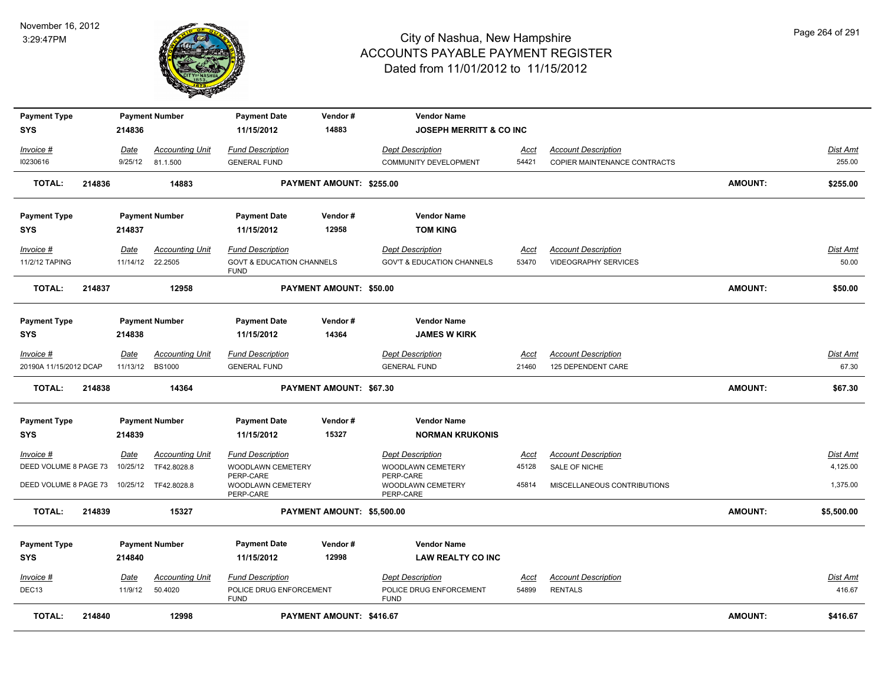

| <b>Payment Type</b><br><b>SYS</b>   |        | 214836           | <b>Payment Number</b>                     | <b>Payment Date</b><br>11/15/2012                               | Vendor#<br>14883               | <b>Vendor Name</b><br><b>JOSEPH MERRITT &amp; CO INC</b>         |                      |                                                            |                |                          |
|-------------------------------------|--------|------------------|-------------------------------------------|-----------------------------------------------------------------|--------------------------------|------------------------------------------------------------------|----------------------|------------------------------------------------------------|----------------|--------------------------|
|                                     |        |                  |                                           |                                                                 |                                |                                                                  |                      |                                                            |                |                          |
| Invoice #                           |        | Date             | <b>Accounting Unit</b>                    | <b>Fund Description</b>                                         |                                | <b>Dept Description</b>                                          | <u>Acct</u>          | <b>Account Description</b><br>COPIER MAINTENANCE CONTRACTS |                | Dist Amt<br>255.00       |
| 10230616                            |        | 9/25/12          | 81.1.500                                  | <b>GENERAL FUND</b>                                             |                                | <b>COMMUNITY DEVELOPMENT</b>                                     | 54421                |                                                            |                |                          |
| <b>TOTAL:</b>                       | 214836 |                  | 14883                                     |                                                                 | PAYMENT AMOUNT: \$255.00       |                                                                  |                      |                                                            | AMOUNT:        | \$255.00                 |
| <b>Payment Type</b>                 |        |                  | <b>Payment Number</b>                     | <b>Payment Date</b>                                             | Vendor#                        | <b>Vendor Name</b>                                               |                      |                                                            |                |                          |
| <b>SYS</b>                          |        | 214837           |                                           | 11/15/2012                                                      | 12958                          | <b>TOM KING</b>                                                  |                      |                                                            |                |                          |
| Invoice #<br>11/2/12 TAPING         |        | Date<br>11/14/12 | <b>Accounting Unit</b><br>22.2505         | <b>Fund Description</b><br><b>GOVT &amp; EDUCATION CHANNELS</b> |                                | <b>Dept Description</b><br><b>GOV'T &amp; EDUCATION CHANNELS</b> | Acct<br>53470        | <b>Account Description</b><br>VIDEOGRAPHY SERVICES         |                | Dist Amt<br>50.00        |
| TOTAL:                              | 214837 |                  | 12958                                     | <b>FUND</b>                                                     | <b>PAYMENT AMOUNT: \$50.00</b> |                                                                  |                      |                                                            | AMOUNT:        | \$50.00                  |
| <b>Payment Type</b>                 |        |                  | <b>Payment Number</b>                     | <b>Payment Date</b>                                             | Vendor#                        | <b>Vendor Name</b>                                               |                      |                                                            |                |                          |
| <b>SYS</b>                          |        | 214838           |                                           | 11/15/2012                                                      | 14364                          | <b>JAMES W KIRK</b>                                              |                      |                                                            |                |                          |
| Invoice #<br>20190A 11/15/2012 DCAP |        | <u>Date</u>      | <b>Accounting Unit</b><br>11/13/12 BS1000 | <b>Fund Description</b><br><b>GENERAL FUND</b>                  |                                | <b>Dept Description</b><br><b>GENERAL FUND</b>                   | <b>Acct</b><br>21460 | <b>Account Description</b><br>125 DEPENDENT CARE           |                | <b>Dist Amt</b><br>67.30 |
| <b>TOTAL:</b>                       | 214838 |                  | 14364                                     |                                                                 | PAYMENT AMOUNT: \$67.30        |                                                                  |                      |                                                            | <b>AMOUNT:</b> | \$67.30                  |
|                                     |        |                  |                                           |                                                                 |                                | <b>Vendor Name</b>                                               |                      |                                                            |                |                          |
| <b>Payment Type</b><br><b>SYS</b>   |        | 214839           | <b>Payment Number</b>                     | <b>Payment Date</b><br>11/15/2012                               | Vendor#<br>15327               | <b>NORMAN KRUKONIS</b>                                           |                      |                                                            |                |                          |
| Invoice #                           |        | Date             | <b>Accounting Unit</b>                    | <b>Fund Description</b>                                         |                                | <b>Dept Description</b>                                          | <b>Acct</b>          | <b>Account Description</b>                                 |                | Dist Amt                 |
| DEED VOLUME 8 PAGE 73               |        | 10/25/12         | TF42.8028.8                               | WOODLAWN CEMETERY                                               |                                | <b>WOODLAWN CEMETERY</b>                                         | 45128                | SALE OF NICHE                                              |                | 4,125.00                 |
| DEED VOLUME 8 PAGE 73               |        | 10/25/12         | TF42.8028.8                               | PERP-CARE<br>WOODLAWN CEMETERY<br>PERP-CARE                     |                                | PERP-CARE<br>WOODLAWN CEMETERY<br>PERP-CARE                      | 45814                | MISCELLANEOUS CONTRIBUTIONS                                |                | 1,375.00                 |
| <b>TOTAL:</b>                       | 214839 |                  | 15327                                     |                                                                 | PAYMENT AMOUNT: \$5,500.00     |                                                                  |                      |                                                            | AMOUNT:        | \$5,500.00               |
| <b>Payment Type</b>                 |        |                  | <b>Payment Number</b>                     | <b>Payment Date</b>                                             | Vendor#                        | <b>Vendor Name</b>                                               |                      |                                                            |                |                          |
| <b>SYS</b>                          |        | 214840           |                                           | 11/15/2012                                                      | 12998                          | <b>LAW REALTY CO INC</b>                                         |                      |                                                            |                |                          |
| Invoice #                           |        | Date             | <b>Accounting Unit</b>                    | <b>Fund Description</b>                                         |                                | <b>Dept Description</b>                                          | Acct                 | <b>Account Description</b>                                 |                | Dist Amt                 |
| DEC13                               |        | 11/9/12          | 50.4020                                   | POLICE DRUG ENFORCEMENT<br><b>FUND</b>                          |                                | POLICE DRUG ENFORCEMENT<br><b>FUND</b>                           | 54899                | <b>RENTALS</b>                                             |                | 416.67                   |
| <b>TOTAL:</b>                       | 214840 |                  | 12998                                     |                                                                 | PAYMENT AMOUNT: \$416.67       |                                                                  |                      |                                                            | <b>AMOUNT:</b> | \$416.67                 |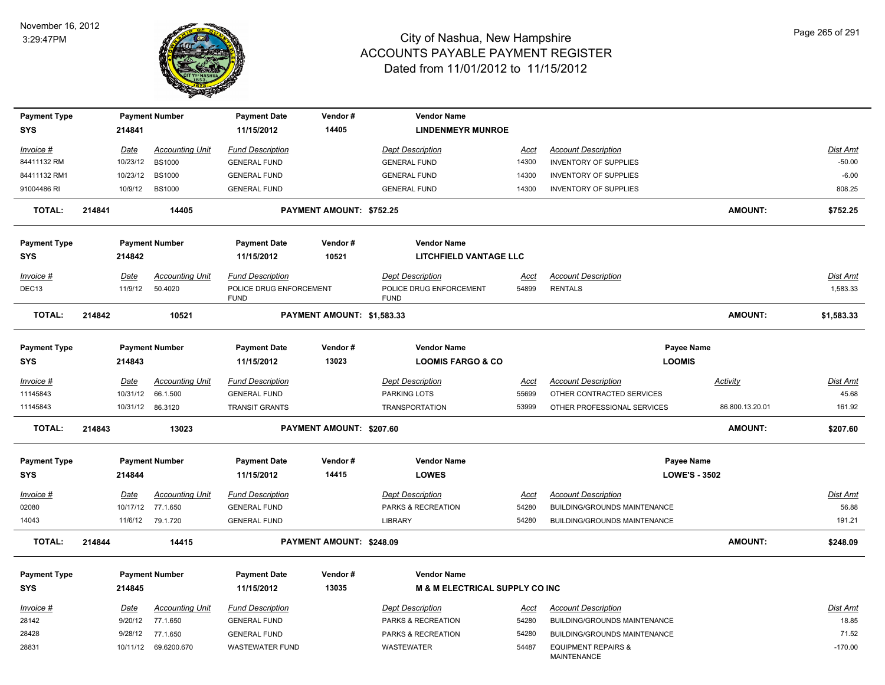

| <b>Payment Type</b>               |        |                  | <b>Payment Number</b>  | <b>Payment Date</b>                    | Vendor#                         | <b>Vendor Name</b>                                 |             |                                                      |                                    |                 |
|-----------------------------------|--------|------------------|------------------------|----------------------------------------|---------------------------------|----------------------------------------------------|-------------|------------------------------------------------------|------------------------------------|-----------------|
| <b>SYS</b>                        |        | 214841           |                        | 11/15/2012                             | 14405                           | <b>LINDENMEYR MUNROE</b>                           |             |                                                      |                                    |                 |
| Invoice #                         |        | <b>Date</b>      | <b>Accounting Unit</b> | <b>Fund Description</b>                |                                 | <b>Dept Description</b>                            | <u>Acct</u> | <b>Account Description</b>                           |                                    | Dist Amt        |
| 84411132 RM                       |        | 10/23/12         | <b>BS1000</b>          | <b>GENERAL FUND</b>                    |                                 | <b>GENERAL FUND</b>                                | 14300       | INVENTORY OF SUPPLIES                                |                                    | $-50.00$        |
| 84411132 RM1                      |        | 10/23/12         | <b>BS1000</b>          | <b>GENERAL FUND</b>                    |                                 | <b>GENERAL FUND</b>                                | 14300       | <b>INVENTORY OF SUPPLIES</b>                         |                                    | $-6.00$         |
| 91004486 RI                       |        | 10/9/12          | <b>BS1000</b>          | <b>GENERAL FUND</b>                    |                                 | <b>GENERAL FUND</b>                                | 14300       | <b>INVENTORY OF SUPPLIES</b>                         |                                    | 808.25          |
| <b>TOTAL:</b>                     | 214841 |                  | 14405                  |                                        | <b>PAYMENT AMOUNT: \$752.25</b> |                                                    |             |                                                      | <b>AMOUNT:</b>                     | \$752.25        |
| <b>Payment Type</b>               |        |                  | <b>Payment Number</b>  | <b>Payment Date</b>                    | Vendor#                         | <b>Vendor Name</b>                                 |             |                                                      |                                    |                 |
| <b>SYS</b>                        |        | 214842           |                        | 11/15/2012                             | 10521                           | <b>LITCHFIELD VANTAGE LLC</b>                      |             |                                                      |                                    |                 |
| Invoice #                         |        | Date             | <b>Accounting Unit</b> | <b>Fund Description</b>                |                                 | <b>Dept Description</b>                            | <u>Acct</u> | <b>Account Description</b>                           |                                    | <b>Dist Amt</b> |
| DEC13                             |        | 11/9/12          | 50.4020                | POLICE DRUG ENFORCEMENT<br><b>FUND</b> |                                 | POLICE DRUG ENFORCEMENT<br><b>FUND</b>             | 54899       | <b>RENTALS</b>                                       |                                    | 1,583.33        |
| <b>TOTAL:</b>                     | 214842 |                  | 10521                  |                                        | PAYMENT AMOUNT: \$1,583.33      |                                                    |             |                                                      | <b>AMOUNT:</b>                     | \$1,583.33      |
| <b>Payment Type</b><br><b>SYS</b> |        | 214843           | <b>Payment Number</b>  | <b>Payment Date</b><br>11/15/2012      | Vendor#<br>13023                | <b>Vendor Name</b><br><b>LOOMIS FARGO &amp; CO</b> |             |                                                      | Payee Name<br><b>LOOMIS</b>        |                 |
| $Invoice$ #                       |        | <b>Date</b>      | <b>Accounting Unit</b> | <b>Fund Description</b>                |                                 | <b>Dept Description</b>                            | <u>Acct</u> | <b>Account Description</b>                           | <b>Activity</b>                    | <b>Dist Amt</b> |
| 11145843                          |        | 10/31/12         | 66.1.500               | <b>GENERAL FUND</b>                    |                                 | PARKING LOTS                                       | 55699       | OTHER CONTRACTED SERVICES                            |                                    | 45.68           |
| 11145843                          |        | 10/31/12 86.3120 |                        | <b>TRANSIT GRANTS</b>                  |                                 | <b>TRANSPORTATION</b>                              | 53999       | OTHER PROFESSIONAL SERVICES                          | 86.800.13.20.01                    | 161.92          |
| <b>TOTAL:</b>                     | 214843 |                  | 13023                  |                                        | PAYMENT AMOUNT: \$207.60        |                                                    |             |                                                      | <b>AMOUNT:</b>                     | \$207.60        |
| <b>Payment Type</b><br><b>SYS</b> |        | 214844           | <b>Payment Number</b>  | <b>Payment Date</b><br>11/15/2012      | Vendor#<br>14415                | <b>Vendor Name</b><br><b>LOWES</b>                 |             |                                                      | Payee Name<br><b>LOWE'S - 3502</b> |                 |
| Invoice #                         |        | <b>Date</b>      | <b>Accounting Unit</b> | <b>Fund Description</b>                |                                 | <b>Dept Description</b>                            | Acct        | <b>Account Description</b>                           |                                    | Dist Amt        |
| 02080                             |        | 10/17/12         | 77.1.650               | <b>GENERAL FUND</b>                    |                                 | PARKS & RECREATION                                 | 54280       | BUILDING/GROUNDS MAINTENANCE                         |                                    | 56.88           |
| 14043                             |        | 11/6/12          | 79.1.720               | <b>GENERAL FUND</b>                    |                                 | <b>LIBRARY</b>                                     | 54280       | BUILDING/GROUNDS MAINTENANCE                         |                                    | 191.21          |
| <b>TOTAL:</b>                     | 214844 |                  | 14415                  |                                        | PAYMENT AMOUNT: \$248.09        |                                                    |             |                                                      | <b>AMOUNT:</b>                     | \$248.09        |
| <b>Payment Type</b>               |        |                  | <b>Payment Number</b>  | <b>Payment Date</b>                    | Vendor#                         | <b>Vendor Name</b>                                 |             |                                                      |                                    |                 |
| <b>SYS</b>                        |        | 214845           |                        | 11/15/2012                             | 13035                           | <b>M &amp; M ELECTRICAL SUPPLY CO INC</b>          |             |                                                      |                                    |                 |
| Invoice #                         |        | <u>Date</u>      | <b>Accounting Unit</b> | <b>Fund Description</b>                |                                 | <b>Dept Description</b>                            | <u>Acct</u> | <b>Account Description</b>                           |                                    | <b>Dist Amt</b> |
| 28142                             |        | 9/20/12          | 77.1.650               | <b>GENERAL FUND</b>                    |                                 | PARKS & RECREATION                                 | 54280       | BUILDING/GROUNDS MAINTENANCE                         |                                    | 18.85           |
| 28428                             |        | 9/28/12          | 77.1.650               | <b>GENERAL FUND</b>                    |                                 | PARKS & RECREATION                                 | 54280       | <b>BUILDING/GROUNDS MAINTENANCE</b>                  |                                    | 71.52           |
| 28831                             |        |                  | 10/11/12 69.6200.670   | <b>WASTEWATER FUND</b>                 |                                 | WASTEWATER                                         | 54487       | <b>EQUIPMENT REPAIRS &amp;</b><br><b>MAINTENANCE</b> |                                    | $-170.00$       |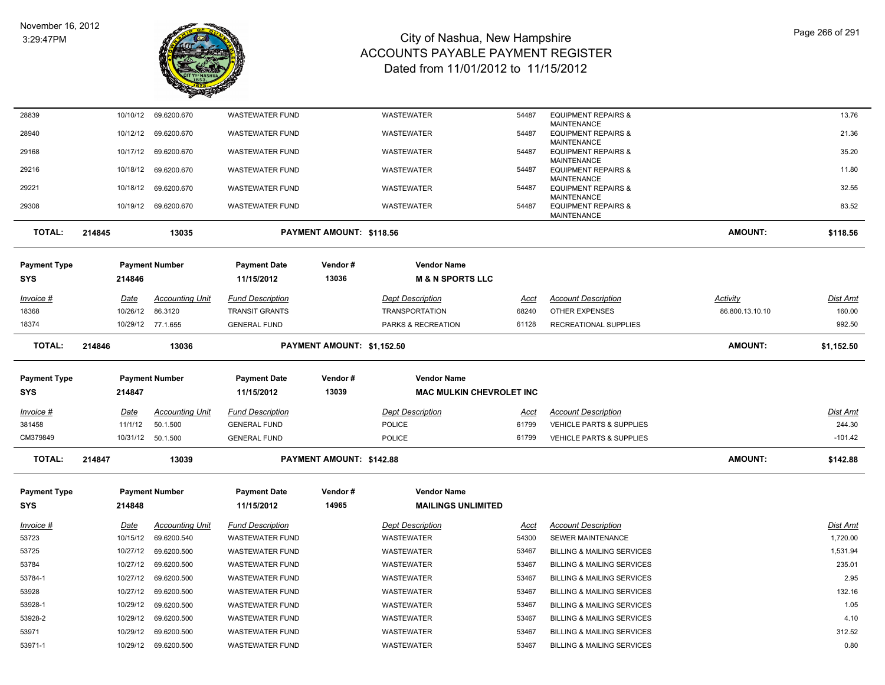

| 28839                      | 10/10/12    | 69.6200.670            | <b>WASTEWATER FUND</b>            |                            | WASTEWATER                                            | 54487       | <b>EQUIPMENT REPAIRS &amp;</b>                       |                 | 13.76           |
|----------------------------|-------------|------------------------|-----------------------------------|----------------------------|-------------------------------------------------------|-------------|------------------------------------------------------|-----------------|-----------------|
| 28940                      | 10/12/12    | 69.6200.670            | <b>WASTEWATER FUND</b>            |                            | WASTEWATER                                            | 54487       | MAINTENANCE<br><b>EQUIPMENT REPAIRS &amp;</b>        |                 | 21.36           |
| 29168                      | 10/17/12    | 69.6200.670            | <b>WASTEWATER FUND</b>            |                            | WASTEWATER                                            | 54487       | <b>MAINTENANCE</b><br><b>EQUIPMENT REPAIRS &amp;</b> |                 | 35.20           |
|                            |             |                        |                                   |                            |                                                       |             | MAINTENANCE                                          |                 |                 |
| 29216                      | 10/18/12    | 69.6200.670            | <b>WASTEWATER FUND</b>            |                            | WASTEWATER                                            | 54487       | <b>EQUIPMENT REPAIRS &amp;</b><br><b>MAINTENANCE</b> |                 | 11.80           |
| 29221                      | 10/18/12    | 69.6200.670            | <b>WASTEWATER FUND</b>            |                            | WASTEWATER                                            | 54487       | <b>EQUIPMENT REPAIRS &amp;</b><br><b>MAINTENANCE</b> |                 | 32.55           |
| 29308                      |             | 10/19/12 69.6200.670   | <b>WASTEWATER FUND</b>            |                            | WASTEWATER                                            | 54487       | <b>EQUIPMENT REPAIRS &amp;</b><br><b>MAINTENANCE</b> |                 | 83.52           |
| <b>TOTAL:</b>              | 214845      | 13035                  |                                   | PAYMENT AMOUNT: \$118.56   |                                                       |             |                                                      | AMOUNT:         | \$118.56        |
| <b>Payment Type</b>        |             | <b>Payment Number</b>  | <b>Payment Date</b>               | Vendor#                    | <b>Vendor Name</b>                                    |             |                                                      |                 |                 |
| <b>SYS</b>                 | 214846      |                        | 11/15/2012                        | 13036                      | <b>M &amp; N SPORTS LLC</b>                           |             |                                                      |                 |                 |
| <u>Invoice #</u>           | <u>Date</u> | <b>Accounting Unit</b> | <b>Fund Description</b>           |                            | <b>Dept Description</b>                               | <u>Acct</u> | <b>Account Description</b>                           | <b>Activity</b> | <u>Dist Amt</u> |
| 18368                      | 10/26/12    | 86.3120                | <b>TRANSIT GRANTS</b>             |                            | <b>TRANSPORTATION</b>                                 | 68240       | <b>OTHER EXPENSES</b>                                | 86.800.13.10.10 | 160.00          |
| 18374                      |             | 10/29/12 77.1.655      | <b>GENERAL FUND</b>               |                            | PARKS & RECREATION                                    | 61128       | <b>RECREATIONAL SUPPLIES</b>                         |                 | 992.50          |
| <b>TOTAL:</b>              | 214846      | 13036                  |                                   | PAYMENT AMOUNT: \$1,152.50 |                                                       |             |                                                      | AMOUNT:         | \$1,152.50      |
|                            |             |                        |                                   | Vendor#                    |                                                       |             |                                                      |                 |                 |
| Payment Type<br><b>SYS</b> | 214847      | <b>Payment Number</b>  | <b>Payment Date</b><br>11/15/2012 | 13039                      | <b>Vendor Name</b><br><b>MAC MULKIN CHEVROLET INC</b> |             |                                                      |                 |                 |
|                            |             |                        |                                   |                            |                                                       |             |                                                      |                 |                 |
| <u> Invoice #</u>          | <u>Date</u> | <b>Accounting Unit</b> | Fund Description                  |                            | <b>Dept Description</b>                               | Acct        | <b>Account Description</b>                           |                 | Dist Amt        |
| 381458                     | 11/1/12     | 50.1.500               | <b>GENERAL FUND</b>               |                            | <b>POLICE</b>                                         | 61799       | <b>VEHICLE PARTS &amp; SUPPLIES</b>                  |                 | 244.30          |
| CM379849                   |             | 10/31/12  50.1.500     | <b>GENERAL FUND</b>               |                            | POLICE                                                | 61799       | VEHICLE PARTS & SUPPLIES                             |                 | $-101.42$       |
| <b>TOTAL:</b>              | 214847      | 13039                  |                                   | PAYMENT AMOUNT: \$142.88   |                                                       |             |                                                      | AMOUNT:         | \$142.88        |
| <b>Payment Type</b>        |             | <b>Payment Number</b>  | <b>Payment Date</b>               | Vendor#                    | <b>Vendor Name</b>                                    |             |                                                      |                 |                 |
| <b>SYS</b>                 | 214848      |                        | 11/15/2012                        | 14965                      | <b>MAILINGS UNLIMITED</b>                             |             |                                                      |                 |                 |
| <u>Invoice #</u>           | Date        | <b>Accounting Unit</b> | <b>Fund Description</b>           |                            | <b>Dept Description</b>                               | Acct        | <b>Account Description</b>                           |                 | Dist Amt        |
| 53723                      | 10/15/12    | 69.6200.540            | <b>WASTEWATER FUND</b>            |                            | <b>WASTEWATER</b>                                     | 54300       | <b>SEWER MAINTENANCE</b>                             |                 | 1.720.00        |
| 53725                      | 10/27/12    | 69.6200.500            | <b>WASTEWATER FUND</b>            |                            | WASTEWATER                                            | 53467       | <b>BILLING &amp; MAILING SERVICES</b>                |                 | 1,531.94        |
| 53784                      | 10/27/12    | 69.6200.500            | <b>WASTEWATER FUND</b>            |                            | WASTEWATER                                            | 53467       | <b>BILLING &amp; MAILING SERVICES</b>                |                 | 235.01          |
| 53784-1                    | 10/27/12    | 69.6200.500            | <b>WASTEWATER FUND</b>            |                            | WASTEWATER                                            | 53467       | <b>BILLING &amp; MAILING SERVICES</b>                |                 | 2.95            |
| 53928                      | 10/27/12    | 69.6200.500            | <b>WASTEWATER FUND</b>            |                            | WASTEWATER                                            | 53467       | <b>BILLING &amp; MAILING SERVICES</b>                |                 | 132.16          |
| 53928-1                    | 10/29/12    | 69.6200.500            | <b>WASTEWATER FUND</b>            |                            | WASTEWATER                                            | 53467       | <b>BILLING &amp; MAILING SERVICES</b>                |                 | 1.05            |
| 53928-2                    | 10/29/12    | 69.6200.500            | <b>WASTEWATER FUND</b>            |                            | WASTEWATER                                            | 53467       | <b>BILLING &amp; MAILING SERVICES</b>                |                 | 4.10            |
| 53971                      | 10/29/12    | 69.6200.500            | <b>WASTEWATER FUND</b>            |                            | WASTEWATER                                            | 53467       | <b>BILLING &amp; MAILING SERVICES</b>                |                 | 312.52          |
| 53971-1                    | 10/29/12    | 69.6200.500            | <b>WASTEWATER FUND</b>            |                            | WASTEWATER                                            | 53467       | <b>BILLING &amp; MAILING SERVICES</b>                |                 | 0.80            |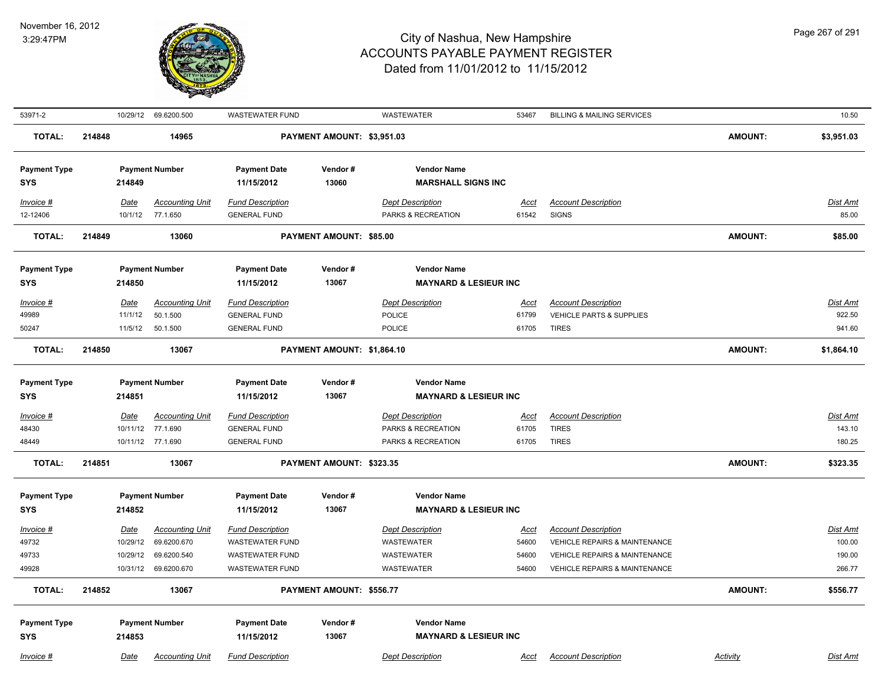

| 53971-2             |        | 10/29/12    | 69.6200.500            | <b>WASTEWATER FUND</b>  |                            | WASTEWATER                       | 53467       | <b>BILLING &amp; MAILING SERVICES</b>    |                | 10.50           |
|---------------------|--------|-------------|------------------------|-------------------------|----------------------------|----------------------------------|-------------|------------------------------------------|----------------|-----------------|
| <b>TOTAL:</b>       | 214848 |             | 14965                  |                         | PAYMENT AMOUNT: \$3,951.03 |                                  |             |                                          | AMOUNT:        | \$3,951.03      |
| <b>Payment Type</b> |        |             | <b>Payment Number</b>  | <b>Payment Date</b>     | Vendor#                    | <b>Vendor Name</b>               |             |                                          |                |                 |
| <b>SYS</b>          |        | 214849      |                        | 11/15/2012              | 13060                      | <b>MARSHALL SIGNS INC</b>        |             |                                          |                |                 |
| Invoice #           |        | <u>Date</u> | <b>Accounting Unit</b> | <b>Fund Description</b> |                            | <b>Dept Description</b>          | <u>Acct</u> | <b>Account Description</b>               |                | Dist Amt        |
| 12-12406            |        |             | 10/1/12 77.1.650       | <b>GENERAL FUND</b>     |                            | PARKS & RECREATION               | 61542       | <b>SIGNS</b>                             |                | 85.00           |
| <b>TOTAL:</b>       | 214849 |             | 13060                  |                         | PAYMENT AMOUNT: \$85.00    |                                  |             |                                          | AMOUNT:        | \$85.00         |
| <b>Payment Type</b> |        |             | <b>Payment Number</b>  | <b>Payment Date</b>     | Vendor#                    | <b>Vendor Name</b>               |             |                                          |                |                 |
| <b>SYS</b>          |        | 214850      |                        | 11/15/2012              | 13067                      | <b>MAYNARD &amp; LESIEUR INC</b> |             |                                          |                |                 |
| Invoice #           |        | Date        | <b>Accounting Unit</b> | <b>Fund Description</b> |                            | <b>Dept Description</b>          | Acct        | <b>Account Description</b>               |                | <b>Dist Amt</b> |
| 49989               |        | 11/1/12     | 50.1.500               | <b>GENERAL FUND</b>     |                            | <b>POLICE</b>                    | 61799       | <b>VEHICLE PARTS &amp; SUPPLIES</b>      |                | 922.50          |
| 50247               |        | 11/5/12     | 50.1.500               | <b>GENERAL FUND</b>     |                            | POLICE                           | 61705       | <b>TIRES</b>                             |                | 941.60          |
| <b>TOTAL:</b>       | 214850 |             | 13067                  |                         | PAYMENT AMOUNT: \$1,864.10 |                                  |             |                                          | <b>AMOUNT:</b> | \$1,864.10      |
| <b>Payment Type</b> |        |             | <b>Payment Number</b>  | <b>Payment Date</b>     | Vendor#                    | <b>Vendor Name</b>               |             |                                          |                |                 |
| <b>SYS</b>          |        | 214851      |                        | 11/15/2012              | 13067                      | <b>MAYNARD &amp; LESIEUR INC</b> |             |                                          |                |                 |
| <u>Invoice #</u>    |        | <b>Date</b> | <b>Accounting Unit</b> | <b>Fund Description</b> |                            | <b>Dept Description</b>          | <u>Acct</u> | <b>Account Description</b>               |                | <u>Dist Amt</u> |
| 48430               |        | 10/11/12    | 77.1.690               | <b>GENERAL FUND</b>     |                            | PARKS & RECREATION               | 61705       | <b>TIRES</b>                             |                | 143.10          |
| 48449               |        |             | 10/11/12 77.1.690      | <b>GENERAL FUND</b>     |                            | PARKS & RECREATION               | 61705       | <b>TIRES</b>                             |                | 180.25          |
| <b>TOTAL:</b>       | 214851 |             | 13067                  |                         | PAYMENT AMOUNT: \$323.35   |                                  |             |                                          | <b>AMOUNT:</b> | \$323.35        |
| <b>Payment Type</b> |        |             | <b>Payment Number</b>  | <b>Payment Date</b>     | Vendor#                    | <b>Vendor Name</b>               |             |                                          |                |                 |
| <b>SYS</b>          |        | 214852      |                        | 11/15/2012              | 13067                      | <b>MAYNARD &amp; LESIEUR INC</b> |             |                                          |                |                 |
| Invoice #           |        | Date        | <b>Accounting Unit</b> | <b>Fund Description</b> |                            | <b>Dept Description</b>          | <u>Acct</u> | <b>Account Description</b>               |                | Dist Amt        |
| 49732               |        | 10/29/12    | 69.6200.670            | <b>WASTEWATER FUND</b>  |                            | WASTEWATER                       | 54600       | VEHICLE REPAIRS & MAINTENANCE            |                | 100.00          |
| 49733               |        | 10/29/12    | 69.6200.540            | <b>WASTEWATER FUND</b>  |                            | <b>WASTEWATER</b>                | 54600       | <b>VEHICLE REPAIRS &amp; MAINTENANCE</b> |                | 190.00          |
| 49928               |        | 10/31/12    | 69.6200.670            | <b>WASTEWATER FUND</b>  |                            | <b>WASTEWATER</b>                | 54600       | VEHICLE REPAIRS & MAINTENANCE            |                | 266.77          |
| <b>TOTAL:</b>       | 214852 |             | 13067                  |                         | PAYMENT AMOUNT: \$556.77   |                                  |             |                                          | <b>AMOUNT:</b> | \$556.77        |
| <b>Payment Type</b> |        |             | <b>Payment Number</b>  | <b>Payment Date</b>     | Vendor#                    | <b>Vendor Name</b>               |             |                                          |                |                 |
| <b>SYS</b>          |        | 214853      |                        | 11/15/2012              | 13067                      | <b>MAYNARD &amp; LESIEUR INC</b> |             |                                          |                |                 |
|                     |        |             |                        |                         |                            |                                  |             |                                          |                |                 |
| Invoice #           |        | Date        | <b>Accounting Unit</b> | <b>Fund Description</b> |                            | <b>Dept Description</b>          | Acct        | <b>Account Description</b>               | Activity       | <b>Dist Amt</b> |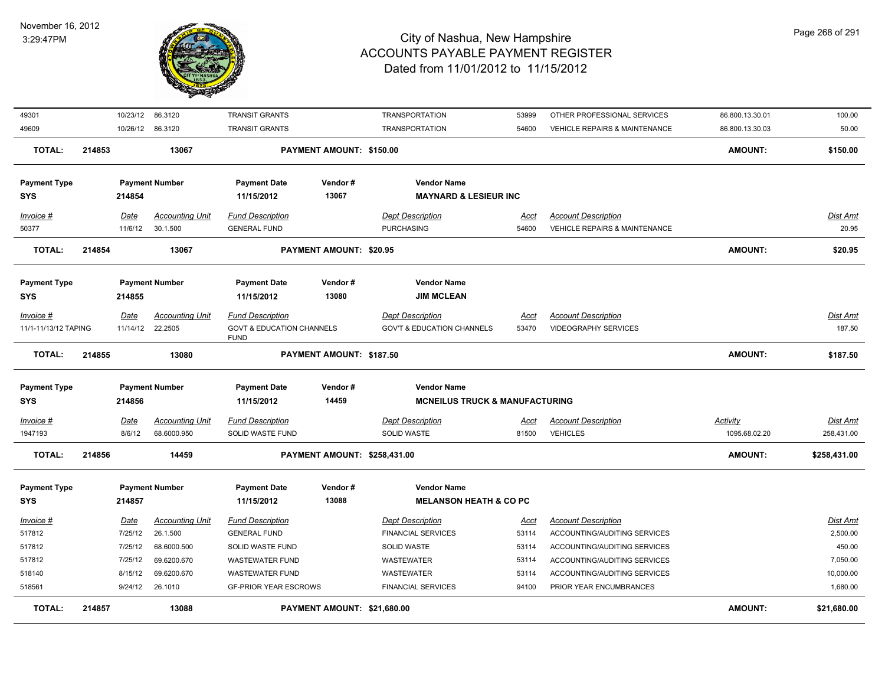

| <b>TOTAL:</b>                     | 214857 |                       | 13088                                 |                                                     | PAYMENT AMOUNT: \$21,680.00         |                                                                 |               |                                               | <b>AMOUNT:</b>                   | \$21.680.00            |
|-----------------------------------|--------|-----------------------|---------------------------------------|-----------------------------------------------------|-------------------------------------|-----------------------------------------------------------------|---------------|-----------------------------------------------|----------------------------------|------------------------|
| 518561                            |        | 9/24/12               | 26.1010                               | <b>GF-PRIOR YEAR ESCROWS</b>                        |                                     | <b>FINANCIAL SERVICES</b>                                       | 94100         | PRIOR YEAR ENCUMBRANCES                       |                                  | 1,680.00               |
| 518140                            |        | 8/15/12               | 69.6200.670                           | <b>WASTEWATER FUND</b>                              |                                     | WASTEWATER                                                      | 53114         | ACCOUNTING/AUDITING SERVICES                  |                                  | 10,000.00              |
| 517812                            |        | 7/25/12               | 69.6200.670                           | <b>WASTEWATER FUND</b>                              |                                     | WASTEWATER                                                      | 53114         | ACCOUNTING/AUDITING SERVICES                  |                                  | 7,050.00               |
| 517812                            |        | 7/25/12               | 68.6000.500                           | SOLID WASTE FUND                                    |                                     | SOLID WASTE                                                     | 53114         | ACCOUNTING/AUDITING SERVICES                  |                                  | 450.00                 |
| 517812                            |        | 7/25/12               | 26.1.500                              | <b>GENERAL FUND</b>                                 |                                     | <b>FINANCIAL SERVICES</b>                                       | 53114         | ACCOUNTING/AUDITING SERVICES                  |                                  | 2,500.00               |
| <b>Invoice #</b>                  |        | <u>Date</u>           | <b>Accounting Unit</b>                | <b>Fund Description</b>                             |                                     | <b>Dept Description</b>                                         | <u>Acct</u>   | <b>Account Description</b>                    |                                  | <u>Dist Amt</u>        |
| <b>Payment Type</b><br><b>SYS</b> |        | 214857                | <b>Payment Number</b>                 | <b>Payment Date</b><br>11/15/2012                   | Vendor#<br>13088                    | <b>Vendor Name</b><br><b>MELANSON HEATH &amp; CO PC</b>         |               |                                               |                                  |                        |
| <b>TOTAL:</b>                     | 214856 |                       | 14459                                 |                                                     | <b>PAYMENT AMOUNT: \$258,431.00</b> |                                                                 |               |                                               | <b>AMOUNT:</b>                   | \$258,431.00           |
| Invoice #<br>1947193              |        | <u>Date</u><br>8/6/12 | <b>Accounting Unit</b><br>68.6000.950 | <b>Fund Description</b><br>SOLID WASTE FUND         |                                     | <b>Dept Description</b><br><b>SOLID WASTE</b>                   | Acct<br>81500 | <b>Account Description</b><br><b>VEHICLES</b> | <b>Activity</b><br>1095.68.02.20 | Dist Amt<br>258,431.00 |
|                                   |        |                       |                                       |                                                     |                                     |                                                                 |               |                                               |                                  |                        |
| <b>Payment Type</b><br><b>SYS</b> |        | 214856                | <b>Payment Number</b>                 | <b>Payment Date</b><br>11/15/2012                   | Vendor#<br>14459                    | <b>Vendor Name</b><br><b>MCNEILUS TRUCK &amp; MANUFACTURING</b> |               |                                               |                                  |                        |
| <b>TOTAL:</b>                     | 214855 |                       | 13080                                 |                                                     | PAYMENT AMOUNT: \$187.50            |                                                                 |               |                                               | <b>AMOUNT:</b>                   | \$187.50               |
| 11/1-11/13/12 TAPING              |        | 11/14/12              | 22.2505                               | <b>GOVT &amp; EDUCATION CHANNELS</b><br><b>FUND</b> |                                     | <b>GOV'T &amp; EDUCATION CHANNELS</b>                           | 53470         | <b>VIDEOGRAPHY SERVICES</b>                   |                                  | 187.50                 |
| Invoice #                         |        | Date                  | <b>Accounting Unit</b>                | <b>Fund Description</b>                             |                                     | <b>Dept Description</b>                                         | <u>Acct</u>   | <b>Account Description</b>                    |                                  | <u>Dist Amt</u>        |
| <b>SYS</b>                        |        | 214855                |                                       | 11/15/2012                                          | 13080                               | <b>JIM MCLEAN</b>                                               |               |                                               |                                  |                        |
| <b>Payment Type</b>               |        |                       | <b>Payment Number</b>                 | <b>Payment Date</b>                                 | Vendor#                             | <b>Vendor Name</b>                                              |               |                                               |                                  |                        |
| <b>TOTAL:</b>                     | 214854 |                       | 13067                                 |                                                     | <b>PAYMENT AMOUNT: \$20.95</b>      |                                                                 |               |                                               | <b>AMOUNT:</b>                   | \$20.95                |
| 50377                             |        | 11/6/12               | 30.1.500                              | <b>GENERAL FUND</b>                                 |                                     | <b>PURCHASING</b>                                               | 54600         | <b>VEHICLE REPAIRS &amp; MAINTENANCE</b>      |                                  | 20.95                  |
| $Invoice$ #                       |        | Date                  | <b>Accounting Unit</b>                | <b>Fund Description</b>                             |                                     | <b>Dept Description</b>                                         | Acct          | <b>Account Description</b>                    |                                  | Dist Amt               |
| <b>SYS</b>                        |        | 214854                |                                       | 11/15/2012                                          | 13067                               | <b>MAYNARD &amp; LESIEUR INC</b>                                |               |                                               |                                  |                        |
| <b>Payment Type</b>               |        |                       | <b>Payment Number</b>                 | Payment Date                                        | Vendor#                             | <b>Vendor Name</b>                                              |               |                                               |                                  |                        |
| <b>TOTAL:</b>                     | 214853 |                       | 13067                                 |                                                     | PAYMENT AMOUNT: \$150.00            |                                                                 |               |                                               | <b>AMOUNT:</b>                   | \$150.00               |
| 49609                             |        |                       | 10/26/12 86.3120                      | <b>TRANSIT GRANTS</b>                               |                                     | <b>TRANSPORTATION</b>                                           | 54600         | <b>VEHICLE REPAIRS &amp; MAINTENANCE</b>      | 86.800.13.30.03                  | 50.00                  |
| 49301                             |        | 10/23/12              | 86.3120                               | TRANSIT GRANTS                                      |                                     | <b>TRANSPORTATION</b>                                           | 53999         | OTHER PROFESSIONAL SERVICES                   | 86.800.13.30.01                  | 100.00                 |
|                                   |        |                       |                                       |                                                     |                                     |                                                                 |               |                                               |                                  |                        |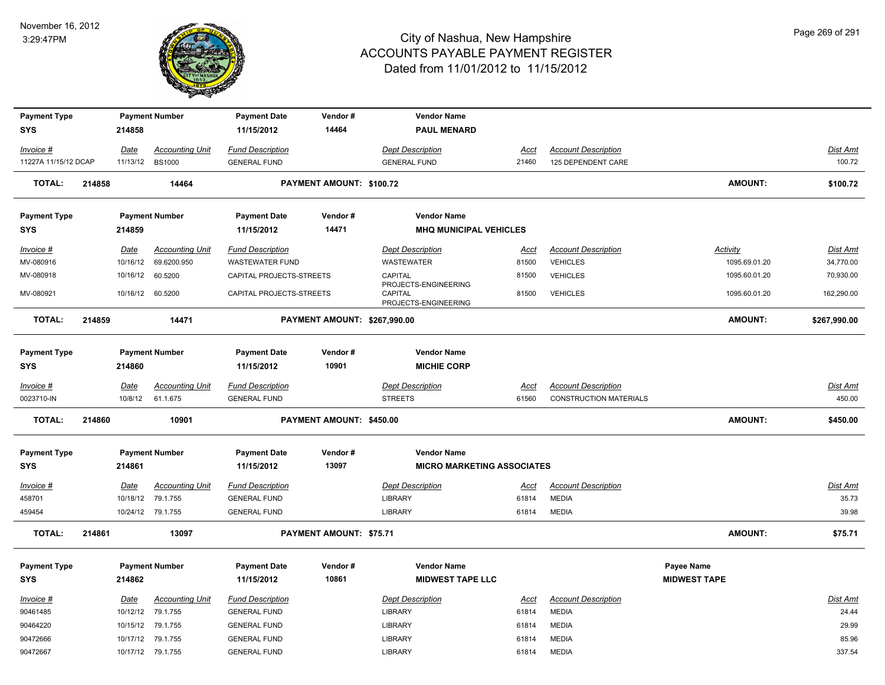

| <b>Payment Type</b>  |        |                  | <b>Payment Number</b>  | <b>Payment Date</b>      | Vendor#                      | <b>Vendor Name</b>                                      |             |                               |                     |                 |
|----------------------|--------|------------------|------------------------|--------------------------|------------------------------|---------------------------------------------------------|-------------|-------------------------------|---------------------|-----------------|
| <b>SYS</b>           |        | 214858           |                        | 11/15/2012               | 14464                        | <b>PAUL MENARD</b>                                      |             |                               |                     |                 |
| Invoice #            |        | Date             | <b>Accounting Unit</b> | <b>Fund Description</b>  |                              | <b>Dept Description</b>                                 | Acct        | <b>Account Description</b>    |                     | Dist Amt        |
| 11227A 11/15/12 DCAP |        | 11/13/12         | <b>BS1000</b>          | <b>GENERAL FUND</b>      |                              | <b>GENERAL FUND</b>                                     | 21460       | 125 DEPENDENT CARE            |                     | 100.72          |
| <b>TOTAL:</b>        | 214858 |                  | 14464                  |                          | PAYMENT AMOUNT: \$100.72     |                                                         |             |                               | <b>AMOUNT:</b>      | \$100.72        |
| <b>Payment Type</b>  |        |                  | <b>Payment Number</b>  | <b>Payment Date</b>      | Vendor#                      | <b>Vendor Name</b>                                      |             |                               |                     |                 |
| <b>SYS</b>           |        | 214859           |                        | 11/15/2012               | 14471                        | <b>MHQ MUNICIPAL VEHICLES</b>                           |             |                               |                     |                 |
| Invoice #            |        | Date             | <b>Accounting Unit</b> | <b>Fund Description</b>  |                              | <b>Dept Description</b>                                 | Acct        | <b>Account Description</b>    | Activity            | Dist Amt        |
| MV-080916            |        | 10/16/12         | 69.6200.950            | <b>WASTEWATER FUND</b>   |                              | WASTEWATER                                              | 81500       | <b>VEHICLES</b>               | 1095.69.01.20       | 34,770.00       |
| MV-080918            |        | 10/16/12         | 60.5200                | CAPITAL PROJECTS-STREETS |                              | CAPITAL                                                 | 81500       | <b>VEHICLES</b>               | 1095.60.01.20       | 70,930.00       |
| MV-080921            |        | 10/16/12 60.5200 |                        | CAPITAL PROJECTS-STREETS |                              | PROJECTS-ENGINEERING<br>CAPITAL<br>PROJECTS-ENGINEERING | 81500       | <b>VEHICLES</b>               | 1095.60.01.20       | 162,290.00      |
| <b>TOTAL:</b>        | 214859 |                  | 14471                  |                          | PAYMENT AMOUNT: \$267,990.00 |                                                         |             |                               | <b>AMOUNT:</b>      | \$267,990.00    |
| <b>Payment Type</b>  |        |                  | <b>Payment Number</b>  | <b>Payment Date</b>      | Vendor#                      | <b>Vendor Name</b>                                      |             |                               |                     |                 |
| <b>SYS</b>           |        | 214860           |                        | 11/15/2012               | 10901                        | <b>MICHIE CORP</b>                                      |             |                               |                     |                 |
| Invoice #            |        | Date             | <b>Accounting Unit</b> | <b>Fund Description</b>  |                              | <b>Dept Description</b>                                 | Acct        | <b>Account Description</b>    |                     | Dist Amt        |
| 0023710-IN           |        | 10/8/12          | 61.1.675               | <b>GENERAL FUND</b>      |                              | <b>STREETS</b>                                          | 61560       | <b>CONSTRUCTION MATERIALS</b> |                     | 450.00          |
| <b>TOTAL:</b>        | 214860 |                  | 10901                  |                          | PAYMENT AMOUNT: \$450.00     |                                                         |             |                               | <b>AMOUNT:</b>      | \$450.00        |
| <b>Payment Type</b>  |        |                  | <b>Payment Number</b>  | <b>Payment Date</b>      | Vendor#                      | <b>Vendor Name</b>                                      |             |                               |                     |                 |
| <b>SYS</b>           |        | 214861           |                        | 11/15/2012               | 13097                        | <b>MICRO MARKETING ASSOCIATES</b>                       |             |                               |                     |                 |
| <u>Invoice #</u>     |        | <b>Date</b>      | <b>Accounting Unit</b> | <b>Fund Description</b>  |                              | <b>Dept Description</b>                                 | <u>Acct</u> | <b>Account Description</b>    |                     | <u>Dist Amt</u> |
| 458701               |        |                  | 10/18/12 79.1.755      | <b>GENERAL FUND</b>      |                              | LIBRARY                                                 | 61814       | <b>MEDIA</b>                  |                     | 35.73           |
| 459454               |        |                  | 10/24/12 79.1.755      | <b>GENERAL FUND</b>      |                              | <b>LIBRARY</b>                                          | 61814       | <b>MEDIA</b>                  |                     | 39.98           |
| <b>TOTAL:</b>        | 214861 |                  | 13097                  |                          | PAYMENT AMOUNT: \$75.71      |                                                         |             |                               | <b>AMOUNT:</b>      | \$75.71         |
| <b>Payment Type</b>  |        |                  | <b>Payment Number</b>  | <b>Payment Date</b>      | Vendor#                      | <b>Vendor Name</b>                                      |             |                               | <b>Payee Name</b>   |                 |
| <b>SYS</b>           |        | 214862           |                        | 11/15/2012               | 10861                        | <b>MIDWEST TAPE LLC</b>                                 |             |                               | <b>MIDWEST TAPE</b> |                 |
| Invoice #            |        | Date             | <b>Accounting Unit</b> | <b>Fund Description</b>  |                              | <b>Dept Description</b>                                 | <b>Acct</b> | <b>Account Description</b>    |                     | <b>Dist Amt</b> |
| 90461485             |        | 10/12/12         | 79.1.755               | <b>GENERAL FUND</b>      |                              | LIBRARY                                                 | 61814       | <b>MEDIA</b>                  |                     | 24.44           |
| 90464220             |        |                  | 10/15/12 79.1.755      | <b>GENERAL FUND</b>      |                              | LIBRARY                                                 | 61814       | <b>MEDIA</b>                  |                     | 29.99           |
| 90472666             |        |                  | 10/17/12 79.1.755      | <b>GENERAL FUND</b>      |                              | LIBRARY                                                 | 61814       | <b>MEDIA</b>                  |                     | 85.96           |
| 90472667             |        |                  | 10/17/12 79.1.755      | <b>GENERAL FUND</b>      |                              | <b>LIBRARY</b>                                          | 61814       | <b>MEDIA</b>                  |                     | 337.54          |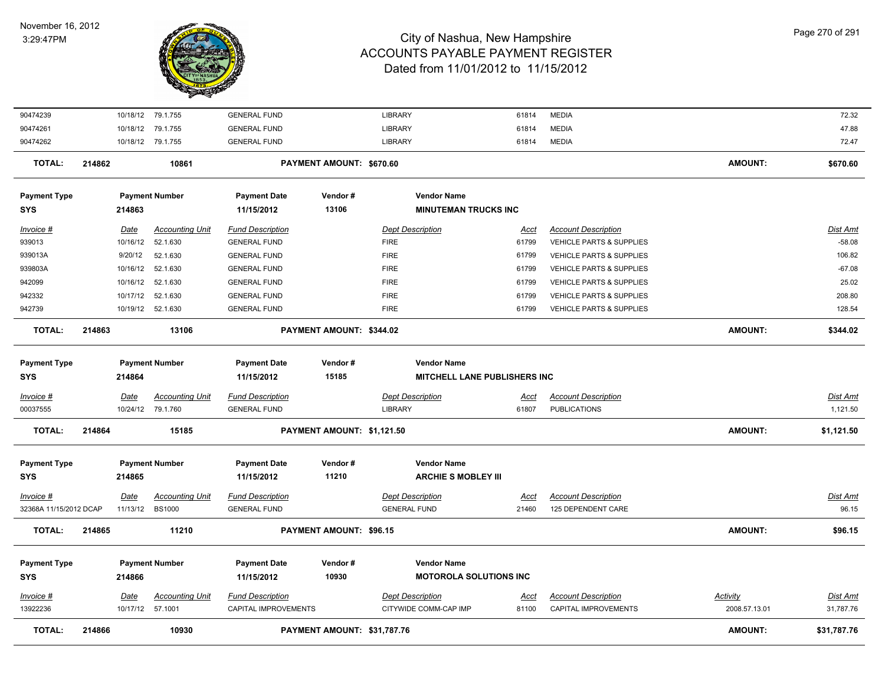

| 90474239               |        |                          | 10/18/12 79.1.755      | <b>GENERAL FUND</b>                             |                             | <b>LIBRARY</b>                                   | 61814                | <b>MEDIA</b>                                       |                                  | 72.32                 |
|------------------------|--------|--------------------------|------------------------|-------------------------------------------------|-----------------------------|--------------------------------------------------|----------------------|----------------------------------------------------|----------------------------------|-----------------------|
| 90474261               |        |                          | 10/18/12 79.1.755      | <b>GENERAL FUND</b>                             |                             | LIBRARY                                          | 61814                | <b>MEDIA</b>                                       |                                  | 47.88                 |
| 90474262               |        |                          | 10/18/12 79.1.755      | <b>GENERAL FUND</b>                             |                             | <b>LIBRARY</b>                                   | 61814                | <b>MEDIA</b>                                       |                                  | 72.47                 |
| <b>TOTAL:</b>          | 214862 |                          | 10861                  |                                                 | PAYMENT AMOUNT: \$670.60    |                                                  |                      |                                                    | <b>AMOUNT:</b>                   | \$670.60              |
| <b>Payment Type</b>    |        |                          | <b>Payment Number</b>  | <b>Payment Date</b>                             | Vendor#                     | <b>Vendor Name</b>                               |                      |                                                    |                                  |                       |
| <b>SYS</b>             |        | 214863                   |                        | 11/15/2012                                      | 13106                       | <b>MINUTEMAN TRUCKS INC</b>                      |                      |                                                    |                                  |                       |
| Invoice #              |        | <u>Date</u>              | <b>Accounting Unit</b> | <b>Fund Description</b>                         |                             | <b>Dept Description</b>                          | <u>Acct</u>          | <b>Account Description</b>                         |                                  | Dist Amt              |
| 939013                 |        |                          | 10/16/12 52.1.630      | <b>GENERAL FUND</b>                             |                             | <b>FIRE</b>                                      | 61799                | <b>VEHICLE PARTS &amp; SUPPLIES</b>                |                                  | $-58.08$              |
| 939013A                |        | 9/20/12                  | 52.1.630               | <b>GENERAL FUND</b>                             |                             | <b>FIRE</b>                                      | 61799                | VEHICLE PARTS & SUPPLIES                           |                                  | 106.82                |
| 939803A                |        |                          | 10/16/12 52.1.630      | <b>GENERAL FUND</b>                             |                             | <b>FIRE</b>                                      | 61799                | VEHICLE PARTS & SUPPLIES                           |                                  | $-67.08$              |
| 942099                 |        |                          | 10/16/12 52.1.630      | <b>GENERAL FUND</b>                             |                             | <b>FIRE</b>                                      | 61799                | VEHICLE PARTS & SUPPLIES                           |                                  | 25.02                 |
| 942332                 |        | 10/17/12                 | 52.1.630               | <b>GENERAL FUND</b>                             |                             | <b>FIRE</b>                                      | 61799                | <b>VEHICLE PARTS &amp; SUPPLIES</b>                |                                  | 208.80                |
| 942739                 |        |                          | 10/19/12 52.1.630      | <b>GENERAL FUND</b>                             |                             | <b>FIRE</b>                                      | 61799                | VEHICLE PARTS & SUPPLIES                           |                                  | 128.54                |
| <b>TOTAL:</b>          | 214863 |                          | 13106                  |                                                 | PAYMENT AMOUNT: \$344.02    |                                                  |                      |                                                    | <b>AMOUNT:</b>                   | \$344.02              |
| <b>Payment Type</b>    |        |                          | <b>Payment Number</b>  | <b>Payment Date</b>                             | Vendor#                     | <b>Vendor Name</b>                               |                      |                                                    |                                  |                       |
| <b>SYS</b>             |        | 214864                   |                        | 11/15/2012                                      | 15185                       | <b>MITCHELL LANE PUBLISHERS INC</b>              |                      |                                                    |                                  |                       |
| Invoice #              |        | Date                     | <b>Accounting Unit</b> | <b>Fund Description</b>                         |                             | <b>Dept Description</b>                          | <u>Acct</u>          | <b>Account Description</b>                         |                                  | Dist Amt              |
| 00037555               |        |                          | 10/24/12 79.1.760      | <b>GENERAL FUND</b>                             |                             | LIBRARY                                          | 61807                | <b>PUBLICATIONS</b>                                |                                  | 1,121.50              |
| <b>TOTAL:</b>          | 214864 |                          | 15185                  |                                                 | PAYMENT AMOUNT: \$1,121.50  |                                                  |                      |                                                    | <b>AMOUNT:</b>                   | \$1,121.50            |
| <b>Payment Type</b>    |        |                          | <b>Payment Number</b>  | <b>Payment Date</b>                             | Vendor#                     | <b>Vendor Name</b>                               |                      |                                                    |                                  |                       |
| <b>SYS</b>             |        | 214865                   |                        | 11/15/2012                                      | 11210                       | <b>ARCHIE S MOBLEY III</b>                       |                      |                                                    |                                  |                       |
| Invoice #              |        | Date                     | <b>Accounting Unit</b> | <b>Fund Description</b>                         |                             | <b>Dept Description</b>                          | <u>Acct</u>          | <b>Account Description</b>                         |                                  | <u>Dist Amt</u>       |
| 32368A 11/15/2012 DCAP |        |                          | 11/13/12 BS1000        | <b>GENERAL FUND</b>                             |                             | <b>GENERAL FUND</b>                              | 21460                | 125 DEPENDENT CARE                                 |                                  | 96.15                 |
| TOTAL:                 | 214865 |                          | 11210                  |                                                 | PAYMENT AMOUNT: \$96.15     |                                                  |                      |                                                    | <b>AMOUNT:</b>                   | \$96.15               |
| <b>Payment Type</b>    |        |                          | <b>Payment Number</b>  | <b>Payment Date</b>                             | Vendor#                     | <b>Vendor Name</b>                               |                      |                                                    |                                  |                       |
| <b>SYS</b>             |        | 214866                   |                        | 11/15/2012                                      | 10930                       | <b>MOTOROLA SOLUTIONS INC</b>                    |                      |                                                    |                                  |                       |
| Invoice #<br>13922236  |        | Date<br>10/17/12 57.1001 | <b>Accounting Unit</b> | <b>Fund Description</b><br>CAPITAL IMPROVEMENTS |                             | <b>Dept Description</b><br>CITYWIDE COMM-CAP IMP | <u>Acct</u><br>81100 | <b>Account Description</b><br>CAPITAL IMPROVEMENTS | <b>Activity</b><br>2008.57.13.01 | Dist Amt<br>31,787.76 |
| TOTAL:                 | 214866 |                          | 10930                  |                                                 | PAYMENT AMOUNT: \$31,787.76 |                                                  |                      |                                                    | <b>AMOUNT:</b>                   | \$31,787.76           |
|                        |        |                          |                        |                                                 |                             |                                                  |                      |                                                    |                                  |                       |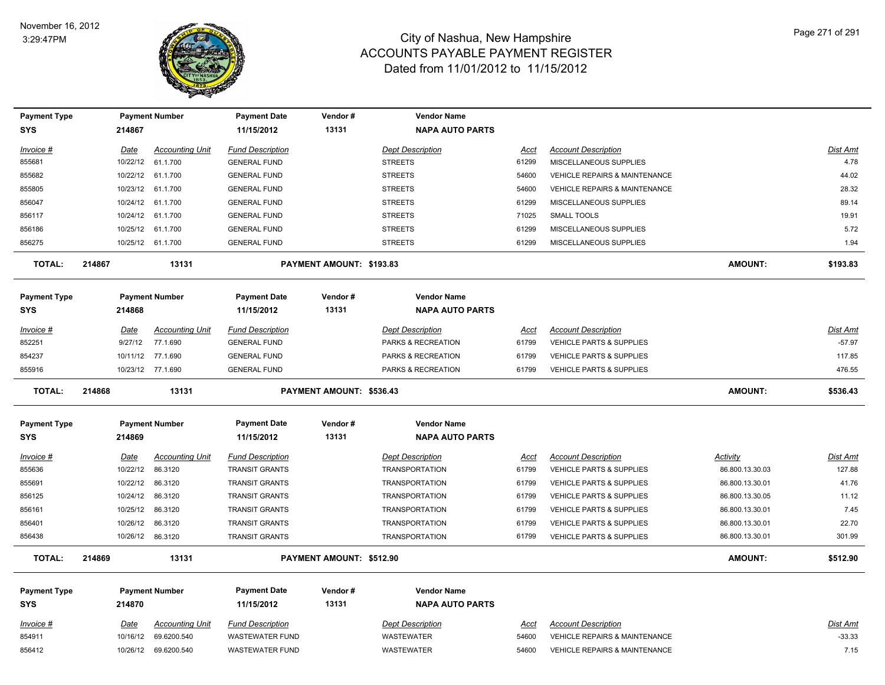

| <b>Payment Type</b> |        |             | <b>Payment Number</b>  | <b>Payment Date</b>     | Vendor#                  | <b>Vendor Name</b>      |             |                                          |                 |                 |
|---------------------|--------|-------------|------------------------|-------------------------|--------------------------|-------------------------|-------------|------------------------------------------|-----------------|-----------------|
| <b>SYS</b>          |        | 214867      |                        | 11/15/2012              | 13131                    | <b>NAPA AUTO PARTS</b>  |             |                                          |                 |                 |
| Invoice #           |        | Date        | <b>Accounting Unit</b> | <b>Fund Description</b> |                          | <b>Dept Description</b> | Acct        | <b>Account Description</b>               |                 | Dist Amt        |
| 855681              |        | 10/22/12    | 61.1.700               | <b>GENERAL FUND</b>     |                          | <b>STREETS</b>          | 61299       | MISCELLANEOUS SUPPLIES                   |                 | 4.78            |
| 855682              |        | 10/22/12    | 61.1.700               | <b>GENERAL FUND</b>     |                          | <b>STREETS</b>          | 54600       | <b>VEHICLE REPAIRS &amp; MAINTENANCE</b> |                 | 44.02           |
| 855805              |        |             | 10/23/12 61.1.700      | <b>GENERAL FUND</b>     |                          | <b>STREETS</b>          | 54600       | <b>VEHICLE REPAIRS &amp; MAINTENANCE</b> |                 | 28.32           |
| 856047              |        |             | 10/24/12 61.1.700      | <b>GENERAL FUND</b>     |                          | <b>STREETS</b>          | 61299       | MISCELLANEOUS SUPPLIES                   |                 | 89.14           |
| 856117              |        | 10/24/12    | 61.1.700               | <b>GENERAL FUND</b>     |                          | <b>STREETS</b>          | 71025       | <b>SMALL TOOLS</b>                       |                 | 19.91           |
| 856186              |        | 10/25/12    | 61.1.700               | <b>GENERAL FUND</b>     |                          | <b>STREETS</b>          | 61299       | MISCELLANEOUS SUPPLIES                   |                 | 5.72            |
| 856275              |        |             | 10/25/12 61.1.700      | <b>GENERAL FUND</b>     |                          | <b>STREETS</b>          | 61299       | MISCELLANEOUS SUPPLIES                   |                 | 1.94            |
| <b>TOTAL:</b>       | 214867 |             | 13131                  |                         | PAYMENT AMOUNT: \$193.83 |                         |             |                                          | <b>AMOUNT:</b>  | \$193.83        |
| <b>Payment Type</b> |        |             | <b>Payment Number</b>  | <b>Payment Date</b>     | Vendor#                  | <b>Vendor Name</b>      |             |                                          |                 |                 |
| <b>SYS</b>          |        | 214868      |                        | 11/15/2012              | 13131                    | <b>NAPA AUTO PARTS</b>  |             |                                          |                 |                 |
| Invoice #           |        | Date        | <b>Accounting Unit</b> | <b>Fund Description</b> |                          | <b>Dept Description</b> | Acct        | <b>Account Description</b>               |                 | Dist Amt        |
| 852251              |        | 9/27/12     | 77.1.690               | <b>GENERAL FUND</b>     |                          | PARKS & RECREATION      | 61799       | VEHICLE PARTS & SUPPLIES                 |                 | $-57.97$        |
| 854237              |        |             | 10/11/12 77.1.690      | <b>GENERAL FUND</b>     |                          | PARKS & RECREATION      | 61799       | <b>VEHICLE PARTS &amp; SUPPLIES</b>      |                 | 117.85          |
| 855916              |        |             | 10/23/12 77.1.690      | <b>GENERAL FUND</b>     |                          | PARKS & RECREATION      | 61799       | <b>VEHICLE PARTS &amp; SUPPLIES</b>      |                 | 476.55          |
| <b>TOTAL:</b>       | 214868 |             | 13131                  |                         | PAYMENT AMOUNT: \$536.43 |                         |             |                                          | <b>AMOUNT:</b>  | \$536.43        |
| <b>Payment Type</b> |        |             | <b>Payment Number</b>  | <b>Payment Date</b>     | Vendor#                  | <b>Vendor Name</b>      |             |                                          |                 |                 |
| <b>SYS</b>          |        | 214869      |                        | 11/15/2012              | 13131                    | <b>NAPA AUTO PARTS</b>  |             |                                          |                 |                 |
| Invoice #           |        | Date        | <b>Accounting Unit</b> | <b>Fund Description</b> |                          | <b>Dept Description</b> | Acct        | <b>Account Description</b>               | Activity        | Dist Amt        |
| 855636              |        | 10/22/12    | 86.3120                | <b>TRANSIT GRANTS</b>   |                          | <b>TRANSPORTATION</b>   | 61799       | VEHICLE PARTS & SUPPLIES                 | 86.800.13.30.03 | 127.88          |
| 855691              |        | 10/22/12    | 86.3120                | <b>TRANSIT GRANTS</b>   |                          | <b>TRANSPORTATION</b>   | 61799       | <b>VEHICLE PARTS &amp; SUPPLIES</b>      | 86.800.13.30.01 | 41.76           |
| 856125              |        | 10/24/12    | 86.3120                | <b>TRANSIT GRANTS</b>   |                          | <b>TRANSPORTATION</b>   | 61799       | <b>VEHICLE PARTS &amp; SUPPLIES</b>      | 86.800.13.30.05 | 11.12           |
| 856161              |        | 10/25/12    | 86.3120                | <b>TRANSIT GRANTS</b>   |                          | <b>TRANSPORTATION</b>   | 61799       | VEHICLE PARTS & SUPPLIES                 | 86.800.13.30.01 | 7.45            |
| 856401              |        | 10/26/12    | 86.3120                | <b>TRANSIT GRANTS</b>   |                          | <b>TRANSPORTATION</b>   | 61799       | <b>VEHICLE PARTS &amp; SUPPLIES</b>      | 86.800.13.30.01 | 22.70           |
| 856438              |        |             | 10/26/12 86.3120       | <b>TRANSIT GRANTS</b>   |                          | <b>TRANSPORTATION</b>   | 61799       | VEHICLE PARTS & SUPPLIES                 | 86.800.13.30.01 | 301.99          |
| <b>TOTAL:</b>       | 214869 |             | 13131                  |                         | PAYMENT AMOUNT: \$512.90 |                         |             |                                          | <b>AMOUNT:</b>  | \$512.90        |
| <b>Payment Type</b> |        |             | <b>Payment Number</b>  | <b>Payment Date</b>     | Vendor#                  | <b>Vendor Name</b>      |             |                                          |                 |                 |
| <b>SYS</b>          |        | 214870      |                        | 11/15/2012              | 13131                    | <b>NAPA AUTO PARTS</b>  |             |                                          |                 |                 |
| $Invoice$ #         |        | <u>Date</u> | <b>Accounting Unit</b> | <b>Fund Description</b> |                          | <b>Dept Description</b> | <u>Acct</u> | <b>Account Description</b>               |                 | <b>Dist Amt</b> |
| 854911              |        | 10/16/12    | 69.6200.540            | <b>WASTEWATER FUND</b>  |                          | <b>WASTEWATER</b>       | 54600       | <b>VEHICLE REPAIRS &amp; MAINTENANCE</b> |                 | $-33.33$        |
| 856412              |        |             | 10/26/12 69.6200.540   | <b>WASTEWATER FUND</b>  |                          | WASTEWATER              | 54600       | <b>VEHICLE REPAIRS &amp; MAINTENANCE</b> |                 | 7.15            |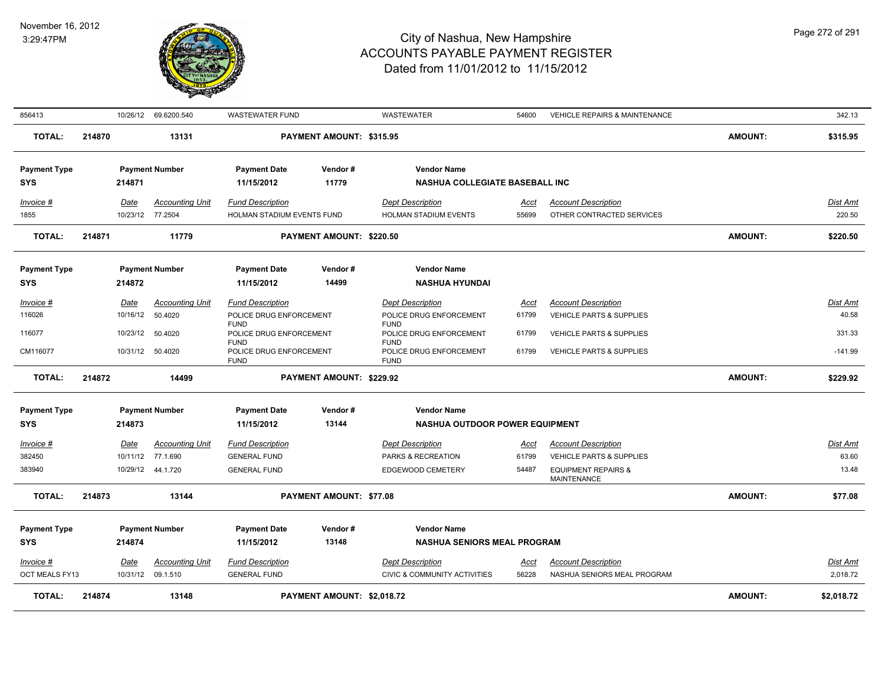

| <b>TOTAL:</b>                                  | 214874 |                  | 13148                                       |                                                              | PAYMENT AMOUNT: \$2,018.72 |                                                                                        |                      |                                                                   | <b>AMOUNT:</b> | \$2,018.72               |
|------------------------------------------------|--------|------------------|---------------------------------------------|--------------------------------------------------------------|----------------------------|----------------------------------------------------------------------------------------|----------------------|-------------------------------------------------------------------|----------------|--------------------------|
| Invoice #<br>OCT MEALS FY13                    |        | <u>Date</u>      | <b>Accounting Unit</b><br>10/31/12 09.1.510 | <b>Fund Description</b><br><b>GENERAL FUND</b>               |                            | <b>Dept Description</b><br><b>CIVIC &amp; COMMUNITY ACTIVITIES</b>                     | <u>Acct</u><br>56228 | <b>Account Description</b><br>NASHUA SENIORS MEAL PROGRAM         |                | Dist Amt<br>2,018.72     |
| <b>Payment Type</b><br><b>SYS</b>              |        | 214874           | <b>Payment Number</b>                       | <b>Payment Date</b><br>11/15/2012                            | Vendor#<br>13148           | <b>Vendor Name</b><br><b>NASHUA SENIORS MEAL PROGRAM</b>                               |                      |                                                                   |                |                          |
| <b>TOTAL:</b>                                  | 214873 |                  | 13144                                       |                                                              | PAYMENT AMOUNT: \$77.08    |                                                                                        |                      |                                                                   | <b>AMOUNT:</b> | \$77.08                  |
| 383940                                         |        |                  | 10/29/12 44.1.720                           | <b>GENERAL FUND</b>                                          |                            | EDGEWOOD CEMETERY                                                                      | 54487                | <b>EQUIPMENT REPAIRS &amp;</b><br>MAINTENANCE                     |                | 13.48                    |
| Invoice #<br>382450                            |        | Date             | <b>Accounting Unit</b><br>10/11/12 77.1.690 | <b>Fund Description</b><br><b>GENERAL FUND</b>               |                            | <b>Dept Description</b><br>PARKS & RECREATION                                          | Acct<br>61799        | <b>Account Description</b><br><b>VEHICLE PARTS &amp; SUPPLIES</b> |                | Dist Amt<br>63.60        |
| <b>SYS</b>                                     |        | 214873           |                                             | 11/15/2012                                                   | 13144                      | NASHUA OUTDOOR POWER EQUIPMENT                                                         |                      |                                                                   |                |                          |
| <b>Payment Type</b>                            |        |                  | <b>Payment Number</b>                       | <b>Payment Date</b>                                          | Vendor#                    | <b>Vendor Name</b>                                                                     |                      |                                                                   |                |                          |
| <b>TOTAL:</b>                                  | 214872 |                  | 14499                                       |                                                              | PAYMENT AMOUNT: \$229.92   |                                                                                        |                      |                                                                   | <b>AMOUNT:</b> | \$229.92                 |
| CM116077                                       |        | 10/31/12         | 50.4020                                     | POLICE DRUG ENFORCEMENT<br><b>FUND</b>                       |                            | POLICE DRUG ENFORCEMENT<br><b>FUND</b>                                                 | 61799                | <b>VEHICLE PARTS &amp; SUPPLIES</b>                               |                | $-141.99$                |
| 116077                                         |        | 10/23/12         | 50.4020                                     | <b>FUND</b><br>POLICE DRUG ENFORCEMENT<br><b>FUND</b>        |                            | <b>FUND</b><br>POLICE DRUG ENFORCEMENT<br><b>FUND</b>                                  | 61799                | VEHICLE PARTS & SUPPLIES                                          |                | 331.33                   |
| Invoice #<br>116026                            |        | Date<br>10/16/12 | <b>Accounting Unit</b><br>50.4020           | <b>Fund Description</b><br>POLICE DRUG ENFORCEMENT           |                            | <b>Dept Description</b><br>POLICE DRUG ENFORCEMENT                                     | Acct<br>61799        | <b>Account Description</b><br><b>VEHICLE PARTS &amp; SUPPLIES</b> |                | <b>Dist Amt</b><br>40.58 |
| <b>SYS</b>                                     |        | 214872           |                                             | 11/15/2012                                                   | 14499                      | <b>NASHUA HYUNDAI</b>                                                                  |                      |                                                                   |                |                          |
| <b>Payment Type</b>                            |        |                  | <b>Payment Number</b>                       | <b>Payment Date</b>                                          | Vendor#                    | <b>Vendor Name</b>                                                                     |                      |                                                                   |                |                          |
| <b>TOTAL:</b>                                  | 214871 |                  | 11779                                       |                                                              | PAYMENT AMOUNT: \$220.50   |                                                                                        |                      |                                                                   | <b>AMOUNT:</b> | \$220.50                 |
| 1855                                           |        |                  | 10/23/12 77.2504                            | HOLMAN STADIUM EVENTS FUND                                   |                            | HOLMAN STADIUM EVENTS                                                                  | 55699                | OTHER CONTRACTED SERVICES                                         |                | 220.50                   |
| <b>Payment Type</b><br><b>SYS</b><br>Invoice # |        | 214871<br>Date   | <b>Payment Number</b><br>Accounting Unit    | <b>Payment Date</b><br>11/15/2012<br><b>Fund Description</b> | Vendor#<br>11779           | <b>Vendor Name</b><br><b>NASHUA COLLEGIATE BASEBALL INC</b><br><b>Dept Description</b> | Acct                 | <b>Account Description</b>                                        |                | Dist Amt                 |
| <b>TOTAL:</b>                                  | 214870 |                  | 13131                                       |                                                              | PAYMENT AMOUNT: \$315.95   |                                                                                        |                      |                                                                   | <b>AMOUNT:</b> | \$315.95                 |
| 856413                                         |        |                  | 10/26/12 69.6200.540                        | <b>WASTEWATER FUND</b>                                       |                            | <b>WASTEWATER</b>                                                                      | 54600                | <b>VEHICLE REPAIRS &amp; MAINTENANCE</b>                          |                | 342.13                   |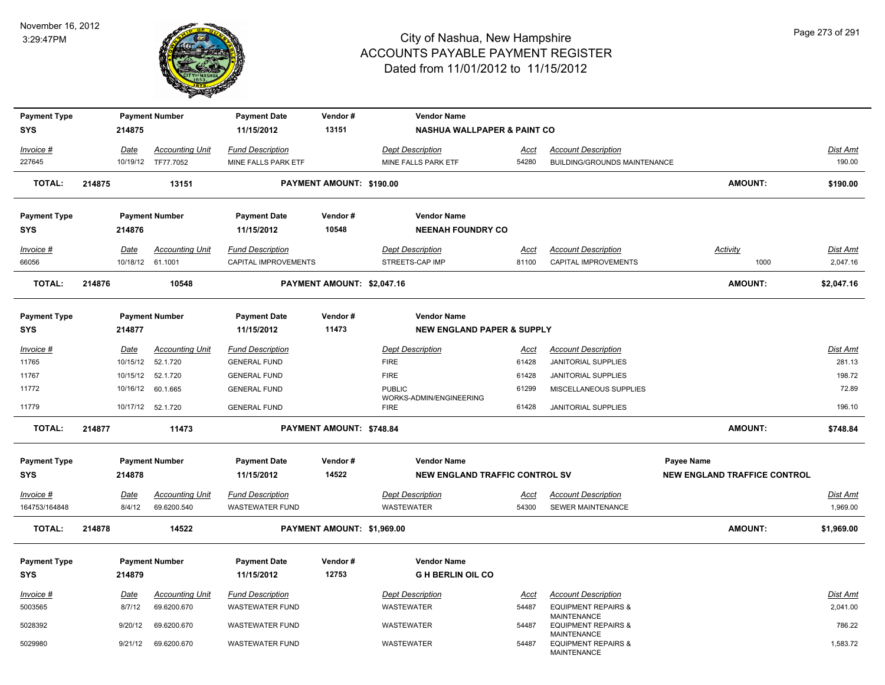

| <b>Payment Type</b> |        |                  | <b>Payment Number</b>  | <b>Payment Date</b>     | Vendor#                    | <b>Vendor Name</b>                     |             |                                                                     |                                     |                 |
|---------------------|--------|------------------|------------------------|-------------------------|----------------------------|----------------------------------------|-------------|---------------------------------------------------------------------|-------------------------------------|-----------------|
| SYS                 |        | 214875           |                        | 11/15/2012              | 13151                      | <b>NASHUA WALLPAPER &amp; PAINT CO</b> |             |                                                                     |                                     |                 |
| Invoice #           |        | Date             | <b>Accounting Unit</b> | <b>Fund Description</b> |                            | <b>Dept Description</b>                | Acct        | <b>Account Description</b>                                          |                                     | Dist Amt        |
| 227645              |        |                  | 10/19/12 TF77.7052     | MINE FALLS PARK ETF     |                            | MINE FALLS PARK ETF                    | 54280       | BUILDING/GROUNDS MAINTENANCE                                        |                                     | 190.00          |
| <b>TOTAL:</b>       | 214875 |                  | 13151                  |                         | PAYMENT AMOUNT: \$190.00   |                                        |             |                                                                     | <b>AMOUNT:</b>                      | \$190.00        |
| <b>Payment Type</b> |        |                  | <b>Payment Number</b>  | <b>Payment Date</b>     | Vendor#                    | <b>Vendor Name</b>                     |             |                                                                     |                                     |                 |
| <b>SYS</b>          |        | 214876           |                        | 11/15/2012              | 10548                      | <b>NEENAH FOUNDRY CO</b>               |             |                                                                     |                                     |                 |
| Invoice #           |        | Date             | <b>Accounting Unit</b> | <b>Fund Description</b> |                            | <b>Dept Description</b>                | Acct        | <b>Account Description</b>                                          | Activity                            | <b>Dist Amt</b> |
| 66056               |        | 10/18/12 61.1001 |                        | CAPITAL IMPROVEMENTS    |                            | STREETS-CAP IMP                        | 81100       | CAPITAL IMPROVEMENTS                                                | 1000                                | 2,047.16        |
| <b>TOTAL:</b>       | 214876 |                  | 10548                  |                         | PAYMENT AMOUNT: \$2,047.16 |                                        |             |                                                                     | <b>AMOUNT:</b>                      | \$2,047.16      |
| <b>Payment Type</b> |        |                  | <b>Payment Number</b>  | <b>Payment Date</b>     | Vendor#                    | <b>Vendor Name</b>                     |             |                                                                     |                                     |                 |
| <b>SYS</b>          |        | 214877           |                        | 11/15/2012              | 11473                      | <b>NEW ENGLAND PAPER &amp; SUPPLY</b>  |             |                                                                     |                                     |                 |
| Invoice #           |        | Date             | <b>Accounting Unit</b> | <b>Fund Description</b> |                            | <b>Dept Description</b>                | Acct        | <b>Account Description</b>                                          |                                     | Dist Amt        |
| 11765               |        | 10/15/12         | 52.1.720               | <b>GENERAL FUND</b>     |                            | <b>FIRE</b>                            | 61428       | <b>JANITORIAL SUPPLIES</b>                                          |                                     | 281.13          |
| 11767               |        |                  | 10/15/12  52.1.720     | <b>GENERAL FUND</b>     |                            | <b>FIRE</b>                            | 61428       | <b>JANITORIAL SUPPLIES</b>                                          |                                     | 198.72          |
| 11772               |        |                  | 10/16/12 60.1.665      | <b>GENERAL FUND</b>     |                            | <b>PUBLIC</b>                          | 61299       | MISCELLANEOUS SUPPLIES                                              |                                     | 72.89           |
| 11779               |        |                  | 10/17/12  52.1.720     | <b>GENERAL FUND</b>     |                            | WORKS-ADMIN/ENGINEERING<br><b>FIRE</b> | 61428       | <b>JANITORIAL SUPPLIES</b>                                          |                                     | 196.10          |
| <b>TOTAL:</b>       | 214877 |                  | 11473                  |                         | PAYMENT AMOUNT: \$748.84   |                                        |             |                                                                     | <b>AMOUNT:</b>                      | \$748.84        |
| <b>Payment Type</b> |        |                  | <b>Payment Number</b>  | <b>Payment Date</b>     | Vendor#                    | <b>Vendor Name</b>                     |             |                                                                     | Payee Name                          |                 |
| <b>SYS</b>          |        | 214878           |                        | 11/15/2012              | 14522                      | <b>NEW ENGLAND TRAFFIC CONTROL SV</b>  |             |                                                                     | <b>NEW ENGLAND TRAFFICE CONTROL</b> |                 |
| Invoice #           |        | Date             | <b>Accounting Unit</b> | <b>Fund Description</b> |                            | <b>Dept Description</b>                | Acct        | <b>Account Description</b>                                          |                                     | Dist Amt        |
| 164753/164848       |        | 8/4/12           | 69.6200.540            | <b>WASTEWATER FUND</b>  |                            | <b>WASTEWATER</b>                      | 54300       | SEWER MAINTENANCE                                                   |                                     | 1,969.00        |
| <b>TOTAL:</b>       | 214878 |                  | 14522                  |                         | PAYMENT AMOUNT: \$1,969.00 |                                        |             |                                                                     | <b>AMOUNT:</b>                      | \$1,969.00      |
| <b>Payment Type</b> |        |                  | <b>Payment Number</b>  | <b>Payment Date</b>     | Vendor#                    | <b>Vendor Name</b>                     |             |                                                                     |                                     |                 |
| <b>SYS</b>          |        | 214879           |                        | 11/15/2012              | 12753                      | <b>GH BERLIN OIL CO</b>                |             |                                                                     |                                     |                 |
| Invoice #           |        | <u>Date</u>      | <b>Accounting Unit</b> | <b>Fund Description</b> |                            | <b>Dept Description</b>                | <b>Acct</b> | <b>Account Description</b>                                          |                                     | <b>Dist Amt</b> |
| 5003565             |        | 8/7/12           | 69.6200.670            | <b>WASTEWATER FUND</b>  |                            | WASTEWATER                             | 54487       | <b>EQUIPMENT REPAIRS &amp;</b>                                      |                                     | 2,041.00        |
| 5028392             |        | 9/20/12          | 69.6200.670            | <b>WASTEWATER FUND</b>  |                            | <b>WASTEWATER</b>                      | 54487       | <b>MAINTENANCE</b><br><b>EQUIPMENT REPAIRS &amp;</b>                |                                     | 786.22          |
| 5029980             |        | 9/21/12          | 69.6200.670            | <b>WASTEWATER FUND</b>  |                            | WASTEWATER                             | 54487       | MAINTENANCE<br><b>EQUIPMENT REPAIRS &amp;</b><br><b>MAINTENANCE</b> |                                     | 1,583.72        |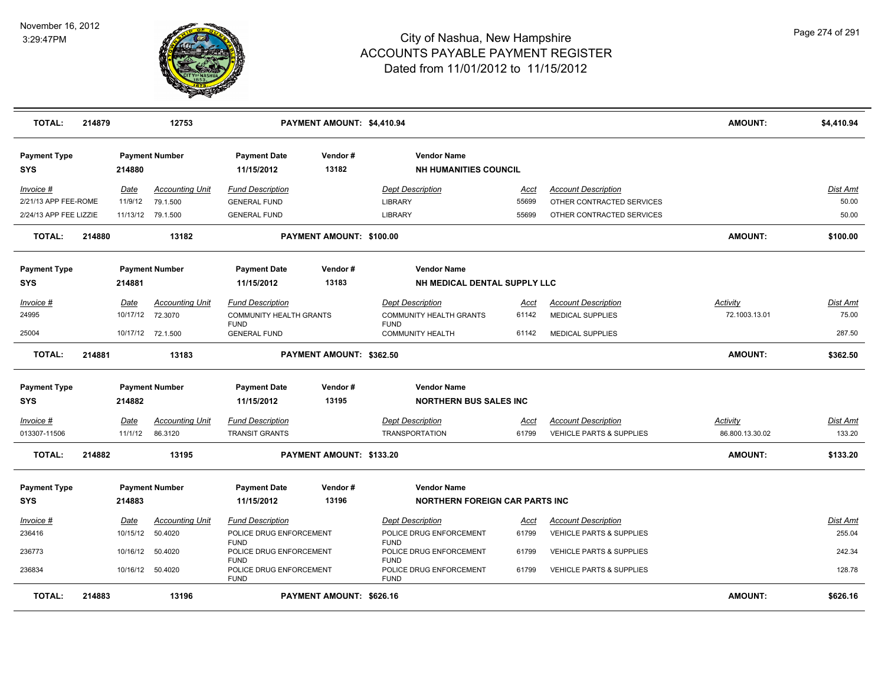

| <b>TOTAL:</b>                     | 214879 |          | 12753                  |                                               | PAYMENT AMOUNT: \$4,410.94 |                                                    |             |                                     | <b>AMOUNT:</b>  | \$4,410.94      |
|-----------------------------------|--------|----------|------------------------|-----------------------------------------------|----------------------------|----------------------------------------------------|-------------|-------------------------------------|-----------------|-----------------|
| <b>Payment Type</b><br><b>SYS</b> |        | 214880   | <b>Payment Number</b>  | <b>Payment Date</b><br>11/15/2012             | Vendor#<br>13182           | <b>Vendor Name</b><br><b>NH HUMANITIES COUNCIL</b> |             |                                     |                 |                 |
| Invoice #                         |        | Date     | <b>Accounting Unit</b> | <b>Fund Description</b>                       |                            | <b>Dept Description</b>                            | Acct        | <b>Account Description</b>          |                 | Dist Amt        |
| 2/21/13 APP FEE-ROME              |        | 11/9/12  | 79.1.500               | <b>GENERAL FUND</b>                           |                            | <b>LIBRARY</b>                                     | 55699       | OTHER CONTRACTED SERVICES           |                 | 50.00           |
| 2/24/13 APP FEE LIZZIE            |        |          | 11/13/12 79.1.500      | <b>GENERAL FUND</b>                           |                            | <b>LIBRARY</b>                                     | 55699       | OTHER CONTRACTED SERVICES           |                 | 50.00           |
| <b>TOTAL:</b>                     | 214880 |          | 13182                  |                                               | PAYMENT AMOUNT: \$100.00   |                                                    |             |                                     | <b>AMOUNT:</b>  | \$100.00        |
| <b>Payment Type</b>               |        |          | <b>Payment Number</b>  | <b>Payment Date</b>                           | Vendor#                    | <b>Vendor Name</b>                                 |             |                                     |                 |                 |
| <b>SYS</b>                        |        | 214881   |                        | 11/15/2012                                    | 13183                      | NH MEDICAL DENTAL SUPPLY LLC                       |             |                                     |                 |                 |
|                                   |        |          |                        |                                               |                            |                                                    |             |                                     |                 |                 |
| Invoice #                         |        | Date     | <b>Accounting Unit</b> | <b>Fund Description</b>                       |                            | <b>Dept Description</b>                            | Acct        | <b>Account Description</b>          | Activity        | Dist Amt        |
| 24995                             |        | 10/17/12 | 72.3070                | <b>COMMUNITY HEALTH GRANTS</b><br><b>FUND</b> |                            | <b>COMMUNITY HEALTH GRANTS</b><br><b>FUND</b>      | 61142       | <b>MEDICAL SUPPLIES</b>             | 72.1003.13.01   | 75.00           |
| 25004                             |        |          | 10/17/12 72.1.500      | <b>GENERAL FUND</b>                           |                            | <b>COMMUNITY HEALTH</b>                            | 61142       | <b>MEDICAL SUPPLIES</b>             |                 | 287.50          |
| <b>TOTAL:</b>                     | 214881 |          | 13183                  |                                               | PAYMENT AMOUNT: \$362.50   |                                                    |             |                                     | <b>AMOUNT:</b>  | \$362.50        |
| <b>Payment Type</b>               |        |          | <b>Payment Number</b>  | <b>Payment Date</b>                           | Vendor#                    | <b>Vendor Name</b>                                 |             |                                     |                 |                 |
| <b>SYS</b>                        |        | 214882   |                        | 11/15/2012                                    | 13195                      | <b>NORTHERN BUS SALES INC</b>                      |             |                                     |                 |                 |
| Invoice #                         |        | Date     | <b>Accounting Unit</b> | <b>Fund Description</b>                       |                            | <b>Dept Description</b>                            | Acct        | <b>Account Description</b>          | Activity        | Dist Amt        |
| 013307-11506                      |        | 11/1/12  | 86.3120                | <b>TRANSIT GRANTS</b>                         |                            | <b>TRANSPORTATION</b>                              | 61799       | <b>VEHICLE PARTS &amp; SUPPLIES</b> | 86.800.13.30.02 | 133.20          |
| <b>TOTAL:</b>                     | 214882 |          | 13195                  |                                               | PAYMENT AMOUNT: \$133.20   |                                                    |             |                                     | <b>AMOUNT:</b>  | \$133.20        |
| <b>Payment Type</b>               |        |          | <b>Payment Number</b>  | <b>Payment Date</b>                           | Vendor#                    | <b>Vendor Name</b>                                 |             |                                     |                 |                 |
| <b>SYS</b>                        |        | 214883   |                        | 11/15/2012                                    | 13196                      | <b>NORTHERN FOREIGN CAR PARTS INC</b>              |             |                                     |                 |                 |
| <u>Invoice #</u>                  |        | Date     | <b>Accounting Unit</b> | <b>Fund Description</b>                       |                            | <b>Dept Description</b>                            | <u>Acct</u> | <b>Account Description</b>          |                 | <u>Dist Amt</u> |
| 236416                            |        | 10/15/12 | 50.4020                | POLICE DRUG ENFORCEMENT                       |                            | POLICE DRUG ENFORCEMENT                            | 61799       | VEHICLE PARTS & SUPPLIES            |                 | 255.04          |
| 236773                            |        | 10/16/12 | 50.4020                | <b>FUND</b><br>POLICE DRUG ENFORCEMENT        |                            | <b>FUND</b><br>POLICE DRUG ENFORCEMENT             | 61799       | <b>VEHICLE PARTS &amp; SUPPLIES</b> |                 | 242.34          |
|                                   |        |          |                        | <b>FUND</b>                                   |                            | <b>FUND</b>                                        |             |                                     |                 |                 |
| 236834                            |        |          | 10/16/12 50.4020       | POLICE DRUG ENFORCEMENT<br><b>FUND</b>        |                            | POLICE DRUG ENFORCEMENT<br><b>FUND</b>             | 61799       | <b>VEHICLE PARTS &amp; SUPPLIES</b> |                 | 128.78          |
| <b>TOTAL:</b>                     | 214883 |          | 13196                  |                                               | PAYMENT AMOUNT: \$626.16   |                                                    |             |                                     | <b>AMOUNT:</b>  | \$626.16        |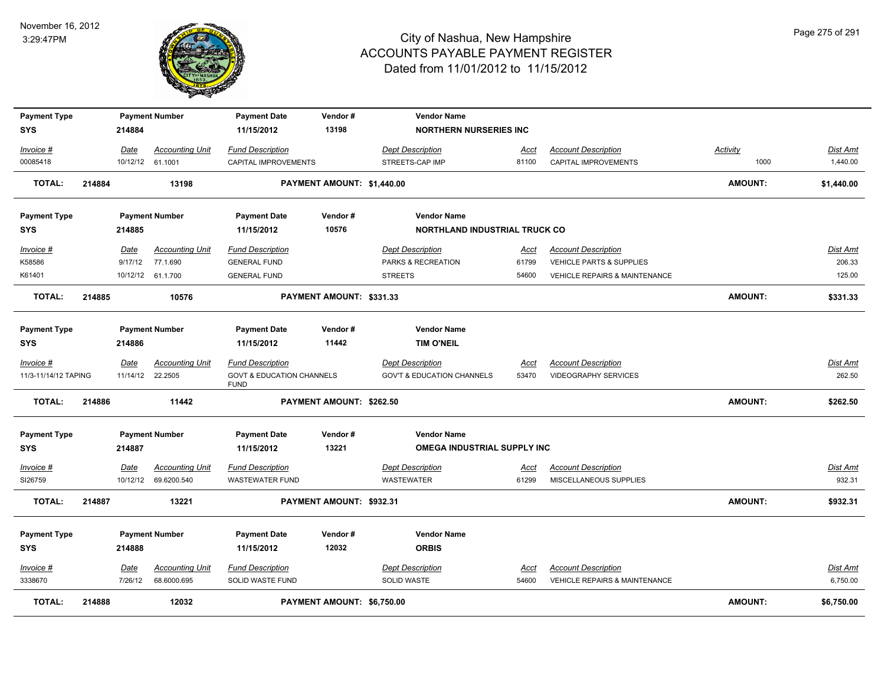

| <b>Payment Type</b><br><b>SYS</b> |        | 214884      | <b>Payment Number</b>  | <b>Payment Date</b><br>11/15/2012                   | Vendor#<br>13198           | <b>Vendor Name</b><br><b>NORTHERN NURSERIES INC</b> |               |                                          |                |                 |
|-----------------------------------|--------|-------------|------------------------|-----------------------------------------------------|----------------------------|-----------------------------------------------------|---------------|------------------------------------------|----------------|-----------------|
|                                   |        |             |                        |                                                     |                            |                                                     |               |                                          |                |                 |
| Invoice #                         |        | Date        | <b>Accounting Unit</b> | <b>Fund Description</b>                             |                            | <b>Dept Description</b>                             | Acct          | <b>Account Description</b>               | Activity       | Dist Amt        |
| 00085418                          |        | 10/12/12    | 61.1001                | CAPITAL IMPROVEMENTS                                |                            | STREETS-CAP IMP                                     | 81100         | CAPITAL IMPROVEMENTS                     | 1000           | 1,440.00        |
| <b>TOTAL:</b>                     | 214884 |             | 13198                  |                                                     | PAYMENT AMOUNT: \$1,440.00 |                                                     |               |                                          | <b>AMOUNT:</b> | \$1,440.00      |
| <b>Payment Type</b>               |        |             | <b>Payment Number</b>  | <b>Payment Date</b>                                 | Vendor#                    | <b>Vendor Name</b>                                  |               |                                          |                |                 |
| <b>SYS</b>                        |        | 214885      |                        | 11/15/2012                                          | 10576                      | <b>NORTHLAND INDUSTRIAL TRUCK CO</b>                |               |                                          |                |                 |
| Invoice #                         |        | Date        | <b>Accounting Unit</b> | <b>Fund Description</b>                             |                            | <b>Dept Description</b>                             | Acct          | <b>Account Description</b>               |                | Dist Amt        |
| K58586                            |        | 9/17/12     | 77.1.690               | <b>GENERAL FUND</b>                                 |                            | PARKS & RECREATION                                  | 61799         | VEHICLE PARTS & SUPPLIES                 |                | 206.33          |
| K61401                            |        |             | 10/12/12 61.1.700      | <b>GENERAL FUND</b>                                 |                            | <b>STREETS</b>                                      | 54600         | <b>VEHICLE REPAIRS &amp; MAINTENANCE</b> |                | 125.00          |
| <b>TOTAL:</b>                     | 214885 |             | 10576                  |                                                     | PAYMENT AMOUNT: \$331.33   |                                                     |               |                                          | <b>AMOUNT:</b> | \$331.33        |
| <b>Payment Type</b><br><b>SYS</b> |        | 214886      | <b>Payment Number</b>  | <b>Payment Date</b><br>11/15/2012                   | Vendor#<br>11442           | <b>Vendor Name</b><br><b>TIM O'NEIL</b>             |               |                                          |                |                 |
|                                   |        |             |                        |                                                     |                            |                                                     |               |                                          |                |                 |
| Invoice #                         |        | Date        | <b>Accounting Unit</b> | <b>Fund Description</b>                             |                            | <b>Dept Description</b>                             | Acct          | <b>Account Description</b>               |                | Dist Amt        |
| 11/3-11/14/12 TAPING              |        | 11/14/12    | 22.2505                | <b>GOVT &amp; EDUCATION CHANNELS</b><br><b>FUND</b> |                            | <b>GOV'T &amp; EDUCATION CHANNELS</b>               | 53470         | <b>VIDEOGRAPHY SERVICES</b>              |                | 262.50          |
| <b>TOTAL:</b>                     | 214886 |             | 11442                  |                                                     | PAYMENT AMOUNT: \$262.50   |                                                     |               |                                          | <b>AMOUNT:</b> | \$262.50        |
| <b>Payment Type</b>               |        |             | <b>Payment Number</b>  | <b>Payment Date</b>                                 | Vendor#                    | <b>Vendor Name</b>                                  |               |                                          |                |                 |
| <b>SYS</b>                        |        | 214887      |                        | 11/15/2012                                          | 13221                      | <b>OMEGA INDUSTRIAL SUPPLY INC</b>                  |               |                                          |                |                 |
| Invoice #                         |        | Date        | <b>Accounting Unit</b> | <b>Fund Description</b>                             |                            | <b>Dept Description</b>                             |               | <b>Account Description</b>               |                | Dist Amt        |
| SI26759                           |        |             | 10/12/12 69.6200.540   | <b>WASTEWATER FUND</b>                              |                            | <b>WASTEWATER</b>                                   | Acct<br>61299 | MISCELLANEOUS SUPPLIES                   |                | 932.31          |
| <b>TOTAL:</b>                     | 214887 |             | 13221                  |                                                     | PAYMENT AMOUNT: \$932.31   |                                                     |               |                                          | <b>AMOUNT:</b> | \$932.31        |
| <b>Payment Type</b>               |        |             | <b>Payment Number</b>  | <b>Payment Date</b>                                 | Vendor#                    | <b>Vendor Name</b>                                  |               |                                          |                |                 |
| <b>SYS</b>                        |        | 214888      |                        | 11/15/2012                                          | 12032                      | <b>ORBIS</b>                                        |               |                                          |                |                 |
| Invoice #                         |        | <b>Date</b> | <b>Accounting Unit</b> | <b>Fund Description</b>                             |                            | <b>Dept Description</b>                             | <u>Acct</u>   | <b>Account Description</b>               |                | <b>Dist Amt</b> |
| 3338670                           |        | 7/26/12     | 68.6000.695            | SOLID WASTE FUND                                    |                            | SOLID WASTE                                         | 54600         | <b>VEHICLE REPAIRS &amp; MAINTENANCE</b> |                | 6,750.00        |
| <b>TOTAL:</b>                     | 214888 |             | 12032                  |                                                     | PAYMENT AMOUNT: \$6,750.00 |                                                     |               |                                          | <b>AMOUNT:</b> | \$6,750.00      |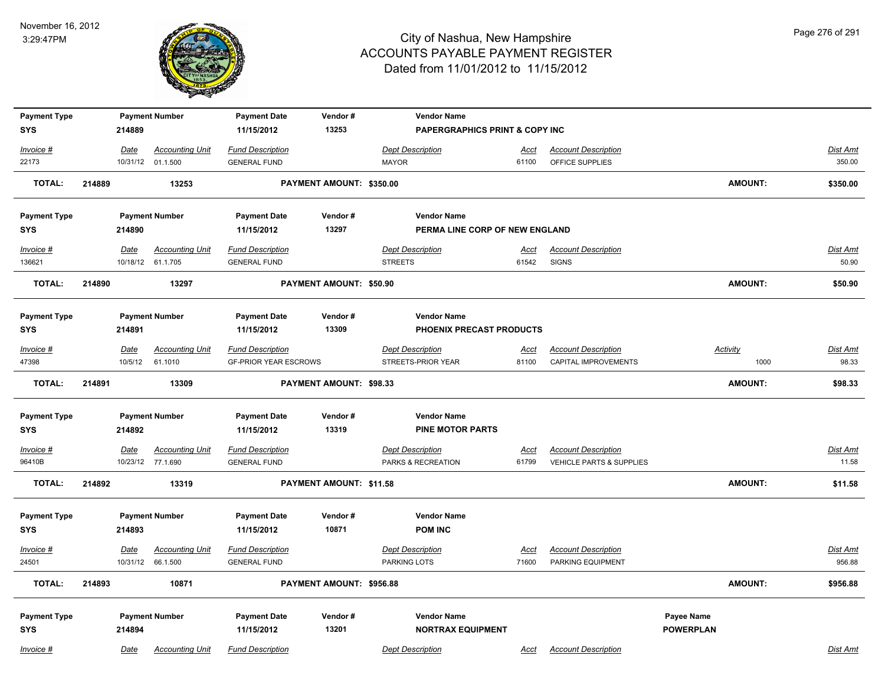

| <b>Payment Type</b> |        |             | <b>Payment Number</b>  | <b>Payment Date</b>          | Vendor#                  | <b>Vendor Name</b>                        |             |                                     |                  |                |                 |
|---------------------|--------|-------------|------------------------|------------------------------|--------------------------|-------------------------------------------|-------------|-------------------------------------|------------------|----------------|-----------------|
| <b>SYS</b>          |        | 214889      |                        | 11/15/2012                   | 13253                    | <b>PAPERGRAPHICS PRINT &amp; COPY INC</b> |             |                                     |                  |                |                 |
| Invoice #           |        | Date        | <b>Accounting Unit</b> | <b>Fund Description</b>      |                          | <b>Dept Description</b>                   | Acct        | <b>Account Description</b>          |                  |                | Dist Amt        |
| 22173               |        |             | 10/31/12 01.1.500      | <b>GENERAL FUND</b>          |                          | <b>MAYOR</b>                              | 61100       | OFFICE SUPPLIES                     |                  |                | 350.00          |
| <b>TOTAL:</b>       | 214889 |             | 13253                  |                              | PAYMENT AMOUNT: \$350.00 |                                           |             |                                     |                  | <b>AMOUNT:</b> | \$350.00        |
| <b>Payment Type</b> |        |             | <b>Payment Number</b>  | <b>Payment Date</b>          | Vendor#                  | <b>Vendor Name</b>                        |             |                                     |                  |                |                 |
| <b>SYS</b>          |        | 214890      |                        | 11/15/2012                   | 13297                    | PERMA LINE CORP OF NEW ENGLAND            |             |                                     |                  |                |                 |
| Invoice #           |        | <u>Date</u> | <b>Accounting Unit</b> | <b>Fund Description</b>      |                          | <b>Dept Description</b>                   | <u>Acct</u> | <b>Account Description</b>          |                  |                | Dist Amt        |
| 136621              |        |             | 10/18/12 61.1.705      | <b>GENERAL FUND</b>          |                          | <b>STREETS</b>                            | 61542       | <b>SIGNS</b>                        |                  |                | 50.90           |
| <b>TOTAL:</b>       | 214890 |             | 13297                  |                              | PAYMENT AMOUNT: \$50.90  |                                           |             |                                     |                  | <b>AMOUNT:</b> | \$50.90         |
| <b>Payment Type</b> |        |             | <b>Payment Number</b>  | <b>Payment Date</b>          | Vendor#                  | <b>Vendor Name</b>                        |             |                                     |                  |                |                 |
| <b>SYS</b>          |        | 214891      |                        | 11/15/2012                   | 13309                    | PHOENIX PRECAST PRODUCTS                  |             |                                     |                  |                |                 |
| Invoice #           |        | Date        | <b>Accounting Unit</b> | <b>Fund Description</b>      |                          | <b>Dept Description</b>                   | Acct        | <b>Account Description</b>          | <b>Activity</b>  |                | Dist Amt        |
| 47398               |        | 10/5/12     | 61.1010                | <b>GF-PRIOR YEAR ESCROWS</b> |                          | STREETS-PRIOR YEAR                        | 81100       | CAPITAL IMPROVEMENTS                |                  | 1000           | 98.33           |
| <b>TOTAL:</b>       | 214891 |             | 13309                  |                              | PAYMENT AMOUNT: \$98.33  |                                           |             |                                     |                  | <b>AMOUNT:</b> | \$98.33         |
| <b>Payment Type</b> |        |             | <b>Payment Number</b>  | <b>Payment Date</b>          | Vendor#                  | <b>Vendor Name</b>                        |             |                                     |                  |                |                 |
| <b>SYS</b>          |        | 214892      |                        | 11/15/2012                   | 13319                    | <b>PINE MOTOR PARTS</b>                   |             |                                     |                  |                |                 |
| Invoice #           |        | <u>Date</u> | <b>Accounting Unit</b> | <b>Fund Description</b>      |                          | <b>Dept Description</b>                   | <u>Acct</u> | <b>Account Description</b>          |                  |                | <u>Dist Amt</u> |
| 96410B              |        |             | 10/23/12 77.1.690      | <b>GENERAL FUND</b>          |                          | PARKS & RECREATION                        | 61799       | <b>VEHICLE PARTS &amp; SUPPLIES</b> |                  |                | 11.58           |
| <b>TOTAL:</b>       | 214892 |             | 13319                  |                              | PAYMENT AMOUNT: \$11.58  |                                           |             |                                     |                  | <b>AMOUNT:</b> | \$11.58         |
| <b>Payment Type</b> |        |             | <b>Payment Number</b>  | <b>Payment Date</b>          | Vendor#                  | <b>Vendor Name</b>                        |             |                                     |                  |                |                 |
| <b>SYS</b>          |        | 214893      |                        | 11/15/2012                   | 10871                    | <b>POM INC</b>                            |             |                                     |                  |                |                 |
| Invoice #           |        | Date        | <b>Accounting Unit</b> | <b>Fund Description</b>      |                          | <b>Dept Description</b>                   | <u>Acct</u> | <b>Account Description</b>          |                  |                | <b>Dist Amt</b> |
| 24501               |        | 10/31/12    | 66.1.500               | <b>GENERAL FUND</b>          |                          | PARKING LOTS                              | 71600       | PARKING EQUIPMENT                   |                  |                | 956.88          |
| TOTAL:              | 214893 |             | 10871                  |                              | PAYMENT AMOUNT: \$956.88 |                                           |             |                                     |                  | AMOUNT:        | \$956.88        |
| <b>Payment Type</b> |        |             | <b>Payment Number</b>  | <b>Payment Date</b>          | Vendor#                  | <b>Vendor Name</b>                        |             |                                     | Payee Name       |                |                 |
| <b>SYS</b>          |        | 214894      |                        | 11/15/2012                   | 13201                    | <b>NORTRAX EQUIPMENT</b>                  |             |                                     | <b>POWERPLAN</b> |                |                 |
| Invoice #           |        | Date        | <b>Accounting Unit</b> | <b>Fund Description</b>      |                          | <b>Dept Description</b>                   | Acct        | <b>Account Description</b>          |                  |                | Dist Amt        |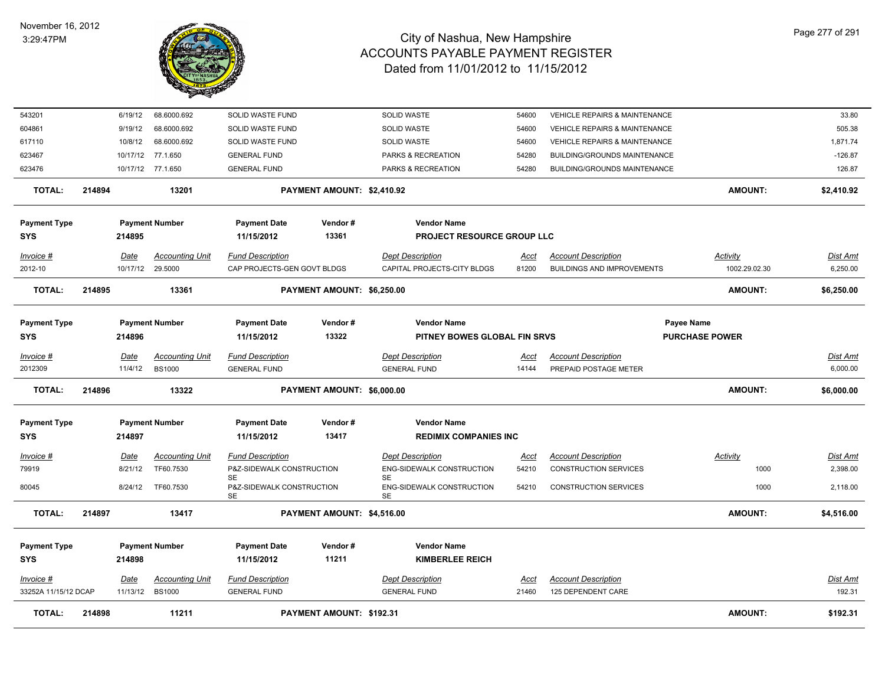

| 543201               |        | 6/19/12         | 68.6000.692                         | SOLID WASTE FUND                                     |                            | SOLID WASTE                                          | 54600                | <b>VEHICLE REPAIRS &amp; MAINTENANCE</b>                   |                         | 33.80                |
|----------------------|--------|-----------------|-------------------------------------|------------------------------------------------------|----------------------------|------------------------------------------------------|----------------------|------------------------------------------------------------|-------------------------|----------------------|
| 604861               |        | 9/19/12         | 68.6000.692                         | SOLID WASTE FUND                                     |                            | <b>SOLID WASTE</b>                                   | 54600                | <b>VEHICLE REPAIRS &amp; MAINTENANCE</b>                   |                         | 505.38               |
| 617110               |        | 10/8/12         | 68.6000.692                         | SOLID WASTE FUND                                     |                            | <b>SOLID WASTE</b>                                   | 54600                | <b>VEHICLE REPAIRS &amp; MAINTENANCE</b>                   |                         | 1,871.74             |
| 623467               |        |                 | 10/17/12 77.1.650                   | <b>GENERAL FUND</b>                                  |                            | PARKS & RECREATION                                   | 54280                | <b>BUILDING/GROUNDS MAINTENANCE</b>                        |                         | $-126.87$            |
| 623476               |        |                 | 10/17/12 77.1.650                   | <b>GENERAL FUND</b>                                  |                            | PARKS & RECREATION                                   | 54280                | <b>BUILDING/GROUNDS MAINTENANCE</b>                        |                         | 126.87               |
|                      |        |                 |                                     |                                                      |                            |                                                      |                      |                                                            |                         |                      |
| <b>TOTAL:</b>        | 214894 |                 | 13201                               |                                                      | PAYMENT AMOUNT: \$2,410.92 |                                                      |                      |                                                            | <b>AMOUNT:</b>          | \$2,410.92           |
| <b>Payment Type</b>  |        |                 | <b>Payment Number</b>               | <b>Payment Date</b>                                  | Vendor#                    | <b>Vendor Name</b>                                   |                      |                                                            |                         |                      |
| <b>SYS</b>           |        | 214895          |                                     | 11/15/2012                                           | 13361                      | <b>PROJECT RESOURCE GROUP LLC</b>                    |                      |                                                            |                         |                      |
|                      |        |                 |                                     |                                                      |                            |                                                      |                      |                                                            |                         |                      |
| Invoice #            |        | Date            | <b>Accounting Unit</b>              | <b>Fund Description</b>                              |                            | <b>Dept Description</b>                              | Acct                 | <b>Account Description</b>                                 | <b>Activity</b>         | Dist Amt             |
| 2012-10              |        |                 | 10/17/12 29.5000                    | CAP PROJECTS-GEN GOVT BLDGS                          |                            | CAPITAL PROJECTS-CITY BLDGS                          | 81200                | <b>BUILDINGS AND IMPROVEMENTS</b>                          | 1002.29.02.30           | 6,250.00             |
| <b>TOTAL:</b>        | 214895 |                 | 13361                               |                                                      | PAYMENT AMOUNT: \$6,250.00 |                                                      |                      |                                                            | <b>AMOUNT:</b>          | \$6,250.00           |
| <b>Payment Type</b>  |        |                 | <b>Payment Number</b>               | <b>Payment Date</b>                                  | Vendor#                    | <b>Vendor Name</b>                                   |                      |                                                            | <b>Payee Name</b>       |                      |
| <b>SYS</b>           |        | 214896          |                                     | 11/15/2012                                           | 13322                      | PITNEY BOWES GLOBAL FIN SRVS                         |                      |                                                            | <b>PURCHASE POWER</b>   |                      |
|                      |        |                 |                                     |                                                      |                            |                                                      |                      |                                                            |                         |                      |
| Invoice #            |        | Date            | <b>Accounting Unit</b>              | <b>Fund Description</b>                              |                            | <b>Dept Description</b>                              | Acct                 | <b>Account Description</b>                                 |                         | <b>Dist Amt</b>      |
| 2012309              |        | 11/4/12         | <b>BS1000</b>                       | <b>GENERAL FUND</b>                                  |                            | <b>GENERAL FUND</b>                                  | 14144                | PREPAID POSTAGE METER                                      |                         | 6,000.00             |
| <b>TOTAL:</b>        | 214896 |                 | 13322                               |                                                      | PAYMENT AMOUNT: \$6,000.00 |                                                      |                      |                                                            | <b>AMOUNT:</b>          | \$6,000.00           |
| <b>Payment Type</b>  |        |                 | <b>Payment Number</b>               | <b>Payment Date</b>                                  | Vendor#                    | <b>Vendor Name</b>                                   |                      |                                                            |                         |                      |
| <b>SYS</b>           |        | 214897          |                                     | 11/15/2012                                           | 13417                      | <b>REDIMIX COMPANIES INC</b>                         |                      |                                                            |                         |                      |
|                      |        |                 |                                     |                                                      |                            |                                                      |                      |                                                            |                         |                      |
| Invoice #<br>79919   |        | Date<br>8/21/12 | <b>Accounting Unit</b><br>TF60.7530 | <b>Fund Description</b><br>P&Z-SIDEWALK CONSTRUCTION |                            | <b>Dept Description</b><br>ENG-SIDEWALK CONSTRUCTION | <b>Acct</b><br>54210 | <b>Account Description</b><br><b>CONSTRUCTION SERVICES</b> | <b>Activity</b><br>1000 | Dist Amt<br>2,398.00 |
|                      |        |                 |                                     | <b>SE</b>                                            |                            | SE                                                   |                      |                                                            |                         |                      |
| 80045                |        | 8/24/12         | TF60.7530                           | P&Z-SIDEWALK CONSTRUCTION<br><b>SE</b>               |                            | ENG-SIDEWALK CONSTRUCTION<br><b>SE</b>               | 54210                | CONSTRUCTION SERVICES                                      | 1000                    | 2,118.00             |
| <b>TOTAL:</b>        | 214897 |                 | 13417                               |                                                      | PAYMENT AMOUNT: \$4,516.00 |                                                      |                      |                                                            | <b>AMOUNT:</b>          | \$4,516.00           |
| <b>Payment Type</b>  |        |                 | <b>Payment Number</b>               | <b>Payment Date</b>                                  | Vendor#                    | <b>Vendor Name</b>                                   |                      |                                                            |                         |                      |
| <b>SYS</b>           |        | 214898          |                                     | 11/15/2012                                           | 11211                      | <b>KIMBERLEE REICH</b>                               |                      |                                                            |                         |                      |
|                      |        |                 |                                     |                                                      |                            |                                                      |                      |                                                            |                         |                      |
| Invoice #            |        | <u>Date</u>     | <b>Accounting Unit</b>              | <b>Fund Description</b>                              |                            | <b>Dept Description</b>                              | <u>Acct</u>          | <b>Account Description</b>                                 |                         | <u>Dist Amt</u>      |
| 33252A 11/15/12 DCAP |        | 11/13/12        | <b>BS1000</b>                       | <b>GENERAL FUND</b>                                  |                            | <b>GENERAL FUND</b>                                  | 21460                | 125 DEPENDENT CARE                                         |                         | 192.31               |
| TOTAL:               | 214898 |                 | 11211                               |                                                      | PAYMENT AMOUNT: \$192.31   |                                                      |                      |                                                            | <b>AMOUNT:</b>          | \$192.31             |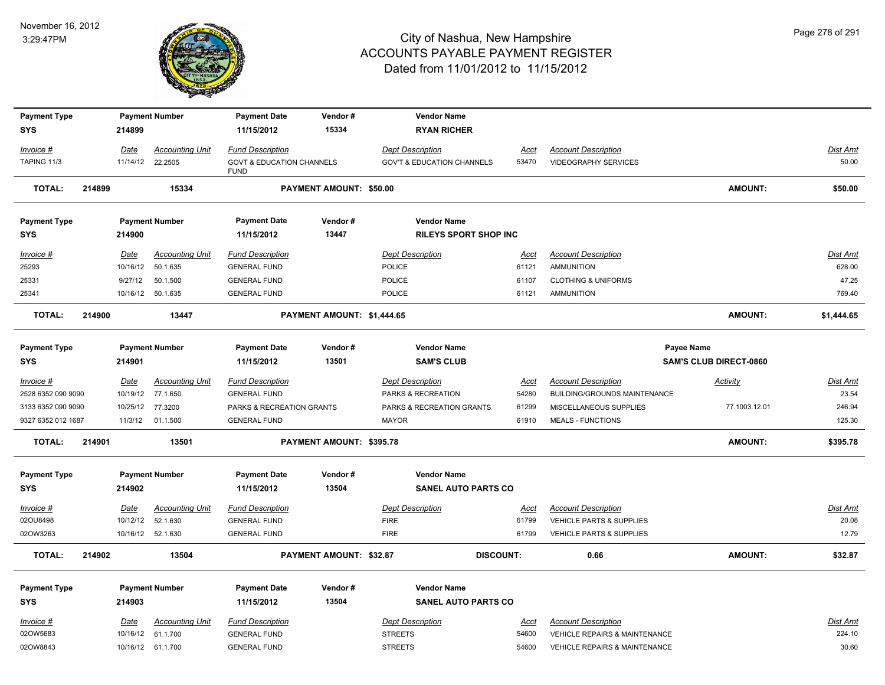

| <b>Payment Type</b>               |        |             | <b>Payment Number</b>                       | <b>Payment Date</b>                                 | Vendor#                    | <b>Vendor Name</b>                            |                      |                                                            |                               |                          |
|-----------------------------------|--------|-------------|---------------------------------------------|-----------------------------------------------------|----------------------------|-----------------------------------------------|----------------------|------------------------------------------------------------|-------------------------------|--------------------------|
| <b>SYS</b>                        |        | 214899      |                                             | 11/15/2012                                          | 15334                      | <b>RYAN RICHER</b>                            |                      |                                                            |                               |                          |
| Invoice #                         |        | Date        | <b>Accounting Unit</b>                      | <b>Fund Description</b>                             |                            | <b>Dept Description</b>                       | <b>Acct</b>          | <b>Account Description</b>                                 |                               | Dist Amt                 |
| TAPING 11/3                       |        |             | 11/14/12 22.2505                            | <b>GOVT &amp; EDUCATION CHANNELS</b><br><b>FUND</b> |                            | <b>GOV'T &amp; EDUCATION CHANNELS</b>         | 53470                | <b>VIDEOGRAPHY SERVICES</b>                                |                               | 50.00                    |
| <b>TOTAL:</b>                     | 214899 |             | 15334                                       |                                                     | PAYMENT AMOUNT: \$50.00    |                                               |                      |                                                            | AMOUNT:                       | \$50.00                  |
| <b>Payment Type</b>               |        |             | <b>Payment Number</b>                       | <b>Payment Date</b>                                 | Vendor#                    | <b>Vendor Name</b>                            |                      |                                                            |                               |                          |
| <b>SYS</b>                        |        | 214900      |                                             | 11/15/2012                                          | 13447                      | <b>RILEYS SPORT SHOP INC</b>                  |                      |                                                            |                               |                          |
| Invoice #                         |        | Date        | <b>Accounting Unit</b>                      | <b>Fund Description</b>                             |                            | <b>Dept Description</b>                       | Acct                 | <b>Account Description</b>                                 |                               | Dist Amt                 |
| 25293                             |        | 10/16/12    | 50.1.635                                    | <b>GENERAL FUND</b>                                 |                            | POLICE                                        | 61121                | <b>AMMUNITION</b>                                          |                               | 628.00                   |
| 25331                             |        | 9/27/12     | 50.1.500                                    | <b>GENERAL FUND</b>                                 |                            | <b>POLICE</b>                                 | 61107                | <b>CLOTHING &amp; UNIFORMS</b>                             |                               | 47.25                    |
| 25341                             |        |             | 10/16/12 50.1.635                           | <b>GENERAL FUND</b>                                 |                            | POLICE                                        | 61121                | <b>AMMUNITION</b>                                          |                               | 769.40                   |
| <b>TOTAL:</b>                     | 214900 |             | 13447                                       |                                                     | PAYMENT AMOUNT: \$1,444.65 |                                               |                      |                                                            | AMOUNT:                       | \$1,444.65               |
| <b>Payment Type</b>               |        |             | <b>Payment Number</b>                       | <b>Payment Date</b>                                 | Vendor#                    | <b>Vendor Name</b>                            |                      |                                                            | <b>Payee Name</b>             |                          |
| <b>SYS</b>                        |        | 214901      |                                             | 11/15/2012                                          | 13501                      | <b>SAM'S CLUB</b>                             |                      |                                                            | <b>SAM'S CLUB DIRECT-0860</b> |                          |
| $Invoice$ #<br>2528 6352 090 9090 |        | <b>Date</b> | <b>Accounting Unit</b><br>10/19/12 77.1.650 | <b>Fund Description</b><br><b>GENERAL FUND</b>      |                            | <b>Dept Description</b><br>PARKS & RECREATION | <u>Acct</u><br>54280 | <b>Account Description</b><br>BUILDING/GROUNDS MAINTENANCE | <b>Activity</b>               | <u>Dist Amt</u><br>23.54 |
| 3133 6352 090 9090                |        | 10/25/12    | 77.3200                                     | PARKS & RECREATION GRANTS                           |                            | PARKS & RECREATION GRANTS                     | 61299                | MISCELLANEOUS SUPPLIES                                     | 77.1003.12.01                 | 246.94                   |
| 9327 6352 012 1687                |        | 11/3/12     | 01.1.500                                    | <b>GENERAL FUND</b>                                 |                            | <b>MAYOR</b>                                  | 61910                | <b>MEALS - FUNCTIONS</b>                                   |                               | 125.30                   |
| <b>TOTAL:</b>                     | 214901 |             | 13501                                       |                                                     | PAYMENT AMOUNT: \$395.78   |                                               |                      |                                                            | <b>AMOUNT:</b>                | \$395.78                 |
| <b>Payment Type</b>               |        |             | <b>Payment Number</b>                       | <b>Payment Date</b>                                 | Vendor#                    | <b>Vendor Name</b>                            |                      |                                                            |                               |                          |
| <b>SYS</b>                        |        | 214902      |                                             | 11/15/2012                                          | 13504                      | SANEL AUTO PARTS CO                           |                      |                                                            |                               |                          |
| Invoice #                         |        | Date        | <b>Accounting Unit</b>                      | <b>Fund Description</b>                             |                            | <b>Dept Description</b>                       | <b>Acct</b>          | <b>Account Description</b>                                 |                               | <b>Dist Amt</b>          |
| 02OU8498                          |        | 10/12/12    | 52.1.630                                    | <b>GENERAL FUND</b>                                 |                            | <b>FIRE</b>                                   | 61799                | <b>VEHICLE PARTS &amp; SUPPLIES</b>                        |                               | 20.08                    |
| 02OW3263                          |        |             | 10/16/12 52.1.630                           | <b>GENERAL FUND</b>                                 |                            | <b>FIRE</b>                                   | 61799                | VEHICLE PARTS & SUPPLIES                                   |                               | 12.79                    |
| <b>TOTAL:</b>                     | 214902 |             | 13504                                       |                                                     | PAYMENT AMOUNT: \$32.87    |                                               | <b>DISCOUNT:</b>     | 0.66                                                       | AMOUNT:                       | \$32.87                  |
| <b>Payment Type</b>               |        |             | <b>Payment Number</b>                       | <b>Payment Date</b>                                 | Vendor#                    | <b>Vendor Name</b>                            |                      |                                                            |                               |                          |
| <b>SYS</b>                        |        | 214903      |                                             | 11/15/2012                                          | 13504                      | <b>SANEL AUTO PARTS CO</b>                    |                      |                                                            |                               |                          |
| $Invoice$ #                       |        | Date        | <b>Accounting Unit</b>                      | <b>Fund Description</b>                             |                            | <b>Dept Description</b>                       | <b>Acct</b>          | <b>Account Description</b>                                 |                               | <b>Dist Amt</b>          |
| 02OW5683                          |        | 10/16/12    | 61.1.700                                    | <b>GENERAL FUND</b>                                 |                            | <b>STREETS</b>                                | 54600                | <b>VEHICLE REPAIRS &amp; MAINTENANCE</b>                   |                               | 224.10                   |
| 02OW8843                          |        |             | 10/16/12 61.1.700                           | <b>GENERAL FUND</b>                                 |                            | <b>STREETS</b>                                | 54600                | <b>VEHICLE REPAIRS &amp; MAINTENANCE</b>                   |                               | 30.60                    |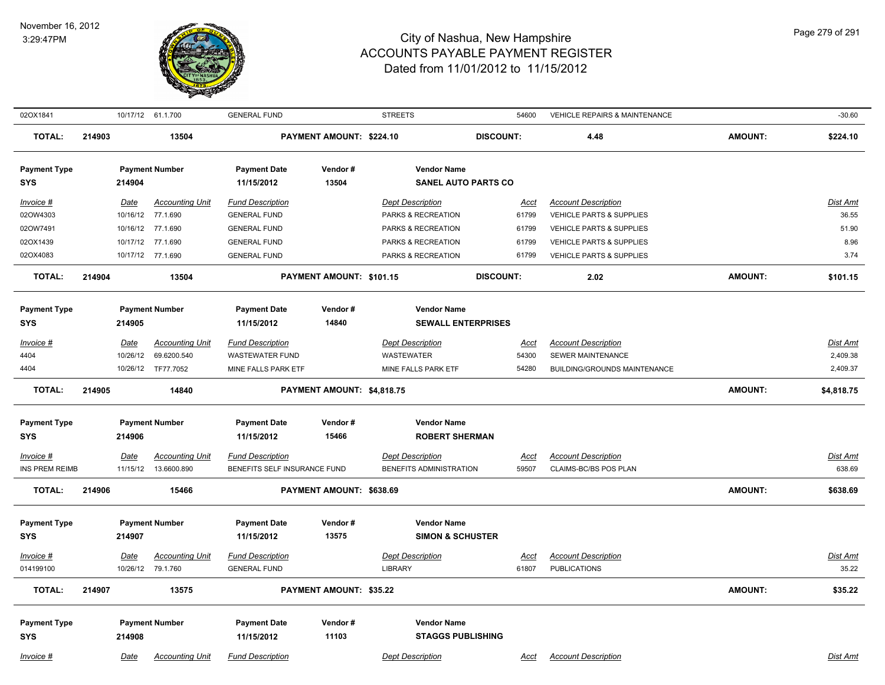

| 02OX1841              |        |             | 10/17/12 61.1.700      | <b>GENERAL FUND</b>          |                            | <b>STREETS</b>              | 54600            | <b>VEHICLE REPAIRS &amp; MAINTENANCE</b> |                | $-30.60$   |
|-----------------------|--------|-------------|------------------------|------------------------------|----------------------------|-----------------------------|------------------|------------------------------------------|----------------|------------|
| <b>TOTAL:</b>         | 214903 |             | 13504                  |                              | PAYMENT AMOUNT: \$224.10   |                             | <b>DISCOUNT:</b> | 4.48                                     | <b>AMOUNT:</b> | \$224.10   |
| <b>Payment Type</b>   |        |             | <b>Payment Number</b>  | <b>Payment Date</b>          | Vendor#                    | <b>Vendor Name</b>          |                  |                                          |                |            |
| <b>SYS</b>            |        | 214904      |                        | 11/15/2012                   | 13504                      | <b>SANEL AUTO PARTS CO</b>  |                  |                                          |                |            |
| $Invoice$ #           |        | Date        | <b>Accounting Unit</b> | <b>Fund Description</b>      |                            | <b>Dept Description</b>     | <b>Acct</b>      | <b>Account Description</b>               |                | Dist Amt   |
| 02OW4303              |        |             | 10/16/12 77.1.690      | <b>GENERAL FUND</b>          |                            | PARKS & RECREATION          | 61799            | <b>VEHICLE PARTS &amp; SUPPLIES</b>      |                | 36.55      |
| 02OW7491              |        |             | 10/16/12 77.1.690      | <b>GENERAL FUND</b>          |                            | PARKS & RECREATION          | 61799            | <b>VEHICLE PARTS &amp; SUPPLIES</b>      |                | 51.90      |
| 02OX1439              |        |             | 10/17/12 77.1.690      | <b>GENERAL FUND</b>          |                            | PARKS & RECREATION          | 61799            | VEHICLE PARTS & SUPPLIES                 |                | 8.96       |
| 02OX4083              |        |             | 10/17/12 77.1.690      | <b>GENERAL FUND</b>          |                            | PARKS & RECREATION          | 61799            | <b>VEHICLE PARTS &amp; SUPPLIES</b>      |                | 3.74       |
| <b>TOTAL:</b>         | 214904 |             | 13504                  |                              | PAYMENT AMOUNT: \$101.15   |                             | <b>DISCOUNT:</b> | 2.02                                     | <b>AMOUNT:</b> | \$101.15   |
| <b>Payment Type</b>   |        |             | <b>Payment Number</b>  | <b>Payment Date</b>          | Vendor#                    | <b>Vendor Name</b>          |                  |                                          |                |            |
| <b>SYS</b>            |        | 214905      |                        | 11/15/2012                   | 14840                      | <b>SEWALL ENTERPRISES</b>   |                  |                                          |                |            |
| Invoice #             |        | Date        | <b>Accounting Unit</b> | <b>Fund Description</b>      |                            | <b>Dept Description</b>     | Acct             | <b>Account Description</b>               |                | Dist Amt   |
| 4404                  |        | 10/26/12    | 69.6200.540            | <b>WASTEWATER FUND</b>       |                            | <b>WASTEWATER</b>           | 54300            | SEWER MAINTENANCE                        |                | 2,409.38   |
| 4404                  |        |             | 10/26/12 TF77.7052     | MINE FALLS PARK ETF          |                            | MINE FALLS PARK ETF         | 54280            | BUILDING/GROUNDS MAINTENANCE             |                | 2,409.37   |
| <b>TOTAL:</b>         | 214905 |             | 14840                  |                              | PAYMENT AMOUNT: \$4,818.75 |                             |                  |                                          | <b>AMOUNT:</b> | \$4,818.75 |
| <b>Payment Type</b>   |        |             | <b>Payment Number</b>  | <b>Payment Date</b>          | Vendor#                    | <b>Vendor Name</b>          |                  |                                          |                |            |
| <b>SYS</b>            |        | 214906      |                        | 11/15/2012                   | 15466                      | <b>ROBERT SHERMAN</b>       |                  |                                          |                |            |
| <b>Invoice #</b>      |        | <u>Date</u> | <b>Accounting Unit</b> | <b>Fund Description</b>      |                            | <b>Dept Description</b>     | <u>Acct</u>      | <b>Account Description</b>               |                | Dist Amt   |
| <b>INS PREM REIMB</b> |        | 11/15/12    | 13.6600.890            | BENEFITS SELF INSURANCE FUND |                            | BENEFITS ADMINISTRATION     | 59507            | CLAIMS-BC/BS POS PLAN                    |                | 638.69     |
| <b>TOTAL:</b>         | 214906 |             | 15466                  |                              | PAYMENT AMOUNT: \$638.69   |                             |                  |                                          | <b>AMOUNT:</b> | \$638.69   |
|                       |        |             |                        |                              |                            |                             |                  |                                          |                |            |
| <b>Payment Type</b>   |        |             | <b>Payment Number</b>  | <b>Payment Date</b>          | Vendor#                    | <b>Vendor Name</b>          |                  |                                          |                |            |
| <b>SYS</b>            |        | 214907      |                        | 11/15/2012                   | 13575                      | <b>SIMON &amp; SCHUSTER</b> |                  |                                          |                |            |
| Invoice #             |        | Date        | <b>Accounting Unit</b> | <b>Fund Description</b>      |                            | <b>Dept Description</b>     | Acct             | <b>Account Description</b>               |                | Dist Amt   |
| 014199100             |        |             | 10/26/12 79.1.760      | <b>GENERAL FUND</b>          |                            | <b>LIBRARY</b>              | 61807            | <b>PUBLICATIONS</b>                      |                | 35.22      |
| <b>TOTAL:</b>         | 214907 |             | 13575                  |                              | PAYMENT AMOUNT: \$35.22    |                             |                  |                                          | <b>AMOUNT:</b> | \$35.22    |
|                       |        |             |                        |                              |                            |                             |                  |                                          |                |            |
| <b>Payment Type</b>   |        |             | <b>Payment Number</b>  | <b>Payment Date</b>          | Vendor#<br>11103           | <b>Vendor Name</b>          |                  |                                          |                |            |
| <b>SYS</b>            |        | 214908      |                        | 11/15/2012                   |                            | <b>STAGGS PUBLISHING</b>    |                  |                                          |                |            |
| Invoice #             |        | Date        | <b>Accounting Unit</b> | <b>Fund Description</b>      |                            | <b>Dept Description</b>     | Acct             | <b>Account Description</b>               |                | Dist Amt   |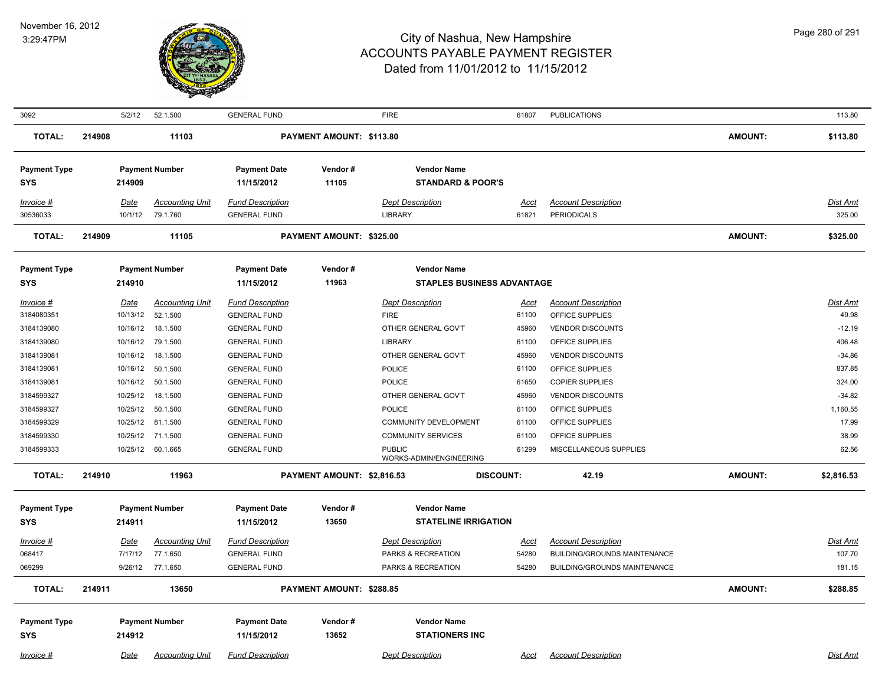

| 3092                              |        | 5/2/12           | 52.1.500                                   | <b>GENERAL FUND</b>                            |                            | <b>FIRE</b>                                        | 61807            | <b>PUBLICATIONS</b>                              |                | 113.80                    |
|-----------------------------------|--------|------------------|--------------------------------------------|------------------------------------------------|----------------------------|----------------------------------------------------|------------------|--------------------------------------------------|----------------|---------------------------|
| <b>TOTAL:</b>                     | 214908 |                  | 11103                                      |                                                | PAYMENT AMOUNT: \$113.80   |                                                    |                  |                                                  | <b>AMOUNT:</b> | \$113.80                  |
| <b>Payment Type</b><br><b>SYS</b> |        | 214909           | <b>Payment Number</b>                      | <b>Payment Date</b><br>11/15/2012              | Vendor#<br>11105           | <b>Vendor Name</b><br><b>STANDARD &amp; POOR'S</b> |                  |                                                  |                |                           |
|                                   |        |                  |                                            |                                                |                            |                                                    |                  |                                                  |                |                           |
| Invoice #<br>30536033             |        | Date             | <b>Accounting Unit</b><br>10/1/12 79.1.760 | <b>Fund Description</b><br><b>GENERAL FUND</b> |                            | <b>Dept Description</b><br><b>LIBRARY</b>          | Acct<br>61821    | <b>Account Description</b><br><b>PERIODICALS</b> |                | <b>Dist Amt</b><br>325.00 |
|                                   |        |                  |                                            |                                                |                            |                                                    |                  |                                                  |                |                           |
| <b>TOTAL:</b>                     | 214909 |                  | 11105                                      |                                                | PAYMENT AMOUNT: \$325.00   |                                                    |                  |                                                  | <b>AMOUNT:</b> | \$325.00                  |
| <b>Payment Type</b>               |        |                  | <b>Payment Number</b>                      | <b>Payment Date</b>                            | Vendor#                    | <b>Vendor Name</b>                                 |                  |                                                  |                |                           |
| <b>SYS</b>                        |        | 214910           |                                            | 11/15/2012                                     | 11963                      | <b>STAPLES BUSINESS ADVANTAGE</b>                  |                  |                                                  |                |                           |
| Invoice #<br>3184080351           |        | Date<br>10/13/12 | <b>Accounting Unit</b><br>52.1.500         | <b>Fund Description</b>                        |                            | <b>Dept Description</b>                            | <u>Acct</u>      | <b>Account Description</b>                       |                | <u>Dist Amt</u><br>49.98  |
| 3184139080                        |        | 10/16/12         | 18.1.500                                   | <b>GENERAL FUND</b><br><b>GENERAL FUND</b>     |                            | <b>FIRE</b><br>OTHER GENERAL GOV'T                 | 61100<br>45960   | OFFICE SUPPLIES<br><b>VENDOR DISCOUNTS</b>       |                | $-12.19$                  |
| 3184139080                        |        | 10/16/12         | 79.1.500                                   | <b>GENERAL FUND</b>                            |                            | <b>LIBRARY</b>                                     | 61100            | OFFICE SUPPLIES                                  |                | 406.48                    |
| 3184139081                        |        | 10/16/12         | 18.1.500                                   | <b>GENERAL FUND</b>                            |                            | OTHER GENERAL GOV'T                                | 45960            | <b>VENDOR DISCOUNTS</b>                          |                | $-34.86$                  |
| 3184139081                        |        | 10/16/12         | 50.1.500                                   | <b>GENERAL FUND</b>                            |                            | POLICE                                             | 61100            | OFFICE SUPPLIES                                  |                | 837.85                    |
| 3184139081                        |        | 10/16/12         | 50.1.500                                   | <b>GENERAL FUND</b>                            |                            | <b>POLICE</b>                                      | 61650            | <b>COPIER SUPPLIES</b>                           |                | 324.00                    |
| 3184599327                        |        | 10/25/12         | 18.1.500                                   | <b>GENERAL FUND</b>                            |                            | OTHER GENERAL GOV'T                                | 45960            | <b>VENDOR DISCOUNTS</b>                          |                | $-34.82$                  |
| 3184599327                        |        | 10/25/12         | 50.1.500                                   | <b>GENERAL FUND</b>                            |                            | <b>POLICE</b>                                      | 61100            | OFFICE SUPPLIES                                  |                | 1,160.55                  |
| 3184599329                        |        | 10/25/12         | 81.1.500                                   | <b>GENERAL FUND</b>                            |                            | <b>COMMUNITY DEVELOPMENT</b>                       | 61100            | OFFICE SUPPLIES                                  |                | 17.99                     |
| 3184599330                        |        |                  | 10/25/12 71.1.500                          | <b>GENERAL FUND</b>                            |                            | <b>COMMUNITY SERVICES</b>                          | 61100            | OFFICE SUPPLIES                                  |                | 38.99                     |
| 3184599333                        |        | 10/25/12         | 60.1.665                                   | <b>GENERAL FUND</b>                            |                            | <b>PUBLIC</b><br>WORKS-ADMIN/ENGINEERING           | 61299            | MISCELLANEOUS SUPPLIES                           |                | 62.56                     |
| <b>TOTAL:</b>                     | 214910 |                  | 11963                                      |                                                | PAYMENT AMOUNT: \$2,816.53 |                                                    | <b>DISCOUNT:</b> | 42.19                                            | <b>AMOUNT:</b> | \$2,816.53                |
| <b>Payment Type</b>               |        |                  | <b>Payment Number</b>                      | <b>Payment Date</b>                            | Vendor#                    | <b>Vendor Name</b>                                 |                  |                                                  |                |                           |
| <b>SYS</b>                        |        | 214911           |                                            | 11/15/2012                                     | 13650                      | <b>STATELINE IRRIGATION</b>                        |                  |                                                  |                |                           |
| Invoice #                         |        | Date             | <b>Accounting Unit</b>                     | <b>Fund Description</b>                        |                            | <b>Dept Description</b>                            | Acct             | <b>Account Description</b>                       |                | <b>Dist Amt</b>           |
| 068417                            |        | 7/17/12          | 77.1.650                                   | <b>GENERAL FUND</b>                            |                            | PARKS & RECREATION                                 | 54280            | <b>BUILDING/GROUNDS MAINTENANCE</b>              |                | 107.70                    |
| 069299                            |        |                  | 9/26/12 77.1.650                           | <b>GENERAL FUND</b>                            |                            | PARKS & RECREATION                                 | 54280            | <b>BUILDING/GROUNDS MAINTENANCE</b>              |                | 181.15                    |
| <b>TOTAL:</b>                     | 214911 |                  | 13650                                      |                                                | PAYMENT AMOUNT: \$288.85   |                                                    |                  |                                                  | <b>AMOUNT:</b> | \$288.85                  |
| <b>Payment Type</b>               |        |                  | <b>Payment Number</b>                      | <b>Payment Date</b>                            | Vendor#                    | <b>Vendor Name</b>                                 |                  |                                                  |                |                           |
| <b>SYS</b>                        |        | 214912           |                                            | 11/15/2012                                     | 13652                      | <b>STATIONERS INC</b>                              |                  |                                                  |                |                           |
| <u>Invoice #</u>                  |        | <u>Date</u>      | <b>Accounting Unit</b>                     | <b>Fund Description</b>                        |                            | <b>Dept Description</b>                            | <u>Acct</u>      | <b>Account Description</b>                       |                | Dist Amt                  |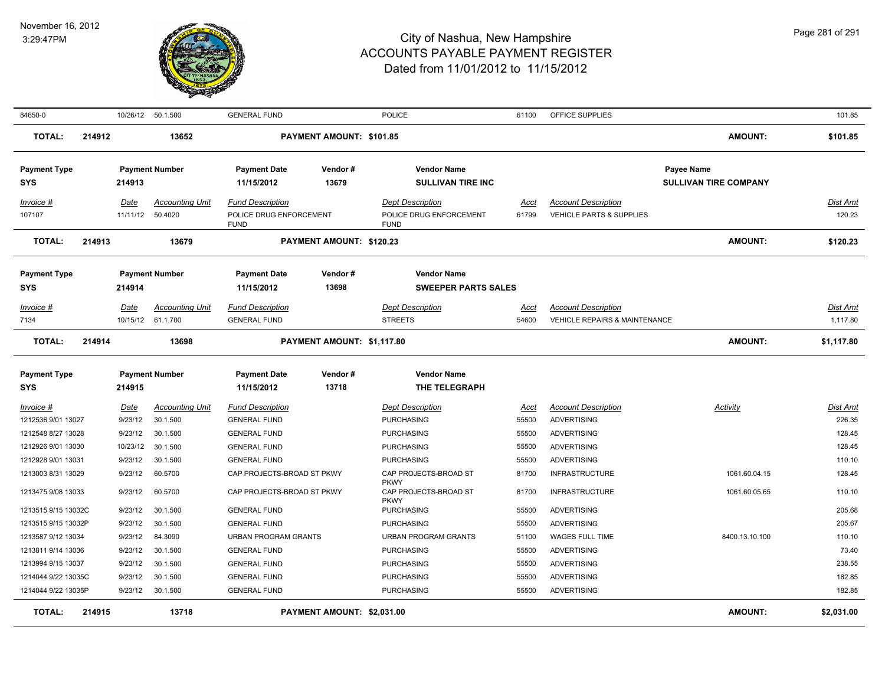

| 84650-0                           |        | 10/26/12    | 50.1.500                                    | <b>GENERAL FUND</b>                            |                            | <b>POLICE</b>                                       | 61100                | OFFICE SUPPLIES                                                        |                                            | 101.85                      |
|-----------------------------------|--------|-------------|---------------------------------------------|------------------------------------------------|----------------------------|-----------------------------------------------------|----------------------|------------------------------------------------------------------------|--------------------------------------------|-----------------------------|
| <b>TOTAL:</b>                     | 214912 |             | 13652                                       |                                                | PAYMENT AMOUNT: \$101.85   |                                                     |                      |                                                                        | AMOUNT:                                    | \$101.85                    |
| <b>Payment Type</b><br><b>SYS</b> |        | 214913      | <b>Payment Number</b>                       | <b>Payment Date</b><br>11/15/2012              | Vendor#<br>13679           | <b>Vendor Name</b><br><b>SULLIVAN TIRE INC</b>      |                      |                                                                        | Payee Name<br><b>SULLIVAN TIRE COMPANY</b> |                             |
| Invoice #                         |        | Date        | <b>Accounting Unit</b>                      | <b>Fund Description</b>                        |                            | <b>Dept Description</b>                             | Acct                 | <b>Account Description</b>                                             |                                            | Dist Amt                    |
| 107107                            |        | 11/11/12    | 50.4020                                     | POLICE DRUG ENFORCEMENT<br><b>FUND</b>         |                            | POLICE DRUG ENFORCEMENT<br><b>FUND</b>              | 61799                | VEHICLE PARTS & SUPPLIES                                               |                                            | 120.23                      |
| <b>TOTAL:</b>                     | 214913 |             | 13679                                       |                                                | PAYMENT AMOUNT: \$120.23   |                                                     |                      |                                                                        | AMOUNT:                                    | \$120.23                    |
| <b>Payment Type</b>               |        |             | <b>Payment Number</b>                       | <b>Payment Date</b>                            | Vendor#                    | <b>Vendor Name</b>                                  |                      |                                                                        |                                            |                             |
| <b>SYS</b>                        |        | 214914      |                                             | 11/15/2012                                     | 13698                      | <b>SWEEPER PARTS SALES</b>                          |                      |                                                                        |                                            |                             |
| Invoice #<br>7134                 |        | <u>Date</u> | <u>Accounting Unit</u><br>10/15/12 61.1.700 | <b>Fund Description</b><br><b>GENERAL FUND</b> |                            | <b>Dept Description</b><br><b>STREETS</b>           | <u>Acct</u><br>54600 | <b>Account Description</b><br><b>VEHICLE REPAIRS &amp; MAINTENANCE</b> |                                            | <b>Dist Amt</b><br>1,117.80 |
| <b>TOTAL:</b>                     | 214914 |             | 13698                                       |                                                | PAYMENT AMOUNT: \$1,117.80 |                                                     |                      |                                                                        | <b>AMOUNT:</b>                             | \$1,117.80                  |
| <b>Payment Type</b>               |        |             | <b>Payment Number</b>                       | <b>Payment Date</b>                            | Vendor#                    | <b>Vendor Name</b>                                  |                      |                                                                        |                                            |                             |
| <b>SYS</b>                        |        | 214915      |                                             | 11/15/2012                                     | 13718                      | THE TELEGRAPH                                       |                      |                                                                        |                                            |                             |
| Invoice #                         |        | <u>Date</u> | <b>Accounting Unit</b>                      | <b>Fund Description</b>                        |                            | <b>Dept Description</b>                             | Acct                 | <b>Account Description</b>                                             | Activity                                   | Dist Amt                    |
| 1212536 9/01 13027                |        | 9/23/12     | 30.1.500                                    | <b>GENERAL FUND</b>                            |                            | <b>PURCHASING</b>                                   | 55500                | <b>ADVERTISING</b>                                                     |                                            | 226.35                      |
| 1212548 8/27 13028                |        | 9/23/12     | 30.1.500                                    | <b>GENERAL FUND</b>                            |                            | <b>PURCHASING</b>                                   | 55500                | <b>ADVERTISING</b>                                                     |                                            | 128.45                      |
| 1212926 9/01 13030                |        | 10/23/12    | 30.1.500                                    | <b>GENERAL FUND</b>                            |                            | <b>PURCHASING</b>                                   | 55500                | <b>ADVERTISING</b>                                                     |                                            | 128.45                      |
| 1212928 9/01 13031                |        | 9/23/12     | 30.1.500                                    | <b>GENERAL FUND</b>                            |                            | <b>PURCHASING</b>                                   | 55500                | <b>ADVERTISING</b>                                                     |                                            | 110.10                      |
| 1213003 8/31 13029                |        | 9/23/12     | 60.5700                                     | CAP PROJECTS-BROAD ST PKWY                     |                            | CAP PROJECTS-BROAD ST                               | 81700                | <b>INFRASTRUCTURE</b>                                                  | 1061.60.04.15                              | 128.45                      |
| 1213475 9/08 13033                |        | 9/23/12     | 60.5700                                     | CAP PROJECTS-BROAD ST PKWY                     |                            | <b>PKWY</b><br>CAP PROJECTS-BROAD ST<br><b>PKWY</b> | 81700                | <b>INFRASTRUCTURE</b>                                                  | 1061.60.05.65                              | 110.10                      |
| 1213515 9/15 13032C               |        | 9/23/12     | 30.1.500                                    | <b>GENERAL FUND</b>                            |                            | <b>PURCHASING</b>                                   | 55500                | <b>ADVERTISING</b>                                                     |                                            | 205.68                      |
| 1213515 9/15 13032P               |        | 9/23/12     | 30.1.500                                    | <b>GENERAL FUND</b>                            |                            | <b>PURCHASING</b>                                   | 55500                | <b>ADVERTISING</b>                                                     |                                            | 205.67                      |
| 1213587 9/12 13034                |        | 9/23/12     | 84.3090                                     | <b>URBAN PROGRAM GRANTS</b>                    |                            | <b>URBAN PROGRAM GRANTS</b>                         | 51100                | WAGES FULL TIME                                                        | 8400.13.10.100                             | 110.10                      |
| 1213811 9/14 13036                |        | 9/23/12     | 30.1.500                                    | <b>GENERAL FUND</b>                            |                            | <b>PURCHASING</b>                                   | 55500                | <b>ADVERTISING</b>                                                     |                                            | 73.40                       |
| 1213994 9/15 13037                |        | 9/23/12     | 30.1.500                                    | <b>GENERAL FUND</b>                            |                            | <b>PURCHASING</b>                                   | 55500                | <b>ADVERTISING</b>                                                     |                                            | 238.55                      |
| 1214044 9/22 13035C               |        | 9/23/12     | 30.1.500                                    | <b>GENERAL FUND</b>                            |                            | <b>PURCHASING</b>                                   | 55500                | <b>ADVERTISING</b>                                                     |                                            | 182.85                      |
| 1214044 9/22 13035P               |        | 9/23/12     | 30.1.500                                    | <b>GENERAL FUND</b>                            |                            | <b>PURCHASING</b>                                   | 55500                | <b>ADVERTISING</b>                                                     |                                            | 182.85                      |
| <b>TOTAL:</b>                     | 214915 |             | 13718                                       |                                                | PAYMENT AMOUNT: \$2,031.00 |                                                     |                      |                                                                        | <b>AMOUNT:</b>                             | \$2,031.00                  |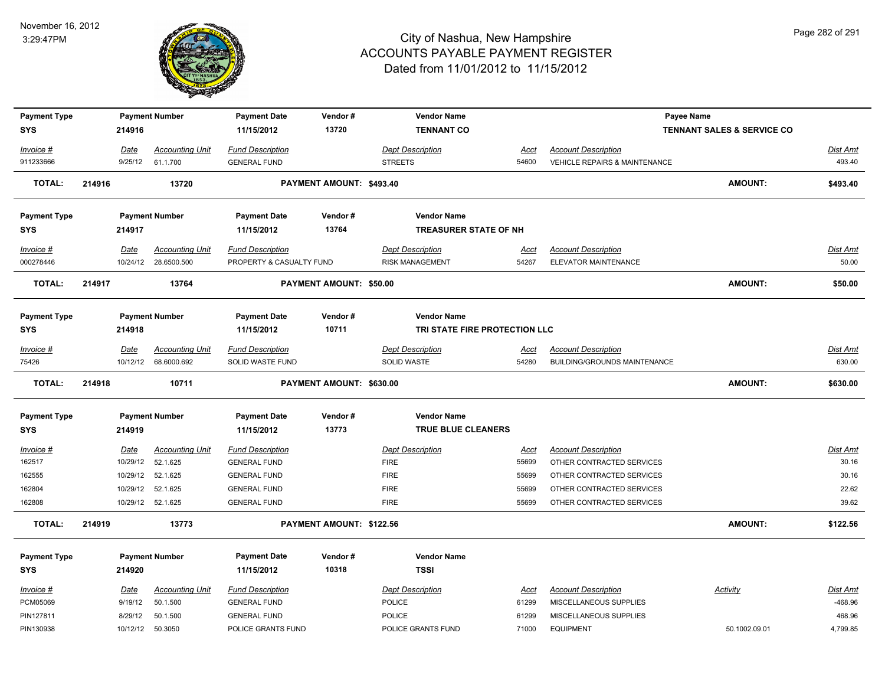

| <b>Payment Type</b> |        |             | <b>Payment Number</b>  | <b>Payment Date</b>      | Vendor#                  | <b>Vendor Name</b>            |             |                                          | Payee Name                            |                 |
|---------------------|--------|-------------|------------------------|--------------------------|--------------------------|-------------------------------|-------------|------------------------------------------|---------------------------------------|-----------------|
| <b>SYS</b>          |        | 214916      |                        | 11/15/2012               | 13720                    | <b>TENNANT CO</b>             |             |                                          | <b>TENNANT SALES &amp; SERVICE CO</b> |                 |
| Invoice #           |        | Date        | <b>Accounting Unit</b> | <b>Fund Description</b>  |                          | <b>Dept Description</b>       | Acct        | <b>Account Description</b>               |                                       | Dist Amt        |
| 911233666           |        | 9/25/12     | 61.1.700               | <b>GENERAL FUND</b>      |                          | <b>STREETS</b>                | 54600       | <b>VEHICLE REPAIRS &amp; MAINTENANCE</b> |                                       | 493.40          |
| <b>TOTAL:</b>       | 214916 |             | 13720                  |                          | PAYMENT AMOUNT: \$493.40 |                               |             |                                          | <b>AMOUNT:</b>                        | \$493.40        |
| <b>Payment Type</b> |        |             | <b>Payment Number</b>  | <b>Payment Date</b>      | Vendor#                  | <b>Vendor Name</b>            |             |                                          |                                       |                 |
| <b>SYS</b>          |        | 214917      |                        | 11/15/2012               | 13764                    | TREASURER STATE OF NH         |             |                                          |                                       |                 |
| Invoice #           |        | Date        | <b>Accounting Unit</b> | <b>Fund Description</b>  |                          | <b>Dept Description</b>       | Acct        | <b>Account Description</b>               |                                       | Dist Amt        |
| 000278446           |        |             | 10/24/12 28.6500.500   | PROPERTY & CASUALTY FUND |                          | <b>RISK MANAGEMENT</b>        | 54267       | ELEVATOR MAINTENANCE                     |                                       | 50.00           |
| <b>TOTAL:</b>       | 214917 |             | 13764                  |                          | PAYMENT AMOUNT: \$50.00  |                               |             |                                          | <b>AMOUNT:</b>                        | \$50.00         |
| <b>Payment Type</b> |        |             | <b>Payment Number</b>  | <b>Payment Date</b>      | Vendor#                  | <b>Vendor Name</b>            |             |                                          |                                       |                 |
| <b>SYS</b>          |        | 214918      |                        | 11/15/2012               | 10711                    | TRI STATE FIRE PROTECTION LLC |             |                                          |                                       |                 |
| Invoice #           |        | Date        | <b>Accounting Unit</b> | <b>Fund Description</b>  |                          | <b>Dept Description</b>       | Acct        | <b>Account Description</b>               |                                       | Dist Amt        |
| 75426               |        | 10/12/12    | 68.6000.692            | SOLID WASTE FUND         |                          | SOLID WASTE                   | 54280       | <b>BUILDING/GROUNDS MAINTENANCE</b>      |                                       | 630.00          |
| <b>TOTAL:</b>       | 214918 |             | 10711                  |                          | PAYMENT AMOUNT: \$630.00 |                               |             |                                          | <b>AMOUNT:</b>                        | \$630.00        |
| <b>Payment Type</b> |        |             | <b>Payment Number</b>  | <b>Payment Date</b>      | Vendor#                  | <b>Vendor Name</b>            |             |                                          |                                       |                 |
| <b>SYS</b>          |        | 214919      |                        | 11/15/2012               | 13773                    | <b>TRUE BLUE CLEANERS</b>     |             |                                          |                                       |                 |
| $Invoice$ #         |        | <u>Date</u> | <b>Accounting Unit</b> | <b>Fund Description</b>  |                          | <b>Dept Description</b>       | <u>Acct</u> | <b>Account Description</b>               |                                       | <b>Dist Amt</b> |
| 162517              |        | 10/29/12    | 52.1.625               | <b>GENERAL FUND</b>      |                          | <b>FIRE</b>                   | 55699       | OTHER CONTRACTED SERVICES                |                                       | 30.16           |
| 162555              |        | 10/29/12    | 52.1.625               | <b>GENERAL FUND</b>      |                          | <b>FIRE</b>                   | 55699       | OTHER CONTRACTED SERVICES                |                                       | 30.16           |
| 162804              |        | 10/29/12    | 52.1.625               | <b>GENERAL FUND</b>      |                          | <b>FIRE</b>                   | 55699       | OTHER CONTRACTED SERVICES                |                                       | 22.62           |
| 162808              |        |             | 10/29/12 52.1.625      | <b>GENERAL FUND</b>      |                          | <b>FIRE</b>                   | 55699       | OTHER CONTRACTED SERVICES                |                                       | 39.62           |
| <b>TOTAL:</b>       | 214919 |             | 13773                  |                          | PAYMENT AMOUNT: \$122.56 |                               |             |                                          | <b>AMOUNT:</b>                        | \$122.56        |
| <b>Payment Type</b> |        |             | <b>Payment Number</b>  | <b>Payment Date</b>      | Vendor#                  | <b>Vendor Name</b>            |             |                                          |                                       |                 |
| <b>SYS</b>          |        | 214920      |                        | 11/15/2012               | 10318                    | <b>TSSI</b>                   |             |                                          |                                       |                 |
| Invoice #           |        | Date        | <b>Accounting Unit</b> | <b>Fund Description</b>  |                          | <b>Dept Description</b>       | Acct        | <b>Account Description</b>               | Activity                              | Dist Amt        |
| PCM05069            |        | 9/19/12     | 50.1.500               | <b>GENERAL FUND</b>      |                          | <b>POLICE</b>                 | 61299       | MISCELLANEOUS SUPPLIES                   |                                       | $-468.96$       |
| PIN127811           |        | 8/29/12     | 50.1.500               | <b>GENERAL FUND</b>      |                          | <b>POLICE</b>                 | 61299       | MISCELLANEOUS SUPPLIES                   |                                       | 468.96          |
| PIN130938           |        |             | 10/12/12 50.3050       | POLICE GRANTS FUND       |                          | POLICE GRANTS FUND            | 71000       | <b>EQUIPMENT</b>                         | 50.1002.09.01                         | 4,799.85        |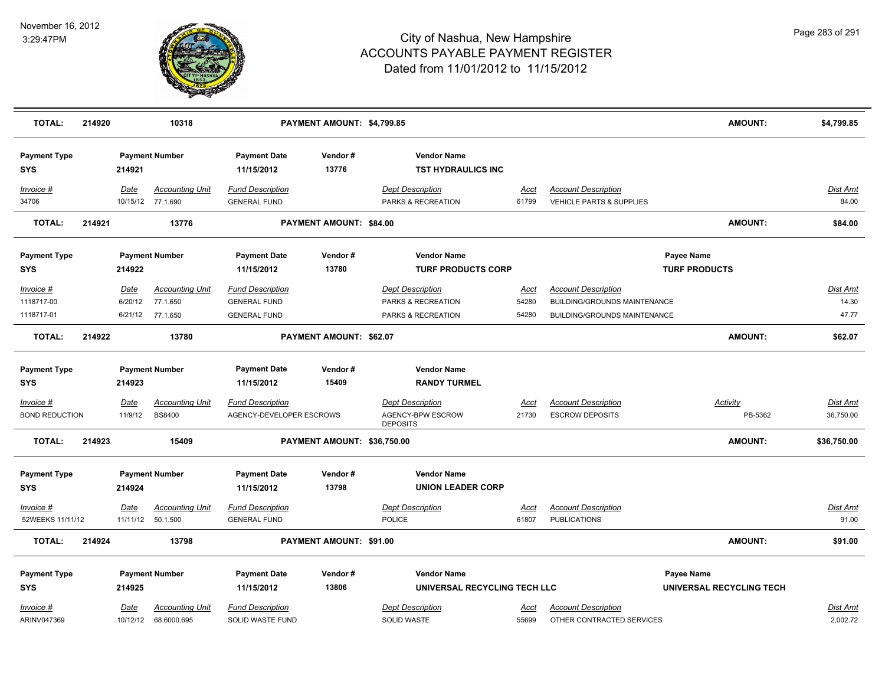

| <b>TOTAL:</b>                        | 214920 |                         | 10318                                   |                                                     | PAYMENT AMOUNT: \$4,799.85  |                                                                 |                      |                                                      | <b>AMOUNT:</b>             | \$4,799.85            |
|--------------------------------------|--------|-------------------------|-----------------------------------------|-----------------------------------------------------|-----------------------------|-----------------------------------------------------------------|----------------------|------------------------------------------------------|----------------------------|-----------------------|
| <b>Payment Type</b><br><b>SYS</b>    |        | 214921                  | <b>Payment Number</b>                   | <b>Payment Date</b><br>11/15/2012                   | Vendor#<br>13776            | <b>Vendor Name</b><br><b>TST HYDRAULICS INC</b>                 |                      |                                                      |                            |                       |
| Invoice #                            |        | Date                    | <b>Accounting Unit</b>                  | <b>Fund Description</b>                             |                             | <b>Dept Description</b>                                         | Acct                 | <b>Account Description</b>                           |                            | Dist Amt              |
| 34706                                |        |                         | 10/15/12 77.1.690                       | <b>GENERAL FUND</b>                                 |                             | PARKS & RECREATION                                              | 61799                | VEHICLE PARTS & SUPPLIES                             |                            | 84.00                 |
| <b>TOTAL:</b>                        | 214921 |                         | 13776                                   |                                                     | PAYMENT AMOUNT: \$84.00     |                                                                 |                      |                                                      | <b>AMOUNT:</b>             | \$84.00               |
| <b>Payment Type</b>                  |        |                         | <b>Payment Number</b>                   | <b>Payment Date</b>                                 | Vendor#                     | <b>Vendor Name</b>                                              |                      |                                                      | Payee Name                 |                       |
| <b>SYS</b>                           |        | 214922                  |                                         | 11/15/2012                                          | 13780                       | <b>TURF PRODUCTS CORP</b>                                       |                      |                                                      | <b>TURF PRODUCTS</b>       |                       |
| Invoice #                            |        | Date                    | <b>Accounting Unit</b>                  | <b>Fund Description</b>                             |                             | <b>Dept Description</b>                                         | <u>Acct</u>          | <b>Account Description</b>                           |                            | Dist Amt              |
| 1118717-00                           |        | 6/20/12                 | 77.1.650                                | <b>GENERAL FUND</b>                                 |                             | PARKS & RECREATION                                              | 54280                | <b>BUILDING/GROUNDS MAINTENANCE</b>                  |                            | 14.30                 |
| 1118717-01                           |        | 6/21/12                 | 77.1.650                                | <b>GENERAL FUND</b>                                 |                             | PARKS & RECREATION                                              | 54280                | BUILDING/GROUNDS MAINTENANCE                         |                            | 47.77                 |
| <b>TOTAL:</b>                        | 214922 |                         | 13780                                   |                                                     | PAYMENT AMOUNT: \$62.07     |                                                                 |                      |                                                      | <b>AMOUNT:</b>             | \$62.07               |
| <b>Payment Type</b>                  |        |                         | <b>Payment Number</b>                   | <b>Payment Date</b>                                 | Vendor#                     | <b>Vendor Name</b>                                              |                      |                                                      |                            |                       |
| <b>SYS</b>                           |        | 214923                  |                                         | 11/15/2012                                          | 15409                       | <b>RANDY TURMEL</b>                                             |                      |                                                      |                            |                       |
| $Invoice$ #<br><b>BOND REDUCTION</b> |        | Date<br>11/9/12         | <b>Accounting Unit</b><br><b>BS8400</b> | <b>Fund Description</b><br>AGENCY-DEVELOPER ESCROWS |                             | <b>Dept Description</b><br>AGENCY-BPW ESCROW<br><b>DEPOSITS</b> | <u>Acct</u><br>21730 | <b>Account Description</b><br><b>ESCROW DEPOSITS</b> | <b>Activity</b><br>PB-5362 | Dist Amt<br>36,750.00 |
| <b>TOTAL:</b>                        | 214923 |                         | 15409                                   |                                                     | PAYMENT AMOUNT: \$36,750.00 |                                                                 |                      |                                                      | <b>AMOUNT:</b>             | \$36,750.00           |
| <b>Payment Type</b><br><b>SYS</b>    |        | 214924                  | <b>Payment Number</b>                   | <b>Payment Date</b><br>11/15/2012                   | Vendor#<br>13798            | <b>Vendor Name</b><br><b>UNION LEADER CORP</b>                  |                      |                                                      |                            |                       |
| Invoice #<br>52WEEKS 11/11/12        |        | <u>Date</u><br>11/11/12 | <b>Accounting Unit</b><br>50.1.500      | <b>Fund Description</b><br><b>GENERAL FUND</b>      |                             | <b>Dept Description</b><br><b>POLICE</b>                        | <u>Acct</u><br>61807 | <b>Account Description</b><br><b>PUBLICATIONS</b>    |                            | Dist Amt<br>91.00     |
| <b>TOTAL:</b>                        | 214924 |                         | 13798                                   |                                                     | PAYMENT AMOUNT: \$91.00     |                                                                 |                      |                                                      | <b>AMOUNT:</b>             | \$91.00               |
| <b>Payment Type</b>                  |        |                         | <b>Payment Number</b>                   | <b>Payment Date</b>                                 | Vendor#                     | <b>Vendor Name</b>                                              |                      |                                                      | Payee Name                 |                       |
| <b>SYS</b>                           |        | 214925                  |                                         | 11/15/2012                                          | 13806                       | UNIVERSAL RECYCLING TECH LLC                                    |                      |                                                      | UNIVERSAL RECYCLING TECH   |                       |
| Invoice #                            |        | Date                    | <b>Accounting Unit</b>                  | <b>Fund Description</b>                             |                             | <b>Dept Description</b>                                         | <u>Acct</u>          | <b>Account Description</b>                           |                            | Dist Amt              |
| ARINV047369                          |        |                         | 10/12/12 68.6000.695                    | SOLID WASTE FUND                                    |                             | <b>SOLID WASTE</b>                                              | 55699                | OTHER CONTRACTED SERVICES                            |                            | 2,002.72              |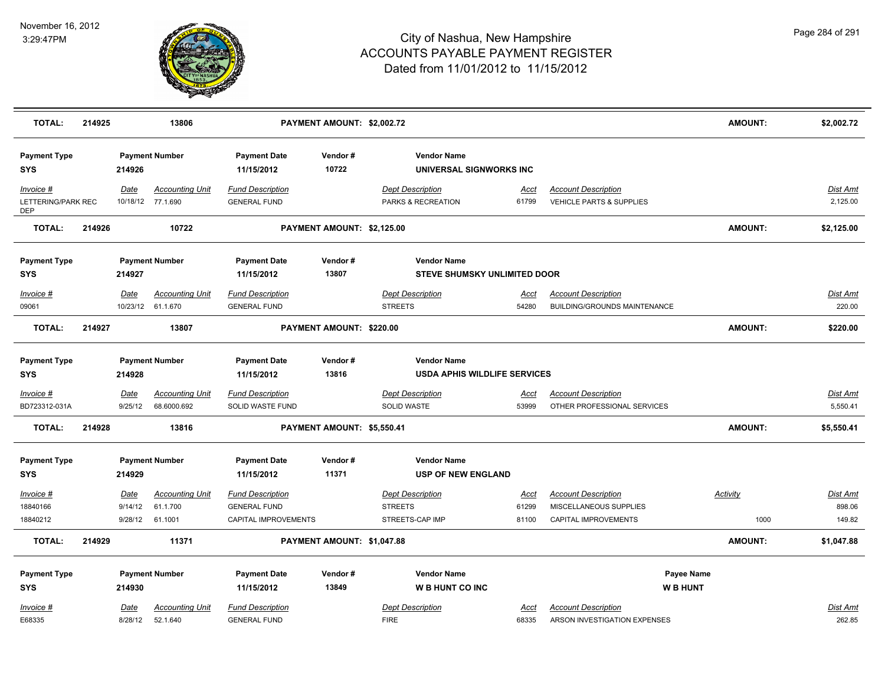

| <b>TOTAL:</b>                                 | 214925 |                        | 13806                                       |                                                | PAYMENT AMOUNT: \$2,002.72 |                                                           |                      |                                                                   | <b>AMOUNT:</b>               | \$2,002.72                  |
|-----------------------------------------------|--------|------------------------|---------------------------------------------|------------------------------------------------|----------------------------|-----------------------------------------------------------|----------------------|-------------------------------------------------------------------|------------------------------|-----------------------------|
| <b>Payment Type</b><br><b>SYS</b>             |        | 214926                 | <b>Payment Number</b>                       | <b>Payment Date</b><br>11/15/2012              | Vendor#<br>10722           | <b>Vendor Name</b><br>UNIVERSAL SIGNWORKS INC             |                      |                                                                   |                              |                             |
| Invoice #<br>LETTERING/PARK REC<br><b>DEP</b> |        | Date                   | <b>Accounting Unit</b><br>10/18/12 77.1.690 | <b>Fund Description</b><br><b>GENERAL FUND</b> |                            | <b>Dept Description</b><br>PARKS & RECREATION             | Acct<br>61799        | <b>Account Description</b><br>VEHICLE PARTS & SUPPLIES            |                              | Dist Amt<br>2,125.00        |
| <b>TOTAL:</b>                                 | 214926 |                        | 10722                                       |                                                | PAYMENT AMOUNT: \$2,125.00 |                                                           |                      |                                                                   | <b>AMOUNT:</b>               | \$2,125.00                  |
| <b>Payment Type</b><br><b>SYS</b>             |        | 214927                 | <b>Payment Number</b>                       | <b>Payment Date</b><br>11/15/2012              | Vendor#<br>13807           | <b>Vendor Name</b><br><b>STEVE SHUMSKY UNLIMITED DOOR</b> |                      |                                                                   |                              |                             |
| <u>Invoice #</u><br>09061                     |        | <b>Date</b>            | <b>Accounting Unit</b><br>10/23/12 61.1.670 | <b>Fund Description</b><br><b>GENERAL FUND</b> |                            | <b>Dept Description</b><br><b>STREETS</b>                 | <u>Acct</u><br>54280 | <b>Account Description</b><br><b>BUILDING/GROUNDS MAINTENANCE</b> |                              | Dist Amt<br>220.00          |
| <b>TOTAL:</b>                                 | 214927 |                        | 13807                                       |                                                | PAYMENT AMOUNT: \$220.00   |                                                           |                      |                                                                   | <b>AMOUNT:</b>               | \$220.00                    |
| <b>Payment Type</b><br><b>SYS</b>             |        | 214928                 | <b>Payment Number</b>                       | <b>Payment Date</b><br>11/15/2012              | Vendor#<br>13816           | <b>Vendor Name</b><br><b>USDA APHIS WILDLIFE SERVICES</b> |                      |                                                                   |                              |                             |
| Invoice #<br>BD723312-031A                    |        | Date<br>9/25/12        | <b>Accounting Unit</b><br>68.6000.692       | <b>Fund Description</b><br>SOLID WASTE FUND    |                            | <b>Dept Description</b><br>SOLID WASTE                    | <u>Acct</u><br>53999 | <b>Account Description</b><br>OTHER PROFESSIONAL SERVICES         |                              | <b>Dist Amt</b><br>5,550.41 |
| <b>TOTAL:</b>                                 | 214928 |                        | 13816                                       |                                                | PAYMENT AMOUNT: \$5,550.41 |                                                           |                      |                                                                   | <b>AMOUNT:</b>               | \$5,550.41                  |
| <b>Payment Type</b><br><b>SYS</b>             |        | 214929                 | <b>Payment Number</b>                       | <b>Payment Date</b><br>11/15/2012              | Vendor#<br>11371           | <b>Vendor Name</b><br><b>USP OF NEW ENGLAND</b>           |                      |                                                                   |                              |                             |
| <u>Invoice #</u><br>18840166                  |        | Date<br>9/14/12        | <b>Accounting Unit</b><br>61.1.700          | <b>Fund Description</b><br><b>GENERAL FUND</b> |                            | <b>Dept Description</b><br><b>STREETS</b>                 | <u>Acct</u><br>61299 | <b>Account Description</b><br>MISCELLANEOUS SUPPLIES              | <b>Activity</b>              | <b>Dist Amt</b><br>898.06   |
| 18840212                                      |        | 9/28/12                | 61.1001                                     | CAPITAL IMPROVEMENTS                           |                            | STREETS-CAP IMP                                           | 81100                | CAPITAL IMPROVEMENTS                                              | 1000                         | 149.82                      |
| <b>TOTAL:</b>                                 | 214929 |                        | 11371                                       |                                                | PAYMENT AMOUNT: \$1,047.88 |                                                           |                      |                                                                   | <b>AMOUNT:</b>               | \$1,047.88                  |
| <b>Payment Type</b><br><b>SYS</b>             |        | 214930                 | <b>Payment Number</b>                       | <b>Payment Date</b><br>11/15/2012              | Vendor#<br>13849           | <b>Vendor Name</b><br><b>WB HUNT CO INC</b>               |                      |                                                                   | Payee Name<br><b>WB HUNT</b> |                             |
| Invoice #<br>E68335                           |        | <b>Date</b><br>8/28/12 | <b>Accounting Unit</b><br>52.1.640          | <b>Fund Description</b><br><b>GENERAL FUND</b> |                            | <b>Dept Description</b><br><b>FIRE</b>                    | Acct<br>68335        | <b>Account Description</b><br>ARSON INVESTIGATION EXPENSES        |                              | Dist Amt<br>262.85          |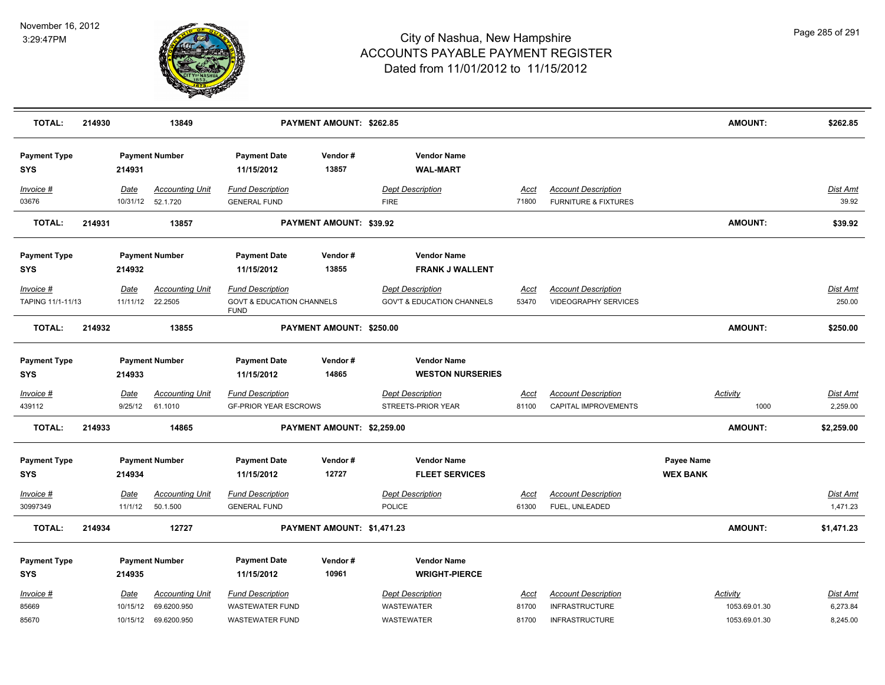

| <b>TOTAL:</b>                     | 214930 |                        | 13849                                        |                                                                                | PAYMENT AMOUNT: \$262.85   |                                                                  |                      |                                                               | <b>AMOUNT:</b>                | \$262.85                    |
|-----------------------------------|--------|------------------------|----------------------------------------------|--------------------------------------------------------------------------------|----------------------------|------------------------------------------------------------------|----------------------|---------------------------------------------------------------|-------------------------------|-----------------------------|
| <b>Payment Type</b><br><b>SYS</b> |        | 214931                 | <b>Payment Number</b>                        | <b>Payment Date</b><br>11/15/2012                                              | Vendor#<br>13857           | <b>Vendor Name</b><br><b>WAL-MART</b>                            |                      |                                                               |                               |                             |
| Invoice #<br>03676                |        | Date                   | <b>Accounting Unit</b><br>10/31/12  52.1.720 | <b>Fund Description</b><br><b>GENERAL FUND</b>                                 |                            | <b>Dept Description</b><br><b>FIRE</b>                           | Acct<br>71800        | <b>Account Description</b><br><b>FURNITURE &amp; FIXTURES</b> |                               | <b>Dist Amt</b><br>39.92    |
| <b>TOTAL:</b>                     | 214931 |                        | 13857                                        |                                                                                | PAYMENT AMOUNT: \$39.92    |                                                                  |                      |                                                               | <b>AMOUNT:</b>                | \$39.92                     |
|                                   |        |                        |                                              |                                                                                |                            |                                                                  |                      |                                                               |                               |                             |
| <b>Payment Type</b>               |        |                        | <b>Payment Number</b>                        | <b>Payment Date</b>                                                            | Vendor#                    | <b>Vendor Name</b>                                               |                      |                                                               |                               |                             |
| <b>SYS</b>                        |        | 214932                 |                                              | 11/15/2012                                                                     | 13855                      | <b>FRANK J WALLENT</b>                                           |                      |                                                               |                               |                             |
| Invoice #<br>TAPING 11/1-11/13    |        | Date<br>11/11/12       | <b>Accounting Unit</b><br>22.2505            | <b>Fund Description</b><br><b>GOVT &amp; EDUCATION CHANNELS</b><br><b>FUND</b> |                            | <b>Dept Description</b><br><b>GOV'T &amp; EDUCATION CHANNELS</b> | Acct<br>53470        | <b>Account Description</b><br><b>VIDEOGRAPHY SERVICES</b>     |                               | Dist Amt<br>250.00          |
| <b>TOTAL:</b>                     | 214932 |                        | 13855                                        |                                                                                | PAYMENT AMOUNT: \$250.00   |                                                                  |                      |                                                               | <b>AMOUNT:</b>                | \$250.00                    |
| <b>Payment Type</b>               |        |                        | <b>Payment Number</b>                        | <b>Payment Date</b>                                                            | Vendor#                    | <b>Vendor Name</b>                                               |                      |                                                               |                               |                             |
| <b>SYS</b>                        |        | 214933                 |                                              | 11/15/2012                                                                     | 14865                      | <b>WESTON NURSERIES</b>                                          |                      |                                                               |                               |                             |
| Invoice #                         |        | <b>Date</b>            | <b>Accounting Unit</b>                       | <b>Fund Description</b>                                                        |                            | <b>Dept Description</b>                                          | Acct                 | <b>Account Description</b>                                    | <b>Activity</b>               | <b>Dist Amt</b>             |
| 439112                            |        | 9/25/12                | 61.1010                                      | <b>GF-PRIOR YEAR ESCROWS</b>                                                   |                            | STREETS-PRIOR YEAR                                               | 81100                | CAPITAL IMPROVEMENTS                                          |                               | 2,259.00<br>1000            |
| TOTAL:                            | 214933 |                        | 14865                                        |                                                                                | PAYMENT AMOUNT: \$2,259.00 |                                                                  |                      |                                                               | <b>AMOUNT:</b>                | \$2,259.00                  |
| <b>Payment Type</b><br><b>SYS</b> |        | 214934                 | <b>Payment Number</b>                        | <b>Payment Date</b><br>11/15/2012                                              | Vendor#<br>12727           | <b>Vendor Name</b><br><b>FLEET SERVICES</b>                      |                      |                                                               | Payee Name<br><b>WEX BANK</b> |                             |
| <u>Invoice #</u><br>30997349      |        | <u>Date</u><br>11/1/12 | <b>Accounting Unit</b><br>50.1.500           | <b>Fund Description</b><br><b>GENERAL FUND</b>                                 |                            | <b>Dept Description</b><br>POLICE                                | <u>Acct</u><br>61300 | <b>Account Description</b><br>FUEL, UNLEADED                  |                               | <b>Dist Amt</b><br>1,471.23 |
| <b>TOTAL:</b>                     | 214934 |                        | 12727                                        |                                                                                | PAYMENT AMOUNT: \$1,471.23 |                                                                  |                      |                                                               | <b>AMOUNT:</b>                | \$1,471.23                  |
| <b>Payment Type</b>               |        |                        | <b>Payment Number</b>                        | <b>Payment Date</b>                                                            | Vendor#                    | <b>Vendor Name</b>                                               |                      |                                                               |                               |                             |
| <b>SYS</b>                        |        | 214935                 |                                              | 11/15/2012                                                                     | 10961                      | <b>WRIGHT-PIERCE</b>                                             |                      |                                                               |                               |                             |
| Invoice #<br>85669                |        | Date<br>10/15/12       | <b>Accounting Unit</b><br>69.6200.950        | <b>Fund Description</b><br><b>WASTEWATER FUND</b>                              |                            | <b>Dept Description</b><br><b>WASTEWATER</b>                     | Acct<br>81700        | <b>Account Description</b><br><b>INFRASTRUCTURE</b>           | Activity<br>1053.69.01.30     | Dist Amt<br>6,273.84        |
| 85670                             |        |                        | 10/15/12 69.6200.950                         | WASTEWATER FUND                                                                |                            | <b>WASTEWATER</b>                                                | 81700                | <b>INFRASTRUCTURE</b>                                         | 1053.69.01.30                 | 8,245.00                    |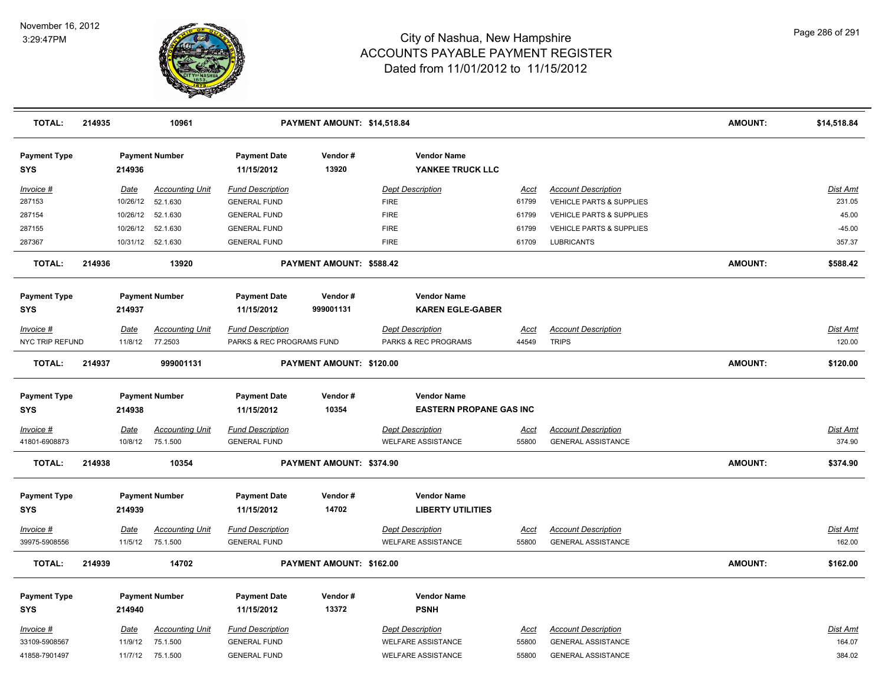

| <b>TOTAL:</b>                     | 214935 |          | 10961                  |                                   | PAYMENT AMOUNT: \$14,518.84 |                                                      |             |                                     | <b>AMOUNT:</b> | \$14,518.84     |
|-----------------------------------|--------|----------|------------------------|-----------------------------------|-----------------------------|------------------------------------------------------|-------------|-------------------------------------|----------------|-----------------|
| <b>Payment Type</b><br>SYS        |        | 214936   | <b>Payment Number</b>  | <b>Payment Date</b><br>11/15/2012 | Vendor#<br>13920            | <b>Vendor Name</b><br>YANKEE TRUCK LLC               |             |                                     |                |                 |
| Invoice #                         |        | Date     | <b>Accounting Unit</b> | <b>Fund Description</b>           |                             | <b>Dept Description</b>                              | Acct        | <b>Account Description</b>          |                | Dist Amt        |
| 287153                            |        | 10/26/12 | 52.1.630               | <b>GENERAL FUND</b>               |                             | <b>FIRE</b>                                          | 61799       | VEHICLE PARTS & SUPPLIES            |                | 231.05          |
| 287154                            |        | 10/26/12 | 52.1.630               | <b>GENERAL FUND</b>               |                             | <b>FIRE</b>                                          | 61799       | <b>VEHICLE PARTS &amp; SUPPLIES</b> |                | 45.00           |
| 287155                            |        | 10/26/12 | 52.1.630               | <b>GENERAL FUND</b>               |                             | <b>FIRE</b>                                          | 61799       | VEHICLE PARTS & SUPPLIES            |                | $-45.00$        |
| 287367                            |        | 10/31/12 | 52.1.630               | <b>GENERAL FUND</b>               |                             | <b>FIRE</b>                                          | 61709       | <b>LUBRICANTS</b>                   |                | 357.37          |
| <b>TOTAL:</b>                     | 214936 |          | 13920                  |                                   | PAYMENT AMOUNT: \$588.42    |                                                      |             |                                     | <b>AMOUNT:</b> | \$588.42        |
| <b>Payment Type</b><br>SYS        |        | 214937   | <b>Payment Number</b>  | <b>Payment Date</b><br>11/15/2012 | Vendor#<br>999001131        | <b>Vendor Name</b><br><b>KAREN EGLE-GABER</b>        |             |                                     |                |                 |
| Invoice #                         |        | Date     | <b>Accounting Unit</b> | <b>Fund Description</b>           |                             | <b>Dept Description</b>                              | Acct        | <b>Account Description</b>          |                | Dist Amt        |
| NYC TRIP REFUND                   |        | 11/8/12  | 77.2503                | PARKS & REC PROGRAMS FUND         |                             | PARKS & REC PROGRAMS                                 | 44549       | <b>TRIPS</b>                        |                | 120.00          |
| <b>TOTAL:</b>                     | 214937 |          | 999001131              |                                   | PAYMENT AMOUNT: \$120.00    |                                                      |             |                                     | <b>AMOUNT:</b> | \$120.00        |
| <b>Payment Type</b><br><b>SYS</b> |        | 214938   | <b>Payment Number</b>  | <b>Payment Date</b><br>11/15/2012 | Vendor#<br>10354            | <b>Vendor Name</b><br><b>EASTERN PROPANE GAS INC</b> |             |                                     |                |                 |
| <u>Invoice #</u>                  |        | Date     | <b>Accounting Unit</b> | <b>Fund Description</b>           |                             | <b>Dept Description</b>                              | <u>Acct</u> | <b>Account Description</b>          |                | <b>Dist Amt</b> |
| 41801-6908873                     |        | 10/8/12  | 75.1.500               | <b>GENERAL FUND</b>               |                             | <b>WELFARE ASSISTANCE</b>                            | 55800       | <b>GENERAL ASSISTANCE</b>           |                | 374.90          |
| <b>TOTAL:</b>                     | 214938 |          | 10354                  |                                   | PAYMENT AMOUNT: \$374.90    |                                                      |             |                                     | <b>AMOUNT:</b> | \$374.90        |
| <b>Payment Type</b>               |        |          | <b>Payment Number</b>  | <b>Payment Date</b>               | Vendor#                     | <b>Vendor Name</b>                                   |             |                                     |                |                 |
| <b>SYS</b>                        |        | 214939   |                        | 11/15/2012                        | 14702                       | <b>LIBERTY UTILITIES</b>                             |             |                                     |                |                 |
| Invoice #                         |        | Date     | <b>Accounting Unit</b> | <b>Fund Description</b>           |                             | <b>Dept Description</b>                              | Acct        | <b>Account Description</b>          |                | Dist Amt        |
| 39975-5908556                     |        | 11/5/12  | 75.1.500               | <b>GENERAL FUND</b>               |                             | <b>WELFARE ASSISTANCE</b>                            | 55800       | <b>GENERAL ASSISTANCE</b>           |                | 162.00          |
| <b>TOTAL:</b>                     | 214939 |          | 14702                  |                                   | PAYMENT AMOUNT: \$162.00    |                                                      |             |                                     | <b>AMOUNT:</b> | \$162.00        |
| <b>Payment Type</b>               |        |          | <b>Payment Number</b>  | <b>Payment Date</b>               | Vendor#                     | <b>Vendor Name</b>                                   |             |                                     |                |                 |
| <b>SYS</b>                        |        | 214940   |                        | 11/15/2012                        | 13372                       | <b>PSNH</b>                                          |             |                                     |                |                 |
| Invoice #                         |        | Date     | <b>Accounting Unit</b> | <b>Fund Description</b>           |                             | <b>Dept Description</b>                              | Acct        | <b>Account Description</b>          |                | Dist Amt        |
| 33109-5908567                     |        | 11/9/12  | 75.1.500               | <b>GENERAL FUND</b>               |                             | <b>WELFARE ASSISTANCE</b>                            | 55800       | <b>GENERAL ASSISTANCE</b>           |                | 164.07          |
| 41858-7901497                     |        |          | 11/7/12 75.1.500       | <b>GENERAL FUND</b>               |                             | <b>WELFARE ASSISTANCE</b>                            | 55800       | <b>GENERAL ASSISTANCE</b>           |                | 384.02          |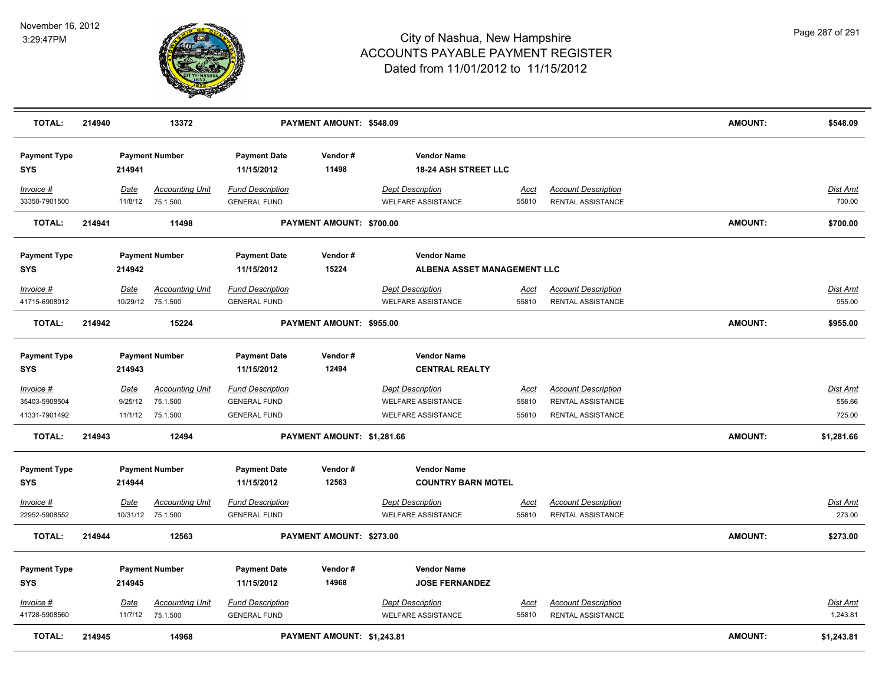

| <b>TOTAL:</b>                                 | 214940 |                 | 13372                                                  |                                                                       | PAYMENT AMOUNT: \$548.09   |                                                                                   |                               |                                                                             | <b>AMOUNT:</b> | \$548.09                     |
|-----------------------------------------------|--------|-----------------|--------------------------------------------------------|-----------------------------------------------------------------------|----------------------------|-----------------------------------------------------------------------------------|-------------------------------|-----------------------------------------------------------------------------|----------------|------------------------------|
| <b>Payment Type</b><br><b>SYS</b>             |        | 214941          | <b>Payment Number</b>                                  | <b>Payment Date</b><br>11/15/2012                                     | Vendor#<br>11498           | <b>Vendor Name</b><br><b>18-24 ASH STREET LLC</b>                                 |                               |                                                                             |                |                              |
| Invoice #<br>33350-7901500                    |        | Date<br>11/8/12 | <b>Accounting Unit</b><br>75.1.500                     | <b>Fund Description</b><br><b>GENERAL FUND</b>                        |                            | <b>Dept Description</b><br><b>WELFARE ASSISTANCE</b>                              | Acct<br>55810                 | <b>Account Description</b><br><b>RENTAL ASSISTANCE</b>                      |                | Dist Amt<br>700.00           |
| <b>TOTAL:</b>                                 | 214941 |                 | 11498                                                  |                                                                       | PAYMENT AMOUNT: \$700.00   |                                                                                   |                               |                                                                             | <b>AMOUNT:</b> | \$700.00                     |
| <b>Payment Type</b><br><b>SYS</b>             |        | 214942          | <b>Payment Number</b>                                  | <b>Payment Date</b><br>11/15/2012                                     | Vendor#<br>15224           | <b>Vendor Name</b><br>ALBENA ASSET MANAGEMENT LLC                                 |                               |                                                                             |                |                              |
| Invoice #<br>41715-6908912                    |        | Date            | <b>Accounting Unit</b><br>10/29/12 75.1.500            | <b>Fund Description</b><br><b>GENERAL FUND</b>                        |                            | <b>Dept Description</b><br><b>WELFARE ASSISTANCE</b>                              | Acct<br>55810                 | <b>Account Description</b><br>RENTAL ASSISTANCE                             |                | Dist Amt<br>955.00           |
| <b>TOTAL:</b>                                 | 214942 |                 | 15224                                                  |                                                                       | PAYMENT AMOUNT: \$955.00   |                                                                                   |                               |                                                                             | <b>AMOUNT:</b> | \$955.00                     |
| <b>Payment Type</b><br><b>SYS</b>             |        | 214943          | <b>Payment Number</b>                                  | <b>Payment Date</b><br>11/15/2012                                     | Vendor#<br>12494           | <b>Vendor Name</b><br><b>CENTRAL REALTY</b>                                       |                               |                                                                             |                |                              |
| $Invoice$ #<br>35403-5908504<br>41331-7901492 |        | Date<br>9/25/12 | <b>Accounting Unit</b><br>75.1.500<br>11/1/12 75.1.500 | <b>Fund Description</b><br><b>GENERAL FUND</b><br><b>GENERAL FUND</b> |                            | <b>Dept Description</b><br><b>WELFARE ASSISTANCE</b><br><b>WELFARE ASSISTANCE</b> | <b>Acct</b><br>55810<br>55810 | <b>Account Description</b><br>RENTAL ASSISTANCE<br><b>RENTAL ASSISTANCE</b> |                | Dist Amt<br>556.66<br>725.00 |
| <b>TOTAL:</b>                                 | 214943 |                 | 12494                                                  |                                                                       | PAYMENT AMOUNT: \$1,281.66 |                                                                                   |                               |                                                                             | <b>AMOUNT:</b> | \$1,281.66                   |
| <b>Payment Type</b><br><b>SYS</b>             |        | 214944          | <b>Payment Number</b>                                  | <b>Payment Date</b><br>11/15/2012                                     | Vendor#<br>12563           | <b>Vendor Name</b><br><b>COUNTRY BARN MOTEL</b>                                   |                               |                                                                             |                |                              |
| Invoice #<br>22952-5908552                    |        | Date            | <b>Accounting Unit</b><br>10/31/12 75.1.500            | <b>Fund Description</b><br><b>GENERAL FUND</b>                        |                            | <b>Dept Description</b><br><b>WELFARE ASSISTANCE</b>                              | <u>Acct</u><br>55810          | <b>Account Description</b><br><b>RENTAL ASSISTANCE</b>                      |                | Dist Amt<br>273.00           |
| <b>TOTAL:</b>                                 | 214944 |                 | 12563                                                  |                                                                       | PAYMENT AMOUNT: \$273.00   |                                                                                   |                               |                                                                             | <b>AMOUNT:</b> | \$273.00                     |
| <b>Payment Type</b><br><b>SYS</b>             |        | 214945          | <b>Payment Number</b>                                  | <b>Payment Date</b><br>11/15/2012                                     | Vendor#<br>14968           | <b>Vendor Name</b><br><b>JOSE FERNANDEZ</b>                                       |                               |                                                                             |                |                              |
| Invoice #<br>41728-5908560                    |        | Date<br>11/7/12 | <b>Accounting Unit</b><br>75.1.500                     | <b>Fund Description</b><br><b>GENERAL FUND</b>                        |                            | <b>Dept Description</b><br><b>WELFARE ASSISTANCE</b>                              | <u>Acct</u><br>55810          | <b>Account Description</b><br><b>RENTAL ASSISTANCE</b>                      |                | <u>Dist Amt</u><br>1,243.81  |
| <b>TOTAL:</b>                                 | 214945 |                 | 14968                                                  |                                                                       | PAYMENT AMOUNT: \$1,243.81 |                                                                                   |                               |                                                                             | <b>AMOUNT:</b> | \$1,243.81                   |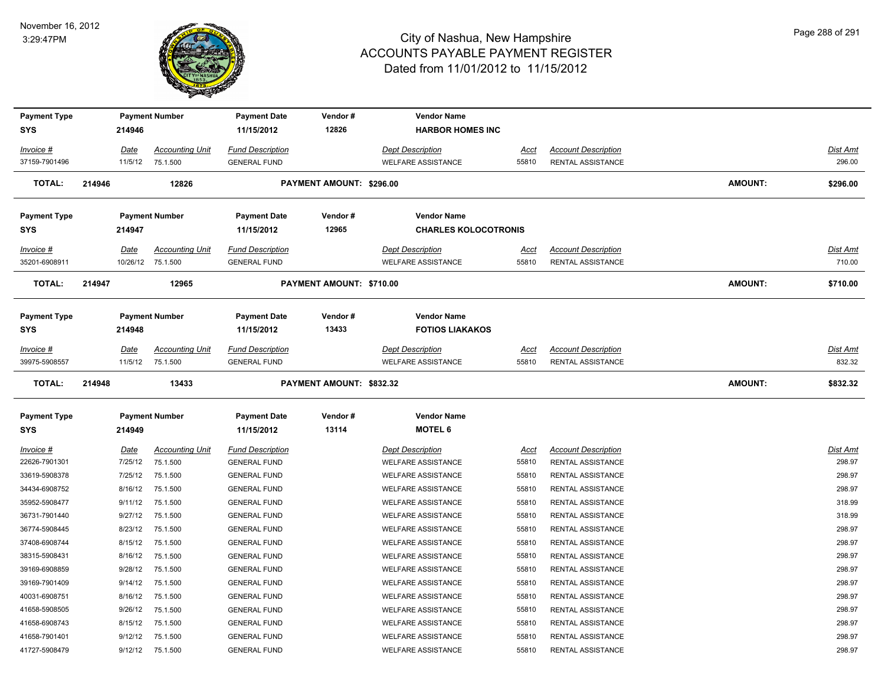

| <b>Payment Type</b><br>SYS |        | 214946          | <b>Payment Number</b>              | <b>Payment Date</b><br>11/15/2012              | Vendor#<br>12826         | <b>Vendor Name</b><br><b>HARBOR HOMES INC</b>        |               |                                                 |                |                    |
|----------------------------|--------|-----------------|------------------------------------|------------------------------------------------|--------------------------|------------------------------------------------------|---------------|-------------------------------------------------|----------------|--------------------|
| Invoice #                  |        | Date            | <b>Accounting Unit</b>             | <b>Fund Description</b>                        |                          | <b>Dept Description</b>                              | Acct          | <b>Account Description</b>                      |                | Dist Amt           |
| 37159-7901496              |        | 11/5/12         | 75.1.500                           | <b>GENERAL FUND</b>                            |                          | <b>WELFARE ASSISTANCE</b>                            | 55810         | RENTAL ASSISTANCE                               |                | 296.00             |
| <b>TOTAL:</b>              | 214946 |                 | 12826                              |                                                | PAYMENT AMOUNT: \$296.00 |                                                      |               |                                                 | AMOUNT:        | \$296.00           |
| <b>Payment Type</b>        |        |                 | <b>Payment Number</b>              | <b>Payment Date</b>                            | Vendor#                  | <b>Vendor Name</b>                                   |               |                                                 |                |                    |
| <b>SYS</b>                 |        | 214947          |                                    | 11/15/2012                                     | 12965                    | <b>CHARLES KOLOCOTRONIS</b>                          |               |                                                 |                |                    |
| <u>Invoice #</u>           |        | Date            | <b>Accounting Unit</b>             | <b>Fund Description</b>                        |                          | <b>Dept Description</b>                              | <u>Acct</u>   | <b>Account Description</b>                      |                | Dist Amt           |
| 35201-6908911              |        |                 | 10/26/12 75.1.500                  | <b>GENERAL FUND</b>                            |                          | <b>WELFARE ASSISTANCE</b>                            | 55810         | <b>RENTAL ASSISTANCE</b>                        |                | 710.00             |
| <b>TOTAL:</b>              | 214947 |                 | 12965                              |                                                | PAYMENT AMOUNT: \$710.00 |                                                      |               |                                                 | <b>AMOUNT:</b> | \$710.00           |
| <b>Payment Type</b>        |        |                 | <b>Payment Number</b>              | <b>Payment Date</b>                            | Vendor#                  | <b>Vendor Name</b>                                   |               |                                                 |                |                    |
| SYS                        |        | 214948          |                                    | 11/15/2012                                     | 13433                    | <b>FOTIOS LIAKAKOS</b>                               |               |                                                 |                |                    |
| Invoice #<br>39975-5908557 |        | Date<br>11/5/12 | <b>Accounting Unit</b><br>75.1.500 | <b>Fund Description</b><br><b>GENERAL FUND</b> |                          | <b>Dept Description</b><br><b>WELFARE ASSISTANCE</b> | Acct<br>55810 | <b>Account Description</b><br>RENTAL ASSISTANCE |                | Dist Amt<br>832.32 |
| <b>TOTAL:</b>              | 214948 |                 | 13433                              |                                                | PAYMENT AMOUNT: \$832.32 |                                                      |               |                                                 | <b>AMOUNT:</b> | \$832.32           |
| <b>Payment Type</b>        |        |                 | <b>Payment Number</b>              | <b>Payment Date</b>                            | Vendor#                  | <b>Vendor Name</b>                                   |               |                                                 |                |                    |
| <b>SYS</b>                 |        | 214949          |                                    | 11/15/2012                                     | 13114                    | <b>MOTEL 6</b>                                       |               |                                                 |                |                    |
| <u>Invoice #</u>           |        | <u>Date</u>     | <b>Accounting Unit</b>             | <b>Fund Description</b>                        |                          | <b>Dept Description</b>                              | <u>Acct</u>   | <b>Account Description</b>                      |                | Dist Amt           |
| 22626-7901301              |        | 7/25/12         | 75.1.500                           | <b>GENERAL FUND</b>                            |                          | <b>WELFARE ASSISTANCE</b>                            | 55810         | RENTAL ASSISTANCE                               |                | 298.97             |
| 33619-5908378              |        | 7/25/12         | 75.1.500                           | <b>GENERAL FUND</b>                            |                          | <b>WELFARE ASSISTANCE</b>                            | 55810         | RENTAL ASSISTANCE                               |                | 298.97             |
| 34434-6908752              |        | 8/16/12         | 75.1.500                           | <b>GENERAL FUND</b>                            |                          | WELFARE ASSISTANCE                                   | 55810         | RENTAL ASSISTANCE                               |                | 298.97             |
| 35952-5908477              |        | 9/11/12         | 75.1.500                           | <b>GENERAL FUND</b>                            |                          | <b>WELFARE ASSISTANCE</b>                            | 55810         | <b>RENTAL ASSISTANCE</b>                        |                | 318.99             |
| 36731-7901440              |        | 9/27/12         | 75.1.500                           | <b>GENERAL FUND</b>                            |                          | <b>WELFARE ASSISTANCE</b>                            | 55810         | RENTAL ASSISTANCE                               |                | 318.99             |
| 36774-5908445              |        | 8/23/12         | 75.1.500                           | <b>GENERAL FUND</b>                            |                          | <b>WELFARE ASSISTANCE</b>                            | 55810         | RENTAL ASSISTANCE                               |                | 298.97             |
| 37408-6908744              |        | 8/15/12         | 75.1.500                           | <b>GENERAL FUND</b>                            |                          | <b>WELFARE ASSISTANCE</b>                            | 55810         | RENTAL ASSISTANCE                               |                | 298.97             |
| 38315-5908431              |        | 8/16/12         | 75.1.500                           | <b>GENERAL FUND</b>                            |                          | <b>WELFARE ASSISTANCE</b>                            | 55810         | RENTAL ASSISTANCE                               |                | 298.97             |
| 39169-6908859              |        | 9/28/12         | 75.1.500                           | <b>GENERAL FUND</b>                            |                          | <b>WELFARE ASSISTANCE</b>                            | 55810         | RENTAL ASSISTANCE                               |                | 298.97             |
| 39169-7901409              |        | 9/14/12         | 75.1.500                           | <b>GENERAL FUND</b>                            |                          | <b>WELFARE ASSISTANCE</b>                            | 55810         | RENTAL ASSISTANCE                               |                | 298.97             |
| 40031-6908751              |        | 8/16/12         | 75.1.500                           | <b>GENERAL FUND</b>                            |                          | WELFARE ASSISTANCE                                   | 55810         | RENTAL ASSISTANCE                               |                | 298.97             |
| 41658-5908505              |        | 9/26/12         | 75.1.500                           | <b>GENERAL FUND</b>                            |                          | <b>WELFARE ASSISTANCE</b>                            | 55810         | RENTAL ASSISTANCE                               |                | 298.97             |
| 41658-6908743              |        | 8/15/12         | 75.1.500                           | <b>GENERAL FUND</b>                            |                          | WELFARE ASSISTANCE                                   | 55810         | RENTAL ASSISTANCE                               |                | 298.97             |
| 41658-7901401              |        | 9/12/12         | 75.1.500                           | <b>GENERAL FUND</b>                            |                          | <b>WELFARE ASSISTANCE</b>                            | 55810         | RENTAL ASSISTANCE                               |                | 298.97             |
| 41727-5908479              |        | 9/12/12         | 75.1.500                           | <b>GENERAL FUND</b>                            |                          | <b>WELFARE ASSISTANCE</b>                            | 55810         | RENTAL ASSISTANCE                               |                | 298.97             |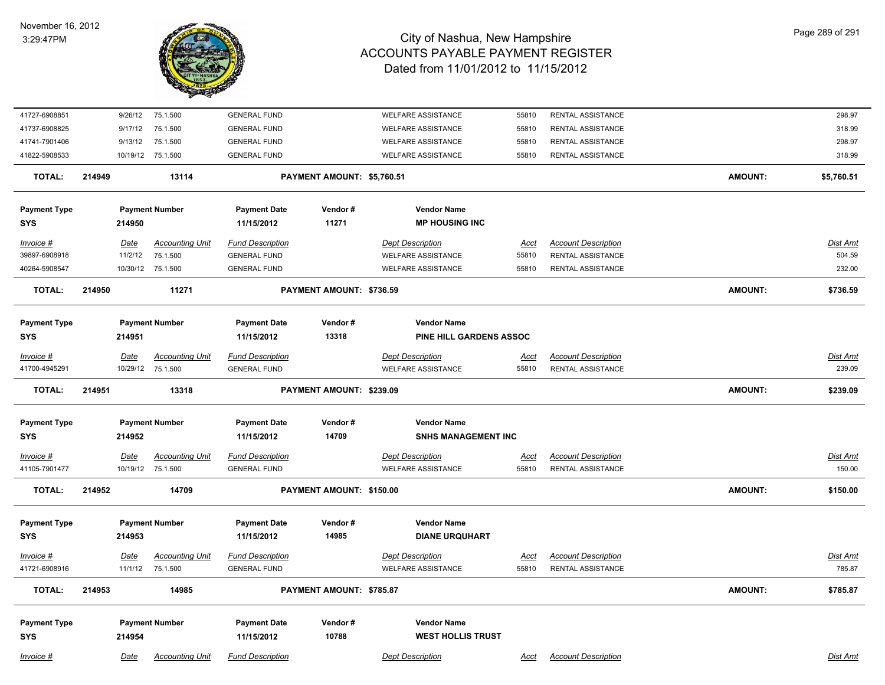

## City of Nashua, New Hampshire ACCOUNTS PAYABLE PAYMENT REGISTER Dated from 11/01/2012 to 11/15/2012

| 41727-6908851                     |                                 | 9/26/12         | 75.1.500                                              | <b>GENERAL FUND</b>                            |                                               | <b>WELFARE ASSISTANCE</b>                            | 55810                | RENTAL ASSISTANCE                                      |                | 298.97             |
|-----------------------------------|---------------------------------|-----------------|-------------------------------------------------------|------------------------------------------------|-----------------------------------------------|------------------------------------------------------|----------------------|--------------------------------------------------------|----------------|--------------------|
| 41737-6908825                     |                                 | 9/17/12         | 75.1.500                                              | <b>GENERAL FUND</b>                            |                                               | <b>WELFARE ASSISTANCE</b>                            | 55810                | <b>RENTAL ASSISTANCE</b>                               |                | 318.99             |
| 41741-7901406                     |                                 | 9/13/12         | 75.1.500                                              | <b>GENERAL FUND</b>                            |                                               | <b>WELFARE ASSISTANCE</b>                            | 55810                | RENTAL ASSISTANCE                                      |                | 298.97             |
| 41822-5908533                     |                                 |                 | 10/19/12 75.1.500                                     | <b>GENERAL FUND</b>                            |                                               | <b>WELFARE ASSISTANCE</b>                            | 55810                | <b>RENTAL ASSISTANCE</b>                               |                | 318.99             |
| <b>TOTAL:</b>                     | 214949                          |                 | 13114                                                 |                                                | PAYMENT AMOUNT: \$5,760.51                    |                                                      |                      |                                                        | <b>AMOUNT:</b> | \$5,760.51         |
| <b>Payment Type</b>               |                                 |                 | <b>Payment Number</b>                                 | <b>Payment Date</b>                            | Vendor#                                       | <b>Vendor Name</b>                                   |                      |                                                        |                |                    |
| <b>SYS</b>                        |                                 | 214950          |                                                       | 11/15/2012                                     | 11271                                         | <b>MP HOUSING INC</b>                                |                      |                                                        |                |                    |
| Invoice #<br>39897-6908918        |                                 | Date<br>11/2/12 | <b>Accounting Unit</b><br>75.1.500                    | <b>Fund Description</b><br><b>GENERAL FUND</b> |                                               | <b>Dept Description</b><br><b>WELFARE ASSISTANCE</b> | Acct<br>55810        | <b>Account Description</b><br><b>RENTAL ASSISTANCE</b> |                | Dist Amt<br>504.59 |
| 40264-5908547                     |                                 |                 | 10/30/12 75.1.500                                     | <b>GENERAL FUND</b>                            |                                               | <b>WELFARE ASSISTANCE</b>                            | 55810                | <b>RENTAL ASSISTANCE</b>                               |                | 232.00             |
| <b>TOTAL:</b>                     | 214950                          |                 | 11271                                                 |                                                | PAYMENT AMOUNT: \$736.59                      |                                                      |                      |                                                        | AMOUNT:        | \$736.59           |
| <b>Payment Type</b><br><b>SYS</b> | <b>Payment Number</b><br>214951 |                 | <b>Payment Date</b><br>Vendor#<br>13318<br>11/15/2012 |                                                | <b>Vendor Name</b><br>PINE HILL GARDENS ASSOC |                                                      |                      |                                                        |                |                    |
| Invoice #                         |                                 | <u>Date</u>     | <b>Accounting Unit</b>                                | <b>Fund Description</b>                        |                                               | <b>Dept Description</b>                              | <u>Acct</u>          | <b>Account Description</b>                             |                | <u>Dist Amt</u>    |
| 41700-4945291                     |                                 |                 | 10/29/12 75.1.500                                     | <b>GENERAL FUND</b>                            |                                               | <b>WELFARE ASSISTANCE</b>                            | 55810                | RENTAL ASSISTANCE                                      |                | 239.09             |
| TOTAL:                            | 214951                          |                 | 13318                                                 |                                                | PAYMENT AMOUNT: \$239.09                      |                                                      |                      |                                                        | <b>AMOUNT:</b> | \$239.09           |
| <b>Payment Type</b><br><b>SYS</b> |                                 | 214952          | <b>Payment Number</b>                                 | <b>Payment Date</b><br>11/15/2012              | Vendor#<br>14709                              | <b>Vendor Name</b><br><b>SNHS MANAGEMENT INC</b>     |                      |                                                        |                |                    |
| Invoice #                         |                                 | Date            | <b>Accounting Unit</b>                                | <b>Fund Description</b>                        |                                               | <b>Dept Description</b>                              |                      | <b>Account Description</b>                             |                | Dist Amt           |
| 41105-7901477                     |                                 |                 | 10/19/12 75.1.500                                     | <b>GENERAL FUND</b>                            |                                               | <b>WELFARE ASSISTANCE</b>                            | <u>Acct</u><br>55810 | <b>RENTAL ASSISTANCE</b>                               |                | 150.00             |
| <b>TOTAL:</b>                     | 214952<br>14709                 |                 | PAYMENT AMOUNT: \$150.00                              |                                                |                                               |                                                      | <b>AMOUNT:</b>       | \$150.00                                               |                |                    |
| <b>Payment Type</b><br><b>SYS</b> | <b>Payment Number</b><br>214953 |                 |                                                       | <b>Payment Date</b><br>11/15/2012              | Vendor#<br>14985                              | <b>Vendor Name</b><br><b>DIANE URQUHART</b>          |                      |                                                        |                |                    |
| Invoice #                         |                                 | Date            | <b>Accounting Unit</b>                                | <b>Fund Description</b>                        |                                               | <b>Dept Description</b>                              | Acct                 | <b>Account Description</b>                             |                | Dist Amt           |
| 41721-6908916                     |                                 |                 | 11/1/12 75.1.500                                      | <b>GENERAL FUND</b>                            |                                               | <b>WELFARE ASSISTANCE</b>                            | 55810                | <b>RENTAL ASSISTANCE</b>                               |                | 785.87             |
| <b>TOTAL:</b>                     | 214953                          |                 | 14985                                                 |                                                | PAYMENT AMOUNT: \$785.87                      |                                                      |                      |                                                        | <b>AMOUNT:</b> | \$785.87           |
| <b>Payment Type</b><br><b>SYS</b> |                                 | 214954          | <b>Payment Number</b>                                 | <b>Payment Date</b><br>11/15/2012              | Vendor#<br>10788                              | <b>Vendor Name</b><br><b>WEST HOLLIS TRUST</b>       |                      |                                                        |                |                    |
| Invoice #                         |                                 | Date            | <b>Accounting Unit</b>                                | <b>Fund Description</b>                        |                                               | <b>Dept Description</b>                              | Acct                 | <b>Account Description</b>                             |                | Dist Amt           |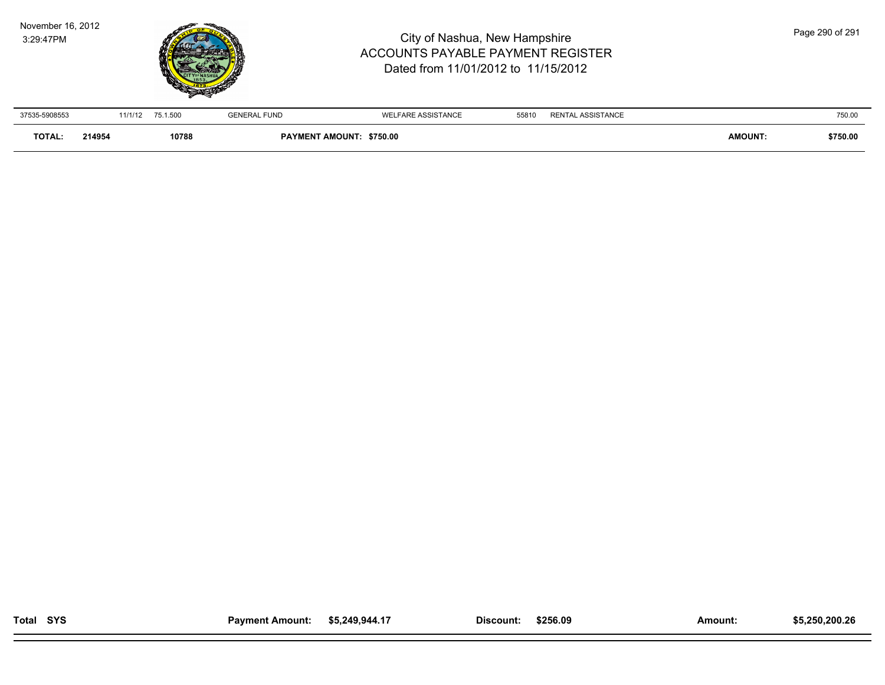